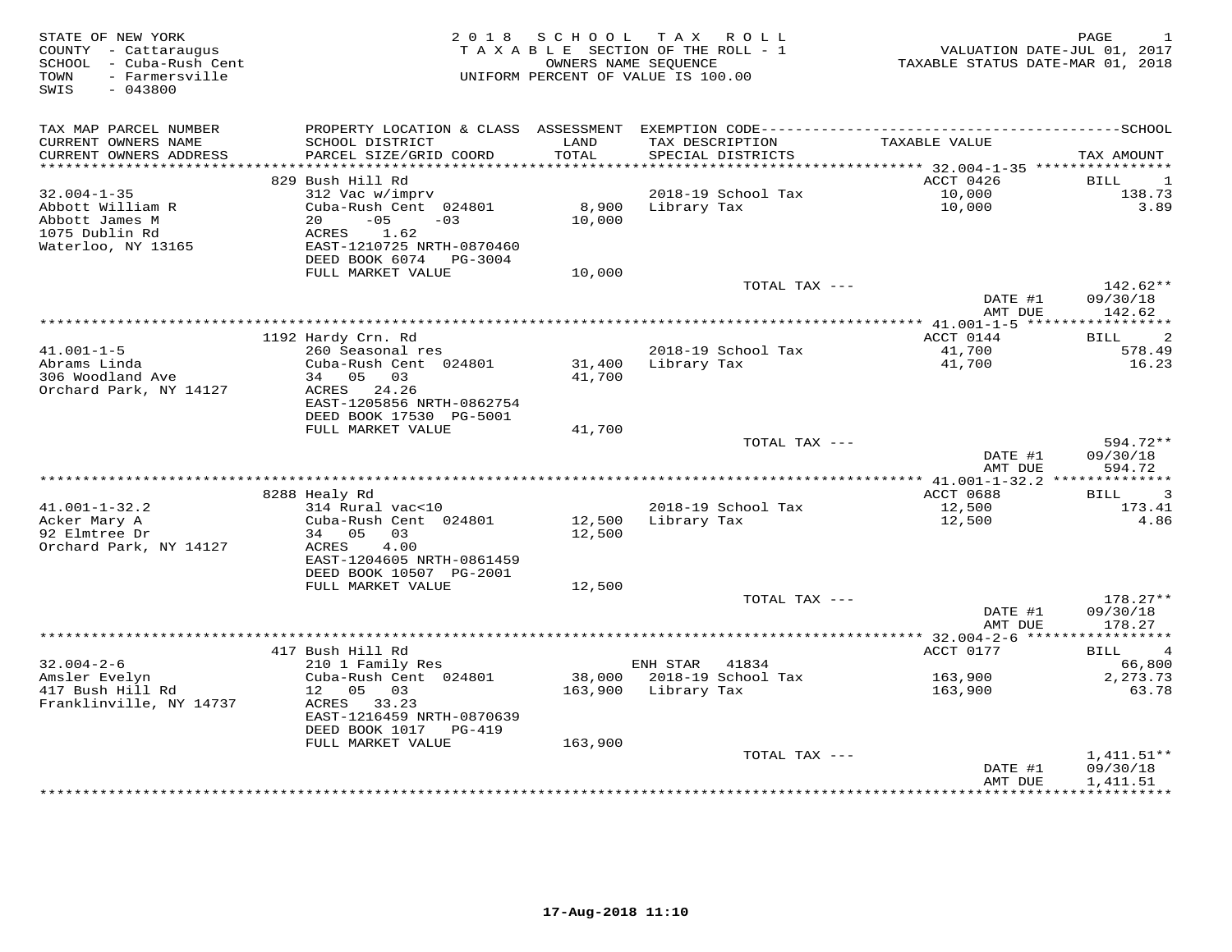| STATE OF NEW YORK<br>COUNTY - Cattaraugus<br>SCHOOL - Cuba-Rush Cent<br>- Farmersville<br>TOWN<br>$-043800$<br>SWIS | 2 0 1 8                                                                         | S C H O O L     | TAX ROLL<br>TAXABLE SECTION OF THE ROLL - 1<br>OWNERS NAME SEOUENCE<br>UNIFORM PERCENT OF VALUE IS 100.00 | VALUATION DATE-JUL 01, 2017<br>TAXABLE STATUS DATE-MAR 01, 2018 | PAGE                             |
|---------------------------------------------------------------------------------------------------------------------|---------------------------------------------------------------------------------|-----------------|-----------------------------------------------------------------------------------------------------------|-----------------------------------------------------------------|----------------------------------|
| TAX MAP PARCEL NUMBER                                                                                               | PROPERTY LOCATION & CLASS ASSESSMENT                                            |                 |                                                                                                           |                                                                 |                                  |
| CURRENT OWNERS NAME<br>CURRENT OWNERS ADDRESS<br>**********************                                             | SCHOOL DISTRICT<br>PARCEL SIZE/GRID COORD                                       | LAND<br>TOTAL   | TAX DESCRIPTION<br>SPECIAL DISTRICTS                                                                      | TAXABLE VALUE                                                   | TAX AMOUNT                       |
|                                                                                                                     | 829 Bush Hill Rd                                                                |                 |                                                                                                           | ACCT 0426                                                       | BILL<br>1                        |
| $32.004 - 1 - 35$                                                                                                   | 312 Vac w/imprv                                                                 |                 | 2018-19 School Tax                                                                                        | 10,000                                                          | 138.73                           |
| Abbott William R<br>Abbott James M<br>1075 Dublin Rd                                                                | Cuba-Rush Cent 024801<br>$-05$<br>20<br>$-03$<br>1.62<br>ACRES                  | 8,900<br>10,000 | Library Tax                                                                                               | 10,000                                                          | 3.89                             |
| Waterloo, NY 13165                                                                                                  | EAST-1210725 NRTH-0870460<br>DEED BOOK 6074 PG-3004<br>FULL MARKET VALUE        |                 |                                                                                                           |                                                                 |                                  |
|                                                                                                                     |                                                                                 | 10,000          | TOTAL TAX ---                                                                                             |                                                                 | $142.62**$                       |
|                                                                                                                     |                                                                                 |                 |                                                                                                           | DATE #1<br>AMT DUE                                              | 09/30/18<br>142.62               |
|                                                                                                                     |                                                                                 |                 |                                                                                                           | ************* 41.001-1-5 ******                                 | ***********                      |
|                                                                                                                     | 1192 Hardy Crn. Rd                                                              |                 |                                                                                                           | ACCT 0144                                                       | 2<br>BILL                        |
| $41.001 - 1 - 5$<br>Abrams Linda                                                                                    | 260 Seasonal res<br>Cuba-Rush Cent 024801                                       | 31,400          | 2018-19 School Tax<br>Library Tax                                                                         | 41,700<br>41,700                                                | 578.49<br>16.23                  |
| 306 Woodland Ave<br>Orchard Park, NY 14127                                                                          | 34 05 03<br>ACRES 24.26<br>EAST-1205856 NRTH-0862754<br>DEED BOOK 17530 PG-5001 | 41,700          |                                                                                                           |                                                                 |                                  |
|                                                                                                                     | FULL MARKET VALUE                                                               | 41,700          |                                                                                                           |                                                                 |                                  |
|                                                                                                                     |                                                                                 |                 | TOTAL TAX ---                                                                                             | DATE #1<br>AMT DUE                                              | 594.72**<br>09/30/18<br>594.72   |
|                                                                                                                     |                                                                                 |                 |                                                                                                           |                                                                 |                                  |
|                                                                                                                     | 8288 Healy Rd                                                                   |                 |                                                                                                           | ACCT 0688                                                       | $\overline{\phantom{a}}$<br>BILL |
| $41.001 - 1 - 32.2$                                                                                                 | 314 Rural vac<10                                                                |                 | 2018-19 School Tax                                                                                        | 12,500                                                          | 173.41                           |
| Acker Mary A                                                                                                        | Cuba-Rush Cent 024801                                                           | 12,500          | Library Tax                                                                                               | 12,500                                                          | 4.86                             |
| 92 Elmtree Dr<br>Orchard Park, NY 14127                                                                             | 34 05<br>03<br>ACRES<br>4.00<br>EAST-1204605 NRTH-0861459                       | 12,500          |                                                                                                           |                                                                 |                                  |
|                                                                                                                     | DEED BOOK 10507 PG-2001                                                         |                 |                                                                                                           |                                                                 |                                  |
|                                                                                                                     | FULL MARKET VALUE                                                               | 12,500          |                                                                                                           |                                                                 |                                  |
|                                                                                                                     |                                                                                 |                 | TOTAL TAX ---                                                                                             |                                                                 | $178.27**$                       |
|                                                                                                                     |                                                                                 |                 |                                                                                                           | DATE #1<br>AMT DUE                                              | 09/30/18<br>178.27               |
|                                                                                                                     | 417 Bush Hill Rd                                                                |                 |                                                                                                           | ACCT 0177                                                       | BILL<br>$\overline{4}$           |
| $32.004 - 2 - 6$                                                                                                    | 210 1 Family Res                                                                |                 | ENH STAR<br>41834                                                                                         |                                                                 | 66,800                           |
| Amsler Evelyn                                                                                                       | Cuba-Rush Cent 024801                                                           | 38,000          | 2018-19 School Tax                                                                                        | 163,900                                                         | 2, 273.73                        |
| 417 Bush Hill Rd<br>Franklinville, NY 14737                                                                         | 12 05 03<br>ACRES 33.23<br>EAST-1216459 NRTH-0870639                            | 163,900         | Library Tax                                                                                               | 163,900                                                         | 63.78                            |
|                                                                                                                     | DEED BOOK 1017 PG-419                                                           |                 |                                                                                                           |                                                                 |                                  |
|                                                                                                                     | FULL MARKET VALUE                                                               | 163,900         | TOTAL TAX ---                                                                                             |                                                                 | $1,411.51**$                     |
|                                                                                                                     |                                                                                 |                 |                                                                                                           | DATE #1<br>AMT DUE                                              | 09/30/18<br>1,411.51             |
|                                                                                                                     |                                                                                 |                 |                                                                                                           | *************                                                   | ***********                      |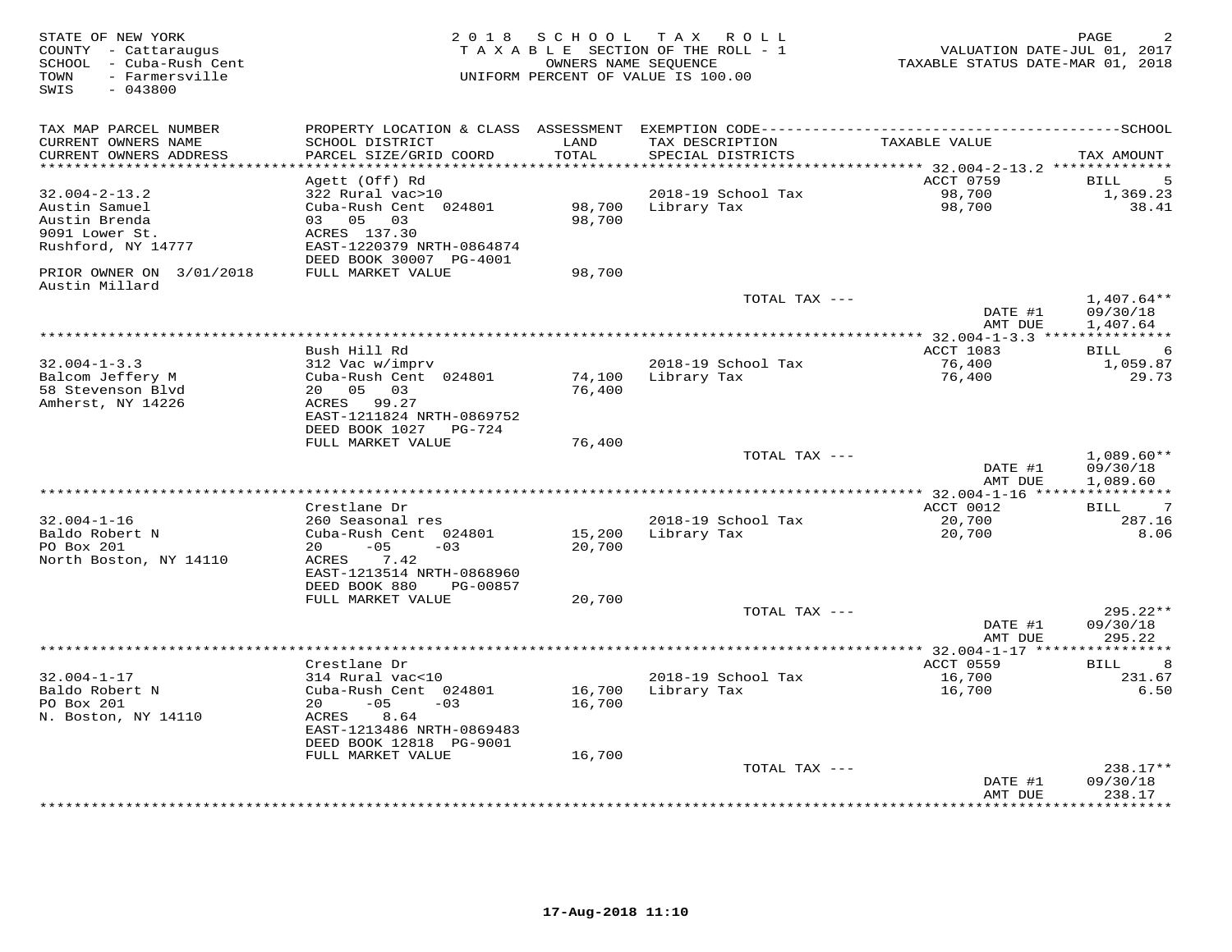| STATE OF NEW YORK<br>COUNTY - Cattaraugus<br>SCHOOL - Cuba-Rush Cent<br>- Farmersville<br>TOWN<br>SWIS<br>$-043800$ |                                                                                                                                                            | 2018 SCHOOL      | TAX ROLL<br>TAXABLE SECTION OF THE ROLL - 1<br>OWNERS NAME SEQUENCE<br>UNIFORM PERCENT OF VALUE IS 100.00 | VALUATION DATE-JUL 01, 2017<br>TAXABLE STATUS DATE-MAR 01, 2018 | PAGE                                    |
|---------------------------------------------------------------------------------------------------------------------|------------------------------------------------------------------------------------------------------------------------------------------------------------|------------------|-----------------------------------------------------------------------------------------------------------|-----------------------------------------------------------------|-----------------------------------------|
| TAX MAP PARCEL NUMBER<br>CURRENT OWNERS NAME<br>CURRENT OWNERS ADDRESS                                              | SCHOOL DISTRICT<br>PARCEL SIZE/GRID COORD                                                                                                                  | LAND<br>TOTAL    | TAX DESCRIPTION<br>SPECIAL DISTRICTS                                                                      | TAXABLE VALUE                                                   | TAX AMOUNT                              |
|                                                                                                                     |                                                                                                                                                            | $******$         |                                                                                                           | ********** 32.004-2-13.2 **************                         |                                         |
| $32.004 - 2 - 13.2$<br>Austin Samuel<br>Austin Brenda<br>9091 Lower St.<br>Rushford, NY 14777                       | Agett (Off) Rd<br>322 Rural vac>10<br>Cuba-Rush Cent 024801<br>03 05<br>03<br>ACRES 137.30<br>EAST-1220379 NRTH-0864874<br>DEED BOOK 30007 PG-4001         | 98,700<br>98,700 | 2018-19 School Tax<br>Library Tax                                                                         | ACCT 0759<br>98,700<br>98,700                                   | 5<br><b>BILL</b><br>1,369.23<br>38.41   |
| PRIOR OWNER ON 3/01/2018                                                                                            | FULL MARKET VALUE                                                                                                                                          | 98,700           |                                                                                                           |                                                                 |                                         |
| Austin Millard                                                                                                      |                                                                                                                                                            |                  | TOTAL TAX ---                                                                                             | DATE #1                                                         | $1,407.64**$<br>09/30/18                |
|                                                                                                                     |                                                                                                                                                            |                  |                                                                                                           | AMT DUE                                                         | 1,407.64                                |
|                                                                                                                     | Bush Hill Rd                                                                                                                                               |                  |                                                                                                           | ACCT 1083                                                       | <b>BILL</b><br>6                        |
| $32.004 - 1 - 3.3$<br>Balcom Jeffery M<br>58 Stevenson Blvd<br>Amherst, NY 14226                                    | 312 Vac w/imprv<br>Cuba-Rush Cent 024801<br>20<br>05<br>03<br>ACRES 99.27<br>EAST-1211824 NRTH-0869752                                                     | 74,100<br>76,400 | 2018-19 School Tax<br>Library Tax                                                                         | 76,400<br>76,400                                                | 1,059.87<br>29.73                       |
|                                                                                                                     | DEED BOOK 1027 PG-724                                                                                                                                      |                  |                                                                                                           |                                                                 |                                         |
|                                                                                                                     | FULL MARKET VALUE                                                                                                                                          | 76,400           | TOTAL TAX ---                                                                                             | DATE #1<br>AMT DUE                                              | $1,089.60**$<br>09/30/18<br>1,089.60    |
|                                                                                                                     |                                                                                                                                                            |                  |                                                                                                           | ******** 32.004-1-16 ****                                       | ***********                             |
|                                                                                                                     | Crestlane Dr                                                                                                                                               |                  |                                                                                                           | ACCT 0012                                                       | BILL<br>7                               |
| $32.004 - 1 - 16$<br>Baldo Robert N<br>PO Box 201<br>North Boston, NY 14110                                         | 260 Seasonal res<br>Cuba-Rush Cent 024801<br>$-05$<br>$-03$<br>20<br>ACRES<br>7.42<br>EAST-1213514 NRTH-0868960<br>DEED BOOK 880<br>PG-00857               | 15,200<br>20,700 | 2018-19 School Tax<br>Library Tax                                                                         | 20,700<br>20,700                                                | 287.16<br>8.06                          |
|                                                                                                                     | FULL MARKET VALUE                                                                                                                                          | 20,700           |                                                                                                           |                                                                 |                                         |
|                                                                                                                     |                                                                                                                                                            |                  | TOTAL TAX ---                                                                                             | DATE #1<br>AMT DUE                                              | $295.22**$<br>09/30/18<br>295.22        |
|                                                                                                                     | *******************                                                                                                                                        |                  | ************************                                                                                  | ** 32.004-1-17 ***                                              | *********                               |
| $32.004 - 1 - 17$<br>Baldo Robert N<br>PO Box 201<br>N. Boston, NY 14110                                            | Crestlane Dr<br>314 Rural vac<10<br>Cuba-Rush Cent 024801<br>$-05$<br>$-03$<br>20<br>8.64<br>ACRES<br>EAST-1213486 NRTH-0869483<br>DEED BOOK 12818 PG-9001 | 16,700<br>16,700 | 2018-19 School Tax<br>Library Tax                                                                         | ACCT 0559<br>16,700<br>16,700                                   | 8<br>BILL<br>231.67<br>6.50             |
|                                                                                                                     | FULL MARKET VALUE                                                                                                                                          | 16,700           | TOTAL TAX ---                                                                                             |                                                                 | 238.17**                                |
|                                                                                                                     |                                                                                                                                                            |                  | ************************                                                                                  | DATE #1<br>AMT DUE                                              | 09/30/18<br>238.17<br>* * * * * * * * * |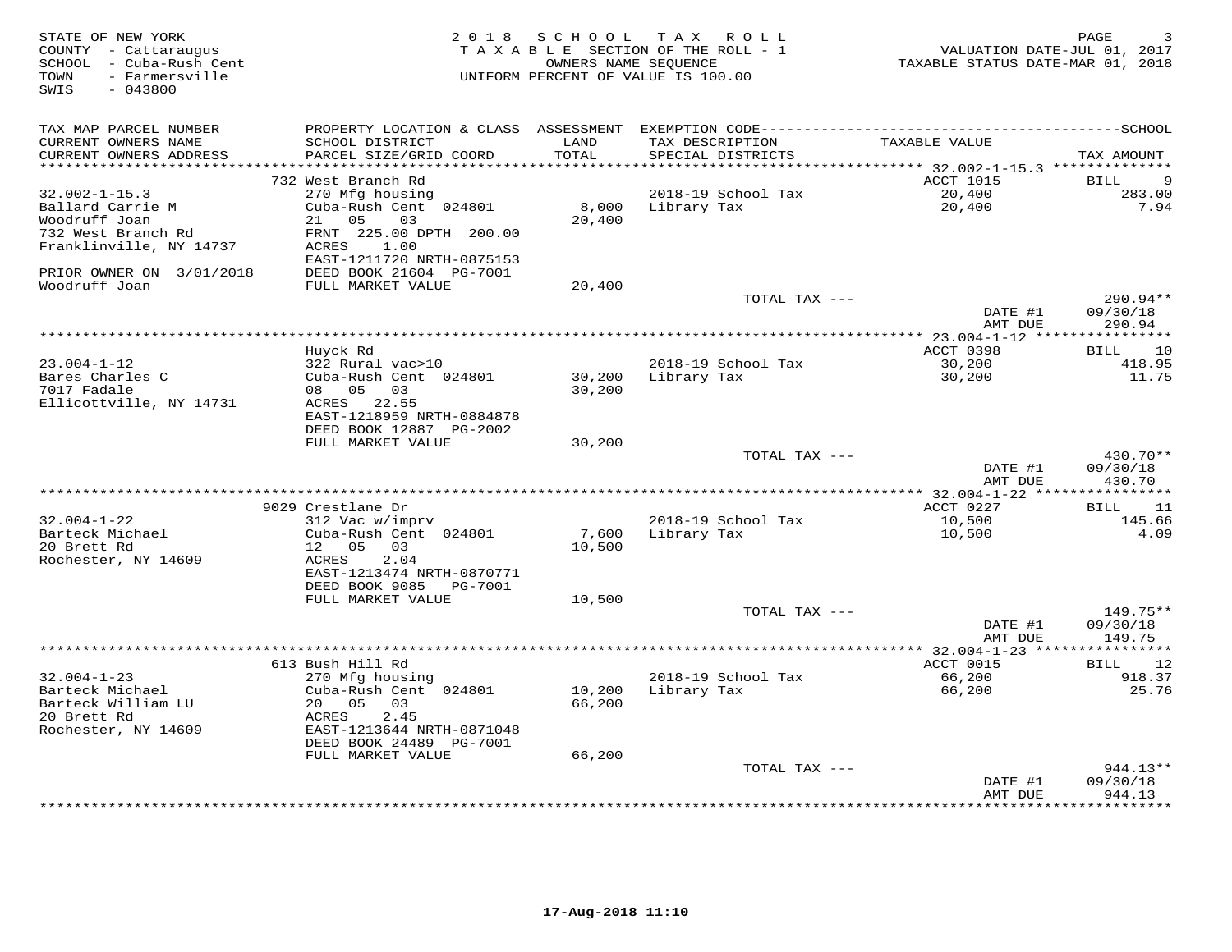| STATE OF NEW YORK<br>COUNTY - Cattaraugus<br>SCHOOL - Cuba-Rush Cent<br>TOWN<br>- Farmersville<br>SWIS<br>$-043800$ |                                                |                 | 2018 SCHOOL TAX ROLL<br>TAXABLE SECTION OF THE ROLL - 1<br>OWNERS NAME SEQUENCE<br>UNIFORM PERCENT OF VALUE IS 100.00 | VALUATION DATE-JUL 01, 2017<br>TAXABLE STATUS DATE-MAR 01, 2018 | 3<br>PAGE         |
|---------------------------------------------------------------------------------------------------------------------|------------------------------------------------|-----------------|-----------------------------------------------------------------------------------------------------------------------|-----------------------------------------------------------------|-------------------|
| TAX MAP PARCEL NUMBER                                                                                               |                                                |                 |                                                                                                                       |                                                                 |                   |
| CURRENT OWNERS NAME<br>CURRENT OWNERS ADDRESS                                                                       | SCHOOL DISTRICT<br>PARCEL SIZE/GRID COORD      | LAND<br>TOTAL   | TAX DESCRIPTION<br>SPECIAL DISTRICTS                                                                                  | TAXABLE VALUE                                                   | TAX AMOUNT        |
| *******************                                                                                                 |                                                | *******         |                                                                                                                       | ******** 32.002-1-15.3 **************                           |                   |
|                                                                                                                     | 732 West Branch Rd                             |                 |                                                                                                                       | ACCT 1015                                                       | 9<br><b>BILL</b>  |
| $32.002 - 1 - 15.3$                                                                                                 | 270 Mfg housing                                |                 | 2018-19 School Tax                                                                                                    | 20,400                                                          | 283.00            |
| Ballard Carrie M<br>Woodruff Joan                                                                                   | Cuba-Rush Cent 024801<br>21 05<br>03           | 8,000<br>20,400 | Library Tax                                                                                                           | 20,400                                                          | 7.94              |
| 732 West Branch Rd                                                                                                  | FRNT 225.00 DPTH 200.00                        |                 |                                                                                                                       |                                                                 |                   |
| Franklinville, NY 14737                                                                                             | ACRES<br>1.00                                  |                 |                                                                                                                       |                                                                 |                   |
|                                                                                                                     | EAST-1211720 NRTH-0875153                      |                 |                                                                                                                       |                                                                 |                   |
| PRIOR OWNER ON 3/01/2018<br>Woodruff Joan                                                                           | DEED BOOK 21604 PG-7001                        |                 |                                                                                                                       |                                                                 |                   |
|                                                                                                                     | FULL MARKET VALUE                              | 20,400          | TOTAL TAX ---                                                                                                         |                                                                 | 290.94**          |
|                                                                                                                     |                                                |                 |                                                                                                                       | DATE #1                                                         | 09/30/18          |
|                                                                                                                     |                                                |                 |                                                                                                                       | AMT DUE                                                         | 290.94            |
|                                                                                                                     |                                                |                 |                                                                                                                       |                                                                 |                   |
|                                                                                                                     | Huyck Rd                                       |                 |                                                                                                                       | ACCT 0398                                                       | 10<br>BILL        |
| $23.004 - 1 - 12$                                                                                                   | 322 Rural vac>10                               |                 | 2018-19 School Tax                                                                                                    | 30,200                                                          | 418.95            |
| Bares Charles C                                                                                                     | Cuba-Rush Cent 024801                          | 30,200          | Library Tax                                                                                                           | 30,200                                                          | 11.75             |
| 7017 Fadale                                                                                                         | 08 05<br>03                                    | 30,200          |                                                                                                                       |                                                                 |                   |
| Ellicottville, NY 14731                                                                                             | 22.55<br>ACRES                                 |                 |                                                                                                                       |                                                                 |                   |
|                                                                                                                     | EAST-1218959 NRTH-0884878                      |                 |                                                                                                                       |                                                                 |                   |
|                                                                                                                     | DEED BOOK 12887 PG-2002                        |                 |                                                                                                                       |                                                                 |                   |
|                                                                                                                     | FULL MARKET VALUE                              | 30,200          | TOTAL TAX ---                                                                                                         |                                                                 | $430.70**$        |
|                                                                                                                     |                                                |                 |                                                                                                                       | DATE #1                                                         | 09/30/18          |
|                                                                                                                     |                                                |                 |                                                                                                                       | AMT DUE                                                         | 430.70            |
|                                                                                                                     |                                                |                 |                                                                                                                       |                                                                 |                   |
|                                                                                                                     | 9029 Crestlane Dr                              |                 |                                                                                                                       | ACCT 0227                                                       | BILL 11           |
| $32.004 - 1 - 22$                                                                                                   | 312 Vac w/imprv                                |                 | 2018-19 School Tax                                                                                                    | 10,500                                                          | 145.66            |
| Barteck Michael                                                                                                     | Cuba-Rush Cent 024801                          | 7,600           | Library Tax                                                                                                           | 10,500                                                          | 4.09              |
| 20 Brett Rd                                                                                                         | 12 05<br>03                                    | 10,500          |                                                                                                                       |                                                                 |                   |
| Rochester, NY 14609                                                                                                 | 2.04<br>ACRES                                  |                 |                                                                                                                       |                                                                 |                   |
|                                                                                                                     | EAST-1213474 NRTH-0870771                      |                 |                                                                                                                       |                                                                 |                   |
|                                                                                                                     | DEED BOOK 9085<br>PG-7001<br>FULL MARKET VALUE | 10,500          |                                                                                                                       |                                                                 |                   |
|                                                                                                                     |                                                |                 | TOTAL TAX ---                                                                                                         |                                                                 | 149.75**          |
|                                                                                                                     |                                                |                 |                                                                                                                       | DATE #1                                                         | 09/30/18          |
|                                                                                                                     |                                                |                 |                                                                                                                       | AMT DUE                                                         | 149.75            |
|                                                                                                                     |                                                |                 |                                                                                                                       |                                                                 |                   |
|                                                                                                                     | 613 Bush Hill Rd                               |                 |                                                                                                                       | ACCT 0015                                                       | 12<br>BILL        |
| $32.004 - 1 - 23$                                                                                                   | 270 Mfg housing                                |                 | 2018-19 School Tax                                                                                                    | 66,200                                                          | 918.37            |
| Barteck Michael                                                                                                     | Cuba-Rush Cent 024801                          | 10,200          | Library Tax                                                                                                           | 66,200                                                          | 25.76             |
| Barteck William LU                                                                                                  | 20 05<br>03                                    | 66,200          |                                                                                                                       |                                                                 |                   |
| 20 Brett Rd                                                                                                         | 2.45<br>ACRES                                  |                 |                                                                                                                       |                                                                 |                   |
| Rochester, NY 14609                                                                                                 | EAST-1213644 NRTH-0871048                      |                 |                                                                                                                       |                                                                 |                   |
|                                                                                                                     | DEED BOOK 24489 PG-7001                        |                 |                                                                                                                       |                                                                 |                   |
|                                                                                                                     | FULL MARKET VALUE                              | 66,200          |                                                                                                                       |                                                                 | $944.13**$        |
|                                                                                                                     |                                                |                 | TOTAL TAX ---                                                                                                         | DATE #1                                                         | 09/30/18          |
|                                                                                                                     |                                                |                 |                                                                                                                       | AMT DUE                                                         | 944.13            |
|                                                                                                                     |                                                |                 |                                                                                                                       |                                                                 | * * * * * * * * * |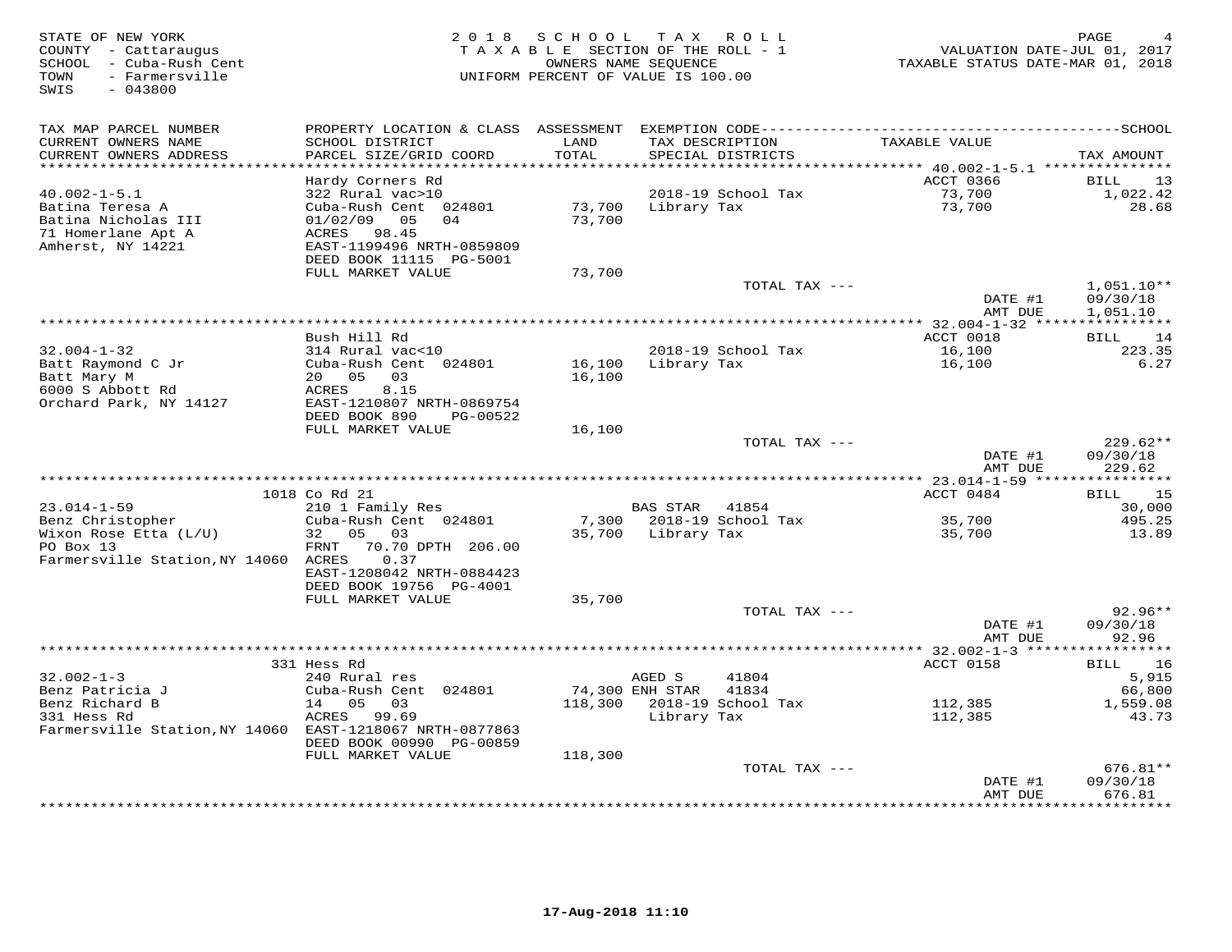| STATE OF NEW YORK<br>COUNTY - Cattaraugus<br>SCHOOL - Cuba-Rush Cent<br>- Farmersville<br>TOWN<br>SWIS<br>$-043800$ |                                                                                                                                                                 | 2018 SCHOOL      | TAX ROLL<br>TAXABLE SECTION OF THE ROLL - 1<br>OWNERS NAME SEQUENCE<br>UNIFORM PERCENT OF VALUE IS 100.00 |               | VALUATION DATE-JUL 01, 2017<br>TAXABLE STATUS DATE-MAR 01, 2018 | PAGE                                    |
|---------------------------------------------------------------------------------------------------------------------|-----------------------------------------------------------------------------------------------------------------------------------------------------------------|------------------|-----------------------------------------------------------------------------------------------------------|---------------|-----------------------------------------------------------------|-----------------------------------------|
| TAX MAP PARCEL NUMBER<br>CURRENT OWNERS NAME<br>CURRENT OWNERS ADDRESS                                              | PROPERTY LOCATION & CLASS ASSESSMENT EXEMPTION CODE-----------------------------------SCHOOL<br>SCHOOL DISTRICT<br>PARCEL SIZE/GRID COORD                       | LAND<br>TOTAL    | TAX DESCRIPTION<br>SPECIAL DISTRICTS                                                                      |               | TAXABLE VALUE                                                   | TAX AMOUNT                              |
|                                                                                                                     |                                                                                                                                                                 | **********       |                                                                                                           |               | ************ 40.002-1-5.1 ****************                      |                                         |
| $40.002 - 1 - 5.1$<br>Batina Teresa A<br>Batina Nicholas III<br>71 Homerlane Apt A<br>Amherst, NY 14221             | Hardy Corners Rd<br>322 Rural vac>10<br>Cuba-Rush Cent 024801<br>01/02/09<br>05<br>04<br>98.45<br>ACRES<br>EAST-1199496 NRTH-0859809<br>DEED BOOK 11115 PG-5001 | 73,700<br>73,700 | 2018-19 School Tax<br>Library Tax                                                                         |               | ACCT 0366<br>73,700<br>73,700                                   | 13<br>BILL<br>1,022.42<br>28.68         |
|                                                                                                                     | FULL MARKET VALUE                                                                                                                                               | 73,700           |                                                                                                           | TOTAL TAX --- |                                                                 | $1,051.10**$                            |
|                                                                                                                     |                                                                                                                                                                 |                  |                                                                                                           |               | DATE #1<br>AMT DUE                                              | 09/30/18<br>1,051.10                    |
|                                                                                                                     |                                                                                                                                                                 |                  |                                                                                                           |               | ********* 32.004-1-32 ****************                          |                                         |
| $32.004 - 1 - 32$                                                                                                   | Bush Hill Rd<br>314 Rural vac<10                                                                                                                                |                  | 2018-19 School Tax                                                                                        |               | ACCT 0018<br>16,100                                             | BILL<br>14<br>223.35                    |
| Batt Raymond C Jr<br>Batt Mary M                                                                                    | Cuba-Rush Cent 024801<br>20 05<br>03                                                                                                                            | 16,100<br>16,100 | Library Tax                                                                                               |               | 16,100                                                          | 6.27                                    |
| 6000 S Abbott Rd                                                                                                    | 8.15<br>ACRES                                                                                                                                                   |                  |                                                                                                           |               |                                                                 |                                         |
| Orchard Park, NY 14127                                                                                              | EAST-1210807 NRTH-0869754<br>DEED BOOK 890<br>PG-00522                                                                                                          |                  |                                                                                                           |               |                                                                 |                                         |
|                                                                                                                     | FULL MARKET VALUE                                                                                                                                               | 16,100           |                                                                                                           |               |                                                                 |                                         |
|                                                                                                                     |                                                                                                                                                                 |                  |                                                                                                           | TOTAL TAX --- | DATE #1<br>AMT DUE                                              | $229.62**$<br>09/30/18<br>229.62        |
|                                                                                                                     |                                                                                                                                                                 |                  |                                                                                                           |               |                                                                 |                                         |
|                                                                                                                     | 1018 Co Rd 21                                                                                                                                                   |                  |                                                                                                           |               | ACCT 0484                                                       | 15<br>BILL                              |
| $23.014 - 1 - 59$                                                                                                   | 210 1 Family Res                                                                                                                                                |                  | BAS STAR                                                                                                  | 41854         |                                                                 | 30,000                                  |
| Benz Christopher<br>Wixon Rose Etta (L/U)<br>PO Box 13                                                              | Cuba-Rush Cent 024801<br>32<br>05 03<br>FRNT<br>70.70 DPTH 206.00                                                                                               | 7,300<br>35,700  | 2018-19 School Tax<br>Library Tax                                                                         |               | 35,700<br>35,700                                                | 495.25<br>13.89                         |
| Farmersville Station, NY 14060 ACRES                                                                                | 0.37<br>EAST-1208042 NRTH-0884423<br>DEED BOOK 19756 PG-4001                                                                                                    |                  |                                                                                                           |               |                                                                 |                                         |
|                                                                                                                     | FULL MARKET VALUE                                                                                                                                               | 35,700           |                                                                                                           |               |                                                                 |                                         |
|                                                                                                                     |                                                                                                                                                                 |                  |                                                                                                           | TOTAL TAX --- | DATE #1<br>AMT DUE                                              | $92.96**$<br>09/30/18<br>92.96          |
|                                                                                                                     |                                                                                                                                                                 |                  |                                                                                                           |               | *********** 32.002-1-3 *****                                    | * * * * * * * * * * *                   |
|                                                                                                                     | 331 Hess Rd                                                                                                                                                     |                  |                                                                                                           |               | ACCT 0158                                                       | 16<br>BILL                              |
| $32.002 - 1 - 3$                                                                                                    | 240 Rural res                                                                                                                                                   |                  | AGED S                                                                                                    | 41804         |                                                                 | 5,915                                   |
| Benz Patricia J<br>Benz Richard B                                                                                   | Cuba-Rush Cent 024801<br>14 05<br>03                                                                                                                            |                  | 74,300 ENH STAR<br>118,300 2018-19 School Tax                                                             | 41834         | 112,385                                                         | 66,800<br>1,559.08                      |
| 331 Hess Rd                                                                                                         | ACRES 99.69                                                                                                                                                     |                  | Library Tax                                                                                               |               | 112,385                                                         | 43.73                                   |
| Farmersville Station, NY 14060 EAST-1218067 NRTH-0877863                                                            | DEED BOOK 00990 PG-00859                                                                                                                                        |                  |                                                                                                           |               |                                                                 |                                         |
|                                                                                                                     | FULL MARKET VALUE                                                                                                                                               | 118,300          |                                                                                                           |               |                                                                 |                                         |
|                                                                                                                     |                                                                                                                                                                 |                  |                                                                                                           | TOTAL TAX --- |                                                                 | 676.81**                                |
|                                                                                                                     |                                                                                                                                                                 |                  |                                                                                                           |               | DATE #1<br>AMT DUE                                              | 09/30/18<br>676.81<br>* * * * * * * * * |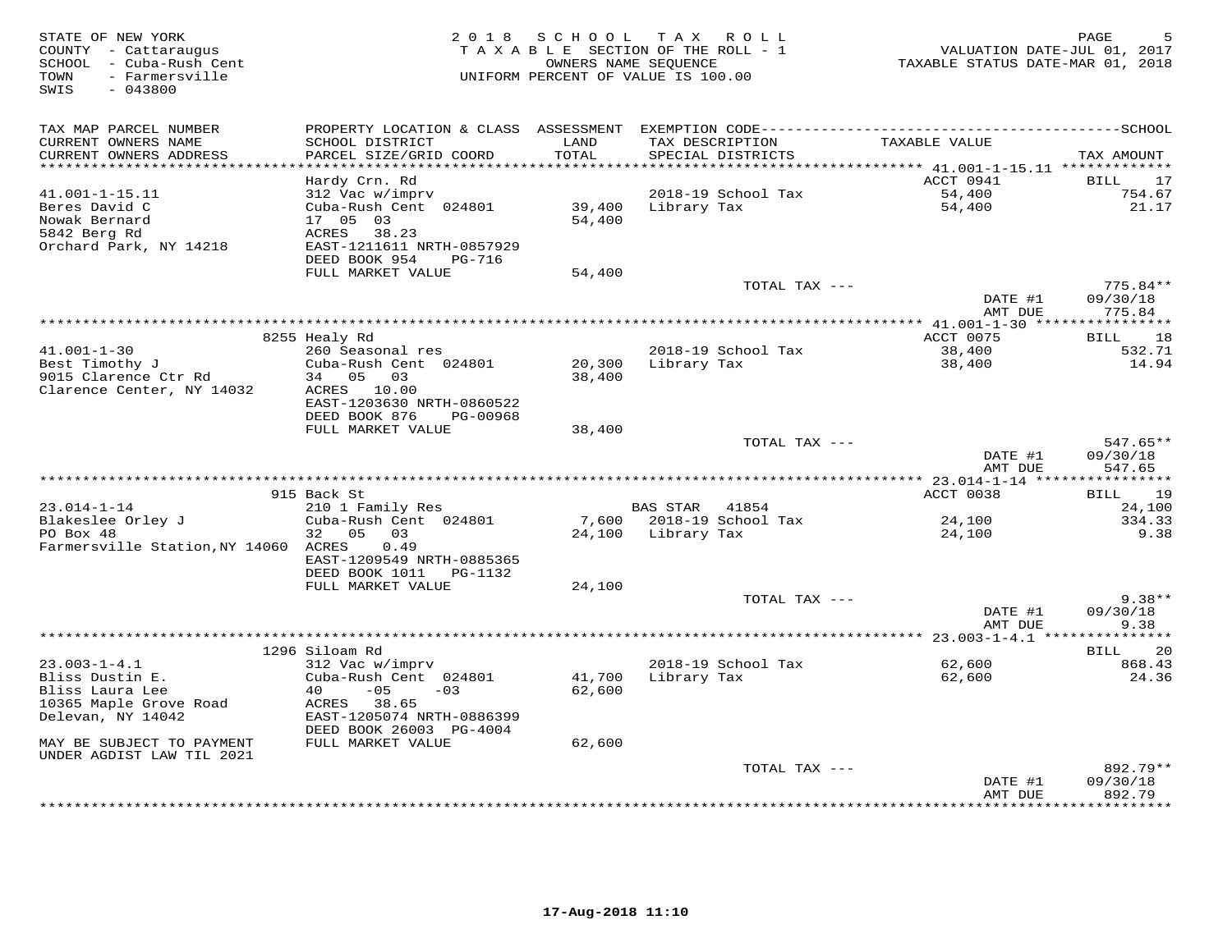| STATE OF NEW YORK<br>COUNTY - Cattaraugus<br>SCHOOL - Cuba-Rush Cent<br>- Farmersville<br>TOWN<br>SWIS<br>$-043800$ |                                                        | 2018 SCHOOL   | T A X<br>R O L L<br>TAXABLE SECTION OF THE ROLL - 1<br>OWNERS NAME SEQUENCE<br>UNIFORM PERCENT OF VALUE IS 100.00 | VALUATION DATE-JUL 01, 2017<br>TAXABLE STATUS DATE-MAR 01, 2018 | PAGE                        |
|---------------------------------------------------------------------------------------------------------------------|--------------------------------------------------------|---------------|-------------------------------------------------------------------------------------------------------------------|-----------------------------------------------------------------|-----------------------------|
| TAX MAP PARCEL NUMBER                                                                                               | PROPERTY LOCATION & CLASS ASSESSMENT                   |               |                                                                                                                   |                                                                 |                             |
| CURRENT OWNERS NAME<br>CURRENT OWNERS ADDRESS<br>**********************                                             | SCHOOL DISTRICT<br>PARCEL SIZE/GRID COORD              | LAND<br>TOTAL | TAX DESCRIPTION<br>SPECIAL DISTRICTS                                                                              | TAXABLE VALUE                                                   | TAX AMOUNT                  |
|                                                                                                                     | Hardy Crn. Rd                                          |               |                                                                                                                   | ACCT 0941                                                       | 17<br>BILL                  |
| 41.001-1-15.11                                                                                                      | 312 Vac w/imprv                                        |               | 2018-19 School Tax                                                                                                | 54,400                                                          | 754.67                      |
| Beres David C                                                                                                       | Cuba-Rush Cent 024801                                  | 39,400        | Library Tax                                                                                                       | 54,400                                                          | 21.17                       |
| Nowak Bernard                                                                                                       | 17 05 03                                               | 54,400        |                                                                                                                   |                                                                 |                             |
| 5842 Berg Rd                                                                                                        | ACRES<br>38.23                                         |               |                                                                                                                   |                                                                 |                             |
| Orchard Park, NY 14218                                                                                              | EAST-1211611 NRTH-0857929                              |               |                                                                                                                   |                                                                 |                             |
|                                                                                                                     | DEED BOOK 954<br>PG-716                                |               |                                                                                                                   |                                                                 |                             |
|                                                                                                                     | FULL MARKET VALUE                                      | 54,400        |                                                                                                                   |                                                                 |                             |
|                                                                                                                     |                                                        |               | TOTAL TAX ---                                                                                                     | DATE #1                                                         | 775.84**<br>09/30/18        |
|                                                                                                                     |                                                        |               |                                                                                                                   | AMT DUE                                                         | 775.84                      |
|                                                                                                                     |                                                        |               |                                                                                                                   |                                                                 |                             |
|                                                                                                                     | 8255 Healy Rd                                          |               |                                                                                                                   | ACCT 0075                                                       | <b>BILL</b><br>18           |
| $41.001 - 1 - 30$                                                                                                   | 260 Seasonal res                                       |               | 2018-19 School Tax                                                                                                | 38,400                                                          | 532.71                      |
| Best Timothy J                                                                                                      | Cuba-Rush Cent 024801                                  | 20,300        | Library Tax                                                                                                       | 38,400                                                          | 14.94                       |
| 9015 Clarence Ctr Rd                                                                                                | 34 05 03                                               | 38,400        |                                                                                                                   |                                                                 |                             |
| Clarence Center, NY 14032                                                                                           | ACRES 10.00                                            |               |                                                                                                                   |                                                                 |                             |
|                                                                                                                     | EAST-1203630 NRTH-0860522                              |               |                                                                                                                   |                                                                 |                             |
|                                                                                                                     | DEED BOOK 876<br>PG-00968                              |               |                                                                                                                   |                                                                 |                             |
|                                                                                                                     | FULL MARKET VALUE                                      | 38,400        | TOTAL TAX ---                                                                                                     |                                                                 | 547.65**                    |
|                                                                                                                     |                                                        |               |                                                                                                                   | DATE #1                                                         | 09/30/18                    |
|                                                                                                                     |                                                        |               |                                                                                                                   | AMT DUE                                                         | 547.65                      |
|                                                                                                                     |                                                        |               |                                                                                                                   |                                                                 |                             |
|                                                                                                                     | 915 Back St                                            |               |                                                                                                                   | ACCT 0038                                                       | 19<br>BILL                  |
| $23.014 - 1 - 14$                                                                                                   | 210 1 Family Res                                       |               | BAS STAR<br>41854                                                                                                 |                                                                 | 24,100                      |
| Blakeslee Orley J                                                                                                   | Cuba-Rush Cent 024801                                  | 7,600         | 2018-19 School Tax                                                                                                | 24,100                                                          | 334.33                      |
| PO Box 48                                                                                                           | 32<br>0.5<br>03                                        | 24,100        | Library Tax                                                                                                       | 24,100                                                          | 9.38                        |
| Farmersville Station, NY 14060 ACRES                                                                                | 0.49                                                   |               |                                                                                                                   |                                                                 |                             |
|                                                                                                                     | EAST-1209549 NRTH-0885365<br>DEED BOOK 1011    PG-1132 |               |                                                                                                                   |                                                                 |                             |
|                                                                                                                     | FULL MARKET VALUE                                      | 24,100        |                                                                                                                   |                                                                 |                             |
|                                                                                                                     |                                                        |               | TOTAL TAX ---                                                                                                     |                                                                 | $9.38**$                    |
|                                                                                                                     |                                                        |               |                                                                                                                   | DATE #1                                                         | 09/30/18                    |
|                                                                                                                     |                                                        |               |                                                                                                                   | AMT DUE                                                         | 9.38                        |
|                                                                                                                     |                                                        |               |                                                                                                                   |                                                                 |                             |
|                                                                                                                     | 1296 Siloam Rd                                         |               |                                                                                                                   |                                                                 | 20<br>BILL                  |
| $23.003 - 1 - 4.1$                                                                                                  | 312 Vac w/imprv                                        |               | 2018-19 School Tax                                                                                                | 62,600                                                          | 868.43                      |
| Bliss Dustin E.                                                                                                     | Cuba-Rush Cent 024801<br>$-05$                         | 41,700        | Library Tax                                                                                                       | 62,600                                                          | 24.36                       |
| Bliss Laura Lee<br>10365 Maple Grove Road                                                                           | 40<br>$-03$<br>ACRES 38.65                             | 62,600        |                                                                                                                   |                                                                 |                             |
| Delevan, NY 14042                                                                                                   | EAST-1205074 NRTH-0886399                              |               |                                                                                                                   |                                                                 |                             |
|                                                                                                                     | DEED BOOK 26003 PG-4004                                |               |                                                                                                                   |                                                                 |                             |
| MAY BE SUBJECT TO PAYMENT                                                                                           | FULL MARKET VALUE                                      | 62,600        |                                                                                                                   |                                                                 |                             |
| UNDER AGDIST LAW TIL 2021                                                                                           |                                                        |               |                                                                                                                   |                                                                 |                             |
|                                                                                                                     |                                                        |               | TOTAL TAX ---                                                                                                     |                                                                 | 892.79**                    |
|                                                                                                                     |                                                        |               |                                                                                                                   | DATE #1                                                         | 09/30/18                    |
|                                                                                                                     |                                                        |               |                                                                                                                   | AMT DUE                                                         | 892.79<br>* * * * * * * * * |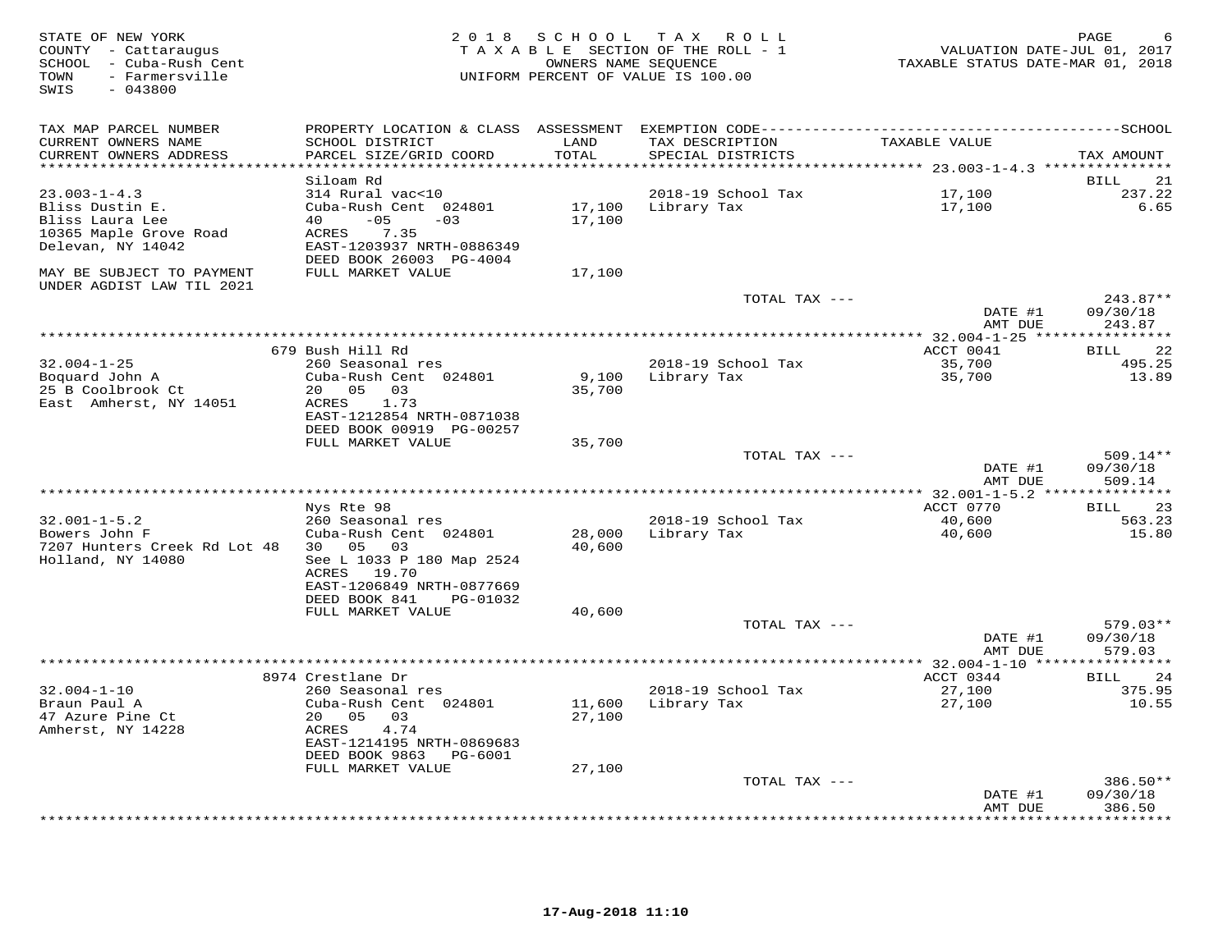| STATE OF NEW YORK<br>COUNTY - Cattaraugus<br>SCHOOL - Cuba-Rush Cent<br>- Farmersville<br>TOWN<br>$-043800$<br>SWIS | 2 0 1 8                                    | OWNERS NAME SEQUENCE | SCHOOL TAX ROLL<br>TAXABLE SECTION OF THE ROLL - 1<br>UNIFORM PERCENT OF VALUE IS 100.00 | VALUATION DATE-JUL 01, 2017<br>TAXABLE STATUS DATE-MAR 01, 2018 | PAGE               |
|---------------------------------------------------------------------------------------------------------------------|--------------------------------------------|----------------------|------------------------------------------------------------------------------------------|-----------------------------------------------------------------|--------------------|
| TAX MAP PARCEL NUMBER                                                                                               |                                            |                      |                                                                                          |                                                                 |                    |
| CURRENT OWNERS NAME<br>CURRENT OWNERS ADDRESS                                                                       | SCHOOL DISTRICT<br>PARCEL SIZE/GRID COORD  | LAND<br>TOTAL        | TAX DESCRIPTION<br>SPECIAL DISTRICTS                                                     | TAXABLE VALUE                                                   | TAX AMOUNT         |
| ************************                                                                                            |                                            |                      |                                                                                          |                                                                 |                    |
|                                                                                                                     | Siloam Rd                                  |                      |                                                                                          |                                                                 | 21<br>BILL         |
| $23.003 - 1 - 4.3$                                                                                                  | 314 Rural vac<10                           |                      | 2018-19 School Tax                                                                       | 17,100                                                          | 237.22             |
| Bliss Dustin E.                                                                                                     | Cuba-Rush Cent 024801                      |                      | 17,100 Library Tax                                                                       | 17,100                                                          | 6.65               |
| Bliss Laura Lee                                                                                                     | $-05$<br>40 — 10<br>$-03$                  | 17,100               |                                                                                          |                                                                 |                    |
| 10365 Maple Grove Road                                                                                              | 7.35<br>ACRES                              |                      |                                                                                          |                                                                 |                    |
| Delevan, NY 14042                                                                                                   | EAST-1203937 NRTH-0886349                  |                      |                                                                                          |                                                                 |                    |
|                                                                                                                     | DEED BOOK 26003 PG-4004                    |                      |                                                                                          |                                                                 |                    |
| MAY BE SUBJECT TO PAYMENT<br>UNDER AGDIST LAW TIL 2021                                                              | FULL MARKET VALUE                          | 17,100               |                                                                                          |                                                                 |                    |
|                                                                                                                     |                                            |                      | TOTAL TAX ---                                                                            |                                                                 | $243.87**$         |
|                                                                                                                     |                                            |                      |                                                                                          | DATE #1                                                         | 09/30/18           |
|                                                                                                                     |                                            |                      |                                                                                          | AMT DUE                                                         | 243.87             |
|                                                                                                                     |                                            |                      |                                                                                          |                                                                 |                    |
|                                                                                                                     | 679 Bush Hill Rd                           |                      |                                                                                          | ACCT 0041                                                       | 22<br>BILL         |
| $32.004 - 1 - 25$                                                                                                   | 260 Seasonal res                           |                      | 2018-19 School Tax                                                                       | 35,700                                                          | 495.25             |
| Boquard John A                                                                                                      | Cuba-Rush Cent 024801                      | 9,100                | Library Tax                                                                              | 35,700                                                          | 13.89              |
| 25 B Coolbrook Ct                                                                                                   | 20  05  03                                 | 35,700               |                                                                                          |                                                                 |                    |
| East Amherst, NY 14051                                                                                              | ACRES<br>1.73<br>EAST-1212854 NRTH-0871038 |                      |                                                                                          |                                                                 |                    |
|                                                                                                                     | DEED BOOK 00919 PG-00257                   |                      |                                                                                          |                                                                 |                    |
|                                                                                                                     | FULL MARKET VALUE                          | 35,700               |                                                                                          |                                                                 |                    |
|                                                                                                                     |                                            |                      | TOTAL TAX ---                                                                            |                                                                 | $509.14**$         |
|                                                                                                                     |                                            |                      |                                                                                          | DATE #1                                                         | 09/30/18           |
|                                                                                                                     |                                            |                      |                                                                                          | AMT DUE                                                         | 509.14             |
|                                                                                                                     |                                            |                      |                                                                                          |                                                                 |                    |
|                                                                                                                     | Nys Rte 98                                 |                      |                                                                                          | ACCT 0770                                                       | 23<br><b>BILL</b>  |
| $32.001 - 1 - 5.2$                                                                                                  | 260 Seasonal res                           |                      | 2018-19 School Tax                                                                       | 40,600                                                          | 563.23             |
| Bowers John F                                                                                                       | Cuba-Rush Cent 024801                      | 28,000               | Library Tax                                                                              | 40,600                                                          | 15.80              |
| 7207 Hunters Creek Rd Lot 48                                                                                        | 30 05 03                                   | 40,600               |                                                                                          |                                                                 |                    |
| Holland, NY 14080                                                                                                   | See L 1033 P 180 Map 2524                  |                      |                                                                                          |                                                                 |                    |
|                                                                                                                     | ACRES 19.70                                |                      |                                                                                          |                                                                 |                    |
|                                                                                                                     | EAST-1206849 NRTH-0877669<br>DEED BOOK 841 |                      |                                                                                          |                                                                 |                    |
|                                                                                                                     | PG-01032<br>FULL MARKET VALUE              | 40,600               |                                                                                          |                                                                 |                    |
|                                                                                                                     |                                            |                      | TOTAL TAX ---                                                                            |                                                                 | $579.03**$         |
|                                                                                                                     |                                            |                      |                                                                                          | DATE #1                                                         | 09/30/18           |
|                                                                                                                     |                                            |                      |                                                                                          | AMT DUE                                                         | 579.03             |
|                                                                                                                     |                                            |                      |                                                                                          |                                                                 |                    |
|                                                                                                                     | 8974 Crestlane Dr                          |                      |                                                                                          | ACCT 0344                                                       | 24<br>BILL         |
| $32.004 - 1 - 10$                                                                                                   | 260 Seasonal res                           |                      | 2018-19 School Tax                                                                       | 27,100                                                          | 375.95             |
| Braun Paul A                                                                                                        | Cuba-Rush Cent 024801                      | 11,600               | Library Tax                                                                              | 27,100                                                          | 10.55              |
| 47 Azure Pine Ct                                                                                                    | 20 05<br>03                                | 27,100               |                                                                                          |                                                                 |                    |
| Amherst, NY 14228                                                                                                   | ACRES<br>4.74                              |                      |                                                                                          |                                                                 |                    |
|                                                                                                                     | EAST-1214195 NRTH-0869683                  |                      |                                                                                          |                                                                 |                    |
|                                                                                                                     | DEED BOOK 9863 PG-6001                     |                      |                                                                                          |                                                                 |                    |
|                                                                                                                     | FULL MARKET VALUE                          | 27,100               |                                                                                          |                                                                 |                    |
|                                                                                                                     |                                            |                      | TOTAL TAX ---                                                                            |                                                                 | $386.50**$         |
|                                                                                                                     |                                            |                      |                                                                                          | DATE #1                                                         | 09/30/18           |
|                                                                                                                     |                                            |                      |                                                                                          | AMT DUE                                                         | 386.50<br>******** |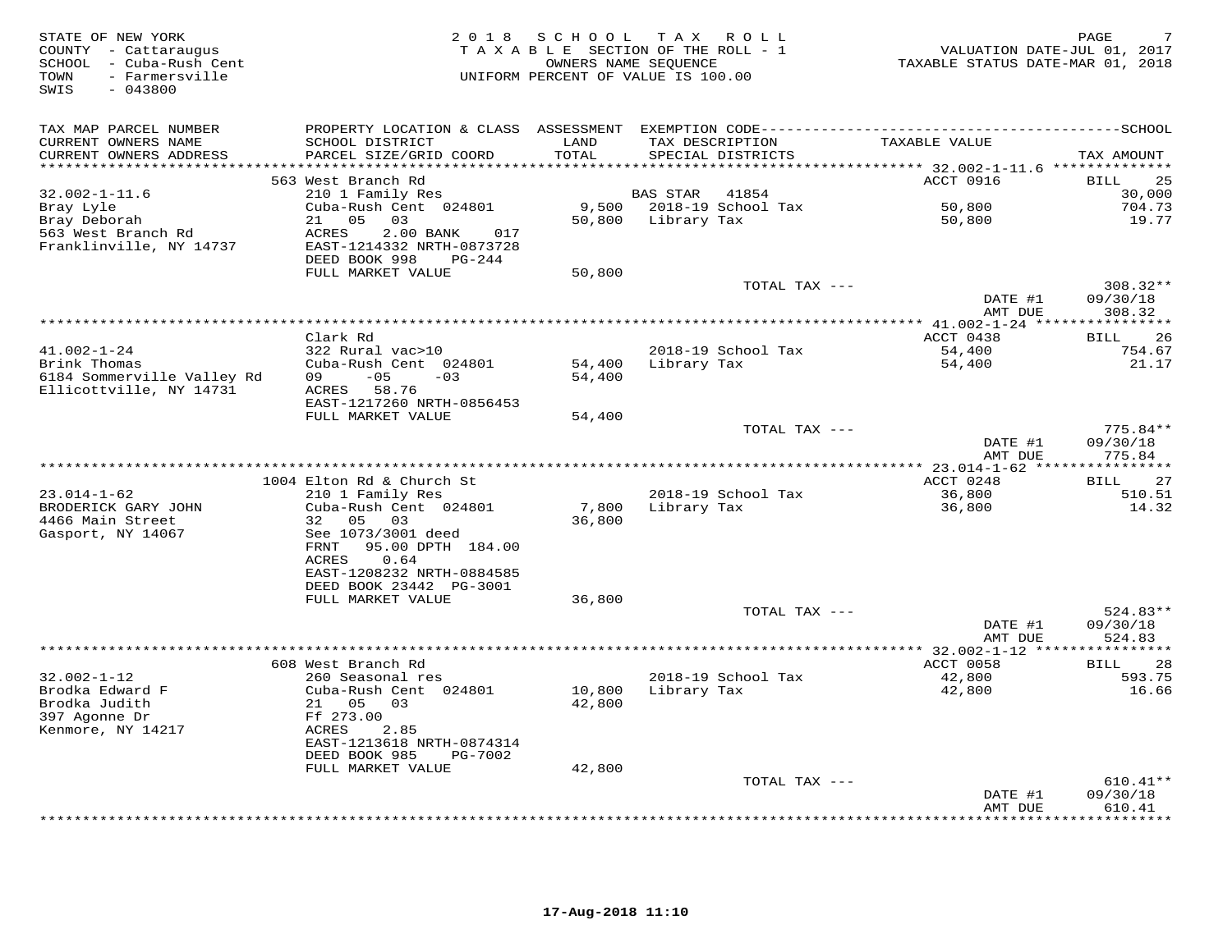| STATE OF NEW YORK<br>COUNTY - Cattaraugus<br>SCHOOL - Cuba-Rush Cent<br>- Farmersville<br>TOWN<br>SWIS<br>$-043800$ |                                                                                   |               | 2018 SCHOOL TAX ROLL<br>TAXABLE SECTION OF THE ROLL - 1<br>OWNERS NAME SEQUENCE<br>UNIFORM PERCENT OF VALUE IS 100.00 | VALUATION DATE-JUL 01, 2017<br>TAXABLE STATUS DATE-MAR 01, 2018 | PAGE                           |
|---------------------------------------------------------------------------------------------------------------------|-----------------------------------------------------------------------------------|---------------|-----------------------------------------------------------------------------------------------------------------------|-----------------------------------------------------------------|--------------------------------|
| TAX MAP PARCEL NUMBER                                                                                               |                                                                                   |               |                                                                                                                       |                                                                 |                                |
| CURRENT OWNERS NAME<br>CURRENT OWNERS ADDRESS                                                                       | SCHOOL DISTRICT<br>PARCEL SIZE/GRID COORD                                         | LAND<br>TOTAL | TAX DESCRIPTION<br>SPECIAL DISTRICTS                                                                                  | TAXABLE VALUE                                                   | TAX AMOUNT                     |
| **********************                                                                                              |                                                                                   |               |                                                                                                                       |                                                                 |                                |
| $32.002 - 1 - 11.6$                                                                                                 | 563 West Branch Rd<br>210 1 Family Res                                            |               | <b>BAS STAR</b><br>41854                                                                                              | ACCT 0916                                                       | 25<br>BILL<br>30,000           |
| Bray Lyle                                                                                                           | Cuba-Rush Cent 024801                                                             |               | 9,500 2018-19 School Tax                                                                                              | 50,800                                                          | 704.73                         |
| Bray Deborah                                                                                                        | 05<br>21<br>03                                                                    |               | 50,800 Library Tax                                                                                                    | 50,800                                                          | 19.77                          |
| 563 West Branch Rd<br>Franklinville, NY 14737                                                                       | ACRES<br>2.00 BANK<br>017<br>EAST-1214332 NRTH-0873728<br>DEED BOOK 998<br>PG-244 |               |                                                                                                                       |                                                                 |                                |
|                                                                                                                     | FULL MARKET VALUE                                                                 | 50,800        |                                                                                                                       |                                                                 |                                |
|                                                                                                                     |                                                                                   |               | TOTAL TAX ---                                                                                                         | DATE #1                                                         | 308.32**<br>09/30/18           |
|                                                                                                                     |                                                                                   |               |                                                                                                                       | AMT DUE                                                         | 308.32                         |
|                                                                                                                     |                                                                                   |               |                                                                                                                       |                                                                 |                                |
| $41.002 - 1 - 24$                                                                                                   | Clark Rd<br>322 Rural vac>10                                                      |               | 2018-19 School Tax                                                                                                    | ACCT 0438                                                       | 26<br>BILL<br>754.67           |
| Brink Thomas                                                                                                        | Cuba-Rush Cent 024801                                                             | 54,400        | Library Tax                                                                                                           | 54,400<br>54,400                                                | 21.17                          |
| 6184 Sommerville Valley Rd<br>Ellicottville, NY 14731                                                               | $-05$<br>09<br>$-0.3$<br>ACRES 58.76<br>EAST-1217260 NRTH-0856453                 | 54,400        |                                                                                                                       |                                                                 |                                |
|                                                                                                                     | FULL MARKET VALUE                                                                 | 54,400        |                                                                                                                       |                                                                 |                                |
|                                                                                                                     |                                                                                   |               | TOTAL TAX ---                                                                                                         | DATE #1                                                         | $775.84**$<br>09/30/18         |
|                                                                                                                     |                                                                                   |               |                                                                                                                       | AMT DUE                                                         | 775.84                         |
|                                                                                                                     |                                                                                   |               |                                                                                                                       |                                                                 |                                |
| $23.014 - 1 - 62$                                                                                                   | 1004 Elton Rd & Church St                                                         |               | 2018-19 School Tax                                                                                                    | ACCT 0248                                                       | 27<br>BILL<br>510.51           |
| BRODERICK GARY JOHN                                                                                                 | 210 1 Family Res<br>Cuba-Rush Cent 024801                                         | 7,800         | Library Tax                                                                                                           | 36,800<br>36,800                                                | 14.32                          |
| 4466 Main Street                                                                                                    | 05 03<br>32                                                                       | 36,800        |                                                                                                                       |                                                                 |                                |
| Gasport, NY 14067                                                                                                   | See 1073/3001 deed<br>FRNT<br>95.00 DPTH 184.00                                   |               |                                                                                                                       |                                                                 |                                |
|                                                                                                                     | ACRES<br>0.64<br>EAST-1208232 NRTH-0884585                                        |               |                                                                                                                       |                                                                 |                                |
|                                                                                                                     | DEED BOOK 23442 PG-3001                                                           |               |                                                                                                                       |                                                                 |                                |
|                                                                                                                     | FULL MARKET VALUE                                                                 | 36,800        |                                                                                                                       |                                                                 |                                |
|                                                                                                                     |                                                                                   |               | TOTAL TAX ---                                                                                                         | DATE #1<br>AMT DUE                                              | 524.83**<br>09/30/18<br>524.83 |
|                                                                                                                     |                                                                                   |               |                                                                                                                       | ********* 32.002-1-12 ****                                      | * * * * * * * * * *            |
|                                                                                                                     | 608 West Branch Rd                                                                |               |                                                                                                                       | ACCT 0058                                                       | 28<br>BILL                     |
| $32.002 - 1 - 12$                                                                                                   | 260 Seasonal res                                                                  |               | 2018-19 School Tax                                                                                                    | 42,800                                                          | 593.75                         |
| Brodka Edward F                                                                                                     | Cuba-Rush Cent 024801                                                             | 10,800        | Library Tax                                                                                                           | 42,800                                                          | 16.66                          |
| Brodka Judith                                                                                                       | 21 05<br>03                                                                       | 42,800        |                                                                                                                       |                                                                 |                                |
| 397 Agonne Dr                                                                                                       | Ff 273.00                                                                         |               |                                                                                                                       |                                                                 |                                |
| Kenmore, NY 14217                                                                                                   | ACRES<br>2.85                                                                     |               |                                                                                                                       |                                                                 |                                |
|                                                                                                                     | EAST-1213618 NRTH-0874314<br>DEED BOOK 985<br>PG-7002                             |               |                                                                                                                       |                                                                 |                                |
|                                                                                                                     | FULL MARKET VALUE                                                                 | 42,800        |                                                                                                                       |                                                                 |                                |
|                                                                                                                     |                                                                                   |               | TOTAL TAX ---                                                                                                         |                                                                 | $610.41**$                     |
|                                                                                                                     |                                                                                   |               |                                                                                                                       | DATE #1                                                         | 09/30/18                       |
|                                                                                                                     |                                                                                   |               | ************************************                                                                                  | AMT DUE                                                         | 610.41<br>* * * * * * * *      |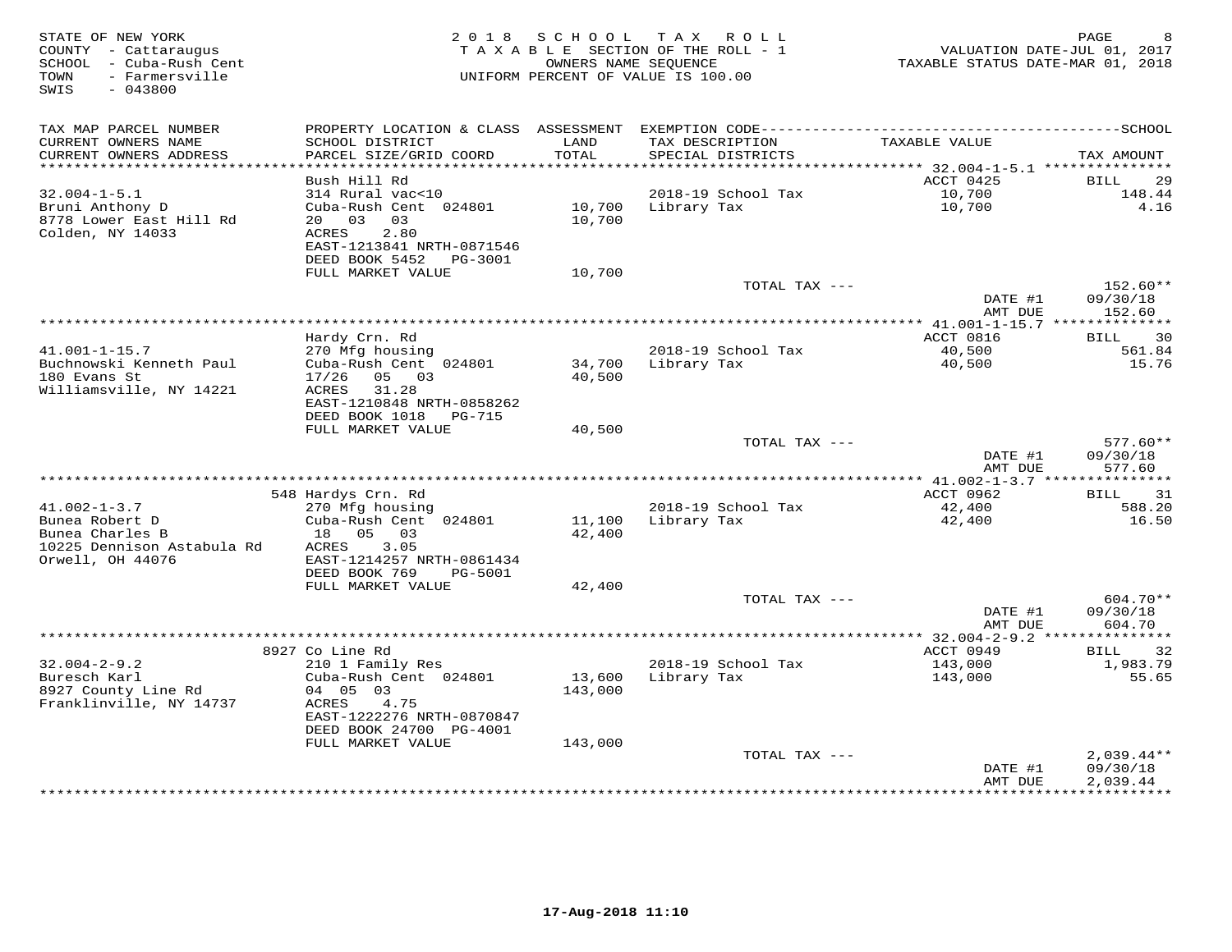| STATE OF NEW YORK<br>COUNTY - Cattaraugus<br>SCHOOL - Cuba-Rush Cent<br>- Farmersville<br>TOWN<br>$-043800$<br>SWIS | 2 0 1 8                                                                                | SCHOOL            | TAX ROLL<br>TAXABLE SECTION OF THE ROLL - 1<br>OWNERS NAME SEQUENCE<br>UNIFORM PERCENT OF VALUE IS 100.00 | VALUATION DATE-JUL 01, 2017<br>TAXABLE STATUS DATE-MAR 01, 2018 | PAGE<br>8                            |
|---------------------------------------------------------------------------------------------------------------------|----------------------------------------------------------------------------------------|-------------------|-----------------------------------------------------------------------------------------------------------|-----------------------------------------------------------------|--------------------------------------|
| TAX MAP PARCEL NUMBER                                                                                               | PROPERTY LOCATION & CLASS ASSESSMENT                                                   |                   |                                                                                                           |                                                                 |                                      |
| CURRENT OWNERS NAME<br>CURRENT OWNERS ADDRESS                                                                       | SCHOOL DISTRICT<br>PARCEL SIZE/GRID COORD<br>*************************                 | LAND<br>TOTAL     | TAX DESCRIPTION<br>SPECIAL DISTRICTS                                                                      | TAXABLE VALUE                                                   | TAX AMOUNT                           |
| ***********************                                                                                             | Bush Hill Rd                                                                           |                   |                                                                                                           | ACCT 0425                                                       | 29<br>BILL                           |
| $32.004 - 1 - 5.1$                                                                                                  | 314 Rural vac<10                                                                       |                   | 2018-19 School Tax                                                                                        | 10,700                                                          | 148.44                               |
| Bruni Anthony D<br>8778 Lower East Hill Rd<br>Colden, NY 14033                                                      | Cuba-Rush Cent 024801<br>20 03<br>03<br>2.80<br>ACRES                                  | 10,700<br>10,700  | Library Tax                                                                                               | 10,700                                                          | 4.16                                 |
|                                                                                                                     | EAST-1213841 NRTH-0871546<br>DEED BOOK 5452<br>PG-3001                                 |                   |                                                                                                           |                                                                 |                                      |
|                                                                                                                     | FULL MARKET VALUE                                                                      | 10,700            | TOTAL TAX ---                                                                                             |                                                                 | 152.60**                             |
|                                                                                                                     |                                                                                        |                   |                                                                                                           | DATE #1<br>AMT DUE                                              | 09/30/18<br>152.60                   |
|                                                                                                                     |                                                                                        |                   |                                                                                                           | ************** 41.001-1-15.7 ***************                    |                                      |
|                                                                                                                     | Hardy Crn. Rd                                                                          |                   |                                                                                                           | ACCT 0816                                                       | 30<br>BILL                           |
| $41.001 - 1 - 15.7$                                                                                                 | 270 Mfg housing                                                                        |                   | 2018-19 School Tax                                                                                        | 40,500                                                          | 561.84                               |
| Buchnowski Kenneth Paul<br>180 Evans St<br>Williamsville, NY 14221                                                  | Cuba-Rush Cent 024801<br>05 03<br>17/26<br>ACRES<br>31.28<br>EAST-1210848 NRTH-0858262 | 34,700<br>40,500  | Library Tax                                                                                               | 40,500                                                          | 15.76                                |
|                                                                                                                     | DEED BOOK 1018<br>PG-715                                                               |                   |                                                                                                           |                                                                 |                                      |
|                                                                                                                     | FULL MARKET VALUE                                                                      | 40,500            |                                                                                                           |                                                                 |                                      |
|                                                                                                                     |                                                                                        |                   | TOTAL TAX ---                                                                                             | DATE #1<br>AMT DUE                                              | $577.60**$<br>09/30/18<br>577.60     |
|                                                                                                                     |                                                                                        |                   |                                                                                                           |                                                                 |                                      |
|                                                                                                                     | 548 Hardys Crn. Rd                                                                     |                   |                                                                                                           | ACCT 0962                                                       | 31<br>BILL                           |
| $41.002 - 1 - 3.7$<br>Bunea Robert D                                                                                | 270 Mfg housing<br>Cuba-Rush Cent 024801                                               | 11,100            | 2018-19 School Tax<br>Library Tax                                                                         | 42,400<br>42,400                                                | 588.20<br>16.50                      |
| Bunea Charles B                                                                                                     | 18 05<br>03                                                                            | 42,400            |                                                                                                           |                                                                 |                                      |
| 10225 Dennison Astabula Rd<br>Orwell, OH 44076                                                                      | ACRES<br>3.05<br>EAST-1214257 NRTH-0861434                                             |                   |                                                                                                           |                                                                 |                                      |
|                                                                                                                     | DEED BOOK 769<br><b>PG-5001</b>                                                        |                   |                                                                                                           |                                                                 |                                      |
|                                                                                                                     | FULL MARKET VALUE                                                                      | 42,400            |                                                                                                           |                                                                 | 604.70**                             |
|                                                                                                                     |                                                                                        |                   | TOTAL TAX ---                                                                                             | DATE #1<br>AMT DUE                                              | 09/30/18<br>604.70                   |
|                                                                                                                     |                                                                                        |                   |                                                                                                           |                                                                 |                                      |
|                                                                                                                     | 8927 Co Line Rd                                                                        |                   |                                                                                                           | ACCT 0949                                                       | 32<br><b>BILL</b>                    |
| $32.004 - 2 - 9.2$                                                                                                  | 210 1 Family Res                                                                       |                   | 2018-19 School Tax                                                                                        | 143,000                                                         | 1,983.79                             |
| Buresch Karl<br>8927 County Line Rd<br>Franklinville, NY 14737                                                      | Cuba-Rush Cent 024801<br>04 05 03<br>4.75<br>ACRES                                     | 13,600<br>143,000 | Library Tax                                                                                               | 143,000                                                         | 55.65                                |
|                                                                                                                     | EAST-1222276 NRTH-0870847<br>DEED BOOK 24700 PG-4001                                   |                   |                                                                                                           |                                                                 |                                      |
|                                                                                                                     | FULL MARKET VALUE                                                                      | 143,000           |                                                                                                           |                                                                 |                                      |
|                                                                                                                     |                                                                                        |                   | TOTAL TAX ---                                                                                             | DATE #1<br>AMT DUE                                              | $2,039.44**$<br>09/30/18<br>2,039.44 |
|                                                                                                                     |                                                                                        |                   |                                                                                                           | **************                                                  | **********                           |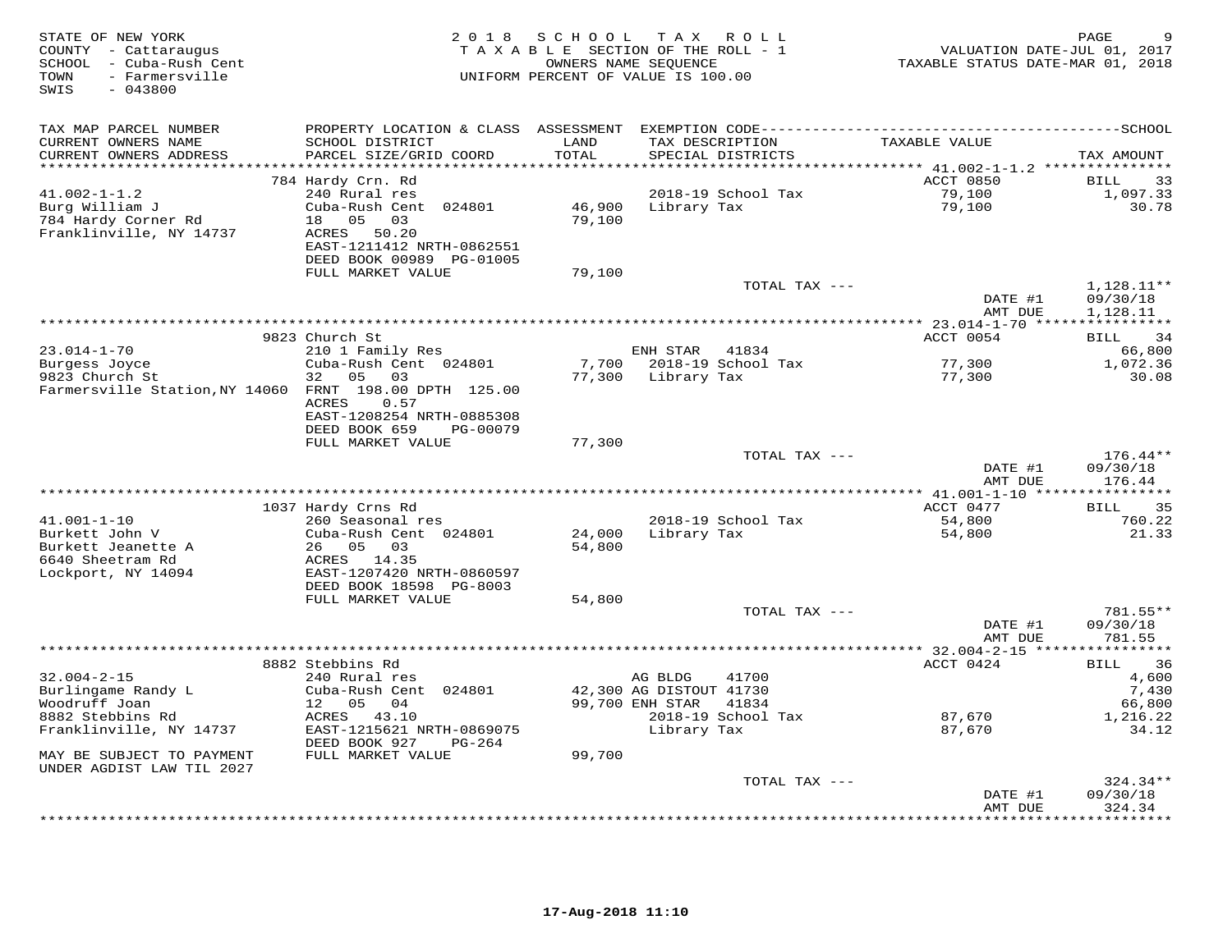| STATE OF NEW YORK<br>COUNTY - Cattaraugus<br>SCHOOL - Cuba-Rush Cent<br>- Farmersville<br>TOWN<br>SWIS<br>$-043800$ | 2 0 1 8                                                                                                                   | SCHOOL<br>TAXABLE SECTION OF THE ROLL - 1<br>OWNERS NAME SEQUENCE<br>UNIFORM PERCENT OF VALUE IS 100.00 | T A X                                      | ROLL               | VALUATION DATE-JUL 01, 2017<br>TAXABLE STATUS DATE-MAR 01, 2018 | PAGE                            |
|---------------------------------------------------------------------------------------------------------------------|---------------------------------------------------------------------------------------------------------------------------|---------------------------------------------------------------------------------------------------------|--------------------------------------------|--------------------|-----------------------------------------------------------------|---------------------------------|
| TAX MAP PARCEL NUMBER<br>CURRENT OWNERS NAME                                                                        | SCHOOL DISTRICT                                                                                                           | LAND                                                                                                    | TAX DESCRIPTION                            |                    | TAXABLE VALUE                                                   |                                 |
| CURRENT OWNERS ADDRESS                                                                                              | PARCEL SIZE/GRID COORD                                                                                                    | TOTAL                                                                                                   |                                            | SPECIAL DISTRICTS  |                                                                 | TAX AMOUNT                      |
| **********************                                                                                              |                                                                                                                           | ********************                                                                                    |                                            |                    | ******************************** 41.002-1-1.2 ****************  |                                 |
| $41.002 - 1 - 1.2$<br>Burg William J<br>784 Hardy Corner Rd<br>Franklinville, NY 14737                              | 784 Hardy Crn. Rd<br>240 Rural res<br>Cuba-Rush Cent 024801<br>05<br>18<br>03<br>ACRES 50.20<br>EAST-1211412 NRTH-0862551 | 46,900<br>79,100                                                                                        | Library Tax                                | 2018-19 School Tax | ACCT 0850<br>79,100<br>79,100                                   | BILL<br>33<br>1,097.33<br>30.78 |
|                                                                                                                     | DEED BOOK 00989 PG-01005<br>FULL MARKET VALUE                                                                             | 79,100                                                                                                  |                                            |                    |                                                                 |                                 |
|                                                                                                                     |                                                                                                                           |                                                                                                         |                                            | TOTAL TAX ---      | DATE #1                                                         | 1,128.11**<br>09/30/18          |
|                                                                                                                     |                                                                                                                           |                                                                                                         |                                            |                    | AMT DUE                                                         | 1,128.11                        |
|                                                                                                                     | 9823 Church St                                                                                                            |                                                                                                         |                                            |                    | ACCT 0054                                                       | BILL<br>34                      |
| $23.014 - 1 - 70$                                                                                                   | 210 1 Family Res                                                                                                          |                                                                                                         | ENH STAR                                   | 41834              |                                                                 | 66,800                          |
| Burgess Joyce<br>9823 Church St<br>Farmersville Station, NY 14060 FRNT 198.00 DPTH 125.00                           | Cuba-Rush Cent 024801<br>32<br>05<br>03                                                                                   | 7,700<br>77,300                                                                                         | Library Tax                                | 2018-19 School Tax | 77,300<br>77,300                                                | 1,072.36<br>30.08               |
|                                                                                                                     | <b>ACRES</b><br>0.57<br>EAST-1208254 NRTH-0885308                                                                         |                                                                                                         |                                            |                    |                                                                 |                                 |
|                                                                                                                     | DEED BOOK 659<br>PG-00079<br>FULL MARKET VALUE                                                                            | 77,300                                                                                                  |                                            |                    |                                                                 |                                 |
|                                                                                                                     |                                                                                                                           |                                                                                                         |                                            | TOTAL TAX ---      |                                                                 | $176.44**$                      |
|                                                                                                                     |                                                                                                                           |                                                                                                         |                                            |                    | DATE #1<br>AMT DUE                                              | 09/30/18<br>176.44              |
|                                                                                                                     | 1037 Hardy Crns Rd                                                                                                        |                                                                                                         |                                            |                    | ACCT 0477                                                       | 35<br>BILL                      |
| $41.001 - 1 - 10$                                                                                                   | 260 Seasonal res                                                                                                          |                                                                                                         |                                            | 2018-19 School Tax | 54,800                                                          | 760.22                          |
| Burkett John V<br>Burkett Jeanette A                                                                                | Cuba-Rush Cent 024801<br>26 05 03                                                                                         | 24,000<br>54,800                                                                                        | Library Tax                                |                    | 54,800                                                          | 21.33                           |
| 6640 Sheetram Rd<br>Lockport, NY 14094                                                                              | ACRES 14.35<br>EAST-1207420 NRTH-0860597<br>DEED BOOK 18598 PG-8003                                                       |                                                                                                         |                                            |                    |                                                                 |                                 |
|                                                                                                                     | FULL MARKET VALUE                                                                                                         | 54,800                                                                                                  |                                            |                    |                                                                 |                                 |
|                                                                                                                     |                                                                                                                           |                                                                                                         |                                            | TOTAL TAX ---      | DATE #1<br>AMT DUE                                              | 781.55**<br>09/30/18<br>781.55  |
|                                                                                                                     |                                                                                                                           |                                                                                                         |                                            |                    | *********** 32.004-2-15 ****                                    | * * * * * * * * * *             |
|                                                                                                                     | 8882 Stebbins Rd                                                                                                          |                                                                                                         |                                            |                    | ACCT 0424                                                       | 36<br>BILL                      |
| $32.004 - 2 - 15$                                                                                                   | 240 Rural res                                                                                                             |                                                                                                         | AG BLDG                                    | 41700              |                                                                 | 4,600                           |
| Burlingame Randy L<br>Woodruff Joan                                                                                 | Cuba-Rush Cent 024801<br>12 05<br>04                                                                                      |                                                                                                         | 42,300 AG DISTOUT 41730<br>99,700 ENH STAR | 41834              |                                                                 | 7,430<br>66,800                 |
| 8882 Stebbins Rd                                                                                                    | ACRES 43.10                                                                                                               |                                                                                                         |                                            | 2018-19 School Tax | 87,670                                                          | 1,216.22                        |
| Franklinville, NY 14737                                                                                             | EAST-1215621 NRTH-0869075<br>DEED BOOK 927<br>PG-264                                                                      |                                                                                                         | Library Tax                                |                    | 87,670                                                          | 34.12                           |
| MAY BE SUBJECT TO PAYMENT                                                                                           | FULL MARKET VALUE                                                                                                         | 99,700                                                                                                  |                                            |                    |                                                                 |                                 |
| UNDER AGDIST LAW TIL 2027                                                                                           |                                                                                                                           |                                                                                                         |                                            | TOTAL TAX ---      |                                                                 | $324.34**$                      |
|                                                                                                                     |                                                                                                                           |                                                                                                         |                                            |                    | DATE #1                                                         | 09/30/18                        |
|                                                                                                                     |                                                                                                                           |                                                                                                         |                                            |                    | AMT DUE                                                         | 324.34<br>* * * * * * * *       |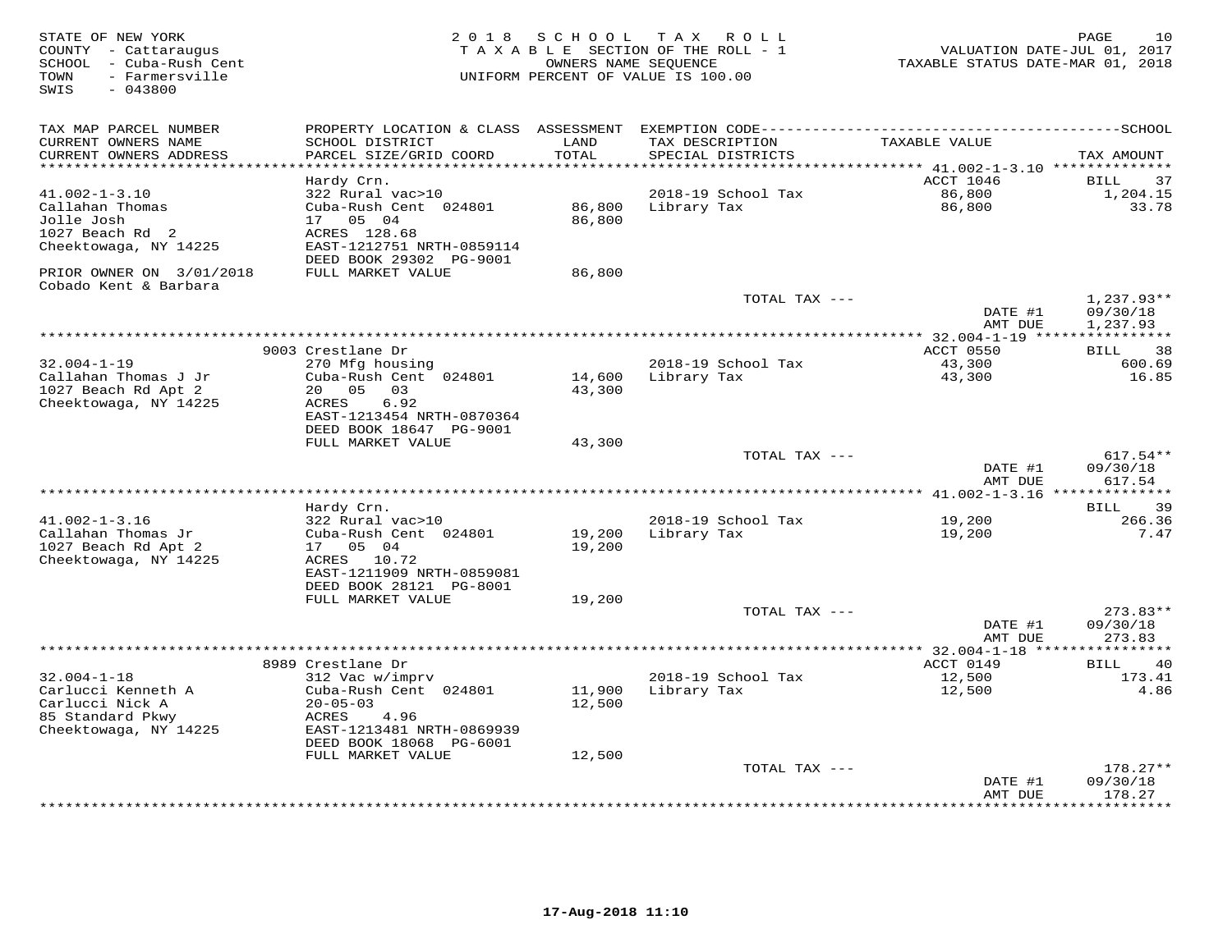| STATE OF NEW YORK<br>COUNTY - Cattaraugus<br>- Cuba-Rush Cent<br>SCHOOL<br>- Farmersville<br>TOWN<br>$-043800$<br>SWIS | 2 0 1 8                                                         | SCHOOL                        | T A X<br>ROLL<br>TAXABLE SECTION OF THE ROLL - 1<br>OWNERS NAME SEQUENCE<br>UNIFORM PERCENT OF VALUE IS 100.00 | VALUATION DATE-JUL 01, 2017<br>TAXABLE STATUS DATE-MAR 01, 2018 | 10<br>PAGE                        |
|------------------------------------------------------------------------------------------------------------------------|-----------------------------------------------------------------|-------------------------------|----------------------------------------------------------------------------------------------------------------|-----------------------------------------------------------------|-----------------------------------|
| TAX MAP PARCEL NUMBER                                                                                                  | PROPERTY LOCATION & CLASS                                       | ASSESSMENT                    |                                                                                                                |                                                                 |                                   |
| CURRENT OWNERS NAME<br>CURRENT OWNERS ADDRESS<br>********************                                                  | SCHOOL DISTRICT<br>PARCEL SIZE/GRID COORD<br>****************** | LAND<br>TOTAL<br>************ | TAX DESCRIPTION<br>SPECIAL DISTRICTS                                                                           | TAXABLE VALUE                                                   | TAX AMOUNT                        |
|                                                                                                                        | Hardy Crn.                                                      |                               |                                                                                                                | ACCT 1046                                                       | 37<br>BILL                        |
| $41.002 - 1 - 3.10$                                                                                                    | 322 Rural vac>10                                                |                               | 2018-19 School Tax                                                                                             | 86,800                                                          | 1,204.15                          |
| Callahan Thomas                                                                                                        | Cuba-Rush Cent 024801                                           | 86,800                        | Library Tax                                                                                                    | 86,800                                                          | 33.78                             |
| Jolle Josh                                                                                                             | 05 04<br>17                                                     | 86,800                        |                                                                                                                |                                                                 |                                   |
| 1027 Beach Rd 2                                                                                                        | ACRES 128.68                                                    |                               |                                                                                                                |                                                                 |                                   |
| Cheektowaga, NY 14225                                                                                                  | EAST-1212751 NRTH-0859114                                       |                               |                                                                                                                |                                                                 |                                   |
| PRIOR OWNER ON 3/01/2018<br>Cobado Kent & Barbara                                                                      | DEED BOOK 29302 PG-9001<br>FULL MARKET VALUE                    | 86,800                        |                                                                                                                |                                                                 |                                   |
|                                                                                                                        |                                                                 |                               | TOTAL TAX ---                                                                                                  | DATE #1                                                         | $1,237.93**$<br>09/30/18          |
|                                                                                                                        |                                                                 |                               |                                                                                                                | AMT DUE                                                         | 1,237.93                          |
|                                                                                                                        |                                                                 |                               |                                                                                                                |                                                                 |                                   |
|                                                                                                                        | 9003 Crestlane Dr                                               |                               |                                                                                                                | ACCT 0550                                                       | 38<br>BILL                        |
| $32.004 - 1 - 19$                                                                                                      | 270 Mfg housing                                                 |                               | 2018-19 School Tax                                                                                             | 43,300                                                          | 600.69                            |
| Callahan Thomas J Jr                                                                                                   | Cuba-Rush Cent 024801<br>20<br>05                               | 14,600<br>43,300              | Library Tax                                                                                                    | 43,300                                                          | 16.85                             |
| 1027 Beach Rd Apt 2<br>Cheektowaga, NY 14225                                                                           | 03<br>6.92<br>ACRES                                             |                               |                                                                                                                |                                                                 |                                   |
|                                                                                                                        | EAST-1213454 NRTH-0870364<br>DEED BOOK 18647 PG-9001            |                               |                                                                                                                |                                                                 |                                   |
|                                                                                                                        | FULL MARKET VALUE                                               | 43,300                        |                                                                                                                |                                                                 |                                   |
|                                                                                                                        |                                                                 |                               | TOTAL TAX ---                                                                                                  |                                                                 | $617.54**$                        |
|                                                                                                                        |                                                                 |                               |                                                                                                                | DATE #1<br>AMT DUE                                              | 09/30/18<br>617.54                |
|                                                                                                                        |                                                                 |                               |                                                                                                                |                                                                 | ************<br><b>BILL</b><br>39 |
| $41.002 - 1 - 3.16$                                                                                                    | Hardy Crn.<br>322 Rural vac>10                                  |                               | 2018-19 School Tax                                                                                             | 19,200                                                          | 266.36                            |
| Callahan Thomas Jr                                                                                                     | Cuba-Rush Cent 024801                                           | 19,200                        | Library Tax                                                                                                    | 19,200                                                          | 7.47                              |
| 1027 Beach Rd Apt 2                                                                                                    | 17  05  04                                                      | 19,200                        |                                                                                                                |                                                                 |                                   |
| Cheektowaga, NY 14225                                                                                                  | ACRES 10.72                                                     |                               |                                                                                                                |                                                                 |                                   |
|                                                                                                                        | EAST-1211909 NRTH-0859081                                       |                               |                                                                                                                |                                                                 |                                   |
|                                                                                                                        | DEED BOOK 28121 PG-8001                                         |                               |                                                                                                                |                                                                 |                                   |
|                                                                                                                        | FULL MARKET VALUE                                               | 19,200                        | TOTAL TAX ---                                                                                                  |                                                                 | $273.83**$                        |
|                                                                                                                        |                                                                 |                               |                                                                                                                | DATE #1                                                         | 09/30/18                          |
|                                                                                                                        |                                                                 |                               |                                                                                                                | AMT DUE                                                         | 273.83                            |
|                                                                                                                        | *************************                                       |                               | *************************                                                                                      | ** 32.004-1-18 **                                               |                                   |
|                                                                                                                        | 8989 Crestlane Dr                                               |                               |                                                                                                                | ACCT 0149                                                       | 40<br>BILL                        |
| $32.004 - 1 - 18$                                                                                                      | 312 Vac w/imprv                                                 |                               | 2018-19 School Tax                                                                                             | 12,500                                                          | 173.41                            |
| Carlucci Kenneth A                                                                                                     | Cuba-Rush Cent 024801                                           | 11,900                        | Library Tax                                                                                                    | 12,500                                                          | 4.86                              |
| Carlucci Nick A<br>85 Standard Pkwy                                                                                    | $20 - 05 - 03$<br>ACRES<br>4.96                                 | 12,500                        |                                                                                                                |                                                                 |                                   |
| Cheektowaga, NY 14225                                                                                                  | EAST-1213481 NRTH-0869939<br>DEED BOOK 18068 PG-6001            |                               |                                                                                                                |                                                                 |                                   |
|                                                                                                                        | FULL MARKET VALUE                                               | 12,500                        |                                                                                                                |                                                                 |                                   |
|                                                                                                                        |                                                                 |                               | TOTAL TAX ---                                                                                                  |                                                                 | $178.27**$                        |
|                                                                                                                        |                                                                 |                               |                                                                                                                | DATE #1                                                         | 09/30/18                          |
|                                                                                                                        |                                                                 |                               |                                                                                                                | AMT DUE                                                         | 178.27<br>* * * * * * * * *       |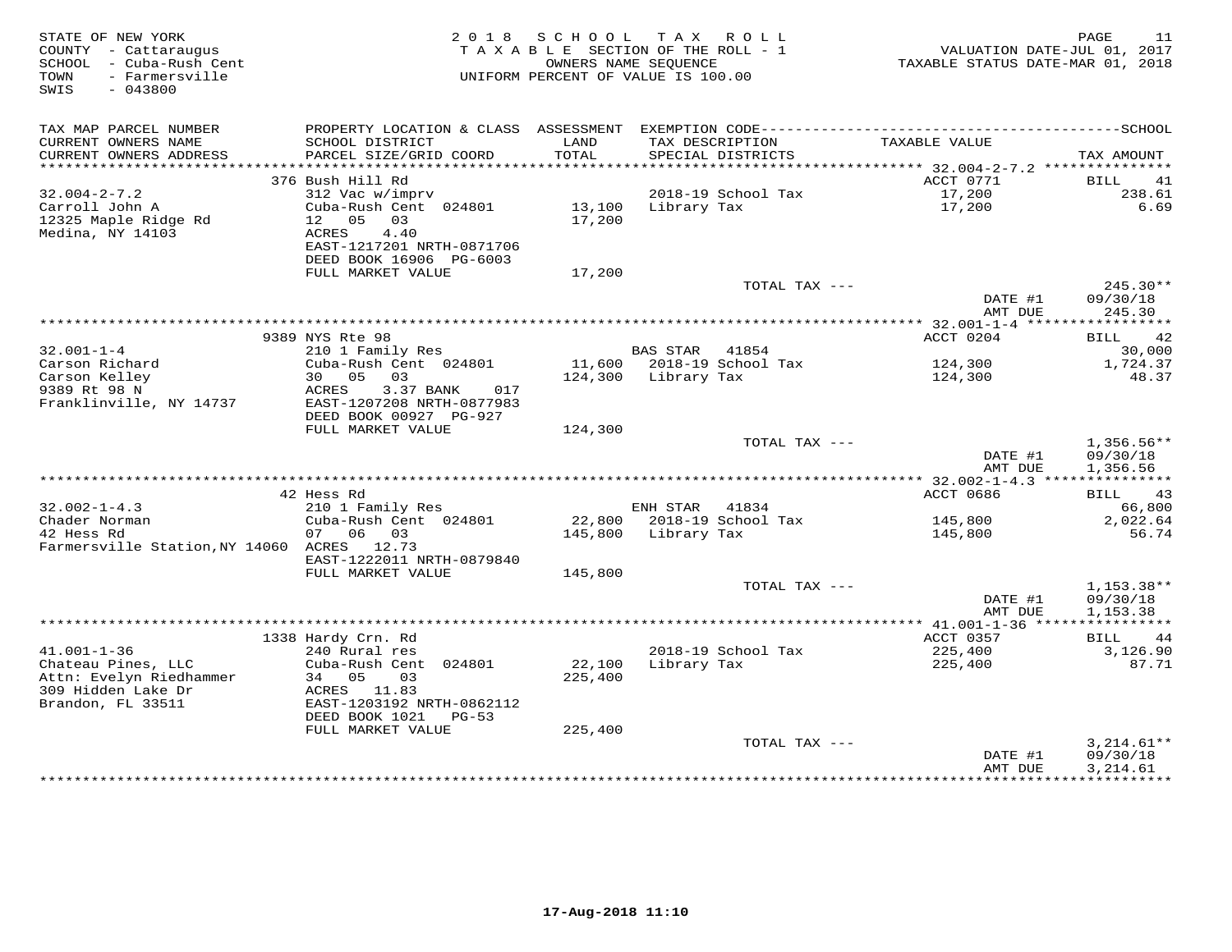| STATE OF NEW YORK<br>COUNTY - Cattaraugus<br>SCHOOL - Cuba-Rush Cent<br>- Farmersville<br>TOWN<br>SWIS<br>$-043800$ | 2 0 1 8                                              | S C H O O L<br>TAXABLE SECTION OF THE ROLL - 1<br>OWNERS NAME SEQUENCE<br>UNIFORM PERCENT OF VALUE IS 100.00 | T A X               | R O L L                              | VALUATION DATE-JUL 01, 2017<br>TAXABLE STATUS DATE-MAR 01, 2018 | PAGE<br>11               |
|---------------------------------------------------------------------------------------------------------------------|------------------------------------------------------|--------------------------------------------------------------------------------------------------------------|---------------------|--------------------------------------|-----------------------------------------------------------------|--------------------------|
| TAX MAP PARCEL NUMBER<br>CURRENT OWNERS NAME                                                                        | SCHOOL DISTRICT                                      | LAND<br>TOTAL                                                                                                |                     | TAX DESCRIPTION<br>SPECIAL DISTRICTS | TAXABLE VALUE                                                   |                          |
| CURRENT OWNERS ADDRESS<br>***********************                                                                   | PARCEL SIZE/GRID COORD                               |                                                                                                              |                     |                                      |                                                                 | TAX AMOUNT               |
|                                                                                                                     | 376 Bush Hill Rd                                     |                                                                                                              |                     |                                      | ACCT 0771                                                       | BILL<br>41               |
| $32.004 - 2 - 7.2$                                                                                                  | 312 Vac w/imprv                                      |                                                                                                              |                     | 2018-19 School Tax                   | 17,200                                                          | 238.61                   |
| Carroll John A<br>12325 Maple Ridge Rd<br>Medina, NY 14103                                                          | Cuba-Rush Cent 024801<br>12  05  03<br>ACRES<br>4.40 | 13,100<br>17,200                                                                                             | Library Tax         |                                      | 17,200                                                          | 6.69                     |
|                                                                                                                     | EAST-1217201 NRTH-0871706<br>DEED BOOK 16906 PG-6003 |                                                                                                              |                     |                                      |                                                                 |                          |
|                                                                                                                     | FULL MARKET VALUE                                    | 17,200                                                                                                       |                     |                                      |                                                                 |                          |
|                                                                                                                     |                                                      |                                                                                                              |                     | TOTAL TAX ---                        |                                                                 | $245.30**$               |
|                                                                                                                     |                                                      |                                                                                                              |                     |                                      | DATE #1<br>AMT DUE                                              | 09/30/18<br>245.30       |
|                                                                                                                     |                                                      |                                                                                                              |                     |                                      |                                                                 | * * * * * * * * * * *    |
|                                                                                                                     | 9389 NYS Rte 98                                      |                                                                                                              |                     |                                      | ACCT 0204                                                       | BILL<br>42               |
| $32.001 - 1 - 4$                                                                                                    | 210 1 Family Res                                     |                                                                                                              | BAS STAR            | 41854                                | 124,300                                                         | 30,000<br>1,724.37       |
| Carson Richard<br>Carson Kelley                                                                                     | Cuba-Rush Cent 024801<br>30 05<br>03                 |                                                                                                              | 124,300 Library Tax | 11,600 2018-19 School Tax            | 124,300                                                         | 48.37                    |
| 9389 Rt 98 N                                                                                                        | ACRES<br>3.37 BANK<br>017                            |                                                                                                              |                     |                                      |                                                                 |                          |
| Franklinville, NY 14737                                                                                             | EAST-1207208 NRTH-0877983                            |                                                                                                              |                     |                                      |                                                                 |                          |
|                                                                                                                     | DEED BOOK 00927 PG-927                               |                                                                                                              |                     |                                      |                                                                 |                          |
|                                                                                                                     | FULL MARKET VALUE                                    | 124,300                                                                                                      |                     |                                      |                                                                 |                          |
|                                                                                                                     |                                                      |                                                                                                              |                     | TOTAL TAX ---                        | DATE #1                                                         | $1,356.56**$<br>09/30/18 |
|                                                                                                                     |                                                      |                                                                                                              |                     |                                      | AMT DUE                                                         | 1,356.56                 |
|                                                                                                                     |                                                      |                                                                                                              |                     |                                      |                                                                 |                          |
|                                                                                                                     | 42 Hess Rd                                           |                                                                                                              |                     |                                      | ACCT 0686                                                       | BILL 43                  |
| $32.002 - 1 - 4.3$                                                                                                  | 210 1 Family Res                                     |                                                                                                              | ENH STAR 41834      |                                      |                                                                 | 66,800                   |
| Chader Norman                                                                                                       | Cuba-Rush Cent 024801                                |                                                                                                              |                     | 22,800 2018-19 School Tax            | 145,800                                                         | 2,022.64                 |
| 42 Hess Rd                                                                                                          | 07 06 03                                             |                                                                                                              | 145,800 Library Tax |                                      | 145,800                                                         | 56.74                    |
| Farmersville Station, NY 14060 ACRES 12.73                                                                          | EAST-1222011 NRTH-0879840                            |                                                                                                              |                     |                                      |                                                                 |                          |
|                                                                                                                     | FULL MARKET VALUE                                    | 145,800                                                                                                      |                     |                                      |                                                                 |                          |
|                                                                                                                     |                                                      |                                                                                                              |                     | TOTAL TAX ---                        |                                                                 | $1,153.38**$             |
|                                                                                                                     |                                                      |                                                                                                              |                     |                                      | DATE #1                                                         | 09/30/18                 |
|                                                                                                                     |                                                      |                                                                                                              |                     |                                      | AMT DUE                                                         | 1,153.38                 |
|                                                                                                                     |                                                      |                                                                                                              |                     |                                      | ************** 41.001-1-36 *****************                    |                          |
| $41.001 - 1 - 36$                                                                                                   | 1338 Hardy Crn. Rd                                   |                                                                                                              |                     |                                      | ACCT 0357                                                       | <b>BILL</b><br>44        |
| Chateau Pines, LLC                                                                                                  | 240 Rural res<br>Cuba-Rush Cent 024801               | 22,100                                                                                                       | Library Tax         | 2018-19 School Tax                   | 225,400<br>225,400                                              | 3,126.90<br>87.71        |
| Attn: Evelyn Riedhammer                                                                                             | 34 05<br>03                                          | 225,400                                                                                                      |                     |                                      |                                                                 |                          |
| 309 Hidden Lake Dr                                                                                                  | ACRES 11.83                                          |                                                                                                              |                     |                                      |                                                                 |                          |
| Brandon, FL 33511                                                                                                   | EAST-1203192 NRTH-0862112                            |                                                                                                              |                     |                                      |                                                                 |                          |
|                                                                                                                     | DEED BOOK 1021 PG-53                                 |                                                                                                              |                     |                                      |                                                                 |                          |
|                                                                                                                     | FULL MARKET VALUE                                    | 225,400                                                                                                      |                     |                                      |                                                                 |                          |
|                                                                                                                     |                                                      |                                                                                                              |                     | TOTAL TAX ---                        | DATE #1                                                         | $3,214.61**$<br>09/30/18 |
|                                                                                                                     |                                                      |                                                                                                              |                     |                                      | AMT DUE                                                         | 3,214.61                 |
|                                                                                                                     |                                                      |                                                                                                              |                     |                                      |                                                                 |                          |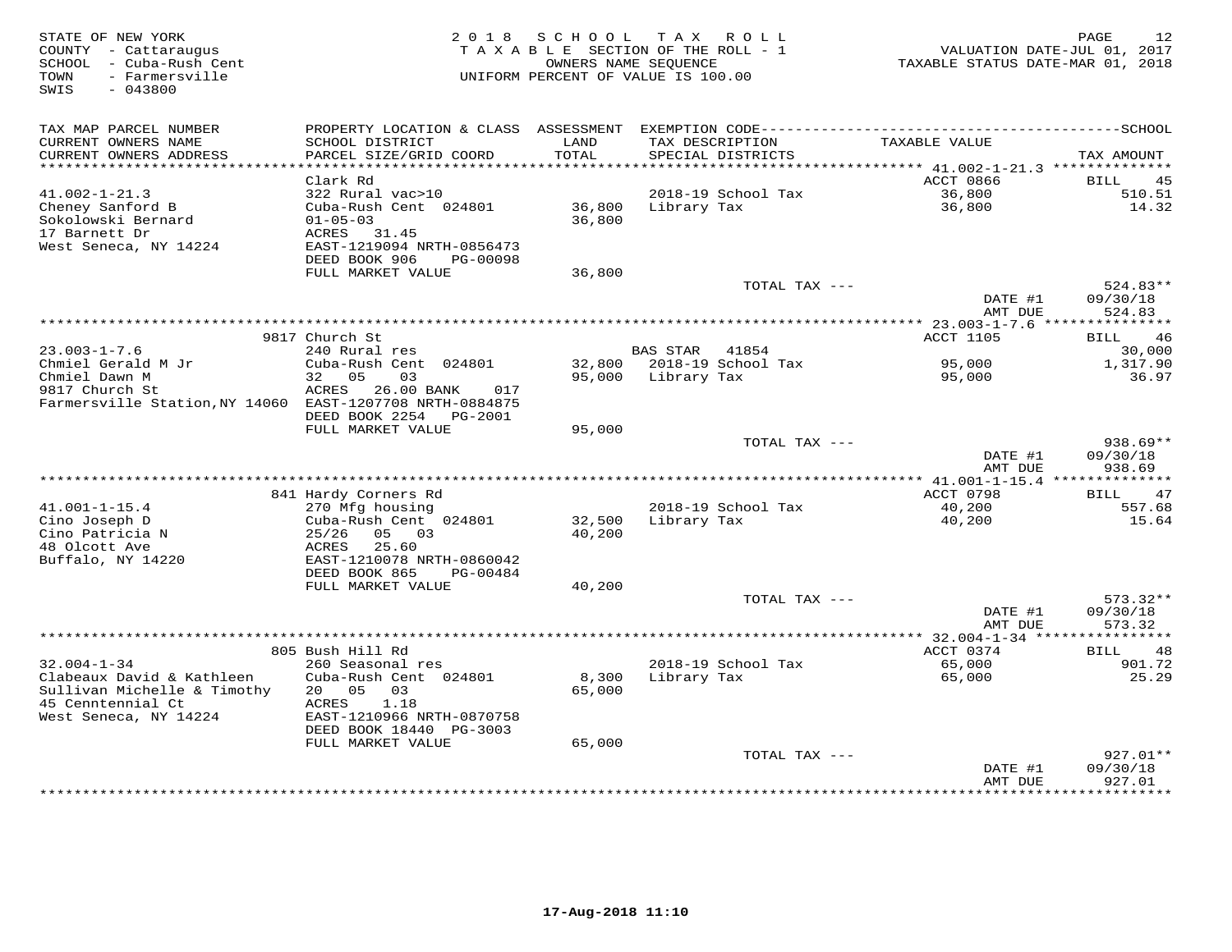| STATE OF NEW YORK<br>COUNTY - Cattaraugus<br>SCHOOL - Cuba-Rush Cent<br>- Farmersville<br>TOWN<br>$-043800$<br>SWIS | 2 0 1 8                                                               | SCHOOL           | T A X<br>ROLL<br>TAXABLE SECTION OF THE ROLL - 1<br>OWNERS NAME SEQUENCE<br>UNIFORM PERCENT OF VALUE IS 100.00 | VALUATION DATE-JUL 01, 2017<br>TAXABLE STATUS DATE-MAR 01, 2018 | 12<br>PAGE           |
|---------------------------------------------------------------------------------------------------------------------|-----------------------------------------------------------------------|------------------|----------------------------------------------------------------------------------------------------------------|-----------------------------------------------------------------|----------------------|
| TAX MAP PARCEL NUMBER                                                                                               | PROPERTY LOCATION & CLASS                                             |                  |                                                                                                                |                                                                 |                      |
| CURRENT OWNERS NAME<br>CURRENT OWNERS ADDRESS<br>***********************                                            | SCHOOL DISTRICT<br>PARCEL SIZE/GRID COORD<br>************************ | LAND<br>TOTAL    | TAX DESCRIPTION<br>SPECIAL DISTRICTS                                                                           | TAXABLE VALUE                                                   | TAX AMOUNT           |
|                                                                                                                     | Clark Rd                                                              |                  |                                                                                                                | ACCT 0866                                                       | BILL<br>45           |
| $41.002 - 1 - 21.3$                                                                                                 | 322 Rural vac>10                                                      |                  | 2018-19 School Tax                                                                                             | 36,800                                                          | 510.51               |
| Cheney Sanford B<br>Sokolowski Bernard<br>17 Barnett Dr                                                             | Cuba-Rush Cent 024801<br>$01 - 05 - 03$<br>ACRES<br>31.45             | 36,800<br>36,800 | Library Tax                                                                                                    | 36,800                                                          | 14.32                |
| West Seneca, NY 14224                                                                                               | EAST-1219094 NRTH-0856473<br>DEED BOOK 906<br>PG-00098                |                  |                                                                                                                |                                                                 |                      |
|                                                                                                                     | FULL MARKET VALUE                                                     | 36,800           |                                                                                                                |                                                                 | 524.83**             |
|                                                                                                                     |                                                                       |                  | TOTAL TAX ---                                                                                                  | DATE #1<br>AMT DUE                                              | 09/30/18<br>524.83   |
|                                                                                                                     |                                                                       |                  | ********************************                                                                               | **** 23.003-1-7.6 ******                                        | *********            |
|                                                                                                                     | 9817 Church St                                                        |                  |                                                                                                                | <b>ACCT 1105</b>                                                | 46<br>BILL           |
| $23.003 - 1 - 7.6$                                                                                                  | 240 Rural res                                                         |                  | <b>BAS STAR</b><br>41854                                                                                       |                                                                 | 30,000               |
| Chmiel Gerald M Jr<br>Chmiel Dawn M                                                                                 | Cuba-Rush Cent 024801<br>05<br>32<br>03                               | 32,800<br>95,000 | 2018-19 School Tax<br>Library Tax                                                                              | 95,000<br>95,000                                                | 1,317.90<br>36.97    |
| 9817 Church St<br>Farmersville Station, NY 14060 EAST-1207708 NRTH-0884875                                          | ACRES<br>26.00 BANK<br>017                                            |                  |                                                                                                                |                                                                 |                      |
|                                                                                                                     | DEED BOOK 2254<br>PG-2001<br>FULL MARKET VALUE                        | 95,000           |                                                                                                                |                                                                 |                      |
|                                                                                                                     |                                                                       |                  | TOTAL TAX ---                                                                                                  |                                                                 | 938.69**             |
|                                                                                                                     |                                                                       |                  |                                                                                                                | DATE #1<br>AMT DUE                                              | 09/30/18<br>938.69   |
|                                                                                                                     |                                                                       |                  |                                                                                                                |                                                                 | **************       |
| $41.001 - 1 - 15.4$                                                                                                 | 841 Hardy Corners Rd                                                  |                  | 2018-19 School Tax                                                                                             | ACCT 0798<br>40,200                                             | 47<br>BILL<br>557.68 |
| Cino Joseph D                                                                                                       | 270 Mfg housing<br>Cuba-Rush Cent 024801                              | 32,500           | Library Tax                                                                                                    | 40,200                                                          | 15.64                |
| Cino Patricia N                                                                                                     | 25/26<br>05 03                                                        | 40,200           |                                                                                                                |                                                                 |                      |
| 48 Olcott Ave                                                                                                       | 25.60<br>ACRES                                                        |                  |                                                                                                                |                                                                 |                      |
| Buffalo, NY 14220                                                                                                   | EAST-1210078 NRTH-0860042                                             |                  |                                                                                                                |                                                                 |                      |
|                                                                                                                     | DEED BOOK 865<br>PG-00484<br>FULL MARKET VALUE                        | 40,200           |                                                                                                                |                                                                 |                      |
|                                                                                                                     |                                                                       |                  | TOTAL TAX ---                                                                                                  |                                                                 | $573.32**$           |
|                                                                                                                     |                                                                       |                  |                                                                                                                | DATE #1                                                         | 09/30/18             |
|                                                                                                                     |                                                                       |                  |                                                                                                                | AMT DUE                                                         | 573.32               |
|                                                                                                                     | 805 Bush Hill Rd                                                      |                  |                                                                                                                | ************ 32.004-1-34 ****<br>ACCT 0374                      | 48<br>BILL           |
| $32.004 - 1 - 34$                                                                                                   | 260 Seasonal res                                                      |                  | 2018-19 School Tax                                                                                             | 65,000                                                          | 901.72               |
| Clabeaux David & Kathleen                                                                                           | Cuba-Rush Cent 024801                                                 | 8,300            | Library Tax                                                                                                    | 65,000                                                          | 25.29                |
| Sullivan Michelle & Timothy                                                                                         | 20 <sub>o</sub><br>0.5<br>03                                          | 65,000           |                                                                                                                |                                                                 |                      |
| 45 Cenntennial Ct<br>West Seneca, NY 14224                                                                          | 1.18<br>ACRES<br>EAST-1210966 NRTH-0870758                            |                  |                                                                                                                |                                                                 |                      |
|                                                                                                                     | DEED BOOK 18440 PG-3003                                               |                  |                                                                                                                |                                                                 |                      |
|                                                                                                                     | FULL MARKET VALUE                                                     | 65,000           | TOTAL TAX ---                                                                                                  |                                                                 | $927.01**$           |
|                                                                                                                     |                                                                       |                  |                                                                                                                | DATE #1<br>AMT DUE                                              | 09/30/18<br>927.01   |
|                                                                                                                     |                                                                       |                  |                                                                                                                |                                                                 | * * * * * * * *      |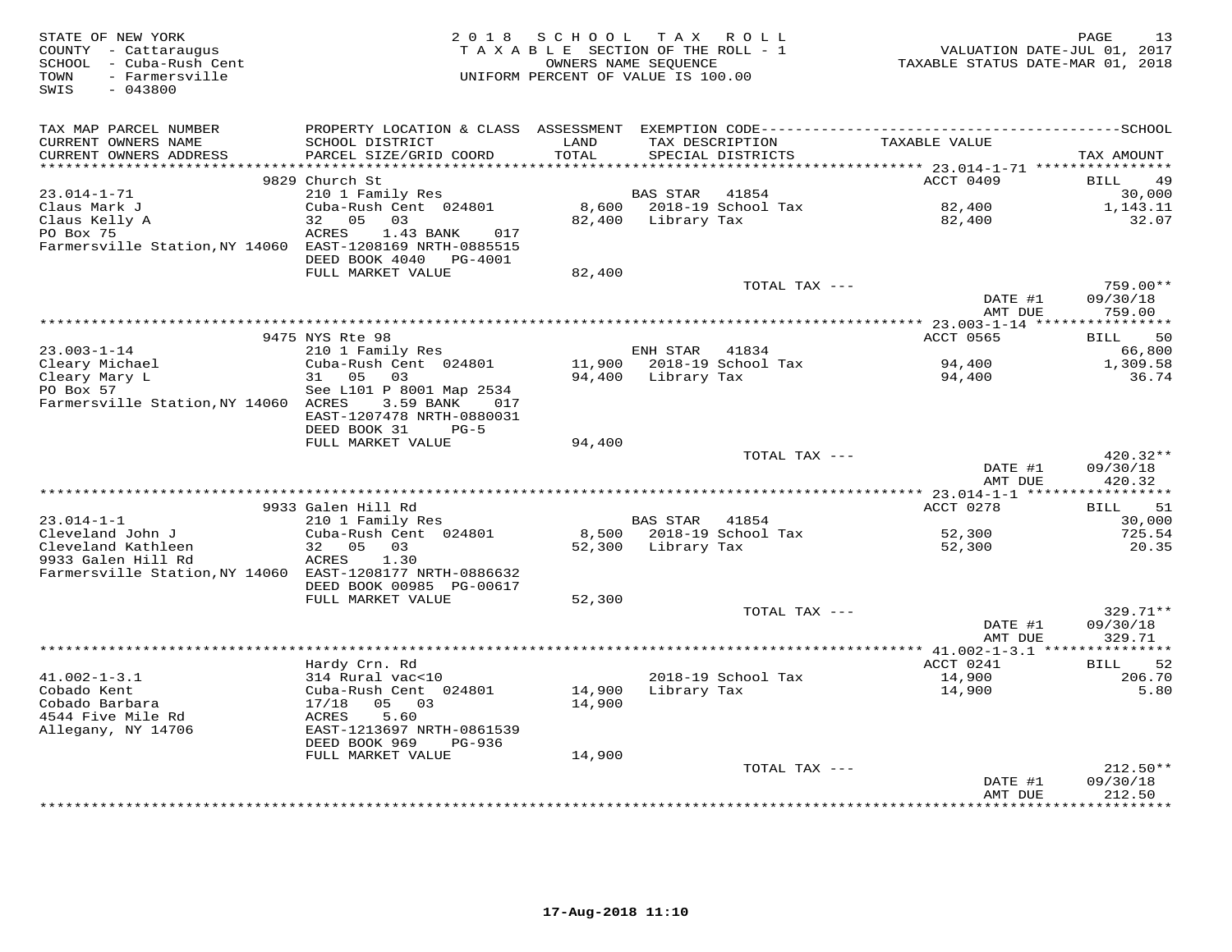| STATE OF NEW YORK<br>COUNTY - Cattaraugus<br>SCHOOL - Cuba-Rush Cent<br>TOWN<br>- Farmersville<br>SWIS<br>$-043800$ | 2 0 1 8                                                                 | SCHOOL<br>TAXABLE SECTION OF THE ROLL - 1<br>UNIFORM PERCENT OF VALUE IS 100.00 | T A X<br>OWNERS NAME SEQUENCE | R O L L                   | VALUATION DATE-JUL 01, 2017<br>TAXABLE STATUS DATE-MAR 01, 2018 | 13<br>PAGE             |
|---------------------------------------------------------------------------------------------------------------------|-------------------------------------------------------------------------|---------------------------------------------------------------------------------|-------------------------------|---------------------------|-----------------------------------------------------------------|------------------------|
| TAX MAP PARCEL NUMBER                                                                                               |                                                                         |                                                                                 |                               |                           |                                                                 |                        |
| CURRENT OWNERS NAME<br>CURRENT OWNERS ADDRESS                                                                       | SCHOOL DISTRICT<br>PARCEL SIZE/GRID COORD                               | LAND<br>TOTAL                                                                   | TAX DESCRIPTION               | SPECIAL DISTRICTS         | TAXABLE VALUE                                                   | TAX AMOUNT             |
| ********************                                                                                                | 9829 Church St                                                          | ***********                                                                     |                               |                           | ******** 23.014-1-71 *****************<br>ACCT 0409             | BILL<br>49             |
| $23.014 - 1 - 71$                                                                                                   | 210 1 Family Res                                                        |                                                                                 | BAS STAR                      | 41854                     |                                                                 | 30,000                 |
| Claus Mark J                                                                                                        | Cuba-Rush Cent 024801                                                   |                                                                                 |                               | 8,600 2018-19 School Tax  | 82,400                                                          | 1,143.11               |
| Claus Kelly A                                                                                                       | 32<br>05<br>03                                                          |                                                                                 | 82,400 Library Tax            |                           | 82,400                                                          | 32.07                  |
| PO Box 75<br>Farmersville Station, NY 14060 EAST-1208169 NRTH-0885515                                               | ACRES<br>1.43 BANK<br>017<br>DEED BOOK 4040<br>PG-4001                  |                                                                                 |                               |                           |                                                                 |                        |
|                                                                                                                     | FULL MARKET VALUE                                                       | 82,400                                                                          |                               |                           |                                                                 |                        |
|                                                                                                                     |                                                                         |                                                                                 |                               | TOTAL TAX ---             | DATE #1                                                         | 759.00**<br>09/30/18   |
|                                                                                                                     |                                                                         |                                                                                 |                               |                           | AMT DUE                                                         | 759.00                 |
|                                                                                                                     | 9475 NYS Rte 98                                                         |                                                                                 |                               |                           | ACCT 0565                                                       | 50<br>BILL             |
| $23.003 - 1 - 14$                                                                                                   | 210 1 Family Res                                                        |                                                                                 | ENH STAR 41834                |                           |                                                                 | 66,800                 |
| Cleary Michael                                                                                                      | Cuba-Rush Cent 024801                                                   |                                                                                 |                               | 11,900 2018-19 School Tax | 94,400                                                          | 1,309.58               |
| Cleary Mary L                                                                                                       | 31 05 03                                                                | 94,400                                                                          | Library Tax                   |                           | 94,400                                                          | 36.74                  |
| PO Box 57                                                                                                           | See L101 P 8001 Map 2534                                                |                                                                                 |                               |                           |                                                                 |                        |
| Farmersville Station, NY 14060 ACRES                                                                                | 3.59 BANK<br>017<br>EAST-1207478 NRTH-0880031<br>DEED BOOK 31<br>$PG-5$ |                                                                                 |                               |                           |                                                                 |                        |
|                                                                                                                     | FULL MARKET VALUE                                                       | 94,400                                                                          |                               |                           |                                                                 |                        |
|                                                                                                                     |                                                                         |                                                                                 |                               | TOTAL TAX ---             |                                                                 | $420.32**$             |
|                                                                                                                     |                                                                         |                                                                                 |                               |                           | DATE #1<br>AMT DUE                                              | 09/30/18<br>420.32     |
|                                                                                                                     |                                                                         |                                                                                 |                               |                           |                                                                 |                        |
|                                                                                                                     | 9933 Galen Hill Rd                                                      |                                                                                 |                               |                           | ACCT 0278                                                       | 51<br>BILL             |
| $23.014 - 1 - 1$                                                                                                    | 210 1 Family Res                                                        |                                                                                 | BAS STAR                      | 41854                     |                                                                 | 30,000                 |
| Cleveland John J<br>Cleveland Kathleen                                                                              | Cuba-Rush Cent 024801<br>32 05<br>03                                    |                                                                                 | 52,300 Library Tax            | 8,500 2018-19 School Tax  | 52,300<br>52,300                                                | 725.54<br>20.35        |
| 9933 Galen Hill Rd                                                                                                  | ACRES<br>1.30                                                           |                                                                                 |                               |                           |                                                                 |                        |
| Farmersville Station, NY 14060 EAST-1208177 NRTH-0886632                                                            | DEED BOOK 00985 PG-00617                                                |                                                                                 |                               |                           |                                                                 |                        |
|                                                                                                                     | FULL MARKET VALUE                                                       | 52,300                                                                          |                               |                           |                                                                 |                        |
|                                                                                                                     |                                                                         |                                                                                 |                               | TOTAL TAX ---             |                                                                 | 329.71**               |
|                                                                                                                     |                                                                         |                                                                                 |                               |                           | DATE #1<br>AMT DUE                                              | 09/30/18               |
|                                                                                                                     |                                                                         |                                                                                 |                               |                           |                                                                 | 329.71<br>************ |
|                                                                                                                     | Hardy Crn. Rd                                                           |                                                                                 |                               |                           | ACCT 0241                                                       | 52<br>BILL             |
| $41.002 - 1 - 3.1$                                                                                                  | 314 Rural vac<10                                                        |                                                                                 |                               | 2018-19 School Tax        | 14,900                                                          | 206.70                 |
| Cobado Kent                                                                                                         | Cuba-Rush Cent 024801                                                   | 14,900                                                                          | Library Tax                   |                           | 14,900                                                          | 5.80                   |
| Cobado Barbara                                                                                                      | 17/18<br>05<br>03                                                       | 14,900                                                                          |                               |                           |                                                                 |                        |
| 4544 Five Mile Rd<br>Allegany, NY 14706                                                                             | ACRES<br>5.60<br>EAST-1213697 NRTH-0861539                              |                                                                                 |                               |                           |                                                                 |                        |
|                                                                                                                     | DEED BOOK 969<br>PG-936                                                 |                                                                                 |                               |                           |                                                                 |                        |
|                                                                                                                     | FULL MARKET VALUE                                                       | 14,900                                                                          |                               |                           |                                                                 |                        |
|                                                                                                                     |                                                                         |                                                                                 |                               | TOTAL TAX ---             |                                                                 | $212.50**$             |
|                                                                                                                     |                                                                         |                                                                                 |                               |                           | DATE #1<br>AMT DUE                                              | 09/30/18<br>212.50     |
|                                                                                                                     |                                                                         |                                                                                 |                               |                           | **************                                                  | * * * * * * * * *      |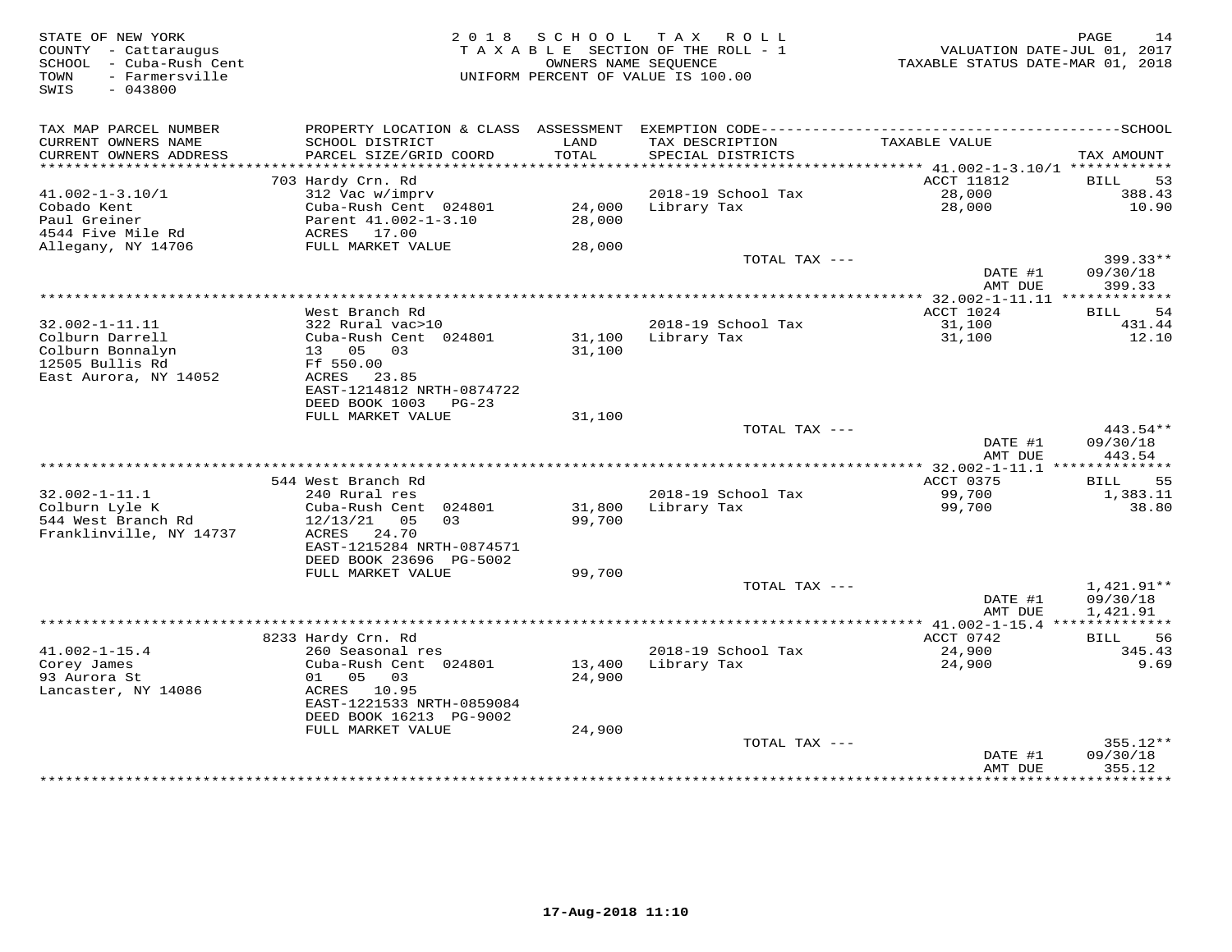| STATE OF NEW YORK<br>COUNTY - Cattaraugus<br>- Cuba-Rush Cent<br>SCHOOL<br>TOWN<br>- Farmersville<br>$-043800$<br>SWIS | 2 0 1 8                                       | S C H O O L      | T A X<br>R O L L<br>TAXABLE SECTION OF THE ROLL - 1<br>OWNERS NAME SEQUENCE<br>UNIFORM PERCENT OF VALUE IS 100.00 | VALUATION DATE-JUL 01, 2017<br>TAXABLE STATUS DATE-MAR 01, 2018 | PAGE<br>14           |
|------------------------------------------------------------------------------------------------------------------------|-----------------------------------------------|------------------|-------------------------------------------------------------------------------------------------------------------|-----------------------------------------------------------------|----------------------|
| TAX MAP PARCEL NUMBER<br>CURRENT OWNERS NAME<br>CURRENT OWNERS ADDRESS                                                 | SCHOOL DISTRICT<br>PARCEL SIZE/GRID COORD     | LAND<br>TOTAL    | TAX DESCRIPTION<br>SPECIAL DISTRICTS                                                                              | TAXABLE VALUE                                                   | TAX AMOUNT           |
| **********************                                                                                                 |                                               |                  |                                                                                                                   |                                                                 |                      |
|                                                                                                                        | 703 Hardy Crn. Rd                             |                  |                                                                                                                   | ACCT 11812                                                      | 53<br><b>BILL</b>    |
| $41.002 - 1 - 3.10/1$                                                                                                  | 312 Vac w/imprv                               |                  | 2018-19 School Tax                                                                                                | 28,000                                                          | 388.43               |
| Cobado Kent<br>Paul Greiner                                                                                            | Cuba-Rush Cent 024801<br>Parent 41.002-1-3.10 | 24,000<br>28,000 | Library Tax                                                                                                       | 28,000                                                          | 10.90                |
| 4544 Five Mile Rd                                                                                                      | ACRES 17.00                                   |                  |                                                                                                                   |                                                                 |                      |
| Allegany, NY 14706                                                                                                     | FULL MARKET VALUE                             | 28,000           |                                                                                                                   |                                                                 |                      |
|                                                                                                                        |                                               |                  | TOTAL TAX ---                                                                                                     |                                                                 | $399.33**$           |
|                                                                                                                        |                                               |                  |                                                                                                                   | DATE #1<br>AMT DUE                                              | 09/30/18<br>399.33   |
|                                                                                                                        |                                               |                  |                                                                                                                   | ************ 32.002-1-11.11 **************                      |                      |
|                                                                                                                        | West Branch Rd                                |                  |                                                                                                                   | ACCT 1024                                                       | 54<br>BILL           |
| $32.002 - 1 - 11.11$                                                                                                   | 322 Rural vac>10                              |                  | 2018-19 School Tax                                                                                                | 31,100                                                          | 431.44               |
| Colburn Darrell<br>Colburn Bonnalyn                                                                                    | Cuba-Rush Cent 024801<br>13 05<br>03          |                  | 31,100 Library Tax                                                                                                | 31,100                                                          | 12.10                |
| 12505 Bullis Rd                                                                                                        | Ff 550.00                                     | 31,100           |                                                                                                                   |                                                                 |                      |
| East Aurora, NY 14052                                                                                                  | ACRES 23.85                                   |                  |                                                                                                                   |                                                                 |                      |
|                                                                                                                        | EAST-1214812 NRTH-0874722                     |                  |                                                                                                                   |                                                                 |                      |
|                                                                                                                        | DEED BOOK 1003 PG-23                          |                  |                                                                                                                   |                                                                 |                      |
|                                                                                                                        | FULL MARKET VALUE                             | 31,100           |                                                                                                                   |                                                                 |                      |
|                                                                                                                        |                                               |                  | TOTAL TAX ---                                                                                                     |                                                                 | 443.54**             |
|                                                                                                                        |                                               |                  |                                                                                                                   | DATE #1<br>AMT DUE                                              | 09/30/18<br>443.54   |
|                                                                                                                        | 544 West Branch Rd                            |                  |                                                                                                                   | ACCT 0375                                                       | 55                   |
| $32.002 - 1 - 11.1$                                                                                                    | 240 Rural res                                 |                  | 2018-19 School Tax                                                                                                | 99,700                                                          | BILL<br>1,383.11     |
| Colburn Lyle K                                                                                                         | Cuba-Rush Cent 024801                         | 31,800           | Library Tax                                                                                                       | 99,700                                                          | 38.80                |
| 544 West Branch Rd                                                                                                     | $12/13/21$ 05<br>03                           | 99,700           |                                                                                                                   |                                                                 |                      |
| Franklinville, NY 14737                                                                                                | ACRES<br>24.70                                |                  |                                                                                                                   |                                                                 |                      |
|                                                                                                                        | EAST-1215284 NRTH-0874571                     |                  |                                                                                                                   |                                                                 |                      |
|                                                                                                                        | DEED BOOK 23696 PG-5002                       |                  |                                                                                                                   |                                                                 |                      |
|                                                                                                                        | FULL MARKET VALUE                             | 99,700           |                                                                                                                   |                                                                 |                      |
|                                                                                                                        |                                               |                  | TOTAL TAX ---                                                                                                     |                                                                 | 1,421.91**           |
|                                                                                                                        |                                               |                  |                                                                                                                   | DATE #1<br>AMT DUE                                              | 09/30/18<br>1,421.91 |
|                                                                                                                        |                                               |                  |                                                                                                                   |                                                                 |                      |
|                                                                                                                        | 8233 Hardy Crn. Rd                            |                  |                                                                                                                   | ACCT 0742                                                       | <b>BILL</b><br>56    |
| $41.002 - 1 - 15.4$                                                                                                    | 260 Seasonal res                              |                  | 2018-19 School Tax                                                                                                | 24,900                                                          | 345.43               |
| Corey James                                                                                                            | Cuba-Rush Cent 024801                         | 13,400           | Library Tax                                                                                                       | 24,900                                                          | 9.69                 |
| 93 Aurora St                                                                                                           | 05 03<br>01                                   | 24,900           |                                                                                                                   |                                                                 |                      |
| Lancaster, NY 14086                                                                                                    | ACRES<br>10.95                                |                  |                                                                                                                   |                                                                 |                      |
|                                                                                                                        | EAST-1221533 NRTH-0859084                     |                  |                                                                                                                   |                                                                 |                      |
|                                                                                                                        | DEED BOOK 16213 PG-9002<br>FULL MARKET VALUE  | 24,900           |                                                                                                                   |                                                                 |                      |
|                                                                                                                        |                                               |                  | TOTAL TAX ---                                                                                                     |                                                                 | $355.12**$           |
|                                                                                                                        |                                               |                  |                                                                                                                   | DATE #1                                                         | 09/30/18             |
|                                                                                                                        |                                               |                  |                                                                                                                   | AMT DUE                                                         | 355.12               |
|                                                                                                                        |                                               |                  |                                                                                                                   | ****************                                                | *********            |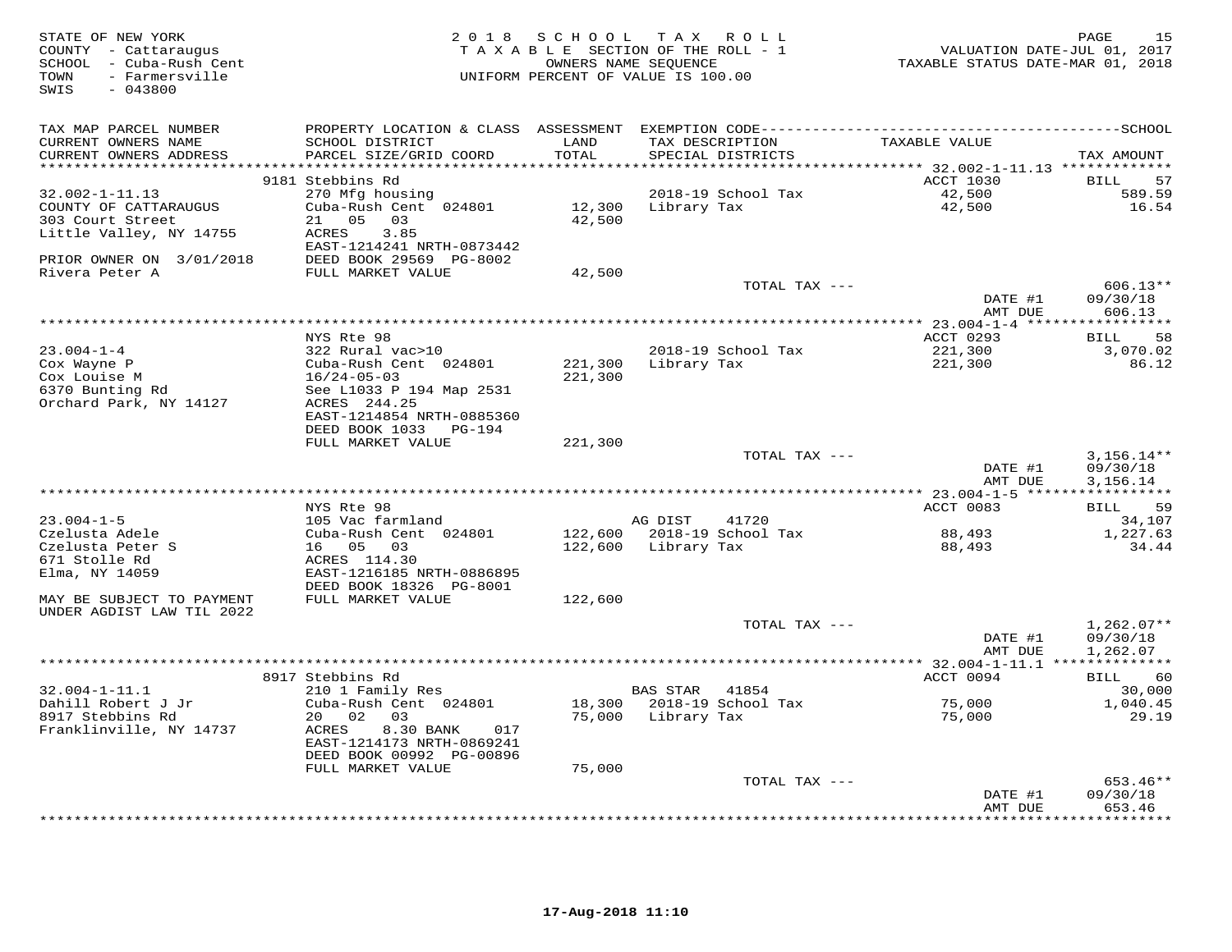| STATE OF NEW YORK<br>COUNTY - Cattaraugus<br>SCHOOL - Cuba-Rush Cent<br>- Farmersville<br>TOWN<br>$-043800$<br>SWIS |                                                       | 2018 SCHOOL   | TAX ROLL<br>TAXABLE SECTION OF THE ROLL - 1<br>OWNERS NAME SEQUENCE<br>UNIFORM PERCENT OF VALUE IS 100.00 | VALUATION DATE-JUL 01, 2017<br>TAXABLE STATUS DATE-MAR 01, 2018 | 15<br>PAGE               |
|---------------------------------------------------------------------------------------------------------------------|-------------------------------------------------------|---------------|-----------------------------------------------------------------------------------------------------------|-----------------------------------------------------------------|--------------------------|
| TAX MAP PARCEL NUMBER                                                                                               |                                                       |               |                                                                                                           |                                                                 |                          |
| CURRENT OWNERS NAME<br>CURRENT OWNERS ADDRESS                                                                       | SCHOOL DISTRICT<br>PARCEL SIZE/GRID COORD             | LAND<br>TOTAL | TAX DESCRIPTION<br>SPECIAL DISTRICTS                                                                      | TAXABLE VALUE                                                   | TAX AMOUNT               |
|                                                                                                                     | 9181 Stebbins Rd                                      |               |                                                                                                           | ACCT 1030                                                       | 57                       |
| $32.002 - 1 - 11.13$                                                                                                | 270 Mfg housing                                       |               | 2018-19 School Tax                                                                                        | 42,500                                                          | BILL<br>589.59           |
| COUNTY OF CATTARAUGUS                                                                                               | Cuba-Rush Cent 024801                                 | 12,300        | Library Tax                                                                                               | 42,500                                                          | 16.54                    |
| 303 Court Street                                                                                                    | 21 05<br>03                                           | 42,500        |                                                                                                           |                                                                 |                          |
| Little Valley, NY 14755                                                                                             | ACRES<br>3.85                                         |               |                                                                                                           |                                                                 |                          |
|                                                                                                                     | EAST-1214241 NRTH-0873442                             |               |                                                                                                           |                                                                 |                          |
| PRIOR OWNER ON 3/01/2018                                                                                            | DEED BOOK 29569 PG-8002                               |               |                                                                                                           |                                                                 |                          |
| Rivera Peter A                                                                                                      | FULL MARKET VALUE                                     | 42,500        |                                                                                                           |                                                                 |                          |
|                                                                                                                     |                                                       |               | TOTAL TAX ---                                                                                             |                                                                 | $606.13**$               |
|                                                                                                                     |                                                       |               |                                                                                                           | DATE #1                                                         | 09/30/18                 |
|                                                                                                                     |                                                       |               |                                                                                                           | AMT DUE                                                         | 606.13                   |
|                                                                                                                     | NYS Rte 98                                            |               |                                                                                                           | ACCT 0293                                                       | 58<br>BILL               |
| $23.004 - 1 - 4$                                                                                                    | 322 Rural vac>10                                      |               | 2018-19 School Tax                                                                                        | 221,300                                                         | 3,070.02                 |
| Cox Wayne P                                                                                                         | Cuba-Rush Cent 024801                                 | 221,300       | Library Tax                                                                                               | 221,300                                                         | 86.12                    |
| Cox Louise M                                                                                                        | $16/24 - 05 - 03$                                     | 221,300       |                                                                                                           |                                                                 |                          |
| 6370 Bunting Rd                                                                                                     | See L1033 P 194 Map 2531                              |               |                                                                                                           |                                                                 |                          |
| Orchard Park, NY 14127                                                                                              | ACRES 244.25                                          |               |                                                                                                           |                                                                 |                          |
|                                                                                                                     | EAST-1214854 NRTH-0885360                             |               |                                                                                                           |                                                                 |                          |
|                                                                                                                     | DEED BOOK 1033<br>PG-194                              |               |                                                                                                           |                                                                 |                          |
|                                                                                                                     | FULL MARKET VALUE                                     | 221,300       |                                                                                                           |                                                                 |                          |
|                                                                                                                     |                                                       |               | TOTAL TAX ---                                                                                             | DATE #1                                                         | $3,156.14**$<br>09/30/18 |
|                                                                                                                     |                                                       |               |                                                                                                           | AMT DUE                                                         | 3,156.14                 |
|                                                                                                                     |                                                       |               |                                                                                                           | *********** 23.004-1-5 ******************                       |                          |
|                                                                                                                     | NYS Rte 98                                            |               |                                                                                                           | ACCT 0083                                                       | 59<br>BILL               |
| $23.004 - 1 - 5$                                                                                                    | 105 Vac farmland                                      |               | 41720<br>AG DIST                                                                                          |                                                                 | 34,107                   |
| Czelusta Adele                                                                                                      | Cuba-Rush Cent 024801                                 |               | 122,600 2018-19 School Tax                                                                                | 88,493                                                          | 1,227.63                 |
| Czelusta Peter S                                                                                                    | 16  05  03                                            | 122,600       | Library Tax                                                                                               | 88,493                                                          | 34.44                    |
| 671 Stolle Rd                                                                                                       | ACRES 114.30                                          |               |                                                                                                           |                                                                 |                          |
| Elma, NY 14059                                                                                                      | EAST-1216185 NRTH-0886895                             |               |                                                                                                           |                                                                 |                          |
|                                                                                                                     | DEED BOOK 18326 PG-8001                               |               |                                                                                                           |                                                                 |                          |
| MAY BE SUBJECT TO PAYMENT<br>UNDER AGDIST LAW TIL 2022                                                              | FULL MARKET VALUE                                     | 122,600       |                                                                                                           |                                                                 |                          |
|                                                                                                                     |                                                       |               | TOTAL TAX ---                                                                                             |                                                                 | $1,262.07**$             |
|                                                                                                                     |                                                       |               |                                                                                                           | DATE #1                                                         | 09/30/18                 |
|                                                                                                                     |                                                       |               |                                                                                                           | AMT DUE                                                         | 1,262.07                 |
|                                                                                                                     |                                                       |               |                                                                                                           | *********** 32.004-1-11.1 **************                        |                          |
|                                                                                                                     | 8917 Stebbins Rd                                      |               |                                                                                                           | ACCT 0094                                                       | 60<br>BILL               |
| $32.004 - 1 - 11.1$                                                                                                 | 210 1 Family Res                                      |               | <b>BAS STAR</b><br>41854                                                                                  |                                                                 | 30,000                   |
| Dahill Robert J Jr                                                                                                  | Cuba-Rush Cent 024801                                 | 18,300        | 2018-19 School Tax                                                                                        | 75,000                                                          | 1,040.45                 |
| 8917 Stebbins Rd                                                                                                    | 20 02<br>03                                           | 75,000        | Library Tax                                                                                               | 75,000                                                          | 29.19                    |
| Franklinville, NY 14737                                                                                             | ACRES<br>8.30 BANK<br>017                             |               |                                                                                                           |                                                                 |                          |
|                                                                                                                     | EAST-1214173 NRTH-0869241<br>DEED BOOK 00992 PG-00896 |               |                                                                                                           |                                                                 |                          |
|                                                                                                                     | FULL MARKET VALUE                                     | 75,000        |                                                                                                           |                                                                 |                          |
|                                                                                                                     |                                                       |               | TOTAL TAX ---                                                                                             |                                                                 | 653.46**                 |
|                                                                                                                     |                                                       |               |                                                                                                           | DATE #1                                                         | 09/30/18                 |
|                                                                                                                     |                                                       |               |                                                                                                           | AMT DUE                                                         | 653.46                   |
|                                                                                                                     |                                                       |               |                                                                                                           |                                                                 | * * * * * * * * *        |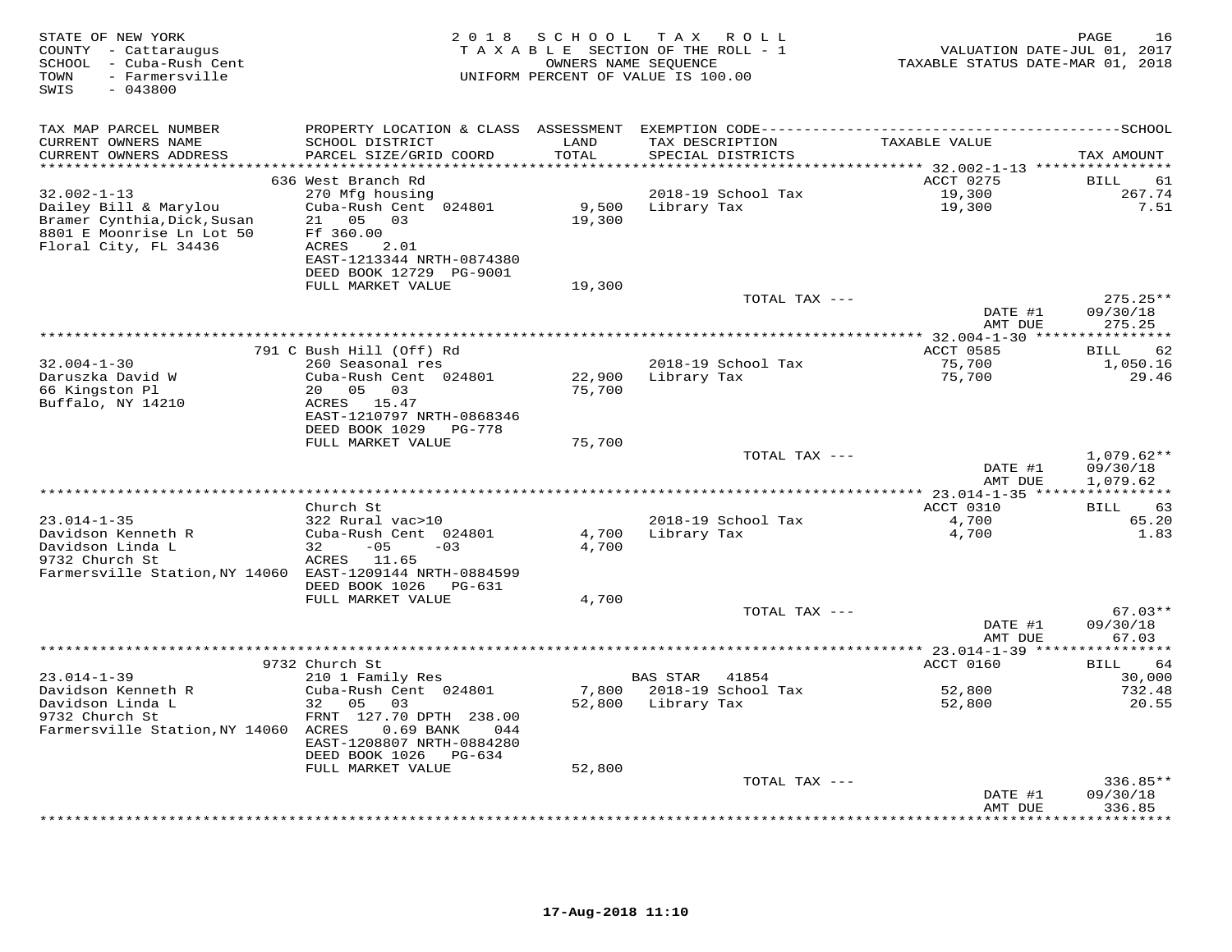| STATE OF NEW YORK<br>COUNTY - Cattaraugus<br>SCHOOL - Cuba-Rush Cent<br>- Farmersville<br>TOWN<br>SWIS<br>$-043800$             | 2 0 1 8                                                                                                           | SCHOOL                  | TAX ROLL<br>TAXABLE SECTION OF THE ROLL - 1<br>OWNERS NAME SEQUENCE<br>UNIFORM PERCENT OF VALUE IS 100.00 | VALUATION DATE-JUL 01, 2017<br>TAXABLE STATUS DATE-MAR 01, 2018 | PAGE<br>16                           |
|---------------------------------------------------------------------------------------------------------------------------------|-------------------------------------------------------------------------------------------------------------------|-------------------------|-----------------------------------------------------------------------------------------------------------|-----------------------------------------------------------------|--------------------------------------|
| TAX MAP PARCEL NUMBER<br>CURRENT OWNERS NAME                                                                                    | SCHOOL DISTRICT                                                                                                   | LAND                    | TAX DESCRIPTION                                                                                           | TAXABLE VALUE                                                   |                                      |
| CURRENT OWNERS ADDRESS                                                                                                          | PARCEL SIZE/GRID COORD                                                                                            | TOTAL                   | SPECIAL DISTRICTS                                                                                         |                                                                 | TAX AMOUNT                           |
| **********************                                                                                                          | 636 West Branch Rd                                                                                                | * * * * * * * * * * * * |                                                                                                           | ACCT 0275                                                       | BILL<br>61                           |
| $32.002 - 1 - 13$<br>Dailey Bill & Marylou<br>Bramer Cynthia, Dick, Susan<br>8801 E Moonrise Ln Lot 50<br>Floral City, FL 34436 | 270 Mfg housing<br>Cuba-Rush Cent 024801<br>21  05  03<br>Ff 360.00<br>ACRES<br>2.01<br>EAST-1213344 NRTH-0874380 | 19,300                  | 2018-19 School Tax<br>9,500 Library Tax                                                                   | 19,300<br>19,300<br>19,300                                      | 267.74<br>7.51                       |
|                                                                                                                                 | DEED BOOK 12729 PG-9001<br>FULL MARKET VALUE                                                                      | 19,300                  |                                                                                                           |                                                                 |                                      |
|                                                                                                                                 |                                                                                                                   |                         | TOTAL TAX ---                                                                                             |                                                                 | $275.25**$                           |
|                                                                                                                                 |                                                                                                                   |                         |                                                                                                           | DATE #1<br>AMT DUE                                              | 09/30/18<br>275.25                   |
|                                                                                                                                 |                                                                                                                   |                         | **************************************                                                                    | **************** 32.004-1-30 *****************                  |                                      |
| $32.004 - 1 - 30$                                                                                                               | 791 C Bush Hill (Off) Rd<br>260 Seasonal res                                                                      |                         | 2018-19 School Tax                                                                                        | ACCT 0585<br>75,700                                             | 62<br>BILL<br>1,050.16               |
| Daruszka David W<br>66 Kingston Pl                                                                                              | Cuba-Rush Cent 024801<br>20 05<br>03                                                                              | 22,900<br>75,700        | Library Tax                                                                                               | 75,700                                                          | 29.46                                |
| Buffalo, NY 14210                                                                                                               | ACRES 15.47<br>EAST-1210797 NRTH-0868346<br>DEED BOOK 1029<br>PG-778                                              |                         |                                                                                                           |                                                                 |                                      |
|                                                                                                                                 | FULL MARKET VALUE                                                                                                 | 75,700                  |                                                                                                           |                                                                 |                                      |
|                                                                                                                                 |                                                                                                                   |                         | TOTAL TAX ---                                                                                             | DATE #1<br>AMT DUE                                              | $1,079.62**$<br>09/30/18<br>1,079.62 |
|                                                                                                                                 | Church St                                                                                                         |                         |                                                                                                           | ACCT 0310                                                       | <b>BILL</b><br>63                    |
| $23.014 - 1 - 35$                                                                                                               | 322 Rural vac>10                                                                                                  |                         | 2018-19 School Tax                                                                                        | 4,700                                                           | 65.20                                |
| Davidson Kenneth R<br>Davidson Linda L                                                                                          | Cuba-Rush Cent 024801<br>$-05$<br>32<br>$-03$                                                                     | 4,700<br>4,700          | Library Tax                                                                                               | 4,700                                                           | 1.83                                 |
| 9732 Church St<br>Farmersville Station, NY 14060 EAST-1209144 NRTH-0884599                                                      | ACRES 11.65<br>DEED BOOK 1026 PG-631                                                                              |                         |                                                                                                           |                                                                 |                                      |
|                                                                                                                                 | FULL MARKET VALUE                                                                                                 | 4,700                   |                                                                                                           |                                                                 |                                      |
|                                                                                                                                 |                                                                                                                   |                         | TOTAL TAX ---                                                                                             | DATE #1<br>AMT DUE                                              | $67.03**$<br>09/30/18<br>67.03       |
|                                                                                                                                 |                                                                                                                   |                         |                                                                                                           |                                                                 |                                      |
| $23.014 - 1 - 39$                                                                                                               | 9732 Church St<br>210 1 Family Res                                                                                |                         | BAS STAR<br>41854                                                                                         | ACCT 0160                                                       | BILL<br>64<br>30,000                 |
| Davidson Kenneth R<br>Davidson Linda L<br>9732 Church St<br>Farmersville Station, NY 14060 ACRES                                | Cuba-Rush Cent 024801<br>32 05<br>03<br>FRNT 127.70 DPTH 238.00<br>0.69 BANK<br>044                               |                         | 7,800 2018-19 School Tax<br>52,800 Library Tax                                                            | 52,800<br>52,800                                                | 732.48<br>20.55                      |
|                                                                                                                                 | EAST-1208807 NRTH-0884280<br>DEED BOOK 1026 PG-634                                                                |                         |                                                                                                           |                                                                 |                                      |
|                                                                                                                                 | FULL MARKET VALUE                                                                                                 | 52,800                  |                                                                                                           |                                                                 |                                      |
|                                                                                                                                 |                                                                                                                   |                         | TOTAL TAX ---                                                                                             | DATE #1                                                         | $336.85**$<br>09/30/18               |
|                                                                                                                                 |                                                                                                                   |                         |                                                                                                           | AMT DUE                                                         | 336.85<br>* * * * * * *              |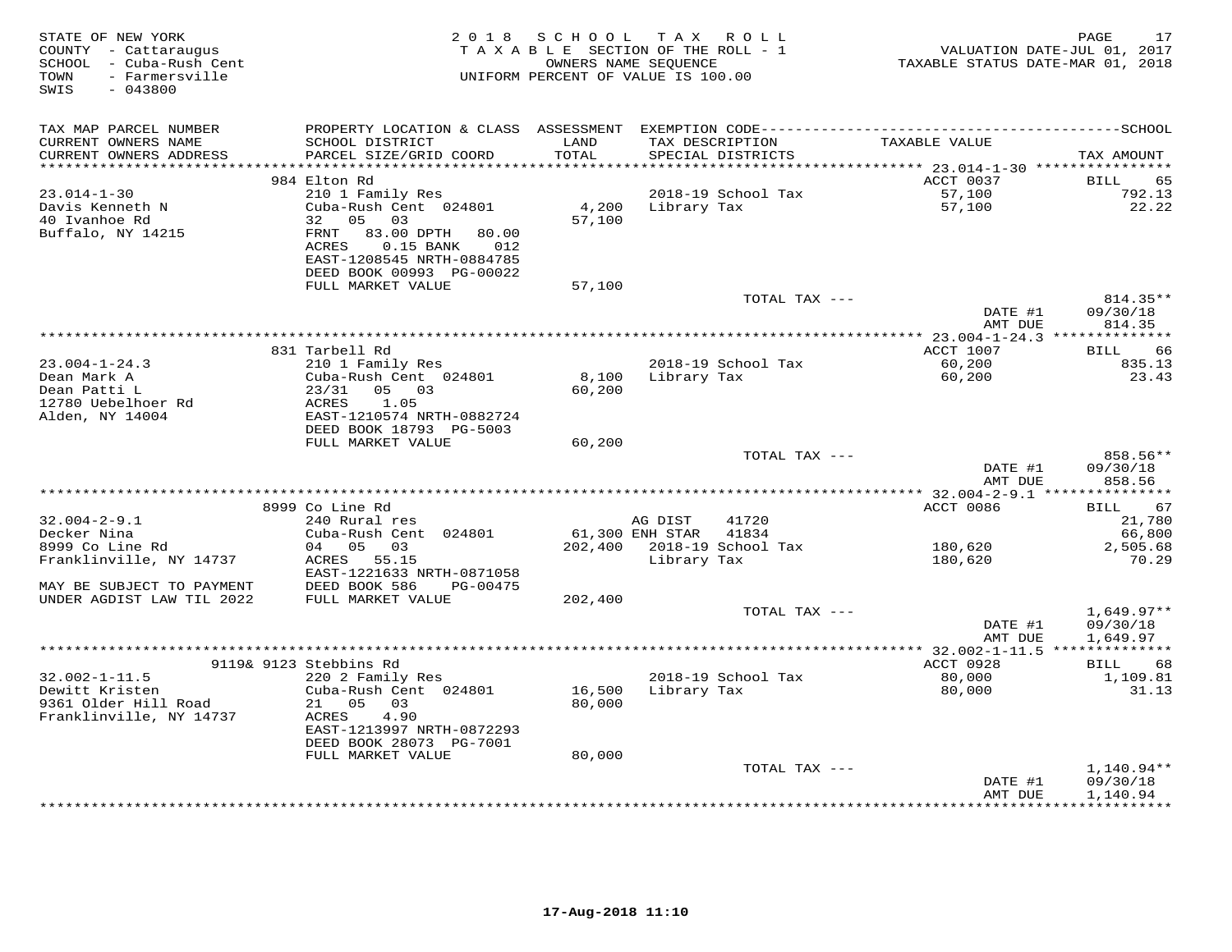| STATE OF NEW YORK<br>COUNTY - Cattaraugus<br>SCHOOL - Cuba-Rush Cent<br>TOWN<br>- Farmersville<br>SWIS<br>$-043800$ |                                                                                                        | 2018 SCHOOL<br>TAXABLE SECTION OF THE ROLL - 1<br>UNIFORM PERCENT OF VALUE IS 100.00 | TAX ROLL<br>OWNERS NAME SEQUENCE |                                      | VALUATION DATE-JUL 01, 2017<br>TAXABLE STATUS DATE-MAR 01, 2018 | PAGE<br>17         |
|---------------------------------------------------------------------------------------------------------------------|--------------------------------------------------------------------------------------------------------|--------------------------------------------------------------------------------------|----------------------------------|--------------------------------------|-----------------------------------------------------------------|--------------------|
| TAX MAP PARCEL NUMBER                                                                                               |                                                                                                        |                                                                                      |                                  |                                      |                                                                 |                    |
| CURRENT OWNERS NAME<br>CURRENT OWNERS ADDRESS<br>************************                                           | SCHOOL DISTRICT<br>PARCEL SIZE/GRID COORD                                                              | LAND<br>TOTAL                                                                        |                                  | TAX DESCRIPTION<br>SPECIAL DISTRICTS | TAXABLE VALUE                                                   | TAX AMOUNT         |
|                                                                                                                     | 984 Elton Rd                                                                                           |                                                                                      |                                  |                                      | ACCT 0037                                                       | BILL<br>65         |
| $23.014 - 1 - 30$                                                                                                   | 210 1 Family Res                                                                                       |                                                                                      |                                  | 2018-19 School Tax                   | 57,100                                                          | 792.13             |
| Davis Kenneth N                                                                                                     | Cuba-Rush Cent 024801                                                                                  | 4,200                                                                                | Library Tax                      |                                      | 57,100                                                          | 22.22              |
| 40 Ivanhoe Rd<br>Buffalo, NY 14215                                                                                  | 32<br>05 03<br>83.00 DPTH<br>FRNT<br>80.00<br>ACRES<br>$0.15$ BANK<br>012<br>EAST-1208545 NRTH-0884785 | 57,100                                                                               |                                  |                                      |                                                                 |                    |
|                                                                                                                     | DEED BOOK 00993 PG-00022<br>FULL MARKET VALUE                                                          | 57,100                                                                               |                                  |                                      |                                                                 |                    |
|                                                                                                                     |                                                                                                        |                                                                                      |                                  | TOTAL TAX ---                        |                                                                 | 814.35**           |
|                                                                                                                     |                                                                                                        |                                                                                      |                                  |                                      | DATE #1<br>AMT DUE                                              | 09/30/18<br>814.35 |
|                                                                                                                     |                                                                                                        |                                                                                      |                                  |                                      |                                                                 |                    |
|                                                                                                                     | 831 Tarbell Rd                                                                                         |                                                                                      |                                  |                                      | ACCT 1007                                                       | 66<br>BILL         |
| $23.004 - 1 - 24.3$<br>Dean Mark A                                                                                  | 210 1 Family Res<br>Cuba-Rush Cent 024801                                                              |                                                                                      | 8,100 Library Tax                | 2018-19 School Tax                   | $60, 200$<br>$60.200$                                           | 835.13<br>23.43    |
| Dean Patti L                                                                                                        | $23/31$ 05 03                                                                                          | 60,200                                                                               |                                  |                                      | 60,200                                                          |                    |
| 12780 Uebelhoer Rd                                                                                                  | 1.05<br>ACRES                                                                                          |                                                                                      |                                  |                                      |                                                                 |                    |
| Alden, NY 14004                                                                                                     | EAST-1210574 NRTH-0882724                                                                              |                                                                                      |                                  |                                      |                                                                 |                    |
|                                                                                                                     | DEED BOOK 18793 PG-5003                                                                                |                                                                                      |                                  |                                      |                                                                 |                    |
|                                                                                                                     | FULL MARKET VALUE                                                                                      | 60,200                                                                               |                                  |                                      |                                                                 |                    |
|                                                                                                                     |                                                                                                        |                                                                                      |                                  | TOTAL TAX ---                        |                                                                 | 858.56**           |
|                                                                                                                     |                                                                                                        |                                                                                      |                                  |                                      | DATE #1<br>AMT DUE                                              | 09/30/18<br>858.56 |
|                                                                                                                     | 8999 Co Line Rd                                                                                        |                                                                                      |                                  |                                      | ACCT 0086                                                       | BILL 67            |
| $32.004 - 2 - 9.1$                                                                                                  | 240 Rural res                                                                                          |                                                                                      | AG DIST                          | 41720                                |                                                                 | 21,780             |
| Decker Nina                                                                                                         | Cuba-Rush Cent 024801                                                                                  |                                                                                      | 61,300 ENH STAR                  | 41834                                |                                                                 | 66,800             |
| 8999 Co Line Rd                                                                                                     | 04 05 03                                                                                               |                                                                                      | 202,400 2018-19 School Tax       |                                      | 180,620                                                         | 2,505.68           |
| Franklinville, NY 14737                                                                                             | ACRES 55.15                                                                                            |                                                                                      | Library Tax                      |                                      | 180,620                                                         | 70.29              |
|                                                                                                                     | EAST-1221633 NRTH-0871058                                                                              |                                                                                      |                                  |                                      |                                                                 |                    |
| MAY BE SUBJECT TO PAYMENT                                                                                           | DEED BOOK 586<br>PG-00475                                                                              |                                                                                      |                                  |                                      |                                                                 |                    |
| UNDER AGDIST LAW TIL 2022                                                                                           | FULL MARKET VALUE                                                                                      | 202,400                                                                              |                                  | TOTAL TAX ---                        |                                                                 | $1,649.97**$       |
|                                                                                                                     |                                                                                                        |                                                                                      |                                  |                                      | DATE #1                                                         | 09/30/18           |
|                                                                                                                     |                                                                                                        |                                                                                      |                                  |                                      | AMT DUE                                                         | 1,649.97           |
|                                                                                                                     |                                                                                                        |                                                                                      |                                  |                                      |                                                                 |                    |
|                                                                                                                     | 9119& 9123 Stebbins Rd                                                                                 |                                                                                      |                                  |                                      | ACCT 0928                                                       | BILL 68            |
| $32.002 - 1 - 11.5$                                                                                                 | 220 2 Family Res                                                                                       |                                                                                      |                                  | 2018-19 School Tax                   | 80,000                                                          | 1,109.81           |
| Dewitt Kristen                                                                                                      | Cuba-Rush Cent 024801                                                                                  | 16,500                                                                               | Library Tax                      |                                      | 80,000                                                          | 31.13              |
| 9361 Older Hill Road<br>Franklinville, NY 14737                                                                     | 21  05  03<br>4.90<br>ACRES                                                                            | 80,000                                                                               |                                  |                                      |                                                                 |                    |
|                                                                                                                     | EAST-1213997 NRTH-0872293                                                                              |                                                                                      |                                  |                                      |                                                                 |                    |
|                                                                                                                     | DEED BOOK 28073 PG-7001<br>FULL MARKET VALUE                                                           | 80,000                                                                               |                                  |                                      |                                                                 |                    |
|                                                                                                                     |                                                                                                        |                                                                                      |                                  | TOTAL TAX ---                        |                                                                 | 1,140.94**         |
|                                                                                                                     |                                                                                                        |                                                                                      |                                  |                                      | DATE #1                                                         | 09/30/18           |
|                                                                                                                     |                                                                                                        |                                                                                      |                                  |                                      | AMT DUE                                                         | 1,140.94           |
|                                                                                                                     |                                                                                                        |                                                                                      |                                  |                                      |                                                                 | **********         |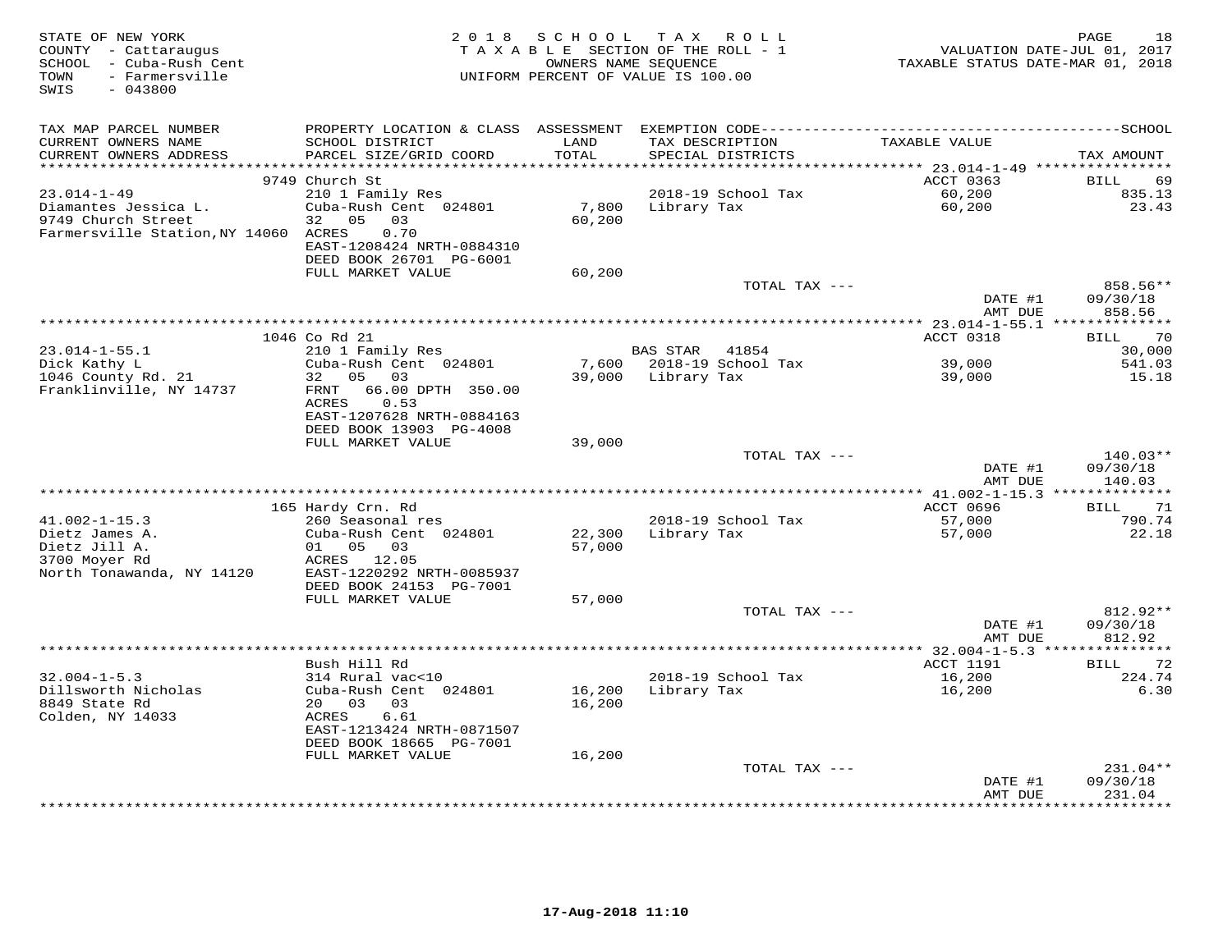| STATE OF NEW YORK<br>COUNTY - Cattaraugus<br>SCHOOL - Cuba-Rush Cent<br>- Farmersville<br>TOWN<br>$-043800$<br>SWIS | 2 0 1 8                                   | S C H O O L<br>OWNERS NAME SEQUENCE | T A X<br>ROLL<br>TAXABLE SECTION OF THE ROLL - 1<br>UNIFORM PERCENT OF VALUE IS 100.00 | TAXABLE STATUS DATE-MAR 01, 2018                 | PAGE<br>18<br>VALUATION DATE-JUL 01, 2017 |
|---------------------------------------------------------------------------------------------------------------------|-------------------------------------------|-------------------------------------|----------------------------------------------------------------------------------------|--------------------------------------------------|-------------------------------------------|
| TAX MAP PARCEL NUMBER                                                                                               | PROPERTY LOCATION & CLASS ASSESSMENT      |                                     |                                                                                        |                                                  |                                           |
| CURRENT OWNERS NAME<br>CURRENT OWNERS ADDRESS                                                                       | SCHOOL DISTRICT<br>PARCEL SIZE/GRID COORD | LAND<br>TOTAL                       | TAX DESCRIPTION<br>SPECIAL DISTRICTS                                                   | TAXABLE VALUE                                    | TAX AMOUNT                                |
| **********************                                                                                              | *****************************             |                                     |                                                                                        |                                                  |                                           |
| $23.014 - 1 - 49$                                                                                                   | 9749 Church St<br>210 1 Family Res        |                                     | 2018-19 School Tax                                                                     | ACCT 0363<br>60,200                              | BILL<br>69<br>835.13                      |
| Diamantes Jessica L.                                                                                                | Cuba-Rush Cent 024801                     | 7,800                               | Library Tax                                                                            | 60,200                                           | 23.43                                     |
| 9749 Church Street                                                                                                  | 05<br>03<br>32                            | 60,200                              |                                                                                        |                                                  |                                           |
| Farmersville Station, NY 14060 ACRES                                                                                | 0.70                                      |                                     |                                                                                        |                                                  |                                           |
|                                                                                                                     | EAST-1208424 NRTH-0884310                 |                                     |                                                                                        |                                                  |                                           |
|                                                                                                                     | DEED BOOK 26701 PG-6001                   |                                     |                                                                                        |                                                  |                                           |
|                                                                                                                     | FULL MARKET VALUE                         | 60,200                              |                                                                                        |                                                  |                                           |
|                                                                                                                     |                                           |                                     | TOTAL TAX ---                                                                          |                                                  | 858.56**                                  |
|                                                                                                                     |                                           |                                     |                                                                                        | DATE #1                                          | 09/30/18                                  |
|                                                                                                                     |                                           |                                     |                                                                                        | AMT DUE                                          | 858.56                                    |
|                                                                                                                     |                                           |                                     |                                                                                        |                                                  |                                           |
|                                                                                                                     | 1046 Co Rd 21                             |                                     |                                                                                        | ACCT 0318                                        | 70<br>BILL                                |
| $23.014 - 1 - 55.1$<br>Dick Kathy L                                                                                 | 210 1 Family Res<br>Cuba-Rush Cent 024801 | 7,600                               | BAS STAR 41854<br>2018-19 School Tax                                                   | 39,000                                           | 30,000<br>541.03                          |
| 1046 County Rd. 21                                                                                                  | 0.5<br>03<br>32                           | 39,000                              | Library Tax                                                                            | 39,000                                           | 15.18                                     |
| Franklinville, NY 14737                                                                                             | 66.00 DPTH 350.00<br>FRNT                 |                                     |                                                                                        |                                                  |                                           |
|                                                                                                                     | ACRES<br>0.53                             |                                     |                                                                                        |                                                  |                                           |
|                                                                                                                     | EAST-1207628 NRTH-0884163                 |                                     |                                                                                        |                                                  |                                           |
|                                                                                                                     | DEED BOOK 13903 PG-4008                   |                                     |                                                                                        |                                                  |                                           |
|                                                                                                                     | FULL MARKET VALUE                         | 39,000                              |                                                                                        |                                                  |                                           |
|                                                                                                                     |                                           |                                     | TOTAL TAX ---                                                                          |                                                  | $140.03**$                                |
|                                                                                                                     |                                           |                                     |                                                                                        | DATE #1<br>AMT DUE                               | 09/30/18<br>140.03                        |
|                                                                                                                     |                                           |                                     |                                                                                        | ****************** 41.002-1-15.3 *************** |                                           |
| $41.002 - 1 - 15.3$                                                                                                 | 165 Hardy Crn. Rd                         |                                     |                                                                                        | ACCT 0696                                        | 71<br>BILL                                |
| Dietz James A.                                                                                                      | 260 Seasonal res<br>Cuba-Rush Cent 024801 | 22,300                              | 2018-19 School Tax<br>Library Tax                                                      | 57,000<br>57,000                                 | 790.74<br>22.18                           |
| Dietz Jill A.                                                                                                       | 01 05 03                                  | 57,000                              |                                                                                        |                                                  |                                           |
| 3700 Moyer Rd                                                                                                       | ACRES 12.05                               |                                     |                                                                                        |                                                  |                                           |
| North Tonawanda, NY 14120                                                                                           | EAST-1220292 NRTH-0085937                 |                                     |                                                                                        |                                                  |                                           |
|                                                                                                                     | DEED BOOK 24153 PG-7001                   |                                     |                                                                                        |                                                  |                                           |
|                                                                                                                     | FULL MARKET VALUE                         | 57,000                              |                                                                                        |                                                  |                                           |
|                                                                                                                     |                                           |                                     | TOTAL TAX ---                                                                          |                                                  | 812.92**                                  |
|                                                                                                                     |                                           |                                     |                                                                                        | DATE #1                                          | 09/30/18                                  |
|                                                                                                                     | *************                             |                                     |                                                                                        | AMT DUE                                          | 812.92                                    |
|                                                                                                                     |                                           |                                     |                                                                                        |                                                  | ***********                               |
| $32.004 - 1 - 5.3$                                                                                                  | Bush Hill Rd                              |                                     |                                                                                        | ACCT 1191                                        | 72<br>BILL                                |
| Dillsworth Nicholas                                                                                                 | 314 Rural vac<10<br>Cuba-Rush Cent 024801 | 16,200                              | 2018-19 School Tax<br>Library Tax                                                      | 16,200<br>16,200                                 | 224.74<br>6.30                            |
| 8849 State Rd                                                                                                       | 20 03<br>03                               | 16,200                              |                                                                                        |                                                  |                                           |
| Colden, NY 14033                                                                                                    | ACRES<br>6.61                             |                                     |                                                                                        |                                                  |                                           |
|                                                                                                                     | EAST-1213424 NRTH-0871507                 |                                     |                                                                                        |                                                  |                                           |
|                                                                                                                     | DEED BOOK 18665 PG-7001                   |                                     |                                                                                        |                                                  |                                           |
|                                                                                                                     | FULL MARKET VALUE                         | 16,200                              |                                                                                        |                                                  |                                           |
|                                                                                                                     |                                           |                                     | TOTAL TAX ---                                                                          |                                                  | $231.04**$                                |
|                                                                                                                     |                                           |                                     |                                                                                        | DATE #1                                          | 09/30/18                                  |
|                                                                                                                     |                                           |                                     |                                                                                        | AMT DUE                                          | 231.04<br>********                        |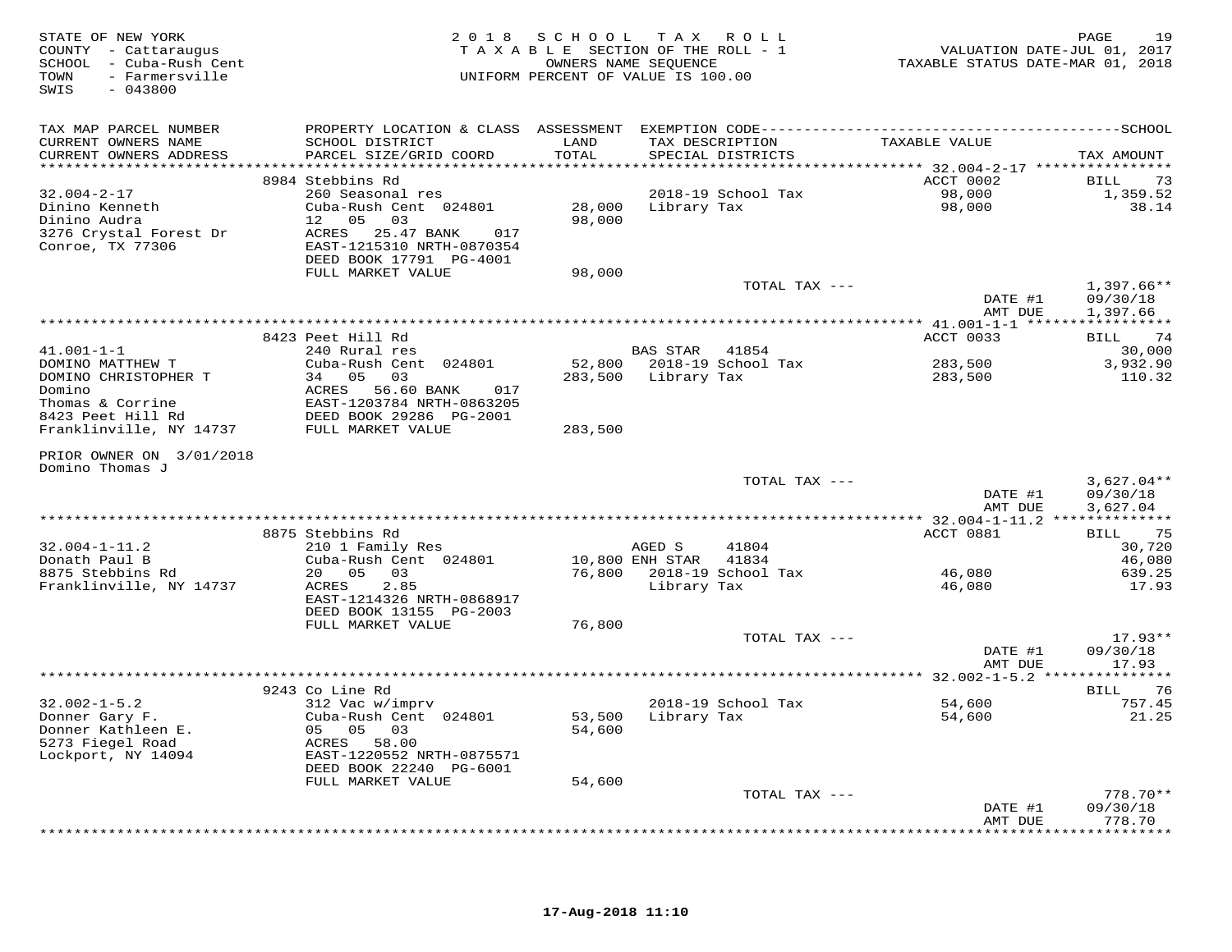| STATE OF NEW YORK<br>COUNTY - Cattaraugus<br>SCHOOL - Cuba-Rush Cent<br>- Farmersville<br>TOWN<br>$-043800$<br>SWIS |                                                      | 2018 SCHOOL TAX ROLL<br>TAXABLE SECTION OF THE ROLL - 1<br>UNIFORM PERCENT OF VALUE IS 100.00 | OWNERS NAME SEQUENCE  |                                      | VALUATION DATE-JUL 01, 2017<br>TAXABLE STATUS DATE-MAR 01, 2018 | 19<br>PAGE             |
|---------------------------------------------------------------------------------------------------------------------|------------------------------------------------------|-----------------------------------------------------------------------------------------------|-----------------------|--------------------------------------|-----------------------------------------------------------------|------------------------|
| TAX MAP PARCEL NUMBER                                                                                               |                                                      |                                                                                               |                       |                                      |                                                                 |                        |
| CURRENT OWNERS NAME<br>CURRENT OWNERS ADDRESS                                                                       | SCHOOL DISTRICT<br>PARCEL SIZE/GRID COORD            | LAND<br>TOTAL                                                                                 |                       | TAX DESCRIPTION<br>SPECIAL DISTRICTS | TAXABLE VALUE                                                   | TAX AMOUNT             |
|                                                                                                                     | 8984 Stebbins Rd                                     |                                                                                               |                       |                                      | ACCT 0002                                                       |                        |
| $32.004 - 2 - 17$                                                                                                   | 260 Seasonal res                                     |                                                                                               |                       | 2018-19 School Tax                   | 98,000                                                          | 73<br>BILL<br>1,359.52 |
| Dinino Kenneth                                                                                                      | Cuba-Rush Cent 024801                                | 28,000                                                                                        | Library Tax           |                                      | 98,000                                                          | 38.14                  |
| Dinino Audra                                                                                                        | 12 05<br>03                                          | 98,000                                                                                        |                       |                                      |                                                                 |                        |
| 3276 Crystal Forest Dr                                                                                              | ACRES 25.47 BANK<br>017                              |                                                                                               |                       |                                      |                                                                 |                        |
| Conroe, TX 77306                                                                                                    | EAST-1215310 NRTH-0870354                            |                                                                                               |                       |                                      |                                                                 |                        |
|                                                                                                                     | DEED BOOK 17791 PG-4001                              |                                                                                               |                       |                                      |                                                                 |                        |
|                                                                                                                     | FULL MARKET VALUE                                    | 98,000                                                                                        |                       |                                      |                                                                 |                        |
|                                                                                                                     |                                                      |                                                                                               |                       | TOTAL TAX ---                        |                                                                 | $1,397.66**$           |
|                                                                                                                     |                                                      |                                                                                               |                       |                                      | DATE #1<br>AMT DUE                                              | 09/30/18<br>1,397.66   |
|                                                                                                                     |                                                      |                                                                                               |                       |                                      |                                                                 |                        |
|                                                                                                                     | 8423 Peet Hill Rd                                    |                                                                                               |                       |                                      | ACCT 0033                                                       | 74<br>BILL             |
| $41.001 - 1 - 1$                                                                                                    | 240 Rural res                                        |                                                                                               | BAS STAR              | 41854                                |                                                                 | 30,000                 |
| DOMINO MATTHEW T                                                                                                    | Cuba-Rush Cent 024801                                | 52,800                                                                                        |                       | 2018-19 School Tax                   | 283,500                                                         | 3,932.90               |
| DOMINO CHRISTOPHER T                                                                                                | 34 05 03                                             | 283,500                                                                                       | Library Tax           |                                      | 283,500                                                         | 110.32                 |
| Domino                                                                                                              | ACRES<br>56.60 BANK<br>017                           |                                                                                               |                       |                                      |                                                                 |                        |
| Thomas & Corrine                                                                                                    | EAST-1203784 NRTH-0863205                            |                                                                                               |                       |                                      |                                                                 |                        |
| 8423 Peet Hill Rd<br>Franklinville, NY 14737                                                                        | DEED BOOK 29286 PG-2001<br>FULL MARKET VALUE         | 283,500                                                                                       |                       |                                      |                                                                 |                        |
|                                                                                                                     |                                                      |                                                                                               |                       |                                      |                                                                 |                        |
| PRIOR OWNER ON 3/01/2018                                                                                            |                                                      |                                                                                               |                       |                                      |                                                                 |                        |
| Domino Thomas J                                                                                                     |                                                      |                                                                                               |                       |                                      |                                                                 |                        |
|                                                                                                                     |                                                      |                                                                                               |                       | TOTAL TAX ---                        |                                                                 | $3,627.04**$           |
|                                                                                                                     |                                                      |                                                                                               |                       |                                      | DATE #1                                                         | 09/30/18               |
|                                                                                                                     |                                                      |                                                                                               |                       |                                      | AMT DUE                                                         | 3,627.04               |
|                                                                                                                     | 8875 Stebbins Rd                                     |                                                                                               |                       |                                      | ACCT 0881                                                       | 75<br>BILL             |
| $32.004 - 1 - 11.2$                                                                                                 | 210 1 Family Res                                     |                                                                                               | AGED S                | 41804                                |                                                                 | 30,720                 |
| Donath Paul B                                                                                                       | Cuba-Rush Cent 024801                                |                                                                                               | 10,800 ENH STAR 41834 |                                      |                                                                 | 46,080                 |
| 8875 Stebbins Rd                                                                                                    | 20  05  03                                           |                                                                                               |                       | 76,800 2018-19 School Tax            | 46,080                                                          | 639.25                 |
| Franklinville, NY 14737                                                                                             | ACRES<br>2.85                                        |                                                                                               | Library Tax           |                                      | 46,080                                                          | 17.93                  |
|                                                                                                                     | EAST-1214326 NRTH-0868917                            |                                                                                               |                       |                                      |                                                                 |                        |
|                                                                                                                     | DEED BOOK 13155 PG-2003                              |                                                                                               |                       |                                      |                                                                 |                        |
|                                                                                                                     | FULL MARKET VALUE                                    | 76,800                                                                                        |                       |                                      |                                                                 |                        |
|                                                                                                                     |                                                      |                                                                                               |                       | TOTAL TAX ---                        | DATE #1                                                         | $17.93**$<br>09/30/18  |
|                                                                                                                     |                                                      |                                                                                               |                       |                                      | AMT DUE                                                         | 17.93                  |
|                                                                                                                     |                                                      |                                                                                               |                       |                                      |                                                                 |                        |
|                                                                                                                     | 9243 Co Line Rd                                      |                                                                                               |                       |                                      |                                                                 | <b>BILL</b><br>76      |
| $32.002 - 1 - 5.2$                                                                                                  | 312 Vac w/imprv                                      |                                                                                               |                       | 2018-19 School Tax                   | 54,600                                                          | 757.45                 |
| Donner Gary F.                                                                                                      | Cuba-Rush Cent 024801                                | 53,500                                                                                        |                       | Library Tax                          | 54,600                                                          | 21.25                  |
| Donner Kathleen E.                                                                                                  | 05 05 03                                             | 54,600                                                                                        |                       |                                      |                                                                 |                        |
| 5273 Fiegel Road                                                                                                    | ACRES 58.00                                          |                                                                                               |                       |                                      |                                                                 |                        |
| Lockport, NY 14094                                                                                                  | EAST-1220552 NRTH-0875571<br>DEED BOOK 22240 PG-6001 |                                                                                               |                       |                                      |                                                                 |                        |
|                                                                                                                     | FULL MARKET VALUE                                    | 54,600                                                                                        |                       |                                      |                                                                 |                        |
|                                                                                                                     |                                                      |                                                                                               |                       | TOTAL TAX ---                        |                                                                 | $778.70**$             |
|                                                                                                                     |                                                      |                                                                                               |                       |                                      | DATE #1                                                         | 09/30/18               |
|                                                                                                                     |                                                      |                                                                                               |                       |                                      | AMT DUE                                                         | 778.70                 |
|                                                                                                                     |                                                      |                                                                                               |                       |                                      |                                                                 | *********              |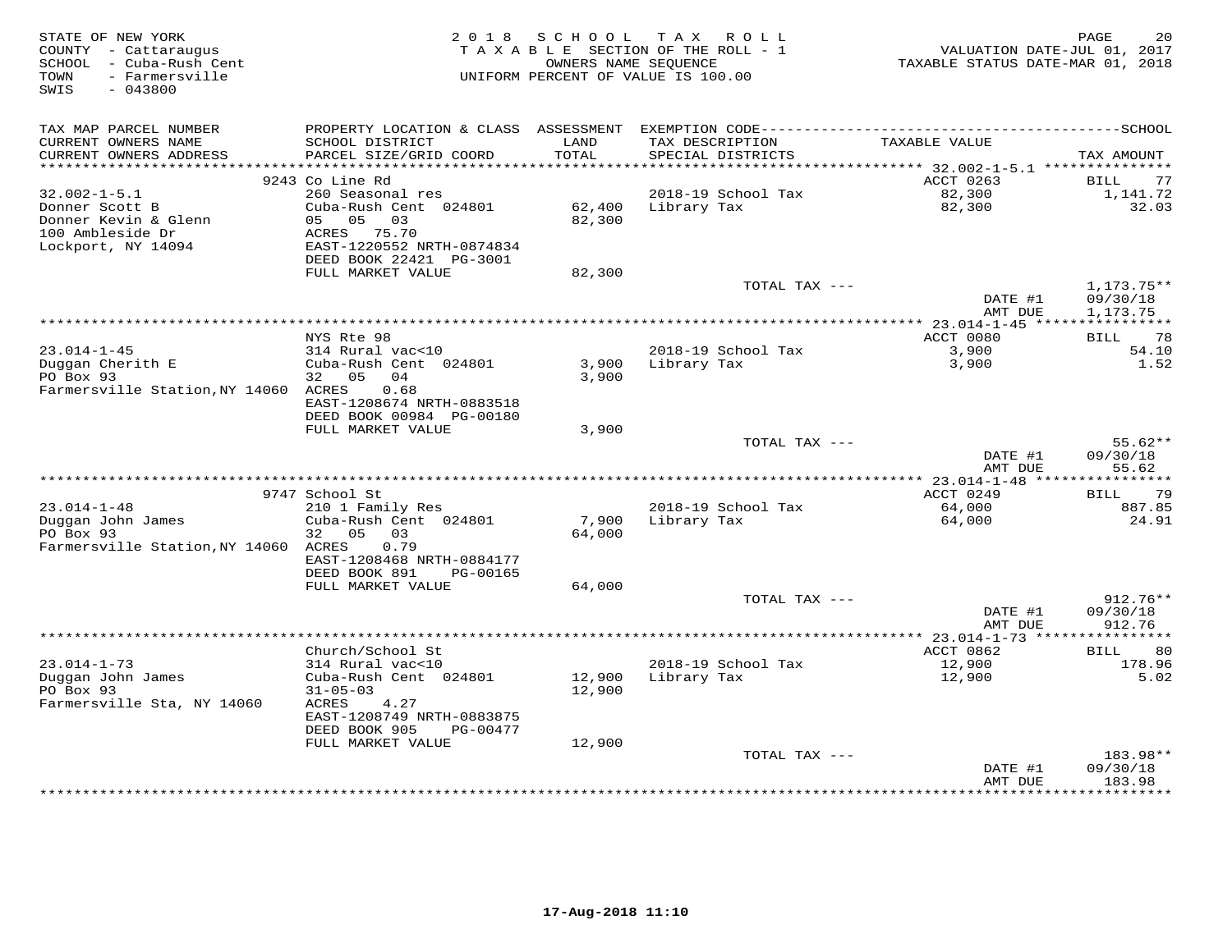| TAX MAP PARCEL NUMBER<br>TAXABLE VALUE<br>CURRENT OWNERS NAME<br>SCHOOL DISTRICT<br>LAND<br>TAX DESCRIPTION<br>TOTAL<br>CURRENT OWNERS ADDRESS<br>PARCEL SIZE/GRID COORD<br>SPECIAL DISTRICTS<br>TAX AMOUNT<br>***********************<br>9243 Co Line Rd<br>ACCT 0263<br>BILL<br>77<br>$32.002 - 1 - 5.1$<br>260 Seasonal res<br>2018-19 School Tax<br>82,300<br>1,141.72<br>Donner Scott B<br>Cuba-Rush Cent 024801<br>62,400<br>Library Tax<br>82,300<br>32.03<br>Donner Kevin & Glenn<br>05 05 03<br>82,300<br>100 Ambleside Dr<br>ACRES 75.70<br>Lockport, NY 14094<br>EAST-1220552 NRTH-0874834<br>DEED BOOK 22421 PG-3001<br>FULL MARKET VALUE<br>82,300<br>TOTAL TAX ---<br>$1,173.75**$<br>DATE #1<br>09/30/18<br>AMT DUE<br>1,173.75<br>ACCT 0080<br>BILL 78<br>NYS Rte 98<br>$23.014 - 1 - 45$<br>314 Rural vac<10<br>2018-19 School Tax<br>3,900<br>54.10<br>Duggan Cherith E<br>Cuba-Rush Cent 024801<br>1.52<br>3,900<br>Library Tax<br>3,900<br>PO Box 93<br>32 05<br>04<br>3,900<br>Farmersville Station, NY 14060 ACRES<br>0.68<br>EAST-1208674 NRTH-0883518<br>DEED BOOK 00984 PG-00180<br>FULL MARKET VALUE<br>3,900<br>$55.62**$<br>TOTAL TAX ---<br>DATE #1<br>09/30/18<br>55.62<br>AMT DUE<br>9747 School St<br>ACCT 0249<br>79<br>BILL<br>210 1 Family Res<br>$23.014 - 1 - 48$<br>2018-19 School Tax<br>64,000<br>887.85<br>Duggan John James<br>7,900<br>Cuba-Rush Cent 024801<br>Library Tax<br>64,000<br>24.91<br>PO Box 93<br>32<br>05<br>03<br>64,000<br>Farmersville Station, NY 14060 ACRES<br>0.79<br>EAST-1208468 NRTH-0884177<br>DEED BOOK 891<br>PG-00165<br>FULL MARKET VALUE<br>64,000<br>912.76**<br>TOTAL TAX ---<br>DATE #1<br>09/30/18<br>AMT DUE<br>912.76<br>Church/School St<br>ACCT 0862<br>80<br><b>BILL</b><br>$23.014 - 1 - 73$<br>314 Rural vac<10<br>2018-19 School Tax<br>12,900<br>178.96<br>Duggan John James<br>Cuba-Rush Cent 024801<br>12,900<br>Library Tax<br>12,900<br>5.02<br>PO Box 93<br>$31 - 05 - 03$<br>12,900<br>Farmersville Sta, NY 14060<br>ACRES<br>4.27<br>EAST-1208749 NRTH-0883875<br>DEED BOOK 905<br>PG-00477<br>12,900<br>FULL MARKET VALUE<br>TOTAL TAX ---<br>183.98**<br>DATE #1<br>09/30/18<br>183.98<br>AMT DUE<br>**********<br>*************** | STATE OF NEW YORK<br>COUNTY - Cattaraugus<br>SCHOOL - Cuba-Rush Cent<br>- Farmersville<br>TOWN<br>SWIS<br>$-043800$ | 2 0 1 8 | SCHOOL<br>OWNERS NAME SEQUENCE | TAX ROLL<br>TAXABLE SECTION OF THE ROLL - 1<br>UNIFORM PERCENT OF VALUE IS 100.00 | VALUATION DATE-JUL 01, 2017<br>TAXABLE STATUS DATE-MAR 01, 2018 | PAGE<br>20 |
|-----------------------------------------------------------------------------------------------------------------------------------------------------------------------------------------------------------------------------------------------------------------------------------------------------------------------------------------------------------------------------------------------------------------------------------------------------------------------------------------------------------------------------------------------------------------------------------------------------------------------------------------------------------------------------------------------------------------------------------------------------------------------------------------------------------------------------------------------------------------------------------------------------------------------------------------------------------------------------------------------------------------------------------------------------------------------------------------------------------------------------------------------------------------------------------------------------------------------------------------------------------------------------------------------------------------------------------------------------------------------------------------------------------------------------------------------------------------------------------------------------------------------------------------------------------------------------------------------------------------------------------------------------------------------------------------------------------------------------------------------------------------------------------------------------------------------------------------------------------------------------------------------------------------------------------------------------------------------------------------------------------------------------------------------------------------------------------------------------------------------------------------------------------------------------------------------------------------------------------|---------------------------------------------------------------------------------------------------------------------|---------|--------------------------------|-----------------------------------------------------------------------------------|-----------------------------------------------------------------|------------|
|                                                                                                                                                                                                                                                                                                                                                                                                                                                                                                                                                                                                                                                                                                                                                                                                                                                                                                                                                                                                                                                                                                                                                                                                                                                                                                                                                                                                                                                                                                                                                                                                                                                                                                                                                                                                                                                                                                                                                                                                                                                                                                                                                                                                                                   |                                                                                                                     |         |                                |                                                                                   |                                                                 |            |
|                                                                                                                                                                                                                                                                                                                                                                                                                                                                                                                                                                                                                                                                                                                                                                                                                                                                                                                                                                                                                                                                                                                                                                                                                                                                                                                                                                                                                                                                                                                                                                                                                                                                                                                                                                                                                                                                                                                                                                                                                                                                                                                                                                                                                                   |                                                                                                                     |         |                                |                                                                                   |                                                                 |            |
|                                                                                                                                                                                                                                                                                                                                                                                                                                                                                                                                                                                                                                                                                                                                                                                                                                                                                                                                                                                                                                                                                                                                                                                                                                                                                                                                                                                                                                                                                                                                                                                                                                                                                                                                                                                                                                                                                                                                                                                                                                                                                                                                                                                                                                   |                                                                                                                     |         |                                |                                                                                   |                                                                 |            |
|                                                                                                                                                                                                                                                                                                                                                                                                                                                                                                                                                                                                                                                                                                                                                                                                                                                                                                                                                                                                                                                                                                                                                                                                                                                                                                                                                                                                                                                                                                                                                                                                                                                                                                                                                                                                                                                                                                                                                                                                                                                                                                                                                                                                                                   |                                                                                                                     |         |                                |                                                                                   |                                                                 |            |
|                                                                                                                                                                                                                                                                                                                                                                                                                                                                                                                                                                                                                                                                                                                                                                                                                                                                                                                                                                                                                                                                                                                                                                                                                                                                                                                                                                                                                                                                                                                                                                                                                                                                                                                                                                                                                                                                                                                                                                                                                                                                                                                                                                                                                                   |                                                                                                                     |         |                                |                                                                                   |                                                                 |            |
|                                                                                                                                                                                                                                                                                                                                                                                                                                                                                                                                                                                                                                                                                                                                                                                                                                                                                                                                                                                                                                                                                                                                                                                                                                                                                                                                                                                                                                                                                                                                                                                                                                                                                                                                                                                                                                                                                                                                                                                                                                                                                                                                                                                                                                   |                                                                                                                     |         |                                |                                                                                   |                                                                 |            |
|                                                                                                                                                                                                                                                                                                                                                                                                                                                                                                                                                                                                                                                                                                                                                                                                                                                                                                                                                                                                                                                                                                                                                                                                                                                                                                                                                                                                                                                                                                                                                                                                                                                                                                                                                                                                                                                                                                                                                                                                                                                                                                                                                                                                                                   |                                                                                                                     |         |                                |                                                                                   |                                                                 |            |
|                                                                                                                                                                                                                                                                                                                                                                                                                                                                                                                                                                                                                                                                                                                                                                                                                                                                                                                                                                                                                                                                                                                                                                                                                                                                                                                                                                                                                                                                                                                                                                                                                                                                                                                                                                                                                                                                                                                                                                                                                                                                                                                                                                                                                                   |                                                                                                                     |         |                                |                                                                                   |                                                                 |            |
|                                                                                                                                                                                                                                                                                                                                                                                                                                                                                                                                                                                                                                                                                                                                                                                                                                                                                                                                                                                                                                                                                                                                                                                                                                                                                                                                                                                                                                                                                                                                                                                                                                                                                                                                                                                                                                                                                                                                                                                                                                                                                                                                                                                                                                   |                                                                                                                     |         |                                |                                                                                   |                                                                 |            |
|                                                                                                                                                                                                                                                                                                                                                                                                                                                                                                                                                                                                                                                                                                                                                                                                                                                                                                                                                                                                                                                                                                                                                                                                                                                                                                                                                                                                                                                                                                                                                                                                                                                                                                                                                                                                                                                                                                                                                                                                                                                                                                                                                                                                                                   |                                                                                                                     |         |                                |                                                                                   |                                                                 |            |
|                                                                                                                                                                                                                                                                                                                                                                                                                                                                                                                                                                                                                                                                                                                                                                                                                                                                                                                                                                                                                                                                                                                                                                                                                                                                                                                                                                                                                                                                                                                                                                                                                                                                                                                                                                                                                                                                                                                                                                                                                                                                                                                                                                                                                                   |                                                                                                                     |         |                                |                                                                                   |                                                                 |            |
|                                                                                                                                                                                                                                                                                                                                                                                                                                                                                                                                                                                                                                                                                                                                                                                                                                                                                                                                                                                                                                                                                                                                                                                                                                                                                                                                                                                                                                                                                                                                                                                                                                                                                                                                                                                                                                                                                                                                                                                                                                                                                                                                                                                                                                   |                                                                                                                     |         |                                |                                                                                   |                                                                 |            |
|                                                                                                                                                                                                                                                                                                                                                                                                                                                                                                                                                                                                                                                                                                                                                                                                                                                                                                                                                                                                                                                                                                                                                                                                                                                                                                                                                                                                                                                                                                                                                                                                                                                                                                                                                                                                                                                                                                                                                                                                                                                                                                                                                                                                                                   |                                                                                                                     |         |                                |                                                                                   |                                                                 |            |
|                                                                                                                                                                                                                                                                                                                                                                                                                                                                                                                                                                                                                                                                                                                                                                                                                                                                                                                                                                                                                                                                                                                                                                                                                                                                                                                                                                                                                                                                                                                                                                                                                                                                                                                                                                                                                                                                                                                                                                                                                                                                                                                                                                                                                                   |                                                                                                                     |         |                                |                                                                                   |                                                                 |            |
|                                                                                                                                                                                                                                                                                                                                                                                                                                                                                                                                                                                                                                                                                                                                                                                                                                                                                                                                                                                                                                                                                                                                                                                                                                                                                                                                                                                                                                                                                                                                                                                                                                                                                                                                                                                                                                                                                                                                                                                                                                                                                                                                                                                                                                   |                                                                                                                     |         |                                |                                                                                   |                                                                 |            |
|                                                                                                                                                                                                                                                                                                                                                                                                                                                                                                                                                                                                                                                                                                                                                                                                                                                                                                                                                                                                                                                                                                                                                                                                                                                                                                                                                                                                                                                                                                                                                                                                                                                                                                                                                                                                                                                                                                                                                                                                                                                                                                                                                                                                                                   |                                                                                                                     |         |                                |                                                                                   |                                                                 |            |
|                                                                                                                                                                                                                                                                                                                                                                                                                                                                                                                                                                                                                                                                                                                                                                                                                                                                                                                                                                                                                                                                                                                                                                                                                                                                                                                                                                                                                                                                                                                                                                                                                                                                                                                                                                                                                                                                                                                                                                                                                                                                                                                                                                                                                                   |                                                                                                                     |         |                                |                                                                                   |                                                                 |            |
|                                                                                                                                                                                                                                                                                                                                                                                                                                                                                                                                                                                                                                                                                                                                                                                                                                                                                                                                                                                                                                                                                                                                                                                                                                                                                                                                                                                                                                                                                                                                                                                                                                                                                                                                                                                                                                                                                                                                                                                                                                                                                                                                                                                                                                   |                                                                                                                     |         |                                |                                                                                   |                                                                 |            |
|                                                                                                                                                                                                                                                                                                                                                                                                                                                                                                                                                                                                                                                                                                                                                                                                                                                                                                                                                                                                                                                                                                                                                                                                                                                                                                                                                                                                                                                                                                                                                                                                                                                                                                                                                                                                                                                                                                                                                                                                                                                                                                                                                                                                                                   |                                                                                                                     |         |                                |                                                                                   |                                                                 |            |
|                                                                                                                                                                                                                                                                                                                                                                                                                                                                                                                                                                                                                                                                                                                                                                                                                                                                                                                                                                                                                                                                                                                                                                                                                                                                                                                                                                                                                                                                                                                                                                                                                                                                                                                                                                                                                                                                                                                                                                                                                                                                                                                                                                                                                                   |                                                                                                                     |         |                                |                                                                                   |                                                                 |            |
|                                                                                                                                                                                                                                                                                                                                                                                                                                                                                                                                                                                                                                                                                                                                                                                                                                                                                                                                                                                                                                                                                                                                                                                                                                                                                                                                                                                                                                                                                                                                                                                                                                                                                                                                                                                                                                                                                                                                                                                                                                                                                                                                                                                                                                   |                                                                                                                     |         |                                |                                                                                   |                                                                 |            |
|                                                                                                                                                                                                                                                                                                                                                                                                                                                                                                                                                                                                                                                                                                                                                                                                                                                                                                                                                                                                                                                                                                                                                                                                                                                                                                                                                                                                                                                                                                                                                                                                                                                                                                                                                                                                                                                                                                                                                                                                                                                                                                                                                                                                                                   |                                                                                                                     |         |                                |                                                                                   |                                                                 |            |
|                                                                                                                                                                                                                                                                                                                                                                                                                                                                                                                                                                                                                                                                                                                                                                                                                                                                                                                                                                                                                                                                                                                                                                                                                                                                                                                                                                                                                                                                                                                                                                                                                                                                                                                                                                                                                                                                                                                                                                                                                                                                                                                                                                                                                                   |                                                                                                                     |         |                                |                                                                                   |                                                                 |            |
|                                                                                                                                                                                                                                                                                                                                                                                                                                                                                                                                                                                                                                                                                                                                                                                                                                                                                                                                                                                                                                                                                                                                                                                                                                                                                                                                                                                                                                                                                                                                                                                                                                                                                                                                                                                                                                                                                                                                                                                                                                                                                                                                                                                                                                   |                                                                                                                     |         |                                |                                                                                   |                                                                 |            |
|                                                                                                                                                                                                                                                                                                                                                                                                                                                                                                                                                                                                                                                                                                                                                                                                                                                                                                                                                                                                                                                                                                                                                                                                                                                                                                                                                                                                                                                                                                                                                                                                                                                                                                                                                                                                                                                                                                                                                                                                                                                                                                                                                                                                                                   |                                                                                                                     |         |                                |                                                                                   |                                                                 |            |
|                                                                                                                                                                                                                                                                                                                                                                                                                                                                                                                                                                                                                                                                                                                                                                                                                                                                                                                                                                                                                                                                                                                                                                                                                                                                                                                                                                                                                                                                                                                                                                                                                                                                                                                                                                                                                                                                                                                                                                                                                                                                                                                                                                                                                                   |                                                                                                                     |         |                                |                                                                                   |                                                                 |            |
|                                                                                                                                                                                                                                                                                                                                                                                                                                                                                                                                                                                                                                                                                                                                                                                                                                                                                                                                                                                                                                                                                                                                                                                                                                                                                                                                                                                                                                                                                                                                                                                                                                                                                                                                                                                                                                                                                                                                                                                                                                                                                                                                                                                                                                   |                                                                                                                     |         |                                |                                                                                   |                                                                 |            |
|                                                                                                                                                                                                                                                                                                                                                                                                                                                                                                                                                                                                                                                                                                                                                                                                                                                                                                                                                                                                                                                                                                                                                                                                                                                                                                                                                                                                                                                                                                                                                                                                                                                                                                                                                                                                                                                                                                                                                                                                                                                                                                                                                                                                                                   |                                                                                                                     |         |                                |                                                                                   |                                                                 |            |
|                                                                                                                                                                                                                                                                                                                                                                                                                                                                                                                                                                                                                                                                                                                                                                                                                                                                                                                                                                                                                                                                                                                                                                                                                                                                                                                                                                                                                                                                                                                                                                                                                                                                                                                                                                                                                                                                                                                                                                                                                                                                                                                                                                                                                                   |                                                                                                                     |         |                                |                                                                                   |                                                                 |            |
|                                                                                                                                                                                                                                                                                                                                                                                                                                                                                                                                                                                                                                                                                                                                                                                                                                                                                                                                                                                                                                                                                                                                                                                                                                                                                                                                                                                                                                                                                                                                                                                                                                                                                                                                                                                                                                                                                                                                                                                                                                                                                                                                                                                                                                   |                                                                                                                     |         |                                |                                                                                   |                                                                 |            |
|                                                                                                                                                                                                                                                                                                                                                                                                                                                                                                                                                                                                                                                                                                                                                                                                                                                                                                                                                                                                                                                                                                                                                                                                                                                                                                                                                                                                                                                                                                                                                                                                                                                                                                                                                                                                                                                                                                                                                                                                                                                                                                                                                                                                                                   |                                                                                                                     |         |                                |                                                                                   |                                                                 |            |
|                                                                                                                                                                                                                                                                                                                                                                                                                                                                                                                                                                                                                                                                                                                                                                                                                                                                                                                                                                                                                                                                                                                                                                                                                                                                                                                                                                                                                                                                                                                                                                                                                                                                                                                                                                                                                                                                                                                                                                                                                                                                                                                                                                                                                                   |                                                                                                                     |         |                                |                                                                                   |                                                                 |            |
|                                                                                                                                                                                                                                                                                                                                                                                                                                                                                                                                                                                                                                                                                                                                                                                                                                                                                                                                                                                                                                                                                                                                                                                                                                                                                                                                                                                                                                                                                                                                                                                                                                                                                                                                                                                                                                                                                                                                                                                                                                                                                                                                                                                                                                   |                                                                                                                     |         |                                |                                                                                   |                                                                 |            |
|                                                                                                                                                                                                                                                                                                                                                                                                                                                                                                                                                                                                                                                                                                                                                                                                                                                                                                                                                                                                                                                                                                                                                                                                                                                                                                                                                                                                                                                                                                                                                                                                                                                                                                                                                                                                                                                                                                                                                                                                                                                                                                                                                                                                                                   |                                                                                                                     |         |                                |                                                                                   |                                                                 |            |
|                                                                                                                                                                                                                                                                                                                                                                                                                                                                                                                                                                                                                                                                                                                                                                                                                                                                                                                                                                                                                                                                                                                                                                                                                                                                                                                                                                                                                                                                                                                                                                                                                                                                                                                                                                                                                                                                                                                                                                                                                                                                                                                                                                                                                                   |                                                                                                                     |         |                                |                                                                                   |                                                                 |            |
|                                                                                                                                                                                                                                                                                                                                                                                                                                                                                                                                                                                                                                                                                                                                                                                                                                                                                                                                                                                                                                                                                                                                                                                                                                                                                                                                                                                                                                                                                                                                                                                                                                                                                                                                                                                                                                                                                                                                                                                                                                                                                                                                                                                                                                   |                                                                                                                     |         |                                |                                                                                   |                                                                 |            |
|                                                                                                                                                                                                                                                                                                                                                                                                                                                                                                                                                                                                                                                                                                                                                                                                                                                                                                                                                                                                                                                                                                                                                                                                                                                                                                                                                                                                                                                                                                                                                                                                                                                                                                                                                                                                                                                                                                                                                                                                                                                                                                                                                                                                                                   |                                                                                                                     |         |                                |                                                                                   |                                                                 |            |
|                                                                                                                                                                                                                                                                                                                                                                                                                                                                                                                                                                                                                                                                                                                                                                                                                                                                                                                                                                                                                                                                                                                                                                                                                                                                                                                                                                                                                                                                                                                                                                                                                                                                                                                                                                                                                                                                                                                                                                                                                                                                                                                                                                                                                                   |                                                                                                                     |         |                                |                                                                                   |                                                                 |            |
|                                                                                                                                                                                                                                                                                                                                                                                                                                                                                                                                                                                                                                                                                                                                                                                                                                                                                                                                                                                                                                                                                                                                                                                                                                                                                                                                                                                                                                                                                                                                                                                                                                                                                                                                                                                                                                                                                                                                                                                                                                                                                                                                                                                                                                   |                                                                                                                     |         |                                |                                                                                   |                                                                 |            |
|                                                                                                                                                                                                                                                                                                                                                                                                                                                                                                                                                                                                                                                                                                                                                                                                                                                                                                                                                                                                                                                                                                                                                                                                                                                                                                                                                                                                                                                                                                                                                                                                                                                                                                                                                                                                                                                                                                                                                                                                                                                                                                                                                                                                                                   |                                                                                                                     |         |                                |                                                                                   |                                                                 |            |
|                                                                                                                                                                                                                                                                                                                                                                                                                                                                                                                                                                                                                                                                                                                                                                                                                                                                                                                                                                                                                                                                                                                                                                                                                                                                                                                                                                                                                                                                                                                                                                                                                                                                                                                                                                                                                                                                                                                                                                                                                                                                                                                                                                                                                                   |                                                                                                                     |         |                                |                                                                                   |                                                                 |            |
|                                                                                                                                                                                                                                                                                                                                                                                                                                                                                                                                                                                                                                                                                                                                                                                                                                                                                                                                                                                                                                                                                                                                                                                                                                                                                                                                                                                                                                                                                                                                                                                                                                                                                                                                                                                                                                                                                                                                                                                                                                                                                                                                                                                                                                   |                                                                                                                     |         |                                |                                                                                   |                                                                 |            |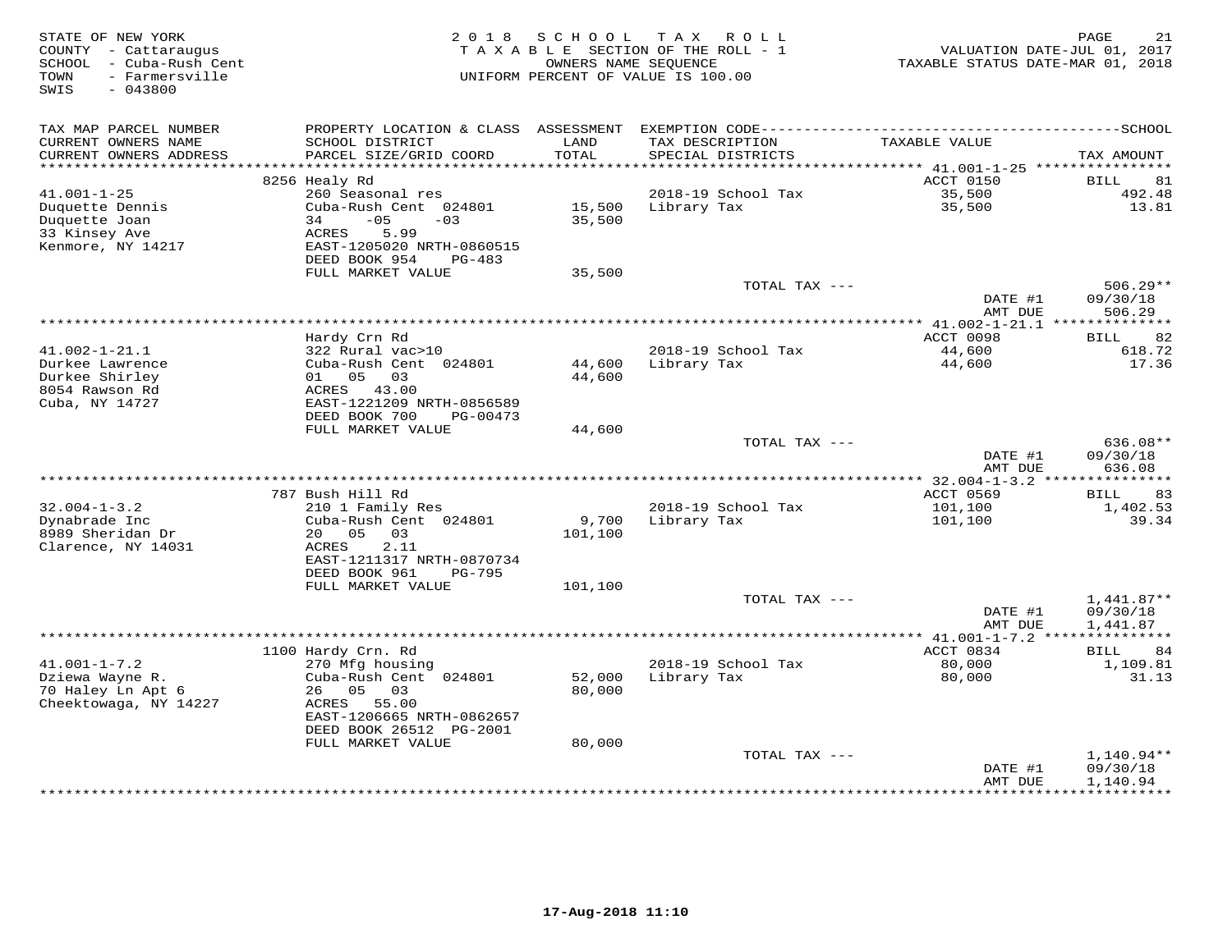| TAX MAP PARCEL NUMBER<br>PROPERTY LOCATION & CLASS ASSESSMENT<br>CURRENT OWNERS NAME<br>LAND<br>TAXABLE VALUE<br>SCHOOL DISTRICT<br>TAX DESCRIPTION<br>TOTAL<br>CURRENT OWNERS ADDRESS<br>PARCEL SIZE/GRID COORD<br>SPECIAL DISTRICTS<br>TAX AMOUNT<br>**********************<br>ACCT 0150<br>8256 Healy Rd<br><b>BILL</b><br>81<br>260 Seasonal res<br>$41.001 - 1 - 25$<br>2018-19 School Tax<br>35,500<br>492.48<br>Cuba-Rush Cent 024801<br>15,500<br>Library Tax<br>35,500<br>13.81<br>Duquette Dennis<br>$-05$<br>35,500<br>Duquette Joan<br>34<br>$-03$<br>33 Kinsey Ave<br>5.99<br>ACRES<br>Kenmore, NY 14217<br>EAST-1205020 NRTH-0860515<br>DEED BOOK 954<br>PG-483<br>FULL MARKET VALUE<br>35,500<br>TOTAL TAX ---<br>$506.29**$<br>DATE #1<br>09/30/18<br>AMT DUE<br>506.29<br>********* 41.002-1-21.1 **************<br>Hardy Crn Rd<br>ACCT 0098<br>82<br><b>BILL</b><br>$41.002 - 1 - 21.1$<br>2018-19 School Tax<br>44,600<br>618.72<br>322 Rural vac>10<br>Durkee Lawrence<br>Cuba-Rush Cent 024801<br>Library Tax<br>44,600<br>17.36<br>44,600<br>Durkee Shirley<br>01 05 03<br>44,600<br>8054 Rawson Rd<br>ACRES 43.00<br>Cuba, NY 14727<br>EAST-1221209 NRTH-0856589<br>DEED BOOK 700<br>PG-00473<br>FULL MARKET VALUE<br>44,600<br>TOTAL TAX ---<br>636.08**<br>DATE #1<br>09/30/18<br>AMT DUE<br>636.08<br>** 32.004-1-3.2 ***************<br>787 Bush Hill Rd<br>ACCT 0569<br>83<br>BILL<br>$32.004 - 1 - 3.2$<br>2018-19 School Tax<br>101,100<br>1,402.53<br>210 1 Family Res<br>9,700<br>39.34<br>Dynabrade Inc<br>Cuba-Rush Cent 024801<br>Library Tax<br>101,100<br>8989 Sheridan Dr<br>05<br>03<br>20<br>101,100<br>Clarence, NY 14031<br>ACRES<br>2.11<br>EAST-1211317 NRTH-0870734<br>DEED BOOK 961<br>PG-795<br>FULL MARKET VALUE<br>101,100<br>TOTAL TAX ---<br>$1,441.87**$<br>DATE #1<br>09/30/18<br>AMT DUE<br>1,441.87<br>*** $41.001 - 1 - 7.2$ ***<br>***********<br>ACCT 0834<br>1100 Hardy Crn. Rd<br>84<br>BILL<br>$41.001 - 1 - 7.2$<br>2018-19 School Tax<br>80,000<br>1,109.81<br>270 Mfg housing<br>Dziewa Wayne R.<br>Cuba-Rush Cent 024801<br>52,000<br>Library Tax<br>80,000<br>31.13<br>70 Haley Ln Apt 6<br>0.5<br>03<br>26<br>80,000<br>Cheektowaga, NY 14227<br>ACRES<br>55.00<br>EAST-1206665 NRTH-0862657<br>DEED BOOK 26512 PG-2001<br>FULL MARKET VALUE<br>80,000<br>1,140.94**<br>TOTAL TAX ---<br>DATE #1<br>09/30/18<br>1,140.94<br>AMT DUE | STATE OF NEW YORK<br>COUNTY - Cattaraugus<br>SCHOOL - Cuba-Rush Cent<br>- Farmersville<br>TOWN<br>$-043800$<br>SWIS | 2 0 1 8 | SCHOOL | TAX ROLL<br>TAXABLE SECTION OF THE ROLL - 1<br>OWNERS NAME SEOUENCE<br>UNIFORM PERCENT OF VALUE IS 100.00 | VALUATION DATE-JUL 01, 2017<br>TAXABLE STATUS DATE-MAR 01, 2018 | 21<br>PAGE |
|---------------------------------------------------------------------------------------------------------------------------------------------------------------------------------------------------------------------------------------------------------------------------------------------------------------------------------------------------------------------------------------------------------------------------------------------------------------------------------------------------------------------------------------------------------------------------------------------------------------------------------------------------------------------------------------------------------------------------------------------------------------------------------------------------------------------------------------------------------------------------------------------------------------------------------------------------------------------------------------------------------------------------------------------------------------------------------------------------------------------------------------------------------------------------------------------------------------------------------------------------------------------------------------------------------------------------------------------------------------------------------------------------------------------------------------------------------------------------------------------------------------------------------------------------------------------------------------------------------------------------------------------------------------------------------------------------------------------------------------------------------------------------------------------------------------------------------------------------------------------------------------------------------------------------------------------------------------------------------------------------------------------------------------------------------------------------------------------------------------------------------------------------------------------------------------------------------------------------------------------------------------------------------------------------------------------------------------------------------------------------------------------------------|---------------------------------------------------------------------------------------------------------------------|---------|--------|-----------------------------------------------------------------------------------------------------------|-----------------------------------------------------------------|------------|
|                                                                                                                                                                                                                                                                                                                                                                                                                                                                                                                                                                                                                                                                                                                                                                                                                                                                                                                                                                                                                                                                                                                                                                                                                                                                                                                                                                                                                                                                                                                                                                                                                                                                                                                                                                                                                                                                                                                                                                                                                                                                                                                                                                                                                                                                                                                                                                                                         |                                                                                                                     |         |        |                                                                                                           |                                                                 |            |
|                                                                                                                                                                                                                                                                                                                                                                                                                                                                                                                                                                                                                                                                                                                                                                                                                                                                                                                                                                                                                                                                                                                                                                                                                                                                                                                                                                                                                                                                                                                                                                                                                                                                                                                                                                                                                                                                                                                                                                                                                                                                                                                                                                                                                                                                                                                                                                                                         |                                                                                                                     |         |        |                                                                                                           |                                                                 |            |
|                                                                                                                                                                                                                                                                                                                                                                                                                                                                                                                                                                                                                                                                                                                                                                                                                                                                                                                                                                                                                                                                                                                                                                                                                                                                                                                                                                                                                                                                                                                                                                                                                                                                                                                                                                                                                                                                                                                                                                                                                                                                                                                                                                                                                                                                                                                                                                                                         |                                                                                                                     |         |        |                                                                                                           |                                                                 |            |
|                                                                                                                                                                                                                                                                                                                                                                                                                                                                                                                                                                                                                                                                                                                                                                                                                                                                                                                                                                                                                                                                                                                                                                                                                                                                                                                                                                                                                                                                                                                                                                                                                                                                                                                                                                                                                                                                                                                                                                                                                                                                                                                                                                                                                                                                                                                                                                                                         |                                                                                                                     |         |        |                                                                                                           |                                                                 |            |
|                                                                                                                                                                                                                                                                                                                                                                                                                                                                                                                                                                                                                                                                                                                                                                                                                                                                                                                                                                                                                                                                                                                                                                                                                                                                                                                                                                                                                                                                                                                                                                                                                                                                                                                                                                                                                                                                                                                                                                                                                                                                                                                                                                                                                                                                                                                                                                                                         |                                                                                                                     |         |        |                                                                                                           |                                                                 |            |
|                                                                                                                                                                                                                                                                                                                                                                                                                                                                                                                                                                                                                                                                                                                                                                                                                                                                                                                                                                                                                                                                                                                                                                                                                                                                                                                                                                                                                                                                                                                                                                                                                                                                                                                                                                                                                                                                                                                                                                                                                                                                                                                                                                                                                                                                                                                                                                                                         |                                                                                                                     |         |        |                                                                                                           |                                                                 |            |
|                                                                                                                                                                                                                                                                                                                                                                                                                                                                                                                                                                                                                                                                                                                                                                                                                                                                                                                                                                                                                                                                                                                                                                                                                                                                                                                                                                                                                                                                                                                                                                                                                                                                                                                                                                                                                                                                                                                                                                                                                                                                                                                                                                                                                                                                                                                                                                                                         |                                                                                                                     |         |        |                                                                                                           |                                                                 |            |
|                                                                                                                                                                                                                                                                                                                                                                                                                                                                                                                                                                                                                                                                                                                                                                                                                                                                                                                                                                                                                                                                                                                                                                                                                                                                                                                                                                                                                                                                                                                                                                                                                                                                                                                                                                                                                                                                                                                                                                                                                                                                                                                                                                                                                                                                                                                                                                                                         |                                                                                                                     |         |        |                                                                                                           |                                                                 |            |
|                                                                                                                                                                                                                                                                                                                                                                                                                                                                                                                                                                                                                                                                                                                                                                                                                                                                                                                                                                                                                                                                                                                                                                                                                                                                                                                                                                                                                                                                                                                                                                                                                                                                                                                                                                                                                                                                                                                                                                                                                                                                                                                                                                                                                                                                                                                                                                                                         |                                                                                                                     |         |        |                                                                                                           |                                                                 |            |
|                                                                                                                                                                                                                                                                                                                                                                                                                                                                                                                                                                                                                                                                                                                                                                                                                                                                                                                                                                                                                                                                                                                                                                                                                                                                                                                                                                                                                                                                                                                                                                                                                                                                                                                                                                                                                                                                                                                                                                                                                                                                                                                                                                                                                                                                                                                                                                                                         |                                                                                                                     |         |        |                                                                                                           |                                                                 |            |
|                                                                                                                                                                                                                                                                                                                                                                                                                                                                                                                                                                                                                                                                                                                                                                                                                                                                                                                                                                                                                                                                                                                                                                                                                                                                                                                                                                                                                                                                                                                                                                                                                                                                                                                                                                                                                                                                                                                                                                                                                                                                                                                                                                                                                                                                                                                                                                                                         |                                                                                                                     |         |        |                                                                                                           |                                                                 |            |
|                                                                                                                                                                                                                                                                                                                                                                                                                                                                                                                                                                                                                                                                                                                                                                                                                                                                                                                                                                                                                                                                                                                                                                                                                                                                                                                                                                                                                                                                                                                                                                                                                                                                                                                                                                                                                                                                                                                                                                                                                                                                                                                                                                                                                                                                                                                                                                                                         |                                                                                                                     |         |        |                                                                                                           |                                                                 |            |
|                                                                                                                                                                                                                                                                                                                                                                                                                                                                                                                                                                                                                                                                                                                                                                                                                                                                                                                                                                                                                                                                                                                                                                                                                                                                                                                                                                                                                                                                                                                                                                                                                                                                                                                                                                                                                                                                                                                                                                                                                                                                                                                                                                                                                                                                                                                                                                                                         |                                                                                                                     |         |        |                                                                                                           |                                                                 |            |
|                                                                                                                                                                                                                                                                                                                                                                                                                                                                                                                                                                                                                                                                                                                                                                                                                                                                                                                                                                                                                                                                                                                                                                                                                                                                                                                                                                                                                                                                                                                                                                                                                                                                                                                                                                                                                                                                                                                                                                                                                                                                                                                                                                                                                                                                                                                                                                                                         |                                                                                                                     |         |        |                                                                                                           |                                                                 |            |
|                                                                                                                                                                                                                                                                                                                                                                                                                                                                                                                                                                                                                                                                                                                                                                                                                                                                                                                                                                                                                                                                                                                                                                                                                                                                                                                                                                                                                                                                                                                                                                                                                                                                                                                                                                                                                                                                                                                                                                                                                                                                                                                                                                                                                                                                                                                                                                                                         |                                                                                                                     |         |        |                                                                                                           |                                                                 |            |
|                                                                                                                                                                                                                                                                                                                                                                                                                                                                                                                                                                                                                                                                                                                                                                                                                                                                                                                                                                                                                                                                                                                                                                                                                                                                                                                                                                                                                                                                                                                                                                                                                                                                                                                                                                                                                                                                                                                                                                                                                                                                                                                                                                                                                                                                                                                                                                                                         |                                                                                                                     |         |        |                                                                                                           |                                                                 |            |
|                                                                                                                                                                                                                                                                                                                                                                                                                                                                                                                                                                                                                                                                                                                                                                                                                                                                                                                                                                                                                                                                                                                                                                                                                                                                                                                                                                                                                                                                                                                                                                                                                                                                                                                                                                                                                                                                                                                                                                                                                                                                                                                                                                                                                                                                                                                                                                                                         |                                                                                                                     |         |        |                                                                                                           |                                                                 |            |
|                                                                                                                                                                                                                                                                                                                                                                                                                                                                                                                                                                                                                                                                                                                                                                                                                                                                                                                                                                                                                                                                                                                                                                                                                                                                                                                                                                                                                                                                                                                                                                                                                                                                                                                                                                                                                                                                                                                                                                                                                                                                                                                                                                                                                                                                                                                                                                                                         |                                                                                                                     |         |        |                                                                                                           |                                                                 |            |
|                                                                                                                                                                                                                                                                                                                                                                                                                                                                                                                                                                                                                                                                                                                                                                                                                                                                                                                                                                                                                                                                                                                                                                                                                                                                                                                                                                                                                                                                                                                                                                                                                                                                                                                                                                                                                                                                                                                                                                                                                                                                                                                                                                                                                                                                                                                                                                                                         |                                                                                                                     |         |        |                                                                                                           |                                                                 |            |
|                                                                                                                                                                                                                                                                                                                                                                                                                                                                                                                                                                                                                                                                                                                                                                                                                                                                                                                                                                                                                                                                                                                                                                                                                                                                                                                                                                                                                                                                                                                                                                                                                                                                                                                                                                                                                                                                                                                                                                                                                                                                                                                                                                                                                                                                                                                                                                                                         |                                                                                                                     |         |        |                                                                                                           |                                                                 |            |
|                                                                                                                                                                                                                                                                                                                                                                                                                                                                                                                                                                                                                                                                                                                                                                                                                                                                                                                                                                                                                                                                                                                                                                                                                                                                                                                                                                                                                                                                                                                                                                                                                                                                                                                                                                                                                                                                                                                                                                                                                                                                                                                                                                                                                                                                                                                                                                                                         |                                                                                                                     |         |        |                                                                                                           |                                                                 |            |
|                                                                                                                                                                                                                                                                                                                                                                                                                                                                                                                                                                                                                                                                                                                                                                                                                                                                                                                                                                                                                                                                                                                                                                                                                                                                                                                                                                                                                                                                                                                                                                                                                                                                                                                                                                                                                                                                                                                                                                                                                                                                                                                                                                                                                                                                                                                                                                                                         |                                                                                                                     |         |        |                                                                                                           |                                                                 |            |
|                                                                                                                                                                                                                                                                                                                                                                                                                                                                                                                                                                                                                                                                                                                                                                                                                                                                                                                                                                                                                                                                                                                                                                                                                                                                                                                                                                                                                                                                                                                                                                                                                                                                                                                                                                                                                                                                                                                                                                                                                                                                                                                                                                                                                                                                                                                                                                                                         |                                                                                                                     |         |        |                                                                                                           |                                                                 |            |
|                                                                                                                                                                                                                                                                                                                                                                                                                                                                                                                                                                                                                                                                                                                                                                                                                                                                                                                                                                                                                                                                                                                                                                                                                                                                                                                                                                                                                                                                                                                                                                                                                                                                                                                                                                                                                                                                                                                                                                                                                                                                                                                                                                                                                                                                                                                                                                                                         |                                                                                                                     |         |        |                                                                                                           |                                                                 |            |
|                                                                                                                                                                                                                                                                                                                                                                                                                                                                                                                                                                                                                                                                                                                                                                                                                                                                                                                                                                                                                                                                                                                                                                                                                                                                                                                                                                                                                                                                                                                                                                                                                                                                                                                                                                                                                                                                                                                                                                                                                                                                                                                                                                                                                                                                                                                                                                                                         |                                                                                                                     |         |        |                                                                                                           |                                                                 |            |
|                                                                                                                                                                                                                                                                                                                                                                                                                                                                                                                                                                                                                                                                                                                                                                                                                                                                                                                                                                                                                                                                                                                                                                                                                                                                                                                                                                                                                                                                                                                                                                                                                                                                                                                                                                                                                                                                                                                                                                                                                                                                                                                                                                                                                                                                                                                                                                                                         |                                                                                                                     |         |        |                                                                                                           |                                                                 |            |
|                                                                                                                                                                                                                                                                                                                                                                                                                                                                                                                                                                                                                                                                                                                                                                                                                                                                                                                                                                                                                                                                                                                                                                                                                                                                                                                                                                                                                                                                                                                                                                                                                                                                                                                                                                                                                                                                                                                                                                                                                                                                                                                                                                                                                                                                                                                                                                                                         |                                                                                                                     |         |        |                                                                                                           |                                                                 |            |
|                                                                                                                                                                                                                                                                                                                                                                                                                                                                                                                                                                                                                                                                                                                                                                                                                                                                                                                                                                                                                                                                                                                                                                                                                                                                                                                                                                                                                                                                                                                                                                                                                                                                                                                                                                                                                                                                                                                                                                                                                                                                                                                                                                                                                                                                                                                                                                                                         |                                                                                                                     |         |        |                                                                                                           |                                                                 |            |
|                                                                                                                                                                                                                                                                                                                                                                                                                                                                                                                                                                                                                                                                                                                                                                                                                                                                                                                                                                                                                                                                                                                                                                                                                                                                                                                                                                                                                                                                                                                                                                                                                                                                                                                                                                                                                                                                                                                                                                                                                                                                                                                                                                                                                                                                                                                                                                                                         |                                                                                                                     |         |        |                                                                                                           |                                                                 |            |
|                                                                                                                                                                                                                                                                                                                                                                                                                                                                                                                                                                                                                                                                                                                                                                                                                                                                                                                                                                                                                                                                                                                                                                                                                                                                                                                                                                                                                                                                                                                                                                                                                                                                                                                                                                                                                                                                                                                                                                                                                                                                                                                                                                                                                                                                                                                                                                                                         |                                                                                                                     |         |        |                                                                                                           |                                                                 |            |
|                                                                                                                                                                                                                                                                                                                                                                                                                                                                                                                                                                                                                                                                                                                                                                                                                                                                                                                                                                                                                                                                                                                                                                                                                                                                                                                                                                                                                                                                                                                                                                                                                                                                                                                                                                                                                                                                                                                                                                                                                                                                                                                                                                                                                                                                                                                                                                                                         |                                                                                                                     |         |        |                                                                                                           |                                                                 |            |
|                                                                                                                                                                                                                                                                                                                                                                                                                                                                                                                                                                                                                                                                                                                                                                                                                                                                                                                                                                                                                                                                                                                                                                                                                                                                                                                                                                                                                                                                                                                                                                                                                                                                                                                                                                                                                                                                                                                                                                                                                                                                                                                                                                                                                                                                                                                                                                                                         |                                                                                                                     |         |        |                                                                                                           |                                                                 |            |
|                                                                                                                                                                                                                                                                                                                                                                                                                                                                                                                                                                                                                                                                                                                                                                                                                                                                                                                                                                                                                                                                                                                                                                                                                                                                                                                                                                                                                                                                                                                                                                                                                                                                                                                                                                                                                                                                                                                                                                                                                                                                                                                                                                                                                                                                                                                                                                                                         |                                                                                                                     |         |        |                                                                                                           |                                                                 |            |
|                                                                                                                                                                                                                                                                                                                                                                                                                                                                                                                                                                                                                                                                                                                                                                                                                                                                                                                                                                                                                                                                                                                                                                                                                                                                                                                                                                                                                                                                                                                                                                                                                                                                                                                                                                                                                                                                                                                                                                                                                                                                                                                                                                                                                                                                                                                                                                                                         |                                                                                                                     |         |        |                                                                                                           |                                                                 |            |
|                                                                                                                                                                                                                                                                                                                                                                                                                                                                                                                                                                                                                                                                                                                                                                                                                                                                                                                                                                                                                                                                                                                                                                                                                                                                                                                                                                                                                                                                                                                                                                                                                                                                                                                                                                                                                                                                                                                                                                                                                                                                                                                                                                                                                                                                                                                                                                                                         |                                                                                                                     |         |        |                                                                                                           |                                                                 |            |
|                                                                                                                                                                                                                                                                                                                                                                                                                                                                                                                                                                                                                                                                                                                                                                                                                                                                                                                                                                                                                                                                                                                                                                                                                                                                                                                                                                                                                                                                                                                                                                                                                                                                                                                                                                                                                                                                                                                                                                                                                                                                                                                                                                                                                                                                                                                                                                                                         |                                                                                                                     |         |        |                                                                                                           |                                                                 |            |
|                                                                                                                                                                                                                                                                                                                                                                                                                                                                                                                                                                                                                                                                                                                                                                                                                                                                                                                                                                                                                                                                                                                                                                                                                                                                                                                                                                                                                                                                                                                                                                                                                                                                                                                                                                                                                                                                                                                                                                                                                                                                                                                                                                                                                                                                                                                                                                                                         |                                                                                                                     |         |        |                                                                                                           |                                                                 |            |
|                                                                                                                                                                                                                                                                                                                                                                                                                                                                                                                                                                                                                                                                                                                                                                                                                                                                                                                                                                                                                                                                                                                                                                                                                                                                                                                                                                                                                                                                                                                                                                                                                                                                                                                                                                                                                                                                                                                                                                                                                                                                                                                                                                                                                                                                                                                                                                                                         |                                                                                                                     |         |        |                                                                                                           |                                                                 |            |
|                                                                                                                                                                                                                                                                                                                                                                                                                                                                                                                                                                                                                                                                                                                                                                                                                                                                                                                                                                                                                                                                                                                                                                                                                                                                                                                                                                                                                                                                                                                                                                                                                                                                                                                                                                                                                                                                                                                                                                                                                                                                                                                                                                                                                                                                                                                                                                                                         |                                                                                                                     |         |        |                                                                                                           |                                                                 |            |
|                                                                                                                                                                                                                                                                                                                                                                                                                                                                                                                                                                                                                                                                                                                                                                                                                                                                                                                                                                                                                                                                                                                                                                                                                                                                                                                                                                                                                                                                                                                                                                                                                                                                                                                                                                                                                                                                                                                                                                                                                                                                                                                                                                                                                                                                                                                                                                                                         |                                                                                                                     |         |        |                                                                                                           |                                                                 |            |
|                                                                                                                                                                                                                                                                                                                                                                                                                                                                                                                                                                                                                                                                                                                                                                                                                                                                                                                                                                                                                                                                                                                                                                                                                                                                                                                                                                                                                                                                                                                                                                                                                                                                                                                                                                                                                                                                                                                                                                                                                                                                                                                                                                                                                                                                                                                                                                                                         |                                                                                                                     |         |        |                                                                                                           |                                                                 |            |
|                                                                                                                                                                                                                                                                                                                                                                                                                                                                                                                                                                                                                                                                                                                                                                                                                                                                                                                                                                                                                                                                                                                                                                                                                                                                                                                                                                                                                                                                                                                                                                                                                                                                                                                                                                                                                                                                                                                                                                                                                                                                                                                                                                                                                                                                                                                                                                                                         |                                                                                                                     |         |        |                                                                                                           |                                                                 |            |
|                                                                                                                                                                                                                                                                                                                                                                                                                                                                                                                                                                                                                                                                                                                                                                                                                                                                                                                                                                                                                                                                                                                                                                                                                                                                                                                                                                                                                                                                                                                                                                                                                                                                                                                                                                                                                                                                                                                                                                                                                                                                                                                                                                                                                                                                                                                                                                                                         |                                                                                                                     |         |        |                                                                                                           |                                                                 |            |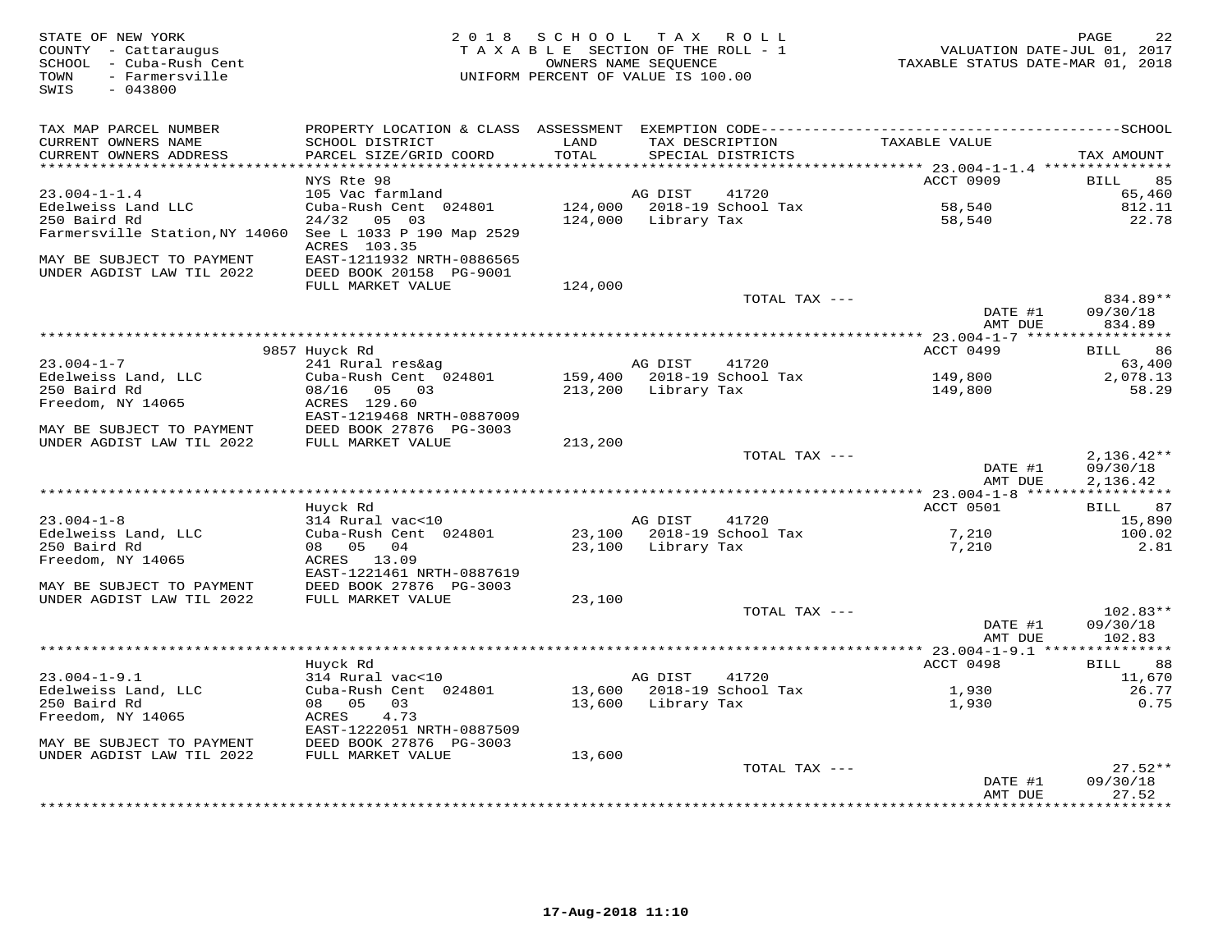| STATE OF NEW YORK<br>COUNTY - Cattaraugus<br>SCHOOL - Cuba-Rush Cent<br>- Farmersville<br>TOWN<br>SWIS<br>$-043800$ |                                                      | 2018 SCHOOL TAX ROLL<br>TAXABLE SECTION OF THE ROLL - 1<br>OWNERS NAME SEQUENCE<br>UNIFORM PERCENT OF VALUE IS 100.00 |                    |                                      | VALUATION DATE-JUL 01, 2017<br>TAXABLE STATUS DATE-MAR 01, 2018 | 22<br>PAGE                     |
|---------------------------------------------------------------------------------------------------------------------|------------------------------------------------------|-----------------------------------------------------------------------------------------------------------------------|--------------------|--------------------------------------|-----------------------------------------------------------------|--------------------------------|
| TAX MAP PARCEL NUMBER                                                                                               |                                                      |                                                                                                                       |                    |                                      |                                                                 |                                |
| CURRENT OWNERS NAME<br>CURRENT OWNERS ADDRESS<br>************************                                           | SCHOOL DISTRICT<br>PARCEL SIZE/GRID COORD            | LAND<br>TOTAL                                                                                                         |                    | TAX DESCRIPTION<br>SPECIAL DISTRICTS | TAXABLE VALUE                                                   | TAX AMOUNT                     |
|                                                                                                                     | NYS Rte 98                                           |                                                                                                                       |                    |                                      | ACCT 0909                                                       | 85<br>BILL                     |
| $23.004 - 1 - 1.4$                                                                                                  | 105 Vac farmland                                     |                                                                                                                       | AG DIST            | 41720                                |                                                                 | 65,460                         |
| Edelweiss Land LLC                                                                                                  | Cuba-Rush Cent 024801                                | 124,000                                                                                                               |                    | 2018-19 School Tax                   | 58,540                                                          | 812.11                         |
| 250 Baird Rd                                                                                                        | 24/32<br>05 03                                       | 124,000                                                                                                               | Library Tax        |                                      | 58,540                                                          | 22.78                          |
| Farmersville Station, NY 14060                                                                                      | See L 1033 P 190 Map 2529<br>ACRES 103.35            |                                                                                                                       |                    |                                      |                                                                 |                                |
| MAY BE SUBJECT TO PAYMENT<br>UNDER AGDIST LAW TIL 2022                                                              | EAST-1211932 NRTH-0886565<br>DEED BOOK 20158 PG-9001 |                                                                                                                       |                    |                                      |                                                                 |                                |
|                                                                                                                     | FULL MARKET VALUE                                    | 124,000                                                                                                               |                    |                                      |                                                                 |                                |
|                                                                                                                     |                                                      |                                                                                                                       |                    | TOTAL TAX ---                        | DATE #1<br>AMT DUE                                              | 834.89**<br>09/30/18<br>834.89 |
|                                                                                                                     |                                                      |                                                                                                                       |                    |                                      |                                                                 |                                |
|                                                                                                                     | 9857 Huyck Rd                                        |                                                                                                                       |                    |                                      | ACCT 0499                                                       | 86<br>BILL                     |
| $23.004 - 1 - 7$                                                                                                    | 241 Rural res&ag                                     |                                                                                                                       | AG DIST            | 41720                                |                                                                 | 63,400                         |
| Edelweiss Land, LLC                                                                                                 | Cuba-Rush Cent 024801                                | 159,400                                                                                                               |                    | 2018-19 School Tax                   | 149,800                                                         | 2,078.13                       |
| 250 Baird Rd<br>Freedom, NY 14065                                                                                   | 08/16<br>05 03<br>ACRES 129.60                       | 213,200                                                                                                               | Library Tax        |                                      | 149,800                                                         | 58.29                          |
| MAY BE SUBJECT TO PAYMENT                                                                                           | EAST-1219468 NRTH-0887009<br>DEED BOOK 27876 PG-3003 |                                                                                                                       |                    |                                      |                                                                 |                                |
| UNDER AGDIST LAW TIL 2022                                                                                           | FULL MARKET VALUE                                    | 213,200                                                                                                               |                    |                                      |                                                                 |                                |
|                                                                                                                     |                                                      |                                                                                                                       |                    | TOTAL TAX ---                        |                                                                 | $2,136.42**$                   |
|                                                                                                                     |                                                      |                                                                                                                       |                    |                                      | DATE #1<br>AMT DUE                                              | 09/30/18<br>2,136.42           |
|                                                                                                                     |                                                      |                                                                                                                       |                    |                                      | ************ 23.004-1-8 ******************                      |                                |
|                                                                                                                     | Huyck Rd                                             |                                                                                                                       |                    |                                      | ACCT 0501                                                       | 87<br>BILL                     |
| $23.004 - 1 - 8$<br>Edelweiss Land, LLC                                                                             | 314 Rural vac<10<br>Cuba-Rush Cent 024801            |                                                                                                                       | AG DIST            | 41720<br>23,100 2018-19 School Tax   | 7,210                                                           | 15,890<br>100.02               |
| 250 Baird Rd                                                                                                        | 08 05<br>04                                          |                                                                                                                       | 23,100 Library Tax |                                      | 7,210                                                           | 2.81                           |
| Freedom, NY 14065                                                                                                   | ACRES 13.09                                          |                                                                                                                       |                    |                                      |                                                                 |                                |
|                                                                                                                     | EAST-1221461 NRTH-0887619                            |                                                                                                                       |                    |                                      |                                                                 |                                |
| MAY BE SUBJECT TO PAYMENT                                                                                           | DEED BOOK 27876 PG-3003                              |                                                                                                                       |                    |                                      |                                                                 |                                |
| UNDER AGDIST LAW TIL 2022                                                                                           | FULL MARKET VALUE                                    | 23,100                                                                                                                |                    |                                      |                                                                 |                                |
|                                                                                                                     |                                                      |                                                                                                                       |                    | TOTAL TAX ---                        |                                                                 | $102.83**$                     |
|                                                                                                                     |                                                      |                                                                                                                       |                    |                                      | DATE #1                                                         | 09/30/18                       |
|                                                                                                                     |                                                      |                                                                                                                       |                    |                                      | AMT DUE<br>************ 23.004-1-9.1 ****************           | 102.83                         |
|                                                                                                                     | Huyck Rd                                             |                                                                                                                       |                    |                                      | ACCT 0498                                                       | 88<br>BILL                     |
| $23.004 - 1 - 9.1$                                                                                                  | 314 Rural vac<10                                     |                                                                                                                       | AG DIST            | 41720                                |                                                                 | 11,670                         |
| Edelweiss Land, LLC                                                                                                 | Cuba-Rush Cent 024801                                |                                                                                                                       |                    | 13,600 2018-19 School Tax            | 1,930                                                           | 26.77                          |
| 250 Baird Rd                                                                                                        | 08 05<br>03                                          |                                                                                                                       | 13,600 Library Tax |                                      | 1,930                                                           | 0.75                           |
| Freedom, NY 14065                                                                                                   | 4.73<br>ACRES                                        |                                                                                                                       |                    |                                      |                                                                 |                                |
|                                                                                                                     | EAST-1222051 NRTH-0887509                            |                                                                                                                       |                    |                                      |                                                                 |                                |
| MAY BE SUBJECT TO PAYMENT<br>UNDER AGDIST LAW TIL 2022                                                              | DEED BOOK 27876 PG-3003<br>FULL MARKET VALUE         | 13,600                                                                                                                |                    |                                      |                                                                 |                                |
|                                                                                                                     |                                                      |                                                                                                                       |                    | TOTAL TAX ---                        |                                                                 | $27.52**$                      |
|                                                                                                                     |                                                      |                                                                                                                       |                    |                                      | DATE #1                                                         | 09/30/18                       |
|                                                                                                                     |                                                      |                                                                                                                       |                    |                                      | AMT DUE                                                         | 27.52                          |
|                                                                                                                     |                                                      |                                                                                                                       |                    |                                      |                                                                 | * * * * * * * *                |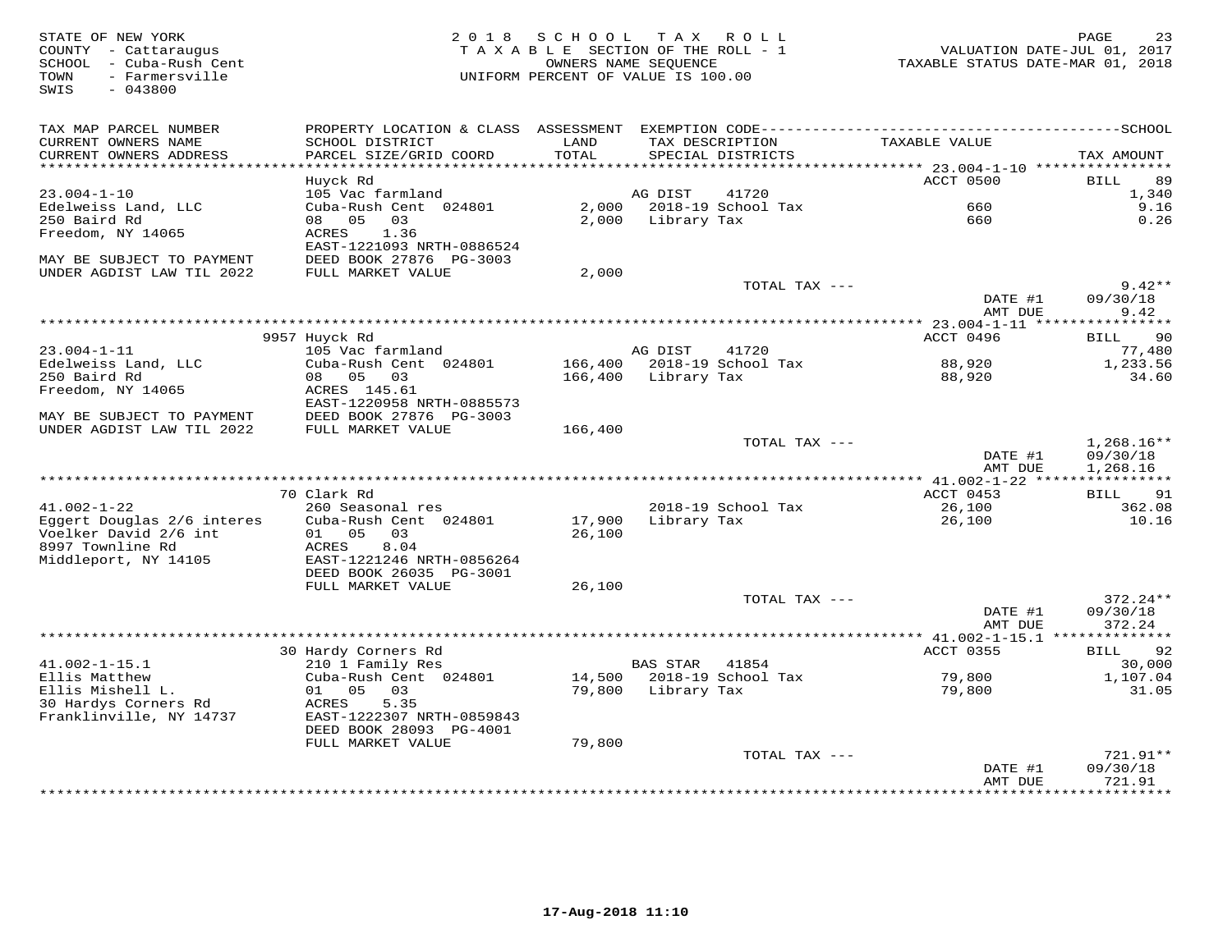| STATE OF NEW YORK<br>COUNTY - Cattaraugus<br>SCHOOL - Cuba-Rush Cent<br>- Farmersville<br>TOWN<br>$-043800$<br>SWIS | 2 0 1 8                                      | S C H O O L<br>TAXABLE SECTION OF THE ROLL - 1<br>OWNERS NAME SEQUENCE<br>UNIFORM PERCENT OF VALUE IS 100.00 | T A X           | ROLL               | VALUATION DATE-JUL 01, 2017<br>TAXABLE STATUS DATE-MAR 01, 2018 | 23<br>PAGE                  |
|---------------------------------------------------------------------------------------------------------------------|----------------------------------------------|--------------------------------------------------------------------------------------------------------------|-----------------|--------------------|-----------------------------------------------------------------|-----------------------------|
| TAX MAP PARCEL NUMBER                                                                                               |                                              |                                                                                                              |                 |                    |                                                                 |                             |
| CURRENT OWNERS NAME<br>CURRENT OWNERS ADDRESS<br>***********************                                            | SCHOOL DISTRICT<br>PARCEL SIZE/GRID COORD    | LAND<br>TOTAL                                                                                                | TAX DESCRIPTION | SPECIAL DISTRICTS  | TAXABLE VALUE                                                   | TAX AMOUNT                  |
|                                                                                                                     | Huyck Rd                                     |                                                                                                              |                 |                    | ACCT 0500                                                       | 89<br>BILL                  |
| $23.004 - 1 - 10$                                                                                                   | 105 Vac farmland                             |                                                                                                              | AG DIST         | 41720              |                                                                 | 1,340                       |
| Edelweiss Land, LLC<br>250 Baird Rd                                                                                 | Cuba-Rush Cent 024801<br>08 05<br>03         | 2,000<br>2,000                                                                                               | Library Tax     | 2018-19 School Tax | 660<br>660                                                      | 9.16<br>0.26                |
| Freedom, NY 14065                                                                                                   | 1.36<br>ACRES<br>EAST-1221093 NRTH-0886524   |                                                                                                              |                 |                    |                                                                 |                             |
| MAY BE SUBJECT TO PAYMENT                                                                                           | DEED BOOK 27876 PG-3003                      |                                                                                                              |                 |                    |                                                                 |                             |
| UNDER AGDIST LAW TIL 2022                                                                                           | FULL MARKET VALUE                            | 2,000                                                                                                        |                 | TOTAL TAX ---      |                                                                 | $9.42**$                    |
|                                                                                                                     |                                              |                                                                                                              |                 |                    | DATE #1<br>AMT DUE                                              | 09/30/18<br>9.42            |
|                                                                                                                     |                                              |                                                                                                              |                 |                    | *** 23.004-1-11 *****                                           | * * * * * * * *             |
|                                                                                                                     | 9957 Huyck Rd                                |                                                                                                              |                 |                    | ACCT 0496                                                       | 90<br>BILL                  |
| $23.004 - 1 - 11$                                                                                                   | 105 Vac farmland                             |                                                                                                              | AG DIST         | 41720              |                                                                 | 77,480                      |
| Edelweiss Land, LLC<br>250 Baird Rd                                                                                 | Cuba-Rush Cent 024801<br>08 05 03            | 166,400<br>166,400                                                                                           | Library Tax     | 2018-19 School Tax | 88,920<br>88,920                                                | 1,233.56<br>34.60           |
| Freedom, NY 14065                                                                                                   | ACRES 145.61                                 |                                                                                                              |                 |                    |                                                                 |                             |
|                                                                                                                     | EAST-1220958 NRTH-0885573                    |                                                                                                              |                 |                    |                                                                 |                             |
| MAY BE SUBJECT TO PAYMENT                                                                                           | DEED BOOK 27876 PG-3003                      |                                                                                                              |                 |                    |                                                                 |                             |
| UNDER AGDIST LAW TIL 2022                                                                                           | FULL MARKET VALUE                            | 166,400                                                                                                      |                 | TOTAL TAX ---      |                                                                 | $1,268.16**$                |
|                                                                                                                     |                                              |                                                                                                              |                 |                    | DATE #1                                                         | 09/30/18                    |
|                                                                                                                     |                                              |                                                                                                              |                 |                    | AMT DUE                                                         | 1,268.16                    |
|                                                                                                                     |                                              |                                                                                                              |                 |                    |                                                                 |                             |
| $41.002 - 1 - 22$                                                                                                   | 70 Clark Rd<br>260 Seasonal res              |                                                                                                              |                 | 2018-19 School Tax | ACCT 0453<br>26,100                                             | <b>BILL</b><br>91<br>362.08 |
| Eggert Douglas 2/6 interes                                                                                          | Cuba-Rush Cent 024801                        | 17,900                                                                                                       | Library Tax     |                    | 26,100                                                          | 10.16                       |
| Voelker David 2/6 int                                                                                               | 01 05<br>03                                  | 26,100                                                                                                       |                 |                    |                                                                 |                             |
| 8997 Townline Rd                                                                                                    | ACRES<br>8.04                                |                                                                                                              |                 |                    |                                                                 |                             |
| Middleport, NY 14105                                                                                                | EAST-1221246 NRTH-0856264                    |                                                                                                              |                 |                    |                                                                 |                             |
|                                                                                                                     | DEED BOOK 26035 PG-3001<br>FULL MARKET VALUE | 26,100                                                                                                       |                 |                    |                                                                 |                             |
|                                                                                                                     |                                              |                                                                                                              |                 | TOTAL TAX $---$    |                                                                 | 372.24**                    |
|                                                                                                                     |                                              |                                                                                                              |                 |                    | DATE #1                                                         | 09/30/18                    |
|                                                                                                                     |                                              |                                                                                                              |                 |                    | AMT DUE                                                         | 372.24                      |
|                                                                                                                     |                                              |                                                                                                              |                 |                    | ************ 41.002-1-15.1 ***************                      |                             |
| $41.002 - 1 - 15.1$                                                                                                 | 30 Hardy Corners Rd<br>210 1 Family Res      |                                                                                                              | <b>BAS STAR</b> | 41854              | ACCT 0355                                                       | 92<br>BILL<br>30,000        |
| Ellis Matthew                                                                                                       | Cuba-Rush Cent 024801                        | 14,500                                                                                                       |                 | 2018-19 School Tax | 79,800                                                          | 1,107.04                    |
| Ellis Mishell L.                                                                                                    | $01 \t 05$<br>03                             | 79,800                                                                                                       | Library Tax     |                    | 79,800                                                          | 31.05                       |
| 30 Hardys Corners Rd                                                                                                | 5.35<br>ACRES                                |                                                                                                              |                 |                    |                                                                 |                             |
| Franklinville, NY 14737                                                                                             | EAST-1222307 NRTH-0859843                    |                                                                                                              |                 |                    |                                                                 |                             |
|                                                                                                                     | DEED BOOK 28093 PG-4001<br>FULL MARKET VALUE | 79,800                                                                                                       |                 |                    |                                                                 |                             |
|                                                                                                                     |                                              |                                                                                                              |                 | TOTAL TAX ---      |                                                                 | $721.91**$                  |
|                                                                                                                     |                                              |                                                                                                              |                 |                    | DATE #1                                                         | 09/30/18                    |
|                                                                                                                     |                                              |                                                                                                              |                 |                    | AMT DUE                                                         | 721.91<br><b>++++++++</b>   |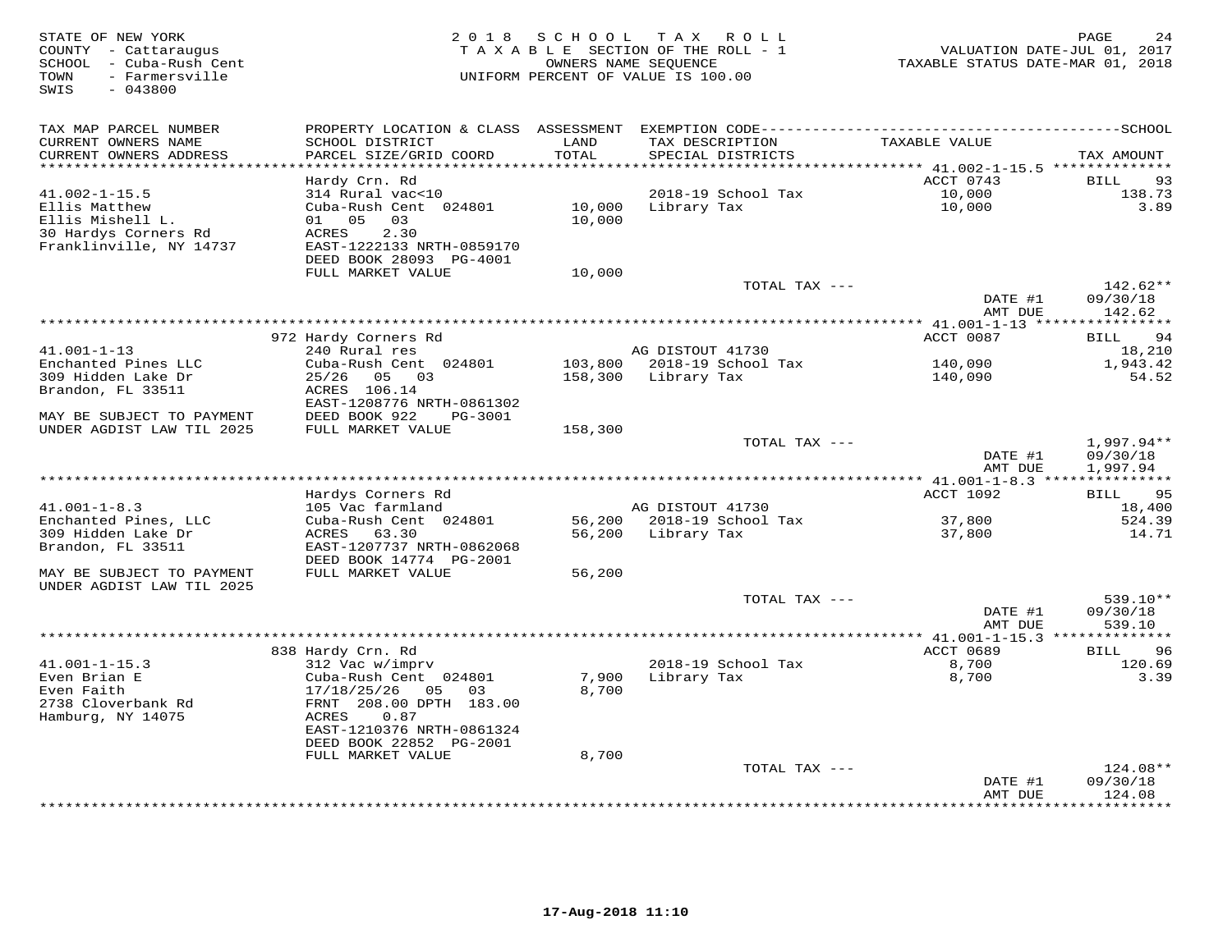| STATE OF NEW YORK<br>COUNTY - Cattaraugus<br>SCHOOL - Cuba-Rush Cent<br>- Farmersville<br>TOWN<br>SWIS<br>$-043800$ | 2 0 1 8                                       | SCHOOL        | T A X<br>ROLL<br>TAXABLE SECTION OF THE ROLL - 1<br>OWNERS NAME SEQUENCE<br>UNIFORM PERCENT OF VALUE IS 100.00 | VALUATION DATE-JUL 01, 2017<br>TAXABLE STATUS DATE-MAR 01, 2018 | PAGE<br>24           |
|---------------------------------------------------------------------------------------------------------------------|-----------------------------------------------|---------------|----------------------------------------------------------------------------------------------------------------|-----------------------------------------------------------------|----------------------|
| TAX MAP PARCEL NUMBER                                                                                               | PROPERTY LOCATION & CLASS ASSESSMENT          |               |                                                                                                                |                                                                 |                      |
| CURRENT OWNERS NAME<br>CURRENT OWNERS ADDRESS                                                                       | SCHOOL DISTRICT<br>PARCEL SIZE/GRID COORD     | LAND<br>TOTAL | TAX DESCRIPTION<br>SPECIAL DISTRICTS                                                                           | TAXABLE VALUE                                                   | TAX AMOUNT           |
| **********************                                                                                              | Hardy Crn. Rd                                 |               |                                                                                                                | ACCT 0743                                                       | 93<br><b>BILL</b>    |
| $41.002 - 1 - 15.5$                                                                                                 | 314 Rural vac<10                              |               | 2018-19 School Tax                                                                                             | 10,000                                                          | 138.73               |
| Ellis Matthew                                                                                                       | Cuba-Rush Cent 024801                         | 10,000        | Library Tax                                                                                                    | 10,000                                                          | 3.89                 |
| Ellis Mishell L.                                                                                                    | 05 03<br>01                                   | 10,000        |                                                                                                                |                                                                 |                      |
| 30 Hardys Corners Rd                                                                                                | 2.30<br><b>ACRES</b>                          |               |                                                                                                                |                                                                 |                      |
| Franklinville, NY 14737                                                                                             | EAST-1222133 NRTH-0859170                     |               |                                                                                                                |                                                                 |                      |
|                                                                                                                     | DEED BOOK 28093 PG-4001<br>FULL MARKET VALUE  | 10,000        |                                                                                                                |                                                                 |                      |
|                                                                                                                     |                                               |               | TOTAL TAX ---                                                                                                  |                                                                 | $142.62**$           |
|                                                                                                                     |                                               |               |                                                                                                                | DATE #1                                                         | 09/30/18             |
|                                                                                                                     |                                               |               |                                                                                                                | AMT DUE                                                         | 142.62               |
|                                                                                                                     |                                               |               |                                                                                                                |                                                                 |                      |
| $41.001 - 1 - 13$                                                                                                   | 972 Hardy Corners Rd<br>240 Rural res         |               | AG DISTOUT 41730                                                                                               | ACCT 0087                                                       | 94<br>BILL<br>18,210 |
| Enchanted Pines LLC                                                                                                 | Cuba-Rush Cent 024801                         | 103,800       | 2018-19 School Tax                                                                                             | 140,090                                                         | 1,943.42             |
| 309 Hidden Lake Dr                                                                                                  | 05 03<br>25/26                                | 158,300       | Library Tax                                                                                                    | 140,090                                                         | 54.52                |
| Brandon, FL 33511                                                                                                   | ACRES 106.14                                  |               |                                                                                                                |                                                                 |                      |
|                                                                                                                     | EAST-1208776 NRTH-0861302                     |               |                                                                                                                |                                                                 |                      |
| MAY BE SUBJECT TO PAYMENT<br>UNDER AGDIST LAW TIL 2025                                                              | DEED BOOK 922<br>PG-3001<br>FULL MARKET VALUE | 158,300       |                                                                                                                |                                                                 |                      |
|                                                                                                                     |                                               |               | TOTAL TAX ---                                                                                                  |                                                                 | $1,997.94**$         |
|                                                                                                                     |                                               |               |                                                                                                                | DATE #1                                                         | 09/30/18             |
|                                                                                                                     |                                               |               |                                                                                                                | AMT DUE                                                         | 1,997.94             |
| *********************                                                                                               |                                               |               |                                                                                                                |                                                                 |                      |
|                                                                                                                     | Hardys Corners Rd<br>105 Vac farmland         |               | AG DISTOUT 41730                                                                                               | ACCT 1092                                                       | 95<br>BILL           |
| $41.001 - 1 - 8.3$<br>Enchanted Pines, LLC                                                                          | Cuba-Rush Cent 024801                         | 56,200        | 2018-19 School Tax                                                                                             | 37,800                                                          | 18,400<br>524.39     |
| 309 Hidden Lake Dr                                                                                                  | ACRES<br>63.30                                | 56,200        | Library Tax                                                                                                    | 37,800                                                          | 14.71                |
| Brandon, FL 33511                                                                                                   | EAST-1207737 NRTH-0862068                     |               |                                                                                                                |                                                                 |                      |
|                                                                                                                     | DEED BOOK 14774 PG-2001                       |               |                                                                                                                |                                                                 |                      |
| MAY BE SUBJECT TO PAYMENT                                                                                           | FULL MARKET VALUE                             | 56,200        |                                                                                                                |                                                                 |                      |
| UNDER AGDIST LAW TIL 2025                                                                                           |                                               |               | TOTAL TAX ---                                                                                                  |                                                                 | 539.10**             |
|                                                                                                                     |                                               |               |                                                                                                                | DATE #1                                                         | 09/30/18             |
|                                                                                                                     |                                               |               |                                                                                                                | AMT DUE                                                         | 539.10               |
|                                                                                                                     |                                               |               |                                                                                                                |                                                                 |                      |
|                                                                                                                     | 838 Hardy Crn. Rd                             |               |                                                                                                                | ACCT 0689                                                       | <b>BILL</b><br>96    |
| $41.001 - 1 - 15.3$<br>Even Brian E                                                                                 | 312 Vac w/imprv<br>Cuba-Rush Cent 024801      | 7,900         | 2018-19 School Tax<br>Library Tax                                                                              | 8,700<br>8,700                                                  | 120.69<br>3.39       |
| Even Faith                                                                                                          | 05<br>03<br>17/18/25/26                       | 8,700         |                                                                                                                |                                                                 |                      |
| 2738 Cloverbank Rd                                                                                                  | FRNT 208.00 DPTH 183.00                       |               |                                                                                                                |                                                                 |                      |
| Hamburg, NY 14075                                                                                                   | ACRES<br>0.87                                 |               |                                                                                                                |                                                                 |                      |
|                                                                                                                     | EAST-1210376 NRTH-0861324                     |               |                                                                                                                |                                                                 |                      |
|                                                                                                                     | DEED BOOK 22852 PG-2001<br>FULL MARKET VALUE  | 8,700         |                                                                                                                |                                                                 |                      |
|                                                                                                                     |                                               |               | TOTAL TAX ---                                                                                                  |                                                                 | 124.08**             |
|                                                                                                                     |                                               |               |                                                                                                                | DATE #1                                                         | 09/30/18             |
|                                                                                                                     |                                               |               |                                                                                                                | AMT DUE                                                         | 124.08               |
|                                                                                                                     |                                               |               |                                                                                                                |                                                                 | * * * * * * * *      |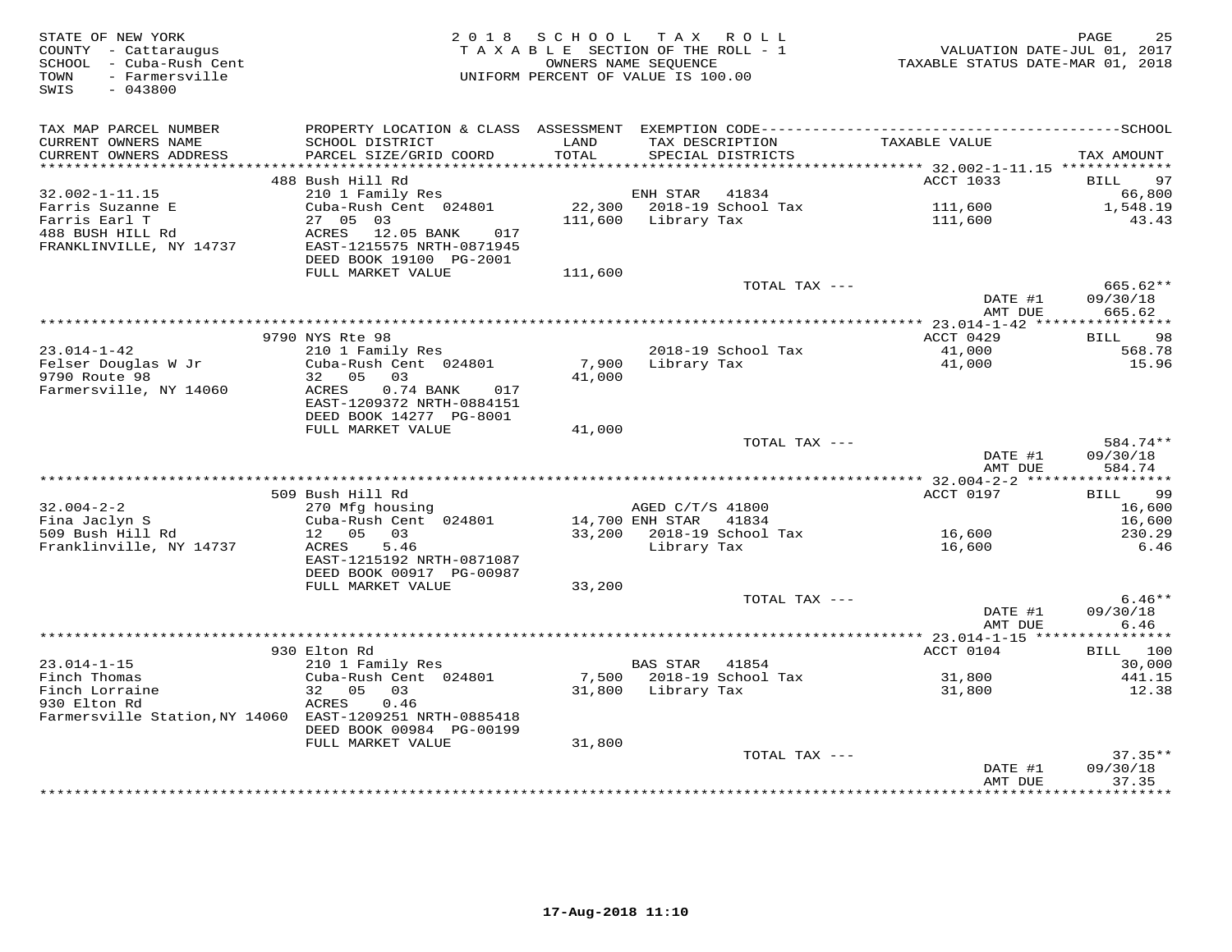| STATE OF NEW YORK<br>COUNTY - Cattaraugus<br>SCHOOL - Cuba-Rush Cent<br>- Farmersville<br>TOWN<br>SWIS<br>$-043800$ | 2 0 1 8                                                  | SCHOOL            | TAX ROLL<br>TAXABLE SECTION OF THE ROLL - 1<br>OWNERS NAME SEOUENCE<br>UNIFORM PERCENT OF VALUE IS 100.00 | VALUATION DATE-JUL 01, 2017<br>TAXABLE STATUS DATE-MAR 01, 2018 | 25<br>PAGE           |
|---------------------------------------------------------------------------------------------------------------------|----------------------------------------------------------|-------------------|-----------------------------------------------------------------------------------------------------------|-----------------------------------------------------------------|----------------------|
| TAX MAP PARCEL NUMBER                                                                                               |                                                          |                   |                                                                                                           |                                                                 |                      |
| CURRENT OWNERS NAME<br>CURRENT OWNERS ADDRESS                                                                       | SCHOOL DISTRICT<br>PARCEL SIZE/GRID COORD                | LAND<br>TOTAL     | TAX DESCRIPTION<br>SPECIAL DISTRICTS                                                                      | TAXABLE VALUE                                                   | TAX AMOUNT           |
| ***********************                                                                                             |                                                          |                   |                                                                                                           |                                                                 |                      |
|                                                                                                                     | 488 Bush Hill Rd                                         |                   |                                                                                                           | ACCT 1033                                                       | 97<br>BILL           |
| 32.002-1-11.15                                                                                                      | 210 1 Family Res                                         |                   | ENH STAR<br>41834                                                                                         |                                                                 | 66,800               |
| Farris Suzanne E<br>Farris Earl T                                                                                   | Cuba-Rush Cent 024801<br>27 05 03                        | 22,300<br>111,600 | 2018-19 School Tax<br>Library Tax                                                                         | 111,600<br>111,600                                              | 1,548.19<br>43.43    |
| 488 BUSH HILL Rd                                                                                                    | ACRES<br>12.05 BANK<br>017                               |                   |                                                                                                           |                                                                 |                      |
| FRANKLINVILLE, NY 14737                                                                                             | EAST-1215575 NRTH-0871945<br>DEED BOOK 19100 PG-2001     |                   |                                                                                                           |                                                                 |                      |
|                                                                                                                     | FULL MARKET VALUE                                        | 111,600           |                                                                                                           |                                                                 |                      |
|                                                                                                                     |                                                          |                   | TOTAL TAX ---                                                                                             | DATE #1                                                         | 665.62**<br>09/30/18 |
|                                                                                                                     |                                                          |                   |                                                                                                           | AMT DUE                                                         | 665.62               |
|                                                                                                                     |                                                          |                   |                                                                                                           | ********** 23.014-1-42 ****************                         |                      |
|                                                                                                                     | 9790 NYS Rte 98                                          |                   |                                                                                                           | ACCT 0429                                                       | 98<br>BILL           |
| $23.014 - 1 - 42$<br>Felser Douglas W Jr                                                                            | 210 1 Family Res<br>Cuba-Rush Cent 024801                | 7,900             | 2018-19 School Tax<br>Library Tax                                                                         | 41,000<br>41,000                                                | 568.78<br>15.96      |
| 9790 Route 98                                                                                                       | 32 05<br>03                                              | 41,000            |                                                                                                           |                                                                 |                      |
| Farmersville, NY 14060                                                                                              | ACRES<br>$0.74$ BANK<br>017<br>EAST-1209372 NRTH-0884151 |                   |                                                                                                           |                                                                 |                      |
|                                                                                                                     | DEED BOOK 14277 PG-8001                                  |                   |                                                                                                           |                                                                 |                      |
|                                                                                                                     | FULL MARKET VALUE                                        | 41,000            | TOTAL TAX ---                                                                                             |                                                                 | 584.74**             |
|                                                                                                                     |                                                          |                   |                                                                                                           | DATE #1<br>AMT DUE                                              | 09/30/18<br>584.74   |
|                                                                                                                     |                                                          |                   |                                                                                                           |                                                                 |                      |
|                                                                                                                     | 509 Bush Hill Rd                                         |                   |                                                                                                           | ACCT 0197                                                       | 99<br>BILL           |
| $32.004 - 2 - 2$                                                                                                    | 270 Mfg housing                                          |                   | AGED C/T/S 41800                                                                                          |                                                                 | 16,600               |
| Fina Jaclyn S                                                                                                       | Cuba-Rush Cent 024801                                    |                   | 14,700 ENH STAR 41834                                                                                     |                                                                 | 16,600               |
| 509 Bush Hill Rd<br>Franklinville, NY 14737                                                                         | 12 05<br>03<br>ACRES<br>5.46                             | 33,200            | 2018-19 School Tax<br>Library Tax                                                                         | 16,600<br>16,600                                                | 230.29<br>6.46       |
|                                                                                                                     | EAST-1215192 NRTH-0871087                                |                   |                                                                                                           |                                                                 |                      |
|                                                                                                                     | DEED BOOK 00917 PG-00987<br>FULL MARKET VALUE            | 33,200            |                                                                                                           |                                                                 |                      |
|                                                                                                                     |                                                          |                   | TOTAL TAX ---                                                                                             |                                                                 | $6.46**$             |
|                                                                                                                     |                                                          |                   |                                                                                                           | DATE #1<br>AMT DUE                                              | 09/30/18<br>6.46     |
|                                                                                                                     |                                                          |                   |                                                                                                           | *********** 23.014-1-15 *****                                   | ***********          |
|                                                                                                                     | 930 Elton Rd                                             |                   |                                                                                                           | ACCT 0104                                                       | 100<br>BILL          |
| $23.014 - 1 - 15$                                                                                                   | 210 1 Family Res                                         |                   | <b>BAS STAR</b><br>41854                                                                                  |                                                                 | 30,000               |
| Finch Thomas<br>Finch Lorraine                                                                                      | Cuba-Rush Cent 024801<br>32<br>05                        | 7,500             | 2018-19 School Tax                                                                                        | 31,800                                                          | 441.15               |
| 930 Elton Rd                                                                                                        | 03<br>0.46<br>ACRES                                      | 31,800            | Library Tax                                                                                               | 31,800                                                          | 12.38                |
| Farmersville Station, NY 14060 EAST-1209251 NRTH-0885418                                                            | DEED BOOK 00984 PG-00199                                 |                   |                                                                                                           |                                                                 |                      |
|                                                                                                                     | FULL MARKET VALUE                                        | 31,800            |                                                                                                           |                                                                 |                      |
|                                                                                                                     |                                                          |                   | TOTAL TAX ---                                                                                             |                                                                 | $37.35**$            |
|                                                                                                                     |                                                          |                   |                                                                                                           | DATE #1<br>AMT DUE                                              | 09/30/18<br>37.35    |
|                                                                                                                     |                                                          |                   |                                                                                                           | ***********                                                     | * * * * * * * *      |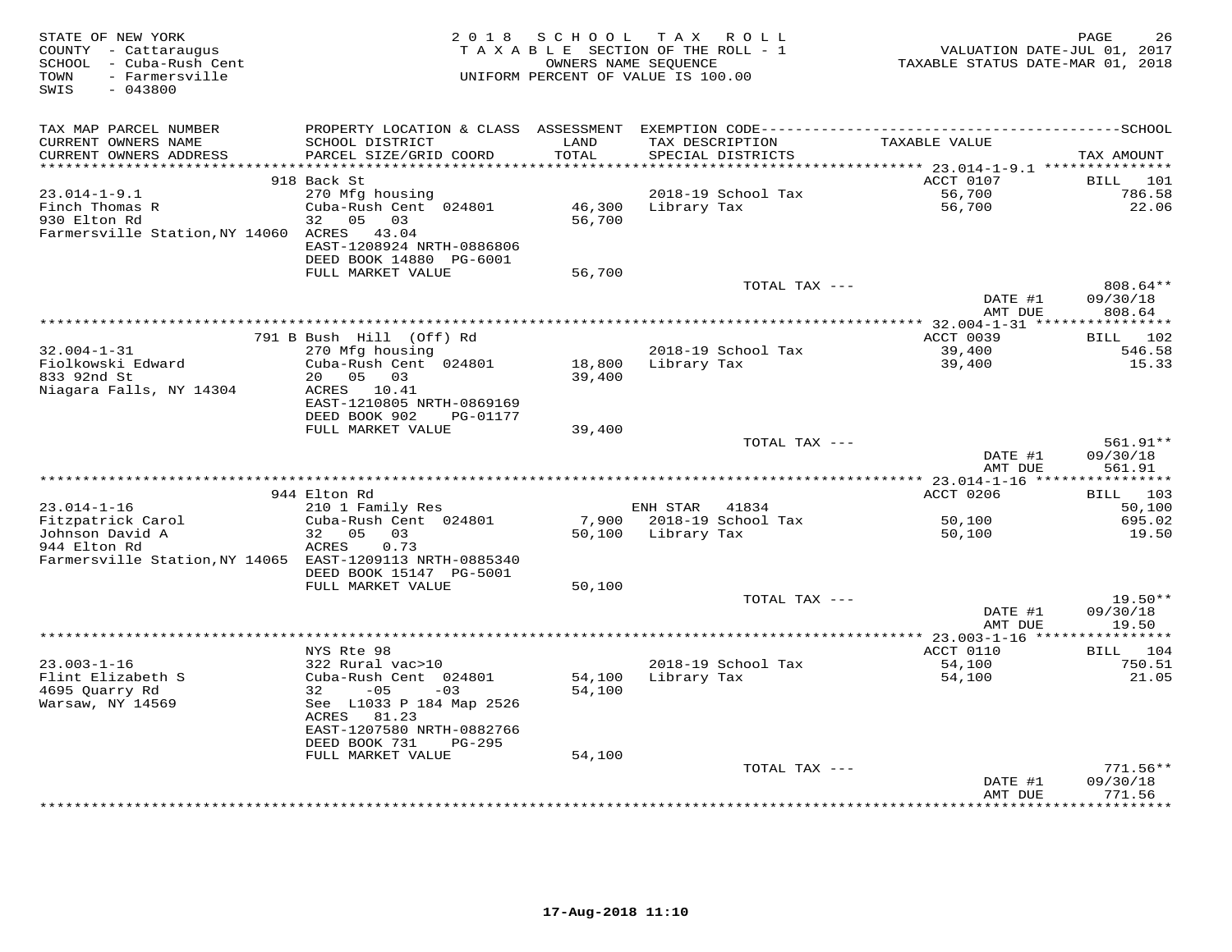| STATE OF NEW YORK<br>COUNTY - Cattaraugus<br>SCHOOL - Cuba-Rush Cent<br>- Farmersville<br>TOWN<br>$-043800$<br>SWIS | 2 0 1 8                                       | S C H O O L   | TAX ROLL<br>TAXABLE SECTION OF THE ROLL - 1<br>OWNERS NAME SEQUENCE<br>UNIFORM PERCENT OF VALUE IS 100.00 |               | TAXABLE STATUS DATE-MAR 01, 2018 | PAGE<br>26<br>VALUATION DATE-JUL 01, 2017 |
|---------------------------------------------------------------------------------------------------------------------|-----------------------------------------------|---------------|-----------------------------------------------------------------------------------------------------------|---------------|----------------------------------|-------------------------------------------|
| TAX MAP PARCEL NUMBER                                                                                               | PROPERTY LOCATION & CLASS ASSESSMENT          |               |                                                                                                           |               |                                  |                                           |
| CURRENT OWNERS NAME<br>CURRENT OWNERS ADDRESS                                                                       | SCHOOL DISTRICT<br>PARCEL SIZE/GRID COORD     | LAND<br>TOTAL | TAX DESCRIPTION<br>SPECIAL DISTRICTS                                                                      |               | TAXABLE VALUE                    | TAX AMOUNT                                |
| **********************                                                                                              | ******************************<br>918 Back St |               |                                                                                                           |               | ACCT 0107                        |                                           |
| $23.014 - 1 - 9.1$                                                                                                  | 270 Mfg housing                               |               | 2018-19 School Tax                                                                                        |               | 56,700                           | BILL<br>101<br>786.58                     |
| Finch Thomas R                                                                                                      | Cuba-Rush Cent 024801                         | 46,300        | Library Tax                                                                                               |               | 56,700                           | 22.06                                     |
| 930 Elton Rd                                                                                                        | 05<br>03<br>32                                | 56,700        |                                                                                                           |               |                                  |                                           |
| Farmersville Station, NY 14060 ACRES                                                                                | 43.04                                         |               |                                                                                                           |               |                                  |                                           |
|                                                                                                                     | EAST-1208924 NRTH-0886806                     |               |                                                                                                           |               |                                  |                                           |
|                                                                                                                     | DEED BOOK 14880 PG-6001                       |               |                                                                                                           |               |                                  |                                           |
|                                                                                                                     | FULL MARKET VALUE                             | 56,700        |                                                                                                           | TOTAL TAX --- |                                  | 808.64**                                  |
|                                                                                                                     |                                               |               |                                                                                                           |               | DATE #1                          | 09/30/18                                  |
|                                                                                                                     |                                               |               |                                                                                                           |               | AMT DUE                          | 808.64                                    |
|                                                                                                                     |                                               |               |                                                                                                           |               |                                  |                                           |
|                                                                                                                     | 791 B Bush Hill (Off) Rd                      |               |                                                                                                           |               | ACCT 0039                        | BILL 102                                  |
| $32.004 - 1 - 31$                                                                                                   | 270 Mfg housing                               |               | 2018-19 School Tax                                                                                        |               | 39,400                           | 546.58                                    |
| Fiolkowski Edward                                                                                                   | Cuba-Rush Cent 024801                         | 18,800        | Library Tax                                                                                               |               | 39,400                           | 15.33                                     |
| 833 92nd St<br>Niagara Falls, NY 14304                                                                              | 20 05 03<br>ACRES 10.41                       | 39,400        |                                                                                                           |               |                                  |                                           |
|                                                                                                                     | EAST-1210805 NRTH-0869169                     |               |                                                                                                           |               |                                  |                                           |
|                                                                                                                     | DEED BOOK 902<br>PG-01177                     |               |                                                                                                           |               |                                  |                                           |
|                                                                                                                     | FULL MARKET VALUE                             | 39,400        |                                                                                                           |               |                                  |                                           |
|                                                                                                                     |                                               |               |                                                                                                           | TOTAL TAX --- |                                  | 561.91**                                  |
|                                                                                                                     |                                               |               |                                                                                                           |               | DATE #1                          | 09/30/18                                  |
|                                                                                                                     |                                               |               |                                                                                                           |               | AMT DUE                          | 561.91                                    |
|                                                                                                                     | 944 Elton Rd                                  |               |                                                                                                           |               | ACCT 0206                        | BILL 103                                  |
| $23.014 - 1 - 16$                                                                                                   | 210 1 Family Res                              |               | ENH STAR                                                                                                  | 41834         |                                  | 50,100                                    |
| Fitzpatrick Carol                                                                                                   | Cuba-Rush Cent 024801                         | 7,900         | 2018-19 School Tax                                                                                        |               | 50,100                           | 695.02                                    |
| Johnson David A                                                                                                     | 32<br>0.5<br>03                               | 50,100        | Library Tax                                                                                               |               | 50,100                           | 19.50                                     |
| 944 Elton Rd                                                                                                        | ACRES<br>0.73                                 |               |                                                                                                           |               |                                  |                                           |
| Farmersville Station, NY 14065 EAST-1209113 NRTH-0885340                                                            | DEED BOOK 15147 PG-5001                       |               |                                                                                                           |               |                                  |                                           |
|                                                                                                                     | FULL MARKET VALUE                             | 50,100        |                                                                                                           |               |                                  |                                           |
|                                                                                                                     |                                               |               |                                                                                                           | TOTAL TAX --- |                                  | $19.50**$                                 |
|                                                                                                                     |                                               |               |                                                                                                           |               | DATE #1                          | 09/30/18                                  |
|                                                                                                                     |                                               |               |                                                                                                           |               | AMT DUE                          | 19.50                                     |
|                                                                                                                     |                                               |               |                                                                                                           |               | **** 23.003-1-16 *****           | ***********                               |
|                                                                                                                     | NYS Rte 98                                    |               |                                                                                                           |               | ACCT 0110                        | BILL 104                                  |
| $23.003 - 1 - 16$<br>Flint Elizabeth S                                                                              | 322 Rural vac>10<br>Cuba-Rush Cent 024801     | 54,100        | 2018-19 School Tax<br>Library Tax                                                                         |               | 54,100<br>54,100                 | 750.51<br>21.05                           |
| 4695 Ouarry Rd                                                                                                      | $-05$<br>32<br>$-03$                          | 54,100        |                                                                                                           |               |                                  |                                           |
| Warsaw, NY 14569                                                                                                    | See L1033 P 184 Map 2526                      |               |                                                                                                           |               |                                  |                                           |
|                                                                                                                     | ACRES 81.23                                   |               |                                                                                                           |               |                                  |                                           |
|                                                                                                                     | EAST-1207580 NRTH-0882766                     |               |                                                                                                           |               |                                  |                                           |
|                                                                                                                     | DEED BOOK 731<br>$PG-295$                     |               |                                                                                                           |               |                                  |                                           |
|                                                                                                                     | FULL MARKET VALUE                             | 54,100        |                                                                                                           | TOTAL TAX --- |                                  | $771.56**$                                |
|                                                                                                                     |                                               |               |                                                                                                           |               | DATE #1                          | 09/30/18                                  |
|                                                                                                                     |                                               |               |                                                                                                           |               | AMT DUE                          | 771.56                                    |
|                                                                                                                     |                                               |               | ***********************                                                                                   |               |                                  | * * * * * * * * *                         |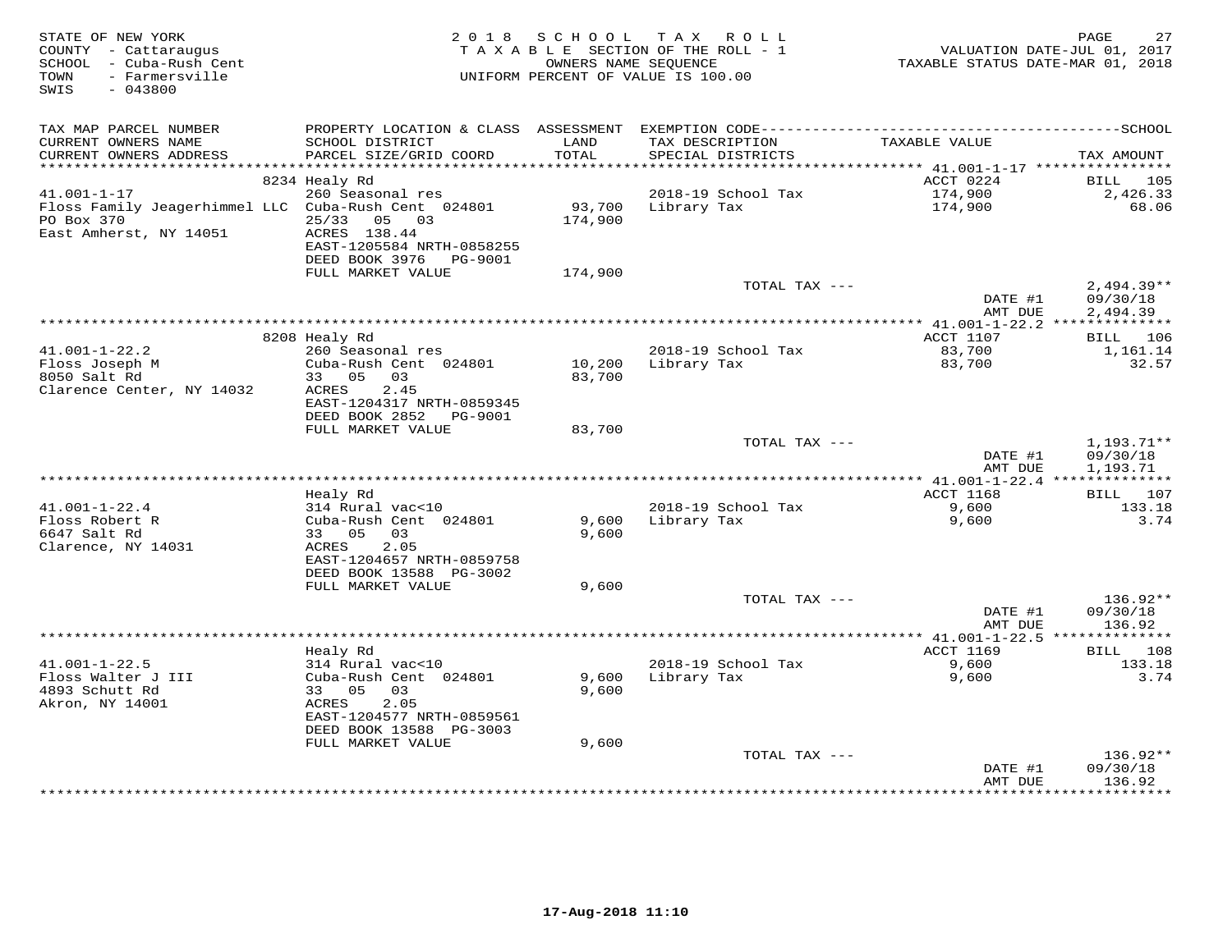| STATE OF NEW YORK<br>COUNTY - Cattaraugus<br>SCHOOL - Cuba-Rush Cent<br>- Farmersville<br>TOWN<br>SWIS<br>$-043800$ | 2 0 1 8                                                                                                         | S C H O O L       | TAX ROLL<br>TAXABLE SECTION OF THE ROLL - 1<br>OWNERS NAME SEQUENCE<br>UNIFORM PERCENT OF VALUE IS 100.00 | VALUATION DATE-JUL 01, 2017<br>TAXABLE STATUS DATE-MAR 01, 2018 | 27<br>PAGE               |
|---------------------------------------------------------------------------------------------------------------------|-----------------------------------------------------------------------------------------------------------------|-------------------|-----------------------------------------------------------------------------------------------------------|-----------------------------------------------------------------|--------------------------|
| TAX MAP PARCEL NUMBER<br>CURRENT OWNERS NAME                                                                        | PROPERTY LOCATION & CLASS ASSESSMENT EXEMPTION CODE-----------------------------------SCHOOL<br>SCHOOL DISTRICT | LAND              | TAX DESCRIPTION                                                                                           | TAXABLE VALUE                                                   |                          |
| CURRENT OWNERS ADDRESS<br>***********************                                                                   | PARCEL SIZE/GRID COORD                                                                                          | TOTAL             | SPECIAL DISTRICTS                                                                                         |                                                                 | TAX AMOUNT               |
|                                                                                                                     | 8234 Healy Rd                                                                                                   |                   |                                                                                                           | ACCT 0224                                                       | BILL<br>105              |
| $41.001 - 1 - 17$                                                                                                   | 260 Seasonal res                                                                                                |                   | 2018-19 School Tax                                                                                        | 174,900                                                         | 2,426.33                 |
| Floss Family Jeagerhimmel LLC Cuba-Rush Cent 024801<br>PO Box 370<br>East Amherst, NY 14051                         | 25/33<br>05 03<br>ACRES 138.44<br>EAST-1205584 NRTH-0858255                                                     | 93,700<br>174,900 | Library Tax                                                                                               | 174,900                                                         | 68.06                    |
|                                                                                                                     | DEED BOOK 3976 PG-9001                                                                                          |                   |                                                                                                           |                                                                 |                          |
|                                                                                                                     | FULL MARKET VALUE                                                                                               | 174,900           |                                                                                                           |                                                                 |                          |
|                                                                                                                     |                                                                                                                 |                   | TOTAL TAX ---                                                                                             | DATE #1                                                         | $2,494.39**$<br>09/30/18 |
|                                                                                                                     |                                                                                                                 |                   |                                                                                                           | AMT DUE                                                         | 2,494.39                 |
|                                                                                                                     | 8208 Healy Rd                                                                                                   |                   |                                                                                                           | ACCT 1107                                                       | BILL 106                 |
| $41.001 - 1 - 22.2$                                                                                                 | 260 Seasonal res                                                                                                |                   | 2018-19 School Tax                                                                                        | 83,700                                                          | 1,161.14                 |
| Floss Joseph M<br>8050 Salt Rd<br>Clarence Center, NY 14032                                                         | Cuba-Rush Cent 024801<br>33 05 03<br>2.45<br>ACRES                                                              | 10,200<br>83,700  | Library Tax                                                                                               | 83,700                                                          | 32.57                    |
|                                                                                                                     | EAST-1204317 NRTH-0859345<br>DEED BOOK 2852 PG-9001                                                             |                   |                                                                                                           |                                                                 |                          |
|                                                                                                                     | FULL MARKET VALUE                                                                                               | 83,700            | TOTAL TAX ---                                                                                             |                                                                 | $1,193.71**$             |
|                                                                                                                     |                                                                                                                 |                   |                                                                                                           | DATE #1<br>AMT DUE                                              | 09/30/18<br>1,193.71     |
|                                                                                                                     |                                                                                                                 |                   |                                                                                                           | ACCT 1168                                                       | BILL 107                 |
| $41.001 - 1 - 22.4$                                                                                                 | Healy Rd<br>314 Rural vac<10                                                                                    |                   | 2018-19 School Tax                                                                                        | 9,600                                                           | 133.18                   |
| Floss Robert R                                                                                                      | Cuba-Rush Cent 024801                                                                                           | 9,600             | Library Tax                                                                                               | 9,600                                                           | 3.74                     |
| 6647 Salt Rd<br>Clarence, NY 14031                                                                                  | 33 05<br>03<br>2.05<br>ACRES                                                                                    | 9,600             |                                                                                                           |                                                                 |                          |
|                                                                                                                     | EAST-1204657 NRTH-0859758<br>DEED BOOK 13588 PG-3002                                                            |                   |                                                                                                           |                                                                 |                          |
|                                                                                                                     | FULL MARKET VALUE                                                                                               | 9,600             |                                                                                                           |                                                                 |                          |
|                                                                                                                     |                                                                                                                 |                   | TOTAL TAX ---                                                                                             |                                                                 | 136.92**                 |
|                                                                                                                     |                                                                                                                 |                   |                                                                                                           | DATE #1<br>AMT DUE                                              | 09/30/18<br>136.92       |
|                                                                                                                     |                                                                                                                 |                   |                                                                                                           |                                                                 |                          |
| $41.001 - 1 - 22.5$                                                                                                 | Healy Rd<br>314 Rural vac<10                                                                                    |                   | 2018-19 School Tax                                                                                        | ACCT 1169<br>9,600                                              | 108<br>BILL<br>133.18    |
| Floss Walter J III                                                                                                  | Cuba-Rush Cent 024801                                                                                           | 9,600             | Library Tax                                                                                               | 9,600                                                           | 3.74                     |
| 4893 Schutt Rd<br>Akron, NY 14001                                                                                   | 33 05<br>03<br>ACRES<br>2.05<br>EAST-1204577 NRTH-0859561                                                       | 9,600             |                                                                                                           |                                                                 |                          |
|                                                                                                                     | DEED BOOK 13588 PG-3003<br>FULL MARKET VALUE                                                                    | 9,600             |                                                                                                           |                                                                 |                          |
|                                                                                                                     |                                                                                                                 |                   | TOTAL TAX ---                                                                                             |                                                                 | 136.92**                 |
|                                                                                                                     |                                                                                                                 |                   |                                                                                                           | DATE #1<br>AMT DUE                                              | 09/30/18<br>136.92       |
|                                                                                                                     |                                                                                                                 |                   |                                                                                                           | **************                                                  | **********               |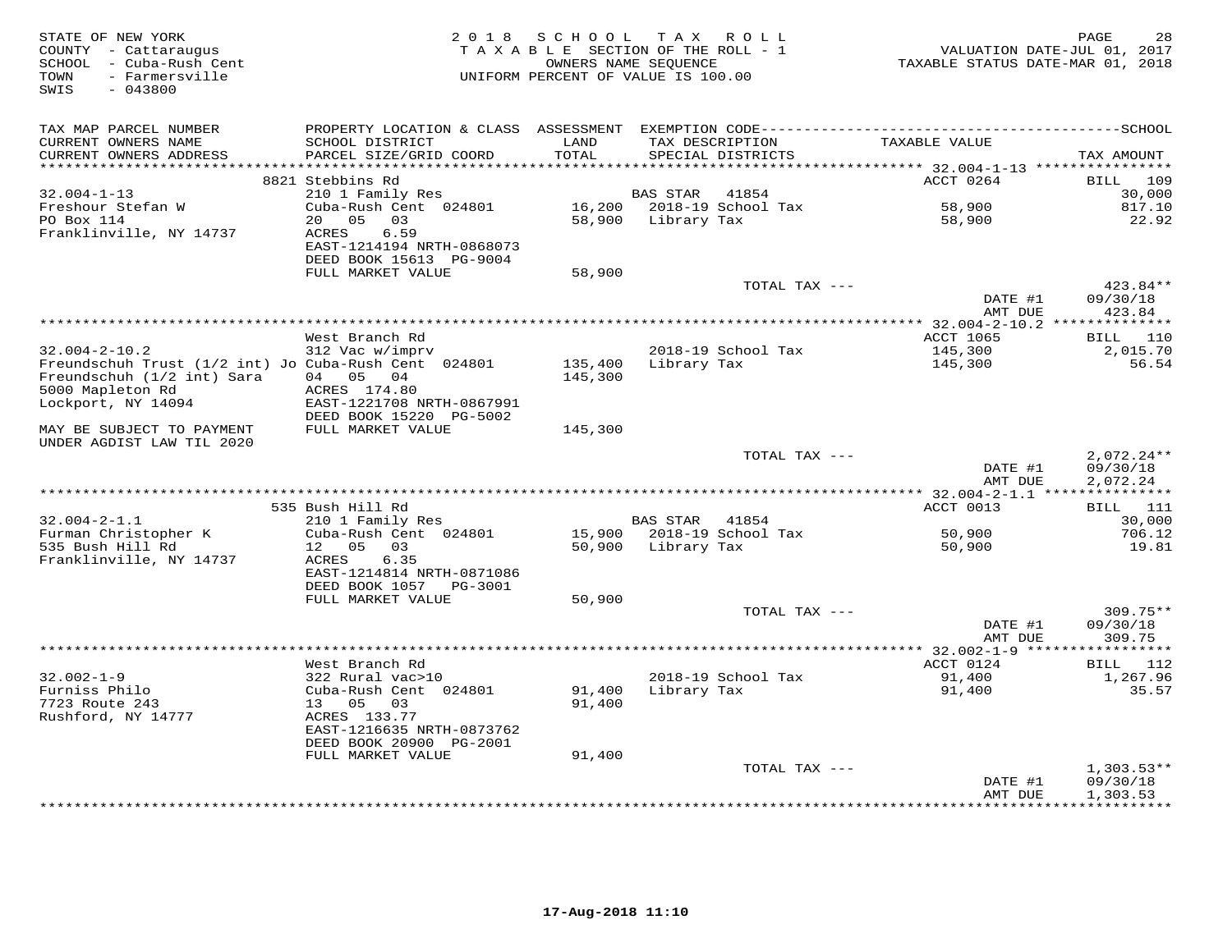| STATE OF NEW YORK<br>COUNTY - Cattaraugus<br>SCHOOL - Cuba-Rush Cent<br>- Farmersville<br>TOWN<br>$-043800$<br>SWIS | 2 0 1 8                                                                                                                                   | SCHOOL        | TAX ROLL<br>TAXABLE SECTION OF THE ROLL - 1<br>OWNERS NAME SEQUENCE<br>UNIFORM PERCENT OF VALUE IS 100.00 |               | VALUATION DATE-JUL 01, 2017<br>TAXABLE STATUS DATE-MAR 01, 2018 | PAGE<br>28                      |
|---------------------------------------------------------------------------------------------------------------------|-------------------------------------------------------------------------------------------------------------------------------------------|---------------|-----------------------------------------------------------------------------------------------------------|---------------|-----------------------------------------------------------------|---------------------------------|
| TAX MAP PARCEL NUMBER<br>CURRENT OWNERS NAME<br>CURRENT OWNERS ADDRESS                                              | PROPERTY LOCATION & CLASS ASSESSMENT EXEMPTION CODE-----------------------------------SCHOOL<br>SCHOOL DISTRICT<br>PARCEL SIZE/GRID COORD | LAND<br>TOTAL | TAX DESCRIPTION<br>SPECIAL DISTRICTS                                                                      |               | TAXABLE VALUE                                                   | TAX AMOUNT                      |
|                                                                                                                     |                                                                                                                                           | ***********   |                                                                                                           |               | **************************** 32.004-1-13 ****************       |                                 |
| $32.004 - 1 - 13$                                                                                                   | 8821 Stebbins Rd<br>210 1 Family Res                                                                                                      |               | 41854<br>BAS STAR                                                                                         |               | ACCT 0264                                                       | BILL 109<br>30,000              |
| Freshour Stefan W                                                                                                   | Cuba-Rush Cent 024801                                                                                                                     |               | 16,200 2018-19 School Tax                                                                                 |               | 58,900                                                          | 817.10                          |
| PO Box 114                                                                                                          | 20 05<br>03                                                                                                                               | 58,900        | Library Tax                                                                                               |               | 58,900                                                          | 22.92                           |
| Franklinville, NY 14737                                                                                             | ACRES<br>6.59<br>EAST-1214194 NRTH-0868073<br>DEED BOOK 15613 PG-9004                                                                     |               |                                                                                                           |               |                                                                 |                                 |
|                                                                                                                     | FULL MARKET VALUE                                                                                                                         | 58,900        |                                                                                                           |               |                                                                 |                                 |
|                                                                                                                     |                                                                                                                                           |               |                                                                                                           | TOTAL TAX --- | DATE #1<br>AMT DUE                                              | 423.84**<br>09/30/18<br>423.84  |
|                                                                                                                     |                                                                                                                                           |               |                                                                                                           |               |                                                                 |                                 |
|                                                                                                                     | West Branch Rd                                                                                                                            |               |                                                                                                           |               | ACCT 1065                                                       | <b>BILL</b> 110                 |
| $32.004 - 2 - 10.2$                                                                                                 | 312 Vac w/imprv                                                                                                                           |               | 2018-19 School Tax                                                                                        |               | 145,300                                                         | 2,015.70                        |
| Freundschuh Trust (1/2 int) Jo Cuba-Rush Cent 024801                                                                |                                                                                                                                           | 135,400       | Library Tax                                                                                               |               | 145,300                                                         | 56.54                           |
| Freundschuh (1/2 int) Sara                                                                                          | 04 05 04                                                                                                                                  | 145,300       |                                                                                                           |               |                                                                 |                                 |
| 5000 Mapleton Rd                                                                                                    | ACRES 174.80                                                                                                                              |               |                                                                                                           |               |                                                                 |                                 |
| Lockport, NY 14094                                                                                                  | EAST-1221708 NRTH-0867991<br>DEED BOOK 15220 PG-5002                                                                                      |               |                                                                                                           |               |                                                                 |                                 |
| MAY BE SUBJECT TO PAYMENT<br>UNDER AGDIST LAW TIL 2020                                                              | FULL MARKET VALUE                                                                                                                         | 145,300       |                                                                                                           |               |                                                                 |                                 |
|                                                                                                                     |                                                                                                                                           |               |                                                                                                           | TOTAL TAX --- |                                                                 | $2,072.24**$                    |
|                                                                                                                     |                                                                                                                                           |               |                                                                                                           |               | DATE #1<br>AMT DUE                                              | 09/30/18<br>2,072.24            |
|                                                                                                                     | 535 Bush Hill Rd                                                                                                                          |               |                                                                                                           |               | ACCT 0013                                                       | BILL 111                        |
| $32.004 - 2 - 1.1$                                                                                                  | 210 1 Family Res                                                                                                                          |               | BAS STAR<br>41854                                                                                         |               |                                                                 | 30,000                          |
| Furman Christopher K                                                                                                | Cuba-Rush Cent 024801                                                                                                                     | 15,900        | 2018-19 School Tax                                                                                        |               | 50,900                                                          | 706.12                          |
| 535 Bush Hill Rd<br>Franklinville, NY 14737                                                                         | 12 05<br>03<br>6.35<br>ACRES<br>EAST-1214814 NRTH-0871086                                                                                 |               | 50,900 Library Tax                                                                                        |               | 50,900                                                          | 19.81                           |
|                                                                                                                     | DEED BOOK 1057<br>PG-3001                                                                                                                 |               |                                                                                                           |               |                                                                 |                                 |
|                                                                                                                     | FULL MARKET VALUE                                                                                                                         | 50,900        |                                                                                                           |               |                                                                 |                                 |
|                                                                                                                     |                                                                                                                                           |               |                                                                                                           | TOTAL TAX --- |                                                                 | 309.75**                        |
|                                                                                                                     |                                                                                                                                           |               |                                                                                                           |               | DATE #1                                                         | 09/30/18                        |
|                                                                                                                     |                                                                                                                                           |               |                                                                                                           |               | AMT DUE                                                         | 309.75<br>* * * * * * * * * * * |
|                                                                                                                     | West Branch Rd                                                                                                                            |               |                                                                                                           |               | ACCT 0124                                                       | <b>BILL</b> 112                 |
| $32.002 - 1 - 9$                                                                                                    | 322 Rural vac>10                                                                                                                          |               | 2018-19 School Tax                                                                                        |               | 91,400                                                          | 1,267.96                        |
| Furniss Philo                                                                                                       | Cuba-Rush Cent 024801                                                                                                                     | 91,400        | Library Tax                                                                                               |               | 91,400                                                          | 35.57                           |
| 7723 Route 243                                                                                                      | 13 05<br>03                                                                                                                               | 91,400        |                                                                                                           |               |                                                                 |                                 |
| Rushford, NY 14777                                                                                                  | ACRES 133.77<br>EAST-1216635 NRTH-0873762                                                                                                 |               |                                                                                                           |               |                                                                 |                                 |
|                                                                                                                     | DEED BOOK 20900 PG-2001                                                                                                                   |               |                                                                                                           |               |                                                                 |                                 |
|                                                                                                                     | FULL MARKET VALUE                                                                                                                         | 91,400        |                                                                                                           |               |                                                                 |                                 |
|                                                                                                                     |                                                                                                                                           |               |                                                                                                           | TOTAL TAX --- |                                                                 | $1,303.53**$                    |
|                                                                                                                     |                                                                                                                                           |               |                                                                                                           |               | DATE #1<br>AMT DUE                                              | 09/30/18<br>1,303.53            |
|                                                                                                                     |                                                                                                                                           |               |                                                                                                           |               |                                                                 | * * * * * * * * * * *           |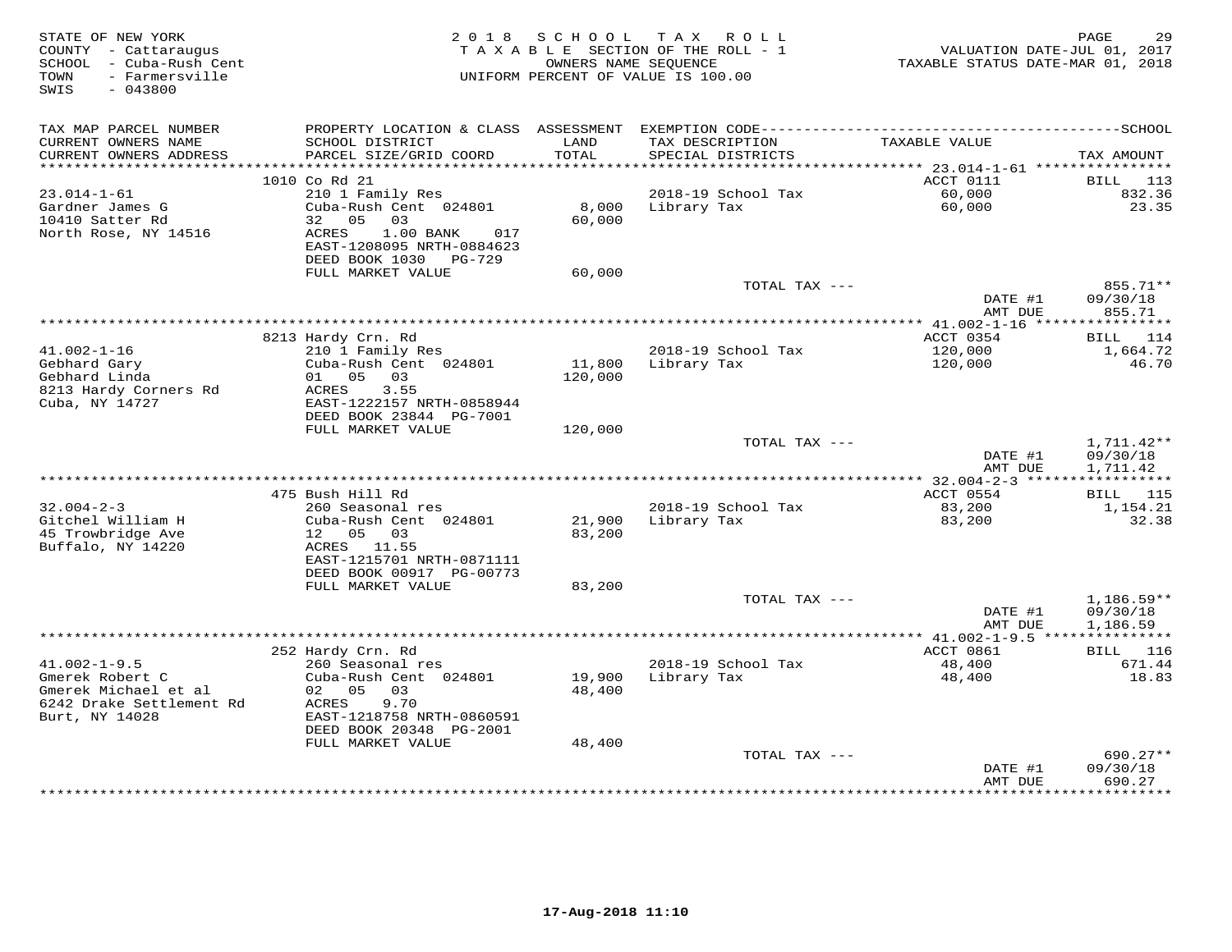| STATE OF NEW YORK<br>COUNTY - Cattaraugus<br>SCHOOL - Cuba-Rush Cent<br>- Farmersville<br>TOWN<br>SWIS<br>$-043800$ | 2 0 1 8                                                                                                       | S C H O O L       | TAX ROLL<br>TAXABLE SECTION OF THE ROLL - 1<br>OWNERS NAME SEQUENCE<br>UNIFORM PERCENT OF VALUE IS 100.00 | VALUATION DATE-JUL 01, 2017<br>TAXABLE STATUS DATE-MAR 01, 2018 | PAGE<br>29                           |
|---------------------------------------------------------------------------------------------------------------------|---------------------------------------------------------------------------------------------------------------|-------------------|-----------------------------------------------------------------------------------------------------------|-----------------------------------------------------------------|--------------------------------------|
| TAX MAP PARCEL NUMBER                                                                                               | PROPERTY LOCATION & CLASS ASSESSMENT                                                                          |                   |                                                                                                           |                                                                 |                                      |
| CURRENT OWNERS NAME<br>CURRENT OWNERS ADDRESS                                                                       | SCHOOL DISTRICT<br>PARCEL SIZE/GRID COORD                                                                     | LAND<br>TOTAL     | TAX DESCRIPTION<br>SPECIAL DISTRICTS                                                                      | TAXABLE VALUE                                                   | TAX AMOUNT                           |
| ***********************                                                                                             | 1010 Co Rd 21                                                                                                 |                   |                                                                                                           | ACCT 0111                                                       | BILL<br>113                          |
| $23.014 - 1 - 61$                                                                                                   | 210 1 Family Res                                                                                              |                   | 2018-19 School Tax                                                                                        | 60,000                                                          | 832.36                               |
| Gardner James G<br>10410 Satter Rd<br>North Rose, NY 14516                                                          | Cuba-Rush Cent 024801<br>05<br>32<br>03<br>ACRES<br>1.00 BANK<br>017<br>EAST-1208095 NRTH-0884623             | 8,000<br>60,000   | Library Tax                                                                                               | 60,000                                                          | 23.35                                |
|                                                                                                                     | DEED BOOK 1030 PG-729                                                                                         |                   |                                                                                                           |                                                                 |                                      |
|                                                                                                                     | FULL MARKET VALUE                                                                                             | 60,000            | TOTAL TAX ---                                                                                             |                                                                 | 855.71**                             |
|                                                                                                                     |                                                                                                               |                   |                                                                                                           | DATE #1<br>AMT DUE                                              | 09/30/18<br>855.71                   |
|                                                                                                                     |                                                                                                               |                   |                                                                                                           | ************ 41.002-1-16 ****                                   | ***********                          |
|                                                                                                                     | 8213 Hardy Crn. Rd                                                                                            |                   |                                                                                                           | ACCT 0354                                                       | 114<br>BILL                          |
| $41.002 - 1 - 16$<br>Gebhard Gary<br>Gebhard Linda<br>8213 Hardy Corners Rd                                         | 210 1 Family Res<br>Cuba-Rush Cent 024801<br>01 05 03<br>3.55<br>ACRES                                        | 11,800<br>120,000 | 2018-19 School Tax<br>Library Tax                                                                         | 120,000<br>120,000                                              | 1,664.72<br>46.70                    |
| Cuba, NY 14727                                                                                                      | EAST-1222157 NRTH-0858944<br>DEED BOOK 23844 PG-7001                                                          |                   |                                                                                                           |                                                                 |                                      |
|                                                                                                                     | FULL MARKET VALUE                                                                                             | 120,000           |                                                                                                           |                                                                 |                                      |
|                                                                                                                     |                                                                                                               |                   | TOTAL TAX ---                                                                                             | DATE #1                                                         | $1,711.42**$<br>09/30/18             |
|                                                                                                                     |                                                                                                               |                   |                                                                                                           | AMT DUE                                                         | 1,711.42                             |
|                                                                                                                     | 475 Bush Hill Rd                                                                                              |                   |                                                                                                           | ACCT 0554                                                       | BILL 115                             |
| $32.004 - 2 - 3$                                                                                                    | 260 Seasonal res                                                                                              |                   | 2018-19 School Tax                                                                                        | 83,200                                                          | 1,154.21                             |
| Gitchel William H                                                                                                   | Cuba-Rush Cent 024801                                                                                         | 21,900            | Library Tax                                                                                               | 83,200                                                          | 32.38                                |
| 45 Trowbridge Ave<br>Buffalo, NY 14220                                                                              | 12 05 03<br>ACRES 11.55<br>EAST-1215701 NRTH-0871111                                                          | 83,200            |                                                                                                           |                                                                 |                                      |
|                                                                                                                     | DEED BOOK 00917 PG-00773                                                                                      |                   |                                                                                                           |                                                                 |                                      |
|                                                                                                                     | FULL MARKET VALUE                                                                                             | 83,200            |                                                                                                           |                                                                 |                                      |
|                                                                                                                     |                                                                                                               |                   | TOTAL TAX ---                                                                                             | DATE #1<br>AMT DUE                                              | $1,186.59**$<br>09/30/18<br>1,186.59 |
|                                                                                                                     |                                                                                                               |                   |                                                                                                           |                                                                 |                                      |
|                                                                                                                     | 252 Hardy Crn. Rd                                                                                             |                   |                                                                                                           | ACCT 0861                                                       | BILL<br>116                          |
| $41.002 - 1 - 9.5$                                                                                                  | 260 Seasonal res                                                                                              |                   | 2018-19 School Tax                                                                                        | 48,400                                                          | 671.44                               |
| Gmerek Robert C<br>Gmerek Michael et al<br>6242 Drake Settlement Rd<br>Burt, NY 14028                               | Cuba-Rush Cent 024801<br>02 05<br>03<br>ACRES<br>9.70<br>EAST-1218758 NRTH-0860591<br>DEED BOOK 20348 PG-2001 | 19,900<br>48,400  | Library Tax                                                                                               | 48,400                                                          | 18.83                                |
|                                                                                                                     | FULL MARKET VALUE                                                                                             | 48,400            |                                                                                                           |                                                                 |                                      |
|                                                                                                                     |                                                                                                               |                   | TOTAL TAX ---                                                                                             | DATE #1<br>AMT DUE                                              | 690.27**<br>09/30/18<br>690.27       |
|                                                                                                                     |                                                                                                               |                   |                                                                                                           | ************                                                    | **********                           |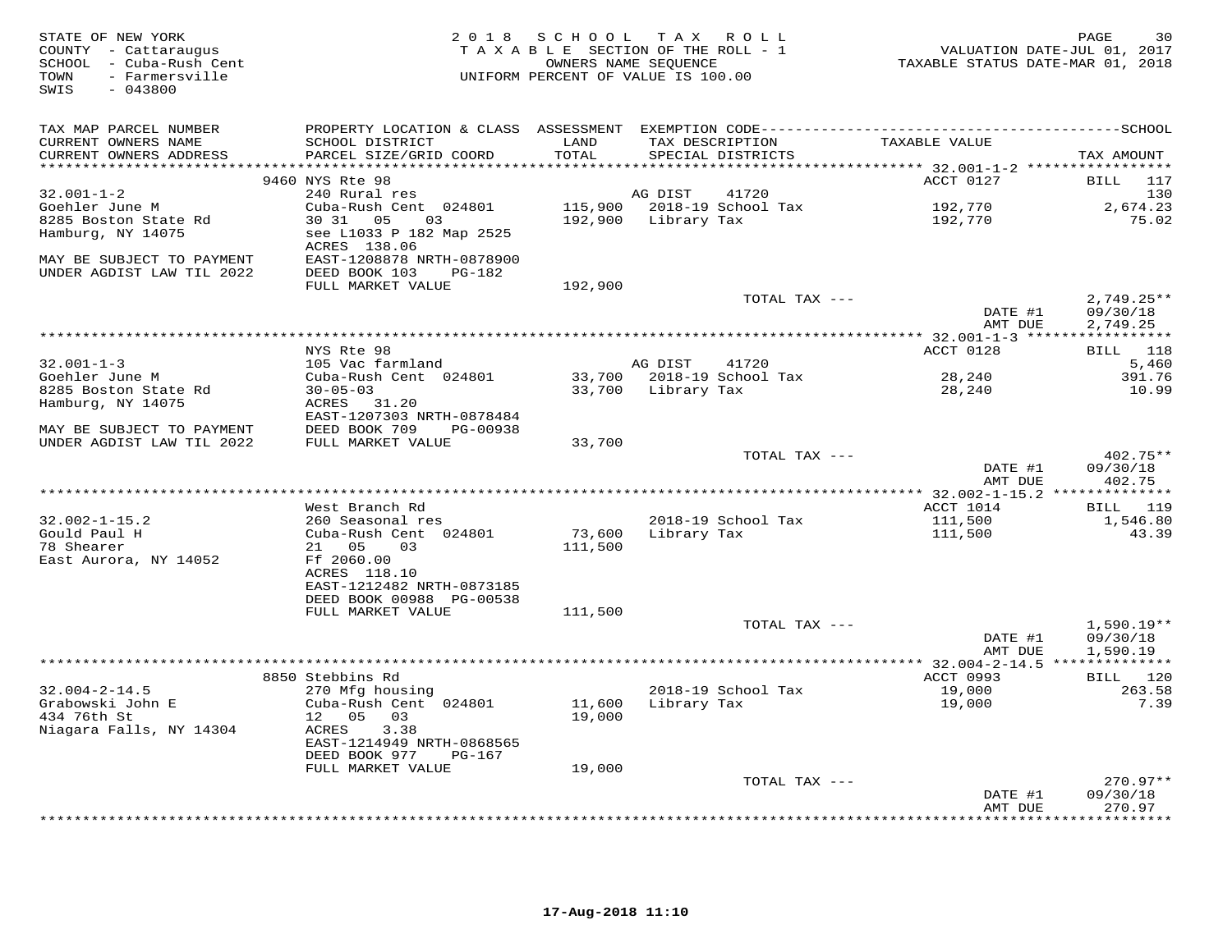| STATE OF NEW YORK<br>COUNTY - Cattaraugus<br>SCHOOL - Cuba-Rush Cent<br>- Farmersville<br>TOWN<br>SWIS<br>$-043800$ | 2 0 1 8                                                | SCHOOL            | TAX ROLL<br>TAXABLE SECTION OF THE ROLL - 1<br>OWNERS NAME SEQUENCE<br>UNIFORM PERCENT OF VALUE IS 100.00 | VALUATION DATE-JUL 01, 2017<br>TAXABLE STATUS DATE-MAR 01, 2018 | 30<br>PAGE                |
|---------------------------------------------------------------------------------------------------------------------|--------------------------------------------------------|-------------------|-----------------------------------------------------------------------------------------------------------|-----------------------------------------------------------------|---------------------------|
| TAX MAP PARCEL NUMBER                                                                                               |                                                        |                   |                                                                                                           |                                                                 |                           |
| CURRENT OWNERS NAME<br>CURRENT OWNERS ADDRESS                                                                       | SCHOOL DISTRICT<br>PARCEL SIZE/GRID COORD              | LAND<br>TOTAL     | TAX DESCRIPTION<br>SPECIAL DISTRICTS                                                                      | TAXABLE VALUE                                                   |                           |
|                                                                                                                     |                                                        |                   |                                                                                                           |                                                                 | TAX AMOUNT                |
|                                                                                                                     | 9460 NYS Rte 98                                        |                   |                                                                                                           | ACCT 0127                                                       | BILL 117                  |
| $32.001 - 1 - 2$                                                                                                    | 240 Rural res                                          |                   | AG DIST<br>41720                                                                                          |                                                                 | 130                       |
| Goehler June M                                                                                                      | Cuba-Rush Cent 024801                                  |                   | 115,900 2018-19 School Tax                                                                                | 192,770                                                         | 2,674.23                  |
| 8285 Boston State Rd                                                                                                | 30 31 05<br>03                                         |                   | 192,900 Library Tax                                                                                       | 192,770                                                         | 75.02                     |
| Hamburg, NY 14075                                                                                                   | see L1033 P 182 Map 2525                               |                   |                                                                                                           |                                                                 |                           |
| MAY BE SUBJECT TO PAYMENT                                                                                           | ACRES 138.06                                           |                   |                                                                                                           |                                                                 |                           |
| UNDER AGDIST LAW TIL 2022                                                                                           | EAST-1208878 NRTH-0878900<br>DEED BOOK 103<br>$PG-182$ |                   |                                                                                                           |                                                                 |                           |
|                                                                                                                     | FULL MARKET VALUE                                      | 192,900           |                                                                                                           |                                                                 |                           |
|                                                                                                                     |                                                        |                   | TOTAL TAX ---                                                                                             |                                                                 | $2,749.25**$              |
|                                                                                                                     |                                                        |                   |                                                                                                           | DATE #1                                                         | 09/30/18                  |
|                                                                                                                     |                                                        |                   |                                                                                                           | AMT DUE                                                         | 2,749.25                  |
|                                                                                                                     |                                                        |                   |                                                                                                           |                                                                 |                           |
| $32.001 - 1 - 3$                                                                                                    | NYS Rte 98<br>105 Vac farmland                         |                   | AG DIST<br>41720                                                                                          | ACCT 0128                                                       | BILL 118<br>5,460         |
| Goehler June M                                                                                                      | Cuba-Rush Cent 024801                                  |                   | 33,700 2018-19 School Tax                                                                                 | 28,240                                                          | 391.76                    |
| 8285 Boston State Rd                                                                                                | $30 - 05 - 03$                                         |                   | 33,700 Library Tax                                                                                        | 28,240                                                          | 10.99                     |
| Hamburg, NY 14075                                                                                                   | ACRES 31.20                                            |                   |                                                                                                           |                                                                 |                           |
|                                                                                                                     | EAST-1207303 NRTH-0878484                              |                   |                                                                                                           |                                                                 |                           |
| MAY BE SUBJECT TO PAYMENT                                                                                           | DEED BOOK 709<br>PG-00938                              |                   |                                                                                                           |                                                                 |                           |
| UNDER AGDIST LAW TIL 2022                                                                                           | FULL MARKET VALUE                                      | 33,700            | TOTAL TAX ---                                                                                             |                                                                 | 402.75**                  |
|                                                                                                                     |                                                        |                   |                                                                                                           | DATE #1                                                         | 09/30/18                  |
|                                                                                                                     |                                                        |                   |                                                                                                           | AMT DUE                                                         | 402.75                    |
|                                                                                                                     |                                                        |                   |                                                                                                           |                                                                 |                           |
|                                                                                                                     | West Branch Rd                                         |                   |                                                                                                           | ACCT 1014                                                       | BILL 119                  |
| $32.002 - 1 - 15.2$                                                                                                 | 260 Seasonal res                                       |                   | 2018-19 School Tax                                                                                        | 111,500                                                         | 1,546.80                  |
| Gould Paul H<br>78 Shearer                                                                                          | Cuba-Rush Cent 024801<br>21 05<br>03                   | 73,600<br>111,500 | Library Tax                                                                                               | 111,500                                                         | 43.39                     |
| East Aurora, NY 14052                                                                                               | Ff 2060.00                                             |                   |                                                                                                           |                                                                 |                           |
|                                                                                                                     | ACRES 118.10                                           |                   |                                                                                                           |                                                                 |                           |
|                                                                                                                     | EAST-1212482 NRTH-0873185                              |                   |                                                                                                           |                                                                 |                           |
|                                                                                                                     | DEED BOOK 00988 PG-00538                               |                   |                                                                                                           |                                                                 |                           |
|                                                                                                                     | FULL MARKET VALUE                                      | 111,500           |                                                                                                           |                                                                 |                           |
|                                                                                                                     |                                                        |                   | TOTAL TAX ---                                                                                             | DATE #1                                                         | $1,590.19**$<br>09/30/18  |
|                                                                                                                     |                                                        |                   |                                                                                                           | AMT DUE                                                         | 1,590.19                  |
|                                                                                                                     |                                                        |                   |                                                                                                           | **** 32.004-2-14.5 ***************                              |                           |
|                                                                                                                     | 8850 Stebbins Rd                                       |                   |                                                                                                           | ACCT 0993                                                       | BILL 120                  |
| $32.004 - 2 - 14.5$                                                                                                 | 270 Mfg housing                                        |                   | 2018-19 School Tax                                                                                        | 19,000                                                          | 263.58                    |
| Grabowski John E                                                                                                    | Cuba-Rush Cent 024801                                  | 11,600            | Library Tax                                                                                               | 19,000                                                          | 7.39                      |
| 434 76th St                                                                                                         | 12 05<br>03                                            | 19,000            |                                                                                                           |                                                                 |                           |
| Niagara Falls, NY 14304                                                                                             | ACRES<br>3.38<br>EAST-1214949 NRTH-0868565             |                   |                                                                                                           |                                                                 |                           |
|                                                                                                                     | DEED BOOK 977<br>PG-167                                |                   |                                                                                                           |                                                                 |                           |
|                                                                                                                     | FULL MARKET VALUE                                      | 19,000            |                                                                                                           |                                                                 |                           |
|                                                                                                                     |                                                        |                   | TOTAL TAX ---                                                                                             |                                                                 | $270.97**$                |
|                                                                                                                     |                                                        |                   |                                                                                                           | DATE #1                                                         | 09/30/18                  |
|                                                                                                                     |                                                        |                   |                                                                                                           | AMT DUE                                                         | 270.97<br>* * * * * * * * |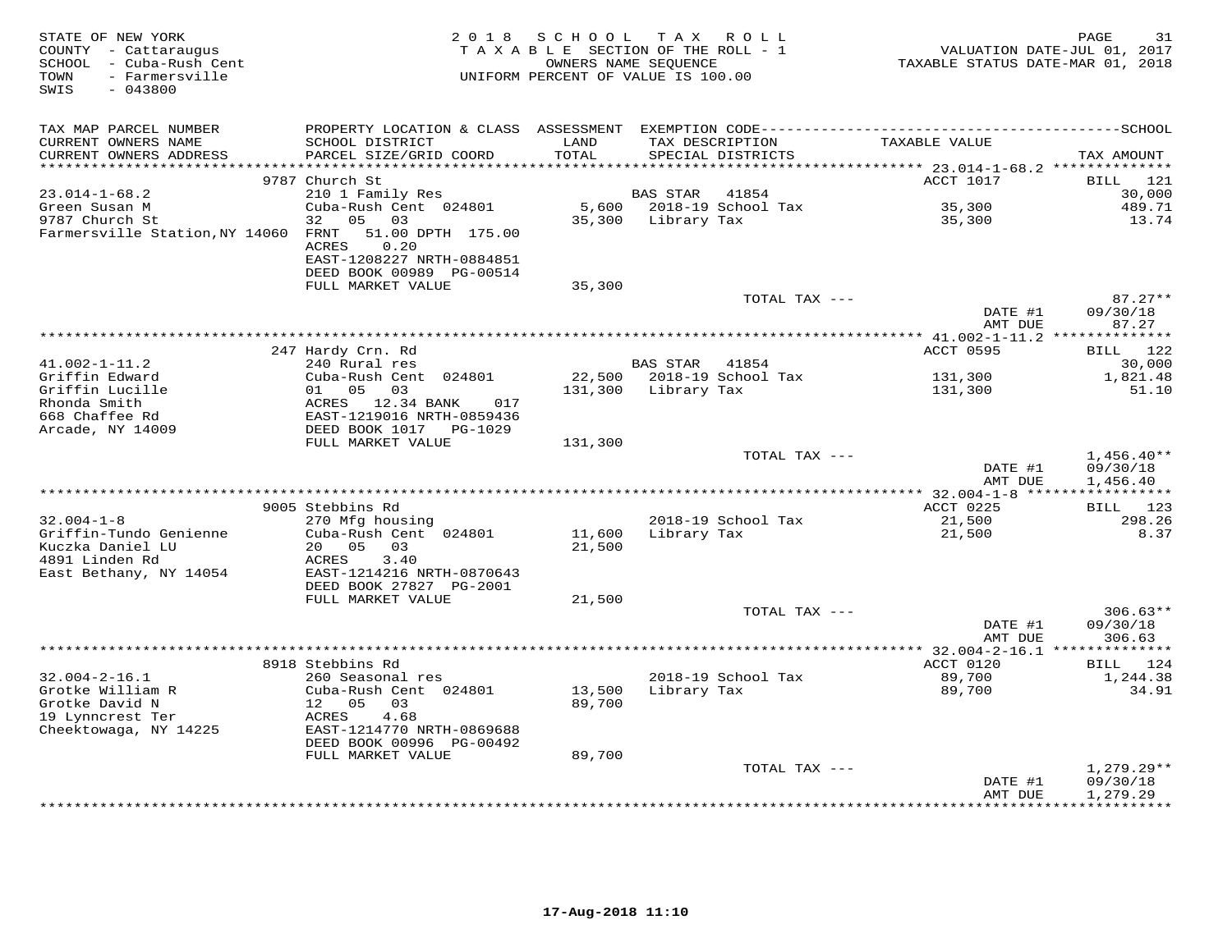| STATE OF NEW YORK<br>COUNTY - Cattaraugus<br>SCHOOL - Cuba-Rush Cent<br>- Farmersville<br>TOWN<br>$-043800$<br>SWIS |                                                                         | 2018 SCHOOL<br>TAXABLE SECTION OF THE ROLL - 1<br>OWNERS NAME SEQUENCE<br>UNIFORM PERCENT OF VALUE IS 100.00 | T A X           | R O L L                              | VALUATION DATE-JUL 01, 2017<br>TAXABLE STATUS DATE-MAR 01, 2018 | PAGE<br>31                     |
|---------------------------------------------------------------------------------------------------------------------|-------------------------------------------------------------------------|--------------------------------------------------------------------------------------------------------------|-----------------|--------------------------------------|-----------------------------------------------------------------|--------------------------------|
| TAX MAP PARCEL NUMBER                                                                                               |                                                                         |                                                                                                              |                 |                                      |                                                                 |                                |
| CURRENT OWNERS NAME<br>CURRENT OWNERS ADDRESS                                                                       | SCHOOL DISTRICT<br>PARCEL SIZE/GRID COORD                               | LAND<br>TOTAL                                                                                                |                 | TAX DESCRIPTION<br>SPECIAL DISTRICTS | TAXABLE VALUE                                                   | TAX AMOUNT                     |
| *******************                                                                                                 |                                                                         | * * * * * * *                                                                                                |                 |                                      | *********** 23.014-1-68.2 **************                        |                                |
|                                                                                                                     | 9787 Church St                                                          |                                                                                                              |                 |                                      | ACCT 1017                                                       | BILL<br>121                    |
| $23.014 - 1 - 68.2$                                                                                                 | 210 1 Family Res                                                        |                                                                                                              | <b>BAS STAR</b> | 41854                                |                                                                 | 30,000                         |
| Green Susan M                                                                                                       | Cuba-Rush Cent 024801                                                   | 5,600                                                                                                        |                 | 2018-19 School Tax                   | 35,300                                                          | 489.71                         |
| 9787 Church St                                                                                                      | 05 03<br>32                                                             | 35,300                                                                                                       | Library Tax     |                                      | 35,300                                                          | 13.74                          |
| Farmersville Station, NY 14060                                                                                      | 51.00 DPTH 175.00<br>FRNT<br>0.20<br>ACRES<br>EAST-1208227 NRTH-0884851 |                                                                                                              |                 |                                      |                                                                 |                                |
|                                                                                                                     | DEED BOOK 00989 PG-00514                                                |                                                                                                              |                 |                                      |                                                                 |                                |
|                                                                                                                     | FULL MARKET VALUE                                                       | 35,300                                                                                                       |                 |                                      |                                                                 |                                |
|                                                                                                                     |                                                                         |                                                                                                              |                 | TOTAL TAX ---                        | DATE #1<br>AMT DUE                                              | $87.27**$<br>09/30/18<br>87.27 |
|                                                                                                                     |                                                                         |                                                                                                              |                 |                                      |                                                                 |                                |
|                                                                                                                     | 247 Hardy Crn. Rd                                                       |                                                                                                              |                 |                                      | ACCT 0595                                                       | 122<br>BILL                    |
| $41.002 - 1 - 11.2$                                                                                                 | 240 Rural res                                                           |                                                                                                              | <b>BAS STAR</b> | 41854                                |                                                                 | 30,000                         |
| Griffin Edward                                                                                                      | Cuba-Rush Cent 024801                                                   | 22,500                                                                                                       |                 | 2018-19 School Tax                   | 131,300                                                         | 1,821.48                       |
| Griffin Lucille                                                                                                     | 01<br>05<br>03                                                          | 131,300                                                                                                      | Library Tax     |                                      | 131,300                                                         | 51.10                          |
| Rhonda Smith<br>668 Chaffee Rd                                                                                      | ACRES 12.34 BANK<br>017<br>EAST-1219016 NRTH-0859436                    |                                                                                                              |                 |                                      |                                                                 |                                |
| Arcade, NY 14009                                                                                                    | DEED BOOK 1017 PG-1029                                                  |                                                                                                              |                 |                                      |                                                                 |                                |
|                                                                                                                     | FULL MARKET VALUE                                                       | 131,300                                                                                                      |                 |                                      |                                                                 |                                |
|                                                                                                                     |                                                                         |                                                                                                              |                 | TOTAL TAX ---                        |                                                                 | $1,456.40**$                   |
|                                                                                                                     |                                                                         |                                                                                                              |                 |                                      | DATE #1                                                         | 09/30/18                       |
|                                                                                                                     |                                                                         |                                                                                                              |                 |                                      | AMT DUE                                                         | 1,456.40                       |
|                                                                                                                     |                                                                         |                                                                                                              |                 |                                      |                                                                 |                                |
|                                                                                                                     | 9005 Stebbins Rd                                                        |                                                                                                              |                 |                                      | ACCT 0225                                                       | BILL 123                       |
| $32.004 - 1 - 8$                                                                                                    | 270 Mfg housing                                                         |                                                                                                              |                 | 2018-19 School Tax                   | 21,500                                                          | 298.26                         |
| Griffin-Tundo Genienne<br>Kuczka Daniel LU                                                                          | Cuba-Rush Cent 024801<br>20<br>05<br>03                                 | 11,600                                                                                                       | Library Tax     |                                      | 21,500                                                          | 8.37                           |
| 4891 Linden Rd                                                                                                      | 3.40<br>ACRES                                                           | 21,500                                                                                                       |                 |                                      |                                                                 |                                |
| East Bethany, NY 14054                                                                                              | EAST-1214216 NRTH-0870643                                               |                                                                                                              |                 |                                      |                                                                 |                                |
|                                                                                                                     | DEED BOOK 27827 PG-2001                                                 |                                                                                                              |                 |                                      |                                                                 |                                |
|                                                                                                                     | FULL MARKET VALUE                                                       | 21,500                                                                                                       |                 |                                      |                                                                 |                                |
|                                                                                                                     |                                                                         |                                                                                                              |                 | TOTAL TAX ---                        |                                                                 | $306.63**$                     |
|                                                                                                                     |                                                                         |                                                                                                              |                 |                                      | DATE #1                                                         | 09/30/18                       |
|                                                                                                                     |                                                                         |                                                                                                              |                 |                                      | AMT DUE                                                         | 306.63                         |
|                                                                                                                     |                                                                         |                                                                                                              |                 |                                      |                                                                 |                                |
|                                                                                                                     | 8918 Stebbins Rd                                                        |                                                                                                              |                 |                                      | ACCT 0120                                                       | BILL 124                       |
| $32.004 - 2 - 16.1$                                                                                                 | 260 Seasonal res                                                        |                                                                                                              |                 | 2018-19 School Tax                   | 89,700                                                          | 1,244.38                       |
| Grotke William R<br>Grotke David N                                                                                  | Cuba-Rush Cent 024801<br>12<br>05<br>03                                 | 13,500<br>89,700                                                                                             | Library Tax     |                                      | 89,700                                                          | 34.91                          |
| 19 Lynncrest Ter                                                                                                    | ACRES<br>4.68                                                           |                                                                                                              |                 |                                      |                                                                 |                                |
| Cheektowaga, NY 14225                                                                                               | EAST-1214770 NRTH-0869688                                               |                                                                                                              |                 |                                      |                                                                 |                                |
|                                                                                                                     | DEED BOOK 00996 PG-00492                                                |                                                                                                              |                 |                                      |                                                                 |                                |
|                                                                                                                     | FULL MARKET VALUE                                                       | 89,700                                                                                                       |                 |                                      |                                                                 |                                |
|                                                                                                                     |                                                                         |                                                                                                              |                 | TOTAL TAX ---                        |                                                                 | $1,279.29**$                   |
|                                                                                                                     |                                                                         |                                                                                                              |                 |                                      | DATE #1                                                         | 09/30/18                       |
|                                                                                                                     |                                                                         |                                                                                                              |                 |                                      | AMT DUE                                                         | 1,279.29<br>***********        |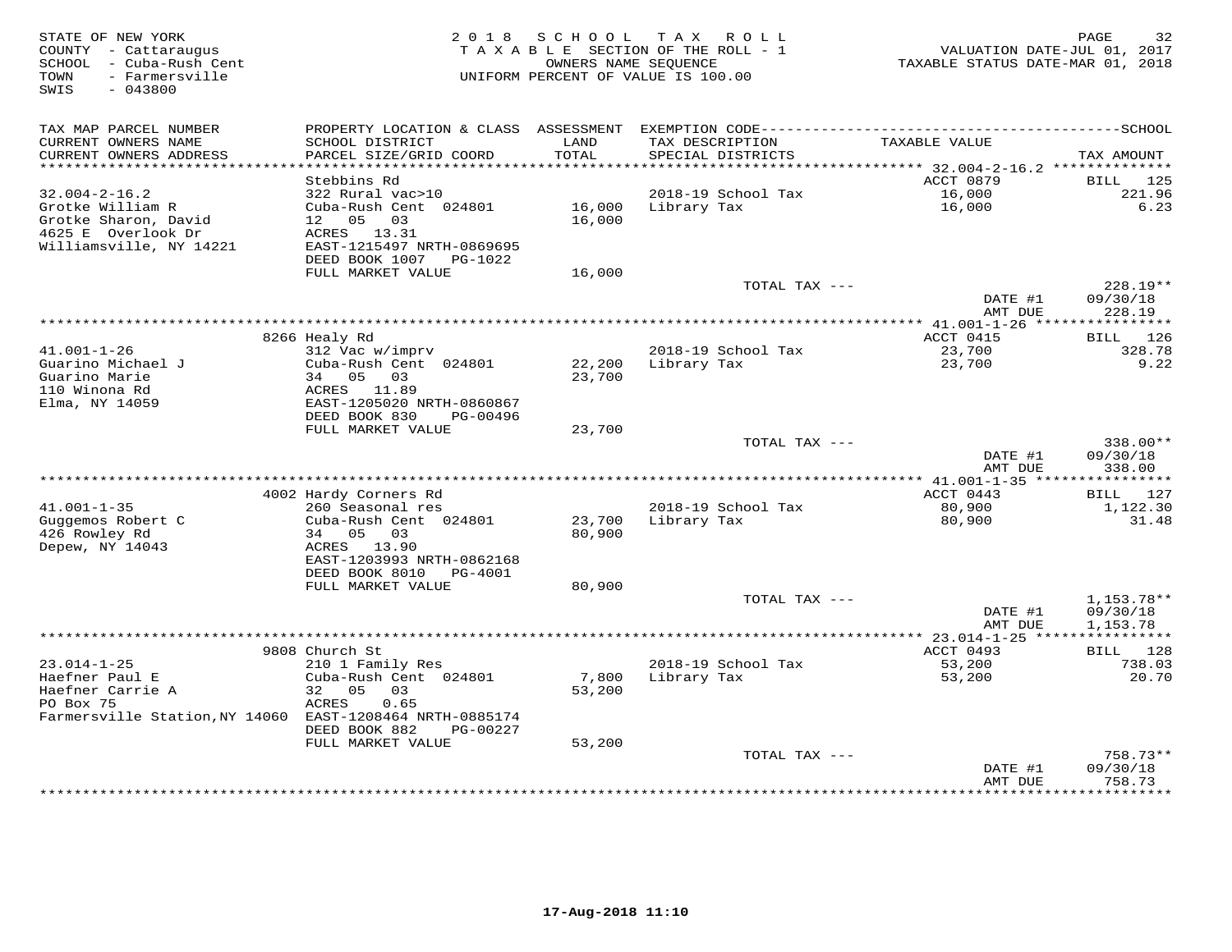| STATE OF NEW YORK<br>COUNTY - Cattaraugus<br>- Cuba-Rush Cent<br>SCHOOL<br>- Farmersville<br>TOWN<br>SWIS<br>$-043800$ | 2 0 1 8                                   | SCHOOL        | T A X<br>ROLL<br>TAXABLE SECTION OF THE ROLL - 1<br>OWNERS NAME SEOUENCE<br>UNIFORM PERCENT OF VALUE IS 100.00 | VALUATION DATE-JUL 01, 2017<br>TAXABLE STATUS DATE-MAR 01, 2018 | 32<br>PAGE             |
|------------------------------------------------------------------------------------------------------------------------|-------------------------------------------|---------------|----------------------------------------------------------------------------------------------------------------|-----------------------------------------------------------------|------------------------|
| TAX MAP PARCEL NUMBER                                                                                                  |                                           |               |                                                                                                                |                                                                 |                        |
| CURRENT OWNERS NAME<br>CURRENT OWNERS ADDRESS                                                                          | SCHOOL DISTRICT<br>PARCEL SIZE/GRID COORD | LAND<br>TOTAL | TAX DESCRIPTION<br>SPECIAL DISTRICTS                                                                           | TAXABLE VALUE                                                   | TAX AMOUNT             |
| ***********************                                                                                                | Stebbins Rd                               |               |                                                                                                                | ACCT 0879                                                       |                        |
| $32.004 - 2 - 16.2$                                                                                                    | 322 Rural vac>10                          |               | 2018-19 School Tax                                                                                             | 16,000                                                          | BILL<br>125<br>221.96  |
| Grotke William R                                                                                                       | Cuba-Rush Cent 024801                     | 16,000        | Library Tax                                                                                                    | 16,000                                                          | 6.23                   |
| Grotke Sharon, David                                                                                                   | 12 <sub>1</sub><br>05<br>03               | 16,000        |                                                                                                                |                                                                 |                        |
| 4625 E Overlook Dr                                                                                                     | ACRES 13.31                               |               |                                                                                                                |                                                                 |                        |
| Williamsville, NY 14221                                                                                                | EAST-1215497 NRTH-0869695                 |               |                                                                                                                |                                                                 |                        |
|                                                                                                                        | DEED BOOK 1007<br>PG-1022                 |               |                                                                                                                |                                                                 |                        |
|                                                                                                                        | FULL MARKET VALUE                         | 16,000        |                                                                                                                |                                                                 |                        |
|                                                                                                                        |                                           |               | TOTAL TAX ---                                                                                                  |                                                                 | $228.19**$             |
|                                                                                                                        |                                           |               |                                                                                                                | DATE #1<br>AMT DUE                                              | 09/30/18<br>228.19     |
|                                                                                                                        |                                           |               |                                                                                                                | ********** 41.001-1-26 *****                                    | ***********            |
|                                                                                                                        | 8266 Healy Rd                             |               |                                                                                                                | ACCT 0415                                                       | 126<br>BILL            |
| $41.001 - 1 - 26$<br>Guarino Michael J                                                                                 | 312 Vac w/imprv<br>Cuba-Rush Cent 024801  | 22,200        | 2018-19 School Tax<br>Library Tax                                                                              | 23,700<br>23,700                                                | 328.78<br>9.22         |
| Guarino Marie                                                                                                          | 34<br>05 03                               | 23,700        |                                                                                                                |                                                                 |                        |
| 110 Winona Rd                                                                                                          | ACRES 11.89                               |               |                                                                                                                |                                                                 |                        |
| Elma, NY 14059                                                                                                         | EAST-1205020 NRTH-0860867                 |               |                                                                                                                |                                                                 |                        |
|                                                                                                                        | DEED BOOK 830<br>PG-00496                 |               |                                                                                                                |                                                                 |                        |
|                                                                                                                        | FULL MARKET VALUE                         | 23,700        |                                                                                                                |                                                                 |                        |
|                                                                                                                        |                                           |               | TOTAL TAX ---                                                                                                  |                                                                 | $338.00**$             |
|                                                                                                                        |                                           |               |                                                                                                                | DATE #1                                                         | 09/30/18               |
|                                                                                                                        |                                           |               | ***************************                                                                                    | AMT DUE<br>** 41.001-1-35 ****************                      | 338.00                 |
|                                                                                                                        | 4002 Hardy Corners Rd                     |               |                                                                                                                | ACCT 0443                                                       | BILL<br>127            |
| $41.001 - 1 - 35$                                                                                                      | 260 Seasonal res                          |               | 2018-19 School Tax                                                                                             | 80,900                                                          | 1,122.30               |
| Guggemos Robert C                                                                                                      | Cuba-Rush Cent 024801                     | 23,700        | Library Tax                                                                                                    | 80,900                                                          | 31.48                  |
| 426 Rowley Rd                                                                                                          | 05 03<br>34                               | 80,900        |                                                                                                                |                                                                 |                        |
| Depew, NY 14043                                                                                                        | ACRES 13.90                               |               |                                                                                                                |                                                                 |                        |
|                                                                                                                        | EAST-1203993 NRTH-0862168                 |               |                                                                                                                |                                                                 |                        |
|                                                                                                                        | DEED BOOK 8010<br>PG-4001                 |               |                                                                                                                |                                                                 |                        |
|                                                                                                                        | FULL MARKET VALUE                         | 80,900        | TOTAL TAX ---                                                                                                  |                                                                 |                        |
|                                                                                                                        |                                           |               |                                                                                                                | DATE #1                                                         | 1,153.78**<br>09/30/18 |
|                                                                                                                        |                                           |               |                                                                                                                | AMT DUE                                                         | 1,153.78               |
|                                                                                                                        |                                           |               |                                                                                                                | ************** 23.014-1-25 ****                                 | ***********            |
|                                                                                                                        | 9808 Church St                            |               |                                                                                                                | ACCT 0493                                                       | 128<br>BILL            |
| $23.014 - 1 - 25$                                                                                                      | 210 1 Family Res                          |               | 2018-19 School Tax                                                                                             | 53,200                                                          | 738.03                 |
| Haefner Paul E                                                                                                         | Cuba-Rush Cent 024801                     | 7,800         | Library Tax                                                                                                    | 53,200                                                          | 20.70                  |
| Haefner Carrie A                                                                                                       | 32<br>0.5<br>03                           | 53,200        |                                                                                                                |                                                                 |                        |
| PO Box 75                                                                                                              | 0.65<br>ACRES                             |               |                                                                                                                |                                                                 |                        |
| Farmersville Station, NY 14060 EAST-1208464 NRTH-0885174                                                               | DEED BOOK 882<br>PG-00227                 |               |                                                                                                                |                                                                 |                        |
|                                                                                                                        | FULL MARKET VALUE                         | 53,200        |                                                                                                                |                                                                 |                        |
|                                                                                                                        |                                           |               | TOTAL TAX ---                                                                                                  |                                                                 | $758.73**$             |
|                                                                                                                        |                                           |               |                                                                                                                | DATE #1                                                         | 09/30/18               |
|                                                                                                                        |                                           |               |                                                                                                                | AMT DUE                                                         | 758.73                 |
|                                                                                                                        |                                           |               |                                                                                                                |                                                                 | * * * * * * * *        |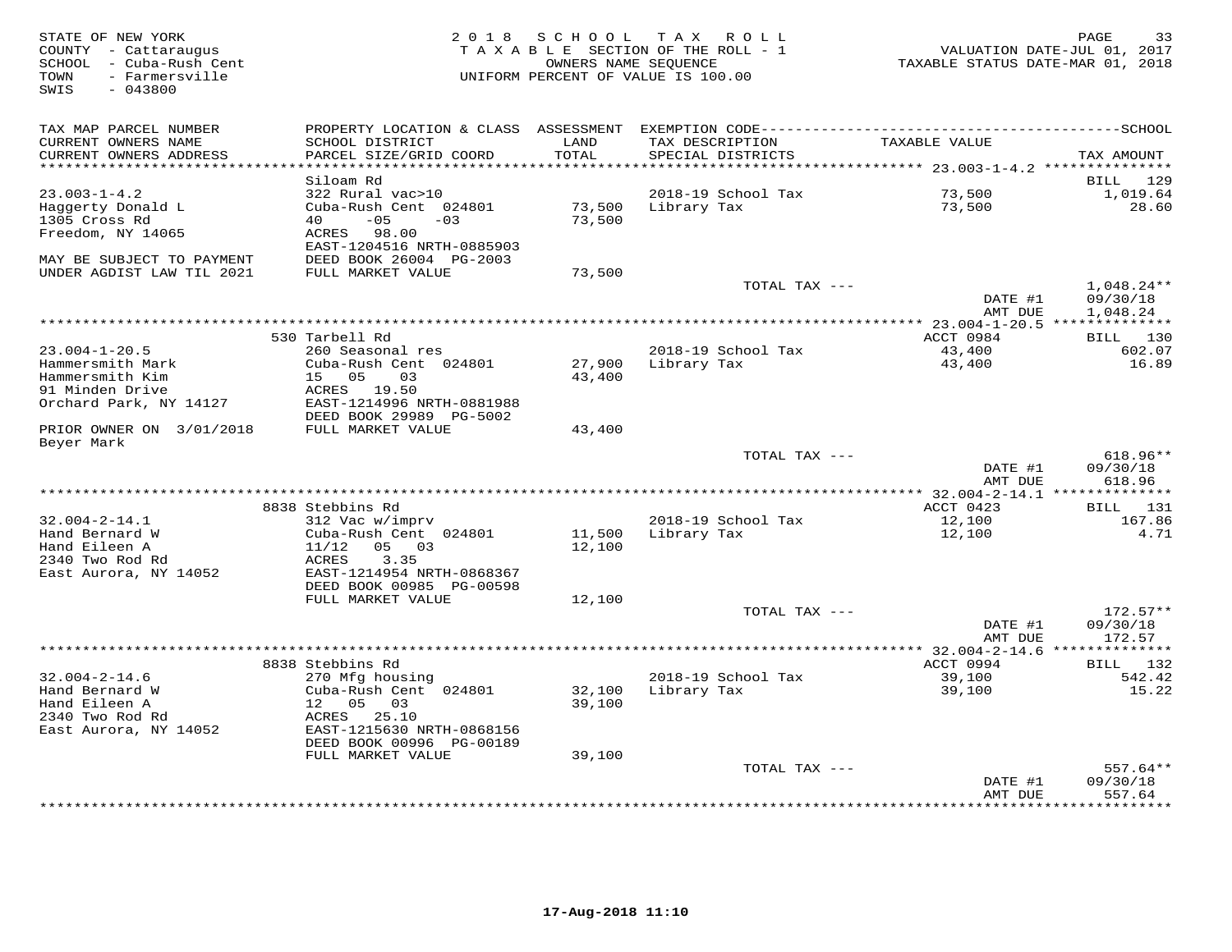| STATE OF NEW YORK<br>COUNTY - Cattaraugus<br>SCHOOL - Cuba-Rush Cent<br>- Farmersville<br>TOWN<br>$-043800$<br>SWIS | 2 0 1 8                                           | SCHOOL                     | T A X<br>R O L L<br>TAXABLE SECTION OF THE ROLL - 1<br>OWNERS NAME SEQUENCE<br>UNIFORM PERCENT OF VALUE IS 100.00 | TAXABLE STATUS DATE-MAR 01, 2018              | PAGE<br>33<br>VALUATION DATE-JUL 01, 2017 |
|---------------------------------------------------------------------------------------------------------------------|---------------------------------------------------|----------------------------|-------------------------------------------------------------------------------------------------------------------|-----------------------------------------------|-------------------------------------------|
| TAX MAP PARCEL NUMBER                                                                                               | PROPERTY LOCATION & CLASS ASSESSMENT              |                            |                                                                                                                   |                                               |                                           |
| CURRENT OWNERS NAME                                                                                                 | SCHOOL DISTRICT                                   | LAND                       | TAX DESCRIPTION                                                                                                   | TAXABLE VALUE                                 |                                           |
| CURRENT OWNERS ADDRESS<br>**********************                                                                    | PARCEL SIZE/GRID COORD<br>*********************** | TOTAL<br>***************** | SPECIAL DISTRICTS                                                                                                 |                                               | TAX AMOUNT                                |
|                                                                                                                     | Siloam Rd                                         |                            |                                                                                                                   |                                               | 129<br>BILL                               |
| $23.003 - 1 - 4.2$                                                                                                  | 322 Rural vac>10                                  |                            | 2018-19 School Tax                                                                                                | 73,500                                        | 1,019.64                                  |
| Haggerty Donald L                                                                                                   | Cuba-Rush Cent 024801                             | 73,500                     | Library Tax                                                                                                       | 73,500                                        | 28.60                                     |
| 1305 Cross Rd                                                                                                       | 40<br>$-05$<br>$-0.3$                             | 73,500                     |                                                                                                                   |                                               |                                           |
| Freedom, NY 14065                                                                                                   | 98.00<br>ACRES                                    |                            |                                                                                                                   |                                               |                                           |
|                                                                                                                     | EAST-1204516 NRTH-0885903                         |                            |                                                                                                                   |                                               |                                           |
| MAY BE SUBJECT TO PAYMENT                                                                                           | DEED BOOK 26004 PG-2003                           |                            |                                                                                                                   |                                               |                                           |
| UNDER AGDIST LAW TIL 2021                                                                                           | FULL MARKET VALUE                                 | 73,500                     | TOTAL TAX ---                                                                                                     |                                               | $1,048.24**$                              |
|                                                                                                                     |                                                   |                            |                                                                                                                   | DATE #1                                       | 09/30/18                                  |
|                                                                                                                     |                                                   |                            |                                                                                                                   | AMT DUE                                       | 1,048.24                                  |
|                                                                                                                     |                                                   |                            |                                                                                                                   | ********** 23.004-1-20.5 **************       |                                           |
|                                                                                                                     | 530 Tarbell Rd                                    |                            |                                                                                                                   | ACCT 0984                                     | BILL 130                                  |
| $23.004 - 1 - 20.5$                                                                                                 | 260 Seasonal res                                  |                            | 2018-19 School Tax                                                                                                | 43,400                                        | 602.07                                    |
| Hammersmith Mark<br>Hammersmith Kim                                                                                 | Cuba-Rush Cent 024801<br>15 05<br>0.3             | 27,900<br>43,400           | Library Tax                                                                                                       | 43,400                                        | 16.89                                     |
| 91 Minden Drive                                                                                                     | ACRES 19.50                                       |                            |                                                                                                                   |                                               |                                           |
| Orchard Park, NY 14127                                                                                              | EAST-1214996 NRTH-0881988                         |                            |                                                                                                                   |                                               |                                           |
|                                                                                                                     | DEED BOOK 29989 PG-5002                           |                            |                                                                                                                   |                                               |                                           |
| PRIOR OWNER ON 3/01/2018<br>Beyer Mark                                                                              | FULL MARKET VALUE                                 | 43,400                     |                                                                                                                   |                                               |                                           |
|                                                                                                                     |                                                   |                            | TOTAL TAX ---                                                                                                     |                                               | $618.96**$                                |
|                                                                                                                     |                                                   |                            |                                                                                                                   | DATE #1                                       | 09/30/18                                  |
|                                                                                                                     |                                                   |                            |                                                                                                                   | AMT DUE                                       | 618.96                                    |
|                                                                                                                     | 8838 Stebbins Rd                                  |                            |                                                                                                                   | ** 32.004-2-14.1 ***************<br>ACCT 0423 | BILL 131                                  |
| $32.004 - 2 - 14.1$                                                                                                 | 312 Vac w/imprv                                   |                            | 2018-19 School Tax                                                                                                | 12,100                                        | 167.86                                    |
| Hand Bernard W                                                                                                      | Cuba-Rush Cent 024801                             | 11,500                     | Library Tax                                                                                                       | 12,100                                        | 4.71                                      |
| Hand Eileen A                                                                                                       | 11/12<br>05 03                                    | 12,100                     |                                                                                                                   |                                               |                                           |
| 2340 Two Rod Rd                                                                                                     | ACRES<br>3.35                                     |                            |                                                                                                                   |                                               |                                           |
| East Aurora, NY 14052                                                                                               | EAST-1214954 NRTH-0868367                         |                            |                                                                                                                   |                                               |                                           |
|                                                                                                                     | DEED BOOK 00985 PG-00598<br>FULL MARKET VALUE     | 12,100                     |                                                                                                                   |                                               |                                           |
|                                                                                                                     |                                                   |                            | TOTAL TAX ---                                                                                                     |                                               | $172.57**$                                |
|                                                                                                                     |                                                   |                            |                                                                                                                   | DATE #1                                       | 09/30/18                                  |
|                                                                                                                     |                                                   |                            |                                                                                                                   | AMT DUE                                       | 172.57                                    |
|                                                                                                                     |                                                   |                            |                                                                                                                   | **** 32.004-2-14.6 *                          |                                           |
| $32.004 - 2 - 14.6$                                                                                                 | 8838 Stebbins Rd                                  |                            | 2018-19 School Tax                                                                                                | ACCT 0994                                     | BILL 132<br>542.42                        |
| Hand Bernard W                                                                                                      | 270 Mfg housing<br>Cuba-Rush Cent 024801          | 32,100                     | Library Tax                                                                                                       | 39,100<br>39,100                              | 15.22                                     |
| Hand Eileen A                                                                                                       | 12 05<br>03                                       | 39,100                     |                                                                                                                   |                                               |                                           |
| 2340 Two Rod Rd                                                                                                     | ACRES 25.10                                       |                            |                                                                                                                   |                                               |                                           |
| East Aurora, NY 14052                                                                                               | EAST-1215630 NRTH-0868156                         |                            |                                                                                                                   |                                               |                                           |
|                                                                                                                     | DEED BOOK 00996 PG-00189                          |                            |                                                                                                                   |                                               |                                           |
|                                                                                                                     | FULL MARKET VALUE                                 | 39,100                     |                                                                                                                   |                                               |                                           |
|                                                                                                                     |                                                   |                            | TOTAL TAX ---                                                                                                     | DATE #1                                       | $557.64**$<br>09/30/18                    |
|                                                                                                                     |                                                   |                            |                                                                                                                   | AMT DUE                                       | 557.64                                    |
|                                                                                                                     |                                                   |                            |                                                                                                                   |                                               | * * * * * * * * ·                         |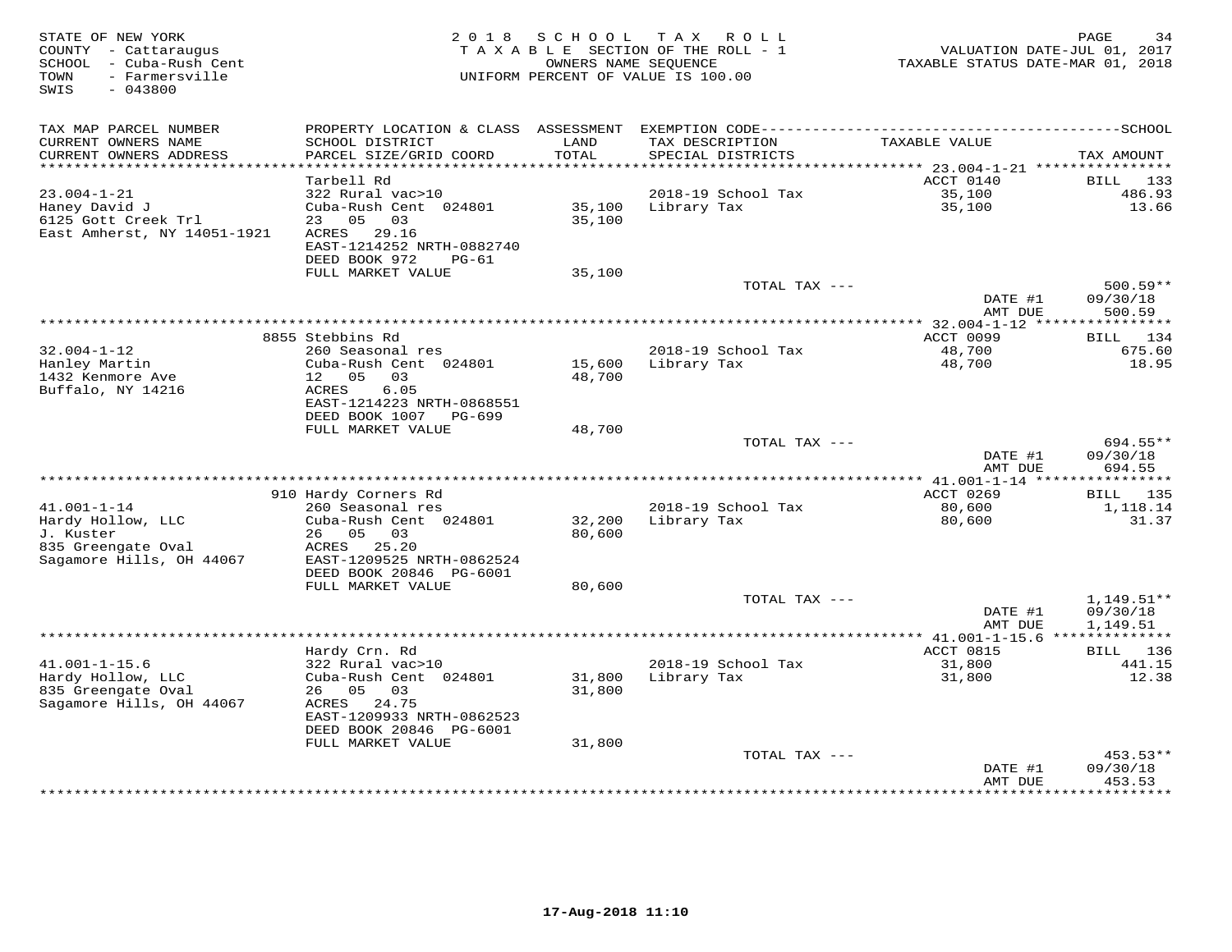| STATE OF NEW YORK<br>COUNTY - Cattaraugus<br>SCHOOL - Cuba-Rush Cent<br>- Farmersville<br>TOWN<br>SWIS<br>$-043800$ | 2018                                                                    | SCHOOL        | T A X<br>R O L L<br>TAXABLE SECTION OF THE ROLL - 1<br>OWNERS NAME SEQUENCE<br>UNIFORM PERCENT OF VALUE IS 100.00 | VALUATION DATE-JUL 01, 2017<br>TAXABLE STATUS DATE-MAR 01, 2018 | PAGE<br>34             |
|---------------------------------------------------------------------------------------------------------------------|-------------------------------------------------------------------------|---------------|-------------------------------------------------------------------------------------------------------------------|-----------------------------------------------------------------|------------------------|
| TAX MAP PARCEL NUMBER                                                                                               | PROPERTY LOCATION & CLASS ASSESSMENT                                    |               |                                                                                                                   |                                                                 |                        |
| CURRENT OWNERS NAME<br>CURRENT OWNERS ADDRESS<br>***********************                                            | SCHOOL DISTRICT<br>PARCEL SIZE/GRID COORD<br>************************** | LAND<br>TOTAL | TAX DESCRIPTION<br>SPECIAL DISTRICTS                                                                              | TAXABLE VALUE                                                   | TAX AMOUNT             |
|                                                                                                                     | Tarbell Rd                                                              |               |                                                                                                                   | ACCT 0140                                                       | <b>BILL</b><br>133     |
| $23.004 - 1 - 21$                                                                                                   | 322 Rural vac>10                                                        |               | 2018-19 School Tax                                                                                                | 35,100                                                          | 486.93                 |
| Haney David J                                                                                                       | Cuba-Rush Cent 024801                                                   | 35,100        | Library Tax                                                                                                       | 35,100                                                          | 13.66                  |
| 6125 Gott Creek Trl                                                                                                 | 05<br>23<br>03                                                          | 35,100        |                                                                                                                   |                                                                 |                        |
| East Amherst, NY 14051-1921                                                                                         | ACRES 29.16                                                             |               |                                                                                                                   |                                                                 |                        |
|                                                                                                                     | EAST-1214252 NRTH-0882740                                               |               |                                                                                                                   |                                                                 |                        |
|                                                                                                                     | DEED BOOK 972<br>PG-61                                                  |               |                                                                                                                   |                                                                 |                        |
|                                                                                                                     | FULL MARKET VALUE                                                       | 35,100        |                                                                                                                   |                                                                 |                        |
|                                                                                                                     |                                                                         |               | TOTAL TAX ---                                                                                                     | DATE #1                                                         | $500.59**$<br>09/30/18 |
|                                                                                                                     |                                                                         |               |                                                                                                                   | AMT DUE                                                         | 500.59                 |
|                                                                                                                     |                                                                         |               | ***********************************                                                                               | *** 32.004-1-12 ****                                            | **********             |
|                                                                                                                     | 8855 Stebbins Rd                                                        |               |                                                                                                                   | ACCT 0099                                                       | BILL 134               |
| $32.004 - 1 - 12$                                                                                                   | 260 Seasonal res                                                        |               | 2018-19 School Tax                                                                                                | 48,700                                                          | 675.60                 |
| Hanley Martin                                                                                                       | Cuba-Rush Cent 024801                                                   | 15,600        | Library Tax                                                                                                       | 48,700                                                          | 18.95                  |
| 1432 Kenmore Ave                                                                                                    | 12 05<br>03                                                             | 48,700        |                                                                                                                   |                                                                 |                        |
| Buffalo, NY 14216                                                                                                   | 6.05<br>ACRES<br>EAST-1214223 NRTH-0868551                              |               |                                                                                                                   |                                                                 |                        |
|                                                                                                                     | DEED BOOK 1007 PG-699                                                   |               |                                                                                                                   |                                                                 |                        |
|                                                                                                                     | FULL MARKET VALUE                                                       | 48,700        |                                                                                                                   |                                                                 |                        |
|                                                                                                                     |                                                                         |               | TOTAL TAX ---                                                                                                     |                                                                 | 694.55**               |
|                                                                                                                     |                                                                         |               |                                                                                                                   | DATE #1                                                         | 09/30/18               |
|                                                                                                                     |                                                                         |               |                                                                                                                   | AMT DUE                                                         | 694.55                 |
|                                                                                                                     |                                                                         |               |                                                                                                                   |                                                                 |                        |
|                                                                                                                     | 910 Hardy Corners Rd                                                    |               |                                                                                                                   | ACCT 0269                                                       | BILL 135               |
| $41.001 - 1 - 14$                                                                                                   | 260 Seasonal res<br>Cuba-Rush Cent 024801                               | 32,200        | 2018-19 School Tax<br>Library Tax                                                                                 | 80,600                                                          | 1,118.14<br>31.37      |
| Hardy Hollow, LLC<br>J. Kuster                                                                                      | 26 05 03                                                                | 80,600        |                                                                                                                   | 80,600                                                          |                        |
| 835 Greengate Oval                                                                                                  | ACRES 25.20                                                             |               |                                                                                                                   |                                                                 |                        |
| Sagamore Hills, OH 44067                                                                                            | EAST-1209525 NRTH-0862524                                               |               |                                                                                                                   |                                                                 |                        |
|                                                                                                                     | DEED BOOK 20846 PG-6001                                                 |               |                                                                                                                   |                                                                 |                        |
|                                                                                                                     | FULL MARKET VALUE                                                       | 80,600        |                                                                                                                   |                                                                 |                        |
|                                                                                                                     |                                                                         |               | TOTAL TAX ---                                                                                                     |                                                                 | $1,149.51**$           |
|                                                                                                                     |                                                                         |               |                                                                                                                   | DATE #1                                                         | 09/30/18               |
|                                                                                                                     |                                                                         |               |                                                                                                                   | AMT DUE                                                         | 1,149.51               |
|                                                                                                                     | Hardy Crn. Rd                                                           |               |                                                                                                                   | ACCT 0815                                                       | 136<br>BILL            |
| $41.001 - 1 - 15.6$                                                                                                 | 322 Rural vac>10                                                        |               | 2018-19 School Tax                                                                                                | 31,800                                                          | 441.15                 |
| Hardy Hollow, LLC                                                                                                   | Cuba-Rush Cent 024801                                                   | 31,800        | Library Tax                                                                                                       | 31,800                                                          | 12.38                  |
| 835 Greengate Oval                                                                                                  | 05<br>03<br>26                                                          | 31,800        |                                                                                                                   |                                                                 |                        |
| Sagamore Hills, OH 44067                                                                                            | 24.75<br>ACRES                                                          |               |                                                                                                                   |                                                                 |                        |
|                                                                                                                     | EAST-1209933 NRTH-0862523                                               |               |                                                                                                                   |                                                                 |                        |
|                                                                                                                     | DEED BOOK 20846 PG-6001                                                 |               |                                                                                                                   |                                                                 |                        |
|                                                                                                                     | FULL MARKET VALUE                                                       | 31,800        |                                                                                                                   |                                                                 |                        |
|                                                                                                                     |                                                                         |               | TOTAL TAX ---                                                                                                     | DATE #1                                                         | 453.53**<br>09/30/18   |
|                                                                                                                     |                                                                         |               |                                                                                                                   | AMT DUE                                                         | 453.53                 |
|                                                                                                                     |                                                                         |               |                                                                                                                   | ************                                                    | * * * * * * * * * *    |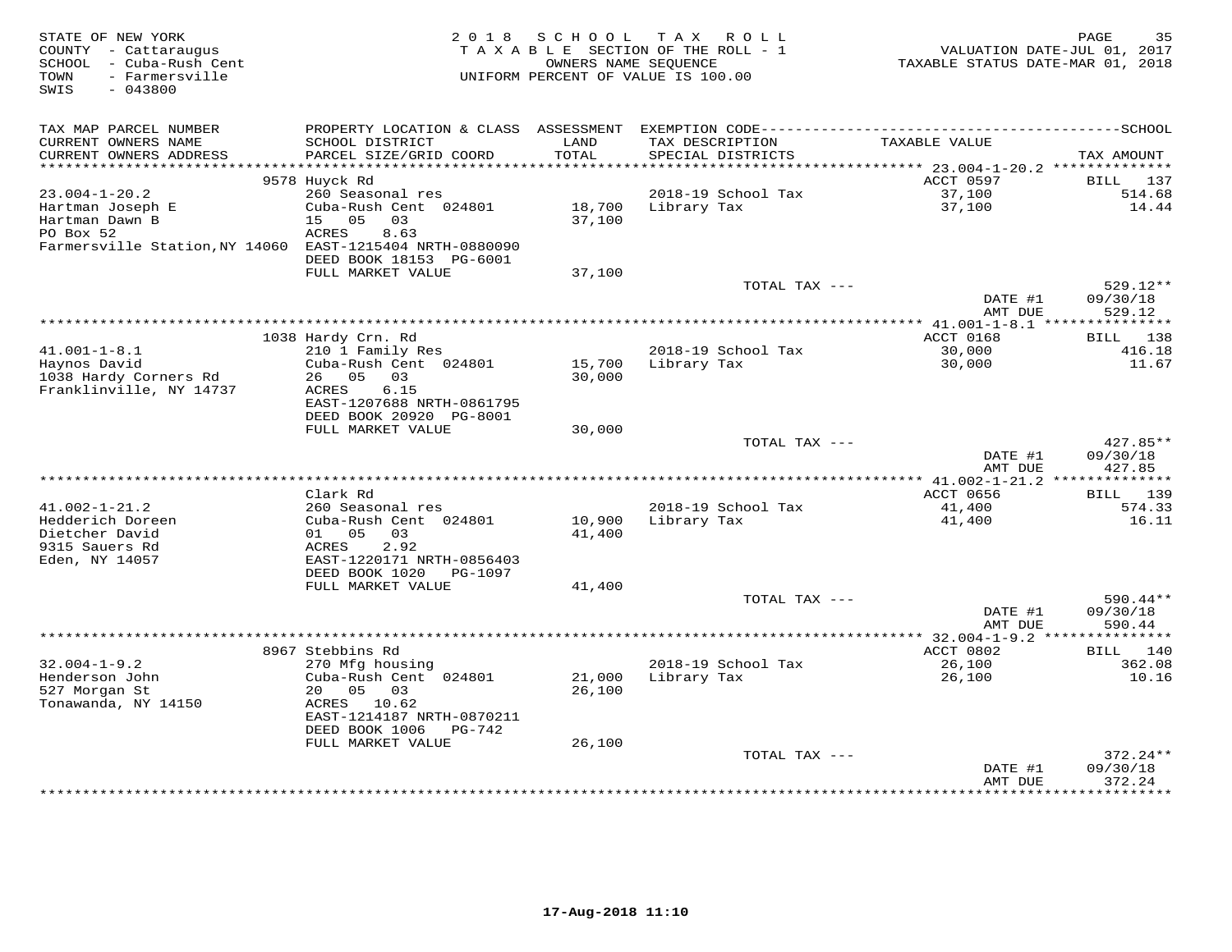| STATE OF NEW YORK<br>COUNTY - Cattaraugus<br>SCHOOL - Cuba-Rush Cent<br>- Farmersville<br>TOWN<br>SWIS<br>$-043800$ | 2 0 1 8                                                                     | SCHOOL                         | T A X<br>R O L L<br>TAXABLE SECTION OF THE ROLL - 1<br>OWNERS NAME SEQUENCE<br>UNIFORM PERCENT OF VALUE IS 100.00 | VALUATION DATE-JUL 01, 2017<br>TAXABLE STATUS DATE-MAR 01, 2018 | PAGE<br>35                     |
|---------------------------------------------------------------------------------------------------------------------|-----------------------------------------------------------------------------|--------------------------------|-------------------------------------------------------------------------------------------------------------------|-----------------------------------------------------------------|--------------------------------|
| TAX MAP PARCEL NUMBER                                                                                               | PROPERTY LOCATION & CLASS ASSESSMENT                                        |                                |                                                                                                                   |                                                                 |                                |
| CURRENT OWNERS NAME<br>CURRENT OWNERS ADDRESS<br>***********************                                            | SCHOOL DISTRICT<br>PARCEL SIZE/GRID COORD<br>****************************** | LAND<br>TOTAL<br>************* | TAX DESCRIPTION<br>SPECIAL DISTRICTS                                                                              | TAXABLE VALUE                                                   | TAX AMOUNT                     |
|                                                                                                                     | 9578 Huyck Rd                                                               |                                |                                                                                                                   | ACCT 0597                                                       | <b>BILL</b><br>137             |
| $23.004 - 1 - 20.2$                                                                                                 | 260 Seasonal res                                                            |                                | 2018-19 School Tax                                                                                                | 37,100                                                          | 514.68                         |
| Hartman Joseph E<br>Hartman Dawn B                                                                                  | Cuba-Rush Cent 024801<br>05<br>03<br>15                                     | 18,700<br>37,100               | Library Tax                                                                                                       | 37,100                                                          | 14.44                          |
| PO Box 52<br>Farmersville Station, NY 14060 EAST-1215404 NRTH-0880090                                               | ACRES<br>8.63<br>DEED BOOK 18153 PG-6001                                    |                                |                                                                                                                   |                                                                 |                                |
|                                                                                                                     | FULL MARKET VALUE                                                           | 37,100                         |                                                                                                                   |                                                                 |                                |
|                                                                                                                     |                                                                             |                                | TOTAL TAX ---                                                                                                     | DATE #1<br>AMT DUE                                              | 529.12**<br>09/30/18<br>529.12 |
|                                                                                                                     |                                                                             |                                |                                                                                                                   | ** $41.001 - 1 - 8.1$ ***                                       | * * * * * * * * * * *          |
|                                                                                                                     | 1038 Hardy Crn. Rd                                                          |                                |                                                                                                                   | ACCT 0168                                                       | BILL 138                       |
| $41.001 - 1 - 8.1$                                                                                                  | 210 1 Family Res                                                            |                                | 2018-19 School Tax                                                                                                | 30,000                                                          | 416.18                         |
| Haynos David                                                                                                        | Cuba-Rush Cent 024801                                                       | 15,700                         | Library Tax                                                                                                       | 30,000                                                          | 11.67                          |
| 1038 Hardy Corners Rd                                                                                               | 26 05 03                                                                    | 30,000                         |                                                                                                                   |                                                                 |                                |
| Franklinville, NY 14737                                                                                             | 6.15<br>ACRES                                                               |                                |                                                                                                                   |                                                                 |                                |
|                                                                                                                     | EAST-1207688 NRTH-0861795<br>DEED BOOK 20920 PG-8001                        |                                |                                                                                                                   |                                                                 |                                |
|                                                                                                                     | FULL MARKET VALUE                                                           | 30,000                         |                                                                                                                   |                                                                 |                                |
|                                                                                                                     |                                                                             |                                | TOTAL TAX ---                                                                                                     |                                                                 | 427.85**                       |
|                                                                                                                     |                                                                             |                                |                                                                                                                   | DATE #1                                                         | 09/30/18                       |
|                                                                                                                     |                                                                             |                                |                                                                                                                   | AMT DUE                                                         | 427.85                         |
|                                                                                                                     | Clark Rd                                                                    |                                |                                                                                                                   |                                                                 |                                |
| $41.002 - 1 - 21.2$                                                                                                 | 260 Seasonal res                                                            |                                | 2018-19 School Tax                                                                                                | ACCT 0656<br>41,400                                             | <b>BILL</b> 139<br>574.33      |
| Hedderich Doreen                                                                                                    | Cuba-Rush Cent 024801                                                       | 10,900                         | Library Tax                                                                                                       | 41,400                                                          | 16.11                          |
| Dietcher David                                                                                                      | 01 05 03                                                                    | 41,400                         |                                                                                                                   |                                                                 |                                |
| 9315 Sauers Rd                                                                                                      | ACRES<br>2.92                                                               |                                |                                                                                                                   |                                                                 |                                |
| Eden, NY 14057                                                                                                      | EAST-1220171 NRTH-0856403                                                   |                                |                                                                                                                   |                                                                 |                                |
|                                                                                                                     | DEED BOOK 1020<br>PG-1097                                                   |                                |                                                                                                                   |                                                                 |                                |
|                                                                                                                     | FULL MARKET VALUE                                                           | 41,400                         | TOTAL TAX ---                                                                                                     |                                                                 | $590.44**$                     |
|                                                                                                                     |                                                                             |                                |                                                                                                                   | DATE #1                                                         | 09/30/18                       |
|                                                                                                                     |                                                                             |                                |                                                                                                                   | AMT DUE                                                         | 590.44                         |
|                                                                                                                     |                                                                             |                                |                                                                                                                   | ************** 32.004-1-9.2 ****************                    |                                |
|                                                                                                                     | 8967 Stebbins Rd                                                            |                                |                                                                                                                   | ACCT 0802                                                       | 140<br><b>BILL</b>             |
| $32.004 - 1 - 9.2$                                                                                                  | 270 Mfg housing                                                             |                                | 2018-19 School Tax                                                                                                | 26,100                                                          | 362.08                         |
| Henderson John                                                                                                      | Cuba-Rush Cent 024801<br>20                                                 | 21,000                         | Library Tax                                                                                                       | 26,100                                                          | 10.16                          |
| 527 Morgan St<br>Tonawanda, NY 14150                                                                                | 05 03<br>ACRES 10.62                                                        | 26,100                         |                                                                                                                   |                                                                 |                                |
|                                                                                                                     | EAST-1214187 NRTH-0870211                                                   |                                |                                                                                                                   |                                                                 |                                |
|                                                                                                                     | DEED BOOK 1006<br>PG-742                                                    |                                |                                                                                                                   |                                                                 |                                |
|                                                                                                                     | FULL MARKET VALUE                                                           | 26,100                         |                                                                                                                   |                                                                 |                                |
|                                                                                                                     |                                                                             |                                | TOTAL TAX ---                                                                                                     |                                                                 | 372.24**                       |
|                                                                                                                     |                                                                             |                                |                                                                                                                   | DATE #1                                                         | 09/30/18                       |
|                                                                                                                     |                                                                             |                                |                                                                                                                   | AMT DUE                                                         | 372.24<br>*********            |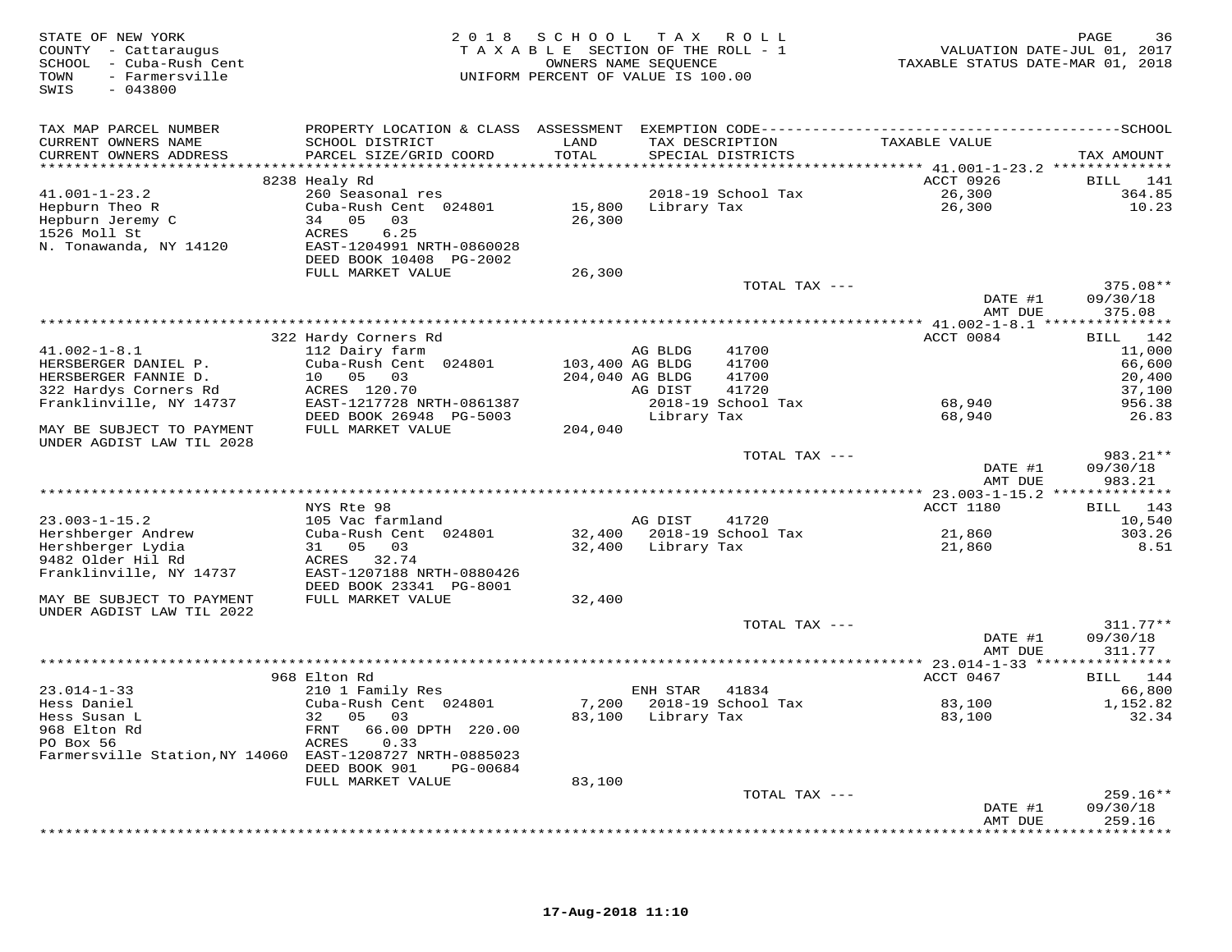| TAX MAP PARCEL NUMBER<br>SCHOOL DISTRICT<br>TAXABLE VALUE<br>CURRENT OWNERS NAME<br>LAND<br>TAX DESCRIPTION<br>PARCEL SIZE/GRID COORD<br>TOTAL<br>SPECIAL DISTRICTS<br>CURRENT OWNERS ADDRESS<br>TAX AMOUNT<br>ACCT 0926<br>8238 Healy Rd<br>BILL 141<br>$41.001 - 1 - 23.2$<br>260 Seasonal res<br>2018-19 School Tax<br>26,300<br>364.85<br>15,800 Library Tax<br>Hepburn Theo R<br>Cuba-Rush Cent 024801<br>26,300<br>10.23<br>Hepburn Jeremy C<br>34 05<br>03<br>26,300<br>6.25<br>1526 Moll St<br>ACRES<br>N. Tonawanda, NY 14120<br>EAST-1204991 NRTH-0860028<br>DEED BOOK 10408 PG-2002<br>FULL MARKET VALUE<br>26,300<br>TOTAL TAX ---<br>375.08**<br>DATE #1<br>09/30/18<br>AMT DUE<br>375.08<br>322 Hardy Corners Rd<br>ACCT 0084<br>BILL 142<br>$41.002 - 1 - 8.1$<br>112 Dairy farm<br>41700<br>11,000<br>AG BLDG<br>Cuba-Rush Cent 024801<br>103,400 AG BLDG<br>41700<br>HERSBERGER DANIEL P.<br>66,600<br>HERSBERGER FANNIE D.<br>10 05 03<br>204,040 AG BLDG<br>41700<br>20,400<br>ACRES 120.70<br>322 Hardys Corners Rd<br>AG DIST<br>41720<br>37,100<br>Franklinville, NY 14737<br>EAST-1217728 NRTH-0861387<br>2018-19 School Tax<br>68,940<br>956.38<br>DEED BOOK 26948 PG-5003<br>Library Tax<br>68,940<br>26.83<br>FULL MARKET VALUE<br>MAY BE SUBJECT TO PAYMENT<br>204,040<br>UNDER AGDIST LAW TIL 2028<br>TOTAL TAX ---<br>983.21**<br>DATE #1<br>09/30/18<br>AMT DUE<br>983.21<br>NYS Rte 98<br>ACCT 1180<br>BILL 143<br>$23.003 - 1 - 15.2$<br>105 Vac farmland<br>AG DIST<br>41720<br>10,540<br>Hershberger Andrew<br>Cuba-Rush Cent 024801<br>32,400 2018-19 School Tax<br>21,860<br>303.26<br>Hershberger Lydia<br>31 05 03<br>32,400 Library Tax<br>21,860<br>8.51<br>9482 Older Hil Rd<br>ACRES 32.74<br>Franklinville, NY 14737<br>EAST-1207188 NRTH-0880426<br>DEED BOOK 23341 PG-8001<br>FULL MARKET VALUE<br>MAY BE SUBJECT TO PAYMENT<br>32,400<br>UNDER AGDIST LAW TIL 2022<br>$311.77**$<br>TOTAL TAX ---<br>DATE #1<br>09/30/18<br>AMT DUE<br>311.77<br>ACCT 0467<br>968 Elton Rd<br>BILL 144<br>$23.014 - 1 - 33$<br>210 1 Family Res<br>ENH STAR<br>66,800<br>41834<br>Hess Daniel<br>Cuba-Rush Cent 024801<br>7,200 2018-19 School Tax<br>83,100<br>1,152.82<br>83,100 Library Tax<br>83,100<br>Hess Susan L<br>32 05<br>03<br>32.34<br>968 Elton Rd<br>66.00 DPTH 220.00<br>FRNT<br>PO Box 56<br>ACRES<br>0.33<br>Farmersville Station, NY 14060 EAST-1208727 NRTH-0885023<br>DEED BOOK 901<br>PG-00684<br>FULL MARKET VALUE<br>83,100<br>259.16**<br>TOTAL TAX ---<br>09/30/18<br>DATE #1<br>259.16<br>AMT DUE<br>************ | STATE OF NEW YORK<br>COUNTY - Cattaraugus<br>SCHOOL - Cuba-Rush Cent<br>- Farmersville<br>TOWN<br>$-043800$<br>SWIS | 2018 SCHOOL TAX ROLL<br>TAXABLE SECTION OF THE ROLL - 1<br>UNIFORM PERCENT OF VALUE IS 100.00 | OWNERS NAME SEQUENCE | VALUATION DATE-JUL 01, 2017<br>TAXABLE STATUS DATE-MAR 01, 2018 | PAGE<br>36 |
|----------------------------------------------------------------------------------------------------------------------------------------------------------------------------------------------------------------------------------------------------------------------------------------------------------------------------------------------------------------------------------------------------------------------------------------------------------------------------------------------------------------------------------------------------------------------------------------------------------------------------------------------------------------------------------------------------------------------------------------------------------------------------------------------------------------------------------------------------------------------------------------------------------------------------------------------------------------------------------------------------------------------------------------------------------------------------------------------------------------------------------------------------------------------------------------------------------------------------------------------------------------------------------------------------------------------------------------------------------------------------------------------------------------------------------------------------------------------------------------------------------------------------------------------------------------------------------------------------------------------------------------------------------------------------------------------------------------------------------------------------------------------------------------------------------------------------------------------------------------------------------------------------------------------------------------------------------------------------------------------------------------------------------------------------------------------------------------------------------------------------------------------------------------------------------------------------------------------------------------------------------------------------------------------------------------------------------------------------------------------------------------------------------------------------------------------------------------------------------------------------------------------------------------------------------------------------|---------------------------------------------------------------------------------------------------------------------|-----------------------------------------------------------------------------------------------|----------------------|-----------------------------------------------------------------|------------|
|                                                                                                                                                                                                                                                                                                                                                                                                                                                                                                                                                                                                                                                                                                                                                                                                                                                                                                                                                                                                                                                                                                                                                                                                                                                                                                                                                                                                                                                                                                                                                                                                                                                                                                                                                                                                                                                                                                                                                                                                                                                                                                                                                                                                                                                                                                                                                                                                                                                                                                                                                                            |                                                                                                                     |                                                                                               |                      |                                                                 |            |
|                                                                                                                                                                                                                                                                                                                                                                                                                                                                                                                                                                                                                                                                                                                                                                                                                                                                                                                                                                                                                                                                                                                                                                                                                                                                                                                                                                                                                                                                                                                                                                                                                                                                                                                                                                                                                                                                                                                                                                                                                                                                                                                                                                                                                                                                                                                                                                                                                                                                                                                                                                            |                                                                                                                     |                                                                                               |                      |                                                                 |            |
|                                                                                                                                                                                                                                                                                                                                                                                                                                                                                                                                                                                                                                                                                                                                                                                                                                                                                                                                                                                                                                                                                                                                                                                                                                                                                                                                                                                                                                                                                                                                                                                                                                                                                                                                                                                                                                                                                                                                                                                                                                                                                                                                                                                                                                                                                                                                                                                                                                                                                                                                                                            |                                                                                                                     |                                                                                               |                      |                                                                 |            |
|                                                                                                                                                                                                                                                                                                                                                                                                                                                                                                                                                                                                                                                                                                                                                                                                                                                                                                                                                                                                                                                                                                                                                                                                                                                                                                                                                                                                                                                                                                                                                                                                                                                                                                                                                                                                                                                                                                                                                                                                                                                                                                                                                                                                                                                                                                                                                                                                                                                                                                                                                                            |                                                                                                                     |                                                                                               |                      |                                                                 |            |
|                                                                                                                                                                                                                                                                                                                                                                                                                                                                                                                                                                                                                                                                                                                                                                                                                                                                                                                                                                                                                                                                                                                                                                                                                                                                                                                                                                                                                                                                                                                                                                                                                                                                                                                                                                                                                                                                                                                                                                                                                                                                                                                                                                                                                                                                                                                                                                                                                                                                                                                                                                            |                                                                                                                     |                                                                                               |                      |                                                                 |            |
|                                                                                                                                                                                                                                                                                                                                                                                                                                                                                                                                                                                                                                                                                                                                                                                                                                                                                                                                                                                                                                                                                                                                                                                                                                                                                                                                                                                                                                                                                                                                                                                                                                                                                                                                                                                                                                                                                                                                                                                                                                                                                                                                                                                                                                                                                                                                                                                                                                                                                                                                                                            |                                                                                                                     |                                                                                               |                      |                                                                 |            |
|                                                                                                                                                                                                                                                                                                                                                                                                                                                                                                                                                                                                                                                                                                                                                                                                                                                                                                                                                                                                                                                                                                                                                                                                                                                                                                                                                                                                                                                                                                                                                                                                                                                                                                                                                                                                                                                                                                                                                                                                                                                                                                                                                                                                                                                                                                                                                                                                                                                                                                                                                                            |                                                                                                                     |                                                                                               |                      |                                                                 |            |
|                                                                                                                                                                                                                                                                                                                                                                                                                                                                                                                                                                                                                                                                                                                                                                                                                                                                                                                                                                                                                                                                                                                                                                                                                                                                                                                                                                                                                                                                                                                                                                                                                                                                                                                                                                                                                                                                                                                                                                                                                                                                                                                                                                                                                                                                                                                                                                                                                                                                                                                                                                            |                                                                                                                     |                                                                                               |                      |                                                                 |            |
|                                                                                                                                                                                                                                                                                                                                                                                                                                                                                                                                                                                                                                                                                                                                                                                                                                                                                                                                                                                                                                                                                                                                                                                                                                                                                                                                                                                                                                                                                                                                                                                                                                                                                                                                                                                                                                                                                                                                                                                                                                                                                                                                                                                                                                                                                                                                                                                                                                                                                                                                                                            |                                                                                                                     |                                                                                               |                      |                                                                 |            |
|                                                                                                                                                                                                                                                                                                                                                                                                                                                                                                                                                                                                                                                                                                                                                                                                                                                                                                                                                                                                                                                                                                                                                                                                                                                                                                                                                                                                                                                                                                                                                                                                                                                                                                                                                                                                                                                                                                                                                                                                                                                                                                                                                                                                                                                                                                                                                                                                                                                                                                                                                                            |                                                                                                                     |                                                                                               |                      |                                                                 |            |
|                                                                                                                                                                                                                                                                                                                                                                                                                                                                                                                                                                                                                                                                                                                                                                                                                                                                                                                                                                                                                                                                                                                                                                                                                                                                                                                                                                                                                                                                                                                                                                                                                                                                                                                                                                                                                                                                                                                                                                                                                                                                                                                                                                                                                                                                                                                                                                                                                                                                                                                                                                            |                                                                                                                     |                                                                                               |                      |                                                                 |            |
|                                                                                                                                                                                                                                                                                                                                                                                                                                                                                                                                                                                                                                                                                                                                                                                                                                                                                                                                                                                                                                                                                                                                                                                                                                                                                                                                                                                                                                                                                                                                                                                                                                                                                                                                                                                                                                                                                                                                                                                                                                                                                                                                                                                                                                                                                                                                                                                                                                                                                                                                                                            |                                                                                                                     |                                                                                               |                      |                                                                 |            |
|                                                                                                                                                                                                                                                                                                                                                                                                                                                                                                                                                                                                                                                                                                                                                                                                                                                                                                                                                                                                                                                                                                                                                                                                                                                                                                                                                                                                                                                                                                                                                                                                                                                                                                                                                                                                                                                                                                                                                                                                                                                                                                                                                                                                                                                                                                                                                                                                                                                                                                                                                                            |                                                                                                                     |                                                                                               |                      |                                                                 |            |
|                                                                                                                                                                                                                                                                                                                                                                                                                                                                                                                                                                                                                                                                                                                                                                                                                                                                                                                                                                                                                                                                                                                                                                                                                                                                                                                                                                                                                                                                                                                                                                                                                                                                                                                                                                                                                                                                                                                                                                                                                                                                                                                                                                                                                                                                                                                                                                                                                                                                                                                                                                            |                                                                                                                     |                                                                                               |                      |                                                                 |            |
|                                                                                                                                                                                                                                                                                                                                                                                                                                                                                                                                                                                                                                                                                                                                                                                                                                                                                                                                                                                                                                                                                                                                                                                                                                                                                                                                                                                                                                                                                                                                                                                                                                                                                                                                                                                                                                                                                                                                                                                                                                                                                                                                                                                                                                                                                                                                                                                                                                                                                                                                                                            |                                                                                                                     |                                                                                               |                      |                                                                 |            |
|                                                                                                                                                                                                                                                                                                                                                                                                                                                                                                                                                                                                                                                                                                                                                                                                                                                                                                                                                                                                                                                                                                                                                                                                                                                                                                                                                                                                                                                                                                                                                                                                                                                                                                                                                                                                                                                                                                                                                                                                                                                                                                                                                                                                                                                                                                                                                                                                                                                                                                                                                                            |                                                                                                                     |                                                                                               |                      |                                                                 |            |
|                                                                                                                                                                                                                                                                                                                                                                                                                                                                                                                                                                                                                                                                                                                                                                                                                                                                                                                                                                                                                                                                                                                                                                                                                                                                                                                                                                                                                                                                                                                                                                                                                                                                                                                                                                                                                                                                                                                                                                                                                                                                                                                                                                                                                                                                                                                                                                                                                                                                                                                                                                            |                                                                                                                     |                                                                                               |                      |                                                                 |            |
|                                                                                                                                                                                                                                                                                                                                                                                                                                                                                                                                                                                                                                                                                                                                                                                                                                                                                                                                                                                                                                                                                                                                                                                                                                                                                                                                                                                                                                                                                                                                                                                                                                                                                                                                                                                                                                                                                                                                                                                                                                                                                                                                                                                                                                                                                                                                                                                                                                                                                                                                                                            |                                                                                                                     |                                                                                               |                      |                                                                 |            |
|                                                                                                                                                                                                                                                                                                                                                                                                                                                                                                                                                                                                                                                                                                                                                                                                                                                                                                                                                                                                                                                                                                                                                                                                                                                                                                                                                                                                                                                                                                                                                                                                                                                                                                                                                                                                                                                                                                                                                                                                                                                                                                                                                                                                                                                                                                                                                                                                                                                                                                                                                                            |                                                                                                                     |                                                                                               |                      |                                                                 |            |
|                                                                                                                                                                                                                                                                                                                                                                                                                                                                                                                                                                                                                                                                                                                                                                                                                                                                                                                                                                                                                                                                                                                                                                                                                                                                                                                                                                                                                                                                                                                                                                                                                                                                                                                                                                                                                                                                                                                                                                                                                                                                                                                                                                                                                                                                                                                                                                                                                                                                                                                                                                            |                                                                                                                     |                                                                                               |                      |                                                                 |            |
|                                                                                                                                                                                                                                                                                                                                                                                                                                                                                                                                                                                                                                                                                                                                                                                                                                                                                                                                                                                                                                                                                                                                                                                                                                                                                                                                                                                                                                                                                                                                                                                                                                                                                                                                                                                                                                                                                                                                                                                                                                                                                                                                                                                                                                                                                                                                                                                                                                                                                                                                                                            |                                                                                                                     |                                                                                               |                      |                                                                 |            |
|                                                                                                                                                                                                                                                                                                                                                                                                                                                                                                                                                                                                                                                                                                                                                                                                                                                                                                                                                                                                                                                                                                                                                                                                                                                                                                                                                                                                                                                                                                                                                                                                                                                                                                                                                                                                                                                                                                                                                                                                                                                                                                                                                                                                                                                                                                                                                                                                                                                                                                                                                                            |                                                                                                                     |                                                                                               |                      |                                                                 |            |
|                                                                                                                                                                                                                                                                                                                                                                                                                                                                                                                                                                                                                                                                                                                                                                                                                                                                                                                                                                                                                                                                                                                                                                                                                                                                                                                                                                                                                                                                                                                                                                                                                                                                                                                                                                                                                                                                                                                                                                                                                                                                                                                                                                                                                                                                                                                                                                                                                                                                                                                                                                            |                                                                                                                     |                                                                                               |                      |                                                                 |            |
|                                                                                                                                                                                                                                                                                                                                                                                                                                                                                                                                                                                                                                                                                                                                                                                                                                                                                                                                                                                                                                                                                                                                                                                                                                                                                                                                                                                                                                                                                                                                                                                                                                                                                                                                                                                                                                                                                                                                                                                                                                                                                                                                                                                                                                                                                                                                                                                                                                                                                                                                                                            |                                                                                                                     |                                                                                               |                      |                                                                 |            |
|                                                                                                                                                                                                                                                                                                                                                                                                                                                                                                                                                                                                                                                                                                                                                                                                                                                                                                                                                                                                                                                                                                                                                                                                                                                                                                                                                                                                                                                                                                                                                                                                                                                                                                                                                                                                                                                                                                                                                                                                                                                                                                                                                                                                                                                                                                                                                                                                                                                                                                                                                                            |                                                                                                                     |                                                                                               |                      |                                                                 |            |
|                                                                                                                                                                                                                                                                                                                                                                                                                                                                                                                                                                                                                                                                                                                                                                                                                                                                                                                                                                                                                                                                                                                                                                                                                                                                                                                                                                                                                                                                                                                                                                                                                                                                                                                                                                                                                                                                                                                                                                                                                                                                                                                                                                                                                                                                                                                                                                                                                                                                                                                                                                            |                                                                                                                     |                                                                                               |                      |                                                                 |            |
|                                                                                                                                                                                                                                                                                                                                                                                                                                                                                                                                                                                                                                                                                                                                                                                                                                                                                                                                                                                                                                                                                                                                                                                                                                                                                                                                                                                                                                                                                                                                                                                                                                                                                                                                                                                                                                                                                                                                                                                                                                                                                                                                                                                                                                                                                                                                                                                                                                                                                                                                                                            |                                                                                                                     |                                                                                               |                      |                                                                 |            |
|                                                                                                                                                                                                                                                                                                                                                                                                                                                                                                                                                                                                                                                                                                                                                                                                                                                                                                                                                                                                                                                                                                                                                                                                                                                                                                                                                                                                                                                                                                                                                                                                                                                                                                                                                                                                                                                                                                                                                                                                                                                                                                                                                                                                                                                                                                                                                                                                                                                                                                                                                                            |                                                                                                                     |                                                                                               |                      |                                                                 |            |
|                                                                                                                                                                                                                                                                                                                                                                                                                                                                                                                                                                                                                                                                                                                                                                                                                                                                                                                                                                                                                                                                                                                                                                                                                                                                                                                                                                                                                                                                                                                                                                                                                                                                                                                                                                                                                                                                                                                                                                                                                                                                                                                                                                                                                                                                                                                                                                                                                                                                                                                                                                            |                                                                                                                     |                                                                                               |                      |                                                                 |            |
|                                                                                                                                                                                                                                                                                                                                                                                                                                                                                                                                                                                                                                                                                                                                                                                                                                                                                                                                                                                                                                                                                                                                                                                                                                                                                                                                                                                                                                                                                                                                                                                                                                                                                                                                                                                                                                                                                                                                                                                                                                                                                                                                                                                                                                                                                                                                                                                                                                                                                                                                                                            |                                                                                                                     |                                                                                               |                      |                                                                 |            |
|                                                                                                                                                                                                                                                                                                                                                                                                                                                                                                                                                                                                                                                                                                                                                                                                                                                                                                                                                                                                                                                                                                                                                                                                                                                                                                                                                                                                                                                                                                                                                                                                                                                                                                                                                                                                                                                                                                                                                                                                                                                                                                                                                                                                                                                                                                                                                                                                                                                                                                                                                                            |                                                                                                                     |                                                                                               |                      |                                                                 |            |
|                                                                                                                                                                                                                                                                                                                                                                                                                                                                                                                                                                                                                                                                                                                                                                                                                                                                                                                                                                                                                                                                                                                                                                                                                                                                                                                                                                                                                                                                                                                                                                                                                                                                                                                                                                                                                                                                                                                                                                                                                                                                                                                                                                                                                                                                                                                                                                                                                                                                                                                                                                            |                                                                                                                     |                                                                                               |                      |                                                                 |            |
|                                                                                                                                                                                                                                                                                                                                                                                                                                                                                                                                                                                                                                                                                                                                                                                                                                                                                                                                                                                                                                                                                                                                                                                                                                                                                                                                                                                                                                                                                                                                                                                                                                                                                                                                                                                                                                                                                                                                                                                                                                                                                                                                                                                                                                                                                                                                                                                                                                                                                                                                                                            |                                                                                                                     |                                                                                               |                      |                                                                 |            |
|                                                                                                                                                                                                                                                                                                                                                                                                                                                                                                                                                                                                                                                                                                                                                                                                                                                                                                                                                                                                                                                                                                                                                                                                                                                                                                                                                                                                                                                                                                                                                                                                                                                                                                                                                                                                                                                                                                                                                                                                                                                                                                                                                                                                                                                                                                                                                                                                                                                                                                                                                                            |                                                                                                                     |                                                                                               |                      |                                                                 |            |
|                                                                                                                                                                                                                                                                                                                                                                                                                                                                                                                                                                                                                                                                                                                                                                                                                                                                                                                                                                                                                                                                                                                                                                                                                                                                                                                                                                                                                                                                                                                                                                                                                                                                                                                                                                                                                                                                                                                                                                                                                                                                                                                                                                                                                                                                                                                                                                                                                                                                                                                                                                            |                                                                                                                     |                                                                                               |                      |                                                                 |            |
|                                                                                                                                                                                                                                                                                                                                                                                                                                                                                                                                                                                                                                                                                                                                                                                                                                                                                                                                                                                                                                                                                                                                                                                                                                                                                                                                                                                                                                                                                                                                                                                                                                                                                                                                                                                                                                                                                                                                                                                                                                                                                                                                                                                                                                                                                                                                                                                                                                                                                                                                                                            |                                                                                                                     |                                                                                               |                      |                                                                 |            |
|                                                                                                                                                                                                                                                                                                                                                                                                                                                                                                                                                                                                                                                                                                                                                                                                                                                                                                                                                                                                                                                                                                                                                                                                                                                                                                                                                                                                                                                                                                                                                                                                                                                                                                                                                                                                                                                                                                                                                                                                                                                                                                                                                                                                                                                                                                                                                                                                                                                                                                                                                                            |                                                                                                                     |                                                                                               |                      |                                                                 |            |
|                                                                                                                                                                                                                                                                                                                                                                                                                                                                                                                                                                                                                                                                                                                                                                                                                                                                                                                                                                                                                                                                                                                                                                                                                                                                                                                                                                                                                                                                                                                                                                                                                                                                                                                                                                                                                                                                                                                                                                                                                                                                                                                                                                                                                                                                                                                                                                                                                                                                                                                                                                            |                                                                                                                     |                                                                                               |                      |                                                                 |            |
|                                                                                                                                                                                                                                                                                                                                                                                                                                                                                                                                                                                                                                                                                                                                                                                                                                                                                                                                                                                                                                                                                                                                                                                                                                                                                                                                                                                                                                                                                                                                                                                                                                                                                                                                                                                                                                                                                                                                                                                                                                                                                                                                                                                                                                                                                                                                                                                                                                                                                                                                                                            |                                                                                                                     |                                                                                               |                      |                                                                 |            |
|                                                                                                                                                                                                                                                                                                                                                                                                                                                                                                                                                                                                                                                                                                                                                                                                                                                                                                                                                                                                                                                                                                                                                                                                                                                                                                                                                                                                                                                                                                                                                                                                                                                                                                                                                                                                                                                                                                                                                                                                                                                                                                                                                                                                                                                                                                                                                                                                                                                                                                                                                                            |                                                                                                                     |                                                                                               |                      |                                                                 |            |
|                                                                                                                                                                                                                                                                                                                                                                                                                                                                                                                                                                                                                                                                                                                                                                                                                                                                                                                                                                                                                                                                                                                                                                                                                                                                                                                                                                                                                                                                                                                                                                                                                                                                                                                                                                                                                                                                                                                                                                                                                                                                                                                                                                                                                                                                                                                                                                                                                                                                                                                                                                            |                                                                                                                     |                                                                                               |                      |                                                                 |            |
|                                                                                                                                                                                                                                                                                                                                                                                                                                                                                                                                                                                                                                                                                                                                                                                                                                                                                                                                                                                                                                                                                                                                                                                                                                                                                                                                                                                                                                                                                                                                                                                                                                                                                                                                                                                                                                                                                                                                                                                                                                                                                                                                                                                                                                                                                                                                                                                                                                                                                                                                                                            |                                                                                                                     |                                                                                               |                      |                                                                 |            |
|                                                                                                                                                                                                                                                                                                                                                                                                                                                                                                                                                                                                                                                                                                                                                                                                                                                                                                                                                                                                                                                                                                                                                                                                                                                                                                                                                                                                                                                                                                                                                                                                                                                                                                                                                                                                                                                                                                                                                                                                                                                                                                                                                                                                                                                                                                                                                                                                                                                                                                                                                                            |                                                                                                                     |                                                                                               |                      |                                                                 |            |
|                                                                                                                                                                                                                                                                                                                                                                                                                                                                                                                                                                                                                                                                                                                                                                                                                                                                                                                                                                                                                                                                                                                                                                                                                                                                                                                                                                                                                                                                                                                                                                                                                                                                                                                                                                                                                                                                                                                                                                                                                                                                                                                                                                                                                                                                                                                                                                                                                                                                                                                                                                            |                                                                                                                     |                                                                                               |                      |                                                                 |            |
|                                                                                                                                                                                                                                                                                                                                                                                                                                                                                                                                                                                                                                                                                                                                                                                                                                                                                                                                                                                                                                                                                                                                                                                                                                                                                                                                                                                                                                                                                                                                                                                                                                                                                                                                                                                                                                                                                                                                                                                                                                                                                                                                                                                                                                                                                                                                                                                                                                                                                                                                                                            |                                                                                                                     |                                                                                               |                      |                                                                 |            |
|                                                                                                                                                                                                                                                                                                                                                                                                                                                                                                                                                                                                                                                                                                                                                                                                                                                                                                                                                                                                                                                                                                                                                                                                                                                                                                                                                                                                                                                                                                                                                                                                                                                                                                                                                                                                                                                                                                                                                                                                                                                                                                                                                                                                                                                                                                                                                                                                                                                                                                                                                                            |                                                                                                                     |                                                                                               |                      |                                                                 |            |
|                                                                                                                                                                                                                                                                                                                                                                                                                                                                                                                                                                                                                                                                                                                                                                                                                                                                                                                                                                                                                                                                                                                                                                                                                                                                                                                                                                                                                                                                                                                                                                                                                                                                                                                                                                                                                                                                                                                                                                                                                                                                                                                                                                                                                                                                                                                                                                                                                                                                                                                                                                            |                                                                                                                     |                                                                                               |                      |                                                                 |            |
|                                                                                                                                                                                                                                                                                                                                                                                                                                                                                                                                                                                                                                                                                                                                                                                                                                                                                                                                                                                                                                                                                                                                                                                                                                                                                                                                                                                                                                                                                                                                                                                                                                                                                                                                                                                                                                                                                                                                                                                                                                                                                                                                                                                                                                                                                                                                                                                                                                                                                                                                                                            |                                                                                                                     |                                                                                               |                      |                                                                 |            |
|                                                                                                                                                                                                                                                                                                                                                                                                                                                                                                                                                                                                                                                                                                                                                                                                                                                                                                                                                                                                                                                                                                                                                                                                                                                                                                                                                                                                                                                                                                                                                                                                                                                                                                                                                                                                                                                                                                                                                                                                                                                                                                                                                                                                                                                                                                                                                                                                                                                                                                                                                                            |                                                                                                                     |                                                                                               |                      |                                                                 |            |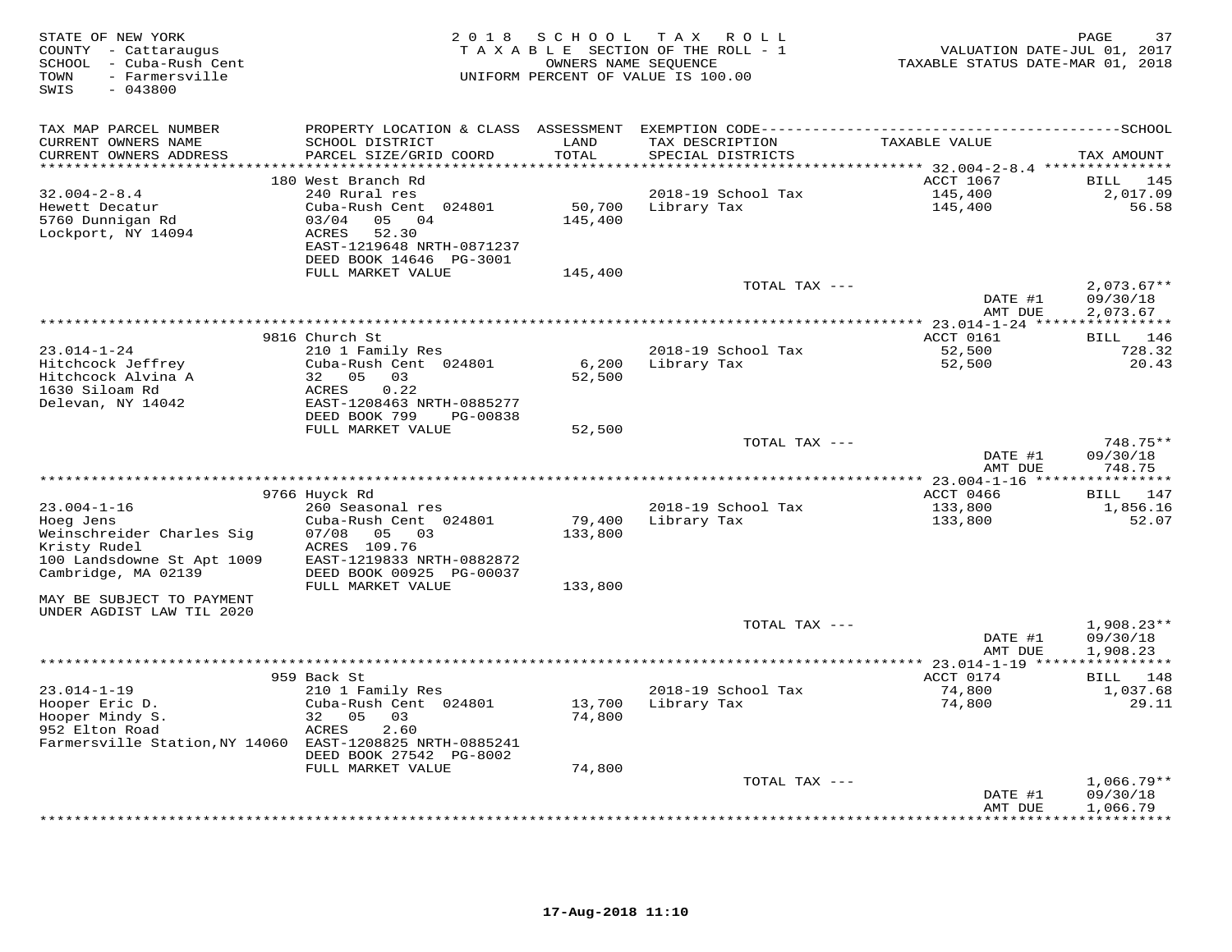| STATE OF NEW YORK<br>COUNTY - Cattaraugus<br>SCHOOL - Cuba-Rush Cent<br>TOWN<br>- Farmersville<br>$-043800$<br>SWIS | 2 0 1 8                                       | S C H O O L       | T A X<br>R O L L<br>TAXABLE SECTION OF THE ROLL - 1<br>OWNERS NAME SEOUENCE<br>UNIFORM PERCENT OF VALUE IS 100.00 | VALUATION DATE-JUL 01, 2017<br>TAXABLE STATUS DATE-MAR 01, 2018 | 37<br>PAGE              |
|---------------------------------------------------------------------------------------------------------------------|-----------------------------------------------|-------------------|-------------------------------------------------------------------------------------------------------------------|-----------------------------------------------------------------|-------------------------|
| TAX MAP PARCEL NUMBER                                                                                               |                                               |                   |                                                                                                                   |                                                                 |                         |
| CURRENT OWNERS NAME<br>CURRENT OWNERS ADDRESS                                                                       | SCHOOL DISTRICT<br>PARCEL SIZE/GRID COORD     | LAND<br>TOTAL     | TAX DESCRIPTION<br>SPECIAL DISTRICTS                                                                              | TAXABLE VALUE                                                   | TAX AMOUNT              |
| ************************                                                                                            |                                               |                   |                                                                                                                   |                                                                 |                         |
|                                                                                                                     | 180 West Branch Rd                            |                   |                                                                                                                   | ACCT 1067                                                       | BILL 145                |
| $32.004 - 2 - 8.4$                                                                                                  | 240 Rural res                                 |                   | 2018-19 School Tax                                                                                                | 145,400                                                         | 2,017.09                |
| Hewett Decatur<br>5760 Dunnigan Rd                                                                                  | Cuba-Rush Cent 024801<br>03/04<br>05 04       | 50,700<br>145,400 | Library Tax                                                                                                       | 145,400                                                         | 56.58                   |
| Lockport, NY 14094                                                                                                  | ACRES<br>52.30                                |                   |                                                                                                                   |                                                                 |                         |
|                                                                                                                     | EAST-1219648 NRTH-0871237                     |                   |                                                                                                                   |                                                                 |                         |
|                                                                                                                     | DEED BOOK 14646 PG-3001                       |                   |                                                                                                                   |                                                                 |                         |
|                                                                                                                     | FULL MARKET VALUE                             | 145,400           |                                                                                                                   |                                                                 |                         |
|                                                                                                                     |                                               |                   | TOTAL TAX ---                                                                                                     |                                                                 | $2,073.67**$            |
|                                                                                                                     |                                               |                   |                                                                                                                   | DATE #1<br>AMT DUE                                              | 09/30/18<br>2,073.67    |
|                                                                                                                     |                                               |                   |                                                                                                                   |                                                                 |                         |
|                                                                                                                     | 9816 Church St                                |                   |                                                                                                                   | ACCT 0161                                                       | BILL 146                |
| $23.014 - 1 - 24$                                                                                                   | 210 1 Family Res                              |                   | 2018-19 School Tax                                                                                                | 52,500                                                          | 728.32                  |
| Hitchcock Jeffrey                                                                                                   | Cuba-Rush Cent 024801                         | 6,200             | Library Tax                                                                                                       | 52,500                                                          | 20.43                   |
| Hitchcock Alvina A                                                                                                  | 32 05<br>03                                   | 52,500            |                                                                                                                   |                                                                 |                         |
| 1630 Siloam Rd<br>Delevan, NY 14042                                                                                 | 0.22<br>ACRES<br>EAST-1208463 NRTH-0885277    |                   |                                                                                                                   |                                                                 |                         |
|                                                                                                                     | DEED BOOK 799<br>PG-00838                     |                   |                                                                                                                   |                                                                 |                         |
|                                                                                                                     | FULL MARKET VALUE                             | 52,500            |                                                                                                                   |                                                                 |                         |
|                                                                                                                     |                                               |                   | TOTAL TAX ---                                                                                                     |                                                                 | 748.75**                |
|                                                                                                                     |                                               |                   |                                                                                                                   | DATE #1                                                         | 09/30/18                |
|                                                                                                                     |                                               |                   |                                                                                                                   | AMT DUE                                                         | 748.75                  |
|                                                                                                                     | 9766 Huyck Rd                                 |                   |                                                                                                                   | ************ 23.004-1-16 *****************<br>ACCT 0466         | BILL 147                |
| $23.004 - 1 - 16$                                                                                                   | 260 Seasonal res                              |                   | 2018-19 School Tax                                                                                                | 133,800                                                         | 1,856.16                |
| Hoeg Jens                                                                                                           | Cuba-Rush Cent 024801                         | 79,400            | Library Tax                                                                                                       | 133,800                                                         | 52.07                   |
| Weinschreider Charles Sig                                                                                           | 07/08<br>05 03                                | 133,800           |                                                                                                                   |                                                                 |                         |
| Kristy Rudel                                                                                                        | ACRES 109.76                                  |                   |                                                                                                                   |                                                                 |                         |
| 100 Landsdowne St Apt 1009                                                                                          | EAST-1219833 NRTH-0882872                     |                   |                                                                                                                   |                                                                 |                         |
| Cambridge, MA 02139                                                                                                 | DEED BOOK 00925 PG-00037<br>FULL MARKET VALUE | 133,800           |                                                                                                                   |                                                                 |                         |
| MAY BE SUBJECT TO PAYMENT                                                                                           |                                               |                   |                                                                                                                   |                                                                 |                         |
| UNDER AGDIST LAW TIL 2020                                                                                           |                                               |                   |                                                                                                                   |                                                                 |                         |
|                                                                                                                     |                                               |                   | TOTAL TAX ---                                                                                                     |                                                                 | $1,908.23**$            |
|                                                                                                                     |                                               |                   |                                                                                                                   | DATE #1                                                         | 09/30/18                |
|                                                                                                                     |                                               |                   |                                                                                                                   | AMT DUE<br>** 23.014-1-19 *****                                 | 1,908.23<br>*********** |
|                                                                                                                     | 959 Back St                                   |                   |                                                                                                                   | ACCT 0174                                                       | BILL 148                |
| $23.014 - 1 - 19$                                                                                                   | 210 1 Family Res                              |                   | 2018-19 School Tax                                                                                                | 74,800                                                          | 1,037.68                |
| Hooper Eric D.                                                                                                      | Cuba-Rush Cent 024801                         | 13,700            | Library Tax                                                                                                       | 74,800                                                          | 29.11                   |
| Hooper Mindy S.                                                                                                     | 32 05<br>03                                   | 74,800            |                                                                                                                   |                                                                 |                         |
| 952 Elton Road                                                                                                      | 2.60<br>ACRES                                 |                   |                                                                                                                   |                                                                 |                         |
| Farmersville Station, NY 14060 EAST-1208825 NRTH-0885241                                                            | DEED BOOK 27542 PG-8002                       |                   |                                                                                                                   |                                                                 |                         |
|                                                                                                                     | FULL MARKET VALUE                             | 74,800            |                                                                                                                   |                                                                 |                         |
|                                                                                                                     |                                               |                   | TOTAL TAX ---                                                                                                     |                                                                 | $1,066.79**$            |
|                                                                                                                     |                                               |                   |                                                                                                                   | DATE #1                                                         | 09/30/18                |
|                                                                                                                     |                                               |                   |                                                                                                                   | AMT DUE                                                         | 1,066.79                |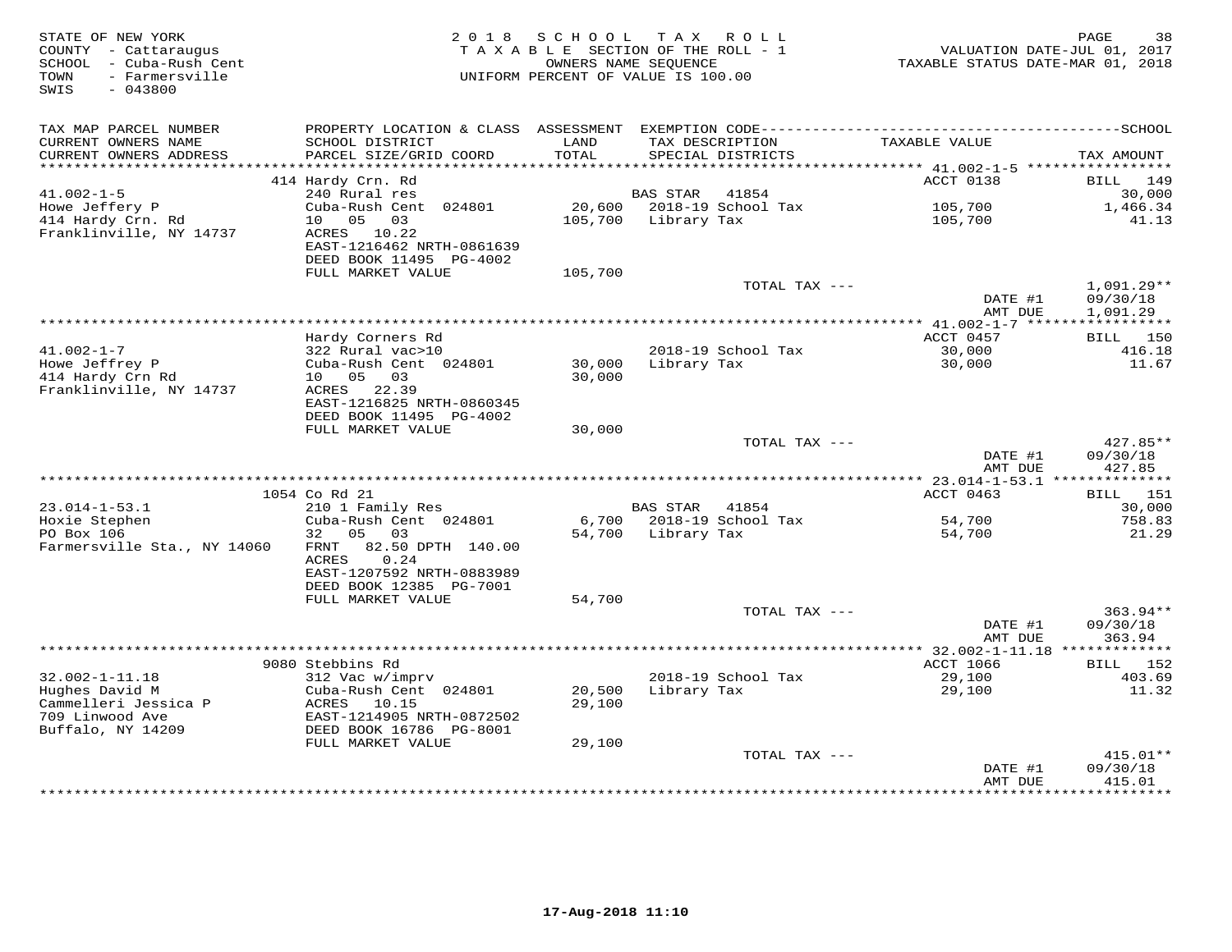| STATE OF NEW YORK<br>COUNTY - Cattaraugus<br>SCHOOL - Cuba-Rush Cent<br>- Farmersville<br>TOWN<br>$-043800$<br>SWIS | 2 0 1 8                                              | S C H O O L      | TAX ROLL<br>TAXABLE SECTION OF THE ROLL - 1<br>OWNERS NAME SEQUENCE<br>UNIFORM PERCENT OF VALUE IS 100.00 | VALUATION DATE-JUL 01, 2017<br>TAXABLE STATUS DATE-MAR 01, 2018 | PAGE<br>38                               |
|---------------------------------------------------------------------------------------------------------------------|------------------------------------------------------|------------------|-----------------------------------------------------------------------------------------------------------|-----------------------------------------------------------------|------------------------------------------|
| TAX MAP PARCEL NUMBER                                                                                               | PROPERTY LOCATION & CLASS ASSESSMENT                 |                  |                                                                                                           |                                                                 |                                          |
| CURRENT OWNERS NAME<br>CURRENT OWNERS ADDRESS<br>***********************                                            | SCHOOL DISTRICT<br>PARCEL SIZE/GRID COORD            | LAND<br>TOTAL    | TAX DESCRIPTION<br>SPECIAL DISTRICTS                                                                      | TAXABLE VALUE                                                   | TAX AMOUNT                               |
|                                                                                                                     | 414 Hardy Crn. Rd                                    |                  |                                                                                                           | ACCT 0138                                                       | BILL<br>149                              |
| $41.002 - 1 - 5$                                                                                                    | 240 Rural res                                        |                  | <b>BAS STAR</b><br>41854                                                                                  |                                                                 | 30,000                                   |
| Howe Jeffery P                                                                                                      | Cuba-Rush Cent 024801                                | 20,600           | 2018-19 School Tax                                                                                        | 105,700                                                         | 1,466.34                                 |
| 414 Hardy Crn. Rd                                                                                                   | 10  05  03                                           | 105,700          | Library Tax                                                                                               | 105,700                                                         | 41.13                                    |
| Franklinville, NY 14737                                                                                             | ACRES 10.22                                          |                  |                                                                                                           |                                                                 |                                          |
|                                                                                                                     | EAST-1216462 NRTH-0861639<br>DEED BOOK 11495 PG-4002 |                  |                                                                                                           |                                                                 |                                          |
|                                                                                                                     | FULL MARKET VALUE                                    | 105,700          |                                                                                                           |                                                                 |                                          |
|                                                                                                                     |                                                      |                  | TOTAL TAX ---                                                                                             |                                                                 | $1,091.29**$                             |
|                                                                                                                     |                                                      |                  |                                                                                                           | DATE #1                                                         | 09/30/18                                 |
|                                                                                                                     |                                                      |                  | *************************************                                                                     | AMT DUE                                                         | 1,091.29                                 |
|                                                                                                                     | Hardy Corners Rd                                     |                  |                                                                                                           | ********* 41.002-1-7 ******<br>ACCT 0457                        | * * * * * * * * * * *<br><b>BILL</b> 150 |
| $41.002 - 1 - 7$                                                                                                    | 322 Rural vac>10                                     |                  | 2018-19 School Tax                                                                                        | 30,000                                                          | 416.18                                   |
| Howe Jeffrey P                                                                                                      | Cuba-Rush Cent 024801                                | 30,000           | Library Tax                                                                                               | 30,000                                                          | 11.67                                    |
| 414 Hardy Crn Rd                                                                                                    | 10  05  03                                           | 30,000           |                                                                                                           |                                                                 |                                          |
| Franklinville, NY 14737                                                                                             | ACRES 22.39                                          |                  |                                                                                                           |                                                                 |                                          |
|                                                                                                                     | EAST-1216825 NRTH-0860345                            |                  |                                                                                                           |                                                                 |                                          |
|                                                                                                                     | DEED BOOK 11495 PG-4002<br>FULL MARKET VALUE         | 30,000           |                                                                                                           |                                                                 |                                          |
|                                                                                                                     |                                                      |                  | TOTAL TAX ---                                                                                             |                                                                 | 427.85**                                 |
|                                                                                                                     |                                                      |                  |                                                                                                           | DATE #1                                                         | 09/30/18                                 |
|                                                                                                                     |                                                      |                  |                                                                                                           | AMT DUE                                                         | 427.85                                   |
|                                                                                                                     |                                                      |                  |                                                                                                           |                                                                 |                                          |
|                                                                                                                     | 1054 Co Rd 21                                        |                  |                                                                                                           | ACCT 0463                                                       | <b>BILL</b> 151                          |
| $23.014 - 1 - 53.1$<br>Hoxie Stephen                                                                                | 210 1 Family Res<br>Cuba-Rush Cent 024801            |                  | BAS STAR 41854<br>6,700 2018-19 School Tax                                                                | 54,700                                                          | 30,000<br>758.83                         |
| PO Box 106                                                                                                          | 05 03<br>32                                          | 54,700           | Library Tax                                                                                               | 54,700                                                          | 21.29                                    |
| Farmersville Sta., NY 14060                                                                                         | 82.50 DPTH 140.00<br>FRNT                            |                  |                                                                                                           |                                                                 |                                          |
|                                                                                                                     | 0.24<br>ACRES                                        |                  |                                                                                                           |                                                                 |                                          |
|                                                                                                                     | EAST-1207592 NRTH-0883989                            |                  |                                                                                                           |                                                                 |                                          |
|                                                                                                                     | DEED BOOK 12385 PG-7001                              |                  |                                                                                                           |                                                                 |                                          |
|                                                                                                                     | FULL MARKET VALUE                                    | 54,700           | TOTAL TAX ---                                                                                             |                                                                 | $363.94**$                               |
|                                                                                                                     |                                                      |                  |                                                                                                           | DATE #1                                                         | 09/30/18                                 |
|                                                                                                                     |                                                      |                  |                                                                                                           | AMT DUE                                                         | 363.94                                   |
|                                                                                                                     |                                                      |                  |                                                                                                           |                                                                 |                                          |
|                                                                                                                     | 9080 Stebbins Rd                                     |                  |                                                                                                           | ACCT 1066                                                       | BILL<br>152                              |
| $32.002 - 1 - 11.18$                                                                                                | 312 Vac w/imprv                                      |                  | 2018-19 School Tax                                                                                        | 29,100                                                          | 403.69                                   |
| Hughes David M<br>Cammelleri Jessica P                                                                              | Cuba-Rush Cent 024801<br>ACRES 10.15                 | 20,500<br>29,100 | Library Tax                                                                                               | 29,100                                                          | 11.32                                    |
| 709 Linwood Ave                                                                                                     | EAST-1214905 NRTH-0872502                            |                  |                                                                                                           |                                                                 |                                          |
| Buffalo, NY 14209                                                                                                   | DEED BOOK 16786 PG-8001                              |                  |                                                                                                           |                                                                 |                                          |
|                                                                                                                     | FULL MARKET VALUE                                    | 29,100           |                                                                                                           |                                                                 |                                          |
|                                                                                                                     |                                                      |                  | TOTAL TAX ---                                                                                             |                                                                 | $415.01**$                               |
|                                                                                                                     |                                                      |                  |                                                                                                           | DATE #1                                                         | 09/30/18<br>415.01                       |
|                                                                                                                     |                                                      |                  | ***********************************                                                                       | AMT DUE<br>* * * * * * * * * * * * * *                          | * * * * * * * * * * *                    |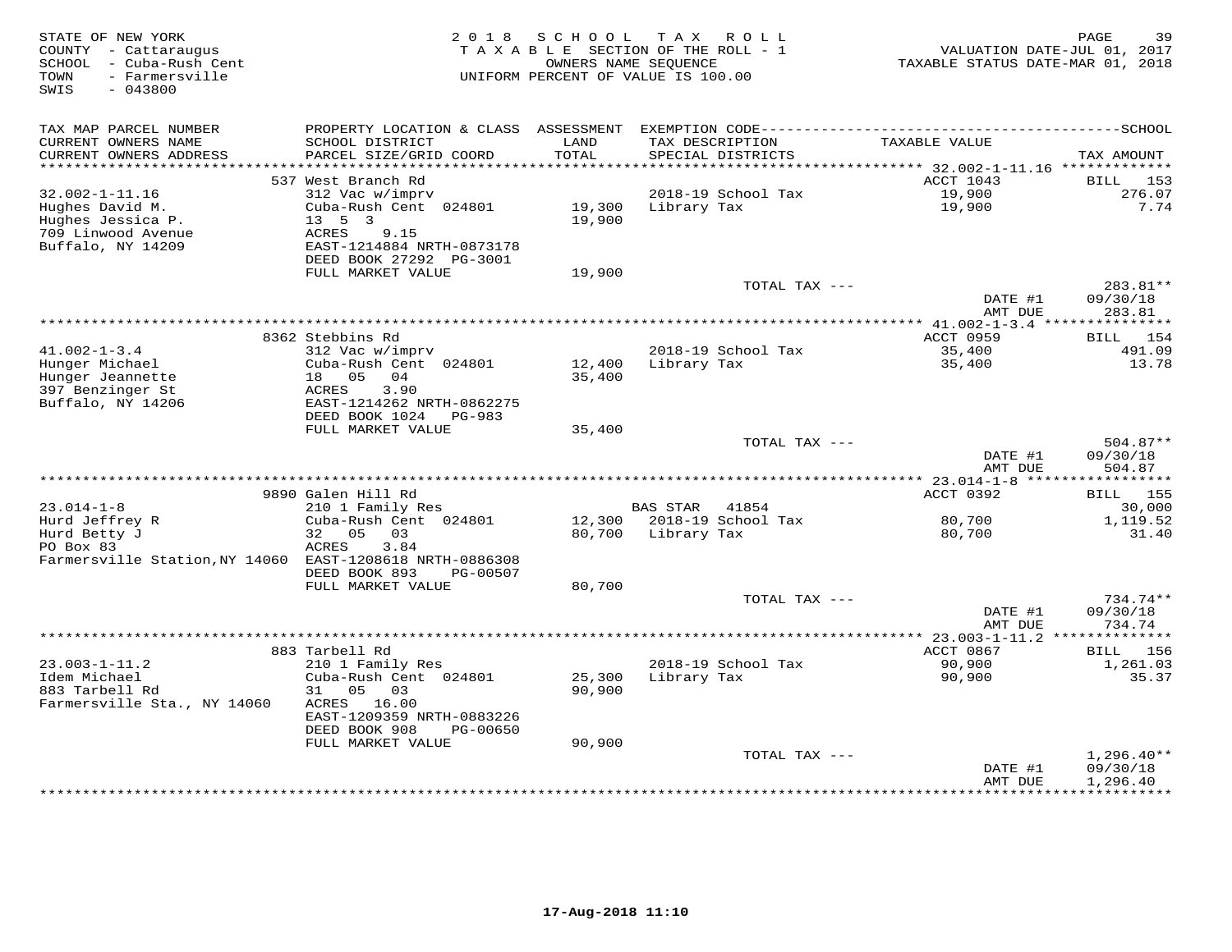| STATE OF NEW YORK<br>COUNTY - Cattaraugus<br>SCHOOL - Cuba-Rush Cent<br>- Farmersville<br>TOWN<br>$-043800$<br>SWIS | 2 0 1 8                                                               | S C H O O L<br>OWNERS NAME SEQUENCE | TAX ROLL<br>TAXABLE SECTION OF THE ROLL - 1<br>UNIFORM PERCENT OF VALUE IS 100.00 | VALUATION DATE-JUL 01, 2017<br>TAXABLE STATUS DATE-MAR 01, 2018 | 39<br>PAGE             |
|---------------------------------------------------------------------------------------------------------------------|-----------------------------------------------------------------------|-------------------------------------|-----------------------------------------------------------------------------------|-----------------------------------------------------------------|------------------------|
| TAX MAP PARCEL NUMBER                                                                                               | PROPERTY LOCATION & CLASS ASSESSMENT                                  |                                     |                                                                                   |                                                                 |                        |
| CURRENT OWNERS NAME<br>CURRENT OWNERS ADDRESS<br>**********************                                             | SCHOOL DISTRICT<br>PARCEL SIZE/GRID COORD<br>************************ | LAND<br>TOTAL                       | TAX DESCRIPTION<br>SPECIAL DISTRICTS                                              | TAXABLE VALUE                                                   | TAX AMOUNT             |
|                                                                                                                     | 537 West Branch Rd                                                    |                                     |                                                                                   | ACCT 1043                                                       | <b>BILL</b><br>153     |
| $32.002 - 1 - 11.16$                                                                                                | 312 Vac w/imprv                                                       |                                     | 2018-19 School Tax                                                                | 19,900                                                          | 276.07                 |
| Hughes David M.                                                                                                     | Cuba-Rush Cent 024801                                                 | 19,300                              | Library Tax                                                                       | 19,900                                                          | 7.74                   |
| Hughes Jessica P.                                                                                                   | $13 \quad 5 \quad 3$                                                  | 19,900                              |                                                                                   |                                                                 |                        |
| 709 Linwood Avenue                                                                                                  | ACRES<br>9.15                                                         |                                     |                                                                                   |                                                                 |                        |
| Buffalo, NY 14209                                                                                                   | EAST-1214884 NRTH-0873178                                             |                                     |                                                                                   |                                                                 |                        |
|                                                                                                                     | DEED BOOK 27292 PG-3001                                               |                                     |                                                                                   |                                                                 |                        |
|                                                                                                                     | FULL MARKET VALUE                                                     | 19,900                              | TOTAL TAX ---                                                                     |                                                                 | 283.81**               |
|                                                                                                                     |                                                                       |                                     |                                                                                   | DATE #1                                                         | 09/30/18               |
|                                                                                                                     |                                                                       |                                     |                                                                                   | AMT DUE                                                         | 283.81                 |
|                                                                                                                     |                                                                       |                                     | **********************                                                            | * $41.002 - 1 - 3.4$ **                                         | ***********            |
|                                                                                                                     | 8362 Stebbins Rd                                                      |                                     |                                                                                   | ACCT 0959                                                       | 154<br>BILL            |
| $41.002 - 1 - 3.4$                                                                                                  | 312 Vac w/imprv                                                       |                                     | 2018-19 School Tax                                                                | 35,400                                                          | 491.09                 |
| Hunger Michael<br>Hunger Jeannette                                                                                  | Cuba-Rush Cent 024801<br>18 05<br>04                                  | 12,400<br>35,400                    | Library Tax                                                                       | 35,400                                                          | 13.78                  |
| 397 Benzinger St                                                                                                    | 3.90<br>ACRES                                                         |                                     |                                                                                   |                                                                 |                        |
| Buffalo, NY 14206                                                                                                   | EAST-1214262 NRTH-0862275                                             |                                     |                                                                                   |                                                                 |                        |
|                                                                                                                     | DEED BOOK 1024<br>PG-983                                              |                                     |                                                                                   |                                                                 |                        |
|                                                                                                                     | FULL MARKET VALUE                                                     | 35,400                              |                                                                                   |                                                                 |                        |
|                                                                                                                     |                                                                       |                                     | TOTAL TAX ---                                                                     |                                                                 | $504.87**$             |
|                                                                                                                     |                                                                       |                                     |                                                                                   | DATE #1                                                         | 09/30/18               |
|                                                                                                                     |                                                                       |                                     |                                                                                   | AMT DUE                                                         | 504.87<br>***********  |
|                                                                                                                     | 9890 Galen Hill Rd                                                    |                                     |                                                                                   | ACCT 0392                                                       | 155<br>BILL            |
| $23.014 - 1 - 8$                                                                                                    | 210 1 Family Res                                                      |                                     | <b>BAS STAR</b><br>41854                                                          |                                                                 | 30,000                 |
| Hurd Jeffrey R                                                                                                      | Cuba-Rush Cent 024801                                                 |                                     | 12,300 2018-19 School Tax                                                         | 80,700                                                          | 1,119.52               |
| Hurd Betty J                                                                                                        | 05<br>32<br>03                                                        | 80,700                              | Library Tax                                                                       | 80,700                                                          | 31.40                  |
| PO Box 83                                                                                                           | ACRES<br>3.84                                                         |                                     |                                                                                   |                                                                 |                        |
| Farmersville Station, NY 14060 EAST-1208618 NRTH-0886308                                                            |                                                                       |                                     |                                                                                   |                                                                 |                        |
|                                                                                                                     | DEED BOOK 893<br>PG-00507<br>FULL MARKET VALUE                        | 80,700                              |                                                                                   |                                                                 |                        |
|                                                                                                                     |                                                                       |                                     | TOTAL TAX ---                                                                     |                                                                 | $734.74**$             |
|                                                                                                                     |                                                                       |                                     |                                                                                   | DATE #1                                                         | 09/30/18               |
|                                                                                                                     |                                                                       |                                     |                                                                                   | AMT DUE                                                         | 734.74                 |
|                                                                                                                     |                                                                       |                                     |                                                                                   | ********** 23.003-1-11.2 **************                         |                        |
|                                                                                                                     | 883 Tarbell Rd                                                        |                                     |                                                                                   | ACCT 0867                                                       | 156<br>BILL            |
| $23.003 - 1 - 11.2$                                                                                                 | 210 1 Family Res                                                      |                                     | 2018-19 School Tax                                                                | 90,900                                                          | 1,261.03               |
| Idem Michael<br>883 Tarbell Rd                                                                                      | Cuba-Rush Cent 024801<br>31<br>05<br>03                               | 25,300<br>90,900                    | Library Tax                                                                       | 90,900                                                          | 35.37                  |
| Farmersville Sta., NY 14060                                                                                         | 16.00<br>ACRES                                                        |                                     |                                                                                   |                                                                 |                        |
|                                                                                                                     | EAST-1209359 NRTH-0883226                                             |                                     |                                                                                   |                                                                 |                        |
|                                                                                                                     | DEED BOOK 908<br>PG-00650                                             |                                     |                                                                                   |                                                                 |                        |
|                                                                                                                     | FULL MARKET VALUE                                                     | 90,900                              |                                                                                   |                                                                 |                        |
|                                                                                                                     |                                                                       |                                     | TOTAL TAX ---                                                                     |                                                                 | $1,296.40**$           |
|                                                                                                                     |                                                                       |                                     |                                                                                   | DATE #1                                                         | 09/30/18               |
|                                                                                                                     |                                                                       |                                     |                                                                                   | AMT DUE<br>* * * * * * * * * *                                  | 1,296.40<br>********** |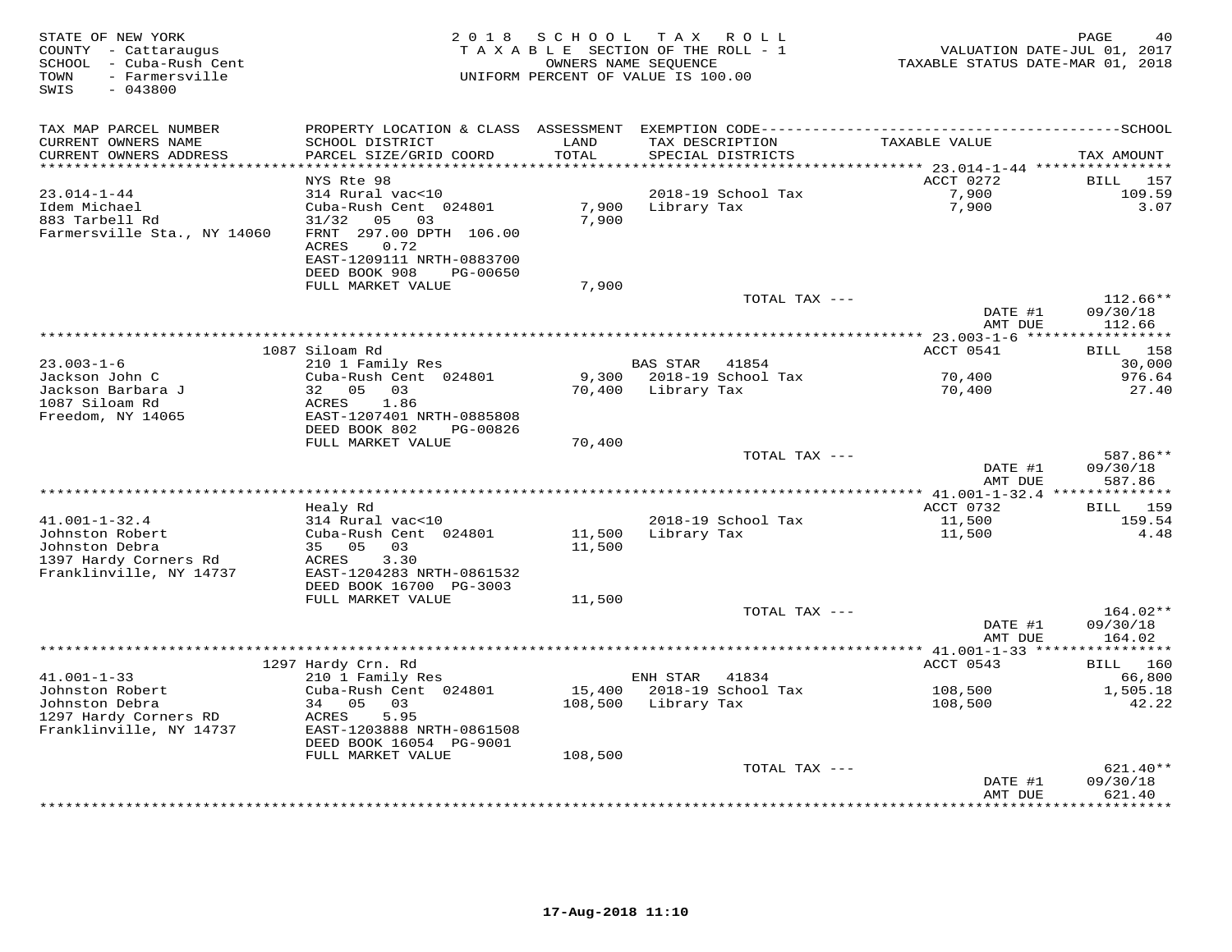| STATE OF NEW YORK<br>COUNTY - Cattaraugus<br>SCHOOL - Cuba-Rush Cent<br>- Farmersville<br>TOWN<br>$-043800$<br>SWIS | 2 0 1 8                                        | SCHOOL<br>TAXABLE SECTION OF THE ROLL - 1<br>OWNERS NAME SEQUENCE<br>UNIFORM PERCENT OF VALUE IS 100.00 | T A X       | R O L L                              | VALUATION DATE-JUL 01, 2017<br>TAXABLE STATUS DATE-MAR 01, 2018 | PAGE<br>40          |
|---------------------------------------------------------------------------------------------------------------------|------------------------------------------------|---------------------------------------------------------------------------------------------------------|-------------|--------------------------------------|-----------------------------------------------------------------|---------------------|
| TAX MAP PARCEL NUMBER                                                                                               | PROPERTY LOCATION & CLASS ASSESSMENT           |                                                                                                         |             |                                      |                                                                 |                     |
| CURRENT OWNERS NAME<br>CURRENT OWNERS ADDRESS                                                                       | SCHOOL DISTRICT<br>PARCEL SIZE/GRID COORD      | LAND<br>TOTAL                                                                                           |             | TAX DESCRIPTION<br>SPECIAL DISTRICTS | TAXABLE VALUE                                                   | TAX AMOUNT          |
| ***********************                                                                                             | ****************                               |                                                                                                         |             |                                      |                                                                 |                     |
|                                                                                                                     | NYS Rte 98                                     |                                                                                                         |             |                                      | ACCT 0272                                                       | 157<br>BILL         |
| $23.014 - 1 - 44$                                                                                                   | 314 Rural vac<10                               |                                                                                                         |             | 2018-19 School Tax                   | 7,900                                                           | 109.59              |
| Idem Michael<br>883 Tarbell Rd                                                                                      | Cuba-Rush Cent 024801<br>31/32<br>05<br>03     | 7,900                                                                                                   | Library Tax |                                      | 7,900                                                           | 3.07                |
| Farmersville Sta., NY 14060                                                                                         | FRNT 297.00 DPTH 106.00                        | 7,900                                                                                                   |             |                                      |                                                                 |                     |
|                                                                                                                     | 0.72<br>ACRES                                  |                                                                                                         |             |                                      |                                                                 |                     |
|                                                                                                                     | EAST-1209111 NRTH-0883700                      |                                                                                                         |             |                                      |                                                                 |                     |
|                                                                                                                     | DEED BOOK 908<br>PG-00650                      |                                                                                                         |             |                                      |                                                                 |                     |
|                                                                                                                     | FULL MARKET VALUE                              | 7,900                                                                                                   |             |                                      |                                                                 |                     |
|                                                                                                                     |                                                |                                                                                                         |             | TOTAL TAX ---                        |                                                                 | $112.66**$          |
|                                                                                                                     |                                                |                                                                                                         |             |                                      | DATE #1                                                         | 09/30/18            |
|                                                                                                                     |                                                |                                                                                                         |             |                                      | AMT DUE                                                         | 112.66              |
|                                                                                                                     |                                                |                                                                                                         |             |                                      |                                                                 |                     |
|                                                                                                                     | 1087 Siloam Rd                                 |                                                                                                         |             |                                      | ACCT 0541                                                       | 158<br>BILL         |
| $23.003 - 1 - 6$                                                                                                    | 210 1 Family Res                               |                                                                                                         | BAS STAR    | 41854                                |                                                                 | 30,000              |
| Jackson John C                                                                                                      | Cuba-Rush Cent 024801                          | 9,300                                                                                                   |             | 2018-19 School Tax                   | 70,400                                                          | 976.64              |
| Jackson Barbara J                                                                                                   | 32<br>05<br>03                                 | 70,400                                                                                                  | Library Tax |                                      | 70,400                                                          | 27.40               |
| 1087 Siloam Rd                                                                                                      | 1.86<br>ACRES                                  |                                                                                                         |             |                                      |                                                                 |                     |
| Freedom, NY 14065                                                                                                   | EAST-1207401 NRTH-0885808                      |                                                                                                         |             |                                      |                                                                 |                     |
|                                                                                                                     | DEED BOOK 802<br>PG-00826<br>FULL MARKET VALUE | 70,400                                                                                                  |             |                                      |                                                                 |                     |
|                                                                                                                     |                                                |                                                                                                         |             | TOTAL TAX ---                        |                                                                 | 587.86**            |
|                                                                                                                     |                                                |                                                                                                         |             |                                      | DATE #1                                                         | 09/30/18            |
|                                                                                                                     |                                                |                                                                                                         |             |                                      | AMT DUE                                                         | 587.86              |
|                                                                                                                     |                                                | ***********************************                                                                     |             |                                      | ******** 41.001-1-32.4 ***************                          |                     |
|                                                                                                                     | Healy Rd                                       |                                                                                                         |             |                                      | ACCT 0732                                                       | BILL 159            |
| $41.001 - 1 - 32.4$                                                                                                 | 314 Rural vac<10                               |                                                                                                         |             | 2018-19 School Tax                   | 11,500                                                          | 159.54              |
| Johnston Robert                                                                                                     | Cuba-Rush Cent 024801                          | 11,500                                                                                                  | Library Tax |                                      | 11,500                                                          | 4.48                |
| Johnston Debra                                                                                                      | 35 05<br>03                                    | 11,500                                                                                                  |             |                                      |                                                                 |                     |
| 1397 Hardy Corners Rd                                                                                               | 3.30<br>ACRES                                  |                                                                                                         |             |                                      |                                                                 |                     |
| Franklinville, NY 14737                                                                                             | EAST-1204283 NRTH-0861532                      |                                                                                                         |             |                                      |                                                                 |                     |
|                                                                                                                     | DEED BOOK 16700 PG-3003                        |                                                                                                         |             |                                      |                                                                 |                     |
|                                                                                                                     | FULL MARKET VALUE                              | 11,500                                                                                                  |             |                                      |                                                                 |                     |
|                                                                                                                     |                                                |                                                                                                         |             | TOTAL TAX ---                        |                                                                 | 164.02**            |
|                                                                                                                     |                                                |                                                                                                         |             |                                      | DATE #1                                                         | 09/30/18            |
|                                                                                                                     |                                                |                                                                                                         |             |                                      | AMT DUE                                                         | 164.02<br>********* |
|                                                                                                                     | 1297 Hardy Crn. Rd                             |                                                                                                         |             |                                      | ACCT 0543                                                       | BILL 160            |
| $41.001 - 1 - 33$                                                                                                   | 210 1 Family Res                               |                                                                                                         | ENH STAR    | 41834                                |                                                                 | 66,800              |
| Johnston Robert                                                                                                     | Cuba-Rush Cent 024801                          | 15,400                                                                                                  |             | 2018-19 School Tax                   | 108,500                                                         | 1,505.18            |
| Johnston Debra                                                                                                      | 34 05<br>03                                    | 108,500                                                                                                 | Library Tax |                                      | 108,500                                                         | 42.22               |
| 1297 Hardy Corners RD                                                                                               | 5.95<br>ACRES                                  |                                                                                                         |             |                                      |                                                                 |                     |
| Franklinville, NY 14737                                                                                             | EAST-1203888 NRTH-0861508                      |                                                                                                         |             |                                      |                                                                 |                     |
|                                                                                                                     | DEED BOOK 16054 PG-9001                        |                                                                                                         |             |                                      |                                                                 |                     |
|                                                                                                                     | FULL MARKET VALUE                              | 108,500                                                                                                 |             |                                      |                                                                 |                     |
|                                                                                                                     |                                                |                                                                                                         |             | TOTAL TAX ---                        |                                                                 | $621.40**$          |
|                                                                                                                     |                                                |                                                                                                         |             |                                      | DATE #1                                                         | 09/30/18            |
|                                                                                                                     |                                                |                                                                                                         |             |                                      | AMT DUE                                                         | 621.40              |
|                                                                                                                     |                                                |                                                                                                         |             |                                      | * * * * * * * * * * * * *                                       | *********           |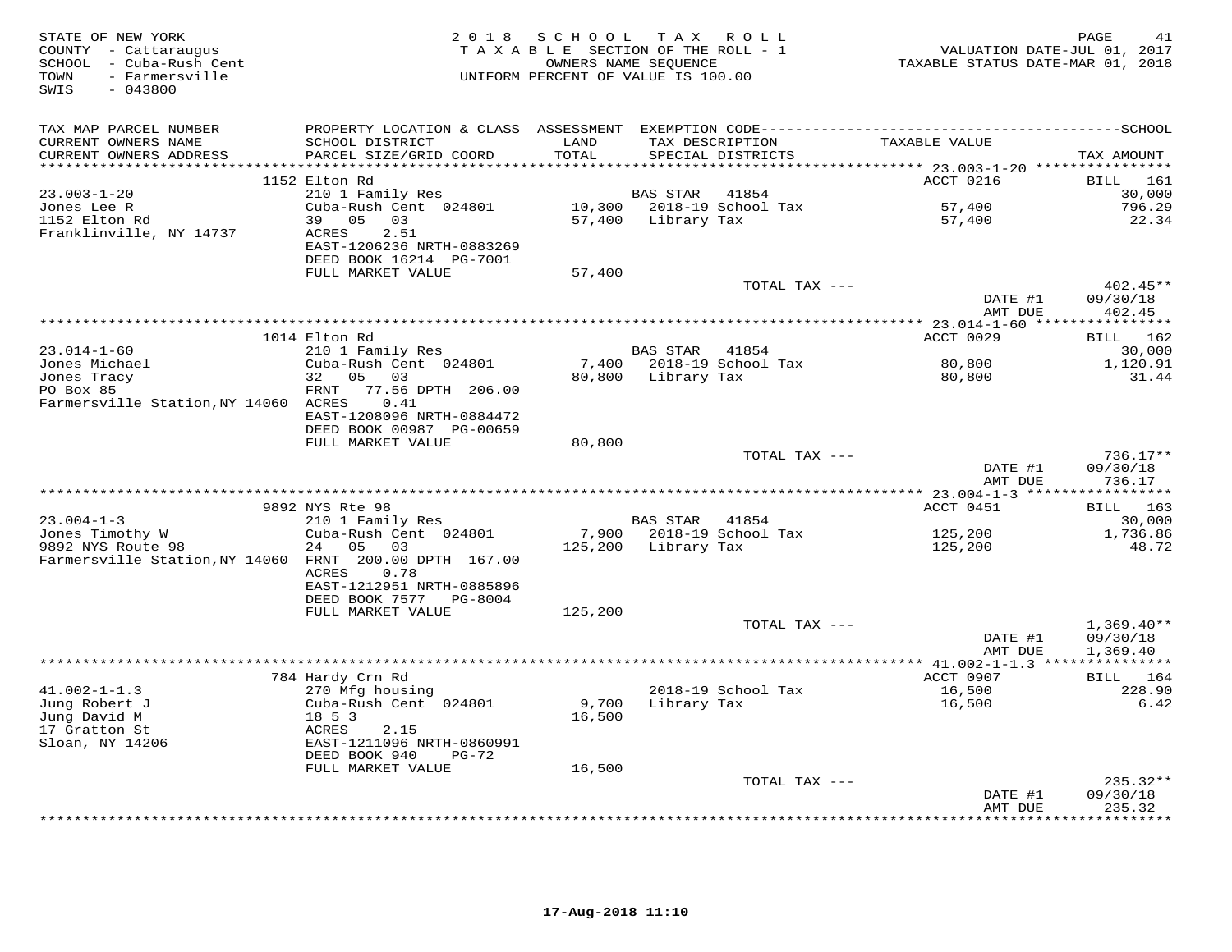| STATE OF NEW YORK<br>COUNTY - Cattaraugus<br>SCHOOL - Cuba-Rush Cent<br>- Farmersville<br>TOWN<br>SWIS<br>$-043800$ | 2 0 1 8                                                                                        | SCHOOL TAX ROLL<br>TAXABLE SECTION OF THE ROLL - 1<br>OWNERS NAME SEQUENCE<br>UNIFORM PERCENT OF VALUE IS 100.00 |                 |                                      | VALUATION DATE-JUL 01, 2017<br>TAXABLE STATUS DATE-MAR 01, 2018 | PAGE<br>41         |
|---------------------------------------------------------------------------------------------------------------------|------------------------------------------------------------------------------------------------|------------------------------------------------------------------------------------------------------------------|-----------------|--------------------------------------|-----------------------------------------------------------------|--------------------|
| TAX MAP PARCEL NUMBER                                                                                               |                                                                                                |                                                                                                                  |                 |                                      |                                                                 |                    |
| CURRENT OWNERS NAME<br>CURRENT OWNERS ADDRESS                                                                       | SCHOOL DISTRICT<br>PARCEL SIZE/GRID COORD                                                      | LAND<br>TOTAL                                                                                                    |                 | TAX DESCRIPTION<br>SPECIAL DISTRICTS | TAXABLE VALUE                                                   | TAX AMOUNT         |
|                                                                                                                     |                                                                                                |                                                                                                                  |                 |                                      |                                                                 |                    |
|                                                                                                                     | 1152 Elton Rd                                                                                  |                                                                                                                  |                 |                                      | ACCT 0216                                                       | BILL 161           |
| $23.003 - 1 - 20$                                                                                                   | 210 1 Family Res                                                                               |                                                                                                                  | <b>BAS STAR</b> | 41854                                |                                                                 | 30,000             |
| Jones Lee R                                                                                                         | Cuba-Rush Cent 024801                                                                          |                                                                                                                  |                 | 10,300 2018-19 School Tax            | 57,400                                                          | 796.29             |
| 1152 Elton Rd<br>Franklinville, NY 14737                                                                            | 39<br>05<br>03<br><b>ACRES</b><br>2.51<br>EAST-1206236 NRTH-0883269<br>DEED BOOK 16214 PG-7001 | 57,400                                                                                                           | Library Tax     |                                      | 57,400                                                          | 22.34              |
|                                                                                                                     | FULL MARKET VALUE                                                                              | 57,400                                                                                                           |                 |                                      |                                                                 |                    |
|                                                                                                                     |                                                                                                |                                                                                                                  |                 | TOTAL TAX ---                        |                                                                 | 402.45**           |
|                                                                                                                     |                                                                                                |                                                                                                                  |                 |                                      | DATE #1                                                         | 09/30/18           |
|                                                                                                                     |                                                                                                |                                                                                                                  |                 |                                      | AMT DUE                                                         | 402.45             |
|                                                                                                                     |                                                                                                |                                                                                                                  |                 |                                      |                                                                 |                    |
| $23.014 - 1 - 60$                                                                                                   | 1014 Elton Rd                                                                                  |                                                                                                                  | BAS STAR        | 41854                                | ACCT 0029                                                       | BILL 162           |
| Jones Michael                                                                                                       | 210 1 Family Res<br>Cuba-Rush Cent 024801                                                      | 7,400                                                                                                            |                 | 2018-19 School Tax                   | 80,800                                                          | 30,000<br>1,120.91 |
| Jones Tracy                                                                                                         | 32 05<br>03                                                                                    | 80,800                                                                                                           | Library Tax     |                                      | 80,800                                                          | 31.44              |
| PO Box 85                                                                                                           | 77.56 DPTH 206.00<br>FRNT                                                                      |                                                                                                                  |                 |                                      |                                                                 |                    |
| Farmersville Station, NY 14060 ACRES                                                                                | 0.41                                                                                           |                                                                                                                  |                 |                                      |                                                                 |                    |
|                                                                                                                     | EAST-1208096 NRTH-0884472                                                                      |                                                                                                                  |                 |                                      |                                                                 |                    |
|                                                                                                                     | DEED BOOK 00987 PG-00659                                                                       |                                                                                                                  |                 |                                      |                                                                 |                    |
|                                                                                                                     | FULL MARKET VALUE                                                                              | 80,800                                                                                                           |                 |                                      |                                                                 |                    |
|                                                                                                                     |                                                                                                |                                                                                                                  |                 | TOTAL TAX ---                        |                                                                 | $736.17**$         |
|                                                                                                                     |                                                                                                |                                                                                                                  |                 |                                      | DATE #1                                                         | 09/30/18           |
|                                                                                                                     |                                                                                                |                                                                                                                  |                 |                                      | AMT DUE                                                         | 736.17             |
|                                                                                                                     |                                                                                                |                                                                                                                  |                 |                                      |                                                                 |                    |
|                                                                                                                     | 9892 NYS Rte 98                                                                                |                                                                                                                  |                 |                                      | ACCT 0451                                                       | BILL 163           |
| $23.004 - 1 - 3$                                                                                                    | 210 1 Family Res                                                                               |                                                                                                                  | BAS STAR        | 41854                                |                                                                 | 30,000             |
| Jones Timothy W<br>9892 NYS Route 98                                                                                | Cuba-Rush Cent 024801<br>24<br>05<br>03                                                        | 7,900<br>125,200                                                                                                 | Library Tax     | 2018-19 School Tax                   | 125,200<br>125,200                                              | 1,736.86<br>48.72  |
| Farmersville Station, NY 14060 FRNT 200.00 DPTH 167.00                                                              |                                                                                                |                                                                                                                  |                 |                                      |                                                                 |                    |
|                                                                                                                     | <b>ACRES</b><br>0.78                                                                           |                                                                                                                  |                 |                                      |                                                                 |                    |
|                                                                                                                     | EAST-1212951 NRTH-0885896                                                                      |                                                                                                                  |                 |                                      |                                                                 |                    |
|                                                                                                                     | DEED BOOK 7577<br>PG-8004                                                                      |                                                                                                                  |                 |                                      |                                                                 |                    |
|                                                                                                                     | FULL MARKET VALUE                                                                              | 125,200                                                                                                          |                 |                                      |                                                                 |                    |
|                                                                                                                     |                                                                                                |                                                                                                                  |                 | TOTAL TAX ---                        |                                                                 | $1,369.40**$       |
|                                                                                                                     |                                                                                                |                                                                                                                  |                 |                                      | DATE #1                                                         | 09/30/18           |
|                                                                                                                     |                                                                                                |                                                                                                                  |                 |                                      | AMT DUE                                                         | 1,369.40           |
|                                                                                                                     |                                                                                                |                                                                                                                  |                 |                                      |                                                                 |                    |
|                                                                                                                     | 784 Hardy Crn Rd                                                                               |                                                                                                                  |                 |                                      | ACCT 0907                                                       | BILL 164           |
| $41.002 - 1 - 1.3$                                                                                                  | 270 Mfg housing                                                                                |                                                                                                                  |                 | 2018-19 School Tax                   | 16,500                                                          | 228.90             |
| Jung Robert J<br>Jung David M                                                                                       | Cuba-Rush Cent 024801<br>18 5 3                                                                | 9,700<br>16,500                                                                                                  | Library Tax     |                                      | 16,500                                                          | 6.42               |
| 17 Gratton St                                                                                                       | ACRES<br>2.15                                                                                  |                                                                                                                  |                 |                                      |                                                                 |                    |
| Sloan, NY 14206                                                                                                     | EAST-1211096 NRTH-0860991                                                                      |                                                                                                                  |                 |                                      |                                                                 |                    |
|                                                                                                                     | DEED BOOK 940<br>PG-72                                                                         |                                                                                                                  |                 |                                      |                                                                 |                    |
|                                                                                                                     | FULL MARKET VALUE                                                                              | 16,500                                                                                                           |                 |                                      |                                                                 |                    |
|                                                                                                                     |                                                                                                |                                                                                                                  |                 | TOTAL TAX ---                        |                                                                 | $235.32**$         |
|                                                                                                                     |                                                                                                |                                                                                                                  |                 |                                      | DATE #1                                                         | 09/30/18           |
|                                                                                                                     |                                                                                                |                                                                                                                  |                 |                                      | AMT DUE                                                         | 235.32             |
|                                                                                                                     |                                                                                                |                                                                                                                  |                 |                                      | <b>+++++++++</b>                                                | * * * * * * * *    |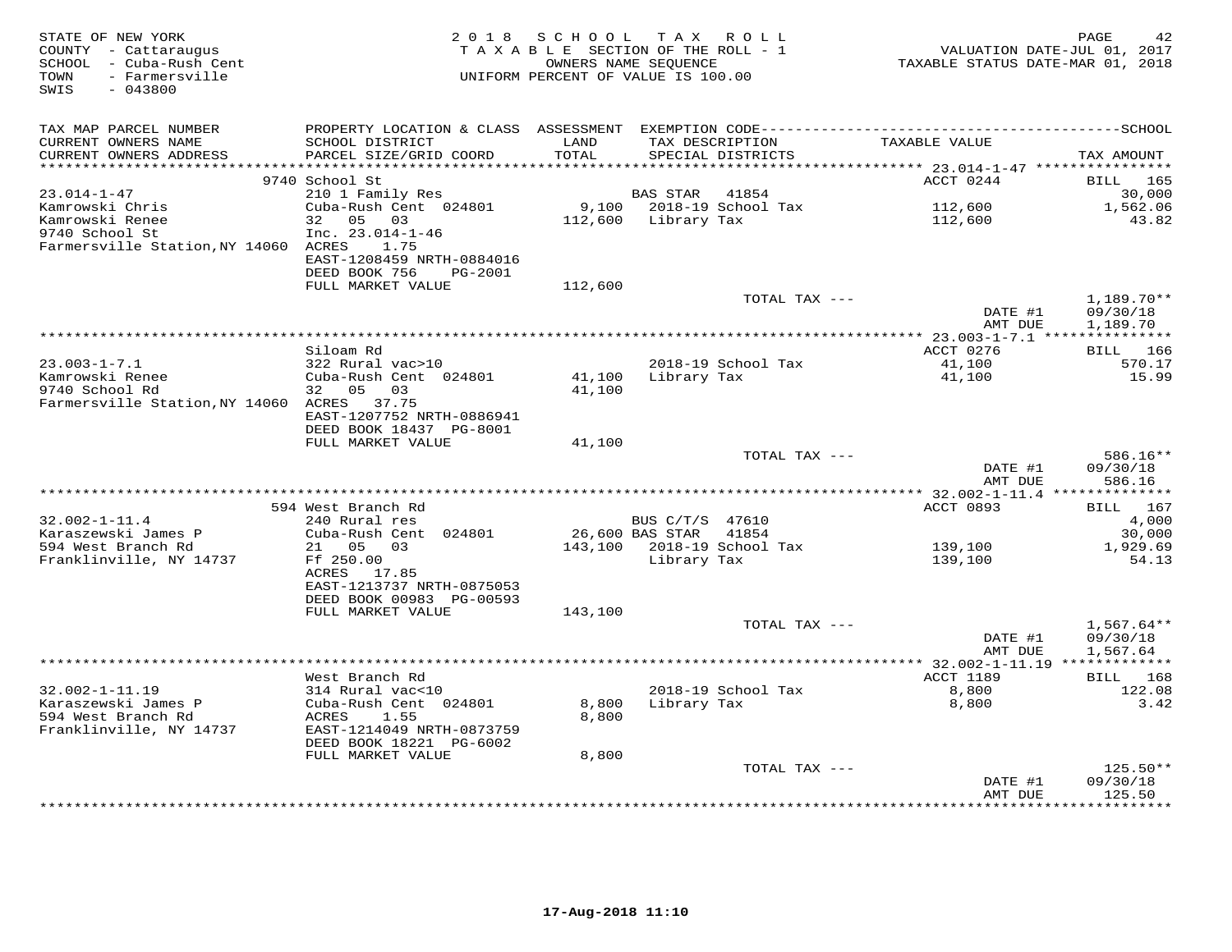| STATE OF NEW YORK<br>COUNTY - Cattaraugus<br>SCHOOL - Cuba-Rush Cent<br>TOWN - Farmersville<br>SWIS<br>$-043800$ |                                           |         | 2018 SCHOOL TAX ROLL<br>TAXABLE SECTION OF THE ROLL - 1<br>OWNERS NAME SEQUENCE<br>UNIFORM PERCENT OF VALUE IS 100.00 | VALUATION DATE-JUL 01, 2017<br>TAXABLE STATUS DATE-MAR 01, 2018 | PAGE<br>42           |
|------------------------------------------------------------------------------------------------------------------|-------------------------------------------|---------|-----------------------------------------------------------------------------------------------------------------------|-----------------------------------------------------------------|----------------------|
| TAX MAP PARCEL NUMBER                                                                                            |                                           |         |                                                                                                                       |                                                                 |                      |
| CURRENT OWNERS NAME                                                                                              | SCHOOL DISTRICT                           | LAND    | TAX DESCRIPTION                                                                                                       | TAXABLE VALUE                                                   |                      |
| CURRENT OWNERS ADDRESS                                                                                           | PARCEL SIZE/GRID COORD                    | TOTAL   | SPECIAL DISTRICTS                                                                                                     |                                                                 | TAX AMOUNT           |
|                                                                                                                  |                                           |         |                                                                                                                       | ACCT 0244                                                       |                      |
| $23.014 - 1 - 47$                                                                                                | 9740 School St<br>210 1 Family Res        |         | BAS STAR 41854                                                                                                        |                                                                 | BILL 165<br>30,000   |
| Kamrowski Chris                                                                                                  | Cuba-Rush Cent 024801                     |         | 9,100    2018-19    School Tax                                                                                        | 112,600                                                         | 1,562.06             |
| Kamrowski Renee                                                                                                  | 32 05 03                                  |         | 112,600 Library Tax                                                                                                   | 112,600                                                         | 43.82                |
| 9740 School St                                                                                                   | $Inc. 23.014-1-46$                        |         |                                                                                                                       |                                                                 |                      |
| Farmersville Station, NY 14060 ACRES                                                                             | 1.75                                      |         |                                                                                                                       |                                                                 |                      |
|                                                                                                                  | EAST-1208459 NRTH-0884016                 |         |                                                                                                                       |                                                                 |                      |
|                                                                                                                  | DEED BOOK 756<br>PG-2001                  |         |                                                                                                                       |                                                                 |                      |
|                                                                                                                  | FULL MARKET VALUE                         | 112,600 |                                                                                                                       |                                                                 |                      |
|                                                                                                                  |                                           |         | TOTAL TAX ---                                                                                                         |                                                                 | 1,189.70**           |
|                                                                                                                  |                                           |         |                                                                                                                       | DATE #1<br>AMT DUE                                              | 09/30/18<br>1,189.70 |
|                                                                                                                  |                                           |         |                                                                                                                       |                                                                 |                      |
|                                                                                                                  | Siloam Rd                                 |         |                                                                                                                       | ACCT 0276                                                       | BILL 166             |
| $23.003 - 1 - 7.1$                                                                                               | 322 Rural vac>10                          |         | 2018-19 School Tax                                                                                                    | 41,100                                                          | 570.17               |
| Kamrowski Renee                                                                                                  | Cuba-Rush Cent 024801<br>32 05 03         |         | 41,100 Library Tax                                                                                                    | 41,100                                                          | 15.99                |
| 9740 School Rd<br>Farmersville Station, NY 14060 ACRES 37.75                                                     |                                           | 41,100  |                                                                                                                       |                                                                 |                      |
|                                                                                                                  | EAST-1207752 NRTH-0886941                 |         |                                                                                                                       |                                                                 |                      |
|                                                                                                                  | DEED BOOK 18437 PG-8001                   |         |                                                                                                                       |                                                                 |                      |
|                                                                                                                  | FULL MARKET VALUE                         | 41,100  |                                                                                                                       |                                                                 |                      |
|                                                                                                                  |                                           |         | TOTAL TAX ---                                                                                                         |                                                                 | 586.16**             |
|                                                                                                                  |                                           |         |                                                                                                                       | DATE #1                                                         | 09/30/18             |
|                                                                                                                  |                                           |         |                                                                                                                       | AMT DUE                                                         | 586.16               |
|                                                                                                                  |                                           |         |                                                                                                                       |                                                                 |                      |
|                                                                                                                  | 594 West Branch Rd                        |         |                                                                                                                       | ACCT 0893                                                       | BILL 167             |
| $32.002 - 1 - 11.4$<br>Karaszewski James P                                                                       | 240 Rural res                             |         | BUS C/T/S 47610<br>41854                                                                                              |                                                                 | 4,000                |
| 594 West Branch Rd                                                                                               | Cuba-Rush Cent 024801<br>21 05 03         |         | 26,600 BAS STAR<br>143,100 2018-19 School Tax                                                                         | 139,100                                                         | 30,000<br>1,929.69   |
| Franklinville, NY 14737                                                                                          | Ff 250.00                                 |         | Library Tax                                                                                                           | 139,100                                                         | 54.13                |
|                                                                                                                  | ACRES 17.85                               |         |                                                                                                                       |                                                                 |                      |
|                                                                                                                  | EAST-1213737 NRTH-0875053                 |         |                                                                                                                       |                                                                 |                      |
|                                                                                                                  | DEED BOOK 00983 PG-00593                  |         |                                                                                                                       |                                                                 |                      |
|                                                                                                                  | FULL MARKET VALUE                         | 143,100 |                                                                                                                       |                                                                 |                      |
|                                                                                                                  |                                           |         | TOTAL TAX ---                                                                                                         |                                                                 | $1,567.64**$         |
|                                                                                                                  |                                           |         |                                                                                                                       | DATE #1                                                         | 09/30/18             |
|                                                                                                                  |                                           |         |                                                                                                                       | AMT DUE                                                         | 1,567.64             |
|                                                                                                                  |                                           |         |                                                                                                                       |                                                                 |                      |
|                                                                                                                  | West Branch Rd                            |         |                                                                                                                       | ACCT 1189                                                       | BILL 168             |
| $32.002 - 1 - 11.19$<br>Karaszewski James P                                                                      | 314 Rural vac<10<br>Cuba-Rush Cent 024801 |         | 2018-19 School Tax                                                                                                    | 8,800                                                           | 122.08<br>3.42       |
| 594 West Branch Rd                                                                                               | ACRES<br>1.55                             | 8,800   | 8,800 Library Tax                                                                                                     | 8,800                                                           |                      |
| Franklinville, NY 14737                                                                                          | EAST-1214049 NRTH-0873759                 |         |                                                                                                                       |                                                                 |                      |
|                                                                                                                  | DEED BOOK 18221 PG-6002                   |         |                                                                                                                       |                                                                 |                      |
|                                                                                                                  | FULL MARKET VALUE                         | 8,800   |                                                                                                                       |                                                                 |                      |
|                                                                                                                  |                                           |         | TOTAL TAX ---                                                                                                         |                                                                 | $125.50**$           |
|                                                                                                                  |                                           |         |                                                                                                                       | DATE #1                                                         | 09/30/18             |
|                                                                                                                  |                                           |         |                                                                                                                       | AMT DUE                                                         | 125.50               |
|                                                                                                                  |                                           |         |                                                                                                                       |                                                                 |                      |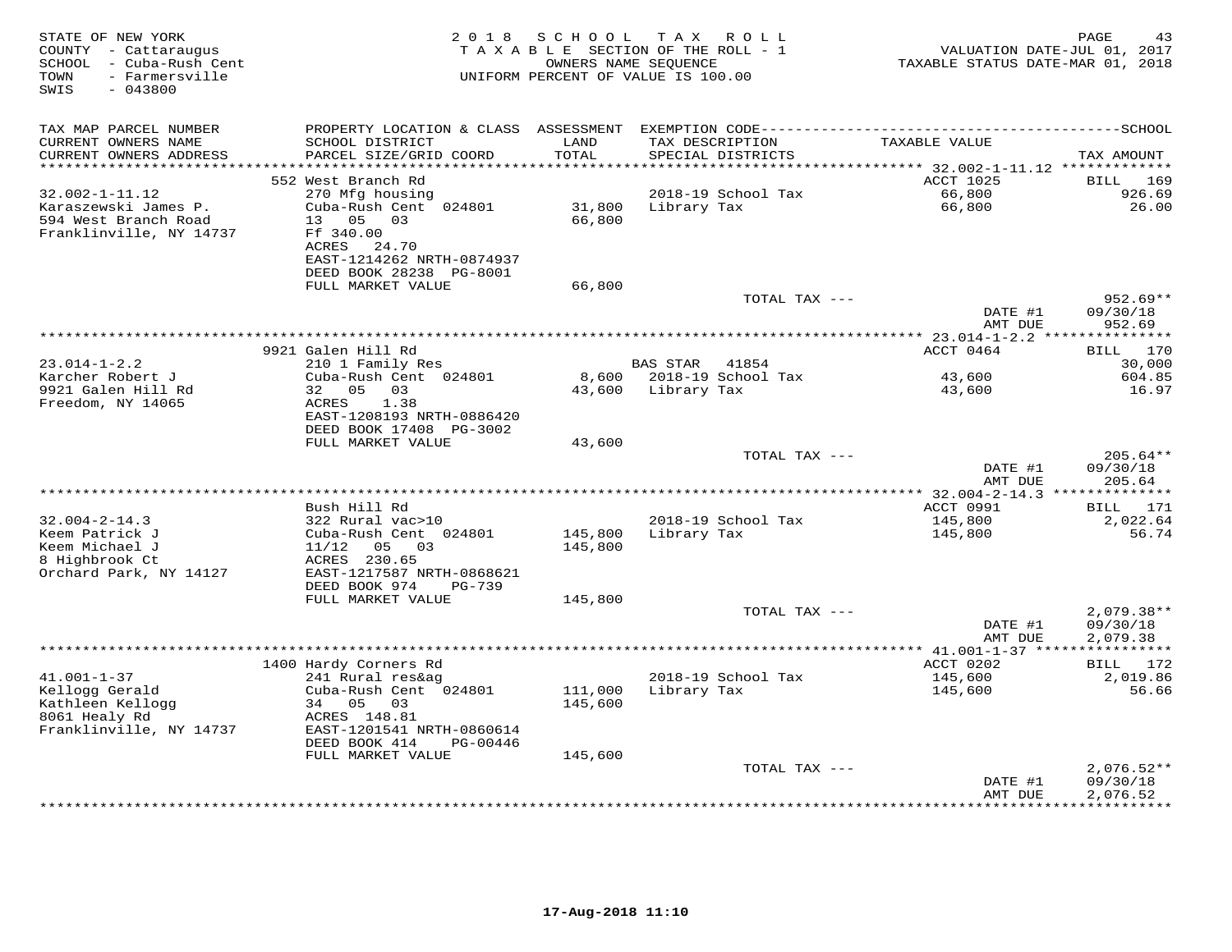| STATE OF NEW YORK<br>COUNTY - Cattaraugus<br>- Cuba-Rush Cent<br>SCHOOL<br>- Farmersville<br>TOWN<br>SWIS<br>$-043800$ | 2018                                                                                                                 | SCHOOL<br>TAXABLE SECTION OF THE ROLL - 1<br>OWNERS NAME SEOUENCE<br>UNIFORM PERCENT OF VALUE IS 100.00 | T A X           | ROLL                                 | TAXABLE STATUS DATE-MAR 01, 2018                     | PAGE<br>43<br>VALUATION DATE-JUL 01, 2017 |
|------------------------------------------------------------------------------------------------------------------------|----------------------------------------------------------------------------------------------------------------------|---------------------------------------------------------------------------------------------------------|-----------------|--------------------------------------|------------------------------------------------------|-------------------------------------------|
| TAX MAP PARCEL NUMBER                                                                                                  | PROPERTY LOCATION & CLASS                                                                                            | ASSESSMENT                                                                                              |                 |                                      |                                                      |                                           |
| CURRENT OWNERS NAME<br>CURRENT OWNERS ADDRESS<br>**********************                                                | SCHOOL DISTRICT<br>PARCEL SIZE/GRID COORD                                                                            | LAND<br>TOTAL                                                                                           |                 | TAX DESCRIPTION<br>SPECIAL DISTRICTS | TAXABLE VALUE                                        | TAX AMOUNT                                |
|                                                                                                                        | 552 West Branch Rd                                                                                                   |                                                                                                         |                 |                                      | ACCT 1025                                            | <b>BILL</b><br>169                        |
| $32.002 - 1 - 11.12$                                                                                                   | 270 Mfg housing                                                                                                      |                                                                                                         |                 | 2018-19 School Tax                   | 66,800                                               | 926.69                                    |
| Karaszewski James P.<br>594 West Branch Road<br>Franklinville, NY 14737                                                | Cuba-Rush Cent 024801<br>05<br>0.3<br>13 <sup>1</sup><br>Ff 340.00<br>ACRES<br>24.70<br>EAST-1214262 NRTH-0874937    | 31,800<br>66,800                                                                                        | Library Tax     |                                      | 66,800                                               | 26.00                                     |
|                                                                                                                        | DEED BOOK 28238 PG-8001                                                                                              |                                                                                                         |                 |                                      |                                                      |                                           |
|                                                                                                                        | FULL MARKET VALUE                                                                                                    | 66,800                                                                                                  |                 |                                      |                                                      |                                           |
|                                                                                                                        |                                                                                                                      |                                                                                                         |                 | TOTAL TAX ---                        | DATE #1<br>AMT DUE                                   | $952.69**$<br>09/30/18<br>952.69          |
|                                                                                                                        |                                                                                                                      |                                                                                                         |                 |                                      |                                                      |                                           |
|                                                                                                                        | 9921 Galen Hill Rd                                                                                                   |                                                                                                         |                 |                                      | ACCT 0464                                            | 170<br>BILL                               |
| $23.014 - 1 - 2.2$<br>Karcher Robert J                                                                                 | 210 1 Family Res<br>Cuba-Rush Cent 024801                                                                            | 8,600                                                                                                   | <b>BAS STAR</b> | 41854<br>2018-19 School Tax          | 43,600                                               | 30,000<br>604.85                          |
| 9921 Galen Hill Rd                                                                                                     | 32<br>0.5<br>03                                                                                                      | 43,600                                                                                                  | Library Tax     |                                      | 43,600                                               | 16.97                                     |
| Freedom, NY 14065                                                                                                      | ACRES<br>1.38<br>EAST-1208193 NRTH-0886420<br>DEED BOOK 17408 PG-3002                                                |                                                                                                         |                 |                                      |                                                      |                                           |
|                                                                                                                        | FULL MARKET VALUE                                                                                                    | 43,600                                                                                                  |                 |                                      |                                                      |                                           |
|                                                                                                                        |                                                                                                                      |                                                                                                         |                 | TOTAL TAX ---                        | DATE #1                                              | $205.64**$<br>09/30/18                    |
|                                                                                                                        |                                                                                                                      |                                                                                                         |                 |                                      | AMT DUE<br>************ 32.004-2-14.3 ************** | 205.64                                    |
|                                                                                                                        | Bush Hill Rd                                                                                                         |                                                                                                         |                 |                                      | ACCT 0991                                            | <b>BILL</b><br>171                        |
| $32.004 - 2 - 14.3$                                                                                                    | 322 Rural vac>10                                                                                                     |                                                                                                         |                 | 2018-19 School Tax                   | 145,800                                              | 2,022.64                                  |
| Keem Patrick J<br>Keem Michael J<br>8 Highbrook Ct<br>Orchard Park, NY 14127                                           | Cuba-Rush Cent 024801<br>11/12<br>05<br>03<br>ACRES 230.65<br>EAST-1217587 NRTH-0868621<br>DEED BOOK 974<br>$PG-739$ | 145,800<br>145,800                                                                                      | Library Tax     |                                      | 145,800                                              | 56.74                                     |
|                                                                                                                        | FULL MARKET VALUE                                                                                                    | 145,800                                                                                                 |                 |                                      |                                                      |                                           |
|                                                                                                                        |                                                                                                                      |                                                                                                         |                 | TOTAL TAX ---                        | DATE #1<br>AMT DUE                                   | $2,079.38**$<br>09/30/18<br>2,079.38      |
|                                                                                                                        |                                                                                                                      |                                                                                                         |                 |                                      |                                                      | ***********                               |
|                                                                                                                        | 1400 Hardy Corners Rd                                                                                                |                                                                                                         |                 |                                      | ACCT 0202                                            | BILL 172                                  |
| $41.001 - 1 - 37$<br>Kellogg Gerald                                                                                    | 241 Rural res&ag<br>Cuba-Rush Cent 024801                                                                            | 111,000                                                                                                 | Library Tax     | 2018-19 School Tax                   | 145,600<br>145,600                                   | 2,019.86<br>56.66                         |
| Kathleen Kellogg                                                                                                       | 34<br>05<br>03                                                                                                       | 145,600                                                                                                 |                 |                                      |                                                      |                                           |
| 8061 Healy Rd                                                                                                          | ACRES 148.81                                                                                                         |                                                                                                         |                 |                                      |                                                      |                                           |
| Franklinville, NY 14737                                                                                                | EAST-1201541 NRTH-0860614<br>DEED BOOK 414<br>PG-00446                                                               |                                                                                                         |                 |                                      |                                                      |                                           |
|                                                                                                                        | FULL MARKET VALUE                                                                                                    | 145,600                                                                                                 |                 |                                      |                                                      |                                           |
|                                                                                                                        |                                                                                                                      |                                                                                                         |                 | TOTAL TAX ---                        |                                                      | $2,076.52**$                              |
|                                                                                                                        |                                                                                                                      |                                                                                                         |                 |                                      | DATE #1<br>AMT DUE                                   | 09/30/18<br>2,076.52                      |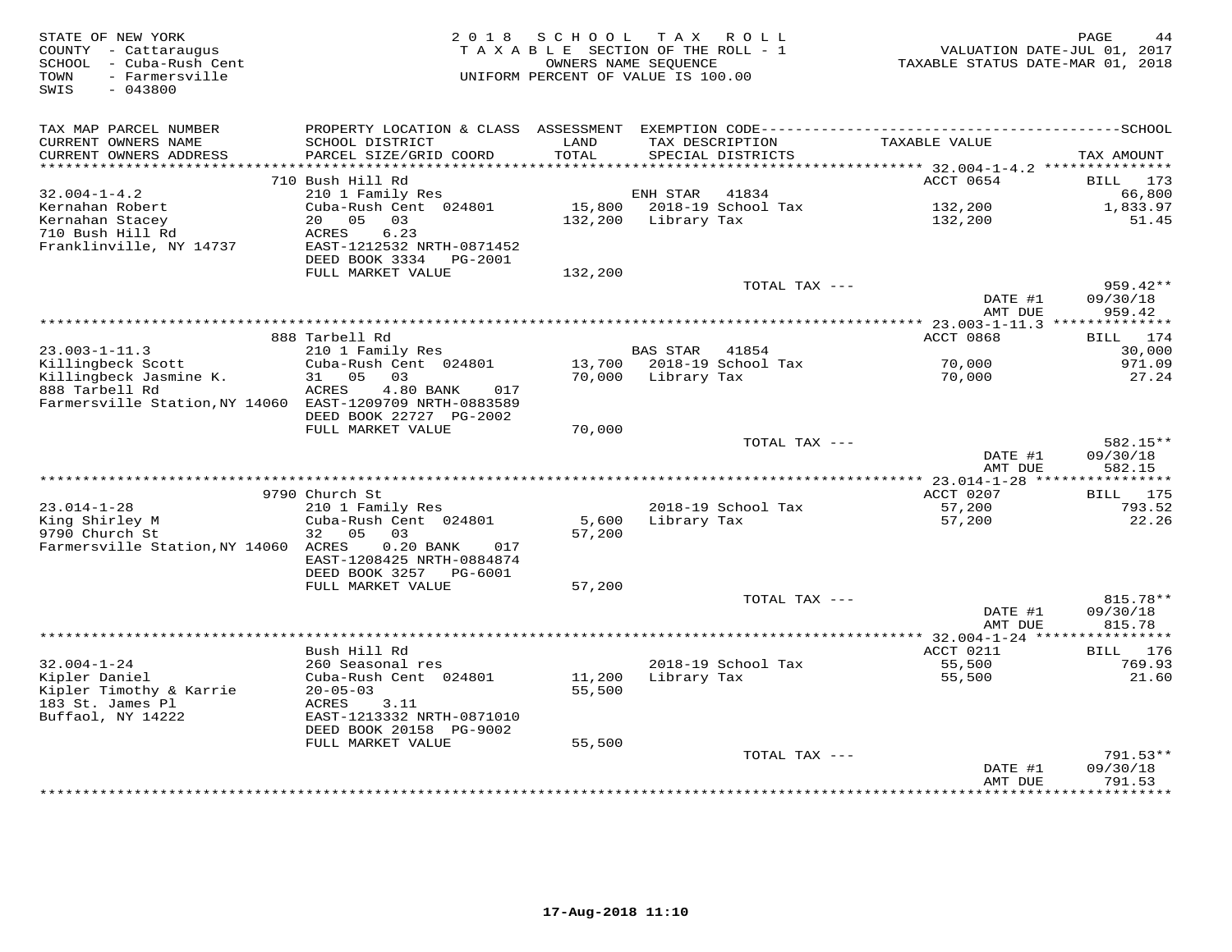| STATE OF NEW YORK<br>COUNTY - Cattaraugus<br>SCHOOL - Cuba-Rush Cent<br>- Farmersville<br>TOWN<br>SWIS<br>$-043800$ | 2 0 1 8                                             | SCHOOL<br>TAXABLE SECTION OF THE ROLL - 1<br>OWNERS NAME SEQUENCE<br>UNIFORM PERCENT OF VALUE IS 100.00 | T A X           | R O L L            | VALUATION DATE-JUL 01, 2017<br>TAXABLE STATUS DATE-MAR 01, 2018 | PAGE<br>44            |
|---------------------------------------------------------------------------------------------------------------------|-----------------------------------------------------|---------------------------------------------------------------------------------------------------------|-----------------|--------------------|-----------------------------------------------------------------|-----------------------|
| TAX MAP PARCEL NUMBER                                                                                               |                                                     |                                                                                                         |                 |                    |                                                                 |                       |
| CURRENT OWNERS NAME<br>CURRENT OWNERS ADDRESS<br>***********************                                            | SCHOOL DISTRICT<br>PARCEL SIZE/GRID COORD           | LAND<br>TOTAL                                                                                           | TAX DESCRIPTION | SPECIAL DISTRICTS  | TAXABLE VALUE                                                   | TAX AMOUNT            |
|                                                                                                                     | 710 Bush Hill Rd                                    |                                                                                                         |                 |                    | ACCT 0654                                                       | <b>BILL</b><br>173    |
| $32.004 - 1 - 4.2$                                                                                                  | 210 1 Family Res                                    |                                                                                                         | ENH STAR        | 41834              |                                                                 | 66,800                |
| Kernahan Robert                                                                                                     | Cuba-Rush Cent 024801                               | 15,800                                                                                                  |                 | 2018-19 School Tax | 132,200                                                         | 1,833.97              |
| Kernahan Stacey                                                                                                     | 0.5<br>20<br>03                                     | 132,200                                                                                                 | Library Tax     |                    | 132,200                                                         | 51.45                 |
| 710 Bush Hill Rd                                                                                                    | ACRES<br>6.23                                       |                                                                                                         |                 |                    |                                                                 |                       |
| Franklinville, NY 14737                                                                                             | EAST-1212532 NRTH-0871452<br>DEED BOOK 3334 PG-2001 |                                                                                                         |                 |                    |                                                                 |                       |
|                                                                                                                     | FULL MARKET VALUE                                   | 132,200                                                                                                 |                 |                    |                                                                 | $959.42**$            |
|                                                                                                                     |                                                     |                                                                                                         |                 | TOTAL TAX ---      | DATE #1                                                         | 09/30/18              |
|                                                                                                                     | *************                                       | ***********************************                                                                     |                 |                    | AMT DUE<br>** 23.003-1-11.3 ***                                 | 959.42<br>*********** |
|                                                                                                                     | 888 Tarbell Rd                                      |                                                                                                         |                 |                    | ACCT 0868                                                       | 174<br>BILL           |
| $23.003 - 1 - 11.3$                                                                                                 | 210 1 Family Res                                    |                                                                                                         | <b>BAS STAR</b> | 41854              |                                                                 | 30,000                |
| Killingbeck Scott                                                                                                   | Cuba-Rush Cent 024801                               | 13,700                                                                                                  |                 | 2018-19 School Tax | 70,000                                                          | 971.09                |
| Killingbeck Jasmine K.                                                                                              | 31 05<br>03                                         | 70,000                                                                                                  | Library Tax     |                    | 70,000                                                          | 27.24                 |
| 888 Tarbell Rd<br>Farmersville Station, NY 14060 EAST-1209709 NRTH-0883589                                          | 4.80 BANK<br>ACRES<br>017                           |                                                                                                         |                 |                    |                                                                 |                       |
|                                                                                                                     | DEED BOOK 22727 PG-2002<br>FULL MARKET VALUE        | 70,000                                                                                                  |                 |                    |                                                                 |                       |
|                                                                                                                     |                                                     |                                                                                                         |                 | TOTAL TAX ---      |                                                                 | 582.15**              |
|                                                                                                                     |                                                     |                                                                                                         |                 |                    | DATE #1                                                         | 09/30/18              |
|                                                                                                                     |                                                     |                                                                                                         |                 |                    | AMT DUE                                                         | 582.15                |
|                                                                                                                     |                                                     |                                                                                                         |                 |                    |                                                                 |                       |
|                                                                                                                     | 9790 Church St                                      |                                                                                                         |                 |                    | ACCT 0207                                                       | BILL<br>175           |
| $23.014 - 1 - 28$<br>King Shirley M                                                                                 | 210 1 Family Res<br>Cuba-Rush Cent 024801           | 5,600                                                                                                   | Library Tax     | 2018-19 School Tax | 57,200<br>57,200                                                | 793.52<br>22.26       |
| 9790 Church St                                                                                                      | 05<br>32<br>03                                      | 57,200                                                                                                  |                 |                    |                                                                 |                       |
| Farmersville Station, NY 14060 ACRES                                                                                | 0.20 BANK<br>017                                    |                                                                                                         |                 |                    |                                                                 |                       |
|                                                                                                                     | EAST-1208425 NRTH-0884874                           |                                                                                                         |                 |                    |                                                                 |                       |
|                                                                                                                     | DEED BOOK 3257<br>PG-6001                           |                                                                                                         |                 |                    |                                                                 |                       |
|                                                                                                                     | FULL MARKET VALUE                                   | 57,200                                                                                                  |                 |                    |                                                                 |                       |
|                                                                                                                     |                                                     |                                                                                                         |                 | TOTAL TAX ---      | DATE #1                                                         | 815.78**<br>09/30/18  |
|                                                                                                                     |                                                     |                                                                                                         |                 |                    | AMT DUE                                                         | 815.78                |
|                                                                                                                     | ***************************                         |                                                                                                         |                 |                    | *********** 32.004-1-24 ****                                    | * * * * * * * * * *   |
|                                                                                                                     | Bush Hill Rd                                        |                                                                                                         |                 |                    | ACCT 0211                                                       | 176<br>BILL           |
| $32.004 - 1 - 24$                                                                                                   | 260 Seasonal res                                    |                                                                                                         |                 | 2018-19 School Tax | 55,500                                                          | 769.93                |
| Kipler Daniel                                                                                                       | Cuba-Rush Cent 024801                               | 11,200                                                                                                  | Library Tax     |                    | 55,500                                                          | 21.60                 |
| Kipler Timothy & Karrie<br>183 St. James Pl                                                                         | $20 - 05 - 03$<br>ACRES<br>3.11                     | 55,500                                                                                                  |                 |                    |                                                                 |                       |
| Buffaol, NY 14222                                                                                                   | EAST-1213332 NRTH-0871010                           |                                                                                                         |                 |                    |                                                                 |                       |
|                                                                                                                     | DEED BOOK 20158 PG-9002                             |                                                                                                         |                 |                    |                                                                 |                       |
|                                                                                                                     | FULL MARKET VALUE                                   | 55,500                                                                                                  |                 |                    |                                                                 |                       |
|                                                                                                                     |                                                     |                                                                                                         |                 | TOTAL TAX ---      |                                                                 | $791.53**$            |
|                                                                                                                     |                                                     |                                                                                                         |                 |                    | DATE #1<br>AMT DUE                                              | 09/30/18<br>791.53    |
|                                                                                                                     |                                                     |                                                                                                         |                 |                    |                                                                 | * * * * * * * * *     |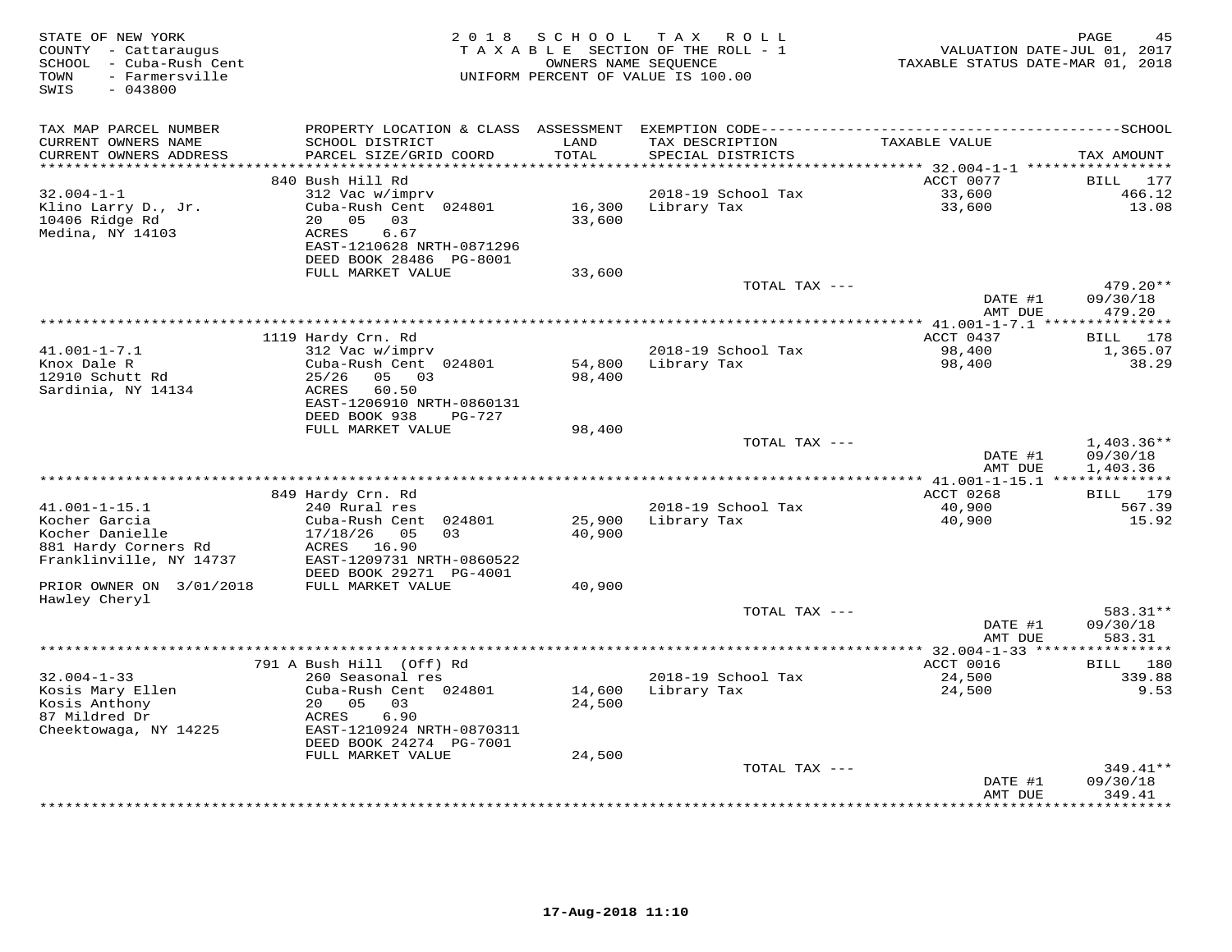| STATE OF NEW YORK<br>COUNTY - Cattaraugus<br>- Cuba-Rush Cent<br>SCHOOL<br>- Farmersville<br>TOWN<br>$-043800$<br>SWIS | 2 0 1 8                                      | SCHOOL           | T A X<br>R O L L<br>TAXABLE SECTION OF THE ROLL - 1<br>OWNERS NAME SEQUENCE<br>UNIFORM PERCENT OF VALUE IS 100.00 | VALUATION DATE-JUL 01, 2017<br>TAXABLE STATUS DATE-MAR 01, 2018 | PAGE<br>45               |
|------------------------------------------------------------------------------------------------------------------------|----------------------------------------------|------------------|-------------------------------------------------------------------------------------------------------------------|-----------------------------------------------------------------|--------------------------|
| TAX MAP PARCEL NUMBER                                                                                                  | PROPERTY LOCATION & CLASS                    | ASSESSMENT       |                                                                                                                   |                                                                 |                          |
| CURRENT OWNERS NAME<br>CURRENT OWNERS ADDRESS                                                                          | SCHOOL DISTRICT<br>PARCEL SIZE/GRID COORD    | LAND<br>TOTAL    | TAX DESCRIPTION<br>SPECIAL DISTRICTS                                                                              | TAXABLE VALUE                                                   | TAX AMOUNT               |
| ***********************                                                                                                |                                              |                  |                                                                                                                   |                                                                 |                          |
| $32.004 - 1 - 1$                                                                                                       | 840 Bush Hill Rd<br>312 Vac w/imprv          |                  | 2018-19 School Tax                                                                                                | ACCT 0077<br>33,600                                             | BILL<br>177<br>466.12    |
| Klino Larry D., Jr.                                                                                                    | Cuba-Rush Cent 024801                        | 16,300           | Library Tax                                                                                                       | 33,600                                                          | 13.08                    |
| 10406 Ridge Rd                                                                                                         | 05<br>03<br>20                               | 33,600           |                                                                                                                   |                                                                 |                          |
| Medina, NY 14103                                                                                                       | ACRES<br>6.67                                |                  |                                                                                                                   |                                                                 |                          |
|                                                                                                                        | EAST-1210628 NRTH-0871296                    |                  |                                                                                                                   |                                                                 |                          |
|                                                                                                                        | DEED BOOK 28486 PG-8001                      |                  |                                                                                                                   |                                                                 |                          |
|                                                                                                                        | FULL MARKET VALUE                            | 33,600           |                                                                                                                   |                                                                 |                          |
|                                                                                                                        |                                              |                  | TOTAL TAX ---                                                                                                     |                                                                 | $479.20**$               |
|                                                                                                                        |                                              |                  |                                                                                                                   | DATE #1                                                         | 09/30/18                 |
|                                                                                                                        |                                              |                  |                                                                                                                   | AMT DUE                                                         | 479.20                   |
|                                                                                                                        | 1119 Hardy Crn. Rd                           |                  |                                                                                                                   | ACCT 0437                                                       | 178<br>BILL              |
| $41.001 - 1 - 7.1$                                                                                                     | 312 Vac w/imprv                              |                  | 2018-19 School Tax                                                                                                | 98,400                                                          | 1,365.07                 |
| Knox Dale R                                                                                                            | Cuba-Rush Cent 024801                        | 54,800           | Library Tax                                                                                                       | 98,400                                                          | 38.29                    |
| 12910 Schutt Rd                                                                                                        | 25/26<br>05 03                               | 98,400           |                                                                                                                   |                                                                 |                          |
| Sardinia, NY 14134                                                                                                     | ACRES<br>60.50                               |                  |                                                                                                                   |                                                                 |                          |
|                                                                                                                        | EAST-1206910 NRTH-0860131                    |                  |                                                                                                                   |                                                                 |                          |
|                                                                                                                        | DEED BOOK 938<br>PG-727                      |                  |                                                                                                                   |                                                                 |                          |
|                                                                                                                        | FULL MARKET VALUE                            | 98,400           |                                                                                                                   |                                                                 |                          |
|                                                                                                                        |                                              |                  | TOTAL TAX ---                                                                                                     | DATE #1                                                         | $1,403.36**$<br>09/30/18 |
|                                                                                                                        |                                              |                  |                                                                                                                   | AMT DUE                                                         | 1,403.36                 |
|                                                                                                                        |                                              |                  |                                                                                                                   |                                                                 |                          |
|                                                                                                                        | 849 Hardy Crn. Rd                            |                  |                                                                                                                   | ACCT 0268                                                       | 179<br>BILL              |
| $41.001 - 1 - 15.1$                                                                                                    | 240 Rural res                                |                  | 2018-19 School Tax                                                                                                | 40,900                                                          | 567.39                   |
| Kocher Garcia                                                                                                          | Cuba-Rush Cent<br>024801                     | 25,900           | Library Tax                                                                                                       | 40,900                                                          | 15.92                    |
| Kocher Danielle                                                                                                        | 17/18/26<br>05<br>0.3                        | 40,900           |                                                                                                                   |                                                                 |                          |
| 881 Hardy Corners Rd                                                                                                   | ACRES 16.90                                  |                  |                                                                                                                   |                                                                 |                          |
| Franklinville, NY 14737                                                                                                | EAST-1209731 NRTH-0860522                    |                  |                                                                                                                   |                                                                 |                          |
| PRIOR OWNER ON 3/01/2018                                                                                               | DEED BOOK 29271 PG-4001<br>FULL MARKET VALUE | 40,900           |                                                                                                                   |                                                                 |                          |
| Hawley Cheryl                                                                                                          |                                              |                  |                                                                                                                   |                                                                 |                          |
|                                                                                                                        |                                              |                  | TOTAL TAX $---$                                                                                                   |                                                                 | 583.31**                 |
|                                                                                                                        |                                              |                  |                                                                                                                   | DATE #1                                                         | 09/30/18                 |
|                                                                                                                        |                                              |                  |                                                                                                                   | AMT DUE                                                         | 583.31                   |
|                                                                                                                        |                                              |                  |                                                                                                                   |                                                                 | ***********              |
|                                                                                                                        | 791 A Bush Hill (Off) Rd                     |                  |                                                                                                                   | ACCT 0016                                                       | 180<br>BILL              |
| $32.004 - 1 - 33$                                                                                                      | 260 Seasonal res                             |                  | 2018-19 School Tax                                                                                                | 24,500                                                          | 339.88                   |
| Kosis Mary Ellen<br>Kosis Anthony                                                                                      | Cuba-Rush Cent 024801<br>20<br>05<br>03      | 14,600<br>24,500 | Library Tax                                                                                                       | 24,500                                                          | 9.53                     |
| 87 Mildred Dr                                                                                                          | 6.90<br>ACRES                                |                  |                                                                                                                   |                                                                 |                          |
| Cheektowaga, NY 14225                                                                                                  | EAST-1210924 NRTH-0870311                    |                  |                                                                                                                   |                                                                 |                          |
|                                                                                                                        | DEED BOOK 24274 PG-7001                      |                  |                                                                                                                   |                                                                 |                          |
|                                                                                                                        | FULL MARKET VALUE                            | 24,500           |                                                                                                                   |                                                                 |                          |
|                                                                                                                        |                                              |                  | TOTAL TAX ---                                                                                                     |                                                                 | 349.41**                 |
|                                                                                                                        |                                              |                  |                                                                                                                   | DATE #1                                                         | 09/30/18                 |
|                                                                                                                        |                                              |                  |                                                                                                                   | AMT DUE                                                         | 349.41<br>*********      |
|                                                                                                                        |                                              |                  |                                                                                                                   |                                                                 |                          |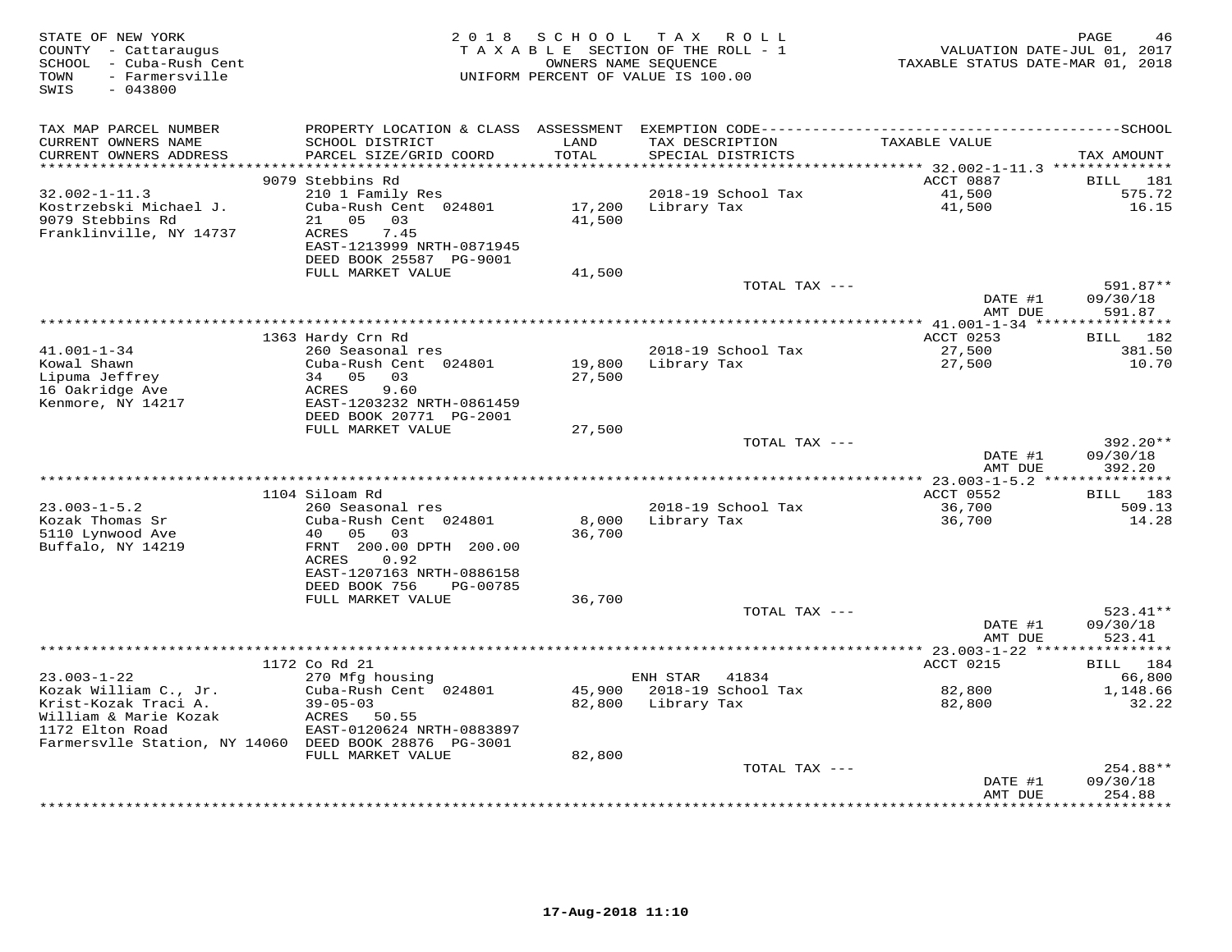| STATE OF NEW YORK<br>COUNTY - Cattaraugus<br>SCHOOL - Cuba-Rush Cent<br>- Farmersville<br>TOWN<br>$-043800$<br>SWIS | 2 0 1 8                                      | S C H O O L                              | T A X<br>R O L L<br>TAXABLE SECTION OF THE ROLL - 1<br>OWNERS NAME SEQUENCE<br>UNIFORM PERCENT OF VALUE IS 100.00 | VALUATION DATE-JUL 01, 2017<br>TAXABLE STATUS DATE-MAR 01, 2018 | PAGE<br>46           |
|---------------------------------------------------------------------------------------------------------------------|----------------------------------------------|------------------------------------------|-------------------------------------------------------------------------------------------------------------------|-----------------------------------------------------------------|----------------------|
| TAX MAP PARCEL NUMBER                                                                                               | PROPERTY LOCATION & CLASS ASSESSMENT         |                                          |                                                                                                                   |                                                                 |                      |
| CURRENT OWNERS NAME<br>CURRENT OWNERS ADDRESS<br>**********************                                             | SCHOOL DISTRICT<br>PARCEL SIZE/GRID COORD    | LAND<br>TOTAL<br>* * * * * * * * * * * * | TAX DESCRIPTION<br>SPECIAL DISTRICTS<br>********************************* 32.002-1-11.3 **************            | TAXABLE VALUE                                                   | TAX AMOUNT           |
|                                                                                                                     | 9079 Stebbins Rd                             |                                          |                                                                                                                   | ACCT 0887                                                       | BILL<br>181          |
| $32.002 - 1 - 11.3$                                                                                                 | 210 1 Family Res                             |                                          | 2018-19 School Tax                                                                                                | 41,500                                                          | 575.72               |
| Kostrzebski Michael J.<br>9079 Stebbins Rd                                                                          | Cuba-Rush Cent 024801<br>21<br>05<br>03      | 17,200<br>41,500                         | Library Tax                                                                                                       | 41,500                                                          | 16.15                |
| Franklinville, NY 14737                                                                                             | 7.45<br>ACRES<br>EAST-1213999 NRTH-0871945   |                                          |                                                                                                                   |                                                                 |                      |
|                                                                                                                     | DEED BOOK 25587 PG-9001<br>FULL MARKET VALUE | 41,500                                   |                                                                                                                   |                                                                 |                      |
|                                                                                                                     |                                              |                                          | TOTAL TAX ---                                                                                                     |                                                                 | 591.87**             |
|                                                                                                                     |                                              |                                          |                                                                                                                   | DATE #1<br>AMT DUE                                              | 09/30/18<br>591.87   |
|                                                                                                                     |                                              |                                          | ************************                                                                                          | **** 41.001-1-34 ****************                               |                      |
|                                                                                                                     | 1363 Hardy Crn Rd                            |                                          |                                                                                                                   | ACCT 0253                                                       | BILL 182             |
| $41.001 - 1 - 34$<br>Kowal Shawn                                                                                    | 260 Seasonal res<br>Cuba-Rush Cent 024801    |                                          | 2018-19 School Tax                                                                                                | 27,500                                                          | 381.50<br>10.70      |
| Lipuma Jeffrey                                                                                                      | 34 05<br>03                                  | 19,800<br>27,500                         | Library Tax                                                                                                       | 27,500                                                          |                      |
| 16 Oakridge Ave                                                                                                     | 9.60<br>ACRES                                |                                          |                                                                                                                   |                                                                 |                      |
| Kenmore, NY 14217                                                                                                   | EAST-1203232 NRTH-0861459                    |                                          |                                                                                                                   |                                                                 |                      |
|                                                                                                                     | DEED BOOK 20771 PG-2001                      |                                          |                                                                                                                   |                                                                 |                      |
|                                                                                                                     | FULL MARKET VALUE                            | 27,500                                   | TOTAL TAX ---                                                                                                     |                                                                 | 392.20**             |
|                                                                                                                     |                                              |                                          |                                                                                                                   | DATE #1                                                         | 09/30/18             |
|                                                                                                                     |                                              |                                          |                                                                                                                   | AMT DUE                                                         | 392.20               |
|                                                                                                                     |                                              |                                          |                                                                                                                   |                                                                 |                      |
|                                                                                                                     | 1104 Siloam Rd                               |                                          |                                                                                                                   | ACCT 0552                                                       | 183<br><b>BILL</b>   |
| $23.003 - 1 - 5.2$                                                                                                  | 260 Seasonal res                             |                                          | 2018-19 School Tax                                                                                                | 36,700                                                          | 509.13<br>14.28      |
| Kozak Thomas Sr<br>5110 Lynwood Ave                                                                                 | Cuba-Rush Cent 024801<br>0.5<br>0.3<br>40    | 8,000<br>36,700                          | Library Tax                                                                                                       | 36,700                                                          |                      |
| Buffalo, NY 14219                                                                                                   | FRNT 200.00 DPTH 200.00                      |                                          |                                                                                                                   |                                                                 |                      |
|                                                                                                                     | ACRES<br>0.92                                |                                          |                                                                                                                   |                                                                 |                      |
|                                                                                                                     | EAST-1207163 NRTH-0886158                    |                                          |                                                                                                                   |                                                                 |                      |
|                                                                                                                     | DEED BOOK 756<br>PG-00785                    |                                          |                                                                                                                   |                                                                 |                      |
|                                                                                                                     | FULL MARKET VALUE                            | 36,700                                   | TOTAL TAX ---                                                                                                     |                                                                 | $523.41**$           |
|                                                                                                                     |                                              |                                          |                                                                                                                   | DATE #1                                                         | 09/30/18             |
|                                                                                                                     |                                              |                                          |                                                                                                                   | AMT DUE                                                         | 523.41               |
|                                                                                                                     |                                              |                                          |                                                                                                                   |                                                                 | ***********          |
|                                                                                                                     | 1172 Co Rd 21                                |                                          |                                                                                                                   | ACCT 0215                                                       | 184<br>BILL          |
| $23.003 - 1 - 22$                                                                                                   | 270 Mfg housing                              | 45,900                                   | ENH STAR<br>41834<br>2018-19 School Tax                                                                           |                                                                 | 66,800<br>1,148.66   |
| Kozak William C., Jr.<br>Krist-Kozak Traci A.                                                                       | Cuba-Rush Cent 024801<br>$39 - 05 - 03$      | 82,800                                   | Library Tax                                                                                                       | 82,800<br>82,800                                                | 32.22                |
| William & Marie Kozak                                                                                               | ACRES<br>50.55                               |                                          |                                                                                                                   |                                                                 |                      |
| 1172 Elton Road                                                                                                     | EAST-0120624 NRTH-0883897                    |                                          |                                                                                                                   |                                                                 |                      |
| Farmersvlle Station, NY 14060 DEED BOOK 28876 PG-3001                                                               |                                              |                                          |                                                                                                                   |                                                                 |                      |
|                                                                                                                     | FULL MARKET VALUE                            | 82,800                                   |                                                                                                                   |                                                                 |                      |
|                                                                                                                     |                                              |                                          | TOTAL TAX ---                                                                                                     | DATE #1                                                         | 254.88**<br>09/30/18 |
|                                                                                                                     |                                              |                                          |                                                                                                                   | AMT DUE                                                         | 254.88               |
|                                                                                                                     |                                              |                                          |                                                                                                                   |                                                                 | *********            |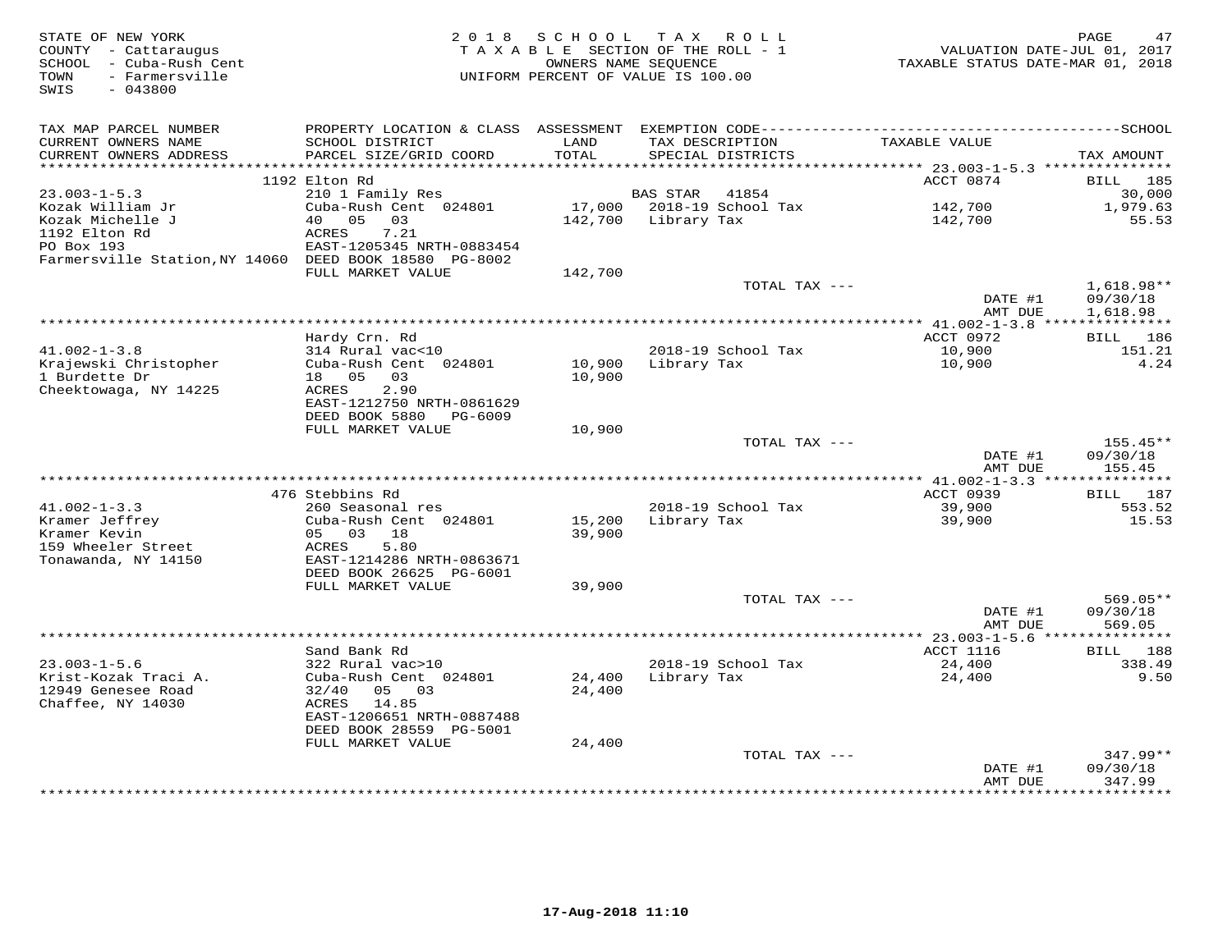| STATE OF NEW YORK<br>COUNTY - Cattaraugus<br>SCHOOL<br>- Cuba-Rush Cent<br>- Farmersville<br>TOWN | 2 0 1 8                                      | SCHOOL<br>OWNERS NAME SEOUENCE | T A X<br>R O L L<br>TAXABLE SECTION OF THE ROLL - 1<br>UNIFORM PERCENT OF VALUE IS 100.00 |               | TAXABLE STATUS DATE-MAR 01, 2018 | PAGE<br>47<br>VALUATION DATE-JUL 01, 2017 |
|---------------------------------------------------------------------------------------------------|----------------------------------------------|--------------------------------|-------------------------------------------------------------------------------------------|---------------|----------------------------------|-------------------------------------------|
| SWIS<br>$-043800$                                                                                 |                                              |                                |                                                                                           |               |                                  |                                           |
| TAX MAP PARCEL NUMBER                                                                             |                                              |                                |                                                                                           |               |                                  |                                           |
| CURRENT OWNERS NAME<br>CURRENT OWNERS ADDRESS                                                     | SCHOOL DISTRICT<br>PARCEL SIZE/GRID COORD    | LAND<br>TOTAL                  | TAX DESCRIPTION<br>SPECIAL DISTRICTS                                                      |               | TAXABLE VALUE                    | TAX AMOUNT                                |
| **********************                                                                            | ************************<br>1192 Elton Rd    |                                |                                                                                           |               | ACCT 0874                        | <b>BILL</b><br>185                        |
| $23.003 - 1 - 5.3$                                                                                | 210 1 Family Res                             |                                | <b>BAS STAR</b><br>41854                                                                  |               |                                  | 30,000                                    |
| Kozak William Jr                                                                                  | Cuba-Rush Cent 024801                        | 17,000                         | 2018-19 School Tax                                                                        |               | 142,700                          | 1,979.63                                  |
| Kozak Michelle J                                                                                  | 05<br>40<br>03                               | 142,700                        | Library Tax                                                                               |               | 142,700                          | 55.53                                     |
| 1192 Elton Rd                                                                                     | ACRES<br>7.21                                |                                |                                                                                           |               |                                  |                                           |
| PO Box 193                                                                                        | EAST-1205345 NRTH-0883454                    |                                |                                                                                           |               |                                  |                                           |
| Farmersville Station, NY 14060 DEED BOOK 18580 PG-8002                                            |                                              |                                |                                                                                           |               |                                  |                                           |
|                                                                                                   | FULL MARKET VALUE                            | 142,700                        |                                                                                           |               |                                  |                                           |
|                                                                                                   |                                              |                                |                                                                                           | TOTAL TAX --- | DATE #1                          | $1,618.98**$<br>09/30/18                  |
|                                                                                                   |                                              |                                |                                                                                           |               | AMT DUE                          | 1,618.98                                  |
|                                                                                                   |                                              |                                |                                                                                           |               | $*$ 41.002-1-3.8                 |                                           |
|                                                                                                   | Hardy Crn. Rd                                |                                |                                                                                           |               | ACCT 0972                        | BILL<br>186                               |
| $41.002 - 1 - 3.8$                                                                                | 314 Rural vac<10                             |                                | 2018-19 School Tax                                                                        |               | 10,900                           | 151.21                                    |
| Krajewski Christopher                                                                             | Cuba-Rush Cent 024801                        | 10,900                         | Library Tax                                                                               |               | 10,900                           | 4.24                                      |
| 1 Burdette Dr                                                                                     | 05<br>03<br>18                               | 10,900                         |                                                                                           |               |                                  |                                           |
| Cheektowaga, NY 14225                                                                             | 2.90<br>ACRES<br>EAST-1212750 NRTH-0861629   |                                |                                                                                           |               |                                  |                                           |
|                                                                                                   | DEED BOOK 5880<br>PG-6009                    |                                |                                                                                           |               |                                  |                                           |
|                                                                                                   | FULL MARKET VALUE                            | 10,900                         |                                                                                           |               |                                  |                                           |
|                                                                                                   |                                              |                                |                                                                                           | TOTAL TAX --- |                                  | 155.45**                                  |
|                                                                                                   |                                              |                                |                                                                                           |               | DATE #1                          | 09/30/18                                  |
|                                                                                                   |                                              |                                |                                                                                           |               | AMT DUE                          | 155.45                                    |
|                                                                                                   |                                              |                                |                                                                                           |               |                                  |                                           |
|                                                                                                   | 476 Stebbins Rd                              |                                |                                                                                           |               | ACCT 0939                        | BILL<br>187                               |
| $41.002 - 1 - 3.3$<br>Kramer Jeffrey                                                              | 260 Seasonal res<br>Cuba-Rush Cent 024801    | 15,200                         | 2018-19 School Tax<br>Library Tax                                                         |               | 39,900<br>39,900                 | 553.52<br>15.53                           |
| Kramer Kevin                                                                                      | 05<br>03<br>18                               | 39,900                         |                                                                                           |               |                                  |                                           |
| 159 Wheeler Street                                                                                | 5.80<br>ACRES                                |                                |                                                                                           |               |                                  |                                           |
| Tonawanda, NY 14150                                                                               | EAST-1214286 NRTH-0863671                    |                                |                                                                                           |               |                                  |                                           |
|                                                                                                   | DEED BOOK 26625 PG-6001                      |                                |                                                                                           |               |                                  |                                           |
|                                                                                                   | FULL MARKET VALUE                            | 39,900                         |                                                                                           |               |                                  |                                           |
|                                                                                                   |                                              |                                |                                                                                           | TOTAL TAX --- |                                  | $569.05**$                                |
|                                                                                                   |                                              |                                |                                                                                           |               | DATE #1<br>AMT DUE               | 09/30/18<br>569.05                        |
|                                                                                                   |                                              |                                |                                                                                           |               | ********* 23.003-1-5.6 ****      | ********                                  |
|                                                                                                   | Sand Bank Rd                                 |                                |                                                                                           |               | ACCT 1116                        | BILL<br>188                               |
| $23.003 - 1 - 5.6$                                                                                | 322 Rural vac>10                             |                                | 2018-19 School Tax                                                                        |               | 24,400                           | 338.49                                    |
| Krist-Kozak Traci A.                                                                              | Cuba-Rush Cent 024801                        | 24,400                         | Library Tax                                                                               |               | 24,400                           | 9.50                                      |
| 12949 Genesee Road                                                                                | 32/40<br>05<br>03                            | 24,400                         |                                                                                           |               |                                  |                                           |
| Chaffee, NY 14030                                                                                 | 14.85<br>ACRES                               |                                |                                                                                           |               |                                  |                                           |
|                                                                                                   | EAST-1206651 NRTH-0887488                    |                                |                                                                                           |               |                                  |                                           |
|                                                                                                   | DEED BOOK 28559 PG-5001<br>FULL MARKET VALUE | 24,400                         |                                                                                           |               |                                  |                                           |
|                                                                                                   |                                              |                                |                                                                                           | TOTAL TAX --- |                                  | $347.99**$                                |
|                                                                                                   |                                              |                                |                                                                                           |               | DATE #1                          | 09/30/18                                  |
|                                                                                                   |                                              |                                |                                                                                           |               | AMT DUE                          | 347.99                                    |
|                                                                                                   |                                              |                                |                                                                                           |               |                                  | .                                         |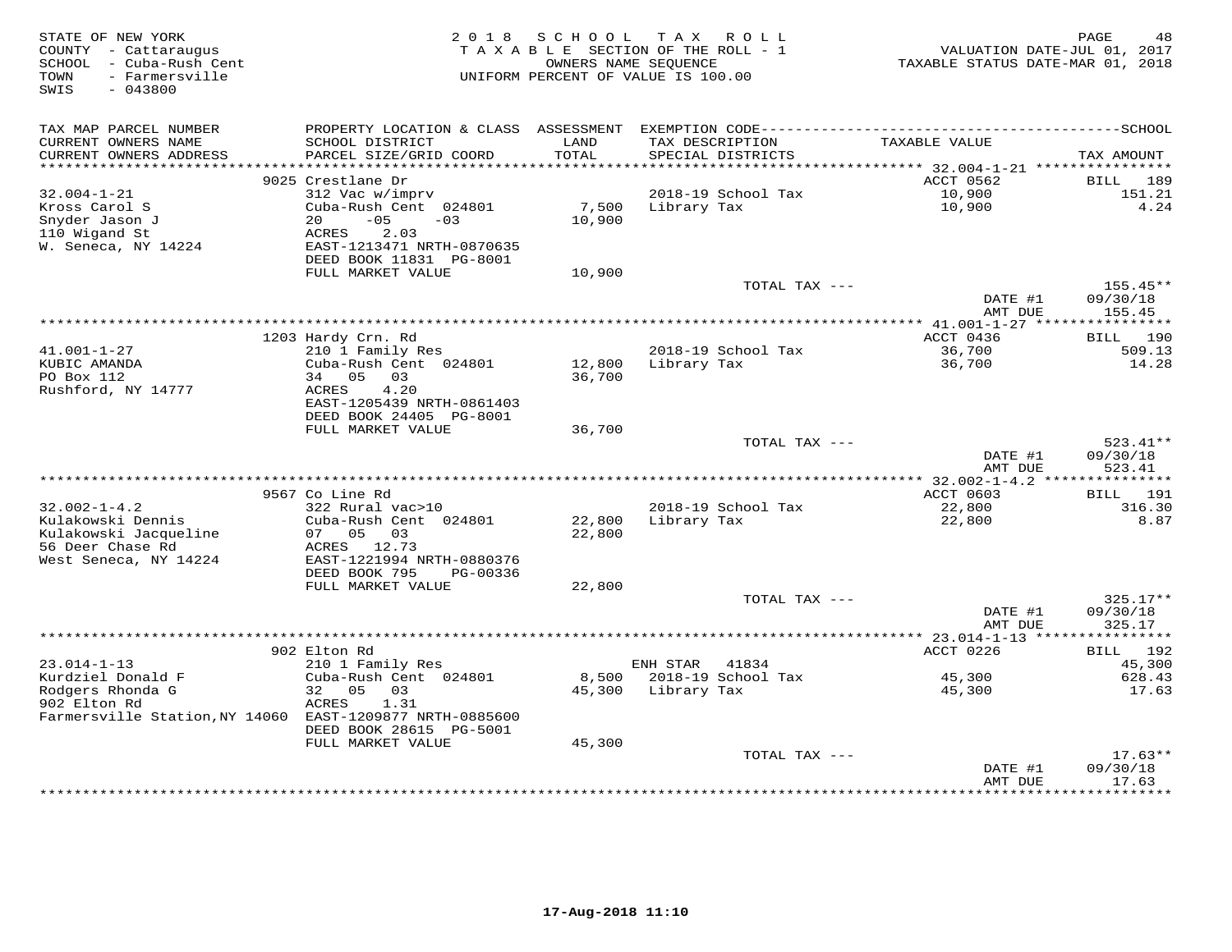| STATE OF NEW YORK<br>COUNTY - Cattaraugus<br>SCHOOL - Cuba-Rush Cent<br>- Farmersville<br>TOWN<br>SWIS<br>$-043800$ | 2018                                                                      | SCHOOL                | T A X<br>R O L L<br>TAXABLE SECTION OF THE ROLL - 1<br>OWNERS NAME SEQUENCE<br>UNIFORM PERCENT OF VALUE IS 100.00 | VALUATION DATE-JUL 01, 2017<br>TAXABLE STATUS DATE-MAR 01, 2018 | PAGE<br>48                 |
|---------------------------------------------------------------------------------------------------------------------|---------------------------------------------------------------------------|-----------------------|-------------------------------------------------------------------------------------------------------------------|-----------------------------------------------------------------|----------------------------|
| TAX MAP PARCEL NUMBER<br>CURRENT OWNERS NAME                                                                        | PROPERTY LOCATION & CLASS ASSESSMENT<br>SCHOOL DISTRICT                   | LAND                  | TAX DESCRIPTION                                                                                                   | TAXABLE VALUE                                                   |                            |
| CURRENT OWNERS ADDRESS                                                                                              | PARCEL SIZE/GRID COORD                                                    | TOTAL<br>************ | SPECIAL DISTRICTS                                                                                                 |                                                                 | TAX AMOUNT                 |
| **********************                                                                                              |                                                                           |                       |                                                                                                                   |                                                                 |                            |
| $32.004 - 1 - 21$                                                                                                   | 9025 Crestlane Dr<br>312 Vac w/imprv                                      |                       | 2018-19 School Tax                                                                                                | ACCT 0562<br>10,900                                             | 189<br>BILL<br>151.21      |
| Kross Carol S<br>Snyder Jason J<br>110 Wigand St                                                                    | Cuba-Rush Cent 024801<br>$-05$<br>20<br>$-03$<br>ACRES<br>2.03            | 7,500<br>10,900       | Library Tax                                                                                                       | 10,900                                                          | 4.24                       |
| W. Seneca, NY 14224                                                                                                 | EAST-1213471 NRTH-0870635<br>DEED BOOK 11831 PG-8001<br>FULL MARKET VALUE | 10,900                |                                                                                                                   |                                                                 |                            |
|                                                                                                                     |                                                                           |                       | TOTAL TAX ---                                                                                                     |                                                                 | 155.45**                   |
|                                                                                                                     |                                                                           |                       |                                                                                                                   | DATE #1<br>AMT DUE                                              | 09/30/18<br>155.45         |
|                                                                                                                     | ******************                                                        |                       | ***********************************                                                                               | *** 41.001-1-27 ****                                            | **********                 |
| $41.001 - 1 - 27$                                                                                                   | 1203 Hardy Crn. Rd                                                        |                       |                                                                                                                   | ACCT 0436<br>36,700                                             | 190<br>BILL                |
| KUBIC AMANDA                                                                                                        | 210 1 Family Res<br>Cuba-Rush Cent 024801                                 | 12,800                | 2018-19 School Tax<br>Library Tax                                                                                 | 36,700                                                          | 509.13<br>14.28            |
| PO Box 112                                                                                                          | 34 05<br>03                                                               | 36,700                |                                                                                                                   |                                                                 |                            |
| Rushford, NY 14777                                                                                                  | 4.20<br>ACRES                                                             |                       |                                                                                                                   |                                                                 |                            |
|                                                                                                                     | EAST-1205439 NRTH-0861403                                                 |                       |                                                                                                                   |                                                                 |                            |
|                                                                                                                     | DEED BOOK 24405 PG-8001<br>FULL MARKET VALUE                              |                       |                                                                                                                   |                                                                 |                            |
|                                                                                                                     |                                                                           | 36,700                | TOTAL TAX ---                                                                                                     |                                                                 | $523.41**$                 |
|                                                                                                                     |                                                                           |                       |                                                                                                                   | DATE #1                                                         | 09/30/18                   |
|                                                                                                                     |                                                                           |                       |                                                                                                                   | AMT DUE                                                         | 523.41                     |
|                                                                                                                     |                                                                           |                       |                                                                                                                   |                                                                 |                            |
| $32.002 - 1 - 4.2$                                                                                                  | 9567 Co Line Rd<br>322 Rural vac>10                                       |                       | 2018-19 School Tax                                                                                                | ACCT 0603<br>22,800                                             | BILL<br>191<br>316.30      |
| Kulakowski Dennis                                                                                                   | Cuba-Rush Cent 024801                                                     | 22,800                | Library Tax                                                                                                       | 22,800                                                          | 8.87                       |
| Kulakowski Jacqueline                                                                                               | 07 05<br>03                                                               | 22,800                |                                                                                                                   |                                                                 |                            |
| 56 Deer Chase Rd                                                                                                    | ACRES<br>12.73                                                            |                       |                                                                                                                   |                                                                 |                            |
| West Seneca, NY 14224                                                                                               | EAST-1221994 NRTH-0880376                                                 |                       |                                                                                                                   |                                                                 |                            |
|                                                                                                                     | DEED BOOK 795<br>PG-00336<br>FULL MARKET VALUE                            | 22,800                |                                                                                                                   |                                                                 |                            |
|                                                                                                                     |                                                                           |                       | TOTAL TAX ---                                                                                                     |                                                                 | $325.17**$                 |
|                                                                                                                     |                                                                           |                       |                                                                                                                   | DATE #1                                                         | 09/30/18                   |
|                                                                                                                     |                                                                           |                       |                                                                                                                   | AMT DUE                                                         | 325.17                     |
|                                                                                                                     |                                                                           |                       |                                                                                                                   | *********** 23.014-1-13 *****                                   | * * * * * * * * * * *      |
| $23.014 - 1 - 13$                                                                                                   | 902 Elton Rd                                                              |                       | ENH STAR<br>41834                                                                                                 | ACCT 0226                                                       | 192<br><b>BILL</b>         |
| Kurdziel Donald F                                                                                                   | 210 1 Family Res<br>Cuba-Rush Cent 024801                                 | 8,500                 | 2018-19 School Tax                                                                                                | 45,300                                                          | 45,300<br>628.43           |
| Rodgers Rhonda G                                                                                                    | 32<br>05<br>03                                                            | 45,300                | Library Tax                                                                                                       | 45,300                                                          | 17.63                      |
| 902 Elton Rd                                                                                                        | ACRES<br>1.31                                                             |                       |                                                                                                                   |                                                                 |                            |
| Farmersville Station, NY 14060 EAST-1209877 NRTH-0885600                                                            | DEED BOOK 28615 PG-5001                                                   |                       |                                                                                                                   |                                                                 |                            |
|                                                                                                                     | FULL MARKET VALUE                                                         | 45,300                |                                                                                                                   |                                                                 |                            |
|                                                                                                                     |                                                                           |                       | TOTAL TAX ---                                                                                                     | DATE #1                                                         | $17.63**$<br>09/30/18      |
|                                                                                                                     |                                                                           |                       |                                                                                                                   | AMT DUE<br>***********                                          | 17.63<br>* * * * * * * * * |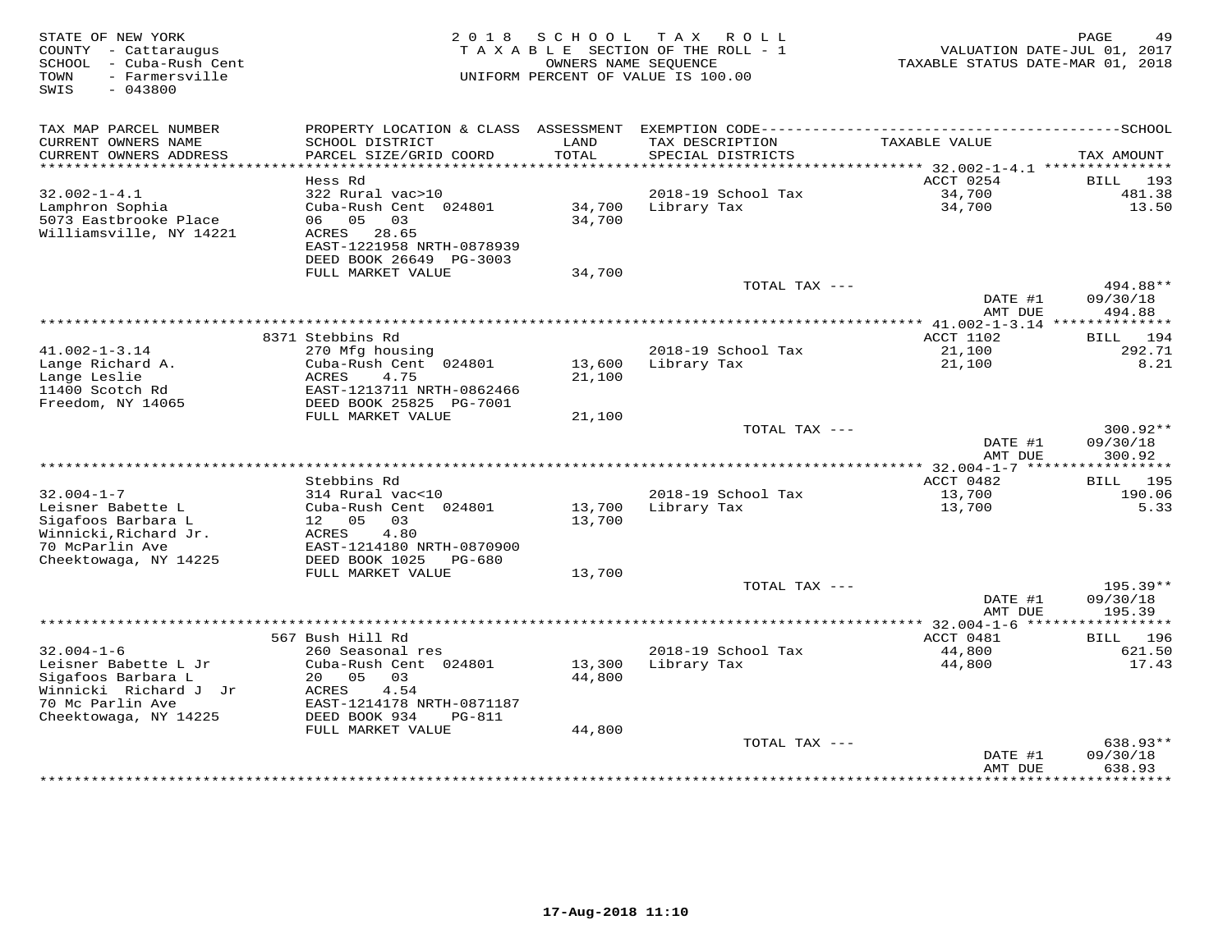| STATE OF NEW YORK<br>COUNTY - Cattaraugus<br>- Cuba-Rush Cent<br>SCHOOL<br>TOWN<br>- Farmersville<br>$-043800$<br>SWIS | 2 0 1 8                                                                                                       | S C H O O L                        | T A X<br>ROLL<br>TAXABLE SECTION OF THE ROLL - 1<br>OWNERS NAME SEQUENCE<br>UNIFORM PERCENT OF VALUE IS 100.00 | VALUATION DATE-JUL 01, 2017<br>TAXABLE STATUS DATE-MAR 01, 2018 | PAGE<br>49                                  |
|------------------------------------------------------------------------------------------------------------------------|---------------------------------------------------------------------------------------------------------------|------------------------------------|----------------------------------------------------------------------------------------------------------------|-----------------------------------------------------------------|---------------------------------------------|
| TAX MAP PARCEL NUMBER<br>CURRENT OWNERS NAME<br>CURRENT OWNERS ADDRESS                                                 | SCHOOL DISTRICT<br>PARCEL SIZE/GRID COORD                                                                     | LAND<br>TOTAL                      | TAX DESCRIPTION<br>SPECIAL DISTRICTS                                                                           | TAXABLE VALUE                                                   | TAX AMOUNT                                  |
| ***********************                                                                                                |                                                                                                               |                                    |                                                                                                                |                                                                 |                                             |
| $32.002 - 1 - 4.1$                                                                                                     | Hess Rd                                                                                                       |                                    |                                                                                                                | ACCT 0254                                                       | BILL 193                                    |
| Lamphron Sophia<br>5073 Eastbrooke Place<br>Williamsville, NY 14221                                                    | 322 Rural vac>10<br>Cuba-Rush Cent 024801<br>06 05 03<br>ACRES 28.65<br>EAST-1221958 NRTH-0878939             | 34,700<br>34,700                   | 2018-19 School Tax<br>Library Tax                                                                              | 34,700<br>34,700                                                | 481.38<br>13.50                             |
|                                                                                                                        | DEED BOOK 26649 PG-3003<br>FULL MARKET VALUE                                                                  | 34,700                             |                                                                                                                |                                                                 |                                             |
|                                                                                                                        |                                                                                                               |                                    | TOTAL TAX ---                                                                                                  | DATE #1                                                         | 494.88**<br>09/30/18                        |
|                                                                                                                        |                                                                                                               |                                    |                                                                                                                | AMT DUE                                                         | 494.88                                      |
|                                                                                                                        | 8371 Stebbins Rd                                                                                              |                                    |                                                                                                                | ACCT 1102                                                       | <b>BILL</b><br>194                          |
| $41.002 - 1 - 3.14$                                                                                                    | 270 Mfg housing                                                                                               |                                    | 2018-19 School Tax                                                                                             | 21,100                                                          | 292.71                                      |
| Lange Richard A.<br>Lange Leslie<br>11400 Scotch Rd<br>Freedom, NY 14065                                               | Cuba-Rush Cent 024801<br><b>ACRES</b><br>4.75<br>EAST-1213711 NRTH-0862466<br>DEED BOOK 25825 PG-7001         | 13,600<br>21,100                   | Library Tax                                                                                                    | 21,100                                                          | 8.21                                        |
|                                                                                                                        | FULL MARKET VALUE                                                                                             | 21,100                             |                                                                                                                |                                                                 |                                             |
|                                                                                                                        |                                                                                                               |                                    | TOTAL TAX ---                                                                                                  | DATE #1<br>AMT DUE                                              | $300.92**$<br>09/30/18<br>300.92            |
|                                                                                                                        |                                                                                                               |                                    |                                                                                                                |                                                                 | ***********                                 |
|                                                                                                                        | Stebbins Rd                                                                                                   |                                    |                                                                                                                | ACCT 0482                                                       | 195<br>BILL                                 |
| $32.004 - 1 - 7$<br>Leisner Babette L<br>Sigafoos Barbara L<br>Winnicki, Richard Jr.                                   | 314 Rural vac<10<br>Cuba-Rush Cent 024801<br>12 05<br>03<br>4.80<br>ACRES                                     | 13,700<br>13,700                   | 2018-19 School Tax<br>Library Tax                                                                              | 13,700<br>13,700                                                | 190.06<br>5.33                              |
| 70 McParlin Ave<br>Cheektowaga, NY 14225                                                                               | EAST-1214180 NRTH-0870900<br>DEED BOOK 1025<br>PG-680                                                         |                                    |                                                                                                                |                                                                 |                                             |
|                                                                                                                        | FULL MARKET VALUE                                                                                             | 13,700                             |                                                                                                                |                                                                 | 195.39**                                    |
|                                                                                                                        |                                                                                                               |                                    | TOTAL TAX ---                                                                                                  | DATE #1<br>AMT DUE                                              | 09/30/18<br>195.39                          |
|                                                                                                                        |                                                                                                               | ********************************** |                                                                                                                | ********** 32.004-1-6 ***                                       | **********                                  |
| $32.004 - 1 - 6$                                                                                                       | 567 Bush Hill Rd<br>260 Seasonal res                                                                          |                                    | 2018-19 School Tax                                                                                             | ACCT 0481<br>44,800                                             | <b>BILL</b><br>196<br>621.50                |
| Leisner Babette L Jr<br>Sigafoos Barbara L<br>Winnicki Richard J Jr<br>70 Mc Parlin Ave<br>Cheektowaga, NY 14225       | Cuba-Rush Cent 024801<br>20 05<br>03<br>ACRES<br>4.54<br>EAST-1214178 NRTH-0871187<br>DEED BOOK 934<br>PG-811 | 13,300<br>44,800                   | Library Tax                                                                                                    | 44,800                                                          | 17.43                                       |
|                                                                                                                        | FULL MARKET VALUE                                                                                             | 44,800                             |                                                                                                                |                                                                 |                                             |
|                                                                                                                        |                                                                                                               |                                    | TOTAL TAX ---                                                                                                  | DATE #1<br>AMT DUE<br>*************                             | 638.93**<br>09/30/18<br>638.93<br>********* |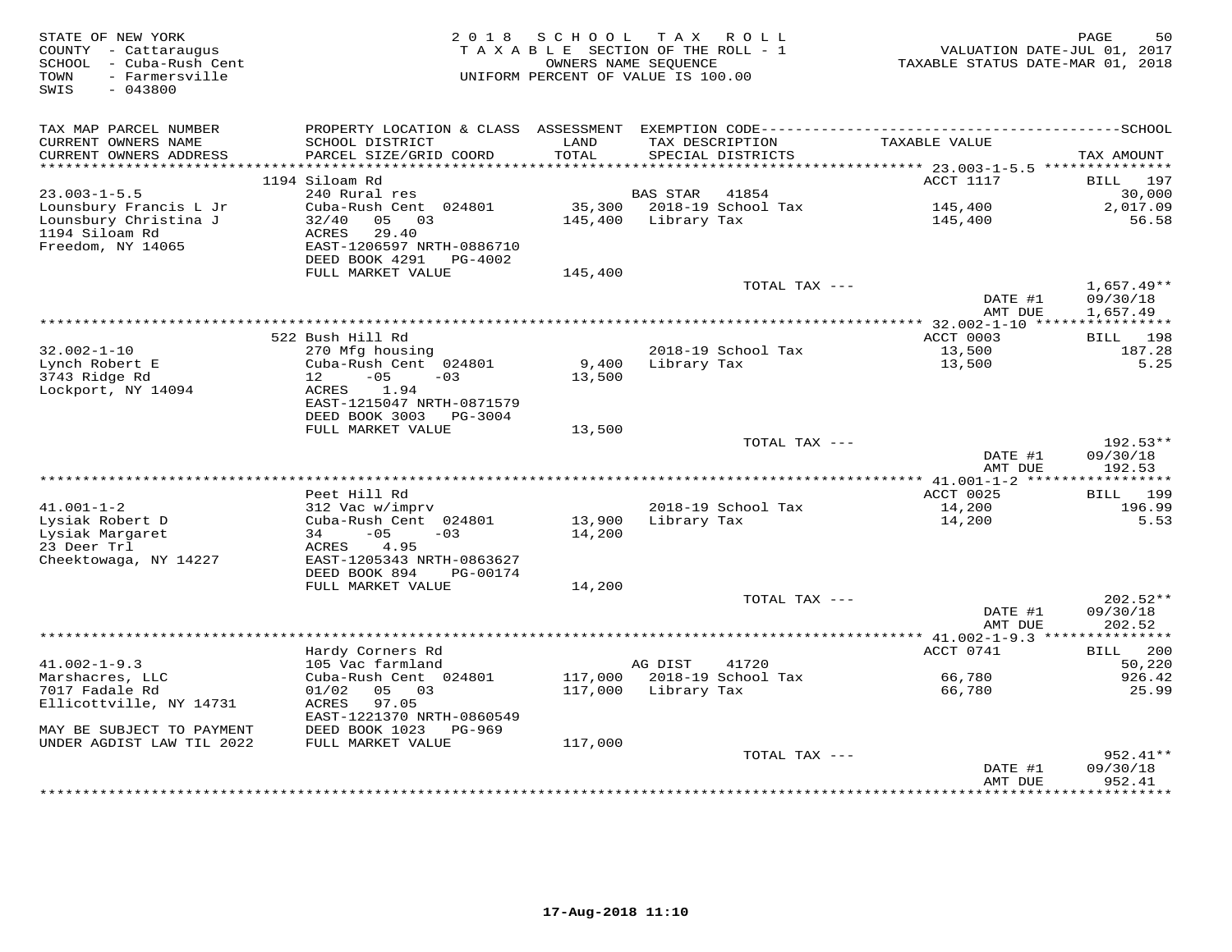| STATE OF NEW YORK<br>COUNTY - Cattaraugus<br>SCHOOL - Cuba-Rush Cent<br>TOWN<br>- Farmersville<br>$-043800$<br>SWIS | 2 0 1 8                                    | S C H O O L | TAX ROLL<br>TAXABLE SECTION OF THE ROLL - 1<br>OWNERS NAME SEQUENCE<br>UNIFORM PERCENT OF VALUE IS 100.00 |               | TAXABLE STATUS DATE-MAR 01, 2018 | PAGE<br>50<br>VALUATION DATE-JUL 01, 2017 |
|---------------------------------------------------------------------------------------------------------------------|--------------------------------------------|-------------|-----------------------------------------------------------------------------------------------------------|---------------|----------------------------------|-------------------------------------------|
| TAX MAP PARCEL NUMBER                                                                                               |                                            |             |                                                                                                           |               |                                  |                                           |
| CURRENT OWNERS NAME                                                                                                 | SCHOOL DISTRICT                            | LAND        | TAX DESCRIPTION                                                                                           |               | TAXABLE VALUE                    |                                           |
| CURRENT OWNERS ADDRESS                                                                                              | PARCEL SIZE/GRID COORD                     | TOTAL       | SPECIAL DISTRICTS                                                                                         |               |                                  | TAX AMOUNT                                |
| **********************                                                                                              | 1194 Siloam Rd                             | *********** |                                                                                                           |               | ACCT 1117                        | BILL 197                                  |
| $23.003 - 1 - 5.5$                                                                                                  | 240 Rural res                              |             | 41854<br>BAS STAR                                                                                         |               |                                  | 30,000                                    |
| Lounsbury Francis L Jr                                                                                              | Cuba-Rush Cent 024801                      |             | 35,300 2018-19 School Tax                                                                                 |               | 145,400                          | 2,017.09                                  |
| Lounsbury Christina J                                                                                               | 32/40<br>05 03                             |             | 145,400 Library Tax                                                                                       |               | 145,400                          | 56.58                                     |
| 1194 Siloam Rd                                                                                                      | 29.40<br>ACRES                             |             |                                                                                                           |               |                                  |                                           |
| Freedom, NY 14065                                                                                                   | EAST-1206597 NRTH-0886710                  |             |                                                                                                           |               |                                  |                                           |
|                                                                                                                     | DEED BOOK 4291 PG-4002                     |             |                                                                                                           |               |                                  |                                           |
|                                                                                                                     | FULL MARKET VALUE                          | 145,400     |                                                                                                           |               |                                  |                                           |
|                                                                                                                     |                                            |             |                                                                                                           | TOTAL TAX --- | DATE #1                          | $1,657.49**$<br>09/30/18                  |
|                                                                                                                     |                                            |             |                                                                                                           |               | AMT DUE                          | 1,657.49                                  |
|                                                                                                                     |                                            |             |                                                                                                           |               |                                  |                                           |
|                                                                                                                     | 522 Bush Hill Rd                           |             |                                                                                                           |               | ACCT 0003                        | BILL 198                                  |
| $32.002 - 1 - 10$                                                                                                   | 270 Mfg housing                            |             | 2018-19 School Tax                                                                                        |               | 13,500                           | 187.28                                    |
| Lynch Robert E                                                                                                      | Cuba-Rush Cent 024801                      | 9,400       | Library Tax                                                                                               |               | 13,500                           | 5.25                                      |
| 3743 Ridge Rd                                                                                                       | 12<br>$-05$<br>$-03$                       | 13,500      |                                                                                                           |               |                                  |                                           |
| Lockport, NY 14094                                                                                                  | ACRES<br>1.94<br>EAST-1215047 NRTH-0871579 |             |                                                                                                           |               |                                  |                                           |
|                                                                                                                     | DEED BOOK 3003<br>PG-3004                  |             |                                                                                                           |               |                                  |                                           |
|                                                                                                                     | FULL MARKET VALUE                          | 13,500      |                                                                                                           |               |                                  |                                           |
|                                                                                                                     |                                            |             |                                                                                                           | TOTAL TAX --- |                                  | $192.53**$                                |
|                                                                                                                     |                                            |             |                                                                                                           |               | DATE #1                          | 09/30/18                                  |
|                                                                                                                     |                                            |             |                                                                                                           |               | AMT DUE                          | 192.53                                    |
|                                                                                                                     | Peet Hill Rd                               |             |                                                                                                           |               | ACCT 0025                        | BILL 199                                  |
| $41.001 - 1 - 2$                                                                                                    | 312 Vac w/imprv                            |             | 2018-19 School Tax                                                                                        |               | 14,200                           | 196.99                                    |
| Lysiak Robert D                                                                                                     | Cuba-Rush Cent 024801                      | 13,900      | Library Tax                                                                                               |               | 14,200                           | 5.53                                      |
| Lysiak Margaret                                                                                                     | $-05$<br>34<br>$-03$                       | 14,200      |                                                                                                           |               |                                  |                                           |
| 23 Deer Trl                                                                                                         | ACRES<br>4.95                              |             |                                                                                                           |               |                                  |                                           |
| Cheektowaga, NY 14227                                                                                               | EAST-1205343 NRTH-0863627                  |             |                                                                                                           |               |                                  |                                           |
|                                                                                                                     | DEED BOOK 894<br>PG-00174                  |             |                                                                                                           |               |                                  |                                           |
|                                                                                                                     | FULL MARKET VALUE                          | 14,200      |                                                                                                           | TOTAL TAX --- |                                  | $202.52**$                                |
|                                                                                                                     |                                            |             |                                                                                                           |               | DATE #1                          | 09/30/18                                  |
|                                                                                                                     |                                            |             |                                                                                                           |               | AMT DUE                          | 202.52                                    |
|                                                                                                                     |                                            |             |                                                                                                           |               |                                  |                                           |
|                                                                                                                     | Hardy Corners Rd                           |             |                                                                                                           |               | ACCT 0741                        | <b>BILL</b><br>200                        |
| $41.002 - 1 - 9.3$                                                                                                  | 105 Vac farmland                           |             | 41720<br>AG DIST                                                                                          |               |                                  | 50,220                                    |
| Marshacres, LLC                                                                                                     | Cuba-Rush Cent 024801                      |             | 117,000 2018-19 School Tax                                                                                |               | 66,780                           | 926.42                                    |
| 7017 Fadale Rd<br>Ellicottville, NY 14731                                                                           | 01/02<br>05 03<br>97.05<br>ACRES           |             | 117,000 Library Tax                                                                                       |               | 66,780                           | 25.99                                     |
|                                                                                                                     | EAST-1221370 NRTH-0860549                  |             |                                                                                                           |               |                                  |                                           |
| MAY BE SUBJECT TO PAYMENT                                                                                           | DEED BOOK 1023<br>PG-969                   |             |                                                                                                           |               |                                  |                                           |
| UNDER AGDIST LAW TIL 2022                                                                                           | FULL MARKET VALUE                          | 117,000     |                                                                                                           |               |                                  |                                           |
|                                                                                                                     |                                            |             |                                                                                                           | TOTAL TAX --- |                                  | 952.41**                                  |
|                                                                                                                     |                                            |             |                                                                                                           |               | DATE #1                          | 09/30/18                                  |
|                                                                                                                     |                                            |             |                                                                                                           |               | AMT DUE                          | 952.41                                    |
|                                                                                                                     |                                            |             |                                                                                                           |               |                                  |                                           |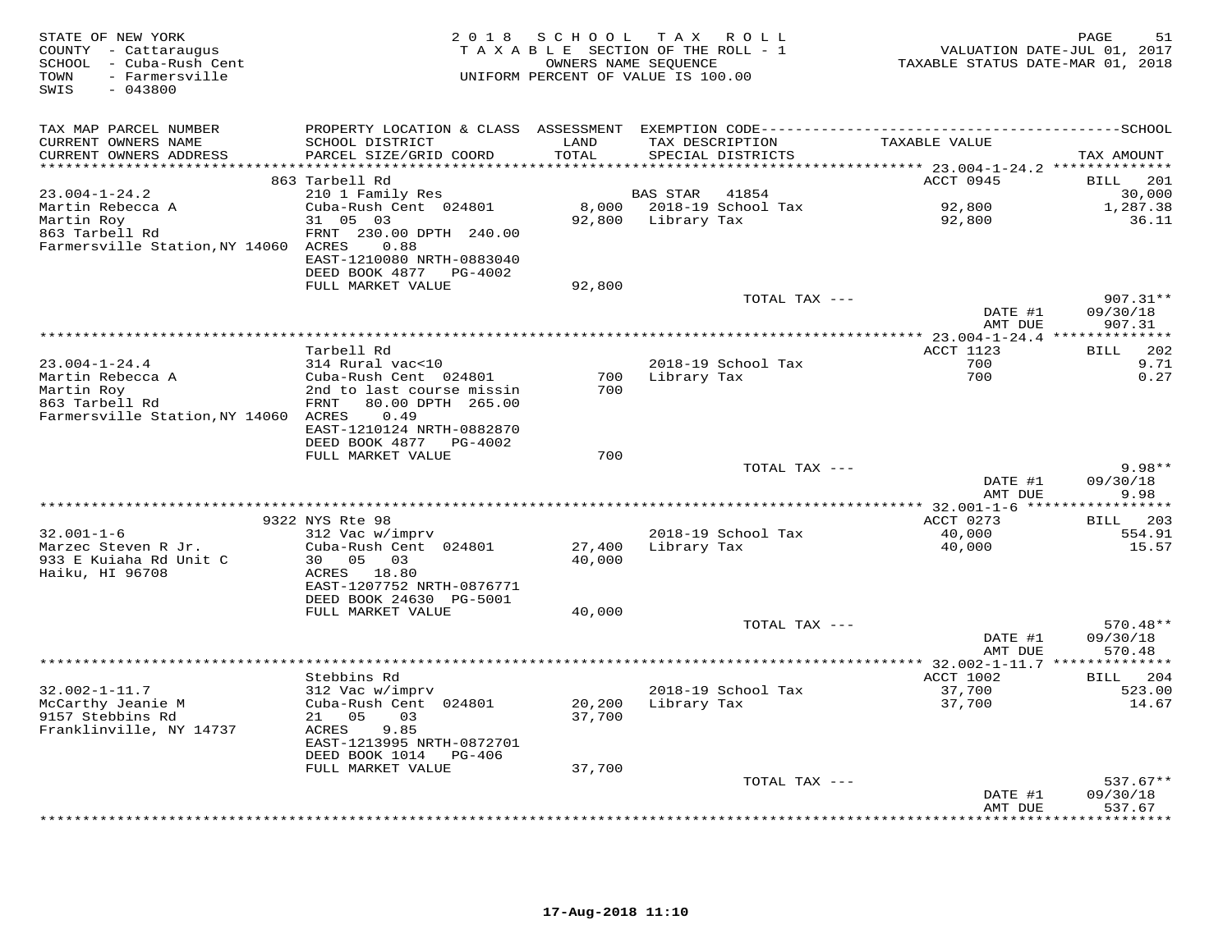| STATE OF NEW YORK<br>COUNTY - Cattaraugus<br>SCHOOL - Cuba-Rush Cent<br>- Farmersville<br>TOWN<br>$-043800$<br>SWIS | 2 0 1 8                                   | SCHOOL<br>OWNERS NAME SEOUENCE | TAX ROLL<br>TAXABLE SECTION OF THE ROLL - 1<br>UNIFORM PERCENT OF VALUE IS 100.00 | TAXABLE STATUS DATE-MAR 01, 2018      | 51<br>PAGE<br>VALUATION DATE-JUL 01, 2017 |
|---------------------------------------------------------------------------------------------------------------------|-------------------------------------------|--------------------------------|-----------------------------------------------------------------------------------|---------------------------------------|-------------------------------------------|
| TAX MAP PARCEL NUMBER                                                                                               |                                           |                                |                                                                                   |                                       |                                           |
| CURRENT OWNERS NAME<br>CURRENT OWNERS ADDRESS                                                                       | SCHOOL DISTRICT<br>PARCEL SIZE/GRID COORD | LAND<br>TOTAL                  | TAX DESCRIPTION<br>SPECIAL DISTRICTS                                              | TAXABLE VALUE                         | TAX AMOUNT                                |
| ***********************                                                                                             |                                           |                                |                                                                                   |                                       |                                           |
|                                                                                                                     | 863 Tarbell Rd                            |                                |                                                                                   | ACCT 0945                             | 201<br><b>BILL</b>                        |
| $23.004 - 1 - 24.2$                                                                                                 | 210 1 Family Res                          |                                | <b>BAS STAR</b><br>41854                                                          |                                       | 30,000                                    |
| Martin Rebecca A                                                                                                    | Cuba-Rush Cent 024801<br>31 05 03         |                                | 8,000 2018-19 School Tax<br>92,800 Library Tax                                    | 92,800<br>92,800                      | 1,287.38<br>36.11                         |
| Martin Roy<br>863 Tarbell Rd                                                                                        | FRNT 230.00 DPTH 240.00                   |                                |                                                                                   |                                       |                                           |
| Farmersville Station, NY 14060 ACRES                                                                                | 0.88                                      |                                |                                                                                   |                                       |                                           |
|                                                                                                                     | EAST-1210080 NRTH-0883040                 |                                |                                                                                   |                                       |                                           |
|                                                                                                                     | DEED BOOK 4877 PG-4002                    |                                |                                                                                   |                                       |                                           |
|                                                                                                                     | FULL MARKET VALUE                         | 92,800                         |                                                                                   |                                       |                                           |
|                                                                                                                     |                                           |                                | TOTAL TAX ---                                                                     |                                       | $907.31**$                                |
|                                                                                                                     |                                           |                                |                                                                                   | DATE #1                               | 09/30/18                                  |
|                                                                                                                     |                                           |                                |                                                                                   | AMT DUE                               | 907.31                                    |
|                                                                                                                     | Tarbell Rd                                |                                |                                                                                   | ACCT 1123                             | <b>BILL</b><br>202                        |
| $23.004 - 1 - 24.4$                                                                                                 | 314 Rural vac<10                          |                                | 2018-19 School Tax                                                                | 700                                   | 9.71                                      |
| Martin Rebecca A                                                                                                    | Cuba-Rush Cent 024801                     | 700                            | Library Tax                                                                       | 700                                   | 0.27                                      |
| Martin Roy                                                                                                          | 2nd to last course missin                 | 700                            |                                                                                   |                                       |                                           |
| 863 Tarbell Rd                                                                                                      | 80.00 DPTH 265.00<br>FRNT                 |                                |                                                                                   |                                       |                                           |
| Farmersville Station, NY 14060 ACRES                                                                                | 0.49                                      |                                |                                                                                   |                                       |                                           |
|                                                                                                                     | EAST-1210124 NRTH-0882870                 |                                |                                                                                   |                                       |                                           |
|                                                                                                                     | DEED BOOK 4877 PG-4002                    |                                |                                                                                   |                                       |                                           |
|                                                                                                                     | FULL MARKET VALUE                         | 700                            |                                                                                   |                                       | $9.98**$                                  |
|                                                                                                                     |                                           |                                | TOTAL TAX ---                                                                     | DATE #1                               | 09/30/18                                  |
|                                                                                                                     |                                           |                                |                                                                                   | AMT DUE                               | 9.98                                      |
|                                                                                                                     |                                           |                                |                                                                                   |                                       |                                           |
|                                                                                                                     | 9322 NYS Rte 98                           |                                |                                                                                   | ACCT 0273                             | <b>BILL</b><br>203                        |
| $32.001 - 1 - 6$                                                                                                    | 312 Vac w/imprv                           |                                | 2018-19 School Tax                                                                | 40,000                                | 554.91                                    |
| Marzec Steven R Jr.                                                                                                 | Cuba-Rush Cent 024801                     | 27,400                         | Library Tax                                                                       | 40,000                                | 15.57                                     |
| 933 E Kuiaha Rd Unit C                                                                                              | 30 <sup>2</sup><br>05 03                  | 40,000                         |                                                                                   |                                       |                                           |
| Haiku, HI 96708                                                                                                     | ACRES 18.80<br>EAST-1207752 NRTH-0876771  |                                |                                                                                   |                                       |                                           |
|                                                                                                                     | DEED BOOK 24630 PG-5001                   |                                |                                                                                   |                                       |                                           |
|                                                                                                                     | FULL MARKET VALUE                         | 40,000                         |                                                                                   |                                       |                                           |
|                                                                                                                     |                                           |                                | TOTAL TAX ---                                                                     |                                       | $570.48**$                                |
|                                                                                                                     |                                           |                                |                                                                                   | DATE #1                               | 09/30/18                                  |
|                                                                                                                     |                                           |                                |                                                                                   | AMT DUE                               | 570.48                                    |
|                                                                                                                     |                                           |                                |                                                                                   | ** $32.002 - 1 - 11.7$ ************** |                                           |
|                                                                                                                     | Stebbins Rd                               |                                |                                                                                   | ACCT 1002                             | 204<br>BILL                               |
| $32.002 - 1 - 11.7$                                                                                                 | 312 Vac w/imprv                           |                                | 2018-19 School Tax                                                                | 37,700                                | 523.00<br>14.67                           |
| McCarthy Jeanie M<br>9157 Stebbins Rd                                                                               | Cuba-Rush Cent 024801<br>21 05<br>03      | 20,200<br>37,700               | Library Tax                                                                       | 37,700                                |                                           |
| Franklinville, NY 14737                                                                                             | ACRES<br>9.85                             |                                |                                                                                   |                                       |                                           |
|                                                                                                                     | EAST-1213995 NRTH-0872701                 |                                |                                                                                   |                                       |                                           |
|                                                                                                                     | DEED BOOK 1014<br>PG-406                  |                                |                                                                                   |                                       |                                           |
|                                                                                                                     | FULL MARKET VALUE                         | 37,700                         |                                                                                   |                                       |                                           |
|                                                                                                                     |                                           |                                | TOTAL TAX ---                                                                     |                                       | $537.67**$                                |
|                                                                                                                     |                                           |                                |                                                                                   | DATE #1                               | 09/30/18                                  |
|                                                                                                                     |                                           |                                | *********************************                                                 | AMT DUE                               | 537.67<br>* * * * * * * *                 |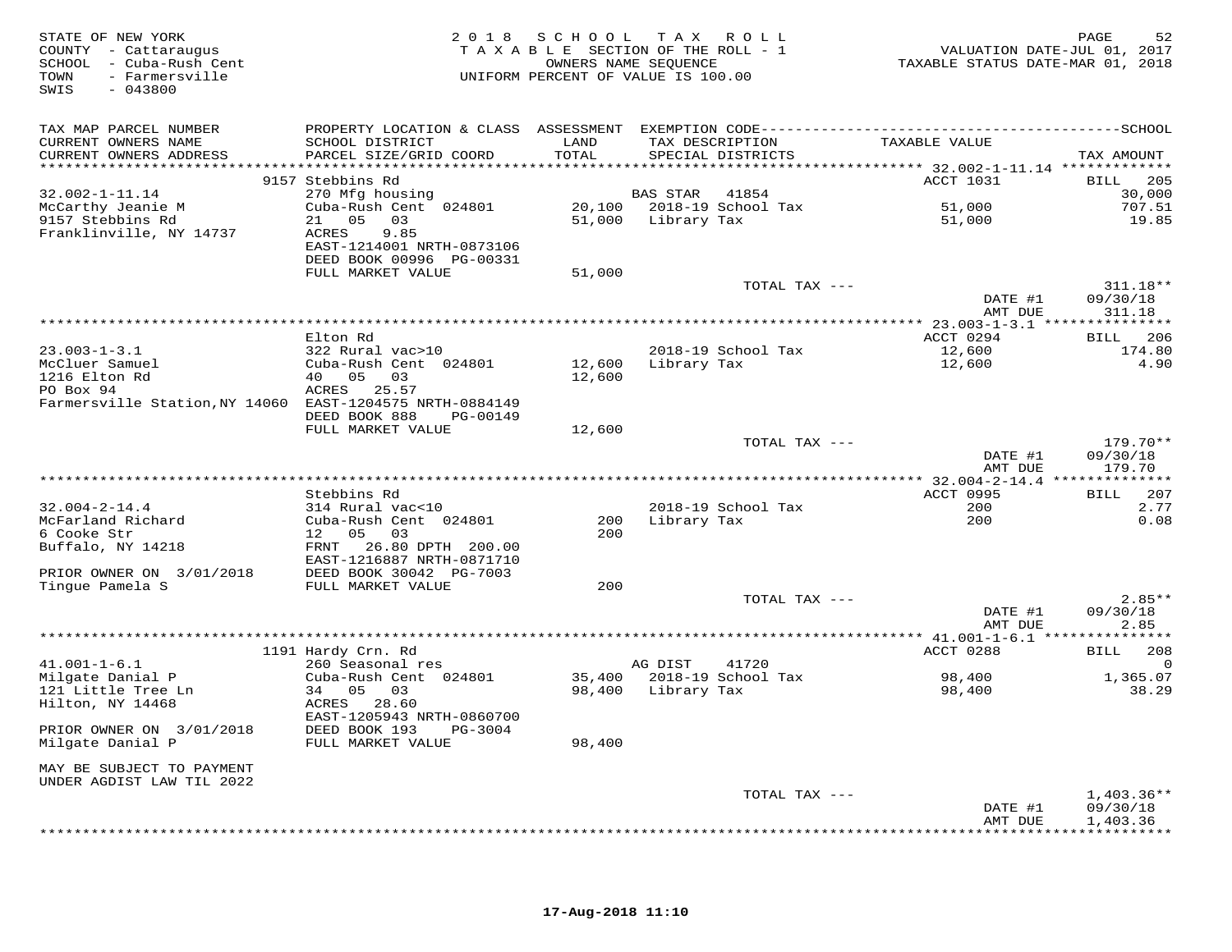| STATE OF NEW YORK<br>COUNTY - Cattaraugus<br>SCHOOL - Cuba-Rush Cent<br>- Farmersville<br>TOWN<br>SWIS<br>$-043800$ |                                              | 2018 SCHOOL<br>TAXABLE SECTION OF THE ROLL - 1<br>UNIFORM PERCENT OF VALUE IS 100.00 | TAX ROLL<br>OWNERS NAME SEOUENCE |                    | VALUATION DATE-JUL 01, 2017<br>TAXABLE STATUS DATE-MAR 01, 2018 | 52<br>PAGE                   |
|---------------------------------------------------------------------------------------------------------------------|----------------------------------------------|--------------------------------------------------------------------------------------|----------------------------------|--------------------|-----------------------------------------------------------------|------------------------------|
| TAX MAP PARCEL NUMBER                                                                                               |                                              |                                                                                      |                                  |                    |                                                                 |                              |
| CURRENT OWNERS NAME<br>CURRENT OWNERS ADDRESS                                                                       | SCHOOL DISTRICT<br>PARCEL SIZE/GRID COORD    | LAND<br>TOTAL                                                                        | TAX DESCRIPTION                  | SPECIAL DISTRICTS  | TAXABLE VALUE                                                   | TAX AMOUNT                   |
|                                                                                                                     |                                              |                                                                                      |                                  |                    |                                                                 |                              |
|                                                                                                                     | 9157 Stebbins Rd                             |                                                                                      |                                  |                    | ACCT 1031                                                       | BILL<br>205                  |
| $32.002 - 1 - 11.14$                                                                                                | 270 Mfg housing                              |                                                                                      | <b>BAS STAR</b>                  | 41854              |                                                                 | 30,000                       |
| McCarthy Jeanie M                                                                                                   | Cuba-Rush Cent 024801<br>21 05<br>03         |                                                                                      | 20,100 2018-19 School Tax        |                    | 51,000                                                          | 707.51<br>19.85              |
| 9157 Stebbins Rd<br>Franklinville, NY 14737                                                                         | ACRES<br>9.85                                |                                                                                      | 51,000 Library Tax               |                    | 51,000                                                          |                              |
|                                                                                                                     | EAST-1214001 NRTH-0873106                    |                                                                                      |                                  |                    |                                                                 |                              |
|                                                                                                                     | DEED BOOK 00996 PG-00331                     |                                                                                      |                                  |                    |                                                                 |                              |
|                                                                                                                     | FULL MARKET VALUE                            | 51,000                                                                               |                                  |                    |                                                                 |                              |
|                                                                                                                     |                                              |                                                                                      |                                  | TOTAL TAX ---      |                                                                 | 311.18**                     |
|                                                                                                                     |                                              |                                                                                      |                                  |                    | DATE #1                                                         | 09/30/18                     |
|                                                                                                                     |                                              |                                                                                      |                                  |                    | AMT DUE                                                         | 311.18                       |
|                                                                                                                     |                                              |                                                                                      |                                  |                    |                                                                 |                              |
| $23.003 - 1 - 3.1$                                                                                                  | Elton Rd<br>322 Rural vac>10                 |                                                                                      |                                  | 2018-19 School Tax | ACCT 0294<br>12,600                                             | <b>BILL</b><br>206<br>174.80 |
| McCluer Samuel                                                                                                      | Cuba-Rush Cent 024801                        | 12,600                                                                               | Library Tax                      |                    | 12,600                                                          | 4.90                         |
| 1216 Elton Rd                                                                                                       | 40  05  03                                   | 12,600                                                                               |                                  |                    |                                                                 |                              |
| PO Box 94                                                                                                           | 25.57<br>ACRES                               |                                                                                      |                                  |                    |                                                                 |                              |
| Farmersville Station, NY 14060 EAST-1204575 NRTH-0884149                                                            |                                              |                                                                                      |                                  |                    |                                                                 |                              |
|                                                                                                                     | DEED BOOK 888<br>PG-00149                    |                                                                                      |                                  |                    |                                                                 |                              |
|                                                                                                                     | FULL MARKET VALUE                            | 12,600                                                                               |                                  |                    |                                                                 |                              |
|                                                                                                                     |                                              |                                                                                      |                                  | TOTAL TAX ---      | DATE #1                                                         | $179.70**$<br>09/30/18       |
|                                                                                                                     |                                              |                                                                                      |                                  |                    | AMT DUE                                                         | 179.70                       |
|                                                                                                                     |                                              |                                                                                      |                                  |                    |                                                                 |                              |
|                                                                                                                     | Stebbins Rd                                  |                                                                                      |                                  |                    | ACCT 0995                                                       | BILL 207                     |
| $32.004 - 2 - 14.4$                                                                                                 | 314 Rural vac<10                             |                                                                                      |                                  | 2018-19 School Tax | 200                                                             | 2.77                         |
| McFarland Richard                                                                                                   | Cuba-Rush Cent 024801                        | 200                                                                                  | Library Tax                      |                    | 200                                                             | 0.08                         |
| 6 Cooke Str                                                                                                         | 12  05  03                                   | 200                                                                                  |                                  |                    |                                                                 |                              |
| Buffalo, NY 14218                                                                                                   | FRNT 26.80 DPTH 200.00                       |                                                                                      |                                  |                    |                                                                 |                              |
|                                                                                                                     | EAST-1216887 NRTH-0871710                    |                                                                                      |                                  |                    |                                                                 |                              |
| PRIOR OWNER ON 3/01/2018<br>Tingue Pamela S                                                                         | DEED BOOK 30042 PG-7003<br>FULL MARKET VALUE | 200                                                                                  |                                  |                    |                                                                 |                              |
|                                                                                                                     |                                              |                                                                                      |                                  | TOTAL TAX ---      |                                                                 | $2.85**$                     |
|                                                                                                                     |                                              |                                                                                      |                                  |                    | DATE #1                                                         | 09/30/18                     |
|                                                                                                                     |                                              |                                                                                      |                                  |                    | AMT DUE                                                         | 2.85                         |
|                                                                                                                     |                                              |                                                                                      |                                  |                    |                                                                 |                              |
|                                                                                                                     | 1191 Hardy Crn. Rd                           |                                                                                      |                                  |                    | ACCT 0288                                                       | <b>BILL</b> 208              |
| $41.001 - 1 - 6.1$                                                                                                  | 260 Seasonal res                             |                                                                                      | AG DIST                          | 41720              |                                                                 | $\Omega$                     |
| Milgate Danial P                                                                                                    | Cuba-Rush Cent 024801                        |                                                                                      | 35,400 2018-19 School Tax        |                    | 98,400                                                          | 1,365.07                     |
| 121 Little Tree Ln<br>Hilton, NY 14468                                                                              | 34 05 03<br>ACRES 28.60                      |                                                                                      | 98,400 Library Tax               |                    | 98,400                                                          | 38.29                        |
|                                                                                                                     | EAST-1205943 NRTH-0860700                    |                                                                                      |                                  |                    |                                                                 |                              |
| PRIOR OWNER ON 3/01/2018                                                                                            | DEED BOOK 193<br>PG-3004                     |                                                                                      |                                  |                    |                                                                 |                              |
| Milgate Danial P                                                                                                    | FULL MARKET VALUE                            | 98,400                                                                               |                                  |                    |                                                                 |                              |
|                                                                                                                     |                                              |                                                                                      |                                  |                    |                                                                 |                              |
| MAY BE SUBJECT TO PAYMENT                                                                                           |                                              |                                                                                      |                                  |                    |                                                                 |                              |
| UNDER AGDIST LAW TIL 2022                                                                                           |                                              |                                                                                      |                                  |                    |                                                                 |                              |
|                                                                                                                     |                                              |                                                                                      |                                  | TOTAL TAX ---      |                                                                 | $1,403.36**$                 |
|                                                                                                                     |                                              |                                                                                      |                                  |                    | DATE #1<br>AMT DUE                                              | 09/30/18<br>1,403.36         |
|                                                                                                                     |                                              |                                                                                      |                                  |                    |                                                                 | * * * * * * * * * *          |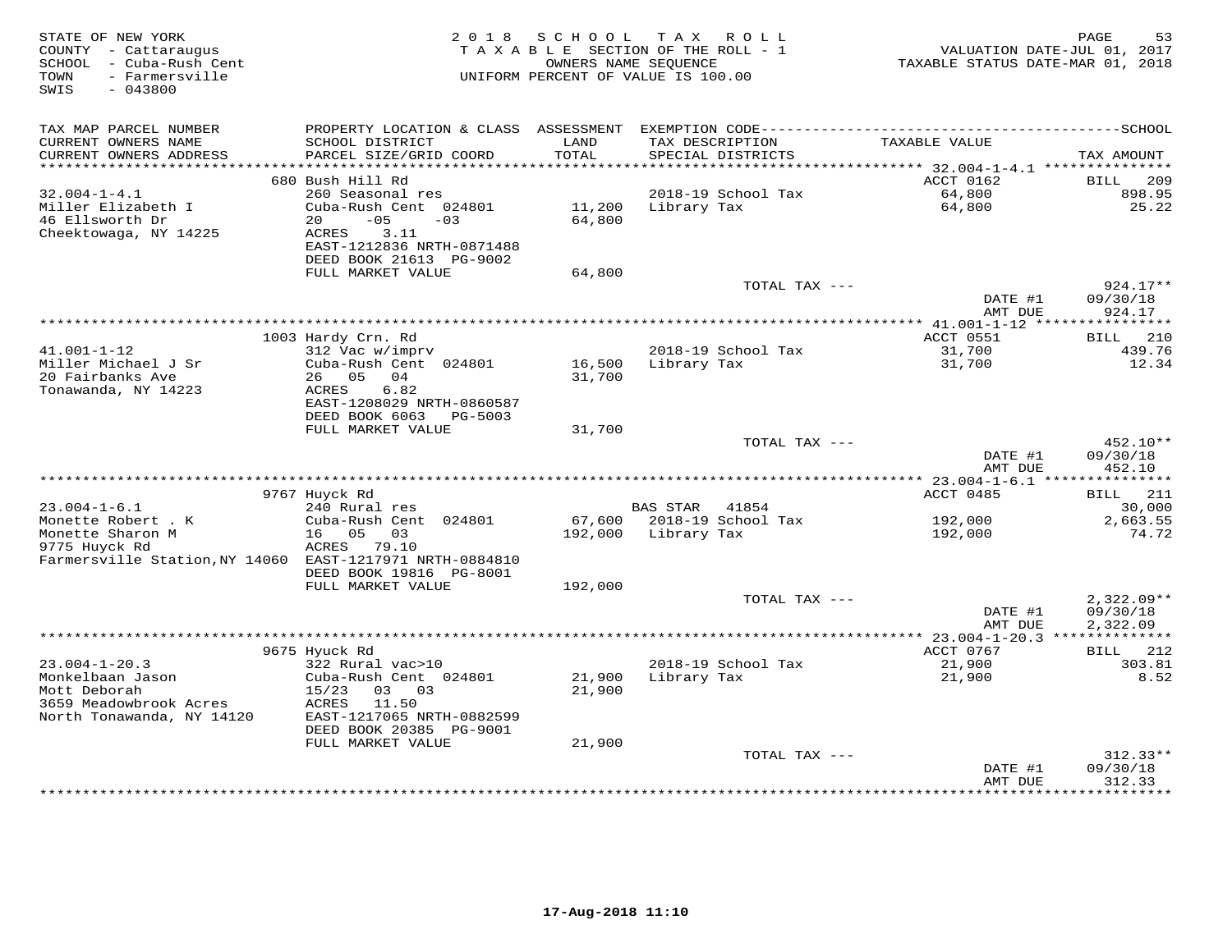| STATE OF NEW YORK<br>COUNTY - Cattaraugus<br>SCHOOL - Cuba-Rush Cent<br>- Farmersville<br>TOWN<br>SWIS<br>$-043800$ | 2018                                           | SCHOOL           | T A X<br>R O L L<br>TAXABLE SECTION OF THE ROLL - 1<br>OWNERS NAME SEQUENCE<br>UNIFORM PERCENT OF VALUE IS 100.00 | VALUATION DATE-JUL 01, 2017<br>TAXABLE STATUS DATE-MAR 01, 2018 | 53<br>PAGE          |
|---------------------------------------------------------------------------------------------------------------------|------------------------------------------------|------------------|-------------------------------------------------------------------------------------------------------------------|-----------------------------------------------------------------|---------------------|
| TAX MAP PARCEL NUMBER                                                                                               | PROPERTY LOCATION & CLASS ASSESSMENT           |                  |                                                                                                                   |                                                                 |                     |
| CURRENT OWNERS NAME<br>CURRENT OWNERS ADDRESS                                                                       | SCHOOL DISTRICT<br>PARCEL SIZE/GRID COORD      | LAND<br>TOTAL    | TAX DESCRIPTION<br>SPECIAL DISTRICTS                                                                              | TAXABLE VALUE                                                   | TAX AMOUNT          |
| ***********************                                                                                             | **************************<br>680 Bush Hill Rd |                  |                                                                                                                   | ACCT 0162                                                       | <b>BILL</b><br>209  |
| $32.004 - 1 - 4.1$                                                                                                  | 260 Seasonal res                               |                  | 2018-19 School Tax                                                                                                | 64,800                                                          | 898.95              |
| Miller Elizabeth I<br>46 Ellsworth Dr                                                                               | Cuba-Rush Cent 024801<br>20<br>$-05$<br>$-03$  | 11,200<br>64,800 | Library Tax                                                                                                       | 64,800                                                          | 25.22               |
| Cheektowaga, NY 14225                                                                                               | 3.11<br>ACRES<br>EAST-1212836 NRTH-0871488     |                  |                                                                                                                   |                                                                 |                     |
|                                                                                                                     | DEED BOOK 21613 PG-9002                        |                  |                                                                                                                   |                                                                 |                     |
|                                                                                                                     | FULL MARKET VALUE                              | 64,800           | TOTAL TAX ---                                                                                                     |                                                                 | 924.17**            |
|                                                                                                                     |                                                |                  |                                                                                                                   | DATE #1<br>AMT DUE                                              | 09/30/18<br>924.17  |
|                                                                                                                     |                                                |                  |                                                                                                                   | ********* 41.001-1-12 ****                                      | **********          |
|                                                                                                                     | 1003 Hardy Crn. Rd                             |                  |                                                                                                                   | ACCT 0551                                                       | 210<br>BILL         |
| $41.001 - 1 - 12$                                                                                                   | 312 Vac w/imprv                                |                  | 2018-19 School Tax                                                                                                | 31,700                                                          | 439.76              |
| Miller Michael J Sr                                                                                                 | Cuba-Rush Cent 024801                          | 16,500           | Library Tax                                                                                                       | 31,700                                                          | 12.34               |
| 20 Fairbanks Ave<br>Tonawanda, NY 14223                                                                             | 26 05 04<br>6.82<br>ACRES                      | 31,700           |                                                                                                                   |                                                                 |                     |
|                                                                                                                     | EAST-1208029 NRTH-0860587                      |                  |                                                                                                                   |                                                                 |                     |
|                                                                                                                     | DEED BOOK 6063 PG-5003                         |                  |                                                                                                                   |                                                                 |                     |
|                                                                                                                     | FULL MARKET VALUE                              | 31,700           |                                                                                                                   |                                                                 |                     |
|                                                                                                                     |                                                |                  | TOTAL TAX ---                                                                                                     |                                                                 | 452.10**            |
|                                                                                                                     |                                                |                  |                                                                                                                   | DATE #1<br>AMT DUE                                              | 09/30/18<br>452.10  |
|                                                                                                                     |                                                |                  |                                                                                                                   |                                                                 |                     |
|                                                                                                                     | 9767 Huyck Rd                                  |                  |                                                                                                                   | ACCT 0485                                                       | 211<br>BILL         |
| $23.004 - 1 - 6.1$                                                                                                  | 240 Rural res                                  |                  | BAS STAR<br>41854                                                                                                 |                                                                 | 30,000              |
| Monette Robert . K                                                                                                  | Cuba-Rush Cent 024801                          |                  | 67,600 2018-19 School Tax                                                                                         | 192,000                                                         | 2,663.55            |
| Monette Sharon M<br>9775 Huyck Rd                                                                                   | 16 05<br>03<br>ACRES<br>79.10                  | 192,000          | Library Tax                                                                                                       | 192,000                                                         | 74.72               |
| Farmersville Station, NY 14060 EAST-1217971 NRTH-0884810                                                            |                                                |                  |                                                                                                                   |                                                                 |                     |
|                                                                                                                     | DEED BOOK 19816 PG-8001                        |                  |                                                                                                                   |                                                                 |                     |
|                                                                                                                     | FULL MARKET VALUE                              | 192,000          |                                                                                                                   |                                                                 |                     |
|                                                                                                                     |                                                |                  | TOTAL TAX ---                                                                                                     |                                                                 | $2,322.09**$        |
|                                                                                                                     |                                                |                  |                                                                                                                   | DATE #1<br>AMT DUE                                              | 09/30/18            |
|                                                                                                                     |                                                |                  |                                                                                                                   | ************** 23.004-1-20.3 ***************                    | 2,322.09            |
|                                                                                                                     | 9675 Hyuck Rd                                  |                  |                                                                                                                   | ACCT 0767                                                       | BILL<br>212         |
| $23.004 - 1 - 20.3$                                                                                                 | 322 Rural vac>10                               |                  | 2018-19 School Tax                                                                                                | 21,900                                                          | 303.81              |
| Monkelbaan Jason                                                                                                    | Cuba-Rush Cent 024801                          | 21,900           | Library Tax                                                                                                       | 21,900                                                          | 8.52                |
| Mott Deborah                                                                                                        | 15/23<br>03 03                                 | 21,900           |                                                                                                                   |                                                                 |                     |
| 3659 Meadowbrook Acres<br>North Tonawanda, NY 14120                                                                 | 11.50<br>ACRES<br>EAST-1217065 NRTH-0882599    |                  |                                                                                                                   |                                                                 |                     |
|                                                                                                                     | DEED BOOK 20385 PG-9001                        |                  |                                                                                                                   |                                                                 |                     |
|                                                                                                                     | FULL MARKET VALUE                              | 21,900           |                                                                                                                   |                                                                 |                     |
|                                                                                                                     |                                                |                  | TOTAL TAX ---                                                                                                     |                                                                 | $312.33**$          |
|                                                                                                                     |                                                |                  |                                                                                                                   | DATE #1                                                         | 09/30/18            |
|                                                                                                                     |                                                |                  |                                                                                                                   | AMT DUE                                                         | 312.33<br>********* |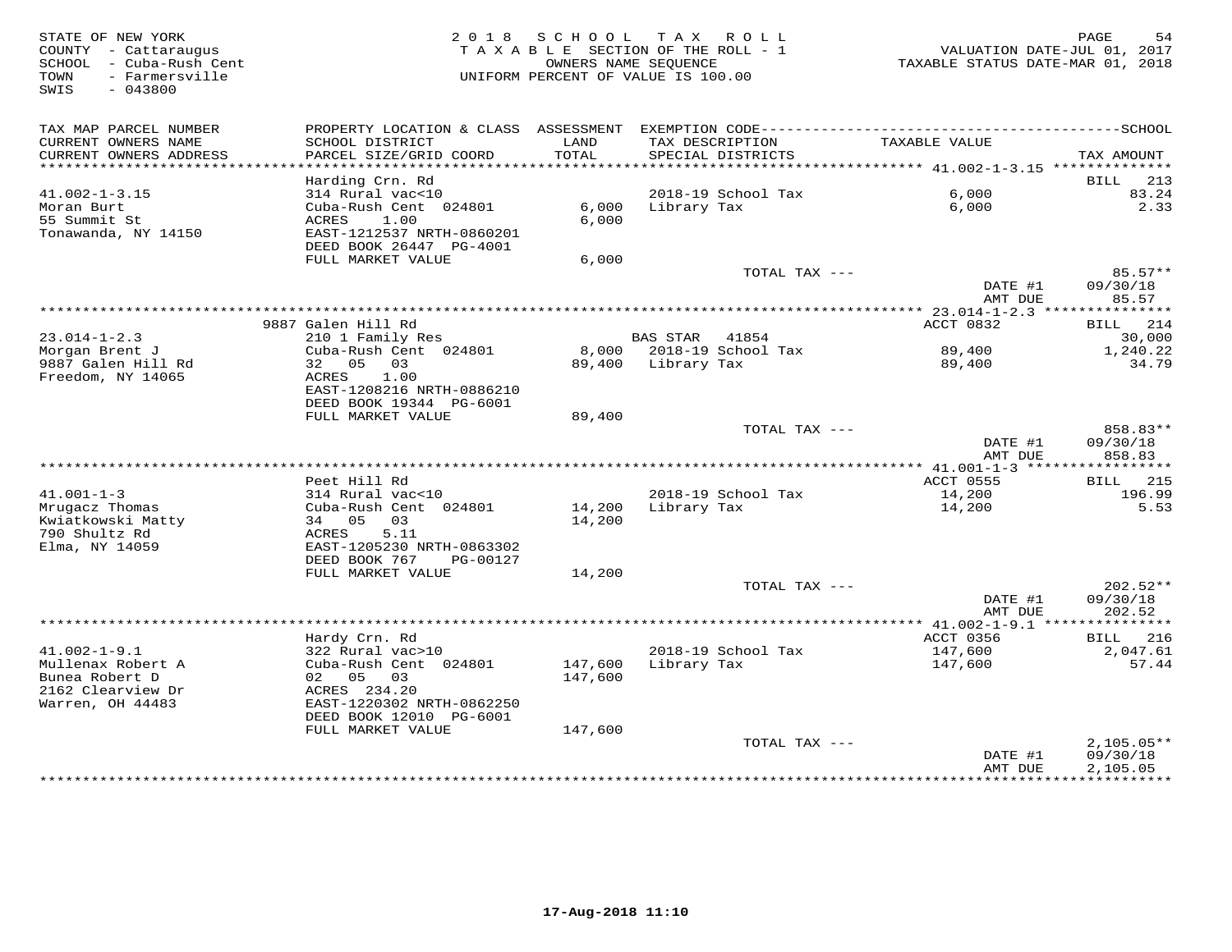| PROPERTY LOCATION & CLASS ASSESSMENT EXEMPTION CODE-----------------------------------SCHOOL<br>TAX MAP PARCEL NUMBER<br>LAND<br>TAXABLE VALUE<br>CURRENT OWNERS NAME<br>SCHOOL DISTRICT<br>TAX DESCRIPTION<br>TOTAL<br>CURRENT OWNERS ADDRESS<br>PARCEL SIZE/GRID COORD<br>SPECIAL DISTRICTS<br>********************** | TAX AMOUNT<br>213<br>BILL        |
|-------------------------------------------------------------------------------------------------------------------------------------------------------------------------------------------------------------------------------------------------------------------------------------------------------------------------|----------------------------------|
|                                                                                                                                                                                                                                                                                                                         |                                  |
| Harding Crn. Rd                                                                                                                                                                                                                                                                                                         |                                  |
| 2018-19 School Tax<br>6,000<br>$41.002 - 1 - 3.15$<br>314 Rural vac<10                                                                                                                                                                                                                                                  | 83.24                            |
| Cuba-Rush Cent 024801<br>6,000<br>6,000<br>Moran Burt<br>Library Tax<br>55 Summit St<br>1.00<br>ACRES<br>6,000<br>EAST-1212537 NRTH-0860201<br>Tonawanda, NY 14150<br>DEED BOOK 26447 PG-4001                                                                                                                           | 2.33                             |
| FULL MARKET VALUE<br>6,000                                                                                                                                                                                                                                                                                              |                                  |
| TOTAL TAX ---<br>DATE #1<br>AMT DUE                                                                                                                                                                                                                                                                                     | $85.57**$<br>09/30/18<br>85.57   |
|                                                                                                                                                                                                                                                                                                                         |                                  |
| 9887 Galen Hill Rd<br>ACCT 0832                                                                                                                                                                                                                                                                                         | 214<br>BILL                      |
| $23.014 - 1 - 2.3$<br>210 1 Family Res<br><b>BAS STAR</b> 41854                                                                                                                                                                                                                                                         | 30,000                           |
| Cuba-Rush Cent 024801<br>8,000 2018-19 School Tax<br>Morgan Brent J<br>89,400<br>9887 Galen Hill Rd<br>32 05<br>03<br>89,400 Library Tax<br>89,400                                                                                                                                                                      | 1,240.22<br>34.79                |
| Freedom, NY 14065<br>ACRES<br>1.00<br>EAST-1208216 NRTH-0886210<br>DEED BOOK 19344 PG-6001<br>FULL MARKET VALUE<br>89,400                                                                                                                                                                                               |                                  |
| TOTAL TAX ---                                                                                                                                                                                                                                                                                                           | 858.83**                         |
| DATE #1<br>AMT DUE                                                                                                                                                                                                                                                                                                      | 09/30/18<br>858.83               |
| Peet Hill Rd<br>ACCT 0555                                                                                                                                                                                                                                                                                               | 215<br>BILL                      |
| $41.001 - 1 - 3$<br>2018-19 School Tax<br>14,200<br>314 Rural vac<10                                                                                                                                                                                                                                                    | 196.99                           |
| Mrugacz Thomas<br>Cuba-Rush Cent 024801<br>14,200<br>Library Tax<br>14,200<br>34 05<br>14,200<br>Kwiatkowski Matty<br>03                                                                                                                                                                                                | 5.53                             |
| 790 Shultz Rd<br>ACRES<br>5.11<br>Elma, NY 14059<br>EAST-1205230 NRTH-0863302<br>DEED BOOK 767<br>PG-00127                                                                                                                                                                                                              |                                  |
| FULL MARKET VALUE<br>14,200                                                                                                                                                                                                                                                                                             |                                  |
| TOTAL TAX ---<br>DATE #1<br>AMT DUE                                                                                                                                                                                                                                                                                     | $202.52**$<br>09/30/18<br>202.52 |
| **********************************<br>*** $41.002 - 1 - 9.1$ ***************                                                                                                                                                                                                                                            |                                  |
| Hardy Crn. Rd<br>ACCT 0356<br>$41.002 - 1 - 9.1$<br>2018-19 School Tax<br>322 Rural vac>10<br>147,600                                                                                                                                                                                                                   | <b>BILL</b><br>216<br>2,047.61   |
| Mullenax Robert A<br>Cuba-Rush Cent 024801<br>147,600<br>Library Tax<br>147,600<br>Bunea Robert D<br>02 05 03<br>147,600<br>2162 Clearview Dr<br>ACRES 234.20<br>Warren, OH 44483<br>EAST-1220302 NRTH-0862250<br>DEED BOOK 12010 PG-6001                                                                               | 57.44                            |
| FULL MARKET VALUE<br>147,600<br>TOTAL TAX ---                                                                                                                                                                                                                                                                           | $2,105.05**$                     |
| DATE #1<br>AMT DUE                                                                                                                                                                                                                                                                                                      | 09/30/18<br>2,105.05             |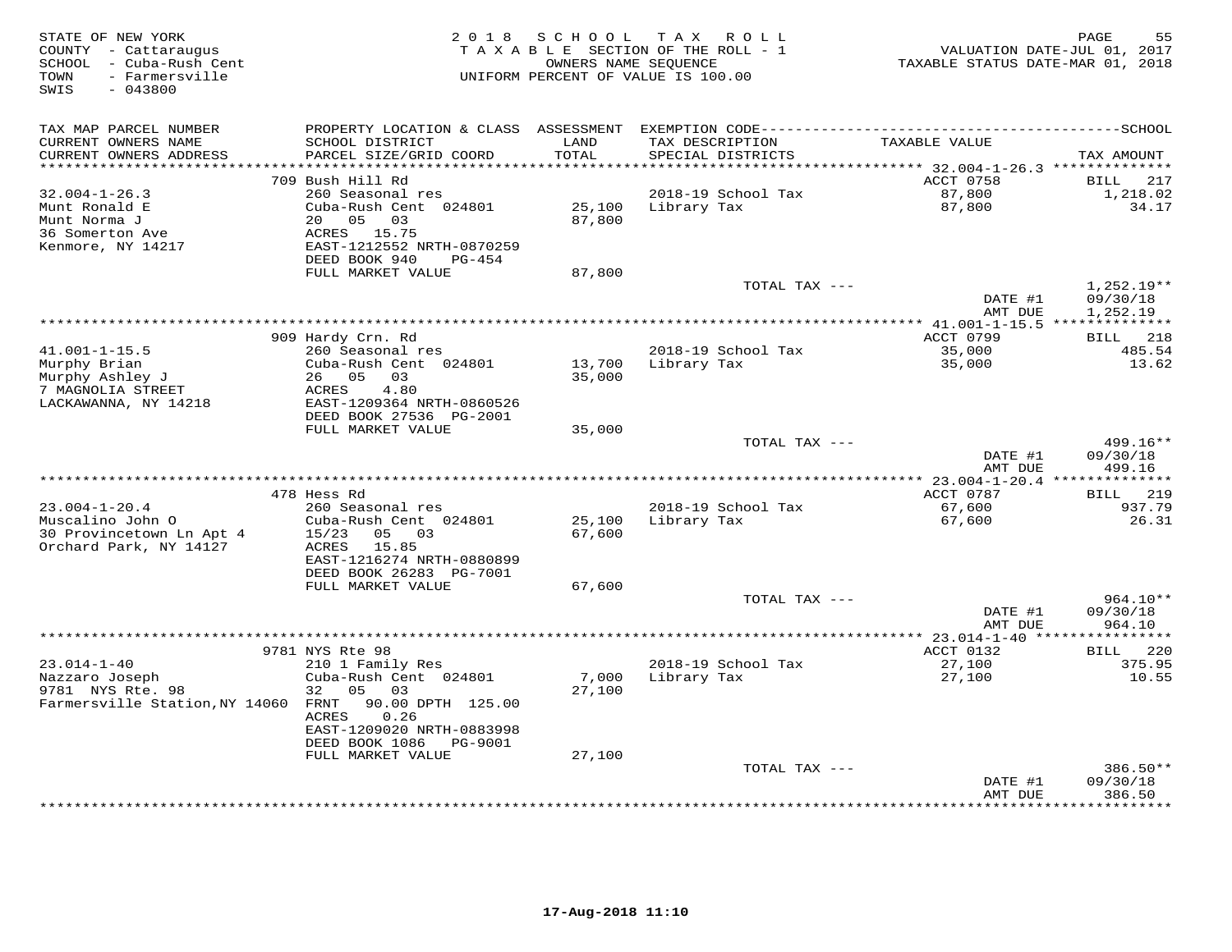| STATE OF NEW YORK<br>COUNTY - Cattaraugus<br>SCHOOL - Cuba-Rush Cent<br>TOWN<br>- Farmersville<br>$-043800$<br>SWIS |                                                                                                                                 | 2018 SCHOOL      | T A X<br>R O L L<br>TAXABLE SECTION OF THE ROLL - 1<br>OWNERS NAME SEQUENCE<br>UNIFORM PERCENT OF VALUE IS 100.00 | VALUATION DATE-JUL 01, 2017<br>TAXABLE STATUS DATE-MAR 01, 2018 | PAGE<br>55                            |
|---------------------------------------------------------------------------------------------------------------------|---------------------------------------------------------------------------------------------------------------------------------|------------------|-------------------------------------------------------------------------------------------------------------------|-----------------------------------------------------------------|---------------------------------------|
| TAX MAP PARCEL NUMBER<br>CURRENT OWNERS NAME<br>CURRENT OWNERS ADDRESS                                              | SCHOOL DISTRICT<br>PARCEL SIZE/GRID COORD                                                                                       | LAND<br>TOTAL    | TAX DESCRIPTION<br>SPECIAL DISTRICTS                                                                              | TAXABLE VALUE                                                   | TAX AMOUNT                            |
| ********************                                                                                                |                                                                                                                                 | ********         |                                                                                                                   | ************ 32.004-1-26.3 ***************                      |                                       |
|                                                                                                                     | 709 Bush Hill Rd                                                                                                                |                  |                                                                                                                   | ACCT 0758                                                       | BILL<br>217                           |
| $32.004 - 1 - 26.3$<br>Munt Ronald E<br>Munt Norma J<br>36 Somerton Ave<br>Kenmore, NY 14217                        | 260 Seasonal res<br>Cuba-Rush Cent 024801<br>20 05<br>03<br>ACRES 15.75<br>EAST-1212552 NRTH-0870259<br>DEED BOOK 940<br>PG-454 | 25,100<br>87,800 | 2018-19 School Tax<br>Library Tax                                                                                 | 87,800<br>87,800                                                | 1,218.02<br>34.17                     |
|                                                                                                                     | FULL MARKET VALUE                                                                                                               | 87,800           |                                                                                                                   |                                                                 |                                       |
|                                                                                                                     |                                                                                                                                 |                  | TOTAL TAX ---                                                                                                     | DATE #1<br>AMT DUE                                              | 1,252.19**<br>09/30/18<br>1,252.19    |
|                                                                                                                     |                                                                                                                                 |                  |                                                                                                                   | ******** 41.001-1-15.5 ***************                          |                                       |
|                                                                                                                     | 909 Hardy Crn. Rd                                                                                                               |                  |                                                                                                                   | ACCT 0799                                                       | 218<br>BILL                           |
| $41.001 - 1 - 15.5$                                                                                                 | 260 Seasonal res                                                                                                                |                  | 2018-19 School Tax                                                                                                | 35,000                                                          | 485.54                                |
| Murphy Brian                                                                                                        | Cuba-Rush Cent 024801<br>26 05 03                                                                                               | 13,700           | Library Tax                                                                                                       | 35,000                                                          | 13.62                                 |
| Murphy Ashley J<br>7 MAGNOLIA STREET                                                                                | 4.80<br>ACRES                                                                                                                   | 35,000           |                                                                                                                   |                                                                 |                                       |
| LACKAWANNA, NY 14218                                                                                                | EAST-1209364 NRTH-0860526<br>DEED BOOK 27536 PG-2001                                                                            |                  |                                                                                                                   |                                                                 |                                       |
|                                                                                                                     | FULL MARKET VALUE                                                                                                               | 35,000           |                                                                                                                   |                                                                 |                                       |
|                                                                                                                     |                                                                                                                                 |                  | TOTAL TAX ---                                                                                                     | DATE #1<br>AMT DUE                                              | 499.16**<br>09/30/18<br>499.16        |
| **********************                                                                                              |                                                                                                                                 |                  |                                                                                                                   |                                                                 |                                       |
|                                                                                                                     | 478 Hess Rd                                                                                                                     |                  |                                                                                                                   | ACCT 0787                                                       | 219<br>BILL                           |
| $23.004 - 1 - 20.4$                                                                                                 | 260 Seasonal res                                                                                                                |                  | 2018-19 School Tax                                                                                                | 67,600                                                          | 937.79                                |
| Muscalino John O<br>30 Provincetown Ln Apt 4<br>Orchard Park, NY 14127                                              | Cuba-Rush Cent 024801<br>15/23<br>05<br>03<br>ACRES<br>15.85<br>EAST-1216274 NRTH-0880899                                       | 25,100<br>67,600 | Library Tax                                                                                                       | 67,600                                                          | 26.31                                 |
|                                                                                                                     | DEED BOOK 26283 PG-7001                                                                                                         |                  |                                                                                                                   |                                                                 |                                       |
|                                                                                                                     | FULL MARKET VALUE                                                                                                               | 67,600           | TOTAL TAX ---                                                                                                     |                                                                 | 964.10**                              |
|                                                                                                                     |                                                                                                                                 |                  |                                                                                                                   | DATE #1<br>AMT DUE                                              | 09/30/18<br>964.10                    |
|                                                                                                                     |                                                                                                                                 |                  |                                                                                                                   | **** 23.014-1-40 ****************                               |                                       |
|                                                                                                                     | 9781 NYS Rte 98                                                                                                                 |                  |                                                                                                                   | ACCT 0132                                                       | 220<br>BILL                           |
| $23.014 - 1 - 40$<br>Nazzaro Joseph<br>9781 NYS Rte. 98                                                             | 210 1 Family Res<br>Cuba-Rush Cent 024801<br>32<br>05<br>03                                                                     | 7,000<br>27,100  | 2018-19 School Tax<br>Library Tax                                                                                 | 27,100<br>27,100                                                | 375.95<br>10.55                       |
| Farmersville Station, NY 14060                                                                                      | FRNT<br>90.00 DPTH 125.00<br>ACRES<br>0.26<br>EAST-1209020 NRTH-0883998<br>DEED BOOK 1086<br>PG-9001                            |                  |                                                                                                                   |                                                                 |                                       |
|                                                                                                                     | FULL MARKET VALUE                                                                                                               | 27,100           |                                                                                                                   |                                                                 |                                       |
|                                                                                                                     |                                                                                                                                 |                  | TOTAL TAX ---                                                                                                     |                                                                 | $386.50**$                            |
|                                                                                                                     |                                                                                                                                 |                  |                                                                                                                   | DATE #1<br>AMT DUE                                              | 09/30/18<br>386.50<br>* * * * * * * * |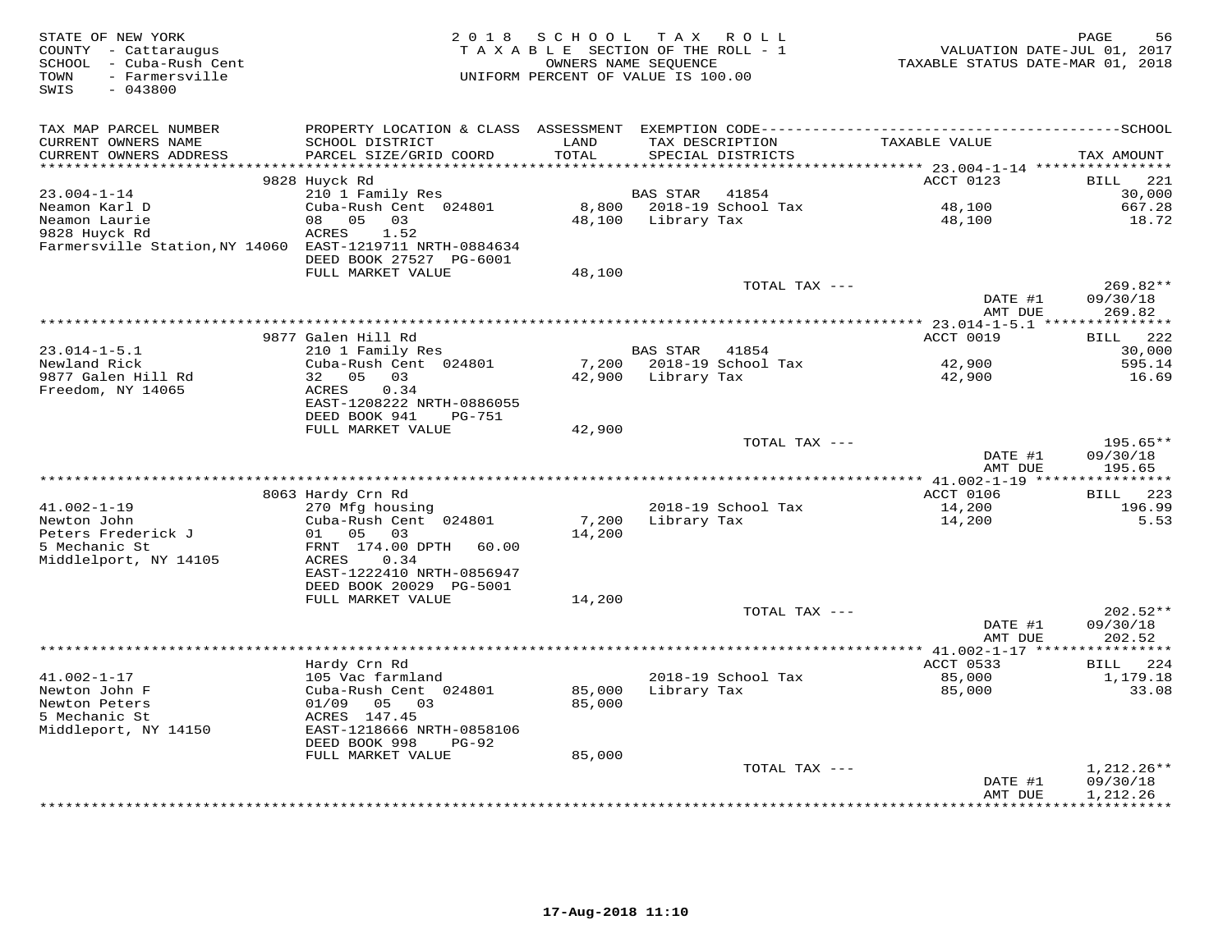| STATE OF NEW YORK<br>COUNTY - Cattaraugus<br>SCHOOL - Cuba-Rush Cent<br>TOWN<br>- Farmersville<br>SWIS<br>$-043800$ | 2 0 1 8                                                                      | SCHOOL            | T A X<br>R O L L<br>TAXABLE SECTION OF THE ROLL - 1<br>OWNERS NAME SEQUENCE<br>UNIFORM PERCENT OF VALUE IS 100.00 | VALUATION DATE-JUL 01, 2017<br>TAXABLE STATUS DATE-MAR 01, 2018 | 56<br>PAGE           |
|---------------------------------------------------------------------------------------------------------------------|------------------------------------------------------------------------------|-------------------|-------------------------------------------------------------------------------------------------------------------|-----------------------------------------------------------------|----------------------|
| TAX MAP PARCEL NUMBER                                                                                               |                                                                              |                   |                                                                                                                   |                                                                 |                      |
| CURRENT OWNERS NAME                                                                                                 | SCHOOL DISTRICT                                                              | LAND              | TAX DESCRIPTION                                                                                                   | TAXABLE VALUE                                                   |                      |
| CURRENT OWNERS ADDRESS<br>*******************                                                                       | PARCEL SIZE/GRID COORD                                                       | TOTAL<br>******** | SPECIAL DISTRICTS                                                                                                 | ********** 23.004-1-14 *****************                        | TAX AMOUNT           |
|                                                                                                                     | 9828 Huyck Rd                                                                |                   |                                                                                                                   | ACCT 0123                                                       | 221<br><b>BILL</b>   |
| $23.004 - 1 - 14$                                                                                                   | 210 1 Family Res                                                             |                   | BAS STAR<br>41854                                                                                                 |                                                                 | 30,000               |
| Neamon Karl D                                                                                                       | Cuba-Rush Cent 024801                                                        | 8,800             | 2018-19 School Tax                                                                                                | 48,100                                                          | 667.28               |
| Neamon Laurie                                                                                                       | 08<br>05<br>03                                                               | 48,100            | Library Tax                                                                                                       | 48,100                                                          | 18.72                |
| 9828 Huyck Rd<br>Farmersville Station, NY 14060 EAST-1219711 NRTH-0884634                                           | <b>ACRES</b><br>1.52<br>DEED BOOK 27527 PG-6001                              |                   |                                                                                                                   |                                                                 |                      |
|                                                                                                                     | FULL MARKET VALUE                                                            | 48,100            |                                                                                                                   |                                                                 |                      |
|                                                                                                                     |                                                                              |                   | TOTAL TAX ---                                                                                                     |                                                                 | 269.82**             |
|                                                                                                                     |                                                                              |                   |                                                                                                                   | DATE #1<br>AMT DUE                                              | 09/30/18<br>269.82   |
|                                                                                                                     |                                                                              |                   |                                                                                                                   | *** 23.014-1-5.1 ****************                               |                      |
| $23.014 - 1 - 5.1$                                                                                                  | 9877 Galen Hill Rd<br>210 1 Family Res                                       |                   | BAS STAR 41854                                                                                                    | ACCT 0019                                                       | BILL 222<br>30,000   |
| Newland Rick                                                                                                        | Cuba-Rush Cent 024801                                                        | 7,200             | 2018-19 School Tax                                                                                                | 42,900                                                          | 595.14               |
| 9877 Galen Hill Rd                                                                                                  | 32 05<br>03                                                                  | 42,900            | Library Tax                                                                                                       | 42,900                                                          | 16.69                |
| Freedom, NY 14065                                                                                                   | ACRES<br>0.34<br>EAST-1208222 NRTH-0886055<br>DEED BOOK 941<br><b>PG-751</b> |                   |                                                                                                                   |                                                                 |                      |
|                                                                                                                     | FULL MARKET VALUE                                                            | 42,900            |                                                                                                                   |                                                                 |                      |
|                                                                                                                     |                                                                              |                   | TOTAL TAX ---                                                                                                     | DATE #1                                                         | 195.65**<br>09/30/18 |
|                                                                                                                     |                                                                              |                   |                                                                                                                   | AMT DUE                                                         | 195.65               |
|                                                                                                                     |                                                                              |                   |                                                                                                                   | ACCT 0106                                                       | 223<br><b>BILL</b>   |
| $41.002 - 1 - 19$                                                                                                   | 8063 Hardy Crn Rd<br>270 Mfg housing                                         |                   | 2018-19 School Tax                                                                                                | 14,200                                                          | 196.99               |
| Newton John                                                                                                         | Cuba-Rush Cent 024801                                                        | 7,200             | Library Tax                                                                                                       | 14,200                                                          | 5.53                 |
| Peters Frederick J                                                                                                  | 01<br>05<br>03                                                               | 14,200            |                                                                                                                   |                                                                 |                      |
| 5 Mechanic St                                                                                                       | FRNT 174.00 DPTH<br>60.00                                                    |                   |                                                                                                                   |                                                                 |                      |
| Middlelport, NY 14105                                                                                               | ACRES<br>0.34                                                                |                   |                                                                                                                   |                                                                 |                      |
|                                                                                                                     | EAST-1222410 NRTH-0856947                                                    |                   |                                                                                                                   |                                                                 |                      |
|                                                                                                                     | DEED BOOK 20029 PG-5001<br>FULL MARKET VALUE                                 | 14,200            |                                                                                                                   |                                                                 |                      |
|                                                                                                                     |                                                                              |                   | TOTAL TAX ---                                                                                                     |                                                                 | $202.52**$           |
|                                                                                                                     |                                                                              |                   |                                                                                                                   | DATE #1                                                         | 09/30/18             |
|                                                                                                                     |                                                                              |                   |                                                                                                                   | AMT DUE                                                         | 202.52               |
|                                                                                                                     |                                                                              |                   |                                                                                                                   | ****** 41.002-1-17 ****                                         | ***********          |
|                                                                                                                     | Hardy Crn Rd                                                                 |                   |                                                                                                                   | ACCT 0533                                                       | BILL 224             |
| $41.002 - 1 - 17$<br>Newton John F                                                                                  | 105 Vac farmland<br>Cuba-Rush Cent 024801                                    | 85,000            | 2018-19 School Tax<br>Library Tax                                                                                 | 85,000<br>85,000                                                | 1,179.18<br>33.08    |
| Newton Peters                                                                                                       | 01/09<br>05 03                                                               | 85,000            |                                                                                                                   |                                                                 |                      |
| 5 Mechanic St                                                                                                       | ACRES 147.45                                                                 |                   |                                                                                                                   |                                                                 |                      |
| Middleport, NY 14150                                                                                                | EAST-1218666 NRTH-0858106<br>DEED BOOK 998<br>$PG-92$                        |                   |                                                                                                                   |                                                                 |                      |
|                                                                                                                     | FULL MARKET VALUE                                                            | 85,000            |                                                                                                                   |                                                                 |                      |
|                                                                                                                     |                                                                              |                   | TOTAL TAX ---                                                                                                     |                                                                 | $1,212.26**$         |
|                                                                                                                     |                                                                              |                   |                                                                                                                   | DATE #1<br>AMT DUE                                              | 09/30/18<br>1,212.26 |
|                                                                                                                     |                                                                              |                   |                                                                                                                   |                                                                 | **********           |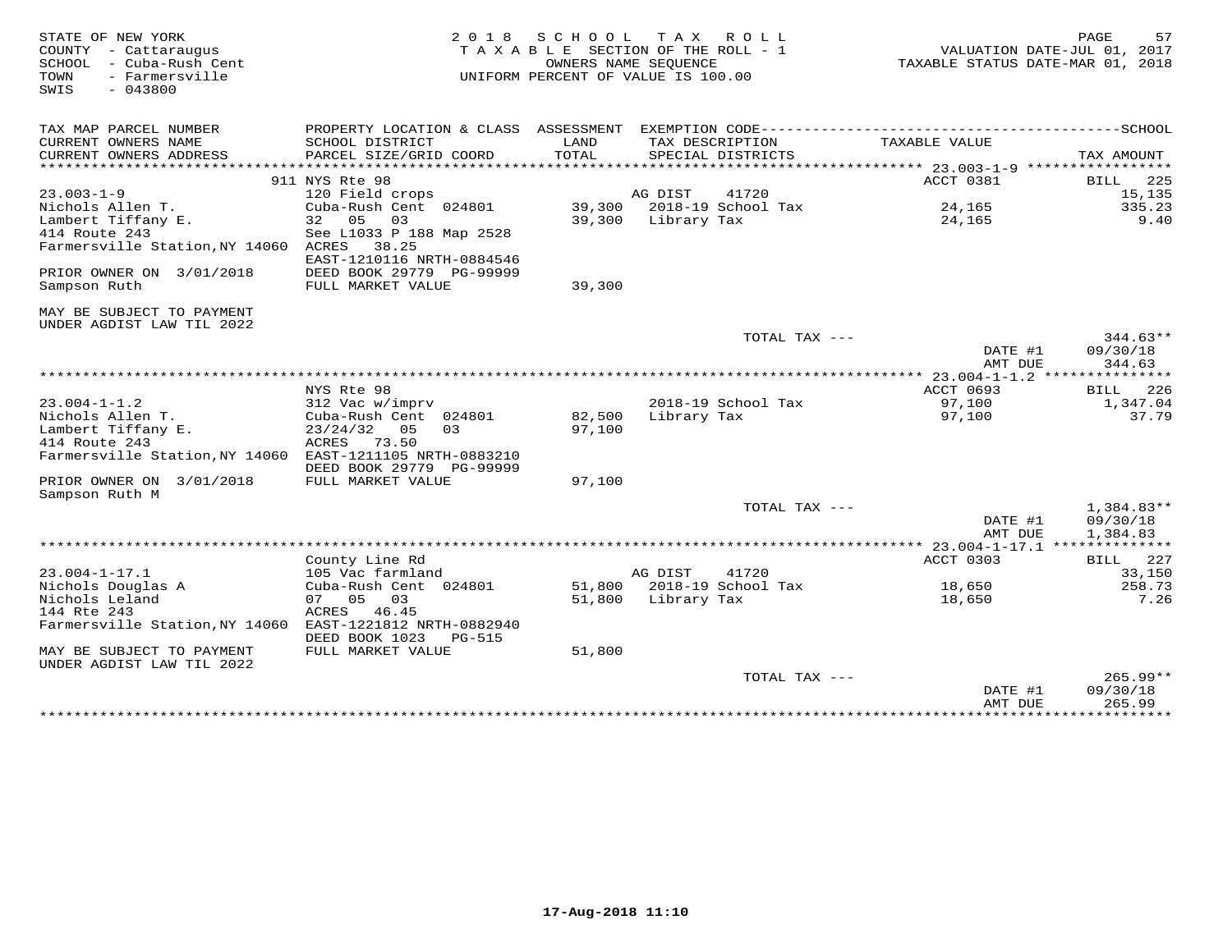| STATE OF NEW YORK<br>COUNTY - Cattaraugus<br>SCHOOL<br>- Cuba-Rush Cent<br>- Farmersville<br>TOWN<br>SWIS<br>$-043800$ | 2 0 1 8                                                                                      | S C H O O L<br>TAXABLE SECTION OF THE ROLL - 1<br>UNIFORM PERCENT OF VALUE IS 100.00 | TAX ROLL<br>OWNERS NAME SEOUENCE     |                    | TAXABLE STATUS DATE-MAR 01, 2018                  | 57<br>PAGE<br>VALUATION DATE-JUL 01, 2017 |
|------------------------------------------------------------------------------------------------------------------------|----------------------------------------------------------------------------------------------|--------------------------------------------------------------------------------------|--------------------------------------|--------------------|---------------------------------------------------|-------------------------------------------|
| TAX MAP PARCEL NUMBER                                                                                                  | PROPERTY LOCATION & CLASS ASSESSMENT EXEMPTION CODE-----------------------------------SCHOOL |                                                                                      |                                      |                    |                                                   |                                           |
| CURRENT OWNERS NAME<br>CURRENT OWNERS ADDRESS                                                                          | SCHOOL DISTRICT<br>PARCEL SIZE/GRID COORD                                                    | LAND<br>TOTAL                                                                        | TAX DESCRIPTION<br>SPECIAL DISTRICTS |                    | TAXABLE VALUE                                     |                                           |
| **********************                                                                                                 |                                                                                              |                                                                                      |                                      |                    |                                                   | TAX AMOUNT                                |
|                                                                                                                        | 911 NYS Rte 98                                                                               |                                                                                      |                                      |                    | ACCT 0381                                         | 225<br>BILL                               |
| $23.003 - 1 - 9$                                                                                                       | 120 Field crops                                                                              |                                                                                      | AG DIST                              | 41720              |                                                   | 15,135                                    |
| Nichols Allen T.                                                                                                       | Cuba-Rush Cent 024801                                                                        | 39,300                                                                               |                                      | 2018-19 School Tax | 24,165                                            | 335.23                                    |
| Lambert Tiffany E.                                                                                                     | 32<br>05<br>03                                                                               | 39,300                                                                               | Library Tax                          |                    | 24,165                                            | 9.40                                      |
| 414 Route 243<br>Farmersville Station, NY 14060                                                                        | See L1033 P 188 Map 2528<br>38.25<br>ACRES                                                   |                                                                                      |                                      |                    |                                                   |                                           |
|                                                                                                                        | EAST-1210116 NRTH-0884546                                                                    |                                                                                      |                                      |                    |                                                   |                                           |
| PRIOR OWNER ON 3/01/2018                                                                                               | DEED BOOK 29779 PG-99999                                                                     |                                                                                      |                                      |                    |                                                   |                                           |
| Sampson Ruth                                                                                                           | FULL MARKET VALUE                                                                            | 39,300                                                                               |                                      |                    |                                                   |                                           |
|                                                                                                                        |                                                                                              |                                                                                      |                                      |                    |                                                   |                                           |
| MAY BE SUBJECT TO PAYMENT<br>UNDER AGDIST LAW TIL 2022                                                                 |                                                                                              |                                                                                      |                                      |                    |                                                   |                                           |
|                                                                                                                        |                                                                                              |                                                                                      |                                      | TOTAL TAX $---$    |                                                   | $344.63**$                                |
|                                                                                                                        |                                                                                              |                                                                                      |                                      |                    | DATE #1                                           | 09/30/18                                  |
|                                                                                                                        |                                                                                              |                                                                                      |                                      |                    | AMT DUE                                           | 344.63                                    |
|                                                                                                                        | NYS Rte 98                                                                                   |                                                                                      |                                      |                    | $* 23.004 - 1 - 1.2$ ***<br>ACCT 0693             | 226<br>BILL                               |
| $23.004 - 1 - 1.2$                                                                                                     | 312 Vac w/imprv                                                                              |                                                                                      |                                      | 2018-19 School Tax | 97,100                                            | 1,347.04                                  |
| Nichols Allen T.                                                                                                       | Cuba-Rush Cent 024801                                                                        | 82,500                                                                               | Library Tax                          |                    | 97,100                                            | 37.79                                     |
| Lambert Tiffany E.                                                                                                     | 23/24/32<br>05<br>03                                                                         | 97,100                                                                               |                                      |                    |                                                   |                                           |
| 414 Route 243                                                                                                          | ACRES<br>73.50                                                                               |                                                                                      |                                      |                    |                                                   |                                           |
| Farmersville Station, NY 14060                                                                                         | EAST-1211105 NRTH-0883210                                                                    |                                                                                      |                                      |                    |                                                   |                                           |
| PRIOR OWNER ON 3/01/2018                                                                                               | DEED BOOK 29779 PG-99999<br>FULL MARKET VALUE                                                | 97,100                                                                               |                                      |                    |                                                   |                                           |
| Sampson Ruth M                                                                                                         |                                                                                              |                                                                                      |                                      |                    |                                                   |                                           |
|                                                                                                                        |                                                                                              |                                                                                      |                                      | TOTAL TAX ---      |                                                   | 1,384.83**                                |
|                                                                                                                        |                                                                                              |                                                                                      |                                      |                    | DATE #1                                           | 09/30/18                                  |
|                                                                                                                        |                                                                                              |                                                                                      |                                      |                    | AMT DUE                                           | 1,384.83                                  |
|                                                                                                                        | County Line Rd                                                                               |                                                                                      |                                      |                    | $* 23.004 - 1 - 17.1$ **************<br>ACCT 0303 | 227<br>BILL                               |
| $23.004 - 1 - 17.1$                                                                                                    | 105 Vac farmland                                                                             |                                                                                      | AG DIST                              | 41720              |                                                   | 33,150                                    |
| Nichols Douglas A                                                                                                      | Cuba-Rush Cent 024801                                                                        |                                                                                      | 51,800 2018-19 School Tax            |                    | 18,650                                            | 258.73                                    |
| Nichols Leland                                                                                                         | 07 05 03                                                                                     | 51,800                                                                               | Library Tax                          |                    | 18,650                                            | 7.26                                      |
| 144 Rte 243                                                                                                            | ACRES<br>46.45                                                                               |                                                                                      |                                      |                    |                                                   |                                           |
| Farmersville Station, NY 14060                                                                                         | EAST-1221812 NRTH-0882940<br>DEED BOOK 1023<br>PG-515                                        |                                                                                      |                                      |                    |                                                   |                                           |
| MAY BE SUBJECT TO PAYMENT                                                                                              | FULL MARKET VALUE                                                                            | 51,800                                                                               |                                      |                    |                                                   |                                           |
| UNDER AGDIST LAW TIL 2022                                                                                              |                                                                                              |                                                                                      |                                      |                    |                                                   |                                           |
|                                                                                                                        |                                                                                              |                                                                                      |                                      | TOTAL TAX ---      |                                                   | 265.99**                                  |
|                                                                                                                        |                                                                                              |                                                                                      |                                      |                    | DATE #1                                           | 09/30/18                                  |
|                                                                                                                        |                                                                                              |                                                                                      |                                      |                    | AMT DUE<br>**************                         | 265.99<br>**********                      |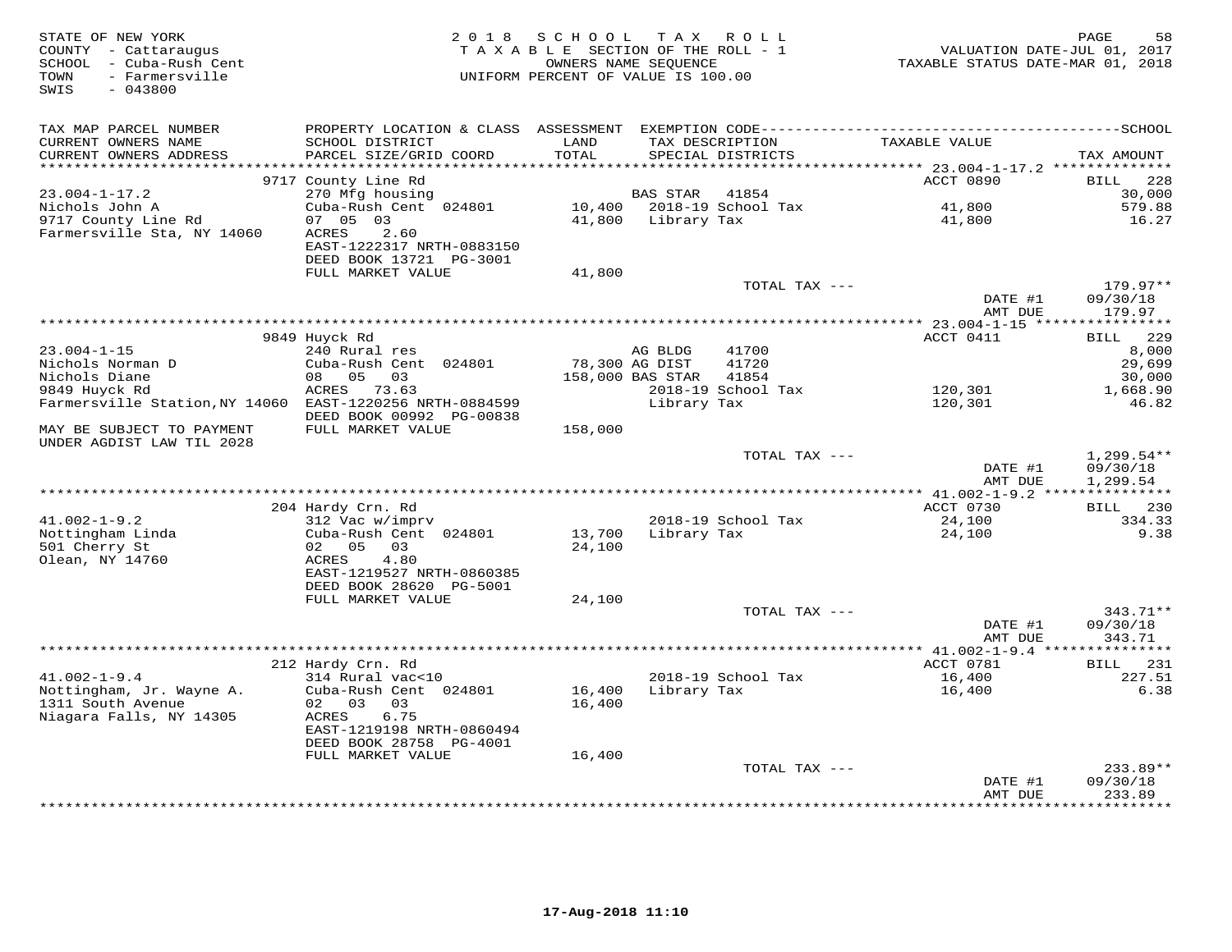| STATE OF NEW YORK<br>COUNTY - Cattaraugus<br>SCHOOL - Cuba-Rush Cent<br>TOWN<br>- Farmersville<br>SWIS<br>$-043800$ | 2 0 1 8                                              | SCHOOL<br>TAXABLE SECTION OF THE ROLL - 1<br>OWNERS NAME SEQUENCE<br>UNIFORM PERCENT OF VALUE IS 100.00 |                    | TAX ROLL                             | VALUATION DATE-JUL 01, 2017<br>TAXABLE STATUS DATE-MAR 01, 2018 | PAGE<br>58                   |
|---------------------------------------------------------------------------------------------------------------------|------------------------------------------------------|---------------------------------------------------------------------------------------------------------|--------------------|--------------------------------------|-----------------------------------------------------------------|------------------------------|
| TAX MAP PARCEL NUMBER                                                                                               |                                                      |                                                                                                         |                    |                                      |                                                                 |                              |
| CURRENT OWNERS NAME<br>CURRENT OWNERS ADDRESS                                                                       | SCHOOL DISTRICT<br>PARCEL SIZE/GRID COORD            | LAND<br>TOTAL                                                                                           |                    | TAX DESCRIPTION<br>SPECIAL DISTRICTS | TAXABLE VALUE                                                   | TAX AMOUNT                   |
| *******************                                                                                                 |                                                      | ********                                                                                                |                    |                                      | ******* 23.004-1-17.2 ***************                           |                              |
| $23.004 - 1 - 17.2$                                                                                                 | 9717 County Line Rd<br>270 Mfg housing               |                                                                                                         | BAS STAR           | 41854                                | ACCT 0890                                                       | <b>BILL</b><br>228<br>30,000 |
| Nichols John A                                                                                                      | Cuba-Rush Cent 024801                                |                                                                                                         |                    | 10,400 2018-19 School Tax            | 41,800                                                          | 579.88                       |
| 9717 County Line Rd                                                                                                 | 07 05 03                                             |                                                                                                         | 41,800 Library Tax |                                      | 41,800                                                          | 16.27                        |
| Farmersville Sta, NY 14060                                                                                          | 2.60<br>ACRES<br>EAST-1222317 NRTH-0883150           |                                                                                                         |                    |                                      |                                                                 |                              |
|                                                                                                                     | DEED BOOK 13721 PG-3001                              |                                                                                                         |                    |                                      |                                                                 |                              |
|                                                                                                                     | FULL MARKET VALUE                                    | 41,800                                                                                                  |                    | TOTAL TAX ---                        |                                                                 | $179.97**$                   |
|                                                                                                                     |                                                      |                                                                                                         |                    |                                      | DATE #1<br>AMT DUE                                              | 09/30/18<br>179.97           |
|                                                                                                                     |                                                      |                                                                                                         |                    |                                      |                                                                 |                              |
|                                                                                                                     | 9849 Huyck Rd                                        |                                                                                                         |                    |                                      | ACCT 0411                                                       | BILL 229                     |
| $23.004 - 1 - 15$                                                                                                   | 240 Rural res                                        |                                                                                                         | AG BLDG            | 41700                                |                                                                 | 8,000                        |
| Nichols Norman D                                                                                                    | Cuba-Rush Cent 024801                                | 78,300 AG DIST                                                                                          |                    | 41720                                |                                                                 | 29,699                       |
| Nichols Diane                                                                                                       | 08 05 03                                             |                                                                                                         | 158,000 BAS STAR   | 41854                                |                                                                 | 30,000                       |
| 9849 Huyck Rd<br>Farmersville Station, NY 14060 EAST-1220256 NRTH-0884599                                           | ACRES 73.63                                          |                                                                                                         | Library Tax        | 2018-19 School Tax                   | 120,301<br>120,301                                              | 1,668.90<br>46.82            |
|                                                                                                                     | DEED BOOK 00992 PG-00838                             |                                                                                                         |                    |                                      |                                                                 |                              |
| MAY BE SUBJECT TO PAYMENT<br>UNDER AGDIST LAW TIL 2028                                                              | FULL MARKET VALUE                                    | 158,000                                                                                                 |                    |                                      |                                                                 |                              |
|                                                                                                                     |                                                      |                                                                                                         |                    | TOTAL TAX ---                        |                                                                 | $1,299.54**$                 |
|                                                                                                                     |                                                      |                                                                                                         |                    |                                      | DATE #1<br>AMT DUE                                              | 09/30/18<br>1,299.54         |
|                                                                                                                     |                                                      |                                                                                                         |                    |                                      |                                                                 |                              |
| $41.002 - 1 - 9.2$                                                                                                  | 204 Hardy Crn. Rd<br>312 Vac w/imprv                 |                                                                                                         |                    | 2018-19 School Tax                   | ACCT 0730<br>24,100                                             | BILL 230<br>334.33           |
| Nottingham Linda                                                                                                    | Cuba-Rush Cent 024801                                | 13,700                                                                                                  | Library Tax        |                                      | 24,100                                                          | 9.38                         |
| 501 Cherry St                                                                                                       | 02 05<br>03                                          | 24,100                                                                                                  |                    |                                      |                                                                 |                              |
| Olean, NY 14760                                                                                                     | ACRES<br>4.80                                        |                                                                                                         |                    |                                      |                                                                 |                              |
|                                                                                                                     | EAST-1219527 NRTH-0860385                            |                                                                                                         |                    |                                      |                                                                 |                              |
|                                                                                                                     | DEED BOOK 28620 PG-5001                              |                                                                                                         |                    |                                      |                                                                 |                              |
|                                                                                                                     | FULL MARKET VALUE                                    | 24,100                                                                                                  |                    |                                      |                                                                 |                              |
|                                                                                                                     |                                                      |                                                                                                         |                    | TOTAL TAX ---                        | DATE #1                                                         | 343.71**<br>09/30/18         |
|                                                                                                                     |                                                      |                                                                                                         |                    |                                      | AMT DUE                                                         | 343.71                       |
|                                                                                                                     |                                                      |                                                                                                         |                    |                                      |                                                                 | * * * * * * * * * * * *      |
|                                                                                                                     | 212 Hardy Crn. Rd                                    |                                                                                                         |                    |                                      | ACCT 0781                                                       | BILL 231                     |
| $41.002 - 1 - 9.4$                                                                                                  | 314 Rural vac<10                                     |                                                                                                         |                    | 2018-19 School Tax                   | 16,400                                                          | 227.51                       |
| Nottingham, Jr. Wayne A.                                                                                            | Cuba-Rush Cent 024801                                | 16,400                                                                                                  | Library Tax        |                                      | 16,400                                                          | 6.38                         |
| 1311 South Avenue                                                                                                   | 02 03<br>03                                          | 16,400                                                                                                  |                    |                                      |                                                                 |                              |
| Niagara Falls, NY 14305                                                                                             | ACRES<br>6.75                                        |                                                                                                         |                    |                                      |                                                                 |                              |
|                                                                                                                     | EAST-1219198 NRTH-0860494<br>DEED BOOK 28758 PG-4001 |                                                                                                         |                    |                                      |                                                                 |                              |
|                                                                                                                     | FULL MARKET VALUE                                    | 16,400                                                                                                  |                    |                                      |                                                                 |                              |
|                                                                                                                     |                                                      |                                                                                                         |                    | TOTAL TAX ---                        |                                                                 | 233.89**                     |
|                                                                                                                     |                                                      |                                                                                                         |                    |                                      | DATE #1                                                         | 09/30/18                     |
|                                                                                                                     |                                                      |                                                                                                         |                    |                                      | AMT DUE<br>**************                                       | 233.89<br>* * * * * * * * *  |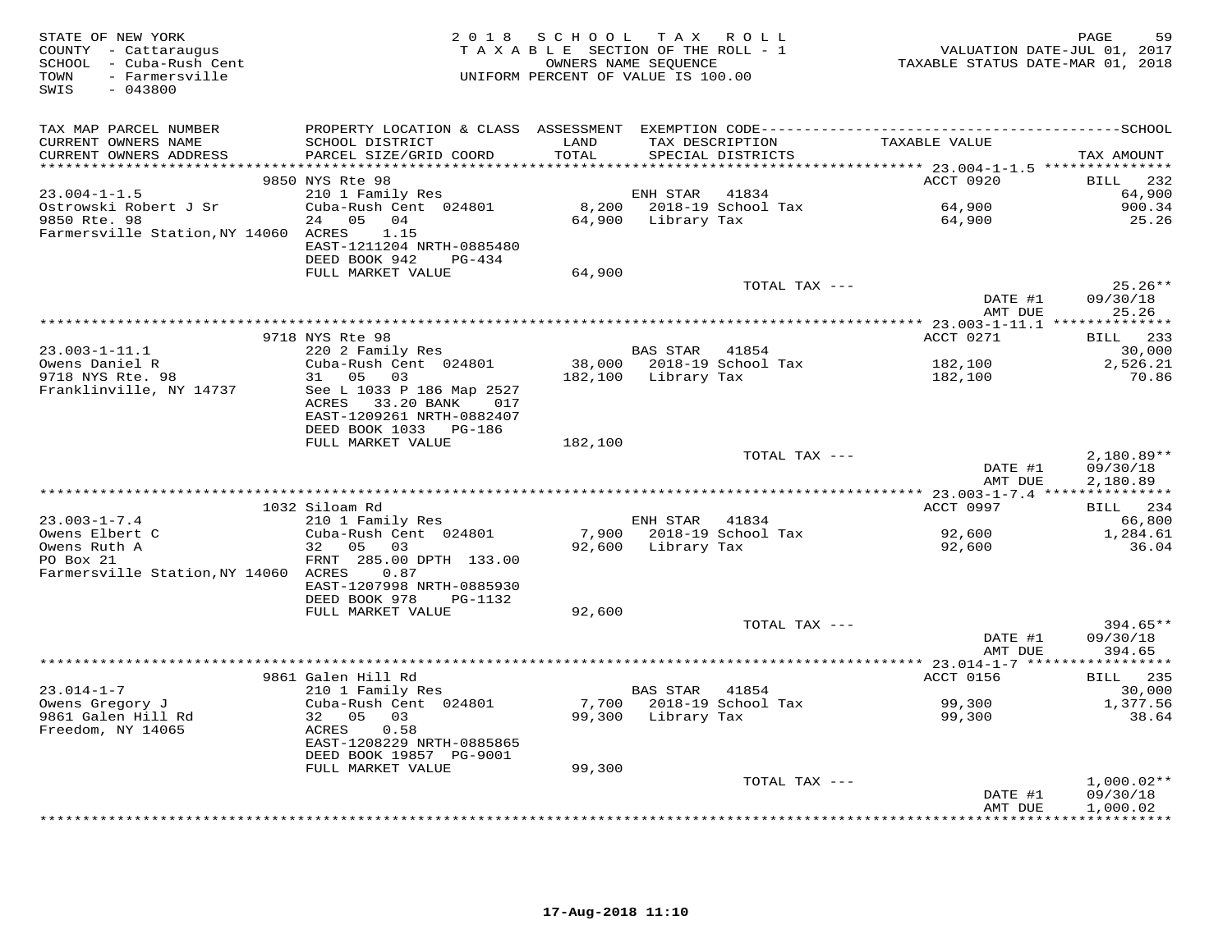| STATE OF NEW YORK<br>COUNTY - Cattaraugus<br>SCHOOL - Cuba-Rush Cent<br>TOWN<br>- Farmersville<br>$-043800$<br>SWIS |                                                                                                            | 2018 SCHOOL<br>TAXABLE SECTION OF THE ROLL - 1<br>OWNERS NAME SEQUENCE<br>UNIFORM PERCENT OF VALUE IS 100.00 | T A X              | R O L L                              | VALUATION DATE-JUL 01, 2017<br>TAXABLE STATUS DATE-MAR 01, 2018 | PAGE<br>59                     |
|---------------------------------------------------------------------------------------------------------------------|------------------------------------------------------------------------------------------------------------|--------------------------------------------------------------------------------------------------------------|--------------------|--------------------------------------|-----------------------------------------------------------------|--------------------------------|
| TAX MAP PARCEL NUMBER                                                                                               |                                                                                                            |                                                                                                              |                    |                                      |                                                                 |                                |
| CURRENT OWNERS NAME<br>CURRENT OWNERS ADDRESS                                                                       | SCHOOL DISTRICT<br>PARCEL SIZE/GRID COORD                                                                  | LAND<br>TOTAL                                                                                                |                    | TAX DESCRIPTION<br>SPECIAL DISTRICTS | TAXABLE VALUE                                                   | TAX AMOUNT                     |
|                                                                                                                     |                                                                                                            |                                                                                                              |                    |                                      |                                                                 |                                |
|                                                                                                                     | 9850 NYS Rte 98                                                                                            |                                                                                                              |                    |                                      | ACCT 0920                                                       | BILL 232                       |
| $23.004 - 1 - 1.5$                                                                                                  | 210 1 Family Res                                                                                           |                                                                                                              | ENH STAR           | 41834                                |                                                                 | 64,900                         |
| Ostrowski Robert J Sr                                                                                               | Cuba-Rush Cent 024801                                                                                      |                                                                                                              |                    | 8,200 2018-19 School Tax             | 64,900                                                          | 900.34                         |
| 9850 Rte. 98<br>Farmersville Station, NY 14060 ACRES                                                                | 05 04<br>24<br>1.15<br>EAST-1211204 NRTH-0885480<br>DEED BOOK 942<br>PG-434                                |                                                                                                              | 64,900 Library Tax |                                      | 64,900                                                          | 25.26                          |
|                                                                                                                     | FULL MARKET VALUE                                                                                          | 64,900                                                                                                       |                    |                                      |                                                                 |                                |
|                                                                                                                     |                                                                                                            |                                                                                                              |                    | TOTAL TAX ---                        |                                                                 | $25.26**$                      |
|                                                                                                                     |                                                                                                            |                                                                                                              |                    |                                      | DATE #1                                                         | 09/30/18                       |
|                                                                                                                     |                                                                                                            |                                                                                                              |                    |                                      | AMT DUE                                                         | 25.26                          |
|                                                                                                                     |                                                                                                            |                                                                                                              |                    |                                      |                                                                 |                                |
|                                                                                                                     | 9718 NYS Rte 98                                                                                            |                                                                                                              |                    |                                      | ACCT 0271                                                       | BILL 233                       |
| $23.003 - 1 - 11.1$                                                                                                 | 220 2 Family Res                                                                                           |                                                                                                              | BAS STAR           | 41854                                |                                                                 | 30,000                         |
| Owens Daniel R<br>9718 NYS Rte. 98                                                                                  | Cuba-Rush Cent 024801<br>31 05 03                                                                          |                                                                                                              | Library Tax        | 38,000 2018-19 School Tax            | 182,100                                                         | 2,526.21<br>70.86              |
| Franklinville, NY 14737                                                                                             | See L 1033 P 186 Map 2527<br>ACRES<br>33.20 BANK 017<br>EAST-1209261 NRTH-0882407<br>DEED BOOK 1033 PG-186 | 182,100                                                                                                      |                    |                                      | 182,100                                                         |                                |
|                                                                                                                     | FULL MARKET VALUE                                                                                          | 182,100                                                                                                      |                    |                                      |                                                                 |                                |
|                                                                                                                     |                                                                                                            |                                                                                                              |                    | TOTAL TAX ---                        |                                                                 | $2,180.89**$                   |
|                                                                                                                     |                                                                                                            |                                                                                                              |                    |                                      | DATE #1<br>AMT DUE                                              | 09/30/18<br>2,180.89           |
|                                                                                                                     |                                                                                                            |                                                                                                              |                    |                                      | ********** 23.003-1-7.4 ***************                         |                                |
|                                                                                                                     | 1032 Siloam Rd                                                                                             |                                                                                                              |                    |                                      | ACCT 0997                                                       | BILL 234                       |
| $23.003 - 1 - 7.4$<br>Owens Elbert C                                                                                | 210 1 Family Res<br>Cuba-Rush Cent 024801                                                                  | 7,900                                                                                                        | ENH STAR           | 41834<br>2018-19 School Tax          | 92,600                                                          | 66,800<br>1,284.61             |
| Owens Ruth A                                                                                                        | 32 05 03                                                                                                   | 92,600                                                                                                       | Library Tax        |                                      | 92,600                                                          | 36.04                          |
| PO Box 21<br>Farmersville Station, NY 14060 ACRES                                                                   | FRNT 285.00 DPTH 133.00<br>0.87<br>EAST-1207998 NRTH-0885930                                               |                                                                                                              |                    |                                      |                                                                 |                                |
|                                                                                                                     | DEED BOOK 978<br>PG-1132                                                                                   |                                                                                                              |                    |                                      |                                                                 |                                |
|                                                                                                                     | FULL MARKET VALUE                                                                                          | 92,600                                                                                                       |                    |                                      |                                                                 |                                |
|                                                                                                                     |                                                                                                            |                                                                                                              |                    | TOTAL TAX ---                        | DATE #1<br>AMT DUE                                              | 394.65**<br>09/30/18<br>394.65 |
|                                                                                                                     |                                                                                                            |                                                                                                              |                    |                                      |                                                                 |                                |
|                                                                                                                     | 9861 Galen Hill Rd                                                                                         |                                                                                                              |                    |                                      | ACCT 0156                                                       | <b>BILL</b> 235                |
| $23.014 - 1 - 7$                                                                                                    | 210 1 Family Res                                                                                           |                                                                                                              | <b>BAS STAR</b>    | 41854                                |                                                                 | 30,000                         |
| Owens Gregory J                                                                                                     | Cuba-Rush Cent 024801                                                                                      |                                                                                                              |                    | 7,700 2018-19 School Tax             | 99,300                                                          | 1,377.56                       |
| 9861 Galen Hill Rd<br>Freedom, NY 14065                                                                             | 32 05 03<br>ACRES<br>0.58<br>EAST-1208229 NRTH-0885865                                                     | 99,300                                                                                                       | Library Tax        |                                      | 99,300                                                          | 38.64                          |
|                                                                                                                     | DEED BOOK 19857 PG-9001                                                                                    |                                                                                                              |                    |                                      |                                                                 |                                |
|                                                                                                                     | FULL MARKET VALUE                                                                                          | 99,300                                                                                                       |                    |                                      |                                                                 |                                |
|                                                                                                                     |                                                                                                            |                                                                                                              |                    | TOTAL TAX ---                        | DATE #1                                                         | $1,000.02**$<br>09/30/18       |
|                                                                                                                     |                                                                                                            |                                                                                                              |                    |                                      | AMT DUE                                                         | 1,000.02                       |
|                                                                                                                     |                                                                                                            |                                                                                                              |                    |                                      |                                                                 | <b>++++++++++</b>              |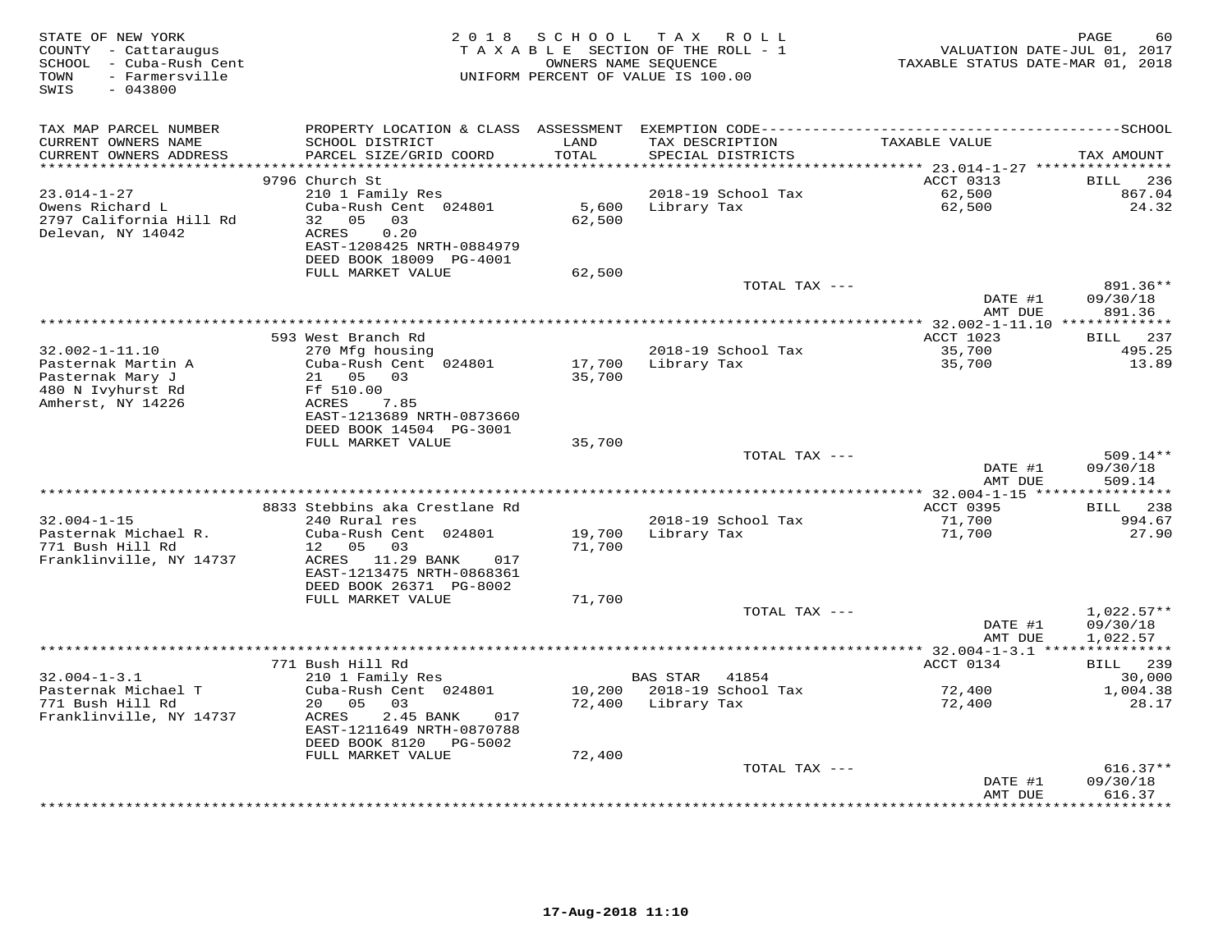| STATE OF NEW YORK<br>COUNTY - Cattaraugus<br>- Cuba-Rush Cent<br>SCHOOL<br>- Farmersville<br>TOWN<br>SWIS<br>$-043800$ |                                                                                                                                   | 2018 SCHOOL<br>OWNERS NAME SEQUENCE | TAX ROLL<br>TAXABLE SECTION OF THE ROLL - 1<br>UNIFORM PERCENT OF VALUE IS 100.00 | VALUATION DATE-JUL 01, 2017<br>TAXABLE STATUS DATE-MAR 01, 2018 | PAGE<br>60                           |
|------------------------------------------------------------------------------------------------------------------------|-----------------------------------------------------------------------------------------------------------------------------------|-------------------------------------|-----------------------------------------------------------------------------------|-----------------------------------------------------------------|--------------------------------------|
| TAX MAP PARCEL NUMBER<br>CURRENT OWNERS NAME<br>CURRENT OWNERS ADDRESS<br>***********************                      | SCHOOL DISTRICT<br>PARCEL SIZE/GRID COORD                                                                                         | LAND<br>TOTAL                       | TAX DESCRIPTION<br>SPECIAL DISTRICTS                                              | TAXABLE VALUE                                                   | TAX AMOUNT                           |
|                                                                                                                        | 9796 Church St                                                                                                                    |                                     |                                                                                   | ACCT 0313                                                       | <b>BILL</b><br>236                   |
| $23.014 - 1 - 27$<br>Owens Richard L<br>2797 California Hill Rd<br>Delevan, NY 14042                                   | 210 1 Family Res<br>Cuba-Rush Cent 024801<br>32 05<br>03<br>ACRES<br>0.20<br>EAST-1208425 NRTH-0884979<br>DEED BOOK 18009 PG-4001 | 5,600<br>62,500                     | 2018-19 School Tax<br>Library Tax                                                 | 62,500<br>62,500                                                | 867.04<br>24.32                      |
|                                                                                                                        | FULL MARKET VALUE                                                                                                                 | 62,500                              | TOTAL TAX ---                                                                     |                                                                 | 891.36**                             |
|                                                                                                                        |                                                                                                                                   |                                     |                                                                                   | DATE #1<br>AMT DUE                                              | 09/30/18<br>891.36                   |
|                                                                                                                        | 593 West Branch Rd                                                                                                                |                                     |                                                                                   | ACCT 1023                                                       | BILL 237                             |
| $32.002 - 1 - 11.10$<br>Pasternak Martin A<br>Pasternak Mary J                                                         | 270 Mfg housing<br>Cuba-Rush Cent 024801<br>21  05  03                                                                            | 17,700<br>35,700                    | 2018-19 School Tax<br>Library Tax                                                 | 35,700<br>35,700                                                | 495.25<br>13.89                      |
| 480 N Ivyhurst Rd<br>Amherst, NY 14226                                                                                 | Ff 510.00<br>ACRES<br>7.85<br>EAST-1213689 NRTH-0873660<br>DEED BOOK 14504 PG-3001                                                |                                     |                                                                                   |                                                                 |                                      |
|                                                                                                                        | FULL MARKET VALUE                                                                                                                 | 35,700                              | TOTAL TAX ---                                                                     |                                                                 | $509.14**$                           |
|                                                                                                                        |                                                                                                                                   |                                     |                                                                                   | DATE #1<br>AMT DUE                                              | 09/30/18<br>509.14                   |
|                                                                                                                        | 8833 Stebbins aka Crestlane Rd                                                                                                    |                                     |                                                                                   | ACCT 0395                                                       | BILL 238                             |
| $32.004 - 1 - 15$<br>Pasternak Michael R.<br>771 Bush Hill Rd                                                          | 240 Rural res<br>Cuba-Rush Cent 024801<br>03<br>12 <sub>2</sub><br>05                                                             | 19,700<br>71,700                    | 2018-19 School Tax<br>Library Tax                                                 | 71,700<br>71,700                                                | 994.67<br>27.90                      |
| Franklinville, NY 14737                                                                                                | ACRES 11.29 BANK<br>017<br>EAST-1213475 NRTH-0868361<br>DEED BOOK 26371 PG-8002<br>FULL MARKET VALUE                              | 71,700                              |                                                                                   |                                                                 |                                      |
|                                                                                                                        |                                                                                                                                   |                                     | TOTAL TAX ---                                                                     | DATE #1<br>AMT DUE                                              | $1,022.57**$<br>09/30/18<br>1,022.57 |
|                                                                                                                        |                                                                                                                                   |                                     |                                                                                   |                                                                 | ***********                          |
| $32.004 - 1 - 3.1$                                                                                                     | 771 Bush Hill Rd<br>210 1 Family Res                                                                                              |                                     | <b>BAS STAR</b><br>41854                                                          | ACCT 0134                                                       | 239<br>BILL<br>30,000                |
| Pasternak Michael T<br>771 Bush Hill Rd<br>Franklinville, NY 14737                                                     | Cuba-Rush Cent 024801<br>20<br>05<br>03<br>2.45 BANK<br>ACRES<br>017                                                              | 10,200<br>72,400                    | 2018-19 School Tax<br>Library Tax                                                 | 72,400<br>72,400                                                | 1,004.38<br>28.17                    |
|                                                                                                                        | EAST-1211649 NRTH-0870788<br>DEED BOOK 8120 PG-5002                                                                               |                                     |                                                                                   |                                                                 |                                      |
|                                                                                                                        | FULL MARKET VALUE                                                                                                                 | 72,400                              | TOTAL TAX ---                                                                     | DATE #1                                                         | $616.37**$<br>09/30/18               |
|                                                                                                                        |                                                                                                                                   |                                     |                                                                                   | AMT DUE                                                         | 616.37                               |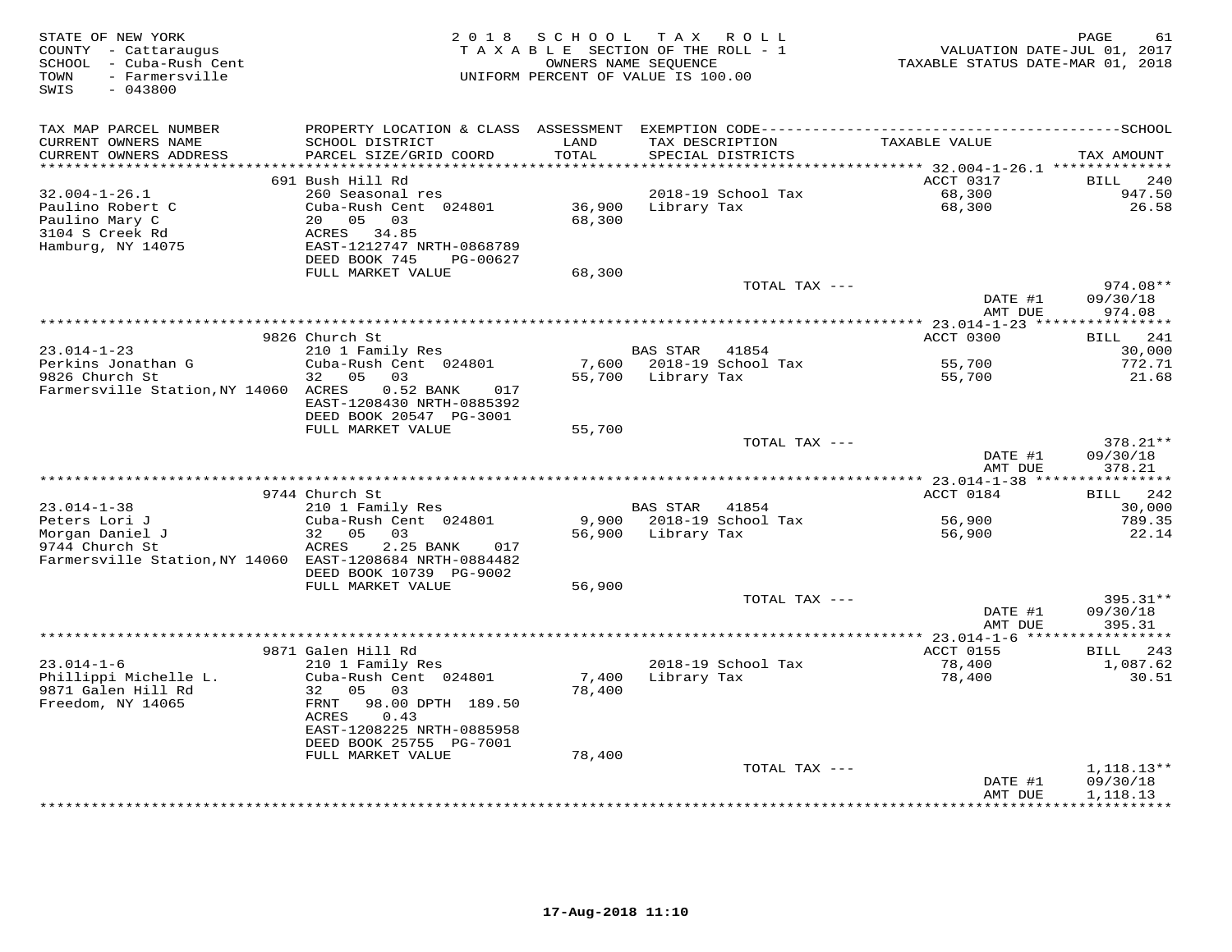| STATE OF NEW YORK<br>COUNTY - Cattaraugus<br>SCHOOL - Cuba-Rush Cent<br>- Farmersville<br>TOWN<br>SWIS<br>$-043800$ |                                              |                         | 2018 SCHOOL TAX ROLL<br>TAXABLE SECTION OF THE ROLL - 1<br>OWNERS NAME SEQUENCE<br>UNIFORM PERCENT OF VALUE IS 100.00 | VALUATION DATE-JUL 01, 2017<br>TAXABLE STATUS DATE-MAR 01, 2018 | PAGE<br>61               |
|---------------------------------------------------------------------------------------------------------------------|----------------------------------------------|-------------------------|-----------------------------------------------------------------------------------------------------------------------|-----------------------------------------------------------------|--------------------------|
| TAX MAP PARCEL NUMBER                                                                                               |                                              |                         |                                                                                                                       |                                                                 |                          |
| CURRENT OWNERS NAME                                                                                                 | SCHOOL DISTRICT                              | LAND                    | TAX DESCRIPTION                                                                                                       | TAXABLE VALUE                                                   |                          |
| CURRENT OWNERS ADDRESS<br>**********************                                                                    | PARCEL SIZE/GRID COORD                       | TOTAL<br>************** | SPECIAL DISTRICTS<br>**********************                                                                           | *********** 32.004-1-26.1 ***************                       | TAX AMOUNT               |
|                                                                                                                     | 691 Bush Hill Rd                             |                         |                                                                                                                       | ACCT 0317                                                       | BILL 240                 |
| 32.004-1-26.1                                                                                                       | 260 Seasonal res                             |                         | 2018-19 School Tax                                                                                                    |                                                                 | 947.50                   |
| Paulino Robert C                                                                                                    | Cuba-Rush Cent 024801                        |                         | 36,900 Library Tax                                                                                                    | 68,300<br>68,300                                                | 26.58                    |
| Paulino Mary C                                                                                                      | 20  05  03                                   | 68,300                  |                                                                                                                       |                                                                 |                          |
| 3104 S Creek Rd                                                                                                     | ACRES 34.85                                  |                         |                                                                                                                       |                                                                 |                          |
| Hamburg, NY 14075                                                                                                   | EAST-1212747 NRTH-0868789                    |                         |                                                                                                                       |                                                                 |                          |
|                                                                                                                     | DEED BOOK 745<br>PG-00627                    |                         |                                                                                                                       |                                                                 |                          |
|                                                                                                                     | FULL MARKET VALUE                            | 68,300                  |                                                                                                                       |                                                                 |                          |
|                                                                                                                     |                                              |                         | TOTAL TAX ---                                                                                                         | DATE #1                                                         | 974.08**<br>09/30/18     |
|                                                                                                                     |                                              |                         |                                                                                                                       | AMT DUE                                                         | 974.08                   |
|                                                                                                                     |                                              |                         |                                                                                                                       |                                                                 |                          |
|                                                                                                                     | 9826 Church St                               |                         |                                                                                                                       | ACCT 0300                                                       | BILL 241                 |
| $23.014 - 1 - 23$                                                                                                   | 210 1 Family Res                             |                         | BAS STAR 41854                                                                                                        |                                                                 | 30,000                   |
| $Perkins$ Jonathan G                                                                                                | Cuba-Rush Cent 024801                        |                         | 7,600 2018-19 School Tax                                                                                              | 55,700<br>55,700                                                | 772.71                   |
| 9826 Church St                                                                                                      | 32 05 03                                     |                         | 55,700 Library Tax                                                                                                    |                                                                 | 21.68                    |
| Farmersville Station, NY 14060 ACRES                                                                                | 0.52 BANK 017                                |                         |                                                                                                                       |                                                                 |                          |
|                                                                                                                     | EAST-1208430 NRTH-0885392                    |                         |                                                                                                                       |                                                                 |                          |
|                                                                                                                     | DEED BOOK 20547 PG-3001<br>FULL MARKET VALUE |                         |                                                                                                                       |                                                                 |                          |
|                                                                                                                     |                                              | 55,700                  | TOTAL TAX ---                                                                                                         |                                                                 | 378.21**                 |
|                                                                                                                     |                                              |                         |                                                                                                                       | DATE #1                                                         | 09/30/18                 |
|                                                                                                                     |                                              |                         |                                                                                                                       | AMT DUE                                                         | 378.21                   |
|                                                                                                                     |                                              |                         |                                                                                                                       |                                                                 |                          |
|                                                                                                                     | 9744 Church St                               |                         |                                                                                                                       | ACCT 0184                                                       | BILL 242                 |
| $23.014 - 1 - 38$                                                                                                   | 210 1 Family Res                             |                         | BAS STAR 41854                                                                                                        |                                                                 | 30,000                   |
| Peters Lori J                                                                                                       | Cuba-Rush Cent 024801                        |                         | 9,900 2018-19 School Tax                                                                                              | 56,900<br>56.900                                                | 789.35                   |
| Morgan Daniel J                                                                                                     | 32 05 03                                     |                         | 56,900 Library Tax                                                                                                    | 56,900                                                          | 22.14                    |
| 9744 Church St<br>Farmersville Station, NY 14060 EAST-1208684 NRTH-0884482                                          | ACRES<br>2.25 BANK<br>017                    |                         |                                                                                                                       |                                                                 |                          |
|                                                                                                                     | DEED BOOK 10739 PG-9002                      |                         |                                                                                                                       |                                                                 |                          |
|                                                                                                                     | FULL MARKET VALUE                            | 56,900                  |                                                                                                                       |                                                                 |                          |
|                                                                                                                     |                                              |                         | TOTAL TAX ---                                                                                                         |                                                                 | 395.31**                 |
|                                                                                                                     |                                              |                         |                                                                                                                       | DATE #1                                                         | 09/30/18                 |
|                                                                                                                     |                                              |                         |                                                                                                                       | AMT DUE                                                         | 395.31                   |
|                                                                                                                     |                                              |                         |                                                                                                                       |                                                                 |                          |
|                                                                                                                     | 9871 Galen Hill Rd                           |                         |                                                                                                                       | ACCT 0155                                                       | BILL 243                 |
| $23.014 - 1 - 6$                                                                                                    | 210 1 Family Res                             |                         | 2018-19 School Tax                                                                                                    | 78,400                                                          | 1,087.62                 |
| Phillippi Michelle L.                                                                                               | Cuba-Rush Cent 024801                        | 7,400                   | Library Tax                                                                                                           | 78,400                                                          | 30.51                    |
| 9871 Galen Hill Rd<br>Freedom, NY 14065                                                                             | 32 05 03<br>FRNT 98.00 DPTH 189.50           | 78,400                  |                                                                                                                       |                                                                 |                          |
|                                                                                                                     | ACRES<br>0.43                                |                         |                                                                                                                       |                                                                 |                          |
|                                                                                                                     | EAST-1208225 NRTH-0885958                    |                         |                                                                                                                       |                                                                 |                          |
|                                                                                                                     | DEED BOOK 25755 PG-7001                      |                         |                                                                                                                       |                                                                 |                          |
|                                                                                                                     | FULL MARKET VALUE                            | 78,400                  |                                                                                                                       |                                                                 |                          |
|                                                                                                                     |                                              |                         | TOTAL TAX ---                                                                                                         |                                                                 | 1,118.13**               |
|                                                                                                                     |                                              |                         |                                                                                                                       | DATE #1                                                         | 09/30/18                 |
|                                                                                                                     |                                              |                         |                                                                                                                       | AMT DUE                                                         | 1,118.13<br>************ |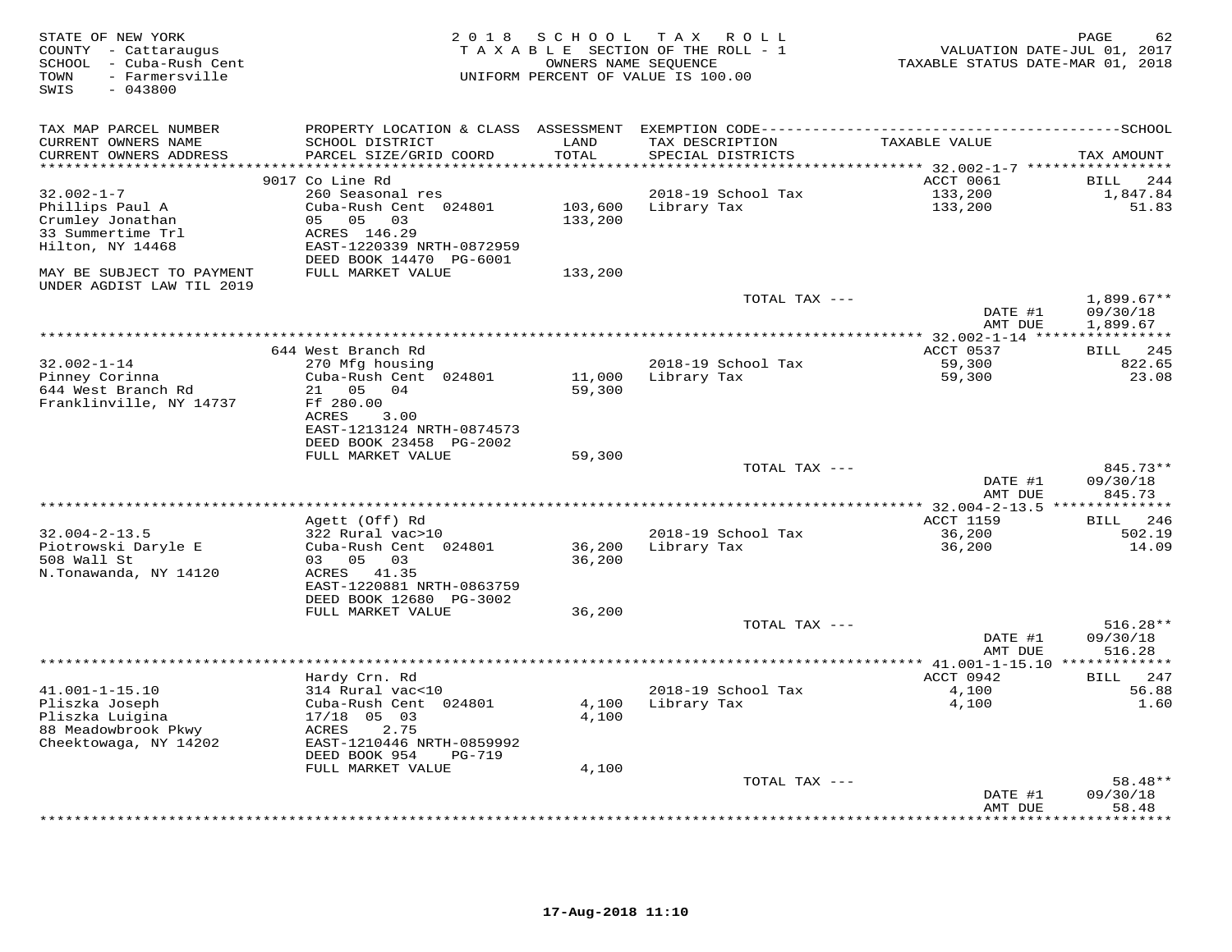| STATE OF NEW YORK<br>COUNTY - Cattaraugus<br>SCHOOL - Cuba-Rush Cent<br>- Farmersville<br>TOWN<br>SWIS<br>$-043800$ | 2 0 1 8                                      | S C H O O L   | TAX ROLL<br>TAXABLE SECTION OF THE ROLL - 1<br>OWNERS NAME SEQUENCE<br>UNIFORM PERCENT OF VALUE IS 100.00 | VALUATION DATE-JUL 01, 2017<br>TAXABLE STATUS DATE-MAR 01, 2018 | PAGE<br>62            |
|---------------------------------------------------------------------------------------------------------------------|----------------------------------------------|---------------|-----------------------------------------------------------------------------------------------------------|-----------------------------------------------------------------|-----------------------|
| TAX MAP PARCEL NUMBER                                                                                               |                                              |               |                                                                                                           |                                                                 |                       |
| CURRENT OWNERS NAME<br>CURRENT OWNERS ADDRESS                                                                       | SCHOOL DISTRICT<br>PARCEL SIZE/GRID COORD    | LAND<br>TOTAL | TAX DESCRIPTION<br>SPECIAL DISTRICTS                                                                      | TAXABLE VALUE                                                   | TAX AMOUNT            |
| **************                                                                                                      | 9017 Co Line Rd                              | ******        |                                                                                                           | ******* 32.002-1-7 *****************<br>ACCT 0061               | <b>BILL</b><br>244    |
| $32.002 - 1 - 7$                                                                                                    | 260 Seasonal res                             |               | 2018-19 School Tax                                                                                        | 133,200                                                         | 1,847.84              |
| Phillips Paul A                                                                                                     | Cuba-Rush Cent 024801                        | 103,600       | Library Tax                                                                                               | 133,200                                                         | 51.83                 |
| Crumley Jonathan                                                                                                    | 05 05<br>03                                  | 133,200       |                                                                                                           |                                                                 |                       |
| 33 Summertime Trl                                                                                                   | ACRES 146.29                                 |               |                                                                                                           |                                                                 |                       |
| Hilton, NY 14468                                                                                                    | EAST-1220339 NRTH-0872959                    |               |                                                                                                           |                                                                 |                       |
| MAY BE SUBJECT TO PAYMENT<br>UNDER AGDIST LAW TIL 2019                                                              | DEED BOOK 14470 PG-6001<br>FULL MARKET VALUE | 133,200       |                                                                                                           |                                                                 |                       |
|                                                                                                                     |                                              |               | TOTAL TAX ---                                                                                             |                                                                 | $1,899.67**$          |
|                                                                                                                     |                                              |               |                                                                                                           | DATE #1<br>AMT DUE                                              | 09/30/18<br>1,899.67  |
|                                                                                                                     |                                              |               |                                                                                                           | ******** 32.002-1-14 **                                         |                       |
|                                                                                                                     | 644 West Branch Rd                           |               |                                                                                                           | ACCT 0537                                                       | <b>BILL</b><br>245    |
| $32.002 - 1 - 14$<br>Pinney Corinna                                                                                 | 270 Mfg housing<br>Cuba-Rush Cent 024801     | 11,000        | 2018-19 School Tax<br>Library Tax                                                                         | 59,300<br>59,300                                                | 822.65<br>23.08       |
| 644 West Branch Rd                                                                                                  | 21<br>05<br>04                               | 59,300        |                                                                                                           |                                                                 |                       |
| Franklinville, NY 14737                                                                                             | Ff 280.00                                    |               |                                                                                                           |                                                                 |                       |
|                                                                                                                     | <b>ACRES</b><br>3.00                         |               |                                                                                                           |                                                                 |                       |
|                                                                                                                     | EAST-1213124 NRTH-0874573                    |               |                                                                                                           |                                                                 |                       |
|                                                                                                                     | DEED BOOK 23458 PG-2002                      |               |                                                                                                           |                                                                 |                       |
|                                                                                                                     | FULL MARKET VALUE                            | 59,300        | TOTAL TAX ---                                                                                             |                                                                 | 845.73**              |
|                                                                                                                     |                                              |               |                                                                                                           | DATE #1                                                         | 09/30/18              |
|                                                                                                                     |                                              |               |                                                                                                           | AMT DUE                                                         | 845.73                |
|                                                                                                                     |                                              |               |                                                                                                           | ******** 32.004-2-13.5                                          |                       |
| $32.004 - 2 - 13.5$                                                                                                 | Agett (Off) Rd                               |               | 2018-19 School Tax                                                                                        | <b>ACCT 1159</b><br>36,200                                      | BILL<br>246<br>502.19 |
| Piotrowski Daryle E                                                                                                 | 322 Rural vac>10<br>Cuba-Rush Cent 024801    | 36,200        | Library Tax                                                                                               | 36,200                                                          | 14.09                 |
| 508 Wall St                                                                                                         | 03<br>05<br>03                               | 36,200        |                                                                                                           |                                                                 |                       |
| N.Tonawanda, NY 14120                                                                                               | ACRES 41.35                                  |               |                                                                                                           |                                                                 |                       |
|                                                                                                                     | EAST-1220881 NRTH-0863759                    |               |                                                                                                           |                                                                 |                       |
|                                                                                                                     | DEED BOOK 12680 PG-3002                      |               |                                                                                                           |                                                                 |                       |
|                                                                                                                     | FULL MARKET VALUE                            | 36,200        | TOTAL TAX ---                                                                                             |                                                                 | $516.28**$            |
|                                                                                                                     |                                              |               |                                                                                                           | DATE #1                                                         | 09/30/18              |
|                                                                                                                     |                                              |               |                                                                                                           | AMT DUE                                                         | 516.28                |
|                                                                                                                     |                                              |               |                                                                                                           |                                                                 |                       |
|                                                                                                                     | Hardy Crn. Rd                                |               |                                                                                                           | ACCT 0942                                                       | 247<br><b>BILL</b>    |
| $41.001 - 1 - 15.10$<br>Pliszka Joseph                                                                              | 314 Rural vac<10<br>Cuba-Rush Cent 024801    | 4,100         | 2018-19 School Tax<br>Library Tax                                                                         | 4,100<br>4,100                                                  | 56.88<br>1.60         |
| Pliszka Luigina                                                                                                     | $17/18$ 05 03                                | 4,100         |                                                                                                           |                                                                 |                       |
| 88 Meadowbrook Pkwy                                                                                                 | 2.75<br>ACRES                                |               |                                                                                                           |                                                                 |                       |
| Cheektowaga, NY 14202                                                                                               | EAST-1210446 NRTH-0859992                    |               |                                                                                                           |                                                                 |                       |
|                                                                                                                     | DEED BOOK 954<br><b>PG-719</b>               |               |                                                                                                           |                                                                 |                       |
|                                                                                                                     | FULL MARKET VALUE                            | 4,100         | TOTAL TAX ---                                                                                             |                                                                 | 58.48**               |
|                                                                                                                     |                                              |               |                                                                                                           | DATE #1                                                         | 09/30/18              |
|                                                                                                                     |                                              |               |                                                                                                           | AMT DUE                                                         | 58.48                 |
|                                                                                                                     |                                              |               |                                                                                                           |                                                                 | <b>.</b>              |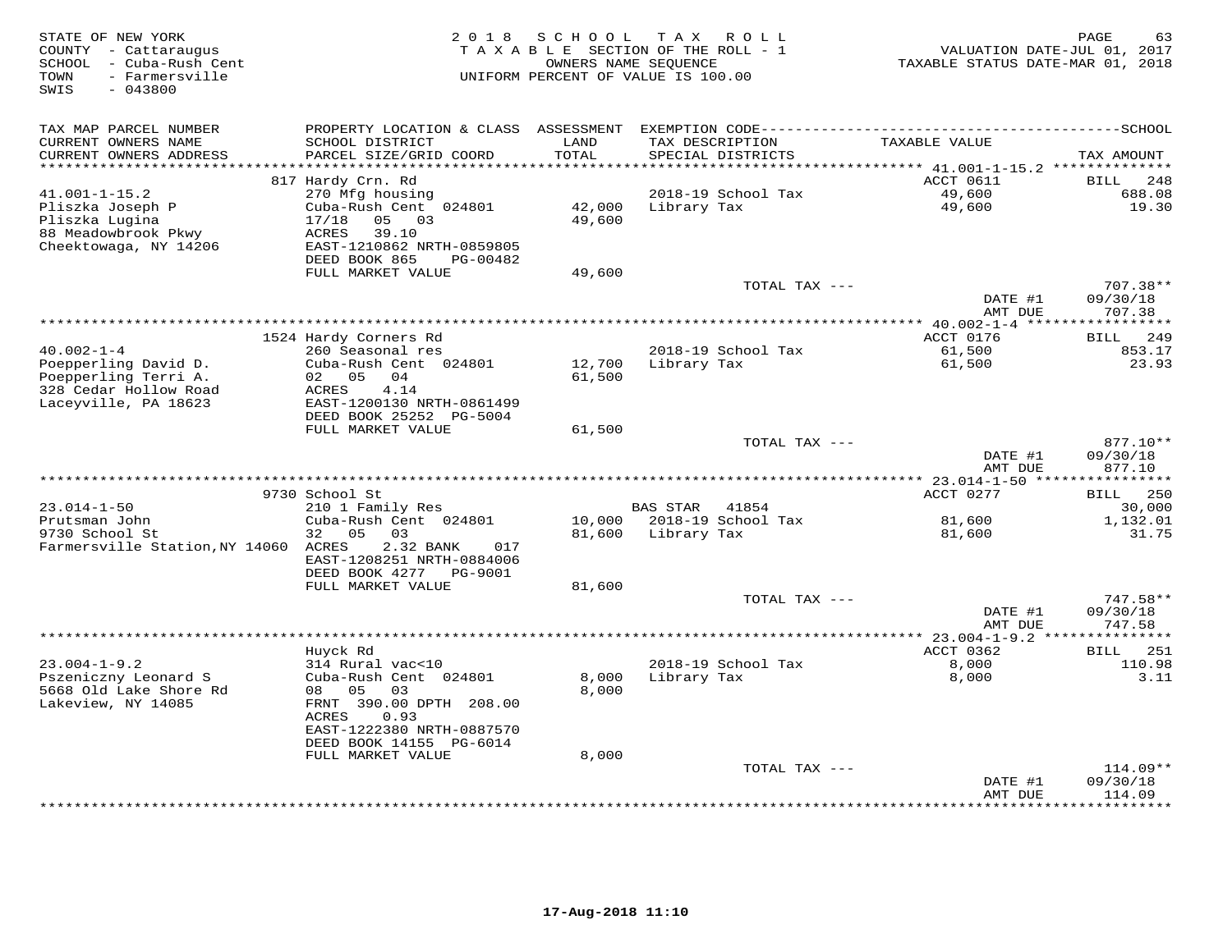| STATE OF NEW YORK<br>COUNTY - Cattaraugus<br>- Cuba-Rush Cent<br>SCHOOL<br>- Farmersville<br>TOWN<br>SWIS<br>$-043800$ | 2 0 1 8                                                                                                                                          | S C H O O L      | T A X<br>R O L L<br>TAXABLE SECTION OF THE ROLL - 1<br>OWNERS NAME SEQUENCE<br>UNIFORM PERCENT OF VALUE IS 100.00 | TAXABLE STATUS DATE-MAR 01, 2018   | PAGE<br>63<br>VALUATION DATE-JUL 01, 2017 |
|------------------------------------------------------------------------------------------------------------------------|--------------------------------------------------------------------------------------------------------------------------------------------------|------------------|-------------------------------------------------------------------------------------------------------------------|------------------------------------|-------------------------------------------|
| TAX MAP PARCEL NUMBER<br>CURRENT OWNERS NAME<br>CURRENT OWNERS ADDRESS<br>**********************                       | PROPERTY LOCATION & CLASS ASSESSMENT<br>SCHOOL DISTRICT<br>PARCEL SIZE/GRID COORD                                                                | LAND<br>TOTAL    | TAX DESCRIPTION<br>SPECIAL DISTRICTS                                                                              | TAXABLE VALUE                      | TAX AMOUNT                                |
|                                                                                                                        | 817 Hardy Crn. Rd                                                                                                                                |                  |                                                                                                                   | ACCT 0611                          | 248<br><b>BILL</b>                        |
| $41.001 - 1 - 15.2$<br>Pliszka Joseph P<br>Pliszka Lugina<br>88 Meadowbrook Pkwy<br>Cheektowaga, NY 14206              | 270 Mfg housing<br>Cuba-Rush Cent 024801<br>17/18<br>05 03<br>ACRES<br>39.10<br>EAST-1210862 NRTH-0859805<br>DEED BOOK 865<br>PG-00482           | 42,000<br>49,600 | 2018-19 School Tax<br>Library Tax                                                                                 | 49,600<br>49,600                   | 688.08<br>19.30                           |
|                                                                                                                        | FULL MARKET VALUE                                                                                                                                | 49,600           | TOTAL TAX ---                                                                                                     |                                    | 707.38**                                  |
|                                                                                                                        |                                                                                                                                                  |                  |                                                                                                                   | DATE #1<br>AMT DUE                 | 09/30/18<br>707.38                        |
|                                                                                                                        |                                                                                                                                                  |                  |                                                                                                                   |                                    |                                           |
| $40.002 - 1 - 4$<br>Poepperling David D.<br>Poepperling Terri A.                                                       | 1524 Hardy Corners Rd<br>260 Seasonal res<br>Cuba-Rush Cent 024801<br>02 05<br>04<br>ACRES                                                       | 12,700<br>61,500 | 2018-19 School Tax<br>Library Tax                                                                                 | ACCT 0176<br>61,500<br>61,500      | <b>BILL</b><br>249<br>853.17<br>23.93     |
| 328 Cedar Hollow Road<br>Laceyville, PA 18623                                                                          | 4.14<br>EAST-1200130 NRTH-0861499<br>DEED BOOK 25252 PG-5004<br>FULL MARKET VALUE                                                                | 61,500           |                                                                                                                   |                                    |                                           |
|                                                                                                                        |                                                                                                                                                  |                  | TOTAL TAX ---                                                                                                     | DATE #1<br>AMT DUE                 | 877.10**<br>09/30/18<br>877.10            |
|                                                                                                                        |                                                                                                                                                  |                  |                                                                                                                   |                                    |                                           |
| $23.014 - 1 - 50$                                                                                                      | 9730 School St<br>210 1 Family Res                                                                                                               |                  | <b>BAS STAR</b><br>41854                                                                                          | ACCT 0277                          | 250<br>BILL<br>30,000                     |
| Prutsman John<br>9730 School St<br>Farmersville Station, NY 14060 ACRES                                                | Cuba-Rush Cent 024801<br>0.5<br>03<br>32<br>2.32 BANK<br>017<br>EAST-1208251 NRTH-0884006                                                        | 10,000<br>81,600 | 2018-19 School Tax<br>Library Tax                                                                                 | 81,600<br>81,600                   | 1,132.01<br>31.75                         |
|                                                                                                                        | DEED BOOK 4277 PG-9001                                                                                                                           |                  |                                                                                                                   |                                    |                                           |
|                                                                                                                        | FULL MARKET VALUE                                                                                                                                | 81,600           | TOTAL TAX ---                                                                                                     | DATE #1<br>AMT DUE                 | 747.58**<br>09/30/18<br>747.58            |
|                                                                                                                        |                                                                                                                                                  |                  | **************************                                                                                        | ***** 23.004-1-9.2 *************** |                                           |
| $23.004 - 1 - 9.2$<br>Pszeniczny Leonard S<br>5668 Old Lake Shore Rd<br>Lakeview, NY 14085                             | Huyck Rd<br>314 Rural vac<10<br>Cuba-Rush Cent 024801<br>08<br>05<br>03<br>FRNT 390.00 DPTH 208.00<br>ACRES<br>0.93<br>EAST-1222380 NRTH-0887570 | 8,000<br>8,000   | 2018-19 School Tax<br>Library Tax                                                                                 | ACCT 0362<br>8,000<br>8,000        | BILL 251<br>110.98<br>3.11                |
|                                                                                                                        | DEED BOOK 14155 PG-6014                                                                                                                          |                  |                                                                                                                   |                                    |                                           |
|                                                                                                                        | FULL MARKET VALUE                                                                                                                                | 8,000            | TOTAL TAX ---                                                                                                     | DATE #1<br>AMT DUE                 | $114.09**$<br>09/30/18<br>114.09          |
|                                                                                                                        |                                                                                                                                                  |                  |                                                                                                                   |                                    | * * * * * * * *                           |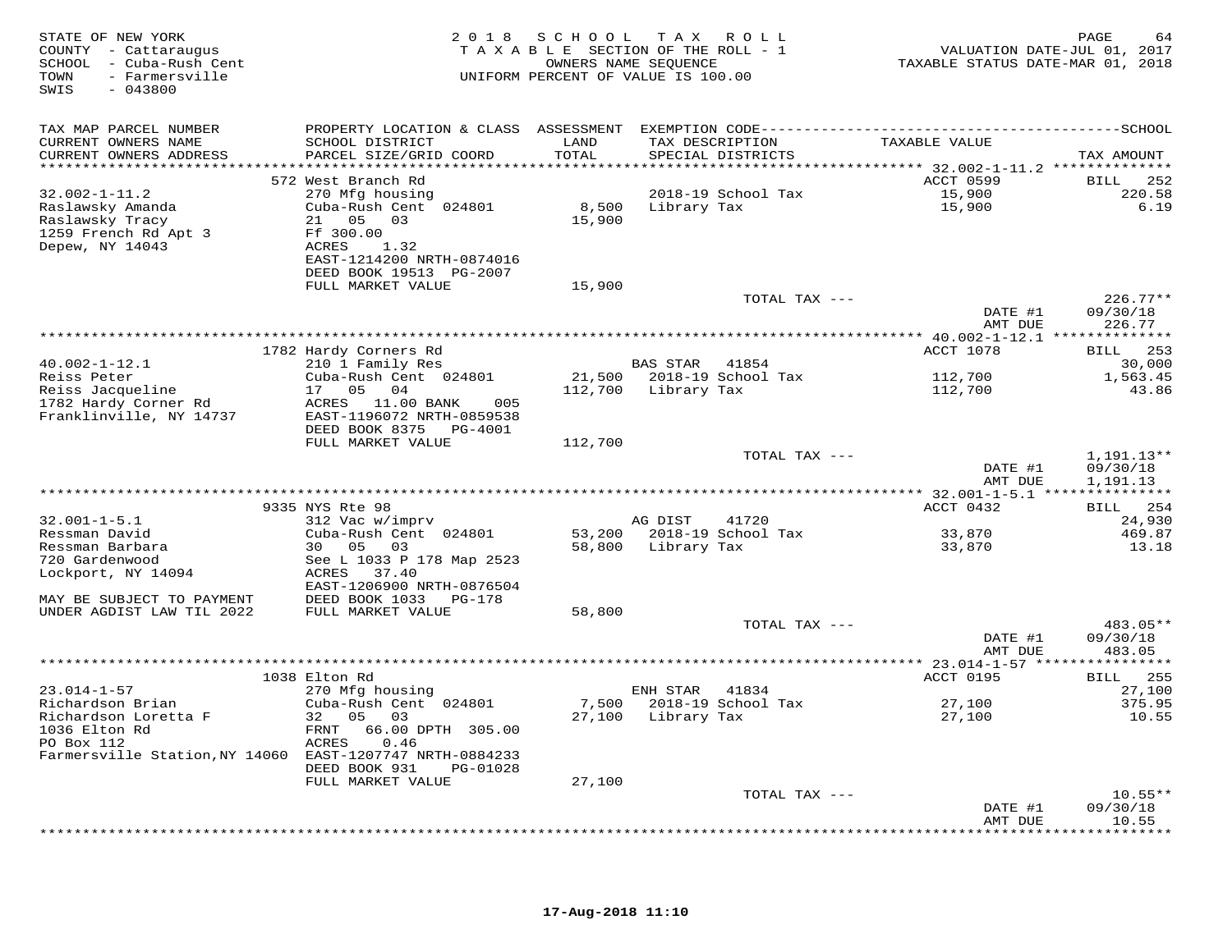| STATE OF NEW YORK<br>COUNTY - Cattaraugus<br>SCHOOL - Cuba-Rush Cent<br>- Farmersville<br>TOWN<br>$-043800$<br>SWIS |                                                     |         | 2018 SCHOOL TAX ROLL<br>TAXABLE SECTION OF THE ROLL - 1<br>OWNERS NAME SEQUENCE<br>UNIFORM PERCENT OF VALUE IS 100.00 | VALUATION DATE-JUL 01, 2017<br>TAXABLE STATUS DATE-MAR 01, 2018 | PAGE<br>64        |
|---------------------------------------------------------------------------------------------------------------------|-----------------------------------------------------|---------|-----------------------------------------------------------------------------------------------------------------------|-----------------------------------------------------------------|-------------------|
| TAX MAP PARCEL NUMBER                                                                                               |                                                     |         |                                                                                                                       |                                                                 |                   |
| CURRENT OWNERS NAME                                                                                                 | SCHOOL DISTRICT                                     | LAND    | TAX DESCRIPTION                                                                                                       | TAXABLE VALUE                                                   |                   |
| CURRENT OWNERS ADDRESS                                                                                              | PARCEL SIZE/GRID COORD                              | TOTAL   | SPECIAL DISTRICTS                                                                                                     |                                                                 | TAX AMOUNT        |
|                                                                                                                     | 572 West Branch Rd                                  |         |                                                                                                                       | ACCT 0599                                                       | BILL 252          |
| $32.002 - 1 - 11.2$                                                                                                 | 270 Mfg housing                                     |         | 2018-19 School Tax                                                                                                    |                                                                 | 220.58            |
| Raslawsky Amanda                                                                                                    | Cuba-Rush Cent 024801                               |         | 8,500 Library Tax                                                                                                     | 15,900<br>15,900                                                | 6.19              |
| Raslawsky Tracy                                                                                                     | 21  05  03                                          | 15,900  |                                                                                                                       |                                                                 |                   |
| 1259 French Rd Apt 3                                                                                                | Ff 300.00                                           |         |                                                                                                                       |                                                                 |                   |
| Depew, NY 14043                                                                                                     | ACRES<br>1.32<br>EAST-1214200 NRTH-0874016          |         |                                                                                                                       |                                                                 |                   |
|                                                                                                                     | DEED BOOK 19513 PG-2007                             |         |                                                                                                                       |                                                                 |                   |
|                                                                                                                     | FULL MARKET VALUE                                   | 15,900  |                                                                                                                       |                                                                 |                   |
|                                                                                                                     |                                                     |         | TOTAL TAX ---                                                                                                         |                                                                 | $226.77**$        |
|                                                                                                                     |                                                     |         |                                                                                                                       | DATE #1                                                         | 09/30/18          |
|                                                                                                                     |                                                     |         |                                                                                                                       | AMT DUE                                                         | 226.77            |
|                                                                                                                     | 1782 Hardy Corners Rd                               |         |                                                                                                                       | ACCT 1078                                                       | BILL 253          |
| $40.002 - 1 - 12.1$                                                                                                 | 210 1 Family Res                                    |         | BAS STAR 41854                                                                                                        |                                                                 | 30,000            |
| Reiss Peter                                                                                                         | Cuba-Rush Cent 024801                               |         | 21,500    2018-19    School Tax                                                                                       | 112,700<br>112,700                                              | 1,563.45          |
| Reiss Jacqueline                                                                                                    | 17 05 04                                            |         | 112,700 Library Tax                                                                                                   |                                                                 | 43.86             |
| 1782 Hardy Corner Rd                                                                                                | ACRES 11.00 BANK 005                                |         |                                                                                                                       |                                                                 |                   |
| Franklinville, NY 14737                                                                                             | EAST-1196072 NRTH-0859538<br>DEED BOOK 8375 PG-4001 |         |                                                                                                                       |                                                                 |                   |
|                                                                                                                     | FULL MARKET VALUE                                   | 112,700 |                                                                                                                       |                                                                 |                   |
|                                                                                                                     |                                                     |         | TOTAL TAX ---                                                                                                         |                                                                 | $1,191.13**$      |
|                                                                                                                     |                                                     |         |                                                                                                                       | DATE #1                                                         | 09/30/18          |
|                                                                                                                     |                                                     |         |                                                                                                                       | AMT DUE                                                         | 1,191.13          |
|                                                                                                                     | 9335 NYS Rte 98                                     |         |                                                                                                                       | ACCT 0432                                                       | BILL 254          |
| $32.001 - 1 - 5.1$                                                                                                  | 312 Vac w/imprv                                     |         | AG DIST<br>41720                                                                                                      |                                                                 | 24,930            |
| Ressman David                                                                                                       | Cuba-Rush Cent 024801                               |         | 53,200 2018-19 School Tax                                                                                             | 33,870                                                          | 469.87            |
| Ressman Barbara                                                                                                     | 30 05 03                                            |         | 58,800 Library Tax                                                                                                    | 33,870                                                          | 13.18             |
| 720 Gardenwood                                                                                                      | See L 1033 P 178 Map 2523                           |         |                                                                                                                       |                                                                 |                   |
| Lockport, NY 14094                                                                                                  | ACRES 37.40<br>EAST-1206900 NRTH-0876504            |         |                                                                                                                       |                                                                 |                   |
| MAY BE SUBJECT TO PAYMENT                                                                                           | DEED BOOK 1033 PG-178                               |         |                                                                                                                       |                                                                 |                   |
| UNDER AGDIST LAW TIL 2022                                                                                           | FULL MARKET VALUE                                   | 58,800  |                                                                                                                       |                                                                 |                   |
|                                                                                                                     |                                                     |         | TOTAL TAX ---                                                                                                         |                                                                 | 483.05**          |
|                                                                                                                     |                                                     |         |                                                                                                                       | DATE #1                                                         | 09/30/18          |
|                                                                                                                     |                                                     |         |                                                                                                                       | AMT DUE                                                         | 483.05            |
|                                                                                                                     | 1038 Elton Rd                                       |         |                                                                                                                       | ACCT 0195                                                       | BILL 255          |
| $23.014 - 1 - 57$                                                                                                   | 270 Mfg housing                                     |         | ENH STAR 41834                                                                                                        |                                                                 | 27,100            |
| Richardson Brian                                                                                                    | Cuba-Rush Cent 024801                               |         | 7,500 2018-19 School Tax                                                                                              | 27,100                                                          | 375.95            |
| Richardson Loretta F                                                                                                | 32 05<br>03                                         |         | 27,100 Library Tax                                                                                                    | 27,100                                                          | 10.55             |
| 1036 Elton Rd<br>PO Box 112<br>PO Box 112                                                                           | FRNT 66.00 DPTH 305.00                              |         |                                                                                                                       |                                                                 |                   |
| Farmersville Station, NY 14060 EAST-1207747 NRTH-0884233                                                            | ACRES<br>0.46                                       |         |                                                                                                                       |                                                                 |                   |
|                                                                                                                     | DEED BOOK 931<br>PG-01028                           |         |                                                                                                                       |                                                                 |                   |
|                                                                                                                     | FULL MARKET VALUE                                   | 27,100  |                                                                                                                       |                                                                 |                   |
|                                                                                                                     |                                                     |         | TOTAL TAX ---                                                                                                         |                                                                 | $10.55**$         |
|                                                                                                                     |                                                     |         |                                                                                                                       | DATE #1                                                         | 09/30/18<br>10.55 |
|                                                                                                                     |                                                     |         |                                                                                                                       | AMT DUE                                                         | **********        |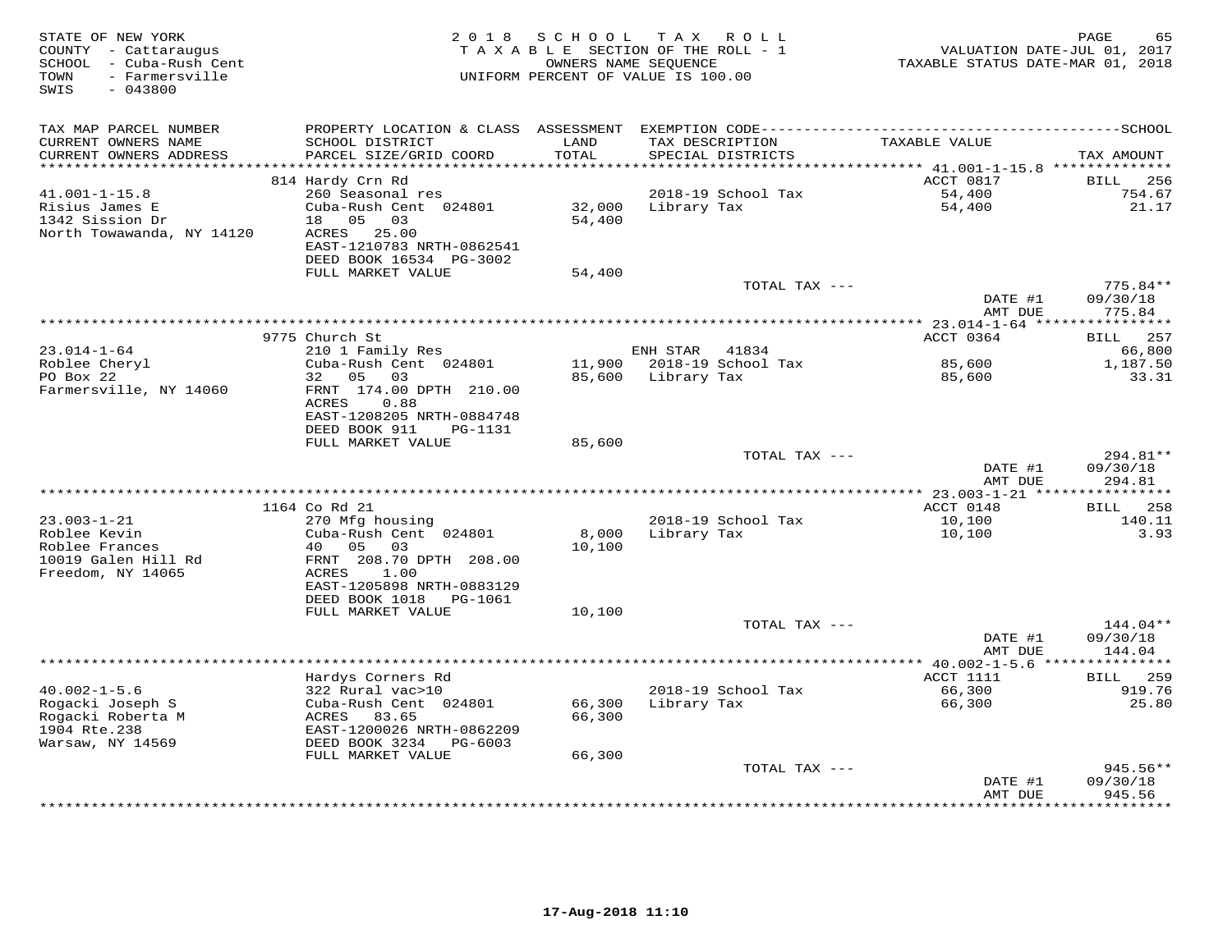| STATE OF NEW YORK<br>COUNTY - Cattaraugus<br>SCHOOL - Cuba-Rush Cent<br>TOWN<br>- Farmersville<br>$-043800$<br>SWIS |                                                     | 2018 SCHOOL           | T A X<br>R O L L<br>TAXABLE SECTION OF THE ROLL - 1<br>OWNERS NAME SEQUENCE<br>UNIFORM PERCENT OF VALUE IS 100.00 | VALUATION DATE-JUL 01, 2017<br>TAXABLE STATUS DATE-MAR 01, 2018 | PAGE<br>65                      |
|---------------------------------------------------------------------------------------------------------------------|-----------------------------------------------------|-----------------------|-------------------------------------------------------------------------------------------------------------------|-----------------------------------------------------------------|---------------------------------|
| TAX MAP PARCEL NUMBER<br>CURRENT OWNERS NAME                                                                        | SCHOOL DISTRICT                                     | LAND                  | TAX DESCRIPTION                                                                                                   | TAXABLE VALUE                                                   |                                 |
| CURRENT OWNERS ADDRESS                                                                                              | PARCEL SIZE/GRID COORD                              | TOTAL                 | SPECIAL DISTRICTS                                                                                                 |                                                                 | TAX AMOUNT                      |
| *********************                                                                                               |                                                     | * * * * * * * * * * * |                                                                                                                   | *********** 41.001-1-15.8 **************                        |                                 |
|                                                                                                                     | 814 Hardy Crn Rd                                    |                       |                                                                                                                   | ACCT 0817                                                       | <b>BILL</b><br>256              |
| $41.001 - 1 - 15.8$                                                                                                 | 260 Seasonal res                                    |                       | 2018-19 School Tax                                                                                                | 54,400                                                          | 754.67                          |
| Risius James E<br>1342 Sission Dr                                                                                   | Cuba-Rush Cent 024801<br>18 05<br>03                | 32,000<br>54,400      | Library Tax                                                                                                       | 54,400                                                          | 21.17                           |
| North Towawanda, NY 14120                                                                                           | ACRES 25.00                                         |                       |                                                                                                                   |                                                                 |                                 |
|                                                                                                                     | EAST-1210783 NRTH-0862541                           |                       |                                                                                                                   |                                                                 |                                 |
|                                                                                                                     | DEED BOOK 16534 PG-3002                             |                       |                                                                                                                   |                                                                 |                                 |
|                                                                                                                     | FULL MARKET VALUE                                   | 54,400                |                                                                                                                   |                                                                 |                                 |
|                                                                                                                     |                                                     |                       | TOTAL TAX ---                                                                                                     |                                                                 | $775.84**$                      |
|                                                                                                                     |                                                     |                       |                                                                                                                   | DATE #1                                                         | 09/30/18                        |
|                                                                                                                     |                                                     |                       |                                                                                                                   | AMT DUE                                                         | 775.84<br>* * * * * * * * * * * |
|                                                                                                                     | 9775 Church St                                      |                       |                                                                                                                   | ACCT 0364                                                       | BILL 257                        |
| $23.014 - 1 - 64$                                                                                                   | 210 1 Family Res                                    |                       | ENH STAR 41834                                                                                                    |                                                                 | 66,800                          |
| Roblee Cheryl                                                                                                       | Cuba-Rush Cent 024801                               |                       | 11,900 2018-19 School Tax                                                                                         | 85,600                                                          | 1,187.50                        |
| PO Box 22                                                                                                           | 32<br>05 03                                         |                       | 85,600 Library Tax                                                                                                | 85,600                                                          | 33.31                           |
| Farmersville, NY 14060                                                                                              | FRNT 174.00 DPTH 210.00                             |                       |                                                                                                                   |                                                                 |                                 |
|                                                                                                                     | ACRES<br>0.88<br>EAST-1208205 NRTH-0884748          |                       |                                                                                                                   |                                                                 |                                 |
|                                                                                                                     | DEED BOOK 911<br>PG-1131                            |                       |                                                                                                                   |                                                                 |                                 |
|                                                                                                                     | FULL MARKET VALUE                                   | 85,600                |                                                                                                                   |                                                                 |                                 |
|                                                                                                                     |                                                     |                       | TOTAL TAX ---                                                                                                     |                                                                 | 294.81**                        |
|                                                                                                                     |                                                     |                       |                                                                                                                   | DATE #1                                                         | 09/30/18                        |
|                                                                                                                     |                                                     |                       |                                                                                                                   | AMT DUE                                                         | 294.81                          |
|                                                                                                                     | 1164 Co Rd 21                                       |                       |                                                                                                                   | ACCT 0148                                                       | <b>BILL</b> 258                 |
| $23.003 - 1 - 21$                                                                                                   | 270 Mfg housing                                     |                       | 2018-19 School Tax                                                                                                | 10,100                                                          | 140.11                          |
| Roblee Kevin                                                                                                        | Cuba-Rush Cent 024801                               | 8,000                 | Library Tax                                                                                                       | 10,100                                                          | 3.93                            |
| Roblee Frances                                                                                                      | 40<br>05<br>03                                      | 10,100                |                                                                                                                   |                                                                 |                                 |
| 10019 Galen Hill Rd                                                                                                 | FRNT 208.70 DPTH 208.00                             |                       |                                                                                                                   |                                                                 |                                 |
| Freedom, NY 14065                                                                                                   | ACRES<br>1.00                                       |                       |                                                                                                                   |                                                                 |                                 |
|                                                                                                                     | EAST-1205898 NRTH-0883129<br>DEED BOOK 1018 PG-1061 |                       |                                                                                                                   |                                                                 |                                 |
|                                                                                                                     | FULL MARKET VALUE                                   | 10,100                |                                                                                                                   |                                                                 |                                 |
|                                                                                                                     |                                                     |                       | TOTAL TAX ---                                                                                                     |                                                                 | $144.04**$                      |
|                                                                                                                     |                                                     |                       |                                                                                                                   | DATE #1                                                         | 09/30/18                        |
|                                                                                                                     |                                                     |                       |                                                                                                                   | AMT DUE                                                         | 144.04                          |
|                                                                                                                     |                                                     |                       |                                                                                                                   |                                                                 |                                 |
|                                                                                                                     | Hardys Corners Rd                                   |                       |                                                                                                                   | ACCT 1111                                                       | BILL 259                        |
| $40.002 - 1 - 5.6$<br>Rogacki Joseph S                                                                              | 322 Rural vac>10<br>Cuba-Rush Cent 024801           |                       | 2018-19 School Tax<br>66,300 Library Tax                                                                          | 66,300<br>66,300                                                | 919.76<br>25.80                 |
| Rogacki Roberta M                                                                                                   | ACRES 83.65                                         | 66,300                |                                                                                                                   |                                                                 |                                 |
| 1904 Rte.238                                                                                                        | EAST-1200026 NRTH-0862209                           |                       |                                                                                                                   |                                                                 |                                 |
| Warsaw, NY 14569                                                                                                    | DEED BOOK 3234 PG-6003                              |                       |                                                                                                                   |                                                                 |                                 |
|                                                                                                                     | FULL MARKET VALUE                                   | 66,300                |                                                                                                                   |                                                                 |                                 |
|                                                                                                                     |                                                     |                       | TOTAL TAX ---                                                                                                     |                                                                 | $945.56**$                      |
|                                                                                                                     |                                                     |                       |                                                                                                                   | DATE #1<br>AMT DUE                                              | 09/30/18<br>945.56              |
|                                                                                                                     |                                                     |                       |                                                                                                                   |                                                                 | * * * * * * * * * * *           |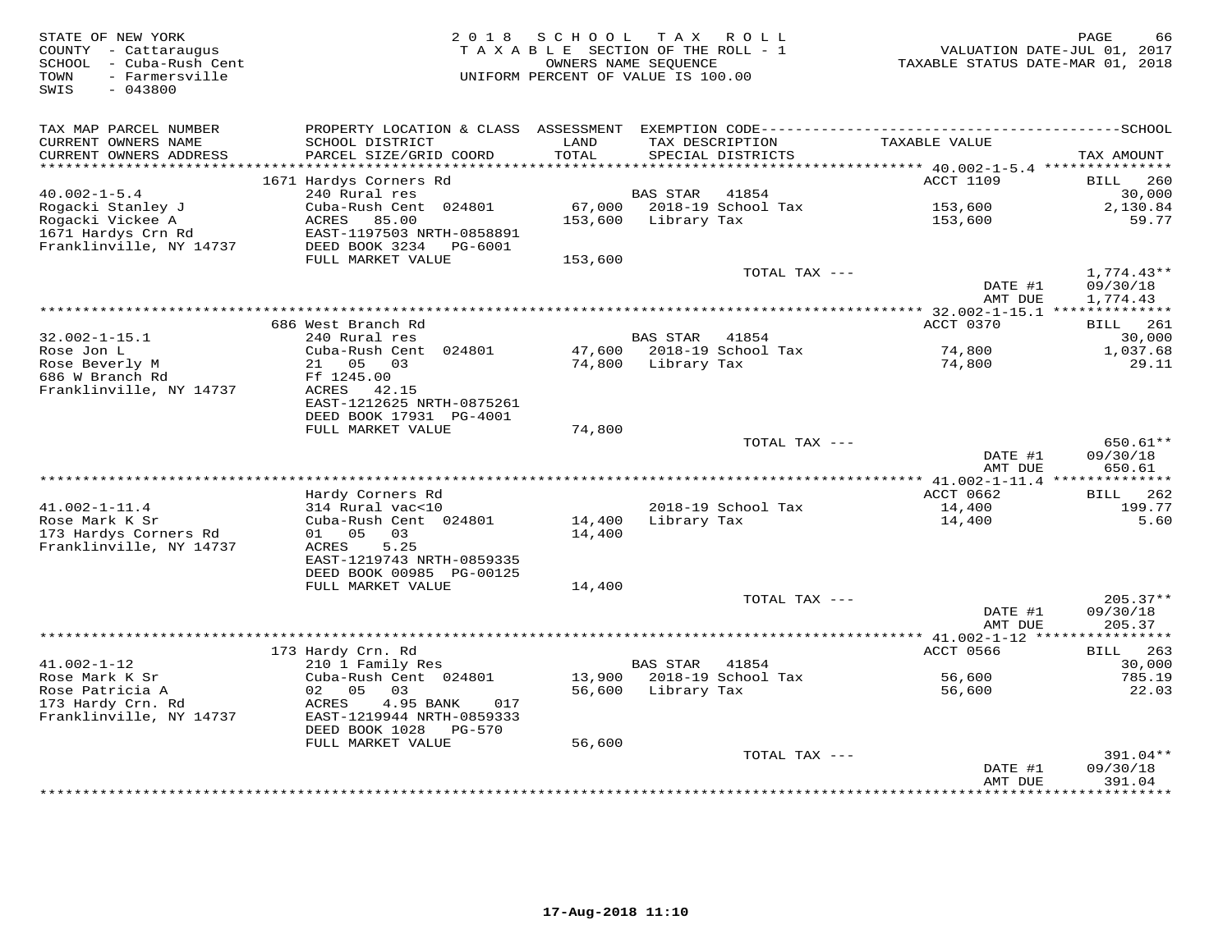| STATE OF NEW YORK<br>COUNTY - Cattaraugus<br>SCHOOL - Cuba-Rush Cent<br>- Farmersville<br>TOWN<br>SWIS<br>$-043800$ | 2 0 1 8                                                 | S C H O O L<br>TAXABLE SECTION OF THE ROLL - 1<br>OWNERS NAME SEQUENCE<br>UNIFORM PERCENT OF VALUE IS 100.00 | T A X           | R O L L                          | VALUATION DATE-JUL 01, 2017<br>TAXABLE STATUS DATE-MAR 01, 2018 | PAGE<br>66                |
|---------------------------------------------------------------------------------------------------------------------|---------------------------------------------------------|--------------------------------------------------------------------------------------------------------------|-----------------|----------------------------------|-----------------------------------------------------------------|---------------------------|
| TAX MAP PARCEL NUMBER<br>CURRENT OWNERS NAME                                                                        | PROPERTY LOCATION & CLASS ASSESSMENT<br>SCHOOL DISTRICT | LAND                                                                                                         |                 | TAX DESCRIPTION                  | TAXABLE VALUE                                                   |                           |
| CURRENT OWNERS ADDRESS                                                                                              | PARCEL SIZE/GRID COORD                                  | TOTAL                                                                                                        |                 | SPECIAL DISTRICTS                |                                                                 | TAX AMOUNT                |
| ************************                                                                                            |                                                         |                                                                                                              |                 |                                  |                                                                 |                           |
| $40.002 - 1 - 5.4$                                                                                                  | 1671 Hardys Corners Rd<br>240 Rural res                 |                                                                                                              | <b>BAS STAR</b> | 41854                            | <b>ACCT 1109</b>                                                | 260<br>BILL<br>30,000     |
| Rogacki Stanley J                                                                                                   | Cuba-Rush Cent 024801                                   | 67,000                                                                                                       |                 | 2018-19 School Tax               | 153,600                                                         | 2,130.84                  |
| Rogacki Vickee A                                                                                                    | ACRES<br>85.00                                          | 153,600                                                                                                      | Library Tax     |                                  | 153,600                                                         | 59.77                     |
| 1671 Hardys Crn Rd                                                                                                  | EAST-1197503 NRTH-0858891                               |                                                                                                              |                 |                                  |                                                                 |                           |
| Franklinville, NY 14737                                                                                             | DEED BOOK 3234<br>PG-6001                               |                                                                                                              |                 |                                  |                                                                 |                           |
|                                                                                                                     | FULL MARKET VALUE                                       | 153,600                                                                                                      |                 |                                  |                                                                 |                           |
|                                                                                                                     |                                                         |                                                                                                              |                 | TOTAL TAX ---                    |                                                                 | $1,774.43**$              |
|                                                                                                                     |                                                         |                                                                                                              |                 |                                  | DATE #1<br>AMT DUE                                              | 09/30/18<br>1,774.43      |
|                                                                                                                     |                                                         |                                                                                                              |                 |                                  |                                                                 |                           |
|                                                                                                                     | 686 West Branch Rd                                      |                                                                                                              |                 |                                  | ACCT 0370                                                       | BILL<br>261               |
| $32.002 - 1 - 15.1$                                                                                                 | 240 Rural res                                           |                                                                                                              | <b>BAS STAR</b> | 41854                            |                                                                 | 30,000                    |
| Rose Jon L                                                                                                          | Cuba-Rush Cent 024801                                   | 47,600                                                                                                       |                 | 2018-19 School Tax               | 74,800                                                          | 1,037.68                  |
| Rose Beverly M                                                                                                      | 21 05<br>03                                             | 74,800                                                                                                       | Library Tax     |                                  | 74,800                                                          | 29.11                     |
| 686 W Branch Rd                                                                                                     | Ff 1245.00                                              |                                                                                                              |                 |                                  |                                                                 |                           |
| Franklinville, NY 14737                                                                                             | ACRES<br>42.15<br>EAST-1212625 NRTH-0875261             |                                                                                                              |                 |                                  |                                                                 |                           |
|                                                                                                                     | DEED BOOK 17931 PG-4001                                 |                                                                                                              |                 |                                  |                                                                 |                           |
|                                                                                                                     | FULL MARKET VALUE                                       | 74,800                                                                                                       |                 |                                  |                                                                 |                           |
|                                                                                                                     |                                                         |                                                                                                              |                 | TOTAL TAX ---                    |                                                                 | $650.61**$                |
|                                                                                                                     |                                                         |                                                                                                              |                 |                                  | DATE #1                                                         | 09/30/18                  |
|                                                                                                                     |                                                         |                                                                                                              |                 | ******************************** | AMT DUE                                                         | 650.61                    |
|                                                                                                                     |                                                         |                                                                                                              |                 |                                  | ** 41.002-1-11.4 ***************                                |                           |
| $41.002 - 1 - 11.4$                                                                                                 | Hardy Corners Rd<br>314 Rural vac<10                    |                                                                                                              |                 | 2018-19 School Tax               | ACCT 0662<br>14,400                                             | 262<br>BILL<br>199.77     |
| Rose Mark K Sr                                                                                                      | Cuba-Rush Cent 024801                                   | 14,400                                                                                                       | Library Tax     |                                  | 14,400                                                          | 5.60                      |
| 173 Hardys Corners Rd                                                                                               | 01 05<br>03                                             | 14,400                                                                                                       |                 |                                  |                                                                 |                           |
| Franklinville, NY 14737                                                                                             | 5.25<br>ACRES                                           |                                                                                                              |                 |                                  |                                                                 |                           |
|                                                                                                                     | EAST-1219743 NRTH-0859335                               |                                                                                                              |                 |                                  |                                                                 |                           |
|                                                                                                                     | DEED BOOK 00985 PG-00125                                |                                                                                                              |                 |                                  |                                                                 |                           |
|                                                                                                                     | FULL MARKET VALUE                                       | 14,400                                                                                                       |                 |                                  |                                                                 |                           |
|                                                                                                                     |                                                         |                                                                                                              |                 | TOTAL TAX ---                    | DATE #1                                                         | $205.37**$<br>09/30/18    |
|                                                                                                                     |                                                         |                                                                                                              |                 |                                  | AMT DUE                                                         | 205.37                    |
|                                                                                                                     |                                                         |                                                                                                              |                 |                                  |                                                                 | ***********               |
|                                                                                                                     | 173 Hardy Crn. Rd                                       |                                                                                                              |                 |                                  | ACCT 0566                                                       | BILL<br>263               |
| $41.002 - 1 - 12$                                                                                                   | 210 1 Family Res                                        |                                                                                                              | <b>BAS STAR</b> | 41854                            |                                                                 | 30,000                    |
| Rose Mark K Sr                                                                                                      | Cuba-Rush Cent 024801                                   | 13,900                                                                                                       |                 | 2018-19 School Tax               | 56,600                                                          | 785.19                    |
| Rose Patricia A<br>173 Hardy Crn. Rd                                                                                | 02<br>0.5<br>03<br>ACRES<br>017                         | 56,600                                                                                                       | Library Tax     |                                  | 56,600                                                          | 22.03                     |
| Franklinville, NY 14737                                                                                             | 4.95 BANK<br>EAST-1219944 NRTH-0859333                  |                                                                                                              |                 |                                  |                                                                 |                           |
|                                                                                                                     | DEED BOOK 1028<br>PG-570                                |                                                                                                              |                 |                                  |                                                                 |                           |
|                                                                                                                     | FULL MARKET VALUE                                       | 56,600                                                                                                       |                 |                                  |                                                                 |                           |
|                                                                                                                     |                                                         |                                                                                                              |                 | TOTAL TAX ---                    |                                                                 | $391.04**$                |
|                                                                                                                     |                                                         |                                                                                                              |                 |                                  | DATE #1                                                         | 09/30/18                  |
|                                                                                                                     |                                                         |                                                                                                              |                 |                                  | AMT DUE                                                         | 391.04<br><b>++++++++</b> |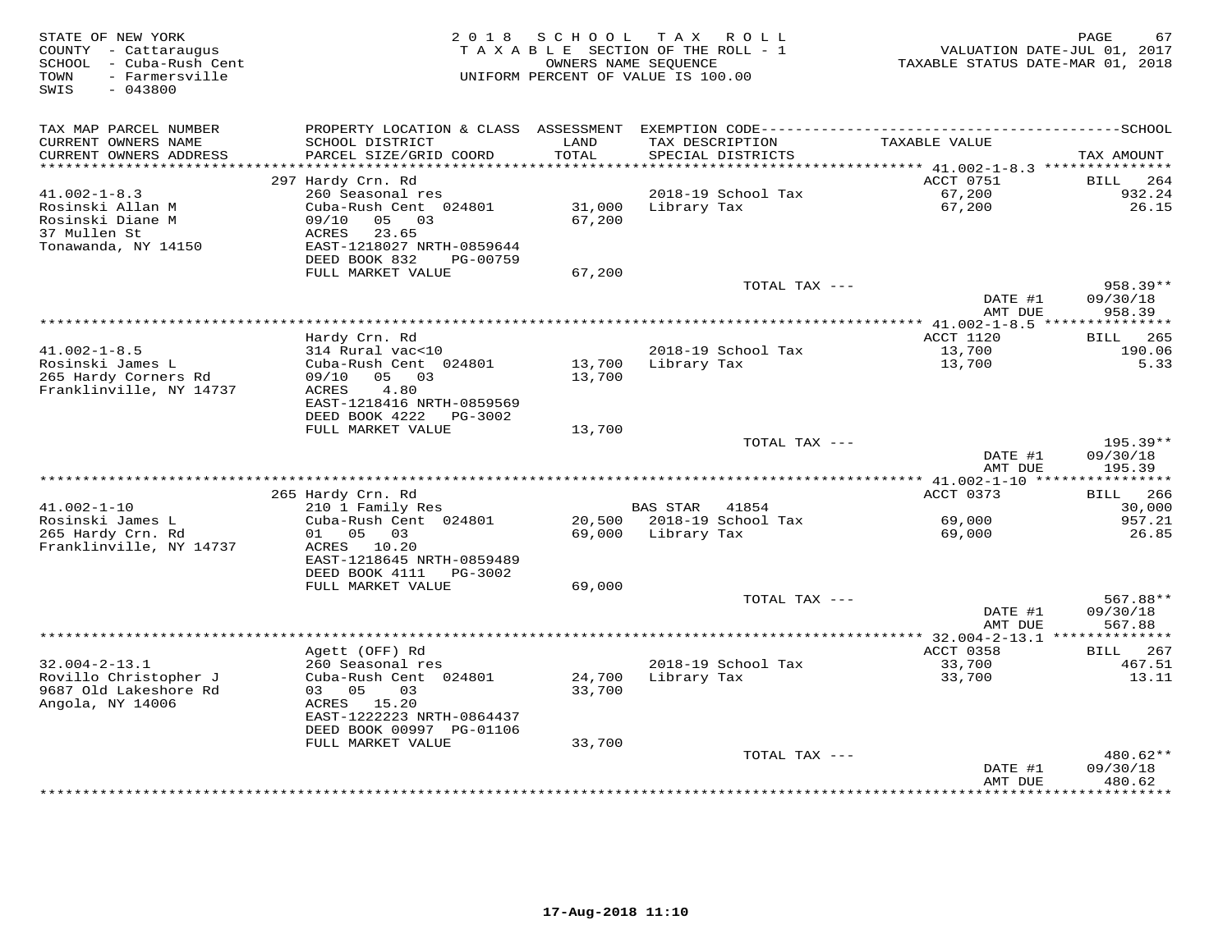| STATE OF NEW YORK<br>COUNTY - Cattaraugus<br>SCHOOL - Cuba-Rush Cent<br>- Farmersville<br>TOWN<br>$-043800$<br>SWIS | 2 0 1 8                                                | S C H O O L   | TAX ROLL<br>TAXABLE SECTION OF THE ROLL - 1<br>OWNERS NAME SEQUENCE<br>UNIFORM PERCENT OF VALUE IS 100.00 | TAXABLE STATUS DATE-MAR 01, 2018 | 67<br>PAGE<br>VALUATION DATE-JUL 01, 2017 |
|---------------------------------------------------------------------------------------------------------------------|--------------------------------------------------------|---------------|-----------------------------------------------------------------------------------------------------------|----------------------------------|-------------------------------------------|
| TAX MAP PARCEL NUMBER                                                                                               | PROPERTY LOCATION & CLASS ASSESSMENT                   |               |                                                                                                           |                                  |                                           |
| CURRENT OWNERS NAME<br>CURRENT OWNERS ADDRESS                                                                       | SCHOOL DISTRICT<br>PARCEL SIZE/GRID COORD              | LAND<br>TOTAL | TAX DESCRIPTION<br>SPECIAL DISTRICTS                                                                      | TAXABLE VALUE                    | TAX AMOUNT                                |
| ********************                                                                                                |                                                        |               |                                                                                                           |                                  |                                           |
| $41.002 - 1 - 8.3$                                                                                                  | 297 Hardy Crn. Rd<br>260 Seasonal res                  |               | 2018-19 School Tax                                                                                        | ACCT 0751<br>67,200              | <b>BILL</b><br>264<br>932.24              |
| Rosinski Allan M                                                                                                    | Cuba-Rush Cent 024801                                  | 31,000        | Library Tax                                                                                               | 67,200                           | 26.15                                     |
| Rosinski Diane M                                                                                                    | 09/10<br>05<br>03                                      | 67,200        |                                                                                                           |                                  |                                           |
| 37 Mullen St                                                                                                        | <b>ACRES</b><br>23.65                                  |               |                                                                                                           |                                  |                                           |
| Tonawanda, NY 14150                                                                                                 | EAST-1218027 NRTH-0859644<br>DEED BOOK 832<br>PG-00759 |               |                                                                                                           |                                  |                                           |
|                                                                                                                     | FULL MARKET VALUE                                      | 67,200        |                                                                                                           |                                  |                                           |
|                                                                                                                     |                                                        |               | TOTAL TAX ---                                                                                             |                                  | 958.39**                                  |
|                                                                                                                     |                                                        |               |                                                                                                           | DATE #1<br>AMT DUE               | 09/30/18<br>958.39                        |
|                                                                                                                     |                                                        |               |                                                                                                           | * $41.002 - 1 - 8.5$ ***         | * * * * * * * * * *                       |
|                                                                                                                     | Hardy Crn. Rd                                          |               |                                                                                                           | ACCT 1120                        | 265<br>BILL                               |
| $41.002 - 1 - 8.5$                                                                                                  | 314 Rural vac<10                                       |               | 2018-19 School Tax                                                                                        | 13,700                           | 190.06                                    |
| Rosinski James L<br>265 Hardy Corners Rd                                                                            | Cuba-Rush Cent 024801<br>05<br>03<br>09/10             | 13,700        | Library Tax                                                                                               | 13,700                           | 5.33                                      |
| Franklinville, NY 14737                                                                                             | ACRES<br>4.80                                          | 13,700        |                                                                                                           |                                  |                                           |
|                                                                                                                     | EAST-1218416 NRTH-0859569                              |               |                                                                                                           |                                  |                                           |
|                                                                                                                     | DEED BOOK 4222<br>PG-3002                              |               |                                                                                                           |                                  |                                           |
|                                                                                                                     | FULL MARKET VALUE                                      | 13,700        |                                                                                                           |                                  |                                           |
|                                                                                                                     |                                                        |               | TOTAL TAX ---                                                                                             |                                  | 195.39**                                  |
|                                                                                                                     |                                                        |               |                                                                                                           | DATE #1<br>AMT DUE               | 09/30/18<br>195.39                        |
|                                                                                                                     |                                                        |               |                                                                                                           |                                  |                                           |
|                                                                                                                     | 265 Hardy Crn. Rd                                      |               |                                                                                                           | ACCT 0373                        | 266<br>BILL                               |
| $41.002 - 1 - 10$                                                                                                   | 210 1 Family Res                                       |               | <b>BAS STAR</b><br>41854                                                                                  |                                  | 30,000                                    |
| Rosinski James L                                                                                                    | Cuba-Rush Cent 024801                                  |               | 20,500 2018-19 School Tax                                                                                 | 69,000                           | 957.21                                    |
| 265 Hardy Crn. Rd                                                                                                   | 05<br>03<br>01                                         | 69,000        | Library Tax                                                                                               | 69,000                           | 26.85                                     |
| Franklinville, NY 14737                                                                                             | ACRES<br>10.20<br>EAST-1218645 NRTH-0859489            |               |                                                                                                           |                                  |                                           |
|                                                                                                                     | DEED BOOK 4111<br>PG-3002                              |               |                                                                                                           |                                  |                                           |
|                                                                                                                     | FULL MARKET VALUE                                      | 69,000        |                                                                                                           |                                  |                                           |
|                                                                                                                     |                                                        |               | TOTAL TAX ---                                                                                             |                                  | 567.88**                                  |
|                                                                                                                     |                                                        |               |                                                                                                           | DATE #1                          | 09/30/18                                  |
|                                                                                                                     |                                                        |               |                                                                                                           | AMT DUE                          | 567.88                                    |
|                                                                                                                     | Agett (OFF) Rd                                         |               |                                                                                                           | ACCT 0358                        | 267<br>BILL                               |
| $32.004 - 2 - 13.1$                                                                                                 | 260 Seasonal res                                       |               | 2018-19 School Tax                                                                                        | 33,700                           | 467.51                                    |
| Rovillo Christopher J                                                                                               | Cuba-Rush Cent 024801                                  | 24,700        | Library Tax                                                                                               | 33,700                           | 13.11                                     |
| 9687 Old Lakeshore Rd                                                                                               | 0.3<br>05<br>03                                        | 33,700        |                                                                                                           |                                  |                                           |
| Angola, NY 14006                                                                                                    | ACRES 15.20                                            |               |                                                                                                           |                                  |                                           |
|                                                                                                                     | EAST-1222223 NRTH-0864437<br>DEED BOOK 00997 PG-01106  |               |                                                                                                           |                                  |                                           |
|                                                                                                                     | FULL MARKET VALUE                                      | 33,700        |                                                                                                           |                                  |                                           |
|                                                                                                                     |                                                        |               | TOTAL TAX ---                                                                                             |                                  | 480.62**                                  |
|                                                                                                                     |                                                        |               |                                                                                                           | DATE #1                          | 09/30/18                                  |
|                                                                                                                     |                                                        |               |                                                                                                           | AMT DUE<br>********              | 480.62<br>**********                      |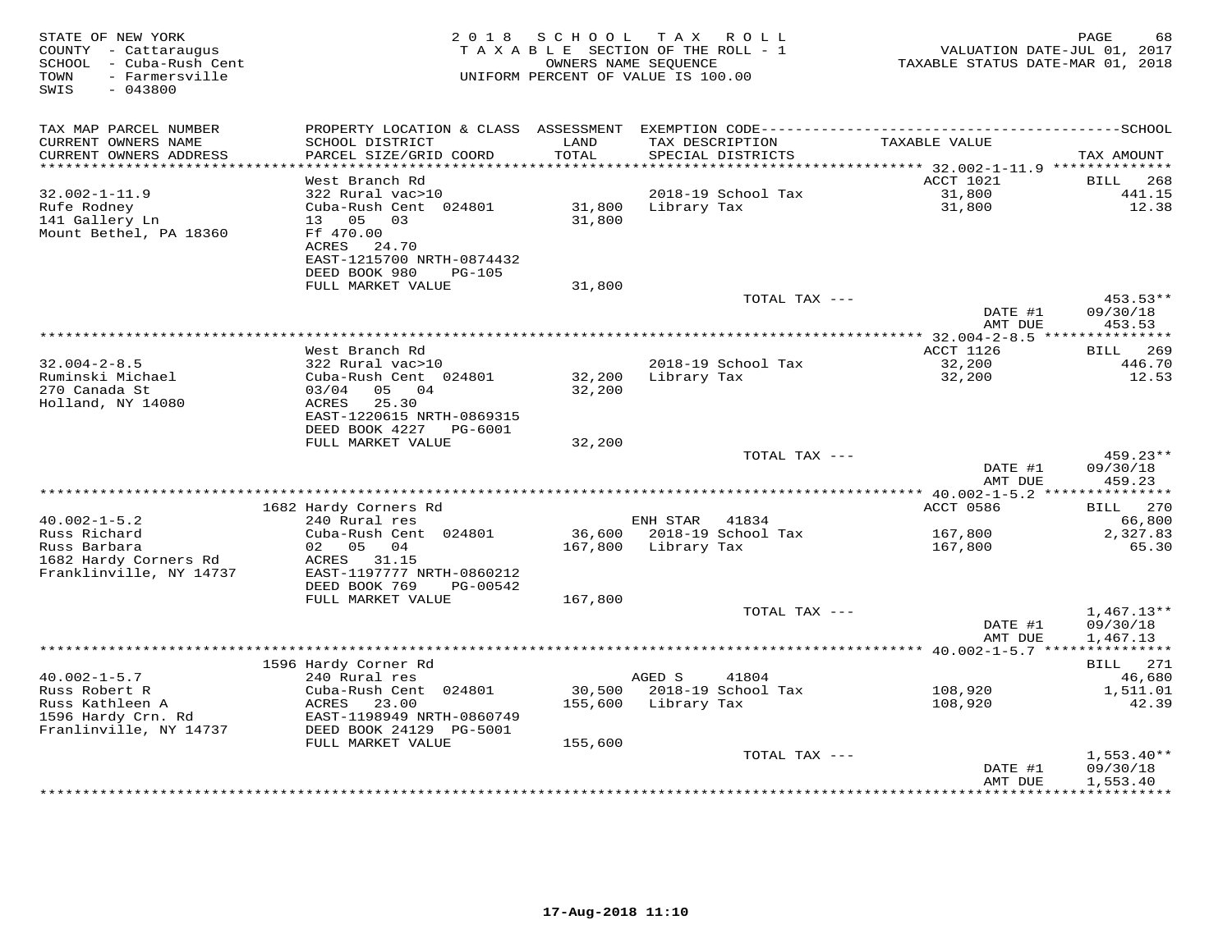| STATE OF NEW YORK<br>COUNTY - Cattaraugus<br>SCHOOL - Cuba-Rush Cent<br>TOWN<br>- Farmersville<br>SWIS<br>$-043800$ | 2 0 1 8                                      | SCHOOL           | T A X<br>R O L L<br>TAXABLE SECTION OF THE ROLL - 1<br>OWNERS NAME SEQUENCE<br>UNIFORM PERCENT OF VALUE IS 100.00 | VALUATION DATE-JUL 01, 2017<br>TAXABLE STATUS DATE-MAR 01, 2018 | PAGE<br>68           |
|---------------------------------------------------------------------------------------------------------------------|----------------------------------------------|------------------|-------------------------------------------------------------------------------------------------------------------|-----------------------------------------------------------------|----------------------|
| TAX MAP PARCEL NUMBER                                                                                               |                                              |                  |                                                                                                                   |                                                                 |                      |
| CURRENT OWNERS NAME<br>CURRENT OWNERS ADDRESS                                                                       | SCHOOL DISTRICT<br>PARCEL SIZE/GRID COORD    | LAND<br>TOTAL    | TAX DESCRIPTION<br>SPECIAL DISTRICTS                                                                              | TAXABLE VALUE                                                   | TAX AMOUNT           |
| ******************************                                                                                      |                                              |                  |                                                                                                                   |                                                                 |                      |
|                                                                                                                     | West Branch Rd                               |                  |                                                                                                                   | ACCT 1021                                                       | BILL<br>268          |
| $32.002 - 1 - 11.9$                                                                                                 | 322 Rural vac>10                             |                  | 2018-19 School Tax                                                                                                | 31,800                                                          | 441.15               |
| Rufe Rodney<br>141 Gallery Ln                                                                                       | Cuba-Rush Cent 024801<br>13<br>05<br>03      | 31,800<br>31,800 | Library Tax                                                                                                       | 31,800                                                          | 12.38                |
| Mount Bethel, PA 18360                                                                                              | Ff 470.00                                    |                  |                                                                                                                   |                                                                 |                      |
|                                                                                                                     | ACRES<br>24.70                               |                  |                                                                                                                   |                                                                 |                      |
|                                                                                                                     | EAST-1215700 NRTH-0874432                    |                  |                                                                                                                   |                                                                 |                      |
|                                                                                                                     | DEED BOOK 980<br>$PG-105$                    |                  |                                                                                                                   |                                                                 |                      |
|                                                                                                                     | FULL MARKET VALUE                            | 31,800           |                                                                                                                   |                                                                 |                      |
|                                                                                                                     |                                              |                  | TOTAL TAX ---                                                                                                     |                                                                 | $453.53**$           |
|                                                                                                                     |                                              |                  |                                                                                                                   | DATE #1<br>AMT DUE                                              | 09/30/18<br>453.53   |
|                                                                                                                     |                                              |                  |                                                                                                                   |                                                                 |                      |
|                                                                                                                     | West Branch Rd                               |                  |                                                                                                                   | ACCT 1126                                                       | 269<br>BILL          |
| $32.004 - 2 - 8.5$                                                                                                  | 322 Rural vac>10                             |                  | 2018-19 School Tax                                                                                                | 32,200                                                          | 446.70               |
| Ruminski Michael                                                                                                    | Cuba-Rush Cent 024801                        | 32,200           | Library Tax                                                                                                       | 32,200                                                          | 12.53                |
| 270 Canada St                                                                                                       | 03/04<br>05 04                               | 32,200           |                                                                                                                   |                                                                 |                      |
| Holland, NY 14080                                                                                                   | 25.30<br>ACRES                               |                  |                                                                                                                   |                                                                 |                      |
|                                                                                                                     | EAST-1220615 NRTH-0869315<br>DEED BOOK 4227  |                  |                                                                                                                   |                                                                 |                      |
|                                                                                                                     | PG-6001<br>FULL MARKET VALUE                 | 32,200           |                                                                                                                   |                                                                 |                      |
|                                                                                                                     |                                              |                  | TOTAL TAX ---                                                                                                     |                                                                 | 459.23**             |
|                                                                                                                     |                                              |                  |                                                                                                                   | DATE #1                                                         | 09/30/18             |
|                                                                                                                     |                                              |                  |                                                                                                                   | AMT DUE                                                         | 459.23               |
|                                                                                                                     |                                              |                  | **************************************                                                                            | *********** 40.002-1-5.2 ***                                    | ***********          |
| $40.002 - 1 - 5.2$                                                                                                  | 1682 Hardy Corners Rd                        |                  |                                                                                                                   | ACCT 0586                                                       | 270<br>BILL          |
| Russ Richard                                                                                                        | 240 Rural res<br>Cuba-Rush Cent 024801       | 36,600           | ENH STAR<br>41834<br>2018-19 School Tax                                                                           | 167,800                                                         | 66,800<br>2,327.83   |
| Russ Barbara                                                                                                        | 05<br>02<br>04                               | 167,800          | Library Tax                                                                                                       | 167,800                                                         | 65.30                |
| 1682 Hardy Corners Rd                                                                                               | ACRES<br>31.15                               |                  |                                                                                                                   |                                                                 |                      |
| Franklinville, NY 14737                                                                                             | EAST-1197777 NRTH-0860212                    |                  |                                                                                                                   |                                                                 |                      |
|                                                                                                                     | DEED BOOK 769<br>PG-00542                    |                  |                                                                                                                   |                                                                 |                      |
|                                                                                                                     | FULL MARKET VALUE                            | 167,800          |                                                                                                                   |                                                                 |                      |
|                                                                                                                     |                                              |                  | TOTAL TAX ---                                                                                                     |                                                                 | $1,467.13**$         |
|                                                                                                                     |                                              |                  |                                                                                                                   | DATE #1<br>AMT DUE                                              | 09/30/18<br>1,467.13 |
|                                                                                                                     |                                              |                  |                                                                                                                   |                                                                 | ***********          |
|                                                                                                                     | 1596 Hardy Corner Rd                         |                  |                                                                                                                   |                                                                 | <b>BILL</b> 271      |
| $40.002 - 1 - 5.7$                                                                                                  | 240 Rural res                                |                  | AGED S<br>41804                                                                                                   |                                                                 | 46,680               |
| Russ Robert R                                                                                                       | Cuba-Rush Cent 024801                        | 30,500           | 2018-19 School Tax                                                                                                | 108,920                                                         | 1,511.01             |
| Russ Kathleen A                                                                                                     | ACRES<br>23.00                               | 155,600          | Library Tax                                                                                                       | 108,920                                                         | 42.39                |
| 1596 Hardy Crn. Rd                                                                                                  | EAST-1198949 NRTH-0860749                    |                  |                                                                                                                   |                                                                 |                      |
| Franlinville, NY 14737                                                                                              | DEED BOOK 24129 PG-5001<br>FULL MARKET VALUE | 155,600          |                                                                                                                   |                                                                 |                      |
|                                                                                                                     |                                              |                  | TOTAL TAX ---                                                                                                     |                                                                 | $1,553.40**$         |
|                                                                                                                     |                                              |                  |                                                                                                                   | DATE #1                                                         | 09/30/18             |
|                                                                                                                     |                                              |                  |                                                                                                                   | AMT DUE                                                         | 1,553.40             |
|                                                                                                                     |                                              |                  |                                                                                                                   |                                                                 |                      |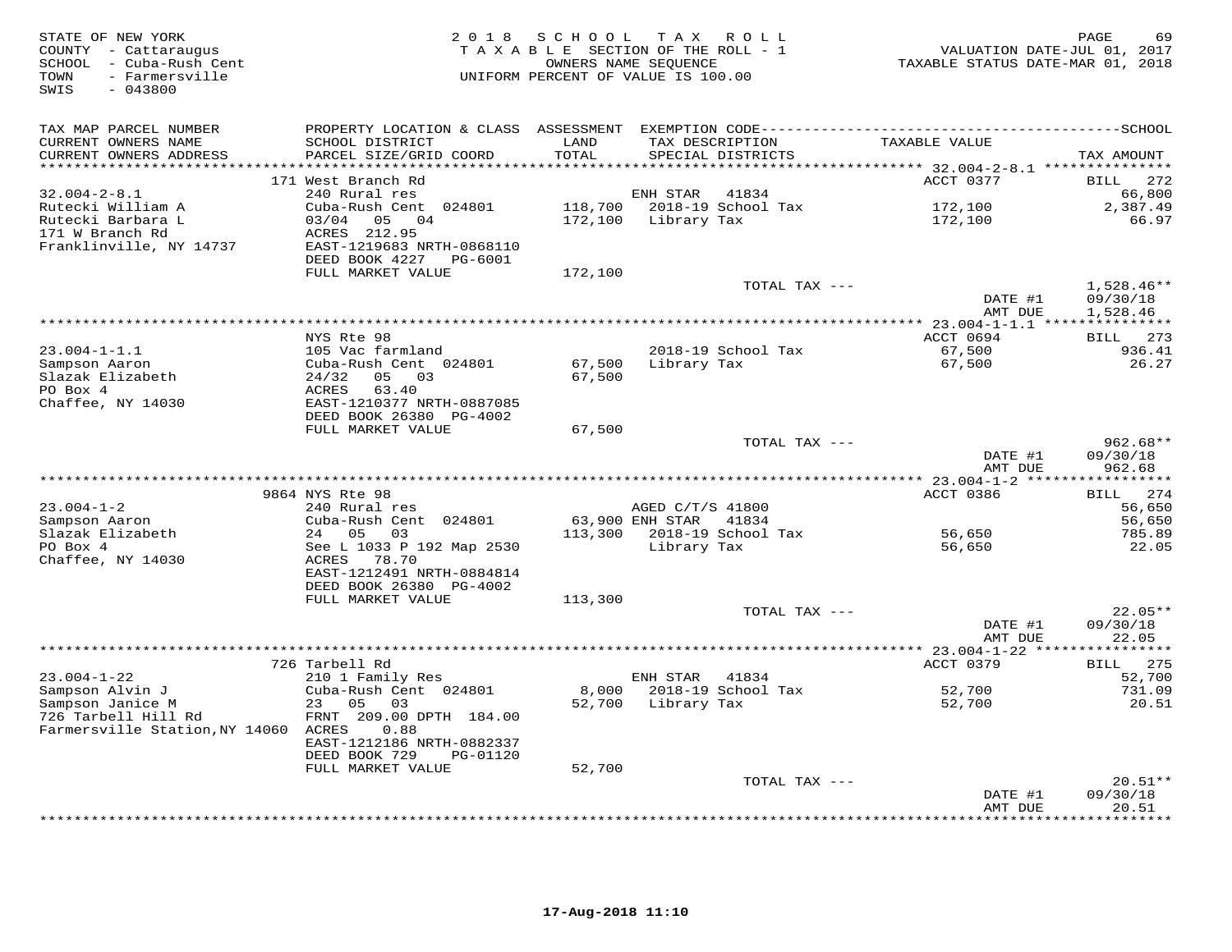| STATE OF NEW YORK<br>COUNTY - Cattaraugus<br>SCHOOL - Cuba-Rush Cent<br>- Farmersville<br>TOWN<br>$-043800$<br>SWIS | 2 0 1 8                                        | SCHOOL<br>OWNERS NAME SEQUENCE | TAX ROLL<br>TAXABLE SECTION OF THE ROLL - 1<br>UNIFORM PERCENT OF VALUE IS 100.00 | VALUATION DATE-JUL 01, 2017<br>TAXABLE STATUS DATE-MAR 01, 2018 | 69<br>PAGE              |
|---------------------------------------------------------------------------------------------------------------------|------------------------------------------------|--------------------------------|-----------------------------------------------------------------------------------|-----------------------------------------------------------------|-------------------------|
| TAX MAP PARCEL NUMBER                                                                                               |                                                |                                |                                                                                   |                                                                 |                         |
| CURRENT OWNERS NAME                                                                                                 | SCHOOL DISTRICT                                | LAND                           | TAX DESCRIPTION                                                                   | TAXABLE VALUE                                                   |                         |
| CURRENT OWNERS ADDRESS<br>***********************                                                                   | PARCEL SIZE/GRID COORD                         | TOTAL                          | SPECIAL DISTRICTS                                                                 |                                                                 | TAX AMOUNT              |
|                                                                                                                     | 171 West Branch Rd                             |                                |                                                                                   | ACCT 0377                                                       | 272<br>BILL             |
| $32.004 - 2 - 8.1$                                                                                                  | 240 Rural res                                  |                                | ENH STAR<br>41834                                                                 |                                                                 | 66,800                  |
| Rutecki William A                                                                                                   | Cuba-Rush Cent 024801                          |                                | 118,700 2018-19 School Tax                                                        | 172,100                                                         | 2,387.49                |
| Rutecki Barbara L                                                                                                   | 03/04 05 04                                    |                                | 172,100 Library Tax                                                               | 172,100                                                         | 66.97                   |
| 171 W Branch Rd                                                                                                     | ACRES 212.95                                   |                                |                                                                                   |                                                                 |                         |
| Franklinville, NY 14737                                                                                             | EAST-1219683 NRTH-0868110                      |                                |                                                                                   |                                                                 |                         |
|                                                                                                                     | DEED BOOK 4227<br>PG-6001<br>FULL MARKET VALUE | 172,100                        |                                                                                   |                                                                 |                         |
|                                                                                                                     |                                                |                                | TOTAL TAX ---                                                                     |                                                                 | $1,528.46**$            |
|                                                                                                                     |                                                |                                |                                                                                   | DATE #1                                                         | 09/30/18                |
|                                                                                                                     |                                                |                                |                                                                                   | AMT DUE                                                         | 1,528.46                |
|                                                                                                                     |                                                |                                |                                                                                   |                                                                 |                         |
| $23.004 - 1 - 1.1$                                                                                                  | NYS Rte 98<br>105 Vac farmland                 |                                | 2018-19 School Tax                                                                | ACCT 0694<br>67,500                                             | BILL 273<br>936.41      |
| Sampson Aaron                                                                                                       | Cuba-Rush Cent 024801                          | 67,500                         | Library Tax                                                                       | 67,500                                                          | 26.27                   |
| Slazak Elizabeth                                                                                                    | 05 03<br>24/32                                 | 67,500                         |                                                                                   |                                                                 |                         |
| PO Box 4                                                                                                            | ACRES<br>63.40                                 |                                |                                                                                   |                                                                 |                         |
| Chaffee, NY 14030                                                                                                   | EAST-1210377 NRTH-0887085                      |                                |                                                                                   |                                                                 |                         |
|                                                                                                                     | DEED BOOK 26380 PG-4002                        |                                |                                                                                   |                                                                 |                         |
|                                                                                                                     | FULL MARKET VALUE                              | 67,500                         | TOTAL TAX ---                                                                     |                                                                 | $962.68**$              |
|                                                                                                                     |                                                |                                |                                                                                   | DATE #1                                                         | 09/30/18                |
|                                                                                                                     |                                                |                                |                                                                                   | AMT DUE                                                         | 962.68                  |
|                                                                                                                     |                                                |                                |                                                                                   |                                                                 | * * * * * * * * * * * * |
|                                                                                                                     | 9864 NYS Rte 98                                |                                |                                                                                   | ACCT 0386                                                       | 274<br>BILL             |
| $23.004 - 1 - 2$<br>Sampson Aaron                                                                                   | 240 Rural res<br>Cuba-Rush Cent 024801         |                                | AGED C/T/S 41800<br>63,900 ENH STAR 41834                                         |                                                                 | 56,650<br>56,650        |
| Slazak Elizabeth                                                                                                    | 24 05<br>03                                    | 113,300                        | 2018-19 School Tax                                                                | 56,650                                                          | 785.89                  |
| PO Box 4                                                                                                            | See L 1033 P 192 Map 2530                      |                                | Library Tax                                                                       | 56,650                                                          | 22.05                   |
| Chaffee, NY 14030                                                                                                   | ACRES<br>78.70                                 |                                |                                                                                   |                                                                 |                         |
|                                                                                                                     | EAST-1212491 NRTH-0884814                      |                                |                                                                                   |                                                                 |                         |
|                                                                                                                     | DEED BOOK 26380 PG-4002                        |                                |                                                                                   |                                                                 |                         |
|                                                                                                                     | FULL MARKET VALUE                              | 113,300                        | TOTAL TAX ---                                                                     |                                                                 | $22.05**$               |
|                                                                                                                     |                                                |                                |                                                                                   | DATE #1                                                         | 09/30/18                |
|                                                                                                                     |                                                |                                |                                                                                   | AMT DUE                                                         | 22.05                   |
|                                                                                                                     | ****************                               |                                |                                                                                   | ********* 23.004-1-22 ***                                       | ********                |
|                                                                                                                     | 726 Tarbell Rd                                 |                                |                                                                                   | ACCT 0379                                                       | 275<br>BILL             |
| $23.004 - 1 - 22$<br>Sampson Alvin J                                                                                | 210 1 Family Res<br>Cuba-Rush Cent 024801      | 8,000                          | ENH STAR<br>41834<br>2018-19 School Tax                                           | 52,700                                                          | 52,700<br>731.09        |
| Sampson Janice M                                                                                                    | 23 05<br>03                                    |                                | 52,700 Library Tax                                                                | 52,700                                                          | 20.51                   |
| 726 Tarbell Hill Rd                                                                                                 | FRNT 209.00 DPTH 184.00                        |                                |                                                                                   |                                                                 |                         |
| Farmersville Station, NY 14060 ACRES                                                                                | 0.88                                           |                                |                                                                                   |                                                                 |                         |
|                                                                                                                     | EAST-1212186 NRTH-0882337                      |                                |                                                                                   |                                                                 |                         |
|                                                                                                                     | DEED BOOK 729<br>PG-01120<br>FULL MARKET VALUE | 52,700                         |                                                                                   |                                                                 |                         |
|                                                                                                                     |                                                |                                | TOTAL TAX ---                                                                     |                                                                 | $20.51**$               |
|                                                                                                                     |                                                |                                |                                                                                   | DATE #1                                                         | 09/30/18                |
|                                                                                                                     |                                                |                                |                                                                                   | AMT DUE                                                         | 20.51                   |
|                                                                                                                     |                                                |                                |                                                                                   |                                                                 | .                       |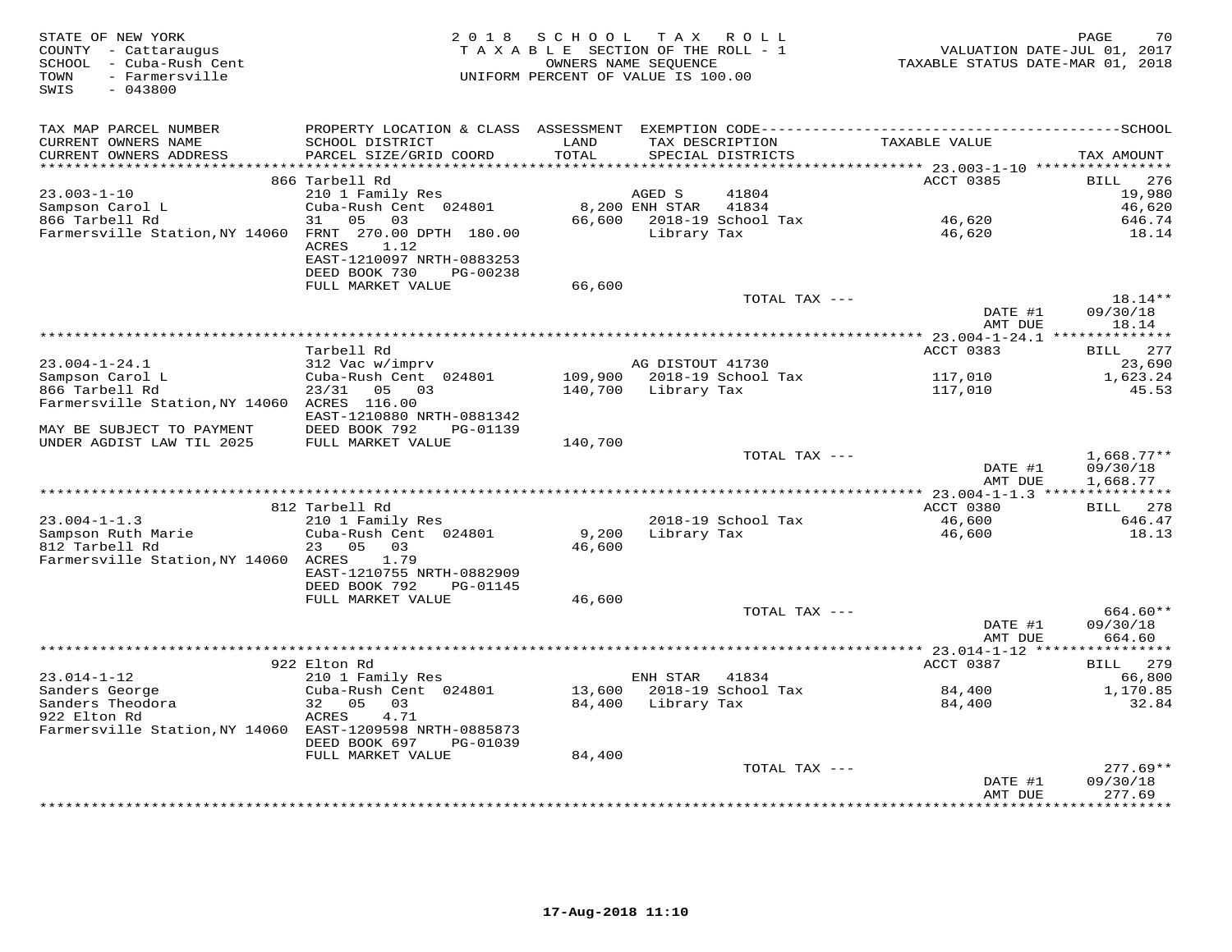| STATE OF NEW YORK<br>COUNTY - Cattaraugus<br>SCHOOL - Cuba-Rush Cent<br>- Farmersville<br>TOWN<br>SWIS<br>$-043800$ | 2 0 1 8                                                |         | SCHOOL TAX ROLL<br>TAXABLE SECTION OF THE ROLL - 1<br>OWNERS NAME SEQUENCE<br>UNIFORM PERCENT OF VALUE IS 100.00 | VALUATION DATE-JUL 01, 2017<br>TAXABLE STATUS DATE-MAR 01, 2018 | 70<br>PAGE            |
|---------------------------------------------------------------------------------------------------------------------|--------------------------------------------------------|---------|------------------------------------------------------------------------------------------------------------------|-----------------------------------------------------------------|-----------------------|
| TAX MAP PARCEL NUMBER                                                                                               |                                                        |         |                                                                                                                  |                                                                 |                       |
| CURRENT OWNERS NAME                                                                                                 | SCHOOL DISTRICT                                        | LAND    | TAX DESCRIPTION                                                                                                  | TAXABLE VALUE                                                   |                       |
| CURRENT OWNERS ADDRESS                                                                                              | PARCEL SIZE/GRID COORD                                 | TOTAL   | SPECIAL DISTRICTS                                                                                                |                                                                 | TAX AMOUNT            |
|                                                                                                                     |                                                        |         |                                                                                                                  |                                                                 |                       |
| $23.003 - 1 - 10$                                                                                                   | 866 Tarbell Rd<br>210 1 Family Res                     |         | 41804<br>AGED S                                                                                                  | ACCT 0385                                                       | 276<br>BILL<br>19,980 |
| Sampson Carol L                                                                                                     | Cuba-Rush Cent 024801                                  |         | 8,200 ENH STAR<br>41834                                                                                          |                                                                 | 46,620                |
| 866 Tarbell Rd                                                                                                      | 31<br>05 03                                            |         | 66,600 2018-19 School Tax                                                                                        | 46,620                                                          | 646.74                |
| Farmersville Station, NY 14060 FRNT 270.00 DPTH 180.00                                                              | ACRES<br>1.12                                          |         | Library Tax                                                                                                      | 46,620                                                          | 18.14                 |
|                                                                                                                     | EAST-1210097 NRTH-0883253<br>DEED BOOK 730<br>PG-00238 |         |                                                                                                                  |                                                                 |                       |
|                                                                                                                     | FULL MARKET VALUE                                      | 66,600  |                                                                                                                  |                                                                 |                       |
|                                                                                                                     |                                                        |         | TOTAL TAX ---                                                                                                    |                                                                 | $18.14**$             |
|                                                                                                                     |                                                        |         |                                                                                                                  | DATE #1<br>AMT DUE                                              | 09/30/18<br>18.14     |
|                                                                                                                     | Tarbell Rd                                             |         |                                                                                                                  | ACCT 0383                                                       | BILL 277              |
| $23.004 - 1 - 24.1$                                                                                                 | 312 Vac w/imprv                                        |         | AG DISTOUT 41730                                                                                                 |                                                                 | 23,690                |
| Sampson Carol L                                                                                                     | Cuba-Rush Cent 024801                                  |         | 109,900 2018-19 School Tax                                                                                       | 117,010                                                         | 1,623.24              |
| 866 Tarbell Rd                                                                                                      | $23/31$ 05 03                                          |         | 140,700 Library Tax                                                                                              | 117,010                                                         | 45.53                 |
| Farmersville Station, NY 14060 ACRES 116.00                                                                         | EAST-1210880 NRTH-0881342                              |         |                                                                                                                  |                                                                 |                       |
| MAY BE SUBJECT TO PAYMENT                                                                                           | DEED BOOK 792<br>PG-01139                              |         |                                                                                                                  |                                                                 |                       |
| UNDER AGDIST LAW TIL 2025                                                                                           | FULL MARKET VALUE                                      | 140,700 | TOTAL TAX ---                                                                                                    |                                                                 | $1,668.77**$          |
|                                                                                                                     |                                                        |         |                                                                                                                  | DATE #1                                                         | 09/30/18              |
|                                                                                                                     |                                                        |         |                                                                                                                  | AMT DUE                                                         | 1,668.77              |
|                                                                                                                     |                                                        |         |                                                                                                                  |                                                                 |                       |
|                                                                                                                     | 812 Tarbell Rd                                         |         |                                                                                                                  | ACCT 0380                                                       | BILL 278              |
| $23.004 - 1 - 1.3$                                                                                                  | 210 1 Family Res                                       |         | 2018-19 School Tax                                                                                               | 46,600                                                          | 646.47                |
| Sampson Ruth Marie                                                                                                  | Cuba-Rush Cent 024801                                  | 9,200   | Library Tax                                                                                                      | 46,600                                                          | 18.13                 |
| 812 Tarbell Rd<br>Farmersville Station, NY 14060 ACRES                                                              | 23 05 03<br>1.79                                       | 46,600  |                                                                                                                  |                                                                 |                       |
|                                                                                                                     | EAST-1210755 NRTH-0882909                              |         |                                                                                                                  |                                                                 |                       |
|                                                                                                                     | DEED BOOK 792<br>PG-01145                              |         |                                                                                                                  |                                                                 |                       |
|                                                                                                                     | FULL MARKET VALUE                                      | 46,600  |                                                                                                                  |                                                                 |                       |
|                                                                                                                     |                                                        |         | TOTAL TAX ---                                                                                                    |                                                                 | 664.60**              |
|                                                                                                                     |                                                        |         |                                                                                                                  | DATE #1                                                         | 09/30/18              |
|                                                                                                                     |                                                        |         |                                                                                                                  | AMT DUE                                                         | 664.60                |
|                                                                                                                     |                                                        |         |                                                                                                                  |                                                                 |                       |
| $23.014 - 1 - 12$                                                                                                   | 922 Elton Rd<br>210 1 Family Res                       |         | ENH STAR 41834                                                                                                   | ACCT 0387                                                       | BILL 279<br>66,800    |
| Sanders George                                                                                                      | Cuba-Rush Cent 024801                                  | 13,600  | 2018-19 School Tax                                                                                               | 84,400                                                          | 1,170.85              |
| Sanders Theodora                                                                                                    | 32 05<br>03                                            | 84,400  | Library Tax                                                                                                      | 84,400                                                          | 32.84                 |
| 922 Elton Rd                                                                                                        | ACRES<br>4.71                                          |         |                                                                                                                  |                                                                 |                       |
| Farmersville Station, NY 14060 EAST-1209598 NRTH-0885873                                                            | DEED BOOK 697<br>PG-01039                              |         |                                                                                                                  |                                                                 |                       |
|                                                                                                                     | FULL MARKET VALUE                                      | 84,400  |                                                                                                                  |                                                                 |                       |
|                                                                                                                     |                                                        |         | TOTAL TAX ---                                                                                                    |                                                                 | $277.69**$            |
|                                                                                                                     |                                                        |         |                                                                                                                  | DATE #1                                                         | 09/30/18              |
|                                                                                                                     |                                                        |         |                                                                                                                  | AMT DUE                                                         | 277.69                |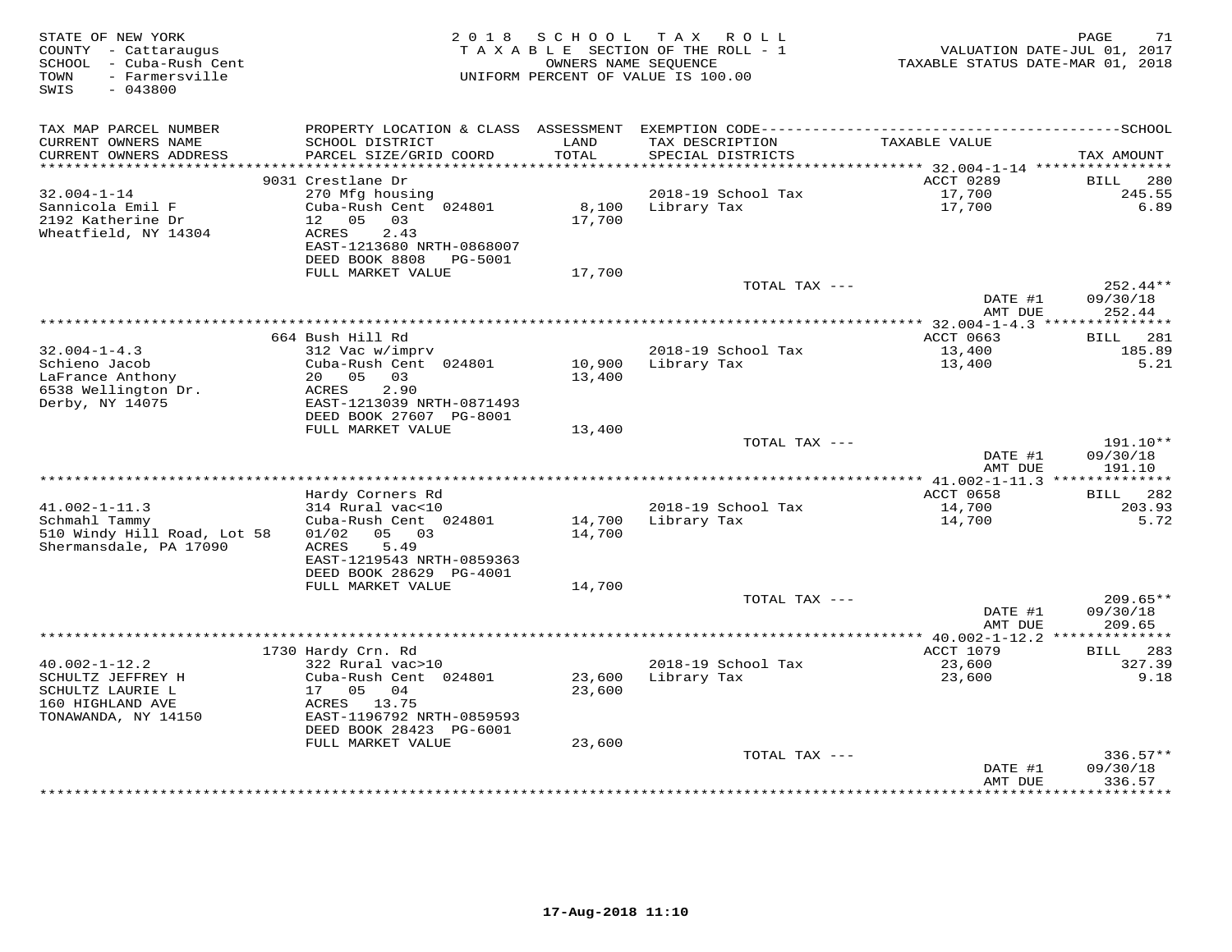| STATE OF NEW YORK<br>COUNTY - Cattaraugus<br>SCHOOL - Cuba-Rush Cent<br>- Farmersville<br>TOWN<br>SWIS<br>$-043800$ | 2 0 1 8                                      | S C H O O L<br>OWNERS NAME SEQUENCE | T A X<br>R O L L<br>TAXABLE SECTION OF THE ROLL - 1<br>UNIFORM PERCENT OF VALUE IS 100.00 | VALUATION DATE-JUL 01, 2017<br>TAXABLE STATUS DATE-MAR 01, 2018 | 71<br>PAGE            |
|---------------------------------------------------------------------------------------------------------------------|----------------------------------------------|-------------------------------------|-------------------------------------------------------------------------------------------|-----------------------------------------------------------------|-----------------------|
| TAX MAP PARCEL NUMBER                                                                                               |                                              |                                     |                                                                                           |                                                                 |                       |
| CURRENT OWNERS NAME                                                                                                 | SCHOOL DISTRICT                              | LAND                                | TAX DESCRIPTION                                                                           | TAXABLE VALUE                                                   |                       |
| CURRENT OWNERS ADDRESS                                                                                              | PARCEL SIZE/GRID COORD                       | TOTAL                               | SPECIAL DISTRICTS                                                                         |                                                                 | TAX AMOUNT            |
| ***********************                                                                                             |                                              |                                     |                                                                                           |                                                                 |                       |
| $32.004 - 1 - 14$                                                                                                   | 9031 Crestlane Dr<br>270 Mfg housing         |                                     | 2018-19 School Tax                                                                        | ACCT 0289<br>17,700                                             | 280<br>BILL<br>245.55 |
| Sannicola Emil F                                                                                                    | Cuba-Rush Cent 024801                        | 8,100                               | Library Tax                                                                               | 17,700                                                          | 6.89                  |
| 2192 Katherine Dr                                                                                                   | 12 05<br>03                                  | 17,700                              |                                                                                           |                                                                 |                       |
| Wheatfield, NY 14304                                                                                                | 2.43<br>ACRES                                |                                     |                                                                                           |                                                                 |                       |
|                                                                                                                     | EAST-1213680 NRTH-0868007                    |                                     |                                                                                           |                                                                 |                       |
|                                                                                                                     | DEED BOOK 8808<br>PG-5001                    |                                     |                                                                                           |                                                                 |                       |
|                                                                                                                     | FULL MARKET VALUE                            | 17,700                              | TOTAL TAX ---                                                                             |                                                                 | 252.44**              |
|                                                                                                                     |                                              |                                     |                                                                                           | DATE #1                                                         | 09/30/18              |
|                                                                                                                     |                                              |                                     |                                                                                           | AMT DUE                                                         | 252.44                |
|                                                                                                                     |                                              |                                     | ***********************                                                                   | $** 32.004 - 1 - 4.3$ ***                                       | * * * * * * * * * * * |
|                                                                                                                     | 664 Bush Hill Rd                             |                                     |                                                                                           | ACCT 0663                                                       | 281<br>BILL           |
| $32.004 - 1 - 4.3$<br>Schieno Jacob                                                                                 | 312 Vac w/imprv<br>Cuba-Rush Cent 024801     | 10,900                              | 2018-19 School Tax<br>Library Tax                                                         | 13,400<br>13,400                                                | 185.89<br>5.21        |
| LaFrance Anthony                                                                                                    | 20 05<br>03                                  | 13,400                              |                                                                                           |                                                                 |                       |
| 6538 Wellington Dr.                                                                                                 | 2.90<br>ACRES                                |                                     |                                                                                           |                                                                 |                       |
| Derby, NY 14075                                                                                                     | EAST-1213039 NRTH-0871493                    |                                     |                                                                                           |                                                                 |                       |
|                                                                                                                     | DEED BOOK 27607 PG-8001                      |                                     |                                                                                           |                                                                 |                       |
|                                                                                                                     | FULL MARKET VALUE                            | 13,400                              | TOTAL TAX ---                                                                             |                                                                 | 191.10**              |
|                                                                                                                     |                                              |                                     |                                                                                           | DATE #1                                                         | 09/30/18              |
|                                                                                                                     |                                              |                                     |                                                                                           | AMT DUE                                                         | 191.10                |
|                                                                                                                     |                                              |                                     |                                                                                           |                                                                 |                       |
| $41.002 - 1 - 11.3$                                                                                                 | Hardy Corners Rd                             |                                     |                                                                                           | ACCT 0658                                                       | 282<br>BILL<br>203.93 |
| Schmahl Tammy                                                                                                       | 314 Rural vac<10<br>Cuba-Rush Cent 024801    | 14,700                              | 2018-19 School Tax<br>Library Tax                                                         | 14,700<br>14,700                                                | 5.72                  |
| 510 Windy Hill Road, Lot 58                                                                                         | 01/02<br>05 03                               | 14,700                              |                                                                                           |                                                                 |                       |
| Shermansdale, PA 17090                                                                                              | 5.49<br>ACRES                                |                                     |                                                                                           |                                                                 |                       |
|                                                                                                                     | EAST-1219543 NRTH-0859363                    |                                     |                                                                                           |                                                                 |                       |
|                                                                                                                     | DEED BOOK 28629 PG-4001<br>FULL MARKET VALUE | 14,700                              |                                                                                           |                                                                 |                       |
|                                                                                                                     |                                              |                                     | TOTAL TAX ---                                                                             |                                                                 | $209.65**$            |
|                                                                                                                     |                                              |                                     |                                                                                           | DATE #1                                                         | 09/30/18              |
|                                                                                                                     |                                              |                                     |                                                                                           | AMT DUE                                                         | 209.65                |
|                                                                                                                     |                                              |                                     |                                                                                           | ************** 40.002-1-12.2 ***                                | ***********           |
|                                                                                                                     | 1730 Hardy Crn. Rd                           |                                     |                                                                                           | <b>ACCT 1079</b>                                                | 283<br><b>BILL</b>    |
| $40.002 - 1 - 12.2$<br>SCHULTZ JEFFREY H                                                                            | 322 Rural vac>10<br>Cuba-Rush Cent 024801    | 23,600                              | 2018-19 School Tax<br>Library Tax                                                         | 23,600<br>23,600                                                | 327.39<br>9.18        |
| SCHULTZ LAURIE L                                                                                                    | 17<br>05<br>04                               | 23,600                              |                                                                                           |                                                                 |                       |
| 160 HIGHLAND AVE                                                                                                    | ACRES 13.75                                  |                                     |                                                                                           |                                                                 |                       |
| TONAWANDA, NY 14150                                                                                                 | EAST-1196792 NRTH-0859593                    |                                     |                                                                                           |                                                                 |                       |
|                                                                                                                     | DEED BOOK 28423 PG-6001                      |                                     |                                                                                           |                                                                 |                       |
|                                                                                                                     | FULL MARKET VALUE                            | 23,600                              | TOTAL TAX ---                                                                             |                                                                 | $336.57**$            |
|                                                                                                                     |                                              |                                     |                                                                                           | DATE #1                                                         | 09/30/18              |
|                                                                                                                     |                                              |                                     |                                                                                           | AMT DUE                                                         | 336.57                |
|                                                                                                                     |                                              |                                     |                                                                                           | * * * * * * * * * * * * * * * * * *                             | ***********           |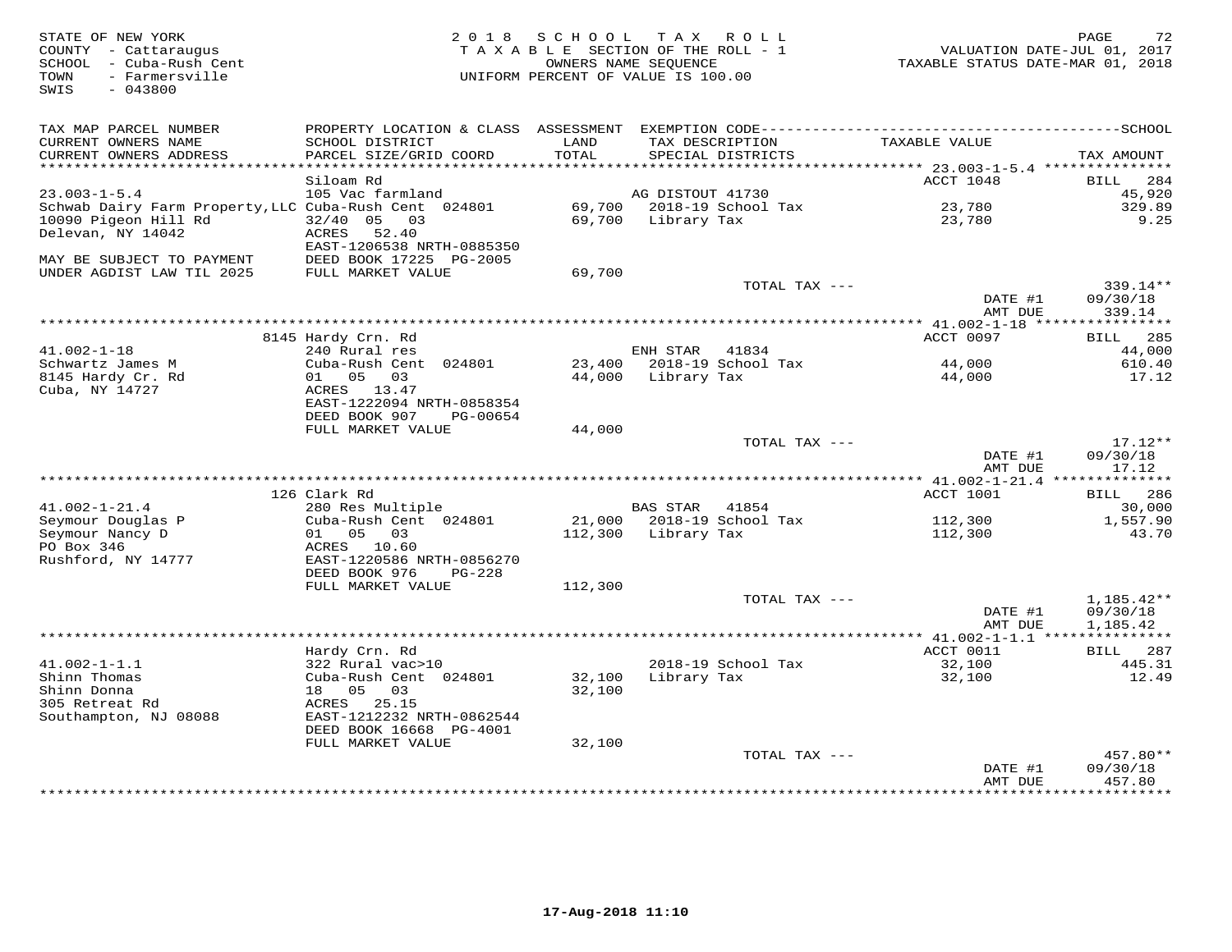| STATE OF NEW YORK<br>COUNTY - Cattaraugus<br>SCHOOL - Cuba-Rush Cent<br>- Farmersville<br>TOWN<br>SWIS<br>$-043800$ | 2 0 1 8                                                | S C H O O L<br>OWNERS NAME SEQUENCE | T A X<br>R O L L<br>TAXABLE SECTION OF THE ROLL - 1<br>UNIFORM PERCENT OF VALUE IS 100.00 | VALUATION DATE-JUL 01, 2017<br>TAXABLE STATUS DATE-MAR 01, 2018 | 72<br>PAGE            |
|---------------------------------------------------------------------------------------------------------------------|--------------------------------------------------------|-------------------------------------|-------------------------------------------------------------------------------------------|-----------------------------------------------------------------|-----------------------|
| TAX MAP PARCEL NUMBER                                                                                               |                                                        |                                     |                                                                                           |                                                                 |                       |
| CURRENT OWNERS NAME<br>CURRENT OWNERS ADDRESS                                                                       | SCHOOL DISTRICT<br>PARCEL SIZE/GRID COORD              | LAND<br>TOTAL                       | TAX DESCRIPTION<br>SPECIAL DISTRICTS                                                      | TAXABLE VALUE                                                   | TAX AMOUNT            |
| ***********************                                                                                             | Siloam Rd                                              |                                     |                                                                                           | ACCT 1048                                                       | 284<br>BILL           |
| $23.003 - 1 - 5.4$                                                                                                  | 105 Vac farmland                                       |                                     | AG DISTOUT 41730                                                                          |                                                                 | 45,920                |
| Schwab Dairy Farm Property, LLC Cuba-Rush Cent 024801                                                               |                                                        | 69,700                              | 2018-19 School Tax                                                                        | 23,780                                                          | 329.89                |
| 10090 Pigeon Hill Rd                                                                                                | $32/40$ 05<br>03                                       | 69,700                              | Library Tax                                                                               | 23,780                                                          | 9.25                  |
| Delevan, NY 14042                                                                                                   | ACRES<br>52.40<br>EAST-1206538 NRTH-0885350            |                                     |                                                                                           |                                                                 |                       |
| MAY BE SUBJECT TO PAYMENT                                                                                           | DEED BOOK 17225 PG-2005                                |                                     |                                                                                           |                                                                 |                       |
| UNDER AGDIST LAW TIL 2025                                                                                           | FULL MARKET VALUE                                      | 69,700                              |                                                                                           |                                                                 |                       |
|                                                                                                                     |                                                        |                                     | TOTAL TAX ---                                                                             | DATE #1                                                         | 339.14**<br>09/30/18  |
|                                                                                                                     |                                                        |                                     |                                                                                           | AMT DUE<br>*** $41.002 - 1 - 18$ *****                          | 339.14<br>*********** |
|                                                                                                                     | 8145 Hardy Crn. Rd                                     |                                     |                                                                                           | ACCT 0097                                                       | 285<br>BILL           |
| $41.002 - 1 - 18$                                                                                                   | 240 Rural res                                          |                                     | ENH STAR<br>41834                                                                         |                                                                 | 44,000                |
| Schwartz James M                                                                                                    | Cuba-Rush Cent 024801                                  | 23,400                              | 2018-19 School Tax                                                                        | 44,000                                                          | 610.40                |
| 8145 Hardy Cr. Rd<br>Cuba, NY 14727                                                                                 | 01 05 03<br>ACRES 13.47                                | 44,000                              | Library Tax                                                                               | 44,000                                                          | 17.12                 |
|                                                                                                                     | EAST-1222094 NRTH-0858354<br>DEED BOOK 907<br>PG-00654 |                                     |                                                                                           |                                                                 |                       |
|                                                                                                                     | FULL MARKET VALUE                                      | 44,000                              |                                                                                           |                                                                 |                       |
|                                                                                                                     |                                                        |                                     | TOTAL TAX ---                                                                             |                                                                 | $17.12**$             |
|                                                                                                                     |                                                        |                                     |                                                                                           | DATE #1<br>AMT DUE                                              | 09/30/18<br>17.12     |
|                                                                                                                     |                                                        |                                     |                                                                                           |                                                                 |                       |
|                                                                                                                     | 126 Clark Rd                                           |                                     |                                                                                           | ACCT 1001                                                       | 286<br>BILL           |
| $41.002 - 1 - 21.4$                                                                                                 | 280 Res Multiple                                       |                                     | BAS STAR<br>41854                                                                         |                                                                 | 30,000                |
| Seymour Douglas P<br>Seymour Nancy D                                                                                | Cuba-Rush Cent 024801<br>05<br>03<br>01                |                                     | 21,000 2018-19 School Tax<br>112,300 Library Tax                                          | 112,300<br>112,300                                              | 1,557.90<br>43.70     |
| PO Box 346                                                                                                          | ACRES 10.60                                            |                                     |                                                                                           |                                                                 |                       |
| Rushford, NY 14777                                                                                                  | EAST-1220586 NRTH-0856270                              |                                     |                                                                                           |                                                                 |                       |
|                                                                                                                     | DEED BOOK 976<br>$PG-228$<br>FULL MARKET VALUE         | 112,300                             |                                                                                           |                                                                 |                       |
|                                                                                                                     |                                                        |                                     | TOTAL TAX ---                                                                             |                                                                 | $1,185.42**$          |
|                                                                                                                     |                                                        |                                     |                                                                                           | DATE #1                                                         | 09/30/18              |
|                                                                                                                     |                                                        |                                     |                                                                                           | AMT DUE                                                         | 1,185.42              |
|                                                                                                                     |                                                        |                                     |                                                                                           |                                                                 |                       |
|                                                                                                                     | Hardy Crn. Rd                                          |                                     |                                                                                           | ACCT 0011                                                       | 287<br>BILL           |
| $41.002 - 1 - 1.1$<br>Shinn Thomas                                                                                  | 322 Rural vac>10<br>Cuba-Rush Cent 024801              | 32,100                              | 2018-19 School Tax<br>Library Tax                                                         | 32,100<br>32,100                                                | 445.31<br>12.49       |
| Shinn Donna                                                                                                         | 18 05<br>03                                            | 32,100                              |                                                                                           |                                                                 |                       |
| 305 Retreat Rd                                                                                                      | ACRES 25.15                                            |                                     |                                                                                           |                                                                 |                       |
| Southampton, NJ 08088                                                                                               | EAST-1212232 NRTH-0862544<br>DEED BOOK 16668 PG-4001   |                                     |                                                                                           |                                                                 |                       |
|                                                                                                                     | FULL MARKET VALUE                                      | 32,100                              |                                                                                           |                                                                 |                       |
|                                                                                                                     |                                                        |                                     | TOTAL TAX ---                                                                             |                                                                 | 457.80**              |
|                                                                                                                     |                                                        |                                     |                                                                                           | DATE #1<br>AMT DUE                                              | 09/30/18<br>457.80    |
|                                                                                                                     |                                                        |                                     |                                                                                           | * * * * * * * *                                                 | * * * * * * * * *     |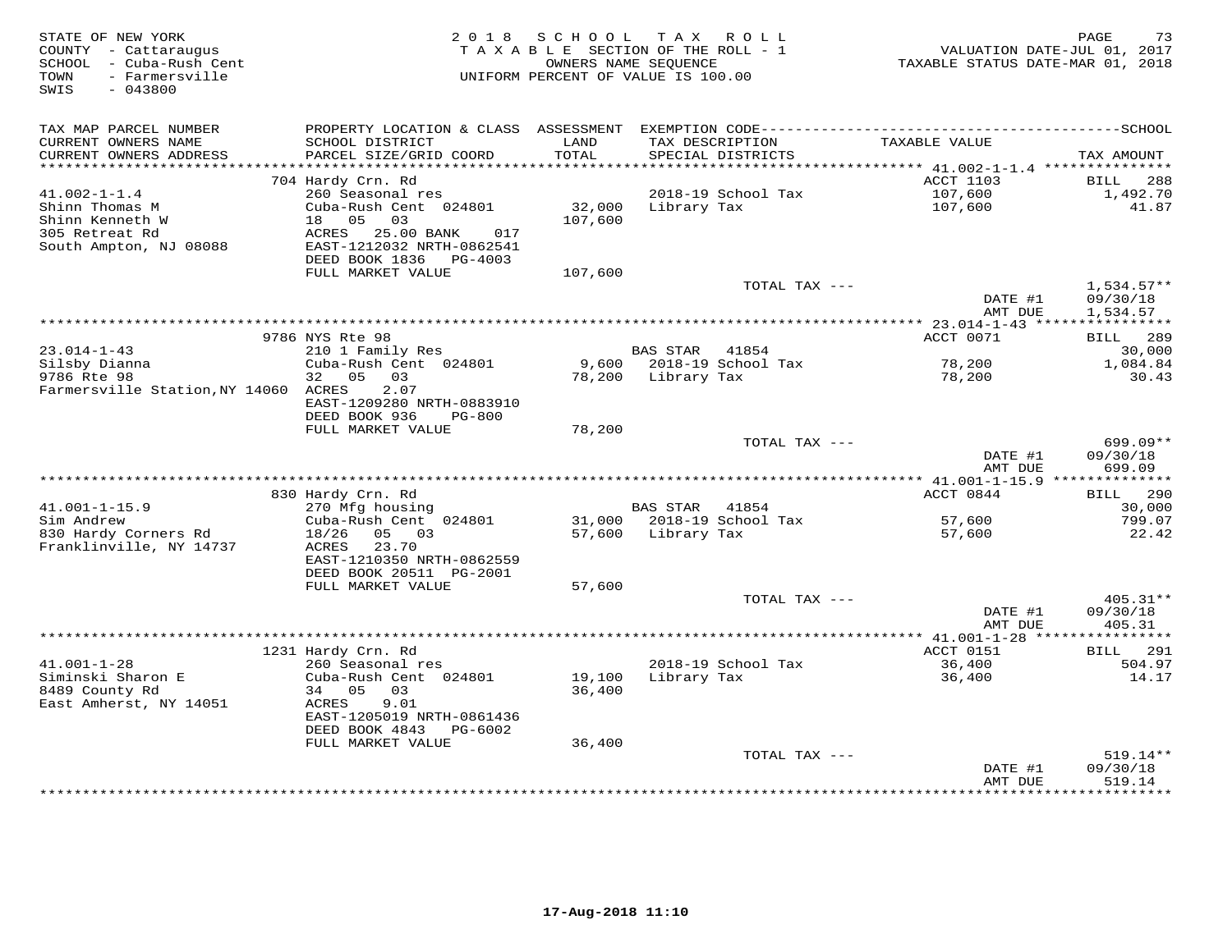| STATE OF NEW YORK<br>COUNTY - Cattaraugus<br>SCHOOL - Cuba-Rush Cent<br>- Farmersville<br>TOWN<br>SWIS<br>$-043800$ | 2 0 1 8                                                 | SCHOOL  | T A X<br>R O L L<br>TAXABLE SECTION OF THE ROLL - 1<br>OWNERS NAME SEOUENCE<br>UNIFORM PERCENT OF VALUE IS 100.00 | VALUATION DATE-JUL 01, 2017<br>TAXABLE STATUS DATE-MAR 01, 2018 | 73<br>PAGE              |
|---------------------------------------------------------------------------------------------------------------------|---------------------------------------------------------|---------|-------------------------------------------------------------------------------------------------------------------|-----------------------------------------------------------------|-------------------------|
|                                                                                                                     |                                                         |         |                                                                                                                   |                                                                 |                         |
| TAX MAP PARCEL NUMBER                                                                                               |                                                         |         |                                                                                                                   |                                                                 |                         |
| CURRENT OWNERS NAME                                                                                                 | SCHOOL DISTRICT                                         | LAND    | TAX DESCRIPTION                                                                                                   | TAXABLE VALUE                                                   |                         |
| CURRENT OWNERS ADDRESS<br>***********************                                                                   | PARCEL SIZE/GRID COORD                                  | TOTAL   | SPECIAL DISTRICTS                                                                                                 |                                                                 | TAX AMOUNT              |
|                                                                                                                     | 704 Hardy Crn. Rd                                       |         |                                                                                                                   | <b>ACCT 1103</b>                                                | <b>BILL</b><br>288      |
| $41.002 - 1 - 1.4$                                                                                                  | 260 Seasonal res                                        |         | 2018-19 School Tax                                                                                                | 107,600                                                         | 1,492.70                |
| Shinn Thomas M                                                                                                      | Cuba-Rush Cent 024801                                   | 32,000  | Library Tax                                                                                                       | 107,600                                                         | 41.87                   |
| Shinn Kenneth W                                                                                                     | 05<br>03<br>18                                          | 107,600 |                                                                                                                   |                                                                 |                         |
| 305 Retreat Rd<br>South Ampton, NJ 08088                                                                            | ACRES<br>25.00 BANK<br>017<br>EAST-1212032 NRTH-0862541 |         |                                                                                                                   |                                                                 |                         |
|                                                                                                                     | DEED BOOK 1836    PG-4003                               |         |                                                                                                                   |                                                                 |                         |
|                                                                                                                     | FULL MARKET VALUE                                       | 107,600 |                                                                                                                   |                                                                 |                         |
|                                                                                                                     |                                                         |         | TOTAL TAX ---                                                                                                     |                                                                 | $1,534.57**$            |
|                                                                                                                     |                                                         |         |                                                                                                                   | DATE #1                                                         | 09/30/18                |
|                                                                                                                     |                                                         |         |                                                                                                                   | AMT DUE                                                         | 1,534.57<br>*********** |
|                                                                                                                     | 9786 NYS Rte 98                                         |         |                                                                                                                   | ACCT 0071                                                       | BILL<br>289             |
| $23.014 - 1 - 43$                                                                                                   | 210 1 Family Res                                        |         | <b>BAS STAR</b><br>41854                                                                                          |                                                                 | 30,000                  |
| Silsby Dianna                                                                                                       | Cuba-Rush Cent 024801                                   | 9,600   | 2018-19 School Tax                                                                                                | 78,200                                                          | 1,084.84                |
| 9786 Rte 98                                                                                                         | 32 05<br>03                                             | 78,200  | Library Tax                                                                                                       | 78,200                                                          | 30.43                   |
| Farmersville Station, NY 14060 ACRES                                                                                | 2.07<br>EAST-1209280 NRTH-0883910                       |         |                                                                                                                   |                                                                 |                         |
|                                                                                                                     | DEED BOOK 936<br><b>PG-800</b>                          |         |                                                                                                                   |                                                                 |                         |
|                                                                                                                     | FULL MARKET VALUE                                       | 78,200  |                                                                                                                   |                                                                 |                         |
|                                                                                                                     |                                                         |         | TOTAL TAX ---                                                                                                     |                                                                 | $699.09**$              |
|                                                                                                                     |                                                         |         |                                                                                                                   | DATE #1                                                         | 09/30/18                |
|                                                                                                                     |                                                         |         |                                                                                                                   | AMT DUE                                                         | 699.09                  |
|                                                                                                                     | 830 Hardy Crn. Rd                                       |         |                                                                                                                   | ACCT 0844                                                       | 290<br>BILL             |
| $41.001 - 1 - 15.9$                                                                                                 | 270 Mfg housing                                         |         | <b>BAS STAR</b><br>41854                                                                                          |                                                                 | 30,000                  |
| Sim Andrew                                                                                                          | Cuba-Rush Cent 024801                                   |         | 31,000 2018-19 School Tax                                                                                         | 57,600                                                          | 799.07                  |
| 830 Hardy Corners Rd                                                                                                | 18/26<br>05 03                                          | 57,600  | Library Tax                                                                                                       | 57,600                                                          | 22.42                   |
| Franklinville, NY 14737                                                                                             | 23.70<br>ACRES<br>EAST-1210350 NRTH-0862559             |         |                                                                                                                   |                                                                 |                         |
|                                                                                                                     | DEED BOOK 20511 PG-2001                                 |         |                                                                                                                   |                                                                 |                         |
|                                                                                                                     | FULL MARKET VALUE                                       | 57,600  |                                                                                                                   |                                                                 |                         |
|                                                                                                                     |                                                         |         | TOTAL TAX ---                                                                                                     |                                                                 | $405.31**$              |
|                                                                                                                     |                                                         |         |                                                                                                                   | DATE #1                                                         | 09/30/18                |
|                                                                                                                     |                                                         |         |                                                                                                                   | AMT DUE                                                         | 405.31                  |
|                                                                                                                     | 1231 Hardy Crn. Rd                                      |         |                                                                                                                   | ACCT 0151                                                       | 291<br>BILL.            |
| $41.001 - 1 - 28$                                                                                                   | 260 Seasonal res                                        |         | 2018-19 School Tax                                                                                                | 36,400                                                          | 504.97                  |
| Siminski Sharon E                                                                                                   | Cuba-Rush Cent 024801                                   | 19,100  | Library Tax                                                                                                       | 36,400                                                          | 14.17                   |
| 8489 County Rd                                                                                                      | 34 05<br>03                                             | 36,400  |                                                                                                                   |                                                                 |                         |
| East Amherst, NY 14051                                                                                              | ACRES<br>9.01<br>EAST-1205019 NRTH-0861436              |         |                                                                                                                   |                                                                 |                         |
|                                                                                                                     | DEED BOOK 4843<br>PG-6002                               |         |                                                                                                                   |                                                                 |                         |
|                                                                                                                     | FULL MARKET VALUE                                       | 36,400  |                                                                                                                   |                                                                 |                         |
|                                                                                                                     |                                                         |         | TOTAL TAX ---                                                                                                     |                                                                 | $519.14**$              |
|                                                                                                                     |                                                         |         |                                                                                                                   | DATE #1                                                         | 09/30/18                |
|                                                                                                                     |                                                         |         |                                                                                                                   | AMT DUE                                                         | 519.14<br>*********     |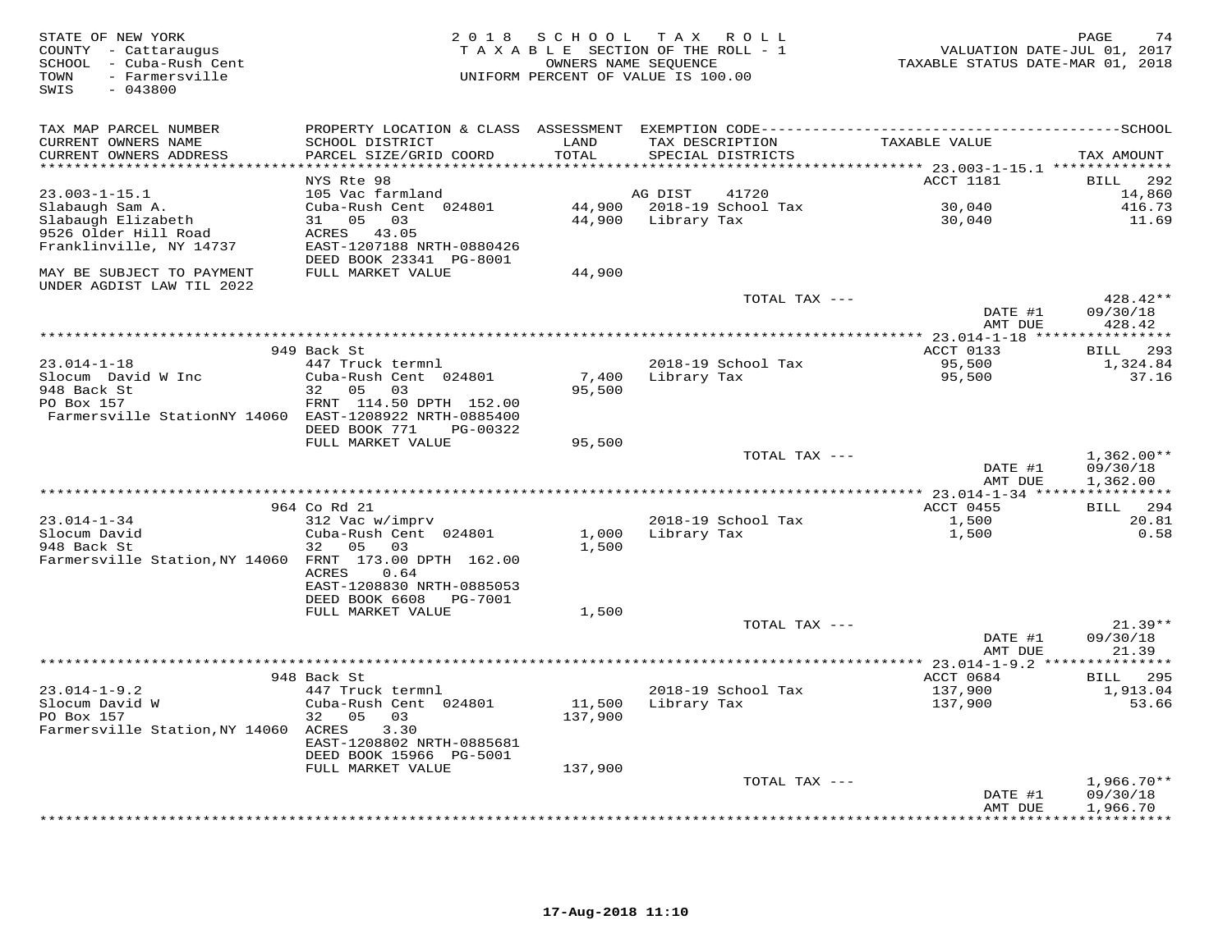| STATE OF NEW YORK<br>COUNTY - Cattaraugus<br>SCHOOL - Cuba-Rush Cent<br>- Farmersville<br>TOWN<br>$-043800$<br>SWIS |                                                        |               | 2018 SCHOOL TAX ROLL<br>TAXABLE SECTION OF THE ROLL - 1<br>OWNERS NAME SEQUENCE<br>UNIFORM PERCENT OF VALUE IS 100.00 | VALUATION DATE-JUL 01, 2017<br>TAXABLE STATUS DATE-MAR 01, 2018 | PAGE<br>74            |
|---------------------------------------------------------------------------------------------------------------------|--------------------------------------------------------|---------------|-----------------------------------------------------------------------------------------------------------------------|-----------------------------------------------------------------|-----------------------|
| TAX MAP PARCEL NUMBER                                                                                               |                                                        |               |                                                                                                                       |                                                                 |                       |
| CURRENT OWNERS NAME<br>CURRENT OWNERS ADDRESS                                                                       | SCHOOL DISTRICT<br>PARCEL SIZE/GRID COORD              | LAND<br>TOTAL | TAX DESCRIPTION<br>SPECIAL DISTRICTS                                                                                  | TAXABLE VALUE                                                   | TAX AMOUNT            |
| ************************                                                                                            |                                                        |               |                                                                                                                       |                                                                 |                       |
| $23.003 - 1 - 15.1$                                                                                                 | NYS Rte 98<br>105 Vac farmland                         |               | AG DIST<br>41720                                                                                                      | ACCT 1181                                                       | 292<br>BILL<br>14,860 |
| Slabaugh Sam A.                                                                                                     | Cuba-Rush Cent 024801                                  |               | 44,900 2018-19 School Tax                                                                                             | 30,040                                                          | 416.73                |
| Slabaugh Elizabeth                                                                                                  | 31 05<br>03                                            |               | 44,900 Library Tax                                                                                                    | 30,040                                                          | 11.69                 |
| 9526 Older Hill Road                                                                                                | ACRES 43.05                                            |               |                                                                                                                       |                                                                 |                       |
| Franklinville, NY 14737                                                                                             | EAST-1207188 NRTH-0880426                              |               |                                                                                                                       |                                                                 |                       |
|                                                                                                                     | DEED BOOK 23341 PG-8001                                |               |                                                                                                                       |                                                                 |                       |
| MAY BE SUBJECT TO PAYMENT<br>UNDER AGDIST LAW TIL 2022                                                              | FULL MARKET VALUE                                      | 44,900        |                                                                                                                       |                                                                 |                       |
|                                                                                                                     |                                                        |               | TOTAL TAX ---                                                                                                         |                                                                 | 428.42**              |
|                                                                                                                     |                                                        |               |                                                                                                                       | DATE #1                                                         | 09/30/18              |
|                                                                                                                     |                                                        |               |                                                                                                                       | AMT DUE                                                         | 428.42                |
|                                                                                                                     |                                                        |               |                                                                                                                       |                                                                 |                       |
|                                                                                                                     | 949 Back St                                            |               |                                                                                                                       | ACCT 0133                                                       | 293<br>BILL           |
| $23.014 - 1 - 18$                                                                                                   | 447 Truck termnl                                       |               | 2018-19 School Tax                                                                                                    | 95,500                                                          | 1,324.84              |
| Slocum David W Inc                                                                                                  | Cuba-Rush Cent 024801                                  | 7,400         | Library Tax                                                                                                           | 95,500                                                          | 37.16                 |
| 948 Back St                                                                                                         | 32<br>05<br>03                                         | 95,500        |                                                                                                                       |                                                                 |                       |
| PO Box 157<br>Farmersville StationNY 14060 EAST-1208922 NRTH-0885400                                                | FRNT 114.50 DPTH 152.00                                |               |                                                                                                                       |                                                                 |                       |
|                                                                                                                     | DEED BOOK 771<br>PG-00322                              |               |                                                                                                                       |                                                                 |                       |
|                                                                                                                     | FULL MARKET VALUE                                      | 95,500        |                                                                                                                       |                                                                 |                       |
|                                                                                                                     |                                                        |               | TOTAL TAX ---                                                                                                         |                                                                 | $1,362.00**$          |
|                                                                                                                     |                                                        |               |                                                                                                                       | DATE #1                                                         | 09/30/18              |
|                                                                                                                     |                                                        |               |                                                                                                                       | AMT DUE                                                         | 1,362.00              |
|                                                                                                                     |                                                        |               |                                                                                                                       |                                                                 |                       |
|                                                                                                                     | 964 Co Rd 21                                           |               |                                                                                                                       | ACCT 0455                                                       | 294<br>BILL           |
| $23.014 - 1 - 34$                                                                                                   | 312 Vac w/imprv                                        |               | 2018-19 School Tax                                                                                                    | 1,500                                                           | 20.81                 |
| Slocum David                                                                                                        | Cuba-Rush Cent 024801                                  | 1,000         | Library Tax                                                                                                           | 1,500                                                           | 0.58                  |
| 948 Back St                                                                                                         | 32 05<br>0.3                                           | 1,500         |                                                                                                                       |                                                                 |                       |
| Farmersville Station, NY 14060 FRNT 173.00 DPTH 162.00                                                              |                                                        |               |                                                                                                                       |                                                                 |                       |
|                                                                                                                     | <b>ACRES</b><br>0.64                                   |               |                                                                                                                       |                                                                 |                       |
|                                                                                                                     | EAST-1208830 NRTH-0885053<br>DEED BOOK 6608<br>PG-7001 |               |                                                                                                                       |                                                                 |                       |
|                                                                                                                     | FULL MARKET VALUE                                      | 1,500         |                                                                                                                       |                                                                 |                       |
|                                                                                                                     |                                                        |               | TOTAL TAX ---                                                                                                         |                                                                 | $21.39**$             |
|                                                                                                                     |                                                        |               |                                                                                                                       | DATE #1                                                         | 09/30/18              |
|                                                                                                                     |                                                        |               |                                                                                                                       | AMT DUE                                                         | 21.39                 |
|                                                                                                                     |                                                        |               |                                                                                                                       | **** 23.014-1-9.2 ***************                               |                       |
|                                                                                                                     | 948 Back St                                            |               |                                                                                                                       | ACCT 0684                                                       | 295<br>BILL           |
| $23.014 - 1 - 9.2$                                                                                                  | 447 Truck termnl                                       |               | 2018-19 School Tax                                                                                                    | 137,900                                                         | 1,913.04              |
| Slocum David W                                                                                                      | Cuba-Rush Cent 024801                                  | 11,500        | Library Tax                                                                                                           | 137,900                                                         | 53.66                 |
| PO Box 157                                                                                                          | 32<br>05<br>03                                         | 137,900       |                                                                                                                       |                                                                 |                       |
| Farmersville Station, NY 14060 ACRES                                                                                | 3.30                                                   |               |                                                                                                                       |                                                                 |                       |
|                                                                                                                     | EAST-1208802 NRTH-0885681                              |               |                                                                                                                       |                                                                 |                       |
|                                                                                                                     | DEED BOOK 15966 PG-5001                                |               |                                                                                                                       |                                                                 |                       |
|                                                                                                                     | FULL MARKET VALUE                                      | 137,900       | TOTAL TAX ---                                                                                                         |                                                                 | $1,966.70**$          |
|                                                                                                                     |                                                        |               |                                                                                                                       | DATE #1                                                         | 09/30/18              |
|                                                                                                                     |                                                        |               |                                                                                                                       | AMT DUE                                                         | 1,966.70              |
|                                                                                                                     |                                                        |               |                                                                                                                       |                                                                 | + + + + + + + + + +   |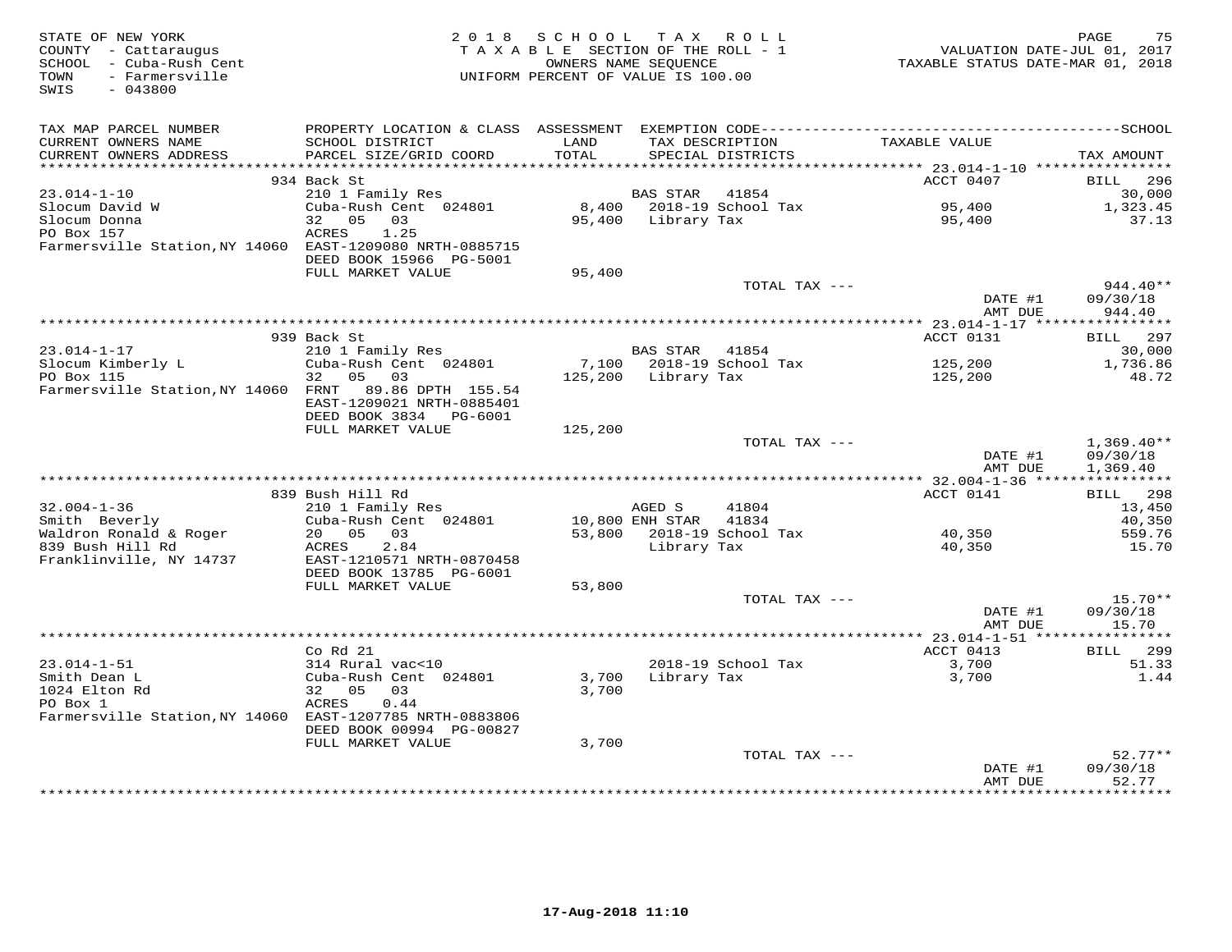| STATE OF NEW YORK<br>COUNTY - Cattaraugus<br>SCHOOL - Cuba-Rush Cent<br>- Farmersville<br>TOWN<br>SWIS<br>$-043800$ | 2 0 1 8                                                                                      | S C H O O L<br>TAXABLE SECTION OF THE ROLL - 1<br>OWNERS NAME SEQUENCE<br>UNIFORM PERCENT OF VALUE IS 100.00 |                     | TAX ROLL                             | VALUATION DATE-JUL 01, 2017<br>TAXABLE STATUS DATE-MAR 01, 2018 | 75<br>PAGE               |
|---------------------------------------------------------------------------------------------------------------------|----------------------------------------------------------------------------------------------|--------------------------------------------------------------------------------------------------------------|---------------------|--------------------------------------|-----------------------------------------------------------------|--------------------------|
| TAX MAP PARCEL NUMBER                                                                                               | PROPERTY LOCATION & CLASS ASSESSMENT EXEMPTION CODE-----------------------------------SCHOOL |                                                                                                              |                     |                                      |                                                                 |                          |
| CURRENT OWNERS NAME<br>CURRENT OWNERS ADDRESS                                                                       | SCHOOL DISTRICT<br>PARCEL SIZE/GRID COORD                                                    | LAND<br>TOTAL                                                                                                |                     | TAX DESCRIPTION<br>SPECIAL DISTRICTS | TAXABLE VALUE                                                   | TAX AMOUNT               |
|                                                                                                                     | 934 Back St                                                                                  |                                                                                                              |                     |                                      | ACCT 0407                                                       | BILL<br>296              |
| $23.014 - 1 - 10$                                                                                                   | 210 1 Family Res                                                                             |                                                                                                              | BAS STAR            | 41854                                |                                                                 | 30,000                   |
| Slocum David W                                                                                                      | Cuba-Rush Cent 024801                                                                        | 8,400                                                                                                        |                     | 2018-19 School Tax                   | 95,400                                                          | 1,323.45                 |
| Slocum Donna                                                                                                        | 05<br>03<br>32                                                                               | 95,400                                                                                                       | Library Tax         |                                      | 95,400                                                          | 37.13                    |
| PO Box 157<br>Farmersville Station, NY 14060 EAST-1209080 NRTH-0885715                                              | ACRES<br>1.25                                                                                |                                                                                                              |                     |                                      |                                                                 |                          |
|                                                                                                                     | DEED BOOK 15966 PG-5001                                                                      |                                                                                                              |                     |                                      |                                                                 |                          |
|                                                                                                                     | FULL MARKET VALUE                                                                            | 95,400                                                                                                       |                     |                                      |                                                                 |                          |
|                                                                                                                     |                                                                                              |                                                                                                              |                     | TOTAL TAX ---                        |                                                                 | $944.40**$               |
|                                                                                                                     |                                                                                              |                                                                                                              |                     |                                      | DATE #1                                                         | 09/30/18                 |
|                                                                                                                     |                                                                                              |                                                                                                              |                     |                                      | AMT DUE<br>***************** 23.014-1-17 *****                  | 944.40<br>***********    |
|                                                                                                                     | 939 Back St                                                                                  |                                                                                                              |                     |                                      | ACCT 0131                                                       | <b>BILL</b> 297          |
| $23.014 - 1 - 17$                                                                                                   | 210 1 Family Res                                                                             |                                                                                                              | BAS STAR 41854      |                                      |                                                                 | 30,000                   |
| Slocum Kimberly L                                                                                                   | Cuba-Rush Cent 024801                                                                        |                                                                                                              |                     | 7,100 2018-19 School Tax             | 125,200                                                         | 1,736.86                 |
| PO Box 115                                                                                                          | 32 05<br>03                                                                                  |                                                                                                              | 125,200 Library Tax |                                      | 125,200                                                         | 48.72                    |
| Farmersville Station, NY 14060 FRNT 89.86 DPTH 155.54                                                               | EAST-1209021 NRTH-0885401<br>DEED BOOK 3834 PG-6001                                          |                                                                                                              |                     |                                      |                                                                 |                          |
|                                                                                                                     | FULL MARKET VALUE                                                                            | 125,200                                                                                                      |                     |                                      |                                                                 |                          |
|                                                                                                                     |                                                                                              |                                                                                                              |                     | TOTAL TAX ---                        |                                                                 | $1,369.40**$             |
|                                                                                                                     |                                                                                              |                                                                                                              |                     |                                      | DATE #1<br>AMT DUE                                              | 09/30/18<br>1,369.40     |
|                                                                                                                     |                                                                                              |                                                                                                              |                     |                                      |                                                                 |                          |
| $32.004 - 1 - 36$                                                                                                   | 839 Bush Hill Rd<br>210 1 Family Res                                                         |                                                                                                              | AGED S              | 41804                                | ACCT 0141                                                       | BILL 298<br>13,450       |
| Smith Beverly                                                                                                       | Cuba-Rush Cent 024801                                                                        |                                                                                                              | 10,800 ENH STAR     | 41834                                |                                                                 | 40,350                   |
| Waldron Ronald & Roger                                                                                              | 20  05  03                                                                                   |                                                                                                              |                     | 53,800 2018-19 School Tax            | 40,350                                                          | 559.76                   |
| 839 Bush Hill Rd                                                                                                    | 2.84<br>ACRES                                                                                |                                                                                                              | Library Tax         |                                      | 40,350                                                          | 15.70                    |
| Franklinville, NY 14737                                                                                             | EAST-1210571 NRTH-0870458                                                                    |                                                                                                              |                     |                                      |                                                                 |                          |
|                                                                                                                     | DEED BOOK 13785 PG-6001<br>FULL MARKET VALUE                                                 | 53,800                                                                                                       |                     |                                      |                                                                 |                          |
|                                                                                                                     |                                                                                              |                                                                                                              |                     | TOTAL TAX ---                        |                                                                 | $15.70**$                |
|                                                                                                                     |                                                                                              |                                                                                                              |                     |                                      | DATE #1                                                         | 09/30/18                 |
|                                                                                                                     |                                                                                              |                                                                                                              |                     |                                      | AMT DUE                                                         | 15.70                    |
|                                                                                                                     |                                                                                              |                                                                                                              |                     |                                      | ***************** 23.014-1-51 *****************                 |                          |
| $23.014 - 1 - 51$                                                                                                   | Co Rd 21<br>314 Rural vac<10                                                                 |                                                                                                              |                     | 2018-19 School Tax                   | ACCT 0413<br>3,700                                              | <b>BILL</b> 299<br>51.33 |
| Smith Dean L                                                                                                        | Cuba-Rush Cent 024801                                                                        | 3,700                                                                                                        | Library Tax         |                                      | 3,700                                                           | 1.44                     |
| 1024 Elton Rd                                                                                                       | 32 05<br>03                                                                                  | 3,700                                                                                                        |                     |                                      |                                                                 |                          |
| PO Box 1                                                                                                            | ACRES<br>0.44                                                                                |                                                                                                              |                     |                                      |                                                                 |                          |
| Farmersville Station, NY 14060 EAST-1207785 NRTH-0883806                                                            |                                                                                              |                                                                                                              |                     |                                      |                                                                 |                          |
|                                                                                                                     | DEED BOOK 00994 PG-00827<br>FULL MARKET VALUE                                                | 3,700                                                                                                        |                     |                                      |                                                                 |                          |
|                                                                                                                     |                                                                                              |                                                                                                              |                     | TOTAL TAX ---                        |                                                                 | $52.77**$                |
|                                                                                                                     |                                                                                              |                                                                                                              |                     |                                      | DATE #1                                                         | 09/30/18                 |
|                                                                                                                     |                                                                                              |                                                                                                              |                     |                                      | AMT DUE                                                         | 52.77<br><b>+++++++</b>  |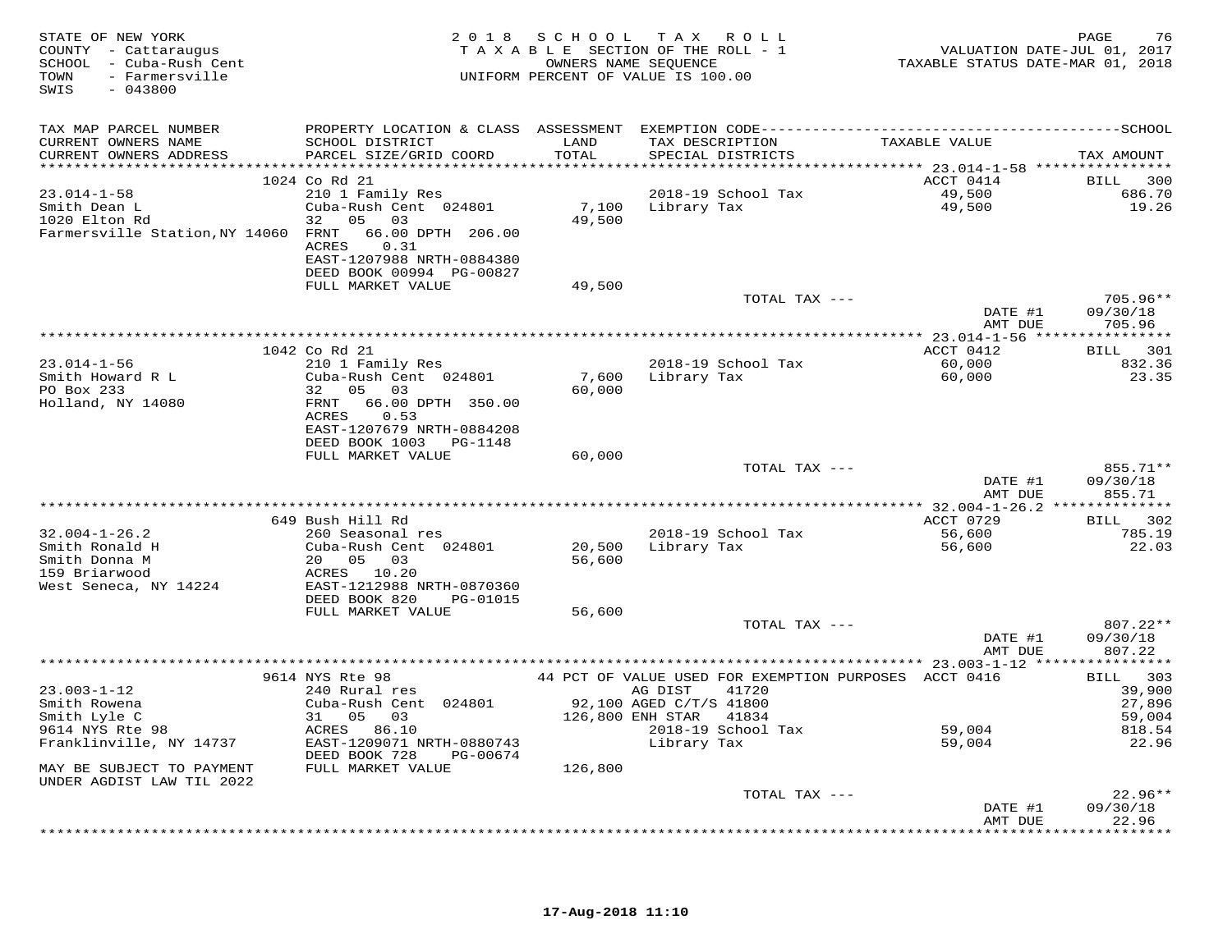| STATE OF NEW YORK<br>COUNTY - Cattaraugus<br>SCHOOL - Cuba-Rush Cent<br>- Farmersville<br>TOWN<br>SWIS<br>$-043800$ |                                                       |               | 2018 SCHOOL TAX ROLL<br>TAXABLE SECTION OF THE ROLL - 1<br>OWNERS NAME SEQUENCE<br>UNIFORM PERCENT OF VALUE IS 100.00 | VALUATION DATE-JUL 01, 2017<br>TAXABLE STATUS DATE-MAR 01, 2018 | PAGE<br>76           |
|---------------------------------------------------------------------------------------------------------------------|-------------------------------------------------------|---------------|-----------------------------------------------------------------------------------------------------------------------|-----------------------------------------------------------------|----------------------|
| TAX MAP PARCEL NUMBER<br>CURRENT OWNERS NAME<br>CURRENT OWNERS ADDRESS                                              | SCHOOL DISTRICT<br>PARCEL SIZE/GRID COORD             | LAND<br>TOTAL | TAX DESCRIPTION<br>SPECIAL DISTRICTS                                                                                  | TAXABLE VALUE                                                   | TAX AMOUNT           |
|                                                                                                                     |                                                       |               |                                                                                                                       |                                                                 |                      |
|                                                                                                                     | 1024 Co Rd 21                                         |               |                                                                                                                       | ACCT 0414                                                       | BILL 300             |
| $23.014 - 1 - 58$<br>Smith Dean L                                                                                   | 210 1 Family Res<br>Cuba-Rush Cent 024801             |               | 2018-19 School Tax<br>7,100 Library Tax                                                                               | 49,500<br>49,500                                                | 686.70<br>19.26      |
| 1020 Elton Rd                                                                                                       | 32 05<br>03                                           | 49,500        |                                                                                                                       |                                                                 |                      |
| Farmersville Station, NY 14060 FRNT 66.00 DPTH 206.00                                                               |                                                       |               |                                                                                                                       |                                                                 |                      |
|                                                                                                                     | ACRES<br>0.31                                         |               |                                                                                                                       |                                                                 |                      |
|                                                                                                                     | EAST-1207988 NRTH-0884380<br>DEED BOOK 00994 PG-00827 |               |                                                                                                                       |                                                                 |                      |
|                                                                                                                     | FULL MARKET VALUE                                     | 49,500        |                                                                                                                       |                                                                 |                      |
|                                                                                                                     |                                                       |               | TOTAL TAX ---                                                                                                         |                                                                 | $705.96**$           |
|                                                                                                                     |                                                       |               |                                                                                                                       | DATE #1                                                         | 09/30/18             |
|                                                                                                                     |                                                       |               |                                                                                                                       | AMT DUE                                                         | 705.96               |
|                                                                                                                     | 1042 Co Rd 21                                         |               |                                                                                                                       | ACCT 0412                                                       | BILL 301             |
| $23.014 - 1 - 56$                                                                                                   | 210 1 Family Res                                      |               | 2018-19 School Tax                                                                                                    | 60,000                                                          | 832.36               |
| Smith Howard R L                                                                                                    | Cuba-Rush Cent 024801                                 | 7,600         | Library Tax                                                                                                           | 60,000                                                          | 23.35                |
| PO Box 233                                                                                                          | 32 05 03                                              | 60,000        |                                                                                                                       |                                                                 |                      |
| Holland, NY 14080                                                                                                   | FRNT<br>66.00 DPTH 350.00<br>0.53<br>ACRES            |               |                                                                                                                       |                                                                 |                      |
|                                                                                                                     | EAST-1207679 NRTH-0884208                             |               |                                                                                                                       |                                                                 |                      |
|                                                                                                                     | DEED BOOK 1003 PG-1148                                |               |                                                                                                                       |                                                                 |                      |
|                                                                                                                     | FULL MARKET VALUE                                     | 60,000        |                                                                                                                       |                                                                 |                      |
|                                                                                                                     |                                                       |               | TOTAL TAX ---                                                                                                         | DATE #1                                                         | 855.71**<br>09/30/18 |
|                                                                                                                     |                                                       |               |                                                                                                                       | AMT DUE                                                         | 855.71               |
|                                                                                                                     |                                                       |               |                                                                                                                       |                                                                 |                      |
|                                                                                                                     | 649 Bush Hill Rd                                      |               |                                                                                                                       | ACCT 0729                                                       | BILL 302             |
| $32.004 - 1 - 26.2$<br>Smith Ronald H                                                                               | 260 Seasonal res<br>Cuba-Rush Cent 024801             | 20,500        | 2018-19 School Tax<br>Library Tax                                                                                     | 56,600<br>56,600                                                | 785.19<br>22.03      |
| Smith Donna M                                                                                                       | 20  05  03                                            | 56,600        |                                                                                                                       |                                                                 |                      |
| 159 Briarwood                                                                                                       | ACRES 10.20                                           |               |                                                                                                                       |                                                                 |                      |
| West Seneca, NY 14224                                                                                               | EAST-1212988 NRTH-0870360                             |               |                                                                                                                       |                                                                 |                      |
|                                                                                                                     | DEED BOOK 820<br>PG-01015<br>FULL MARKET VALUE        | 56,600        |                                                                                                                       |                                                                 |                      |
|                                                                                                                     |                                                       |               | TOTAL TAX ---                                                                                                         |                                                                 | 807.22**             |
|                                                                                                                     |                                                       |               |                                                                                                                       | DATE #1                                                         | 09/30/18             |
|                                                                                                                     |                                                       |               |                                                                                                                       | AMT DUE                                                         | 807.22               |
|                                                                                                                     | 9614 NYS Rte 98 and 1970 1980                         |               | 44 PCT OF VALUE USED FOR EXEMPTION PURPOSES ACCT 0416                                                                 |                                                                 | BILL 303             |
| $23.003 - 1 - 12$                                                                                                   | 240 Rural res                                         |               | AG DIST<br>41720                                                                                                      |                                                                 | 39,900               |
| Smith Rowena                                                                                                        | Cuba-Rush Cent 024801                                 |               | 92,100 AGED C/T/S 41800                                                                                               |                                                                 | 27,896               |
| Smith Lyle C                                                                                                        | 31 05 03                                              |               | 126,800 ENH STAR 41834                                                                                                |                                                                 | 59,004               |
| $9614$ NYS Rte $98$<br>Franklinville, NY 14737                                                                      | ACRES 86.10<br>EAST-1209071 NRTH-0880743              |               | 2018-19 School Tax<br>Library Tax                                                                                     | 59,004<br>59,004                                                | 818.54<br>22.96      |
|                                                                                                                     | DEED BOOK 728<br>PG-00674                             |               |                                                                                                                       |                                                                 |                      |
| MAY BE SUBJECT TO PAYMENT<br>UNDER AGDIST LAW TIL 2022                                                              | FULL MARKET VALUE                                     | 126,800       |                                                                                                                       |                                                                 |                      |
|                                                                                                                     |                                                       |               | TOTAL TAX ---                                                                                                         |                                                                 | $22.96**$            |
|                                                                                                                     |                                                       |               |                                                                                                                       | DATE #1<br>AMT DUE                                              | 09/30/18<br>22.96    |
|                                                                                                                     |                                                       |               |                                                                                                                       |                                                                 | * * * * * * *        |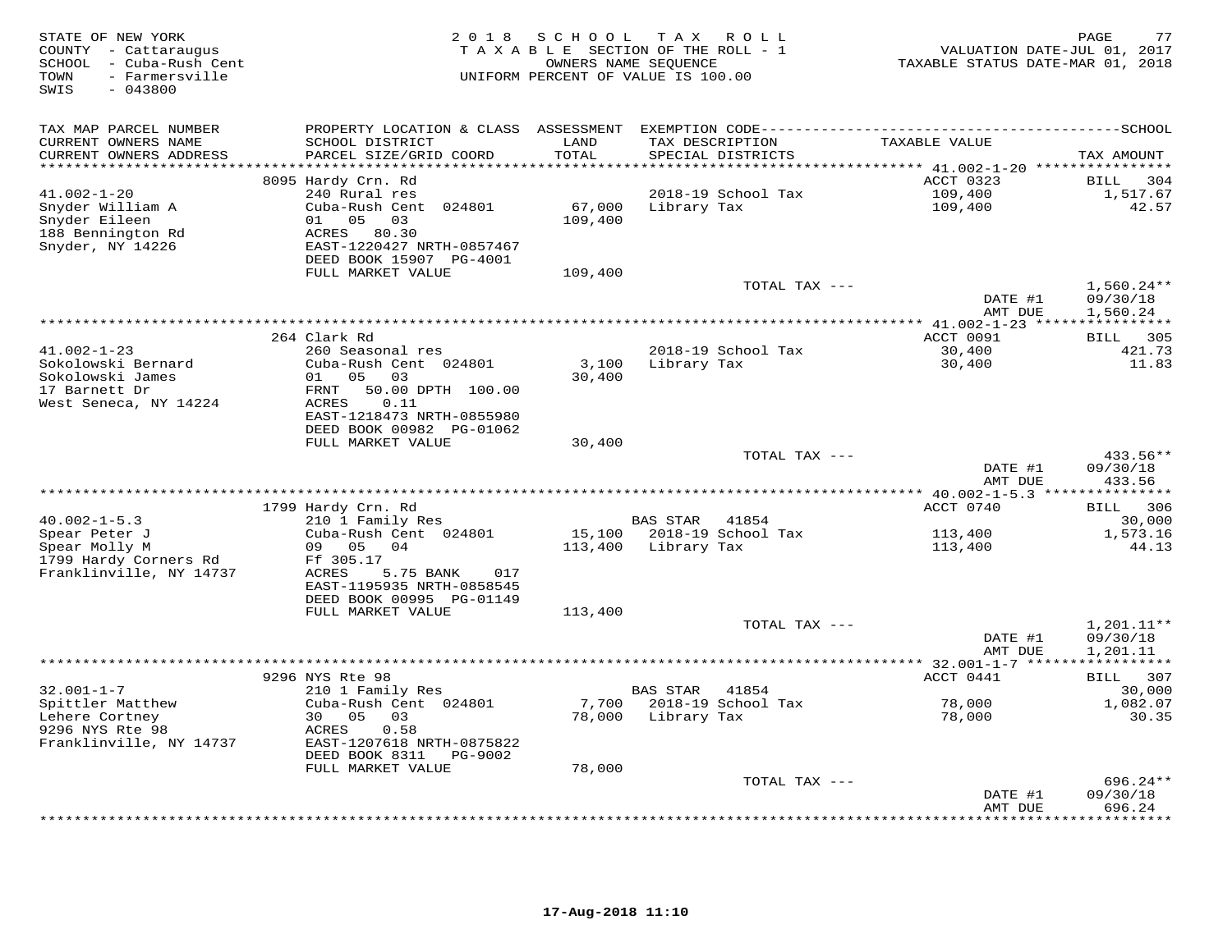| STATE OF NEW YORK<br>COUNTY - Cattaraugus<br>SCHOOL - Cuba-Rush Cent<br>- Farmersville<br>TOWN<br>SWIS<br>$-043800$ | 2 0 1 8                                                                                                                            | S C H O O L        | T A X<br>R O L L<br>TAXABLE SECTION OF THE ROLL - 1<br>OWNERS NAME SEQUENCE<br>UNIFORM PERCENT OF VALUE IS 100.00 | VALUATION DATE-JUL 01, 2017<br>TAXABLE STATUS DATE-MAR 01, 2018 | PAGE<br>77                           |
|---------------------------------------------------------------------------------------------------------------------|------------------------------------------------------------------------------------------------------------------------------------|--------------------|-------------------------------------------------------------------------------------------------------------------|-----------------------------------------------------------------|--------------------------------------|
| TAX MAP PARCEL NUMBER<br>CURRENT OWNERS NAME                                                                        | PROPERTY LOCATION & CLASS<br>SCHOOL DISTRICT                                                                                       | ASSESSMENT<br>LAND |                                                                                                                   | TAXABLE VALUE                                                   |                                      |
| CURRENT OWNERS ADDRESS                                                                                              | PARCEL SIZE/GRID COORD                                                                                                             | TOTAL              | TAX DESCRIPTION<br>SPECIAL DISTRICTS                                                                              |                                                                 | TAX AMOUNT                           |
| *******************                                                                                                 |                                                                                                                                    | ******             |                                                                                                                   | ******* 41.002-1-20 ****************                            |                                      |
|                                                                                                                     | 8095 Hardy Crn. Rd                                                                                                                 |                    |                                                                                                                   | ACCT 0323                                                       | BILL<br>304                          |
| $41.002 - 1 - 20$<br>Snyder William A<br>Snyder Eileen<br>188 Bennington Rd<br>Snyder, NY 14226                     | 240 Rural res<br>Cuba-Rush Cent 024801<br>01<br>05<br>03<br>ACRES<br>80.30<br>EAST-1220427 NRTH-0857467<br>DEED BOOK 15907 PG-4001 | 67,000<br>109,400  | 2018-19 School Tax<br>Library Tax                                                                                 | 109,400<br>109,400                                              | 1,517.67<br>42.57                    |
|                                                                                                                     | FULL MARKET VALUE                                                                                                                  | 109,400            |                                                                                                                   |                                                                 |                                      |
|                                                                                                                     |                                                                                                                                    |                    | TOTAL TAX ---                                                                                                     | DATE #1                                                         | $1,560.24**$<br>09/30/18             |
|                                                                                                                     |                                                                                                                                    |                    |                                                                                                                   | AMT DUE<br>*** $41.002 - 1 - 23$ *****                          | 1,560.24<br>***********              |
|                                                                                                                     | 264 Clark Rd                                                                                                                       |                    |                                                                                                                   | ACCT 0091                                                       | BILL 305                             |
| $41.002 - 1 - 23$                                                                                                   | 260 Seasonal res                                                                                                                   |                    | 2018-19 School Tax                                                                                                | 30,400                                                          | 421.73                               |
| Sokolowski Bernard<br>Sokolowski James<br>17 Barnett Dr<br>West Seneca, NY 14224                                    | Cuba-Rush Cent 024801<br>01 05<br>03<br>FRNT<br>50.00 DPTH 100.00<br><b>ACRES</b><br>0.11                                          | 3,100<br>30,400    | Library Tax                                                                                                       | 30,400                                                          | 11.83                                |
|                                                                                                                     | EAST-1218473 NRTH-0855980<br>DEED BOOK 00982 PG-01062                                                                              |                    |                                                                                                                   |                                                                 |                                      |
|                                                                                                                     | FULL MARKET VALUE                                                                                                                  | 30,400             |                                                                                                                   |                                                                 |                                      |
|                                                                                                                     |                                                                                                                                    |                    | TOTAL TAX ---                                                                                                     | DATE #1<br>AMT DUE                                              | 433.56**<br>09/30/18<br>433.56       |
|                                                                                                                     |                                                                                                                                    |                    |                                                                                                                   |                                                                 |                                      |
|                                                                                                                     | 1799 Hardy Crn. Rd                                                                                                                 |                    |                                                                                                                   | ACCT 0740                                                       | BILL 306                             |
| $40.002 - 1 - 5.3$                                                                                                  | 210 1 Family Res                                                                                                                   | 15,100             | <b>BAS STAR</b><br>41854<br>2018-19 School Tax                                                                    |                                                                 | 30,000                               |
| Spear Peter J<br>Spear Molly M<br>1799 Hardy Corners Rd                                                             | Cuba-Rush Cent 024801<br>09 05 04<br>Ff 305.17                                                                                     | 113,400            | Library Tax                                                                                                       | 113,400<br>113,400                                              | 1,573.16<br>44.13                    |
| Franklinville, NY 14737                                                                                             | <b>ACRES</b><br>5.75 BANK<br>017<br>EAST-1195935 NRTH-0858545<br>DEED BOOK 00995 PG-01149                                          |                    |                                                                                                                   |                                                                 |                                      |
|                                                                                                                     | FULL MARKET VALUE                                                                                                                  | 113,400            |                                                                                                                   |                                                                 |                                      |
|                                                                                                                     |                                                                                                                                    |                    | TOTAL TAX ---                                                                                                     | DATE #1<br>AMT DUE                                              | $1,201.11**$<br>09/30/18<br>1,201.11 |
|                                                                                                                     |                                                                                                                                    |                    |                                                                                                                   |                                                                 | ***********                          |
| $32.001 - 1 - 7$                                                                                                    | 9296 NYS Rte 98<br>210 1 Family Res                                                                                                |                    | BAS STAR<br>41854                                                                                                 | ACCT 0441                                                       | BILL 307<br>30,000                   |
| Spittler Matthew<br>Lehere Cortney<br>9296 NYS Rte 98                                                               | Cuba-Rush Cent 024801<br>30 05<br>03<br>ACRES<br>0.58                                                                              | 7,700<br>78,000    | 2018-19 School Tax<br>Library Tax                                                                                 | 78,000<br>78,000                                                | 1,082.07<br>30.35                    |
| Franklinville, NY 14737                                                                                             | EAST-1207618 NRTH-0875822<br>DEED BOOK 8311<br>PG-9002                                                                             |                    |                                                                                                                   |                                                                 |                                      |
|                                                                                                                     | FULL MARKET VALUE                                                                                                                  | 78,000             |                                                                                                                   |                                                                 |                                      |
|                                                                                                                     |                                                                                                                                    |                    | TOTAL TAX ---                                                                                                     | DATE #1<br>AMT DUE                                              | 696.24**<br>09/30/18<br>696.24       |
|                                                                                                                     |                                                                                                                                    |                    |                                                                                                                   |                                                                 | .                                    |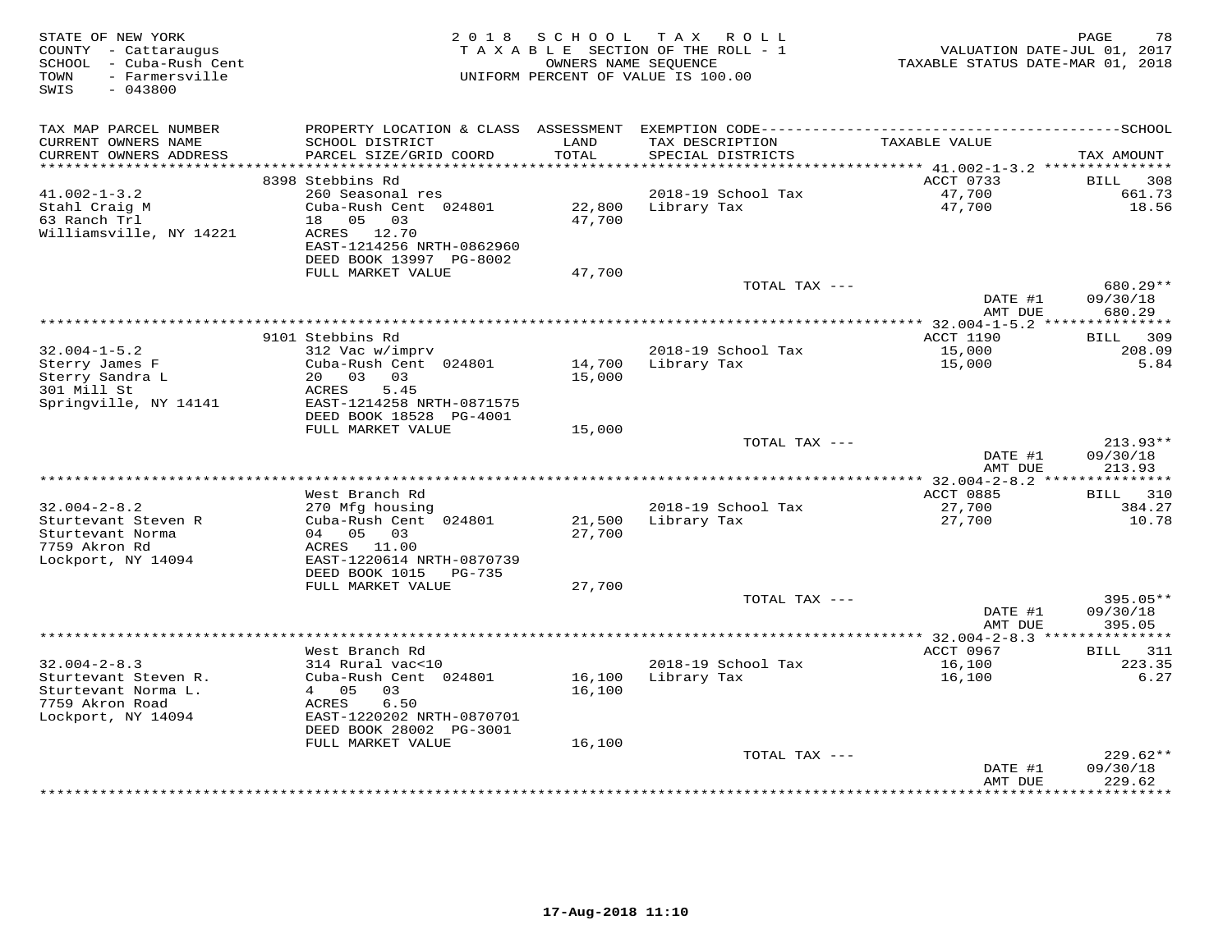| STATE OF NEW YORK<br>COUNTY - Cattaraugus<br>- Cuba-Rush Cent<br>SCHOOL<br>- Farmersville<br>TOWN<br>SWIS<br>$-043800$ | 2 0 1 8                                               | S C H O O L      | T A X<br>R O L L<br>TAXABLE SECTION OF THE ROLL - 1<br>OWNERS NAME SEQUENCE<br>UNIFORM PERCENT OF VALUE IS 100.00 | VALUATION DATE-JUL 01, 2017<br>TAXABLE STATUS DATE-MAR 01, 2018 | PAGE<br>78                  |
|------------------------------------------------------------------------------------------------------------------------|-------------------------------------------------------|------------------|-------------------------------------------------------------------------------------------------------------------|-----------------------------------------------------------------|-----------------------------|
| TAX MAP PARCEL NUMBER                                                                                                  | PROPERTY LOCATION & CLASS ASSESSMENT                  |                  |                                                                                                                   |                                                                 |                             |
| CURRENT OWNERS NAME<br>CURRENT OWNERS ADDRESS                                                                          | SCHOOL DISTRICT<br>PARCEL SIZE/GRID COORD             | LAND<br>TOTAL    | TAX DESCRIPTION<br>SPECIAL DISTRICTS                                                                              | TAXABLE VALUE                                                   | TAX AMOUNT                  |
|                                                                                                                        |                                                       |                  |                                                                                                                   |                                                                 |                             |
|                                                                                                                        | 8398 Stebbins Rd                                      |                  |                                                                                                                   | ACCT 0733                                                       | 308<br>BILL                 |
| $41.002 - 1 - 3.2$                                                                                                     | 260 Seasonal res                                      |                  | 2018-19 School Tax                                                                                                | 47,700                                                          | 661.73<br>18.56             |
| Stahl Craig M<br>63 Ranch Trl                                                                                          | Cuba-Rush Cent 024801<br>18  05  03                   | 22,800<br>47,700 | Library Tax                                                                                                       | 47,700                                                          |                             |
| Williamsville, NY 14221                                                                                                | ACRES 12.70                                           |                  |                                                                                                                   |                                                                 |                             |
|                                                                                                                        | EAST-1214256 NRTH-0862960                             |                  |                                                                                                                   |                                                                 |                             |
|                                                                                                                        | DEED BOOK 13997 PG-8002                               |                  |                                                                                                                   |                                                                 |                             |
|                                                                                                                        | FULL MARKET VALUE                                     | 47,700           |                                                                                                                   |                                                                 |                             |
|                                                                                                                        |                                                       |                  | TOTAL TAX ---                                                                                                     |                                                                 | $680.29**$                  |
|                                                                                                                        |                                                       |                  |                                                                                                                   | DATE #1                                                         | 09/30/18                    |
|                                                                                                                        |                                                       |                  |                                                                                                                   | AMT DUE                                                         | 680.29                      |
|                                                                                                                        |                                                       |                  |                                                                                                                   | ACCT 1190                                                       |                             |
| $32.004 - 1 - 5.2$                                                                                                     | 9101 Stebbins Rd<br>312 Vac w/imprv                   |                  | 2018-19 School Tax                                                                                                | 15,000                                                          | 309<br>BILL<br>208.09       |
| Sterry James F                                                                                                         | Cuba-Rush Cent 024801                                 | 14,700           | Library Tax                                                                                                       | 15,000                                                          | 5.84                        |
| Sterry Sandra L                                                                                                        | 20 03<br>03                                           | 15,000           |                                                                                                                   |                                                                 |                             |
| 301 Mill St                                                                                                            | ACRES<br>5.45                                         |                  |                                                                                                                   |                                                                 |                             |
| Springville, NY 14141                                                                                                  | EAST-1214258 NRTH-0871575                             |                  |                                                                                                                   |                                                                 |                             |
|                                                                                                                        | DEED BOOK 18528 PG-4001                               |                  |                                                                                                                   |                                                                 |                             |
|                                                                                                                        | FULL MARKET VALUE                                     | 15,000           |                                                                                                                   |                                                                 |                             |
|                                                                                                                        |                                                       |                  | TOTAL TAX ---                                                                                                     | DATE #1                                                         | $213.93**$<br>09/30/18      |
|                                                                                                                        |                                                       |                  |                                                                                                                   | AMT DUE                                                         | 213.93                      |
|                                                                                                                        |                                                       |                  |                                                                                                                   |                                                                 |                             |
|                                                                                                                        | West Branch Rd                                        |                  |                                                                                                                   | <b>ACCT 0885</b>                                                | BILL<br>310                 |
| $32.004 - 2 - 8.2$                                                                                                     | 270 Mfg housing                                       |                  | 2018-19 School Tax                                                                                                | 27,700                                                          | 384.27                      |
| Sturtevant Steven R                                                                                                    | Cuba-Rush Cent 024801                                 | 21,500           | Library Tax                                                                                                       | 27,700                                                          | 10.78                       |
| Sturtevant Norma                                                                                                       | 04 05 03                                              | 27,700           |                                                                                                                   |                                                                 |                             |
| 7759 Akron Rd                                                                                                          | ACRES 11.00                                           |                  |                                                                                                                   |                                                                 |                             |
| Lockport, NY 14094                                                                                                     | EAST-1220614 NRTH-0870739<br>DEED BOOK 1015<br>PG-735 |                  |                                                                                                                   |                                                                 |                             |
|                                                                                                                        | FULL MARKET VALUE                                     | 27,700           |                                                                                                                   |                                                                 |                             |
|                                                                                                                        |                                                       |                  | TOTAL TAX ---                                                                                                     |                                                                 | 395.05**                    |
|                                                                                                                        |                                                       |                  |                                                                                                                   | DATE #1                                                         | 09/30/18                    |
|                                                                                                                        |                                                       |                  |                                                                                                                   | AMT DUE                                                         | 395.05                      |
|                                                                                                                        |                                                       |                  |                                                                                                                   | ********** 32.004-2-8.3 ****************                        |                             |
|                                                                                                                        | West Branch Rd                                        |                  |                                                                                                                   | ACCT 0967                                                       | BILL<br>311                 |
| $32.004 - 2 - 8.3$                                                                                                     | 314 Rural vac<10                                      |                  | 2018-19 School Tax                                                                                                | 16,100                                                          | 223.35                      |
| Sturtevant Steven R.                                                                                                   | Cuba-Rush Cent 024801                                 | 16,100           | Library Tax                                                                                                       | 16,100                                                          | 6.27                        |
| Sturtevant Norma L.<br>7759 Akron Road                                                                                 | 05<br>03<br>$4 \quad$<br>6.50<br>ACRES                | 16,100           |                                                                                                                   |                                                                 |                             |
| Lockport, NY 14094                                                                                                     | EAST-1220202 NRTH-0870701                             |                  |                                                                                                                   |                                                                 |                             |
|                                                                                                                        | DEED BOOK 28002 PG-3001                               |                  |                                                                                                                   |                                                                 |                             |
|                                                                                                                        | FULL MARKET VALUE                                     | 16,100           |                                                                                                                   |                                                                 |                             |
|                                                                                                                        |                                                       |                  | TOTAL TAX ---                                                                                                     |                                                                 | 229.62**                    |
|                                                                                                                        |                                                       |                  |                                                                                                                   | DATE #1                                                         | 09/30/18                    |
|                                                                                                                        |                                                       |                  |                                                                                                                   | AMT DUE<br>***********                                          | 229.62<br>* * * * * * * * * |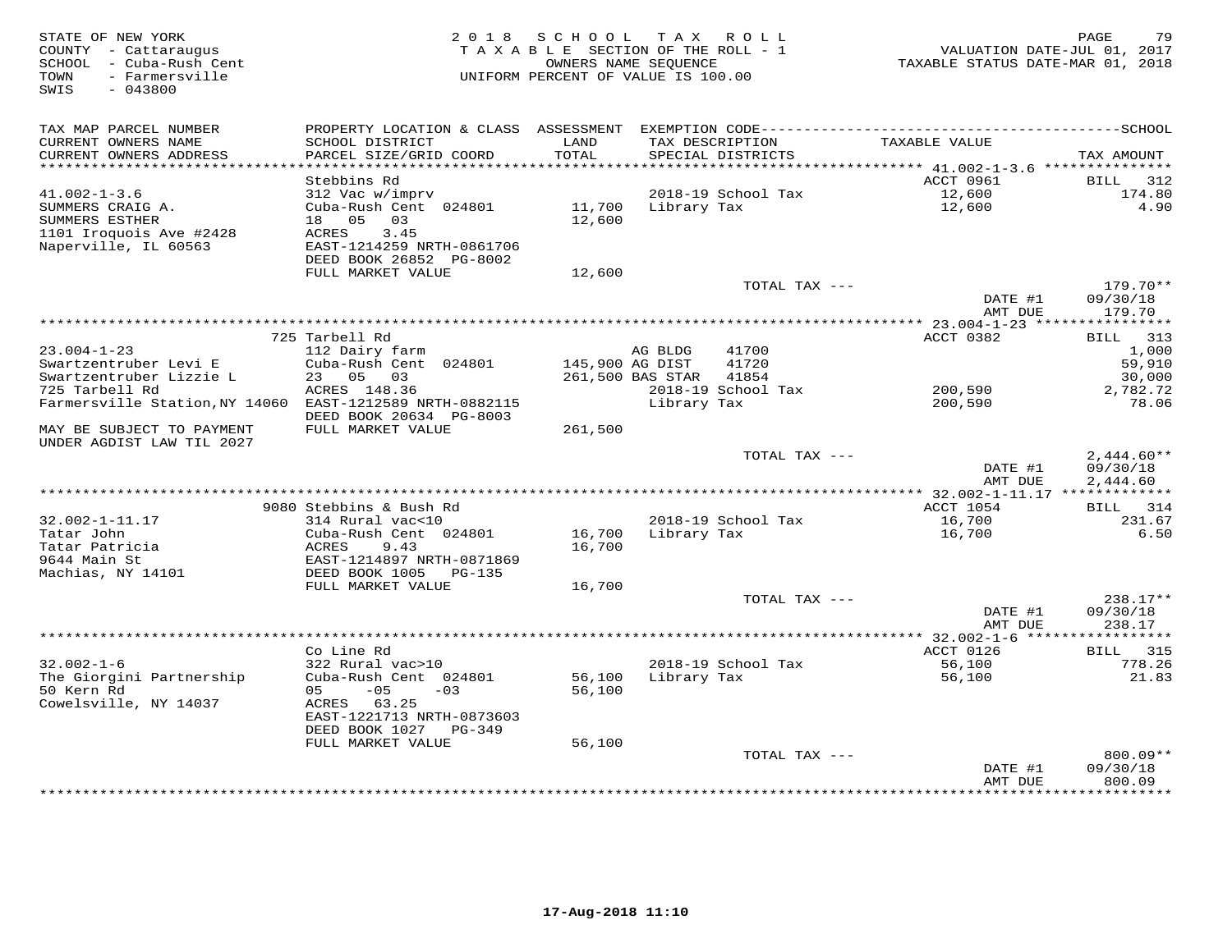| STATE OF NEW YORK<br>COUNTY - Cattaraugus<br>SCHOOL - Cuba-Rush Cent<br>- Farmersville<br>TOWN<br>SWIS<br>$-043800$ |                                            | 2018 SCHOOL<br>TAXABLE SECTION OF THE ROLL - 1<br>OWNERS NAME SEQUENCE<br>UNIFORM PERCENT OF VALUE IS 100.00 |                  | TAX ROLL                             | VALUATION DATE-JUL 01, 2017<br>TAXABLE STATUS DATE-MAR 01, 2018 | 79<br>PAGE             |
|---------------------------------------------------------------------------------------------------------------------|--------------------------------------------|--------------------------------------------------------------------------------------------------------------|------------------|--------------------------------------|-----------------------------------------------------------------|------------------------|
| TAX MAP PARCEL NUMBER                                                                                               |                                            |                                                                                                              |                  |                                      |                                                                 |                        |
| CURRENT OWNERS NAME<br>CURRENT OWNERS ADDRESS                                                                       | SCHOOL DISTRICT<br>PARCEL SIZE/GRID COORD  | LAND<br>TOTAL                                                                                                |                  | TAX DESCRIPTION<br>SPECIAL DISTRICTS | TAXABLE VALUE                                                   | TAX AMOUNT             |
| ************************                                                                                            |                                            |                                                                                                              |                  |                                      |                                                                 |                        |
|                                                                                                                     | Stebbins Rd                                |                                                                                                              |                  |                                      | ACCT 0961                                                       | BILL<br>312            |
| $41.002 - 1 - 3.6$                                                                                                  | 312 Vac w/imprv                            |                                                                                                              |                  | 2018-19 School Tax                   | 12,600                                                          | 174.80                 |
| SUMMERS CRAIG A.                                                                                                    | Cuba-Rush Cent 024801                      | 11,700                                                                                                       | Library Tax      |                                      | 12,600                                                          | 4.90                   |
| SUMMERS ESTHER                                                                                                      | 18  05  03                                 | 12,600                                                                                                       |                  |                                      |                                                                 |                        |
| 1101 Iroquois Ave #2428                                                                                             | 3.45<br>ACRES<br>EAST-1214259 NRTH-0861706 |                                                                                                              |                  |                                      |                                                                 |                        |
| Naperville, IL 60563                                                                                                | DEED BOOK 26852 PG-8002                    |                                                                                                              |                  |                                      |                                                                 |                        |
|                                                                                                                     | FULL MARKET VALUE                          | 12,600                                                                                                       |                  |                                      |                                                                 |                        |
|                                                                                                                     |                                            |                                                                                                              |                  | TOTAL TAX ---                        |                                                                 | $179.70**$             |
|                                                                                                                     |                                            |                                                                                                              |                  |                                      | DATE #1                                                         | 09/30/18               |
|                                                                                                                     |                                            |                                                                                                              |                  |                                      | AMT DUE                                                         | 179.70                 |
|                                                                                                                     |                                            |                                                                                                              |                  |                                      | *************** 23.004-1-23 *****************                   |                        |
| $23.004 - 1 - 23$                                                                                                   | 725 Tarbell Rd<br>112 Dairy farm           |                                                                                                              | AG BLDG          | 41700                                | ACCT 0382                                                       | BILL 313<br>1,000      |
| Swartzentruber Levi E                                                                                               | Cuba-Rush Cent 024801                      | 145,900 AG DIST                                                                                              |                  | 41720                                |                                                                 | 59,910                 |
| Swartzentruber Lizzie L                                                                                             | 23 05 03                                   |                                                                                                              | 261,500 BAS STAR | 41854                                |                                                                 | 30,000                 |
| 725 Tarbell Rd                                                                                                      | ACRES 148.36                               |                                                                                                              |                  | 2018-19 School Tax                   | 200,590                                                         | 2,782.72               |
| Farmersville Station, NY 14060 EAST-1212589 NRTH-0882115                                                            |                                            |                                                                                                              | Library Tax      |                                      | 200,590                                                         | 78.06                  |
|                                                                                                                     | DEED BOOK 20634 PG-8003                    |                                                                                                              |                  |                                      |                                                                 |                        |
| MAY BE SUBJECT TO PAYMENT                                                                                           | FULL MARKET VALUE                          | 261,500                                                                                                      |                  |                                      |                                                                 |                        |
| UNDER AGDIST LAW TIL 2027                                                                                           |                                            |                                                                                                              |                  | TOTAL TAX ---                        |                                                                 | $2,444.60**$           |
|                                                                                                                     |                                            |                                                                                                              |                  |                                      | DATE #1<br>AMT DUE                                              | 09/30/18<br>2,444.60   |
|                                                                                                                     |                                            |                                                                                                              |                  |                                      |                                                                 |                        |
|                                                                                                                     | 9080 Stebbins & Bush Rd                    |                                                                                                              |                  |                                      | ACCT 1054                                                       | BILL 314               |
| 32.002-1-11.17                                                                                                      | 314 Rural vac<10                           |                                                                                                              |                  | 2018-19 School Tax                   | 16,700                                                          | 231.67                 |
| Tatar John                                                                                                          | Cuba-Rush Cent 024801                      | 16,700                                                                                                       | Library Tax      |                                      | 16,700                                                          | 6.50                   |
| Tatar Patricia<br>9644 Main St                                                                                      | ACRES<br>9.43<br>EAST-1214897 NRTH-0871869 | 16,700                                                                                                       |                  |                                      |                                                                 |                        |
| Machias, NY 14101                                                                                                   | DEED BOOK 1005<br>PG-135                   |                                                                                                              |                  |                                      |                                                                 |                        |
|                                                                                                                     | FULL MARKET VALUE                          | 16,700                                                                                                       |                  |                                      |                                                                 |                        |
|                                                                                                                     |                                            |                                                                                                              |                  | TOTAL TAX ---                        |                                                                 | 238.17**               |
|                                                                                                                     |                                            |                                                                                                              |                  |                                      | DATE #1                                                         | 09/30/18               |
|                                                                                                                     |                                            |                                                                                                              |                  |                                      | AMT DUE                                                         | 238.17                 |
|                                                                                                                     |                                            |                                                                                                              |                  |                                      |                                                                 |                        |
| $32.002 - 1 - 6$                                                                                                    | Co Line Rd<br>322 Rural vac>10             |                                                                                                              |                  | 2018-19 School Tax                   | ACCT 0126<br>56,100                                             | BILL<br>315<br>778.26  |
| The Giorgini Partnership                                                                                            | Cuba-Rush Cent 024801                      | 56,100                                                                                                       | Library Tax      |                                      | 56,100                                                          | 21.83                  |
| 50 Kern Rd                                                                                                          | $-05$<br>05<br>$-03$                       | 56,100                                                                                                       |                  |                                      |                                                                 |                        |
| Cowelsville, NY 14037                                                                                               | ACRES 63.25                                |                                                                                                              |                  |                                      |                                                                 |                        |
|                                                                                                                     | EAST-1221713 NRTH-0873603                  |                                                                                                              |                  |                                      |                                                                 |                        |
|                                                                                                                     | DEED BOOK 1027 PG-349                      |                                                                                                              |                  |                                      |                                                                 |                        |
|                                                                                                                     | FULL MARKET VALUE                          | 56,100                                                                                                       |                  |                                      |                                                                 |                        |
|                                                                                                                     |                                            |                                                                                                              |                  | TOTAL TAX ---                        | DATE #1                                                         | $800.09**$<br>09/30/18 |
|                                                                                                                     |                                            |                                                                                                              |                  |                                      | AMT DUE                                                         | 800.09                 |
|                                                                                                                     |                                            |                                                                                                              |                  |                                      | ****************                                                | ***********            |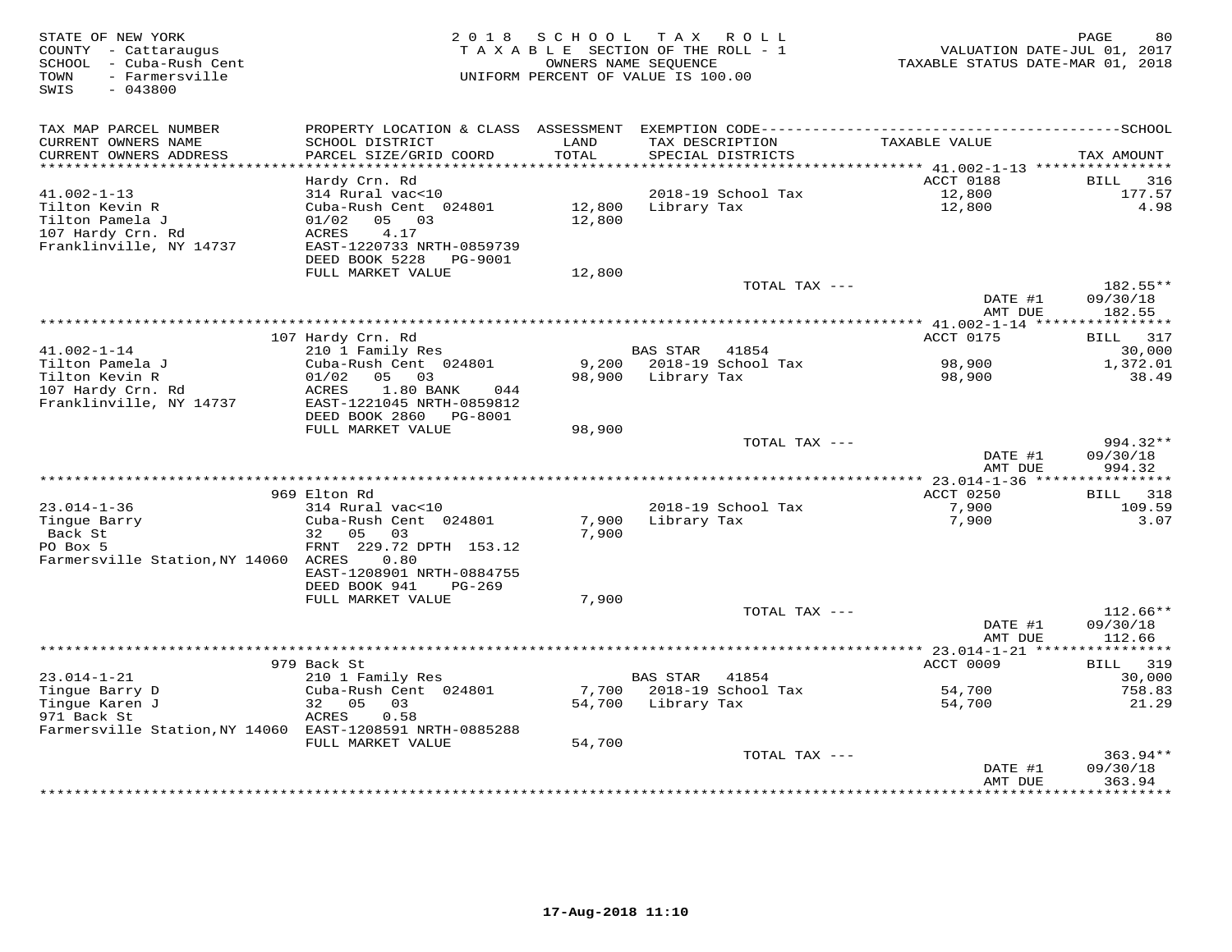| STATE OF NEW YORK<br>COUNTY - Cattaraugus<br>SCHOOL - Cuba-Rush Cent<br>- Farmersville<br>TOWN<br>SWIS<br>$-043800$ | 2 0 1 8                                   | SCHOOL          | T A X<br>ROLL<br>TAXABLE SECTION OF THE ROLL - 1<br>OWNERS NAME SEQUENCE<br>UNIFORM PERCENT OF VALUE IS 100.00 | TAXABLE STATUS DATE-MAR 01, 2018 | PAGE<br>80<br>VALUATION DATE-JUL 01, 2017 |
|---------------------------------------------------------------------------------------------------------------------|-------------------------------------------|-----------------|----------------------------------------------------------------------------------------------------------------|----------------------------------|-------------------------------------------|
| TAX MAP PARCEL NUMBER                                                                                               |                                           |                 |                                                                                                                |                                  |                                           |
| CURRENT OWNERS NAME<br>CURRENT OWNERS ADDRESS                                                                       | SCHOOL DISTRICT<br>PARCEL SIZE/GRID COORD | LAND<br>TOTAL   | TAX DESCRIPTION<br>SPECIAL DISTRICTS                                                                           | TAXABLE VALUE                    | TAX AMOUNT                                |
| ************************                                                                                            |                                           |                 |                                                                                                                |                                  |                                           |
| $41.002 - 1 - 13$                                                                                                   | Hardy Crn. Rd<br>314 Rural vac<10         |                 | 2018-19 School Tax                                                                                             | ACCT 0188<br>12,800              | 316<br>BILL<br>177.57                     |
| Tilton Kevin R                                                                                                      | Cuba-Rush Cent 024801                     | 12,800          | Library Tax                                                                                                    | 12,800                           | 4.98                                      |
| Tilton Pamela J                                                                                                     | 01/02<br>05 03                            | 12,800          |                                                                                                                |                                  |                                           |
| 107 Hardy Crn. Rd                                                                                                   | 4.17<br>ACRES                             |                 |                                                                                                                |                                  |                                           |
| Franklinville, NY 14737                                                                                             | EAST-1220733 NRTH-0859739                 |                 |                                                                                                                |                                  |                                           |
|                                                                                                                     | DEED BOOK 5228<br>PG-9001                 |                 |                                                                                                                |                                  |                                           |
|                                                                                                                     | FULL MARKET VALUE                         | 12,800          |                                                                                                                |                                  |                                           |
|                                                                                                                     |                                           |                 | TOTAL TAX ---                                                                                                  |                                  | 182.55**                                  |
|                                                                                                                     |                                           |                 |                                                                                                                | DATE #1                          | 09/30/18                                  |
|                                                                                                                     |                                           |                 |                                                                                                                | AMT DUE                          | 182.55                                    |
|                                                                                                                     | 107 Hardy Crn. Rd                         |                 |                                                                                                                | ACCT 0175                        | 317<br>BILL                               |
| $41.002 - 1 - 14$                                                                                                   | 210 1 Family Res                          |                 | <b>BAS STAR</b><br>41854                                                                                       |                                  | 30,000                                    |
| Tilton Pamela J                                                                                                     | Cuba-Rush Cent 024801                     | 9,200           | 2018-19 School Tax                                                                                             | 98,900                           | 1,372.01                                  |
| Tilton Kevin R                                                                                                      | 03<br>01/02<br>05                         | 98,900          | Library Tax                                                                                                    | 98,900                           | 38.49                                     |
| 107 Hardy Crn. Rd                                                                                                   | ACRES<br>1.80 BANK<br>044                 |                 |                                                                                                                |                                  |                                           |
| Franklinville, NY 14737                                                                                             | EAST-1221045 NRTH-0859812                 |                 |                                                                                                                |                                  |                                           |
|                                                                                                                     | DEED BOOK 2860<br>PG-8001                 |                 |                                                                                                                |                                  |                                           |
|                                                                                                                     | FULL MARKET VALUE                         | 98,900          |                                                                                                                |                                  |                                           |
|                                                                                                                     |                                           |                 | TOTAL TAX ---                                                                                                  | DATE #1                          | 994.32**<br>09/30/18                      |
|                                                                                                                     |                                           |                 |                                                                                                                | AMT DUE                          | 994.32                                    |
|                                                                                                                     |                                           |                 |                                                                                                                |                                  |                                           |
|                                                                                                                     | 969 Elton Rd                              |                 |                                                                                                                | ACCT 0250                        | 318<br><b>BILL</b>                        |
| $23.014 - 1 - 36$                                                                                                   | 314 Rural vac<10                          |                 | 2018-19 School Tax                                                                                             | 7,900                            | 109.59                                    |
| Tingue Barry                                                                                                        | Cuba-Rush Cent 024801                     | 7,900           | Library Tax                                                                                                    | 7,900                            | 3.07                                      |
| Back St                                                                                                             | 05<br>32<br>03                            | 7,900           |                                                                                                                |                                  |                                           |
| PO Box 5                                                                                                            | FRNT 229.72 DPTH 153.12                   |                 |                                                                                                                |                                  |                                           |
| Farmersville Station, NY 14060 ACRES                                                                                | 0.80<br>EAST-1208901 NRTH-0884755         |                 |                                                                                                                |                                  |                                           |
|                                                                                                                     | DEED BOOK 941<br>$PG-269$                 |                 |                                                                                                                |                                  |                                           |
|                                                                                                                     | FULL MARKET VALUE                         | 7,900           |                                                                                                                |                                  |                                           |
|                                                                                                                     |                                           |                 | TOTAL TAX ---                                                                                                  |                                  | $112.66**$                                |
|                                                                                                                     |                                           |                 |                                                                                                                | DATE #1                          | 09/30/18                                  |
|                                                                                                                     |                                           |                 |                                                                                                                | AMT DUE                          | 112.66                                    |
|                                                                                                                     |                                           |                 |                                                                                                                |                                  | ***********                               |
|                                                                                                                     | 979 Back St                               |                 |                                                                                                                | ACCT 0009                        | BILL<br>319                               |
| $23.014 - 1 - 21$                                                                                                   | 210 1 Family Res                          |                 | <b>BAS STAR</b><br>41854                                                                                       |                                  | 30,000                                    |
| Tingue Barry D<br>Tingue Karen J                                                                                    | Cuba-Rush Cent 024801<br>32 05<br>03      | 7,700<br>54,700 | 2018-19 School Tax                                                                                             | 54,700<br>54,700                 | 758.83<br>21.29                           |
| 971 Back St                                                                                                         | ACRES<br>0.58                             |                 | Library Tax                                                                                                    |                                  |                                           |
| Farmersville Station, NY 14060 EAST-1208591 NRTH-0885288                                                            |                                           |                 |                                                                                                                |                                  |                                           |
|                                                                                                                     | FULL MARKET VALUE                         | 54,700          |                                                                                                                |                                  |                                           |
|                                                                                                                     |                                           |                 | TOTAL TAX ---                                                                                                  |                                  | 363.94**                                  |
|                                                                                                                     |                                           |                 |                                                                                                                | DATE #1                          | 09/30/18                                  |
|                                                                                                                     |                                           |                 |                                                                                                                | AMT DUE                          | 363.94                                    |
|                                                                                                                     |                                           |                 |                                                                                                                | *************                    | *********                                 |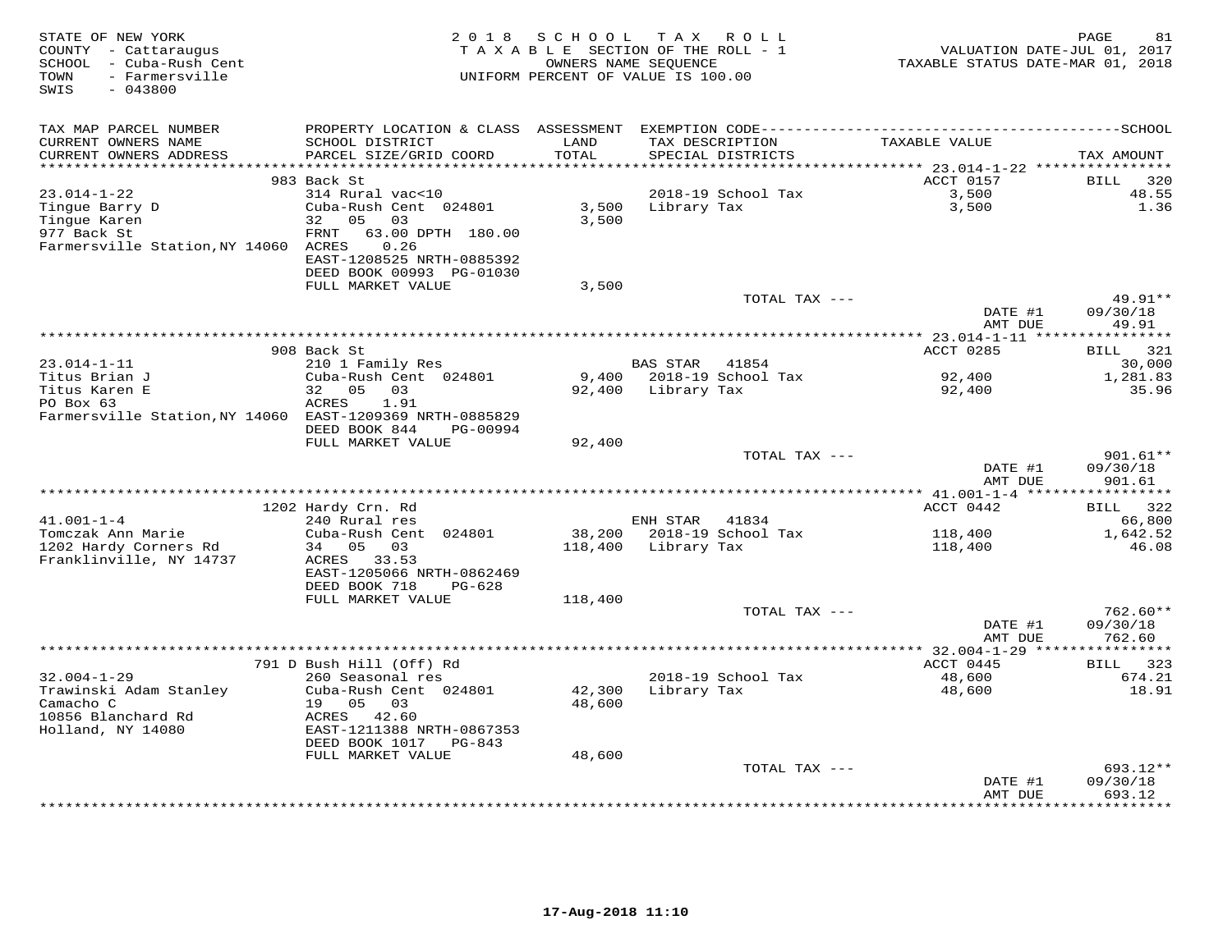| STATE OF NEW YORK<br>COUNTY - Cattaraugus<br>SCHOOL - Cuba-Rush Cent<br>- Farmersville<br>TOWN<br>SWIS<br>$-043800$ | 2 0 1 8                                        | SCHOOL           | TAX ROLL<br>TAXABLE SECTION OF THE ROLL - 1<br>OWNERS NAME SEQUENCE<br>UNIFORM PERCENT OF VALUE IS 100.00 | VALUATION DATE-JUL 01, 2017<br>TAXABLE STATUS DATE-MAR 01, 2018 | 81<br>PAGE                   |
|---------------------------------------------------------------------------------------------------------------------|------------------------------------------------|------------------|-----------------------------------------------------------------------------------------------------------|-----------------------------------------------------------------|------------------------------|
| TAX MAP PARCEL NUMBER                                                                                               |                                                |                  |                                                                                                           |                                                                 |                              |
| CURRENT OWNERS NAME<br>CURRENT OWNERS ADDRESS                                                                       | SCHOOL DISTRICT<br>PARCEL SIZE/GRID COORD      | LAND<br>TOTAL    | TAX DESCRIPTION<br>SPECIAL DISTRICTS                                                                      | TAXABLE VALUE                                                   | TAX AMOUNT                   |
| *******************                                                                                                 |                                                | ******           |                                                                                                           | ******* 23.014-1-22 *****************                           |                              |
| $23.014 - 1 - 22$                                                                                                   | 983 Back St<br>314 Rural vac<10                |                  | 2018-19 School Tax                                                                                        | ACCT 0157<br>3,500                                              | 320<br>BILL<br>48.55         |
| Tingue Barry D                                                                                                      | Cuba-Rush Cent 024801                          | 3,500            | Library Tax                                                                                               | 3,500                                                           | 1.36                         |
| Tingue Karen                                                                                                        | 32<br>05<br>03                                 | 3,500            |                                                                                                           |                                                                 |                              |
| 977 Back St                                                                                                         | 63.00 DPTH 180.00<br>FRNT                      |                  |                                                                                                           |                                                                 |                              |
| Farmersville Station, NY 14060 ACRES                                                                                | 0.26<br>EAST-1208525 NRTH-0885392              |                  |                                                                                                           |                                                                 |                              |
|                                                                                                                     | DEED BOOK 00993 PG-01030                       |                  |                                                                                                           |                                                                 |                              |
|                                                                                                                     | FULL MARKET VALUE                              | 3,500            |                                                                                                           |                                                                 |                              |
|                                                                                                                     |                                                |                  | TOTAL TAX ---                                                                                             | DATE #1<br>AMT DUE                                              | 49.91**<br>09/30/18<br>49.91 |
|                                                                                                                     |                                                |                  |                                                                                                           |                                                                 |                              |
|                                                                                                                     | 908 Back St                                    |                  |                                                                                                           | ACCT 0285                                                       | 321<br>BILL                  |
| $23.014 - 1 - 11$                                                                                                   | 210 1 Family Res                               |                  | 41854<br><b>BAS STAR</b>                                                                                  |                                                                 | 30,000                       |
| Titus Brian J                                                                                                       | Cuba-Rush Cent 024801                          | 9,400            | 2018-19 School Tax                                                                                        | 92,400                                                          | 1,281.83                     |
| Titus Karen E                                                                                                       | 32<br>05<br>03                                 | 92,400           | Library Tax                                                                                               | 92,400                                                          | 35.96                        |
| PO Box 63<br>Farmersville Station, NY 14060 EAST-1209369 NRTH-0885829                                               | ACRES<br>1.91                                  |                  |                                                                                                           |                                                                 |                              |
|                                                                                                                     | DEED BOOK 844<br>PG-00994                      |                  |                                                                                                           |                                                                 |                              |
|                                                                                                                     | FULL MARKET VALUE                              | 92,400           |                                                                                                           |                                                                 |                              |
|                                                                                                                     |                                                |                  | TOTAL TAX ---                                                                                             |                                                                 | $901.61**$                   |
|                                                                                                                     |                                                |                  |                                                                                                           | DATE #1                                                         | 09/30/18                     |
|                                                                                                                     |                                                |                  |                                                                                                           | AMT DUE                                                         | 901.61                       |
|                                                                                                                     | 1202 Hardy Crn. Rd                             |                  |                                                                                                           | ACCT 0442                                                       | BILL 322                     |
| $41.001 - 1 - 4$                                                                                                    | 240 Rural res                                  |                  | ENH STAR<br>41834                                                                                         |                                                                 | 66,800                       |
| Tomczak Ann Marie                                                                                                   | Cuba-Rush Cent 024801                          | 38,200           | 2018-19 School Tax                                                                                        | 118,400                                                         | 1,642.52                     |
| 1202 Hardy Corners Rd                                                                                               | 05 03<br>34                                    | 118,400          | Library Tax                                                                                               | 118,400                                                         | 46.08                        |
| Franklinville, NY 14737                                                                                             | ACRES 33.53                                    |                  |                                                                                                           |                                                                 |                              |
|                                                                                                                     | EAST-1205066 NRTH-0862469                      |                  |                                                                                                           |                                                                 |                              |
|                                                                                                                     | DEED BOOK 718<br>$PG-628$<br>FULL MARKET VALUE |                  |                                                                                                           |                                                                 |                              |
|                                                                                                                     |                                                | 118,400          | TOTAL TAX ---                                                                                             |                                                                 | $762.60**$                   |
|                                                                                                                     |                                                |                  |                                                                                                           | DATE #1                                                         | 09/30/18                     |
|                                                                                                                     |                                                |                  |                                                                                                           | AMT DUE                                                         | 762.60                       |
|                                                                                                                     |                                                |                  |                                                                                                           |                                                                 |                              |
|                                                                                                                     | 791 D Bush Hill (Off) Rd                       |                  |                                                                                                           | ACCT 0445                                                       | BILL 323                     |
| $32.004 - 1 - 29$                                                                                                   | 260 Seasonal res                               |                  | 2018-19 School Tax                                                                                        | 48,600                                                          | 674.21                       |
| Trawinski Adam Stanley<br>Camacho C                                                                                 | Cuba-Rush Cent 024801<br>19 05<br>03           | 42,300<br>48,600 | Library Tax                                                                                               | 48,600                                                          | 18.91                        |
| 10856 Blanchard Rd                                                                                                  | ACRES 42.60                                    |                  |                                                                                                           |                                                                 |                              |
| Holland, NY 14080                                                                                                   | EAST-1211388 NRTH-0867353                      |                  |                                                                                                           |                                                                 |                              |
|                                                                                                                     | DEED BOOK 1017 PG-843                          |                  |                                                                                                           |                                                                 |                              |
|                                                                                                                     | FULL MARKET VALUE                              | 48,600           |                                                                                                           |                                                                 |                              |
|                                                                                                                     |                                                |                  | TOTAL TAX ---                                                                                             |                                                                 | 693.12**                     |
|                                                                                                                     |                                                |                  |                                                                                                           | DATE #1                                                         | 09/30/18<br>693.12           |
|                                                                                                                     |                                                |                  |                                                                                                           | AMT DUE                                                         | **********                   |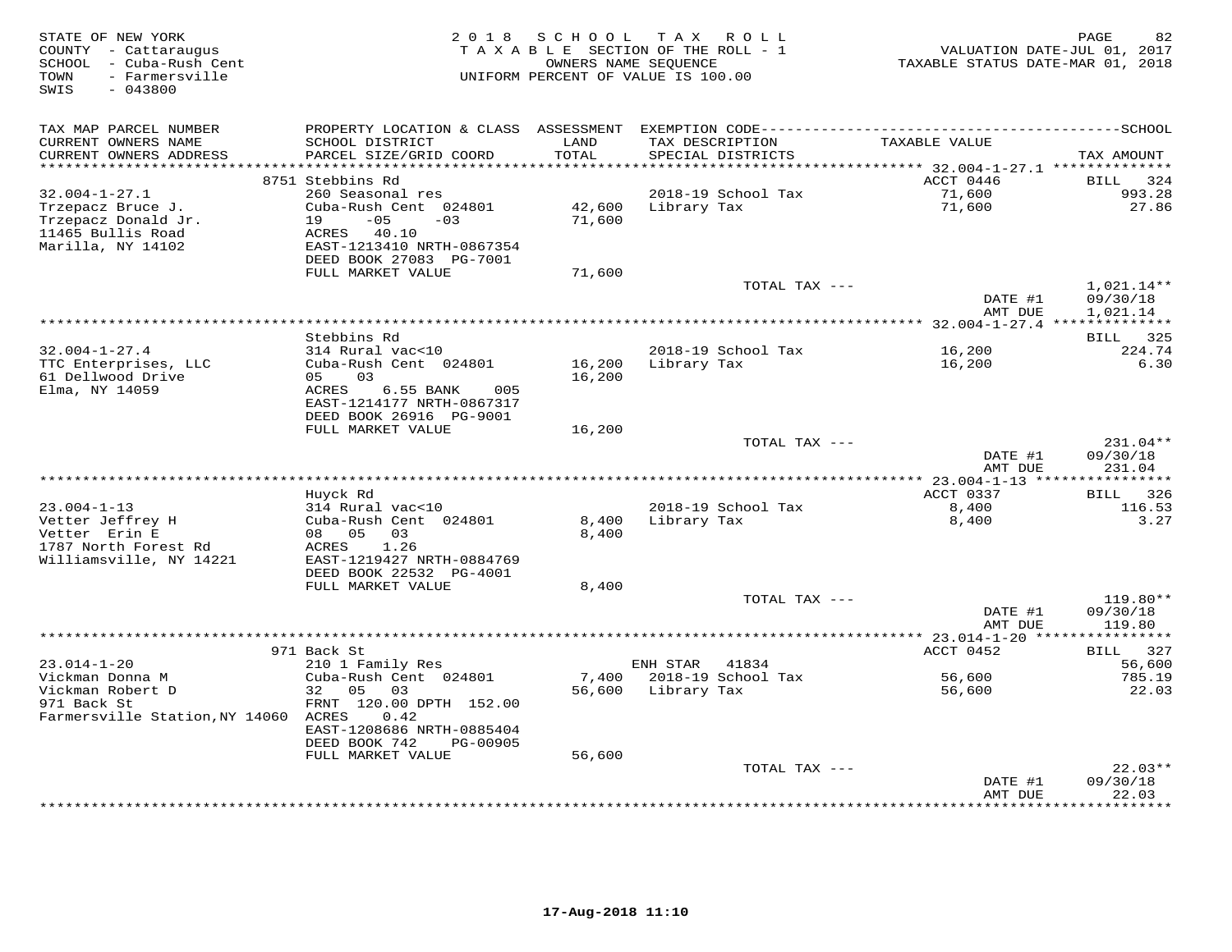| STATE OF NEW YORK<br>COUNTY - Cattaraugus<br>SCHOOL - Cuba-Rush Cent<br>- Farmersville<br>TOWN<br>$-043800$<br>SWIS | 2 0 1 8                                                                                                                                   | SCHOOL                   | TAX ROLL<br>TAXABLE SECTION OF THE ROLL - 1<br>OWNERS NAME SEOUENCE<br>UNIFORM PERCENT OF VALUE IS 100.00 | VALUATION DATE-JUL 01, 2017<br>TAXABLE STATUS DATE-MAR 01, 2018 | PAGE<br>82                           |
|---------------------------------------------------------------------------------------------------------------------|-------------------------------------------------------------------------------------------------------------------------------------------|--------------------------|-----------------------------------------------------------------------------------------------------------|-----------------------------------------------------------------|--------------------------------------|
| TAX MAP PARCEL NUMBER<br>CURRENT OWNERS NAME<br>CURRENT OWNERS ADDRESS<br>*******************                       | SCHOOL DISTRICT<br>PARCEL SIZE/GRID COORD                                                                                                 | LAND<br>TOTAL<br>******* | TAX DESCRIPTION<br>SPECIAL DISTRICTS                                                                      | TAXABLE VALUE<br>******* 32.004-1-27.1 **************           | TAX AMOUNT                           |
|                                                                                                                     | 8751 Stebbins Rd                                                                                                                          |                          |                                                                                                           | ACCT 0446                                                       | <b>BILL</b><br>324                   |
| $32.004 - 1 - 27.1$<br>Trzepacz Bruce J.<br>Trzepacz Donald Jr.<br>11465 Bullis Road<br>Marilla, NY 14102           | 260 Seasonal res<br>Cuba-Rush Cent 024801<br>19<br>$-05$<br>$-0.3$<br>ACRES 40.10<br>EAST-1213410 NRTH-0867354<br>DEED BOOK 27083 PG-7001 | 42,600<br>71,600         | 2018-19 School Tax<br>Library Tax                                                                         | 71,600<br>71,600                                                | 993.28<br>27.86                      |
|                                                                                                                     | FULL MARKET VALUE                                                                                                                         | 71,600                   | TOTAL TAX ---                                                                                             |                                                                 | $1,021.14**$                         |
|                                                                                                                     |                                                                                                                                           |                          |                                                                                                           | DATE #1<br>AMT DUE                                              | 09/30/18<br>1,021.14                 |
|                                                                                                                     | Stebbins Rd                                                                                                                               |                          | *******************************                                                                           | $32.004 - 1 - 27.4$ ***************                             | BILL 325                             |
| $32.004 - 1 - 27.4$                                                                                                 | 314 Rural vac<10                                                                                                                          |                          | 2018-19 School Tax                                                                                        | 16,200                                                          | 224.74                               |
| TTC Enterprises, LLC<br>61 Dellwood Drive<br>Elma, NY 14059                                                         | Cuba-Rush Cent 024801<br>05<br>03<br>6.55 BANK<br>ACRES<br>005<br>EAST-1214177 NRTH-0867317<br>DEED BOOK 26916 PG-9001                    | 16,200<br>16,200         | Library Tax                                                                                               | 16,200                                                          | 6.30                                 |
|                                                                                                                     | FULL MARKET VALUE                                                                                                                         | 16,200                   |                                                                                                           |                                                                 |                                      |
|                                                                                                                     |                                                                                                                                           |                          | TOTAL TAX ---                                                                                             | DATE #1<br>AMT DUE                                              | $231.04**$<br>09/30/18<br>231.04     |
|                                                                                                                     |                                                                                                                                           |                          |                                                                                                           |                                                                 |                                      |
| $23.004 - 1 - 13$                                                                                                   | Huvck Rd<br>314 Rural vac<10                                                                                                              |                          | 2018-19 School Tax                                                                                        | ACCT 0337<br>8,400                                              | BILL<br>326<br>116.53                |
| Vetter Jeffrey H<br>Vetter Erin E<br>1787 North Forest Rd<br>Williamsville, NY 14221                                | Cuba-Rush Cent 024801<br>08 05<br>03<br>1.26<br>ACRES<br>EAST-1219427 NRTH-0884769<br>DEED BOOK 22532 PG-4001                             | 8,400<br>8,400           | Library Tax                                                                                               | 8,400                                                           | 3.27                                 |
|                                                                                                                     | FULL MARKET VALUE                                                                                                                         | 8,400                    |                                                                                                           |                                                                 |                                      |
|                                                                                                                     |                                                                                                                                           |                          | TOTAL TAX ---                                                                                             | DATE #1<br>AMT DUE                                              | 119.80**<br>09/30/18<br>119.80       |
|                                                                                                                     | 971 Back St                                                                                                                               |                          |                                                                                                           | ******** 23.014-1-20 ****************<br>ACCT 0452              | BILL 327                             |
| $23.014 - 1 - 20$<br>Vickman Donna M                                                                                | 210 1 Family Res<br>Cuba-Rush Cent 024801                                                                                                 | 7,400                    | ENH STAR<br>41834<br>2018-19 School Tax                                                                   | 56,600                                                          | 56,600<br>785.19                     |
| Vickman Robert D<br>971 Back St<br>Farmersville Station, NY 14060 ACRES                                             | 32<br>05<br>03<br>FRNT 120.00 DPTH 152.00<br>0.42<br>EAST-1208686 NRTH-0885404<br>DEED BOOK 742<br>PG-00905<br>FULL MARKET VALUE          | 56,600<br>56,600         | Library Tax                                                                                               | 56,600                                                          | 22.03                                |
|                                                                                                                     |                                                                                                                                           |                          | TOTAL TAX ---                                                                                             |                                                                 | $22.03**$                            |
|                                                                                                                     |                                                                                                                                           |                          |                                                                                                           | DATE #1<br>AMT DUE                                              | 09/30/18<br>22.03<br>* * * * * * * * |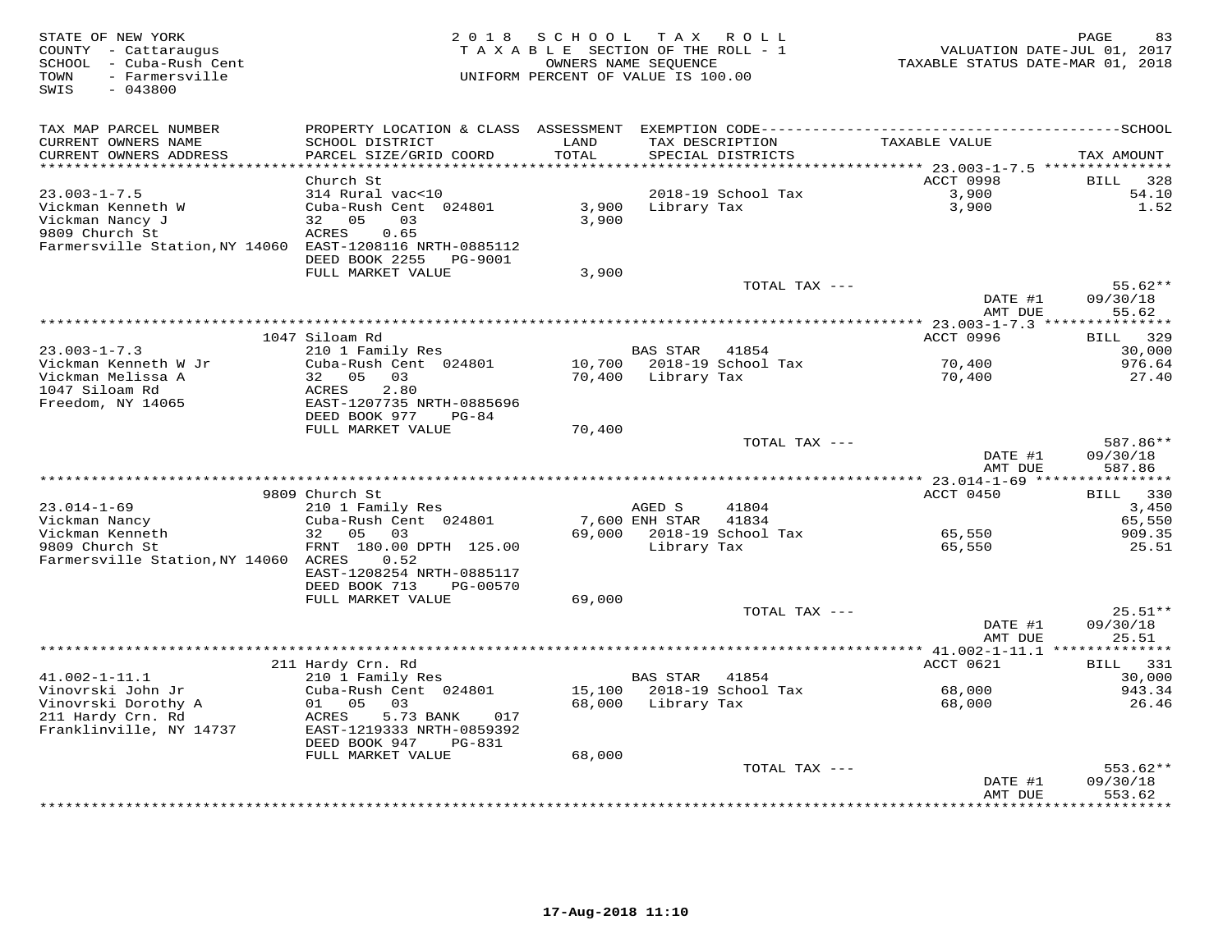| STATE OF NEW YORK<br>COUNTY - Cattaraugus<br>SCHOOL - Cuba-Rush Cent<br>TOWN<br>- Farmersville<br>SWIS<br>$-043800$ | 2 0 1 8                                        | SCHOOL            | T A X<br>ROLL<br>TAXABLE SECTION OF THE ROLL - 1<br>OWNERS NAME SEQUENCE<br>UNIFORM PERCENT OF VALUE IS 100.00 | TAXABLE STATUS DATE-MAR 01, 2018       | PAGE<br>83<br>VALUATION DATE-JUL 01, 2017 |
|---------------------------------------------------------------------------------------------------------------------|------------------------------------------------|-------------------|----------------------------------------------------------------------------------------------------------------|----------------------------------------|-------------------------------------------|
| TAX MAP PARCEL NUMBER                                                                                               |                                                |                   |                                                                                                                |                                        |                                           |
| CURRENT OWNERS NAME                                                                                                 | SCHOOL DISTRICT                                | LAND              | TAX DESCRIPTION                                                                                                | TAXABLE VALUE                          |                                           |
| CURRENT OWNERS ADDRESS<br>*********************                                                                     | PARCEL SIZE/GRID COORD                         | TOTAL<br>******** | SPECIAL DISTRICTS                                                                                              | ******** 23.003-1-7.5 **************** | TAX AMOUNT                                |
|                                                                                                                     | Church St                                      |                   |                                                                                                                | ACCT 0998                              | 328<br>BILL                               |
| $23.003 - 1 - 7.5$                                                                                                  | 314 Rural vac<10                               |                   | 2018-19 School Tax                                                                                             | 3,900                                  | 54.10                                     |
| Vickman Kenneth W                                                                                                   | Cuba-Rush Cent 024801                          | 3,900             | Library Tax                                                                                                    | 3,900                                  | 1.52                                      |
| Vickman Nancy J                                                                                                     | 32 05<br>03                                    | 3,900             |                                                                                                                |                                        |                                           |
| 9809 Church St                                                                                                      | ACRES<br>0.65                                  |                   |                                                                                                                |                                        |                                           |
| Farmersville Station, NY 14060 EAST-1208116 NRTH-0885112                                                            |                                                |                   |                                                                                                                |                                        |                                           |
|                                                                                                                     | DEED BOOK 2255<br>PG-9001<br>FULL MARKET VALUE | 3,900             |                                                                                                                |                                        |                                           |
|                                                                                                                     |                                                |                   | TOTAL TAX ---                                                                                                  |                                        | $55.62**$                                 |
|                                                                                                                     |                                                |                   |                                                                                                                | DATE #1                                | 09/30/18                                  |
|                                                                                                                     |                                                |                   |                                                                                                                | AMT DUE                                | 55.62                                     |
|                                                                                                                     |                                                |                   |                                                                                                                |                                        |                                           |
|                                                                                                                     | 1047 Siloam Rd                                 |                   |                                                                                                                | ACCT 0996                              | 329<br>BILL                               |
| $23.003 - 1 - 7.3$                                                                                                  | 210 1 Family Res<br>Cuba-Rush Cent 024801      |                   | BAS STAR 41854<br>10,700 2018-19 School Tax                                                                    |                                        | 30,000<br>976.64                          |
| Vickman Kenneth W Jr<br>Vickman Melissa A                                                                           | 32 05 03                                       |                   | 70,400 Library Tax                                                                                             | 70,400<br>70,400                       | 27.40                                     |
| 1047 Siloam Rd                                                                                                      | ACRES<br>2.80                                  |                   |                                                                                                                |                                        |                                           |
| Freedom, NY 14065                                                                                                   | EAST-1207735 NRTH-0885696                      |                   |                                                                                                                |                                        |                                           |
|                                                                                                                     | DEED BOOK 977<br>PG-84                         |                   |                                                                                                                |                                        |                                           |
|                                                                                                                     | FULL MARKET VALUE                              | 70,400            |                                                                                                                |                                        |                                           |
|                                                                                                                     |                                                |                   | TOTAL TAX ---                                                                                                  | DATE #1                                | 587.86**<br>09/30/18                      |
|                                                                                                                     |                                                |                   |                                                                                                                | AMT DUE                                | 587.86                                    |
|                                                                                                                     |                                                |                   |                                                                                                                |                                        |                                           |
|                                                                                                                     | 9809 Church St                                 |                   |                                                                                                                | ACCT 0450                              | <b>BILL</b><br>330                        |
| $23.014 - 1 - 69$                                                                                                   | 210 1 Family Res                               |                   | 41804<br>AGED S                                                                                                |                                        | 3,450                                     |
| Vickman Nancy                                                                                                       | Cuba-Rush Cent 024801                          |                   | 7,600 ENH STAR<br>41834                                                                                        |                                        | 65,550                                    |
| Vickman Kenneth                                                                                                     | 32<br>05 03                                    |                   | 69,000 2018-19 School Tax                                                                                      | 65,550                                 | 909.35                                    |
| 9809 Church St<br>Farmersville Station, NY 14060 ACRES                                                              | FRNT 180.00 DPTH 125.00<br>0.52                |                   | Library Tax                                                                                                    | 65,550                                 | 25.51                                     |
|                                                                                                                     | EAST-1208254 NRTH-0885117                      |                   |                                                                                                                |                                        |                                           |
|                                                                                                                     | DEED BOOK 713<br>PG-00570                      |                   |                                                                                                                |                                        |                                           |
|                                                                                                                     | FULL MARKET VALUE                              | 69,000            |                                                                                                                |                                        |                                           |
|                                                                                                                     |                                                |                   | TOTAL TAX ---                                                                                                  |                                        | $25.51**$                                 |
|                                                                                                                     |                                                |                   |                                                                                                                | DATE #1                                | 09/30/18                                  |
|                                                                                                                     |                                                |                   |                                                                                                                | AMT DUE                                | 25.51<br>* * * * * * * *                  |
|                                                                                                                     | 211 Hardy Crn. Rd                              |                   |                                                                                                                | ACCT 0621                              | 331<br>BILL                               |
| $41.002 - 1 - 11.1$                                                                                                 | 210 1 Family Res                               |                   | BAS STAR<br>41854                                                                                              |                                        | 30,000                                    |
| Vinovrski John Jr                                                                                                   | Cuba-Rush Cent 024801                          |                   | 15,100 2018-19 School Tax                                                                                      | 68,000                                 | 943.34                                    |
| Vinovrski Dorothy A                                                                                                 | 01 05<br>03                                    | 68,000            | Library Tax                                                                                                    | 68,000                                 | 26.46                                     |
| 211 Hardy Crn. Rd                                                                                                   | ACRES<br>5.73 BANK<br>017                      |                   |                                                                                                                |                                        |                                           |
| Franklinville, NY 14737                                                                                             | EAST-1219333 NRTH-0859392                      |                   |                                                                                                                |                                        |                                           |
|                                                                                                                     | DEED BOOK 947<br>PG-831                        |                   |                                                                                                                |                                        |                                           |
|                                                                                                                     | FULL MARKET VALUE                              | 68,000            | TOTAL TAX ---                                                                                                  |                                        | $553.62**$                                |
|                                                                                                                     |                                                |                   |                                                                                                                | DATE #1                                | 09/30/18                                  |
|                                                                                                                     |                                                |                   |                                                                                                                | AMT DUE                                | 553.62                                    |
|                                                                                                                     |                                                |                   |                                                                                                                |                                        | * * * * * * * * *                         |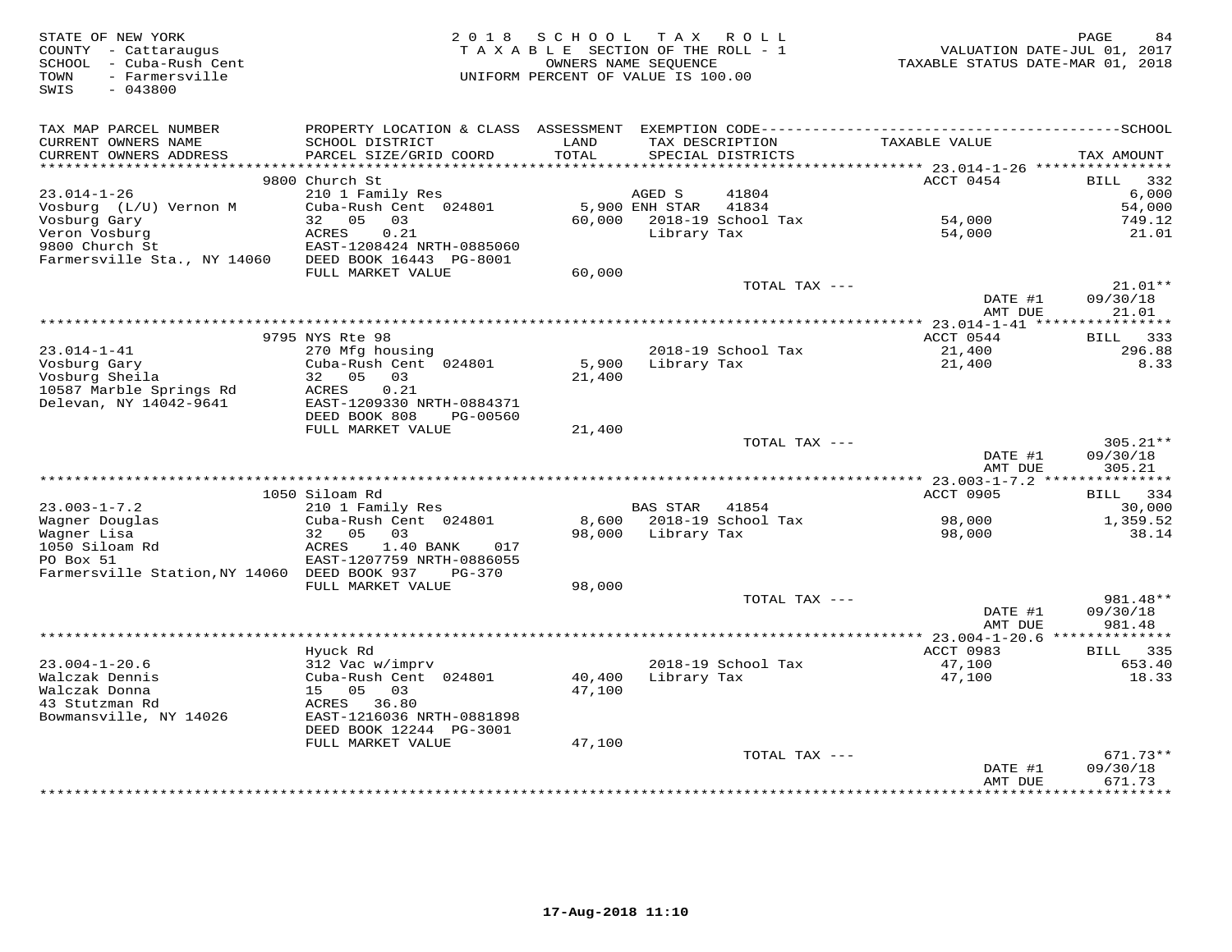| STATE OF NEW YORK<br>COUNTY - Cattaraugus<br>SCHOOL - Cuba-Rush Cent<br>- Farmersville<br>TOWN | 2 0 1 8                                              | SCHOOL<br>TAXABLE SECTION OF THE ROLL - 1<br>UNIFORM PERCENT OF VALUE IS 100.00 | T A X<br>OWNERS NAME SEOUENCE | R O L L                              | TAXABLE STATUS DATE-MAR 01, 2018            | 84<br>PAGE<br>VALUATION DATE-JUL 01, 2017 |
|------------------------------------------------------------------------------------------------|------------------------------------------------------|---------------------------------------------------------------------------------|-------------------------------|--------------------------------------|---------------------------------------------|-------------------------------------------|
| SWIS<br>$-043800$                                                                              |                                                      |                                                                                 |                               |                                      |                                             |                                           |
| TAX MAP PARCEL NUMBER                                                                          |                                                      |                                                                                 |                               |                                      |                                             |                                           |
| CURRENT OWNERS NAME<br>CURRENT OWNERS ADDRESS                                                  | SCHOOL DISTRICT<br>PARCEL SIZE/GRID COORD            | LAND<br>TOTAL                                                                   |                               | TAX DESCRIPTION<br>SPECIAL DISTRICTS | TAXABLE VALUE                               | TAX AMOUNT                                |
| ***********************                                                                        |                                                      |                                                                                 |                               |                                      |                                             |                                           |
|                                                                                                | 9800 Church St                                       |                                                                                 |                               |                                      | ACCT 0454                                   | <b>BILL</b><br>332                        |
| 23.014-1-26                                                                                    | 210 1 Family Res<br>Cuba-Rush Cent 024801            |                                                                                 | AGED S<br>5,900 ENH STAR      | 41804<br>41834                       |                                             | 6,000<br>54,000                           |
| Vosburg (L/U) Vernon M<br>Vosburg Gary                                                         | 05<br>32<br>03                                       | 60,000                                                                          |                               | 2018-19 School Tax                   | 54,000                                      | 749.12                                    |
| Veron Vosburg                                                                                  | ACRES<br>0.21                                        |                                                                                 | Library Tax                   |                                      | 54,000                                      | 21.01                                     |
| 9800 Church St                                                                                 | EAST-1208424 NRTH-0885060                            |                                                                                 |                               |                                      |                                             |                                           |
| Farmersville Sta., NY 14060                                                                    | DEED BOOK 16443 PG-8001                              |                                                                                 |                               |                                      |                                             |                                           |
|                                                                                                | FULL MARKET VALUE                                    | 60,000                                                                          |                               |                                      |                                             |                                           |
|                                                                                                |                                                      |                                                                                 |                               | TOTAL TAX ---                        |                                             | $21.01**$                                 |
|                                                                                                |                                                      |                                                                                 |                               |                                      | DATE #1                                     | 09/30/18                                  |
|                                                                                                |                                                      | **********************************                                              |                               |                                      | AMT DUE                                     | 21.01<br>**********                       |
|                                                                                                | 9795 NYS Rte 98                                      |                                                                                 |                               |                                      | $* 23.014 - 1 - 41$ ****<br>ACCT 0544       | 333<br>BILL                               |
| $23.014 - 1 - 41$                                                                              | 270 Mfg housing                                      |                                                                                 |                               | 2018-19 School Tax                   | 21,400                                      | 296.88                                    |
| Vosburg Gary                                                                                   | Cuba-Rush Cent 024801                                | 5,900                                                                           | Library Tax                   |                                      | 21,400                                      | 8.33                                      |
| Vosburg Sheila                                                                                 | 32 05<br>03                                          | 21,400                                                                          |                               |                                      |                                             |                                           |
| 10587 Marble Springs Rd                                                                        | 0.21<br>ACRES                                        |                                                                                 |                               |                                      |                                             |                                           |
| Delevan, NY 14042-9641                                                                         | EAST-1209330 NRTH-0884371                            |                                                                                 |                               |                                      |                                             |                                           |
|                                                                                                | DEED BOOK 808<br>PG-00560                            |                                                                                 |                               |                                      |                                             |                                           |
|                                                                                                | FULL MARKET VALUE                                    | 21,400                                                                          |                               |                                      |                                             |                                           |
|                                                                                                |                                                      |                                                                                 |                               | TOTAL TAX ---                        |                                             | $305.21**$                                |
|                                                                                                |                                                      |                                                                                 |                               |                                      | DATE #1<br>AMT DUE                          | 09/30/18<br>305.21                        |
|                                                                                                |                                                      |                                                                                 |                               |                                      |                                             |                                           |
|                                                                                                | 1050 Siloam Rd                                       |                                                                                 |                               |                                      | ACCT 0905                                   | BILL<br>334                               |
| $23.003 - 1 - 7.2$                                                                             | 210 1 Family Res                                     |                                                                                 | BAS STAR                      | 41854                                |                                             | 30,000                                    |
| Wagner Douglas                                                                                 | Cuba-Rush Cent 024801                                |                                                                                 |                               | 8,600 2018-19 School Tax             | 98,000                                      | 1,359.52                                  |
| Wagner Lisa                                                                                    | 05<br>32<br>03                                       |                                                                                 | 98,000 Library Tax            |                                      | 98,000                                      | 38.14                                     |
| 1050 Siloam Rd                                                                                 | ACRES<br>1.40 BANK<br>017                            |                                                                                 |                               |                                      |                                             |                                           |
| PO Box 51                                                                                      | EAST-1207759 NRTH-0886055                            |                                                                                 |                               |                                      |                                             |                                           |
| Farmersville Station, NY 14060 DEED BOOK 937                                                   | <b>PG-370</b>                                        |                                                                                 |                               |                                      |                                             |                                           |
|                                                                                                | FULL MARKET VALUE                                    | 98,000                                                                          |                               | TOTAL TAX ---                        |                                             | 981.48**                                  |
|                                                                                                |                                                      |                                                                                 |                               |                                      | DATE #1                                     | 09/30/18                                  |
|                                                                                                |                                                      |                                                                                 |                               |                                      | AMT DUE                                     | 981.48                                    |
|                                                                                                |                                                      |                                                                                 |                               |                                      | ************* 23.004-1-20.6 *************** |                                           |
|                                                                                                | Hyuck Rd                                             |                                                                                 |                               |                                      | ACCT 0983                                   | 335<br>BILL                               |
| $23.004 - 1 - 20.6$                                                                            | 312 Vac w/imprv                                      |                                                                                 |                               | 2018-19 School Tax                   | 47,100                                      | 653.40                                    |
| Walczak Dennis                                                                                 | Cuba-Rush Cent 024801                                | 40,400                                                                          | Library Tax                   |                                      | 47,100                                      | 18.33                                     |
| Walczak Donna                                                                                  | 15<br>05<br>03                                       | 47,100                                                                          |                               |                                      |                                             |                                           |
| 43 Stutzman Rd                                                                                 | ACRES<br>36.80                                       |                                                                                 |                               |                                      |                                             |                                           |
| Bowmansville, NY 14026                                                                         | EAST-1216036 NRTH-0881898<br>DEED BOOK 12244 PG-3001 |                                                                                 |                               |                                      |                                             |                                           |
|                                                                                                | FULL MARKET VALUE                                    | 47,100                                                                          |                               |                                      |                                             |                                           |
|                                                                                                |                                                      |                                                                                 |                               | TOTAL TAX ---                        |                                             | $671.73**$                                |
|                                                                                                |                                                      |                                                                                 |                               |                                      | DATE #1                                     | 09/30/18                                  |
|                                                                                                |                                                      |                                                                                 |                               |                                      | AMT DUE                                     | 671.73                                    |
|                                                                                                |                                                      |                                                                                 |                               |                                      |                                             | * * * * * * * *                           |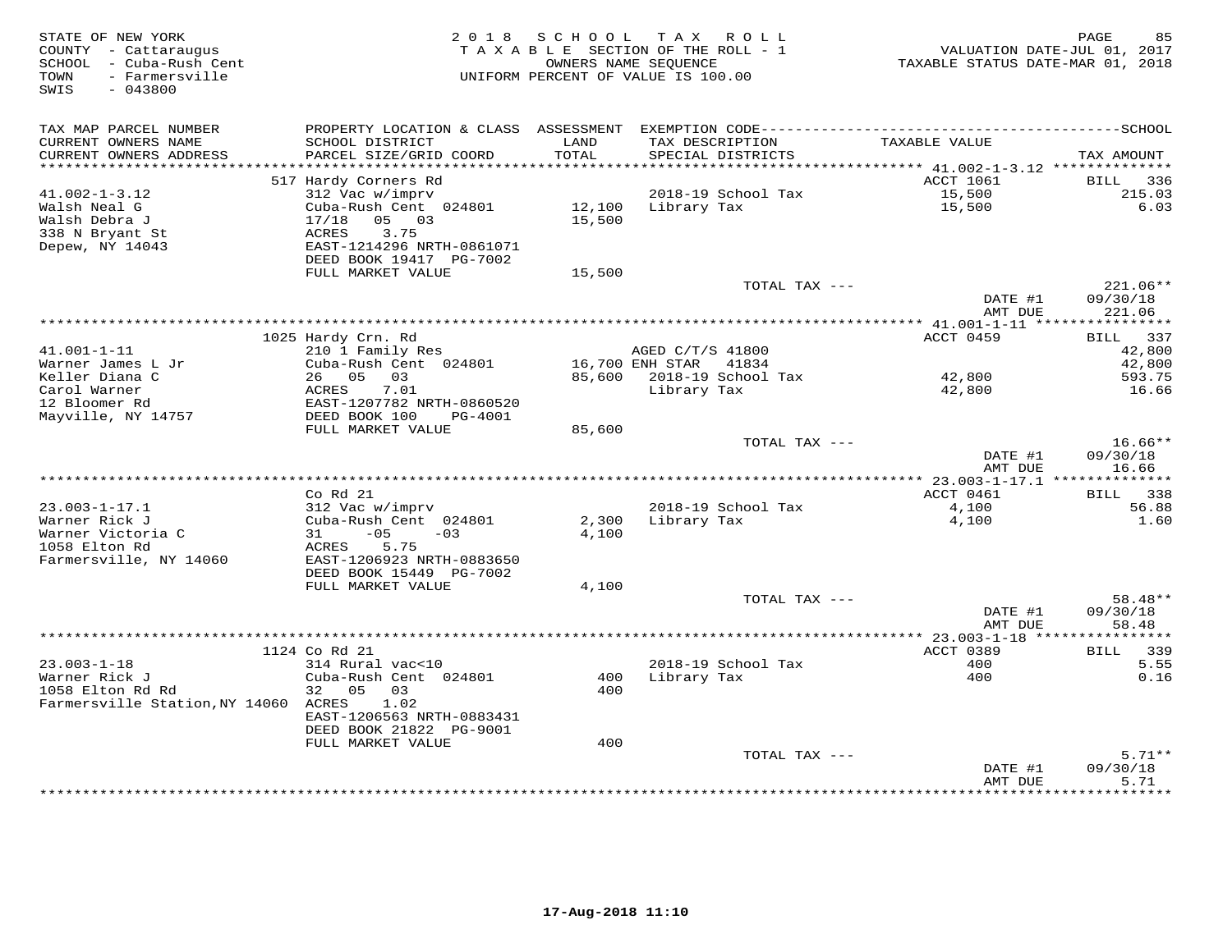| STATE OF NEW YORK<br>COUNTY - Cattaraugus<br>SCHOOL - Cuba-Rush Cent<br>- Farmersville<br>TOWN<br>SWIS<br>$-043800$ | 2 0 1 8                                               | SCHOOL<br>OWNERS NAME SEQUENCE | TAX ROLL<br>TAXABLE SECTION OF THE ROLL - 1<br>UNIFORM PERCENT OF VALUE IS 100.00 | TAXABLE STATUS DATE-MAR 01, 2018              | PAGE<br>85<br>VALUATION DATE-JUL 01, 2017 |
|---------------------------------------------------------------------------------------------------------------------|-------------------------------------------------------|--------------------------------|-----------------------------------------------------------------------------------|-----------------------------------------------|-------------------------------------------|
| TAX MAP PARCEL NUMBER                                                                                               |                                                       |                                |                                                                                   |                                               |                                           |
| CURRENT OWNERS NAME<br>CURRENT OWNERS ADDRESS                                                                       | SCHOOL DISTRICT<br>PARCEL SIZE/GRID COORD             | LAND<br>TOTAL                  | TAX DESCRIPTION<br>SPECIAL DISTRICTS                                              | TAXABLE VALUE                                 | TAX AMOUNT                                |
| ************************                                                                                            |                                                       |                                |                                                                                   | ACCT 1061                                     |                                           |
| $41.002 - 1 - 3.12$                                                                                                 | 517 Hardy Corners Rd<br>312 Vac w/imprv               |                                | 2018-19 School Tax                                                                | 15,500                                        | BILL<br>336<br>215.03                     |
| Walsh Neal G                                                                                                        | Cuba-Rush Cent 024801                                 | 12,100                         | Library Tax                                                                       | 15,500                                        | 6.03                                      |
| Walsh Debra J                                                                                                       | 17/18<br>05 03                                        | 15,500                         |                                                                                   |                                               |                                           |
| 338 N Bryant St<br>Depew, NY 14043                                                                                  | <b>ACRES</b><br>3.75                                  |                                |                                                                                   |                                               |                                           |
|                                                                                                                     | EAST-1214296 NRTH-0861071<br>DEED BOOK 19417 PG-7002  |                                |                                                                                   |                                               |                                           |
|                                                                                                                     | FULL MARKET VALUE                                     | 15,500                         |                                                                                   |                                               |                                           |
|                                                                                                                     |                                                       |                                | TOTAL TAX ---                                                                     |                                               | $221.06**$                                |
|                                                                                                                     |                                                       |                                |                                                                                   | DATE #1<br>AMT DUE                            | 09/30/18<br>221.06                        |
|                                                                                                                     | 1025 Hardy Crn. Rd                                    |                                |                                                                                   | *********** 41.001-1-11 *****<br>ACCT 0459    | ***********<br>BILL 337                   |
| $41.001 - 1 - 11$                                                                                                   | 210 1 Family Res                                      |                                | AGED C/T/S 41800                                                                  |                                               | 42,800                                    |
| Warner James L Jr                                                                                                   | Cuba-Rush Cent 024801                                 |                                | 16,700 ENH STAR<br>41834                                                          |                                               | 42,800                                    |
| Keller Diana C                                                                                                      | 26 05 03                                              |                                | 85,600 2018-19 School Tax                                                         | 42,800                                        | 593.75                                    |
| Carol Warner                                                                                                        | ACRES<br>7.01                                         |                                | Library Tax                                                                       | 42,800                                        | 16.66                                     |
| 12 Bloomer Rd<br>Mayville, NY 14757                                                                                 | EAST-1207782 NRTH-0860520<br>DEED BOOK 100<br>PG-4001 |                                |                                                                                   |                                               |                                           |
|                                                                                                                     | FULL MARKET VALUE                                     | 85,600                         |                                                                                   |                                               |                                           |
|                                                                                                                     |                                                       |                                | TOTAL TAX ---                                                                     |                                               | $16.66**$                                 |
|                                                                                                                     |                                                       |                                |                                                                                   | DATE #1<br>AMT DUE                            | 09/30/18<br>16.66                         |
|                                                                                                                     | $Co$ $Rd$ $21$                                        |                                |                                                                                   | ACCT 0461                                     | BILL 338                                  |
| $23.003 - 1 - 17.1$                                                                                                 | 312 Vac w/imprv                                       |                                | 2018-19 School Tax                                                                | 4,100                                         | 56.88                                     |
| Warner Rick J                                                                                                       | Cuba-Rush Cent 024801                                 | 2,300                          | Library Tax                                                                       | 4,100                                         | 1.60                                      |
| Warner Victoria C                                                                                                   | $-0.5$<br>31<br>$-03$                                 | 4,100                          |                                                                                   |                                               |                                           |
| 1058 Elton Rd                                                                                                       | 5.75<br>ACRES                                         |                                |                                                                                   |                                               |                                           |
| Farmersville, NY 14060                                                                                              | EAST-1206923 NRTH-0883650<br>DEED BOOK 15449 PG-7002  |                                |                                                                                   |                                               |                                           |
|                                                                                                                     | FULL MARKET VALUE                                     | 4,100                          |                                                                                   |                                               |                                           |
|                                                                                                                     |                                                       |                                | TOTAL TAX ---                                                                     |                                               | $58.48**$                                 |
|                                                                                                                     |                                                       |                                |                                                                                   | DATE #1                                       | 09/30/18                                  |
|                                                                                                                     |                                                       |                                |                                                                                   | AMT DUE<br>**************** 23.003-1-18 ***** | 58.48<br>********                         |
|                                                                                                                     | 1124 Co Rd 21                                         |                                |                                                                                   | ACCT 0389                                     | 339<br>BILL                               |
| $23.003 - 1 - 18$                                                                                                   | 314 Rural vac<10                                      |                                | 2018-19 School Tax                                                                | 400                                           | 5.55                                      |
| Warner Rick J                                                                                                       | Cuba-Rush Cent 024801                                 | 400                            | Library Tax                                                                       | 400                                           | 0.16                                      |
| 1058 Elton Rd Rd<br>Farmersville Station, NY 14060 ACRES                                                            | 32<br>05<br>03<br>1.02                                | 400                            |                                                                                   |                                               |                                           |
|                                                                                                                     | EAST-1206563 NRTH-0883431                             |                                |                                                                                   |                                               |                                           |
|                                                                                                                     | DEED BOOK 21822 PG-9001                               |                                |                                                                                   |                                               |                                           |
|                                                                                                                     | FULL MARKET VALUE                                     | 400                            |                                                                                   |                                               |                                           |
|                                                                                                                     |                                                       |                                | TOTAL TAX ---                                                                     |                                               | $5.71**$<br>09/30/18                      |
|                                                                                                                     |                                                       |                                |                                                                                   | DATE #1<br>AMT DUE                            | 5.71                                      |
|                                                                                                                     |                                                       |                                |                                                                                   | * * * * * * * * * * * * * * *                 | ********                                  |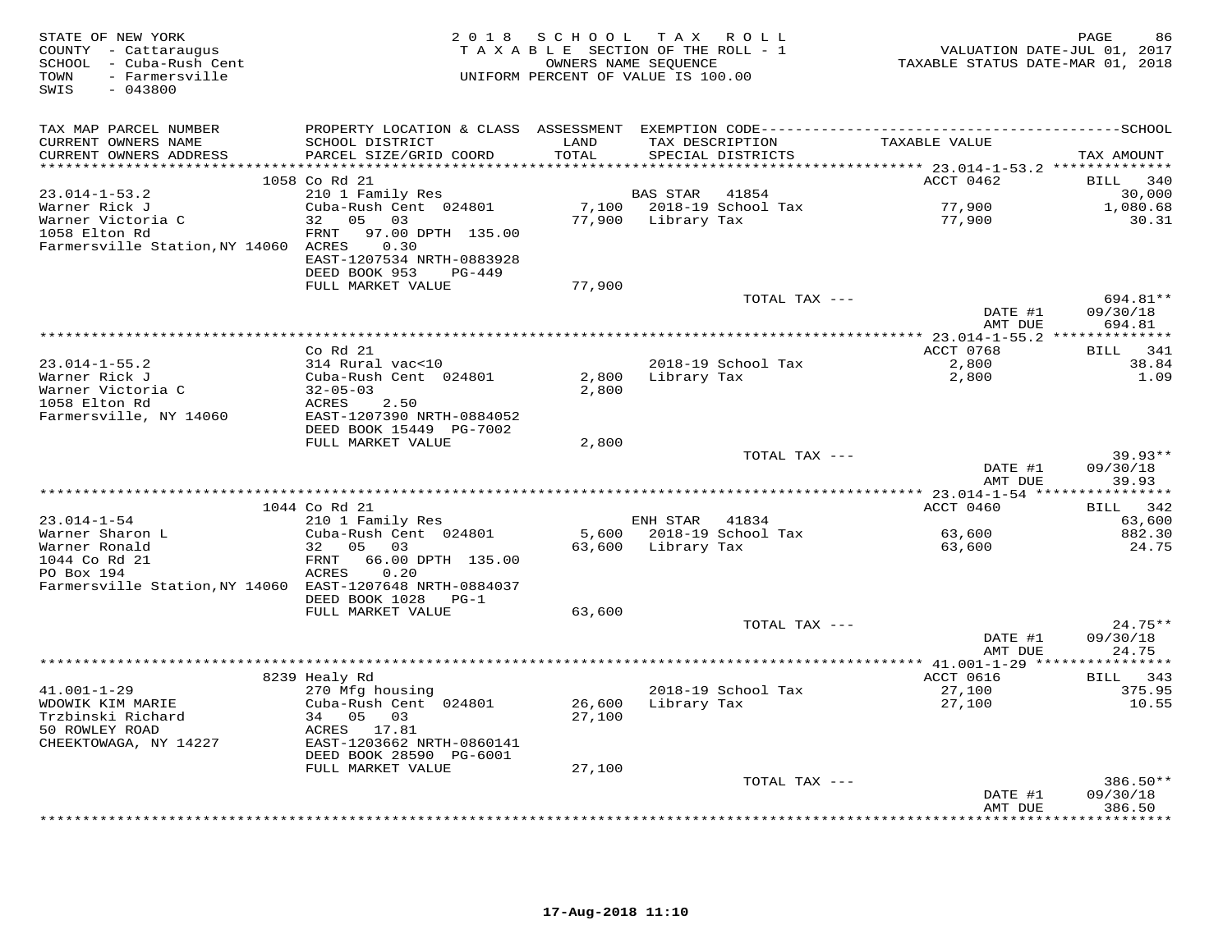| STATE OF NEW YORK<br>COUNTY - Cattaraugus<br>SCHOOL - Cuba-Rush Cent<br>- Farmersville<br>TOWN<br>$-043800$<br>SWIS | 2 0 1 8                                      |        | SCHOOL TAX ROLL<br>TAXABLE SECTION OF THE ROLL - 1<br>OWNERS NAME SEOUENCE<br>UNIFORM PERCENT OF VALUE IS 100.00 | VALUATION DATE-JUL 01, 2017<br>TAXABLE STATUS DATE-MAR 01, 2018 | 86<br>PAGE            |
|---------------------------------------------------------------------------------------------------------------------|----------------------------------------------|--------|------------------------------------------------------------------------------------------------------------------|-----------------------------------------------------------------|-----------------------|
| TAX MAP PARCEL NUMBER                                                                                               |                                              |        |                                                                                                                  |                                                                 |                       |
| CURRENT OWNERS NAME                                                                                                 | SCHOOL DISTRICT                              | LAND   | TAX DESCRIPTION                                                                                                  | TAXABLE VALUE                                                   |                       |
| CURRENT OWNERS ADDRESS                                                                                              | PARCEL SIZE/GRID COORD                       | TOTAL  | SPECIAL DISTRICTS                                                                                                |                                                                 | TAX AMOUNT            |
|                                                                                                                     |                                              |        |                                                                                                                  |                                                                 |                       |
| $23.014 - 1 - 53.2$                                                                                                 | 1058 Co Rd 21<br>210 1 Family Res            |        | <b>BAS STAR</b><br>41854                                                                                         | ACCT 0462                                                       | 340<br>BILL<br>30,000 |
| Warner Rick J                                                                                                       | Cuba-Rush Cent 024801                        |        | 7,100 2018-19 School Tax                                                                                         | 77,900                                                          | 1,080.68              |
| Warner Victoria C                                                                                                   | 32 05 03                                     |        | 77,900 Library Tax                                                                                               | 77,900                                                          | 30.31                 |
| 1058 Elton Rd                                                                                                       | FRNT<br>97.00 DPTH 135.00                    |        |                                                                                                                  |                                                                 |                       |
| Farmersville Station, NY 14060 ACRES                                                                                | 0.30                                         |        |                                                                                                                  |                                                                 |                       |
|                                                                                                                     | EAST-1207534 NRTH-0883928                    |        |                                                                                                                  |                                                                 |                       |
|                                                                                                                     | DEED BOOK 953<br>PG-449                      |        |                                                                                                                  |                                                                 |                       |
|                                                                                                                     | FULL MARKET VALUE                            | 77,900 |                                                                                                                  |                                                                 |                       |
|                                                                                                                     |                                              |        | TOTAL TAX ---                                                                                                    |                                                                 | 694.81**              |
|                                                                                                                     |                                              |        |                                                                                                                  | DATE #1<br>AMT DUE                                              | 09/30/18<br>694.81    |
|                                                                                                                     |                                              |        |                                                                                                                  |                                                                 |                       |
|                                                                                                                     | Co Rd 21                                     |        |                                                                                                                  | ACCT 0768                                                       | BILL 341              |
| $23.014 - 1 - 55.2$                                                                                                 | 314 Rural vac<10                             |        | 2018-19 School Tax                                                                                               | 2,800                                                           | 38.84                 |
| Warner Rick J                                                                                                       | Cuba-Rush Cent 024801                        |        | 2,800 Library Tax                                                                                                | 2,800                                                           | 1.09                  |
| Warner Victoria C                                                                                                   | $32 - 05 - 03$                               | 2,800  |                                                                                                                  |                                                                 |                       |
| 1058 Elton Rd                                                                                                       | ACRES<br>2.50                                |        |                                                                                                                  |                                                                 |                       |
| Farmersville, NY 14060                                                                                              | EAST-1207390 NRTH-0884052                    |        |                                                                                                                  |                                                                 |                       |
|                                                                                                                     | DEED BOOK 15449 PG-7002<br>FULL MARKET VALUE |        |                                                                                                                  |                                                                 |                       |
|                                                                                                                     |                                              | 2,800  | TOTAL TAX ---                                                                                                    |                                                                 | $39.93**$             |
|                                                                                                                     |                                              |        |                                                                                                                  | DATE #1                                                         | 09/30/18              |
|                                                                                                                     |                                              |        |                                                                                                                  | AMT DUE                                                         | 39.93                 |
|                                                                                                                     |                                              |        |                                                                                                                  |                                                                 |                       |
|                                                                                                                     | 1044 Co Rd 21                                |        |                                                                                                                  | ACCT 0460                                                       | 342<br>BILL           |
| $23.014 - 1 - 54$                                                                                                   | 210 1 Family Res                             |        | ENH STAR 41834                                                                                                   |                                                                 | 63,600                |
| Warner Sharon L                                                                                                     | Cuba-Rush Cent 024801                        |        | 5,600 2018-19 School Tax                                                                                         | 63,600                                                          | 882.30                |
| Warner Ronald<br>1044 Co Rd 21                                                                                      | 32 05 03<br>66.00 DPTH 135.00<br>FRNT        |        | 63,600 Library Tax                                                                                               | 63,600                                                          | 24.75                 |
| PO Box 194                                                                                                          | ACRES<br>0.20                                |        |                                                                                                                  |                                                                 |                       |
| Farmersville Station, NY 14060 EAST-1207648 NRTH-0884037                                                            |                                              |        |                                                                                                                  |                                                                 |                       |
|                                                                                                                     | DEED BOOK 1028<br>$PG-1$                     |        |                                                                                                                  |                                                                 |                       |
|                                                                                                                     | FULL MARKET VALUE                            | 63,600 |                                                                                                                  |                                                                 |                       |
|                                                                                                                     |                                              |        | TOTAL TAX ---                                                                                                    |                                                                 | $24.75**$             |
|                                                                                                                     |                                              |        |                                                                                                                  | DATE #1                                                         | 09/30/18              |
|                                                                                                                     |                                              |        |                                                                                                                  | AMT DUE                                                         | 24.75                 |
|                                                                                                                     |                                              |        |                                                                                                                  |                                                                 | BILL 343              |
| $41.001 - 1 - 29$                                                                                                   | 8239 Healy Rd<br>270 Mfg housing             |        | 2018-19 School Tax                                                                                               | ACCT 0616<br>27,100                                             | 375.95                |
| WDOWIK KIM MARIE                                                                                                    | Cuba-Rush Cent 024801                        | 26,600 | Library Tax                                                                                                      | 27,100                                                          | 10.55                 |
| Trzbinski Richard                                                                                                   | 34 05 03                                     | 27,100 |                                                                                                                  |                                                                 |                       |
| 50 ROWLEY ROAD                                                                                                      | ACRES 17.81                                  |        |                                                                                                                  |                                                                 |                       |
| CHEEKTOWAGA, NY 14227                                                                                               | EAST-1203662 NRTH-0860141                    |        |                                                                                                                  |                                                                 |                       |
|                                                                                                                     | DEED BOOK 28590 PG-6001                      |        |                                                                                                                  |                                                                 |                       |
|                                                                                                                     | FULL MARKET VALUE                            | 27,100 |                                                                                                                  |                                                                 |                       |
|                                                                                                                     |                                              |        | TOTAL TAX ---                                                                                                    |                                                                 | $386.50**$            |
|                                                                                                                     |                                              |        |                                                                                                                  | DATE #1<br>AMT DUE                                              | 09/30/18<br>386.50    |
|                                                                                                                     |                                              |        |                                                                                                                  |                                                                 | .                     |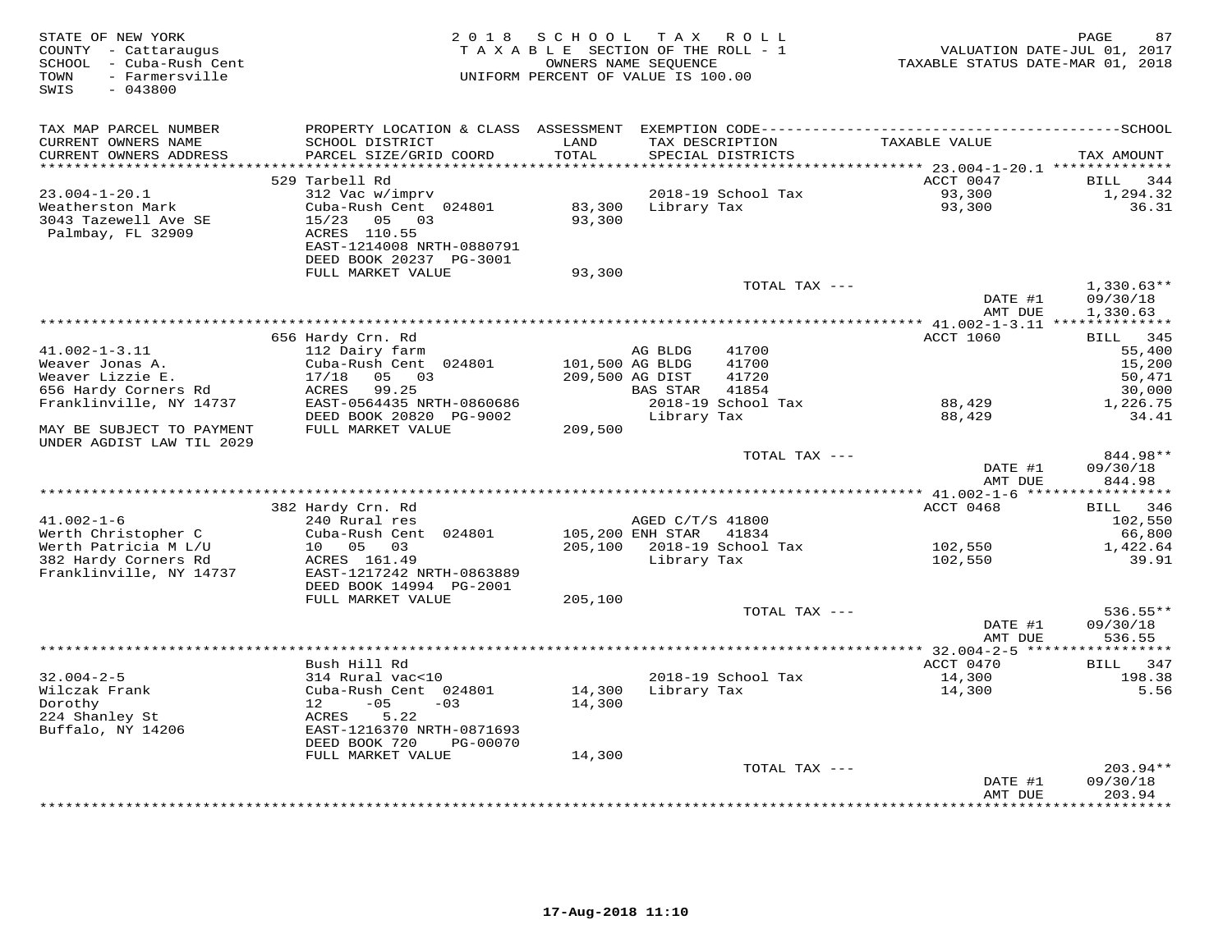| STATE OF NEW YORK<br>COUNTY - Cattaraugus<br>SCHOOL - Cuba-Rush Cent<br>- Farmersville<br>TOWN<br>SWIS<br>$-043800$ | 2 0 1 8                                                | SCHOOL          | T A X<br>ROLL<br>TAXABLE SECTION OF THE ROLL - 1<br>OWNERS NAME SEQUENCE<br>UNIFORM PERCENT OF VALUE IS 100.00 | VALUATION DATE-JUL 01, 2017<br>TAXABLE STATUS DATE-MAR 01, 2018 | PAGE<br>87         |
|---------------------------------------------------------------------------------------------------------------------|--------------------------------------------------------|-----------------|----------------------------------------------------------------------------------------------------------------|-----------------------------------------------------------------|--------------------|
| TAX MAP PARCEL NUMBER                                                                                               | PROPERTY LOCATION & CLASS ASSESSMENT                   |                 |                                                                                                                |                                                                 |                    |
| CURRENT OWNERS NAME<br>CURRENT OWNERS ADDRESS                                                                       | SCHOOL DISTRICT<br>PARCEL SIZE/GRID COORD              | LAND<br>TOTAL   | TAX DESCRIPTION<br>SPECIAL DISTRICTS                                                                           | TAXABLE VALUE                                                   | TAX AMOUNT         |
| ************************                                                                                            |                                                        |                 |                                                                                                                |                                                                 |                    |
|                                                                                                                     | 529 Tarbell Rd                                         |                 |                                                                                                                | ACCT 0047                                                       | BILL<br>344        |
| $23.004 - 1 - 20.1$<br>Weatherston Mark                                                                             | 312 Vac w/imprv<br>Cuba-Rush Cent 024801               | 83,300          | 2018-19 School Tax<br>Library Tax                                                                              | 93,300<br>93,300                                                | 1,294.32<br>36.31  |
| 3043 Tazewell Ave SE                                                                                                | 15/23<br>05 03                                         | 93,300          |                                                                                                                |                                                                 |                    |
| Palmbay, FL 32909                                                                                                   | ACRES 110.55                                           |                 |                                                                                                                |                                                                 |                    |
|                                                                                                                     | EAST-1214008 NRTH-0880791                              |                 |                                                                                                                |                                                                 |                    |
|                                                                                                                     | DEED BOOK 20237 PG-3001                                |                 |                                                                                                                |                                                                 |                    |
|                                                                                                                     | FULL MARKET VALUE                                      | 93,300          |                                                                                                                |                                                                 |                    |
|                                                                                                                     |                                                        |                 | TOTAL TAX ---                                                                                                  |                                                                 | $1,330.63**$       |
|                                                                                                                     |                                                        |                 |                                                                                                                | DATE #1                                                         | 09/30/18           |
|                                                                                                                     |                                                        |                 |                                                                                                                | AMT DUE                                                         | 1,330.63           |
|                                                                                                                     | 656 Hardy Crn. Rd                                      |                 |                                                                                                                | <b>ACCT 1060</b>                                                | BILL 345           |
| $41.002 - 1 - 3.11$                                                                                                 | 112 Dairy farm                                         |                 | AG BLDG<br>41700                                                                                               |                                                                 | 55,400             |
| Weaver Jonas A.                                                                                                     | Cuba-Rush Cent 024801                                  | 101,500 AG BLDG | 41700                                                                                                          |                                                                 | 15,200             |
| Weaver Lizzie E.                                                                                                    | 17/18<br>05 03                                         |                 | 41720<br>209,500 AG DIST                                                                                       |                                                                 | 50,471             |
| 656 Hardy Corners Rd                                                                                                | 99.25<br>ACRES                                         |                 | 41854<br>BAS STAR                                                                                              |                                                                 | 30,000             |
| Franklinville, NY 14737                                                                                             | EAST-0564435 NRTH-0860686                              |                 | 2018-19 School Tax                                                                                             | 88,429                                                          | 1,226.75           |
|                                                                                                                     | DEED BOOK 20820 PG-9002                                |                 | Library Tax                                                                                                    | 88,429                                                          | 34.41              |
| MAY BE SUBJECT TO PAYMENT<br>UNDER AGDIST LAW TIL 2029                                                              | FULL MARKET VALUE                                      | 209,500         |                                                                                                                |                                                                 |                    |
|                                                                                                                     |                                                        |                 | TOTAL TAX ---                                                                                                  |                                                                 | 844.98**           |
|                                                                                                                     |                                                        |                 |                                                                                                                | DATE #1<br>AMT DUE                                              | 09/30/18<br>844.98 |
|                                                                                                                     | 382 Hardy Crn. Rd                                      |                 |                                                                                                                | ACCT 0468                                                       | 346<br><b>BILL</b> |
| $41.002 - 1 - 6$                                                                                                    | 240 Rural res                                          |                 | AGED C/T/S 41800                                                                                               |                                                                 | 102,550            |
| Werth Christopher C                                                                                                 | Cuba-Rush Cent 024801                                  |                 | 105,200 ENH STAR<br>41834                                                                                      |                                                                 | 66,800             |
| Werth Patricia M L/U                                                                                                | 10 05<br>03                                            | 205,100         | 2018-19 School Tax                                                                                             | 102,550                                                         | 1,422.64           |
| 382 Hardy Corners Rd                                                                                                | ACRES 161.49                                           |                 | Library Tax                                                                                                    | 102,550                                                         | 39.91              |
| Franklinville, NY 14737                                                                                             | EAST-1217242 NRTH-0863889                              |                 |                                                                                                                |                                                                 |                    |
|                                                                                                                     | DEED BOOK 14994 PG-2001                                |                 |                                                                                                                |                                                                 |                    |
|                                                                                                                     | FULL MARKET VALUE                                      | 205,100         | TOTAL TAX ---                                                                                                  |                                                                 | $536.55**$         |
|                                                                                                                     |                                                        |                 |                                                                                                                | DATE #1                                                         | 09/30/18           |
|                                                                                                                     |                                                        |                 |                                                                                                                | AMT DUE                                                         | 536.55             |
|                                                                                                                     |                                                        |                 |                                                                                                                |                                                                 | ***********        |
|                                                                                                                     | Bush Hill Rd                                           |                 |                                                                                                                | ACCT 0470                                                       | BILL 347           |
| $32.004 - 2 - 5$                                                                                                    | 314 Rural vac<10                                       |                 | 2018-19 School Tax                                                                                             | 14,300                                                          | 198.38             |
| Wilczak Frank                                                                                                       | Cuba-Rush Cent 024801                                  | 14,300          | Library Tax                                                                                                    | 14,300                                                          | 5.56               |
| Dorothy                                                                                                             | $-05$<br>12 <sup>°</sup><br>$-03$                      | 14,300          |                                                                                                                |                                                                 |                    |
| 224 Shanley St                                                                                                      | ACRES<br>5.22                                          |                 |                                                                                                                |                                                                 |                    |
| Buffalo, NY 14206                                                                                                   | EAST-1216370 NRTH-0871693<br>DEED BOOK 720<br>PG-00070 |                 |                                                                                                                |                                                                 |                    |
|                                                                                                                     | FULL MARKET VALUE                                      | 14,300          |                                                                                                                |                                                                 |                    |
|                                                                                                                     |                                                        |                 | TOTAL TAX ---                                                                                                  |                                                                 | 203.94**           |
|                                                                                                                     |                                                        |                 |                                                                                                                | DATE #1                                                         | 09/30/18           |
|                                                                                                                     |                                                        |                 |                                                                                                                | AMT DUE                                                         | 203.94             |
|                                                                                                                     |                                                        |                 |                                                                                                                |                                                                 | *********          |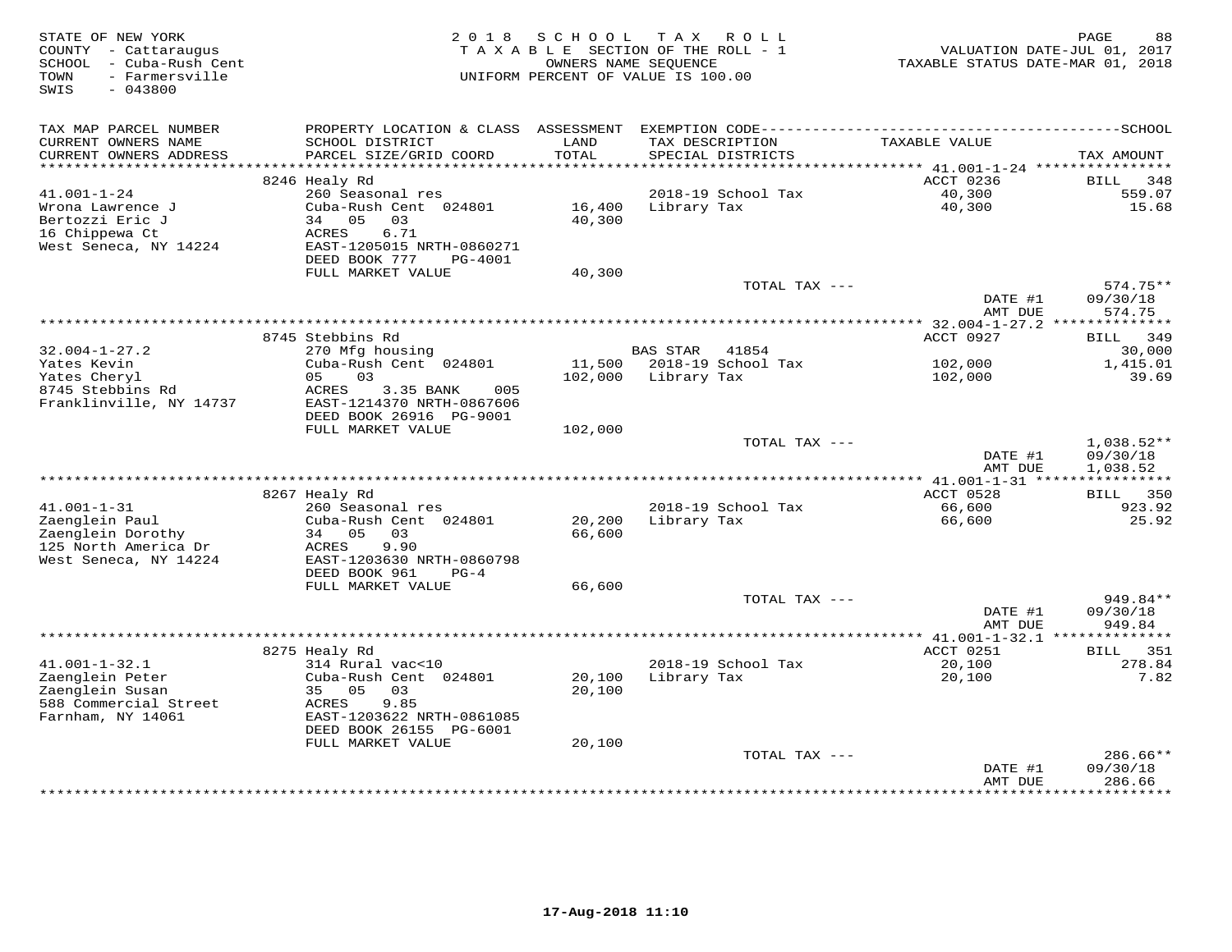| STATE OF NEW YORK<br>COUNTY - Cattaraugus<br>SCHOOL - Cuba-Rush Cent<br>- Farmersville<br>TOWN<br>$-043800$<br>SWIS | 2 0 1 8                                                                                       | SCHOOL           | TAX ROLL<br>TAXABLE SECTION OF THE ROLL - 1<br>OWNERS NAME SEOUENCE<br>UNIFORM PERCENT OF VALUE IS 100.00 | VALUATION DATE-JUL 01, 2017<br>TAXABLE STATUS DATE-MAR 01, 2018 | PAGE<br>88                           |
|---------------------------------------------------------------------------------------------------------------------|-----------------------------------------------------------------------------------------------|------------------|-----------------------------------------------------------------------------------------------------------|-----------------------------------------------------------------|--------------------------------------|
| TAX MAP PARCEL NUMBER                                                                                               | PROPERTY LOCATION & CLASS ASSESSMENT                                                          |                  |                                                                                                           |                                                                 |                                      |
| CURRENT OWNERS NAME                                                                                                 | SCHOOL DISTRICT                                                                               | LAND<br>TOTAL    | TAX DESCRIPTION                                                                                           | TAXABLE VALUE                                                   |                                      |
| CURRENT OWNERS ADDRESS<br>***********************                                                                   | PARCEL SIZE/GRID COORD                                                                        |                  | SPECIAL DISTRICTS                                                                                         |                                                                 | TAX AMOUNT                           |
|                                                                                                                     | 8246 Healy Rd                                                                                 |                  |                                                                                                           | ACCT 0236                                                       | 348<br>BILL                          |
| $41.001 - 1 - 24$                                                                                                   | 260 Seasonal res                                                                              |                  | 2018-19 School Tax                                                                                        | 40,300                                                          | 559.07                               |
| Wrona Lawrence J<br>Bertozzi Eric J<br>16 Chippewa Ct                                                               | Cuba-Rush Cent 024801<br>34 05<br>03<br>6.71<br>ACRES                                         | 16,400<br>40,300 | Library Tax                                                                                               | 40,300                                                          | 15.68                                |
| West Seneca, NY 14224                                                                                               | EAST-1205015 NRTH-0860271<br>DEED BOOK 777<br>PG-4001                                         |                  |                                                                                                           |                                                                 |                                      |
|                                                                                                                     | FULL MARKET VALUE                                                                             | 40,300           |                                                                                                           |                                                                 |                                      |
|                                                                                                                     |                                                                                               |                  | TOTAL TAX ---                                                                                             | DATE #1                                                         | $574.75**$<br>09/30/18               |
|                                                                                                                     |                                                                                               |                  |                                                                                                           | AMT DUE<br>*********** 32.004-1-27.2 **************             | 574.75                               |
|                                                                                                                     | 8745 Stebbins Rd                                                                              |                  |                                                                                                           | ACCT 0927                                                       | 349<br>BILL                          |
| $32.004 - 1 - 27.2$                                                                                                 | 270 Mfg housing                                                                               |                  | <b>BAS STAR</b><br>41854                                                                                  |                                                                 | 30,000                               |
| Yates Kevin                                                                                                         | Cuba-Rush Cent 024801                                                                         |                  | 11,500 2018-19 School Tax                                                                                 | 102,000                                                         | 1,415.01                             |
| Yates Cheryl<br>8745 Stebbins Rd<br>Franklinville, NY 14737                                                         | 03<br>05<br>3.35 BANK<br>005<br>ACRES<br>EAST-1214370 NRTH-0867606<br>DEED BOOK 26916 PG-9001 | 102,000          | Library Tax                                                                                               | 102,000                                                         | 39.69                                |
|                                                                                                                     | FULL MARKET VALUE                                                                             | 102,000          |                                                                                                           |                                                                 |                                      |
|                                                                                                                     |                                                                                               |                  | TOTAL TAX ---                                                                                             | DATE #1<br>AMT DUE                                              | $1,038.52**$<br>09/30/18<br>1,038.52 |
|                                                                                                                     |                                                                                               |                  |                                                                                                           |                                                                 |                                      |
|                                                                                                                     | 8267 Healy Rd                                                                                 |                  |                                                                                                           | ACCT 0528                                                       | BILL 350                             |
| $41.001 - 1 - 31$                                                                                                   | 260 Seasonal res                                                                              |                  | 2018-19 School Tax                                                                                        | 66,600                                                          | 923.92                               |
| Zaenglein Paul<br>Zaenglein Dorothy                                                                                 | Cuba-Rush Cent 024801<br>34 05<br>03                                                          | 20,200<br>66,600 | Library Tax                                                                                               | 66,600                                                          | 25.92                                |
| 125 North America Dr<br>West Seneca, NY 14224                                                                       | ACRES<br>9.90<br>EAST-1203630 NRTH-0860798                                                    |                  |                                                                                                           |                                                                 |                                      |
|                                                                                                                     | DEED BOOK 961<br>$PG-4$                                                                       |                  |                                                                                                           |                                                                 |                                      |
|                                                                                                                     | FULL MARKET VALUE                                                                             | 66,600           |                                                                                                           |                                                                 |                                      |
|                                                                                                                     |                                                                                               |                  | TOTAL TAX ---                                                                                             | DATE #1<br>AMT DUE                                              | 949.84**<br>09/30/18<br>949.84       |
|                                                                                                                     |                                                                                               |                  |                                                                                                           |                                                                 |                                      |
|                                                                                                                     | 8275 Healy Rd                                                                                 |                  |                                                                                                           | <b>ACCT 0251</b>                                                | 351<br>BILL                          |
| $41.001 - 1 - 32.1$                                                                                                 | 314 Rural vac<10                                                                              |                  | 2018-19 School Tax                                                                                        | 20,100                                                          | 278.84                               |
| Zaenglein Peter<br>Zaenglein Susan                                                                                  | Cuba-Rush Cent 024801<br>35 05<br>03                                                          | 20,100<br>20,100 | Library Tax                                                                                               | 20,100                                                          | 7.82                                 |
| 588 Commercial Street<br>Farnham, NY 14061                                                                          | ACRES<br>9.85<br>EAST-1203622 NRTH-0861085<br>DEED BOOK 26155 PG-6001                         |                  |                                                                                                           |                                                                 |                                      |
|                                                                                                                     | FULL MARKET VALUE                                                                             | 20,100           |                                                                                                           |                                                                 |                                      |
|                                                                                                                     |                                                                                               |                  | TOTAL TAX ---                                                                                             |                                                                 | 286.66**                             |
|                                                                                                                     |                                                                                               |                  |                                                                                                           | DATE #1<br>AMT DUE                                              | 09/30/18<br>286.66                   |
|                                                                                                                     |                                                                                               |                  |                                                                                                           | *************                                                   | **********                           |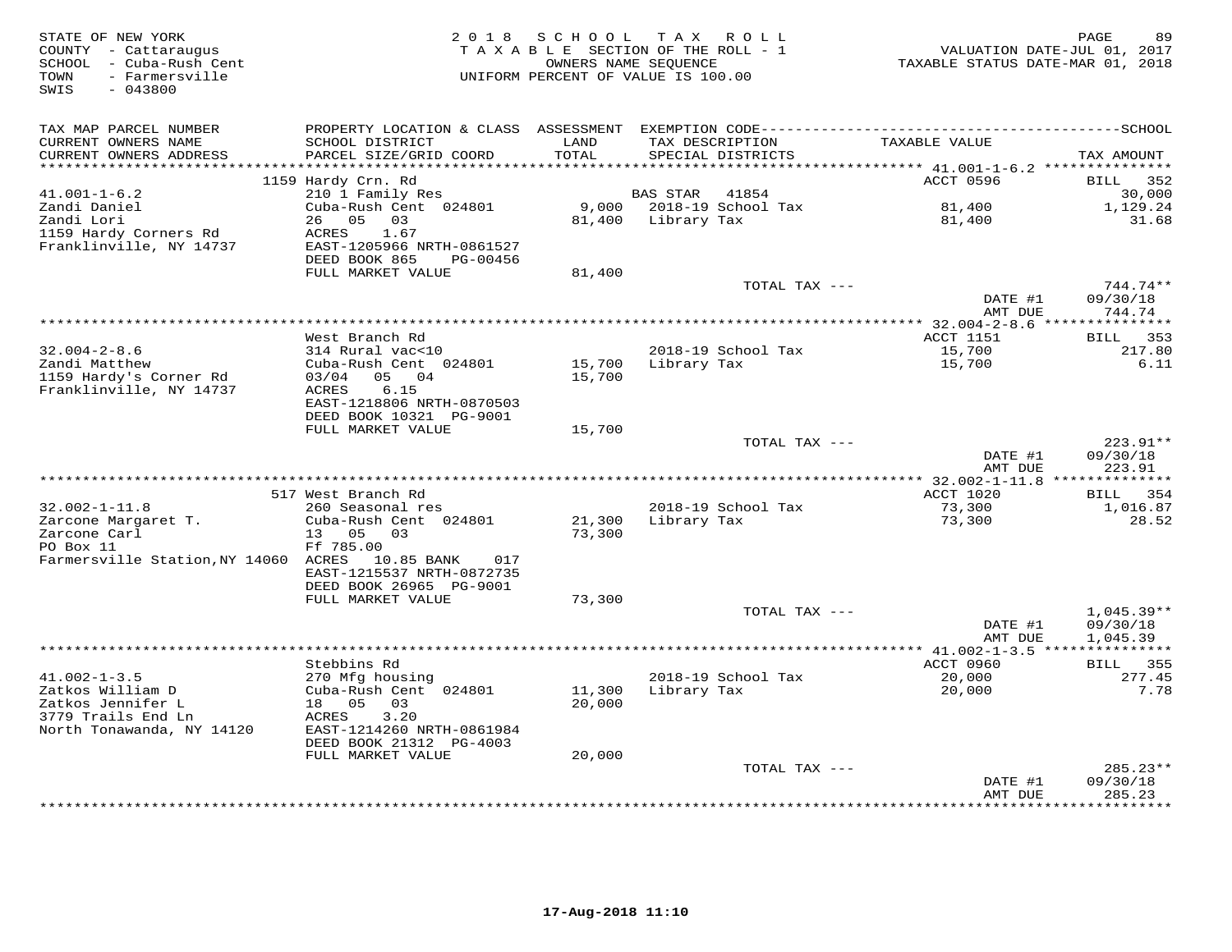| STATE OF NEW YORK<br>COUNTY - Cattaraugus<br>SCHOOL - Cuba-Rush Cent<br>TOWN<br>- Farmersville<br>SWIS<br>$-043800$ |                                            | 2018 SCHOOL           | TAX ROLL<br>TAXABLE SECTION OF THE ROLL - 1<br>OWNERS NAME SEQUENCE<br>UNIFORM PERCENT OF VALUE IS 100.00 | TAXABLE STATUS DATE-MAR 01, 2018       | PAGE<br>89<br>VALUATION DATE-JUL 01, 2017 |
|---------------------------------------------------------------------------------------------------------------------|--------------------------------------------|-----------------------|-----------------------------------------------------------------------------------------------------------|----------------------------------------|-------------------------------------------|
| TAX MAP PARCEL NUMBER                                                                                               |                                            |                       |                                                                                                           |                                        |                                           |
| CURRENT OWNERS NAME                                                                                                 | SCHOOL DISTRICT                            | LAND                  | TAX DESCRIPTION                                                                                           | TAXABLE VALUE                          |                                           |
| CURRENT OWNERS ADDRESS<br>********************                                                                      | PARCEL SIZE/GRID COORD                     | TOTAL<br>************ | SPECIAL DISTRICTS                                                                                         | ******** 41.001-1-6.2 **************** | TAX AMOUNT                                |
|                                                                                                                     | 1159 Hardy Crn. Rd                         |                       |                                                                                                           | ACCT 0596                              | <b>BILL</b> 352                           |
| $41.001 - 1 - 6.2$                                                                                                  | 210 1 Family Res                           |                       | BAS STAR<br>41854                                                                                         |                                        | 30,000                                    |
| Zandi Daniel                                                                                                        | Cuba-Rush Cent 024801                      |                       | 9,000 2018-19 School Tax                                                                                  | 81,400                                 | 1,129.24                                  |
| Zandi Lori                                                                                                          | 26 05<br>03                                |                       | 81,400 Library Tax                                                                                        | 81,400                                 | 31.68                                     |
| 1159 Hardy Corners Rd<br>Franklinville, NY 14737                                                                    | ACRES<br>1.67<br>EAST-1205966 NRTH-0861527 |                       |                                                                                                           |                                        |                                           |
|                                                                                                                     | DEED BOOK 865<br>PG-00456                  |                       |                                                                                                           |                                        |                                           |
|                                                                                                                     | FULL MARKET VALUE                          | 81,400                |                                                                                                           |                                        |                                           |
|                                                                                                                     |                                            |                       | TOTAL TAX ---                                                                                             |                                        | 744.74**                                  |
|                                                                                                                     |                                            |                       |                                                                                                           | DATE #1                                | 09/30/18                                  |
|                                                                                                                     | ********************                       |                       |                                                                                                           | AMT DUE                                | 744.74                                    |
|                                                                                                                     | West Branch Rd                             |                       |                                                                                                           | ACCT 1151                              | BILL 353                                  |
| $32.004 - 2 - 8.6$                                                                                                  | 314 Rural vac<10                           |                       | 2018-19 School Tax                                                                                        | 15,700                                 | 217.80                                    |
| Zandi Matthew                                                                                                       | Cuba-Rush Cent 024801                      | 15,700                | Library Tax                                                                                               | 15,700                                 | 6.11                                      |
| 1159 Hardy's Corner Rd                                                                                              | 03/04<br>05 04                             | 15,700                |                                                                                                           |                                        |                                           |
| Franklinville, NY 14737                                                                                             | 6.15<br>ACRES<br>EAST-1218806 NRTH-0870503 |                       |                                                                                                           |                                        |                                           |
|                                                                                                                     | DEED BOOK 10321 PG-9001                    |                       |                                                                                                           |                                        |                                           |
|                                                                                                                     | FULL MARKET VALUE                          | 15,700                |                                                                                                           |                                        |                                           |
|                                                                                                                     |                                            |                       | TOTAL TAX ---                                                                                             |                                        | 223.91**                                  |
|                                                                                                                     |                                            |                       |                                                                                                           | DATE #1<br>AMT DUE                     | 09/30/18<br>223.91                        |
|                                                                                                                     |                                            |                       |                                                                                                           |                                        |                                           |
|                                                                                                                     | 517 West Branch Rd                         |                       |                                                                                                           | ACCT 1020                              | BILL<br>354                               |
| $32.002 - 1 - 11.8$                                                                                                 | 260 Seasonal res                           |                       | 2018-19 School Tax                                                                                        | 73,300                                 | 1,016.87                                  |
| Zarcone Margaret T.                                                                                                 | Cuba-Rush Cent 024801                      | 21,300                | Library Tax                                                                                               | 73,300                                 | 28.52                                     |
| Zarcone Carl<br>PO Box 11                                                                                           | 05 03<br>13<br>Ff 785.00                   | 73,300                |                                                                                                           |                                        |                                           |
| Farmersville Station, NY 14060 ACRES 10.85 BANK                                                                     | 017                                        |                       |                                                                                                           |                                        |                                           |
|                                                                                                                     | EAST-1215537 NRTH-0872735                  |                       |                                                                                                           |                                        |                                           |
|                                                                                                                     | DEED BOOK 26965 PG-9001                    |                       |                                                                                                           |                                        |                                           |
|                                                                                                                     | FULL MARKET VALUE                          | 73,300                | TOTAL TAX ---                                                                                             |                                        | $1,045.39**$                              |
|                                                                                                                     |                                            |                       |                                                                                                           | DATE #1                                | 09/30/18                                  |
|                                                                                                                     |                                            |                       |                                                                                                           | AMT DUE                                | 1,045.39                                  |
|                                                                                                                     |                                            |                       |                                                                                                           |                                        | ***********                               |
|                                                                                                                     | Stebbins Rd                                |                       |                                                                                                           | ACCT 0960                              | BILL 355                                  |
| $41.002 - 1 - 3.5$<br>Zatkos William D                                                                              | 270 Mfg housing                            |                       | 2018-19 School Tax                                                                                        | 20,000                                 | 277.45                                    |
| Zatkos Jennifer L                                                                                                   | Cuba-Rush Cent 024801<br>18 05<br>03       | 11,300<br>20,000      | Library Tax                                                                                               | 20,000                                 | 7.78                                      |
| 3779 Trails End Ln                                                                                                  | 3.20<br>ACRES                              |                       |                                                                                                           |                                        |                                           |
| North Tonawanda, NY 14120                                                                                           | EAST-1214260 NRTH-0861984                  |                       |                                                                                                           |                                        |                                           |
|                                                                                                                     | DEED BOOK 21312 PG-4003                    |                       |                                                                                                           |                                        |                                           |
|                                                                                                                     | FULL MARKET VALUE                          | 20,000                | TOTAL TAX ---                                                                                             |                                        | $285.23**$                                |
|                                                                                                                     |                                            |                       |                                                                                                           | DATE #1                                | 09/30/18                                  |
|                                                                                                                     |                                            |                       |                                                                                                           | AMT DUE                                | 285.23                                    |
|                                                                                                                     |                                            |                       |                                                                                                           |                                        | *********                                 |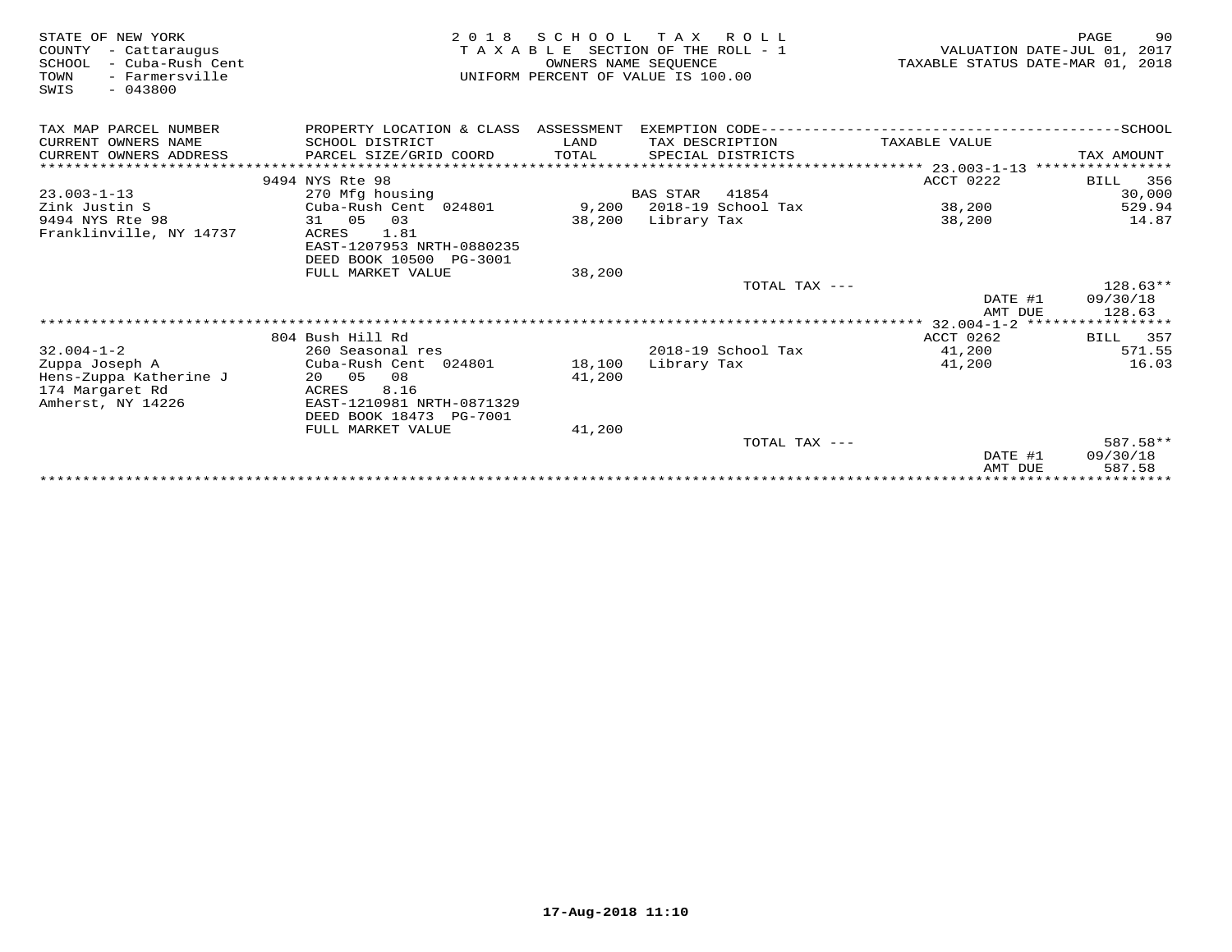| VALUATION DATE-JUL 01, 2017<br>TAXABLE STATUS DATE-MAR 01, 2018 |
|-----------------------------------------------------------------|
|                                                                 |
|                                                                 |
| TAX AMOUNT                                                      |
| ****************                                                |
| 356                                                             |
| 30,000                                                          |
| 529.94<br>14.87                                                 |
|                                                                 |
|                                                                 |
| $128.63**$                                                      |
| 09/30/18<br>128.63                                              |
|                                                                 |
| 357                                                             |
| 571.55                                                          |
| 16.03                                                           |
|                                                                 |
|                                                                 |
| 587.58**                                                        |
| 09/30/18<br>587.58                                              |
| BILL<br>BILL                                                    |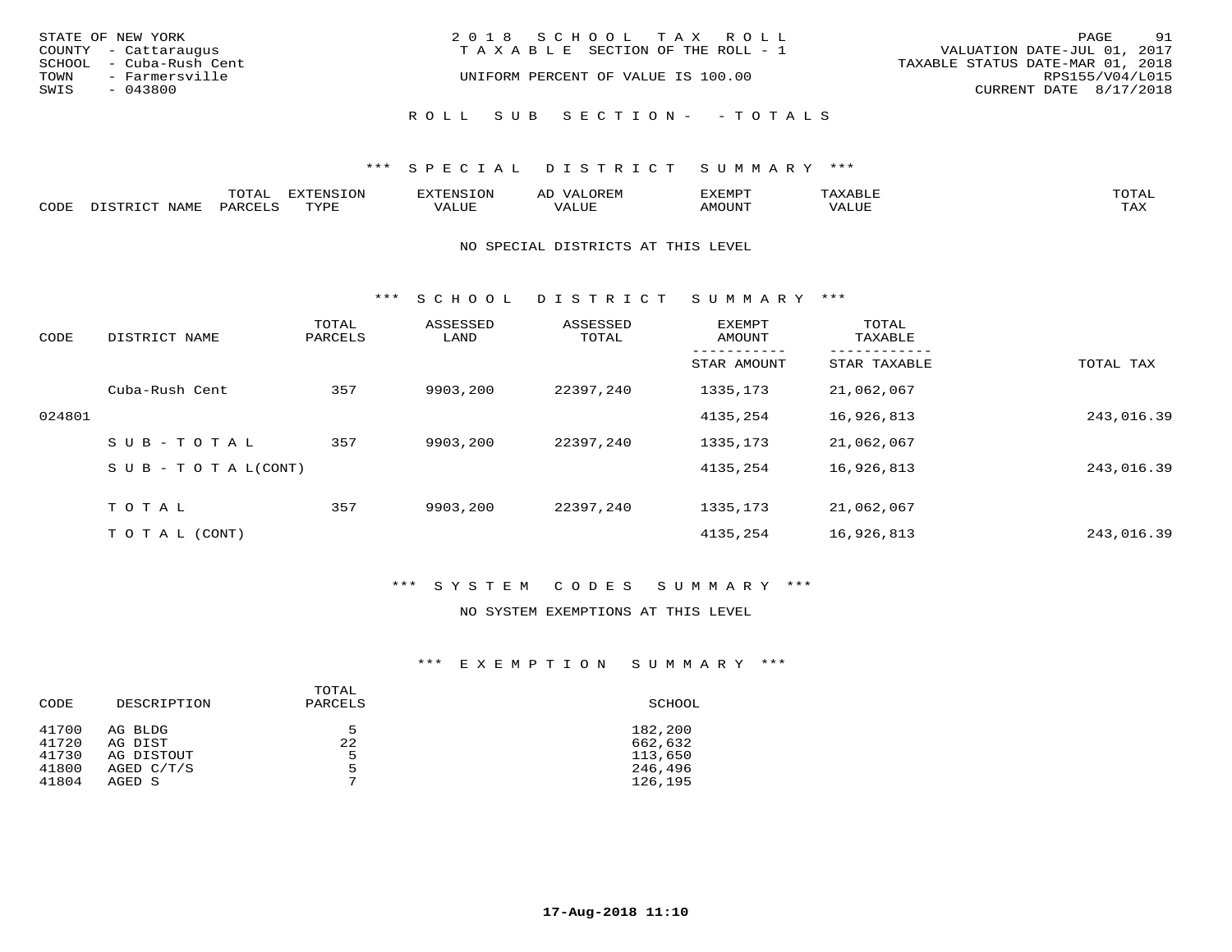|      | STATE OF NEW YORK       | 2018 SCHOOL TAX ROLL                                                 | PAGE                   | 91 |
|------|-------------------------|----------------------------------------------------------------------|------------------------|----|
|      | COUNTY - Cattaraugus    | VALUATION DATE-JUL 01, 2017<br>T A X A B L E SECTION OF THE ROLL - 1 |                        |    |
|      | SCHOOL - Cuba-Rush Cent | TAXABLE STATUS DATE-MAR 01, 2018                                     |                        |    |
| TOWN | - Farmersville          | UNIFORM PERCENT OF VALUE IS 100.00                                   | RPS155/V04/L015        |    |
| SWIS | $-043800$               |                                                                      | CURRENT DATE 8/17/2018 |    |
|      |                         | ROLL SUB SECTION- - TOTALS                                           |                        |    |

|      |                        | ጥ∩ጥአ<br>- UIAL | <b>DIZMONIC</b><br>ION | AD   | . ت س<br>⊐ויושב∠ |                                        |            |
|------|------------------------|----------------|------------------------|------|------------------|----------------------------------------|------------|
| CODE | <b>NTAMT</b><br>77 O L | PARO           | TVDF                   | ALUE | IMOUNT           | * * * * * * * *<br>$'$ ALUN $_{\rm L}$ | may<br>∸∽∸ |

### NO SPECIAL DISTRICTS AT THIS LEVEL

\*\*\* S C H O O L D I S T R I C T S U M M A R Y \*\*\*

| CODE   | DISTRICT NAME                    | TOTAL<br>PARCELS | ASSESSED<br>LAND | ASSESSED<br>TOTAL | <b>EXEMPT</b><br>AMOUNT | TOTAL<br>TAXABLE |            |
|--------|----------------------------------|------------------|------------------|-------------------|-------------------------|------------------|------------|
|        |                                  |                  |                  |                   | STAR AMOUNT             | STAR TAXABLE     | TOTAL TAX  |
|        | Cuba-Rush Cent                   | 357              | 9903,200         | 22397,240         | 1335,173                | 21,062,067       |            |
| 024801 |                                  |                  |                  |                   | 4135,254                | 16,926,813       | 243,016.39 |
|        | SUB-TOTAL                        | 357              | 9903,200         | 22397,240         | 1335,173                | 21,062,067       |            |
|        | $S \cup B - T \cup T A L (CONT)$ |                  |                  |                   | 4135,254                | 16,926,813       | 243,016.39 |
|        | TOTAL                            | 357              | 9903,200         | 22397,240         | 1335, 173               | 21,062,067       |            |
|        | T O T A L (CONT)                 |                  |                  |                   | 4135,254                | 16,926,813       | 243,016.39 |

## \*\*\* S Y S T E M C O D E S S U M M A R Y \*\*\*

#### NO SYSTEM EXEMPTIONS AT THIS LEVEL

## \*\*\* E X E M P T I O N S U M M A R Y \*\*\*

| CODE  | DESCRIPTION | TOTAL<br>PARCELS | SCHOOL  |
|-------|-------------|------------------|---------|
| 41700 | AG BLDG     | 5                | 182,200 |
| 41720 | AG DIST     | 22               | 662,632 |
| 41730 | AG DISTOUT  | 5                | 113,650 |
| 41800 | AGED C/T/S  | 5                | 246,496 |
| 41804 | AGED S      | $\overline{ }$   | 126,195 |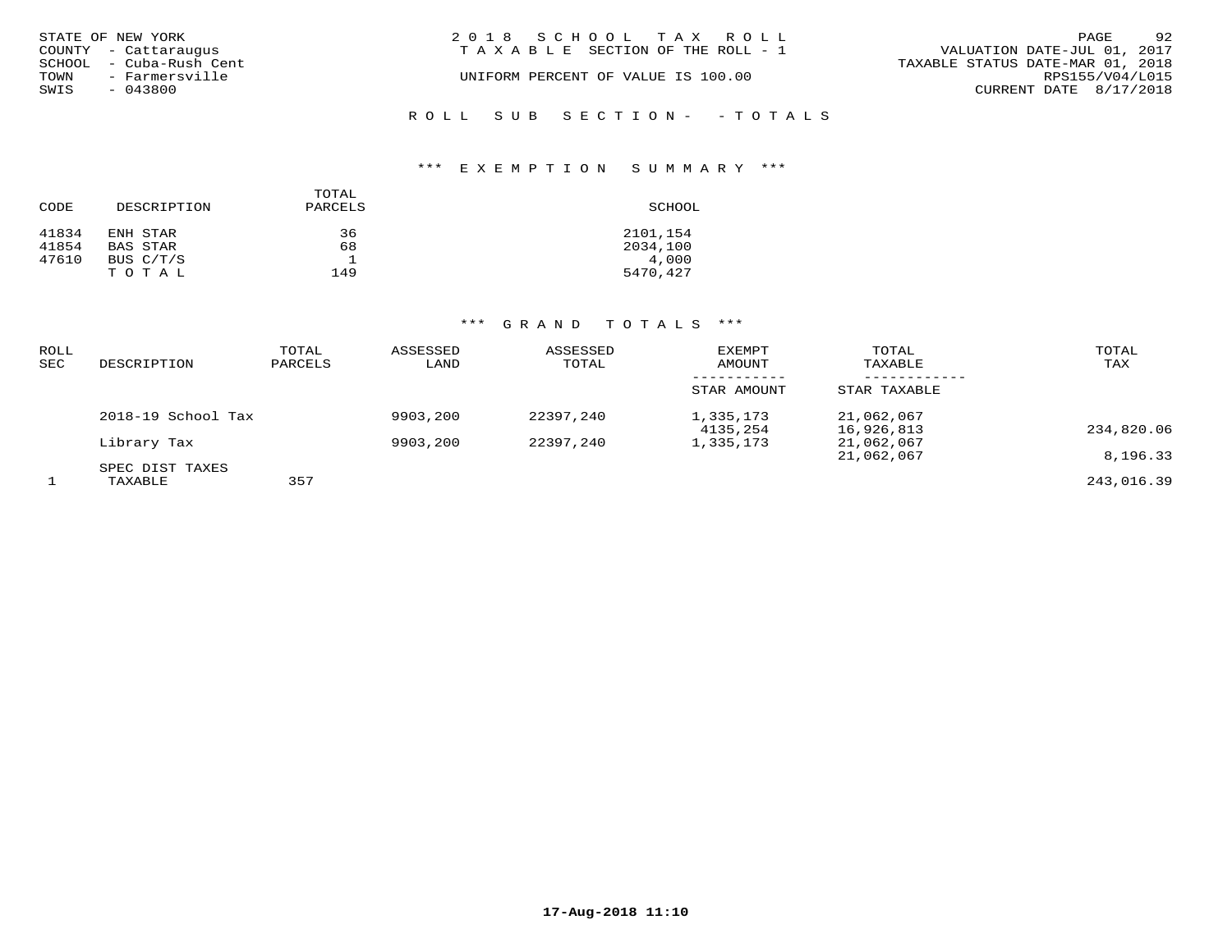|      | STATE OF NEW YORK       | 2018 SCHOOL TAX ROLL                                                 | PAGE                     | 92 |
|------|-------------------------|----------------------------------------------------------------------|--------------------------|----|
|      | COUNTY - Cattaraugus    | VALUATION DATE-JUL 01, 2017<br>T A X A B L E SECTION OF THE ROLL - 1 |                          |    |
|      | SCHOOL - Cuba-Rush Cent | TAXABLE STATUS DATE-MAR 01, 2018                                     |                          |    |
| TOWN | - Farmersville          | UNIFORM PERCENT OF VALUE IS 100.00                                   | RPS155/V04/L015          |    |
| SWIS | - 043800                |                                                                      | CURRENT DATE $8/17/2018$ |    |
|      |                         |                                                                      |                          |    |
|      |                         | ROLL SUB SECTION- - TOTALS                                           |                          |    |

# \*\*\* E X E M P T I O N S U M M A R Y \*\*\*

| CODE  | DESCRIPTION | TOTAL<br>PARCELS | SCHOOL   |
|-------|-------------|------------------|----------|
| 41834 | ENH STAR    | 36               | 2101,154 |
| 41854 | BAS STAR    | 68               | 2034,100 |
| 47610 | BUS C/T/S   |                  | 4,000    |
|       | TOTAL       | 149              | 5470,427 |

# \*\*\* G R A N D T O T A L S \*\*\*

| <b>ROLL</b><br>SEC | DESCRIPTION                | TOTAL<br>PARCELS | ASSESSED<br>LAND | ASSESSED<br>TOTAL | <b>EXEMPT</b><br>AMOUNT | TOTAL<br>TAXABLE         | TOTAL<br>TAX |
|--------------------|----------------------------|------------------|------------------|-------------------|-------------------------|--------------------------|--------------|
|                    |                            |                  |                  |                   | STAR AMOUNT             | STAR TAXABLE             |              |
|                    | 2018-19 School Tax         |                  | 9903,200         | 22397,240         | 1,335,173<br>4135,254   | 21,062,067<br>16,926,813 | 234,820.06   |
|                    | Library Tax                |                  | 9903,200         | 22397,240         | 1,335,173               | 21,062,067<br>21,062,067 | 8,196.33     |
|                    | SPEC DIST TAXES<br>TAXABLE | 357              |                  |                   |                         |                          | 243,016.39   |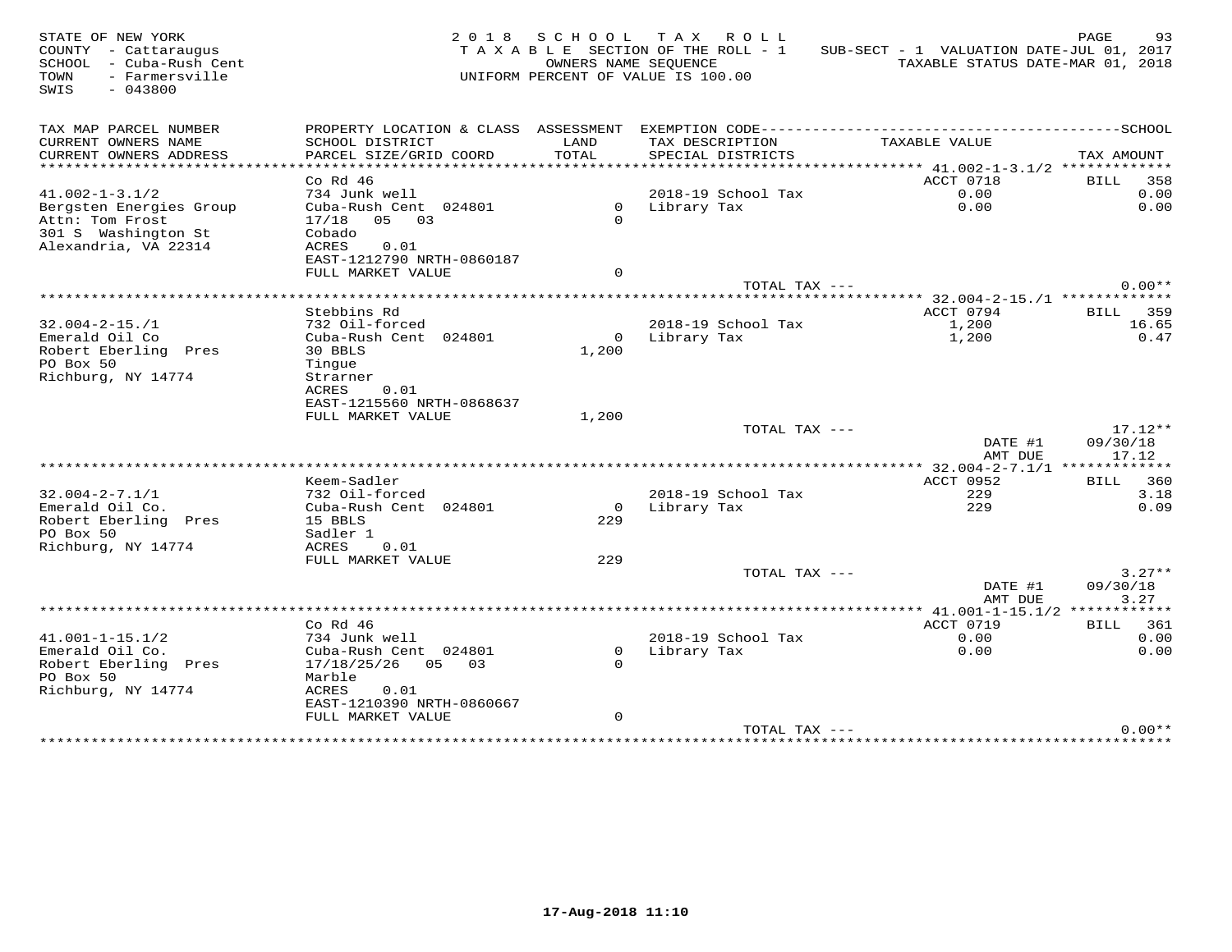| STATE OF NEW YORK<br>COUNTY - Cattaraugus<br>SCHOOL - Cuba-Rush Cent<br>TOWN<br>- Farmersville<br>SWIS<br>$-043800$ | 2 0 1 8                                        |             | SCHOOL TAX ROLL<br>TAXABLE SECTION OF THE ROLL - 1<br>OWNERS NAME SEQUENCE<br>UNIFORM PERCENT OF VALUE IS 100.00 | SUB-SECT - 1 VALUATION DATE-JUL 01, 2017<br>TAXABLE STATUS DATE-MAR 01, 2018                 | PAGE<br>93               |
|---------------------------------------------------------------------------------------------------------------------|------------------------------------------------|-------------|------------------------------------------------------------------------------------------------------------------|----------------------------------------------------------------------------------------------|--------------------------|
| TAX MAP PARCEL NUMBER                                                                                               |                                                |             |                                                                                                                  | PROPERTY LOCATION & CLASS ASSESSMENT EXEMPTION CODE-----------------------------------SCHOOL |                          |
| CURRENT OWNERS NAME                                                                                                 | SCHOOL DISTRICT                                | LAND        | TAX DESCRIPTION                                                                                                  | TAXABLE VALUE                                                                                |                          |
| CURRENT OWNERS ADDRESS                                                                                              | PARCEL SIZE/GRID COORD                         | TOTAL       | SPECIAL DISTRICTS                                                                                                |                                                                                              | TAX AMOUNT               |
| **********************                                                                                              |                                                |             |                                                                                                                  |                                                                                              |                          |
| $41.002 - 1 - 3.1/2$                                                                                                | $Co$ Rd $46$<br>734 Junk well                  |             | 2018-19 School Tax                                                                                               | ACCT 0718<br>0.00                                                                            | BILL 358<br>0.00         |
| Bergsten Energies Group                                                                                             | Cuba-Rush Cent 024801                          |             | 0 Library Tax                                                                                                    | 0.00                                                                                         | 0.00                     |
| Attn: Tom Frost                                                                                                     | 17/18 05 03                                    | $\Omega$    |                                                                                                                  |                                                                                              |                          |
| 301 S Washington St                                                                                                 | Cobado                                         |             |                                                                                                                  |                                                                                              |                          |
| Alexandria, VA 22314                                                                                                | ACRES<br>0.01                                  |             |                                                                                                                  |                                                                                              |                          |
|                                                                                                                     | EAST-1212790 NRTH-0860187                      |             |                                                                                                                  |                                                                                              |                          |
|                                                                                                                     | FULL MARKET VALUE                              | $\Omega$    |                                                                                                                  |                                                                                              |                          |
|                                                                                                                     |                                                |             | TOTAL TAX ---                                                                                                    |                                                                                              | $0.00**$                 |
|                                                                                                                     |                                                |             |                                                                                                                  |                                                                                              |                          |
| $32.004 - 2 - 15. / 1$                                                                                              | Stebbins Rd<br>732 Oil-forced                  |             | 2018-19 School Tax                                                                                               | ACCT 0794<br>1,200                                                                           | <b>BILL</b> 359<br>16.65 |
| Emerald Oil Co                                                                                                      | Cuba-Rush Cent 024801                          |             | 0 Library Tax                                                                                                    | 1,200                                                                                        | 0.47                     |
| Robert Eberling Pres                                                                                                | 30 BBLS                                        | 1,200       |                                                                                                                  |                                                                                              |                          |
| PO Box 50                                                                                                           | Tinque                                         |             |                                                                                                                  |                                                                                              |                          |
| Richburg, NY 14774                                                                                                  | Strarner                                       |             |                                                                                                                  |                                                                                              |                          |
|                                                                                                                     | ACRES<br>0.01                                  |             |                                                                                                                  |                                                                                              |                          |
|                                                                                                                     | EAST-1215560 NRTH-0868637                      |             |                                                                                                                  |                                                                                              |                          |
|                                                                                                                     | FULL MARKET VALUE                              | 1,200       |                                                                                                                  |                                                                                              |                          |
|                                                                                                                     |                                                |             | TOTAL TAX ---                                                                                                    |                                                                                              | $17.12**$                |
|                                                                                                                     |                                                |             |                                                                                                                  | DATE #1<br>AMT DUE                                                                           | 09/30/18<br>17.12        |
|                                                                                                                     |                                                |             |                                                                                                                  |                                                                                              |                          |
|                                                                                                                     | Keem-Sadler                                    |             |                                                                                                                  | ACCT 0952                                                                                    | BILL 360                 |
| $32.004 - 2 - 7.1/1$                                                                                                | 732 Oil-forced                                 |             | 2018-19 School Tax                                                                                               | 229                                                                                          | 3.18                     |
| Emerald Oil Co.                                                                                                     | Cuba-Rush Cent 024801                          | $\Omega$    | Library Tax                                                                                                      | 229                                                                                          | 0.09                     |
| Robert Eberling Pres                                                                                                | 15 BBLS                                        | 229         |                                                                                                                  |                                                                                              |                          |
| PO Box 50                                                                                                           | Sadler 1                                       |             |                                                                                                                  |                                                                                              |                          |
| Richburg, NY 14774                                                                                                  | ACRES<br>0.01                                  |             |                                                                                                                  |                                                                                              |                          |
|                                                                                                                     | FULL MARKET VALUE                              | 229         |                                                                                                                  |                                                                                              |                          |
|                                                                                                                     |                                                |             | TOTAL TAX ---                                                                                                    | DATE #1                                                                                      | $3.27**$<br>09/30/18     |
|                                                                                                                     |                                                |             |                                                                                                                  | AMT DUE                                                                                      | 3.27                     |
|                                                                                                                     |                                                |             |                                                                                                                  |                                                                                              |                          |
|                                                                                                                     | $Co$ Rd $46$                                   |             |                                                                                                                  | ACCT 0719                                                                                    | BILL 361                 |
| $41.001 - 1 - 15.1/2$                                                                                               | 734 Junk well                                  |             | 2018-19 School Tax                                                                                               | 0.00                                                                                         | 0.00                     |
| Emerald Oil Co.                                                                                                     | Cuba-Rush Cent 024801                          | $\circ$     | Library Tax                                                                                                      | 0.00                                                                                         | 0.00                     |
| Robert Eberling Pres                                                                                                | 17/18/25/26 05 03                              | $\Omega$    |                                                                                                                  |                                                                                              |                          |
| PO Box 50                                                                                                           | Marble                                         |             |                                                                                                                  |                                                                                              |                          |
| Richburg, NY 14774                                                                                                  | ACRES<br>0.01                                  |             |                                                                                                                  |                                                                                              |                          |
|                                                                                                                     | EAST-1210390 NRTH-0860667<br>FULL MARKET VALUE | $\mathbf 0$ |                                                                                                                  |                                                                                              |                          |
|                                                                                                                     |                                                |             | TOTAL TAX ---                                                                                                    |                                                                                              | $0.00**$                 |
|                                                                                                                     |                                                |             |                                                                                                                  |                                                                                              |                          |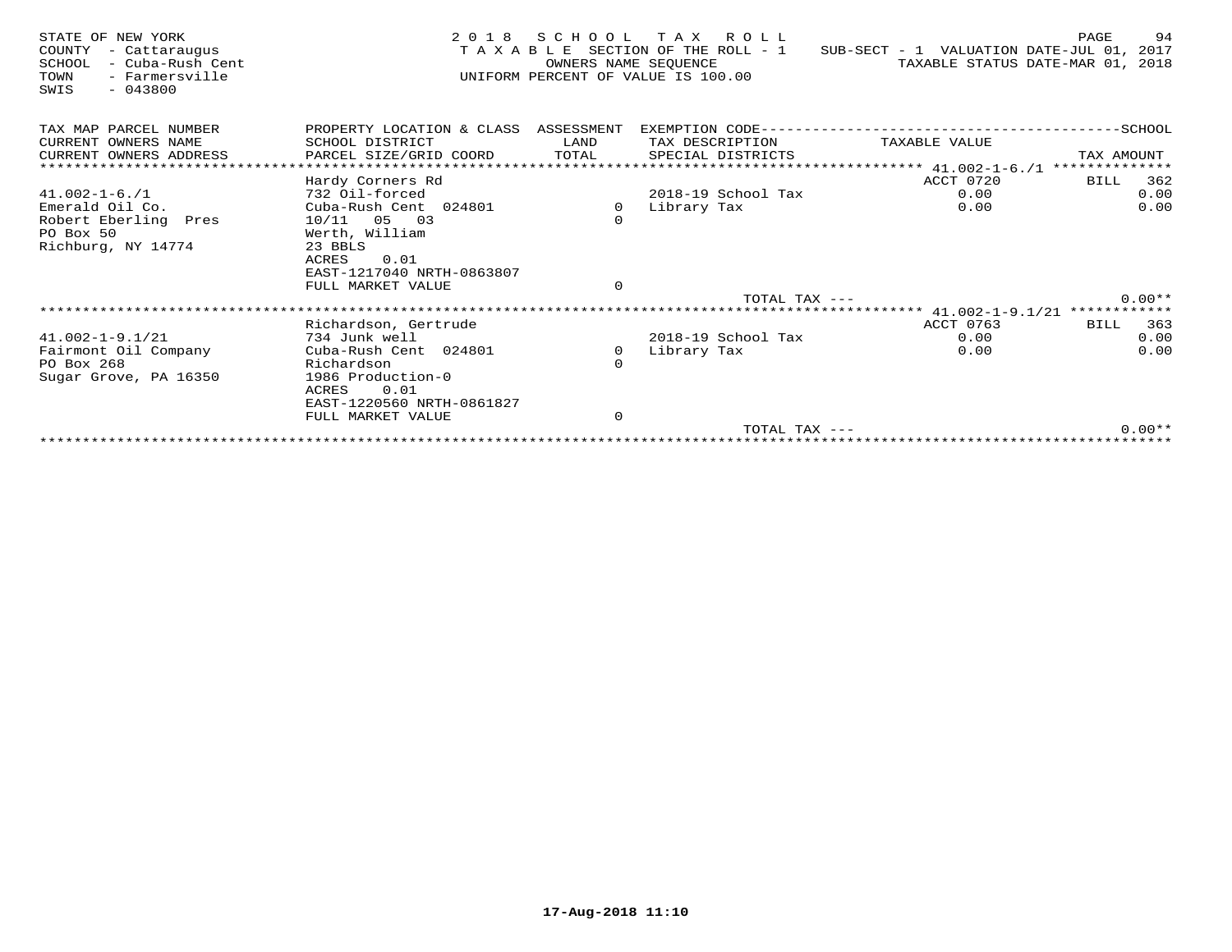| STATE OF NEW YORK<br>COUNTY<br>- Cattaraugus<br>SCHOOL<br>- Cuba-Rush Cent<br>TOWN<br>- Farmersville<br>$-043800$<br>SWIS | 2 0 1 8                              | SCHOOL<br>OWNERS NAME SEOUENCE | TAX ROLL<br>TAXABLE SECTION OF THE ROLL - 1<br>UNIFORM PERCENT OF VALUE IS 100.00 | SUB-SECT - 1 VALUATION DATE-JUL 01, 2017 | 94<br>PAGE<br>TAXABLE STATUS DATE-MAR 01, 2018 |
|---------------------------------------------------------------------------------------------------------------------------|--------------------------------------|--------------------------------|-----------------------------------------------------------------------------------|------------------------------------------|------------------------------------------------|
| TAX MAP PARCEL NUMBER                                                                                                     | PROPERTY LOCATION & CLASS ASSESSMENT |                                |                                                                                   |                                          |                                                |
| CURRENT OWNERS NAME                                                                                                       | SCHOOL DISTRICT                      | LAND                           | TAX DESCRIPTION                                                                   | TAXABLE VALUE                            |                                                |
| CURRENT OWNERS ADDRESS                                                                                                    | PARCEL SIZE/GRID COORD               | TOTAL                          | SPECIAL DISTRICTS                                                                 |                                          | TAX AMOUNT                                     |
| **************************                                                                                                |                                      |                                |                                                                                   |                                          | **************                                 |
|                                                                                                                           | Hardy Corners Rd                     |                                |                                                                                   | ACCT 0720                                | 362<br>BILL                                    |
| $41.002 - 1 - 6.71$                                                                                                       | 732 Oil-forced                       |                                | 2018-19 School Tax                                                                | 0.00                                     | 0.00                                           |
| Emerald Oil Co.                                                                                                           | Cuba-Rush Cent 024801                | $\circ$                        | Library Tax                                                                       | 0.00                                     | 0.00                                           |
| Robert Eberling Pres<br>PO Box 50                                                                                         | $10/11$ 05 03<br>Werth, William      | $\circ$                        |                                                                                   |                                          |                                                |
| Richburg, NY 14774                                                                                                        | 23 BBLS                              |                                |                                                                                   |                                          |                                                |
|                                                                                                                           | ACRES<br>0.01                        |                                |                                                                                   |                                          |                                                |
|                                                                                                                           | EAST-1217040 NRTH-0863807            |                                |                                                                                   |                                          |                                                |
|                                                                                                                           | FULL MARKET VALUE                    | $\mathbf 0$                    |                                                                                   |                                          |                                                |
|                                                                                                                           |                                      |                                | TOTAL TAX $---$                                                                   |                                          | $0.00**$                                       |
|                                                                                                                           |                                      |                                |                                                                                   | ********* 41.002-1-9.1/21 ************   |                                                |
|                                                                                                                           | Richardson, Gertrude                 |                                |                                                                                   | ACCT 0763                                | 363<br>BILL                                    |
| $41.002 - 1 - 9.1/21$                                                                                                     | 734 Junk well                        |                                | 2018-19 School Tax                                                                | 0.00                                     | 0.00                                           |
| Fairmont Oil Company                                                                                                      | Cuba-Rush Cent 024801                | $\Omega$                       | Library Tax                                                                       | 0.00                                     | 0.00                                           |
| PO Box 268                                                                                                                | Richardson<br>1986 Production-0      | $\Omega$                       |                                                                                   |                                          |                                                |
| Sugar Grove, PA 16350                                                                                                     | <b>ACRES</b><br>0.01                 |                                |                                                                                   |                                          |                                                |
|                                                                                                                           | EAST-1220560 NRTH-0861827            |                                |                                                                                   |                                          |                                                |
|                                                                                                                           | FULL MARKET VALUE                    | $\mathbf 0$                    |                                                                                   |                                          |                                                |
|                                                                                                                           |                                      |                                | TOTAL TAX ---                                                                     |                                          | $0.00**$                                       |
|                                                                                                                           |                                      |                                |                                                                                   |                                          |                                                |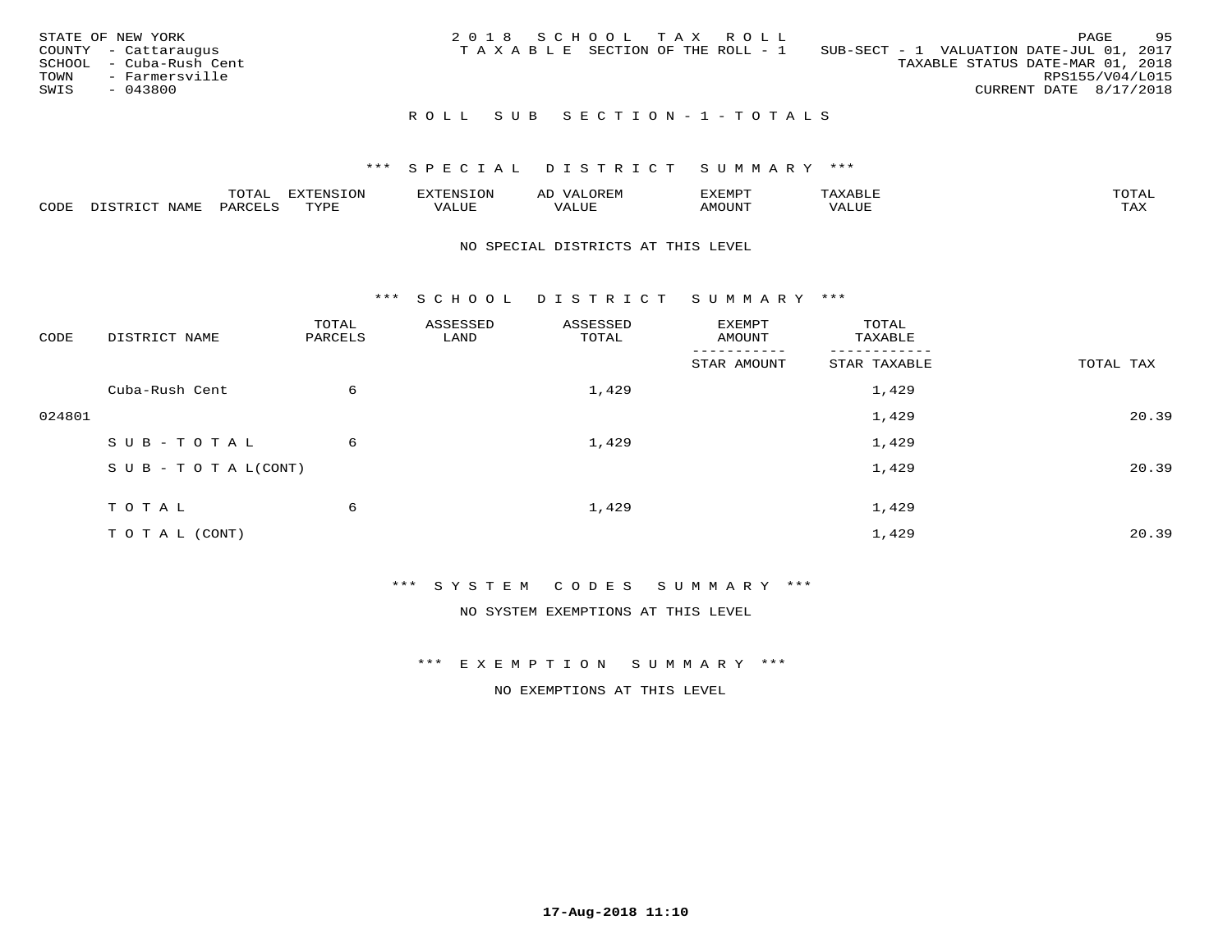| STATE OF NEW YORK<br>COUNTY - Cattaraugus<br>SCHOOL - Cuba-Rush Cent<br>TOWN<br>- Farmersville<br>SWIS<br>- 043800 | 2018 SCHOOL TAX ROLL<br>SUB-SECT - 1 VALUATION DATE-JUL 01, 2017<br>T A X A B L E SECTION OF THE ROLL - 1 | PAGE<br>TAXABLE STATUS DATE-MAR 01, 2018<br>RPS155/V04/L015<br>CURRENT DATE 8/17/2018 | - 95 |
|--------------------------------------------------------------------------------------------------------------------|-----------------------------------------------------------------------------------------------------------|---------------------------------------------------------------------------------------|------|
|                                                                                                                    | ROLL SUB SECTION-1-TOTALS                                                                                 |                                                                                       |      |

|      |                                 | $m \wedge m$<br>- UTAL· |           | . JN<br>ה עדי                     | AL               | דים אים <i>צ</i> ים |                 | $m \wedge m \wedge n$ |
|------|---------------------------------|-------------------------|-----------|-----------------------------------|------------------|---------------------|-----------------|-----------------------|
| CODE | <b>NAME</b><br>$T \cap T$<br>…ப | PARCET                  | TVDL<br>. | , <del>,</del> , , , , ,<br>'ALUE | $\cdots$<br>ALUE | MOUN.               | $= 7777$<br>⊐∪r | TAX                   |

### NO SPECIAL DISTRICTS AT THIS LEVEL

\*\*\* S C H O O L D I S T R I C T S U M M A R Y \*\*\*

| CODE   | DISTRICT NAME                    | TOTAL<br>PARCELS | ASSESSED<br>LAND | ASSESSED<br>TOTAL | EXEMPT<br>AMOUNT       | TOTAL<br>TAXABLE |           |
|--------|----------------------------------|------------------|------------------|-------------------|------------------------|------------------|-----------|
|        |                                  |                  |                  |                   | -------<br>STAR AMOUNT | STAR TAXABLE     | TOTAL TAX |
|        | Cuba-Rush Cent                   | 6                |                  | 1,429             |                        | 1,429            |           |
| 024801 |                                  |                  |                  |                   |                        | 1,429            | 20.39     |
|        | SUB-TOTAL                        | 6                |                  | 1,429             |                        | 1,429            |           |
|        | $S \cup B - T \cup T A L (CONT)$ |                  |                  |                   |                        | 1,429            | 20.39     |
|        | TOTAL                            | 6                |                  | 1,429             |                        | 1,429            |           |
|        | T O T A L (CONT)                 |                  |                  |                   |                        | 1,429            | 20.39     |

\*\*\* S Y S T E M C O D E S S U M M A R Y \*\*\*

NO SYSTEM EXEMPTIONS AT THIS LEVEL

\*\*\* E X E M P T I O N S U M M A R Y \*\*\*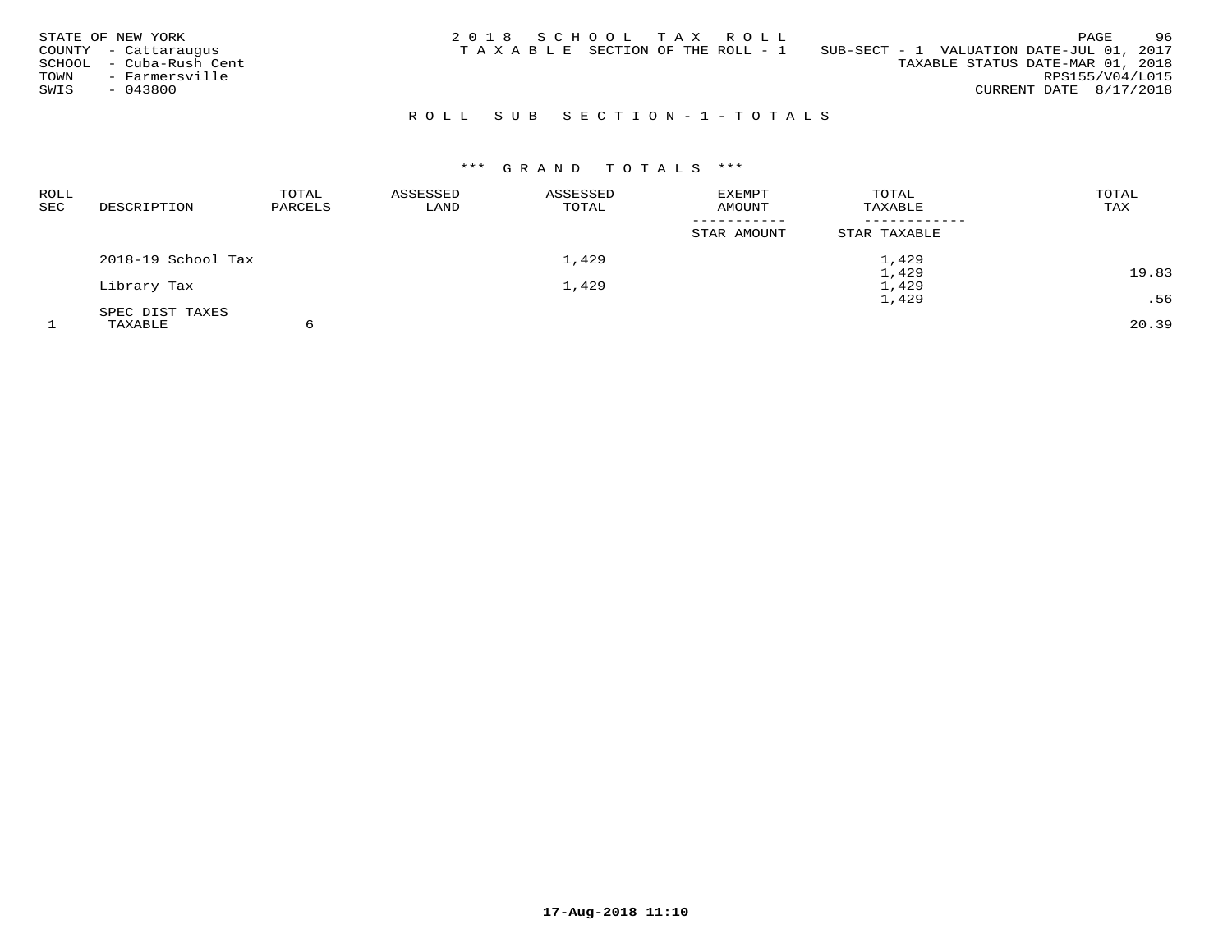| STATE OF NEW YORK<br>COUNTY - Cattaraugus<br>- Cuba-Rush Cent<br>SCHOOL<br>- Farmersville<br>TOWN<br>SWIS<br>$-043800$ | 2018 SCHOOL TAX ROLL<br>TAXABLE SECTION OF THE ROLL - 1 | 96<br>PAGE<br>SUB-SECT - 1 VALUATION DATE-JUL 01, 2017<br>TAXABLE STATUS DATE-MAR 01, 2018<br>RPS155/V04/L015<br>CURRENT DATE 8/17/2018 |
|------------------------------------------------------------------------------------------------------------------------|---------------------------------------------------------|-----------------------------------------------------------------------------------------------------------------------------------------|
|                                                                                                                        | ROLL SUB SECTION-1-TOTALS                               |                                                                                                                                         |

# \*\*\* G R A N D T O T A L S \*\*\*

| <b>ROLL</b><br><b>SEC</b> | DESCRIPTION        | TOTAL<br>PARCELS | ASSESSED<br>LAND | ASSESSED<br>TOTAL | <b>EXEMPT</b><br>AMOUNT | TOTAL<br>TAXABLE | TOTAL<br>TAX |
|---------------------------|--------------------|------------------|------------------|-------------------|-------------------------|------------------|--------------|
|                           |                    |                  |                  |                   | STAR AMOUNT             | STAR TAXABLE     |              |
|                           | 2018-19 School Tax |                  |                  | 1,429             |                         | 1,429            |              |
|                           |                    |                  |                  |                   |                         | 1,429            | 19.83        |
|                           | Library Tax        |                  |                  | 1,429             |                         | 1,429            |              |
|                           |                    |                  |                  |                   |                         | 1,429            | .56          |
|                           | SPEC DIST TAXES    |                  |                  |                   |                         |                  |              |
|                           | TAXABLE            | 6                |                  |                   |                         |                  | 20.39        |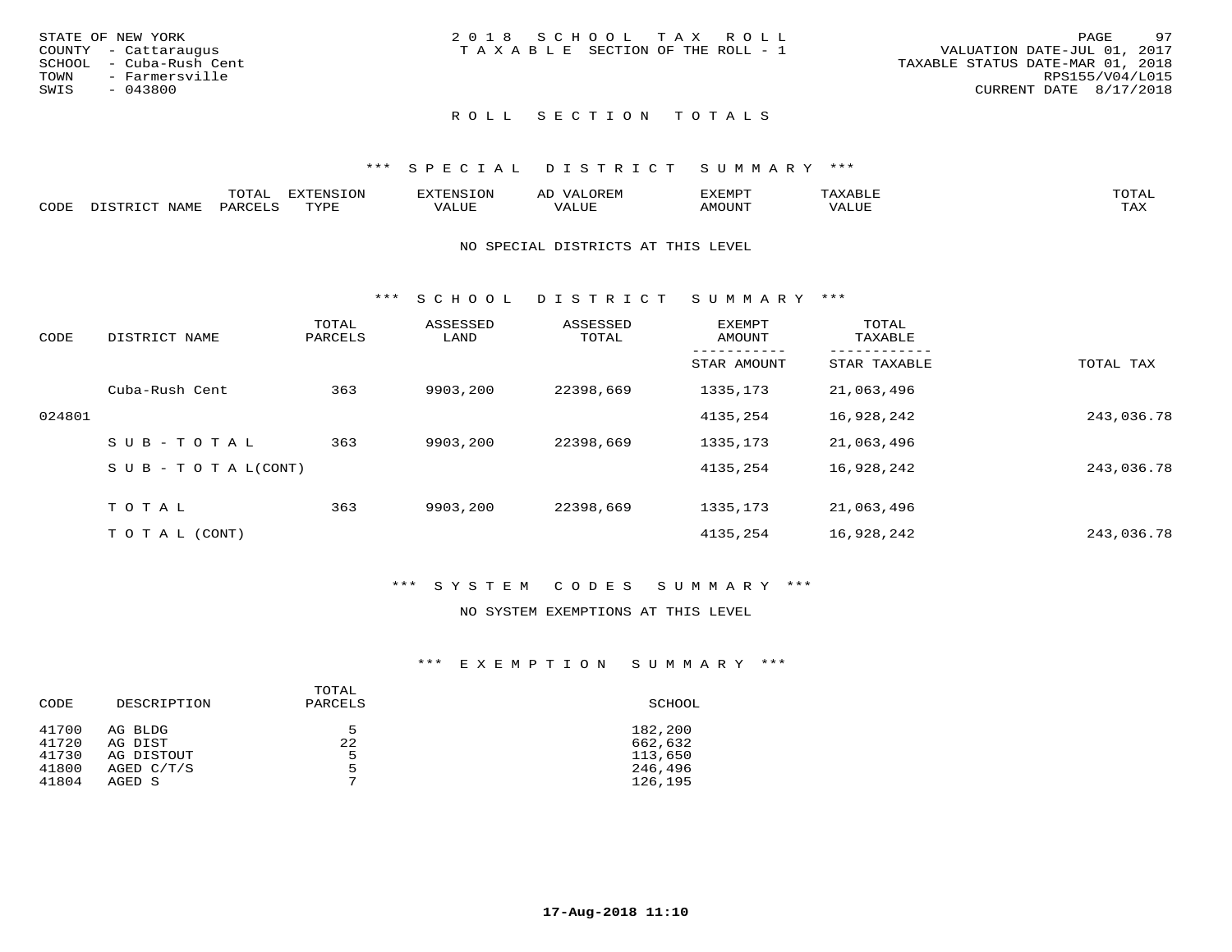| STATE OF NEW YORK       | 2018 SCHOOL TAX ROLL            | 97<br>PAGE                       |
|-------------------------|---------------------------------|----------------------------------|
| COUNTY - Cattaraugus    | TAXABLE SECTION OF THE ROLL - 1 | VALUATION DATE-JUL 01, 2017      |
| SCHOOL - Cuba-Rush Cent |                                 | TAXABLE STATUS DATE-MAR 01, 2018 |
| TOWN<br>- Farmersville  |                                 | RPS155/V04/L015                  |
| SWIS<br>- 043800        |                                 | CURRENT DATE 8/17/2018           |
|                         |                                 |                                  |

# ROLL SECTION TOTALS

## \*\*\* S P E C I A L D I S T R I C T S U M M A R Y \*\*\*

|      |             | ™∩™™<br>UIAL | <b>EXTENSION</b> | XTENSION: | ∼~    | SXEMPT | $A$ ABLE.<br>∸ | $m \wedge m \wedge r$<br>UTAI |
|------|-------------|--------------|------------------|-----------|-------|--------|----------------|-------------------------------|
| CODE | <b>NAME</b> | PARCELS      | ™VDF             | VALUE     | VALUE | AMOUNT | VALUE          | TA Y<br>⊥ ∠~∡∡                |

### NO SPECIAL DISTRICTS AT THIS LEVEL

\*\*\* S C H O O L D I S T R I C T S U M M A R Y \*\*\*

| CODE   | DISTRICT NAME                    | TOTAL<br>PARCELS | ASSESSED<br>LAND | ASSESSED<br>TOTAL | EXEMPT<br>AMOUNT | TOTAL<br>TAXABLE |            |
|--------|----------------------------------|------------------|------------------|-------------------|------------------|------------------|------------|
|        |                                  |                  |                  |                   | STAR AMOUNT      | STAR TAXABLE     | TOTAL TAX  |
|        | Cuba-Rush Cent                   | 363              | 9903,200         | 22398,669         | 1335,173         | 21,063,496       |            |
| 024801 |                                  |                  |                  |                   | 4135,254         | 16,928,242       | 243,036.78 |
|        | SUB-TOTAL                        | 363              | 9903,200         | 22398,669         | 1335,173         | 21,063,496       |            |
|        | $S \cup B - T \cup T A L (CONT)$ |                  |                  |                   | 4135,254         | 16,928,242       | 243,036.78 |
|        | T O T A L                        | 363              | 9903,200         | 22398,669         | 1335,173         | 21,063,496       |            |
|        | T O T A L (CONT)                 |                  |                  |                   | 4135,254         | 16,928,242       | 243,036.78 |

## \*\*\* S Y S T E M C O D E S S U M M A R Y \*\*\*

## NO SYSTEM EXEMPTIONS AT THIS LEVEL

## \*\*\* E X E M P T I O N S U M M A R Y \*\*\*

| CODE  | DESCRIPTION | TOTAL<br>PARCELS | SCHOOL  |
|-------|-------------|------------------|---------|
| 41700 | AG BLDG     | 5                | 182,200 |
| 41720 | AG DIST     | 22               | 662,632 |
| 41730 | AG DISTOUT  | 5                | 113,650 |
| 41800 | AGED C/T/S  | 5                | 246,496 |
| 41804 | AGED S      | $\overline{ }$   | 126,195 |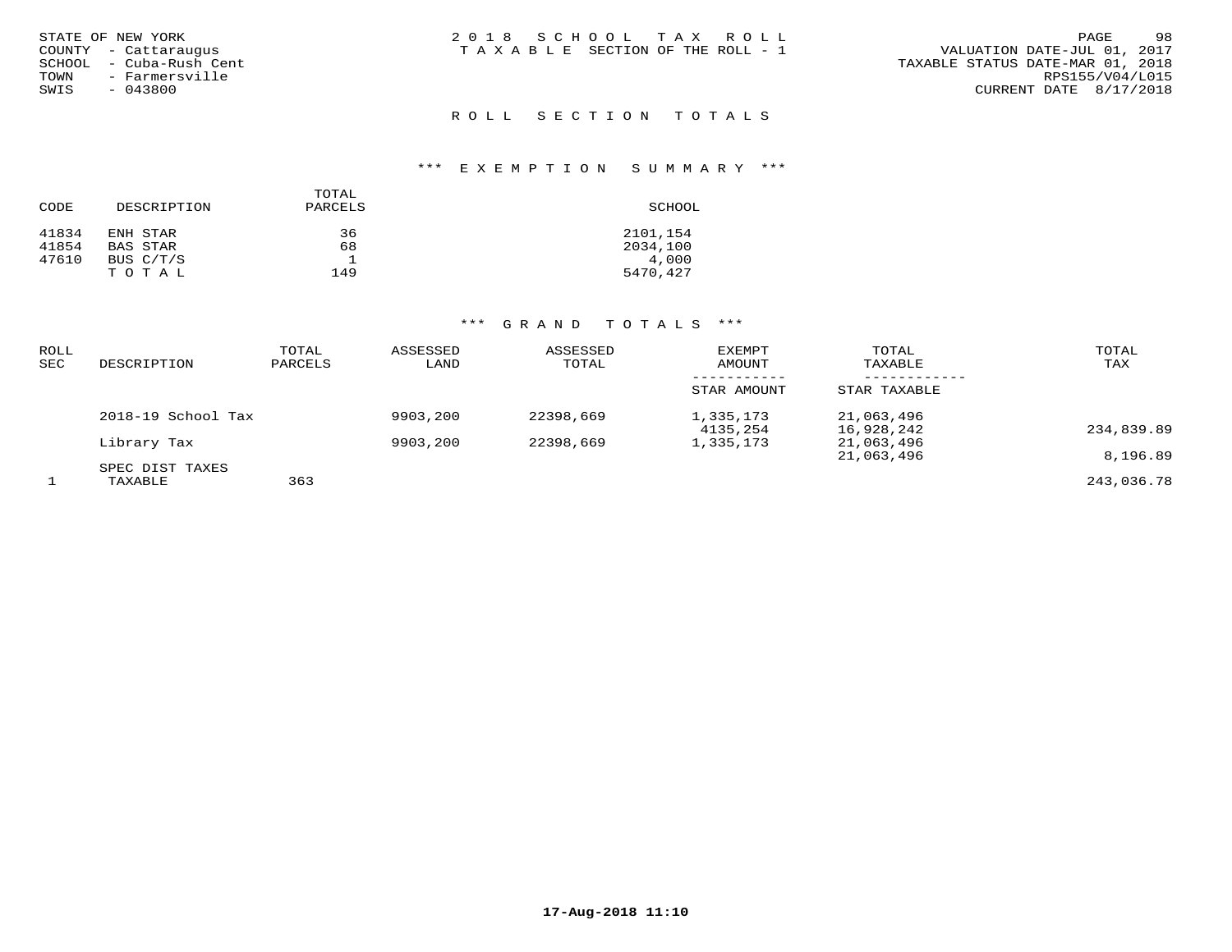|        | STATE OF NEW YORK    |  |
|--------|----------------------|--|
|        | COUNTY - Cattarauqus |  |
| SCHOOL | – Cuba-Rush Cent     |  |
| TOWN   | - Farmersville       |  |
| SWIS   | $-043800$            |  |
|        |                      |  |

## ROLL SECTION TOTALS

#### \*\*\* E X E M P T I O N S U M M A R Y \*\*\*

|       |             | TOTAL   |          |
|-------|-------------|---------|----------|
| CODE  | DESCRIPTION | PARCELS | SCHOOL   |
| 41834 | ENH STAR    | 36      | 2101,154 |
| 41854 | BAS STAR    | 68      | 2034,100 |
| 47610 | BUS C/T/S   |         | 4,000    |
|       | TOTAL       | 149     | 5470,427 |

## \*\*\* G R A N D T O T A L S \*\*\*

| ROLL<br>SEC | DESCRIPTION                | TOTAL<br>PARCELS | ASSESSED<br>LAND | ASSESSED<br>TOTAL | <b>EXEMPT</b><br>AMOUNT | TOTAL<br>TAXABLE         | TOTAL<br>TAX |
|-------------|----------------------------|------------------|------------------|-------------------|-------------------------|--------------------------|--------------|
|             |                            |                  |                  |                   | STAR AMOUNT             | STAR TAXABLE             |              |
|             | 2018-19 School Tax         |                  | 9903,200         | 22398,669         | 1,335,173<br>4135,254   | 21,063,496<br>16,928,242 | 234,839.89   |
|             | Library Tax                |                  | 9903,200         | 22398,669         | 1,335,173               | 21,063,496<br>21,063,496 | 8,196.89     |
|             | SPEC DIST TAXES<br>TAXABLE | 363              |                  |                   |                         |                          | 243,036.78   |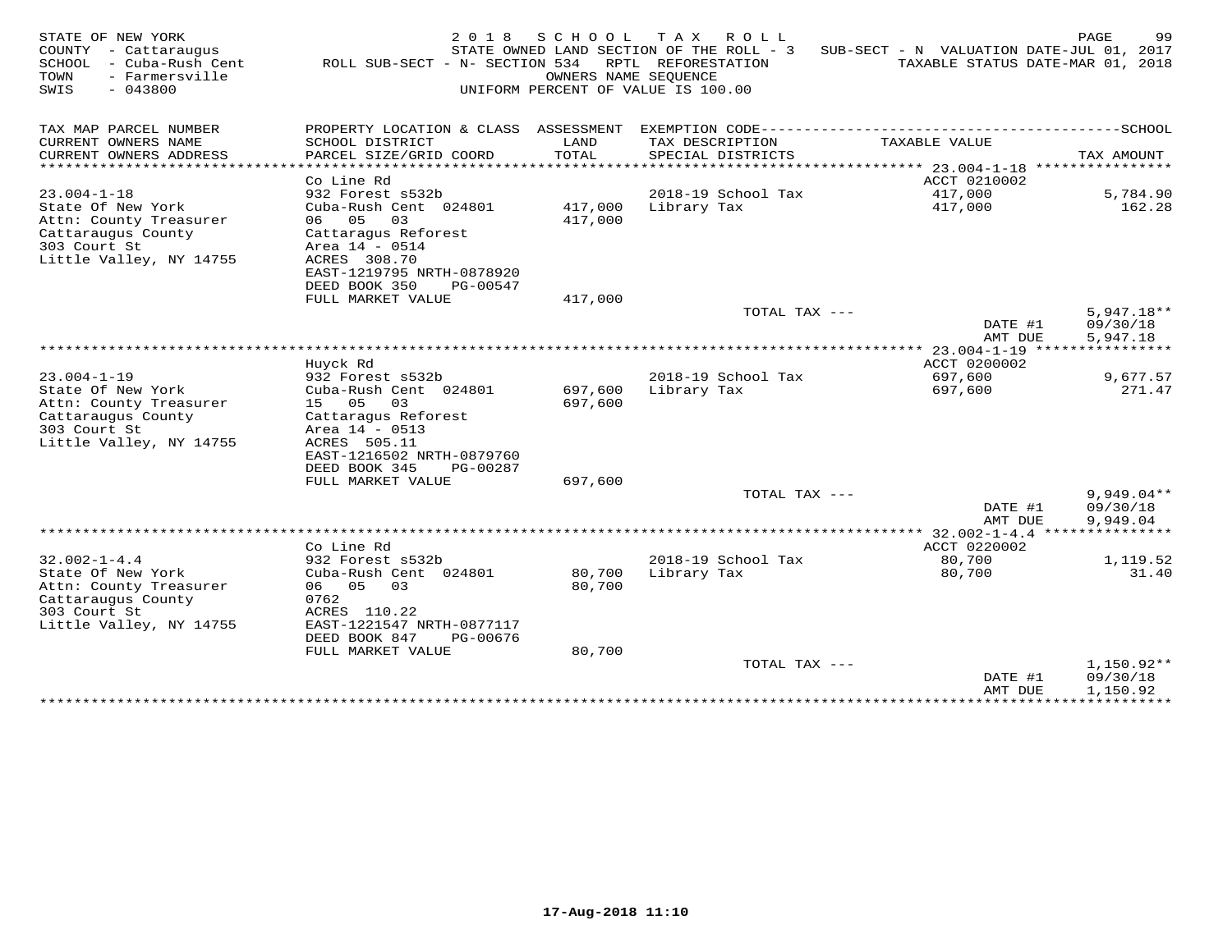| STATE OF NEW YORK<br>COUNTY - Cattaraugus<br>SCHOOL<br>- Cuba-Rush Cent<br>TOWN<br>- Farmersville<br>$-043800$<br>SWIS | 2018<br>ROLL SUB-SECT - N- SECTION 534         | SCHOOL<br>OWNERS NAME SEOUENCE | T A X<br>R O L L<br>STATE OWNED LAND SECTION OF THE ROLL - 3<br>RPTL REFORESTATION<br>UNIFORM PERCENT OF VALUE IS 100.00 | SUB-SECT - N VALUATION DATE-JUL 01, 2017<br>TAXABLE STATUS DATE-MAR 01, 2018 | PAGE<br>99                     |
|------------------------------------------------------------------------------------------------------------------------|------------------------------------------------|--------------------------------|--------------------------------------------------------------------------------------------------------------------------|------------------------------------------------------------------------------|--------------------------------|
| TAX MAP PARCEL NUMBER                                                                                                  | PROPERTY LOCATION & CLASS ASSESSMENT           |                                | EXEMPTION CODE------------                                                                                               |                                                                              | ----------SCHOOL               |
| CURRENT OWNERS NAME                                                                                                    | SCHOOL DISTRICT                                | LAND                           | TAX DESCRIPTION                                                                                                          | TAXABLE VALUE                                                                |                                |
| CURRENT OWNERS ADDRESS<br>********************                                                                         | PARCEL SIZE/GRID COORD                         | TOTAL                          | SPECIAL DISTRICTS                                                                                                        |                                                                              | TAX AMOUNT<br>**************** |
|                                                                                                                        | Co Line Rd                                     |                                |                                                                                                                          | ACCT 0210002                                                                 |                                |
| $23.004 - 1 - 18$                                                                                                      | 932 Forest s532b                               |                                | 2018-19 School Tax                                                                                                       | 417,000                                                                      | 5,784.90                       |
| State Of New York                                                                                                      | Cuba-Rush Cent 024801                          | 417,000                        | Library Tax                                                                                                              | 417,000                                                                      | 162.28                         |
| Attn: County Treasurer                                                                                                 | 05<br>06<br>03                                 | 417,000                        |                                                                                                                          |                                                                              |                                |
| Cattaraugus County<br>303 Court St                                                                                     | Cattaragus Reforest<br>Area 14 - 0514          |                                |                                                                                                                          |                                                                              |                                |
| Little Valley, NY 14755                                                                                                | ACRES 308.70                                   |                                |                                                                                                                          |                                                                              |                                |
|                                                                                                                        | EAST-1219795 NRTH-0878920                      |                                |                                                                                                                          |                                                                              |                                |
|                                                                                                                        | DEED BOOK 350<br>PG-00547                      |                                |                                                                                                                          |                                                                              |                                |
|                                                                                                                        | FULL MARKET VALUE                              | 417,000                        |                                                                                                                          |                                                                              |                                |
|                                                                                                                        |                                                |                                | TOTAL TAX ---                                                                                                            | DATE #1                                                                      | $5,947.18**$<br>09/30/18       |
|                                                                                                                        |                                                |                                |                                                                                                                          | AMT DUE                                                                      | 5,947.18                       |
|                                                                                                                        |                                                |                                |                                                                                                                          | *** 23.004-1-19                                                              |                                |
|                                                                                                                        | Huyck Rd                                       |                                |                                                                                                                          | ACCT 0200002                                                                 |                                |
| $23.004 - 1 - 19$<br>State Of New York                                                                                 | 932 Forest s532b<br>Cuba-Rush Cent 024801      | 697,600                        | 2018-19 School Tax<br>Library Tax                                                                                        | 697,600<br>697,600                                                           | 9,677.57<br>271.47             |
| Attn: County Treasurer                                                                                                 | 05<br>03<br>15                                 | 697,600                        |                                                                                                                          |                                                                              |                                |
| Cattaraugus County                                                                                                     | Cattaragus Reforest                            |                                |                                                                                                                          |                                                                              |                                |
| 303 Court St                                                                                                           | Area 14 - 0513                                 |                                |                                                                                                                          |                                                                              |                                |
| Little Valley, NY 14755                                                                                                | ACRES 505.11<br>EAST-1216502 NRTH-0879760      |                                |                                                                                                                          |                                                                              |                                |
|                                                                                                                        | DEED BOOK 345<br>PG-00287                      |                                |                                                                                                                          |                                                                              |                                |
|                                                                                                                        | FULL MARKET VALUE                              | 697,600                        |                                                                                                                          |                                                                              |                                |
|                                                                                                                        |                                                |                                | TOTAL TAX ---                                                                                                            |                                                                              | $9,949.04**$                   |
|                                                                                                                        |                                                |                                |                                                                                                                          | DATE #1<br>AMT DUE                                                           | 09/30/18<br>9,949.04           |
| ******************************                                                                                         |                                                |                                |                                                                                                                          |                                                                              |                                |
|                                                                                                                        | Co Line Rd                                     |                                |                                                                                                                          | ACCT 0220002                                                                 |                                |
| $32.002 - 1 - 4.4$                                                                                                     | 932 Forest s532b                               |                                | 2018-19 School Tax                                                                                                       | 80,700                                                                       | 1,119.52                       |
| State Of New York<br>Attn: County Treasurer                                                                            | Cuba-Rush Cent 024801<br>06 05<br>03           | 80,700<br>80,700               | Library Tax                                                                                                              | 80,700                                                                       | 31.40                          |
| Cattaraugus County                                                                                                     | 0762                                           |                                |                                                                                                                          |                                                                              |                                |
| 303 Court St                                                                                                           | ACRES 110.22                                   |                                |                                                                                                                          |                                                                              |                                |
| Little Valley, NY 14755                                                                                                | EAST-1221547 NRTH-0877117                      |                                |                                                                                                                          |                                                                              |                                |
|                                                                                                                        | DEED BOOK 847<br>PG-00676<br>FULL MARKET VALUE | 80,700                         |                                                                                                                          |                                                                              |                                |
|                                                                                                                        |                                                |                                | TOTAL TAX ---                                                                                                            |                                                                              | $1,150.92**$                   |
|                                                                                                                        |                                                |                                |                                                                                                                          | DATE #1                                                                      | 09/30/18                       |
|                                                                                                                        |                                                |                                |                                                                                                                          | AMT DUE                                                                      | 1,150.92                       |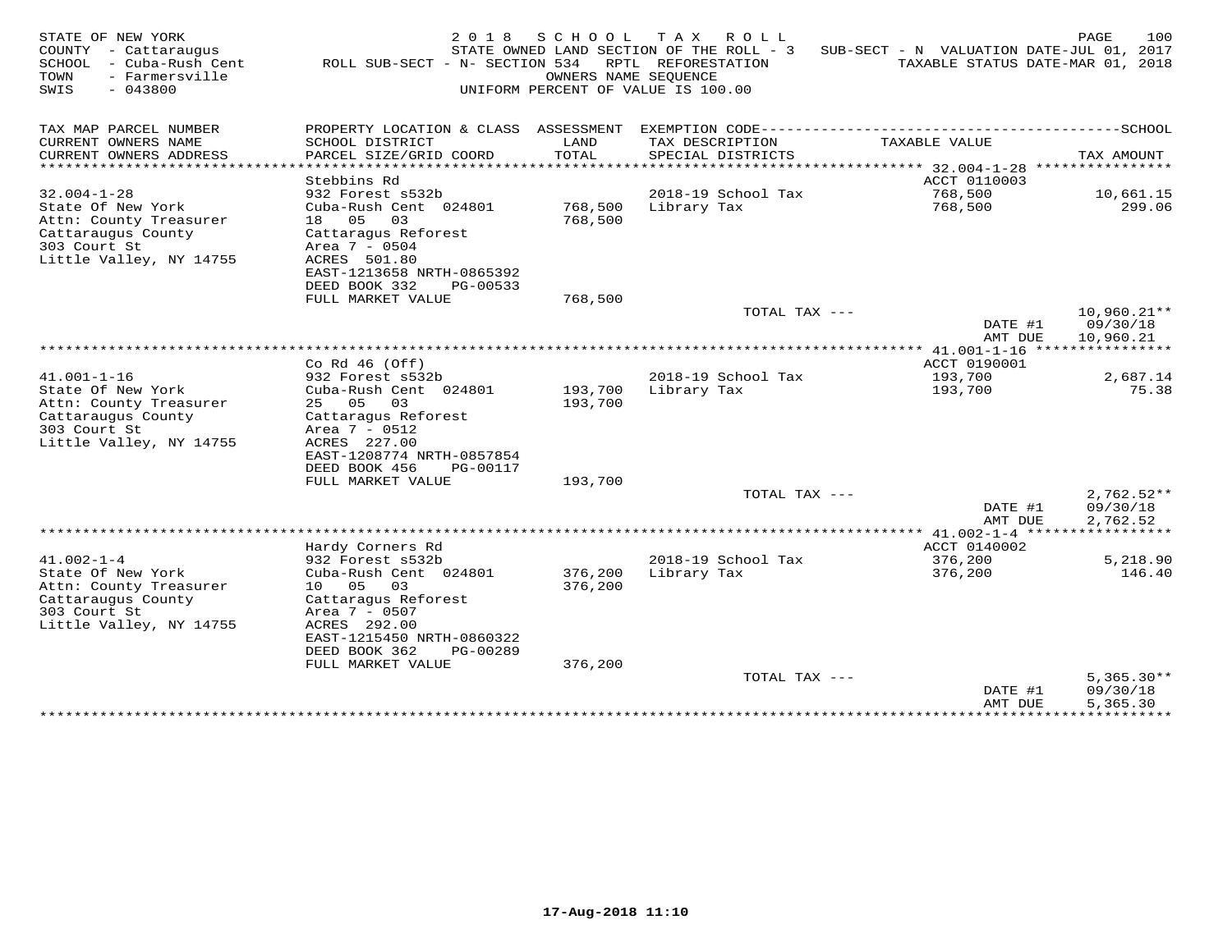| TAX MAP PARCEL NUMBER<br>PROPERTY LOCATION & CLASS ASSESSMENT<br>CURRENT OWNERS NAME<br>SCHOOL DISTRICT<br>TAX DESCRIPTION<br>TAXABLE VALUE<br>LAND<br>CURRENT OWNERS ADDRESS<br>PARCEL SIZE/GRID COORD<br>TOTAL<br>SPECIAL DISTRICTS<br>TAX AMOUNT<br>.<br>* * * * * * * * * * * * * * * * * * * *<br>*******<br>****************<br>******* 32.004-1-28<br>Stebbins Rd<br>ACCT 0110003<br>$32.004 - 1 - 28$<br>932 Forest s532b<br>2018-19 School Tax<br>768,500<br>10,661.15<br>State Of New York<br>Cuba-Rush Cent 024801<br>768,500<br>Library Tax<br>768,500<br>299.06<br>18 05<br>768,500<br>Attn: County Treasurer<br>03<br>Cattaraugus County<br>Cattaragus Reforest<br>303 Court St<br>Area 7 - 0504<br>Little Valley, NY 14755<br>ACRES 501.80<br>EAST-1213658 NRTH-0865392<br>DEED BOOK 332<br>PG-00533<br>FULL MARKET VALUE<br>768,500<br>TOTAL TAX ---<br>$10,960.21**$<br>DATE #1<br>09/30/18<br>AMT DUE<br>10,960.21<br>Co Rd $46$ (Off)<br>ACCT 0190001<br>$41.001 - 1 - 16$<br>932 Forest s532b<br>2018-19 School Tax<br>193,700<br>2,687.14<br>State Of New York<br>Cuba-Rush Cent 024801<br>193,700<br>Library Tax<br>193,700<br>75.38<br>Attn: County Treasurer<br>25 05<br>193,700<br>03<br>Cattaraugus County<br>Cattaragus Reforest<br>303 Court St<br>Area 7 - 0512<br>Little Valley, NY 14755<br>ACRES 227.00<br>EAST-1208774 NRTH-0857854<br>DEED BOOK 456<br>PG-00117<br>FULL MARKET VALUE<br>193,700<br>TOTAL TAX ---<br>$2,762.52**$<br>09/30/18<br>DATE #1<br>2,762.52<br>AMT DUE<br>Hardy Corners Rd<br>ACCT 0140002<br>$41.002 - 1 - 4$<br>2018-19 School Tax<br>932 Forest s532b<br>376,200<br>5,218.90<br>State Of New York<br>376,200<br>Library Tax<br>Cuba-Rush Cent 024801<br>376,200<br>146.40<br>Attn: County Treasurer<br>10 05<br>376,200<br>- 03<br>Cattaraugus County<br>Cattaragus Reforest<br>303 Court St<br>Area 7 - 0507<br>Little Valley, NY 14755<br>ACRES 292.00<br>EAST-1215450 NRTH-0860322<br>DEED BOOK 362<br>PG-00289<br>FULL MARKET VALUE<br>376,200<br>$5,365.30**$<br>TOTAL TAX ---<br>DATE #1<br>09/30/18<br>5,365.30<br>AMT DUE | STATE OF NEW YORK<br>COUNTY<br>- Cattaraugus<br>SCHOOL<br>- Cuba-Rush Cent<br>TOWN<br>- Farmersville<br>SWIS<br>$-043800$ | 2 0 1 8<br>ROLL SUB-SECT - N- SECTION 534 | S C H O O L<br>OWNERS NAME SEOUENCE | T A X<br>ROLL<br>STATE OWNED LAND SECTION OF THE ROLL - 3<br>RPTL REFORESTATION<br>UNIFORM PERCENT OF VALUE IS 100.00 | SUB-SECT - N VALUATION DATE-JUL 01, 2017 | 100<br>PAGE<br>TAXABLE STATUS DATE-MAR 01, 2018 |
|------------------------------------------------------------------------------------------------------------------------------------------------------------------------------------------------------------------------------------------------------------------------------------------------------------------------------------------------------------------------------------------------------------------------------------------------------------------------------------------------------------------------------------------------------------------------------------------------------------------------------------------------------------------------------------------------------------------------------------------------------------------------------------------------------------------------------------------------------------------------------------------------------------------------------------------------------------------------------------------------------------------------------------------------------------------------------------------------------------------------------------------------------------------------------------------------------------------------------------------------------------------------------------------------------------------------------------------------------------------------------------------------------------------------------------------------------------------------------------------------------------------------------------------------------------------------------------------------------------------------------------------------------------------------------------------------------------------------------------------------------------------------------------------------------------------------------------------------------------------------------------------------------------------------------------------------------------------------------------------------------------------------------------------------------------------------------------------------|---------------------------------------------------------------------------------------------------------------------------|-------------------------------------------|-------------------------------------|-----------------------------------------------------------------------------------------------------------------------|------------------------------------------|-------------------------------------------------|
|                                                                                                                                                                                                                                                                                                                                                                                                                                                                                                                                                                                                                                                                                                                                                                                                                                                                                                                                                                                                                                                                                                                                                                                                                                                                                                                                                                                                                                                                                                                                                                                                                                                                                                                                                                                                                                                                                                                                                                                                                                                                                                |                                                                                                                           |                                           |                                     |                                                                                                                       |                                          |                                                 |
|                                                                                                                                                                                                                                                                                                                                                                                                                                                                                                                                                                                                                                                                                                                                                                                                                                                                                                                                                                                                                                                                                                                                                                                                                                                                                                                                                                                                                                                                                                                                                                                                                                                                                                                                                                                                                                                                                                                                                                                                                                                                                                |                                                                                                                           |                                           |                                     |                                                                                                                       |                                          |                                                 |
|                                                                                                                                                                                                                                                                                                                                                                                                                                                                                                                                                                                                                                                                                                                                                                                                                                                                                                                                                                                                                                                                                                                                                                                                                                                                                                                                                                                                                                                                                                                                                                                                                                                                                                                                                                                                                                                                                                                                                                                                                                                                                                |                                                                                                                           |                                           |                                     |                                                                                                                       |                                          |                                                 |
|                                                                                                                                                                                                                                                                                                                                                                                                                                                                                                                                                                                                                                                                                                                                                                                                                                                                                                                                                                                                                                                                                                                                                                                                                                                                                                                                                                                                                                                                                                                                                                                                                                                                                                                                                                                                                                                                                                                                                                                                                                                                                                |                                                                                                                           |                                           |                                     |                                                                                                                       |                                          |                                                 |
|                                                                                                                                                                                                                                                                                                                                                                                                                                                                                                                                                                                                                                                                                                                                                                                                                                                                                                                                                                                                                                                                                                                                                                                                                                                                                                                                                                                                                                                                                                                                                                                                                                                                                                                                                                                                                                                                                                                                                                                                                                                                                                |                                                                                                                           |                                           |                                     |                                                                                                                       |                                          |                                                 |
|                                                                                                                                                                                                                                                                                                                                                                                                                                                                                                                                                                                                                                                                                                                                                                                                                                                                                                                                                                                                                                                                                                                                                                                                                                                                                                                                                                                                                                                                                                                                                                                                                                                                                                                                                                                                                                                                                                                                                                                                                                                                                                |                                                                                                                           |                                           |                                     |                                                                                                                       |                                          |                                                 |
|                                                                                                                                                                                                                                                                                                                                                                                                                                                                                                                                                                                                                                                                                                                                                                                                                                                                                                                                                                                                                                                                                                                                                                                                                                                                                                                                                                                                                                                                                                                                                                                                                                                                                                                                                                                                                                                                                                                                                                                                                                                                                                |                                                                                                                           |                                           |                                     |                                                                                                                       |                                          |                                                 |
|                                                                                                                                                                                                                                                                                                                                                                                                                                                                                                                                                                                                                                                                                                                                                                                                                                                                                                                                                                                                                                                                                                                                                                                                                                                                                                                                                                                                                                                                                                                                                                                                                                                                                                                                                                                                                                                                                                                                                                                                                                                                                                |                                                                                                                           |                                           |                                     |                                                                                                                       |                                          |                                                 |
|                                                                                                                                                                                                                                                                                                                                                                                                                                                                                                                                                                                                                                                                                                                                                                                                                                                                                                                                                                                                                                                                                                                                                                                                                                                                                                                                                                                                                                                                                                                                                                                                                                                                                                                                                                                                                                                                                                                                                                                                                                                                                                |                                                                                                                           |                                           |                                     |                                                                                                                       |                                          |                                                 |
|                                                                                                                                                                                                                                                                                                                                                                                                                                                                                                                                                                                                                                                                                                                                                                                                                                                                                                                                                                                                                                                                                                                                                                                                                                                                                                                                                                                                                                                                                                                                                                                                                                                                                                                                                                                                                                                                                                                                                                                                                                                                                                |                                                                                                                           |                                           |                                     |                                                                                                                       |                                          |                                                 |
|                                                                                                                                                                                                                                                                                                                                                                                                                                                                                                                                                                                                                                                                                                                                                                                                                                                                                                                                                                                                                                                                                                                                                                                                                                                                                                                                                                                                                                                                                                                                                                                                                                                                                                                                                                                                                                                                                                                                                                                                                                                                                                |                                                                                                                           |                                           |                                     |                                                                                                                       |                                          |                                                 |
|                                                                                                                                                                                                                                                                                                                                                                                                                                                                                                                                                                                                                                                                                                                                                                                                                                                                                                                                                                                                                                                                                                                                                                                                                                                                                                                                                                                                                                                                                                                                                                                                                                                                                                                                                                                                                                                                                                                                                                                                                                                                                                |                                                                                                                           |                                           |                                     |                                                                                                                       |                                          |                                                 |
|                                                                                                                                                                                                                                                                                                                                                                                                                                                                                                                                                                                                                                                                                                                                                                                                                                                                                                                                                                                                                                                                                                                                                                                                                                                                                                                                                                                                                                                                                                                                                                                                                                                                                                                                                                                                                                                                                                                                                                                                                                                                                                |                                                                                                                           |                                           |                                     |                                                                                                                       |                                          |                                                 |
|                                                                                                                                                                                                                                                                                                                                                                                                                                                                                                                                                                                                                                                                                                                                                                                                                                                                                                                                                                                                                                                                                                                                                                                                                                                                                                                                                                                                                                                                                                                                                                                                                                                                                                                                                                                                                                                                                                                                                                                                                                                                                                |                                                                                                                           |                                           |                                     |                                                                                                                       |                                          |                                                 |
|                                                                                                                                                                                                                                                                                                                                                                                                                                                                                                                                                                                                                                                                                                                                                                                                                                                                                                                                                                                                                                                                                                                                                                                                                                                                                                                                                                                                                                                                                                                                                                                                                                                                                                                                                                                                                                                                                                                                                                                                                                                                                                |                                                                                                                           |                                           |                                     |                                                                                                                       |                                          |                                                 |
|                                                                                                                                                                                                                                                                                                                                                                                                                                                                                                                                                                                                                                                                                                                                                                                                                                                                                                                                                                                                                                                                                                                                                                                                                                                                                                                                                                                                                                                                                                                                                                                                                                                                                                                                                                                                                                                                                                                                                                                                                                                                                                |                                                                                                                           |                                           |                                     |                                                                                                                       |                                          |                                                 |
|                                                                                                                                                                                                                                                                                                                                                                                                                                                                                                                                                                                                                                                                                                                                                                                                                                                                                                                                                                                                                                                                                                                                                                                                                                                                                                                                                                                                                                                                                                                                                                                                                                                                                                                                                                                                                                                                                                                                                                                                                                                                                                |                                                                                                                           |                                           |                                     |                                                                                                                       |                                          |                                                 |
|                                                                                                                                                                                                                                                                                                                                                                                                                                                                                                                                                                                                                                                                                                                                                                                                                                                                                                                                                                                                                                                                                                                                                                                                                                                                                                                                                                                                                                                                                                                                                                                                                                                                                                                                                                                                                                                                                                                                                                                                                                                                                                |                                                                                                                           |                                           |                                     |                                                                                                                       |                                          |                                                 |
|                                                                                                                                                                                                                                                                                                                                                                                                                                                                                                                                                                                                                                                                                                                                                                                                                                                                                                                                                                                                                                                                                                                                                                                                                                                                                                                                                                                                                                                                                                                                                                                                                                                                                                                                                                                                                                                                                                                                                                                                                                                                                                |                                                                                                                           |                                           |                                     |                                                                                                                       |                                          |                                                 |
|                                                                                                                                                                                                                                                                                                                                                                                                                                                                                                                                                                                                                                                                                                                                                                                                                                                                                                                                                                                                                                                                                                                                                                                                                                                                                                                                                                                                                                                                                                                                                                                                                                                                                                                                                                                                                                                                                                                                                                                                                                                                                                |                                                                                                                           |                                           |                                     |                                                                                                                       |                                          |                                                 |
|                                                                                                                                                                                                                                                                                                                                                                                                                                                                                                                                                                                                                                                                                                                                                                                                                                                                                                                                                                                                                                                                                                                                                                                                                                                                                                                                                                                                                                                                                                                                                                                                                                                                                                                                                                                                                                                                                                                                                                                                                                                                                                |                                                                                                                           |                                           |                                     |                                                                                                                       |                                          |                                                 |
|                                                                                                                                                                                                                                                                                                                                                                                                                                                                                                                                                                                                                                                                                                                                                                                                                                                                                                                                                                                                                                                                                                                                                                                                                                                                                                                                                                                                                                                                                                                                                                                                                                                                                                                                                                                                                                                                                                                                                                                                                                                                                                |                                                                                                                           |                                           |                                     |                                                                                                                       |                                          |                                                 |
|                                                                                                                                                                                                                                                                                                                                                                                                                                                                                                                                                                                                                                                                                                                                                                                                                                                                                                                                                                                                                                                                                                                                                                                                                                                                                                                                                                                                                                                                                                                                                                                                                                                                                                                                                                                                                                                                                                                                                                                                                                                                                                |                                                                                                                           |                                           |                                     |                                                                                                                       |                                          |                                                 |
|                                                                                                                                                                                                                                                                                                                                                                                                                                                                                                                                                                                                                                                                                                                                                                                                                                                                                                                                                                                                                                                                                                                                                                                                                                                                                                                                                                                                                                                                                                                                                                                                                                                                                                                                                                                                                                                                                                                                                                                                                                                                                                |                                                                                                                           |                                           |                                     |                                                                                                                       |                                          |                                                 |
|                                                                                                                                                                                                                                                                                                                                                                                                                                                                                                                                                                                                                                                                                                                                                                                                                                                                                                                                                                                                                                                                                                                                                                                                                                                                                                                                                                                                                                                                                                                                                                                                                                                                                                                                                                                                                                                                                                                                                                                                                                                                                                |                                                                                                                           |                                           |                                     |                                                                                                                       |                                          |                                                 |
|                                                                                                                                                                                                                                                                                                                                                                                                                                                                                                                                                                                                                                                                                                                                                                                                                                                                                                                                                                                                                                                                                                                                                                                                                                                                                                                                                                                                                                                                                                                                                                                                                                                                                                                                                                                                                                                                                                                                                                                                                                                                                                |                                                                                                                           |                                           |                                     |                                                                                                                       |                                          |                                                 |
|                                                                                                                                                                                                                                                                                                                                                                                                                                                                                                                                                                                                                                                                                                                                                                                                                                                                                                                                                                                                                                                                                                                                                                                                                                                                                                                                                                                                                                                                                                                                                                                                                                                                                                                                                                                                                                                                                                                                                                                                                                                                                                |                                                                                                                           |                                           |                                     |                                                                                                                       |                                          |                                                 |
|                                                                                                                                                                                                                                                                                                                                                                                                                                                                                                                                                                                                                                                                                                                                                                                                                                                                                                                                                                                                                                                                                                                                                                                                                                                                                                                                                                                                                                                                                                                                                                                                                                                                                                                                                                                                                                                                                                                                                                                                                                                                                                |                                                                                                                           |                                           |                                     |                                                                                                                       |                                          |                                                 |
|                                                                                                                                                                                                                                                                                                                                                                                                                                                                                                                                                                                                                                                                                                                                                                                                                                                                                                                                                                                                                                                                                                                                                                                                                                                                                                                                                                                                                                                                                                                                                                                                                                                                                                                                                                                                                                                                                                                                                                                                                                                                                                |                                                                                                                           |                                           |                                     |                                                                                                                       |                                          |                                                 |
|                                                                                                                                                                                                                                                                                                                                                                                                                                                                                                                                                                                                                                                                                                                                                                                                                                                                                                                                                                                                                                                                                                                                                                                                                                                                                                                                                                                                                                                                                                                                                                                                                                                                                                                                                                                                                                                                                                                                                                                                                                                                                                |                                                                                                                           |                                           |                                     |                                                                                                                       |                                          |                                                 |
|                                                                                                                                                                                                                                                                                                                                                                                                                                                                                                                                                                                                                                                                                                                                                                                                                                                                                                                                                                                                                                                                                                                                                                                                                                                                                                                                                                                                                                                                                                                                                                                                                                                                                                                                                                                                                                                                                                                                                                                                                                                                                                |                                                                                                                           |                                           |                                     |                                                                                                                       |                                          |                                                 |
| **********<br>**************                                                                                                                                                                                                                                                                                                                                                                                                                                                                                                                                                                                                                                                                                                                                                                                                                                                                                                                                                                                                                                                                                                                                                                                                                                                                                                                                                                                                                                                                                                                                                                                                                                                                                                                                                                                                                                                                                                                                                                                                                                                                   |                                                                                                                           |                                           |                                     |                                                                                                                       |                                          |                                                 |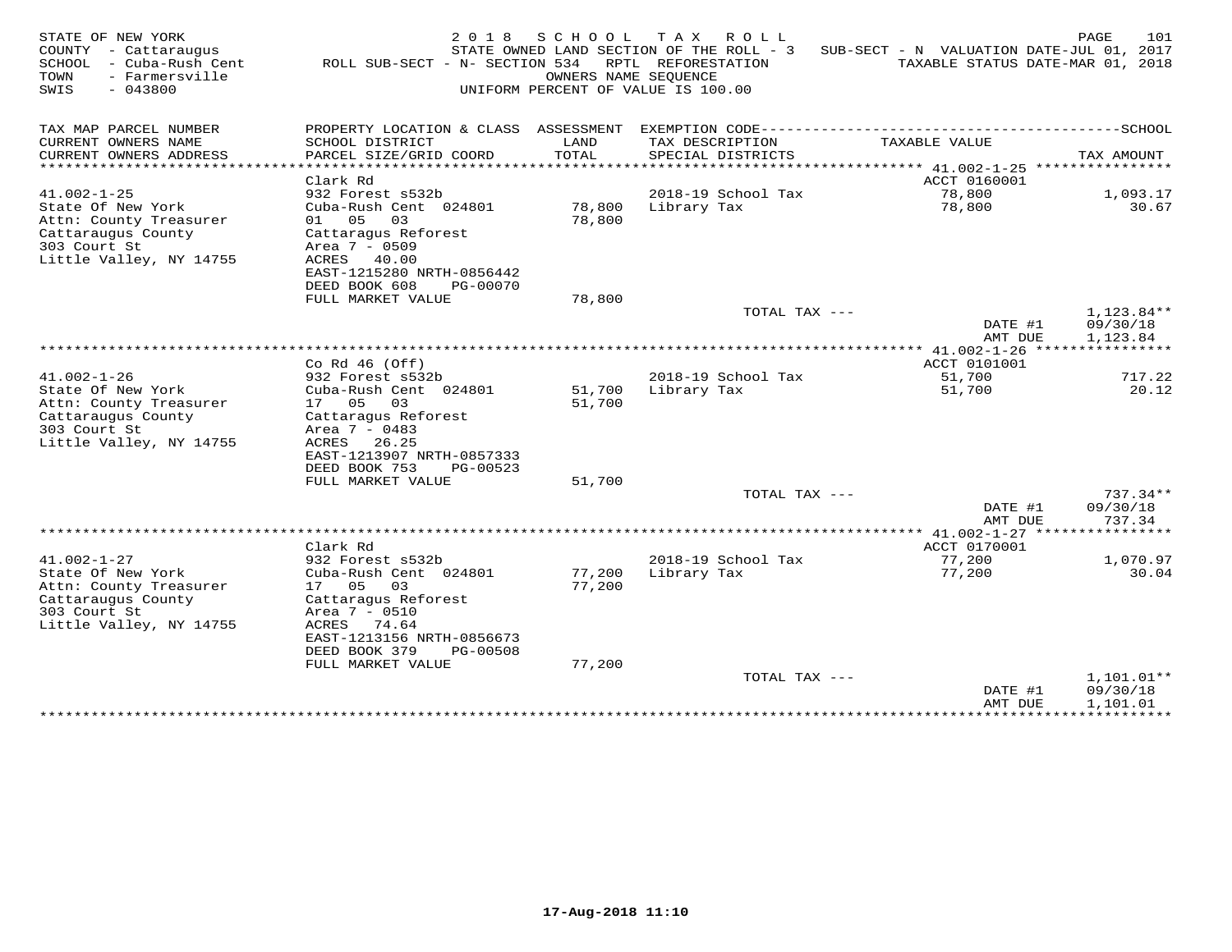| STATE OF NEW YORK<br>COUNTY - Cattaraugus<br>SCHOOL<br>- Cuba-Rush Cent<br>- Farmersville<br>TOWN<br>$-043800$<br>SWIS | 2 0 1 8<br>ROLL SUB-SECT - N- SECTION 534                                                                                | SCHOOL<br>OWNERS NAME SEOUENCE | T A X<br>ROLL<br>STATE OWNED LAND SECTION OF THE ROLL - 3<br>RPTL REFORESTATION<br>UNIFORM PERCENT OF VALUE IS 100.00 | SUB-SECT - N VALUATION DATE-JUL 01, 2017<br>TAXABLE STATUS DATE-MAR 01, 2018 | 101<br>PAGE                        |
|------------------------------------------------------------------------------------------------------------------------|--------------------------------------------------------------------------------------------------------------------------|--------------------------------|-----------------------------------------------------------------------------------------------------------------------|------------------------------------------------------------------------------|------------------------------------|
| TAX MAP PARCEL NUMBER                                                                                                  | PROPERTY LOCATION & CLASS ASSESSMENT                                                                                     |                                |                                                                                                                       |                                                                              |                                    |
| CURRENT OWNERS NAME<br>CURRENT OWNERS ADDRESS                                                                          | SCHOOL DISTRICT<br>PARCEL SIZE/GRID COORD                                                                                | LAND<br>TOTAL                  | TAX DESCRIPTION<br>SPECIAL DISTRICTS                                                                                  | TAXABLE VALUE                                                                | TAX AMOUNT                         |
| ********************                                                                                                   |                                                                                                                          | ******                         |                                                                                                                       | ******* 41.002-1-25 *****************                                        |                                    |
| $41.002 - 1 - 25$                                                                                                      | Clark Rd<br>932 Forest s532b                                                                                             |                                | 2018-19 School Tax                                                                                                    | ACCT 0160001<br>78,800                                                       | 1,093.17                           |
| State Of New York<br>Attn: County Treasurer<br>Cattaraugus County<br>303 Court St<br>Little Valley, NY 14755           | Cuba-Rush Cent 024801<br>01 05<br>03<br>Cattaragus Reforest<br>Area 7 - 0509<br>ACRES 40.00<br>EAST-1215280 NRTH-0856442 | 78,800<br>78,800               | Library Tax                                                                                                           | 78,800                                                                       | 30.67                              |
|                                                                                                                        | DEED BOOK 608<br>PG-00070                                                                                                |                                |                                                                                                                       |                                                                              |                                    |
|                                                                                                                        | FULL MARKET VALUE                                                                                                        | 78,800                         |                                                                                                                       |                                                                              |                                    |
|                                                                                                                        |                                                                                                                          |                                | TOTAL TAX ---                                                                                                         | DATE #1<br>AMT DUE                                                           | 1,123.84**<br>09/30/18<br>1,123.84 |
|                                                                                                                        |                                                                                                                          |                                |                                                                                                                       |                                                                              |                                    |
| $41.002 - 1 - 26$                                                                                                      | Co Rd $46$ (Off)<br>932 Forest s532b                                                                                     |                                | 2018-19 School Tax                                                                                                    | ACCT 0101001<br>51,700                                                       | 717.22                             |
| State Of New York                                                                                                      | Cuba-Rush Cent 024801                                                                                                    | 51,700                         | Library Tax                                                                                                           | 51,700                                                                       | 20.12                              |
| Attn: County Treasurer                                                                                                 | 17 05<br>03                                                                                                              | 51,700                         |                                                                                                                       |                                                                              |                                    |
| Cattaraugus County                                                                                                     | Cattaragus Reforest                                                                                                      |                                |                                                                                                                       |                                                                              |                                    |
| 303 Court St<br>Little Valley, NY 14755                                                                                | Area 7 - 0483<br>ACRES<br>26.25                                                                                          |                                |                                                                                                                       |                                                                              |                                    |
|                                                                                                                        | EAST-1213907 NRTH-0857333                                                                                                |                                |                                                                                                                       |                                                                              |                                    |
|                                                                                                                        | DEED BOOK 753<br>PG-00523                                                                                                |                                |                                                                                                                       |                                                                              |                                    |
|                                                                                                                        | FULL MARKET VALUE                                                                                                        | 51,700                         |                                                                                                                       |                                                                              |                                    |
|                                                                                                                        |                                                                                                                          |                                | TOTAL TAX ---                                                                                                         |                                                                              | $737.34**$                         |
|                                                                                                                        |                                                                                                                          |                                |                                                                                                                       | DATE #1<br>AMT DUE                                                           | 09/30/18<br>737.34                 |
|                                                                                                                        |                                                                                                                          |                                |                                                                                                                       |                                                                              | *********                          |
|                                                                                                                        | Clark Rd                                                                                                                 |                                |                                                                                                                       | ACCT 0170001                                                                 |                                    |
| $41.002 - 1 - 27$                                                                                                      | 932 Forest s532b                                                                                                         |                                | 2018-19 School Tax                                                                                                    | 77,200                                                                       | 1,070.97                           |
| State Of New York<br>Attn: County Treasurer                                                                            | Cuba-Rush Cent 024801<br>17 05<br>03                                                                                     | 77,200<br>77,200               | Library Tax                                                                                                           | 77,200                                                                       | 30.04                              |
| Cattaraugus County                                                                                                     | Cattaraqus Reforest                                                                                                      |                                |                                                                                                                       |                                                                              |                                    |
| 303 Court St                                                                                                           | Area $7 - 0510$                                                                                                          |                                |                                                                                                                       |                                                                              |                                    |
| Little Valley, NY 14755                                                                                                | ACRES<br>74.64                                                                                                           |                                |                                                                                                                       |                                                                              |                                    |
|                                                                                                                        | EAST-1213156 NRTH-0856673<br>DEED BOOK 379<br>PG-00508                                                                   |                                |                                                                                                                       |                                                                              |                                    |
|                                                                                                                        | FULL MARKET VALUE                                                                                                        | 77,200                         |                                                                                                                       |                                                                              |                                    |
|                                                                                                                        |                                                                                                                          |                                | TOTAL TAX ---                                                                                                         |                                                                              | 1,101.01**                         |
|                                                                                                                        |                                                                                                                          |                                |                                                                                                                       | DATE #1                                                                      | 09/30/18                           |
|                                                                                                                        |                                                                                                                          |                                |                                                                                                                       | AMT DUE<br>**************                                                    | 1,101.01<br>***********            |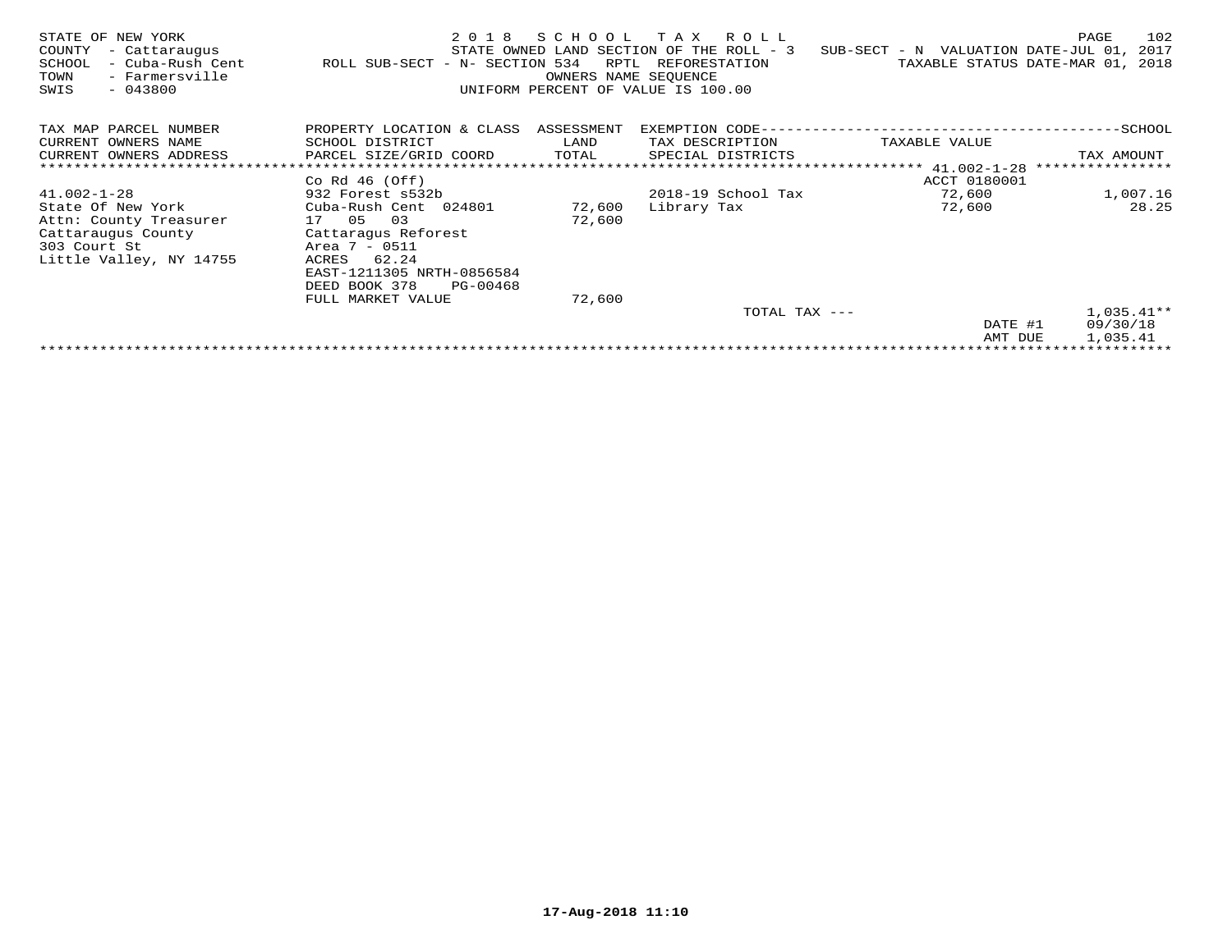| STATE OF NEW YORK<br>COUNTY<br>- Cattaraugus<br>- Cuba-Rush Cent<br>SCHOOL<br>TOWN<br>- Farmersville<br>SWIS<br>$-043800$ | 2018<br>ROLL SUB-SECT - N- SECTION 534 | SCHOOL<br>RPTL<br>OWNERS NAME SEQUENCE | T A X<br>R O L L<br>STATE OWNED LAND SECTION OF THE ROLL - 3<br>REFORESTATION<br>UNIFORM PERCENT OF VALUE IS 100.00 | SUB-SECT - N VALUATION DATE-JUL 01,<br>TAXABLE STATUS DATE-MAR 01, | 102<br>PAGE<br>2017<br>2018 |
|---------------------------------------------------------------------------------------------------------------------------|----------------------------------------|----------------------------------------|---------------------------------------------------------------------------------------------------------------------|--------------------------------------------------------------------|-----------------------------|
| TAX MAP PARCEL NUMBER                                                                                                     | PROPERTY LOCATION & CLASS ASSESSMENT   |                                        | EXEMPTION CODE--                                                                                                    |                                                                    | -SCHOOL                     |
| CURRENT OWNERS NAME                                                                                                       | SCHOOL DISTRICT                        | LAND                                   | TAX DESCRIPTION                                                                                                     | TAXABLE VALUE                                                      |                             |
| CURRENT OWNERS ADDRESS                                                                                                    | PARCEL SIZE/GRID COORD                 | TOTAL                                  | SPECIAL DISTRICTS                                                                                                   |                                                                    | TAX AMOUNT                  |
|                                                                                                                           |                                        |                                        |                                                                                                                     | ******************** 41.002-1-28                                   | ****************            |
|                                                                                                                           | Co Rd $46$ (Off)                       |                                        |                                                                                                                     | ACCT 0180001                                                       |                             |
| $41.002 - 1 - 28$                                                                                                         | 932 Forest s532b                       |                                        | 2018-19 School Tax                                                                                                  | 72,600                                                             | 1,007.16                    |
| State Of New York                                                                                                         | Cuba-Rush Cent 024801                  | 72,600                                 | Library Tax                                                                                                         | 72,600                                                             | 28.25                       |
| Attn: County Treasurer                                                                                                    | 03<br>17 05                            | 72,600                                 |                                                                                                                     |                                                                    |                             |
| Cattaraugus County                                                                                                        | Cattaragus Reforest                    |                                        |                                                                                                                     |                                                                    |                             |
| 303 Court St                                                                                                              | Area 7 - 0511                          |                                        |                                                                                                                     |                                                                    |                             |
| Little Valley, NY 14755                                                                                                   | 62.24<br>ACRES                         |                                        |                                                                                                                     |                                                                    |                             |
|                                                                                                                           | EAST-1211305 NRTH-0856584              |                                        |                                                                                                                     |                                                                    |                             |
|                                                                                                                           | DEED BOOK 378<br>PG-00468              |                                        |                                                                                                                     |                                                                    |                             |
|                                                                                                                           | FULL MARKET VALUE                      | 72,600                                 |                                                                                                                     |                                                                    |                             |
|                                                                                                                           |                                        |                                        | TOTAL TAX ---                                                                                                       |                                                                    | $1,035.41**$                |
|                                                                                                                           |                                        |                                        |                                                                                                                     | DATE #1                                                            | 09/30/18                    |
|                                                                                                                           |                                        |                                        |                                                                                                                     | AMT DUE                                                            | 1,035.41                    |
|                                                                                                                           |                                        |                                        |                                                                                                                     |                                                                    |                             |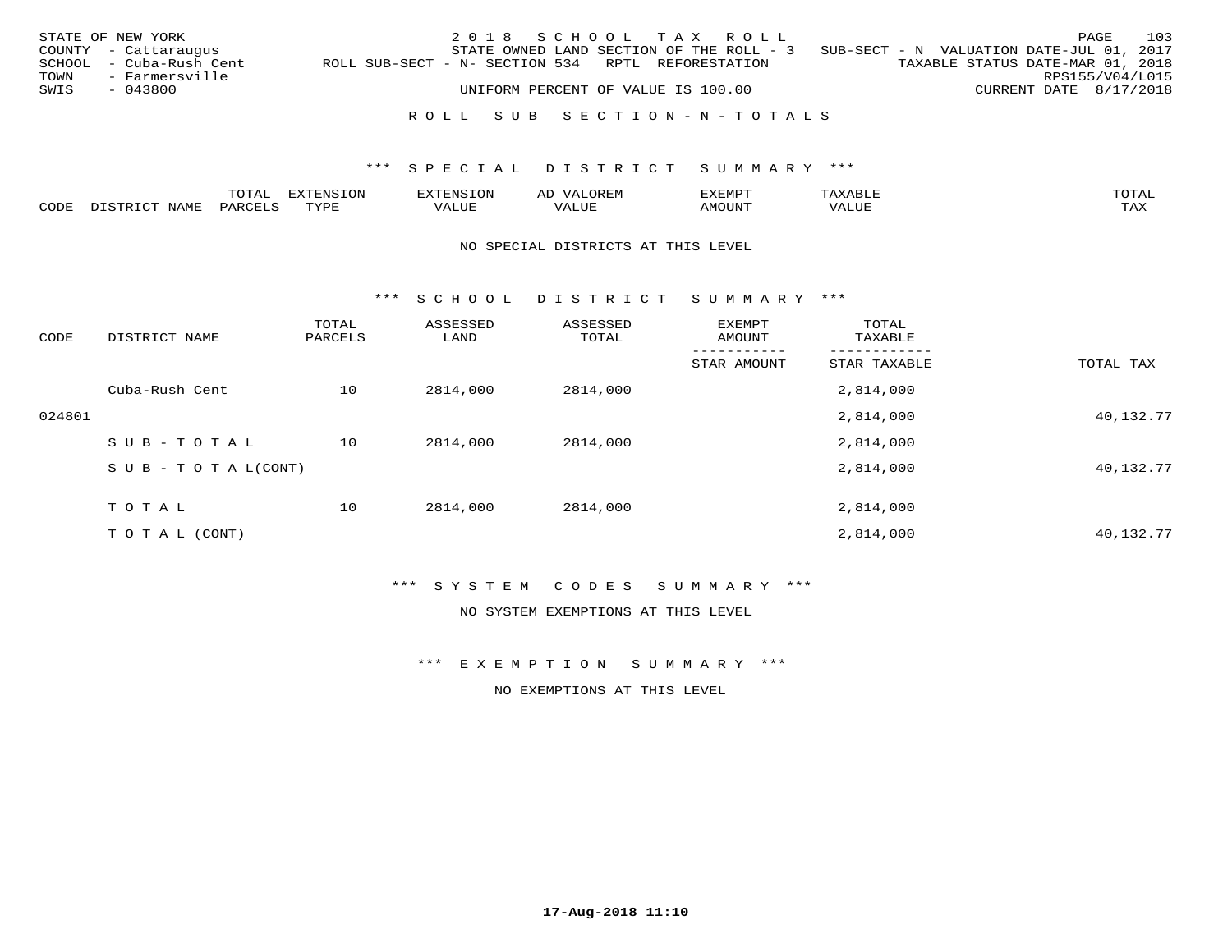|      | STATE OF NEW YORK       |                                                   | 2018 SCHOOL TAX ROLL               |  |                                                                                   |  |                                  | PAGE            | 103 |
|------|-------------------------|---------------------------------------------------|------------------------------------|--|-----------------------------------------------------------------------------------|--|----------------------------------|-----------------|-----|
|      | COUNTY - Cattaraugus    |                                                   |                                    |  | STATE OWNED LAND SECTION OF THE ROLL - 3 SUB-SECT - N VALUATION DATE-JUL 01, 2017 |  |                                  |                 |     |
|      | SCHOOL - Cuba-Rush Cent | ROLL SUB-SECT - N- SECTION 534 RPTL REFORESTATION |                                    |  |                                                                                   |  | TAXABLE STATUS DATE-MAR 01, 2018 |                 |     |
| TOWN | - Farmersville          |                                                   |                                    |  |                                                                                   |  |                                  | RPS155/V04/L015 |     |
| SWIS | - 043800                |                                                   | UNIFORM PERCENT OF VALUE IS 100.00 |  |                                                                                   |  | CURRENT DATE 8/17/2018           |                 |     |
|      |                         |                                                   |                                    |  |                                                                                   |  |                                  |                 |     |
|      |                         |                                                   |                                    |  | ROLL SUB SECTION-N-TOTALS                                                         |  |                                  |                 |     |

|      | $m \wedge m \wedge n$ | $T^{\sim}$<br>pszmpatoj<br>LUP | $\sim$ | ,,, <del>,</del> ,,, <del>,</del> ,<br>. ب<br>التلذذك |            | $m \wedge m$       |
|------|-----------------------|--------------------------------|--------|-------------------------------------------------------|------------|--------------------|
| CDDE |                       | TVDF                           |        |                                                       | $\Delta$ . | $- - - -$<br>. ris |

### NO SPECIAL DISTRICTS AT THIS LEVEL

\*\*\* S C H O O L D I S T R I C T S U M M A R Y \*\*\*

| CODE   | DISTRICT NAME                    | TOTAL<br>PARCELS | ASSESSED<br>LAND | ASSESSED<br>TOTAL | EXEMPT<br>AMOUNT | TOTAL<br>TAXABLE |           |
|--------|----------------------------------|------------------|------------------|-------------------|------------------|------------------|-----------|
|        |                                  |                  |                  |                   | STAR AMOUNT      | STAR TAXABLE     | TOTAL TAX |
|        | Cuba-Rush Cent                   | 10               | 2814,000         | 2814,000          |                  | 2,814,000        |           |
| 024801 |                                  |                  |                  |                   |                  | 2,814,000        | 40,132.77 |
|        | SUB-TOTAL                        | 10               | 2814,000         | 2814,000          |                  | 2,814,000        |           |
|        | $S \cup B - T \cup T A L (CONT)$ |                  |                  |                   |                  | 2,814,000        | 40,132.77 |
|        | TOTAL                            | 10               | 2814,000         | 2814,000          |                  | 2,814,000        |           |
|        | T O T A L (CONT)                 |                  |                  |                   |                  | 2,814,000        | 40,132.77 |

## \*\*\* S Y S T E M C O D E S S U M M A R Y \*\*\*

NO SYSTEM EXEMPTIONS AT THIS LEVEL

\*\*\* E X E M P T I O N S U M M A R Y \*\*\*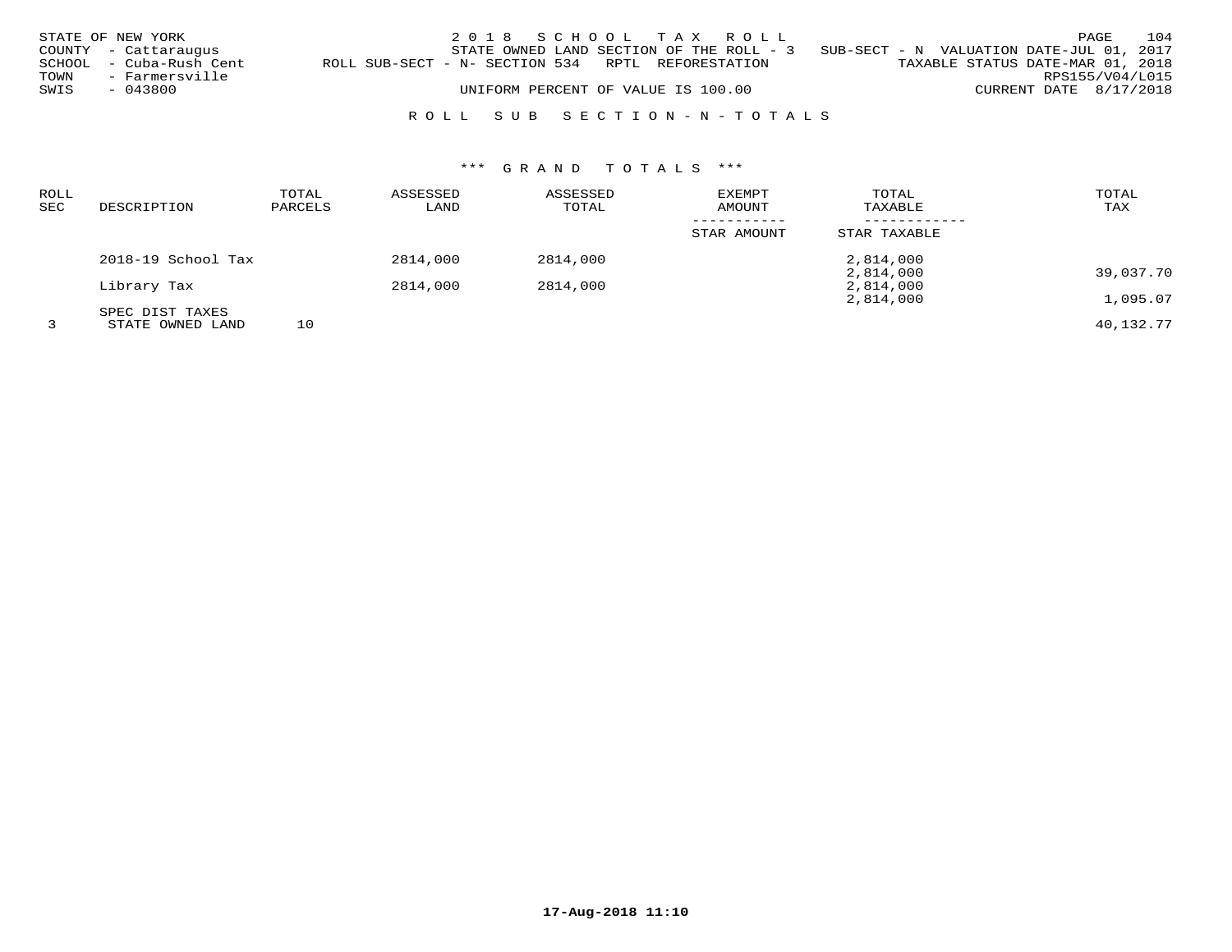|      | STATE OF NEW YORK       |                                                   | 2018 SCHOOL TAX ROLL               |  |  |                                                                                   |                                  |                        | PAGE | 104 |
|------|-------------------------|---------------------------------------------------|------------------------------------|--|--|-----------------------------------------------------------------------------------|----------------------------------|------------------------|------|-----|
|      | COUNTY - Cattaraugus    |                                                   |                                    |  |  | STATE OWNED LAND SECTION OF THE ROLL - 3 SUB-SECT - N VALUATION DATE-JUL 01, 2017 |                                  |                        |      |     |
|      | SCHOOL - Cuba-Rush Cent | ROLL SUB-SECT - N- SECTION 534 RPTL REFORESTATION |                                    |  |  |                                                                                   | TAXABLE STATUS DATE-MAR 01, 2018 |                        |      |     |
| TOWN | - Farmersville          |                                                   |                                    |  |  |                                                                                   |                                  | RPS155/V04/L015        |      |     |
| SWIS | - 043800                |                                                   | UNIFORM PERCENT OF VALUE IS 100.00 |  |  |                                                                                   |                                  | CURRENT DATE 8/17/2018 |      |     |
|      |                         |                                                   |                                    |  |  |                                                                                   |                                  |                        |      |     |

# R O L L S U B S E C T I O N - N - T O T A L S

# \*\*\* G R A N D T O T A L S \*\*\*

| ROLL |                    | TOTAL   | ASSESSED | ASSESSED | EXEMPT      | TOTAL        | TOTAL     |
|------|--------------------|---------|----------|----------|-------------|--------------|-----------|
| SEC  | DESCRIPTION        | PARCELS | LAND     | TOTAL    | AMOUNT      | TAXABLE      | TAX       |
|      |                    |         |          |          | STAR AMOUNT | STAR TAXABLE |           |
|      | 2018-19 School Tax |         | 2814,000 | 2814,000 |             | 2,814,000    |           |
|      |                    |         |          |          |             | 2,814,000    | 39,037.70 |
|      | Library Tax        |         | 2814,000 | 2814,000 |             | 2,814,000    |           |
|      |                    |         |          |          |             | 2,814,000    | 1,095.07  |
|      | SPEC DIST TAXES    |         |          |          |             |              |           |
|      | STATE OWNED LAND   | 10      |          |          |             |              | 40,132.77 |

**17-Aug-2018 11:10**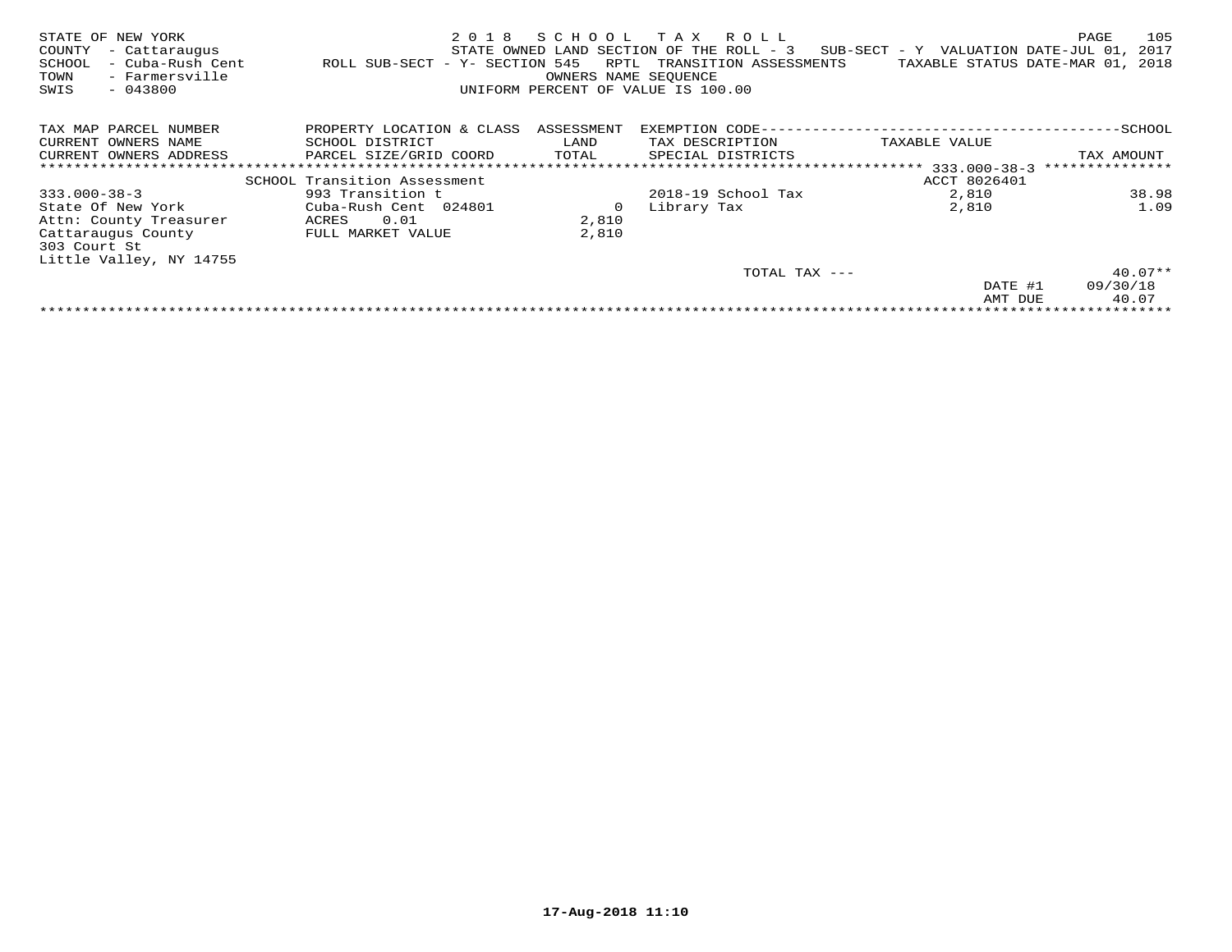| STATE OF NEW YORK<br>COUNTY<br>- Cattaraugus<br>- Cuba-Rush Cent<br>SCHOOL<br>- Farmersville<br>TOWN<br>SWIS<br>$-043800$ | 2018<br>ROLL SUB-SECT - Y- SECTION 545 | SCHOOL<br>RPTL<br>OWNERS NAME SEQUENCE | T A X<br>R O L L<br>STATE OWNED LAND SECTION OF THE ROLL - 3<br>TRANSITION ASSESSMENTS<br>UNIFORM PERCENT OF VALUE IS 100.00 | SUB-SECT - Y VALUATION DATE-JUL 01,<br>TAXABLE STATUS DATE-MAR 01, 2018 | 105<br>PAGE<br>2017 |
|---------------------------------------------------------------------------------------------------------------------------|----------------------------------------|----------------------------------------|------------------------------------------------------------------------------------------------------------------------------|-------------------------------------------------------------------------|---------------------|
| TAX MAP PARCEL NUMBER                                                                                                     | PROPERTY LOCATION & CLASS              | ASSESSMENT                             | EXEMPTION CODE--                                                                                                             |                                                                         | ---------SCHOOL     |
| CURRENT OWNERS NAME                                                                                                       | SCHOOL DISTRICT                        | LAND                                   | TAX DESCRIPTION                                                                                                              | TAXABLE VALUE                                                           |                     |
| CURRENT OWNERS ADDRESS                                                                                                    | PARCEL SIZE/GRID COORD                 | TOTAL                                  | SPECIAL DISTRICTS                                                                                                            |                                                                         | TAX AMOUNT          |
|                                                                                                                           |                                        |                                        |                                                                                                                              | ************************** 333.000-38-3                                 | ***************     |
|                                                                                                                           | SCHOOL Transition Assessment           |                                        |                                                                                                                              | ACCT 8026401                                                            |                     |
| $333.000 - 38 - 3$                                                                                                        | 993 Transition t                       |                                        | 2018-19 School Tax                                                                                                           | 2,810                                                                   | 38.98               |
| State Of New York                                                                                                         | Cuba-Rush Cent 024801                  | 0                                      | Library Tax                                                                                                                  | 2,810                                                                   | 1.09                |
| Attn: County Treasurer                                                                                                    | 0.01<br>ACRES                          | 2,810                                  |                                                                                                                              |                                                                         |                     |
| Cattaraugus County                                                                                                        | FULL MARKET VALUE                      | 2,810                                  |                                                                                                                              |                                                                         |                     |
| 303 Court St                                                                                                              |                                        |                                        |                                                                                                                              |                                                                         |                     |
| Little Valley, NY 14755                                                                                                   |                                        |                                        |                                                                                                                              |                                                                         |                     |
|                                                                                                                           |                                        |                                        | TOTAL TAX ---                                                                                                                |                                                                         | $40.07**$           |
|                                                                                                                           |                                        |                                        |                                                                                                                              | DATE #1                                                                 | 09/30/18            |
|                                                                                                                           |                                        |                                        |                                                                                                                              | AMT DUE                                                                 | 40.07               |
|                                                                                                                           |                                        |                                        |                                                                                                                              |                                                                         |                     |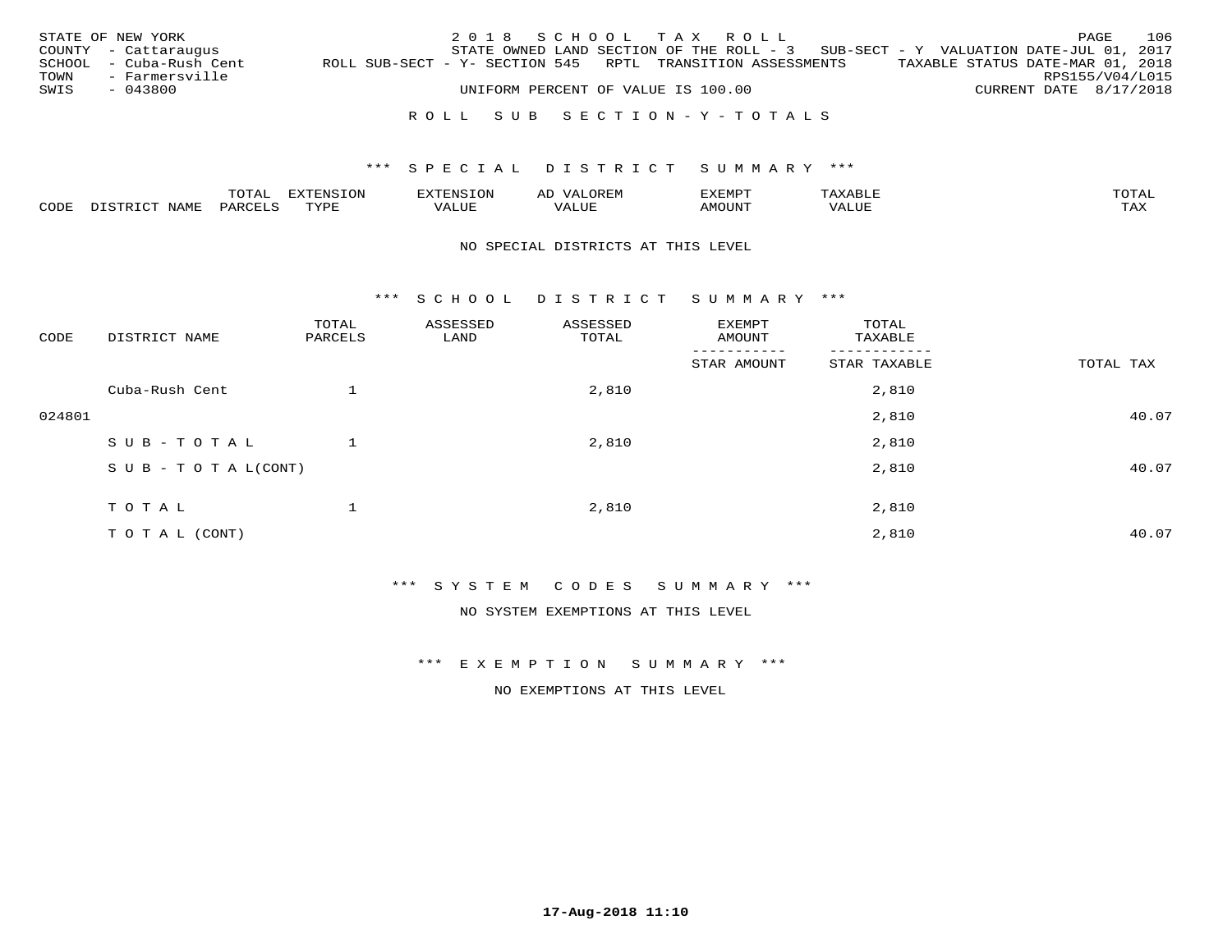|      | STATE OF NEW YORK       |                                                            |  |  |                                    | 2018 SCHOOL TAX ROLL      |                                                                                     |                                  | PAGE            | 106 |
|------|-------------------------|------------------------------------------------------------|--|--|------------------------------------|---------------------------|-------------------------------------------------------------------------------------|----------------------------------|-----------------|-----|
|      | COUNTY - Cattaraugus    |                                                            |  |  |                                    |                           | STATE OWNED LAND SECTION OF THE ROLL - $3$ SUB-SECT - Y VALUATION DATE-JUL 01, 2017 |                                  |                 |     |
|      | SCHOOL - Cuba-Rush Cent | ROLL SUB-SECT - Y- SECTION 545 RPTL TRANSITION ASSESSMENTS |  |  |                                    |                           |                                                                                     | TAXABLE STATUS DATE-MAR 01, 2018 |                 |     |
|      | TOWN - Farmersville     |                                                            |  |  |                                    |                           |                                                                                     |                                  | RPS155/V04/L015 |     |
| SWIS | - 043800                |                                                            |  |  | UNIFORM PERCENT OF VALUE IS 100.00 |                           |                                                                                     | CURRENT DATE 8/17/2018           |                 |     |
|      |                         |                                                            |  |  |                                    |                           |                                                                                     |                                  |                 |     |
|      |                         |                                                            |  |  |                                    | ROLL SUB SECTION-Y-TOTALS |                                                                                     |                                  |                 |     |

|      |      | $m \wedge m \wedge n$ |      | 7N C       | ΑL<br>JREM                 |       |      | $m \wedge m \wedge n$ |
|------|------|-----------------------|------|------------|----------------------------|-------|------|-----------------------|
| CODE | NAMP | AR,                   | TVDF | $A \cup U$ | , <del>,</del> , , , , , , | MOUN. | ALUE | $m \times r$<br>- −-  |

## NO SPECIAL DISTRICTS AT THIS LEVEL

\*\*\* S C H O O L D I S T R I C T S U M M A R Y \*\*\*

| CODE   | DISTRICT NAME                    | TOTAL<br>PARCELS | ASSESSED<br>LAND | ASSESSED<br>TOTAL | EXEMPT<br>AMOUNT         | TOTAL<br>TAXABLE |           |
|--------|----------------------------------|------------------|------------------|-------------------|--------------------------|------------------|-----------|
|        |                                  |                  |                  |                   | $- - - -$<br>STAR AMOUNT | STAR TAXABLE     | TOTAL TAX |
|        | Cuba-Rush Cent                   |                  |                  | 2,810             |                          | 2,810            |           |
| 024801 |                                  |                  |                  |                   |                          | 2,810            | 40.07     |
|        | SUB-TOTAL                        |                  |                  | 2,810             |                          | 2,810            |           |
|        | $S \cup B - T \cup T A L (CONT)$ |                  |                  |                   |                          | 2,810            | 40.07     |
|        | TOTAL                            |                  |                  | 2,810             |                          | 2,810            |           |
|        | T O T A L (CONT)                 |                  |                  |                   |                          | 2,810            | 40.07     |

\*\*\* S Y S T E M C O D E S S U M M A R Y \*\*\*

NO SYSTEM EXEMPTIONS AT THIS LEVEL

\*\*\* E X E M P T I O N S U M M A R Y \*\*\*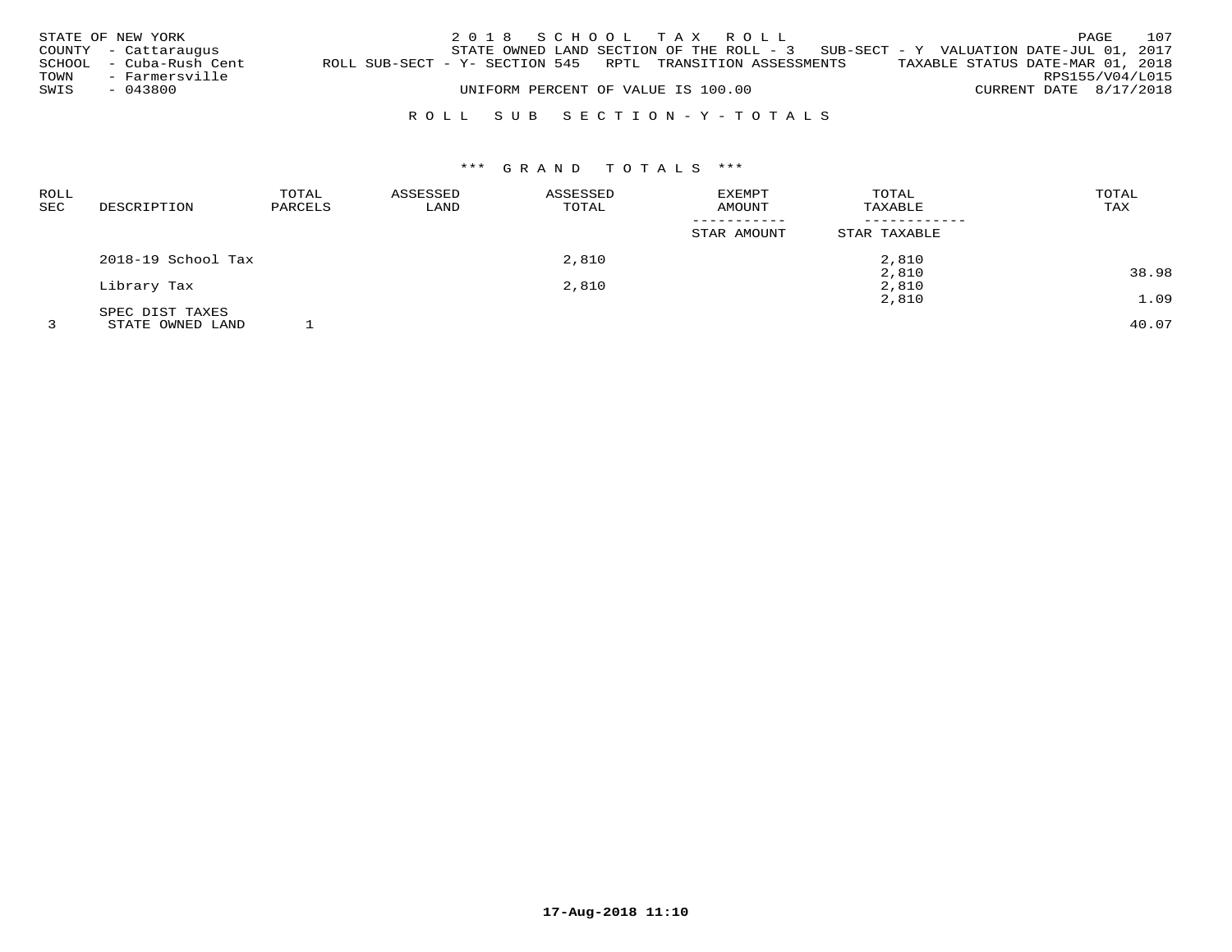|      | STATE OF NEW YORK       |                                                            | 2018 SCHOOL TAX ROLL               |  |                                                                                     |                        | PAGE | 107 |
|------|-------------------------|------------------------------------------------------------|------------------------------------|--|-------------------------------------------------------------------------------------|------------------------|------|-----|
|      | COUNTY - Cattaraugus    |                                                            |                                    |  | STATE OWNED LAND SECTION OF THE ROLL - $3$ SUB-SECT - Y VALUATION DATE-JUL 01, 2017 |                        |      |     |
|      | SCHOOL - Cuba-Rush Cent | ROLL SUB-SECT - Y- SECTION 545 RPTL TRANSITION ASSESSMENTS |                                    |  | TAXABLE STATUS DATE-MAR 01, 2018                                                    |                        |      |     |
| TOWN | - Farmersville          |                                                            |                                    |  |                                                                                     | RPS155/V04/L015        |      |     |
| SWIS | - 043800                |                                                            | UNIFORM PERCENT OF VALUE IS 100.00 |  |                                                                                     | CURRENT DATE 8/17/2018 |      |     |
|      |                         |                                                            |                                    |  |                                                                                     |                        |      |     |

## R O L L S U B S E C T I O N - Y - T O T A L S

# \*\*\* G R A N D T O T A L S \*\*\*

| <b>ROLL</b> |                    | TOTAL   | ASSESSED | ASSESSED | EXEMPT      | TOTAL        | TOTAL                |
|-------------|--------------------|---------|----------|----------|-------------|--------------|----------------------|
| <b>SEC</b>  | DESCRIPTION        | PARCELS | LAND     | TOTAL    | AMOUNT      | TAXABLE      | TAX                  |
|             |                    |         |          |          |             |              |                      |
|             |                    |         |          |          | STAR AMOUNT | STAR TAXABLE |                      |
|             | 2018-19 School Tax |         |          | 2,810    |             | 2,810        |                      |
|             |                    |         |          |          |             | 2,810        | 38.98                |
|             | Library Tax        |         |          | 2,810    |             | 2,810        |                      |
|             |                    |         |          |          |             | 2,810        | 1.09                 |
|             | SPEC DIST TAXES    |         |          |          |             |              |                      |
| $\sim$      | ------------------ | $\sim$  |          |          |             |              | $\sim$ $\sim$ $\sim$ |

3 STATE OWNED LAND 1 40.07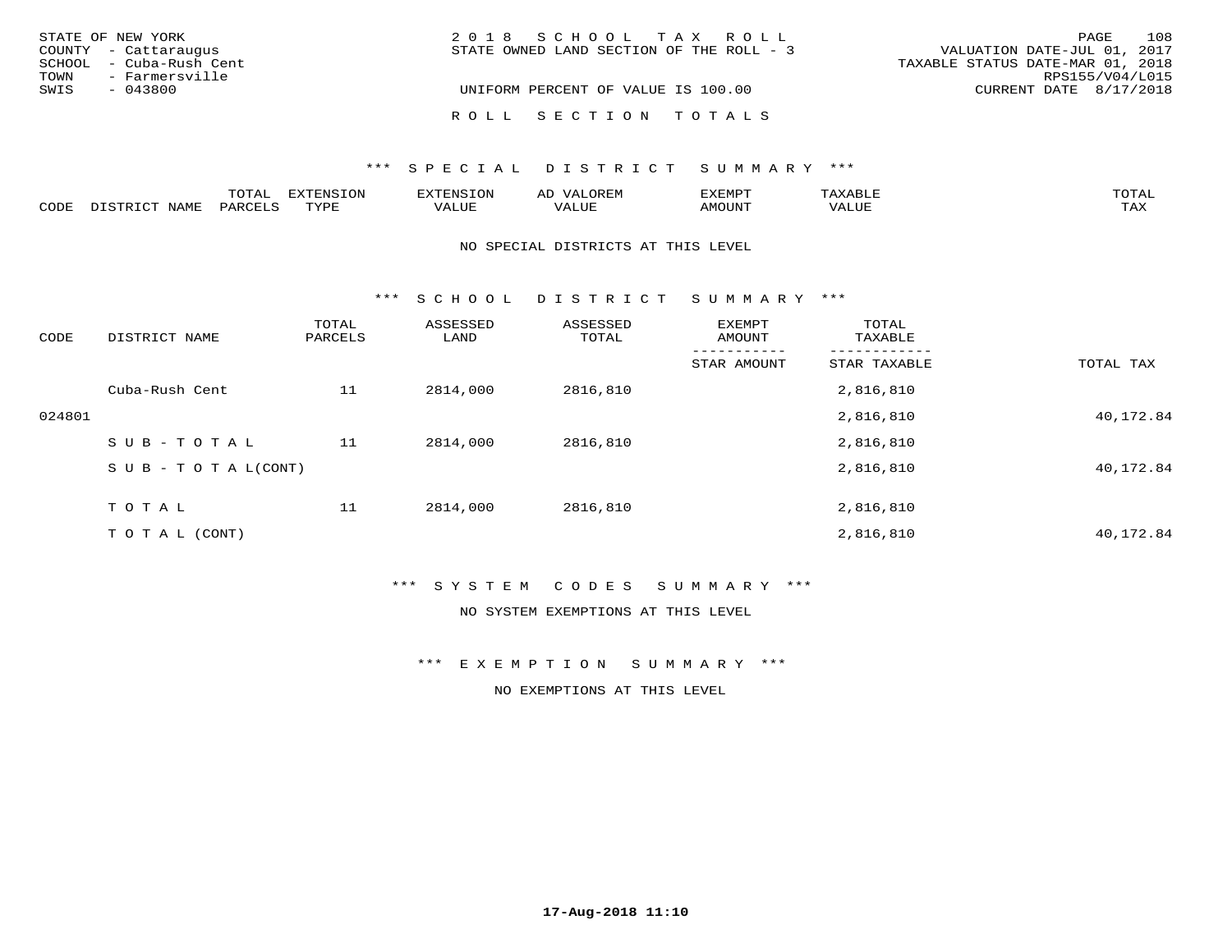| STATE OF NEW YORK       | 2018 SCHOOL TAX ROLL                     | 108<br>PAGE                      |
|-------------------------|------------------------------------------|----------------------------------|
| COUNTY - Cattaraugus    | STATE OWNED LAND SECTION OF THE ROLL - 3 | VALUATION DATE-JUL 01, 2017      |
| SCHOOL - Cuba-Rush Cent |                                          | TAXABLE STATUS DATE-MAR 01, 2018 |
| - Farmersville<br>TOWN  |                                          | RPS155/V04/L015                  |
| SWIS<br>$-043800$       | UNIFORM PERCENT OF VALUE IS 100.00       | CURRENT DATE 8/17/2018           |
|                         |                                          |                                  |
|                         | ROLL SECTION TOTALS                      |                                  |

|      |                                | noma:<br>UTAL | <b>EXTENSION</b> | TENSION                | Aν<br>.JREN      | <b>EXEMPT</b> | $max$ is $max$ $\tau$  | TOTAL |
|------|--------------------------------|---------------|------------------|------------------------|------------------|---------------|------------------------|-------|
| CODE | <b>NAME</b><br>$  -$<br>DI STR | PARCELS       | TVDF             | $- - - - - -$<br>VALUE | -- - ---<br>ALUE | <b>IMOUNT</b> | * * * * * * *<br>'ALUL | TAX   |

### NO SPECIAL DISTRICTS AT THIS LEVEL

\*\*\* S C H O O L D I S T R I C T S U M M A R Y \*\*\*

| CODE   | DISTRICT NAME                    | TOTAL<br>PARCELS | ASSESSED<br>LAND | ASSESSED<br>TOTAL | EXEMPT<br>AMOUNT | TOTAL<br>TAXABLE |           |
|--------|----------------------------------|------------------|------------------|-------------------|------------------|------------------|-----------|
|        |                                  |                  |                  |                   | STAR AMOUNT      | STAR TAXABLE     | TOTAL TAX |
|        | Cuba-Rush Cent                   | 11               | 2814,000         | 2816,810          |                  | 2,816,810        |           |
| 024801 |                                  |                  |                  |                   |                  | 2,816,810        | 40,172.84 |
|        | SUB-TOTAL                        | 11               | 2814,000         | 2816,810          |                  | 2,816,810        |           |
|        | $S \cup B - T \cup T A L (CONT)$ |                  |                  |                   |                  | 2,816,810        | 40,172.84 |
|        | TOTAL                            | 11               | 2814,000         | 2816,810          |                  | 2,816,810        |           |
|        | T O T A L (CONT)                 |                  |                  |                   |                  | 2,816,810        | 40,172.84 |

## \*\*\* S Y S T E M C O D E S S U M M A R Y \*\*\*

NO SYSTEM EXEMPTIONS AT THIS LEVEL

\*\*\* E X E M P T I O N S U M M A R Y \*\*\*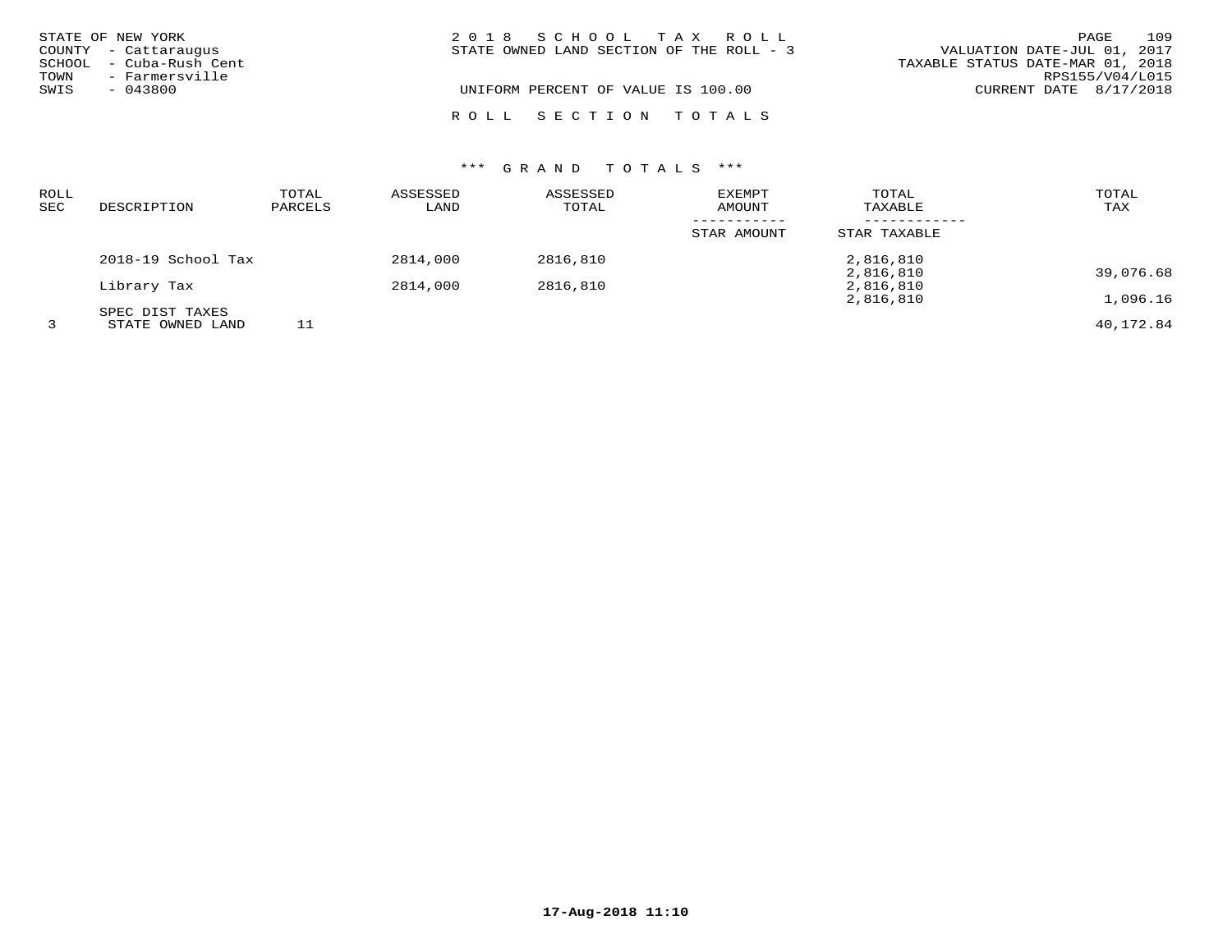|              | STATE OF NEW YORK<br>COUNTY - Cattaraugus<br>SCHOOL - Cuba-Rush Cent | 2018 SCHOOL TAX ROLL<br>VALUATION DATE-JUL 01, 2017<br>STATE OWNED LAND SECTION OF THE ROLL - 3<br>TAXABLE STATUS DATE-MAR 01, 2018 | PAGE            | 109 |
|--------------|----------------------------------------------------------------------|-------------------------------------------------------------------------------------------------------------------------------------|-----------------|-----|
| TOWN<br>SWIS | - Farmersville<br>$-043800$                                          | UNIFORM PERCENT OF VALUE IS 100.00<br>CURRENT DATE $8/17/2018$                                                                      | RPS155/V04/L015 |     |
|              |                                                                      | ROLL SECTION TOTALS                                                                                                                 |                 |     |

| <b>ROLL</b><br>SEC | DESCRIPTION                         | TOTAL<br>PARCELS | ASSESSED<br>LAND | ASSESSED<br>TOTAL | <b>EXEMPT</b><br>AMOUNT | TOTAL<br>TAXABLE       | TOTAL<br>TAX |
|--------------------|-------------------------------------|------------------|------------------|-------------------|-------------------------|------------------------|--------------|
|                    |                                     |                  |                  |                   | STAR AMOUNT             | STAR TAXABLE           |              |
|                    | 2018-19 School Tax                  |                  | 2814,000         | 2816,810          |                         | 2,816,810<br>2,816,810 | 39,076.68    |
|                    | Library Tax                         |                  | 2814,000         | 2816,810          |                         | 2,816,810<br>2,816,810 | 1,096.16     |
|                    | SPEC DIST TAXES<br>STATE OWNED LAND | 11               |                  |                   |                         |                        | 40,172.84    |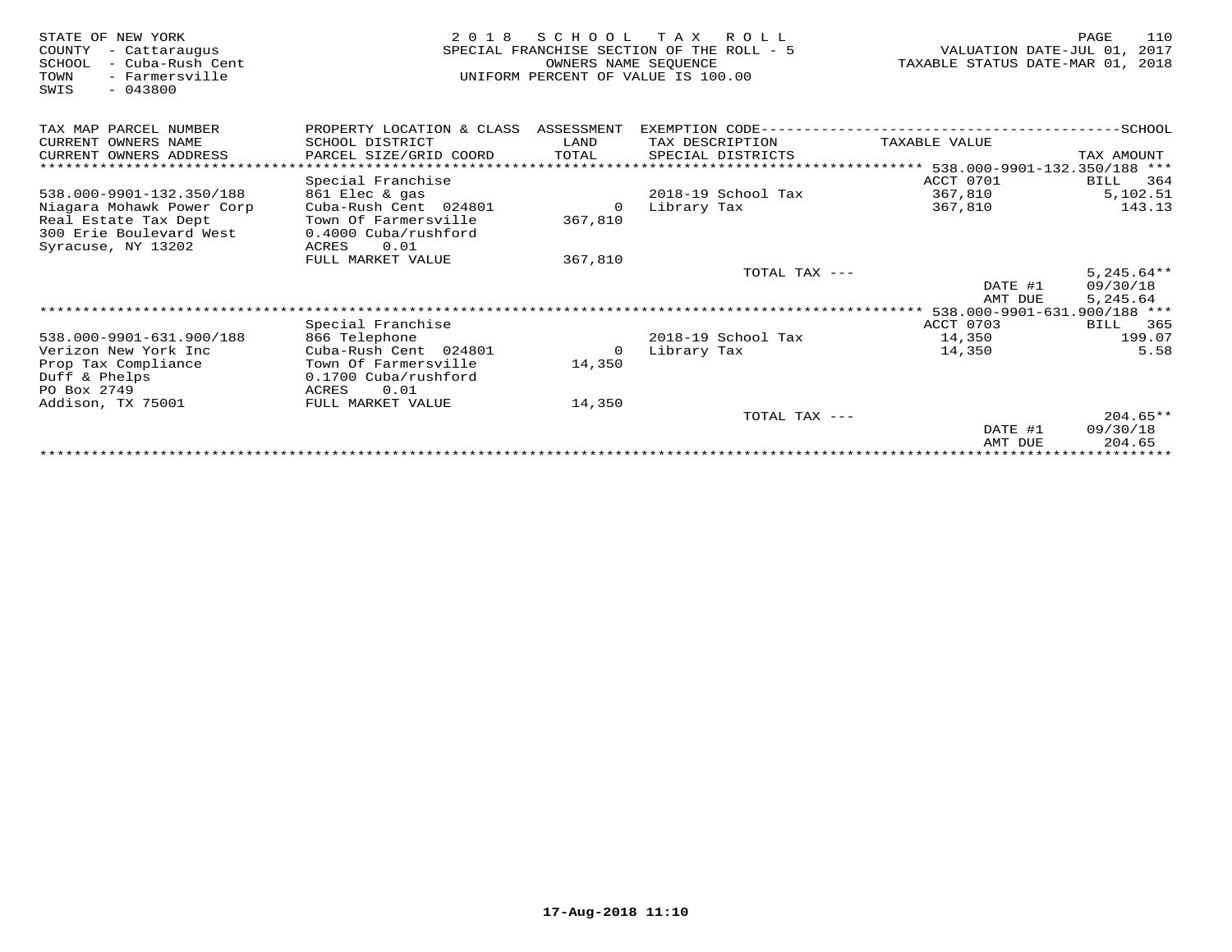| STATE OF NEW YORK<br>COUNTY<br>- Cattaraugus<br>- Cuba-Rush Cent<br>SCHOOL<br>- Farmersville<br>TOWN<br>$-043800$<br>SWIS | 2 0 1 8                                | SCHOOL<br>OWNERS NAME SEOUENCE | T A X<br>R O L L<br>SPECIAL FRANCHISE SECTION OF THE ROLL - 5<br>UNIFORM PERCENT OF VALUE IS 100.00 | VALUATION DATE-JUL 01,<br>TAXABLE STATUS DATE-MAR 01, | 110<br>PAGE<br>2017<br>2018 |
|---------------------------------------------------------------------------------------------------------------------------|----------------------------------------|--------------------------------|-----------------------------------------------------------------------------------------------------|-------------------------------------------------------|-----------------------------|
| TAX MAP PARCEL NUMBER                                                                                                     | PROPERTY LOCATION & CLASS ASSESSMENT   |                                | EXEMPTION CODE----------------------------                                                          |                                                       | --------------SCHOOL        |
| CURRENT OWNERS NAME                                                                                                       | SCHOOL DISTRICT                        | LAND                           | TAX DESCRIPTION                                                                                     | TAXABLE VALUE                                         |                             |
| CURRENT OWNERS ADDRESS                                                                                                    | PARCEL SIZE/GRID COORD                 | TOTAL                          | SPECIAL DISTRICTS                                                                                   |                                                       | TAX AMOUNT                  |
|                                                                                                                           | ************************************** |                                |                                                                                                     | ****************** 538.000-9901-132.350/188 ***       |                             |
|                                                                                                                           | Special Franchise                      |                                |                                                                                                     | ACCT 0701                                             | BILL 364                    |
| 538.000-9901-132.350/188                                                                                                  | 861 Elec & gas                         |                                | $2018-19$ School Tax                                                                                | 367,810                                               | 5,102.51                    |
| Niagara Mohawk Power Corp                                                                                                 | Cuba-Rush Cent 024801                  |                                | Library Tax                                                                                         | 367,810                                               | 143.13                      |
| Real Estate Tax Dept                                                                                                      | Town Of Farmersville                   | 367,810                        |                                                                                                     |                                                       |                             |
| 300 Erie Boulevard West                                                                                                   | 0.4000 Cuba/rushford                   |                                |                                                                                                     |                                                       |                             |
| Syracuse, NY 13202                                                                                                        | 0.01<br>ACRES                          |                                |                                                                                                     |                                                       |                             |
|                                                                                                                           | FULL MARKET VALUE                      | 367,810                        |                                                                                                     |                                                       |                             |
|                                                                                                                           |                                        |                                | TOTAL TAX ---                                                                                       |                                                       | $5,245.64**$                |
|                                                                                                                           |                                        |                                |                                                                                                     | DATE #1<br>AMT DUE                                    | 09/30/18                    |
|                                                                                                                           |                                        |                                |                                                                                                     |                                                       | 5,245.64                    |
|                                                                                                                           | Special Franchise                      |                                |                                                                                                     | ACCT 0703                                             | BILL<br>365                 |
| 538.000-9901-631.900/188                                                                                                  | 866 Telephone                          |                                | 2018-19 School Tax                                                                                  | 14,350                                                | 199.07                      |
| Verizon New York Inc                                                                                                      | Cuba-Rush Cent 024801                  | $\Omega$                       | Library Tax                                                                                         | 14,350                                                | 5.58                        |
| Prop Tax Compliance                                                                                                       | Town Of Farmersville                   | 14,350                         |                                                                                                     |                                                       |                             |
| Duff & Phelps                                                                                                             | 0.1700 Cuba/rushford                   |                                |                                                                                                     |                                                       |                             |
| PO Box 2749                                                                                                               | 0.01<br>ACRES                          |                                |                                                                                                     |                                                       |                             |
| Addison, TX 75001                                                                                                         | FULL MARKET VALUE                      | 14,350                         |                                                                                                     |                                                       |                             |
|                                                                                                                           |                                        |                                | TOTAL TAX ---                                                                                       |                                                       | $204.65**$                  |
|                                                                                                                           |                                        |                                |                                                                                                     | DATE #1                                               | 09/30/18                    |
|                                                                                                                           |                                        |                                |                                                                                                     | AMT DUE                                               | 204.65                      |
|                                                                                                                           |                                        |                                |                                                                                                     |                                                       |                             |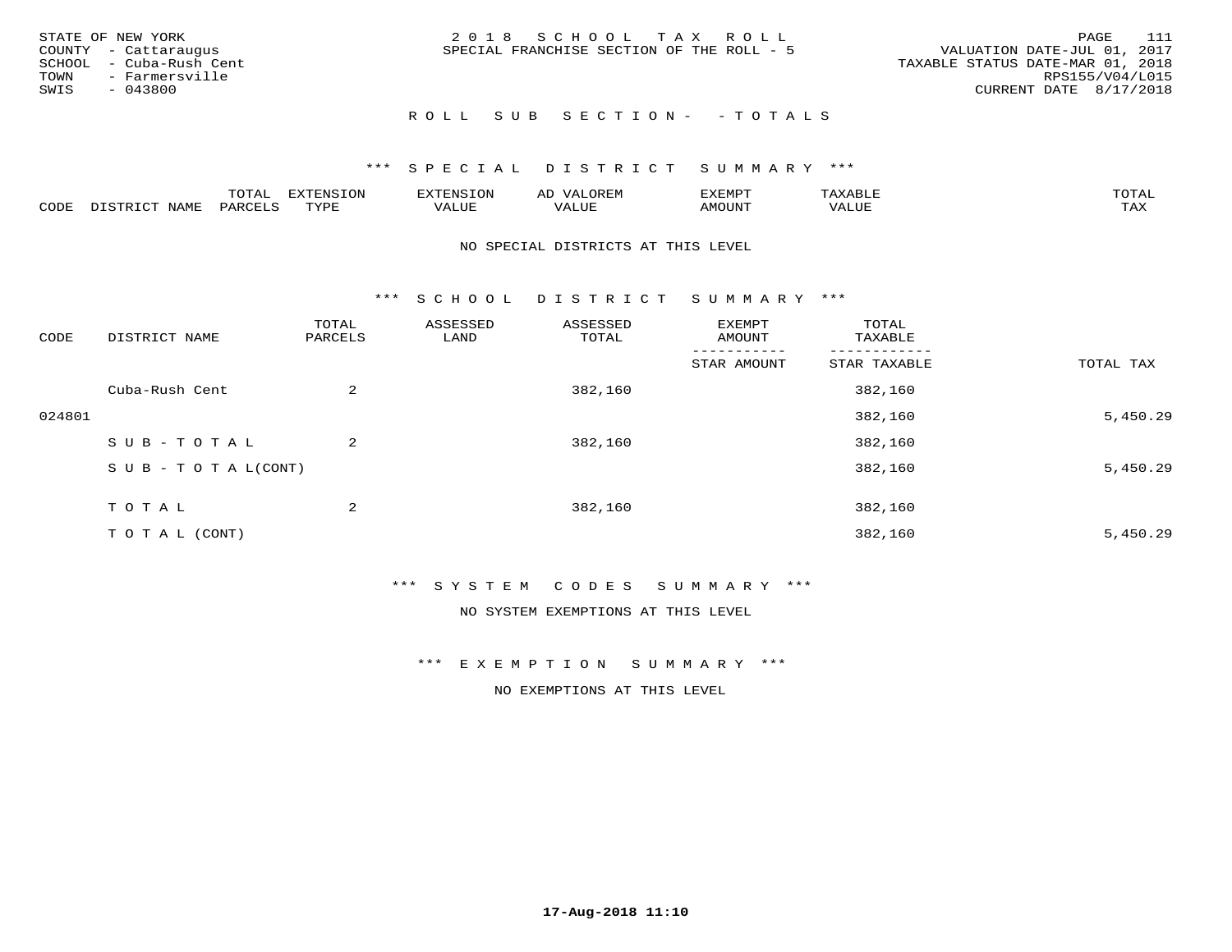| STATE OF NEW YORK<br>COUNTY - Cattaraugus<br>SCHOOL - Cuba-Rush Cent<br>TOWN - Farmersville<br>SWIS<br>- 043800 | 2018 SCHOOL TAX ROLL<br>SPECIAL FRANCHISE SECTION OF THE ROLL - 5 | - 111<br>PAGE<br>VALUATION DATE-JUL 01, 2017<br>TAXABLE STATUS DATE-MAR 01, 2018<br>RPS155/V04/L015<br>CURRENT DATE 8/17/2018 |
|-----------------------------------------------------------------------------------------------------------------|-------------------------------------------------------------------|-------------------------------------------------------------------------------------------------------------------------------|
|                                                                                                                 | ROLL SUB SECTION- - TOTALS                                        |                                                                                                                               |

|      |                            | ----<br>$\overline{\phantom{a}}$ | EXTENSION | <b>ENS</b>        | AL<br>$\cdots$ | דסאים אי     |                       | momn. |
|------|----------------------------|----------------------------------|-----------|-------------------|----------------|--------------|-----------------------|-------|
| CODE | $ \sim$ $-$<br><b>NAMP</b> | $\Omega$<br>'ARI                 | TVDF      | <sup>7</sup> ALUE | 'ALUE          | <b>MOUNT</b> | . <del>.</del><br>JUI | TAX   |

#### NO SPECIAL DISTRICTS AT THIS LEVEL

\*\*\* S C H O O L D I S T R I C T S U M M A R Y \*\*\*

| CODE   | DISTRICT NAME                    | TOTAL<br>PARCELS | ASSESSED<br>LAND | ASSESSED<br>TOTAL | EXEMPT<br>AMOUNT | TOTAL<br>TAXABLE |           |
|--------|----------------------------------|------------------|------------------|-------------------|------------------|------------------|-----------|
|        |                                  |                  |                  |                   | STAR AMOUNT      | STAR TAXABLE     | TOTAL TAX |
|        | Cuba-Rush Cent                   | $\overline{a}$   |                  | 382,160           |                  | 382,160          |           |
| 024801 |                                  |                  |                  |                   |                  | 382,160          | 5,450.29  |
|        | SUB-TOTAL                        | $\overline{2}$   |                  | 382,160           |                  | 382,160          |           |
|        | $S \cup B - T \cup T A L (CONT)$ |                  |                  |                   |                  | 382,160          | 5,450.29  |
|        | T O T A L                        | 2                |                  | 382,160           |                  | 382,160          |           |
|        | T O T A L (CONT)                 |                  |                  |                   |                  | 382,160          | 5,450.29  |

#### \*\*\* S Y S T E M C O D E S S U M M A R Y \*\*\*

NO SYSTEM EXEMPTIONS AT THIS LEVEL

\*\*\* E X E M P T I O N S U M M A R Y \*\*\*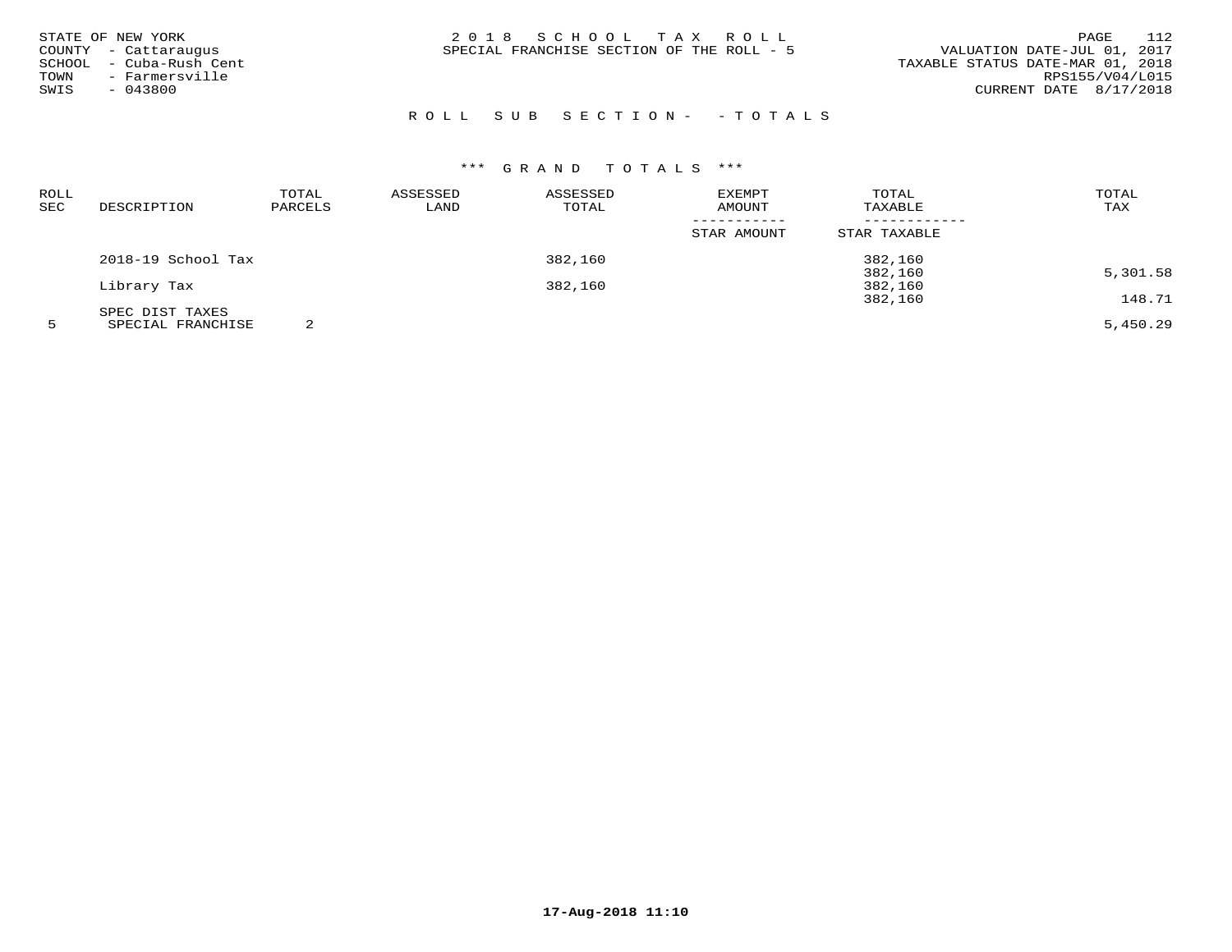| STATE OF NEW YORK       | 2018 SCHOOL TAX ROLL                      | - 112<br>PAGE                    |
|-------------------------|-------------------------------------------|----------------------------------|
| COUNTY - Cattaraugus    | SPECIAL FRANCHISE SECTION OF THE ROLL - 5 | VALUATION DATE-JUL 01, 2017      |
| SCHOOL - Cuba-Rush Cent |                                           | TAXABLE STATUS DATE-MAR 01, 2018 |
| - Farmersville<br>TOWN  |                                           | RPS155/V04/L015                  |
| $-043800$<br>SWIS       |                                           | CURRENT DATE 8/17/2018           |
|                         |                                           |                                  |

# R O L L S U B S E C T I O N - - T O T A L S

# \*\*\* G R A N D T O T A L S \*\*\*

| ROLL<br>SEC | DESCRIPTION                                                              | TOTAL<br>PARCELS | ASSESSED<br>LAND | ASSESSED<br>TOTAL | EXEMPT<br>AMOUNT | TOTAL<br>TAXABLE | TOTAL<br>TAX |
|-------------|--------------------------------------------------------------------------|------------------|------------------|-------------------|------------------|------------------|--------------|
|             |                                                                          |                  |                  |                   | STAR AMOUNT      | STAR TAXABLE     |              |
|             | 2018-19 School Tax                                                       |                  |                  | 382,160           |                  | 382,160          |              |
|             |                                                                          |                  |                  |                   |                  | 382,160          | 5,301.58     |
|             | Library Tax                                                              |                  |                  | 382,160           |                  | 382,160          |              |
|             |                                                                          |                  |                  |                   |                  | 382,160          | 148.71       |
|             | SPEC DIST TAXES<br>$\alpha$ pp $\alpha$ rif ppiit $\alpha$ itri $\alpha$ | $\sim$           |                  |                   |                  |                  | $-1$         |

5 SPECIAL FRANCHISE 2 5,450.29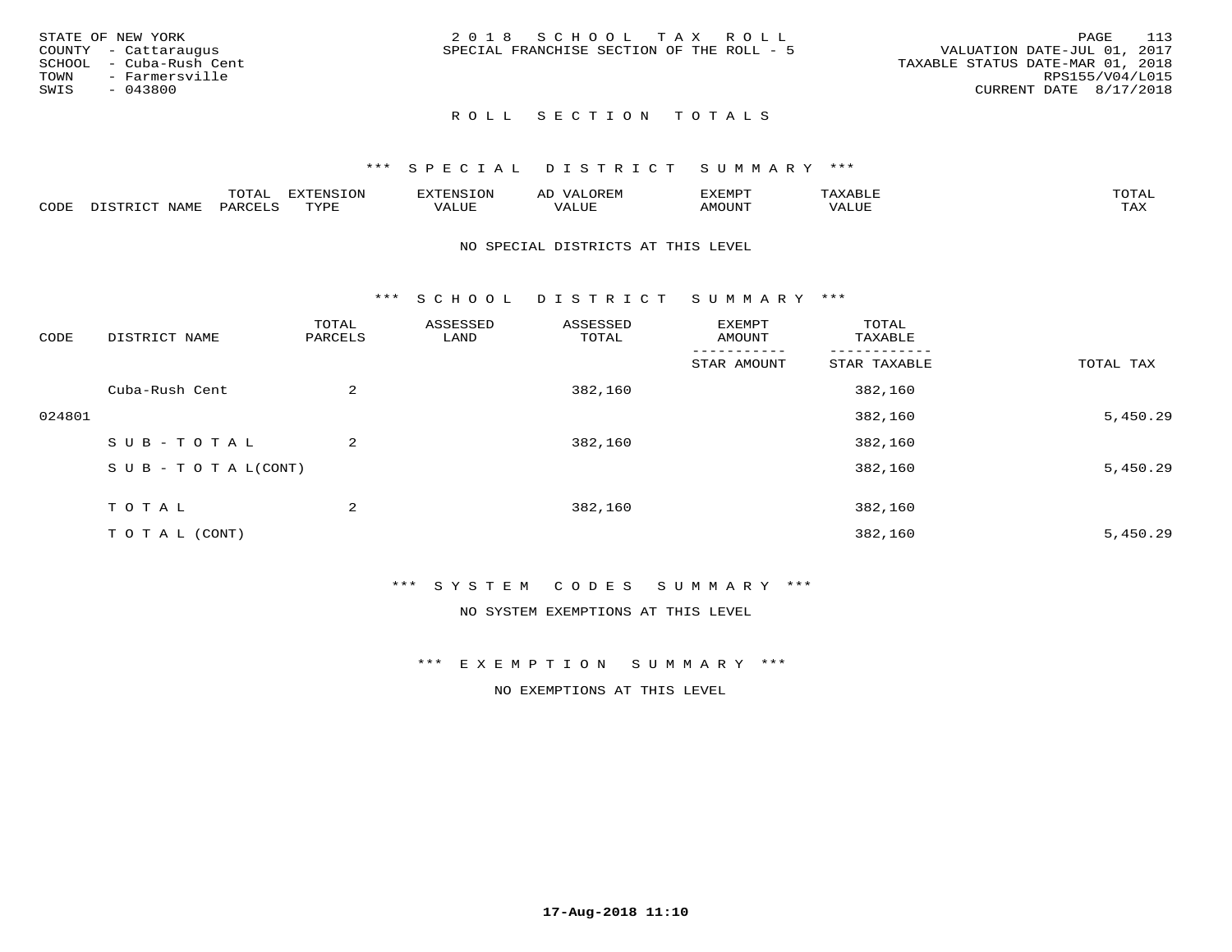|      | STATE OF NEW YORK       | 2018 SCHOOL TAX ROLL                                                     | PAGE            | - 113 |
|------|-------------------------|--------------------------------------------------------------------------|-----------------|-------|
|      | COUNTY - Cattaraugus    | VALUATION DATE-JUL 01, 2017<br>SPECIAL FRANCHISE SECTION OF THE ROLL - 5 |                 |       |
|      | SCHOOL - Cuba-Rush Cent | TAXABLE STATUS DATE-MAR 01, 2018                                         |                 |       |
| TOWN | - Farmersville          |                                                                          | RPS155/V04/L015 |       |
| SWIS | - 043800                | CURRENT DATE 8/17/2018                                                   |                 |       |
|      |                         |                                                                          |                 |       |

# ROLL SECTION TOTALS

#### \*\*\* S P E C I A L D I S T R I C T S U M M A R Y \*\*\*

|      |                                | mom n<br>L∪IAL   | <b>DIZPOIATO TOMT</b><br>LUN | -----------<br>י ו יו   | AD<br>URLIV  | $\ldots$<br>″ –<br>. ۱٬۱۳۰٬۰۰۰ | max                  | $m \wedge m \wedge n$ |
|------|--------------------------------|------------------|------------------------------|-------------------------|--------------|--------------------------------|----------------------|-----------------------|
| CODE | $ -$<br><b>NAM<sup>T</sup></b> | PAR <sub>U</sub> | TVDF                         | $- - - -$<br>$A \cup P$ | ----<br>ALUF | IMOUNT                         | $   -$<br>$\sqrt{A}$ | $m \times r$<br>- −-  |

#### NO SPECIAL DISTRICTS AT THIS LEVEL

\*\*\* S C H O O L D I S T R I C T S U M M A R Y \*\*\*

| CODE   | DISTRICT NAME                    | TOTAL<br>PARCELS | ASSESSED<br>LAND | ASSESSED<br>TOTAL | EXEMPT<br>AMOUNT | TOTAL<br>TAXABLE |           |
|--------|----------------------------------|------------------|------------------|-------------------|------------------|------------------|-----------|
|        |                                  |                  |                  |                   | STAR AMOUNT      | STAR TAXABLE     | TOTAL TAX |
|        | Cuba-Rush Cent                   | $\overline{a}$   |                  | 382,160           |                  | 382,160          |           |
| 024801 |                                  |                  |                  |                   |                  | 382,160          | 5,450.29  |
|        | SUB-TOTAL                        | $\overline{2}$   |                  | 382,160           |                  | 382,160          |           |
|        | $S \cup B - T \cup T A L (CONT)$ |                  |                  |                   |                  | 382,160          | 5,450.29  |
|        | T O T A L                        | 2                |                  | 382,160           |                  | 382,160          |           |
|        | T O T A L (CONT)                 |                  |                  |                   |                  | 382,160          | 5,450.29  |

#### \*\*\* S Y S T E M C O D E S S U M M A R Y \*\*\*

NO SYSTEM EXEMPTIONS AT THIS LEVEL

\*\*\* E X E M P T I O N S U M M A R Y \*\*\*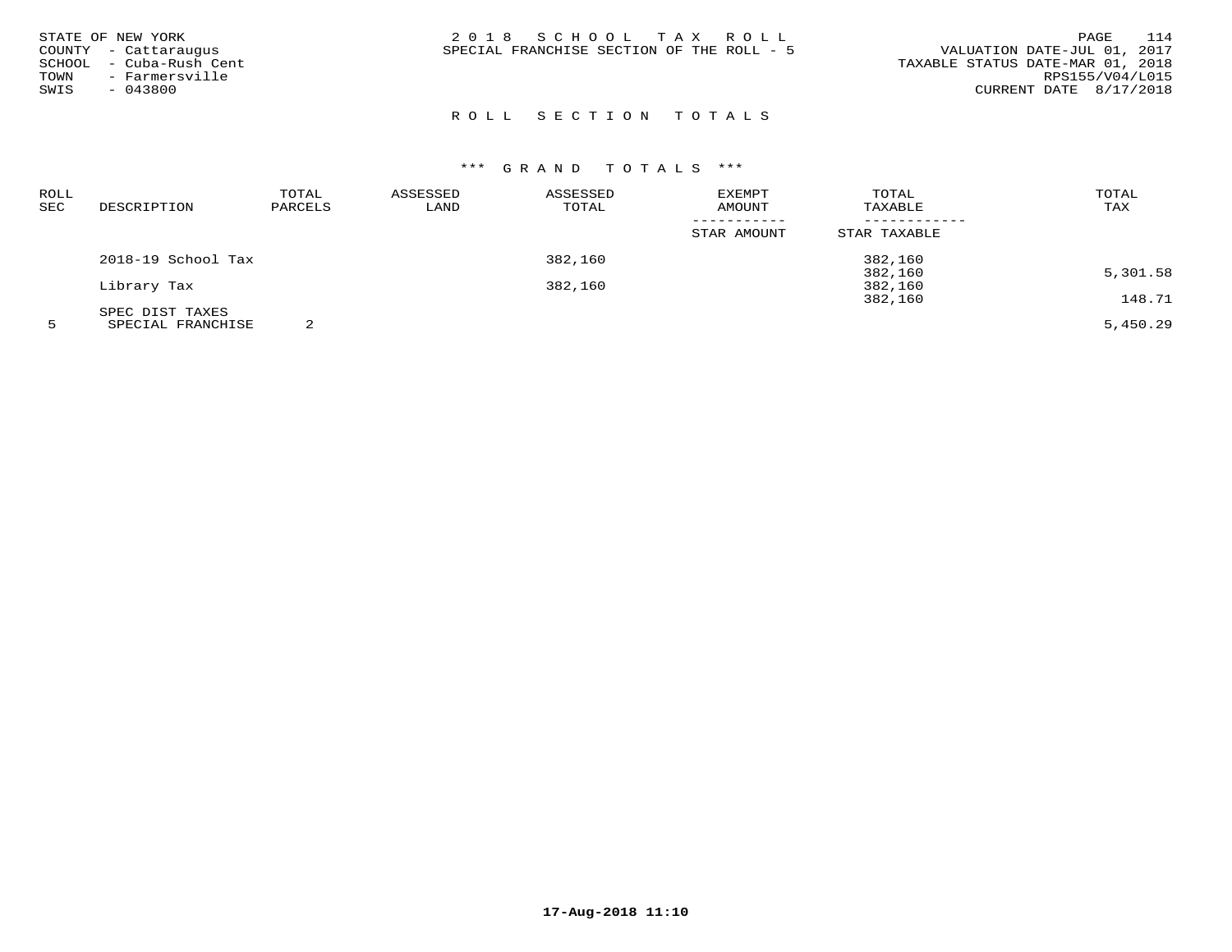| STATE OF NEW YORK<br>COUNTY - Cattaraugus<br>- Cuba-Rush Cent<br>SCHOOL<br>- Farmersville<br>TOWN<br>$-043800$<br>SWIS | 2018 SCHOOL TAX ROLL<br>SPECIAL FRANCHISE SECTION OF THE ROLL - 5 | 114<br>PAGE<br>VALUATION DATE-JUL 01, 2017<br>TAXABLE STATUS DATE-MAR 01, 2018<br>RPS155/V04/L015<br>CURRENT DATE 8/17/2018 |
|------------------------------------------------------------------------------------------------------------------------|-------------------------------------------------------------------|-----------------------------------------------------------------------------------------------------------------------------|
|                                                                                                                        |                                                                   |                                                                                                                             |

# ROLL SECTION TOTALS

# \*\*\* G R A N D T O T A L S \*\*\*

| ROLL |                    | TOTAL   | ASSESSED | ASSESSED | EXEMPT      | TOTAL        | TOTAL                                                                           |
|------|--------------------|---------|----------|----------|-------------|--------------|---------------------------------------------------------------------------------|
| SEC  | DESCRIPTION        | PARCELS | LAND     | TOTAL    | AMOUNT      | TAXABLE      | TAX                                                                             |
|      |                    |         |          |          | STAR AMOUNT | STAR TAXABLE |                                                                                 |
|      | 2018-19 School Tax |         |          | 382,160  |             | 382,160      |                                                                                 |
|      |                    |         |          |          |             | 382,160      | 5,301.58                                                                        |
|      | Library Tax        |         |          | 382,160  |             | 382,160      |                                                                                 |
|      |                    |         |          |          |             | 382,160      | 148.71                                                                          |
|      | SPEC DIST TAXES    |         |          |          |             |              | the contract of the contract of the contract of the contract of the contract of |

5 SPECIAL FRANCHISE 2 5,450.29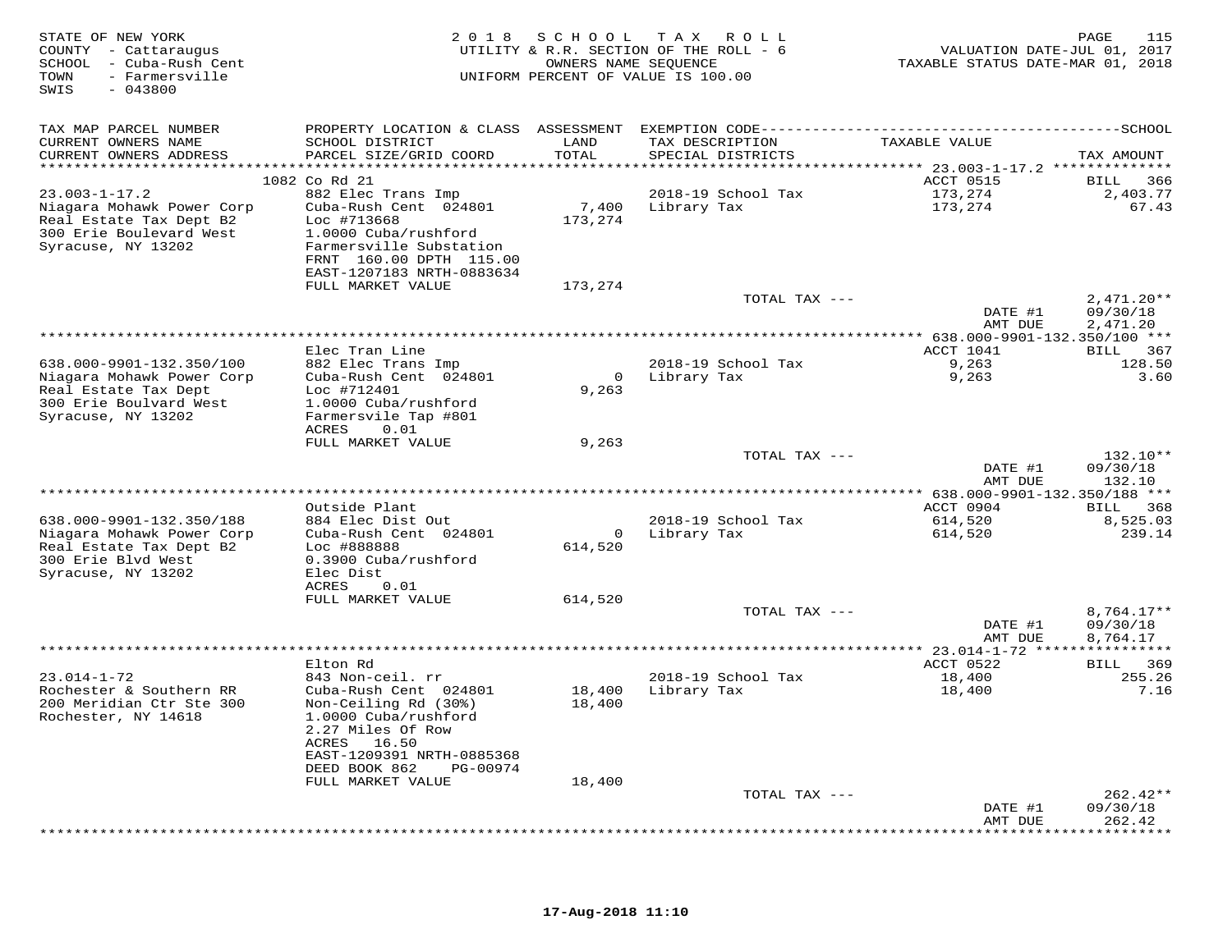| STATE OF NEW YORK<br>COUNTY - Cattaraugus<br>SCHOOL - Cuba-Rush Cent<br>- Farmersville<br>TOWN<br>SWIS<br>$-043800$ | 2 0 1 8                                                                       | OWNERS NAME SEQUENCE    | SCHOOL TAX ROLL<br>UTILITY & R.R. SECTION OF THE ROLL - 6<br>UNIFORM PERCENT OF VALUE IS 100.00 | VALUATION DATE-JUL 01, 2017<br>TAXABLE STATUS DATE-MAR 01, 2018 | PAGE<br>115            |
|---------------------------------------------------------------------------------------------------------------------|-------------------------------------------------------------------------------|-------------------------|-------------------------------------------------------------------------------------------------|-----------------------------------------------------------------|------------------------|
| TAX MAP PARCEL NUMBER                                                                                               | PROPERTY LOCATION & CLASS ASSESSMENT EXEMPTION CODE-------------------------- |                         |                                                                                                 |                                                                 | --------------SCHOOL   |
| CURRENT OWNERS NAME                                                                                                 | SCHOOL DISTRICT                                                               | LAND                    | TAX DESCRIPTION                                                                                 | TAXABLE VALUE                                                   |                        |
| CURRENT OWNERS ADDRESS<br>***********************                                                                   | PARCEL SIZE/GRID COORD<br>*****************************                       | TOTAL                   | SPECIAL DISTRICTS                                                                               |                                                                 | TAX AMOUNT             |
|                                                                                                                     | 1082 Co Rd 21                                                                 |                         |                                                                                                 | ACCT 0515                                                       | 366<br>BILL            |
| $23.003 - 1 - 17.2$                                                                                                 | 882 Elec Trans Imp                                                            |                         | 2018-19 School Tax                                                                              | 173,274                                                         | 2,403.77               |
| Niagara Mohawk Power Corp                                                                                           | Cuba-Rush Cent 024801                                                         | 7,400                   | Library Tax                                                                                     | 173,274                                                         | 67.43                  |
| Real Estate Tax Dept B2                                                                                             | Loc #713668                                                                   | 173,274                 |                                                                                                 |                                                                 |                        |
| 300 Erie Boulevard West                                                                                             | 1.0000 Cuba/rushford                                                          |                         |                                                                                                 |                                                                 |                        |
| Syracuse, NY 13202                                                                                                  | Farmersville Substation                                                       |                         |                                                                                                 |                                                                 |                        |
|                                                                                                                     | FRNT 160.00 DPTH 115.00<br>EAST-1207183 NRTH-0883634                          |                         |                                                                                                 |                                                                 |                        |
|                                                                                                                     | FULL MARKET VALUE                                                             | 173,274                 |                                                                                                 |                                                                 |                        |
|                                                                                                                     |                                                                               |                         | TOTAL TAX ---                                                                                   |                                                                 | $2,471.20**$           |
|                                                                                                                     |                                                                               |                         |                                                                                                 | DATE #1                                                         | 09/30/18               |
|                                                                                                                     |                                                                               |                         |                                                                                                 | AMT DUE                                                         | 2,471.20               |
|                                                                                                                     | Elec Tran Line                                                                |                         |                                                                                                 | ACCT 1041                                                       | BILL 367               |
| 638.000-9901-132.350/100                                                                                            | 882 Elec Trans Imp                                                            |                         | 2018-19 School Tax                                                                              | 9,263                                                           | 128.50                 |
| Niagara Mohawk Power Corp                                                                                           | Cuba-Rush Cent 024801                                                         | $\overline{0}$          | Library Tax                                                                                     | 9,263                                                           | 3.60                   |
| Real Estate Tax Dept                                                                                                | Loc #712401                                                                   | 9,263                   |                                                                                                 |                                                                 |                        |
| 300 Erie Boulvard West                                                                                              | 1.0000 Cuba/rushford                                                          |                         |                                                                                                 |                                                                 |                        |
| Syracuse, NY 13202                                                                                                  | Farmersvile Tap #801<br><b>ACRES</b><br>0.01                                  |                         |                                                                                                 |                                                                 |                        |
|                                                                                                                     | FULL MARKET VALUE                                                             | 9,263                   |                                                                                                 |                                                                 |                        |
|                                                                                                                     |                                                                               |                         | TOTAL TAX ---                                                                                   |                                                                 | 132.10**               |
|                                                                                                                     |                                                                               |                         |                                                                                                 | DATE #1                                                         | 09/30/18               |
|                                                                                                                     |                                                                               |                         |                                                                                                 | AMT DUE                                                         | 132.10                 |
|                                                                                                                     | Outside Plant                                                                 |                         |                                                                                                 | $******$ 638.000-9901-132.350/188 ***<br>ACCT 0904              | BILL 368               |
| 638.000-9901-132.350/188                                                                                            | 884 Elec Dist Out                                                             |                         | 2018-19 School Tax                                                                              | 614,520                                                         | 8,525.03               |
| Niagara Mohawk Power Corp                                                                                           | Cuba-Rush Cent 024801                                                         | $\overline{\mathbf{0}}$ | Library Tax                                                                                     | 614,520                                                         | 239.14                 |
| Real Estate Tax Dept B2                                                                                             | Loc #888888                                                                   | 614,520                 |                                                                                                 |                                                                 |                        |
| 300 Erie Blvd West                                                                                                  | 0.3900 Cuba/rushford<br>Elec Dist                                             |                         |                                                                                                 |                                                                 |                        |
| Syracuse, NY 13202                                                                                                  | ACRES<br>0.01                                                                 |                         |                                                                                                 |                                                                 |                        |
|                                                                                                                     | FULL MARKET VALUE                                                             | 614,520                 |                                                                                                 |                                                                 |                        |
|                                                                                                                     |                                                                               |                         | TOTAL TAX ---                                                                                   |                                                                 | 8,764.17**             |
|                                                                                                                     |                                                                               |                         |                                                                                                 | DATE #1                                                         | 09/30/18               |
|                                                                                                                     |                                                                               |                         |                                                                                                 | AMT DUE<br>************ 23.014-1-72 ****                        | 8,764.17               |
|                                                                                                                     | Elton Rd                                                                      |                         |                                                                                                 | ACCT 0522                                                       | BILL 369               |
| $23.014 - 1 - 72$                                                                                                   | 843 Non-ceil. rr                                                              |                         | 2018-19 School Tax                                                                              | 18,400                                                          | 255.26                 |
| Rochester & Southern RR                                                                                             | Cuba-Rush Cent 024801                                                         | 18,400                  | Library Tax                                                                                     | 18,400                                                          | 7.16                   |
| 200 Meridian Ctr Ste 300                                                                                            | Non-Ceiling Rd (30%)                                                          | 18,400                  |                                                                                                 |                                                                 |                        |
| Rochester, NY 14618                                                                                                 | 1.0000 Cuba/rushford<br>2.27 Miles Of Row                                     |                         |                                                                                                 |                                                                 |                        |
|                                                                                                                     | ACRES<br>16.50                                                                |                         |                                                                                                 |                                                                 |                        |
|                                                                                                                     | EAST-1209391 NRTH-0885368                                                     |                         |                                                                                                 |                                                                 |                        |
|                                                                                                                     | DEED BOOK 862<br>PG-00974                                                     |                         |                                                                                                 |                                                                 |                        |
|                                                                                                                     | FULL MARKET VALUE                                                             | 18,400                  |                                                                                                 |                                                                 |                        |
|                                                                                                                     |                                                                               |                         | TOTAL TAX ---                                                                                   | DATE #1                                                         | $262.42**$<br>09/30/18 |
|                                                                                                                     |                                                                               |                         |                                                                                                 | AMT DUE                                                         | 262.42                 |
|                                                                                                                     |                                                                               |                         | **************************************                                                          | ****************                                                | * * * * * * * * * *    |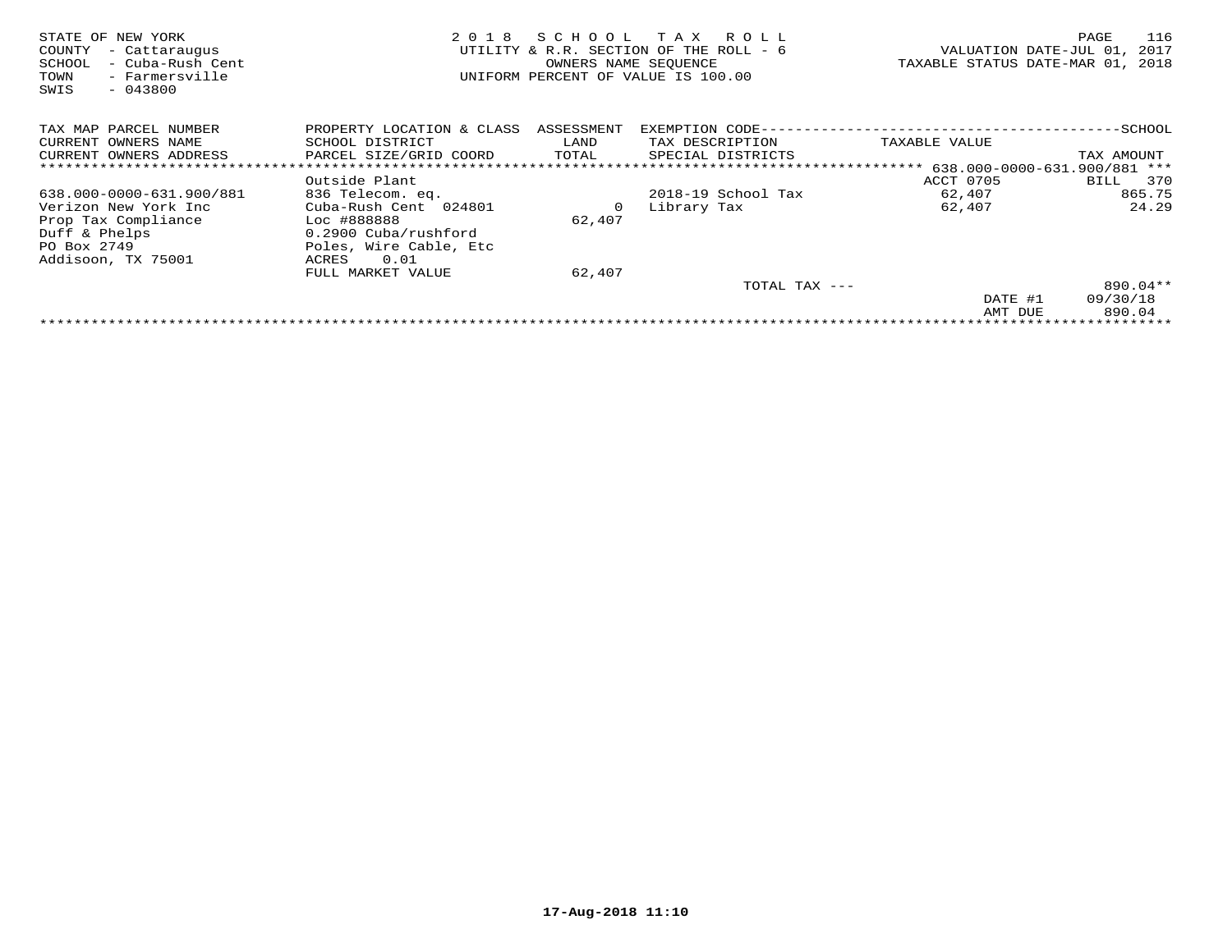| STATE OF NEW YORK<br>COUNTY<br>- Cattaraugus<br>- Cuba-Rush Cent<br>SCHOOL<br>- Farmersville<br>TOWN<br>$-043800$<br>SWIS | 2 0 1 8                   | SCHOOL     | T A X<br>R O L L<br>UTILITY & R.R. SECTION OF THE ROLL - 6<br>OWNERS NAME SEQUENCE<br>UNIFORM PERCENT OF VALUE IS 100.00 | VALUATION DATE-JUL 01,<br>TAXABLE STATUS DATE-MAR 01, 2018 | 116<br>PAGE<br>2017 |
|---------------------------------------------------------------------------------------------------------------------------|---------------------------|------------|--------------------------------------------------------------------------------------------------------------------------|------------------------------------------------------------|---------------------|
| TAX MAP PARCEL NUMBER                                                                                                     | PROPERTY LOCATION & CLASS | ASSESSMENT | EXEMPTION CODE-                                                                                                          |                                                            | -SCHOOL             |
| CURRENT OWNERS NAME                                                                                                       | SCHOOL DISTRICT           | LAND       | TAX DESCRIPTION                                                                                                          | TAXABLE VALUE                                              |                     |
| CURRENT OWNERS ADDRESS                                                                                                    | PARCEL SIZE/GRID COORD    | TOTAL      | SPECIAL DISTRICTS                                                                                                        |                                                            | TAX AMOUNT          |
|                                                                                                                           |                           |            |                                                                                                                          |                                                            |                     |
|                                                                                                                           | Outside Plant             |            |                                                                                                                          | ACCT 0705                                                  | 370<br>BILL         |
| 638.000-0000-631.900/881                                                                                                  | 836 Telecom. eq.          |            | $2018-19$ School Tax                                                                                                     | 62,407                                                     | 865.75              |
| Verizon New York Inc                                                                                                      | Cuba-Rush Cent 024801     | 0          | Library Tax                                                                                                              | 62,407                                                     | 24.29               |
| Prop Tax Compliance                                                                                                       | Loc #888888               | 62,407     |                                                                                                                          |                                                            |                     |
| Duff & Phelps                                                                                                             | 0.2900 Cuba/rushford      |            |                                                                                                                          |                                                            |                     |
| PO Box 2749                                                                                                               | Poles, Wire Cable, Etc    |            |                                                                                                                          |                                                            |                     |
| Addisoon, TX 75001                                                                                                        | 0.01<br>ACRES             |            |                                                                                                                          |                                                            |                     |
|                                                                                                                           | FULL MARKET VALUE         | 62,407     |                                                                                                                          |                                                            |                     |
|                                                                                                                           |                           |            | TOTAL TAX ---                                                                                                            |                                                            | 890.04**            |
|                                                                                                                           |                           |            |                                                                                                                          | DATE #1                                                    | 09/30/18            |
|                                                                                                                           |                           |            |                                                                                                                          | AMT DUE                                                    | 890.04              |
|                                                                                                                           |                           |            |                                                                                                                          |                                                            |                     |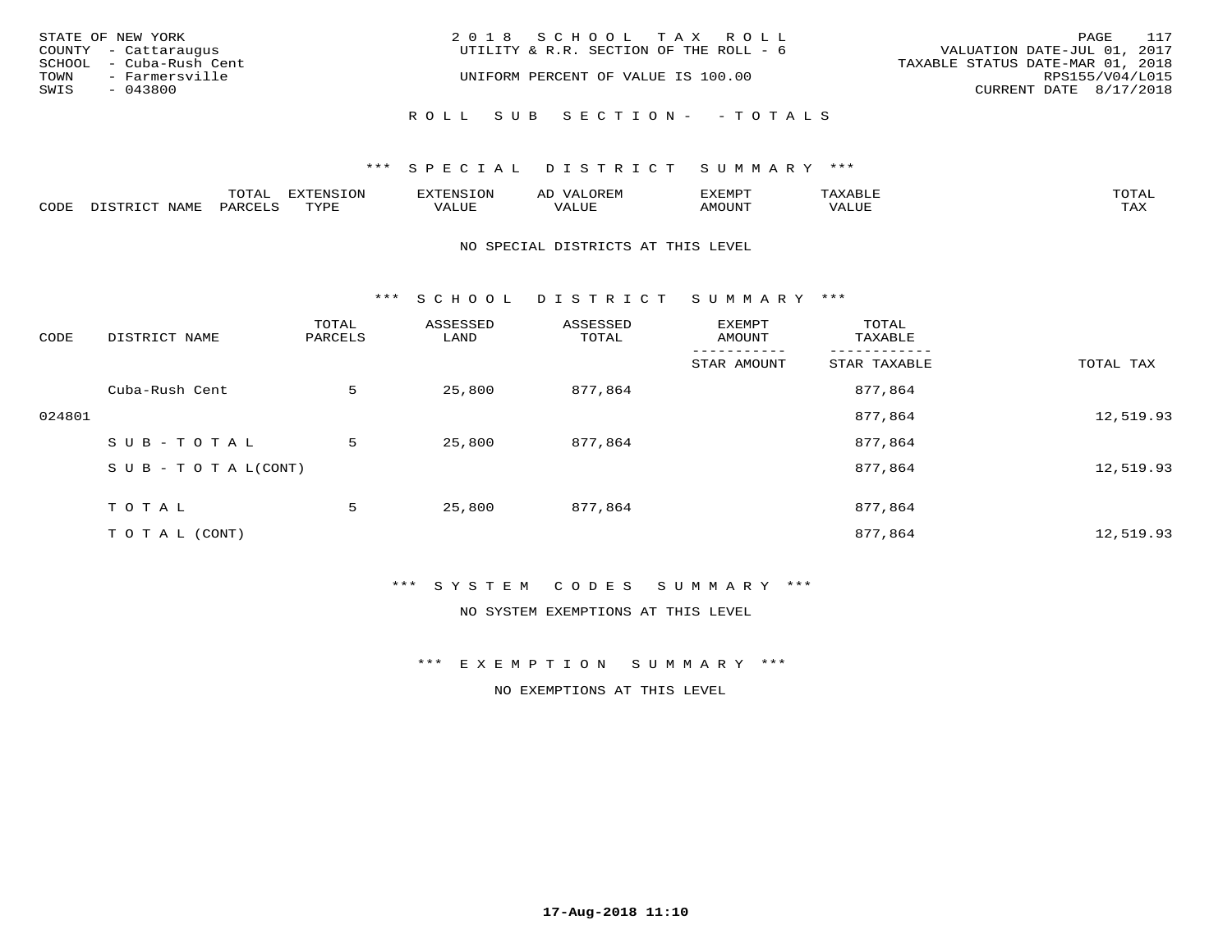|      | STATE OF NEW YORK       | 2018 SCHOOL TAX ROLL                   |                                  | PAGE | 117 |
|------|-------------------------|----------------------------------------|----------------------------------|------|-----|
|      | COUNTY - Cattaraugus    | UTILITY & R.R. SECTION OF THE ROLL - 6 | VALUATION DATE-JUL 01, 2017      |      |     |
|      | SCHOOL - Cuba-Rush Cent |                                        | TAXABLE STATUS DATE-MAR 01, 2018 |      |     |
| TOWN | - Farmersville          | UNIFORM PERCENT OF VALUE IS 100.00     | RPS155/V04/L015                  |      |     |
| SWIS | $-043800$               |                                        | CURRENT DATE 8/17/2018           |      |     |
|      |                         | ROLL SUB SECTION- - TOTALS             |                                  |      |     |

|      |      | $m \wedge m \wedge n$<br>◡∸ғ | TON                              | . HUNY              | AĽ                  | ے ا      |       | $m \wedge m \wedge n$ |
|------|------|------------------------------|----------------------------------|---------------------|---------------------|----------|-------|-----------------------|
| CODE | NAMF | 'AK                          | $m \times r \times r$<br>- - - - | T T T<br>اللالمستحم | - ---<br>اللالمستعم | 57077375 | VALUF | $m \times r$<br>- −-  |

#### NO SPECIAL DISTRICTS AT THIS LEVEL

\*\*\* S C H O O L D I S T R I C T S U M M A R Y \*\*\*

| CODE   | DISTRICT NAME                    | TOTAL<br>PARCELS | ASSESSED<br>LAND | ASSESSED<br>TOTAL | EXEMPT<br>AMOUNT | TOTAL<br>TAXABLE |           |
|--------|----------------------------------|------------------|------------------|-------------------|------------------|------------------|-----------|
|        |                                  |                  |                  |                   | STAR AMOUNT      | STAR TAXABLE     | TOTAL TAX |
|        | Cuba-Rush Cent                   | 5                | 25,800           | 877,864           |                  | 877,864          |           |
| 024801 |                                  |                  |                  |                   |                  | 877,864          | 12,519.93 |
|        | SUB-TOTAL                        | 5                | 25,800           | 877,864           |                  | 877,864          |           |
|        | $S \cup B - T \cup T A L (CONT)$ |                  |                  |                   |                  | 877,864          | 12,519.93 |
|        | TOTAL                            | 5                | 25,800           | 877,864           |                  | 877,864          |           |
|        | T O T A L (CONT)                 |                  |                  |                   |                  | 877,864          | 12,519.93 |

## \*\*\* S Y S T E M C O D E S S U M M A R Y \*\*\*

NO SYSTEM EXEMPTIONS AT THIS LEVEL

\*\*\* E X E M P T I O N S U M M A R Y \*\*\*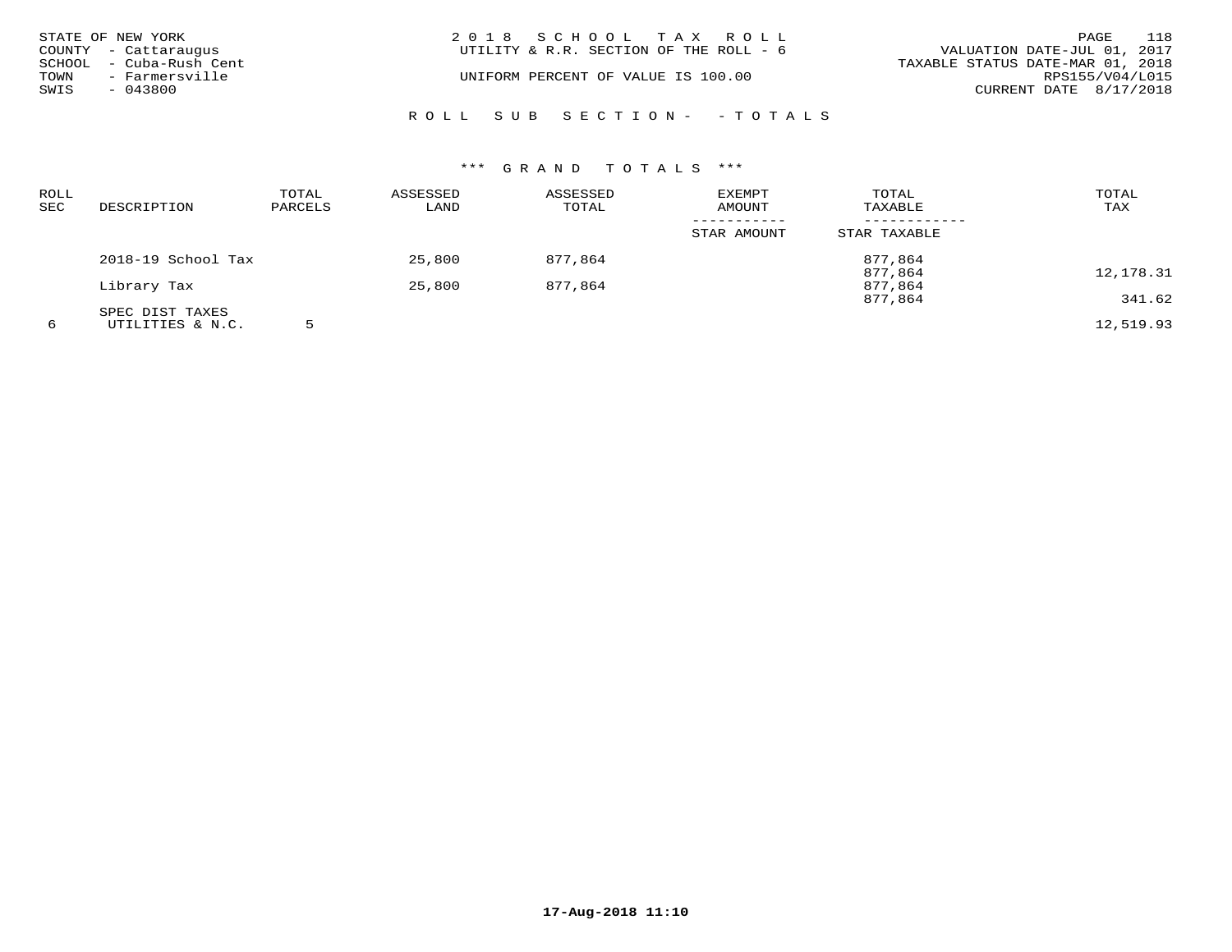|      | STATE OF NEW YORK       | 2018 SCHOOL TAX ROLL                   |                                  | PAGE            | 118 |
|------|-------------------------|----------------------------------------|----------------------------------|-----------------|-----|
|      | COUNTY - Cattaraugus    | UTILITY & R.R. SECTION OF THE ROLL - 6 | VALUATION DATE-JUL 01, 2017      |                 |     |
|      | SCHOOL - Cuba-Rush Cent |                                        | TAXABLE STATUS DATE-MAR 01, 2018 |                 |     |
| TOWN | - Farmersville          | UNIFORM PERCENT OF VALUE IS 100.00     |                                  | RPS155/V04/L015 |     |
| SWIS | $-043800$               |                                        | CURRENT DATE 8/17/2018           |                 |     |
|      |                         | ROLL SUB SECTION- - TOTALS             |                                  |                 |     |

| <b>ROLL</b><br><b>SEC</b> | DESCRIPTION        | TOTAL<br>PARCELS | ASSESSED<br>LAND | ASSESSED<br>TOTAL | <b>EXEMPT</b><br><b>AMOUNT</b> | TOTAL<br>TAXABLE   | TOTAL<br>TAX |
|---------------------------|--------------------|------------------|------------------|-------------------|--------------------------------|--------------------|--------------|
|                           |                    |                  |                  |                   | STAR AMOUNT                    | STAR TAXABLE       |              |
|                           | 2018-19 School Tax |                  | 25,800           | 877,864           |                                | 877,864            |              |
|                           | Library Tax        |                  | 25,800           | 877,864           |                                | 877,864<br>877,864 | 12,178.31    |
|                           | SPEC DIST TAXES    |                  |                  |                   |                                | 877,864            | 341.62       |
| 6                         | UTILITIES & N.C.   |                  |                  |                   |                                |                    | 12,519.93    |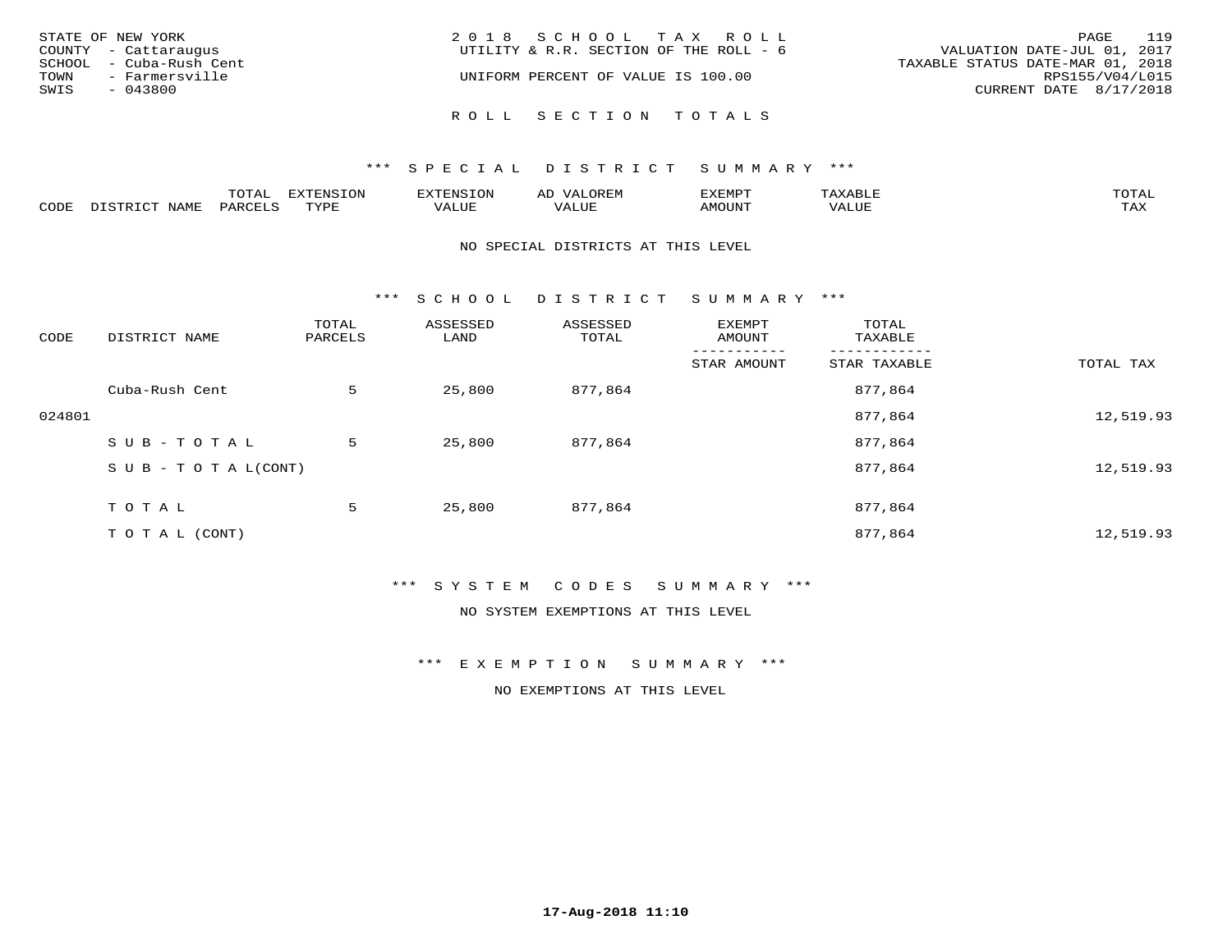| STATE OF NEW YORK<br>COUNTY - Cattaraugus<br>SCHOOL - Cuba-Rush Cent<br>TOWN<br>- Farmersville<br>SWIS<br>- 043800 | 2018 SCHOOL TAX ROLL<br>UTILITY & R.R. SECTION OF THE ROLL - 6<br>UNIFORM PERCENT OF VALUE IS 100.00 | 119<br>PAGE<br>VALUATION DATE-JUL 01, 2017<br>TAXABLE STATUS DATE-MAR 01, 2018<br>RPS155/V04/L015<br>CURRENT DATE 8/17/2018 |
|--------------------------------------------------------------------------------------------------------------------|------------------------------------------------------------------------------------------------------|-----------------------------------------------------------------------------------------------------------------------------|
|                                                                                                                    | ROLL SECTION TOTALS                                                                                  |                                                                                                                             |

|                  |      | ----          |                 | <b>MARINE</b> | AL          | ם כדי ארד לצו |           | $m \wedge m \wedge n$<br>$\cdots$ |
|------------------|------|---------------|-----------------|---------------|-------------|---------------|-----------|-----------------------------------|
| C <sub>CDI</sub> | NAME | דיהר מ<br>'AK | TVDF<br>- - - - | $- - - -$     | ۳۰ تا سلامہ | LUIIONA       | $- - - -$ | $m \times r$<br>- ∠∡∡             |

#### NO SPECIAL DISTRICTS AT THIS LEVEL

\*\*\* S C H O O L D I S T R I C T S U M M A R Y \*\*\*

| CODE   | DISTRICT NAME                    | TOTAL<br>PARCELS | ASSESSED<br>LAND | ASSESSED<br>TOTAL | EXEMPT<br>AMOUNT | TOTAL<br>TAXABLE |           |
|--------|----------------------------------|------------------|------------------|-------------------|------------------|------------------|-----------|
|        |                                  |                  |                  |                   | STAR AMOUNT      | STAR TAXABLE     | TOTAL TAX |
|        | Cuba-Rush Cent                   | 5                | 25,800           | 877,864           |                  | 877,864          |           |
| 024801 |                                  |                  |                  |                   |                  | 877,864          | 12,519.93 |
|        | SUB-TOTAL                        | 5                | 25,800           | 877,864           |                  | 877,864          |           |
|        | $S \cup B - T \cup T A L (CONT)$ |                  |                  |                   |                  | 877,864          | 12,519.93 |
|        | TOTAL                            | 5                | 25,800           | 877,864           |                  | 877,864          |           |
|        | T O T A L (CONT)                 |                  |                  |                   |                  | 877,864          | 12,519.93 |

\*\*\* S Y S T E M C O D E S S U M M A R Y \*\*\*

NO SYSTEM EXEMPTIONS AT THIS LEVEL

\*\*\* E X E M P T I O N S U M M A R Y \*\*\*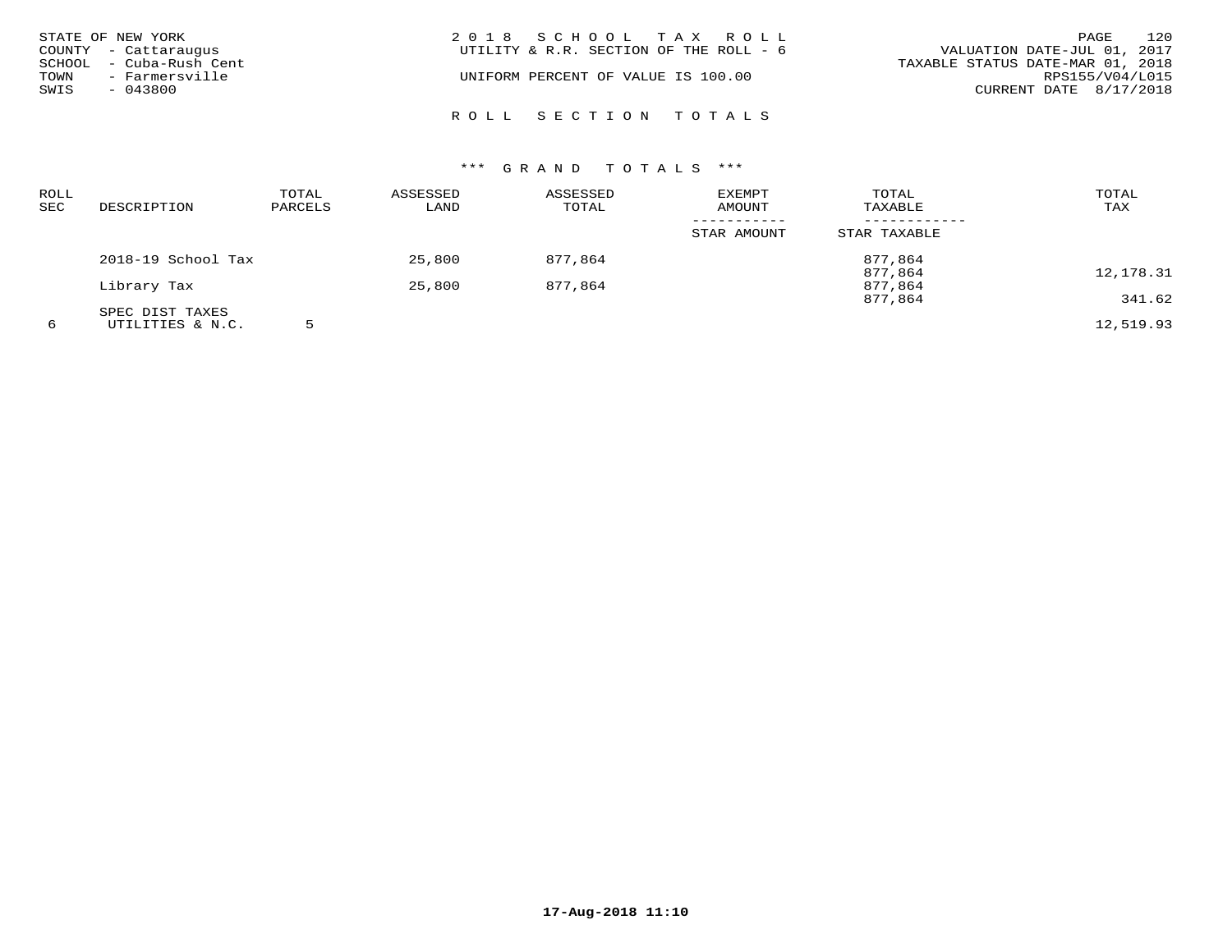| STATE OF NEW YORK<br>COUNTY - Cattaraugus<br>SCHOOL - Cuba-Rush Cent<br>TOWN<br>- Farmersville<br>SWIS<br>- 043800 | 2018 SCHOOL TAX ROLL<br>UTILITY & R.R. SECTION OF THE ROLL - 6<br>UNIFORM PERCENT OF VALUE IS 100.00 | 120<br>PAGE<br>VALUATION DATE-JUL 01, 2017<br>TAXABLE STATUS DATE-MAR 01, 2018<br>RPS155/V04/L015<br>CURRENT DATE 8/17/2018 |
|--------------------------------------------------------------------------------------------------------------------|------------------------------------------------------------------------------------------------------|-----------------------------------------------------------------------------------------------------------------------------|
|                                                                                                                    | ROLL SECTION TOTALS                                                                                  |                                                                                                                             |

| <b>ROLL</b><br><b>SEC</b> | DESCRIPTION        | TOTAL<br>PARCELS | ASSESSED<br>LAND | ASSESSED<br>TOTAL | <b>EXEMPT</b><br><b>AMOUNT</b> | TOTAL<br>TAXABLE   | TOTAL<br>TAX |
|---------------------------|--------------------|------------------|------------------|-------------------|--------------------------------|--------------------|--------------|
|                           |                    |                  |                  |                   | STAR AMOUNT                    | STAR TAXABLE       |              |
|                           | 2018-19 School Tax |                  | 25,800           | 877,864           |                                | 877,864            |              |
|                           | Library Tax        |                  | 25,800           | 877,864           |                                | 877,864<br>877,864 | 12,178.31    |
|                           | SPEC DIST TAXES    |                  |                  |                   |                                | 877,864            | 341.62       |
| 6                         | UTILITIES & N.C.   |                  |                  |                   |                                |                    | 12,519.93    |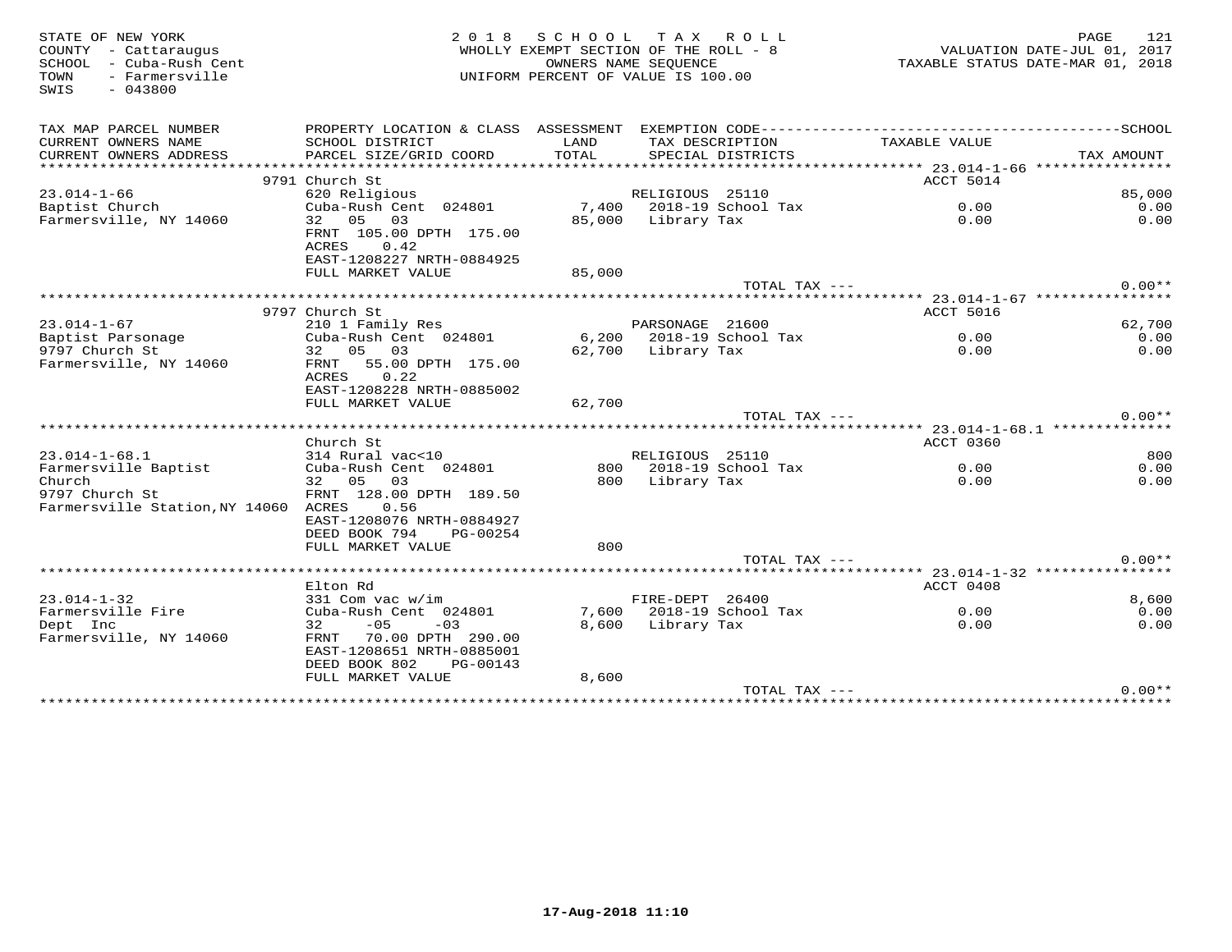| STATE OF NEW YORK<br>COUNTY - Cattaraugus<br>SCHOOL - Cuba-Rush Cent<br>- Farmersville<br>TOWN<br>$-043800$<br>SWIS | 2 0 1 8<br>WHOLLY EXEMPT SECTION OF THE ROLL - 8<br>UNIFORM PERCENT OF VALUE IS 100.00 |        | 121<br>PAGE<br>VALUATION DATE-JUL 01, 2017<br>TAXABLE STATUS DATE-MAR 01, 2018 |                          |                                       |            |               |
|---------------------------------------------------------------------------------------------------------------------|----------------------------------------------------------------------------------------|--------|--------------------------------------------------------------------------------|--------------------------|---------------------------------------|------------|---------------|
| TAX MAP PARCEL NUMBER                                                                                               | PROPERTY LOCATION & CLASS ASSESSMENT                                                   |        |                                                                                |                          |                                       |            |               |
| CURRENT OWNERS NAME                                                                                                 | SCHOOL DISTRICT                                                                        | LAND   |                                                                                | TAX DESCRIPTION          | TAXABLE VALUE                         |            |               |
| CURRENT OWNERS ADDRESS                                                                                              | PARCEL SIZE/GRID COORD                                                                 | TOTAL  |                                                                                | SPECIAL DISTRICTS        |                                       | TAX AMOUNT |               |
|                                                                                                                     |                                                                                        |        |                                                                                |                          |                                       |            |               |
| $23.014 - 1 - 66$                                                                                                   | 9791 Church St<br>620 Religious                                                        |        | RELIGIOUS 25110                                                                |                          | ACCT 5014                             |            | 85,000        |
| Baptist Church                                                                                                      | Cuba-Rush Cent 024801                                                                  |        |                                                                                | 7,400 2018-19 School Tax | 0.00                                  |            | 0.00          |
| Farmersville, NY 14060                                                                                              | 32<br>05<br>03                                                                         | 85,000 | Library Tax                                                                    |                          | 0.00                                  |            | 0.00          |
|                                                                                                                     | FRNT 105.00 DPTH 175.00<br>ACRES<br>0.42<br>EAST-1208227 NRTH-0884925                  |        |                                                                                |                          |                                       |            |               |
|                                                                                                                     | FULL MARKET VALUE                                                                      | 85,000 |                                                                                |                          |                                       |            |               |
|                                                                                                                     |                                                                                        |        |                                                                                | TOTAL TAX ---            |                                       |            | $0.00**$      |
|                                                                                                                     |                                                                                        |        |                                                                                |                          |                                       |            |               |
|                                                                                                                     | 9797 Church St                                                                         |        |                                                                                |                          | ACCT 5016                             |            |               |
| $23.014 - 1 - 67$                                                                                                   | 210 1 Family Res                                                                       |        | PARSONAGE 21600                                                                |                          |                                       |            | 62,700        |
| Baptist Parsonage                                                                                                   | Cuba-Rush Cent 024801                                                                  |        |                                                                                | 6,200 2018-19 School Tax | 0.00                                  |            | 0.00          |
| 9797 Church St                                                                                                      | 32 05 03                                                                               |        | 62,700 Library Tax                                                             |                          | 0.00                                  |            | 0.00          |
| Farmersville, NY 14060                                                                                              | 55.00 DPTH 175.00<br>FRNT<br>ACRES<br>0.22<br>EAST-1208228 NRTH-0885002                |        |                                                                                |                          |                                       |            |               |
|                                                                                                                     | FULL MARKET VALUE                                                                      | 62,700 |                                                                                |                          |                                       |            |               |
|                                                                                                                     |                                                                                        |        |                                                                                | TOTAL TAX ---            |                                       |            | $0.00**$      |
|                                                                                                                     |                                                                                        |        |                                                                                |                          |                                       |            |               |
|                                                                                                                     | Church St                                                                              |        |                                                                                |                          | ACCT 0360                             |            | 800           |
| $23.014 - 1 - 68.1$<br>Farmersville Baptist                                                                         | 314 Rural vac<10<br>Cuba-Rush Cent 024801                                              |        | RELIGIOUS 25110                                                                | 800 2018-19 School Tax   | 0.00                                  |            | 0.00          |
| Church                                                                                                              | 32 05 03                                                                               | 800    | Library Tax                                                                    |                          | 0.00                                  |            | 0.00          |
| 9797 Church St                                                                                                      | FRNT 128.00 DPTH 189.50                                                                |        |                                                                                |                          |                                       |            |               |
| Farmersville Station, NY 14060 ACRES                                                                                | 0.56                                                                                   |        |                                                                                |                          |                                       |            |               |
|                                                                                                                     | EAST-1208076 NRTH-0884927                                                              |        |                                                                                |                          |                                       |            |               |
|                                                                                                                     | DEED BOOK 794<br>PG-00254                                                              |        |                                                                                |                          |                                       |            |               |
|                                                                                                                     | FULL MARKET VALUE                                                                      | 800    |                                                                                |                          |                                       |            |               |
|                                                                                                                     |                                                                                        |        |                                                                                | TOTAL TAX ---            |                                       |            | $0.00**$      |
|                                                                                                                     |                                                                                        |        |                                                                                |                          | ********** 23.014-1-32 ************** |            |               |
|                                                                                                                     | Elton Rd                                                                               |        |                                                                                |                          | ACCT 0408                             |            |               |
| $23.014 - 1 - 32$<br>Farmersville Fire                                                                              | 331 Com vac w/im<br>Cuba-Rush Cent 024801                                              |        | FIRE-DEPT 26400                                                                | 7,600 2018-19 School Tax | 0.00                                  |            | 8,600<br>0.00 |
| Dept Inc                                                                                                            | $-05$<br>32<br>$-03$                                                                   | 8,600  | Library Tax                                                                    |                          | 0.00                                  |            | 0.00          |
| Farmersville, NY 14060                                                                                              | 70.00 DPTH 290.00<br>FRNT<br>EAST-1208651 NRTH-0885001<br>DEED BOOK 802<br>PG-00143    |        |                                                                                |                          |                                       |            |               |
|                                                                                                                     | FULL MARKET VALUE                                                                      | 8,600  |                                                                                |                          |                                       |            |               |
|                                                                                                                     |                                                                                        |        |                                                                                | TOTAL TAX ---            |                                       |            | $0.00**$      |
|                                                                                                                     |                                                                                        |        |                                                                                |                          |                                       |            |               |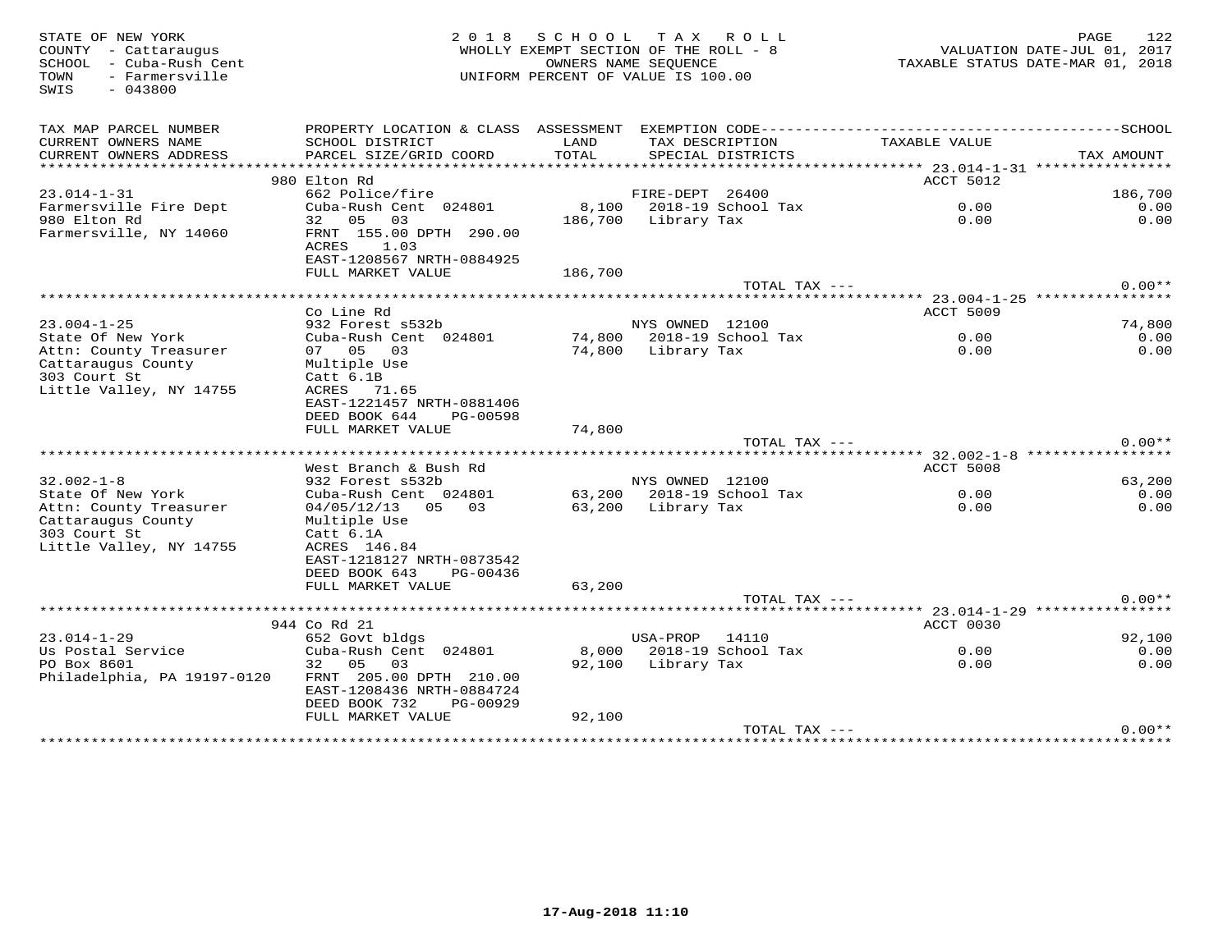| STATE OF NEW YORK<br>COUNTY - Cattaraugus<br>SCHOOL - Cuba-Rush Cent<br>- Farmersville<br>TOWN<br>SWIS<br>$-043800$ | 2 0 1 8                                                                                      | SCHOOL TAX ROLL<br>WHOLLY EXEMPT SECTION OF THE ROLL - 8<br>UNIFORM PERCENT OF VALUE IS 100.00 | OWNERS NAME SEQUENCE | 122<br>PAGE<br>VALUATION DATE-JUL 01, 2017<br>TAXABLE STATUS DATE-MAR 01, 2018 |                  |            |
|---------------------------------------------------------------------------------------------------------------------|----------------------------------------------------------------------------------------------|------------------------------------------------------------------------------------------------|----------------------|--------------------------------------------------------------------------------|------------------|------------|
| TAX MAP PARCEL NUMBER                                                                                               | PROPERTY LOCATION & CLASS ASSESSMENT EXEMPTION CODE-----------------------------------SCHOOL |                                                                                                |                      |                                                                                |                  |            |
| CURRENT OWNERS NAME<br>CURRENT OWNERS ADDRESS                                                                       | SCHOOL DISTRICT<br>PARCEL SIZE/GRID COORD                                                    | LAND<br>TOTAL                                                                                  |                      | TAX DESCRIPTION<br>SPECIAL DISTRICTS                                           | TAXABLE VALUE    | TAX AMOUNT |
| ***********************                                                                                             |                                                                                              |                                                                                                |                      |                                                                                |                  |            |
|                                                                                                                     | 980 Elton Rd                                                                                 |                                                                                                |                      |                                                                                | <b>ACCT 5012</b> |            |
| $23.014 - 1 - 31$                                                                                                   | 662 Police/fire                                                                              |                                                                                                | FIRE-DEPT 26400      |                                                                                |                  | 186,700    |
| Farmersville Fire Dept                                                                                              | Cuba-Rush Cent 024801                                                                        |                                                                                                |                      | 8,100 2018-19 School Tax                                                       | 0.00             | 0.00       |
| 980 Elton Rd                                                                                                        | 32 05 03                                                                                     |                                                                                                | 186,700 Library Tax  |                                                                                | 0.00             | 0.00       |
| Farmersville, NY 14060                                                                                              | FRNT 155.00 DPTH 290.00<br>ACRES 1.03<br>EAST-1208567 NRTH-0884925                           |                                                                                                |                      |                                                                                |                  |            |
|                                                                                                                     | FULL MARKET VALUE                                                                            | 186,700                                                                                        |                      |                                                                                |                  | $0.00**$   |
|                                                                                                                     |                                                                                              |                                                                                                |                      | TOTAL TAX ---                                                                  |                  |            |
|                                                                                                                     | Co Line Rd                                                                                   |                                                                                                |                      |                                                                                | ACCT 5009        |            |
| $23.004 - 1 - 25$                                                                                                   | 932 Forest s532b                                                                             |                                                                                                | NYS OWNED 12100      |                                                                                |                  | 74,800     |
| State Of New York                                                                                                   | Cuba-Rush Cent 024801                                                                        |                                                                                                |                      | 74,800 2018-19 School Tax                                                      | 0.00             | 0.00       |
| Attn: County Treasurer                                                                                              | 07 05 03                                                                                     |                                                                                                | 74,800 Library Tax   |                                                                                | 0.00             | 0.00       |
| Cattaraugus County<br>303 Court St                                                                                  | Multiple Use<br>Catt 6.1B                                                                    |                                                                                                |                      |                                                                                |                  |            |
| Little Valley, NY 14755                                                                                             | ACRES 71.65                                                                                  |                                                                                                |                      |                                                                                |                  |            |
|                                                                                                                     | EAST-1221457 NRTH-0881406                                                                    |                                                                                                |                      |                                                                                |                  |            |
|                                                                                                                     | DEED BOOK 644<br>PG-00598                                                                    |                                                                                                |                      |                                                                                |                  |            |
|                                                                                                                     | FULL MARKET VALUE                                                                            | 74,800                                                                                         |                      | TOTAL TAX ---                                                                  |                  | $0.00**$   |
|                                                                                                                     |                                                                                              |                                                                                                |                      |                                                                                |                  |            |
|                                                                                                                     | West Branch & Bush Rd                                                                        |                                                                                                |                      |                                                                                | <b>ACCT 5008</b> |            |
| $32.002 - 1 - 8$                                                                                                    | 932 Forest s532b                                                                             |                                                                                                | NYS OWNED 12100      |                                                                                |                  | 63,200     |
| State Of New York                                                                                                   | Cuba-Rush Cent 024801                                                                        |                                                                                                |                      | $63,200$ 2018-19 School Tax                                                    | 0.00             | 0.00       |
| Attn: County Treasurer                                                                                              | $04/05/12/13$ 05 03                                                                          | 63,200 Library Tax                                                                             |                      |                                                                                | 0.00             | 0.00       |
| Cattaraugus County                                                                                                  | Multiple Use                                                                                 |                                                                                                |                      |                                                                                |                  |            |
| 303 Court St                                                                                                        | Catt 6.1A                                                                                    |                                                                                                |                      |                                                                                |                  |            |
| Little Valley, NY 14755                                                                                             | ACRES 146.84<br>EAST-1218127 NRTH-0873542                                                    |                                                                                                |                      |                                                                                |                  |            |
|                                                                                                                     | DEED BOOK 643<br>PG-00436                                                                    |                                                                                                |                      |                                                                                |                  |            |
|                                                                                                                     | FULL MARKET VALUE                                                                            | 63,200                                                                                         |                      |                                                                                |                  |            |
|                                                                                                                     |                                                                                              |                                                                                                |                      | TOTAL TAX ---                                                                  |                  | $0.00**$   |
|                                                                                                                     |                                                                                              |                                                                                                |                      |                                                                                |                  |            |
|                                                                                                                     | 944 Co Rd 21                                                                                 |                                                                                                |                      |                                                                                | ACCT 0030        |            |
| $23.014 - 1 - 29$                                                                                                   | 652 Govt bldgs                                                                               |                                                                                                | USA-PROP 14110       |                                                                                |                  | 92,100     |
| Us Postal Service                                                                                                   | Cuba-Rush Cent 024801                                                                        |                                                                                                |                      | 8,000 2018-19 School Tax                                                       | 0.00             | 0.00       |
| PO Box 8601                                                                                                         | 32 05<br>03                                                                                  |                                                                                                | 92,100 Library Tax   |                                                                                | 0.00             | 0.00       |
| Philadelphia, PA 19197-0120                                                                                         | FRNT 205.00 DPTH 210.00<br>EAST-1208436 NRTH-0884724                                         |                                                                                                |                      |                                                                                |                  |            |
|                                                                                                                     | DEED BOOK 732<br>PG-00929                                                                    |                                                                                                |                      |                                                                                |                  |            |
|                                                                                                                     | FULL MARKET VALUE                                                                            | 92,100                                                                                         |                      |                                                                                |                  |            |
|                                                                                                                     |                                                                                              |                                                                                                |                      | TOTAL TAX ---                                                                  |                  | $0.00**$   |
|                                                                                                                     |                                                                                              |                                                                                                |                      |                                                                                |                  |            |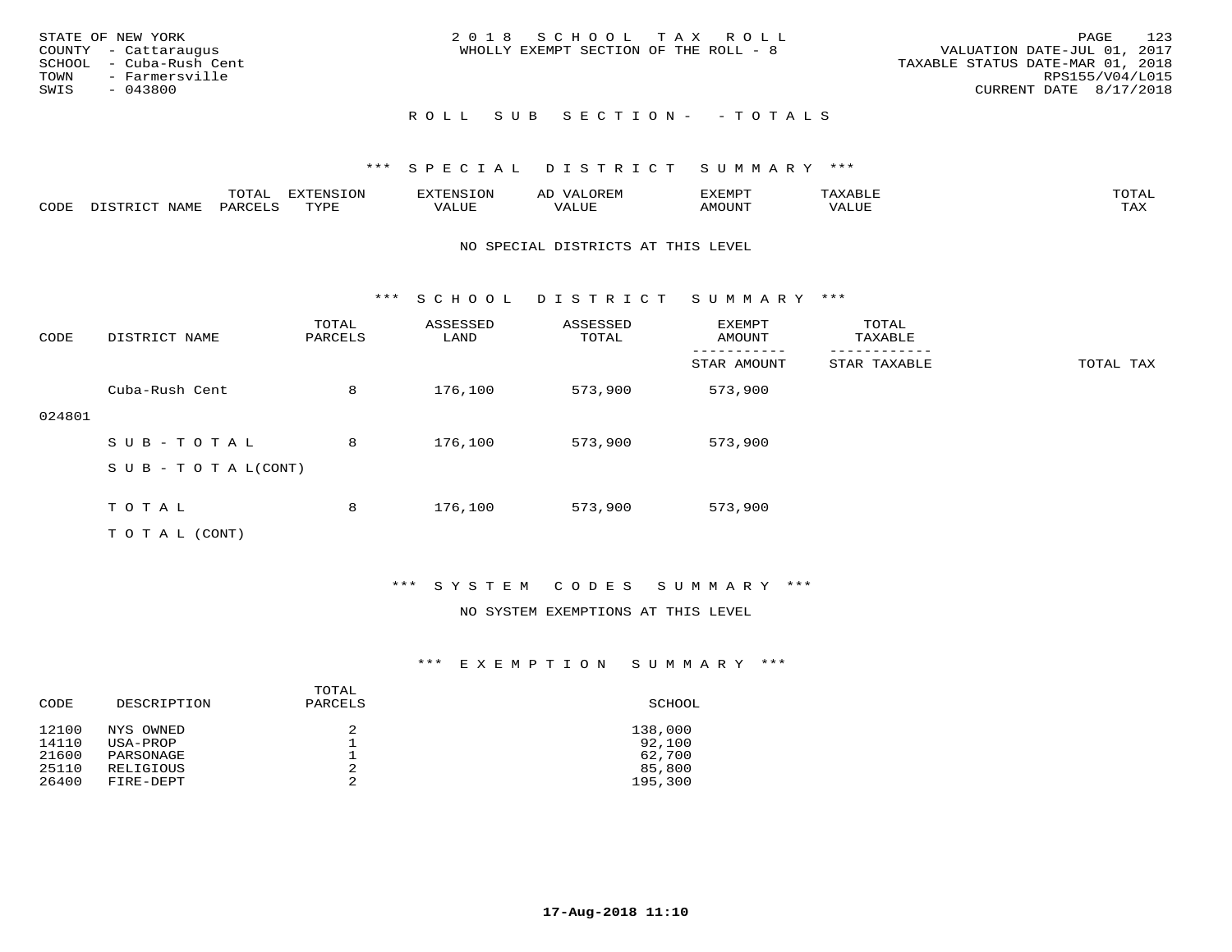| STATE OF NEW YORK<br>COUNTY - Cattaraugus<br>SCHOOL - Cuba-Rush Cent<br>TOWN<br>- Farmersville<br>SWIS<br>- 043800 | 2018 SCHOOL TAX ROLL<br>WHOLLY EXEMPT SECTION OF THE ROLL - 8 | 123<br>PAGE<br>VALUATION DATE-JUL 01, 2017<br>TAXABLE STATUS DATE-MAR 01, 2018<br>RPS155/V04/L015<br>CURRENT DATE 8/17/2018 |
|--------------------------------------------------------------------------------------------------------------------|---------------------------------------------------------------|-----------------------------------------------------------------------------------------------------------------------------|
|                                                                                                                    | ROLL SUB SECTION- - TOTALS                                    |                                                                                                                             |

|      |              | $T0$ $T1$          | EXTENSION | $\sim$ | AL<br>JR E.N | דסאיזצי       |       | $m \wedge m \wedge n$<br><b>ΓΓΑ'</b> |
|------|--------------|--------------------|-----------|--------|--------------|---------------|-------|--------------------------------------|
| CODE | <b>NTAMT</b> | PARCF <sup>T</sup> | TVDF<br>. | . ALUF | ----<br>ALUI | <b>AMOUNT</b> | 'ALUL | <b>TAY</b><br>- ∠∡∡                  |

#### NO SPECIAL DISTRICTS AT THIS LEVEL

\*\*\* S C H O O L D I S T R I C T S U M M A R Y \*\*\*

| CODE   | DISTRICT NAME                    | TOTAL<br>PARCELS | ASSESSED<br>LAND | ASSESSED<br>TOTAL | EXEMPT<br>AMOUNT | TOTAL<br>TAXABLE |           |
|--------|----------------------------------|------------------|------------------|-------------------|------------------|------------------|-----------|
|        |                                  |                  |                  |                   | STAR AMOUNT      | STAR TAXABLE     | TOTAL TAX |
|        | Cuba-Rush Cent                   | 8                | 176,100          | 573,900           | 573,900          |                  |           |
| 024801 |                                  |                  |                  |                   |                  |                  |           |
|        | SUB-TOTAL                        | 8                | 176,100          | 573,900           | 573,900          |                  |           |
|        | $S \cup B - T \cup T A L (CONT)$ |                  |                  |                   |                  |                  |           |
|        |                                  |                  |                  |                   |                  |                  |           |
|        | TOTAL                            | 8                | 176,100          | 573,900           | 573,900          |                  |           |
|        | T O T A L (CONT)                 |                  |                  |                   |                  |                  |           |

\*\*\* S Y S T E M C O D E S S U M M A R Y \*\*\*

#### NO SYSTEM EXEMPTIONS AT THIS LEVEL

| CODE           | DESCRIPTION           | TOTAL<br>PARCELS | SCHOOL            |
|----------------|-----------------------|------------------|-------------------|
| 12100<br>14110 | NYS OWNED<br>USA-PROP | 2                | 138,000<br>92,100 |
| 21600          | PARSONAGE             |                  | 62,700            |
| 25110          | RELIGIOUS             | 2                | 85,800            |
| 26400          | FIRE-DEPT             | 2                | 195,300           |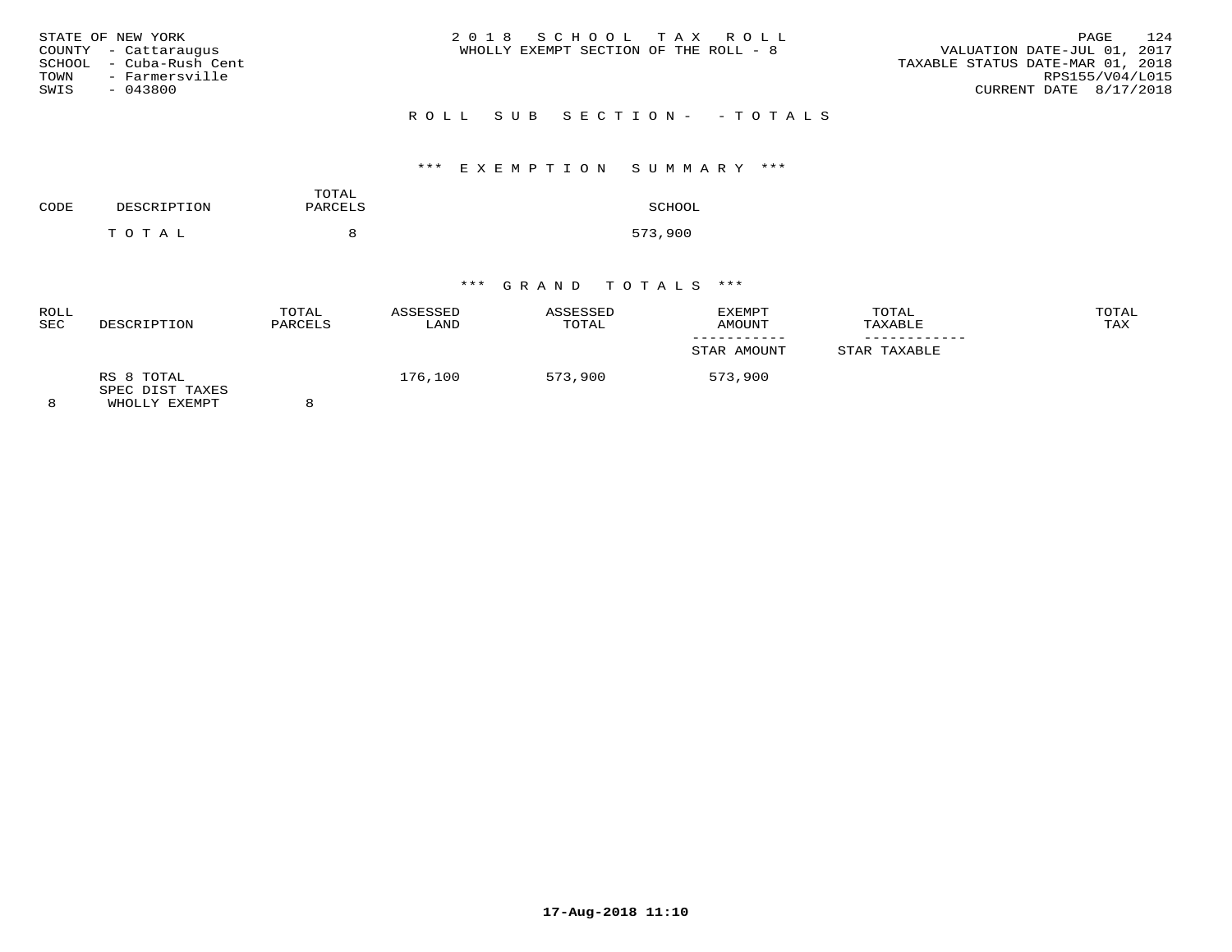| STATE OF NEW YORK<br>COUNTY - Cattarauqus<br>SCHOOL  – Cuba-Rush Cent<br>TOWN<br>- Farmersville<br>SWIS<br>$-043800$ | 2018 SCHOOL TAX ROLL<br>WHOLLY EXEMPT SECTION OF THE ROLL - 8 | 124<br>PAGE<br>VALUATION DATE-JUL 01, 2017<br>TAXABLE STATUS DATE-MAR 01, 2018<br>RPS155/V04/L015<br>CURRENT DATE $8/17/2018$ |
|----------------------------------------------------------------------------------------------------------------------|---------------------------------------------------------------|-------------------------------------------------------------------------------------------------------------------------------|
|                                                                                                                      | ROLL SUB SECTION- - TOTALS                                    |                                                                                                                               |

# \*\*\* E X E M P T I O N S U M M A R Y \*\*\*

| CODE | DESCRIPTION | TOTAL<br>PARCELS | SCHOOL  |
|------|-------------|------------------|---------|
|      | тотаь       |                  | 573,900 |

| <b>ROLL</b><br><b>SEC</b> | DESCRIPTION                                    | TOTAL<br>PARCELS | ASSESSED<br>LAND | ASSESSED<br>TOTAL | EXEMPT<br>AMOUNT | TOTAL<br>TAXABLE | TOTAL<br>TAX |
|---------------------------|------------------------------------------------|------------------|------------------|-------------------|------------------|------------------|--------------|
|                           |                                                |                  |                  |                   | STAR AMOUNT      | STAR TAXABLE     |              |
| 8                         | RS 8 TOTAL<br>SPEC DIST TAXES<br>WHOLLY EXEMPT |                  | 176,100          | 573,900           | 573,900          |                  |              |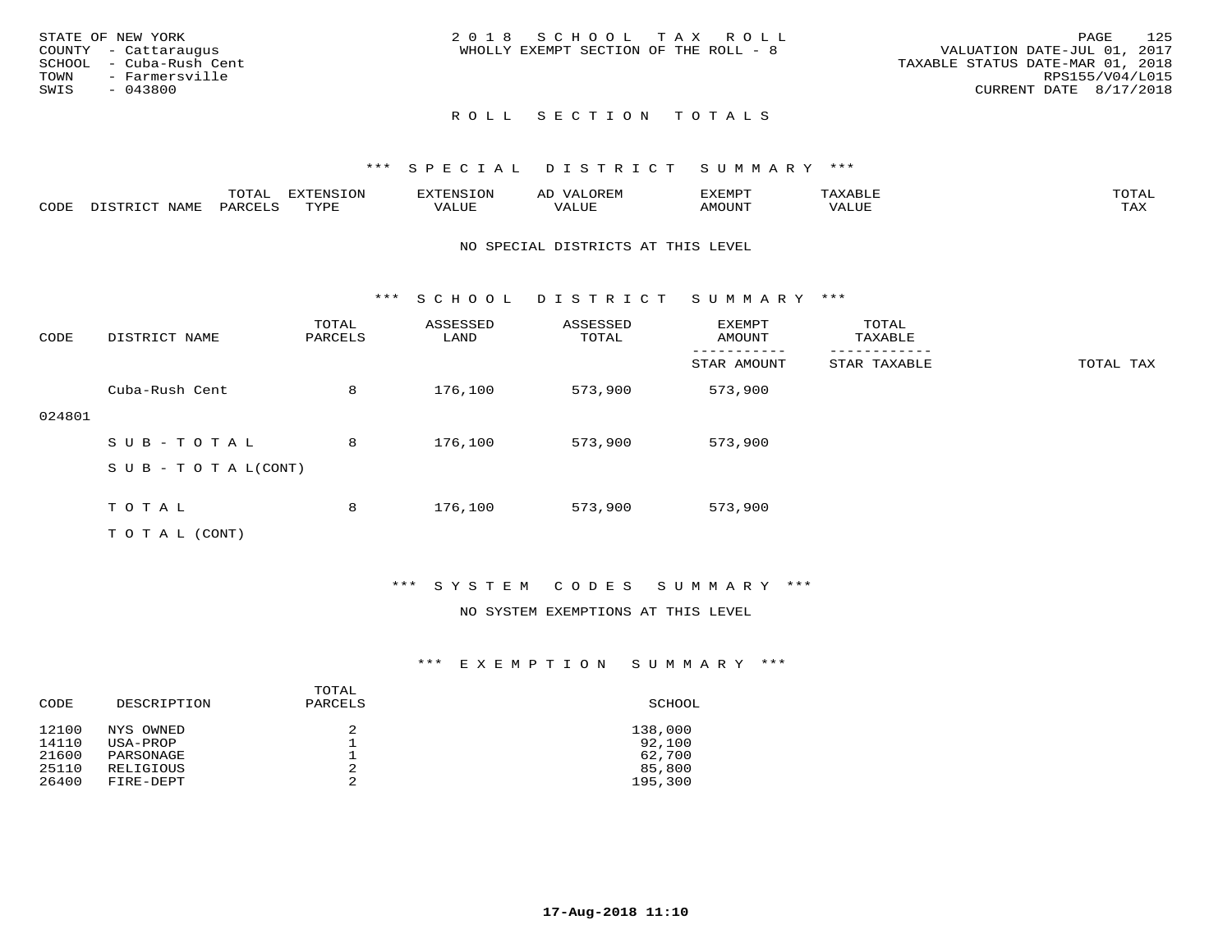|      | STATE OF NEW YORK       | 2018 SCHOOL TAX ROLL                                                 | PAGE                   | 125 |
|------|-------------------------|----------------------------------------------------------------------|------------------------|-----|
|      | COUNTY - Cattaraugus    | VALUATION DATE-JUL 01, 2017<br>WHOLLY EXEMPT SECTION OF THE ROLL - 8 |                        |     |
|      | SCHOOL - Cuba-Rush Cent | TAXABLE STATUS DATE-MAR 01, 2018                                     |                        |     |
|      | TOWN - Farmersville     |                                                                      | RPS155/V04/L015        |     |
| SWIS | $-043800$               |                                                                      | CURRENT DATE 8/17/2018 |     |
|      |                         |                                                                      |                        |     |

# ROLL SECTION TOTALS

## \*\*\* S P E C I A L D I S T R I C T S U M M A R Y \*\*\*

|     | $m \wedge m \wedge n$ | $T^{\sim}$<br>pszmpatoj<br>LUP | $\sim$ | ,,, <del>,</del> ,,, <del>,</del> ,<br>. ب<br>التستدعات |            | $m \wedge m$       |
|-----|-----------------------|--------------------------------|--------|---------------------------------------------------------|------------|--------------------|
| CDD |                       | TVDF                           |        |                                                         | $\Delta$ . | $- - - -$<br>. ris |

#### NO SPECIAL DISTRICTS AT THIS LEVEL

\*\*\* S C H O O L D I S T R I C T S U M M A R Y \*\*\*

| CODE   | DISTRICT NAME                    | TOTAL<br>PARCELS | ASSESSED<br>LAND | ASSESSED<br>TOTAL | EXEMPT<br>AMOUNT | TOTAL<br>TAXABLE |           |
|--------|----------------------------------|------------------|------------------|-------------------|------------------|------------------|-----------|
|        |                                  |                  |                  |                   | STAR AMOUNT      | STAR TAXABLE     | TOTAL TAX |
|        | Cuba-Rush Cent                   | 8                | 176,100          | 573,900           | 573,900          |                  |           |
| 024801 |                                  |                  |                  |                   |                  |                  |           |
|        | SUB-TOTAL                        | 8                | 176,100          | 573,900           | 573,900          |                  |           |
|        | $S \cup B - T \cup T A L (CONT)$ |                  |                  |                   |                  |                  |           |
|        |                                  |                  |                  |                   |                  |                  |           |
|        | TOTAL                            | 8                | 176,100          | 573,900           | 573,900          |                  |           |
|        | T O T A L (CONT)                 |                  |                  |                   |                  |                  |           |

## \*\*\* S Y S T E M C O D E S S U M M A R Y \*\*\*

## NO SYSTEM EXEMPTIONS AT THIS LEVEL

| CODE  | DESCRIPTION | TOTAL<br>PARCELS | SCHOOL  |
|-------|-------------|------------------|---------|
| 12100 | NYS OWNED   | 2                | 138,000 |
| 14110 | USA-PROP    |                  | 92,100  |
| 21600 | PARSONAGE   |                  | 62,700  |
| 25110 | RELIGIOUS   | 2                | 85,800  |
| 26400 | FIRE-DEPT   | 2                | 195,300 |
|       |             |                  |         |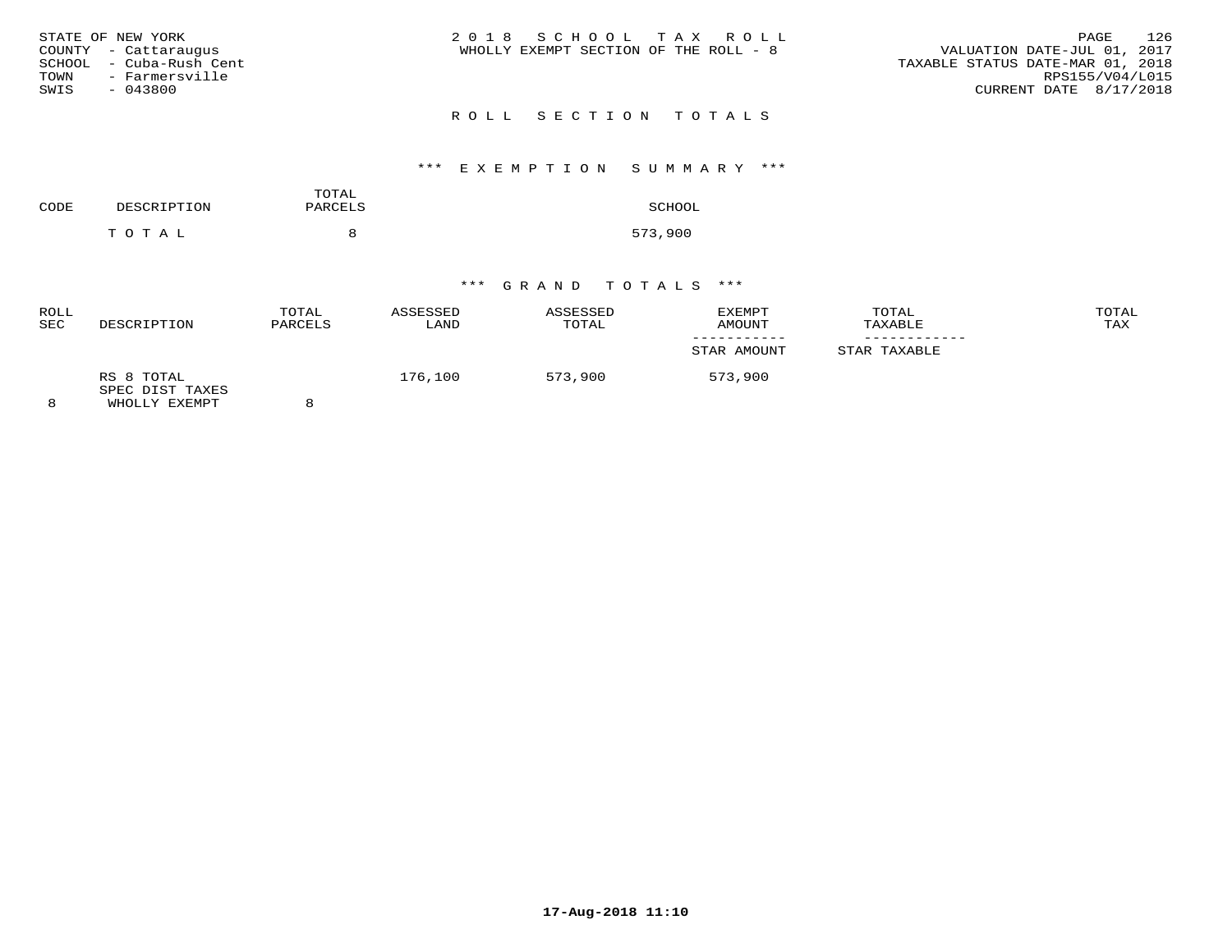| STATE OF NEW YORK<br>COUNTY - Cattaraugus<br>SCHOOL - Cuba-Rush Cent<br>TOWN<br>- Farmersville<br>SWIS<br>$-043800$ | 2018 SCHOOL TAX ROLL<br>WHOLLY EXEMPT SECTION OF THE ROLL - 8 | 126<br>PAGE<br>VALUATION DATE-JUL 01, 2017<br>TAXABLE STATUS DATE-MAR 01, 2018<br>RPS155/V04/L015<br>CURRENT DATE 8/17/2018 |
|---------------------------------------------------------------------------------------------------------------------|---------------------------------------------------------------|-----------------------------------------------------------------------------------------------------------------------------|
|                                                                                                                     | ROLL SECTION TOTALS                                           |                                                                                                                             |

# \*\*\* E X E M P T I O N S U M M A R Y \*\*\*

| CODE | DESCRIPTION | TOTAL<br>PARCELS | SCHOOL  |
|------|-------------|------------------|---------|
|      | TOTAL       |                  | 573,900 |

| <b>ROLL</b><br><b>SEC</b> | DESCRIPTION                                    | TOTAL<br>PARCELS | ASSESSED<br>LAND | ASSESSED<br>TOTAL | EXEMPT<br>AMOUNT | TOTAL<br>TAXABLE | TOTAL<br>TAX |
|---------------------------|------------------------------------------------|------------------|------------------|-------------------|------------------|------------------|--------------|
|                           |                                                |                  |                  |                   | STAR AMOUNT      | STAR TAXABLE     |              |
|                           | RS 8 TOTAL<br>SPEC DIST TAXES<br>WHOLLY EXEMPT |                  | 176,100          | 573,900           | 573,900          |                  |              |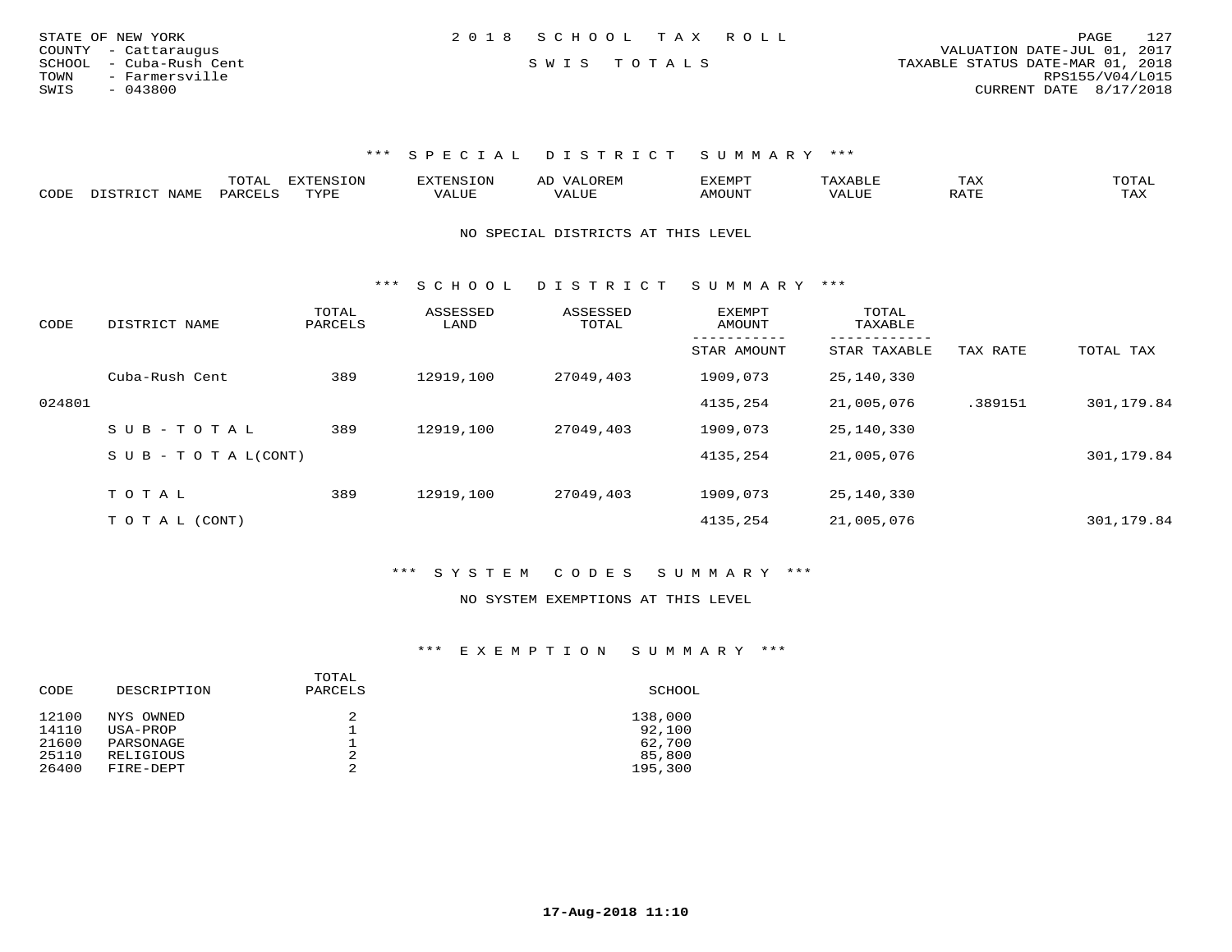| STATE OF NEW YORK       | 2018 SCHOOL TAX ROLL | 127<br>PAGE                      |
|-------------------------|----------------------|----------------------------------|
| COUNTY - Cattaraugus    |                      | VALUATION DATE-JUL 01, 2017      |
| SCHOOL - Cuba-Rush Cent | SWIS TOTALS          | TAXABLE STATUS DATE-MAR 01, 2018 |
| TOWN<br>- Farmersville  |                      | RPS155/V04/L015                  |
| SWIS<br>$-043800$       |                      | CURRENT DATE 8/17/2018           |

|                           |     | $- - -$ | $\sqrt{27}$<br>T |       |                | ⊥ A∆ | $\sim$ m $\sim$ $+$<br>◡∸∸                                                                                                                                                                                                                                                                                                                                                                                                                               |
|---------------------------|-----|---------|------------------|-------|----------------|------|----------------------------------------------------------------------------------------------------------------------------------------------------------------------------------------------------------------------------------------------------------------------------------------------------------------------------------------------------------------------------------------------------------------------------------------------------------|
| C <sub>CD1</sub><br>َ باب | ΆΜΕ | $\sim$  | mizni            | 1111F | <b>MOTTNTE</b> |      | $\overline{ }$ $\overline{ }$ $\overline{ }$ $\overline{ }$ $\overline{ }$ $\overline{ }$ $\overline{ }$ $\overline{ }$ $\overline{ }$ $\overline{ }$ $\overline{ }$ $\overline{ }$ $\overline{ }$ $\overline{ }$ $\overline{ }$ $\overline{ }$ $\overline{ }$ $\overline{ }$ $\overline{ }$ $\overline{ }$ $\overline{ }$ $\overline{ }$ $\overline{ }$ $\overline{ }$ $\overline{ }$ $\overline{ }$ $\overline{ }$ $\overline{$<br>$\cdots$<br>- 53.43 |

NO SPECIAL DISTRICTS AT THIS LEVEL

\*\*\* S C H O O L D I S T R I C T S U M M A R Y \*\*\*

| CODE   | DISTRICT NAME              | TOTAL<br>PARCELS | ASSESSED<br>LAND | ASSESSED<br>TOTAL | EXEMPT<br>AMOUNT | TOTAL<br>TAXABLE          |          |            |
|--------|----------------------------|------------------|------------------|-------------------|------------------|---------------------------|----------|------------|
|        |                            |                  |                  |                   | STAR AMOUNT      | ---------<br>STAR TAXABLE | TAX RATE | TOTAL TAX  |
|        | Cuba-Rush Cent             | 389              | 12919,100        | 27049,403         | 1909,073         | 25,140,330                |          |            |
| 024801 |                            |                  |                  |                   | 4135,254         | 21,005,076                | .389151  | 301,179.84 |
|        | $SUB - TO TAL$             | 389              | 12919,100        | 27049,403         | 1909,073         | 25,140,330                |          |            |
|        | S U B - T O T A $L$ (CONT) |                  |                  |                   | 4135,254         | 21,005,076                |          | 301,179.84 |
|        | TOTAL                      |                  |                  |                   |                  |                           |          |            |
|        |                            | 389              | 12919,100        | 27049,403         | 1909,073         | 25,140,330                |          |            |
|        | T O T A L (CONT)           |                  |                  |                   | 4135,254         | 21,005,076                |          | 301,179.84 |

\*\*\* S Y S T E M C O D E S S U M M A R Y \*\*\*

#### NO SYSTEM EXEMPTIONS AT THIS LEVEL

| CODE  | DESCRIPTION | TOTAL<br>PARCELS | SCHOOL  |
|-------|-------------|------------------|---------|
| 12100 | NYS OWNED   | 2                | 138,000 |
| 14110 | USA-PROP    |                  | 92,100  |
| 21600 | PARSONAGE   |                  | 62,700  |
| 25110 | RELIGIOUS   | 2                | 85,800  |
| 26400 | FIRE-DEPT   | 2                | 195,300 |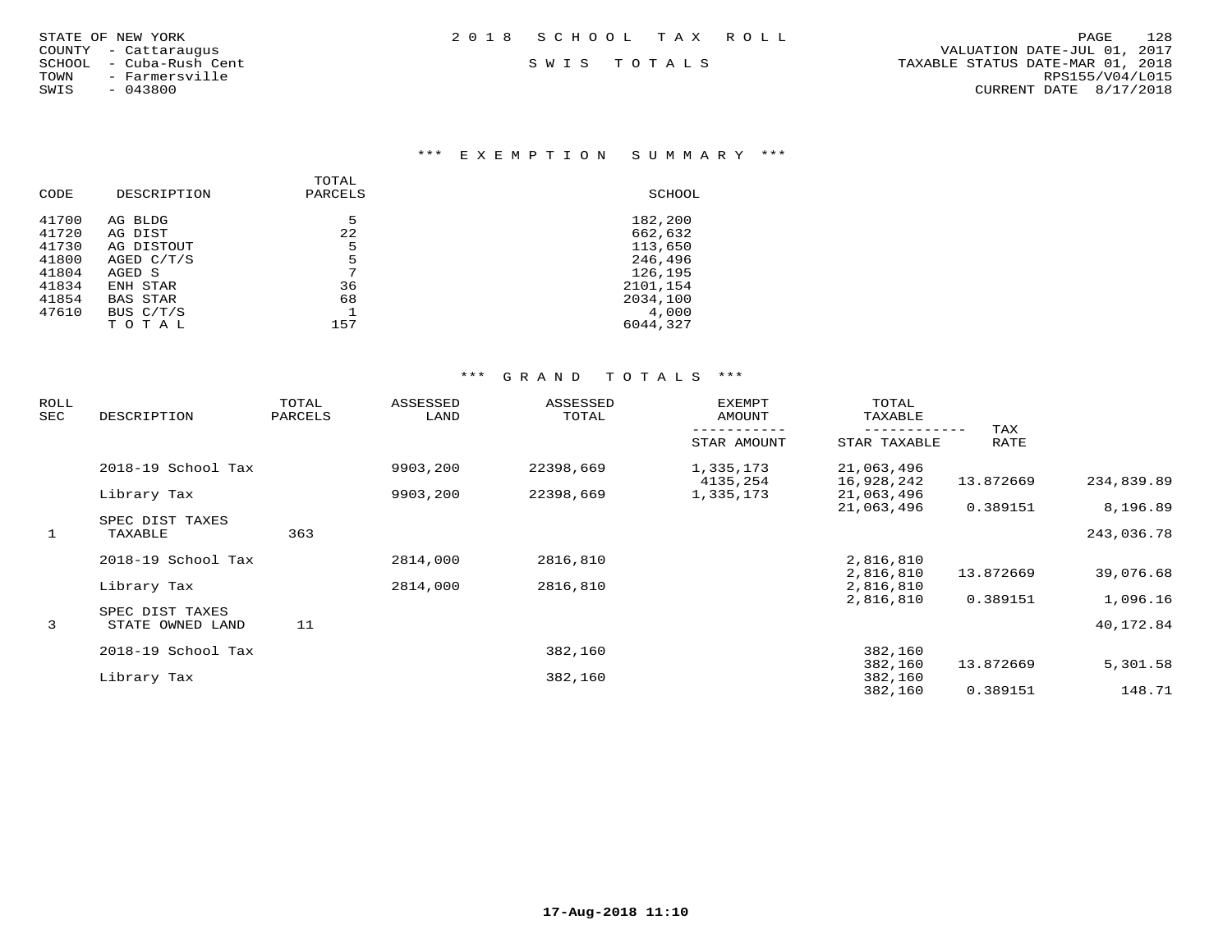| STATE OF NEW YORK |                  |  |
|-------------------|------------------|--|
| COUNTY            | - Cattaraugus    |  |
| SCHOOL            | - Cuba-Rush Cent |  |
| TOWN              | - Farmersville   |  |
| SWIS              | $-043800$        |  |

### \*\*\* E X E M P T I O N S U M M A R Y \*\*\*

| CODE  | DESCRIPTION     | TOTAL<br>PARCELS | SCHOOL   |
|-------|-----------------|------------------|----------|
| 41700 | AG BLDG         | 5                | 182,200  |
| 41720 | AG DIST         | 22               | 662,632  |
| 41730 | AG DISTOUT      | 5                | 113,650  |
| 41800 | AGED $C/T/S$    | 5                | 246,496  |
| 41804 | AGED S          | 7                | 126,195  |
| 41834 | ENH STAR        | 36               | 2101,154 |
| 41854 | <b>BAS STAR</b> | 68               | 2034,100 |
| 47610 | BUS C/T/S       |                  | 4,000    |
|       | TOTAL           | 157              | 6044,327 |
|       |                 |                  |          |

| ROLL<br>SEC | DESCRIPTION                         | TOTAL<br>PARCELS | ASSESSED<br>LAND | ASSESSED<br>TOTAL | <b>EXEMPT</b><br>AMOUNT | TOTAL<br>TAXABLE         |             |            |
|-------------|-------------------------------------|------------------|------------------|-------------------|-------------------------|--------------------------|-------------|------------|
|             |                                     |                  |                  |                   | STAR AMOUNT             | STAR TAXABLE             | TAX<br>RATE |            |
|             | 2018-19 School Tax                  |                  | 9903,200         | 22398,669         | 1,335,173<br>4135,254   | 21,063,496<br>16,928,242 | 13.872669   | 234,839.89 |
|             | Library Tax                         |                  | 9903,200         | 22398,669         | 1,335,173               | 21,063,496               |             |            |
|             | SPEC DIST TAXES                     |                  |                  |                   |                         | 21,063,496               | 0.389151    | 8,196.89   |
| 1           | TAXABLE                             | 363              |                  |                   |                         |                          |             | 243,036.78 |
|             | 2018-19 School Tax                  |                  | 2814,000         | 2816,810          |                         | 2,816,810                |             |            |
|             | Library Tax                         |                  | 2814,000         | 2816,810          |                         | 2,816,810<br>2,816,810   | 13.872669   | 39,076.68  |
|             |                                     |                  |                  |                   |                         | 2,816,810                | 0.389151    | 1,096.16   |
| 3           | SPEC DIST TAXES<br>STATE OWNED LAND | 11               |                  |                   |                         |                          |             | 40,172.84  |
|             | 2018-19 School Tax                  |                  |                  | 382,160           |                         | 382,160                  |             |            |
|             |                                     |                  |                  |                   |                         | 382,160                  | 13.872669   | 5,301.58   |
|             | Library Tax                         |                  |                  | 382,160           |                         | 382,160<br>382,160       | 0.389151    | 148.71     |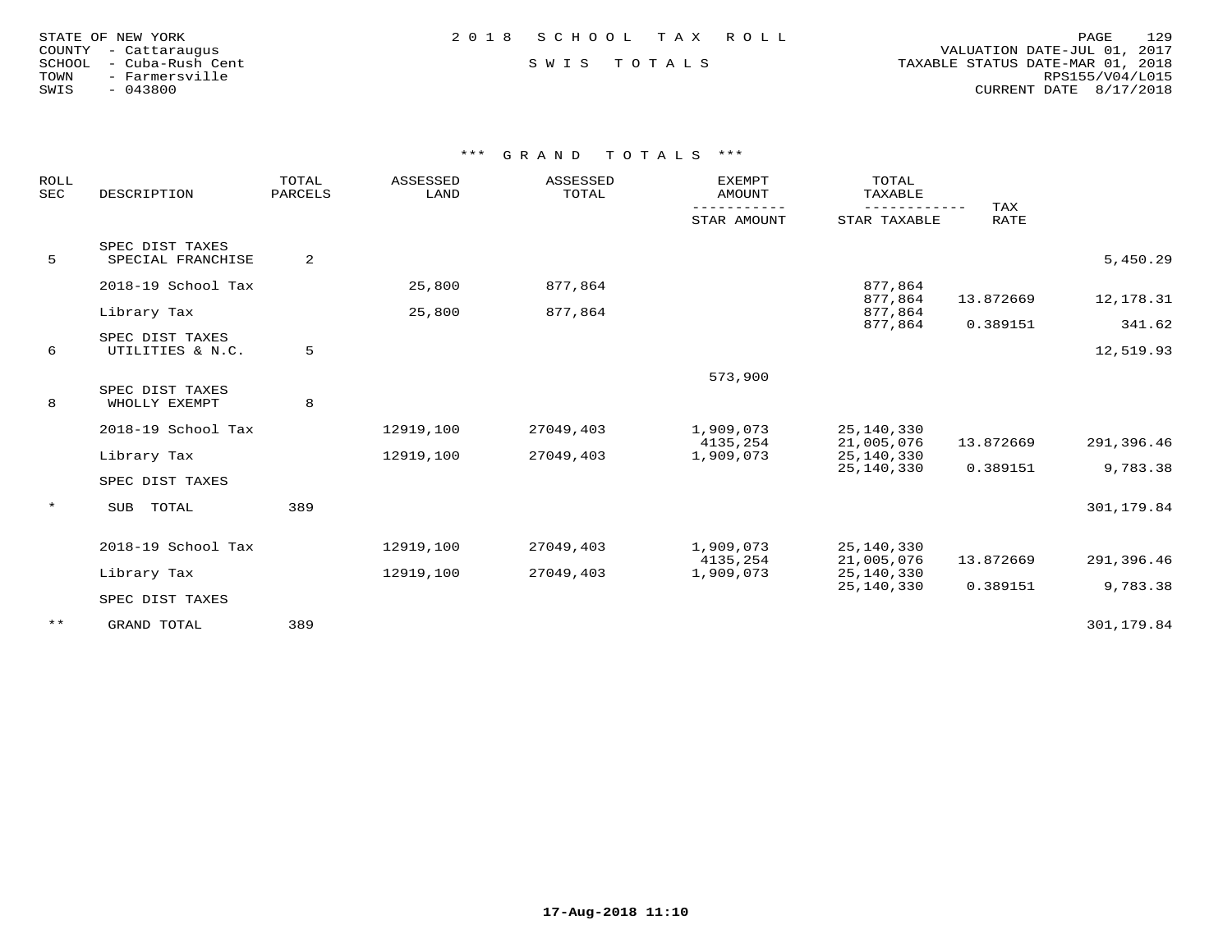| STATE OF NEW YORK |                  |
|-------------------|------------------|
| COUNTY            | - Cattarauqus    |
| SCHOOL            | - Cuba-Rush Cent |
| TOWN              | - Farmersville   |
| SWIS              | $-043800$        |

 COUNTY - Cattaraugus VALUATION DATE-JUL 01, 2017 SCHOOL - Cuba-Rush Cent S W I S T O T A L S TAXABLE STATUS DATE-MAR 01, 2018 TOWN - Farmersville RPS155/V04/L015SWIS - 043800 CURRENT DATE 8/17/2018

| ROLL<br><b>SEC</b> | DESCRIPTION        | TOTAL<br><b>PARCELS</b> | ASSESSED<br>LAND | ASSESSED<br>TOTAL | <b>EXEMPT</b><br><b>AMOUNT</b> | TOTAL<br>TAXABLE   |             |            |
|--------------------|--------------------|-------------------------|------------------|-------------------|--------------------------------|--------------------|-------------|------------|
|                    |                    |                         |                  |                   | STAR AMOUNT                    | STAR TAXABLE       | TAX<br>RATE |            |
|                    | SPEC DIST TAXES    |                         |                  |                   |                                |                    |             |            |
| 5                  | SPECIAL FRANCHISE  | 2                       |                  |                   |                                |                    |             | 5,450.29   |
|                    | 2018-19 School Tax |                         | 25,800           | 877,864           |                                | 877,864            |             |            |
|                    | Library Tax        |                         | 25,800           | 877,864           |                                | 877,864<br>877,864 | 13.872669   | 12,178.31  |
|                    |                    |                         |                  |                   |                                | 877,864            | 0.389151    | 341.62     |
|                    | SPEC DIST TAXES    |                         |                  |                   |                                |                    |             |            |
| 6                  | UTILITIES & N.C.   | 5                       |                  |                   |                                |                    |             | 12,519.93  |
|                    |                    |                         |                  |                   | 573,900                        |                    |             |            |
|                    | SPEC DIST TAXES    |                         |                  |                   |                                |                    |             |            |
| 8                  | WHOLLY EXEMPT      | 8                       |                  |                   |                                |                    |             |            |
|                    | 2018-19 School Tax |                         | 12919,100        | 27049,403         | 1,909,073                      | 25,140,330         |             |            |
|                    |                    |                         |                  |                   | 4135,254                       | 21,005,076         | 13.872669   | 291,396.46 |
|                    | Library Tax        |                         | 12919,100        | 27049,403         | 1,909,073                      | 25, 140, 330       |             |            |
|                    | SPEC DIST TAXES    |                         |                  |                   |                                | 25,140,330         | 0.389151    | 9,783.38   |
| $\star$            |                    |                         |                  |                   |                                |                    |             |            |
|                    | TOTAL<br>SUB       | 389                     |                  |                   |                                |                    |             | 301,179.84 |
|                    | 2018-19 School Tax |                         | 12919,100        | 27049,403         | 1,909,073                      | 25,140,330         |             |            |
|                    |                    |                         |                  |                   | 4135,254                       | 21,005,076         | 13.872669   | 291,396.46 |
|                    | Library Tax        |                         | 12919,100        | 27049,403         | 1,909,073                      | 25, 140, 330       |             |            |
|                    | SPEC DIST TAXES    |                         |                  |                   |                                | 25,140,330         | 0.389151    | 9,783.38   |
|                    |                    |                         |                  |                   |                                |                    |             |            |
| $***$              | GRAND TOTAL        | 389                     |                  |                   |                                |                    |             | 301,179.84 |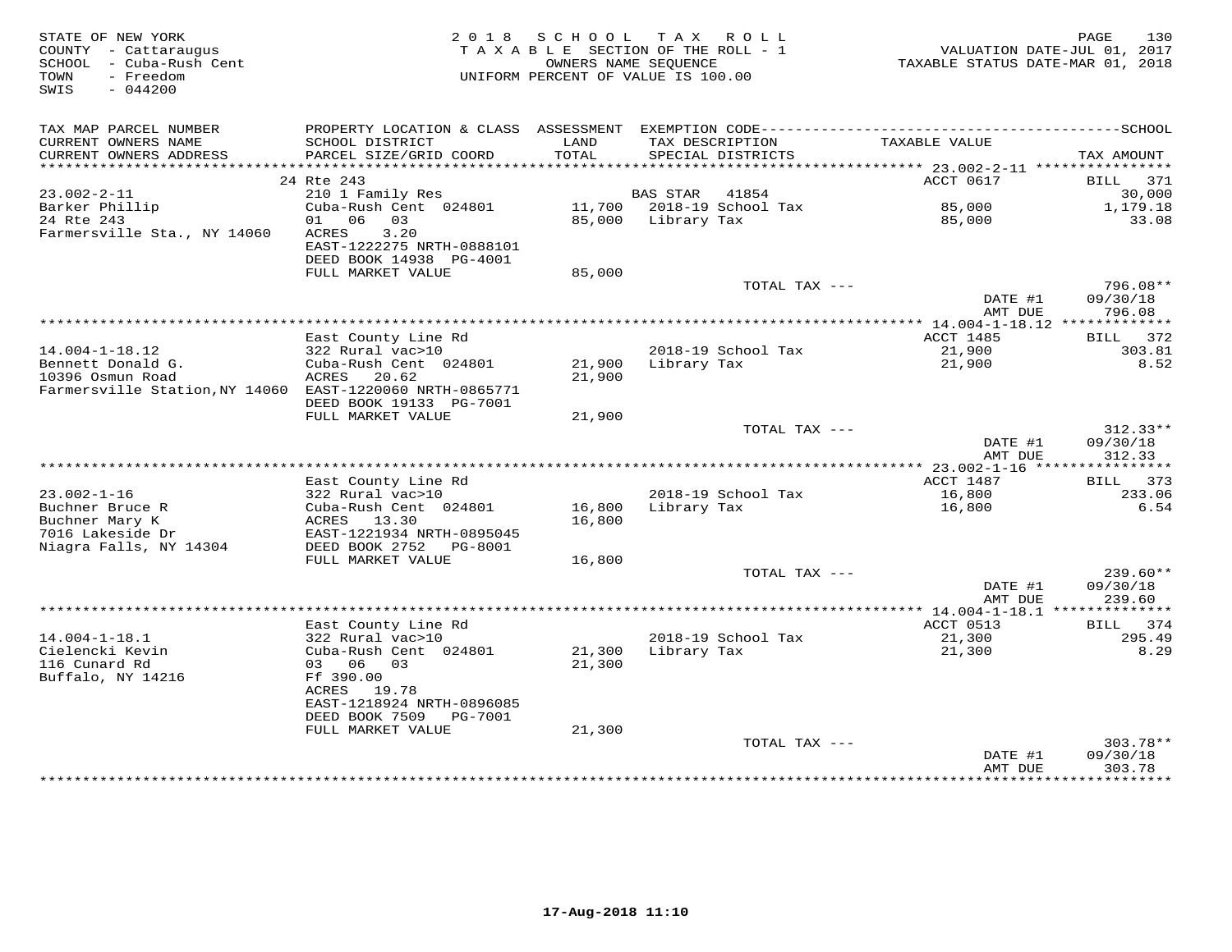| STATE OF NEW YORK<br>COUNTY - Cattaraugus<br>SCHOOL - Cuba-Rush Cent<br>- Freedom<br>TOWN<br>$-044200$<br>SWIS | 2 0 1 8                                                                                              | S C H O O L<br>TAXABLE SECTION OF THE ROLL - 1<br>OWNERS NAME SEQUENCE<br>UNIFORM PERCENT OF VALUE IS 100.00 |                 | TAX ROLL                             | VALUATION DATE-JUL 01, 2017<br>TAXABLE STATUS DATE-MAR 01, 2018 | 130<br>PAGE                      |
|----------------------------------------------------------------------------------------------------------------|------------------------------------------------------------------------------------------------------|--------------------------------------------------------------------------------------------------------------|-----------------|--------------------------------------|-----------------------------------------------------------------|----------------------------------|
| TAX MAP PARCEL NUMBER                                                                                          |                                                                                                      |                                                                                                              |                 |                                      |                                                                 |                                  |
| CURRENT OWNERS NAME<br>CURRENT OWNERS ADDRESS                                                                  | SCHOOL DISTRICT<br>PARCEL SIZE/GRID COORD                                                            | LAND<br>TOTAL                                                                                                |                 | TAX DESCRIPTION<br>SPECIAL DISTRICTS | TAXABLE VALUE                                                   | TAX AMOUNT                       |
|                                                                                                                | 24 Rte 243                                                                                           |                                                                                                              |                 |                                      | ACCT 0617                                                       | BILL<br>371                      |
| $23.002 - 2 - 11$                                                                                              | 210 1 Family Res                                                                                     |                                                                                                              | <b>BAS STAR</b> | 41854                                |                                                                 | 30,000                           |
| Barker Phillip                                                                                                 | Cuba-Rush Cent 024801                                                                                |                                                                                                              |                 | 11,700 2018-19 School Tax            | 85,000                                                          | 1,179.18                         |
| 24 Rte 243<br>Farmersville Sta., NY 14060                                                                      | 01 06<br>03<br>ACRES<br>3.20<br>EAST-1222275 NRTH-0888101<br>DEED BOOK 14938 PG-4001                 | 85,000                                                                                                       | Library Tax     |                                      | 85,000                                                          | 33.08                            |
|                                                                                                                | FULL MARKET VALUE                                                                                    | 85,000                                                                                                       |                 |                                      |                                                                 |                                  |
|                                                                                                                |                                                                                                      |                                                                                                              |                 | TOTAL TAX ---                        |                                                                 | 796.08**                         |
|                                                                                                                |                                                                                                      |                                                                                                              |                 |                                      | DATE #1<br>AMT DUE                                              | 09/30/18<br>796.08               |
|                                                                                                                |                                                                                                      |                                                                                                              |                 |                                      |                                                                 |                                  |
| $14.004 - 1 - 18.12$                                                                                           | East County Line Rd<br>322 Rural vac>10                                                              |                                                                                                              |                 | 2018-19 School Tax                   | ACCT 1485<br>21,900                                             | BILL<br>372<br>303.81            |
| Bennett Donald G.                                                                                              | Cuba-Rush Cent 024801                                                                                | 21,900                                                                                                       | Library Tax     |                                      | 21,900                                                          | 8.52                             |
| 10396 Osmun Road<br>Farmersville Station, NY 14060 EAST-1220060 NRTH-0865771                                   | ACRES<br>20.62<br>DEED BOOK 19133 PG-7001                                                            | 21,900                                                                                                       |                 |                                      |                                                                 |                                  |
|                                                                                                                | FULL MARKET VALUE                                                                                    | 21,900                                                                                                       |                 |                                      |                                                                 |                                  |
|                                                                                                                |                                                                                                      |                                                                                                              |                 | TOTAL TAX ---                        | DATE #1<br>AMT DUE                                              | $312.33**$<br>09/30/18<br>312.33 |
| ******************************                                                                                 |                                                                                                      |                                                                                                              |                 |                                      |                                                                 |                                  |
|                                                                                                                | East County Line Rd                                                                                  |                                                                                                              |                 |                                      | ACCT 1487                                                       | 373<br>BILL                      |
| $23.002 - 1 - 16$                                                                                              | 322 Rural vac>10                                                                                     |                                                                                                              |                 | 2018-19 School Tax                   | 16,800                                                          | 233.06                           |
| Buchner Bruce R<br>Buchner Mary K<br>7016 Lakeside Dr                                                          | Cuba-Rush Cent 024801<br>ACRES<br>13.30<br>EAST-1221934 NRTH-0895045                                 | 16,800<br>16,800                                                                                             | Library Tax     |                                      | 16,800                                                          | 6.54                             |
| Niagra Falls, NY 14304                                                                                         | DEED BOOK 2752<br>PG-8001<br>FULL MARKET VALUE                                                       | 16,800                                                                                                       |                 |                                      |                                                                 |                                  |
|                                                                                                                |                                                                                                      |                                                                                                              |                 | TOTAL TAX ---                        |                                                                 | $239.60**$                       |
|                                                                                                                |                                                                                                      |                                                                                                              |                 |                                      | DATE #1<br>AMT DUE                                              | 09/30/18<br>239.60               |
|                                                                                                                |                                                                                                      |                                                                                                              |                 |                                      |                                                                 |                                  |
| $14.004 - 1 - 18.1$                                                                                            | East County Line Rd<br>322 Rural vac>10                                                              |                                                                                                              |                 | 2018-19 School Tax                   | ACCT 0513<br>21,300                                             | 374<br>BILL<br>295.49            |
| Cielencki Kevin                                                                                                | Cuba-Rush Cent 024801                                                                                | 21,300                                                                                                       | Library Tax     |                                      | 21,300                                                          | 8.29                             |
| 116 Cunard Rd<br>Buffalo, NY 14216                                                                             | 0.3 0.6<br>0.3<br>Ff 390.00<br>ACRES 19.78<br>EAST-1218924 NRTH-0896085<br>DEED BOOK 7509<br>PG-7001 | 21,300                                                                                                       |                 |                                      |                                                                 |                                  |
|                                                                                                                | FULL MARKET VALUE                                                                                    | 21,300                                                                                                       |                 |                                      |                                                                 |                                  |
|                                                                                                                |                                                                                                      |                                                                                                              |                 | TOTAL TAX ---                        | DATE #1<br>AMT DUE                                              | 303.78**<br>09/30/18<br>303.78   |
|                                                                                                                |                                                                                                      |                                                                                                              |                 |                                      |                                                                 |                                  |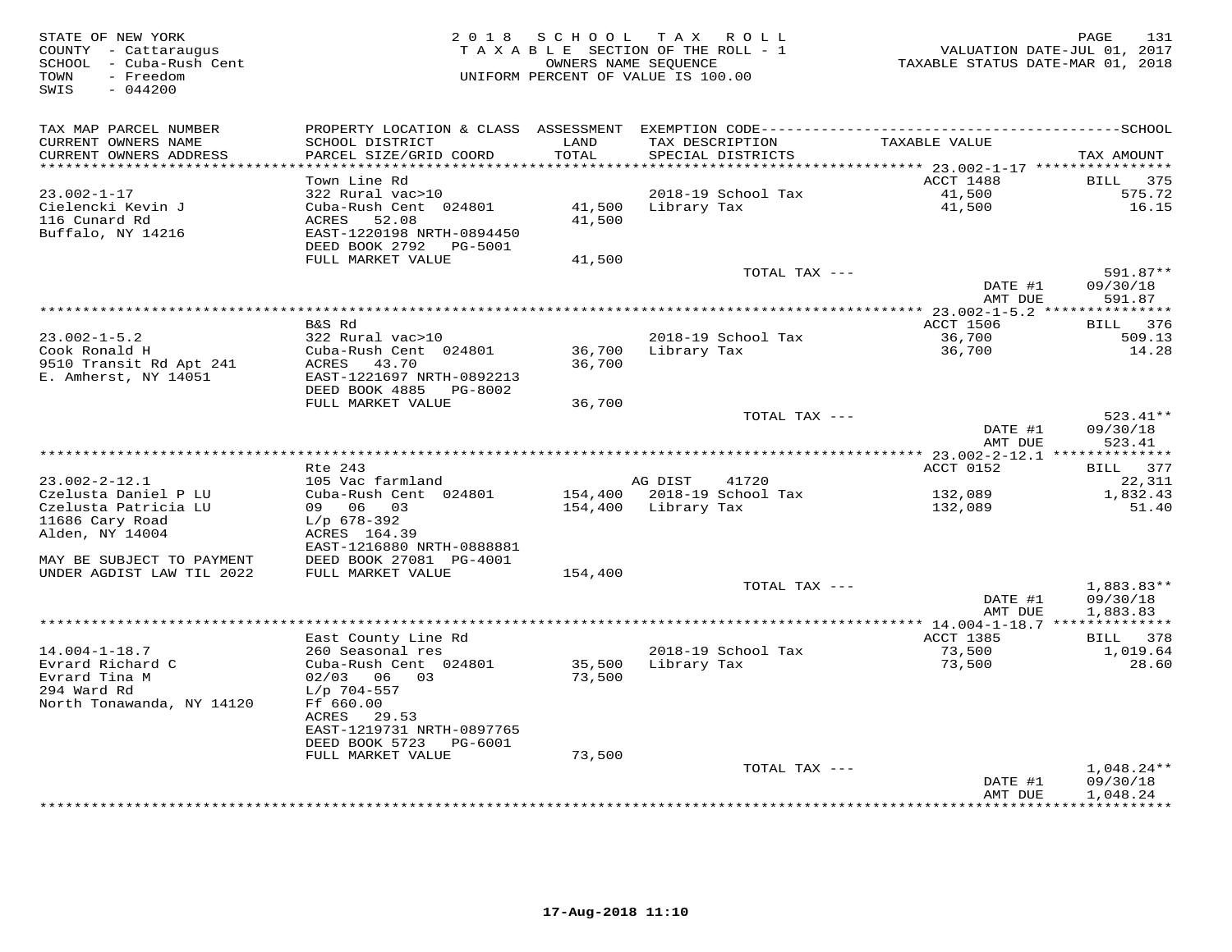| STATE OF NEW YORK<br>COUNTY - Cattaraugus<br>SCHOOL - Cuba-Rush Cent<br>- Freedom<br>TOWN<br>$-044200$<br>SWIS |                                              | 2018 SCHOOL      | TAX ROLL<br>TAXABLE SECTION OF THE ROLL - 1<br>OWNERS NAME SEQUENCE<br>UNIFORM PERCENT OF VALUE IS 100.00 | VALUATION DATE-JUL 01, 2017<br>TAXABLE STATUS DATE-MAR 01, 2018 | 131<br>PAGE              |
|----------------------------------------------------------------------------------------------------------------|----------------------------------------------|------------------|-----------------------------------------------------------------------------------------------------------|-----------------------------------------------------------------|--------------------------|
| TAX MAP PARCEL NUMBER                                                                                          |                                              |                  |                                                                                                           |                                                                 |                          |
| CURRENT OWNERS NAME<br>CURRENT OWNERS ADDRESS<br>***********************                                       | SCHOOL DISTRICT<br>PARCEL SIZE/GRID COORD    | LAND<br>TOTAL    | TAX DESCRIPTION<br>SPECIAL DISTRICTS                                                                      | TAXABLE VALUE                                                   | TAX AMOUNT               |
|                                                                                                                | Town Line Rd                                 |                  |                                                                                                           | ACCT 1488                                                       | BILL<br>375              |
| $23.002 - 1 - 17$                                                                                              | 322 Rural vac>10                             |                  | 2018-19 School Tax                                                                                        | 41,500                                                          | 575.72                   |
| Cielencki Kevin J                                                                                              | Cuba-Rush Cent 024801                        | 41,500           | Library Tax                                                                                               | 41,500                                                          | 16.15                    |
| 116 Cunard Rd                                                                                                  | ACRES<br>52.08                               | 41,500           |                                                                                                           |                                                                 |                          |
| Buffalo, NY 14216                                                                                              | EAST-1220198 NRTH-0894450                    |                  |                                                                                                           |                                                                 |                          |
|                                                                                                                | DEED BOOK 2792 PG-5001                       |                  |                                                                                                           |                                                                 |                          |
|                                                                                                                | FULL MARKET VALUE                            | 41,500           | TOTAL TAX ---                                                                                             |                                                                 | 591.87**                 |
|                                                                                                                |                                              |                  |                                                                                                           | DATE #1                                                         | 09/30/18                 |
|                                                                                                                |                                              |                  |                                                                                                           | AMT DUE                                                         | 591.87                   |
|                                                                                                                |                                              |                  |                                                                                                           |                                                                 |                          |
|                                                                                                                | B&S Rd                                       |                  |                                                                                                           | <b>ACCT 1506</b>                                                | BILL 376                 |
| $23.002 - 1 - 5.2$                                                                                             | 322 Rural vac>10                             |                  | 2018-19 School Tax                                                                                        | 36,700                                                          | 509.13                   |
| Cook Ronald H                                                                                                  | Cuba-Rush Cent 024801                        | 36,700           | Library Tax                                                                                               | 36,700                                                          | 14.28                    |
| 9510 Transit Rd Apt 241<br>E. Amherst, NY 14051                                                                | ACRES<br>43.70<br>EAST-1221697 NRTH-0892213  | 36,700           |                                                                                                           |                                                                 |                          |
|                                                                                                                | DEED BOOK 4885<br>PG-8002                    |                  |                                                                                                           |                                                                 |                          |
|                                                                                                                | FULL MARKET VALUE                            | 36,700           |                                                                                                           |                                                                 |                          |
|                                                                                                                |                                              |                  | TOTAL TAX ---                                                                                             |                                                                 | $523.41**$               |
|                                                                                                                |                                              |                  |                                                                                                           | DATE #1                                                         | 09/30/18                 |
|                                                                                                                |                                              |                  |                                                                                                           | AMT DUE                                                         | 523.41                   |
|                                                                                                                |                                              |                  |                                                                                                           |                                                                 |                          |
| $23.002 - 2 - 12.1$                                                                                            | Rte 243<br>105 Vac farmland                  |                  | AG DIST<br>41720                                                                                          | ACCT 0152                                                       | BILL 377<br>22,311       |
| Czelusta Daniel P LU                                                                                           | Cuba-Rush Cent 024801                        |                  | 154,400 2018-19 School Tax                                                                                | 132,089                                                         | 1,832.43                 |
| Czelusta Patricia LU                                                                                           | 09 06 03                                     | 154,400          | Library Tax                                                                                               | 132,089                                                         | 51.40                    |
| 11686 Cary Road                                                                                                | $L/p$ 678-392                                |                  |                                                                                                           |                                                                 |                          |
| Alden, NY 14004                                                                                                | ACRES 164.39                                 |                  |                                                                                                           |                                                                 |                          |
|                                                                                                                | EAST-1216880 NRTH-0888881                    |                  |                                                                                                           |                                                                 |                          |
| MAY BE SUBJECT TO PAYMENT<br>UNDER AGDIST LAW TIL 2022                                                         | DEED BOOK 27081 PG-4001<br>FULL MARKET VALUE | 154,400          |                                                                                                           |                                                                 |                          |
|                                                                                                                |                                              |                  | TOTAL TAX ---                                                                                             |                                                                 | $1,883.83**$             |
|                                                                                                                |                                              |                  |                                                                                                           | DATE #1                                                         | 09/30/18                 |
|                                                                                                                |                                              |                  |                                                                                                           | AMT DUE                                                         | 1,883.83                 |
|                                                                                                                |                                              |                  |                                                                                                           | *********** 14.004-1-18.7 ***************                       |                          |
|                                                                                                                | East County Line Rd                          |                  |                                                                                                           | <b>ACCT 1385</b>                                                | BILL<br>378              |
| $14.004 - 1 - 18.7$                                                                                            | 260 Seasonal res                             |                  | 2018-19 School Tax                                                                                        | 73,500                                                          | 1,019.64                 |
| Evrard Richard C<br>Evrard Tina M                                                                              | Cuba-Rush Cent 024801<br>02/03<br>06 03      | 35,500<br>73,500 | Library Tax                                                                                               | 73,500                                                          | 28.60                    |
| 294 Ward Rd                                                                                                    | $L/p$ 704-557                                |                  |                                                                                                           |                                                                 |                          |
| North Tonawanda, NY 14120                                                                                      | Ff 660.00                                    |                  |                                                                                                           |                                                                 |                          |
|                                                                                                                | ACRES<br>29.53                               |                  |                                                                                                           |                                                                 |                          |
|                                                                                                                | EAST-1219731 NRTH-0897765                    |                  |                                                                                                           |                                                                 |                          |
|                                                                                                                | DEED BOOK 5723 PG-6001                       |                  |                                                                                                           |                                                                 |                          |
|                                                                                                                | FULL MARKET VALUE                            | 73,500           |                                                                                                           |                                                                 |                          |
|                                                                                                                |                                              |                  | TOTAL TAX ---                                                                                             | DATE #1                                                         | $1,048.24**$<br>09/30/18 |
|                                                                                                                |                                              |                  |                                                                                                           | AMT DUE                                                         | 1,048.24                 |
|                                                                                                                |                                              |                  |                                                                                                           |                                                                 | **********               |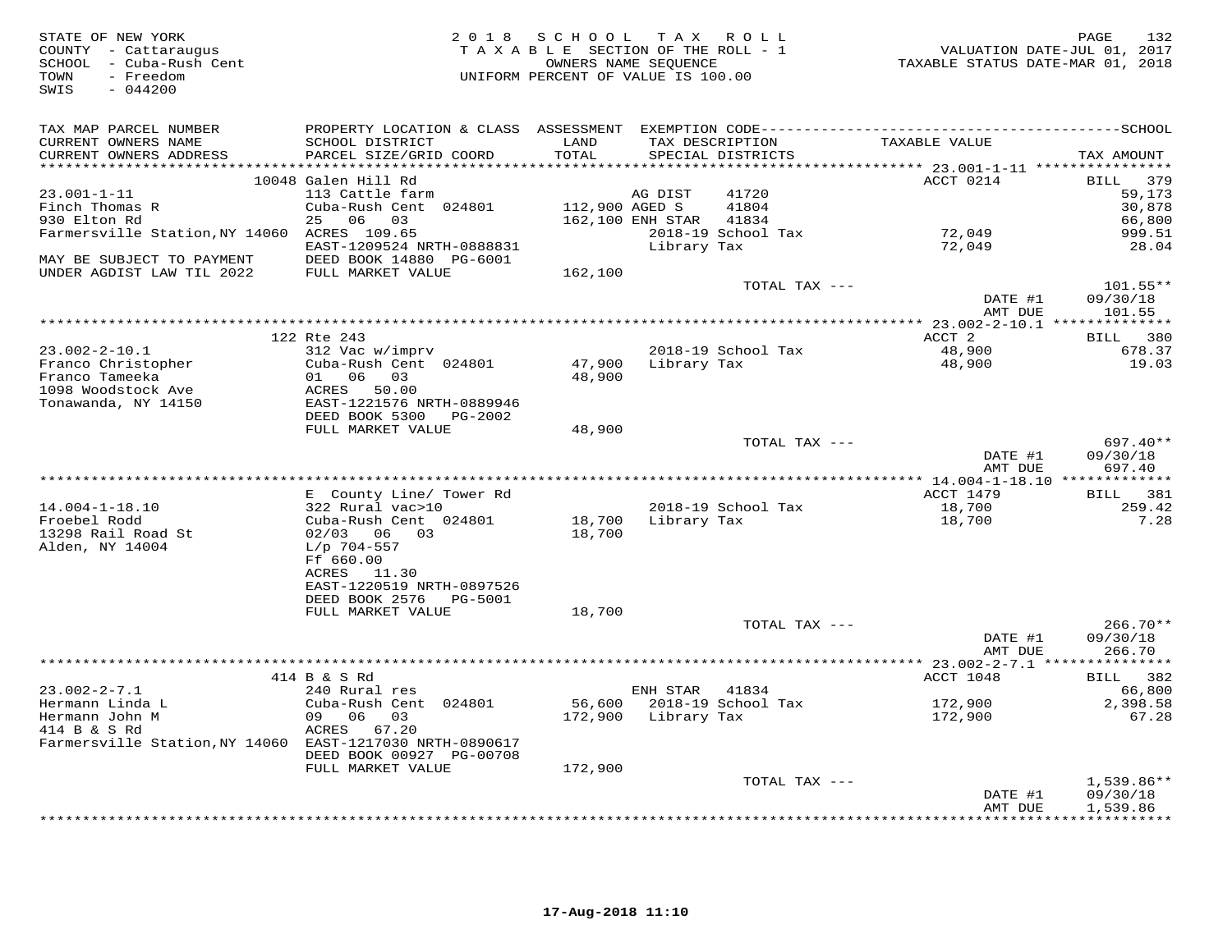| STATE OF NEW YORK<br>COUNTY - Cattaraugus<br>SCHOOL - Cuba-Rush Cent<br>- Freedom<br>TOWN<br>SWIS<br>$-044200$ |                                                      | 2018 SCHOOL TAX ROLL<br>TAXABLE SECTION OF THE ROLL - 1<br>OWNERS NAME SEQUENCE<br>UNIFORM PERCENT OF VALUE IS 100.00 |                     |                                      | TAXABLE STATUS DATE-MAR 01, 2018 | 132<br>PAGE<br>VALUATION DATE-JUL 01, 2017 |
|----------------------------------------------------------------------------------------------------------------|------------------------------------------------------|-----------------------------------------------------------------------------------------------------------------------|---------------------|--------------------------------------|----------------------------------|--------------------------------------------|
| TAX MAP PARCEL NUMBER                                                                                          |                                                      |                                                                                                                       |                     |                                      |                                  |                                            |
| CURRENT OWNERS NAME<br>CURRENT OWNERS ADDRESS                                                                  | SCHOOL DISTRICT<br>PARCEL SIZE/GRID COORD            | LAND<br>TOTAL                                                                                                         |                     | TAX DESCRIPTION<br>SPECIAL DISTRICTS | TAXABLE VALUE                    | TAX AMOUNT                                 |
|                                                                                                                | 10048 Galen Hill Rd                                  |                                                                                                                       |                     |                                      | ACCT 0214                        | BILL 379                                   |
| $23.001 - 1 - 11$                                                                                              | 113 Cattle farm                                      |                                                                                                                       | AG DIST             | 41720                                |                                  | 59,173                                     |
| Finch Thomas R                                                                                                 | Cuba-Rush Cent 024801                                | 112,900 AGED S                                                                                                        |                     | 41804                                |                                  | 30,878                                     |
| 930 Elton Rd                                                                                                   | 25 06 03                                             |                                                                                                                       | 162,100 ENH STAR    | 41834                                |                                  | 66,800                                     |
| Farmersville Station, NY 14060 ACRES 109.65                                                                    |                                                      |                                                                                                                       |                     | 2018-19 School Tax                   | 72,049                           | 999.51                                     |
| MAY BE SUBJECT TO PAYMENT                                                                                      | EAST-1209524 NRTH-0888831<br>DEED BOOK 14880 PG-6001 |                                                                                                                       | Library Tax         |                                      | 72,049                           | 28.04                                      |
| UNDER AGDIST LAW TIL 2022                                                                                      | FULL MARKET VALUE                                    | 162,100                                                                                                               |                     |                                      |                                  |                                            |
|                                                                                                                |                                                      |                                                                                                                       |                     | TOTAL TAX ---                        |                                  | 101.55**                                   |
|                                                                                                                |                                                      |                                                                                                                       |                     |                                      | DATE #1<br>AMT DUE               | 09/30/18<br>101.55                         |
|                                                                                                                |                                                      |                                                                                                                       |                     |                                      |                                  |                                            |
|                                                                                                                | 122 Rte 243                                          |                                                                                                                       |                     |                                      | ACCT 2                           | BILL 380                                   |
| $23.002 - 2 - 10.1$                                                                                            | 312 Vac w/imprv                                      |                                                                                                                       |                     | 2018-19 School Tax                   | 48,900                           | 678.37                                     |
| Franco Christopher                                                                                             | Cuba-Rush Cent 024801                                |                                                                                                                       |                     | 47,900 Library Tax                   | 48,900                           | 19.03                                      |
| Franco Tameeka                                                                                                 | 01 06 03                                             | 48,900                                                                                                                |                     |                                      |                                  |                                            |
| 1098 Woodstock Ave                                                                                             | ACRES 50.00                                          |                                                                                                                       |                     |                                      |                                  |                                            |
| Tonawanda, NY 14150                                                                                            | EAST-1221576 NRTH-0889946                            |                                                                                                                       |                     |                                      |                                  |                                            |
|                                                                                                                | DEED BOOK 5300 PG-2002                               |                                                                                                                       |                     |                                      |                                  |                                            |
|                                                                                                                | FULL MARKET VALUE                                    | 48,900                                                                                                                |                     |                                      |                                  | $697.40**$                                 |
|                                                                                                                |                                                      |                                                                                                                       |                     | TOTAL TAX ---                        | DATE #1                          | 09/30/18                                   |
|                                                                                                                |                                                      |                                                                                                                       |                     |                                      | AMT DUE                          | 697.40                                     |
|                                                                                                                |                                                      |                                                                                                                       |                     |                                      |                                  |                                            |
|                                                                                                                | E County Line/ Tower Rd                              |                                                                                                                       |                     |                                      | ACCT 1479                        | BILL 381                                   |
| $14.004 - 1 - 18.10$                                                                                           | 322 Rural vac>10                                     |                                                                                                                       |                     | 2018-19 School Tax                   | $\frac{18}{10}$ , 700            | 259.42                                     |
| Froebel Rodd                                                                                                   | Cuba-Rush Cent 024801                                |                                                                                                                       | 18,700 Library Tax  |                                      | 18,700                           | 7.28                                       |
| 13298 Rail Road St                                                                                             | 02/03 06 03                                          | 18,700                                                                                                                |                     |                                      |                                  |                                            |
| Alden, NY 14004                                                                                                | $L/p$ 704-557                                        |                                                                                                                       |                     |                                      |                                  |                                            |
|                                                                                                                | Ff 660.00                                            |                                                                                                                       |                     |                                      |                                  |                                            |
|                                                                                                                | ACRES 11.30                                          |                                                                                                                       |                     |                                      |                                  |                                            |
|                                                                                                                | EAST-1220519 NRTH-0897526                            |                                                                                                                       |                     |                                      |                                  |                                            |
|                                                                                                                | DEED BOOK 2576<br>PG-5001                            |                                                                                                                       |                     |                                      |                                  |                                            |
|                                                                                                                | FULL MARKET VALUE                                    | 18,700                                                                                                                |                     |                                      |                                  |                                            |
|                                                                                                                |                                                      |                                                                                                                       |                     | TOTAL TAX ---                        |                                  | $266.70**$                                 |
|                                                                                                                |                                                      |                                                                                                                       |                     |                                      | DATE #1<br>AMT DUE               | 09/30/18<br>266.70                         |
|                                                                                                                |                                                      |                                                                                                                       |                     |                                      |                                  |                                            |
|                                                                                                                | 414 B & S Rd                                         |                                                                                                                       |                     |                                      | ACCT 1048                        | BILL 382                                   |
| $23.002 - 2 - 7.1$                                                                                             | 240 Rural res                                        |                                                                                                                       | ENH STAR 41834      |                                      |                                  | 66,800                                     |
| Hermann Linda L                                                                                                | Cuba-Rush Cent 024801                                | 56,600                                                                                                                |                     | 2018-19 School Tax                   | 172,900                          | 2,398.58                                   |
| Hermann John M                                                                                                 | 09 06 03                                             |                                                                                                                       | 172,900 Library Tax |                                      | 172,900                          | 67.28                                      |
| 414 B & S Rd                                                                                                   | ACRES 67.20                                          |                                                                                                                       |                     |                                      |                                  |                                            |
| Farmersville Station, NY 14060 EAST-1217030 NRTH-0890617                                                       |                                                      |                                                                                                                       |                     |                                      |                                  |                                            |
|                                                                                                                | DEED BOOK 00927 PG-00708                             |                                                                                                                       |                     |                                      |                                  |                                            |
|                                                                                                                | FULL MARKET VALUE                                    | 172,900                                                                                                               |                     |                                      |                                  |                                            |
|                                                                                                                |                                                      |                                                                                                                       |                     | TOTAL TAX ---                        |                                  | $1,539.86**$                               |
|                                                                                                                |                                                      |                                                                                                                       |                     |                                      | DATE #1                          | 09/30/18                                   |
|                                                                                                                |                                                      |                                                                                                                       |                     |                                      | AMT DUE                          | 1,539.86<br>.                              |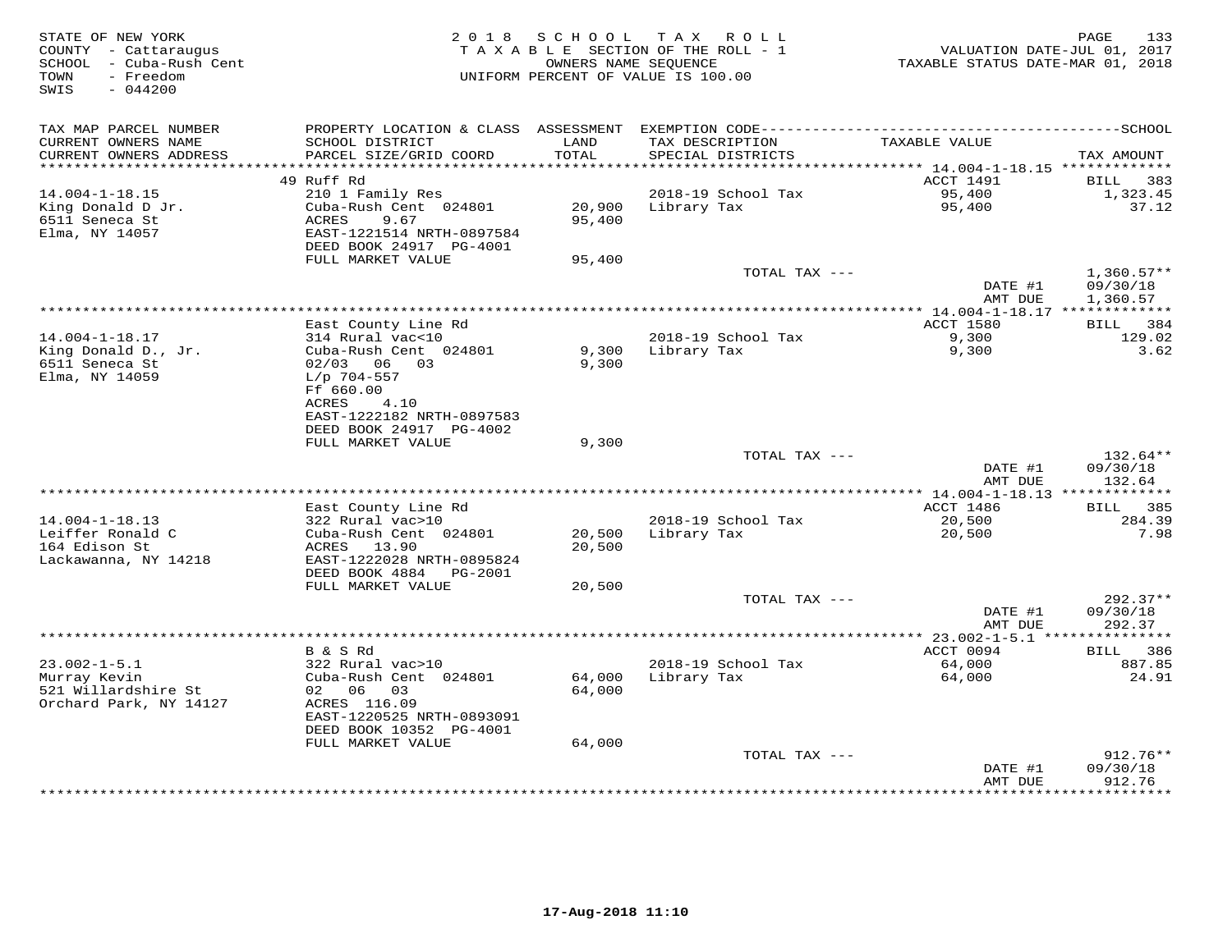| STATE OF NEW YORK<br>COUNTY - Cattaraugus<br>SCHOOL - Cuba-Rush Cent<br>TOWN<br>- Freedom<br>$-044200$<br>SWIS | 2 0 1 8                                                                                                        | SCHOOL           | T A X<br>R O L L<br>TAXABLE SECTION OF THE ROLL - 1<br>OWNERS NAME SEQUENCE<br>UNIFORM PERCENT OF VALUE IS 100.00 | VALUATION DATE-JUL 01, 2017<br>TAXABLE STATUS DATE-MAR 01, 2018 | PAGE<br>133                          |
|----------------------------------------------------------------------------------------------------------------|----------------------------------------------------------------------------------------------------------------|------------------|-------------------------------------------------------------------------------------------------------------------|-----------------------------------------------------------------|--------------------------------------|
| TAX MAP PARCEL NUMBER<br>CURRENT OWNERS NAME<br>CURRENT OWNERS ADDRESS                                         | PROPERTY LOCATION & CLASS ASSESSMENT<br>SCHOOL DISTRICT<br>PARCEL SIZE/GRID COORD                              | LAND<br>TOTAL    | TAX DESCRIPTION<br>SPECIAL DISTRICTS                                                                              | TAXABLE VALUE                                                   | TAX AMOUNT                           |
| ***********************                                                                                        |                                                                                                                |                  |                                                                                                                   |                                                                 |                                      |
|                                                                                                                | 49 Ruff Rd                                                                                                     |                  |                                                                                                                   | ACCT 1491                                                       | BILL<br>383                          |
| $14.004 - 1 - 18.15$                                                                                           | 210 1 Family Res                                                                                               |                  | 2018-19 School Tax                                                                                                | 95,400                                                          | 1,323.45                             |
| King Donald D Jr.<br>6511 Seneca St<br>Elma, NY 14057                                                          | Cuba-Rush Cent 024801<br>ACRES<br>9.67<br>EAST-1221514 NRTH-0897584<br>DEED BOOK 24917 PG-4001                 | 20,900<br>95,400 | Library Tax                                                                                                       | 95,400                                                          | 37.12                                |
|                                                                                                                | FULL MARKET VALUE                                                                                              | 95,400           |                                                                                                                   |                                                                 |                                      |
|                                                                                                                |                                                                                                                |                  | TOTAL TAX ---                                                                                                     | DATE #1<br>AMT DUE                                              | $1,360.57**$<br>09/30/18<br>1,360.57 |
|                                                                                                                |                                                                                                                |                  |                                                                                                                   |                                                                 |                                      |
|                                                                                                                | East County Line Rd                                                                                            |                  |                                                                                                                   | ACCT 1580                                                       | 384<br>BILL                          |
| $14.004 - 1 - 18.17$<br>King Donald D., Jr.<br>6511 Seneca St<br>Elma, NY 14059                                | 314 Rural vac<10<br>Cuba-Rush Cent 024801<br>02/03 06 03<br>$L/p$ 704-557<br>Ff 660.00<br><b>ACRES</b><br>4.10 | 9,300<br>9,300   | 2018-19 School Tax<br>Library Tax                                                                                 | 9,300<br>9,300                                                  | 129.02<br>3.62                       |
|                                                                                                                | EAST-1222182 NRTH-0897583<br>DEED BOOK 24917 PG-4002                                                           |                  |                                                                                                                   |                                                                 |                                      |
|                                                                                                                | FULL MARKET VALUE                                                                                              | 9,300            | TOTAL TAX ---                                                                                                     |                                                                 | 132.64**                             |
|                                                                                                                |                                                                                                                |                  |                                                                                                                   | DATE #1<br>AMT DUE                                              | 09/30/18<br>132.64                   |
|                                                                                                                |                                                                                                                |                  |                                                                                                                   |                                                                 |                                      |
| $14.004 - 1 - 18.13$                                                                                           | East County Line Rd<br>322 Rural vac>10                                                                        |                  | 2018-19 School Tax                                                                                                | ACCT 1486<br>20,500                                             | 385<br><b>BILL</b><br>284.39         |
| Leiffer Ronald C                                                                                               | Cuba-Rush Cent 024801                                                                                          | 20,500           | Library Tax                                                                                                       | 20,500                                                          | 7.98                                 |
| 164 Edison St<br>Lackawanna, NY 14218                                                                          | ACRES 13.90<br>EAST-1222028 NRTH-0895824<br>DEED BOOK 4884<br>PG-2001                                          | 20,500           |                                                                                                                   |                                                                 |                                      |
|                                                                                                                | FULL MARKET VALUE                                                                                              | 20,500           | TOTAL TAX ---                                                                                                     |                                                                 | $292.37**$                           |
|                                                                                                                |                                                                                                                |                  |                                                                                                                   | DATE #1<br>AMT DUE                                              | 09/30/18<br>292.37                   |
|                                                                                                                |                                                                                                                |                  |                                                                                                                   |                                                                 |                                      |
|                                                                                                                | B & S Rd                                                                                                       |                  |                                                                                                                   | ACCT 0094                                                       | 386<br><b>BILL</b>                   |
| $23.002 - 1 - 5.1$<br>Murray Kevin                                                                             | 322 Rural vac>10<br>Cuba-Rush Cent 024801                                                                      | 64,000           | 2018-19 School Tax<br>Library Tax                                                                                 | 64,000<br>64,000                                                | 887.85<br>24.91                      |
| 521 Willardshire St<br>Orchard Park, NY 14127                                                                  | 02 06 03<br>ACRES 116.09<br>EAST-1220525 NRTH-0893091<br>DEED BOOK 10352 PG-4001                               | 64,000           |                                                                                                                   |                                                                 |                                      |
|                                                                                                                | FULL MARKET VALUE                                                                                              | 64,000           | TOTAL TAX ---                                                                                                     |                                                                 | $912.76**$                           |
|                                                                                                                |                                                                                                                |                  |                                                                                                                   | DATE #1<br>AMT DUE                                              | 09/30/18<br>912.76                   |
|                                                                                                                |                                                                                                                |                  |                                                                                                                   |                                                                 | ************                         |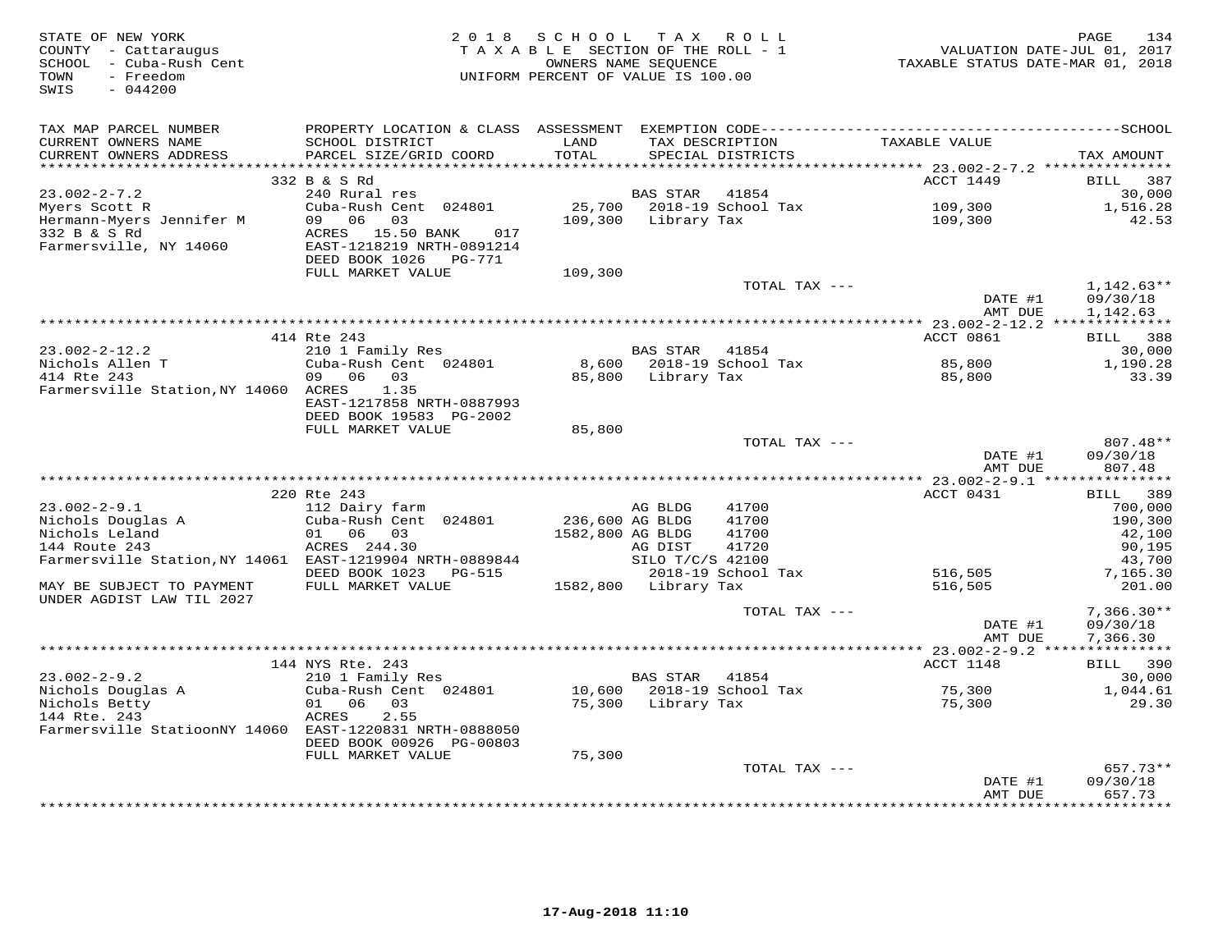| STATE OF NEW YORK<br>COUNTY - Cattaraugus<br>SCHOOL - Cuba-Rush Cent<br>TOWN - Freedom<br>- Freedom<br>TOWN<br>$-044200$<br>SWIS |                                                                                                                 | 2018 SCHOOL TAX ROLL                                    |                       |                                                    | PAGE 134<br>TAXABLE SECTION OF THE ROLL - 1<br>OWNERS NAME SEQUENCE<br>UNIFORM PERCENT OF VALUE IS 100.00 |                               |
|----------------------------------------------------------------------------------------------------------------------------------|-----------------------------------------------------------------------------------------------------------------|---------------------------------------------------------|-----------------------|----------------------------------------------------|-----------------------------------------------------------------------------------------------------------|-------------------------------|
| TAX MAP PARCEL NUMBER                                                                                                            |                                                                                                                 |                                                         |                       |                                                    |                                                                                                           |                               |
| CURRENT OWNERS NAME<br>CURRENT OWNERS ADDRESS                                                                                    | SCHOOL DISTRICT<br>PARCEL SIZE/GRID COORD                                                                       | LAND<br>TOTAL                                           |                       | TAX DESCRIPTION<br>SPECIAL DISTRICTS               | TAXABLE VALUE                                                                                             | TAX AMOUNT                    |
| ***********************                                                                                                          |                                                                                                                 |                                                         |                       |                                                    |                                                                                                           |                               |
|                                                                                                                                  | 332 B & S Rd                                                                                                    |                                                         |                       |                                                    | ACCT 1449                                                                                                 | BILL 387                      |
| $23.002 - 2 - 7.2$                                                                                                               | 240 Rural res                                                                                                   |                                                         | BAS STAR 41854        |                                                    |                                                                                                           | 30,000                        |
| Myers Scott R                                                                                                                    | Cuba-Rush Cent 024801                                                                                           |                                                         |                       |                                                    | 109,300<br>109,300                                                                                        | 1,516.28                      |
| Hermann-Myers Jennifer M                                                                                                         | 09 06 03                                                                                                        |                                                         |                       | 25,700 2018-19 School Tax<br>109,300   Library Tax |                                                                                                           | 42.53                         |
| 332 B & S Rd<br>Farmersville, NY 14060                                                                                           | ACRES 15.50 BANK 017<br>EAST-1218219 NRTH-0891214<br>DEED BOOK 1026    PG-771                                   |                                                         |                       |                                                    |                                                                                                           |                               |
|                                                                                                                                  | FULL MARKET VALUE                                                                                               | 109,300                                                 |                       |                                                    |                                                                                                           |                               |
|                                                                                                                                  |                                                                                                                 |                                                         |                       | TOTAL TAX ---                                      |                                                                                                           | $1,142.63**$                  |
|                                                                                                                                  |                                                                                                                 |                                                         |                       |                                                    | DATE #1<br>AMT DUE                                                                                        | 09/30/18<br>1,142.63          |
|                                                                                                                                  |                                                                                                                 |                                                         |                       |                                                    |                                                                                                           |                               |
|                                                                                                                                  | 414 Rte 243                                                                                                     |                                                         |                       |                                                    | ACCT 0861                                                                                                 | BILL 388                      |
| $23.002 - 2 - 12.2$                                                                                                              | 210 1 Family Res                                                                                                |                                                         | <b>BAS STAR</b> 41854 |                                                    |                                                                                                           | 30,000                        |
| Nichols Allen T<br>414 Bto 243                                                                                                   | Cuba-Rush Cent 024801                                                                                           |                                                         |                       | 8,600 2018-19 School Tax<br>85,800   Library Tax   | 85,800<br>85,800                                                                                          | 1,190.28                      |
| 414 Rte 243<br>Farmersville Station, NY 14060 ACRES                                                                              | 09 06 03<br>1.35                                                                                                |                                                         | 85,800 Library Tax    |                                                    |                                                                                                           | 33.39                         |
|                                                                                                                                  | EAST-1217858 NRTH-0887993                                                                                       |                                                         |                       |                                                    |                                                                                                           |                               |
|                                                                                                                                  | DEED BOOK 19583 PG-2002                                                                                         |                                                         |                       |                                                    |                                                                                                           |                               |
|                                                                                                                                  | FULL MARKET VALUE                                                                                               | 85,800                                                  |                       |                                                    |                                                                                                           |                               |
|                                                                                                                                  |                                                                                                                 |                                                         |                       | TOTAL TAX ---                                      |                                                                                                           | 807.48**                      |
|                                                                                                                                  |                                                                                                                 |                                                         |                       |                                                    | DATE #1                                                                                                   | 09/30/18                      |
|                                                                                                                                  |                                                                                                                 |                                                         |                       |                                                    | AMT DUE                                                                                                   | 807.48                        |
|                                                                                                                                  |                                                                                                                 |                                                         |                       |                                                    |                                                                                                           |                               |
|                                                                                                                                  | 220 Rte 243                                                                                                     |                                                         |                       |                                                    | ACCT 0431                                                                                                 | BILL 389                      |
| $23.002 - 2 - 9.1$<br>Nichols Douglas A                                                                                          | 112 Dairy farm<br>Cuba-Rush Cent 024801                                                                         |                                                         | AG BLDG               | 41700<br>41700                                     |                                                                                                           | 700,000<br>190,300            |
| Nichols Leland                                                                                                                   |                                                                                                                 | 236,600 AG BLDG<br>1582,800 AG BLDG<br>1582,800 AG BLDG |                       | 41700                                              |                                                                                                           | 42,100                        |
| 144 Route 243                                                                                                                    | ACRES 244.30                                                                                                    |                                                         | AG DIST               | 41720                                              |                                                                                                           | 90,195                        |
| Farmersville Station, NY 14061 EAST-1219904 NRTH-0889844                                                                         |                                                                                                                 |                                                         |                       |                                                    |                                                                                                           | 43,700                        |
|                                                                                                                                  |                                                                                                                 |                                                         |                       |                                                    |                                                                                                           | 7,165.30                      |
| MAY BE SUBJECT TO PAYMENT                                                                                                        | EAST-1219904 NRTH-0889844<br>DEED BOOK 1023 PG-515 2018-19 School Tax<br>FULL MARKET VALUE 1582,800 Library Tax |                                                         |                       |                                                    | 516,505<br>516,505                                                                                        | 201.00                        |
| UNDER AGDIST LAW TIL 2027                                                                                                        |                                                                                                                 |                                                         |                       |                                                    |                                                                                                           |                               |
|                                                                                                                                  |                                                                                                                 |                                                         |                       | TOTAL TAX ---                                      |                                                                                                           | $7,366.30**$                  |
|                                                                                                                                  |                                                                                                                 |                                                         |                       |                                                    | DATE #1                                                                                                   | 09/30/18                      |
|                                                                                                                                  |                                                                                                                 |                                                         |                       |                                                    | AMT DUE                                                                                                   | 7,366.30                      |
|                                                                                                                                  | 144 NYS Rte. 243                                                                                                |                                                         |                       |                                                    | ACCT 1148                                                                                                 | BILL 390                      |
| $23.002 - 2 - 9.2$                                                                                                               | 210 1 Family Res                                                                                                |                                                         | <b>BAS STAR</b> 41854 |                                                    |                                                                                                           | 30,000                        |
| Nichols Douglas A                                                                                                                | Cuba-Rush Cent 024801 10,600 2018-19 School Tax                                                                 |                                                         |                       |                                                    |                                                                                                           | 1,044.61                      |
| Nichols Betty                                                                                                                    | 01 06 03                                                                                                        |                                                         |                       | 75,300 Library Tax                                 | 75,300<br>75,300                                                                                          | 29.30                         |
| 144 Rte. 243                                                                                                                     | 2.55<br>ACRES                                                                                                   |                                                         |                       |                                                    |                                                                                                           |                               |
| Farmersville StatioonNY 14060 EAST-1220831 NRTH-0888050                                                                          | DEED BOOK 00926 PG-00803                                                                                        |                                                         |                       |                                                    |                                                                                                           |                               |
|                                                                                                                                  | FULL MARKET VALUE                                                                                               | 75,300                                                  |                       |                                                    |                                                                                                           |                               |
|                                                                                                                                  |                                                                                                                 |                                                         |                       | TOTAL TAX ---                                      |                                                                                                           | $657.73**$                    |
|                                                                                                                                  |                                                                                                                 |                                                         |                       |                                                    | DATE #1                                                                                                   | 09/30/18                      |
|                                                                                                                                  |                                                                                                                 |                                                         |                       |                                                    | AMT DUE                                                                                                   | 657.73<br>* * * * * * * * * * |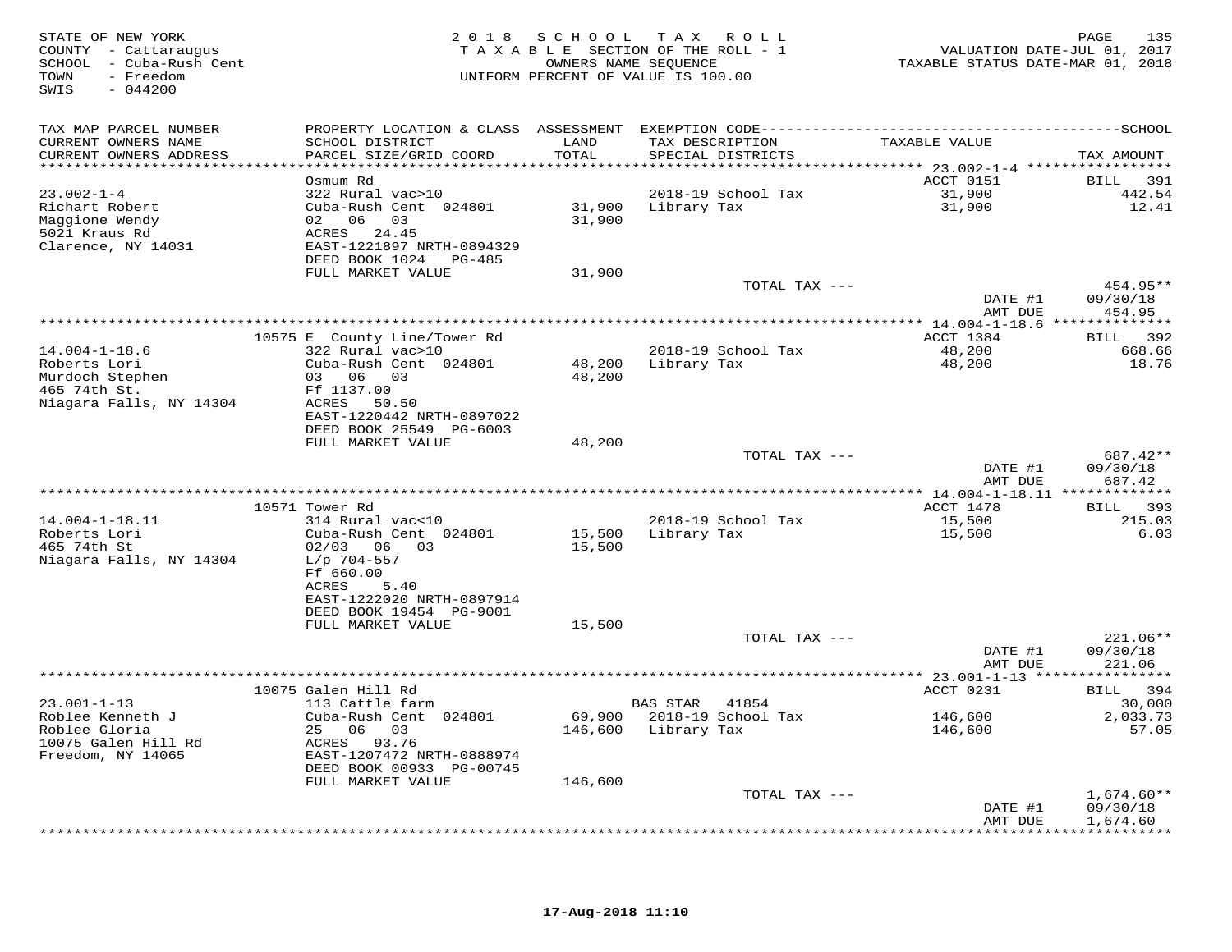| STATE OF NEW YORK<br>COUNTY - Cattaraugus<br>SCHOOL - Cuba-Rush Cent<br>TOWN<br>- Freedom<br>$-044200$<br>SWIS |                                                                                                                 | 2018 SCHOOL      | T A X<br>R O L L<br>TAXABLE SECTION OF THE ROLL - 1<br>OWNERS NAME SEQUENCE<br>UNIFORM PERCENT OF VALUE IS 100.00 | VALUATION DATE-JUL 01, 2017<br>TAXABLE STATUS DATE-MAR 01, 2018 | 135<br>PAGE                    |
|----------------------------------------------------------------------------------------------------------------|-----------------------------------------------------------------------------------------------------------------|------------------|-------------------------------------------------------------------------------------------------------------------|-----------------------------------------------------------------|--------------------------------|
| TAX MAP PARCEL NUMBER<br>CURRENT OWNERS NAME                                                                   | PROPERTY LOCATION & CLASS ASSESSMENT EXEMPTION CODE-----------------------------------SCHOOL<br>SCHOOL DISTRICT | LAND             | TAX DESCRIPTION                                                                                                   | TAXABLE VALUE                                                   |                                |
| CURRENT OWNERS ADDRESS<br>******************************                                                       | PARCEL SIZE/GRID COORD                                                                                          | TOTAL            | SPECIAL DISTRICTS                                                                                                 |                                                                 | TAX AMOUNT                     |
|                                                                                                                | Osmum Rd                                                                                                        |                  |                                                                                                                   | ACCT 0151                                                       | BILL 391                       |
| $23.002 - 1 - 4$                                                                                               | 322 Rural vac>10                                                                                                |                  | 2018-19 School Tax                                                                                                | 31,900                                                          | 442.54                         |
| Richart Robert                                                                                                 | Cuba-Rush Cent 024801                                                                                           |                  | 31,900 Library Tax                                                                                                | 31,900                                                          | 12.41                          |
| Maggione Wendy<br>5021 Kraus Rd<br>Clarence, NY 14031                                                          | 02 06 03<br>ACRES 24.45<br>EAST-1221897 NRTH-0894329<br>DEED BOOK 1024 PG-485                                   | 31,900           |                                                                                                                   |                                                                 |                                |
|                                                                                                                | FULL MARKET VALUE                                                                                               | 31,900           |                                                                                                                   |                                                                 |                                |
|                                                                                                                |                                                                                                                 |                  | TOTAL TAX ---                                                                                                     | DATE #1                                                         | 454.95**<br>09/30/18           |
|                                                                                                                |                                                                                                                 |                  |                                                                                                                   | AMT DUE                                                         | 454.95                         |
|                                                                                                                | 10575 E County Line/Tower Rd                                                                                    |                  |                                                                                                                   | ACCT 1384                                                       | BILL 392                       |
| $14.004 - 1 - 18.6$                                                                                            | 322 Rural vac>10                                                                                                |                  | 2018-19 School Tax                                                                                                | 48,200                                                          | 668.66                         |
| Roberts Lori<br>Murdoch Stephen                                                                                | Cuba-Rush Cent 024801<br>03 06 03                                                                               | 48,200<br>48,200 | Library Tax                                                                                                       | 48,200                                                          | 18.76                          |
| 465 74th St.                                                                                                   | Ff 1137.00                                                                                                      |                  |                                                                                                                   |                                                                 |                                |
| Niagara Falls, NY 14304                                                                                        | ACRES 50.50                                                                                                     |                  |                                                                                                                   |                                                                 |                                |
|                                                                                                                | EAST-1220442 NRTH-0897022                                                                                       |                  |                                                                                                                   |                                                                 |                                |
|                                                                                                                | DEED BOOK 25549 PG-6003<br>FULL MARKET VALUE                                                                    | 48,200           |                                                                                                                   |                                                                 |                                |
|                                                                                                                |                                                                                                                 |                  | TOTAL TAX ---                                                                                                     |                                                                 | 687.42**                       |
|                                                                                                                |                                                                                                                 |                  |                                                                                                                   | DATE #1<br>AMT DUE                                              | 09/30/18<br>687.42             |
|                                                                                                                | 10571 Tower Rd                                                                                                  |                  |                                                                                                                   | *********** 14.004-1-18.11 *************<br>ACCT 1478           | <b>BILL</b><br>393             |
| $14.004 - 1 - 18.11$                                                                                           | 314 Rural vac<10                                                                                                |                  | 2018-19 School Tax                                                                                                | 15,500                                                          | 215.03                         |
| Roberts Lori<br>465 74th St                                                                                    | Cuba-Rush Cent 024801<br>$02/03$ 06 03                                                                          | 15,500<br>15,500 | Library Tax                                                                                                       | 15,500                                                          | 6.03                           |
| Niagara Falls, NY 14304                                                                                        | $L/p$ 704-557<br>Ff 660.00<br>ACRES<br>5.40                                                                     |                  |                                                                                                                   |                                                                 |                                |
|                                                                                                                | EAST-1222020 NRTH-0897914<br>DEED BOOK 19454 PG-9001                                                            |                  |                                                                                                                   |                                                                 |                                |
|                                                                                                                | FULL MARKET VALUE                                                                                               | 15,500           |                                                                                                                   |                                                                 |                                |
|                                                                                                                |                                                                                                                 |                  | TOTAL TAX ---                                                                                                     | DATE #1<br>AMT DUE                                              | 221.06**<br>09/30/18<br>221.06 |
|                                                                                                                |                                                                                                                 |                  |                                                                                                                   |                                                                 |                                |
|                                                                                                                | 10075 Galen Hill Rd                                                                                             |                  |                                                                                                                   | ACCT 0231                                                       | BILL 394                       |
| $23.001 - 1 - 13$<br>Roblee Kenneth J                                                                          | 113 Cattle farm<br>Cuba-Rush Cent 024801                                                                        |                  | BAS STAR 41854<br>69,900 2018-19 School Tax                                                                       | 146,600                                                         | 30,000<br>2,033.73             |
| Roblee Gloria                                                                                                  | 25 06 03                                                                                                        | 146,600          | Library Tax                                                                                                       | 146,600                                                         | 57.05                          |
| 10075 Galen Hill Rd<br>Freedom, NY 14065                                                                       | ACRES 93.76<br>EAST-1207472 NRTH-0888974                                                                        |                  |                                                                                                                   |                                                                 |                                |
|                                                                                                                | DEED BOOK 00933 PG-00745                                                                                        |                  |                                                                                                                   |                                                                 |                                |
|                                                                                                                | FULL MARKET VALUE                                                                                               | 146,600          |                                                                                                                   |                                                                 |                                |
|                                                                                                                |                                                                                                                 |                  | TOTAL TAX ---                                                                                                     |                                                                 | $1,674.60**$                   |
|                                                                                                                |                                                                                                                 |                  |                                                                                                                   | DATE #1<br>AMT DUE                                              | 09/30/18<br>1,674.60           |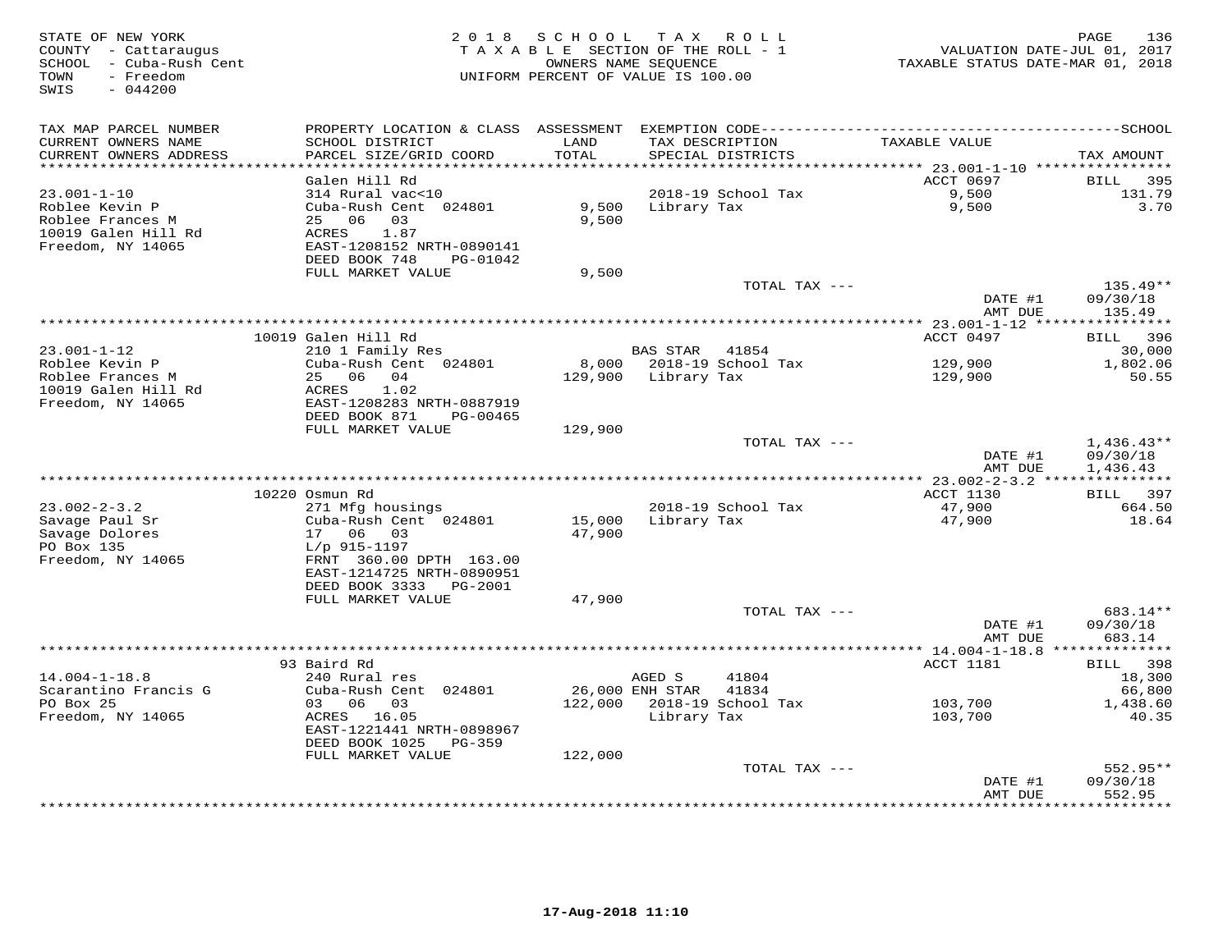| STATE OF NEW YORK<br>COUNTY - Cattaraugus<br>SCHOOL - Cuba-Rush Cent<br>- Freedom<br>TOWN<br>SWIS<br>$-044200$ |                                                       |               | 2018 SCHOOL TAX ROLL<br>TAXABLE SECTION OF THE ROLL - 1<br>OWNERS NAME SEQUENCE<br>UNIFORM PERCENT OF VALUE IS 100.00 | VALUATION DATE-JUL 01, 2017<br>TAXABLE STATUS DATE-MAR 01, 2018 | PAGE<br>136                  |
|----------------------------------------------------------------------------------------------------------------|-------------------------------------------------------|---------------|-----------------------------------------------------------------------------------------------------------------------|-----------------------------------------------------------------|------------------------------|
| TAX MAP PARCEL NUMBER                                                                                          |                                                       |               |                                                                                                                       |                                                                 |                              |
| CURRENT OWNERS NAME<br>CURRENT OWNERS ADDRESS<br>**********************                                        | SCHOOL DISTRICT<br>PARCEL SIZE/GRID COORD             | LAND<br>TOTAL | TAX DESCRIPTION<br>SPECIAL DISTRICTS                                                                                  | TAXABLE VALUE                                                   | TAX AMOUNT                   |
|                                                                                                                | Galen Hill Rd                                         |               |                                                                                                                       | ACCT 0697                                                       | BILL<br>395                  |
| $23.001 - 1 - 10$                                                                                              | 314 Rural vac<10                                      |               | 2018-19 School Tax                                                                                                    | 9,500                                                           | 131.79                       |
| Roblee Kevin P                                                                                                 | Cuba-Rush Cent 024801                                 | 9,500         | Library Tax                                                                                                           | 9,500                                                           | 3.70                         |
| Roblee Frances M                                                                                               | 25 06 03                                              | 9,500         |                                                                                                                       |                                                                 |                              |
| 10019 Galen Hill Rd                                                                                            | ACRES<br>1.87                                         |               |                                                                                                                       |                                                                 |                              |
| Freedom, NY 14065                                                                                              | EAST-1208152 NRTH-0890141                             |               |                                                                                                                       |                                                                 |                              |
|                                                                                                                | DEED BOOK 748<br>PG-01042                             |               |                                                                                                                       |                                                                 |                              |
|                                                                                                                | FULL MARKET VALUE                                     | 9,500         | TOTAL TAX ---                                                                                                         |                                                                 | $135.49**$                   |
|                                                                                                                |                                                       |               |                                                                                                                       | DATE #1                                                         | 09/30/18                     |
|                                                                                                                |                                                       |               |                                                                                                                       | AMT DUE                                                         | 135.49                       |
|                                                                                                                | 10019 Galen Hill Rd                                   |               |                                                                                                                       | ACCT 0497                                                       | BILL 396                     |
| $23.001 - 1 - 12$                                                                                              | 210 1 Family Res                                      |               | BAS STAR 41854                                                                                                        |                                                                 | 30,000                       |
| Roblee Kevin P                                                                                                 | Cuba-Rush Cent 024801                                 |               | 8,000 2018-19 School Tax                                                                                              | 129,900                                                         | 1,802.06                     |
| Roblee Frances M                                                                                               | 25 06 04                                              |               | 129,900 Library Tax                                                                                                   | 129,900                                                         | 50.55                        |
| 10019 Galen Hill Rd<br>Freedom, NY 14065                                                                       | 1.02<br>ACRES<br>EAST-1208283 NRTH-0887919            |               |                                                                                                                       |                                                                 |                              |
|                                                                                                                | DEED BOOK 871<br>PG-00465                             |               |                                                                                                                       |                                                                 |                              |
|                                                                                                                | FULL MARKET VALUE                                     | 129,900       |                                                                                                                       |                                                                 |                              |
|                                                                                                                |                                                       |               | TOTAL TAX ---                                                                                                         |                                                                 | $1,436.43**$                 |
|                                                                                                                |                                                       |               |                                                                                                                       | DATE #1                                                         | 09/30/18                     |
|                                                                                                                |                                                       |               |                                                                                                                       | AMT DUE                                                         | 1,436.43                     |
|                                                                                                                |                                                       |               |                                                                                                                       |                                                                 |                              |
| $23.002 - 2 - 3.2$                                                                                             | 10220 Osmun Rd<br>271 Mfg housings                    |               | 2018-19 School Tax                                                                                                    | ACCT 1130<br>47,900                                             | 397<br><b>BILL</b><br>664.50 |
| Savage Paul Sr                                                                                                 | Cuba-Rush Cent 024801                                 | 15,000        | Library Tax                                                                                                           | 47,900                                                          | 18.64                        |
| Savage Dolores                                                                                                 | 17 06<br>03                                           | 47,900        |                                                                                                                       |                                                                 |                              |
| PO Box 135                                                                                                     | $L/p$ 915-1197                                        |               |                                                                                                                       |                                                                 |                              |
| Freedom, NY 14065                                                                                              | FRNT 360.00 DPTH 163.00                               |               |                                                                                                                       |                                                                 |                              |
|                                                                                                                | EAST-1214725 NRTH-0890951                             |               |                                                                                                                       |                                                                 |                              |
|                                                                                                                | DEED BOOK 3333<br>PG-2001                             |               |                                                                                                                       |                                                                 |                              |
|                                                                                                                | FULL MARKET VALUE                                     | 47,900        |                                                                                                                       |                                                                 |                              |
|                                                                                                                |                                                       |               | TOTAL TAX ---                                                                                                         | DATE #1                                                         | 683.14**<br>09/30/18         |
|                                                                                                                |                                                       |               |                                                                                                                       | AMT DUE                                                         | 683.14                       |
|                                                                                                                |                                                       |               |                                                                                                                       |                                                                 |                              |
|                                                                                                                | 93 Baird Rd                                           |               |                                                                                                                       | ACCT 1181                                                       | BILL 398                     |
| $14.004 - 1 - 18.8$                                                                                            | 240 Rural res                                         |               | AGED S<br>41804                                                                                                       |                                                                 | 18,300                       |
| Scarantino Francis G                                                                                           | Cuba-Rush Cent 024801                                 |               | 26,000 ENH STAR 41834                                                                                                 |                                                                 | 66,800                       |
| PO Box 25                                                                                                      | 03 06<br>03                                           | 122,000       | 2018-19 School Tax                                                                                                    | 103,700                                                         | 1,438.60                     |
| Freedom, NY 14065                                                                                              | ACRES 16.05                                           |               | Library Tax                                                                                                           | 103,700                                                         | 40.35                        |
|                                                                                                                | EAST-1221441 NRTH-0898967<br>DEED BOOK 1025<br>PG-359 |               |                                                                                                                       |                                                                 |                              |
|                                                                                                                | FULL MARKET VALUE                                     | 122,000       |                                                                                                                       |                                                                 |                              |
|                                                                                                                |                                                       |               | TOTAL TAX ---                                                                                                         |                                                                 | 552.95**                     |
|                                                                                                                |                                                       |               |                                                                                                                       | DATE #1                                                         | 09/30/18                     |
|                                                                                                                |                                                       |               |                                                                                                                       | AMT DUE                                                         | 552.95                       |
|                                                                                                                |                                                       |               |                                                                                                                       |                                                                 |                              |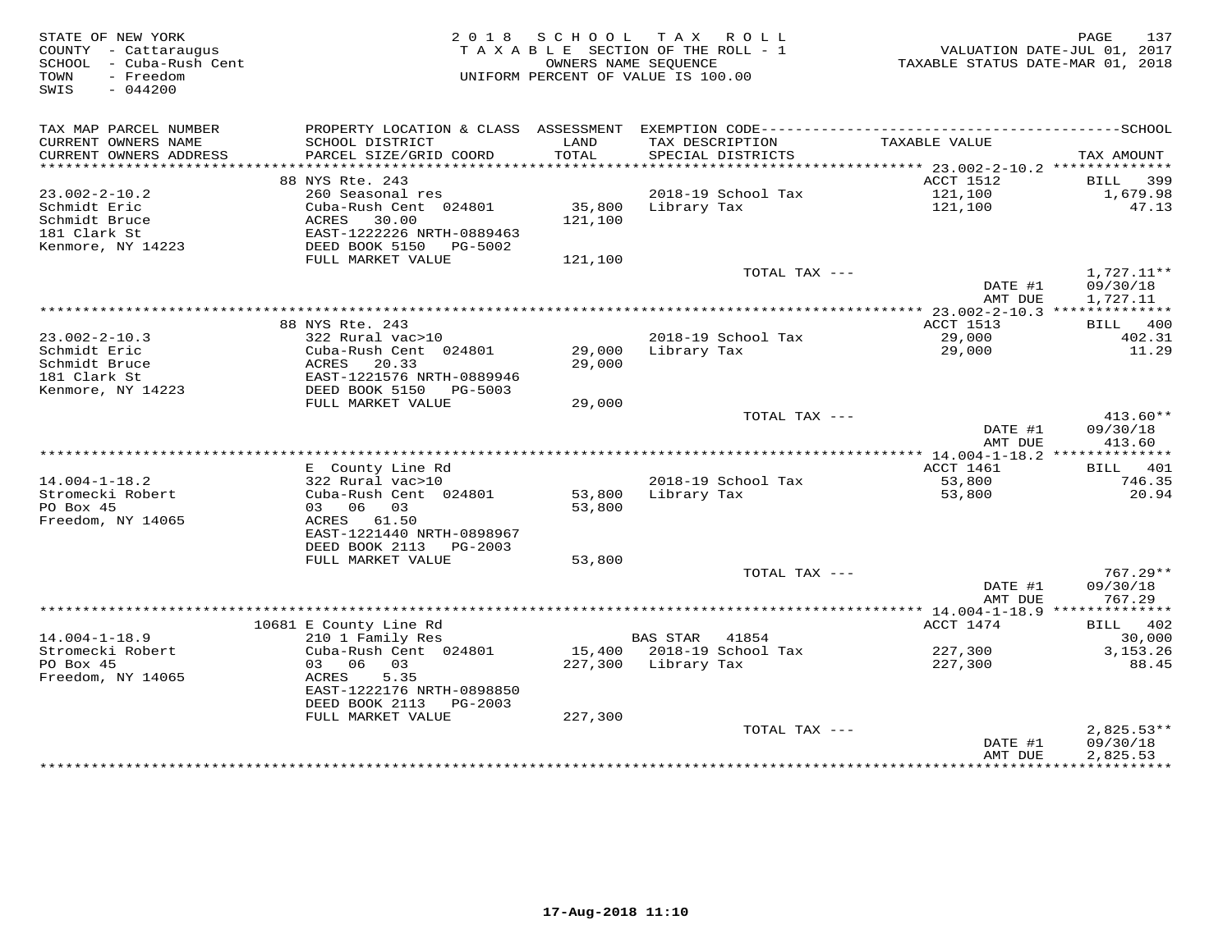| STATE OF NEW YORK<br>COUNTY - Cattaraugus<br>SCHOOL - Cuba-Rush Cent<br>- Freedom<br>TOWN<br>SWIS<br>$-044200$ |                                                     |               | 2018 SCHOOL TAX ROLL<br>TAXABLE SECTION OF THE ROLL - 1<br>OWNERS NAME SEOUENCE<br>UNIFORM PERCENT OF VALUE IS 100.00 | TAXABLE STATUS DATE-MAR 01, 2018 | 137<br>PAGE<br>VALUATION DATE-JUL 01, 2017 |
|----------------------------------------------------------------------------------------------------------------|-----------------------------------------------------|---------------|-----------------------------------------------------------------------------------------------------------------------|----------------------------------|--------------------------------------------|
| TAX MAP PARCEL NUMBER                                                                                          |                                                     |               |                                                                                                                       |                                  |                                            |
| CURRENT OWNERS NAME<br>CURRENT OWNERS ADDRESS                                                                  | SCHOOL DISTRICT<br>PARCEL SIZE/GRID COORD           | LAND<br>TOTAL | TAX DESCRIPTION<br>SPECIAL DISTRICTS                                                                                  | TAXABLE VALUE                    | TAX AMOUNT                                 |
|                                                                                                                |                                                     |               |                                                                                                                       |                                  |                                            |
|                                                                                                                | 88 NYS Rte. 243                                     |               |                                                                                                                       | ACCT 1512                        | BILL 399                                   |
| $23.002 - 2 - 10.2$                                                                                            | 260 Seasonal res                                    |               | 2018-19 School Tax                                                                                                    | 121,100                          | 1,679.98                                   |
| Schmidt Eric                                                                                                   | Cuba-Rush Cent 024801                               | 35,800        | Library Tax                                                                                                           | 121,100                          | 47.13                                      |
| Schmidt Bruce                                                                                                  | ACRES<br>30.00                                      | 121,100       |                                                                                                                       |                                  |                                            |
| 181 Clark St<br>Kenmore, NY 14223                                                                              | EAST-1222226 NRTH-0889463<br>DEED BOOK 5150 PG-5002 |               |                                                                                                                       |                                  |                                            |
|                                                                                                                | FULL MARKET VALUE                                   | 121,100       |                                                                                                                       |                                  |                                            |
|                                                                                                                |                                                     |               | TOTAL TAX ---                                                                                                         |                                  | $1,727.11**$                               |
|                                                                                                                |                                                     |               |                                                                                                                       | DATE #1                          | 09/30/18                                   |
|                                                                                                                |                                                     |               |                                                                                                                       | AMT DUE                          | 1,727.11                                   |
|                                                                                                                |                                                     |               |                                                                                                                       |                                  |                                            |
| $23.002 - 2 - 10.3$                                                                                            | 88 NYS Rte. 243<br>322 Rural vac>10                 |               | 2018-19 School Tax                                                                                                    | ACCT 1513<br>29,000              | BILL 400<br>402.31                         |
| Schmidt Eric                                                                                                   | Cuba-Rush Cent 024801                               | 29,000        | Library Tax                                                                                                           | 29,000                           | 11.29                                      |
| Schmidt Bruce                                                                                                  | 20.33<br>ACRES                                      | 29,000        |                                                                                                                       |                                  |                                            |
| 181 Clark St                                                                                                   | EAST-1221576 NRTH-0889946                           |               |                                                                                                                       |                                  |                                            |
| Kenmore, NY 14223                                                                                              | DEED BOOK 5150<br>PG-5003                           |               |                                                                                                                       |                                  |                                            |
|                                                                                                                | FULL MARKET VALUE                                   | 29,000        |                                                                                                                       |                                  |                                            |
|                                                                                                                |                                                     |               | TOTAL TAX ---                                                                                                         | DATE #1                          | $413.60**$<br>09/30/18                     |
|                                                                                                                |                                                     |               |                                                                                                                       | AMT DUE                          | 413.60                                     |
|                                                                                                                |                                                     |               |                                                                                                                       |                                  |                                            |
|                                                                                                                | E County Line Rd                                    |               |                                                                                                                       | ACCT 1461                        | BILL 401                                   |
| $14.004 - 1 - 18.2$                                                                                            | 322 Rural vac>10                                    |               | 2018-19 School Tax                                                                                                    | 53,800                           | 746.35                                     |
| Stromecki Robert                                                                                               | Cuba-Rush Cent 024801                               |               | 53,800 Library Tax                                                                                                    | 53,800                           | 20.94                                      |
| PO Box 45                                                                                                      | 03 06 03                                            | 53,800        |                                                                                                                       |                                  |                                            |
| Freedom, NY 14065                                                                                              | ACRES 61.50<br>EAST-1221440 NRTH-0898967            |               |                                                                                                                       |                                  |                                            |
|                                                                                                                | DEED BOOK 2113 PG-2003                              |               |                                                                                                                       |                                  |                                            |
|                                                                                                                | FULL MARKET VALUE                                   | 53,800        |                                                                                                                       |                                  |                                            |
|                                                                                                                |                                                     |               | TOTAL TAX ---                                                                                                         |                                  | 767.29**                                   |
|                                                                                                                |                                                     |               |                                                                                                                       | DATE #1                          | 09/30/18                                   |
|                                                                                                                |                                                     |               |                                                                                                                       | AMT DUE                          | 767.29                                     |
|                                                                                                                | 10681 E County Line Rd                              |               |                                                                                                                       | ACCT 1474                        | BILL 402                                   |
| $14.004 - 1 - 18.9$                                                                                            | 210 1 Family Res                                    |               | BAS STAR 41854                                                                                                        |                                  | 30,000                                     |
| Stromecki Robert                                                                                               | Cuba-Rush Cent 024801                               |               | 15,400 2018-19 School Tax                                                                                             | 227,300                          | 3, 153. 26                                 |
| PO Box 45                                                                                                      | 03 06<br>03                                         |               | 227,300 Library Tax                                                                                                   | 227,300                          | 88.45                                      |
| Freedom, NY 14065                                                                                              | ACRES<br>5.35                                       |               |                                                                                                                       |                                  |                                            |
|                                                                                                                | EAST-1222176 NRTH-0898850                           |               |                                                                                                                       |                                  |                                            |
|                                                                                                                | DEED BOOK 2113 PG-2003                              |               |                                                                                                                       |                                  |                                            |
|                                                                                                                | FULL MARKET VALUE                                   | 227,300       | TOTAL TAX ---                                                                                                         |                                  | $2,825.53**$                               |
|                                                                                                                |                                                     |               |                                                                                                                       | DATE #1                          | 09/30/18                                   |
|                                                                                                                |                                                     |               |                                                                                                                       | AMT DUE                          | 2,825.53                                   |
|                                                                                                                |                                                     |               |                                                                                                                       |                                  |                                            |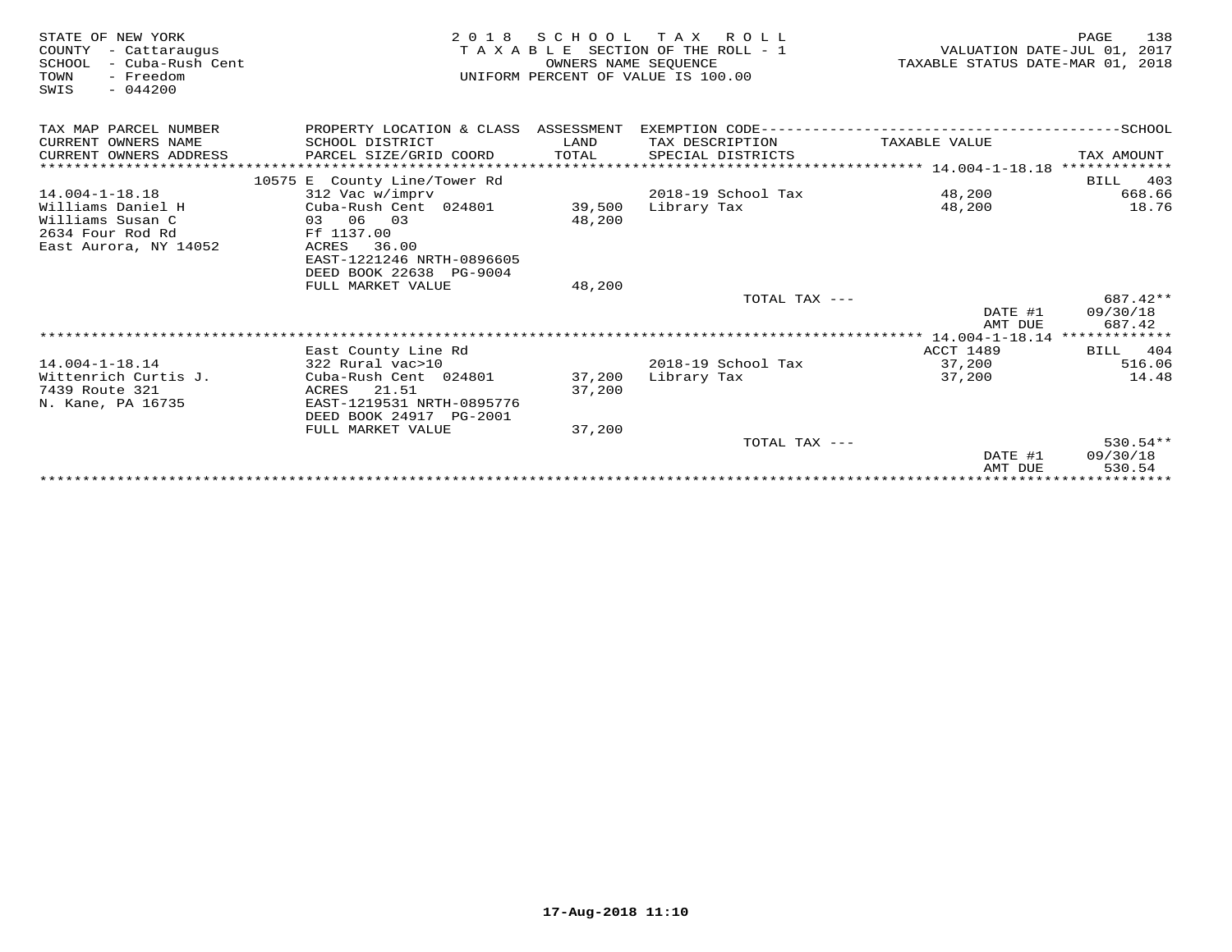| STATE OF NEW YORK<br>COUNTY<br>- Cattaraugus<br>SCHOOL<br>– Cuba-Rush Cent<br>- Freedom<br>TOWN<br>$-044200$<br>SWIS | 2 0 1 8                                      | SCHOOL<br>OWNERS NAME SEQUENCE | TAX ROLL<br>TAXABLE SECTION OF THE ROLL - 1<br>UNIFORM PERCENT OF VALUE IS 100.00 | TAXABLE STATUS DATE-MAR 01, 2018   | 138<br>PAGE<br>VALUATION DATE-JUL 01, 2017 |
|----------------------------------------------------------------------------------------------------------------------|----------------------------------------------|--------------------------------|-----------------------------------------------------------------------------------|------------------------------------|--------------------------------------------|
| TAX MAP PARCEL NUMBER                                                                                                | PROPERTY LOCATION & CLASS ASSESSMENT         |                                |                                                                                   |                                    |                                            |
| CURRENT OWNERS NAME                                                                                                  | SCHOOL DISTRICT                              | LAND                           | TAX DESCRIPTION                                                                   | TAXABLE VALUE                      |                                            |
| CURRENT OWNERS ADDRESS                                                                                               | PARCEL SIZE/GRID COORD                       | TOTAL                          | SPECIAL DISTRICTS                                                                 |                                    | TAX AMOUNT                                 |
|                                                                                                                      |                                              |                                |                                                                                   |                                    |                                            |
|                                                                                                                      | 10575 E County Line/Tower Rd                 |                                | 2018-19 School Tax                                                                |                                    | 403<br>BILL                                |
| $14.004 - 1 - 18.18$<br>Williams Daniel H                                                                            | 312 Vac w/imprv<br>Cuba-Rush Cent 024801     | 39,500                         | Library Tax                                                                       | 48,200<br>48,200                   | 668.66<br>18.76                            |
| Williams Susan C                                                                                                     | 03 06 03                                     | 48,200                         |                                                                                   |                                    |                                            |
| 2634 Four Rod Rd                                                                                                     | Ff 1137.00                                   |                                |                                                                                   |                                    |                                            |
| East Aurora, NY 14052                                                                                                | ACRES<br>36.00                               |                                |                                                                                   |                                    |                                            |
|                                                                                                                      | EAST-1221246 NRTH-0896605                    |                                |                                                                                   |                                    |                                            |
|                                                                                                                      | DEED BOOK 22638 PG-9004                      |                                |                                                                                   |                                    |                                            |
|                                                                                                                      | FULL MARKET VALUE                            | 48,200                         |                                                                                   |                                    |                                            |
|                                                                                                                      |                                              |                                | TOTAL TAX ---                                                                     | DATE #1                            | 687.42**<br>09/30/18                       |
|                                                                                                                      |                                              |                                |                                                                                   | AMT DUE                            | 687.42                                     |
|                                                                                                                      |                                              |                                |                                                                                   |                                    |                                            |
|                                                                                                                      | East County Line Rd                          |                                |                                                                                   | ACCT 1489                          | 404<br>BILL                                |
| $14.004 - 1 - 18.14$                                                                                                 | 322 Rural vac>10                             |                                | 2018-19 School Tax                                                                | 37,200                             | 516.06                                     |
| Wittenrich Curtis J.                                                                                                 | Cuba-Rush Cent 024801                        | 37,200                         | Library Tax                                                                       | 37,200                             | 14.48                                      |
| 7439 Route 321                                                                                                       | ACRES 21.51                                  | 37,200                         |                                                                                   |                                    |                                            |
| N. Kane, PA 16735                                                                                                    | EAST-1219531 NRTH-0895776                    |                                |                                                                                   |                                    |                                            |
|                                                                                                                      | DEED BOOK 24917 PG-2001<br>FULL MARKET VALUE | 37,200                         |                                                                                   |                                    |                                            |
|                                                                                                                      |                                              |                                | TOTAL TAX ---                                                                     |                                    | $530.54**$                                 |
|                                                                                                                      |                                              |                                |                                                                                   | DATE #1                            | 09/30/18                                   |
|                                                                                                                      |                                              |                                |                                                                                   | AMT DUE                            | 530.54                                     |
|                                                                                                                      |                                              |                                |                                                                                   | ********************************** |                                            |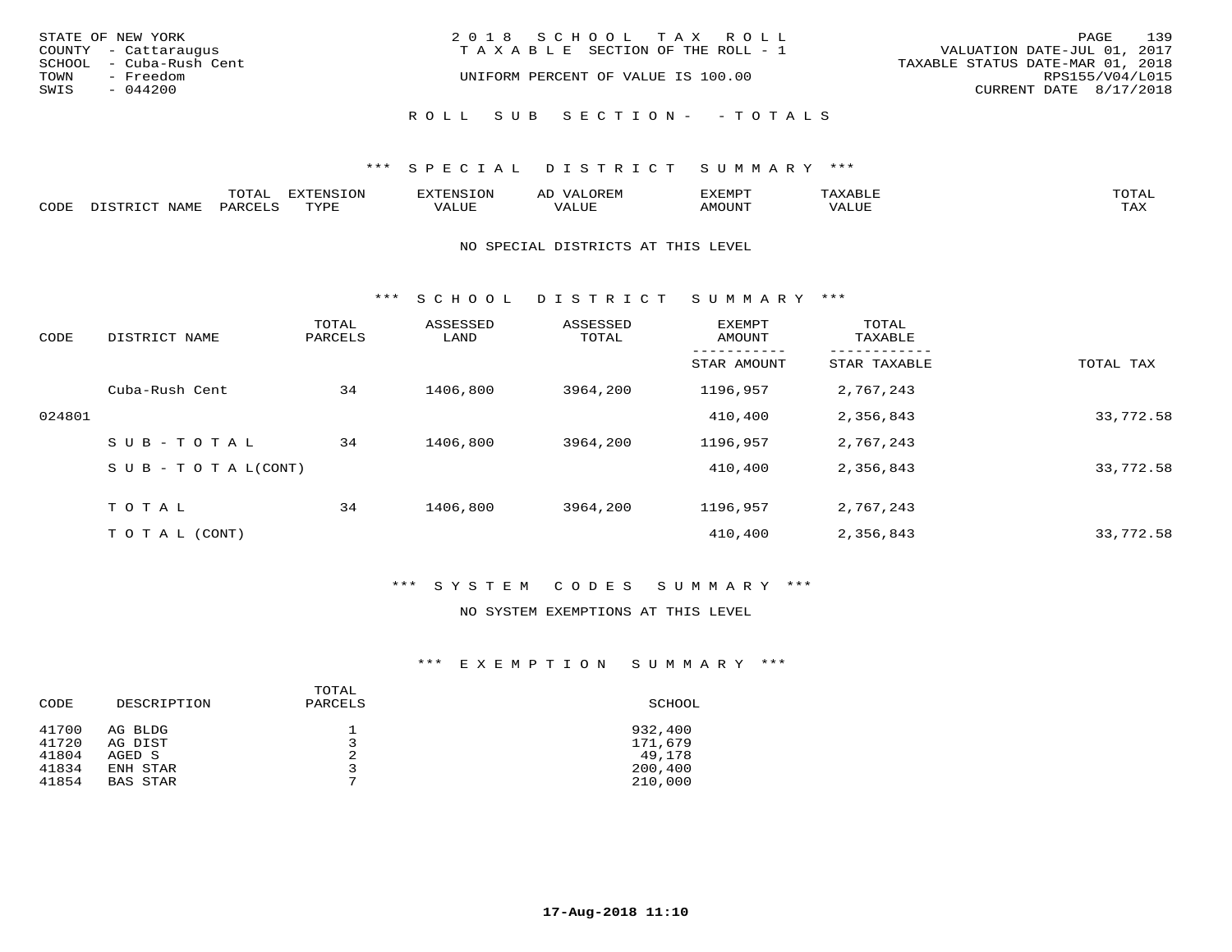| STATE OF NEW YORK<br>COUNTY - Cattaraugus                        | 2018 SCHOOL TAX ROLL<br>T A X A B L E SECTION OF THE ROLL - 1 | 139<br>PAGE<br>VALUATION DATE-JUL 01, 2017                                    |
|------------------------------------------------------------------|---------------------------------------------------------------|-------------------------------------------------------------------------------|
| SCHOOL - Cuba-Rush Cent<br>TOWN<br>- Freedom<br>SWIS<br>- 044200 | UNIFORM PERCENT OF VALUE IS 100.00                            | TAXABLE STATUS DATE-MAR 01, 2018<br>RPS155/V04/L015<br>CURRENT DATE 8/17/2018 |
|                                                                  | ROLL SUB SECTION- - TOTALS                                    |                                                                               |

|      |                | momn:<br>LUIAI. | mazma           |       | JR E.N        | ,,, <del>,</del> ,,,,,,,<br>™ ⊃<br>⊐ויום ∧נ |     |                    |
|------|----------------|-----------------|-----------------|-------|---------------|---------------------------------------------|-----|--------------------|
| CODE | NAMF<br>. סידי | PARCET          | TVDI<br>- - - - | 7ALUE | T T T<br>ALUr | AMOUNT                                      | ′ △ | <b>TRAV</b><br>∸∽∸ |

#### NO SPECIAL DISTRICTS AT THIS LEVEL

\*\*\* S C H O O L D I S T R I C T S U M M A R Y \*\*\*

| CODE   | DISTRICT NAME                    | TOTAL<br>PARCELS | ASSESSED<br>LAND | ASSESSED<br>TOTAL | EXEMPT<br>AMOUNT | TOTAL<br>TAXABLE |           |
|--------|----------------------------------|------------------|------------------|-------------------|------------------|------------------|-----------|
|        |                                  |                  |                  |                   | STAR AMOUNT      | STAR TAXABLE     | TOTAL TAX |
|        | Cuba-Rush Cent                   | 34               | 1406,800         | 3964,200          | 1196,957         | 2,767,243        |           |
| 024801 |                                  |                  |                  |                   | 410,400          | 2,356,843        | 33,772.58 |
|        | SUB-TOTAL                        | 34               | 1406,800         | 3964,200          | 1196,957         | 2,767,243        |           |
|        | $S \cup B - T \cup T A L (CONT)$ |                  |                  |                   | 410,400          | 2,356,843        | 33,772.58 |
|        | TOTAL                            | 34               | 1406,800         | 3964,200          | 1196,957         | 2,767,243        |           |
|        | T O T A L (CONT)                 |                  |                  |                   | 410,400          | 2,356,843        | 33,772.58 |

## \*\*\* S Y S T E M C O D E S S U M M A R Y \*\*\*

#### NO SYSTEM EXEMPTIONS AT THIS LEVEL

| CODE           | DESCRIPTION        | TOTAL<br>PARCELS | SCHOOL             |
|----------------|--------------------|------------------|--------------------|
| 41700<br>41720 | AG BLDG<br>AG DIST | 3                | 932,400<br>171,679 |
| 41804          | AGED S             |                  | 49,178             |
| 41834          | ENH STAR           |                  | 200,400            |
| 41854          | <b>BAS STAR</b>    | $\mathbf{r}$     | 210,000            |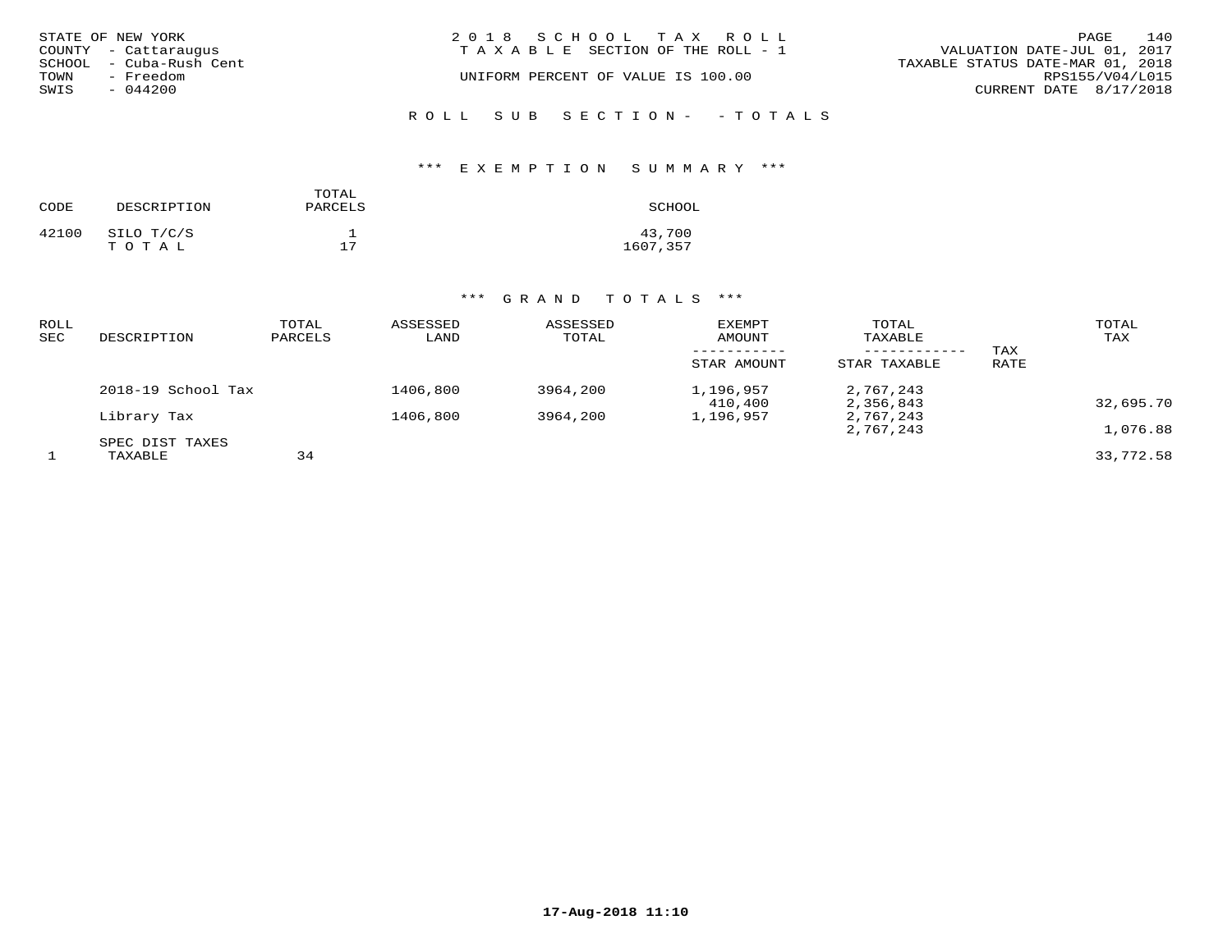| STATE OF NEW YORK       | 2018 SCHOOL TAX ROLL                                           | PAGE                   | 140 |
|-------------------------|----------------------------------------------------------------|------------------------|-----|
| COUNTY - Cattaraugus    | VALUATION DATE-JUL 01, 2017<br>TAXABLE SECTION OF THE ROLL - 1 |                        |     |
| SCHOOL - Cuba-Rush Cent | TAXABLE STATUS DATE-MAR 01, 2018                               |                        |     |
| TOWN<br>- Freedom       | UNIFORM PERCENT OF VALUE IS 100.00                             | RPS155/V04/L015        |     |
| SWIS<br>$-044200$       |                                                                | CURRENT DATE 8/17/2018 |     |
|                         |                                                                |                        |     |

# ROLL SUB SECTION- - TOTALS

## \*\*\* E X E M P T I O N S U M M A R Y \*\*\*

| CODE  | DESCRIPTION         | TOTAL<br>PARCELS | SCHOOL             |
|-------|---------------------|------------------|--------------------|
| 42100 | SILO T/C/S<br>TOTAL | 17               | 43,700<br>1607,357 |

| ROLL<br>SEC | DESCRIPTION        | TOTAL<br>PARCELS | ASSESSED<br>LAND | ASSESSED<br>TOTAL | EXEMPT<br>AMOUNT     | TOTAL<br>TAXABLE<br>--------- | TAX  | TOTAL<br>TAX |
|-------------|--------------------|------------------|------------------|-------------------|----------------------|-------------------------------|------|--------------|
|             |                    |                  |                  |                   | STAR AMOUNT          | STAR TAXABLE                  | RATE |              |
|             | 2018-19 School Tax |                  | 1406,800         | 3964,200          | 1,196,957<br>410,400 | 2,767,243<br>2,356,843        |      | 32,695.70    |
|             | Library Tax        |                  | 1406,800         | 3964,200          | 1,196,957            | 2,767,243                     |      |              |
|             | SPEC DIST TAXES    |                  |                  |                   |                      | 2,767,243                     |      | 1,076.88     |
|             | TAXABLE            | 34               |                  |                   |                      |                               |      | 33,772.58    |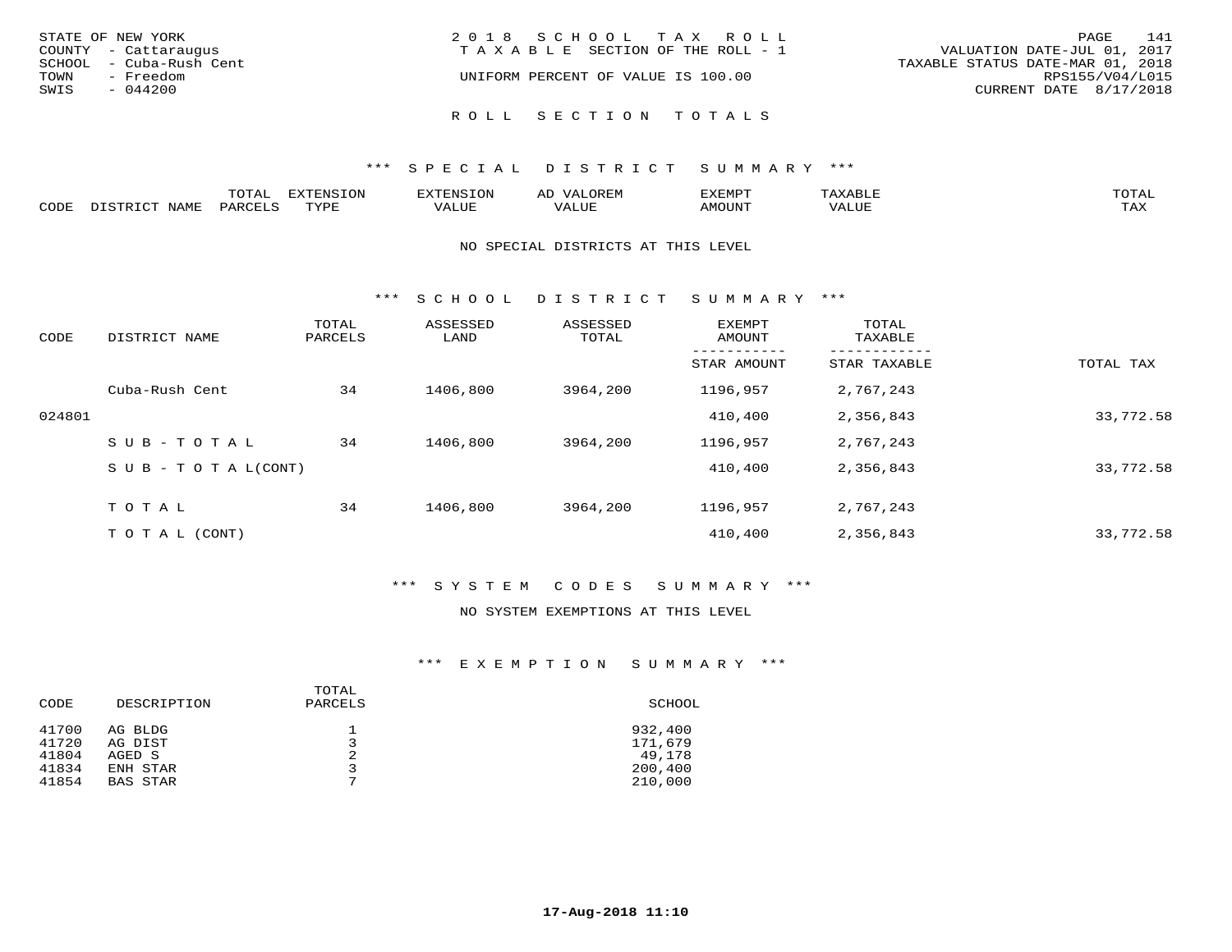| STATE OF NEW YORK<br>COUNTY - Cattaraugus<br>SCHOOL - Cuba-Rush Cent | 2018 SCHOOL TAX ROLL<br>TAXABLE SECTION OF THE ROLL - 1 | 141<br>PAGE<br>VALUATION DATE-JUL 01, 2017<br>TAXABLE STATUS DATE-MAR 01, 2018 |
|----------------------------------------------------------------------|---------------------------------------------------------|--------------------------------------------------------------------------------|
| TOWN<br>- Freedom<br>SWIS<br>$-044200$                               | UNIFORM PERCENT OF VALUE IS 100.00                      | RPS155/V04/L015<br>CURRENT DATE 8/17/2018                                      |
|                                                                      | ROLL SECTION TOTALS                                     |                                                                                |

|      |       | ----<br>◡∸ғ | <b>EXTENSION</b> | 'YTENSION | <u>ے ۔</u> | ZXEMPT | ABLE  | $m \wedge m \wedge n$<br>'UTA. |
|------|-------|-------------|------------------|-----------|------------|--------|-------|--------------------------------|
| CODE | NAME. | PARCELS     | TVDF             | VALUE     | VALUE      | TNUONA | VALUE | TA Y<br>⊥ ∠~∡∡                 |

#### NO SPECIAL DISTRICTS AT THIS LEVEL

\*\*\* S C H O O L D I S T R I C T S U M M A R Y \*\*\*

| CODE   | DISTRICT NAME                    | TOTAL<br>PARCELS | ASSESSED<br>LAND | ASSESSED<br>TOTAL | EXEMPT<br>AMOUNT | TOTAL<br>TAXABLE |           |
|--------|----------------------------------|------------------|------------------|-------------------|------------------|------------------|-----------|
|        |                                  |                  |                  |                   | STAR AMOUNT      | STAR TAXABLE     | TOTAL TAX |
|        | Cuba-Rush Cent                   | 34               | 1406,800         | 3964,200          | 1196,957         | 2,767,243        |           |
| 024801 |                                  |                  |                  |                   | 410,400          | 2,356,843        | 33,772.58 |
|        | SUB-TOTAL                        | 34               | 1406,800         | 3964,200          | 1196,957         | 2,767,243        |           |
|        | $S \cup B - T \cup T A L (CONT)$ |                  |                  |                   | 410,400          | 2,356,843        | 33,772.58 |
|        | TOTAL                            | 34               | 1406,800         | 3964,200          | 1196,957         | 2,767,243        |           |
|        | T O T A L (CONT)                 |                  |                  |                   | 410,400          | 2,356,843        | 33,772.58 |

## \*\*\* S Y S T E M C O D E S S U M M A R Y \*\*\*

### NO SYSTEM EXEMPTIONS AT THIS LEVEL

| CODE  | DESCRIPTION     | TOTAL<br>PARCELS | SCHOOL  |
|-------|-----------------|------------------|---------|
| 41700 | AG BLDG         | $\mathfrak{D}$   | 932,400 |
| 41720 | AG DIST         |                  | 171,679 |
| 41804 | AGED S          |                  | 49,178  |
| 41834 | ENH STAR        | $\overline{ }$   | 200,400 |
| 41854 | <b>BAS STAR</b> |                  | 210,000 |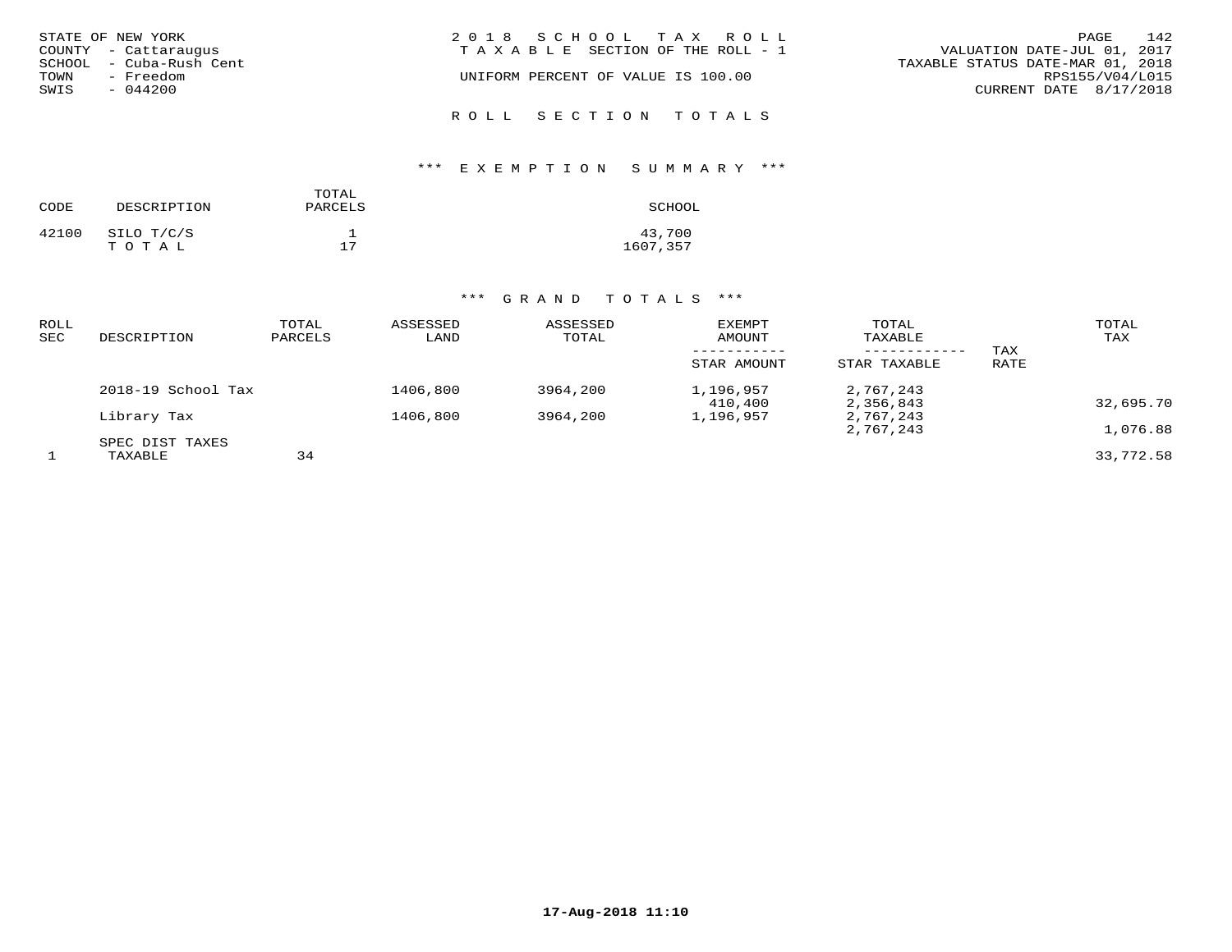| STATE OF NEW YORK<br>COUNTY - Cattaraugus<br>SCHOOL - Cuba-Rush Cent<br>TOWN<br>- Freedom<br>SWIS<br>- 044200 | 2018 SCHOOL TAX ROLL<br>T A X A B L E SECTION OF THE ROLL - 1<br>UNIFORM PERCENT OF VALUE IS 100.00 | 142<br>PAGE<br>VALUATION DATE-JUL 01, 2017<br>TAXABLE STATUS DATE-MAR 01, 2018<br>RPS155/V04/L015<br>CURRENT DATE 8/17/2018 |
|---------------------------------------------------------------------------------------------------------------|-----------------------------------------------------------------------------------------------------|-----------------------------------------------------------------------------------------------------------------------------|
|                                                                                                               | ROLL SECTION TOTALS                                                                                 |                                                                                                                             |

# \*\*\* E X E M P T I O N S U M M A R Y \*\*\*

| CODE  | DESCRIPTION         | TOTAL<br>PARCELS | SCHOOL             |
|-------|---------------------|------------------|--------------------|
| 42100 | SILO T/C/S<br>TOTAL | 17               | 43,700<br>1607,357 |

| ROLL<br>SEC | DESCRIPTION        | TOTAL<br>PARCELS | ASSESSED<br>LAND | ASSESSED<br>TOTAL | <b>EXEMPT</b><br>AMOUNT<br>STAR AMOUNT | TOTAL<br>TAXABLE<br>------------<br>STAR TAXABLE | TAX<br>RATE | TOTAL<br>TAX |
|-------------|--------------------|------------------|------------------|-------------------|----------------------------------------|--------------------------------------------------|-------------|--------------|
|             | 2018-19 School Tax |                  | 1406,800         | 3964,200          | 1,196,957<br>410,400                   | 2,767,243<br>2,356,843                           |             | 32,695.70    |
|             | Library Tax        |                  | 1406,800         | 3964,200          | 1,196,957                              | 2,767,243                                        |             |              |
|             | SPEC DIST TAXES    |                  |                  |                   |                                        | 2,767,243                                        |             | 1,076.88     |
|             | TAXABLE            | 34               |                  |                   |                                        |                                                  |             | 33,772.58    |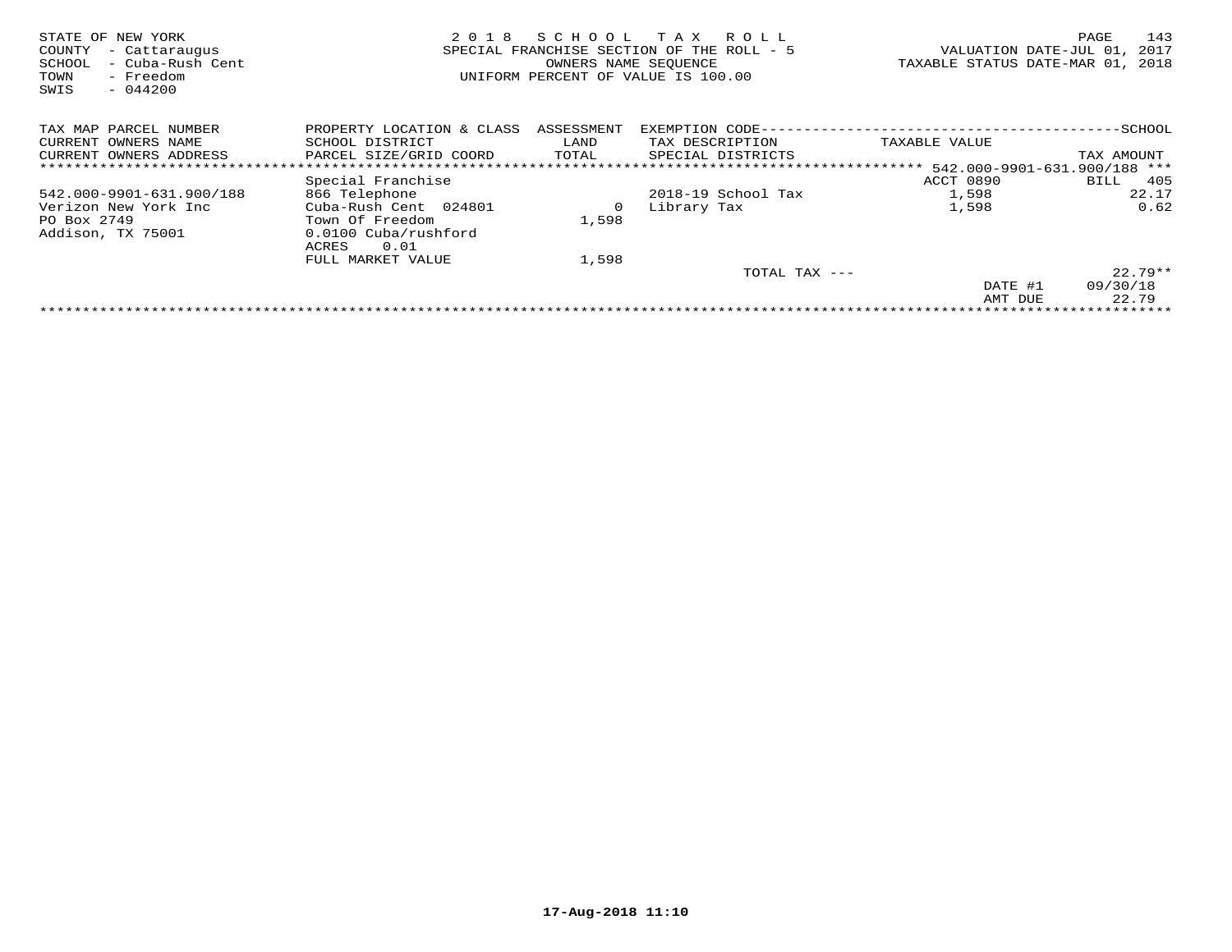| STATE OF NEW YORK<br>COUNTY<br>- Cattaraugus<br>- Cuba-Rush Cent<br>SCHOOL<br>- Freedom<br>TOWN<br>SWIS<br>$-044200$ | 2 0 1 8                                                                           | S C H O O L<br>SPECIAL FRANCHISE SECTION OF THE<br>OWNERS NAME SEQUENCE | T A X<br>R O L L<br>$ROLL - 5$<br>UNIFORM PERCENT OF VALUE IS 100.00 | VALUATION DATE-JUL 01,<br>TAXABLE STATUS DATE-MAR 01, | 143<br>PAGE<br>2017<br>2018 |
|----------------------------------------------------------------------------------------------------------------------|-----------------------------------------------------------------------------------|-------------------------------------------------------------------------|----------------------------------------------------------------------|-------------------------------------------------------|-----------------------------|
| TAX MAP PARCEL NUMBER                                                                                                | PROPERTY LOCATION & CLASS                                                         | ASSESSMENT                                                              | EXEMPTION CODE--                                                     |                                                       | $-$ SCHOOL                  |
| CURRENT OWNERS NAME                                                                                                  | SCHOOL DISTRICT                                                                   | LAND                                                                    | TAX DESCRIPTION                                                      | TAXABLE VALUE                                         |                             |
| CURRENT OWNERS ADDRESS                                                                                               | PARCEL SIZE/GRID COORD                                                            | TOTAL                                                                   | SPECIAL DISTRICTS                                                    |                                                       | TAX AMOUNT                  |
|                                                                                                                      |                                                                                   |                                                                         |                                                                      | ************* 542.000-9901-631.900/188 ***            |                             |
|                                                                                                                      | Special Franchise                                                                 |                                                                         |                                                                      | ACCT 0890                                             | 405<br>BILL                 |
| 542.000-9901-631.900/188                                                                                             | 866 Telephone                                                                     |                                                                         | 2018-19 School Tax                                                   | 1,598                                                 | 22.17                       |
| Verizon New York Inc<br>PO Box 2749<br>Addison, TX 75001                                                             | Cuba-Rush Cent 024801<br>Town Of Freedom<br>0.0100 Cuba/rushford<br>0.01<br>ACRES | 0<br>1,598                                                              | Library Tax                                                          | 1,598                                                 | 0.62                        |
|                                                                                                                      | FULL MARKET VALUE                                                                 | 1,598                                                                   |                                                                      |                                                       |                             |
|                                                                                                                      |                                                                                   |                                                                         | TOTAL TAX ---                                                        |                                                       | $22.79**$                   |
|                                                                                                                      |                                                                                   |                                                                         |                                                                      | DATE #1                                               | 09/30/18                    |
|                                                                                                                      |                                                                                   |                                                                         |                                                                      | AMT DUE                                               | 22.79                       |
|                                                                                                                      |                                                                                   |                                                                         |                                                                      |                                                       |                             |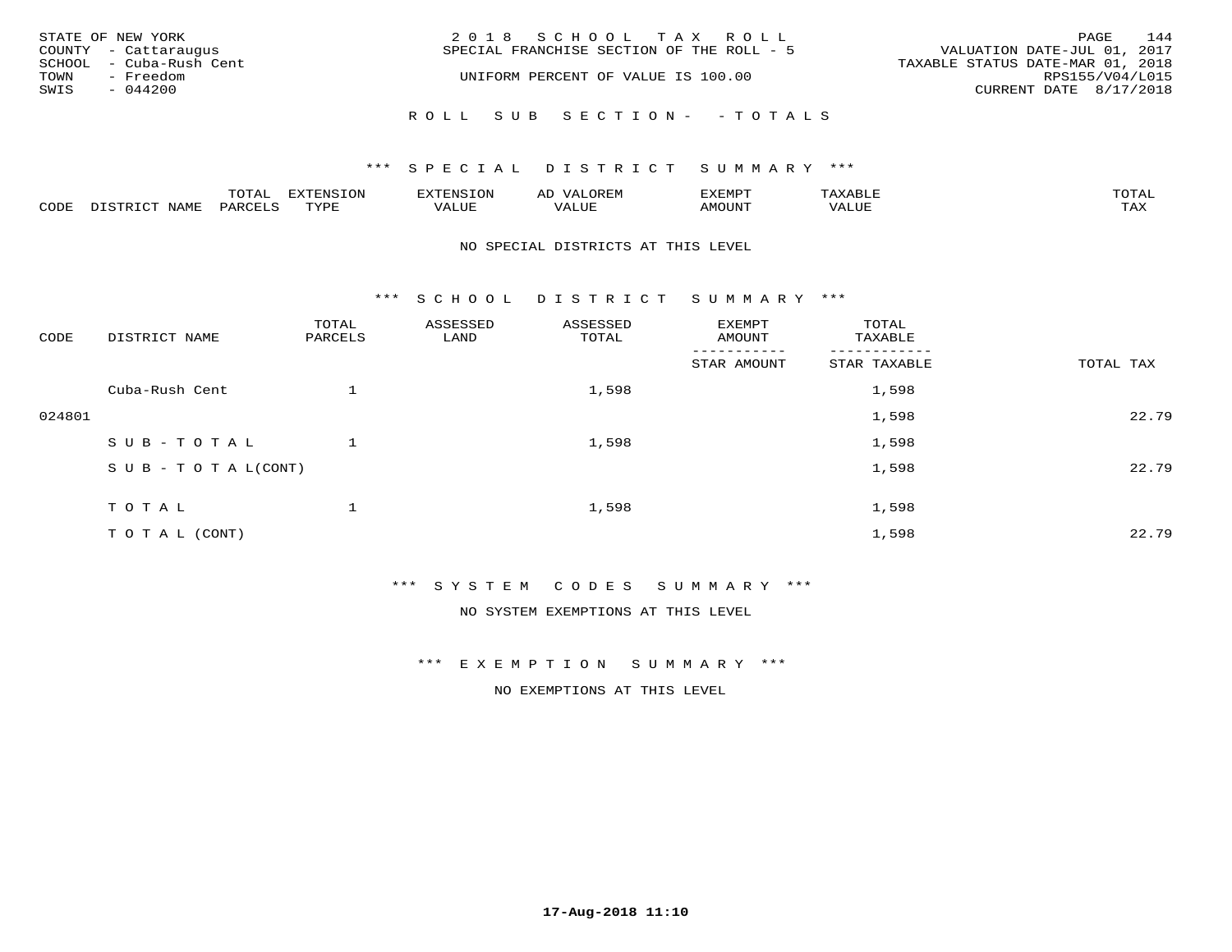|      | STATE OF NEW YORK       | 2018 SCHOOL TAX ROLL                                                     | PAGE            | 144 |
|------|-------------------------|--------------------------------------------------------------------------|-----------------|-----|
|      | COUNTY - Cattaraugus    | VALUATION DATE-JUL 01, 2017<br>SPECIAL FRANCHISE SECTION OF THE ROLL - 5 |                 |     |
|      | SCHOOL - Cuba-Rush Cent | TAXABLE STATUS DATE-MAR 01, 2018                                         |                 |     |
| TOWN | - Freedom               | UNIFORM PERCENT OF VALUE IS 100.00                                       | RPS155/V04/L015 |     |
| SWIS | $-044200$               | CURRENT DATE 8/17/2018                                                   |                 |     |
|      |                         | ROLL SUB SECTION- - TOTALS                                               |                 |     |

## \*\*\* SPECIAL DISTRICT SUMMARY \*\*\*

|                         |      | m^m |      | 'NT C     |           | ∟ו∨ו          |              |                             |
|-------------------------|------|-----|------|-----------|-----------|---------------|--------------|-----------------------------|
| $\bigcap_{\Pi}$<br>◡◡◡ュ | мдмь |     | TVDF | ۳۰ تاللاد | $- - - -$ | 550T<br>IUUN. | ALUE<br>77 T | $m \times r$<br>- - - - - - |

#### NO SPECIAL DISTRICTS AT THIS LEVEL

\*\*\* S C H O O L D I S T R I C T S U M M A R Y \*\*\*

| CODE   | DISTRICT NAME                    | TOTAL<br>PARCELS | ASSESSED<br>LAND | ASSESSED<br>TOTAL | EXEMPT<br>AMOUNT | TOTAL<br>TAXABLE |           |
|--------|----------------------------------|------------------|------------------|-------------------|------------------|------------------|-----------|
|        |                                  |                  |                  |                   | STAR AMOUNT      | STAR TAXABLE     | TOTAL TAX |
|        | Cuba-Rush Cent                   |                  |                  | 1,598             |                  | 1,598            |           |
| 024801 |                                  |                  |                  |                   |                  | 1,598            | 22.79     |
|        | SUB-TOTAL                        |                  |                  | 1,598             |                  | 1,598            |           |
|        | $S \cup B - T \cup T A L (CONT)$ |                  |                  |                   |                  | 1,598            | 22.79     |
|        | TOTAL                            |                  |                  | 1,598             |                  | 1,598            |           |
|        | TO TAL (CONT)                    |                  |                  |                   |                  | 1,598            | 22.79     |

\*\*\* S Y S T E M C O D E S S U M M A R Y \*\*\*

NO SYSTEM EXEMPTIONS AT THIS LEVEL

\*\*\* E X E M P T I O N S U M M A R Y \*\*\*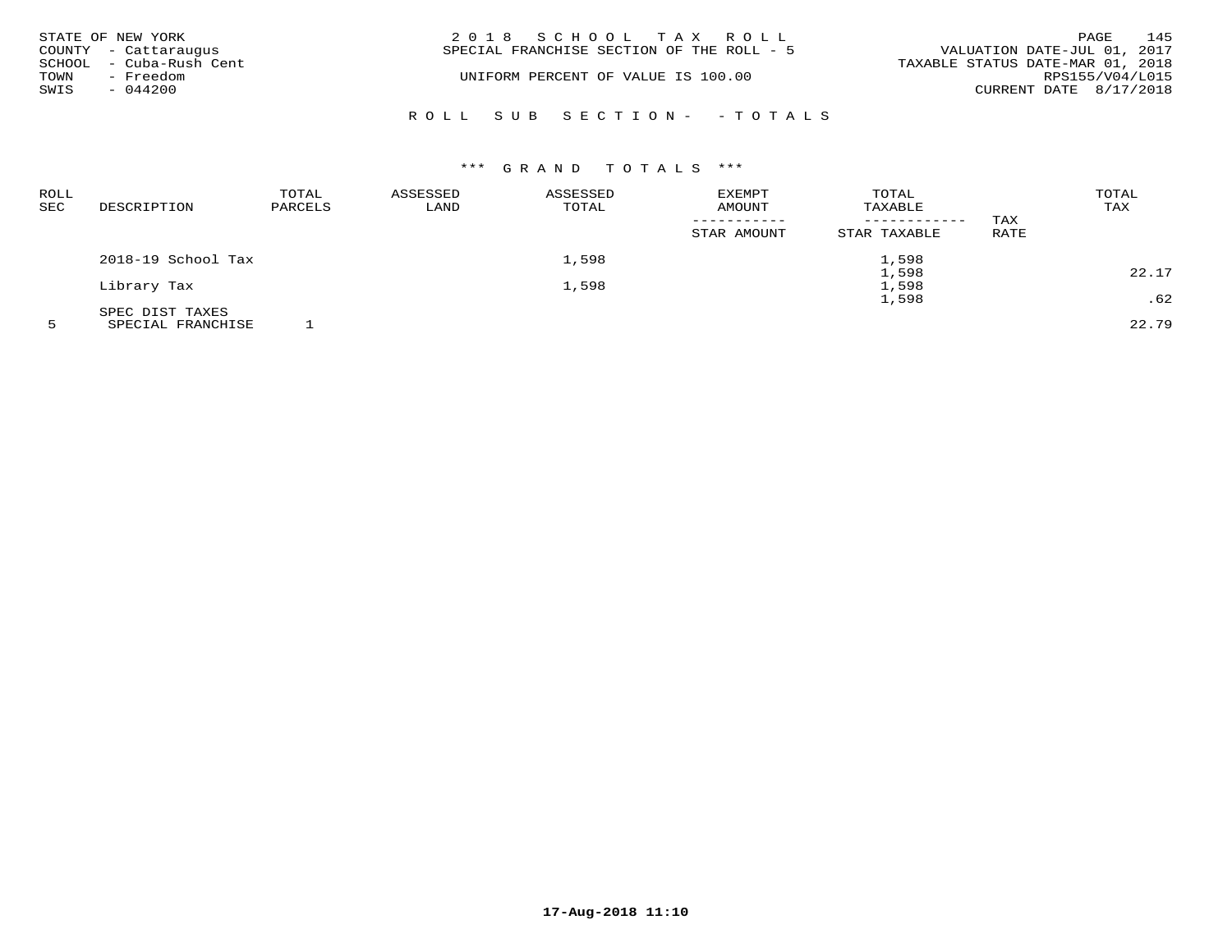| STATE OF NEW YORK<br>COUNTY - Cattaraugus                        | 2018 SCHOOL TAX ROLL<br>SPECIAL FRANCHISE SECTION OF THE ROLL - 5 | 145<br>PAGE<br>VALUATION DATE-JUL 01, 2017                                    |
|------------------------------------------------------------------|-------------------------------------------------------------------|-------------------------------------------------------------------------------|
| SCHOOL - Cuba-Rush Cent<br>TOWN<br>- Freedom<br>SWIS<br>- 044200 | UNIFORM PERCENT OF VALUE IS 100.00                                | TAXABLE STATUS DATE-MAR 01, 2018<br>RPS155/V04/L015<br>CURRENT DATE 8/17/2018 |
|                                                                  | ROLL SUB SECTION- - TOTALS                                        |                                                                               |

|                    | TOTAL       | ASSESSED                                                                   | ASSESSED | EXEMPT      | TOTAL        |         | TOTAL |
|--------------------|-------------|----------------------------------------------------------------------------|----------|-------------|--------------|---------|-------|
|                    |             |                                                                            |          |             | ----------   |         | TAX   |
|                    |             |                                                                            |          | STAR AMOUNT | STAR TAXABLE | RATE    |       |
| 2018-19 School Tax |             |                                                                            | 1,598    |             | 1,598        |         |       |
|                    |             |                                                                            |          |             | 1,598        |         | 22.17 |
| Library Tax        |             |                                                                            | 1,598    |             | 1,598        |         |       |
|                    |             |                                                                            |          |             | 1,598        |         | .62   |
| SPEC DIST TAXES    |             |                                                                            |          |             |              |         |       |
|                    | DESCRIPTION | PARCELS<br>the contract of the contract of the contract of the contract of | LAND     | TOTAL       | AMOUNT       | TAXABLE | TAX   |

5 SPECIAL FRANCHISE 1 22.79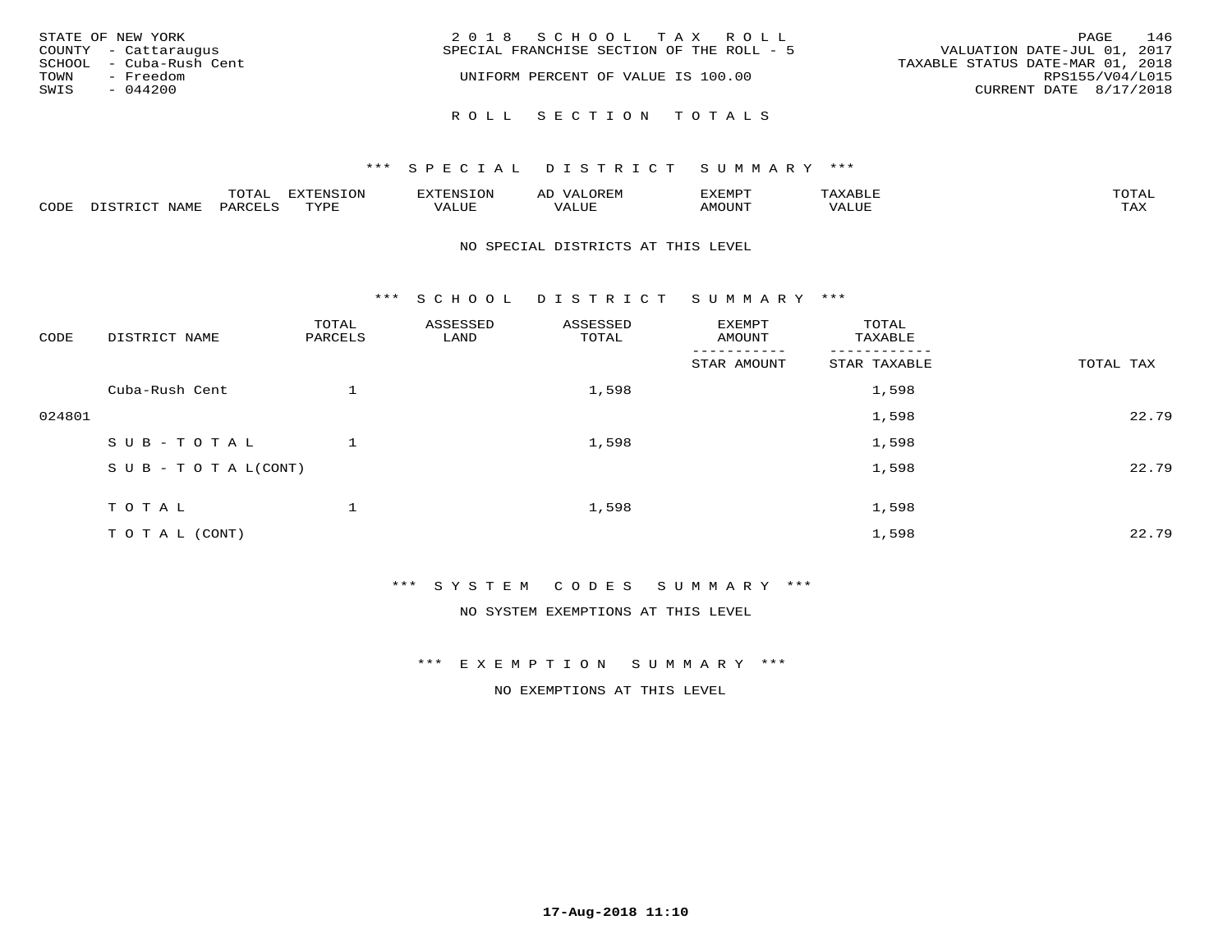| STATE OF NEW YORK       | 2018 SCHOOL TAX ROLL                      | 146<br>PAGE                      |
|-------------------------|-------------------------------------------|----------------------------------|
| COUNTY - Cattaraugus    | SPECIAL FRANCHISE SECTION OF THE ROLL - 5 | VALUATION DATE-JUL 01, 2017      |
| SCHOOL - Cuba-Rush Cent |                                           | TAXABLE STATUS DATE-MAR 01, 2018 |
| - Freedom<br>TOWN       | UNIFORM PERCENT OF VALUE IS 100.00        | RPS155/V04/L015                  |
| SWIS<br>$-044200$       |                                           | CURRENT DATE 8/17/2018           |
|                         | ROLL SECTION TOTALS                       |                                  |

### \*\*\* S P E C I A L D I S T R I C T S U M M A R Y \*\*\*

|      |      | $m \wedge m \wedge n$<br>◡∸ғ | TON                              | . HUNY              | AĽ                  | ے ا      |       | $m \wedge m \wedge n$ |
|------|------|------------------------------|----------------------------------|---------------------|---------------------|----------|-------|-----------------------|
| CODE | NAMF | 'AK                          | $m \times r \times r$<br>- - - - | T T T<br>اللالمستحم | - ---<br>اللالمستعم | 57077375 | VALUF | $m \times r$<br>- −-  |

#### NO SPECIAL DISTRICTS AT THIS LEVEL

\*\*\* S C H O O L D I S T R I C T S U M M A R Y \*\*\*

| CODE   | DISTRICT NAME                    | TOTAL<br>PARCELS | ASSESSED<br>LAND | ASSESSED<br>TOTAL | EXEMPT<br>AMOUNT       | TOTAL<br>TAXABLE |           |
|--------|----------------------------------|------------------|------------------|-------------------|------------------------|------------------|-----------|
|        |                                  |                  |                  |                   | -------<br>STAR AMOUNT | STAR TAXABLE     | TOTAL TAX |
|        | Cuba-Rush Cent                   |                  |                  | 1,598             |                        | 1,598            |           |
| 024801 |                                  |                  |                  |                   |                        | 1,598            | 22.79     |
|        | SUB-TOTAL                        |                  |                  | 1,598             |                        | 1,598            |           |
|        | $S \cup B - T \cup T A L (CONT)$ |                  |                  |                   |                        | 1,598            | 22.79     |
|        | TOTAL                            |                  |                  | 1,598             |                        | 1,598            |           |
|        | TO TAL (CONT)                    |                  |                  |                   |                        | 1,598            | 22.79     |

\*\*\* S Y S T E M C O D E S S U M M A R Y \*\*\*

NO SYSTEM EXEMPTIONS AT THIS LEVEL

\*\*\* E X E M P T I O N S U M M A R Y \*\*\*

NO EXEMPTIONS AT THIS LEVEL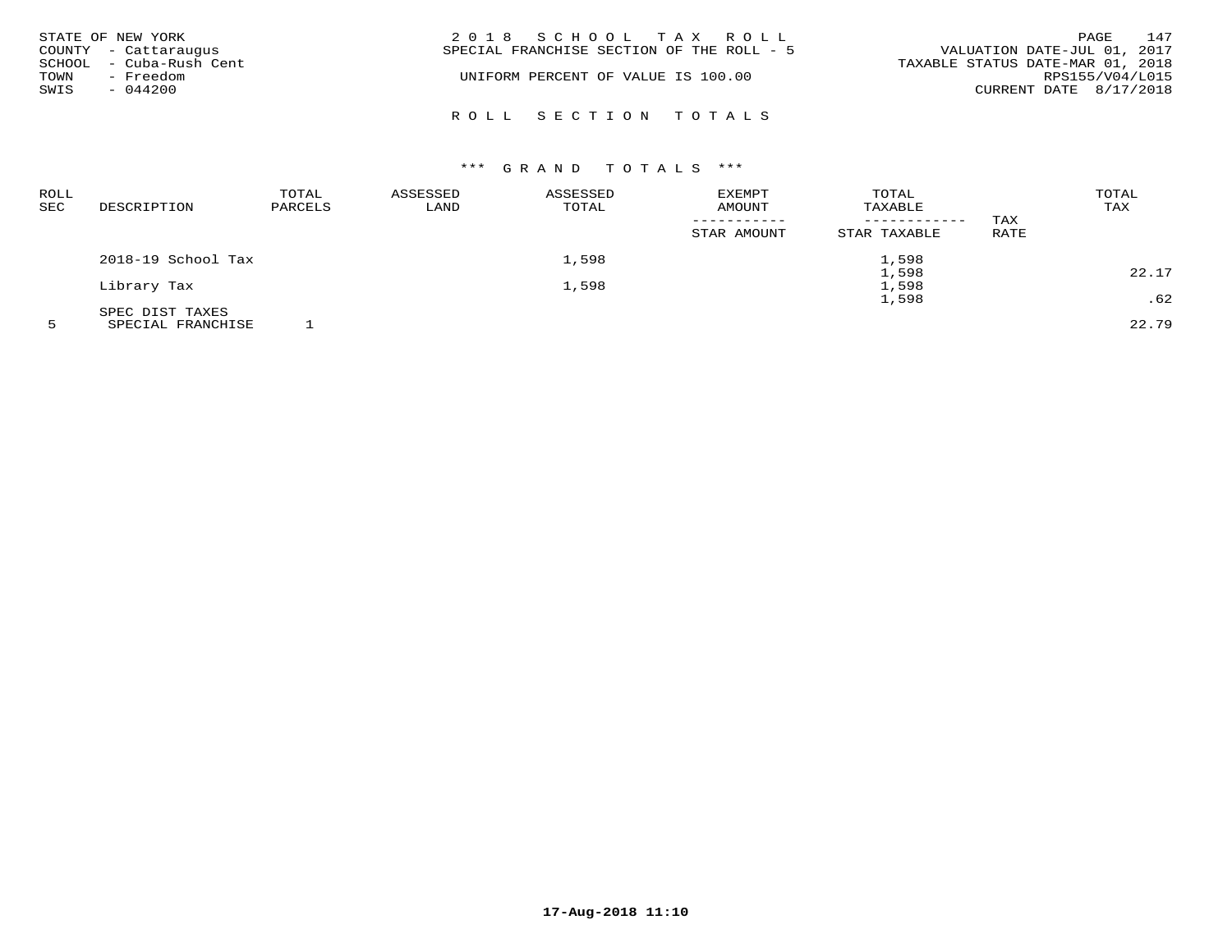| TOWN<br>SWIS | STATE OF NEW YORK<br>COUNTY - Cattaraugus<br>SCHOOL - Cuba-Rush Cent<br>- Freedom<br>$-044200$ | 2018 SCHOOL TAX ROLL<br>SPECIAL FRANCHISE SECTION OF THE ROLL - 5<br>TAXABLE STATUS DATE-MAR 01, 2018<br>UNIFORM PERCENT OF VALUE IS 100.00 | VALUATION DATE-JUL 01, 2017<br>RPS155/V04/L015<br>CURRENT DATE 8/17/2018 | PAGE | 147 |
|--------------|------------------------------------------------------------------------------------------------|---------------------------------------------------------------------------------------------------------------------------------------------|--------------------------------------------------------------------------|------|-----|
|              |                                                                                                | ROLL SECTION TOTALS                                                                                                                         |                                                                          |      |     |

| <b>ROLL</b> |                    | TOTAL   | ASSESSED | ASSESSED | <b>EXEMPT</b> | TOTAL                   |      | TOTAL |
|-------------|--------------------|---------|----------|----------|---------------|-------------------------|------|-------|
| <b>SEC</b>  | DESCRIPTION        | PARCELS | LAND     | TOTAL    | AMOUNT        | TAXABLE<br>------------ | TAX  | TAX   |
|             |                    |         |          |          | STAR AMOUNT   | STAR TAXABLE            | RATE |       |
|             | 2018-19 School Tax |         |          | 1,598    |               | 1,598                   |      |       |
|             |                    |         |          |          |               | 1,598                   |      | 22.17 |
|             | Library Tax        |         |          | 1,598    |               | 1,598                   |      |       |
|             |                    |         |          |          |               | 1,598                   |      | .62   |
|             | SPEC DIST TAXES    |         |          |          |               |                         |      |       |
|             |                    |         |          |          |               |                         |      |       |

5 SPECIAL FRANCHISE 1 22.79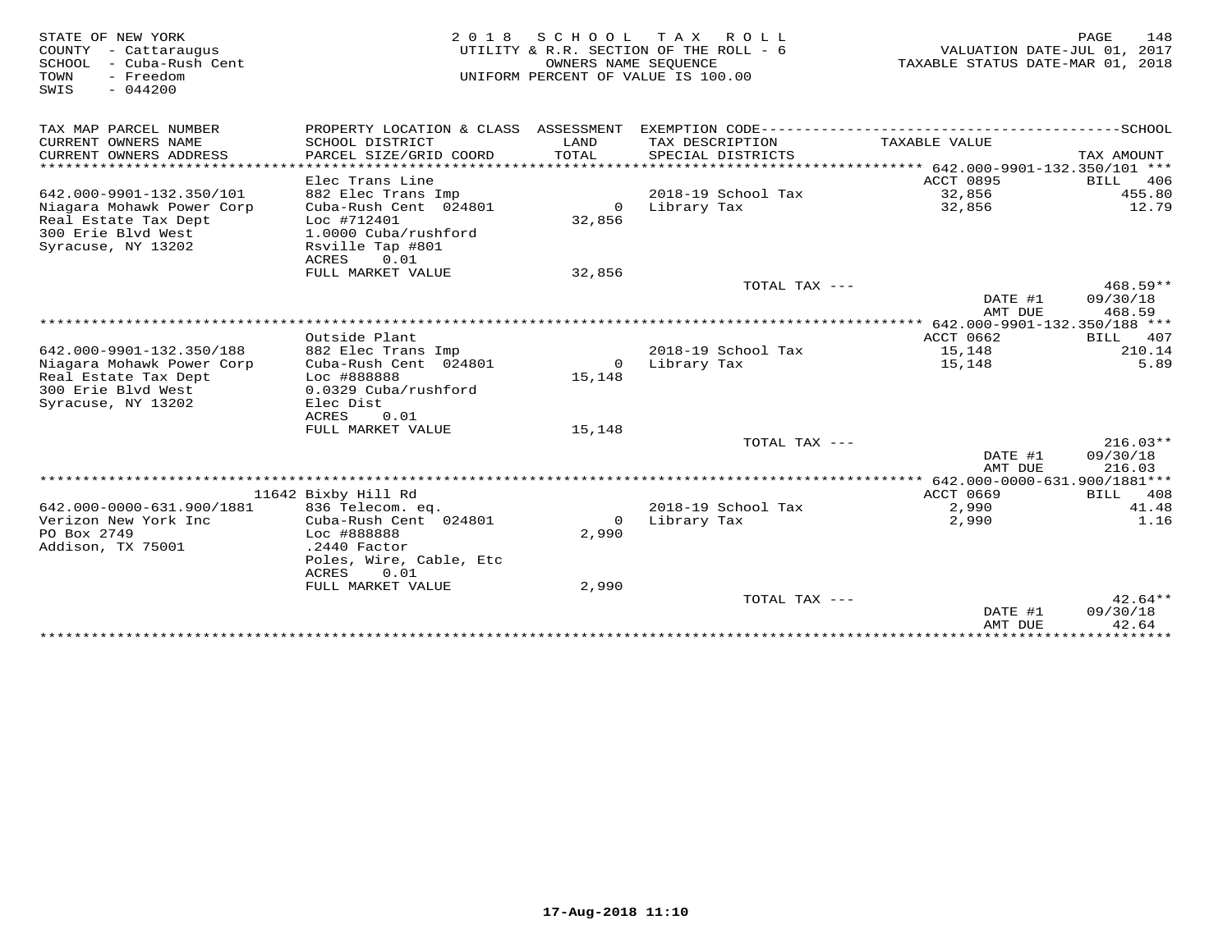| STATE OF NEW YORK<br>COUNTY - Cattaraugus<br>SCHOOL - Cuba-Rush Cent<br>- Freedom<br>TOWN<br>SWIS<br>$-044200$ |                                                                            | OWNERS NAME SEQUENCE | 2018 SCHOOL TAX ROLL<br>UTILITY & R.R. SECTION OF THE ROLL - 6<br>UNIFORM PERCENT OF VALUE IS 100.00 | VALUATION DATE-JUL 01, 2017<br>TAXABLE STATUS DATE-MAR 01, 2018 | 148<br>PAGE              |
|----------------------------------------------------------------------------------------------------------------|----------------------------------------------------------------------------|----------------------|------------------------------------------------------------------------------------------------------|-----------------------------------------------------------------|--------------------------|
| TAX MAP PARCEL NUMBER                                                                                          | PROPERTY LOCATION & CLASS ASSESSMENT EXEMPTION CODE----------------------- |                      |                                                                                                      |                                                                 | ------------------SCHOOL |
| CURRENT OWNERS NAME<br>CURRENT OWNERS ADDRESS                                                                  | SCHOOL DISTRICT<br>PARCEL SIZE/GRID COORD                                  | LAND<br>TOTAL        | TAX DESCRIPTION<br>SPECIAL DISTRICTS                                                                 | TAXABLE VALUE                                                   | TAX AMOUNT               |
|                                                                                                                |                                                                            |                      |                                                                                                      |                                                                 |                          |
|                                                                                                                | Elec Trans Line                                                            |                      |                                                                                                      | ACCT 0895                                                       | BILL<br>406              |
| 642.000-9901-132.350/101                                                                                       | 882 Elec Trans Imp                                                         |                      | 2018-19 School Tax                                                                                   | 32,856                                                          | 455.80                   |
| Niagara Mohawk Power Corp<br>Real Estate Tax Dept<br>300 Erie Blvd West                                        | Cuba-Rush Cent 024801<br>Loc #712401<br>1.0000 Cuba/rushford               | 32,856               | 0 Library Tax                                                                                        | 32,856                                                          | 12.79                    |
| Syracuse, NY 13202                                                                                             | Rsville Tap #801<br>ACRES<br>0.01                                          |                      |                                                                                                      |                                                                 |                          |
|                                                                                                                | FULL MARKET VALUE                                                          | 32,856               |                                                                                                      |                                                                 |                          |
|                                                                                                                |                                                                            |                      | TOTAL TAX ---                                                                                        |                                                                 | 468.59**                 |
|                                                                                                                |                                                                            |                      |                                                                                                      | DATE #1<br>AMT DUE                                              | 09/30/18<br>468.59       |
|                                                                                                                |                                                                            |                      |                                                                                                      |                                                                 |                          |
|                                                                                                                | Outside Plant                                                              |                      |                                                                                                      | ACCT 0662                                                       | BILL<br>407              |
| 642.000-9901-132.350/188                                                                                       | 882 Elec Trans Imp                                                         |                      | 2018-19 School Tax                                                                                   | 15,148                                                          | 210.14                   |
| Niagara Mohawk Power Corp                                                                                      | Cuba-Rush Cent 024801                                                      |                      | 0 Library Tax                                                                                        | 15,148                                                          | 5.89                     |
| Real Estate Tax Dept                                                                                           | Loc #888888                                                                | 15,148               |                                                                                                      |                                                                 |                          |
| 300 Erie Blvd West                                                                                             | 0.0329 Cuba/rushford                                                       |                      |                                                                                                      |                                                                 |                          |
| Syracuse, NY 13202                                                                                             | Elec Dist                                                                  |                      |                                                                                                      |                                                                 |                          |
|                                                                                                                | ACRES<br>0.01                                                              |                      |                                                                                                      |                                                                 |                          |
|                                                                                                                | FULL MARKET VALUE                                                          | 15,148               |                                                                                                      |                                                                 |                          |
|                                                                                                                |                                                                            |                      | TOTAL TAX ---                                                                                        |                                                                 | $216.03**$               |
|                                                                                                                |                                                                            |                      |                                                                                                      | DATE #1                                                         | 09/30/18                 |
|                                                                                                                |                                                                            |                      |                                                                                                      | AMT DUE                                                         | 216.03                   |
|                                                                                                                | 11642 Bixby Hill Rd                                                        |                      |                                                                                                      | ACCT 0669                                                       | BILL 408                 |
| 642.000-0000-631.900/1881                                                                                      | 836 Telecom. eq.                                                           |                      | 2018-19 School Tax                                                                                   | 2,990                                                           | 41.48                    |
| Verizon New York Inc                                                                                           | Cuba-Rush Cent 024801                                                      | $\Omega$             | Library Tax                                                                                          | 2,990                                                           | 1.16                     |
| PO Box 2749                                                                                                    | Loc #888888                                                                | 2,990                |                                                                                                      |                                                                 |                          |
| Addison, TX 75001                                                                                              | .2440 Factor                                                               |                      |                                                                                                      |                                                                 |                          |
|                                                                                                                | Poles, Wire, Cable, Etc<br>ACRES<br>0.01                                   |                      |                                                                                                      |                                                                 |                          |
|                                                                                                                | FULL MARKET VALUE                                                          | 2,990                |                                                                                                      |                                                                 |                          |
|                                                                                                                |                                                                            |                      | TOTAL TAX $---$                                                                                      |                                                                 | $42.64**$                |
|                                                                                                                |                                                                            |                      |                                                                                                      | DATE #1                                                         | 09/30/18                 |
|                                                                                                                |                                                                            |                      |                                                                                                      | AMT DUE                                                         | 42.64                    |
|                                                                                                                |                                                                            |                      |                                                                                                      |                                                                 |                          |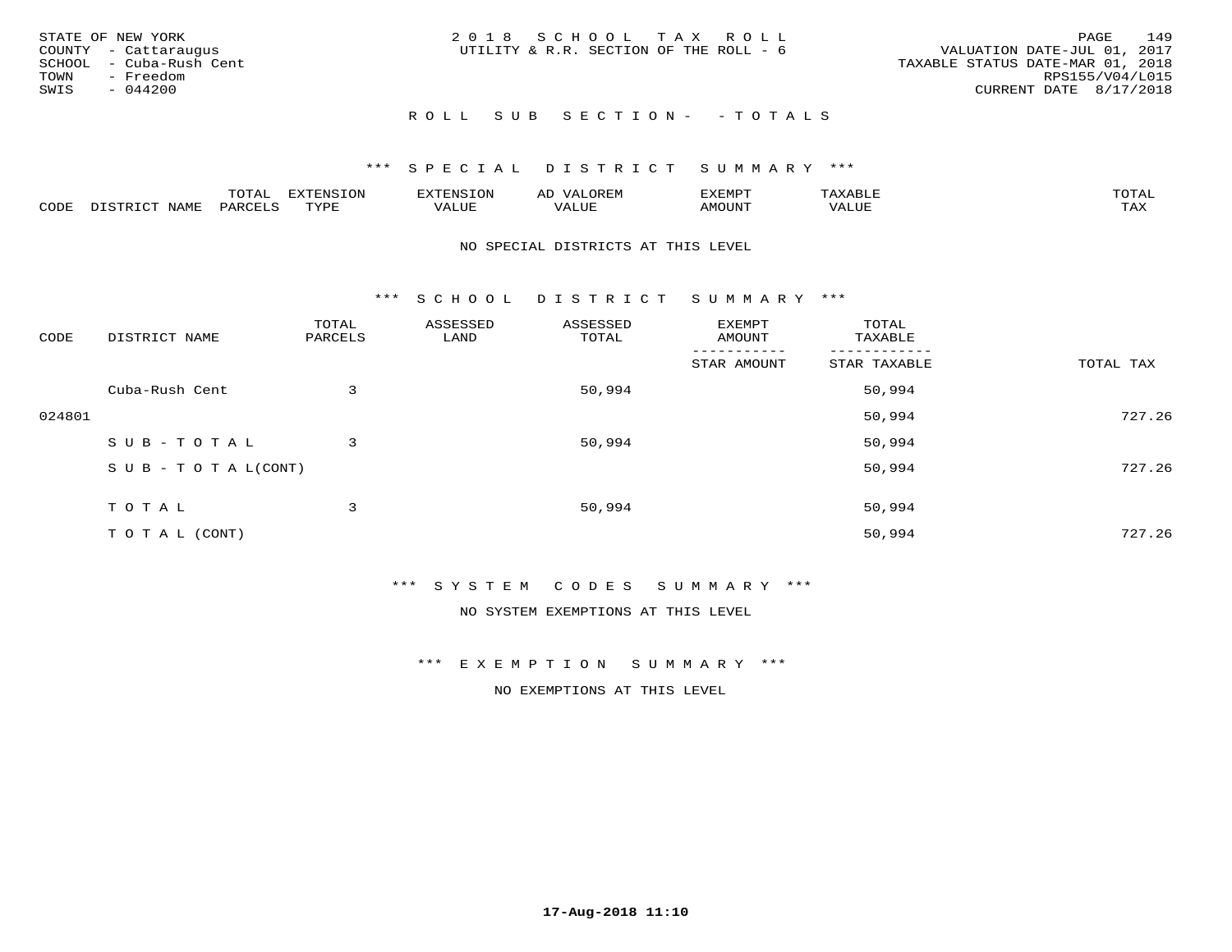| STATE OF NEW YORK<br>COUNTY - Cattaraugus<br>SCHOOL - Cuba-Rush Cent<br>TOWN<br>- Freedom<br>SWIS<br>- 044200 | 2018 SCHOOL TAX ROLL<br>UTILITY & R.R. SECTION OF THE ROLL - 6 | 149<br>PAGE<br>VALUATION DATE-JUL 01, 2017<br>TAXABLE STATUS DATE-MAR 01, 2018<br>RPS155/V04/L015<br>CURRENT DATE 8/17/2018 |
|---------------------------------------------------------------------------------------------------------------|----------------------------------------------------------------|-----------------------------------------------------------------------------------------------------------------------------|
|                                                                                                               | ROLL SUB SECTION- - TOTALS                                     |                                                                                                                             |

#### \*\*\* S P E C I A L D I S T R I C T S U M M A R Y \*\*\*

|      | $n \wedge m \wedge n$ |                 | <b>MARINE</b> | ΑL                           |                          |                    |                           |
|------|-----------------------|-----------------|---------------|------------------------------|--------------------------|--------------------|---------------------------|
| CODE | ΆR                    | $m \tau \tau n$ | اللالا للديات | $\cdots$<br>اللاقات المتحدين | <b>MOTTNTO</b><br>'UUN'. | <b>- ---</b><br>∕∆ | $m \times r$<br>- - - - - |

#### NO SPECIAL DISTRICTS AT THIS LEVEL

\*\*\* S C H O O L D I S T R I C T S U M M A R Y \*\*\*

| CODE   | DISTRICT NAME                    | TOTAL<br>PARCELS | ASSESSED<br>LAND | ASSESSED<br>TOTAL | EXEMPT<br>AMOUNT | TOTAL<br>TAXABLE |           |
|--------|----------------------------------|------------------|------------------|-------------------|------------------|------------------|-----------|
|        |                                  |                  |                  |                   | STAR AMOUNT      | STAR TAXABLE     | TOTAL TAX |
|        | Cuba-Rush Cent                   | 3                |                  | 50,994            |                  | 50,994           |           |
| 024801 |                                  |                  |                  |                   |                  | 50,994           | 727.26    |
|        | SUB-TOTAL                        | 3                |                  | 50,994            |                  | 50,994           |           |
|        | $S \cup B - T \cup T A L (CONT)$ |                  |                  |                   |                  | 50,994           | 727.26    |
|        | TOTAL                            | 3                |                  | 50,994            |                  | 50,994           |           |
|        | T O T A L (CONT)                 |                  |                  |                   |                  | 50,994           | 727.26    |

\*\*\* S Y S T E M C O D E S S U M M A R Y \*\*\*

NO SYSTEM EXEMPTIONS AT THIS LEVEL

\*\*\* E X E M P T I O N S U M M A R Y \*\*\*

NO EXEMPTIONS AT THIS LEVEL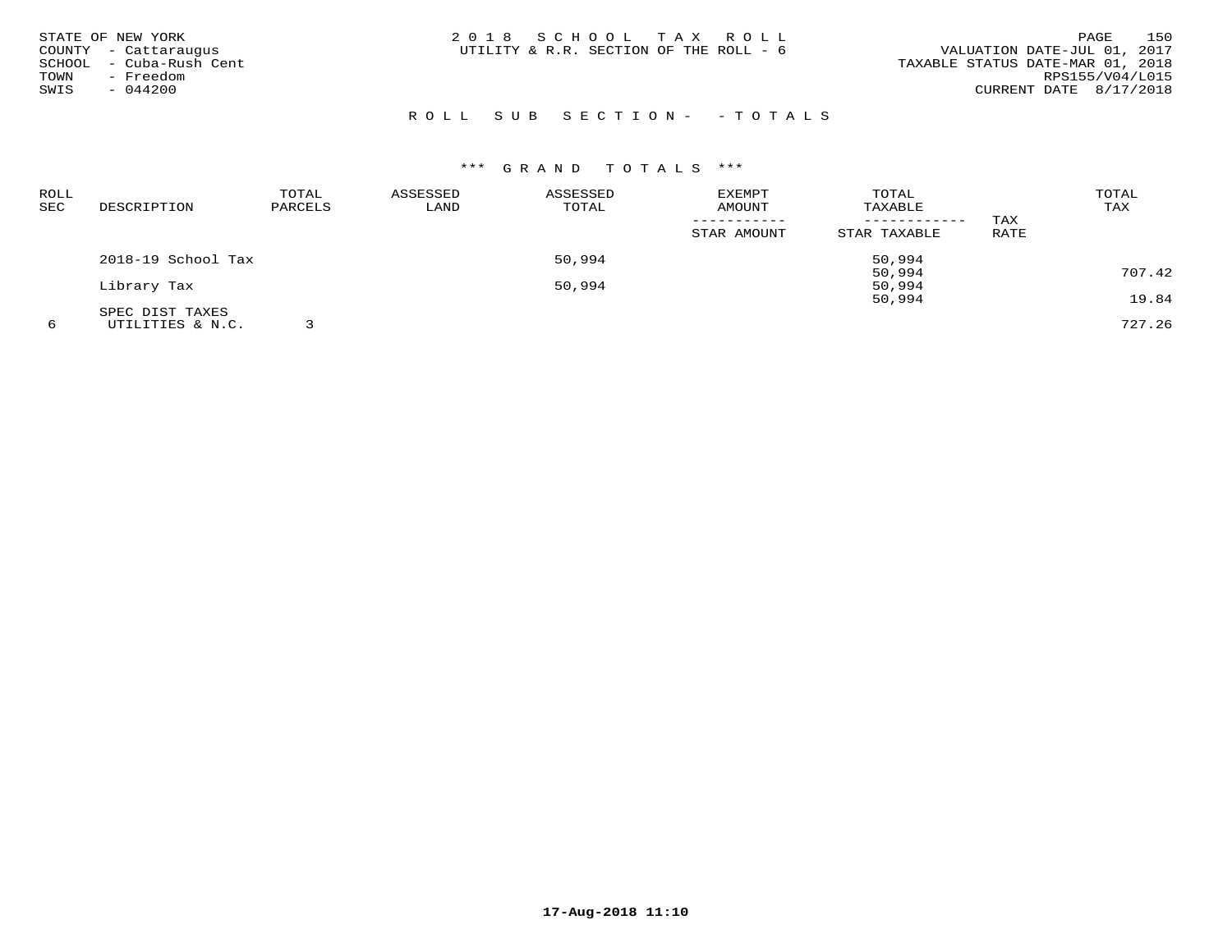| STATE OF NEW YORK<br>COUNTY - Cattaraugus<br>SCHOOL - Cuba-Rush Cent<br>- Freedom<br>TOWN<br>$-044200$<br>SWIS | 2018 SCHOOL TAX ROLL<br>UTILITY & R.R. SECTION OF THE ROLL - 6 | 150<br>PAGE<br>VALUATION DATE-JUL 01, 2017<br>TAXABLE STATUS DATE-MAR 01, 2018<br>RPS155/V04/L015<br>CURRENT DATE 8/17/2018 |
|----------------------------------------------------------------------------------------------------------------|----------------------------------------------------------------|-----------------------------------------------------------------------------------------------------------------------------|
|                                                                                                                | ROLL SUB SECTION- - TOTALS                                     |                                                                                                                             |

| ROLL<br>SEC | DESCRIPTION        | TOTAL<br>PARCELS | ASSESSED<br>LAND | ASSESSED<br>TOTAL | <b>EXEMPT</b><br>AMOUNT | TOTAL<br>TAXABLE | TAX  | TOTAL<br>TAX |
|-------------|--------------------|------------------|------------------|-------------------|-------------------------|------------------|------|--------------|
|             |                    |                  |                  |                   | STAR AMOUNT             | STAR TAXABLE     | RATE |              |
|             | 2018-19 School Tax |                  |                  | 50,994            |                         | 50,994           |      |              |
|             |                    |                  |                  |                   |                         | 50,994           |      | 707.42       |
|             | Library Tax        |                  |                  | 50,994            |                         | 50,994           |      |              |
|             |                    |                  |                  |                   |                         | 50,994           |      | 19.84        |
|             | SPEC DIST TAXES    |                  |                  |                   |                         |                  |      |              |
| 6           | UTILITIES & N.C.   |                  |                  |                   |                         |                  |      | 727.26       |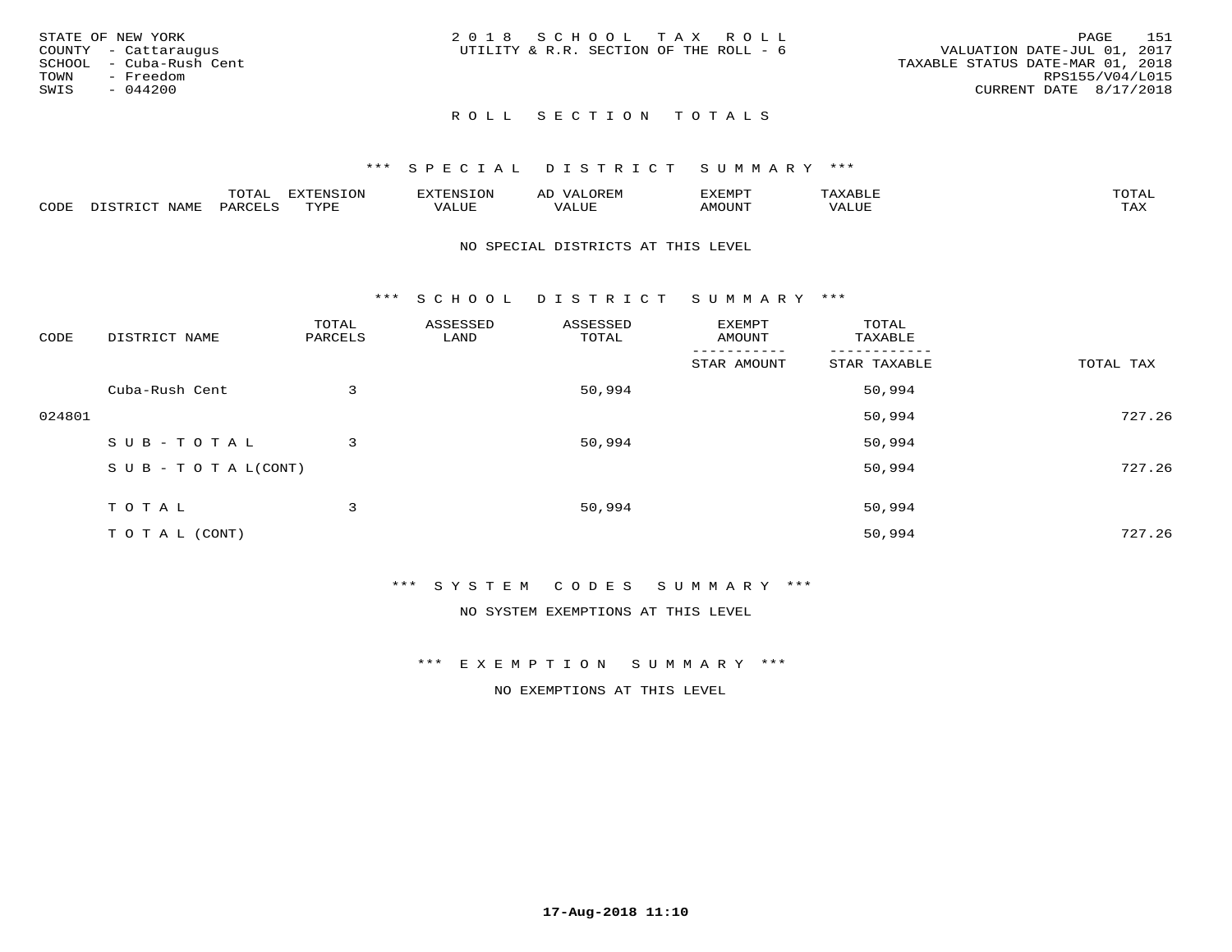|      | STATE OF NEW YORK       | 2018 SCHOOL TAX ROLL                   |  |  |                                  |                        | PAGE | - 151 |
|------|-------------------------|----------------------------------------|--|--|----------------------------------|------------------------|------|-------|
|      | COUNTY - Cattaraugus    | UTILITY & R.R. SECTION OF THE ROLL - 6 |  |  | VALUATION DATE-JUL 01, 2017      |                        |      |       |
|      | SCHOOL - Cuba-Rush Cent |                                        |  |  | TAXABLE STATUS DATE-MAR 01, 2018 |                        |      |       |
| TOWN | - Freedom               |                                        |  |  |                                  | RPS155/V04/L015        |      |       |
| SWIS | - 044200                |                                        |  |  |                                  | CURRENT DATE 8/17/2018 |      |       |
|      |                         |                                        |  |  |                                  |                        |      |       |

# ROLL SECTION TOTALS

## \*\*\* S P E C I A L D I S T R I C T S U M M A R Y \*\*\*

|      |                      | ----           | <b>FYTFNSION</b><br>- 75 | <b>FNC</b>     | ᅺᅜᄓ                      | SXEMPT | $\Delta$<br>.                  | $m \wedge m \wedge n$ |
|------|----------------------|----------------|--------------------------|----------------|--------------------------|--------|--------------------------------|-----------------------|
| CODE | <b>NTAMT</b><br>⊥∙⊥⊥ | D.ODT.<br>PARL | $m \tau \tau m$<br>.     | T T T<br>ALUF: | , <del>,</del> , , , , , | MOUN.  | , 77 T TT <del>D</del><br>ALUE | TAX                   |

#### NO SPECIAL DISTRICTS AT THIS LEVEL

\*\*\* S C H O O L D I S T R I C T S U M M A R Y \*\*\*

| CODE   | DISTRICT NAME                    | TOTAL<br>PARCELS | ASSESSED<br>LAND | ASSESSED<br>TOTAL | EXEMPT<br>AMOUNT | TOTAL<br>TAXABLE |           |
|--------|----------------------------------|------------------|------------------|-------------------|------------------|------------------|-----------|
|        |                                  |                  |                  |                   | STAR AMOUNT      | STAR TAXABLE     | TOTAL TAX |
|        | Cuba-Rush Cent                   | 3                |                  | 50,994            |                  | 50,994           |           |
| 024801 |                                  |                  |                  |                   |                  | 50,994           | 727.26    |
|        | SUB-TOTAL                        | 3                |                  | 50,994            |                  | 50,994           |           |
|        | $S \cup B - T \cup T A L (CONT)$ |                  |                  |                   |                  | 50,994           | 727.26    |
|        | TOTAL                            | 3                |                  | 50,994            |                  | 50,994           |           |
|        | T O T A L (CONT)                 |                  |                  |                   |                  | 50,994           | 727.26    |

## \*\*\* S Y S T E M C O D E S S U M M A R Y \*\*\*

NO SYSTEM EXEMPTIONS AT THIS LEVEL

\*\*\* E X E M P T I O N S U M M A R Y \*\*\*

NO EXEMPTIONS AT THIS LEVEL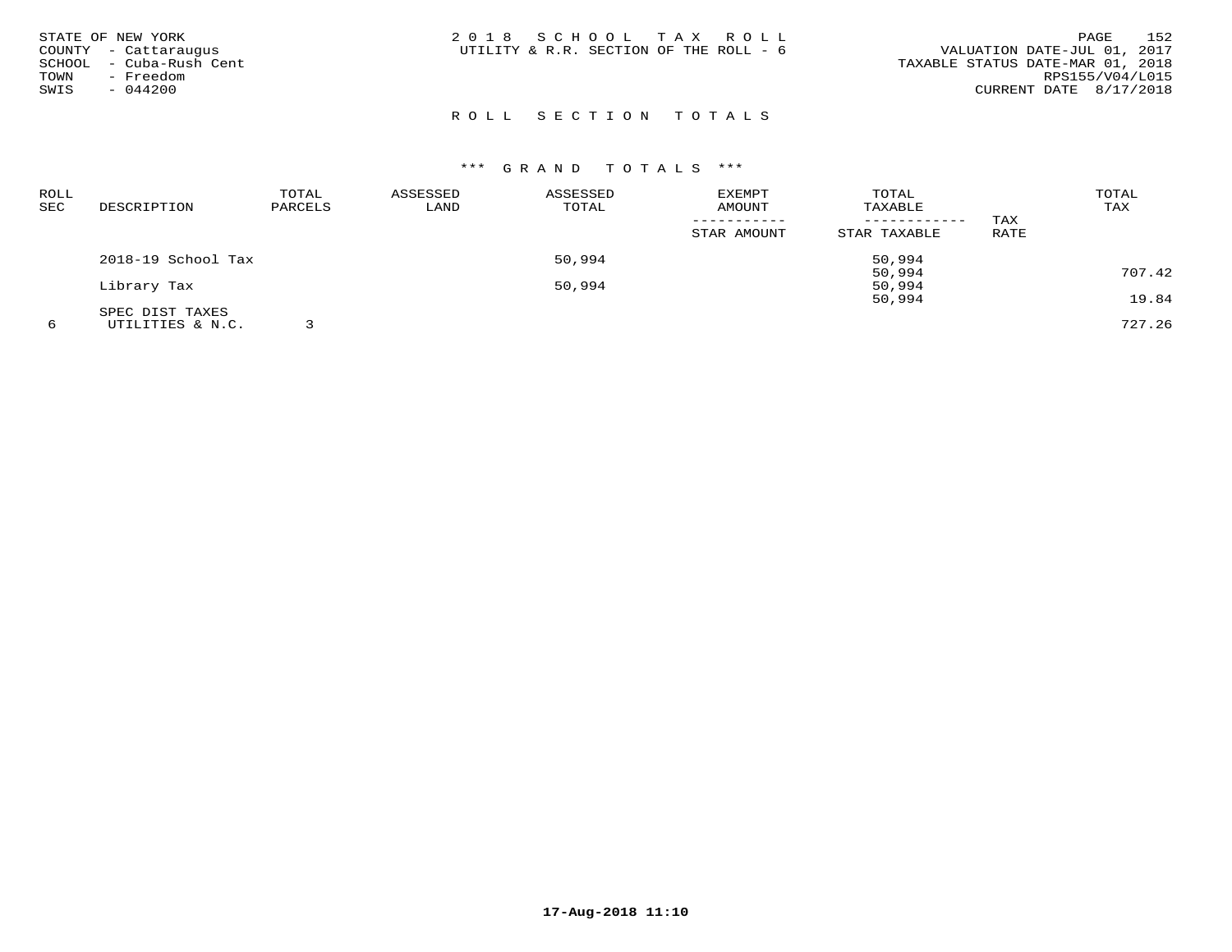| STATE OF NEW YORK<br>COUNTY - Cattaraugus<br>- Cuba-Rush Cent<br>SCHOOL<br>- Freedom<br>TOWN<br>SWIS<br>$-044200$ | 2018 SCHOOL TAX ROLL<br>UTILITY & R.R. SECTION OF THE ROLL - 6 | 152<br>PAGE<br>VALUATION DATE-JUL 01, 2017<br>TAXABLE STATUS DATE-MAR 01, 2018<br>RPS155/V04/L015<br>CURRENT DATE 8/17/2018 |
|-------------------------------------------------------------------------------------------------------------------|----------------------------------------------------------------|-----------------------------------------------------------------------------------------------------------------------------|
|                                                                                                                   | ROLL SECTION TOTALS                                            |                                                                                                                             |

| <b>ROLL</b> |                    | TOTAL   | ASSESSED | ASSESSED | <b>EXEMPT</b> | TOTAL        |      | TOTAL  |
|-------------|--------------------|---------|----------|----------|---------------|--------------|------|--------|
| SEC         | DESCRIPTION        | PARCELS | LAND     | TOTAL    | AMOUNT        | TAXABLE      |      | TAX    |
|             |                    |         |          |          |               |              | TAX  |        |
|             |                    |         |          |          | STAR AMOUNT   | STAR TAXABLE | RATE |        |
|             | 2018-19 School Tax |         |          | 50,994   |               | 50,994       |      |        |
|             |                    |         |          |          |               | 50,994       |      | 707.42 |
|             | Library Tax        |         |          | 50,994   |               | 50,994       |      |        |
|             |                    |         |          |          |               | 50,994       |      | 19.84  |
|             | SPEC DIST TAXES    |         |          |          |               |              |      |        |
|             | UTILITIES & N.C.   |         |          |          |               |              |      | 727.26 |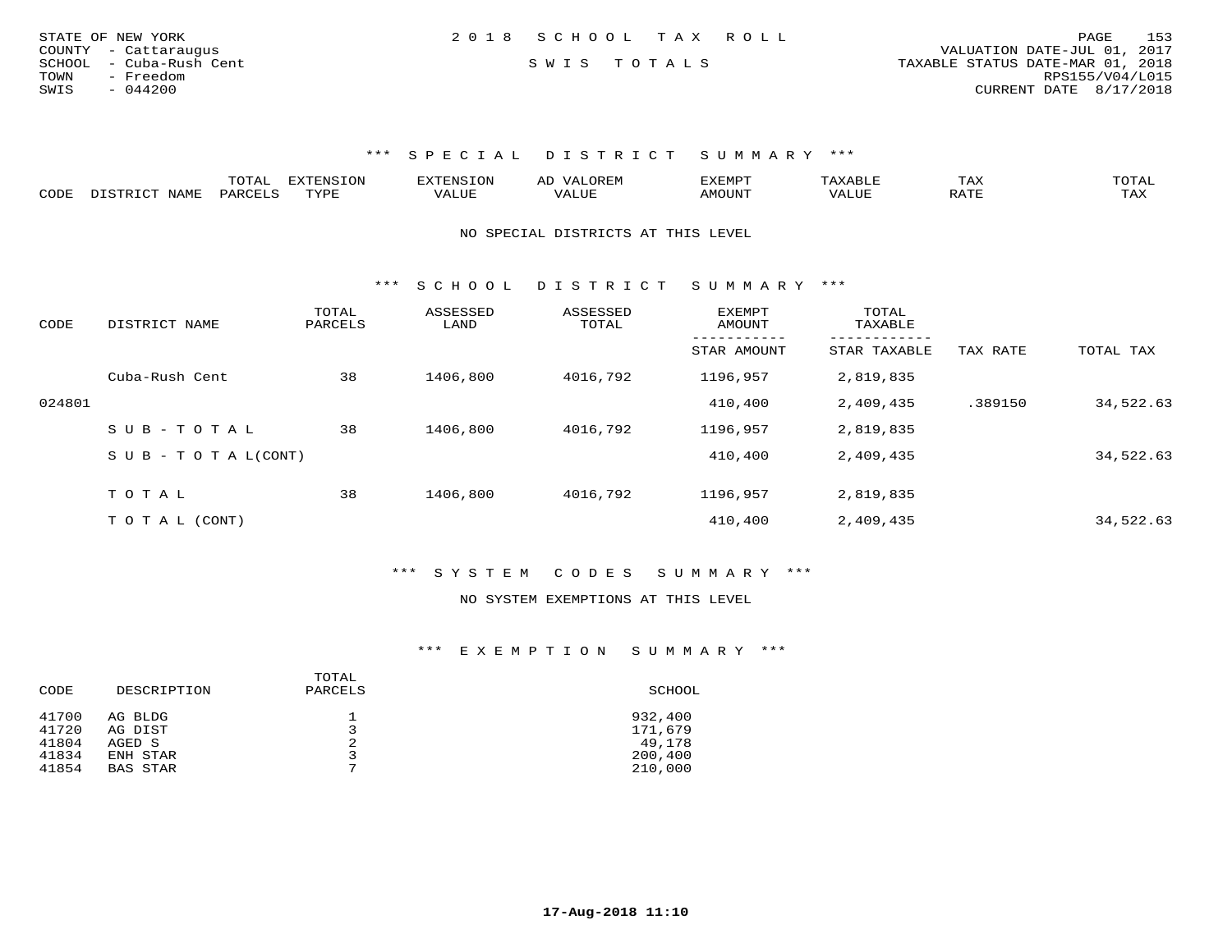| STATE OF NEW YORK       | 2018 SCHOOL TAX ROLL |  | 153<br>PAGE                      |
|-------------------------|----------------------|--|----------------------------------|
| COUNTY - Cattaraugus    |                      |  | VALUATION DATE-JUL 01, 2017      |
| SCHOOL - Cuba-Rush Cent | SWIS TOTALS          |  | TAXABLE STATUS DATE-MAR 01, 2018 |
| TOWN<br>- Freedom       |                      |  | RPS155/V04/L015                  |
| SWIS<br>$-044200$       |                      |  | CURRENT DATE 8/17/2018           |
|                         |                      |  |                                  |

\*\*\* S P E C I A L D I S T R I C T S U M M A R Y \*\*\*

|                           |     | $- - -$ | $\sqrt{27}$<br>T |       |                | ⊥ A∆ | $\sim$ m $\sim$ $\sim$<br>◡∸∸                                                                                                                                                                                                                                                                                                                                                                                                                            |
|---------------------------|-----|---------|------------------|-------|----------------|------|----------------------------------------------------------------------------------------------------------------------------------------------------------------------------------------------------------------------------------------------------------------------------------------------------------------------------------------------------------------------------------------------------------------------------------------------------------|
| C <sub>CD1</sub><br>َ باب | ΆΜΕ | $\sim$  | mizni            | 1111F | <b>MOTTNTE</b> |      | $\overline{ }$ $\overline{ }$ $\overline{ }$ $\overline{ }$ $\overline{ }$ $\overline{ }$ $\overline{ }$ $\overline{ }$ $\overline{ }$ $\overline{ }$ $\overline{ }$ $\overline{ }$ $\overline{ }$ $\overline{ }$ $\overline{ }$ $\overline{ }$ $\overline{ }$ $\overline{ }$ $\overline{ }$ $\overline{ }$ $\overline{ }$ $\overline{ }$ $\overline{ }$ $\overline{ }$ $\overline{ }$ $\overline{ }$ $\overline{ }$ $\overline{$<br>$\cdots$<br>- 53.43 |

NO SPECIAL DISTRICTS AT THIS LEVEL

\*\*\* S C H O O L D I S T R I C T S U M M A R Y \*\*\*

| CODE   | DISTRICT NAME              | TOTAL<br>PARCELS | ASSESSED<br>LAND | ASSESSED<br>TOTAL | <b>EXEMPT</b><br>AMOUNT | TOTAL<br>TAXABLE<br>--------- |          |           |
|--------|----------------------------|------------------|------------------|-------------------|-------------------------|-------------------------------|----------|-----------|
|        |                            |                  |                  |                   | STAR AMOUNT             | STAR TAXABLE                  | TAX RATE | TOTAL TAX |
|        | Cuba-Rush Cent             | 38               | 1406,800         | 4016,792          | 1196,957                | 2,819,835                     |          |           |
| 024801 |                            |                  |                  |                   | 410,400                 | 2,409,435                     | .389150  | 34,522.63 |
|        | SUB-TOTAL                  | 38               | 1406,800         | 4016,792          | 1196,957                | 2,819,835                     |          |           |
|        | S U B - T O T A $L$ (CONT) |                  |                  |                   | 410,400                 | 2,409,435                     |          | 34,522.63 |
|        |                            |                  |                  |                   |                         |                               |          |           |
|        | TOTAL                      | 38               | 1406,800         | 4016,792          | 1196,957                | 2,819,835                     |          |           |
|        | T O T A L (CONT)           |                  |                  |                   | 410,400                 | 2,409,435                     |          | 34,522.63 |

\*\*\* S Y S T E M C O D E S S U M M A R Y \*\*\*

#### NO SYSTEM EXEMPTIONS AT THIS LEVEL

\*\*\* E X E M P T I O N S U M M A R Y \*\*\*

| CODE  | DESCRIPTION | TOTAL<br>PARCELS | SCHOOL  |
|-------|-------------|------------------|---------|
| 41700 | AG BLDG     | ᅩ                | 932,400 |
| 41720 | AG DIST     |                  | 171,679 |
| 41804 | AGED S      | 2                | 49,178  |
| 41834 | ENH STAR    | 3                | 200,400 |
| 41854 | BAS STAR    | 7                | 210,000 |
|       |             |                  |         |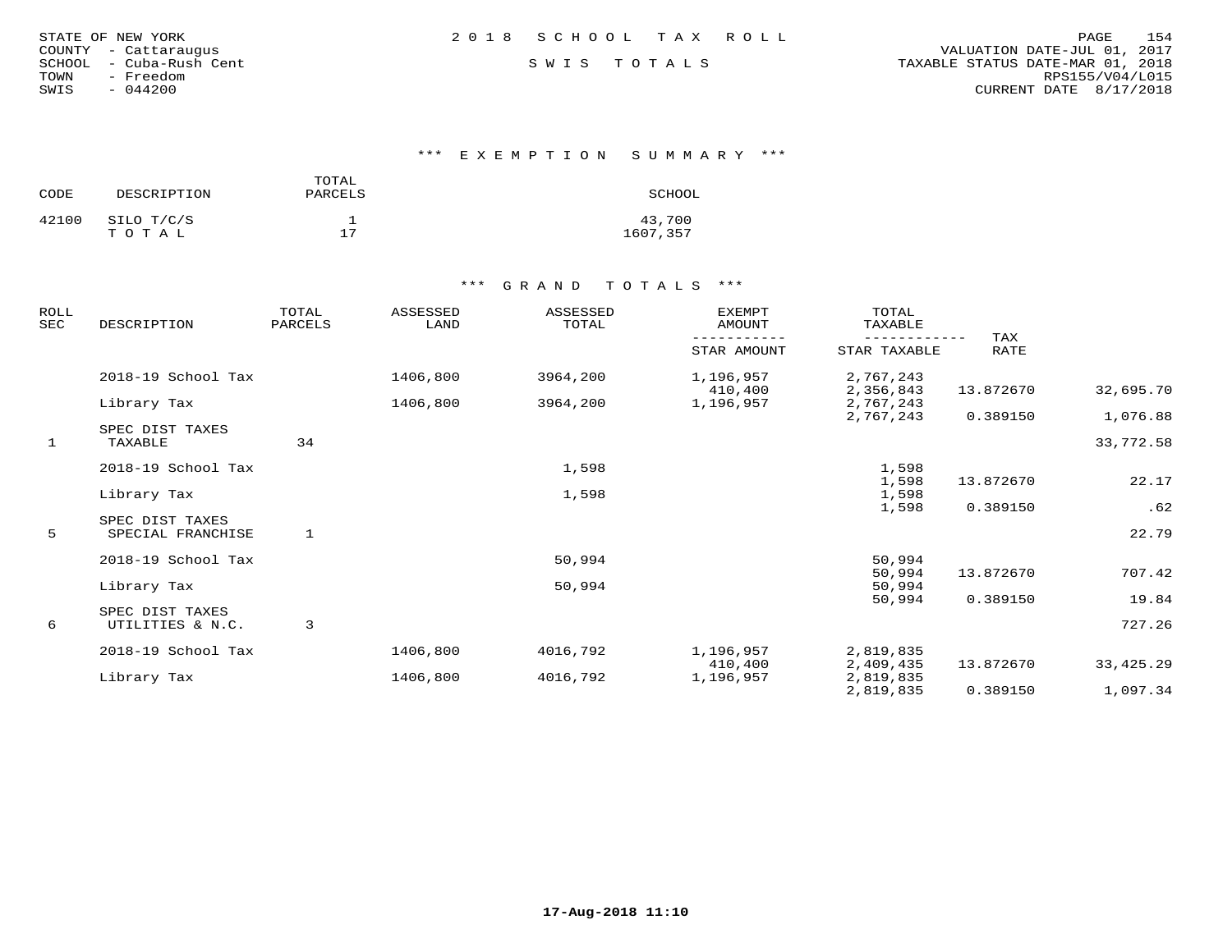| STATE OF NEW YORK |  |               |                  |
|-------------------|--|---------------|------------------|
| COUNTY            |  | - Cattaraugus |                  |
| SCHOOL            |  |               | - Cuba-Rush Cent |
| TOWN              |  | - Freedom     |                  |
| SWIS              |  | $-044200$     |                  |

\*\*\* E X E M P T I O N S U M M A R Y \*\*\*

| CODE  | DESCRIPTION         | TOTAL<br>PARCELS | SCHOOL             |
|-------|---------------------|------------------|--------------------|
| 42100 | SILO T/C/S<br>тотаь | 17               | 43,700<br>1607,357 |

| <b>ROLL</b><br>SEC | DESCRIPTION                         | TOTAL<br>PARCELS | ASSESSED<br>LAND | ASSESSED<br>TOTAL | <b>EXEMPT</b><br>AMOUNT | TOTAL<br>TAXABLE       |             |             |
|--------------------|-------------------------------------|------------------|------------------|-------------------|-------------------------|------------------------|-------------|-------------|
|                    |                                     |                  |                  |                   | STAR AMOUNT             | STAR TAXABLE           | TAX<br>RATE |             |
|                    | 2018-19 School Tax                  |                  | 1406,800         | 3964,200          | 1,196,957<br>410,400    | 2,767,243<br>2,356,843 | 13.872670   | 32,695.70   |
|                    | Library Tax                         |                  | 1406,800         | 3964,200          | 1,196,957               | 2,767,243              |             |             |
|                    |                                     |                  |                  |                   |                         | 2,767,243              | 0.389150    | 1,076.88    |
| $\mathbf{1}$       | SPEC DIST TAXES<br>TAXABLE          | 34               |                  |                   |                         |                        |             | 33,772.58   |
|                    | 2018-19 School Tax                  |                  |                  | 1,598             |                         | 1,598                  |             |             |
|                    |                                     |                  |                  |                   |                         | 1,598                  | 13.872670   | 22.17       |
|                    | Library Tax                         |                  |                  | 1,598             |                         | 1,598                  | 0.389150    | .62         |
|                    | SPEC DIST TAXES                     |                  |                  |                   |                         | 1,598                  |             |             |
| 5                  | SPECIAL FRANCHISE                   | 1                |                  |                   |                         |                        |             | 22.79       |
|                    | 2018-19 School Tax                  |                  |                  | 50,994            |                         | 50,994                 |             |             |
|                    |                                     |                  |                  |                   |                         | 50,994                 | 13.872670   | 707.42      |
|                    | Library Tax                         |                  |                  | 50,994            |                         | 50,994                 |             |             |
|                    |                                     |                  |                  |                   |                         | 50,994                 | 0.389150    | 19.84       |
| 6                  | SPEC DIST TAXES<br>UTILITIES & N.C. | 3                |                  |                   |                         |                        |             | 727.26      |
|                    | 2018-19 School Tax                  |                  | 1406,800         | 4016,792          | 1,196,957               | 2,819,835              |             |             |
|                    |                                     |                  |                  |                   | 410,400                 | 2,409,435              | 13.872670   | 33, 425. 29 |
|                    | Library Tax                         |                  | 1406,800         | 4016,792          | 1,196,957               | 2,819,835              |             |             |
|                    |                                     |                  |                  |                   |                         | 2,819,835              | 0.389150    | 1,097.34    |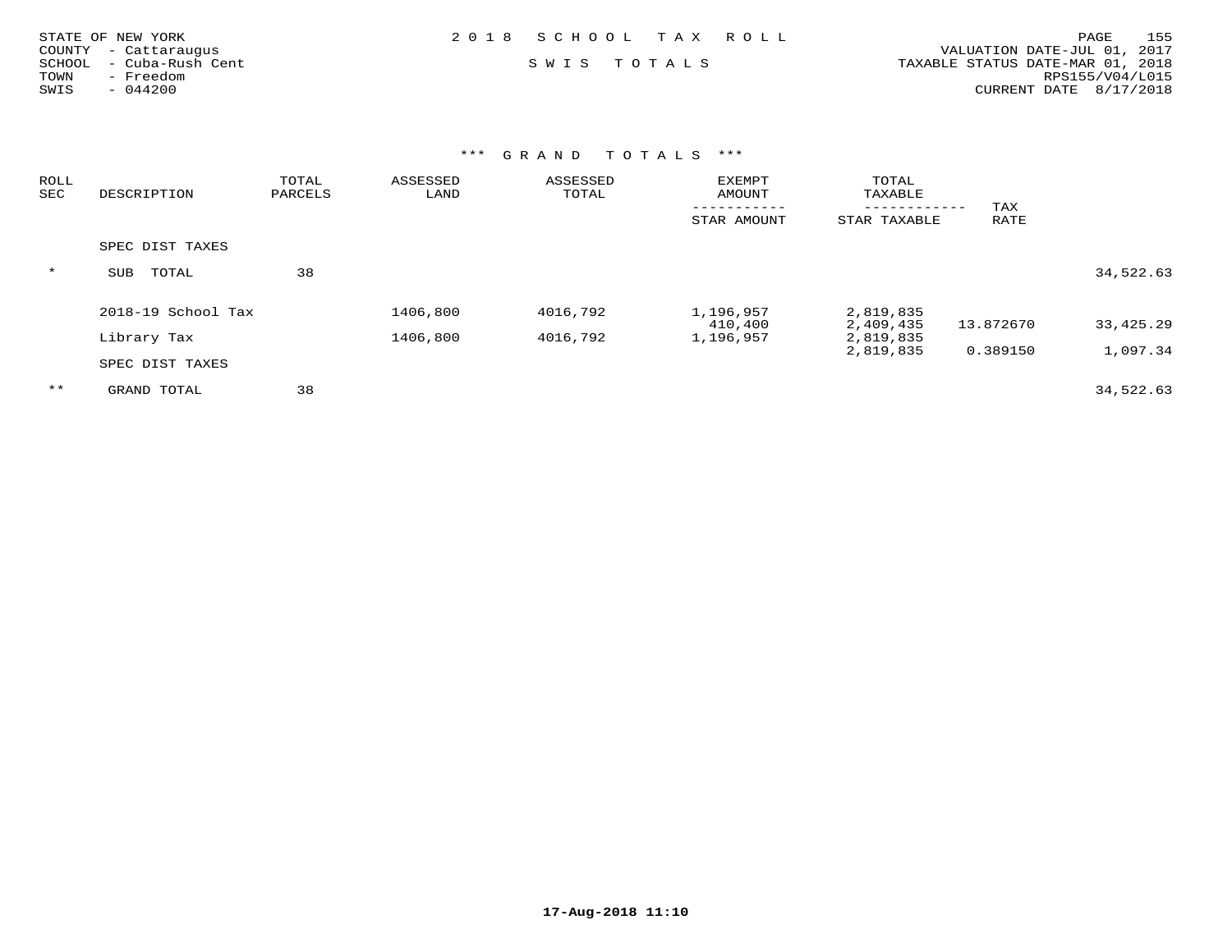| STATE OF NEW YORK          | 2018 SCHOOL TAX ROLL | 155<br>PAGE                      |
|----------------------------|----------------------|----------------------------------|
| COUNTY - Cattaraugus       |                      | VALUATION DATE-JUL 01, 2017      |
| - Cuba-Rush Cent<br>SCHOOL | SWIS TOTALS          | TAXABLE STATUS DATE-MAR 01, 2018 |
| - Freedom<br>TOWN          |                      | RPS155/V04/L015                  |
| $-044200$<br>SWIS          |                      | CURRENT DATE 8/17/2018           |
|                            |                      |                                  |

| ROLL<br>SEC | DESCRIPTION         | TOTAL<br>PARCELS | ASSESSED<br>LAND | ASSESSED<br>TOTAL | <b>EXEMPT</b><br>AMOUNT | TOTAL<br>TAXABLE |           |             |
|-------------|---------------------|------------------|------------------|-------------------|-------------------------|------------------|-----------|-------------|
|             |                     |                  |                  |                   |                         |                  | TAX       |             |
|             |                     |                  |                  |                   | STAR AMOUNT             | STAR TAXABLE     | RATE      |             |
|             | SPEC DIST TAXES     |                  |                  |                   |                         |                  |           |             |
| $\star$     | TOTAL<br><b>SUB</b> | 38               |                  |                   |                         |                  |           | 34,522.63   |
|             | 2018-19 School Tax  |                  | 1406,800         | 4016,792          | 1,196,957               | 2,819,835        |           |             |
|             |                     |                  |                  |                   | 410,400                 | 2,409,435        | 13.872670 | 33, 425. 29 |
|             | Library Tax         |                  | 1406,800         | 4016,792          | 1,196,957               | 2,819,835        |           |             |
|             | SPEC DIST TAXES     |                  |                  |                   |                         | 2,819,835        | 0.389150  | 1,097.34    |
| $***$       | GRAND TOTAL         | 38               |                  |                   |                         |                  |           | 34,522.63   |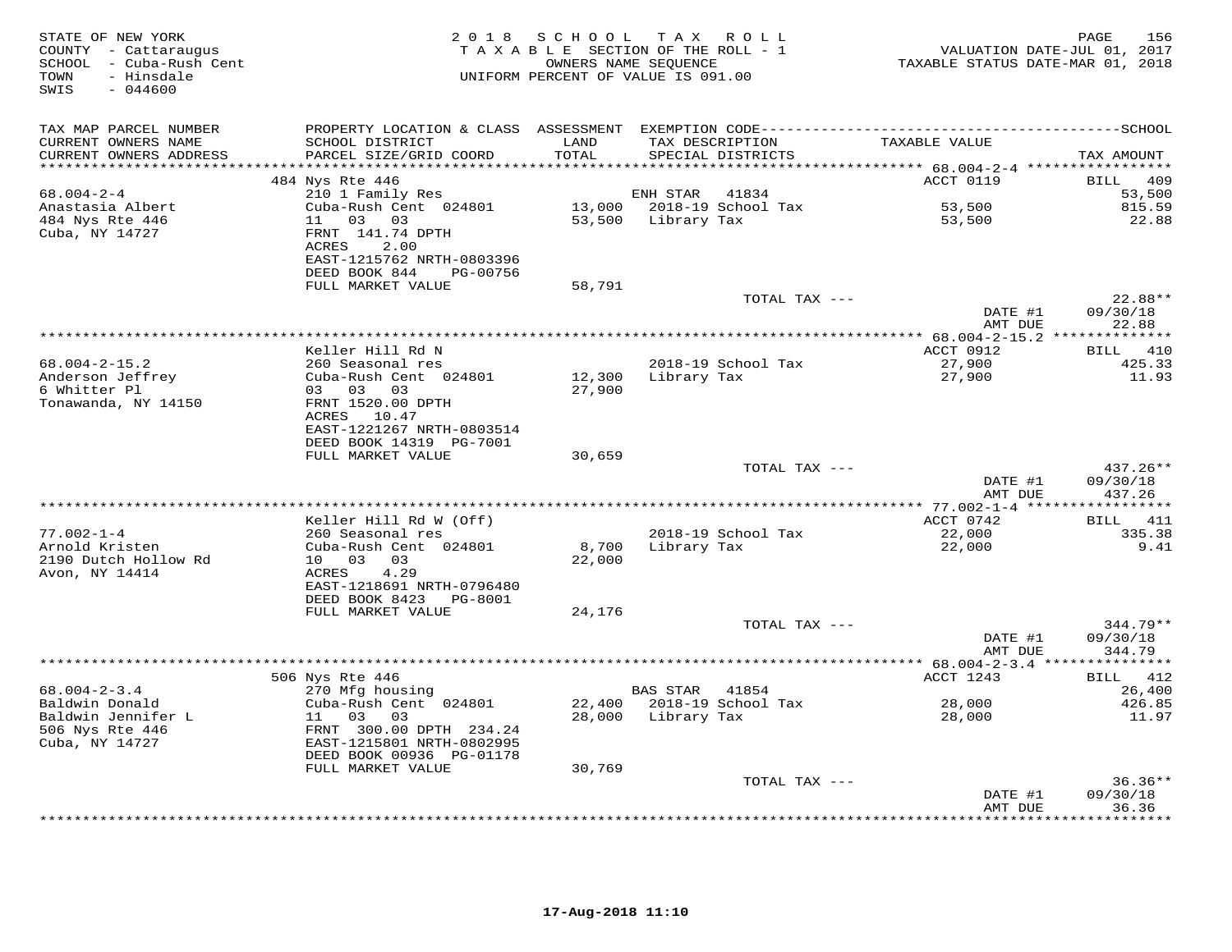| STATE OF NEW YORK<br>COUNTY - Cattaraugus<br>SCHOOL - Cuba-Rush Cent<br>- Hinsdale<br>TOWN<br>SWIS<br>$-044600$ | 2 0 1 8                                                                                                    | S C H O O L      | T A X<br>R O L L<br>TAXABLE SECTION OF THE ROLL - 1<br>OWNERS NAME SEQUENCE<br>UNIFORM PERCENT OF VALUE IS 091.00 | VALUATION DATE-JUL 01, 2017<br>TAXABLE STATUS DATE-MAR 01, 2018 | 156<br>PAGE                      |
|-----------------------------------------------------------------------------------------------------------------|------------------------------------------------------------------------------------------------------------|------------------|-------------------------------------------------------------------------------------------------------------------|-----------------------------------------------------------------|----------------------------------|
| TAX MAP PARCEL NUMBER<br>CURRENT OWNERS NAME                                                                    | SCHOOL DISTRICT                                                                                            | LAND<br>TOTAL    | TAX DESCRIPTION                                                                                                   | TAXABLE VALUE                                                   |                                  |
| CURRENT OWNERS ADDRESS<br>**********************                                                                | PARCEL SIZE/GRID COORD<br>****************************                                                     |                  | SPECIAL DISTRICTS                                                                                                 |                                                                 | TAX AMOUNT                       |
|                                                                                                                 | 484 Nys Rte 446                                                                                            |                  |                                                                                                                   | ACCT 0119                                                       | <b>BILL</b><br>409               |
| $68.004 - 2 - 4$<br>Anastasia Albert                                                                            | 210 1 Family Res<br>Cuba-Rush Cent 024801                                                                  |                  | ENH STAR<br>41834<br>13,000 2018-19 School Tax                                                                    | 53,500                                                          | 53,500<br>815.59                 |
| 484 Nys Rte 446<br>Cuba, NY 14727                                                                               | 11<br>03 03<br>FRNT 141.74 DPTH<br>ACRES<br>2.00<br>EAST-1215762 NRTH-0803396<br>DEED BOOK 844<br>PG-00756 | 53,500           | Library Tax                                                                                                       | 53,500                                                          | 22.88                            |
|                                                                                                                 | FULL MARKET VALUE                                                                                          | 58,791           |                                                                                                                   |                                                                 |                                  |
|                                                                                                                 |                                                                                                            |                  | TOTAL TAX ---                                                                                                     |                                                                 | 22.88**                          |
|                                                                                                                 |                                                                                                            |                  |                                                                                                                   | DATE #1<br>AMT DUE                                              | 09/30/18<br>22.88                |
|                                                                                                                 | Keller Hill Rd N                                                                                           |                  | ****************************                                                                                      | ************ 68.004-2-15.2 ******<br>ACCT 0912                  | ********<br>BILL<br>410          |
| $68.004 - 2 - 15.2$                                                                                             | 260 Seasonal res                                                                                           |                  | 2018-19 School Tax                                                                                                | 27,900                                                          | 425.33                           |
| Anderson Jeffrey<br>6 Whitter Pl                                                                                | Cuba-Rush Cent 024801<br>03 03 03                                                                          | 12,300<br>27,900 | Library Tax                                                                                                       | 27,900                                                          | 11.93                            |
| Tonawanda, NY 14150                                                                                             | FRNT 1520.00 DPTH<br>ACRES 10.47<br>EAST-1221267 NRTH-0803514                                              |                  |                                                                                                                   |                                                                 |                                  |
|                                                                                                                 | DEED BOOK 14319 PG-7001<br>FULL MARKET VALUE                                                               | 30,659           |                                                                                                                   |                                                                 |                                  |
|                                                                                                                 |                                                                                                            |                  | TOTAL TAX ---                                                                                                     |                                                                 | 437.26**                         |
|                                                                                                                 |                                                                                                            |                  |                                                                                                                   | DATE #1<br>AMT DUE                                              | 09/30/18<br>437.26               |
|                                                                                                                 |                                                                                                            |                  |                                                                                                                   | ******* 77.002-1-4 ***                                          | * * * * * * * * * *              |
| $77.002 - 1 - 4$                                                                                                | Keller Hill Rd W (Off)<br>260 Seasonal res                                                                 |                  |                                                                                                                   | ACCT 0742                                                       | <b>BILL</b><br>411               |
| Arnold Kristen                                                                                                  | Cuba-Rush Cent 024801                                                                                      | 8,700            | 2018-19 School Tax<br>Library Tax                                                                                 | 22,000<br>22,000                                                | 335.38<br>9.41                   |
| 2190 Dutch Hollow Rd<br>Avon, NY 14414                                                                          | 10 03<br>03<br>4.29<br>ACRES<br>EAST-1218691 NRTH-0796480                                                  | 22,000           |                                                                                                                   |                                                                 |                                  |
|                                                                                                                 | DEED BOOK 8423<br>PG-8001                                                                                  |                  |                                                                                                                   |                                                                 |                                  |
|                                                                                                                 | FULL MARKET VALUE                                                                                          | 24,176           |                                                                                                                   |                                                                 |                                  |
|                                                                                                                 |                                                                                                            |                  | TOTAL TAX ---                                                                                                     | DATE #1<br>AMT DUE                                              | $344.79**$<br>09/30/18<br>344.79 |
|                                                                                                                 |                                                                                                            |                  |                                                                                                                   |                                                                 |                                  |
|                                                                                                                 | 506 Nys Rte 446                                                                                            |                  |                                                                                                                   | ACCT 1243                                                       | BILL 412                         |
| $68.004 - 2 - 3.4$<br>Baldwin Donald                                                                            | 270 Mfg housing<br>Cuba-Rush Cent 024801                                                                   | 22,400           | BAS STAR 41854<br>2018-19 School Tax                                                                              | 28,000                                                          | 26,400<br>426.85                 |
| Baldwin Jennifer L                                                                                              | 11 03<br>03                                                                                                |                  | 28,000 Library Tax                                                                                                | 28,000                                                          | 11.97                            |
| 506 Nys Rte 446<br>Cuba, NY 14727                                                                               | FRNT 300.00 DPTH 234.24<br>EAST-1215801 NRTH-0802995                                                       |                  |                                                                                                                   |                                                                 |                                  |
|                                                                                                                 | DEED BOOK 00936 PG-01178                                                                                   |                  |                                                                                                                   |                                                                 |                                  |
|                                                                                                                 | FULL MARKET VALUE                                                                                          | 30,769           |                                                                                                                   |                                                                 |                                  |
|                                                                                                                 |                                                                                                            |                  | TOTAL TAX ---                                                                                                     | DATE #1                                                         | $36.36**$<br>09/30/18            |
|                                                                                                                 |                                                                                                            |                  | *************************                                                                                         | AMT DUE                                                         | 36.36<br>، به به به به به به .   |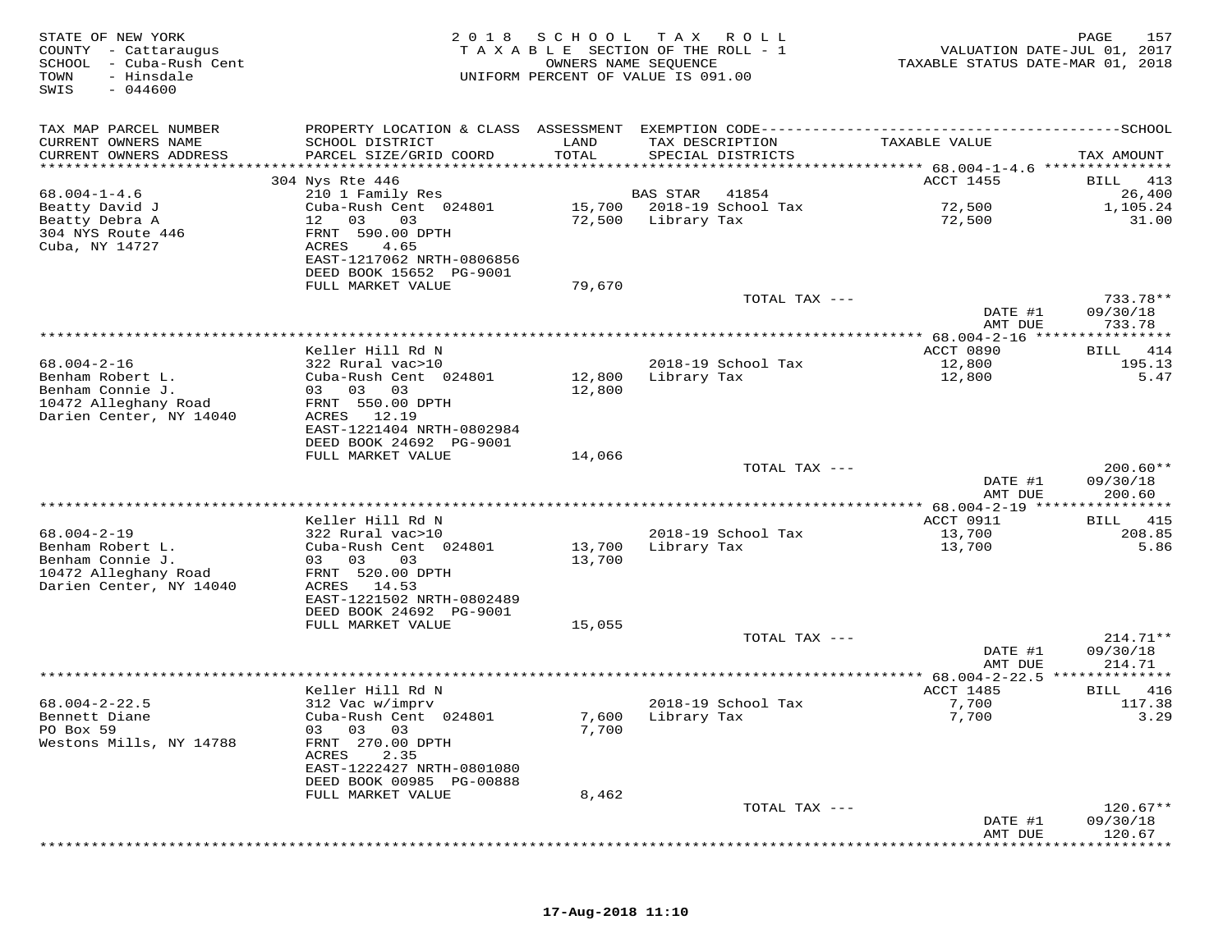| STATE OF NEW YORK<br>COUNTY - Cattaraugus<br>SCHOOL<br>- Cuba-Rush Cent<br>TOWN<br>- Hinsdale<br>$-044600$<br>SWIS | 2 0 1 8                                              | SCHOOL<br>OWNERS NAME SEQUENCE | T A X<br>R O L L<br>TAXABLE SECTION OF THE ROLL - 1<br>UNIFORM PERCENT OF VALUE IS 091.00 | VALUATION DATE-JUL 01, 2017<br>TAXABLE STATUS DATE-MAR 01, 2018 | 157<br>PAGE            |
|--------------------------------------------------------------------------------------------------------------------|------------------------------------------------------|--------------------------------|-------------------------------------------------------------------------------------------|-----------------------------------------------------------------|------------------------|
| TAX MAP PARCEL NUMBER                                                                                              |                                                      |                                |                                                                                           |                                                                 |                        |
| CURRENT OWNERS NAME                                                                                                | SCHOOL DISTRICT                                      | LAND                           | TAX DESCRIPTION                                                                           | TAXABLE VALUE                                                   |                        |
| CURRENT OWNERS ADDRESS<br>**************************                                                               | PARCEL SIZE/GRID COORD                               | TOTAL                          | SPECIAL DISTRICTS                                                                         |                                                                 | TAX AMOUNT             |
|                                                                                                                    | 304 Nys Rte 446                                      |                                |                                                                                           | ACCT 1455                                                       | <b>BILL</b><br>413     |
| $68.004 - 1 - 4.6$                                                                                                 | 210 1 Family Res                                     |                                | 41854<br>BAS STAR                                                                         |                                                                 | 26,400                 |
| Beatty David J<br>Beatty Debra A                                                                                   | Cuba-Rush Cent 024801<br>03<br>03<br>12              | 15,700<br>72,500               | 2018-19 School Tax<br>Library Tax                                                         | 72,500<br>72,500                                                | 1,105.24<br>31.00      |
| 304 NYS Route 446<br>Cuba, NY 14727                                                                                | FRNT 590.00 DPTH<br>ACRES<br>4.65                    |                                |                                                                                           |                                                                 |                        |
|                                                                                                                    | EAST-1217062 NRTH-0806856<br>DEED BOOK 15652 PG-9001 |                                |                                                                                           |                                                                 |                        |
|                                                                                                                    | FULL MARKET VALUE                                    | 79,670                         |                                                                                           |                                                                 | 733.78**               |
|                                                                                                                    |                                                      |                                | TOTAL TAX ---                                                                             | DATE #1<br>AMT DUE                                              | 09/30/18<br>733.78     |
|                                                                                                                    |                                                      |                                |                                                                                           |                                                                 |                        |
|                                                                                                                    | Keller Hill Rd N                                     |                                |                                                                                           | ACCT 0890                                                       | BILL<br>414            |
| $68.004 - 2 - 16$                                                                                                  | 322 Rural vac>10                                     |                                | 2018-19 School Tax                                                                        | 12,800                                                          | 195.13                 |
| Benham Robert L.<br>Benham Connie J.                                                                               | Cuba-Rush Cent 024801<br>03 03<br>03                 | 12,800<br>12,800               | Library Tax                                                                               | 12,800                                                          | 5.47                   |
| 10472 Alleghany Road                                                                                               | FRNT 550.00 DPTH                                     |                                |                                                                                           |                                                                 |                        |
| Darien Center, NY 14040                                                                                            | ACRES 12.19                                          |                                |                                                                                           |                                                                 |                        |
|                                                                                                                    | EAST-1221404 NRTH-0802984<br>DEED BOOK 24692 PG-9001 |                                |                                                                                           |                                                                 |                        |
|                                                                                                                    | FULL MARKET VALUE                                    | 14,066                         |                                                                                           |                                                                 |                        |
|                                                                                                                    |                                                      |                                | TOTAL TAX ---                                                                             |                                                                 | $200.60**$             |
|                                                                                                                    |                                                      |                                |                                                                                           | DATE #1<br>AMT DUE                                              | 09/30/18<br>200.60     |
|                                                                                                                    | Keller Hill Rd N                                     |                                |                                                                                           |                                                                 | 415                    |
| $68.004 - 2 - 19$                                                                                                  | 322 Rural vac>10                                     |                                | 2018-19 School Tax                                                                        | ACCT 0911<br>13,700                                             | BILL<br>208.85         |
| Benham Robert L.                                                                                                   | Cuba-Rush Cent 024801                                | 13,700                         | Library Tax                                                                               | 13,700                                                          | 5.86                   |
| Benham Connie J.                                                                                                   | 03 03<br>03                                          | 13,700                         |                                                                                           |                                                                 |                        |
| 10472 Alleghany Road<br>Darien Center, NY 14040                                                                    | FRNT 520.00 DPTH<br>ACRES 14.53                      |                                |                                                                                           |                                                                 |                        |
|                                                                                                                    | EAST-1221502 NRTH-0802489                            |                                |                                                                                           |                                                                 |                        |
|                                                                                                                    | DEED BOOK 24692 PG-9001                              |                                |                                                                                           |                                                                 |                        |
|                                                                                                                    | FULL MARKET VALUE                                    | 15,055                         |                                                                                           |                                                                 | $214.71**$             |
|                                                                                                                    |                                                      |                                | TOTAL TAX ---                                                                             | DATE #1                                                         | 09/30/18               |
|                                                                                                                    |                                                      |                                |                                                                                           | AMT DUE                                                         | 214.71                 |
|                                                                                                                    |                                                      |                                |                                                                                           | **** 68.004-2-22.5 **************                               |                        |
| $68.004 - 2 - 22.5$                                                                                                | Keller Hill Rd N<br>312 Vac w/imprv                  |                                | 2018-19 School Tax                                                                        | ACCT 1485<br>7,700                                              | 416<br>BILL<br>117.38  |
| Bennett Diane                                                                                                      | Cuba-Rush Cent 024801                                | 7,600                          | Library Tax                                                                               | 7,700                                                           | 3.29                   |
| PO Box 59                                                                                                          | 03 03 03                                             | 7,700                          |                                                                                           |                                                                 |                        |
| Westons Mills, NY 14788                                                                                            | FRNT 270.00 DPTH<br>ACRES<br>2.35                    |                                |                                                                                           |                                                                 |                        |
|                                                                                                                    | EAST-1222427 NRTH-0801080                            |                                |                                                                                           |                                                                 |                        |
|                                                                                                                    | DEED BOOK 00985 PG-00888                             |                                |                                                                                           |                                                                 |                        |
|                                                                                                                    | FULL MARKET VALUE                                    | 8,462                          |                                                                                           |                                                                 |                        |
|                                                                                                                    |                                                      |                                | TOTAL TAX ---                                                                             | DATE #1                                                         | $120.67**$<br>09/30/18 |
|                                                                                                                    |                                                      |                                |                                                                                           | AMT DUE                                                         | 120.67                 |
|                                                                                                                    |                                                      |                                |                                                                                           |                                                                 |                        |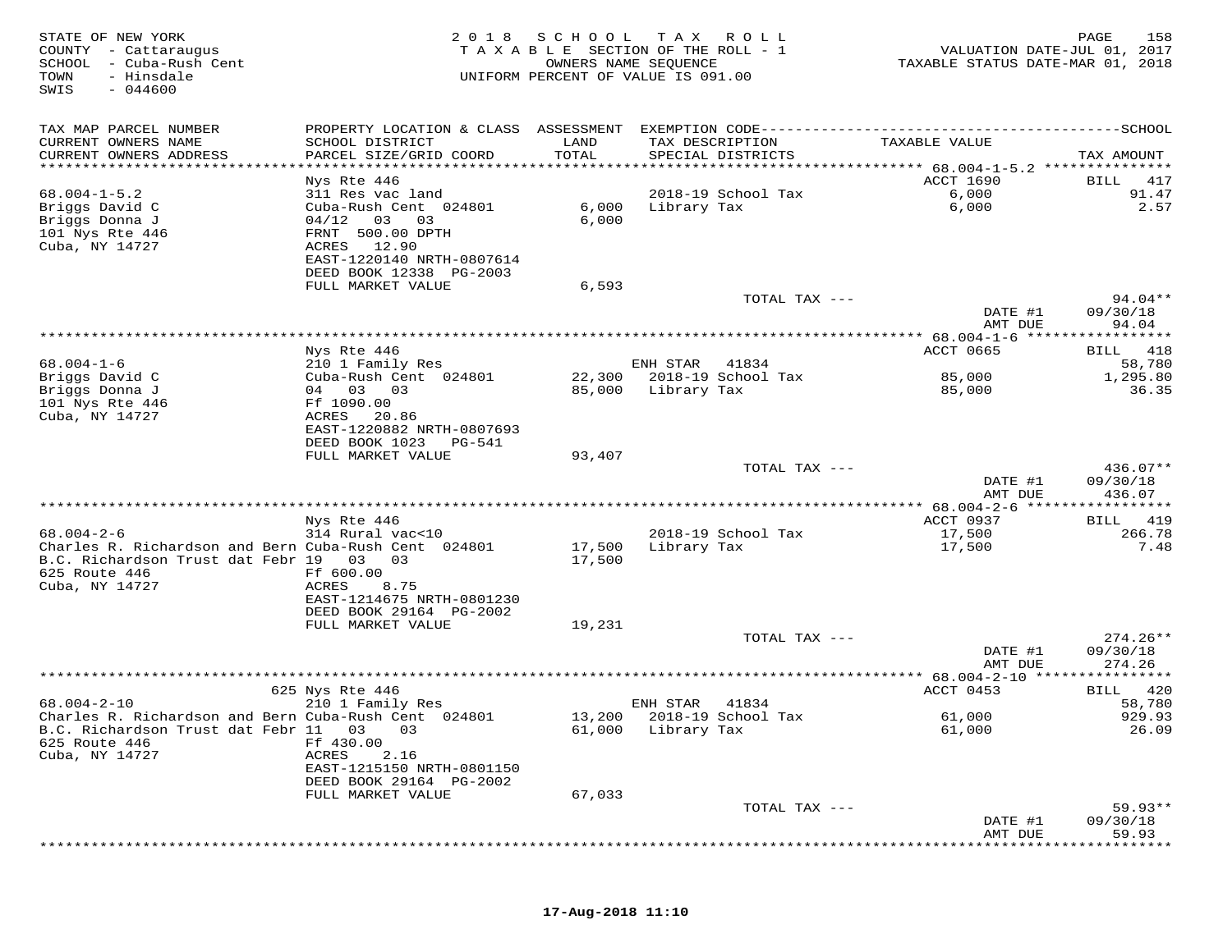| STATE OF NEW YORK<br>COUNTY - Cattaraugus<br>SCHOOL - Cuba-Rush Cent<br>TOWN<br>- Hinsdale<br>SWIS<br>$-044600$ | 2 0 1 8                                      | SCHOOL<br>TAXABLE SECTION OF THE ROLL - 1<br>OWNERS NAME SEQUENCE<br>UNIFORM PERCENT OF VALUE IS 091.00 | T A X              | R O L L                                  | VALUATION DATE-JUL 01, 2017<br>TAXABLE STATUS DATE-MAR 01, 2018 | 158<br>PAGE            |
|-----------------------------------------------------------------------------------------------------------------|----------------------------------------------|---------------------------------------------------------------------------------------------------------|--------------------|------------------------------------------|-----------------------------------------------------------------|------------------------|
| TAX MAP PARCEL NUMBER                                                                                           | PROPERTY LOCATION & CLASS ASSESSMENT         |                                                                                                         |                    | EXEMPTION CODE-------------------------- |                                                                 | -------------SCHOOL    |
| CURRENT OWNERS NAME<br>CURRENT OWNERS ADDRESS<br>**********************                                         | SCHOOL DISTRICT<br>PARCEL SIZE/GRID COORD    | LAND<br>TOTAL                                                                                           | TAX DESCRIPTION    | SPECIAL DISTRICTS                        | TAXABLE VALUE                                                   | TAX AMOUNT             |
|                                                                                                                 | Nys Rte 446                                  |                                                                                                         |                    |                                          | <b>ACCT 1690</b>                                                | 417<br>BILL            |
| $68.004 - 1 - 5.2$                                                                                              | 311 Res vac land                             |                                                                                                         |                    | 2018-19 School Tax                       | 6,000                                                           | 91.47                  |
| Briggs David C                                                                                                  | Cuba-Rush Cent 024801                        | 6,000                                                                                                   | Library Tax        |                                          | 6,000                                                           | 2.57                   |
| Briggs Donna J                                                                                                  | 04/12<br>03<br>03                            | 6,000                                                                                                   |                    |                                          |                                                                 |                        |
| 101 Nys Rte 446                                                                                                 | FRNT 500.00 DPTH                             |                                                                                                         |                    |                                          |                                                                 |                        |
| Cuba, NY 14727                                                                                                  | ACRES<br>12.90<br>EAST-1220140 NRTH-0807614  |                                                                                                         |                    |                                          |                                                                 |                        |
|                                                                                                                 | DEED BOOK 12338 PG-2003                      |                                                                                                         |                    |                                          |                                                                 |                        |
|                                                                                                                 | FULL MARKET VALUE                            | 6,593                                                                                                   |                    |                                          |                                                                 |                        |
|                                                                                                                 |                                              |                                                                                                         |                    | TOTAL TAX ---                            |                                                                 | $94.04**$              |
|                                                                                                                 |                                              |                                                                                                         |                    |                                          | DATE #1                                                         | 09/30/18               |
|                                                                                                                 |                                              |                                                                                                         |                    |                                          | AMT DUE                                                         | 94.04                  |
|                                                                                                                 | Nys Rte 446                                  |                                                                                                         |                    |                                          | ACCT 0665                                                       | 418<br>BILL            |
| $68.004 - 1 - 6$                                                                                                | 210 1 Family Res                             |                                                                                                         | ENH STAR           | 41834                                    |                                                                 | 58,780                 |
| Briggs David C                                                                                                  | Cuba-Rush Cent 024801                        |                                                                                                         |                    | 22,300 2018-19 School Tax                | 85,000                                                          | 1,295.80               |
| Briggs Donna J<br>101 Nys Rte 446                                                                               | 04 03 03<br>Ff 1090.00                       | 85,000                                                                                                  | Library Tax        |                                          | 85,000                                                          | 36.35                  |
| Cuba, NY 14727                                                                                                  | ACRES<br>20.86                               |                                                                                                         |                    |                                          |                                                                 |                        |
|                                                                                                                 | EAST-1220882 NRTH-0807693                    |                                                                                                         |                    |                                          |                                                                 |                        |
|                                                                                                                 | DEED BOOK 1023<br>PG-541                     |                                                                                                         |                    |                                          |                                                                 |                        |
|                                                                                                                 | FULL MARKET VALUE                            | 93,407                                                                                                  |                    |                                          |                                                                 |                        |
|                                                                                                                 |                                              |                                                                                                         |                    | TOTAL TAX ---                            | DATE #1                                                         | $436.07**$<br>09/30/18 |
|                                                                                                                 |                                              |                                                                                                         |                    |                                          | AMT DUE                                                         | 436.07                 |
|                                                                                                                 |                                              |                                                                                                         |                    |                                          | ************ 68.004-2-6 ******                                  |                        |
|                                                                                                                 | Nys Rte 446                                  |                                                                                                         |                    |                                          | ACCT 0937                                                       | BILL<br>419            |
| $68.004 - 2 - 6$<br>Charles R. Richardson and Bern Cuba-Rush Cent 024801                                        | 314 Rural vac<10                             | 17,500                                                                                                  | Library Tax        | 2018-19 School Tax                       | 17,500<br>17,500                                                | 266.78<br>7.48         |
| B.C. Richardson Trust dat Febr 19 03                                                                            | 03                                           | 17,500                                                                                                  |                    |                                          |                                                                 |                        |
| 625 Route 446                                                                                                   | Ff 600.00                                    |                                                                                                         |                    |                                          |                                                                 |                        |
| Cuba, NY 14727                                                                                                  | ACRES<br>8.75                                |                                                                                                         |                    |                                          |                                                                 |                        |
|                                                                                                                 | EAST-1214675 NRTH-0801230                    |                                                                                                         |                    |                                          |                                                                 |                        |
|                                                                                                                 | DEED BOOK 29164 PG-2002<br>FULL MARKET VALUE | 19,231                                                                                                  |                    |                                          |                                                                 |                        |
|                                                                                                                 |                                              |                                                                                                         |                    | TOTAL TAX ---                            |                                                                 | $274.26**$             |
|                                                                                                                 |                                              |                                                                                                         |                    |                                          | DATE #1                                                         | 09/30/18               |
|                                                                                                                 |                                              |                                                                                                         |                    |                                          | AMT DUE                                                         | 274.26                 |
|                                                                                                                 |                                              |                                                                                                         |                    |                                          | **** 68.004-2-10 *****************<br>ACCT 0453                 |                        |
| $68.004 - 2 - 10$                                                                                               | 625 Nys Rte 446<br>210 1 Family Res          |                                                                                                         | ENH STAR           | 41834                                    |                                                                 | 420<br>BILL<br>58,780  |
| Charles R. Richardson and Bern Cuba-Rush Cent 024801                                                            |                                              | 13,200                                                                                                  |                    | 2018-19 School Tax                       | 61,000                                                          | 929.93                 |
| B.C. Richardson Trust dat Febr 11                                                                               | 03<br>03                                     |                                                                                                         | 61,000 Library Tax |                                          | 61,000                                                          | 26.09                  |
| 625 Route 446                                                                                                   | Ff 430.00                                    |                                                                                                         |                    |                                          |                                                                 |                        |
| Cuba, NY 14727                                                                                                  | 2.16<br>ACRES<br>EAST-1215150 NRTH-0801150   |                                                                                                         |                    |                                          |                                                                 |                        |
|                                                                                                                 | DEED BOOK 29164 PG-2002                      |                                                                                                         |                    |                                          |                                                                 |                        |
|                                                                                                                 | FULL MARKET VALUE                            | 67,033                                                                                                  |                    |                                          |                                                                 |                        |
|                                                                                                                 |                                              |                                                                                                         |                    | TOTAL TAX ---                            |                                                                 | $59.93**$              |
|                                                                                                                 |                                              |                                                                                                         |                    |                                          | DATE #1                                                         | 09/30/18               |
|                                                                                                                 |                                              |                                                                                                         |                    |                                          | AMT DUE                                                         | 59.93                  |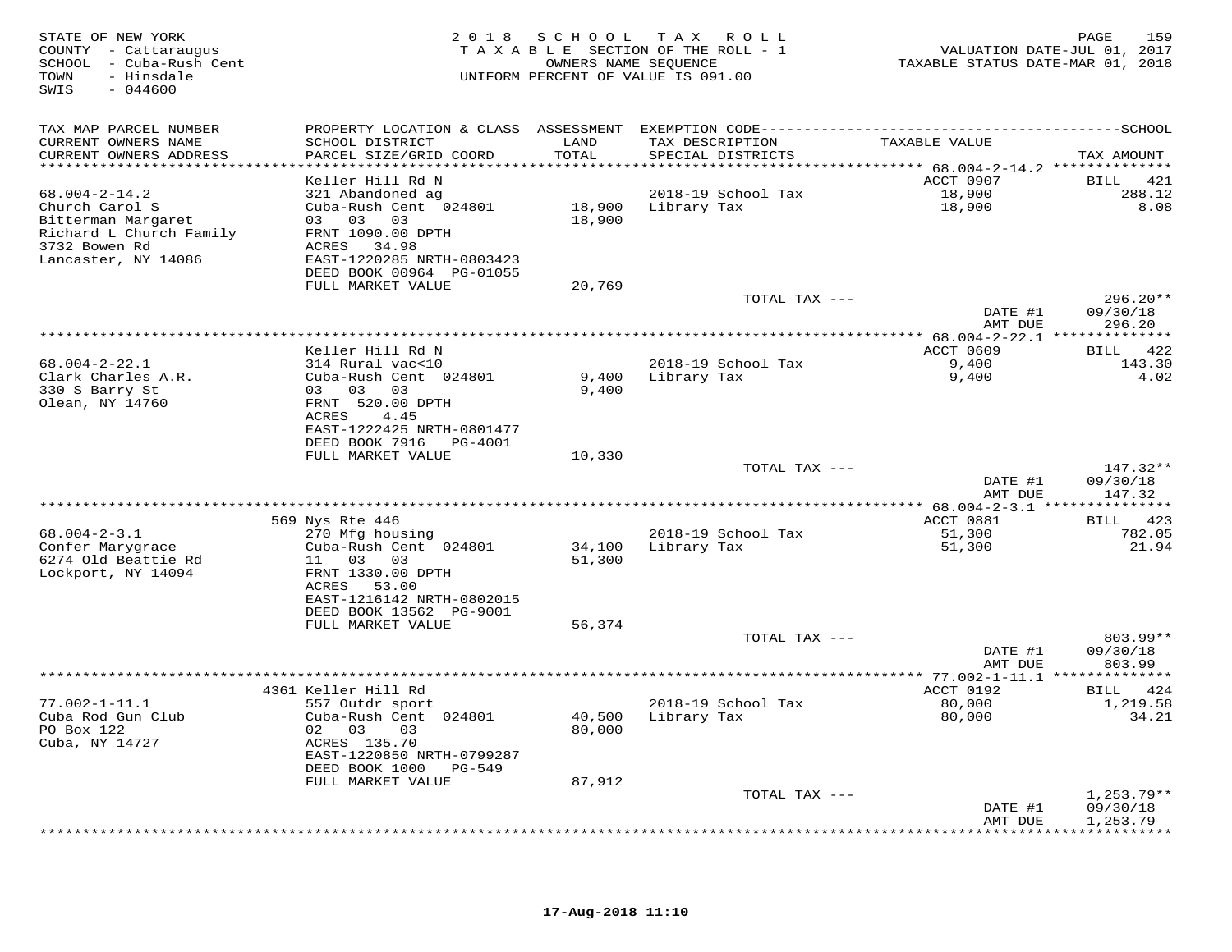| STATE OF NEW YORK<br>COUNTY - Cattaraugus<br>SCHOOL - Cuba-Rush Cent<br>TOWN<br>- Hinsdale<br>$-044600$<br>SWIS |                                                                                              | 2018 SCHOOL   | TAX ROLL<br>TAXABLE SECTION OF THE ROLL - 1<br>OWNERS NAME SEQUENCE<br>UNIFORM PERCENT OF VALUE IS 091.00 | VALUATION DATE-JUL 01, 2017<br>TAXABLE STATUS DATE-MAR 01, 2018 | PAGE<br>159              |
|-----------------------------------------------------------------------------------------------------------------|----------------------------------------------------------------------------------------------|---------------|-----------------------------------------------------------------------------------------------------------|-----------------------------------------------------------------|--------------------------|
| TAX MAP PARCEL NUMBER                                                                                           | PROPERTY LOCATION & CLASS ASSESSMENT EXEMPTION CODE-----------------------------------SCHOOL |               |                                                                                                           |                                                                 |                          |
| CURRENT OWNERS NAME<br>CURRENT OWNERS ADDRESS<br>******************************                                 | SCHOOL DISTRICT<br>PARCEL SIZE/GRID COORD                                                    | LAND<br>TOTAL | TAX DESCRIPTION<br>SPECIAL DISTRICTS                                                                      | TAXABLE VALUE                                                   | TAX AMOUNT               |
|                                                                                                                 | Keller Hill Rd N                                                                             |               |                                                                                                           | ACCT 0907                                                       | BILL 421                 |
| $68.004 - 2 - 14.2$                                                                                             | 321 Abandoned ag                                                                             |               | 2018-19 School Tax                                                                                        | 18,900                                                          | 288.12                   |
| Church Carol S                                                                                                  | Cuba-Rush Cent 024801                                                                        |               | 18,900 Library Tax                                                                                        | 18,900                                                          | 8.08                     |
| Bitterman Margaret<br>Richard L Church Family                                                                   | 03 03 03<br>FRNT 1090.00 DPTH                                                                | 18,900        |                                                                                                           |                                                                 |                          |
| 3732 Bowen Rd                                                                                                   | ACRES 34.98                                                                                  |               |                                                                                                           |                                                                 |                          |
| Lancaster, NY 14086                                                                                             | EAST-1220285 NRTH-0803423                                                                    |               |                                                                                                           |                                                                 |                          |
|                                                                                                                 | DEED BOOK 00964 PG-01055                                                                     |               |                                                                                                           |                                                                 |                          |
|                                                                                                                 | FULL MARKET VALUE                                                                            | 20,769        | TOTAL TAX ---                                                                                             |                                                                 | $296.20**$               |
|                                                                                                                 |                                                                                              |               |                                                                                                           | DATE #1                                                         | 09/30/18                 |
|                                                                                                                 |                                                                                              |               |                                                                                                           | AMT DUE                                                         | 296.20                   |
|                                                                                                                 |                                                                                              |               | **********************                                                                                    | ************* 68.004-2-22.1 ***************                     |                          |
| $68.004 - 2 - 22.1$                                                                                             | Keller Hill Rd N<br>314 Rural vac<10                                                         |               | 2018-19 School Tax                                                                                        | ACCT 0609<br>9,400                                              | BILL 422<br>143.30       |
| Clark Charles A.R.                                                                                              | Cuba-Rush Cent 024801                                                                        | 9,400         | Library Tax                                                                                               | 9,400                                                           | 4.02                     |
| 330 S Barry St                                                                                                  | 03 03 03                                                                                     | 9,400         |                                                                                                           |                                                                 |                          |
| Olean, NY 14760                                                                                                 | FRNT 520.00 DPTH                                                                             |               |                                                                                                           |                                                                 |                          |
|                                                                                                                 | ACRES<br>4.45<br>EAST-1222425 NRTH-0801477                                                   |               |                                                                                                           |                                                                 |                          |
|                                                                                                                 | DEED BOOK 7916    PG-4001                                                                    |               |                                                                                                           |                                                                 |                          |
|                                                                                                                 | FULL MARKET VALUE                                                                            | 10,330        |                                                                                                           |                                                                 |                          |
|                                                                                                                 |                                                                                              |               | TOTAL TAX ---                                                                                             | DATE #1                                                         | $147.32**$<br>09/30/18   |
|                                                                                                                 |                                                                                              |               |                                                                                                           | AMT DUE                                                         | 147.32                   |
|                                                                                                                 |                                                                                              |               |                                                                                                           |                                                                 |                          |
|                                                                                                                 | 569 Nys Rte 446                                                                              |               |                                                                                                           | ACCT 0881                                                       | BILL 423                 |
| $68.004 - 2 - 3.1$<br>Confer Marygrace                                                                          | 270 Mfg housing<br>Cuba-Rush Cent 024801                                                     | 34,100        | 2018-19 School Tax<br>Library Tax                                                                         | 51,300<br>51,300                                                | 782.05<br>21.94          |
| 6274 Old Beattie Rd                                                                                             | 11 03 03                                                                                     | 51,300        |                                                                                                           |                                                                 |                          |
| Lockport, NY 14094                                                                                              | FRNT 1330.00 DPTH                                                                            |               |                                                                                                           |                                                                 |                          |
|                                                                                                                 | ACRES 53.00                                                                                  |               |                                                                                                           |                                                                 |                          |
|                                                                                                                 | EAST-1216142 NRTH-0802015<br>DEED BOOK 13562 PG-9001                                         |               |                                                                                                           |                                                                 |                          |
|                                                                                                                 | FULL MARKET VALUE                                                                            | 56,374        |                                                                                                           |                                                                 |                          |
|                                                                                                                 |                                                                                              |               | TOTAL TAX ---                                                                                             |                                                                 | $803.99**$               |
|                                                                                                                 |                                                                                              |               |                                                                                                           | DATE #1                                                         | 09/30/18                 |
|                                                                                                                 |                                                                                              |               |                                                                                                           | AMT DUE                                                         | 803.99                   |
|                                                                                                                 | 4361 Keller Hill Rd                                                                          |               |                                                                                                           | ACCT 0192                                                       | BILL 424                 |
| $77.002 - 1 - 11.1$                                                                                             | 557 Outdr sport                                                                              |               | 2018-19 School Tax                                                                                        | 80,000                                                          | 1,219.58                 |
| Cuba Rod Gun Club                                                                                               | Cuba-Rush Cent 024801                                                                        | 40,500        | Library Tax                                                                                               | 80,000                                                          | 34.21                    |
| PO Box 122<br>Cuba, NY 14727                                                                                    | 02 03<br>03<br>ACRES 135.70                                                                  | 80,000        |                                                                                                           |                                                                 |                          |
|                                                                                                                 | EAST-1220850 NRTH-0799287                                                                    |               |                                                                                                           |                                                                 |                          |
|                                                                                                                 | DEED BOOK 1000 PG-549                                                                        |               |                                                                                                           |                                                                 |                          |
|                                                                                                                 | FULL MARKET VALUE                                                                            | 87,912        |                                                                                                           |                                                                 |                          |
|                                                                                                                 |                                                                                              |               | TOTAL TAX ---                                                                                             | DATE #1                                                         | $1,253.79**$<br>09/30/18 |
|                                                                                                                 |                                                                                              |               |                                                                                                           | AMT DUE                                                         | 1,253.79                 |
|                                                                                                                 |                                                                                              |               |                                                                                                           |                                                                 |                          |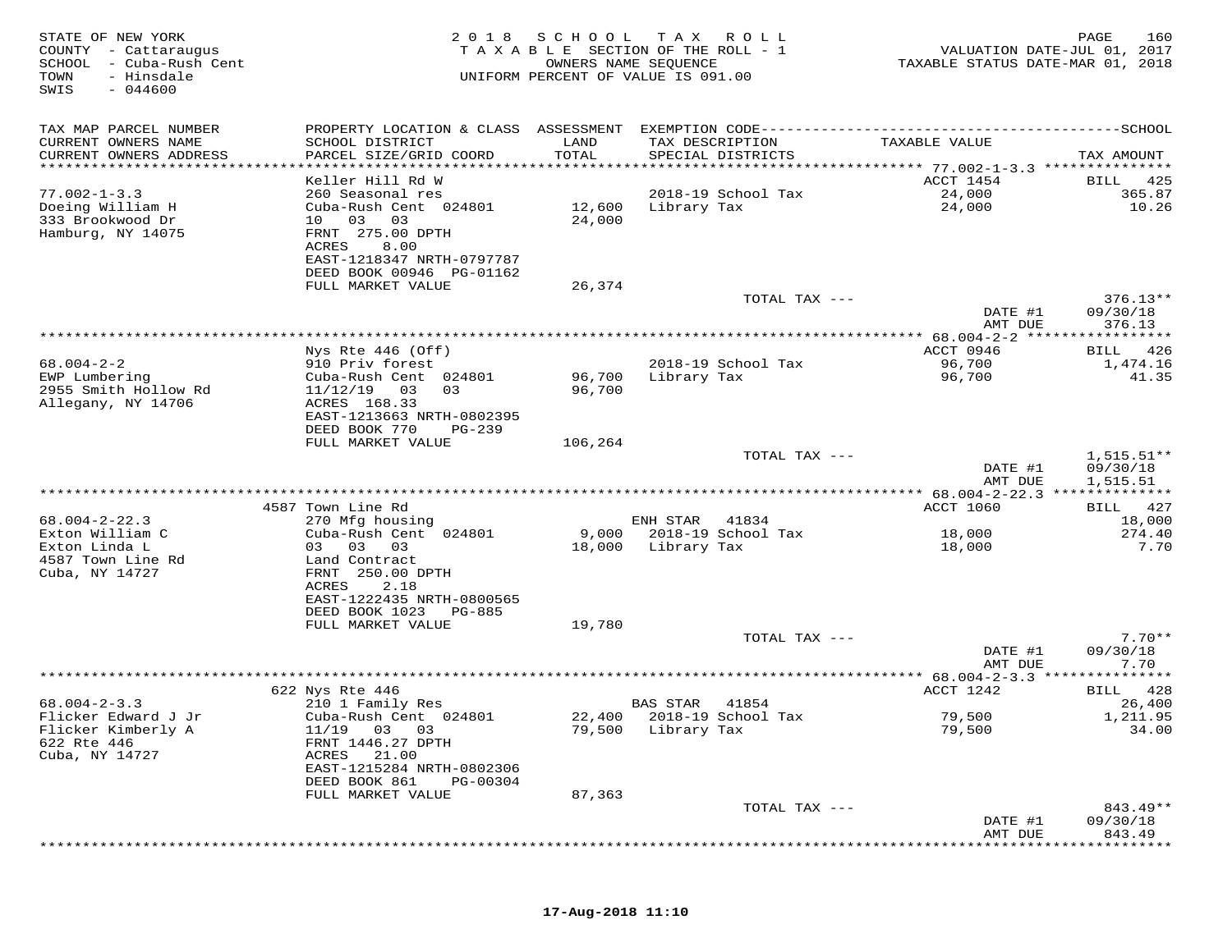| STATE OF NEW YORK<br>COUNTY - Cattaraugus<br>SCHOOL - Cuba-Rush Cent<br>TOWN<br>- Hinsdale<br>$-044600$<br>SWIS | 2 0 1 8                                              | SCHOOL  | T A X<br>ROLL ROLL<br>TAXABLE SECTION OF THE ROLL - 1<br>OWNERS NAME SEQUENCE<br>UNIFORM PERCENT OF VALUE IS 091.00 | VALUATION DATE-JUL 01, 2017<br>TAXABLE STATUS DATE-MAR 01, 2018 | 160<br>PAGE             |
|-----------------------------------------------------------------------------------------------------------------|------------------------------------------------------|---------|---------------------------------------------------------------------------------------------------------------------|-----------------------------------------------------------------|-------------------------|
| TAX MAP PARCEL NUMBER                                                                                           | PROPERTY LOCATION & CLASS ASSESSMENT                 |         |                                                                                                                     |                                                                 |                         |
| CURRENT OWNERS NAME                                                                                             | SCHOOL DISTRICT                                      | LAND    | TAX DESCRIPTION                                                                                                     | TAXABLE VALUE                                                   |                         |
| CURRENT OWNERS ADDRESS<br>*********************                                                                 | PARCEL SIZE/GRID COORD<br>***********************    | TOTAL   | SPECIAL DISTRICTS                                                                                                   |                                                                 | TAX AMOUNT              |
|                                                                                                                 | Keller Hill Rd W                                     |         |                                                                                                                     | ACCT 1454                                                       | 425<br>BILL             |
| $77.002 - 1 - 3.3$                                                                                              | 260 Seasonal res                                     |         | 2018-19 School Tax                                                                                                  | 24,000                                                          | 365.87                  |
| Doeing William H                                                                                                | Cuba-Rush Cent 024801                                | 12,600  | Library Tax                                                                                                         | 24,000                                                          | 10.26                   |
| 333 Brookwood Dr<br>Hamburg, NY 14075                                                                           | 10 03<br>03<br>FRNT 275.00 DPTH                      | 24,000  |                                                                                                                     |                                                                 |                         |
|                                                                                                                 | ACRES<br>8.00                                        |         |                                                                                                                     |                                                                 |                         |
|                                                                                                                 | EAST-1218347 NRTH-0797787                            |         |                                                                                                                     |                                                                 |                         |
|                                                                                                                 | DEED BOOK 00946 PG-01162                             |         |                                                                                                                     |                                                                 |                         |
|                                                                                                                 | FULL MARKET VALUE                                    | 26,374  | TOTAL TAX ---                                                                                                       |                                                                 | $376.13**$              |
|                                                                                                                 |                                                      |         |                                                                                                                     | DATE #1                                                         | 09/30/18                |
|                                                                                                                 |                                                      |         |                                                                                                                     | AMT DUE                                                         | 376.13                  |
|                                                                                                                 |                                                      |         |                                                                                                                     |                                                                 |                         |
| $68.004 - 2 - 2$                                                                                                | Nys Rte 446 (Off)<br>910 Priv forest                 |         | 2018-19 School Tax                                                                                                  | ACCT 0946<br>96,700                                             | 426<br>BILL<br>1,474.16 |
| EWP Lumbering                                                                                                   | Cuba-Rush Cent 024801                                | 96,700  | Library Tax                                                                                                         | 96,700                                                          | 41.35                   |
| 2955 Smith Hollow Rd                                                                                            | 03<br>11/12/19<br>03                                 | 96,700  |                                                                                                                     |                                                                 |                         |
| Allegany, NY 14706                                                                                              | ACRES 168.33                                         |         |                                                                                                                     |                                                                 |                         |
|                                                                                                                 | EAST-1213663 NRTH-0802395<br>DEED BOOK 770<br>PG-239 |         |                                                                                                                     |                                                                 |                         |
|                                                                                                                 | FULL MARKET VALUE                                    | 106,264 |                                                                                                                     |                                                                 |                         |
|                                                                                                                 |                                                      |         | TOTAL TAX ---                                                                                                       |                                                                 | 1,515.51**              |
|                                                                                                                 |                                                      |         |                                                                                                                     | DATE #1                                                         | 09/30/18                |
|                                                                                                                 |                                                      |         |                                                                                                                     | AMT DUE                                                         | 1,515.51                |
|                                                                                                                 | 4587 Town Line Rd                                    |         |                                                                                                                     | ACCT 1060                                                       | BILL 427                |
| $68.004 - 2 - 22.3$                                                                                             | 270 Mfg housing                                      |         | ENH STAR<br>41834                                                                                                   |                                                                 | 18,000                  |
| Exton William C                                                                                                 | Cuba-Rush Cent 024801                                |         | 9,000 2018-19 School Tax                                                                                            | 18,000                                                          | 274.40                  |
| Exton Linda L<br>4587 Town Line Rd                                                                              | 03 03 03<br>Land Contract                            | 18,000  | Library Tax                                                                                                         | 18,000                                                          | 7.70                    |
| Cuba, NY 14727                                                                                                  | FRNT 250.00 DPTH                                     |         |                                                                                                                     |                                                                 |                         |
|                                                                                                                 | ACRES<br>2.18                                        |         |                                                                                                                     |                                                                 |                         |
|                                                                                                                 | EAST-1222435 NRTH-0800565                            |         |                                                                                                                     |                                                                 |                         |
|                                                                                                                 | DEED BOOK 1023<br>PG-885<br>FULL MARKET VALUE        | 19,780  |                                                                                                                     |                                                                 |                         |
|                                                                                                                 |                                                      |         | TOTAL TAX ---                                                                                                       |                                                                 | $7.70**$                |
|                                                                                                                 |                                                      |         |                                                                                                                     | DATE #1                                                         | 09/30/18                |
|                                                                                                                 |                                                      |         |                                                                                                                     | AMT DUE                                                         | 7.70                    |
|                                                                                                                 | 622 Nys Rte 446                                      |         |                                                                                                                     | ACCT 1242                                                       | BILL 428                |
| $68.004 - 2 - 3.3$                                                                                              | 210 1 Family Res                                     |         | BAS STAR<br>41854                                                                                                   |                                                                 | 26,400                  |
| Flicker Edward J Jr                                                                                             | Cuba-Rush Cent 024801                                | 22,400  | 2018-19 School Tax                                                                                                  | 79,500                                                          | 1,211.95                |
| Flicker Kimberly A<br>622 Rte 446                                                                               | $11/19$ 03 03<br>FRNT 1446.27 DPTH                   | 79,500  | Library Tax                                                                                                         | 79,500                                                          | 34.00                   |
| Cuba, NY 14727                                                                                                  | 21.00<br>ACRES                                       |         |                                                                                                                     |                                                                 |                         |
|                                                                                                                 | EAST-1215284 NRTH-0802306                            |         |                                                                                                                     |                                                                 |                         |
|                                                                                                                 | DEED BOOK 861<br>PG-00304                            |         |                                                                                                                     |                                                                 |                         |
|                                                                                                                 | FULL MARKET VALUE                                    | 87,363  | TOTAL TAX ---                                                                                                       |                                                                 | 843.49**                |
|                                                                                                                 |                                                      |         |                                                                                                                     | DATE #1                                                         | 09/30/18                |
|                                                                                                                 |                                                      |         |                                                                                                                     | AMT DUE                                                         | 843.49                  |
|                                                                                                                 |                                                      |         |                                                                                                                     |                                                                 |                         |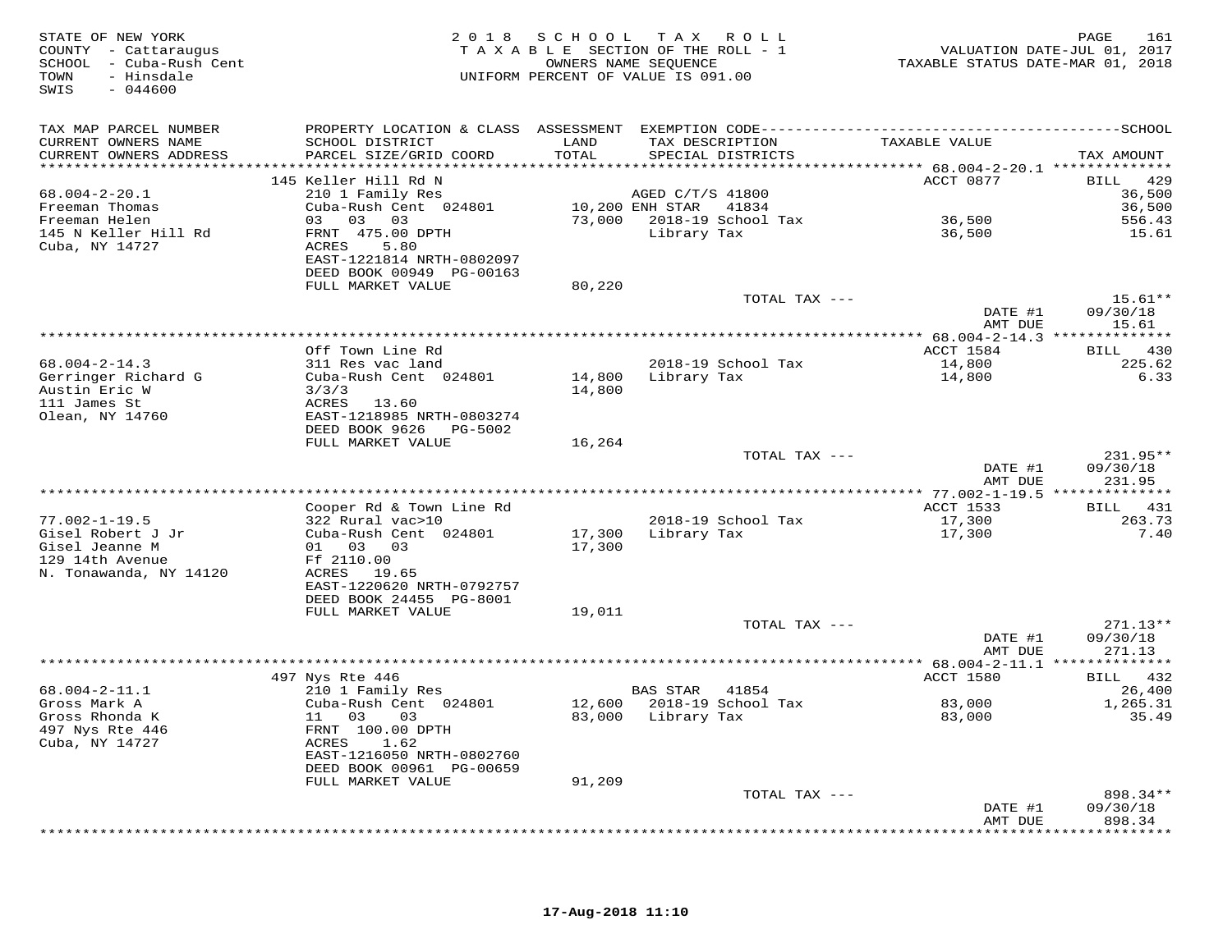| STATE OF NEW YORK<br>COUNTY - Cattaraugus<br>SCHOOL - Cuba-Rush Cent<br>TOWN<br>- Hinsdale<br>SWIS<br>$-044600$ |                                            |        | 2018 SCHOOL TAX ROLL<br>TAXABLE SECTION OF THE ROLL - 1<br>OWNERS NAME SEQUENCE<br>UNIFORM PERCENT OF VALUE IS 091.00 | TAXABLE STATUS DATE-MAR 01, 2018 | PAGE<br>161<br>VALUATION DATE-JUL 01, 2017 |
|-----------------------------------------------------------------------------------------------------------------|--------------------------------------------|--------|-----------------------------------------------------------------------------------------------------------------------|----------------------------------|--------------------------------------------|
| TAX MAP PARCEL NUMBER                                                                                           |                                            |        |                                                                                                                       |                                  |                                            |
| CURRENT OWNERS NAME                                                                                             | SCHOOL DISTRICT                            | LAND   | TAX DESCRIPTION                                                                                                       | TAXABLE VALUE                    |                                            |
| CURRENT OWNERS ADDRESS                                                                                          | PARCEL SIZE/GRID COORD                     | TOTAL  | SPECIAL DISTRICTS                                                                                                     |                                  | TAX AMOUNT                                 |
|                                                                                                                 |                                            |        |                                                                                                                       |                                  |                                            |
| $68.004 - 2 - 20.1$                                                                                             | 145 Keller Hill Rd N<br>210 1 Family Res   |        | AGED C/T/S 41800                                                                                                      | ACCT 0877                        | 429<br>BILL<br>36,500                      |
| Freeman Thomas                                                                                                  | Cuba-Rush Cent 024801                      |        | 10,200 ENH STAR<br>41834                                                                                              |                                  | 36,500                                     |
| Freeman Helen                                                                                                   | 03 03 03                                   |        | 73,000 2018-19 School Tax                                                                                             | 36,500                           | 556.43                                     |
| 145 N Keller Hill Rd                                                                                            | FRNT 475.00 DPTH                           |        | Library Tax                                                                                                           | 36,500                           | 15.61                                      |
| Cuba, NY 14727                                                                                                  | ACRES<br>5.80<br>EAST-1221814 NRTH-0802097 |        |                                                                                                                       |                                  |                                            |
|                                                                                                                 | DEED BOOK 00949 PG-00163                   |        |                                                                                                                       |                                  |                                            |
|                                                                                                                 | FULL MARKET VALUE                          | 80,220 |                                                                                                                       |                                  |                                            |
|                                                                                                                 |                                            |        | TOTAL TAX ---                                                                                                         |                                  | $15.61**$                                  |
|                                                                                                                 |                                            |        |                                                                                                                       | DATE #1<br>AMT DUE               | 09/30/18<br>15.61                          |
|                                                                                                                 | Off Town Line Rd                           |        |                                                                                                                       | ACCT 1584                        | BILL 430                                   |
| $68.004 - 2 - 14.3$                                                                                             | 311 Res vac land                           |        | 2018-19 School Tax                                                                                                    | 14,800                           | 225.62                                     |
| Gerringer Richard G                                                                                             | Cuba-Rush Cent 024801                      | 14,800 | Library Tax                                                                                                           | 14,800                           | 6.33                                       |
| Austin Eric W                                                                                                   | 3/3/3                                      | 14,800 |                                                                                                                       |                                  |                                            |
| 111 James St                                                                                                    | ACRES 13.60                                |        |                                                                                                                       |                                  |                                            |
| Olean, NY 14760                                                                                                 | EAST-1218985 NRTH-0803274                  |        |                                                                                                                       |                                  |                                            |
|                                                                                                                 | DEED BOOK 9626 PG-5002                     |        |                                                                                                                       |                                  |                                            |
|                                                                                                                 | FULL MARKET VALUE                          | 16,264 | TOTAL TAX ---                                                                                                         |                                  | 231.95**                                   |
|                                                                                                                 |                                            |        |                                                                                                                       | DATE #1                          | 09/30/18                                   |
|                                                                                                                 |                                            |        |                                                                                                                       | AMT DUE                          | 231.95                                     |
|                                                                                                                 |                                            |        |                                                                                                                       |                                  |                                            |
|                                                                                                                 | Cooper Rd & Town Line Rd                   |        |                                                                                                                       | ACCT 1533                        | BILL 431                                   |
| $77.002 - 1 - 19.5$                                                                                             | 322 Rural vac>10                           |        | 2018-19 School Tax                                                                                                    | 17,300                           | 263.73                                     |
| Gisel Robert J Jr                                                                                               | Cuba-Rush Cent 024801                      | 17,300 | Library Tax                                                                                                           | 17,300                           | 7.40                                       |
| Gisel Jeanne M                                                                                                  | 01 03 03                                   | 17,300 |                                                                                                                       |                                  |                                            |
| 129 14th Avenue<br>N. Tonawanda, NY 14120                                                                       | Ff 2110.00<br>ACRES 19.65                  |        |                                                                                                                       |                                  |                                            |
|                                                                                                                 | EAST-1220620 NRTH-0792757                  |        |                                                                                                                       |                                  |                                            |
|                                                                                                                 | DEED BOOK 24455 PG-8001                    |        |                                                                                                                       |                                  |                                            |
|                                                                                                                 | FULL MARKET VALUE                          | 19,011 |                                                                                                                       |                                  |                                            |
|                                                                                                                 |                                            |        | TOTAL TAX ---                                                                                                         |                                  | $271.13**$                                 |
|                                                                                                                 |                                            |        |                                                                                                                       | DATE #1                          | 09/30/18                                   |
|                                                                                                                 |                                            |        |                                                                                                                       | AMT DUE                          | 271.13                                     |
|                                                                                                                 | 497 Nys Rte 446                            |        |                                                                                                                       | ACCT 1580                        | BILL 432                                   |
| $68.004 - 2 - 11.1$                                                                                             | 210 1 Family Res                           |        | <b>BAS STAR</b><br>41854                                                                                              |                                  | 26,400                                     |
| Gross Mark A                                                                                                    | Cuba-Rush Cent 024801                      |        | 12,600 2018-19 School Tax                                                                                             | 83,000                           | 1,265.31                                   |
| Gross Rhonda K                                                                                                  | 11 03<br>03                                |        | 83,000 Library Tax                                                                                                    | 83,000                           | 35.49                                      |
| 497 Nys Rte 446                                                                                                 | FRNT 100.00 DPTH                           |        |                                                                                                                       |                                  |                                            |
| Cuba, NY 14727                                                                                                  | ACRES<br>1.62                              |        |                                                                                                                       |                                  |                                            |
|                                                                                                                 | EAST-1216050 NRTH-0802760                  |        |                                                                                                                       |                                  |                                            |
|                                                                                                                 | DEED BOOK 00961 PG-00659                   |        |                                                                                                                       |                                  |                                            |
|                                                                                                                 | FULL MARKET VALUE                          | 91,209 |                                                                                                                       |                                  |                                            |
|                                                                                                                 |                                            |        | TOTAL TAX ---                                                                                                         | DATE #1                          | 898.34**<br>09/30/18                       |
|                                                                                                                 |                                            |        |                                                                                                                       | AMT DUE                          | 898.34                                     |
|                                                                                                                 |                                            |        |                                                                                                                       |                                  | ***********                                |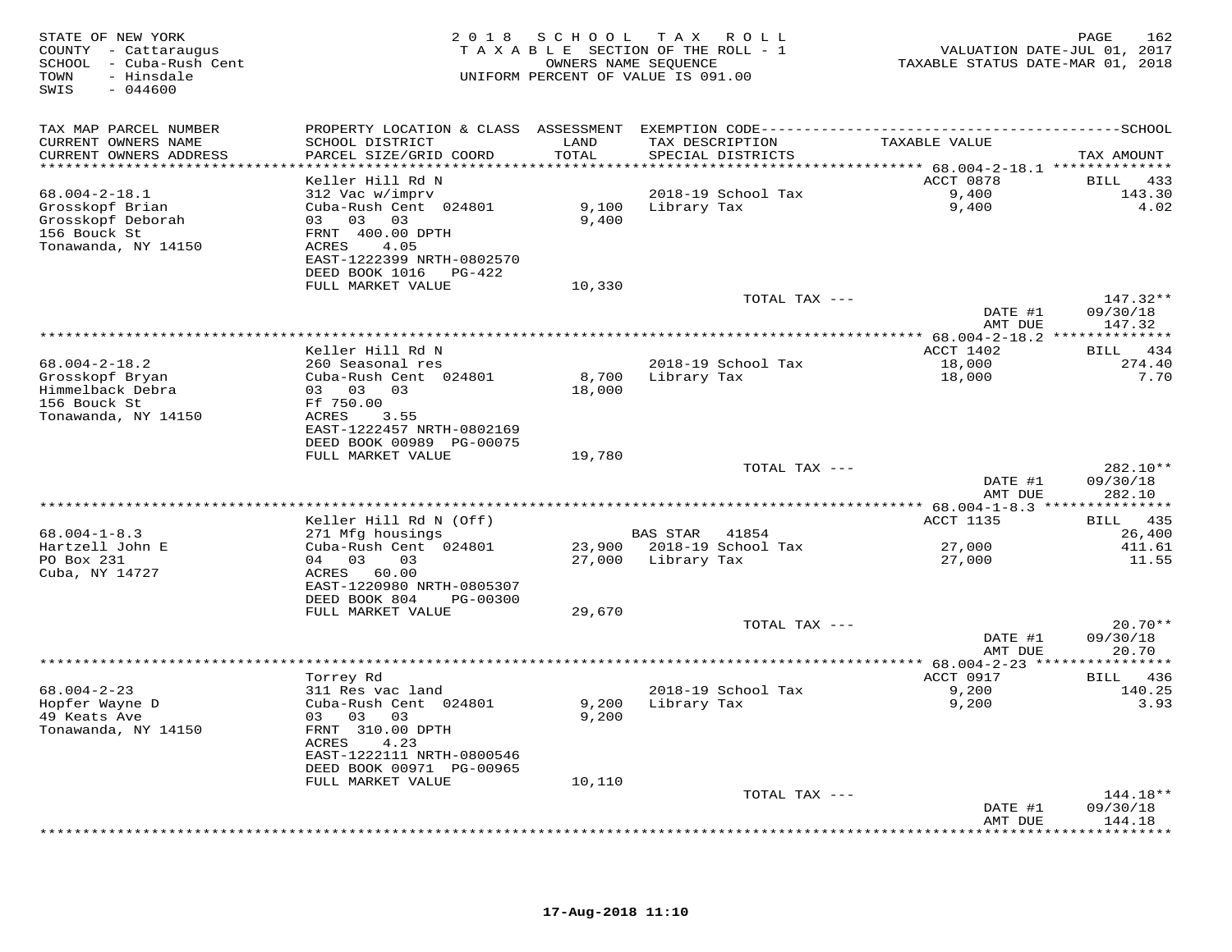| TAX MAP PARCEL NUMBER<br>TAXABLE VALUE<br>CURRENT OWNERS NAME<br>SCHOOL DISTRICT<br>LAND<br>TAX DESCRIPTION<br>TOTAL<br>CURRENT OWNERS ADDRESS<br>PARCEL SIZE/GRID COORD<br>SPECIAL DISTRICTS<br>TAX AMOUNT<br>******************************<br>ACCT 0878<br>Keller Hill Rd N<br>BILL 433<br>9,400<br>$68.004 - 2 - 18.1$<br>312 Vac w/imprv<br>2018-19 School Tax<br>143.30<br>Grosskopf Brian<br>Cuba-Rush Cent 024801<br>9,100 Library Tax<br>9,400<br>4.02<br>Grosskopf Deborah<br>03 03 03<br>9,400<br>156 Bouck St<br>FRNT 400.00 DPTH<br>Tonawanda, NY 14150<br>ACRES<br>4.05<br>EAST-1222399 NRTH-0802570<br>DEED BOOK 1016 PG-422<br>FULL MARKET VALUE<br>10,330<br>TOTAL TAX ---<br>$147.32**$<br>DATE #1<br>09/30/18<br>AMT DUE<br>147.32<br>************ 68.004-2-18.2 ***************<br>BILL 434<br>Keller Hill Rd N<br>ACCT 1402<br>$68.004 - 2 - 18.2$<br>260 Seasonal res<br>2018-19 School Tax<br>18,000<br>274.40<br>8,700<br>Grosskopf Bryan<br>Cuba-Rush Cent 024801<br>Library Tax<br>18,000<br>7.70<br>Himmelback Debra<br>03 03 03<br>18,000<br>Ff 750.00<br>156 Bouck St<br>Tonawanda, NY 14150<br>ACRES<br>3.55<br>EAST-1222457 NRTH-0802169<br>DEED BOOK 00989 PG-00075<br>FULL MARKET VALUE<br>19,780<br>282.10**<br>TOTAL TAX ---<br>DATE #1<br>09/30/18<br>AMT DUE<br>282.10<br>Keller Hill Rd N (Off)<br>ACCT 1135<br>BILL 435<br>$68.004 - 1 - 8.3$<br>271 Mfg housings<br>BAS STAR 41854<br>26,400<br>Hartzell John E<br>23,900 2018-19 School Tax<br>Cuba-Rush Cent 024801<br>27,000<br>411.61<br>PO Box 231<br>04 03<br>03<br>27,000 Library Tax<br>27,000<br>11.55<br>Cuba, NY 14727<br>ACRES 60.00<br>EAST-1220980 NRTH-0805307<br>DEED BOOK 804<br>PG-00300<br>FULL MARKET VALUE<br>29,670<br>$20.70**$<br>TOTAL TAX ---<br>DATE #1<br>09/30/18<br>20.70<br>AMT DUE<br>ACCT 0917<br>Torrey Rd<br>BILL 436<br>$68.004 - 2 - 23$<br>2018-19 School Tax<br>9,200<br>140.25<br>311 Res vac land<br>Hopfer Wayne D<br>Cuba-Rush Cent 024801<br>9,200<br>Library Tax<br>9,200<br>3.93<br>49 Keats Ave<br>03 03<br>03<br>9,200<br>Tonawanda, NY 14150<br>FRNT 310.00 DPTH<br>ACRES<br>4.23<br>EAST-1222111 NRTH-0800546<br>DEED BOOK 00971 PG-00965<br>FULL MARKET VALUE<br>10,110<br>TOTAL TAX ---<br>$144.18**$<br>09/30/18<br>DATE #1<br>AMT DUE<br>144.18 | STATE OF NEW YORK<br>COUNTY - Cattaraugus<br>SCHOOL - Cuba-Rush Cent<br>TOWN<br>- Hinsdale<br>$-044600$<br>SWIS |  | 2018 SCHOOL TAX ROLL<br>TAXABLE SECTION OF THE ROLL - 1<br>OWNERS NAME SEQUENCE<br>UNIFORM PERCENT OF VALUE IS 091.00 | VALUATION DATE-JUL 01, 2017<br>TAXABLE STATUS DATE-MAR 01, 2018 | 162<br>PAGE |
|-----------------------------------------------------------------------------------------------------------------------------------------------------------------------------------------------------------------------------------------------------------------------------------------------------------------------------------------------------------------------------------------------------------------------------------------------------------------------------------------------------------------------------------------------------------------------------------------------------------------------------------------------------------------------------------------------------------------------------------------------------------------------------------------------------------------------------------------------------------------------------------------------------------------------------------------------------------------------------------------------------------------------------------------------------------------------------------------------------------------------------------------------------------------------------------------------------------------------------------------------------------------------------------------------------------------------------------------------------------------------------------------------------------------------------------------------------------------------------------------------------------------------------------------------------------------------------------------------------------------------------------------------------------------------------------------------------------------------------------------------------------------------------------------------------------------------------------------------------------------------------------------------------------------------------------------------------------------------------------------------------------------------------------------------------------------------------------------------------------------------------------------------------------------------------------------------------------------------------------------------------------------------------------------------|-----------------------------------------------------------------------------------------------------------------|--|-----------------------------------------------------------------------------------------------------------------------|-----------------------------------------------------------------|-------------|
|                                                                                                                                                                                                                                                                                                                                                                                                                                                                                                                                                                                                                                                                                                                                                                                                                                                                                                                                                                                                                                                                                                                                                                                                                                                                                                                                                                                                                                                                                                                                                                                                                                                                                                                                                                                                                                                                                                                                                                                                                                                                                                                                                                                                                                                                                               |                                                                                                                 |  |                                                                                                                       |                                                                 |             |
|                                                                                                                                                                                                                                                                                                                                                                                                                                                                                                                                                                                                                                                                                                                                                                                                                                                                                                                                                                                                                                                                                                                                                                                                                                                                                                                                                                                                                                                                                                                                                                                                                                                                                                                                                                                                                                                                                                                                                                                                                                                                                                                                                                                                                                                                                               |                                                                                                                 |  |                                                                                                                       |                                                                 |             |
|                                                                                                                                                                                                                                                                                                                                                                                                                                                                                                                                                                                                                                                                                                                                                                                                                                                                                                                                                                                                                                                                                                                                                                                                                                                                                                                                                                                                                                                                                                                                                                                                                                                                                                                                                                                                                                                                                                                                                                                                                                                                                                                                                                                                                                                                                               |                                                                                                                 |  |                                                                                                                       |                                                                 |             |
|                                                                                                                                                                                                                                                                                                                                                                                                                                                                                                                                                                                                                                                                                                                                                                                                                                                                                                                                                                                                                                                                                                                                                                                                                                                                                                                                                                                                                                                                                                                                                                                                                                                                                                                                                                                                                                                                                                                                                                                                                                                                                                                                                                                                                                                                                               |                                                                                                                 |  |                                                                                                                       |                                                                 |             |
|                                                                                                                                                                                                                                                                                                                                                                                                                                                                                                                                                                                                                                                                                                                                                                                                                                                                                                                                                                                                                                                                                                                                                                                                                                                                                                                                                                                                                                                                                                                                                                                                                                                                                                                                                                                                                                                                                                                                                                                                                                                                                                                                                                                                                                                                                               |                                                                                                                 |  |                                                                                                                       |                                                                 |             |
|                                                                                                                                                                                                                                                                                                                                                                                                                                                                                                                                                                                                                                                                                                                                                                                                                                                                                                                                                                                                                                                                                                                                                                                                                                                                                                                                                                                                                                                                                                                                                                                                                                                                                                                                                                                                                                                                                                                                                                                                                                                                                                                                                                                                                                                                                               |                                                                                                                 |  |                                                                                                                       |                                                                 |             |
|                                                                                                                                                                                                                                                                                                                                                                                                                                                                                                                                                                                                                                                                                                                                                                                                                                                                                                                                                                                                                                                                                                                                                                                                                                                                                                                                                                                                                                                                                                                                                                                                                                                                                                                                                                                                                                                                                                                                                                                                                                                                                                                                                                                                                                                                                               |                                                                                                                 |  |                                                                                                                       |                                                                 |             |
|                                                                                                                                                                                                                                                                                                                                                                                                                                                                                                                                                                                                                                                                                                                                                                                                                                                                                                                                                                                                                                                                                                                                                                                                                                                                                                                                                                                                                                                                                                                                                                                                                                                                                                                                                                                                                                                                                                                                                                                                                                                                                                                                                                                                                                                                                               |                                                                                                                 |  |                                                                                                                       |                                                                 |             |
|                                                                                                                                                                                                                                                                                                                                                                                                                                                                                                                                                                                                                                                                                                                                                                                                                                                                                                                                                                                                                                                                                                                                                                                                                                                                                                                                                                                                                                                                                                                                                                                                                                                                                                                                                                                                                                                                                                                                                                                                                                                                                                                                                                                                                                                                                               |                                                                                                                 |  |                                                                                                                       |                                                                 |             |
|                                                                                                                                                                                                                                                                                                                                                                                                                                                                                                                                                                                                                                                                                                                                                                                                                                                                                                                                                                                                                                                                                                                                                                                                                                                                                                                                                                                                                                                                                                                                                                                                                                                                                                                                                                                                                                                                                                                                                                                                                                                                                                                                                                                                                                                                                               |                                                                                                                 |  |                                                                                                                       |                                                                 |             |
|                                                                                                                                                                                                                                                                                                                                                                                                                                                                                                                                                                                                                                                                                                                                                                                                                                                                                                                                                                                                                                                                                                                                                                                                                                                                                                                                                                                                                                                                                                                                                                                                                                                                                                                                                                                                                                                                                                                                                                                                                                                                                                                                                                                                                                                                                               |                                                                                                                 |  |                                                                                                                       |                                                                 |             |
|                                                                                                                                                                                                                                                                                                                                                                                                                                                                                                                                                                                                                                                                                                                                                                                                                                                                                                                                                                                                                                                                                                                                                                                                                                                                                                                                                                                                                                                                                                                                                                                                                                                                                                                                                                                                                                                                                                                                                                                                                                                                                                                                                                                                                                                                                               |                                                                                                                 |  |                                                                                                                       |                                                                 |             |
|                                                                                                                                                                                                                                                                                                                                                                                                                                                                                                                                                                                                                                                                                                                                                                                                                                                                                                                                                                                                                                                                                                                                                                                                                                                                                                                                                                                                                                                                                                                                                                                                                                                                                                                                                                                                                                                                                                                                                                                                                                                                                                                                                                                                                                                                                               |                                                                                                                 |  |                                                                                                                       |                                                                 |             |
|                                                                                                                                                                                                                                                                                                                                                                                                                                                                                                                                                                                                                                                                                                                                                                                                                                                                                                                                                                                                                                                                                                                                                                                                                                                                                                                                                                                                                                                                                                                                                                                                                                                                                                                                                                                                                                                                                                                                                                                                                                                                                                                                                                                                                                                                                               |                                                                                                                 |  |                                                                                                                       |                                                                 |             |
|                                                                                                                                                                                                                                                                                                                                                                                                                                                                                                                                                                                                                                                                                                                                                                                                                                                                                                                                                                                                                                                                                                                                                                                                                                                                                                                                                                                                                                                                                                                                                                                                                                                                                                                                                                                                                                                                                                                                                                                                                                                                                                                                                                                                                                                                                               |                                                                                                                 |  |                                                                                                                       |                                                                 |             |
|                                                                                                                                                                                                                                                                                                                                                                                                                                                                                                                                                                                                                                                                                                                                                                                                                                                                                                                                                                                                                                                                                                                                                                                                                                                                                                                                                                                                                                                                                                                                                                                                                                                                                                                                                                                                                                                                                                                                                                                                                                                                                                                                                                                                                                                                                               |                                                                                                                 |  |                                                                                                                       |                                                                 |             |
|                                                                                                                                                                                                                                                                                                                                                                                                                                                                                                                                                                                                                                                                                                                                                                                                                                                                                                                                                                                                                                                                                                                                                                                                                                                                                                                                                                                                                                                                                                                                                                                                                                                                                                                                                                                                                                                                                                                                                                                                                                                                                                                                                                                                                                                                                               |                                                                                                                 |  |                                                                                                                       |                                                                 |             |
|                                                                                                                                                                                                                                                                                                                                                                                                                                                                                                                                                                                                                                                                                                                                                                                                                                                                                                                                                                                                                                                                                                                                                                                                                                                                                                                                                                                                                                                                                                                                                                                                                                                                                                                                                                                                                                                                                                                                                                                                                                                                                                                                                                                                                                                                                               |                                                                                                                 |  |                                                                                                                       |                                                                 |             |
|                                                                                                                                                                                                                                                                                                                                                                                                                                                                                                                                                                                                                                                                                                                                                                                                                                                                                                                                                                                                                                                                                                                                                                                                                                                                                                                                                                                                                                                                                                                                                                                                                                                                                                                                                                                                                                                                                                                                                                                                                                                                                                                                                                                                                                                                                               |                                                                                                                 |  |                                                                                                                       |                                                                 |             |
|                                                                                                                                                                                                                                                                                                                                                                                                                                                                                                                                                                                                                                                                                                                                                                                                                                                                                                                                                                                                                                                                                                                                                                                                                                                                                                                                                                                                                                                                                                                                                                                                                                                                                                                                                                                                                                                                                                                                                                                                                                                                                                                                                                                                                                                                                               |                                                                                                                 |  |                                                                                                                       |                                                                 |             |
|                                                                                                                                                                                                                                                                                                                                                                                                                                                                                                                                                                                                                                                                                                                                                                                                                                                                                                                                                                                                                                                                                                                                                                                                                                                                                                                                                                                                                                                                                                                                                                                                                                                                                                                                                                                                                                                                                                                                                                                                                                                                                                                                                                                                                                                                                               |                                                                                                                 |  |                                                                                                                       |                                                                 |             |
|                                                                                                                                                                                                                                                                                                                                                                                                                                                                                                                                                                                                                                                                                                                                                                                                                                                                                                                                                                                                                                                                                                                                                                                                                                                                                                                                                                                                                                                                                                                                                                                                                                                                                                                                                                                                                                                                                                                                                                                                                                                                                                                                                                                                                                                                                               |                                                                                                                 |  |                                                                                                                       |                                                                 |             |
|                                                                                                                                                                                                                                                                                                                                                                                                                                                                                                                                                                                                                                                                                                                                                                                                                                                                                                                                                                                                                                                                                                                                                                                                                                                                                                                                                                                                                                                                                                                                                                                                                                                                                                                                                                                                                                                                                                                                                                                                                                                                                                                                                                                                                                                                                               |                                                                                                                 |  |                                                                                                                       |                                                                 |             |
|                                                                                                                                                                                                                                                                                                                                                                                                                                                                                                                                                                                                                                                                                                                                                                                                                                                                                                                                                                                                                                                                                                                                                                                                                                                                                                                                                                                                                                                                                                                                                                                                                                                                                                                                                                                                                                                                                                                                                                                                                                                                                                                                                                                                                                                                                               |                                                                                                                 |  |                                                                                                                       |                                                                 |             |
|                                                                                                                                                                                                                                                                                                                                                                                                                                                                                                                                                                                                                                                                                                                                                                                                                                                                                                                                                                                                                                                                                                                                                                                                                                                                                                                                                                                                                                                                                                                                                                                                                                                                                                                                                                                                                                                                                                                                                                                                                                                                                                                                                                                                                                                                                               |                                                                                                                 |  |                                                                                                                       |                                                                 |             |
|                                                                                                                                                                                                                                                                                                                                                                                                                                                                                                                                                                                                                                                                                                                                                                                                                                                                                                                                                                                                                                                                                                                                                                                                                                                                                                                                                                                                                                                                                                                                                                                                                                                                                                                                                                                                                                                                                                                                                                                                                                                                                                                                                                                                                                                                                               |                                                                                                                 |  |                                                                                                                       |                                                                 |             |
|                                                                                                                                                                                                                                                                                                                                                                                                                                                                                                                                                                                                                                                                                                                                                                                                                                                                                                                                                                                                                                                                                                                                                                                                                                                                                                                                                                                                                                                                                                                                                                                                                                                                                                                                                                                                                                                                                                                                                                                                                                                                                                                                                                                                                                                                                               |                                                                                                                 |  |                                                                                                                       |                                                                 |             |
|                                                                                                                                                                                                                                                                                                                                                                                                                                                                                                                                                                                                                                                                                                                                                                                                                                                                                                                                                                                                                                                                                                                                                                                                                                                                                                                                                                                                                                                                                                                                                                                                                                                                                                                                                                                                                                                                                                                                                                                                                                                                                                                                                                                                                                                                                               |                                                                                                                 |  |                                                                                                                       |                                                                 |             |
|                                                                                                                                                                                                                                                                                                                                                                                                                                                                                                                                                                                                                                                                                                                                                                                                                                                                                                                                                                                                                                                                                                                                                                                                                                                                                                                                                                                                                                                                                                                                                                                                                                                                                                                                                                                                                                                                                                                                                                                                                                                                                                                                                                                                                                                                                               |                                                                                                                 |  |                                                                                                                       |                                                                 |             |
|                                                                                                                                                                                                                                                                                                                                                                                                                                                                                                                                                                                                                                                                                                                                                                                                                                                                                                                                                                                                                                                                                                                                                                                                                                                                                                                                                                                                                                                                                                                                                                                                                                                                                                                                                                                                                                                                                                                                                                                                                                                                                                                                                                                                                                                                                               |                                                                                                                 |  |                                                                                                                       |                                                                 |             |
|                                                                                                                                                                                                                                                                                                                                                                                                                                                                                                                                                                                                                                                                                                                                                                                                                                                                                                                                                                                                                                                                                                                                                                                                                                                                                                                                                                                                                                                                                                                                                                                                                                                                                                                                                                                                                                                                                                                                                                                                                                                                                                                                                                                                                                                                                               |                                                                                                                 |  |                                                                                                                       |                                                                 |             |
|                                                                                                                                                                                                                                                                                                                                                                                                                                                                                                                                                                                                                                                                                                                                                                                                                                                                                                                                                                                                                                                                                                                                                                                                                                                                                                                                                                                                                                                                                                                                                                                                                                                                                                                                                                                                                                                                                                                                                                                                                                                                                                                                                                                                                                                                                               |                                                                                                                 |  |                                                                                                                       |                                                                 |             |
|                                                                                                                                                                                                                                                                                                                                                                                                                                                                                                                                                                                                                                                                                                                                                                                                                                                                                                                                                                                                                                                                                                                                                                                                                                                                                                                                                                                                                                                                                                                                                                                                                                                                                                                                                                                                                                                                                                                                                                                                                                                                                                                                                                                                                                                                                               |                                                                                                                 |  |                                                                                                                       |                                                                 |             |
|                                                                                                                                                                                                                                                                                                                                                                                                                                                                                                                                                                                                                                                                                                                                                                                                                                                                                                                                                                                                                                                                                                                                                                                                                                                                                                                                                                                                                                                                                                                                                                                                                                                                                                                                                                                                                                                                                                                                                                                                                                                                                                                                                                                                                                                                                               |                                                                                                                 |  |                                                                                                                       |                                                                 |             |
|                                                                                                                                                                                                                                                                                                                                                                                                                                                                                                                                                                                                                                                                                                                                                                                                                                                                                                                                                                                                                                                                                                                                                                                                                                                                                                                                                                                                                                                                                                                                                                                                                                                                                                                                                                                                                                                                                                                                                                                                                                                                                                                                                                                                                                                                                               |                                                                                                                 |  |                                                                                                                       |                                                                 |             |
|                                                                                                                                                                                                                                                                                                                                                                                                                                                                                                                                                                                                                                                                                                                                                                                                                                                                                                                                                                                                                                                                                                                                                                                                                                                                                                                                                                                                                                                                                                                                                                                                                                                                                                                                                                                                                                                                                                                                                                                                                                                                                                                                                                                                                                                                                               |                                                                                                                 |  |                                                                                                                       |                                                                 |             |
|                                                                                                                                                                                                                                                                                                                                                                                                                                                                                                                                                                                                                                                                                                                                                                                                                                                                                                                                                                                                                                                                                                                                                                                                                                                                                                                                                                                                                                                                                                                                                                                                                                                                                                                                                                                                                                                                                                                                                                                                                                                                                                                                                                                                                                                                                               |                                                                                                                 |  |                                                                                                                       |                                                                 |             |
|                                                                                                                                                                                                                                                                                                                                                                                                                                                                                                                                                                                                                                                                                                                                                                                                                                                                                                                                                                                                                                                                                                                                                                                                                                                                                                                                                                                                                                                                                                                                                                                                                                                                                                                                                                                                                                                                                                                                                                                                                                                                                                                                                                                                                                                                                               |                                                                                                                 |  |                                                                                                                       |                                                                 |             |
|                                                                                                                                                                                                                                                                                                                                                                                                                                                                                                                                                                                                                                                                                                                                                                                                                                                                                                                                                                                                                                                                                                                                                                                                                                                                                                                                                                                                                                                                                                                                                                                                                                                                                                                                                                                                                                                                                                                                                                                                                                                                                                                                                                                                                                                                                               |                                                                                                                 |  |                                                                                                                       |                                                                 |             |
|                                                                                                                                                                                                                                                                                                                                                                                                                                                                                                                                                                                                                                                                                                                                                                                                                                                                                                                                                                                                                                                                                                                                                                                                                                                                                                                                                                                                                                                                                                                                                                                                                                                                                                                                                                                                                                                                                                                                                                                                                                                                                                                                                                                                                                                                                               |                                                                                                                 |  |                                                                                                                       |                                                                 |             |
|                                                                                                                                                                                                                                                                                                                                                                                                                                                                                                                                                                                                                                                                                                                                                                                                                                                                                                                                                                                                                                                                                                                                                                                                                                                                                                                                                                                                                                                                                                                                                                                                                                                                                                                                                                                                                                                                                                                                                                                                                                                                                                                                                                                                                                                                                               |                                                                                                                 |  |                                                                                                                       |                                                                 |             |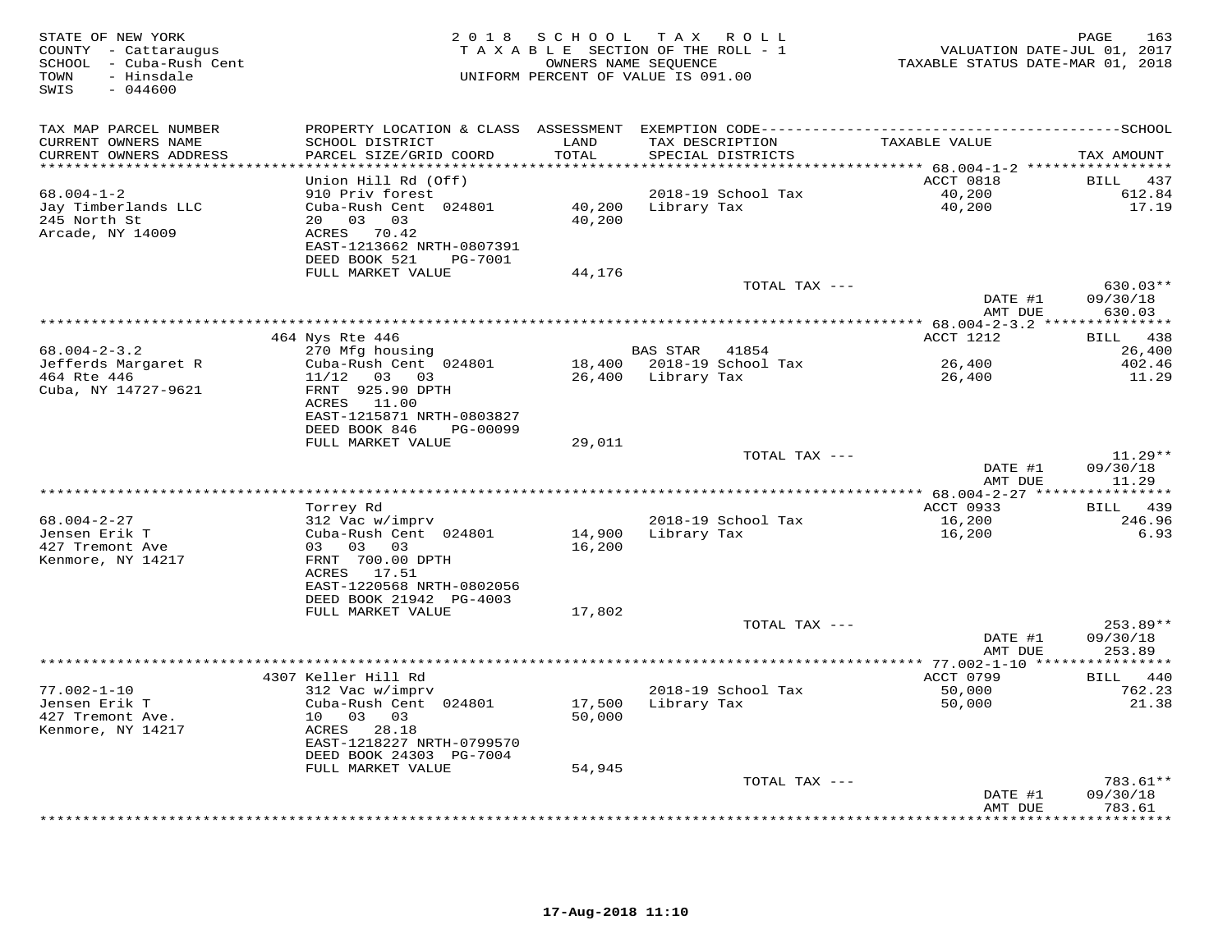| STATE OF NEW YORK<br>COUNTY - Cattaraugus<br>SCHOOL - Cuba-Rush Cent<br>- Hinsdale<br>TOWN<br>$-044600$<br>SWIS |                                                                                                                             | 2018 SCHOOL      | T A X<br>R O L L<br>TAXABLE SECTION OF THE ROLL - 1<br>OWNERS NAME SEQUENCE<br>UNIFORM PERCENT OF VALUE IS 091.00 | VALUATION DATE-JUL 01, 2017<br>TAXABLE STATUS DATE-MAR 01, 2018 | PAGE<br>163                      |
|-----------------------------------------------------------------------------------------------------------------|-----------------------------------------------------------------------------------------------------------------------------|------------------|-------------------------------------------------------------------------------------------------------------------|-----------------------------------------------------------------|----------------------------------|
| TAX MAP PARCEL NUMBER                                                                                           | PROPERTY LOCATION & CLASS ASSESSMENT                                                                                        |                  |                                                                                                                   |                                                                 |                                  |
| CURRENT OWNERS NAME<br>CURRENT OWNERS ADDRESS                                                                   | SCHOOL DISTRICT<br>PARCEL SIZE/GRID COORD                                                                                   | LAND<br>TOTAL    | TAX DESCRIPTION<br>SPECIAL DISTRICTS                                                                              | TAXABLE VALUE                                                   | TAX AMOUNT                       |
|                                                                                                                 |                                                                                                                             | *******          |                                                                                                                   | ******** 68.004-1-2 *****************                           |                                  |
|                                                                                                                 | Union Hill Rd (Off)                                                                                                         |                  |                                                                                                                   | ACCT 0818                                                       | 437<br><b>BILL</b>               |
| $68.004 - 1 - 2$<br>Jay Timberlands LLC<br>245 North St<br>Arcade, NY 14009                                     | 910 Priv forest<br>Cuba-Rush Cent 024801<br>20 03 03<br>ACRES 70.42<br>EAST-1213662 NRTH-0807391                            | 40,200<br>40,200 | 2018-19 School Tax<br>Library Tax                                                                                 | 40,200<br>40,200                                                | 612.84<br>17.19                  |
|                                                                                                                 | DEED BOOK 521<br>PG-7001                                                                                                    |                  |                                                                                                                   |                                                                 |                                  |
|                                                                                                                 | FULL MARKET VALUE                                                                                                           | 44,176           | TOTAL TAX ---                                                                                                     |                                                                 | $630.03**$                       |
|                                                                                                                 |                                                                                                                             |                  |                                                                                                                   | DATE #1                                                         | 09/30/18                         |
|                                                                                                                 |                                                                                                                             |                  |                                                                                                                   | AMT DUE                                                         | 630.03                           |
|                                                                                                                 |                                                                                                                             |                  |                                                                                                                   |                                                                 |                                  |
|                                                                                                                 | 464 Nys Rte 446                                                                                                             |                  |                                                                                                                   | ACCT 1212                                                       | <b>BILL</b><br>438               |
| $68.004 - 2 - 3.2$<br>Jefferds Margaret R                                                                       | 270 Mfg housing<br>Cuba-Rush Cent 024801                                                                                    |                  | BAS STAR<br>41854<br>18,400 2018-19 School Tax                                                                    | 26,400                                                          | 26,400<br>402.46                 |
| 464 Rte 446<br>Cuba, NY 14727-9621                                                                              | 11/12<br>03<br>03<br>FRNT 925.90 DPTH<br>ACRES<br>11.00                                                                     | 26,400           | Library Tax                                                                                                       | 26,400                                                          | 11.29                            |
|                                                                                                                 | EAST-1215871 NRTH-0803827<br>DEED BOOK 846<br>PG-00099                                                                      |                  |                                                                                                                   |                                                                 |                                  |
|                                                                                                                 | FULL MARKET VALUE                                                                                                           | 29,011           |                                                                                                                   |                                                                 |                                  |
|                                                                                                                 |                                                                                                                             |                  | TOTAL TAX ---                                                                                                     |                                                                 | $11.29**$                        |
|                                                                                                                 |                                                                                                                             |                  |                                                                                                                   | DATE #1<br>AMT DUE                                              | 09/30/18<br>11.29                |
|                                                                                                                 |                                                                                                                             |                  |                                                                                                                   | ACCT 0933                                                       |                                  |
| $68.004 - 2 - 27$                                                                                               | Torrey Rd<br>312 Vac w/imprv                                                                                                |                  | 2018-19 School Tax                                                                                                | 16,200                                                          | BILL 439<br>246.96               |
| Jensen Erik T<br>427 Tremont Ave                                                                                | Cuba-Rush Cent 024801<br>03 03<br>03                                                                                        | 14,900<br>16,200 | Library Tax                                                                                                       | 16,200                                                          | 6.93                             |
| Kenmore, NY 14217                                                                                               | FRNT 700.00 DPTH<br>ACRES 17.51<br>EAST-1220568 NRTH-0802056<br>DEED BOOK 21942 PG-4003                                     |                  |                                                                                                                   |                                                                 |                                  |
|                                                                                                                 | FULL MARKET VALUE                                                                                                           | 17,802           |                                                                                                                   |                                                                 |                                  |
|                                                                                                                 |                                                                                                                             |                  | TOTAL TAX ---                                                                                                     | DATE #1<br>AMT DUE                                              | $253.89**$<br>09/30/18<br>253.89 |
|                                                                                                                 |                                                                                                                             |                  |                                                                                                                   |                                                                 |                                  |
|                                                                                                                 | 4307 Keller Hill Rd                                                                                                         |                  |                                                                                                                   | ACCT 0799                                                       | BILL 440                         |
| $77.002 - 1 - 10$<br>Jensen Erik T<br>427 Tremont Ave.<br>Kenmore, NY 14217                                     | 312 Vac w/imprv<br>Cuba-Rush Cent 024801<br>10 03 03<br>ACRES 28.18<br>EAST-1218227 NRTH-0799570<br>DEED BOOK 24303 PG-7004 | 17,500<br>50,000 | 2018-19 School Tax<br>Library Tax                                                                                 | 50,000<br>50,000                                                | 762.23<br>21.38                  |
|                                                                                                                 | FULL MARKET VALUE                                                                                                           | 54,945           |                                                                                                                   |                                                                 |                                  |
|                                                                                                                 |                                                                                                                             |                  | TOTAL TAX ---                                                                                                     |                                                                 | 783.61**                         |
|                                                                                                                 |                                                                                                                             |                  |                                                                                                                   | DATE #1<br>AMT DUE                                              | 09/30/18<br>783.61               |
|                                                                                                                 |                                                                                                                             |                  |                                                                                                                   |                                                                 | * * * * * * * *                  |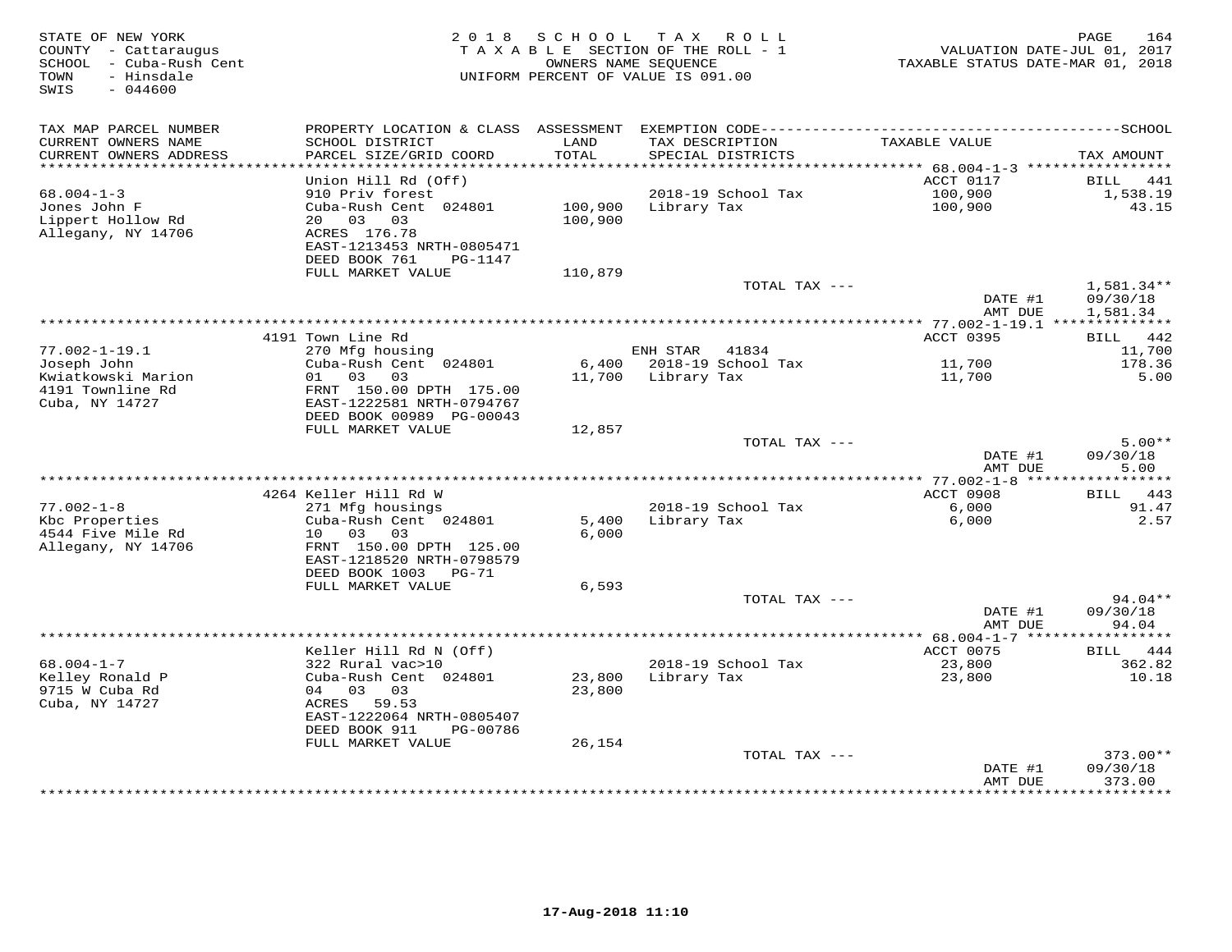| STATE OF NEW YORK<br>COUNTY - Cattaraugus<br>SCHOOL - Cuba-Rush Cent<br>TOWN<br>- Hinsdale<br>SWIS<br>$-044600$ |                                                                                              | 2018 SCHOOL    | TAX ROLL<br>TAXABLE SECTION OF THE ROLL - 1<br>OWNERS NAME SEQUENCE<br>UNIFORM PERCENT OF VALUE IS 091.00 | VALUATION DATE-JUL 01, 2017<br>TAXABLE STATUS DATE-MAR 01, 2018 | PAGE<br>164                      |
|-----------------------------------------------------------------------------------------------------------------|----------------------------------------------------------------------------------------------|----------------|-----------------------------------------------------------------------------------------------------------|-----------------------------------------------------------------|----------------------------------|
| TAX MAP PARCEL NUMBER                                                                                           |                                                                                              |                |                                                                                                           |                                                                 |                                  |
| CURRENT OWNERS NAME<br>CURRENT OWNERS ADDRESS                                                                   | SCHOOL DISTRICT<br>PARCEL SIZE/GRID COORD                                                    | LAND<br>TOTAL  | TAX DESCRIPTION<br>SPECIAL DISTRICTS                                                                      | TAXABLE VALUE                                                   | TAX AMOUNT                       |
|                                                                                                                 |                                                                                              |                |                                                                                                           |                                                                 |                                  |
| $68.004 - 1 - 3$                                                                                                | Union Hill Rd (Off)<br>910 Priv forest                                                       |                | 2018-19 School Tax                                                                                        | ACCT 0117<br>100,900                                            | BILL 441<br>1,538.19             |
| Jones John F                                                                                                    | Cuba-Rush Cent 024801                                                                        | 100,900        | Library Tax                                                                                               | 100,900                                                         | 43.15                            |
| Lippert Hollow Rd<br>Allegany, NY 14706                                                                         | 20 03 03<br>ACRES 176.78<br>EAST-1213453 NRTH-0805471                                        | 100,900        |                                                                                                           |                                                                 |                                  |
|                                                                                                                 | DEED BOOK 761<br>PG-1147<br>FULL MARKET VALUE                                                | 110,879        |                                                                                                           |                                                                 |                                  |
|                                                                                                                 |                                                                                              |                | TOTAL TAX ---                                                                                             |                                                                 | $1,581.34**$                     |
|                                                                                                                 |                                                                                              |                |                                                                                                           | DATE #1<br>AMT DUE                                              | 09/30/18<br>1,581.34             |
|                                                                                                                 |                                                                                              |                |                                                                                                           |                                                                 |                                  |
|                                                                                                                 | 4191 Town Line Rd                                                                            |                |                                                                                                           | ACCT 0395                                                       | BILL 442                         |
| $77.002 - 1 - 19.1$                                                                                             | 270 Mfg housing                                                                              |                | ENH STAR<br>41834                                                                                         |                                                                 | 11,700                           |
| Joseph John<br>Kwiatkowski Marion<br>4191 Townline Rd<br>Cuba, NY 14727                                         | Cuba-Rush Cent 024801<br>01 03<br>03<br>FRNT 150.00 DPTH 175.00<br>EAST-1222581 NRTH-0794767 |                | 6,400 2018-19 School Tax<br>11,700 Library Tax                                                            | 11,700<br>11,700                                                | 178.36<br>5.00                   |
|                                                                                                                 | DEED BOOK 00989 PG-00043                                                                     |                |                                                                                                           |                                                                 |                                  |
|                                                                                                                 | FULL MARKET VALUE                                                                            | 12,857         |                                                                                                           |                                                                 | $5.00**$                         |
|                                                                                                                 |                                                                                              |                | TOTAL TAX ---                                                                                             | DATE #1<br>AMT DUE                                              | 09/30/18<br>5.00                 |
|                                                                                                                 | ***********************************                                                          |                |                                                                                                           | ** 77.002-1-8 ****                                              | ***********                      |
|                                                                                                                 | 4264 Keller Hill Rd W                                                                        |                |                                                                                                           | ACCT 0908                                                       | BILL 443                         |
| $77.002 - 1 - 8$<br>Kbc Properties<br>4544 Five Mile Rd                                                         | 271 Mfg housings<br>Cuba-Rush Cent 024801<br>10 03<br>03                                     | 5,400<br>6,000 | 2018-19 School Tax<br>Library Tax                                                                         | 6,000<br>6,000                                                  | 91.47<br>2.57                    |
| Allegany, NY 14706                                                                                              | FRNT 150.00 DPTH 125.00<br>EAST-1218520 NRTH-0798579<br>DEED BOOK 1003<br>PG-71              |                |                                                                                                           |                                                                 |                                  |
|                                                                                                                 | FULL MARKET VALUE                                                                            | 6,593          |                                                                                                           |                                                                 |                                  |
|                                                                                                                 |                                                                                              |                | TOTAL TAX ---                                                                                             |                                                                 | 94.04**                          |
|                                                                                                                 |                                                                                              |                |                                                                                                           | DATE #1<br>AMT DUE                                              | 09/30/18<br>94.04                |
|                                                                                                                 |                                                                                              |                |                                                                                                           |                                                                 |                                  |
| $68.004 - 1 - 7$                                                                                                | Keller Hill Rd N (Off)<br>322 Rural vac>10                                                   |                | 2018-19 School Tax                                                                                        | ACCT 0075<br>23,800                                             | 444<br><b>BILL</b><br>362.82     |
| Kelley Ronald P                                                                                                 | Cuba-Rush Cent 024801                                                                        | 23,800         | Library Tax                                                                                               | 23,800                                                          | 10.18                            |
| 9715 W Cuba Rd                                                                                                  | 04 03<br>03                                                                                  | 23,800         |                                                                                                           |                                                                 |                                  |
| Cuba, NY 14727                                                                                                  | ACRES 59.53<br>EAST-1222064 NRTH-0805407                                                     |                |                                                                                                           |                                                                 |                                  |
|                                                                                                                 | DEED BOOK 911<br>PG-00786                                                                    |                |                                                                                                           |                                                                 |                                  |
|                                                                                                                 | FULL MARKET VALUE                                                                            | 26,154         |                                                                                                           |                                                                 |                                  |
|                                                                                                                 |                                                                                              |                | TOTAL TAX ---                                                                                             | DATE #1<br>AMT DUE                                              | $373.00**$<br>09/30/18<br>373.00 |
|                                                                                                                 |                                                                                              |                |                                                                                                           |                                                                 | * * * * * * * * *                |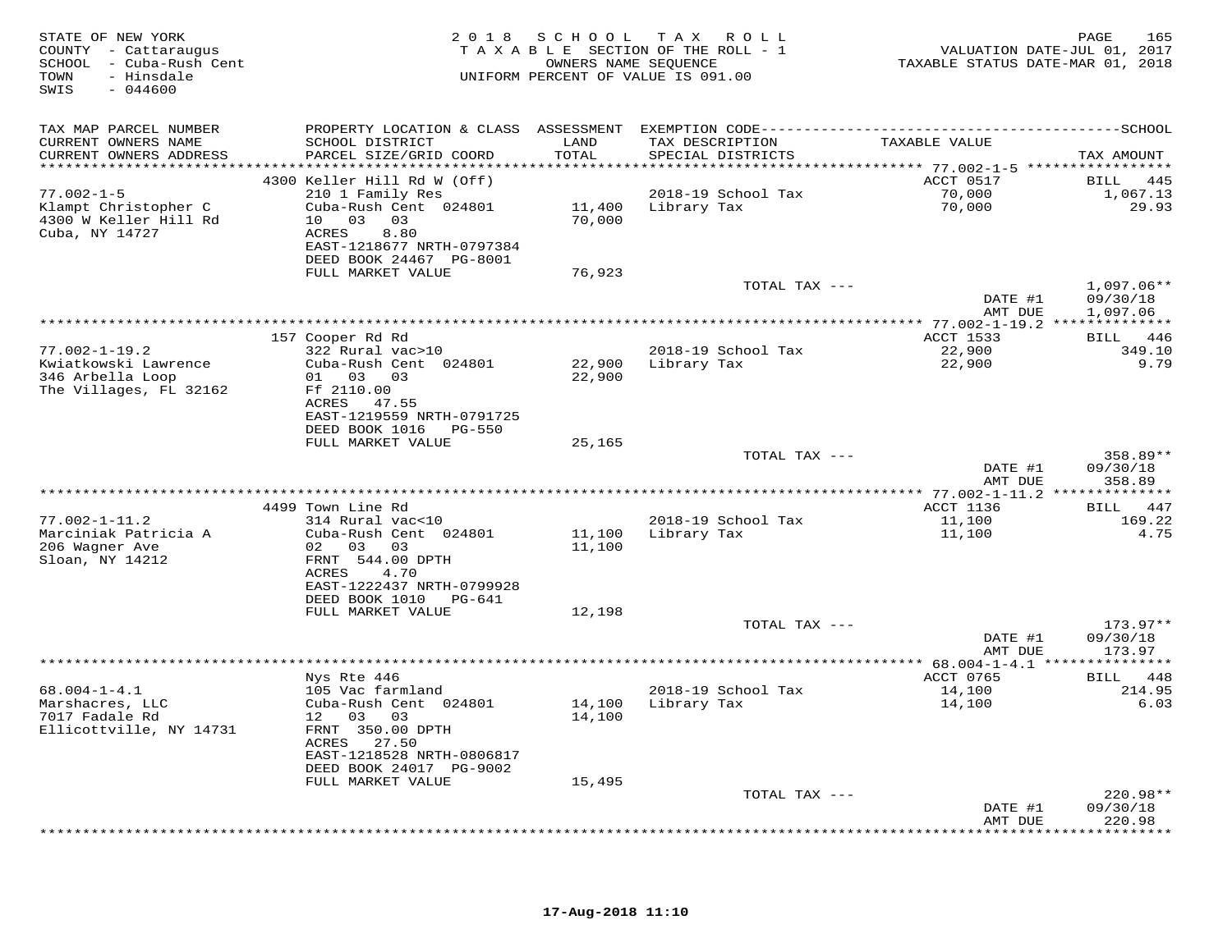| STATE OF NEW YORK<br>COUNTY - Cattaraugus<br>SCHOOL - Cuba-Rush Cent<br>TOWN<br>- Hinsdale<br>SWIS<br>$-044600$ |                                                                                              | OWNERS NAME SEQUENCE | 2018 SCHOOL TAX ROLL<br>TAXABLE SECTION OF THE ROLL - 1<br>UNIFORM PERCENT OF VALUE IS 091.00 | VALUATION DATE-JUL 01, 2017<br>TAXABLE STATUS DATE-MAR 01, 2018 | 165<br>PAGE              |
|-----------------------------------------------------------------------------------------------------------------|----------------------------------------------------------------------------------------------|----------------------|-----------------------------------------------------------------------------------------------|-----------------------------------------------------------------|--------------------------|
| TAX MAP PARCEL NUMBER                                                                                           | PROPERTY LOCATION & CLASS ASSESSMENT EXEMPTION CODE-----------------------------------SCHOOL |                      |                                                                                               |                                                                 |                          |
| CURRENT OWNERS NAME                                                                                             | SCHOOL DISTRICT                                                                              | LAND                 | TAX DESCRIPTION                                                                               | TAXABLE VALUE                                                   |                          |
| CURRENT OWNERS ADDRESS                                                                                          | PARCEL SIZE/GRID COORD                                                                       | TOTAL                | SPECIAL DISTRICTS                                                                             |                                                                 | TAX AMOUNT               |
|                                                                                                                 | 4300 Keller Hill Rd W (Off)                                                                  |                      |                                                                                               | ACCT 0517                                                       | BILL 445                 |
| $77.002 - 1 - 5$                                                                                                | 210 1 Family Res                                                                             |                      | 2018-19 School Tax                                                                            | 70,000                                                          | 1,067.13                 |
| Klampt Christopher C                                                                                            | Cuba-Rush Cent 024801                                                                        |                      | 11,400 Library Tax                                                                            | 70,000                                                          | 29.93                    |
| 4300 W Keller Hill Rd<br>Cuba, NY 14727                                                                         | 10 03 03<br>ACRES<br>8.80                                                                    | 70,000               |                                                                                               |                                                                 |                          |
|                                                                                                                 | EAST-1218677 NRTH-0797384                                                                    |                      |                                                                                               |                                                                 |                          |
|                                                                                                                 | DEED BOOK 24467 PG-8001                                                                      |                      |                                                                                               |                                                                 |                          |
|                                                                                                                 | FULL MARKET VALUE                                                                            | 76,923               |                                                                                               |                                                                 |                          |
|                                                                                                                 |                                                                                              |                      | TOTAL TAX ---                                                                                 | DATE #1                                                         | $1,097.06**$<br>09/30/18 |
|                                                                                                                 |                                                                                              |                      |                                                                                               | AMT DUE                                                         | 1,097.06                 |
|                                                                                                                 |                                                                                              |                      |                                                                                               |                                                                 |                          |
|                                                                                                                 | 157 Cooper Rd Rd                                                                             |                      |                                                                                               | ACCT 1533                                                       | BILL 446                 |
| $77.002 - 1 - 19.2$<br>Kwiatkowski Lawrence                                                                     | 322 Rural vac>10<br>Cuba-Rush Cent 024801                                                    | 22,900               | 2018-19 School Tax                                                                            | 22,900<br>22,900                                                | 349.10<br>9.79           |
| 346 Arbella Loop                                                                                                | 01 03 03                                                                                     | 22,900               | Library Tax                                                                                   |                                                                 |                          |
| The Villages, FL 32162                                                                                          | Ff 2110.00                                                                                   |                      |                                                                                               |                                                                 |                          |
|                                                                                                                 | ACRES 47.55                                                                                  |                      |                                                                                               |                                                                 |                          |
|                                                                                                                 | EAST-1219559 NRTH-0791725<br>DEED BOOK 1016 PG-550                                           |                      |                                                                                               |                                                                 |                          |
|                                                                                                                 | FULL MARKET VALUE                                                                            | 25,165               |                                                                                               |                                                                 |                          |
|                                                                                                                 |                                                                                              |                      | TOTAL TAX ---                                                                                 |                                                                 | 358.89**                 |
|                                                                                                                 |                                                                                              |                      |                                                                                               | DATE #1                                                         | 09/30/18                 |
|                                                                                                                 |                                                                                              |                      | **************************************                                                        | AMT DUE<br>*************** 77.002-1-11.2 **************         | 358.89                   |
|                                                                                                                 | 4499 Town Line Rd                                                                            |                      |                                                                                               | ACCT 1136                                                       | BILL 447                 |
| $77.002 - 1 - 11.2$                                                                                             | 314 Rural vac<10                                                                             |                      | 2018-19 School Tax                                                                            | 11,100                                                          | 169.22                   |
| Marciniak Patricia A                                                                                            | Cuba-Rush Cent 024801                                                                        |                      | 11,100 Library Tax                                                                            | 11,100                                                          | 4.75                     |
| 206 Wagner Ave<br>Sloan, NY 14212                                                                               | 02 03 03<br>FRNT 544.00 DPTH                                                                 | 11,100               |                                                                                               |                                                                 |                          |
|                                                                                                                 | 4.70<br>ACRES                                                                                |                      |                                                                                               |                                                                 |                          |
|                                                                                                                 | EAST-1222437 NRTH-0799928                                                                    |                      |                                                                                               |                                                                 |                          |
|                                                                                                                 | DEED BOOK 1010 PG-641                                                                        |                      |                                                                                               |                                                                 |                          |
|                                                                                                                 | FULL MARKET VALUE                                                                            | 12,198               | TOTAL TAX ---                                                                                 |                                                                 | 173.97**                 |
|                                                                                                                 |                                                                                              |                      |                                                                                               | DATE #1                                                         | 09/30/18                 |
|                                                                                                                 |                                                                                              |                      |                                                                                               | AMT DUE                                                         | 173.97                   |
|                                                                                                                 |                                                                                              |                      |                                                                                               |                                                                 |                          |
| $68.004 - 1 - 4.1$                                                                                              | Nys Rte 446<br>105 Vac farmland                                                              |                      | 2018-19 School Tax                                                                            | ACCT 0765<br>14,100                                             | BILL 448<br>214.95       |
| Marshacres, LLC                                                                                                 | Cuba-Rush Cent 024801                                                                        |                      | 14,100 Library Tax                                                                            | 14,100                                                          | 6.03                     |
| 7017 Fadale Rd                                                                                                  | 12 03<br>03                                                                                  | 14,100               |                                                                                               |                                                                 |                          |
| Ellicottville, NY 14731                                                                                         | FRNT 350.00 DPTH<br>ACRES 27.50                                                              |                      |                                                                                               |                                                                 |                          |
|                                                                                                                 | EAST-1218528 NRTH-0806817                                                                    |                      |                                                                                               |                                                                 |                          |
|                                                                                                                 | DEED BOOK 24017 PG-9002                                                                      |                      |                                                                                               |                                                                 |                          |
|                                                                                                                 | FULL MARKET VALUE                                                                            | 15,495               |                                                                                               |                                                                 |                          |
|                                                                                                                 |                                                                                              |                      | TOTAL TAX ---                                                                                 | DATE #1                                                         | 220.98**<br>09/30/18     |
|                                                                                                                 |                                                                                              |                      |                                                                                               | AMT DUE                                                         | 220.98                   |
|                                                                                                                 |                                                                                              |                      |                                                                                               |                                                                 | ***********              |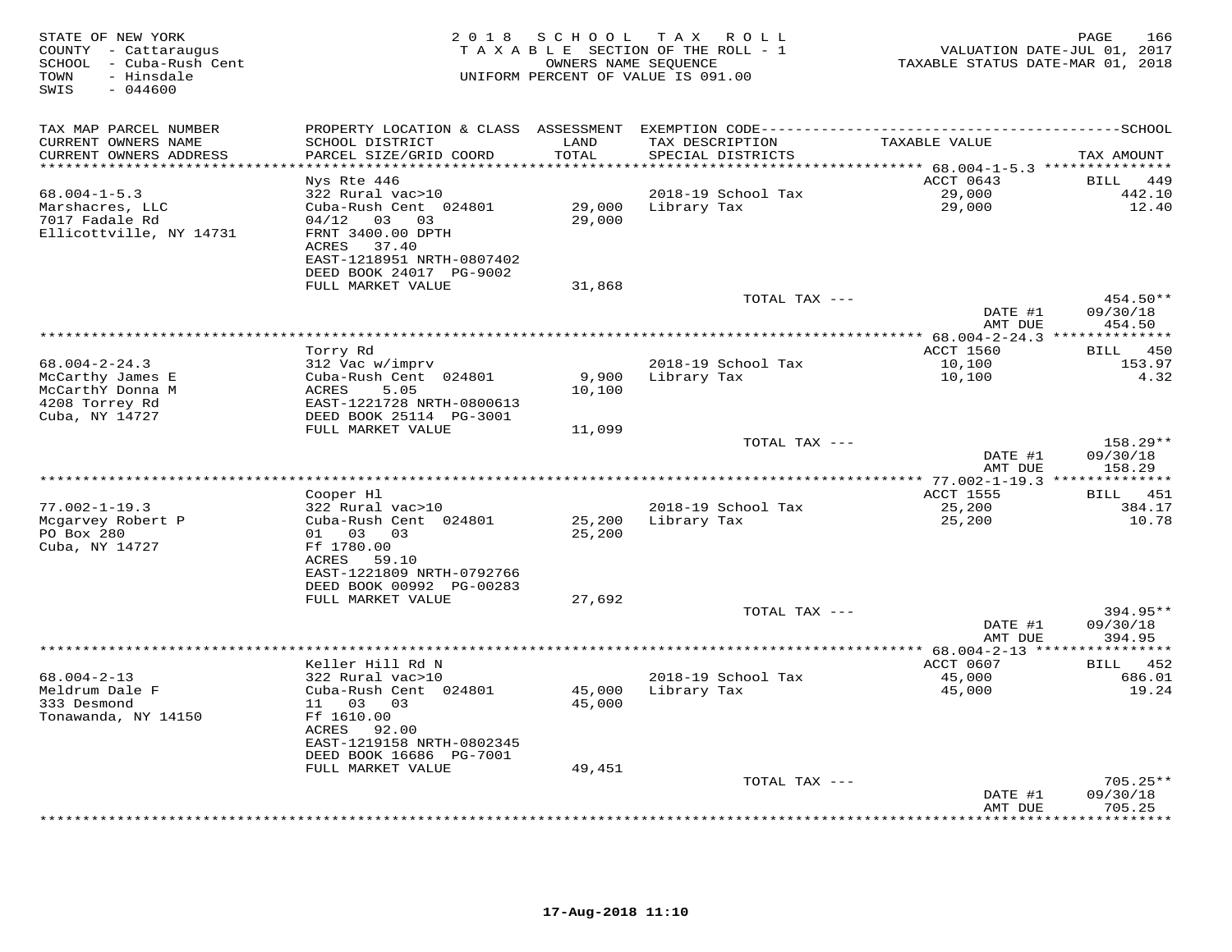| STATE OF NEW YORK<br>COUNTY - Cattaraugus<br>SCHOOL - Cuba-Rush Cent<br>TOWN<br>- Hinsdale<br>SWIS<br>$-044600$ |                                                      |                         | 2018 SCHOOL TAX ROLL<br>TAXABLE SECTION OF THE ROLL - 1<br>OWNERS NAME SEQUENCE<br>UNIFORM PERCENT OF VALUE IS 091.00 | VALUATION DATE-JUL 01, 2017<br>TAXABLE STATUS DATE-MAR 01, 2018 | PAGE<br>166                       |
|-----------------------------------------------------------------------------------------------------------------|------------------------------------------------------|-------------------------|-----------------------------------------------------------------------------------------------------------------------|-----------------------------------------------------------------|-----------------------------------|
| TAX MAP PARCEL NUMBER                                                                                           |                                                      |                         |                                                                                                                       |                                                                 |                                   |
| CURRENT OWNERS NAME<br>CURRENT OWNERS ADDRESS                                                                   | SCHOOL DISTRICT<br>PARCEL SIZE/GRID COORD            | LAND<br>TOTAL           | TAX DESCRIPTION<br>SPECIAL DISTRICTS                                                                                  | TAXABLE VALUE                                                   | TAX AMOUNT                        |
| **********************                                                                                          | Nys Rte 446                                          | * * * * * * * * * * * * |                                                                                                                       | ACCT 0643                                                       | <b>BILL</b><br>449                |
| $68.004 - 1 - 5.3$                                                                                              | 322 Rural vac>10                                     |                         | 2018-19 School Tax                                                                                                    | 29,000                                                          | 442.10                            |
| Marshacres, LLC                                                                                                 | Cuba-Rush Cent 024801                                | 29,000                  | Library Tax                                                                                                           | 29,000                                                          | 12.40                             |
| 7017 Fadale Rd                                                                                                  | $04/12$ 03 03                                        | 29,000                  |                                                                                                                       |                                                                 |                                   |
| Ellicottville, NY 14731                                                                                         | FRNT 3400.00 DPTH                                    |                         |                                                                                                                       |                                                                 |                                   |
|                                                                                                                 | ACRES<br>37.40                                       |                         |                                                                                                                       |                                                                 |                                   |
|                                                                                                                 | EAST-1218951 NRTH-0807402<br>DEED BOOK 24017 PG-9002 |                         |                                                                                                                       |                                                                 |                                   |
|                                                                                                                 | FULL MARKET VALUE                                    | 31,868                  |                                                                                                                       |                                                                 |                                   |
|                                                                                                                 |                                                      |                         | TOTAL TAX ---                                                                                                         |                                                                 | 454.50**                          |
|                                                                                                                 |                                                      |                         |                                                                                                                       | DATE #1                                                         | 09/30/18                          |
|                                                                                                                 |                                                      |                         |                                                                                                                       | AMT DUE                                                         | 454.50                            |
|                                                                                                                 |                                                      |                         |                                                                                                                       | ************** 68.004-2-24.3 ***<br>ACCT 1560                   | ***********<br><b>BILL</b><br>450 |
| $68.004 - 2 - 24.3$                                                                                             | Torry Rd<br>312 Vac w/imprv                          |                         | 2018-19 School Tax                                                                                                    | 10,100                                                          | 153.97                            |
| McCarthy James E                                                                                                | Cuba-Rush Cent 024801                                | 9,900                   | Library Tax                                                                                                           | 10,100                                                          | 4.32                              |
| McCarthY Donna M                                                                                                | ACRES<br>5.05                                        | 10,100                  |                                                                                                                       |                                                                 |                                   |
| 4208 Torrey Rd                                                                                                  | EAST-1221728 NRTH-0800613                            |                         |                                                                                                                       |                                                                 |                                   |
| Cuba, NY 14727                                                                                                  | DEED BOOK 25114 PG-3001                              |                         |                                                                                                                       |                                                                 |                                   |
|                                                                                                                 | FULL MARKET VALUE                                    | 11,099                  | TOTAL TAX ---                                                                                                         |                                                                 | 158.29**                          |
|                                                                                                                 |                                                      |                         |                                                                                                                       | DATE #1                                                         | 09/30/18                          |
|                                                                                                                 |                                                      |                         |                                                                                                                       | AMT DUE                                                         | 158.29                            |
|                                                                                                                 |                                                      |                         |                                                                                                                       |                                                                 |                                   |
|                                                                                                                 | Cooper Hl                                            |                         |                                                                                                                       | ACCT 1555                                                       | BILL 451                          |
| $77.002 - 1 - 19.3$                                                                                             | 322 Rural vac>10<br>Cuba-Rush Cent 024801            |                         | 2018-19 School Tax<br>25,200 Library Tax                                                                              | 25,200                                                          | 384.17                            |
| Mcgarvey Robert P<br>PO Box 280                                                                                 | 01 03 03                                             | 25,200                  |                                                                                                                       | 25,200                                                          | 10.78                             |
| Cuba, NY 14727                                                                                                  | Ff 1780.00                                           |                         |                                                                                                                       |                                                                 |                                   |
|                                                                                                                 | ACRES<br>59.10                                       |                         |                                                                                                                       |                                                                 |                                   |
|                                                                                                                 | EAST-1221809 NRTH-0792766                            |                         |                                                                                                                       |                                                                 |                                   |
|                                                                                                                 | DEED BOOK 00992 PG-00283                             |                         |                                                                                                                       |                                                                 |                                   |
|                                                                                                                 | FULL MARKET VALUE                                    | 27,692                  | TOTAL TAX ---                                                                                                         |                                                                 | $394.95**$                        |
|                                                                                                                 |                                                      |                         |                                                                                                                       | DATE #1                                                         | 09/30/18                          |
|                                                                                                                 |                                                      |                         |                                                                                                                       | AMT DUE                                                         | 394.95                            |
|                                                                                                                 |                                                      |                         |                                                                                                                       |                                                                 |                                   |
|                                                                                                                 | Keller Hill Rd N                                     |                         |                                                                                                                       | ACCT 0607                                                       | BILL 452                          |
| $68.004 - 2 - 13$<br>Meldrum Dale F                                                                             | 322 Rural vac>10<br>Cuba-Rush Cent 024801            |                         | 2018-19 School Tax<br>45,000 Library Tax                                                                              | 45,000<br>45,000                                                | 686.01<br>19.24                   |
| 333 Desmond                                                                                                     | 11 03 03                                             | 45,000                  |                                                                                                                       |                                                                 |                                   |
| Tonawanda, NY 14150                                                                                             | Ff 1610.00                                           |                         |                                                                                                                       |                                                                 |                                   |
|                                                                                                                 | ACRES 92.00                                          |                         |                                                                                                                       |                                                                 |                                   |
|                                                                                                                 | EAST-1219158 NRTH-0802345                            |                         |                                                                                                                       |                                                                 |                                   |
|                                                                                                                 | DEED BOOK 16686 PG-7001                              |                         |                                                                                                                       |                                                                 |                                   |
|                                                                                                                 | FULL MARKET VALUE                                    | 49,451                  | TOTAL TAX ---                                                                                                         |                                                                 | $705.25**$                        |
|                                                                                                                 |                                                      |                         |                                                                                                                       | DATE #1                                                         | 09/30/18                          |
|                                                                                                                 |                                                      |                         |                                                                                                                       | AMT DUE                                                         | 705.25                            |
|                                                                                                                 |                                                      |                         |                                                                                                                       |                                                                 | ********                          |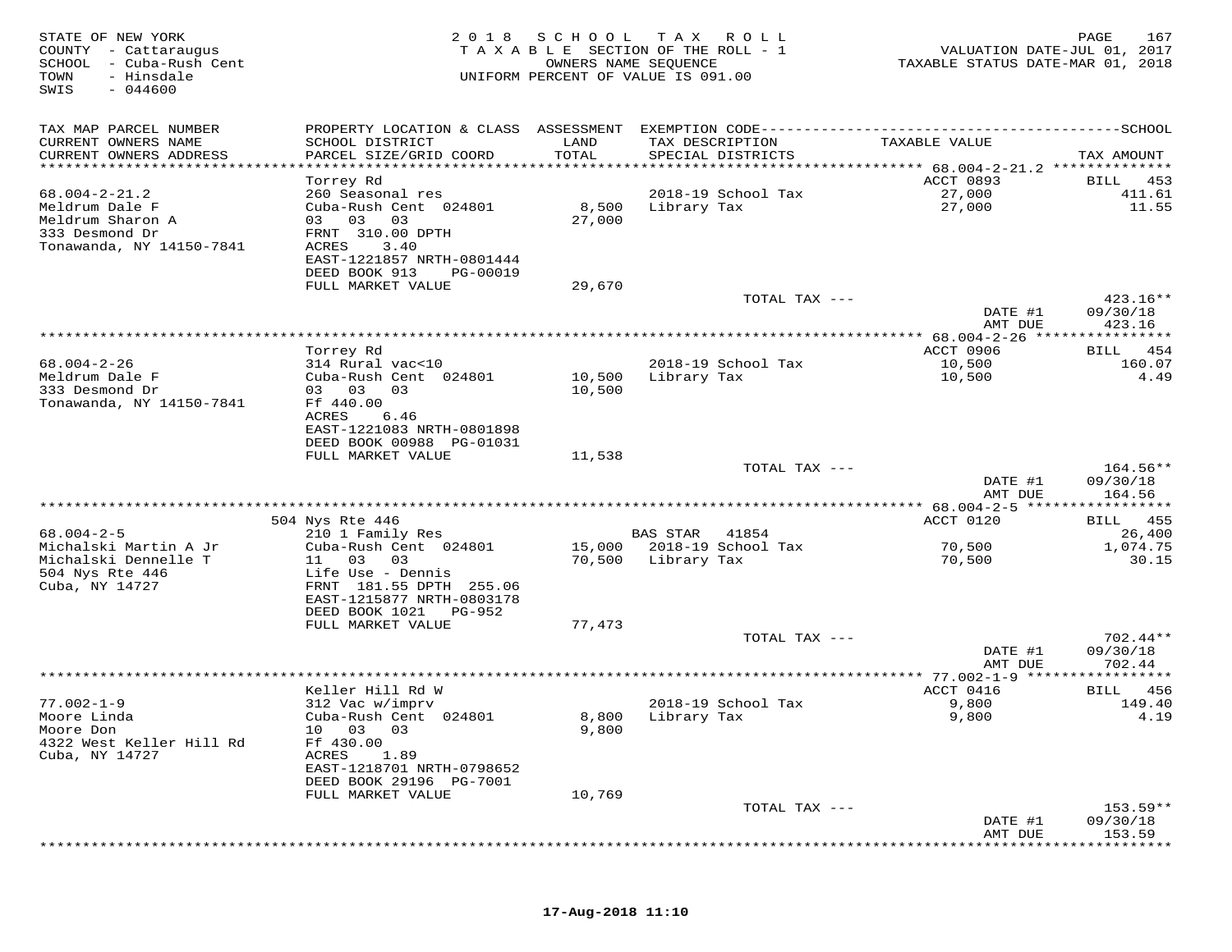| STATE OF NEW YORK<br>COUNTY - Cattaraugus<br>SCHOOL<br>- Cuba-Rush Cent<br>- Hinsdale<br>TOWN<br>$-044600$<br>SWIS |                                                                                              | 2018 SCHOOL | T A X<br>R O L L<br>TAXABLE SECTION OF THE ROLL - 1<br>OWNERS NAME SEQUENCE<br>UNIFORM PERCENT OF VALUE IS 091.00 | VALUATION DATE-JUL 01, 2017<br>TAXABLE STATUS DATE-MAR 01, 2018 | 167<br>PAGE                 |
|--------------------------------------------------------------------------------------------------------------------|----------------------------------------------------------------------------------------------|-------------|-------------------------------------------------------------------------------------------------------------------|-----------------------------------------------------------------|-----------------------------|
| TAX MAP PARCEL NUMBER                                                                                              | PROPERTY LOCATION & CLASS ASSESSMENT EXEMPTION CODE-----------------------------------SCHOOL |             |                                                                                                                   |                                                                 |                             |
| CURRENT OWNERS NAME                                                                                                | SCHOOL DISTRICT                                                                              | LAND        | TAX DESCRIPTION                                                                                                   | TAXABLE VALUE                                                   |                             |
| CURRENT OWNERS ADDRESS<br>*************************                                                                | PARCEL SIZE/GRID COORD                                                                       | TOTAL       | SPECIAL DISTRICTS                                                                                                 |                                                                 | TAX AMOUNT                  |
|                                                                                                                    | Torrey Rd                                                                                    |             |                                                                                                                   | ACCT 0893                                                       | BILL<br>453                 |
| $68.004 - 2 - 21.2$                                                                                                | 260 Seasonal res                                                                             |             | 2018-19 School Tax                                                                                                | 27,000                                                          | 411.61                      |
| Meldrum Dale F                                                                                                     | Cuba-Rush Cent 024801                                                                        | 8,500       | Library Tax                                                                                                       | 27,000                                                          | 11.55                       |
| Meldrum Sharon A                                                                                                   | 03<br>03<br>03                                                                               | 27,000      |                                                                                                                   |                                                                 |                             |
| 333 Desmond Dr                                                                                                     | FRNT 310.00 DPTH                                                                             |             |                                                                                                                   |                                                                 |                             |
| Tonawanda, NY 14150-7841                                                                                           | ACRES<br>3.40<br>EAST-1221857 NRTH-0801444                                                   |             |                                                                                                                   |                                                                 |                             |
|                                                                                                                    | DEED BOOK 913<br>PG-00019                                                                    |             |                                                                                                                   |                                                                 |                             |
|                                                                                                                    | FULL MARKET VALUE                                                                            | 29,670      |                                                                                                                   |                                                                 |                             |
|                                                                                                                    |                                                                                              |             | TOTAL TAX ---                                                                                                     |                                                                 | $423.16**$                  |
|                                                                                                                    |                                                                                              |             |                                                                                                                   | DATE #1                                                         | 09/30/18                    |
|                                                                                                                    |                                                                                              |             |                                                                                                                   | AMT DUE                                                         | 423.16<br>* * * * * * * * * |
|                                                                                                                    | Torrey Rd                                                                                    |             |                                                                                                                   | ACCT 0906                                                       | 454<br>BILL                 |
| $68.004 - 2 - 26$                                                                                                  | 314 Rural vac<10                                                                             |             | 2018-19 School Tax                                                                                                | 10,500                                                          | 160.07                      |
| Meldrum Dale F                                                                                                     | Cuba-Rush Cent 024801                                                                        | 10,500      | Library Tax                                                                                                       | 10,500                                                          | 4.49                        |
| 333 Desmond Dr<br>Tonawanda, NY 14150-7841                                                                         | 03 03<br>03<br>Ff 440.00                                                                     | 10,500      |                                                                                                                   |                                                                 |                             |
|                                                                                                                    | ACRES<br>6.46                                                                                |             |                                                                                                                   |                                                                 |                             |
|                                                                                                                    | EAST-1221083 NRTH-0801898                                                                    |             |                                                                                                                   |                                                                 |                             |
|                                                                                                                    | DEED BOOK 00988 PG-01031                                                                     |             |                                                                                                                   |                                                                 |                             |
|                                                                                                                    | FULL MARKET VALUE                                                                            | 11,538      |                                                                                                                   |                                                                 | $164.56**$                  |
|                                                                                                                    |                                                                                              |             | TOTAL TAX ---                                                                                                     | DATE #1                                                         | 09/30/18                    |
|                                                                                                                    |                                                                                              |             |                                                                                                                   | AMT DUE                                                         | 164.56                      |
|                                                                                                                    |                                                                                              |             |                                                                                                                   |                                                                 | ***********                 |
|                                                                                                                    | 504 Nys Rte 446                                                                              |             |                                                                                                                   | ACCT 0120                                                       | 455<br>BILL                 |
| $68.004 - 2 - 5$<br>Michalski Martin A Jr                                                                          | 210 1 Family Res<br>Cuba-Rush Cent 024801                                                    | 15,000      | <b>BAS STAR</b><br>41854<br>2018-19 School Tax                                                                    | 70,500                                                          | 26,400<br>1,074.75          |
| Michalski Dennelle T                                                                                               | 03<br>11<br>03                                                                               | 70,500      | Library Tax                                                                                                       | 70,500                                                          | 30.15                       |
| 504 Nys Rte 446                                                                                                    | Life Use - Dennis                                                                            |             |                                                                                                                   |                                                                 |                             |
| Cuba, NY 14727                                                                                                     | FRNT 181.55 DPTH 255.06                                                                      |             |                                                                                                                   |                                                                 |                             |
|                                                                                                                    | EAST-1215877 NRTH-0803178<br>DEED BOOK 1021<br>PG-952                                        |             |                                                                                                                   |                                                                 |                             |
|                                                                                                                    | FULL MARKET VALUE                                                                            | 77,473      |                                                                                                                   |                                                                 |                             |
|                                                                                                                    |                                                                                              |             | TOTAL TAX ---                                                                                                     |                                                                 | $702.44**$                  |
|                                                                                                                    |                                                                                              |             |                                                                                                                   | DATE #1                                                         | 09/30/18                    |
|                                                                                                                    |                                                                                              |             |                                                                                                                   | AMT DUE<br>** 77.002-1-9 *****                                  | 702.44<br>* * * * * * * * * |
|                                                                                                                    | Keller Hill Rd W                                                                             |             |                                                                                                                   | ACCT 0416                                                       | 456<br>BILL                 |
| $77.002 - 1 - 9$                                                                                                   | 312 Vac w/imprv                                                                              |             | 2018-19 School Tax                                                                                                | 9,800                                                           | 149.40                      |
| Moore Linda                                                                                                        | Cuba-Rush Cent 024801                                                                        | 8,800       | Library Tax                                                                                                       | 9,800                                                           | 4.19                        |
| Moore Don                                                                                                          | 03<br>10<br>03                                                                               | 9,800       |                                                                                                                   |                                                                 |                             |
| 4322 West Keller Hill Rd<br>Cuba, NY 14727                                                                         | Ff 430.00<br>ACRES<br>1.89                                                                   |             |                                                                                                                   |                                                                 |                             |
|                                                                                                                    | EAST-1218701 NRTH-0798652                                                                    |             |                                                                                                                   |                                                                 |                             |
|                                                                                                                    | DEED BOOK 29196 PG-7001                                                                      |             |                                                                                                                   |                                                                 |                             |
|                                                                                                                    | FULL MARKET VALUE                                                                            | 10,769      |                                                                                                                   |                                                                 |                             |
|                                                                                                                    |                                                                                              |             | TOTAL TAX ---                                                                                                     |                                                                 | 153.59**                    |
|                                                                                                                    |                                                                                              |             |                                                                                                                   | DATE #1<br>AMT DUE                                              | 09/30/18<br>153.59          |
|                                                                                                                    |                                                                                              |             |                                                                                                                   |                                                                 |                             |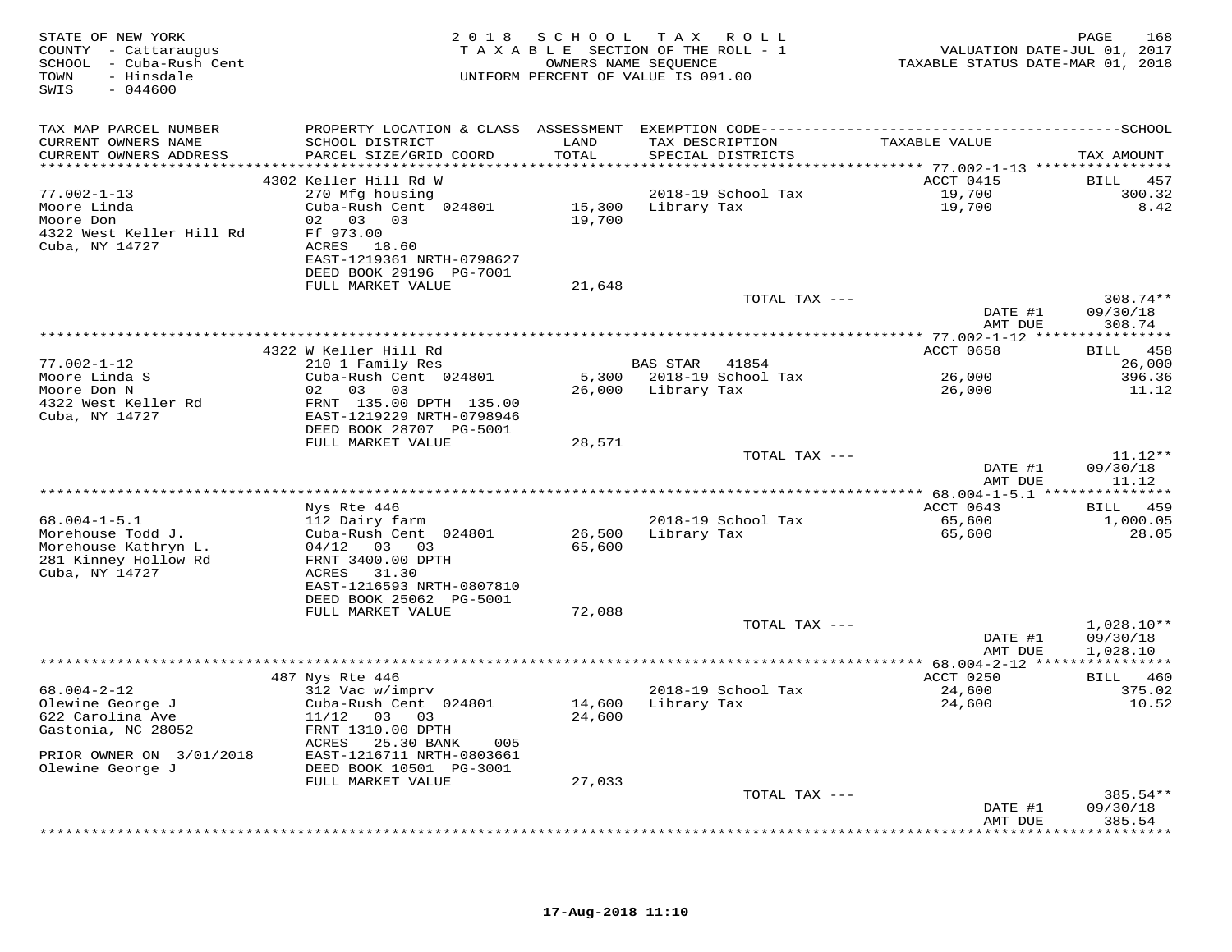| TAX MAP PARCEL NUMBER<br>TAX DESCRIPTION TAXABLE VALUE<br>CURRENT OWNERS NAME<br>SCHOOL DISTRICT<br>LAND                                                                                                                                                                                                                                                | TAX AMOUNT<br>BILL 457<br>300.32 |
|---------------------------------------------------------------------------------------------------------------------------------------------------------------------------------------------------------------------------------------------------------------------------------------------------------------------------------------------------------|----------------------------------|
| PARCEL SIZE/GRID COORD<br>TOTAL<br>CURRENT OWNERS ADDRESS<br>SPECIAL DISTRICTS                                                                                                                                                                                                                                                                          |                                  |
|                                                                                                                                                                                                                                                                                                                                                         |                                  |
| ACCT 0415<br>4302 Keller Hill Rd W<br>270 Mfg housing<br>2018-19 School Tax<br>19,700<br>19,700<br>$77.002 - 1 - 13$<br>15,300 Library Tax<br>Moore Linda<br>Cuba-Rush Cent 024801<br>02 03 03<br>19,700<br>Moore Don<br>4322 West Keller Hill Rd<br>Ff 973.00<br>Cuba, NY 14727<br>ACRES 18.60<br>EAST-1219361 NRTH-0798627<br>DEED BOOK 29196 PG-7001 | 8.42                             |
| FULL MARKET VALUE<br>21,648                                                                                                                                                                                                                                                                                                                             |                                  |
| TOTAL TAX ---<br>DATE #1<br>AMT DUE                                                                                                                                                                                                                                                                                                                     | $308.74**$<br>09/30/18<br>308.74 |
|                                                                                                                                                                                                                                                                                                                                                         |                                  |
| 4322 W Keller Hill Rd<br>ACCT 0658<br>210 1 Family Res<br>$77.002 - 1 - 12$<br>BAS STAR 41854<br>Cuba-Rush Cent 024801<br>26,000<br>$M$<br>Moore Linda S<br>5,300 2018-19 School Tax                                                                                                                                                                    | BILL 458<br>26,000<br>396.36     |
| Moore Don N<br>02 03 03<br>26,000 Library Tax<br>26,000<br>4322 West Keller Rd<br>FRNT 135.00 DPTH 135.00<br>Cuba, NY 14727<br>EAST-1219229 NRTH-0798946<br>DEED BOOK 28707 PG-5001<br>FULL MARKET VALUE                                                                                                                                                | 11.12                            |
| 28,571<br>TOTAL TAX ---<br>DATE #1                                                                                                                                                                                                                                                                                                                      | $11.12**$<br>09/30/18            |
| AMT DUE<br>******************************                                                                                                                                                                                                                                                                                                               | 11.12                            |
| Nys Rte 446<br>ACCT 0643                                                                                                                                                                                                                                                                                                                                | BILL 459                         |
| $68.004 - 1 - 5.1$<br>112 Dairy farm<br>2018-19 School Tax<br>65,600<br>65,600<br>Morehouse Todd J.<br>Cuba-Rush Cent 024801<br>26,500 Library Tax<br>Morehouse Kathryn L.<br>$04/12$ 03 03<br>65,600<br>281 Kinney Hollow Rd<br>FRNT 3400.00 DPTH<br>Cuba, NY 14727<br>ACRES 31.30<br>EAST-1216593 NRTH-0807810                                        | 1,000.05<br>28.05                |
| DEED BOOK 25062 PG-5001                                                                                                                                                                                                                                                                                                                                 |                                  |
| FULL MARKET VALUE<br>72,088<br>TOTAL TAX ---                                                                                                                                                                                                                                                                                                            | $1,028.10**$                     |
| DATE #1<br>AMT DUE                                                                                                                                                                                                                                                                                                                                      | 09/30/18<br>1,028.10             |
|                                                                                                                                                                                                                                                                                                                                                         |                                  |
| ACCT 0250<br>487 Nys Rte 446<br>312 Vac w/imprv<br>24,600<br>24,600<br>$68.004 - 2 - 12$<br>2018-19 School Tax<br>Cuba-Rush Cent 024801<br>Olewine George J<br>14,600 Library Tax<br>622 Carolina Ave<br>11/12 03 03<br>24,600<br>Gastonia, NC 28052<br>FRNT 1310.00 DPTH<br>ACRES 25.30 BANK<br>005                                                    | BILL 460<br>375.02<br>10.52      |
| EAST-1216711 NRTH-0803661<br>PRIOR OWNER ON 3/01/2018<br>Olewine George J<br>DEED BOOK 10501 PG-3001<br>FULL MARKET VALUE<br>27,033                                                                                                                                                                                                                     |                                  |
| TOTAL TAX ---<br>DATE #1<br>AMT DUE                                                                                                                                                                                                                                                                                                                     | 385.54**<br>09/30/18<br>385.54   |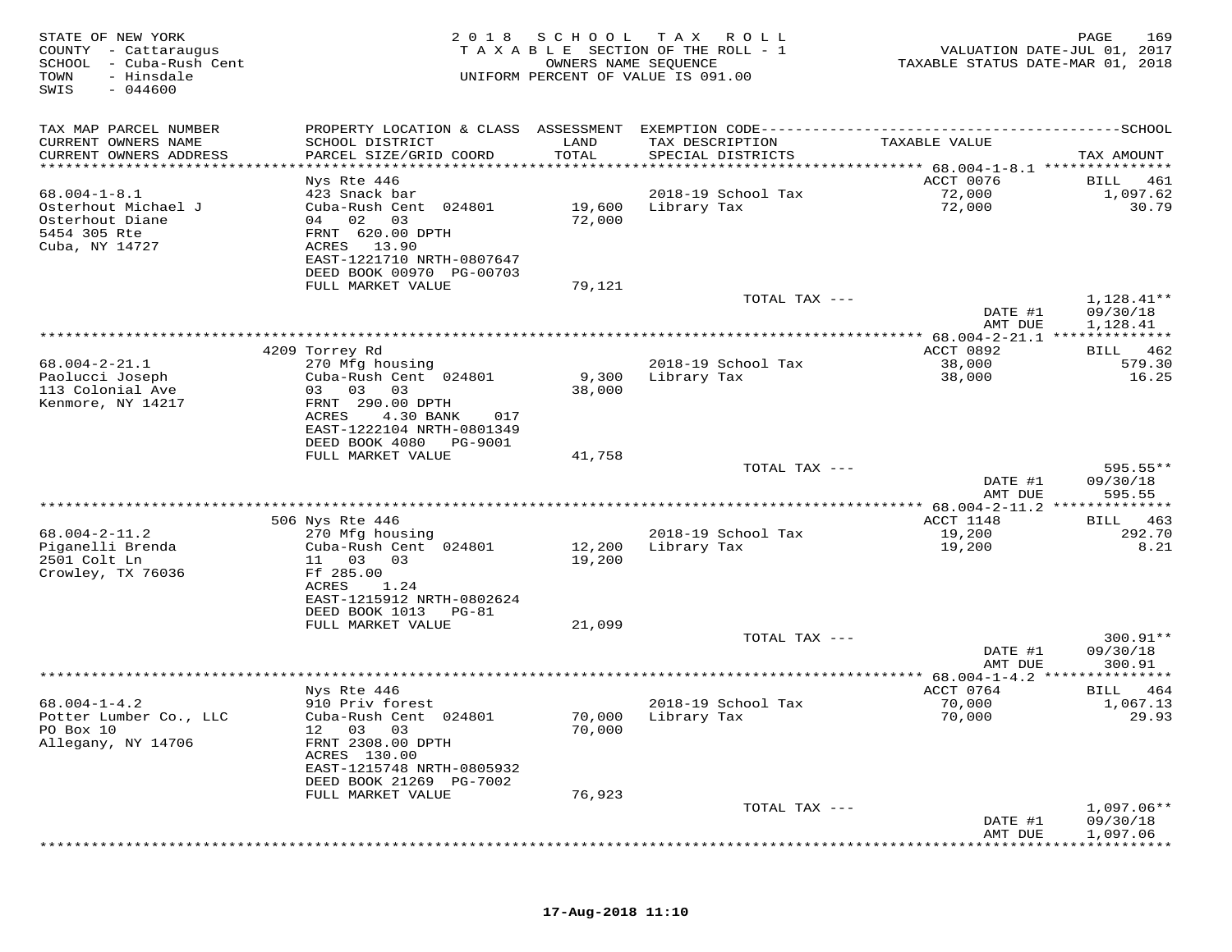| STATE OF NEW YORK<br>COUNTY - Cattaraugus<br>SCHOOL<br>- Cuba-Rush Cent<br>TOWN<br>- Hinsdale<br>SWIS<br>$-044600$ | 2 0 1 8                                                | SCHOOL                   | T A X<br>ROLL<br>TAXABLE SECTION OF THE ROLL - 1<br>OWNERS NAME SEQUENCE<br>UNIFORM PERCENT OF VALUE IS 091.00 | VALUATION DATE-JUL 01, 2017<br>TAXABLE STATUS DATE-MAR 01, 2018        | PAGE<br>169                   |
|--------------------------------------------------------------------------------------------------------------------|--------------------------------------------------------|--------------------------|----------------------------------------------------------------------------------------------------------------|------------------------------------------------------------------------|-------------------------------|
| TAX MAP PARCEL NUMBER                                                                                              | PROPERTY LOCATION & CLASS ASSESSMENT                   |                          |                                                                                                                |                                                                        |                               |
| CURRENT OWNERS NAME<br>CURRENT OWNERS ADDRESS                                                                      | SCHOOL DISTRICT<br>PARCEL SIZE/GRID COORD              | LAND<br>TOTAL<br>******* | TAX DESCRIPTION<br>SPECIAL DISTRICTS                                                                           | TAXABLE VALUE                                                          | TAX AMOUNT                    |
| ********************                                                                                               | Nys Rte 446                                            |                          |                                                                                                                | **************************** 68.004-1-8.1 ***************<br>ACCT 0076 | BILL<br>461                   |
| $68.004 - 1 - 8.1$                                                                                                 | 423 Snack bar                                          |                          | 2018-19 School Tax                                                                                             | 72,000                                                                 | 1,097.62                      |
| Osterhout Michael J                                                                                                | Cuba-Rush Cent 024801                                  | 19,600                   | Library Tax                                                                                                    | 72,000                                                                 | 30.79                         |
| Osterhout Diane                                                                                                    | 04 02<br>03                                            | 72,000                   |                                                                                                                |                                                                        |                               |
| 5454 305 Rte<br>Cuba, NY 14727                                                                                     | FRNT 620.00 DPTH<br>13.90<br>ACRES                     |                          |                                                                                                                |                                                                        |                               |
|                                                                                                                    | EAST-1221710 NRTH-0807647                              |                          |                                                                                                                |                                                                        |                               |
|                                                                                                                    | DEED BOOK 00970 PG-00703                               |                          |                                                                                                                |                                                                        |                               |
|                                                                                                                    | FULL MARKET VALUE                                      | 79,121                   |                                                                                                                |                                                                        |                               |
|                                                                                                                    |                                                        |                          | TOTAL TAX ---                                                                                                  | DATE #1                                                                | $1,128.41**$<br>09/30/18      |
|                                                                                                                    |                                                        |                          |                                                                                                                | AMT DUE                                                                | 1,128.41                      |
|                                                                                                                    |                                                        |                          |                                                                                                                |                                                                        |                               |
| $68.004 - 2 - 21.1$                                                                                                | 4209 Torrey Rd<br>270 Mfg housing                      |                          | 2018-19 School Tax                                                                                             | ACCT 0892<br>38,000                                                    | 462<br>BILL<br>579.30         |
| Paolucci Joseph                                                                                                    | Cuba-Rush Cent 024801                                  | 9,300                    | Library Tax                                                                                                    | 38,000                                                                 | 16.25                         |
| 113 Colonial Ave                                                                                                   | 03<br>03<br>03                                         | 38,000                   |                                                                                                                |                                                                        |                               |
| Kenmore, NY 14217                                                                                                  | FRNT 290.00 DPTH                                       |                          |                                                                                                                |                                                                        |                               |
|                                                                                                                    | ACRES<br>4.30 BANK<br>017<br>EAST-1222104 NRTH-0801349 |                          |                                                                                                                |                                                                        |                               |
|                                                                                                                    | DEED BOOK 4080<br>PG-9001                              |                          |                                                                                                                |                                                                        |                               |
|                                                                                                                    | FULL MARKET VALUE                                      | 41,758                   |                                                                                                                |                                                                        |                               |
|                                                                                                                    |                                                        |                          | TOTAL TAX ---                                                                                                  |                                                                        | 595.55**                      |
|                                                                                                                    |                                                        |                          |                                                                                                                | DATE #1<br>AMT DUE                                                     | 09/30/18<br>595.55            |
|                                                                                                                    |                                                        |                          |                                                                                                                | ********* 68.004-2-11.2 **************                                 |                               |
|                                                                                                                    | 506 Nys Rte 446                                        |                          |                                                                                                                | ACCT 1148                                                              | 463<br>BILL                   |
| $68.004 - 2 - 11.2$<br>Piganelli Brenda                                                                            | 270 Mfg housing<br>Cuba-Rush Cent 024801               | 12,200                   | 2018-19 School Tax<br>Library Tax                                                                              | 19,200<br>19,200                                                       | 292.70<br>8.21                |
| 2501 Colt Ln                                                                                                       | 11<br>03<br>03                                         | 19,200                   |                                                                                                                |                                                                        |                               |
| Crowley, TX 76036                                                                                                  | Ff 285.00                                              |                          |                                                                                                                |                                                                        |                               |
|                                                                                                                    | ACRES<br>1.24                                          |                          |                                                                                                                |                                                                        |                               |
|                                                                                                                    | EAST-1215912 NRTH-0802624<br>DEED BOOK 1013<br>PG-81   |                          |                                                                                                                |                                                                        |                               |
|                                                                                                                    | FULL MARKET VALUE                                      | 21,099                   |                                                                                                                |                                                                        |                               |
|                                                                                                                    |                                                        |                          | TOTAL TAX ---                                                                                                  |                                                                        | $300.91**$                    |
|                                                                                                                    |                                                        |                          |                                                                                                                | DATE #1                                                                | 09/30/18                      |
|                                                                                                                    |                                                        |                          | *******************************                                                                                | AMT DUE<br>** $68.004 - 1 - 4.2$ **                                    | 300.91<br>* * * * * * * * * * |
|                                                                                                                    | Nys Rte 446                                            |                          |                                                                                                                | ACCT 0764                                                              | BILL<br>464                   |
| $68.004 - 1 - 4.2$                                                                                                 | 910 Priv forest                                        |                          | 2018-19 School Tax                                                                                             | 70,000                                                                 | 1,067.13                      |
| Potter Lumber Co., LLC                                                                                             | Cuba-Rush Cent 024801                                  | 70,000                   | Library Tax                                                                                                    | 70,000                                                                 | 29.93                         |
| PO Box 10<br>Allegany, NY 14706                                                                                    | 03<br>03<br>12<br>FRNT 2308.00 DPTH                    | 70,000                   |                                                                                                                |                                                                        |                               |
|                                                                                                                    | ACRES 130.00                                           |                          |                                                                                                                |                                                                        |                               |
|                                                                                                                    | EAST-1215748 NRTH-0805932                              |                          |                                                                                                                |                                                                        |                               |
|                                                                                                                    | DEED BOOK 21269 PG-7002<br>FULL MARKET VALUE           | 76,923                   |                                                                                                                |                                                                        |                               |
|                                                                                                                    |                                                        |                          | TOTAL TAX ---                                                                                                  |                                                                        | $1,097.06**$                  |
|                                                                                                                    |                                                        |                          |                                                                                                                | DATE #1                                                                | 09/30/18                      |
|                                                                                                                    |                                                        |                          |                                                                                                                | AMT DUE                                                                | 1,097.06                      |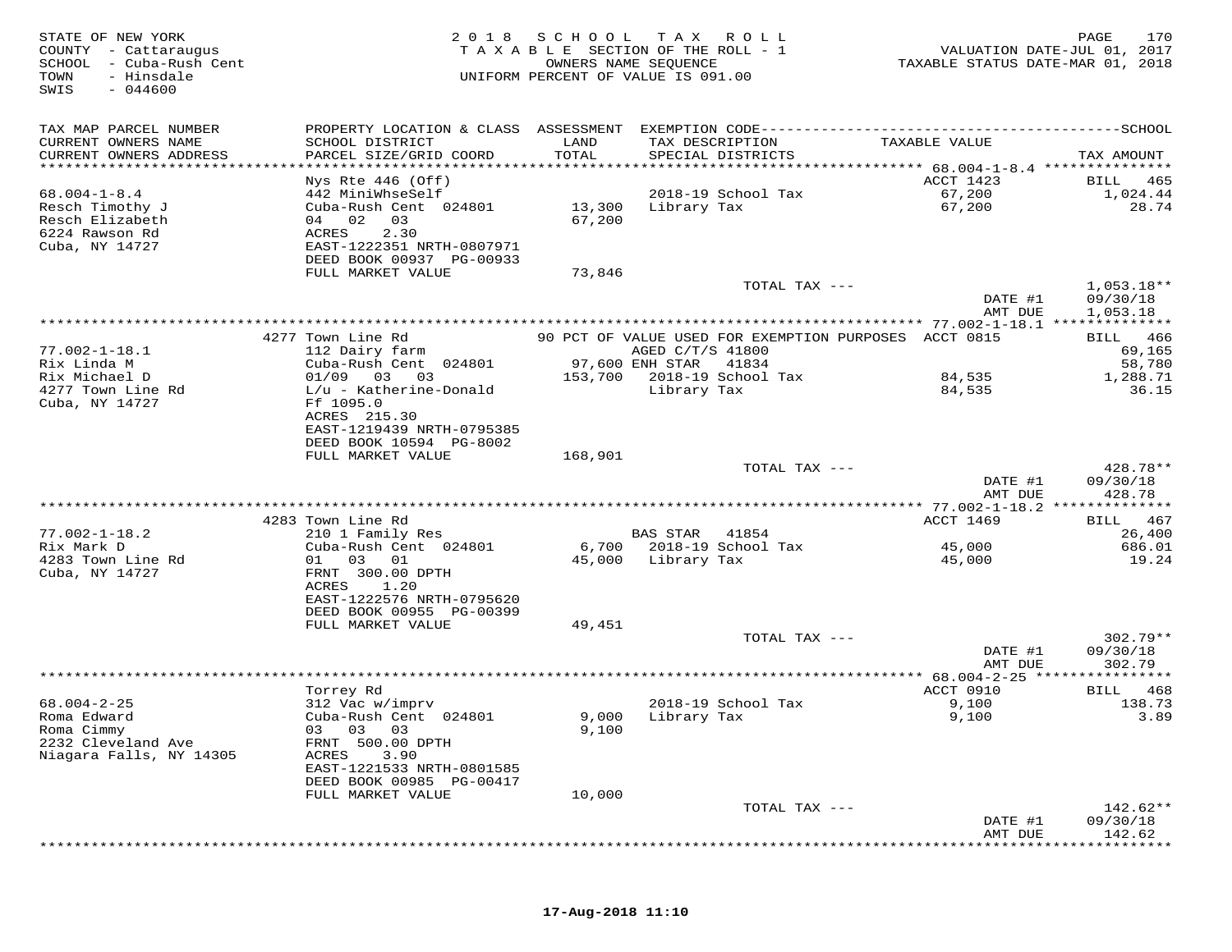| STATE OF NEW YORK<br>COUNTY - Cattaraugus<br>SCHOOL<br>- Cuba-Rush Cent<br>TOWN<br>- Hinsdale<br>SWIS<br>$-044600$ | 2 0 1 8                                       | SCHOOL          | T A X<br>ROLL<br>TAXABLE SECTION OF THE ROLL - 1<br>OWNERS NAME SEQUENCE<br>UNIFORM PERCENT OF VALUE IS 091.00 | TAXABLE STATUS DATE-MAR 01, 2018   | PAGE<br>170<br>VALUATION DATE-JUL 01, 2017 |
|--------------------------------------------------------------------------------------------------------------------|-----------------------------------------------|-----------------|----------------------------------------------------------------------------------------------------------------|------------------------------------|--------------------------------------------|
| TAX MAP PARCEL NUMBER                                                                                              | PROPERTY LOCATION & CLASS ASSESSMENT          |                 |                                                                                                                |                                    |                                            |
| CURRENT OWNERS NAME<br>CURRENT OWNERS ADDRESS                                                                      | SCHOOL DISTRICT<br>PARCEL SIZE/GRID COORD     | LAND<br>TOTAL   | TAX DESCRIPTION<br>SPECIAL DISTRICTS                                                                           | TAXABLE VALUE                      | TAX AMOUNT                                 |
| ********************                                                                                               | Nys Rte $446$ (Off)                           | *************** |                                                                                                                | ACCT 1423                          | 465<br>BILL                                |
| $68.004 - 1 - 8.4$                                                                                                 | 442 MiniWhseSelf                              |                 | 2018-19 School Tax                                                                                             | 67,200                             | 1,024.44                                   |
| Resch Timothy J                                                                                                    | Cuba-Rush Cent 024801                         | 13,300          | Library Tax                                                                                                    | 67,200                             | 28.74                                      |
| Resch Elizabeth                                                                                                    | 04 02<br>03                                   | 67,200          |                                                                                                                |                                    |                                            |
| 6224 Rawson Rd                                                                                                     | ACRES<br>2.30                                 |                 |                                                                                                                |                                    |                                            |
| Cuba, NY 14727                                                                                                     | EAST-1222351 NRTH-0807971                     |                 |                                                                                                                |                                    |                                            |
|                                                                                                                    | DEED BOOK 00937 PG-00933<br>FULL MARKET VALUE | 73,846          |                                                                                                                |                                    |                                            |
|                                                                                                                    |                                               |                 | TOTAL TAX ---                                                                                                  |                                    | $1,053.18**$                               |
|                                                                                                                    |                                               |                 |                                                                                                                | DATE #1                            | 09/30/18                                   |
|                                                                                                                    |                                               |                 |                                                                                                                | AMT DUE                            | 1,053.18                                   |
|                                                                                                                    |                                               |                 |                                                                                                                |                                    |                                            |
| $77.002 - 1 - 18.1$                                                                                                | 4277 Town Line Rd<br>112 Dairy farm           |                 | 90 PCT OF VALUE USED FOR EXEMPTION PURPOSES ACCT 0815<br>AGED C/T/S 41800                                      |                                    | BILL 466<br>69,165                         |
| Rix Linda M                                                                                                        | Cuba-Rush Cent 024801                         |                 | 97,600 ENH STAR<br>41834                                                                                       |                                    | 58,780                                     |
| Rix Michael D                                                                                                      | 01/09<br>03<br>03                             | 153,700         | 2018-19 School Tax                                                                                             | 84,535                             | 1,288.71                                   |
| 4277 Town Line Rd                                                                                                  | $L/u$ - Katherine-Donald                      |                 | Library Tax                                                                                                    | 84,535                             | 36.15                                      |
| Cuba, NY 14727                                                                                                     | Ff 1095.0                                     |                 |                                                                                                                |                                    |                                            |
|                                                                                                                    | ACRES 215.30<br>EAST-1219439 NRTH-0795385     |                 |                                                                                                                |                                    |                                            |
|                                                                                                                    | DEED BOOK 10594 PG-8002                       |                 |                                                                                                                |                                    |                                            |
|                                                                                                                    | FULL MARKET VALUE                             | 168,901         |                                                                                                                |                                    |                                            |
|                                                                                                                    |                                               |                 | TOTAL TAX ---                                                                                                  |                                    | 428.78**                                   |
|                                                                                                                    |                                               |                 |                                                                                                                | DATE #1                            | 09/30/18                                   |
|                                                                                                                    |                                               |                 |                                                                                                                | AMT DUE                            | 428.78                                     |
|                                                                                                                    | 4283 Town Line Rd                             |                 |                                                                                                                | ACCT 1469                          | 467<br>BILL                                |
| $77.002 - 1 - 18.2$                                                                                                | 210 1 Family Res                              |                 | BAS STAR<br>41854                                                                                              |                                    | 26,400                                     |
| Rix Mark D                                                                                                         | Cuba-Rush Cent 024801                         |                 | 6,700 2018-19 School Tax                                                                                       | 45,000                             | 686.01                                     |
| 4283 Town Line Rd                                                                                                  | 01<br>03<br>01                                | 45,000          | Library Tax                                                                                                    | 45,000                             | 19.24                                      |
| Cuba, NY 14727                                                                                                     | FRNT 300.00 DPTH<br>ACRES<br>1.20             |                 |                                                                                                                |                                    |                                            |
|                                                                                                                    | EAST-1222576 NRTH-0795620                     |                 |                                                                                                                |                                    |                                            |
|                                                                                                                    | DEED BOOK 00955 PG-00399                      |                 |                                                                                                                |                                    |                                            |
|                                                                                                                    | FULL MARKET VALUE                             | 49,451          |                                                                                                                |                                    |                                            |
|                                                                                                                    |                                               |                 | TOTAL TAX ---                                                                                                  |                                    | $302.79**$                                 |
|                                                                                                                    |                                               |                 |                                                                                                                | DATE #1<br>AMT DUE                 | 09/30/18<br>302.79                         |
|                                                                                                                    |                                               |                 |                                                                                                                | **** 68.004-2-25 ***************** |                                            |
|                                                                                                                    | Torrey Rd                                     |                 |                                                                                                                | ACCT 0910                          | 468<br>BILL                                |
| $68.004 - 2 - 25$                                                                                                  | 312 Vac w/imprv                               |                 | 2018-19 School Tax                                                                                             | 9,100                              | 138.73                                     |
| Roma Edward                                                                                                        | Cuba-Rush Cent 024801                         | 9,000           | Library Tax                                                                                                    | 9,100                              | 3.89                                       |
| Roma Cimmy                                                                                                         | 03<br>03<br>03                                | 9,100           |                                                                                                                |                                    |                                            |
| 2232 Cleveland Ave<br>Niagara Falls, NY 14305                                                                      | FRNT 500.00 DPTH<br>ACRES<br>3.90             |                 |                                                                                                                |                                    |                                            |
|                                                                                                                    | EAST-1221533 NRTH-0801585                     |                 |                                                                                                                |                                    |                                            |
|                                                                                                                    | DEED BOOK 00985 PG-00417                      |                 |                                                                                                                |                                    |                                            |
|                                                                                                                    | FULL MARKET VALUE                             | 10,000          |                                                                                                                |                                    |                                            |
|                                                                                                                    |                                               |                 | TOTAL TAX ---                                                                                                  |                                    | 142.62**                                   |
|                                                                                                                    |                                               |                 |                                                                                                                | DATE #1<br>AMT DUE                 | 09/30/18<br>142.62                         |
|                                                                                                                    |                                               |                 |                                                                                                                |                                    |                                            |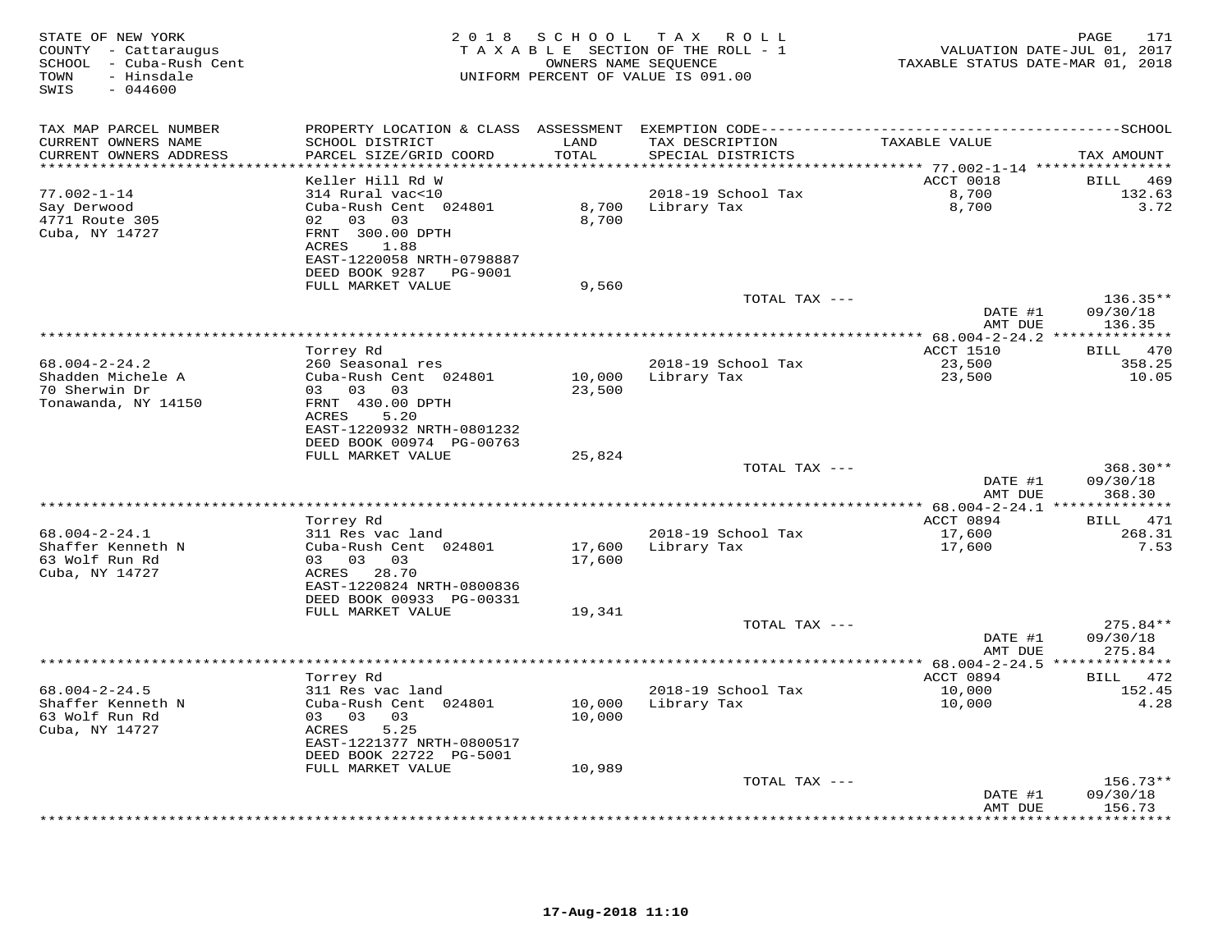| STATE OF NEW YORK<br>COUNTY - Cattaraugus<br>SCHOOL - Cuba-Rush Cent<br>- Hinsdale<br>TOWN<br>SWIS<br>$-044600$ | 2 0 1 8                                                                                                | S C H O O L          | T A X<br>R O L L<br>TAXABLE SECTION OF THE ROLL - 1<br>OWNERS NAME SEQUENCE<br>UNIFORM PERCENT OF VALUE IS 091.00 | TAXABLE STATUS DATE-MAR 01, 2018      | PAGE<br>171<br>VALUATION DATE-JUL 01, 2017 |
|-----------------------------------------------------------------------------------------------------------------|--------------------------------------------------------------------------------------------------------|----------------------|-------------------------------------------------------------------------------------------------------------------|---------------------------------------|--------------------------------------------|
| TAX MAP PARCEL NUMBER                                                                                           | PROPERTY LOCATION & CLASS ASSESSMENT                                                                   |                      |                                                                                                                   |                                       |                                            |
| CURRENT OWNERS NAME<br>CURRENT OWNERS ADDRESS                                                                   | SCHOOL DISTRICT<br>PARCEL SIZE/GRID COORD                                                              | LAND<br>TOTAL        | TAX DESCRIPTION<br>SPECIAL DISTRICTS                                                                              | TAXABLE VALUE                         | TAX AMOUNT                                 |
|                                                                                                                 |                                                                                                        | ********             |                                                                                                                   | ******** 77.002-1-14 **************** |                                            |
| $77.002 - 1 - 14$                                                                                               | Keller Hill Rd W<br>314 Rural vac<10                                                                   |                      |                                                                                                                   | ACCT 0018                             | BILL<br>469<br>132.63                      |
| Say Derwood<br>4771 Route 305<br>Cuba, NY 14727                                                                 | Cuba-Rush Cent 024801<br>02<br>03 03<br>FRNT 300.00 DPTH                                               | 8,700<br>8,700       | 2018-19 School Tax<br>Library Tax                                                                                 | 8,700<br>8,700                        | 3.72                                       |
|                                                                                                                 | ACRES<br>1.88<br>EAST-1220058 NRTH-0798887<br>DEED BOOK 9287 PG-9001<br>FULL MARKET VALUE              | 9,560                |                                                                                                                   |                                       |                                            |
|                                                                                                                 |                                                                                                        |                      | TOTAL TAX ---                                                                                                     |                                       | $136.35**$                                 |
|                                                                                                                 |                                                                                                        |                      |                                                                                                                   | DATE #1<br>AMT DUE                    | 09/30/18<br>136.35                         |
|                                                                                                                 |                                                                                                        |                      |                                                                                                                   | *********** 68.004-2-24.2 **          | **********                                 |
|                                                                                                                 | Torrey Rd                                                                                              |                      |                                                                                                                   | ACCT 1510                             | <b>BILL</b><br>470                         |
| $68.004 - 2 - 24.2$<br>Shadden Michele A<br>70 Sherwin Dr                                                       | 260 Seasonal res<br>Cuba-Rush Cent 024801<br>03 03<br>03                                               | 10,000<br>23,500     | 2018-19 School Tax<br>Library Tax                                                                                 | 23,500<br>23,500                      | 358.25<br>10.05                            |
| Tonawanda, NY 14150                                                                                             | FRNT 430.00 DPTH<br>5.20<br>ACRES<br>EAST-1220932 NRTH-0801232                                         |                      |                                                                                                                   |                                       |                                            |
|                                                                                                                 | DEED BOOK 00974 PG-00763                                                                               |                      |                                                                                                                   |                                       |                                            |
|                                                                                                                 | FULL MARKET VALUE                                                                                      | 25,824               | TOTAL TAX ---                                                                                                     |                                       | $368.30**$                                 |
|                                                                                                                 |                                                                                                        |                      |                                                                                                                   | DATE #1<br>AMT DUE                    | 09/30/18<br>368.30                         |
|                                                                                                                 |                                                                                                        | ******************** |                                                                                                                   | ********** 68.004-2-24.1 **           | **********                                 |
|                                                                                                                 | Torrey Rd                                                                                              |                      |                                                                                                                   | ACCT 0894                             | 471<br><b>BILL</b>                         |
| $68.004 - 2 - 24.1$<br>Shaffer Kenneth N                                                                        | 311 Res vac land<br>Cuba-Rush Cent 024801                                                              | 17,600               | 2018-19 School Tax<br>Library Tax                                                                                 | 17,600<br>17,600                      | 268.31<br>7.53                             |
| 63 Wolf Run Rd<br>Cuba, NY 14727                                                                                | 03 03 03<br>ACRES 28.70<br>EAST-1220824 NRTH-0800836                                                   | 17,600               |                                                                                                                   |                                       |                                            |
|                                                                                                                 | DEED BOOK 00933 PG-00331<br>FULL MARKET VALUE                                                          | 19,341               |                                                                                                                   |                                       |                                            |
|                                                                                                                 |                                                                                                        |                      | TOTAL TAX ---                                                                                                     | DATE #1<br>AMT DUE                    | $275.84**$<br>09/30/18<br>275.84           |
|                                                                                                                 |                                                                                                        |                      |                                                                                                                   |                                       |                                            |
|                                                                                                                 | Torrey Rd                                                                                              |                      |                                                                                                                   | ACCT 0894                             | BILL 472                                   |
| $68.004 - 2 - 24.5$<br>Shaffer Kenneth N<br>63 Wolf Run Rd<br>Cuba, NY 14727                                    | 311 Res vac land<br>Cuba-Rush Cent 024801<br>03 03<br>03<br>ACRES<br>5.25<br>EAST-1221377 NRTH-0800517 | 10,000<br>10,000     | 2018-19 School Tax<br>Library Tax                                                                                 | 10,000<br>10,000                      | 152.45<br>4.28                             |
|                                                                                                                 | DEED BOOK 22722 PG-5001                                                                                |                      |                                                                                                                   |                                       |                                            |
|                                                                                                                 | FULL MARKET VALUE                                                                                      | 10,989               |                                                                                                                   |                                       |                                            |
|                                                                                                                 |                                                                                                        |                      | TOTAL TAX ---                                                                                                     |                                       | $156.73**$                                 |
|                                                                                                                 |                                                                                                        |                      |                                                                                                                   | DATE #1<br>AMT DUE                    | 09/30/18<br>156.73                         |
|                                                                                                                 |                                                                                                        |                      |                                                                                                                   |                                       | * * * * * * * *                            |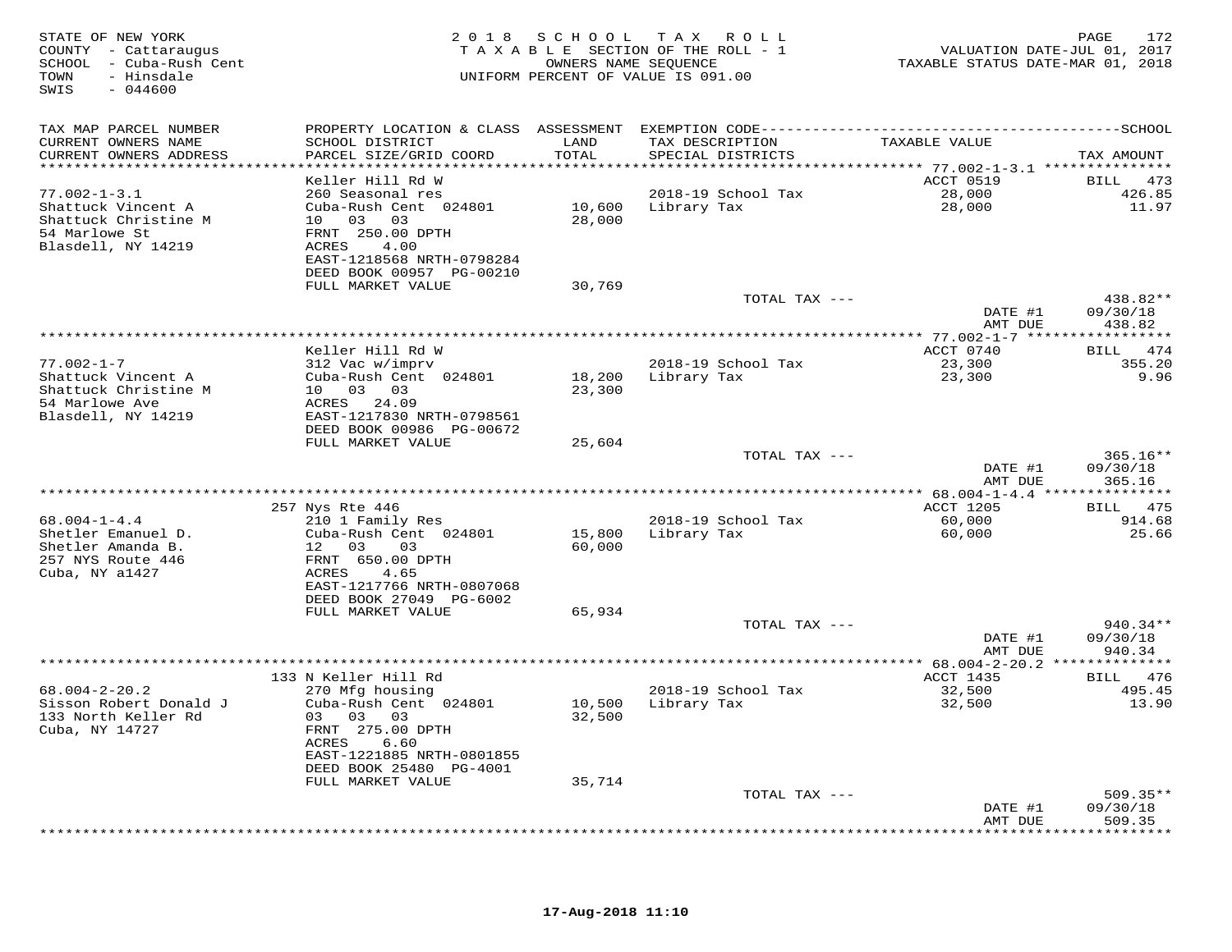| TAX MAP PARCEL NUMBER<br>TAXABLE VALUE<br>CURRENT OWNERS NAME<br>SCHOOL DISTRICT<br>LAND<br>TAX DESCRIPTION<br>CURRENT OWNERS ADDRESS<br>PARCEL SIZE/GRID COORD<br>TOTAL<br>SPECIAL DISTRICTS<br>TAX AMOUNT<br>ACCT 0519<br>Keller Hill Rd W<br>BILL 473<br>$77.002 - 1 - 3.1$<br>260 Seasonal res<br>2018-19 School Tax<br>28,000<br>426.85<br>Shattuck Vincent A<br>Cuba-Rush Cent 024801<br>10,600 Library Tax<br>28,000<br>11.97<br>Shattuck Christine M<br>10 03 03<br>28,000<br>54 Marlowe St<br>FRNT 250.00 DPTH<br>Blasdell, NY 14219<br>ACRES<br>4.00<br>EAST-1218568 NRTH-0798284<br>DEED BOOK 00957 PG-00210<br>FULL MARKET VALUE<br>30,769<br>TOTAL TAX ---<br>438.82**<br>DATE #1<br>09/30/18<br>438.82<br>AMT DUE<br>***********************************<br>************** 77.002-1-7 *****<br>* * * * * * * * * * *<br>BILL 474<br>Keller Hill Rd W<br>ACCT 0740<br>$77.002 - 1 - 7$<br>312 Vac w/imprv<br>2018-19 School Tax<br>23,300<br>355.20<br>Shattuck Vincent A<br>Cuba-Rush Cent 024801<br>18,200 Library Tax<br>23,300<br>9.96<br>10 03 03<br>Shattuck Christine M<br>23,300<br>54 Marlowe Ave<br>ACRES 24.09<br>Blasdell, NY 14219<br>EAST-1217830 NRTH-0798561<br>DEED BOOK 00986 PG-00672<br>FULL MARKET VALUE<br>25,604<br>$365.16**$<br>TOTAL TAX ---<br>09/30/18<br>DATE #1<br>AMT DUE<br>365.16<br>**********************************<br>*********** 68.004-1-4.4 ****************<br>BILL 475<br>257 Nys Rte 446<br>ACCT 1205<br>$68.004 - 1 - 4.4$<br>210 1 Family Res<br>2018-19 School Tax<br>60,000<br>914.68<br>Shetler Emanuel D.<br>Cuba-Rush Cent 024801<br>15,800 Library Tax<br>60,000<br>25.66<br>60,000<br>Shetler Amanda B.<br>12 03 03<br>257 NYS Route 446<br>FRNT 650.00 DPTH<br>Cuba, NY a1427<br>4.65<br>ACRES<br>EAST-1217766 NRTH-0807068<br>DEED BOOK 27049 PG-6002<br>FULL MARKET VALUE<br>65,934<br>$940.34**$<br>TOTAL TAX ---<br>09/30/18<br>DATE #1<br>940.34<br>AMT DUE<br>ACCT 1435<br>133 N Keller Hill Rd<br>BILL 476<br>32,500<br>$68.004 - 2 - 20.2$<br>270 Mfg housing<br>2018-19 School Tax<br>495.45<br>Cuba-Rush Cent 024801<br>10,500 Library Tax<br>Sisson Robert Donald J<br>32,500<br>13.90<br>133 North Keller Rd<br>03 03 03<br>32,500<br>Cuba, NY 14727<br>FRNT 275.00 DPTH<br>ACRES<br>6.60<br>EAST-1221885 NRTH-0801855<br>DEED BOOK 25480 PG-4001<br>35,714<br>FULL MARKET VALUE<br>$509.35**$<br>TOTAL TAX ---<br>DATE #1<br>09/30/18<br>509.35<br>AMT DUE | STATE OF NEW YORK<br>COUNTY - Cattaraugus<br>SCHOOL - Cuba-Rush Cent<br>TOWN<br>- Hinsdale<br>$-044600$<br>SWIS |  | 2018 SCHOOL TAX ROLL<br>TAXABLE SECTION OF THE ROLL - 1<br>OWNERS NAME SEQUENCE<br>UNIFORM PERCENT OF VALUE IS 091.00 | TAXABLE STATUS DATE-MAR 01, 2018 | 172<br>PAGE<br>VALUATION DATE-JUL 01, 2017 |
|--------------------------------------------------------------------------------------------------------------------------------------------------------------------------------------------------------------------------------------------------------------------------------------------------------------------------------------------------------------------------------------------------------------------------------------------------------------------------------------------------------------------------------------------------------------------------------------------------------------------------------------------------------------------------------------------------------------------------------------------------------------------------------------------------------------------------------------------------------------------------------------------------------------------------------------------------------------------------------------------------------------------------------------------------------------------------------------------------------------------------------------------------------------------------------------------------------------------------------------------------------------------------------------------------------------------------------------------------------------------------------------------------------------------------------------------------------------------------------------------------------------------------------------------------------------------------------------------------------------------------------------------------------------------------------------------------------------------------------------------------------------------------------------------------------------------------------------------------------------------------------------------------------------------------------------------------------------------------------------------------------------------------------------------------------------------------------------------------------------------------------------------------------------------------------------------------------------------------------------------------------------------------------------------------------------------------------------------------------------------------------------------------------------------------------------------|-----------------------------------------------------------------------------------------------------------------|--|-----------------------------------------------------------------------------------------------------------------------|----------------------------------|--------------------------------------------|
|                                                                                                                                                                                                                                                                                                                                                                                                                                                                                                                                                                                                                                                                                                                                                                                                                                                                                                                                                                                                                                                                                                                                                                                                                                                                                                                                                                                                                                                                                                                                                                                                                                                                                                                                                                                                                                                                                                                                                                                                                                                                                                                                                                                                                                                                                                                                                                                                                                            |                                                                                                                 |  |                                                                                                                       |                                  |                                            |
|                                                                                                                                                                                                                                                                                                                                                                                                                                                                                                                                                                                                                                                                                                                                                                                                                                                                                                                                                                                                                                                                                                                                                                                                                                                                                                                                                                                                                                                                                                                                                                                                                                                                                                                                                                                                                                                                                                                                                                                                                                                                                                                                                                                                                                                                                                                                                                                                                                            |                                                                                                                 |  |                                                                                                                       |                                  |                                            |
|                                                                                                                                                                                                                                                                                                                                                                                                                                                                                                                                                                                                                                                                                                                                                                                                                                                                                                                                                                                                                                                                                                                                                                                                                                                                                                                                                                                                                                                                                                                                                                                                                                                                                                                                                                                                                                                                                                                                                                                                                                                                                                                                                                                                                                                                                                                                                                                                                                            |                                                                                                                 |  |                                                                                                                       |                                  |                                            |
|                                                                                                                                                                                                                                                                                                                                                                                                                                                                                                                                                                                                                                                                                                                                                                                                                                                                                                                                                                                                                                                                                                                                                                                                                                                                                                                                                                                                                                                                                                                                                                                                                                                                                                                                                                                                                                                                                                                                                                                                                                                                                                                                                                                                                                                                                                                                                                                                                                            |                                                                                                                 |  |                                                                                                                       |                                  |                                            |
|                                                                                                                                                                                                                                                                                                                                                                                                                                                                                                                                                                                                                                                                                                                                                                                                                                                                                                                                                                                                                                                                                                                                                                                                                                                                                                                                                                                                                                                                                                                                                                                                                                                                                                                                                                                                                                                                                                                                                                                                                                                                                                                                                                                                                                                                                                                                                                                                                                            |                                                                                                                 |  |                                                                                                                       |                                  |                                            |
|                                                                                                                                                                                                                                                                                                                                                                                                                                                                                                                                                                                                                                                                                                                                                                                                                                                                                                                                                                                                                                                                                                                                                                                                                                                                                                                                                                                                                                                                                                                                                                                                                                                                                                                                                                                                                                                                                                                                                                                                                                                                                                                                                                                                                                                                                                                                                                                                                                            |                                                                                                                 |  |                                                                                                                       |                                  |                                            |
|                                                                                                                                                                                                                                                                                                                                                                                                                                                                                                                                                                                                                                                                                                                                                                                                                                                                                                                                                                                                                                                                                                                                                                                                                                                                                                                                                                                                                                                                                                                                                                                                                                                                                                                                                                                                                                                                                                                                                                                                                                                                                                                                                                                                                                                                                                                                                                                                                                            |                                                                                                                 |  |                                                                                                                       |                                  |                                            |
|                                                                                                                                                                                                                                                                                                                                                                                                                                                                                                                                                                                                                                                                                                                                                                                                                                                                                                                                                                                                                                                                                                                                                                                                                                                                                                                                                                                                                                                                                                                                                                                                                                                                                                                                                                                                                                                                                                                                                                                                                                                                                                                                                                                                                                                                                                                                                                                                                                            |                                                                                                                 |  |                                                                                                                       |                                  |                                            |
|                                                                                                                                                                                                                                                                                                                                                                                                                                                                                                                                                                                                                                                                                                                                                                                                                                                                                                                                                                                                                                                                                                                                                                                                                                                                                                                                                                                                                                                                                                                                                                                                                                                                                                                                                                                                                                                                                                                                                                                                                                                                                                                                                                                                                                                                                                                                                                                                                                            |                                                                                                                 |  |                                                                                                                       |                                  |                                            |
|                                                                                                                                                                                                                                                                                                                                                                                                                                                                                                                                                                                                                                                                                                                                                                                                                                                                                                                                                                                                                                                                                                                                                                                                                                                                                                                                                                                                                                                                                                                                                                                                                                                                                                                                                                                                                                                                                                                                                                                                                                                                                                                                                                                                                                                                                                                                                                                                                                            |                                                                                                                 |  |                                                                                                                       |                                  |                                            |
|                                                                                                                                                                                                                                                                                                                                                                                                                                                                                                                                                                                                                                                                                                                                                                                                                                                                                                                                                                                                                                                                                                                                                                                                                                                                                                                                                                                                                                                                                                                                                                                                                                                                                                                                                                                                                                                                                                                                                                                                                                                                                                                                                                                                                                                                                                                                                                                                                                            |                                                                                                                 |  |                                                                                                                       |                                  |                                            |
|                                                                                                                                                                                                                                                                                                                                                                                                                                                                                                                                                                                                                                                                                                                                                                                                                                                                                                                                                                                                                                                                                                                                                                                                                                                                                                                                                                                                                                                                                                                                                                                                                                                                                                                                                                                                                                                                                                                                                                                                                                                                                                                                                                                                                                                                                                                                                                                                                                            |                                                                                                                 |  |                                                                                                                       |                                  |                                            |
|                                                                                                                                                                                                                                                                                                                                                                                                                                                                                                                                                                                                                                                                                                                                                                                                                                                                                                                                                                                                                                                                                                                                                                                                                                                                                                                                                                                                                                                                                                                                                                                                                                                                                                                                                                                                                                                                                                                                                                                                                                                                                                                                                                                                                                                                                                                                                                                                                                            |                                                                                                                 |  |                                                                                                                       |                                  |                                            |
|                                                                                                                                                                                                                                                                                                                                                                                                                                                                                                                                                                                                                                                                                                                                                                                                                                                                                                                                                                                                                                                                                                                                                                                                                                                                                                                                                                                                                                                                                                                                                                                                                                                                                                                                                                                                                                                                                                                                                                                                                                                                                                                                                                                                                                                                                                                                                                                                                                            |                                                                                                                 |  |                                                                                                                       |                                  |                                            |
|                                                                                                                                                                                                                                                                                                                                                                                                                                                                                                                                                                                                                                                                                                                                                                                                                                                                                                                                                                                                                                                                                                                                                                                                                                                                                                                                                                                                                                                                                                                                                                                                                                                                                                                                                                                                                                                                                                                                                                                                                                                                                                                                                                                                                                                                                                                                                                                                                                            |                                                                                                                 |  |                                                                                                                       |                                  |                                            |
|                                                                                                                                                                                                                                                                                                                                                                                                                                                                                                                                                                                                                                                                                                                                                                                                                                                                                                                                                                                                                                                                                                                                                                                                                                                                                                                                                                                                                                                                                                                                                                                                                                                                                                                                                                                                                                                                                                                                                                                                                                                                                                                                                                                                                                                                                                                                                                                                                                            |                                                                                                                 |  |                                                                                                                       |                                  |                                            |
|                                                                                                                                                                                                                                                                                                                                                                                                                                                                                                                                                                                                                                                                                                                                                                                                                                                                                                                                                                                                                                                                                                                                                                                                                                                                                                                                                                                                                                                                                                                                                                                                                                                                                                                                                                                                                                                                                                                                                                                                                                                                                                                                                                                                                                                                                                                                                                                                                                            |                                                                                                                 |  |                                                                                                                       |                                  |                                            |
|                                                                                                                                                                                                                                                                                                                                                                                                                                                                                                                                                                                                                                                                                                                                                                                                                                                                                                                                                                                                                                                                                                                                                                                                                                                                                                                                                                                                                                                                                                                                                                                                                                                                                                                                                                                                                                                                                                                                                                                                                                                                                                                                                                                                                                                                                                                                                                                                                                            |                                                                                                                 |  |                                                                                                                       |                                  |                                            |
|                                                                                                                                                                                                                                                                                                                                                                                                                                                                                                                                                                                                                                                                                                                                                                                                                                                                                                                                                                                                                                                                                                                                                                                                                                                                                                                                                                                                                                                                                                                                                                                                                                                                                                                                                                                                                                                                                                                                                                                                                                                                                                                                                                                                                                                                                                                                                                                                                                            |                                                                                                                 |  |                                                                                                                       |                                  |                                            |
|                                                                                                                                                                                                                                                                                                                                                                                                                                                                                                                                                                                                                                                                                                                                                                                                                                                                                                                                                                                                                                                                                                                                                                                                                                                                                                                                                                                                                                                                                                                                                                                                                                                                                                                                                                                                                                                                                                                                                                                                                                                                                                                                                                                                                                                                                                                                                                                                                                            |                                                                                                                 |  |                                                                                                                       |                                  |                                            |
|                                                                                                                                                                                                                                                                                                                                                                                                                                                                                                                                                                                                                                                                                                                                                                                                                                                                                                                                                                                                                                                                                                                                                                                                                                                                                                                                                                                                                                                                                                                                                                                                                                                                                                                                                                                                                                                                                                                                                                                                                                                                                                                                                                                                                                                                                                                                                                                                                                            |                                                                                                                 |  |                                                                                                                       |                                  |                                            |
|                                                                                                                                                                                                                                                                                                                                                                                                                                                                                                                                                                                                                                                                                                                                                                                                                                                                                                                                                                                                                                                                                                                                                                                                                                                                                                                                                                                                                                                                                                                                                                                                                                                                                                                                                                                                                                                                                                                                                                                                                                                                                                                                                                                                                                                                                                                                                                                                                                            |                                                                                                                 |  |                                                                                                                       |                                  |                                            |
|                                                                                                                                                                                                                                                                                                                                                                                                                                                                                                                                                                                                                                                                                                                                                                                                                                                                                                                                                                                                                                                                                                                                                                                                                                                                                                                                                                                                                                                                                                                                                                                                                                                                                                                                                                                                                                                                                                                                                                                                                                                                                                                                                                                                                                                                                                                                                                                                                                            |                                                                                                                 |  |                                                                                                                       |                                  |                                            |
|                                                                                                                                                                                                                                                                                                                                                                                                                                                                                                                                                                                                                                                                                                                                                                                                                                                                                                                                                                                                                                                                                                                                                                                                                                                                                                                                                                                                                                                                                                                                                                                                                                                                                                                                                                                                                                                                                                                                                                                                                                                                                                                                                                                                                                                                                                                                                                                                                                            |                                                                                                                 |  |                                                                                                                       |                                  |                                            |
|                                                                                                                                                                                                                                                                                                                                                                                                                                                                                                                                                                                                                                                                                                                                                                                                                                                                                                                                                                                                                                                                                                                                                                                                                                                                                                                                                                                                                                                                                                                                                                                                                                                                                                                                                                                                                                                                                                                                                                                                                                                                                                                                                                                                                                                                                                                                                                                                                                            |                                                                                                                 |  |                                                                                                                       |                                  |                                            |
|                                                                                                                                                                                                                                                                                                                                                                                                                                                                                                                                                                                                                                                                                                                                                                                                                                                                                                                                                                                                                                                                                                                                                                                                                                                                                                                                                                                                                                                                                                                                                                                                                                                                                                                                                                                                                                                                                                                                                                                                                                                                                                                                                                                                                                                                                                                                                                                                                                            |                                                                                                                 |  |                                                                                                                       |                                  |                                            |
|                                                                                                                                                                                                                                                                                                                                                                                                                                                                                                                                                                                                                                                                                                                                                                                                                                                                                                                                                                                                                                                                                                                                                                                                                                                                                                                                                                                                                                                                                                                                                                                                                                                                                                                                                                                                                                                                                                                                                                                                                                                                                                                                                                                                                                                                                                                                                                                                                                            |                                                                                                                 |  |                                                                                                                       |                                  |                                            |
|                                                                                                                                                                                                                                                                                                                                                                                                                                                                                                                                                                                                                                                                                                                                                                                                                                                                                                                                                                                                                                                                                                                                                                                                                                                                                                                                                                                                                                                                                                                                                                                                                                                                                                                                                                                                                                                                                                                                                                                                                                                                                                                                                                                                                                                                                                                                                                                                                                            |                                                                                                                 |  |                                                                                                                       |                                  |                                            |
|                                                                                                                                                                                                                                                                                                                                                                                                                                                                                                                                                                                                                                                                                                                                                                                                                                                                                                                                                                                                                                                                                                                                                                                                                                                                                                                                                                                                                                                                                                                                                                                                                                                                                                                                                                                                                                                                                                                                                                                                                                                                                                                                                                                                                                                                                                                                                                                                                                            |                                                                                                                 |  |                                                                                                                       |                                  |                                            |
|                                                                                                                                                                                                                                                                                                                                                                                                                                                                                                                                                                                                                                                                                                                                                                                                                                                                                                                                                                                                                                                                                                                                                                                                                                                                                                                                                                                                                                                                                                                                                                                                                                                                                                                                                                                                                                                                                                                                                                                                                                                                                                                                                                                                                                                                                                                                                                                                                                            |                                                                                                                 |  |                                                                                                                       |                                  |                                            |
|                                                                                                                                                                                                                                                                                                                                                                                                                                                                                                                                                                                                                                                                                                                                                                                                                                                                                                                                                                                                                                                                                                                                                                                                                                                                                                                                                                                                                                                                                                                                                                                                                                                                                                                                                                                                                                                                                                                                                                                                                                                                                                                                                                                                                                                                                                                                                                                                                                            |                                                                                                                 |  |                                                                                                                       |                                  |                                            |
|                                                                                                                                                                                                                                                                                                                                                                                                                                                                                                                                                                                                                                                                                                                                                                                                                                                                                                                                                                                                                                                                                                                                                                                                                                                                                                                                                                                                                                                                                                                                                                                                                                                                                                                                                                                                                                                                                                                                                                                                                                                                                                                                                                                                                                                                                                                                                                                                                                            |                                                                                                                 |  |                                                                                                                       |                                  |                                            |
|                                                                                                                                                                                                                                                                                                                                                                                                                                                                                                                                                                                                                                                                                                                                                                                                                                                                                                                                                                                                                                                                                                                                                                                                                                                                                                                                                                                                                                                                                                                                                                                                                                                                                                                                                                                                                                                                                                                                                                                                                                                                                                                                                                                                                                                                                                                                                                                                                                            |                                                                                                                 |  |                                                                                                                       |                                  |                                            |
|                                                                                                                                                                                                                                                                                                                                                                                                                                                                                                                                                                                                                                                                                                                                                                                                                                                                                                                                                                                                                                                                                                                                                                                                                                                                                                                                                                                                                                                                                                                                                                                                                                                                                                                                                                                                                                                                                                                                                                                                                                                                                                                                                                                                                                                                                                                                                                                                                                            |                                                                                                                 |  |                                                                                                                       |                                  |                                            |
|                                                                                                                                                                                                                                                                                                                                                                                                                                                                                                                                                                                                                                                                                                                                                                                                                                                                                                                                                                                                                                                                                                                                                                                                                                                                                                                                                                                                                                                                                                                                                                                                                                                                                                                                                                                                                                                                                                                                                                                                                                                                                                                                                                                                                                                                                                                                                                                                                                            |                                                                                                                 |  |                                                                                                                       |                                  |                                            |
|                                                                                                                                                                                                                                                                                                                                                                                                                                                                                                                                                                                                                                                                                                                                                                                                                                                                                                                                                                                                                                                                                                                                                                                                                                                                                                                                                                                                                                                                                                                                                                                                                                                                                                                                                                                                                                                                                                                                                                                                                                                                                                                                                                                                                                                                                                                                                                                                                                            |                                                                                                                 |  |                                                                                                                       |                                  |                                            |
|                                                                                                                                                                                                                                                                                                                                                                                                                                                                                                                                                                                                                                                                                                                                                                                                                                                                                                                                                                                                                                                                                                                                                                                                                                                                                                                                                                                                                                                                                                                                                                                                                                                                                                                                                                                                                                                                                                                                                                                                                                                                                                                                                                                                                                                                                                                                                                                                                                            |                                                                                                                 |  |                                                                                                                       |                                  |                                            |
|                                                                                                                                                                                                                                                                                                                                                                                                                                                                                                                                                                                                                                                                                                                                                                                                                                                                                                                                                                                                                                                                                                                                                                                                                                                                                                                                                                                                                                                                                                                                                                                                                                                                                                                                                                                                                                                                                                                                                                                                                                                                                                                                                                                                                                                                                                                                                                                                                                            |                                                                                                                 |  |                                                                                                                       |                                  |                                            |
|                                                                                                                                                                                                                                                                                                                                                                                                                                                                                                                                                                                                                                                                                                                                                                                                                                                                                                                                                                                                                                                                                                                                                                                                                                                                                                                                                                                                                                                                                                                                                                                                                                                                                                                                                                                                                                                                                                                                                                                                                                                                                                                                                                                                                                                                                                                                                                                                                                            |                                                                                                                 |  |                                                                                                                       |                                  | ***********                                |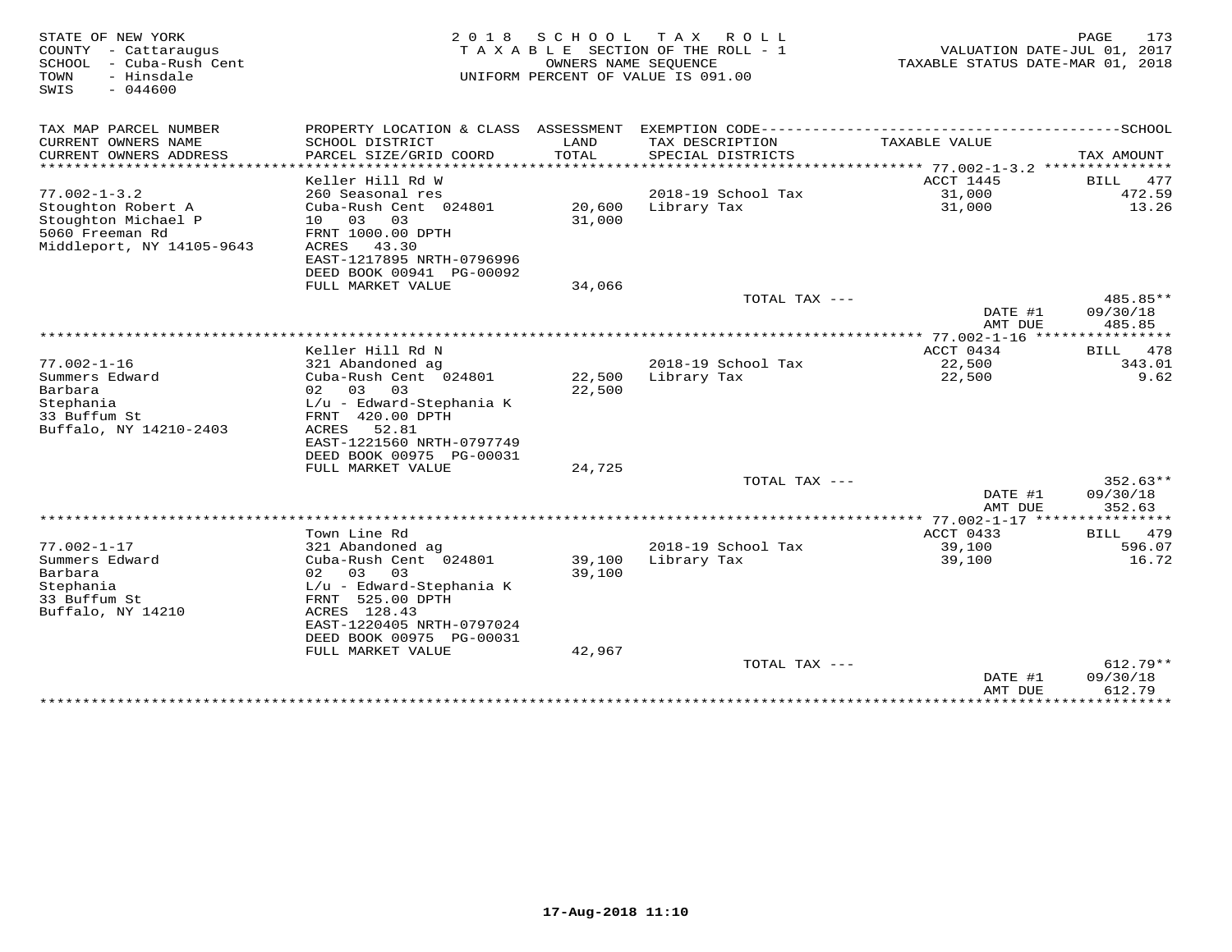| STATE OF NEW YORK<br>- Cattaraugus<br>COUNTY<br>SCHOOL<br>- Cuba-Rush Cent<br>TOWN<br>- Hinsdale<br>$-044600$<br>SWIS | 2 0 1 8                                                                   | SCHOOL           | T A X<br>ROLL<br>T A X A B L E SECTION OF THE ROLL - 1<br>OWNERS NAME SEQUENCE<br>UNIFORM PERCENT OF VALUE IS 091.00 | VALUATION DATE-JUL 01, 2017<br>TAXABLE STATUS DATE-MAR 01, 2018 | PAGE<br>173             |
|-----------------------------------------------------------------------------------------------------------------------|---------------------------------------------------------------------------|------------------|----------------------------------------------------------------------------------------------------------------------|-----------------------------------------------------------------|-------------------------|
| TAX MAP PARCEL NUMBER                                                                                                 | PROPERTY LOCATION & CLASS ASSESSMENT                                      |                  | EXEMPTION CODE------------                                                                                           |                                                                 | ----------SCHOOL        |
| CURRENT OWNERS NAME<br>CURRENT OWNERS ADDRESS<br>******************                                                   | SCHOOL DISTRICT<br>PARCEL SIZE/GRID COORD<br>************                 | LAND<br>TOTAL    | TAX DESCRIPTION<br>SPECIAL DISTRICTS                                                                                 | TAXABLE VALUE                                                   | TAX AMOUNT<br>* * * * * |
|                                                                                                                       | Keller Hill Rd W                                                          |                  |                                                                                                                      | **************************** 77.002-1-3.2 ********<br>ACCT 1445 | 477<br>BILL             |
| $77.002 - 1 - 3.2$                                                                                                    | 260 Seasonal res                                                          |                  | 2018-19 School Tax                                                                                                   | 31,000                                                          | 472.59                  |
| Stoughton Robert A<br>Stoughton Michael P<br>5060 Freeman Rd                                                          | Cuba-Rush Cent 024801<br>03<br>03<br>10 <sup>°</sup><br>FRNT 1000.00 DPTH | 20,600<br>31,000 | Library Tax                                                                                                          | 31,000                                                          | 13.26                   |
| Middleport, NY 14105-9643                                                                                             | ACRES<br>43.30<br>EAST-1217895 NRTH-0796996<br>DEED BOOK 00941 PG-00092   |                  |                                                                                                                      |                                                                 |                         |
|                                                                                                                       | FULL MARKET VALUE                                                         | 34,066           | TOTAL TAX ---                                                                                                        |                                                                 | 485.85**                |
|                                                                                                                       |                                                                           |                  |                                                                                                                      | DATE #1                                                         | 09/30/18                |
|                                                                                                                       |                                                                           |                  | **********************                                                                                               | AMT DUE<br>$77.002 - 1 - 16$                                    | 485.85<br>********      |
|                                                                                                                       | Keller Hill Rd N                                                          |                  |                                                                                                                      | ACCT 0434                                                       | 478<br>BILL             |
| $77.002 - 1 - 16$                                                                                                     | 321 Abandoned ag                                                          |                  | 2018-19 School Tax                                                                                                   | 22,500                                                          | 343.01                  |
| Summers Edward<br>Barbara                                                                                             | Cuba-Rush Cent 024801<br>02<br>03<br>03                                   | 22,500<br>22,500 | Library Tax                                                                                                          | 22,500                                                          | 9.62                    |
| Stephania                                                                                                             | L/u - Edward-Stephania K                                                  |                  |                                                                                                                      |                                                                 |                         |
| 33 Buffum St                                                                                                          | FRNT 420.00 DPTH                                                          |                  |                                                                                                                      |                                                                 |                         |
| Buffalo, NY 14210-2403                                                                                                | 52.81<br>ACRES<br>EAST-1221560 NRTH-0797749                               |                  |                                                                                                                      |                                                                 |                         |
|                                                                                                                       | DEED BOOK 00975 PG-00031                                                  |                  |                                                                                                                      |                                                                 |                         |
|                                                                                                                       | FULL MARKET VALUE                                                         | 24,725           |                                                                                                                      |                                                                 |                         |
|                                                                                                                       |                                                                           |                  | TOTAL TAX ---                                                                                                        |                                                                 | $352.63**$              |
|                                                                                                                       |                                                                           |                  |                                                                                                                      | DATE #1<br>AMT DUE                                              | 09/30/18<br>352.63      |
|                                                                                                                       |                                                                           |                  |                                                                                                                      | $77.002 - 1 - 17$ ****                                          | * * * * * * * *         |
|                                                                                                                       | Town Line Rd                                                              |                  |                                                                                                                      | ACCT 0433                                                       | 479<br>BILL             |
| $77.002 - 1 - 17$                                                                                                     | 321 Abandoned ag                                                          |                  | 2018-19 School Tax                                                                                                   | 39,100                                                          | 596.07                  |
| Summers Edward<br>Barbara                                                                                             | Cuba-Rush Cent 024801<br>02<br>03<br>03                                   | 39,100<br>39,100 | Library Tax                                                                                                          | 39,100                                                          | 16.72                   |
| Stephania                                                                                                             | L/u - Edward-Stephania K                                                  |                  |                                                                                                                      |                                                                 |                         |
| 33 Buffum St                                                                                                          | FRNT 525.00 DPTH                                                          |                  |                                                                                                                      |                                                                 |                         |
| Buffalo, NY 14210                                                                                                     | ACRES 128.43                                                              |                  |                                                                                                                      |                                                                 |                         |
|                                                                                                                       | EAST-1220405 NRTH-0797024                                                 |                  |                                                                                                                      |                                                                 |                         |
|                                                                                                                       | DEED BOOK 00975 PG-00031                                                  |                  |                                                                                                                      |                                                                 |                         |
|                                                                                                                       | FULL MARKET VALUE                                                         | 42,967           | TOTAL TAX ---                                                                                                        |                                                                 | $612.79**$              |
|                                                                                                                       |                                                                           |                  |                                                                                                                      | DATE #1                                                         | 09/30/18                |
|                                                                                                                       |                                                                           |                  |                                                                                                                      | AMT DUE                                                         | 612.79                  |
|                                                                                                                       |                                                                           |                  |                                                                                                                      | *************                                                   | *********               |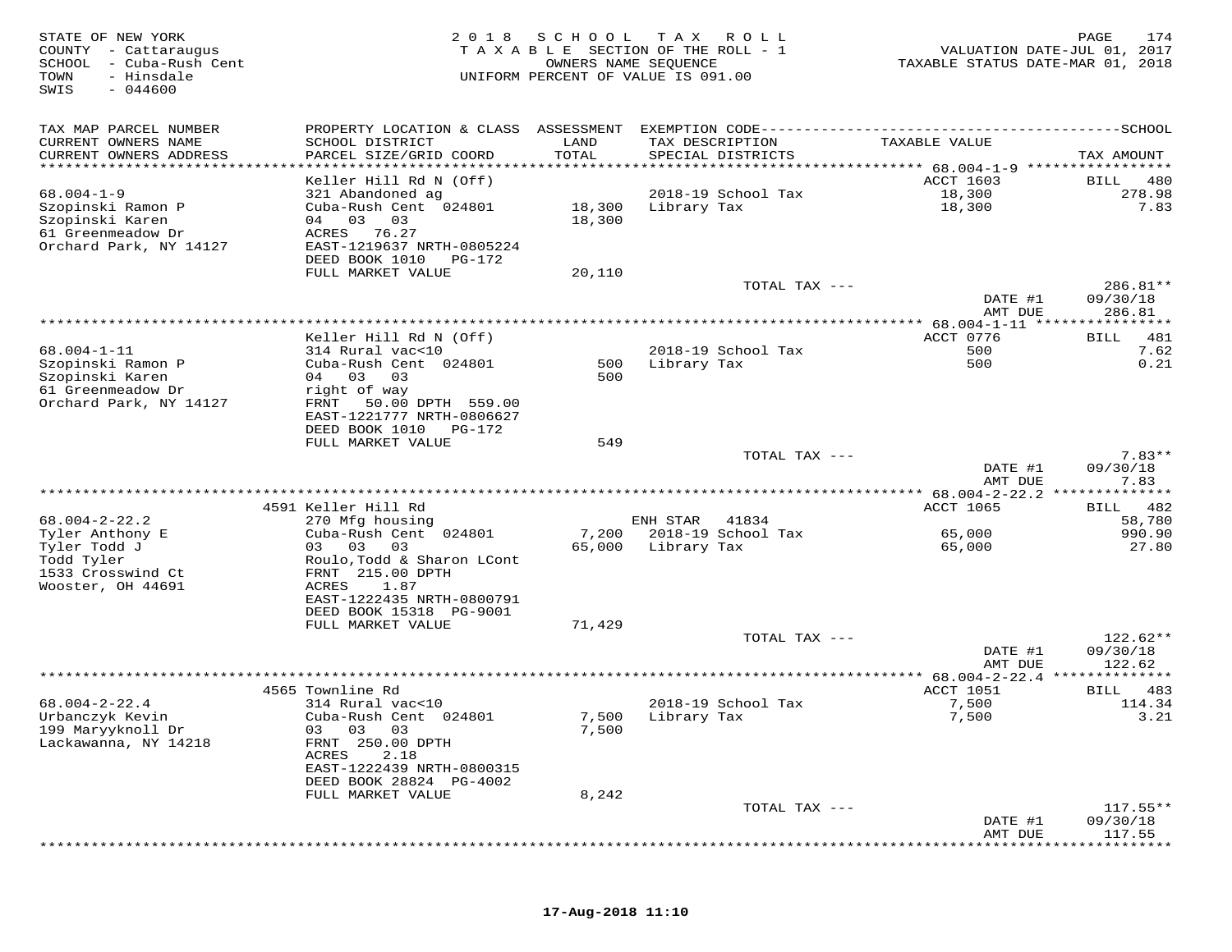| STATE OF NEW YORK<br>COUNTY - Cattaraugus<br>SCHOOL<br>- Cuba-Rush Cent<br>- Hinsdale<br>TOWN<br>$-044600$<br>SWIS | 2 0 1 8                                                             | SCHOOL<br>OWNERS NAME SEQUENCE | T A X<br>R O L L<br>TAXABLE SECTION OF THE ROLL - 1<br>UNIFORM PERCENT OF VALUE IS 091.00 | VALUATION DATE-JUL 01, 2017<br>TAXABLE STATUS DATE-MAR 01, 2018 | PAGE<br>174            |
|--------------------------------------------------------------------------------------------------------------------|---------------------------------------------------------------------|--------------------------------|-------------------------------------------------------------------------------------------|-----------------------------------------------------------------|------------------------|
| TAX MAP PARCEL NUMBER                                                                                              | PROPERTY LOCATION & CLASS ASSESSMENT                                |                                | EXEMPTION CODE------------                                                                |                                                                 | ----------SCHOOL       |
| CURRENT OWNERS NAME<br>CURRENT OWNERS ADDRESS<br>**********************                                            | SCHOOL DISTRICT<br>PARCEL SIZE/GRID COORD<br>********************** | LAND<br>TOTAL                  | TAX DESCRIPTION<br>SPECIAL DISTRICTS                                                      | TAXABLE VALUE                                                   | TAX AMOUNT             |
|                                                                                                                    | Keller Hill Rd N (Off)                                              |                                |                                                                                           | <b>ACCT 1603</b>                                                | BILL<br>480            |
| $68.004 - 1 - 9$                                                                                                   | 321 Abandoned ag                                                    |                                | 2018-19 School Tax                                                                        | 18,300                                                          | 278.98                 |
| Szopinski Ramon P<br>Szopinski Karen<br>61 Greenmeadow Dr                                                          | Cuba-Rush Cent 024801<br>03<br>04<br>03<br>ACRES<br>76.27           | 18,300<br>18,300               | Library Tax                                                                               | 18,300                                                          | 7.83                   |
| Orchard Park, NY 14127                                                                                             | EAST-1219637 NRTH-0805224<br>DEED BOOK 1010<br>PG-172               |                                |                                                                                           |                                                                 |                        |
|                                                                                                                    | FULL MARKET VALUE                                                   | 20,110                         | TOTAL TAX ---                                                                             |                                                                 | 286.81**               |
|                                                                                                                    |                                                                     |                                |                                                                                           | DATE #1<br>AMT DUE                                              | 09/30/18<br>286.81     |
|                                                                                                                    |                                                                     |                                | *******************************                                                           | ** $68.004 - 1 - 11$ *****                                      | * * * * * * * * * * *  |
| $68.004 - 1 - 11$                                                                                                  | Keller Hill Rd N (Off)<br>314 Rural vac<10                          |                                | 2018-19 School Tax                                                                        | ACCT 0776<br>500                                                | 481<br>BILL<br>7.62    |
| Szopinski Ramon P                                                                                                  | Cuba-Rush Cent 024801                                               | 500                            | Library Tax                                                                               | 500                                                             | 0.21                   |
| Szopinski Karen                                                                                                    | 04 03<br>03                                                         | 500                            |                                                                                           |                                                                 |                        |
| 61 Greenmeadow Dr<br>Orchard Park, NY 14127                                                                        | right of way<br>50.00 DPTH 559.00<br>FRNT                           |                                |                                                                                           |                                                                 |                        |
|                                                                                                                    | EAST-1221777 NRTH-0806627                                           |                                |                                                                                           |                                                                 |                        |
|                                                                                                                    | DEED BOOK 1010<br>PG-172                                            |                                |                                                                                           |                                                                 |                        |
|                                                                                                                    | FULL MARKET VALUE                                                   | 549                            | TOTAL TAX ---                                                                             |                                                                 | $7.83**$               |
|                                                                                                                    |                                                                     |                                |                                                                                           | DATE #1                                                         | 09/30/18               |
|                                                                                                                    |                                                                     |                                |                                                                                           | AMT DUE                                                         | 7.83<br>************** |
|                                                                                                                    | 4591 Keller Hill Rd                                                 |                                |                                                                                           | <b>ACCT 1065</b>                                                | 482<br>BILL            |
| $68.004 - 2 - 22.2$                                                                                                | 270 Mfg housing                                                     |                                | ENH STAR<br>41834                                                                         |                                                                 | 58,780                 |
| Tyler Anthony E<br>Tyler Todd J                                                                                    | Cuba-Rush Cent 024801<br>03<br>03<br>03                             | 7,200<br>65,000                | 2018-19 School Tax<br>Library Tax                                                         | 65,000<br>65,000                                                | 990.90<br>27.80        |
| Todd Tyler                                                                                                         | Roulo, Todd & Sharon LCont                                          |                                |                                                                                           |                                                                 |                        |
| 1533 Crosswind Ct                                                                                                  | FRNT 215.00 DPTH                                                    |                                |                                                                                           |                                                                 |                        |
| Wooster, OH 44691                                                                                                  | ACRES<br>1.87<br>EAST-1222435 NRTH-0800791                          |                                |                                                                                           |                                                                 |                        |
|                                                                                                                    | DEED BOOK 15318 PG-9001                                             |                                |                                                                                           |                                                                 |                        |
|                                                                                                                    | FULL MARKET VALUE                                                   | 71,429                         |                                                                                           |                                                                 |                        |
|                                                                                                                    |                                                                     |                                | TOTAL TAX ---                                                                             | DATE #1                                                         | $122.62**$<br>09/30/18 |
|                                                                                                                    |                                                                     |                                |                                                                                           | AMT DUE                                                         | 122.62                 |
|                                                                                                                    |                                                                     |                                |                                                                                           | $** 68.004 - 2 - 22.4$                                          |                        |
| $68.004 - 2 - 22.4$                                                                                                | 4565 Townline Rd<br>314 Rural vac<10                                |                                | 2018-19 School Tax                                                                        | ACCT 1051<br>7,500                                              | 483<br>BILL<br>114.34  |
| Urbanczyk Kevin                                                                                                    | Cuba-Rush Cent 024801                                               | 7,500                          | Library Tax                                                                               | 7,500                                                           | 3.21                   |
| 199 Maryyknoll Dr                                                                                                  | 03 03 03                                                            | 7,500                          |                                                                                           |                                                                 |                        |
| Lackawanna, NY 14218                                                                                               | FRNT 250.00 DPTH<br>2.18<br>ACRES                                   |                                |                                                                                           |                                                                 |                        |
|                                                                                                                    | EAST-1222439 NRTH-0800315                                           |                                |                                                                                           |                                                                 |                        |
|                                                                                                                    | DEED BOOK 28824 PG-4002                                             |                                |                                                                                           |                                                                 |                        |
|                                                                                                                    | FULL MARKET VALUE                                                   | 8,242                          | TOTAL TAX ---                                                                             |                                                                 | $117.55**$             |
|                                                                                                                    |                                                                     |                                |                                                                                           | DATE #1                                                         | 09/30/18               |
|                                                                                                                    |                                                                     |                                |                                                                                           | AMT DUE                                                         | 117.55                 |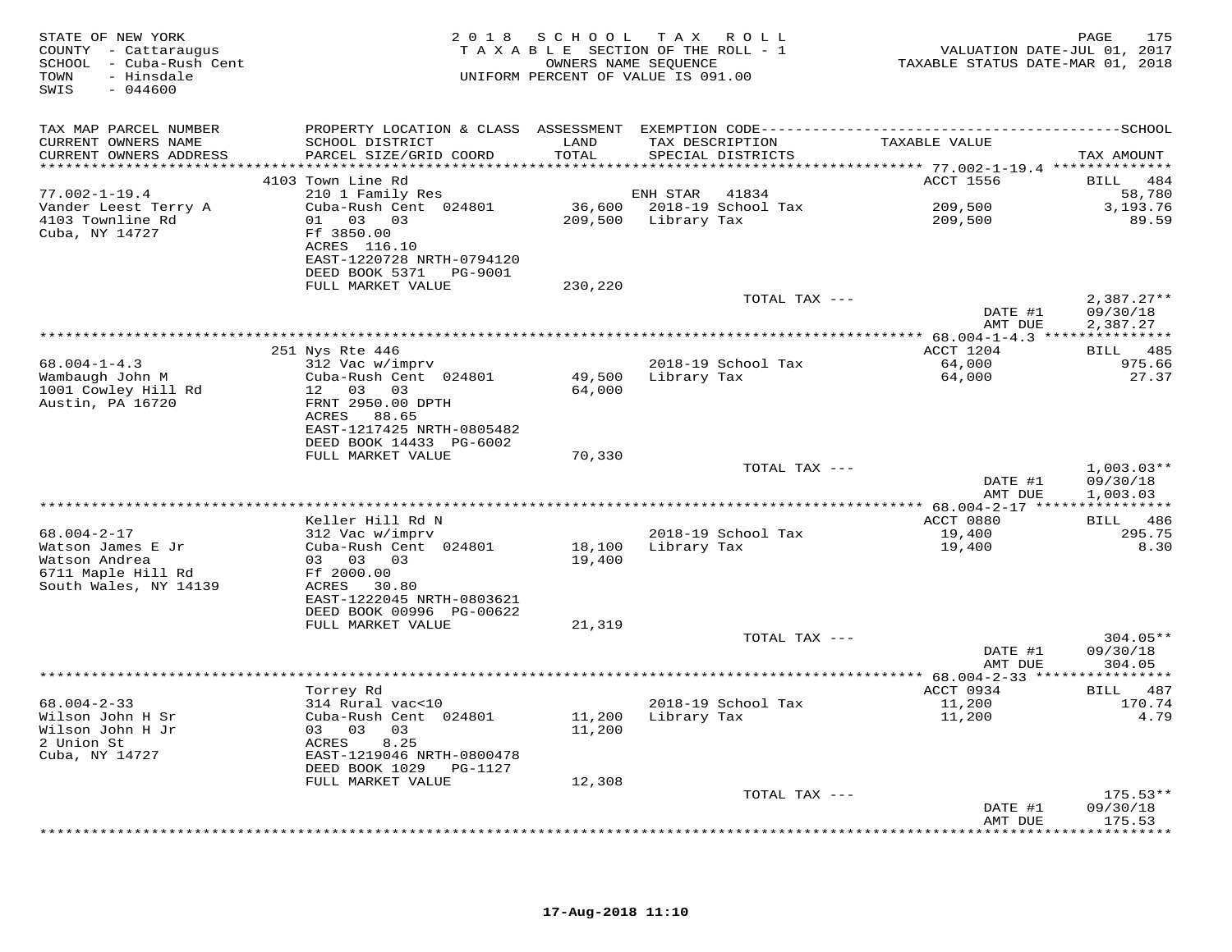| STATE OF NEW YORK<br>COUNTY - Cattaraugus<br>SCHOOL - Cuba-Rush Cent<br>- Hinsdale<br>TOWN<br>SWIS<br>$-044600$ |                                                                                                                                            |                  | 2018 SCHOOL TAX ROLL<br>TAXABLE SECTION OF THE ROLL - 1<br>OWNERS NAME SEQUENCE<br>UNIFORM PERCENT OF VALUE IS 091.00 | VALUATION DATE-JUL 01, 2017<br>TAXABLE STATUS DATE-MAR 01, 2018 | 175<br>PAGE                          |
|-----------------------------------------------------------------------------------------------------------------|--------------------------------------------------------------------------------------------------------------------------------------------|------------------|-----------------------------------------------------------------------------------------------------------------------|-----------------------------------------------------------------|--------------------------------------|
| TAX MAP PARCEL NUMBER<br>CURRENT OWNERS NAME<br>CURRENT OWNERS ADDRESS                                          | SCHOOL DISTRICT<br>PARCEL SIZE/GRID COORD                                                                                                  | LAND<br>TOTAL    | TAX DESCRIPTION<br>SPECIAL DISTRICTS                                                                                  | TAXABLE VALUE                                                   | TAX AMOUNT                           |
|                                                                                                                 | 4103 Town Line Rd                                                                                                                          |                  |                                                                                                                       | ACCT 1556                                                       | BILL 484                             |
| $77.002 - 1 - 19.4$<br>Vander Leest Terry A                                                                     | 210 1 Family Res<br>Cuba-Rush Cent 024801                                                                                                  |                  | ENH STAR<br>41834<br>36,600 2018-19 School Tax                                                                        | 209,500                                                         | 58,780<br>3,193.76                   |
| 4103 Townline Rd<br>Cuba, NY 14727                                                                              | 01 03 03<br>Ff 3850.00<br>ACRES 116.10<br>EAST-1220728 NRTH-0794120<br>DEED BOOK 5371 PG-9001                                              |                  | 209,500 Library Tax                                                                                                   | 209,500                                                         | 89.59                                |
|                                                                                                                 | FULL MARKET VALUE                                                                                                                          | 230,220          |                                                                                                                       |                                                                 |                                      |
|                                                                                                                 |                                                                                                                                            |                  | TOTAL TAX ---                                                                                                         | DATE #1<br>AMT DUE                                              | $2,387.27**$<br>09/30/18<br>2,387.27 |
|                                                                                                                 | ***************<br>251 Nys Rte 446                                                                                                         |                  |                                                                                                                       | *********** 68.004-1-4.3 ****************<br>ACCT 1204          | BILL 485                             |
| $68.004 - 1 - 4.3$<br>Wambaugh John M<br>1001 Cowley Hill Rd<br>Austin, PA 16720                                | 312 Vac w/imprv<br>Cuba-Rush Cent 024801<br>12  03  03<br>FRNT 2950.00 DPTH<br>ACRES 88.65<br>EAST-1217425 NRTH-0805482                    | 64,000           | 2018-19 School Tax<br>49,500 Library Tax                                                                              | 64,000<br>64,000                                                | 975.66<br>27.37                      |
|                                                                                                                 | DEED BOOK 14433 PG-6002<br>FULL MARKET VALUE                                                                                               | 70,330           |                                                                                                                       |                                                                 |                                      |
|                                                                                                                 |                                                                                                                                            |                  | TOTAL TAX ---                                                                                                         | DATE #1<br>AMT DUE                                              | $1,003.03**$<br>09/30/18<br>1,003.03 |
|                                                                                                                 | Keller Hill Rd N                                                                                                                           |                  |                                                                                                                       | ACCT 0880                                                       | BILL 486                             |
| $68.004 - 2 - 17$<br>Watson James E Jr<br>Watson Andrea<br>6711 Maple Hill Rd<br>South Wales, NY 14139          | 312 Vac w/imprv<br>Cuba-Rush Cent 024801<br>03 03 03<br>Ff 2000.00<br>ACRES 30.80<br>EAST-1222045 NRTH-0803621                             | 18,100<br>19,400 | 2018-19 School Tax<br>Library Tax                                                                                     | 19,400<br>19,400                                                | 295.75<br>8.30                       |
|                                                                                                                 | DEED BOOK 00996 PG-00622<br>FULL MARKET VALUE                                                                                              | 21,319           |                                                                                                                       |                                                                 |                                      |
|                                                                                                                 |                                                                                                                                            |                  | TOTAL TAX ---                                                                                                         | DATE #1<br>AMT DUE                                              | $304.05**$<br>09/30/18<br>304.05     |
|                                                                                                                 |                                                                                                                                            |                  |                                                                                                                       |                                                                 |                                      |
| $68.004 - 2 - 33$<br>Wilson John H Sr<br>Wilson John H Jr<br>2 Union St<br>Cuba, NY 14727                       | Torrey Rd<br>314 Rural vac<10<br>Cuba-Rush Cent 024801<br>03 03 03<br>ACRES<br>8.25<br>EAST-1219046 NRTH-0800478<br>DEED BOOK 1029 PG-1127 | 11,200<br>11,200 | 2018-19 School Tax<br>Library Tax                                                                                     | ACCT 0934<br>11,200<br>11,200                                   | BILL 487<br>170.74<br>4.79           |
|                                                                                                                 | FULL MARKET VALUE                                                                                                                          | 12,308           |                                                                                                                       |                                                                 |                                      |
|                                                                                                                 |                                                                                                                                            |                  | TOTAL TAX ---                                                                                                         | DATE #1<br>AMT DUE                                              | $175.53**$<br>09/30/18<br>175.53     |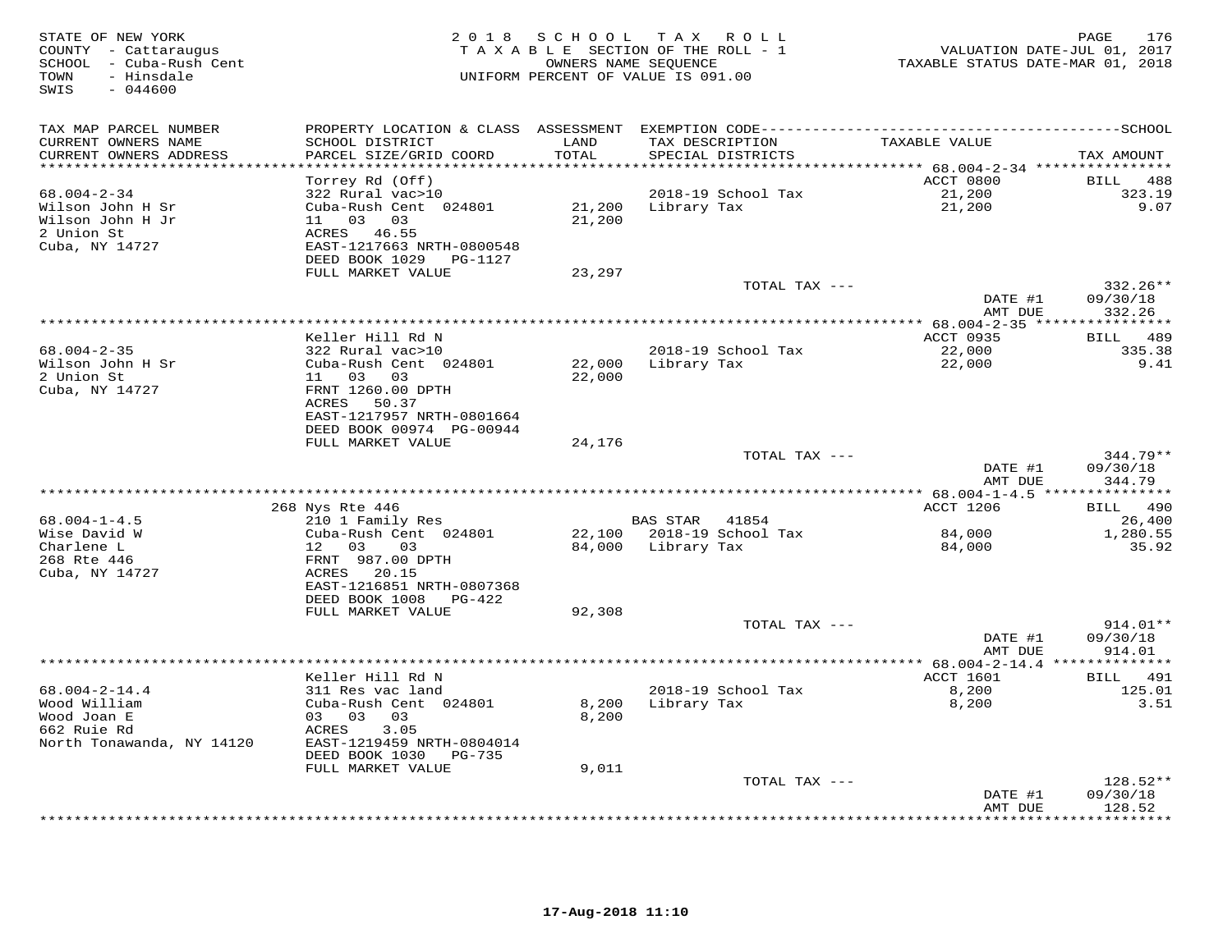| STATE OF NEW YORK<br>COUNTY - Cattaraugus<br>SCHOOL - Cuba-Rush Cent<br>- Hinsdale<br>TOWN<br>SWIS<br>$-044600$ |                                            | 2018 SCHOOL      | T A X<br>R O L L<br>TAXABLE SECTION OF THE ROLL - 1<br>OWNERS NAME SEQUENCE<br>UNIFORM PERCENT OF VALUE IS 091.00 | VALUATION DATE-JUL 01, 2017<br>TAXABLE STATUS DATE-MAR 01, 2018 | 176<br>PAGE               |
|-----------------------------------------------------------------------------------------------------------------|--------------------------------------------|------------------|-------------------------------------------------------------------------------------------------------------------|-----------------------------------------------------------------|---------------------------|
| TAX MAP PARCEL NUMBER                                                                                           |                                            |                  |                                                                                                                   |                                                                 |                           |
| CURRENT OWNERS NAME<br>CURRENT OWNERS ADDRESS                                                                   | SCHOOL DISTRICT<br>PARCEL SIZE/GRID COORD  | LAND<br>TOTAL    | TAX DESCRIPTION<br>SPECIAL DISTRICTS                                                                              | TAXABLE VALUE                                                   | TAX AMOUNT                |
| *******************                                                                                             |                                            | **********       |                                                                                                                   |                                                                 |                           |
| $68.004 - 2 - 34$                                                                                               | Torrey Rd (Off)<br>322 Rural vac>10        |                  | 2018-19 School Tax                                                                                                | ACCT 0800<br>21,200                                             | BILL<br>488<br>323.19     |
| Wilson John H Sr                                                                                                | Cuba-Rush Cent 024801                      | 21,200           | Library Tax                                                                                                       | 21,200                                                          | 9.07                      |
| Wilson John H Jr                                                                                                | 03<br>11<br>03                             | 21,200           |                                                                                                                   |                                                                 |                           |
| 2 Union St                                                                                                      | ACRES 46.55                                |                  |                                                                                                                   |                                                                 |                           |
| Cuba, NY 14727                                                                                                  | EAST-1217663 NRTH-0800548                  |                  |                                                                                                                   |                                                                 |                           |
|                                                                                                                 | DEED BOOK 1029<br>PG-1127                  |                  |                                                                                                                   |                                                                 |                           |
|                                                                                                                 | FULL MARKET VALUE                          | 23,297           | TOTAL TAX ---                                                                                                     |                                                                 | $332.26**$                |
|                                                                                                                 |                                            |                  |                                                                                                                   | DATE #1                                                         | 09/30/18                  |
|                                                                                                                 |                                            |                  |                                                                                                                   | AMT DUE                                                         | 332.26                    |
|                                                                                                                 |                                            |                  |                                                                                                                   |                                                                 |                           |
|                                                                                                                 | Keller Hill Rd N                           |                  |                                                                                                                   | ACCT 0935                                                       | 489<br>BILL               |
| $68.004 - 2 - 35$                                                                                               | 322 Rural vac>10                           |                  | 2018-19 School Tax                                                                                                | 22,000                                                          | 335.38                    |
| Wilson John H Sr<br>2 Union St                                                                                  | Cuba-Rush Cent 024801<br>11 03<br>03       | 22,000<br>22,000 | Library Tax                                                                                                       | 22,000                                                          | 9.41                      |
| Cuba, NY 14727                                                                                                  | FRNT 1260.00 DPTH                          |                  |                                                                                                                   |                                                                 |                           |
|                                                                                                                 | ACRES 50.37                                |                  |                                                                                                                   |                                                                 |                           |
|                                                                                                                 | EAST-1217957 NRTH-0801664                  |                  |                                                                                                                   |                                                                 |                           |
|                                                                                                                 | DEED BOOK 00974 PG-00944                   |                  |                                                                                                                   |                                                                 |                           |
|                                                                                                                 | FULL MARKET VALUE                          | 24,176           |                                                                                                                   |                                                                 |                           |
|                                                                                                                 |                                            |                  | TOTAL TAX ---                                                                                                     | DATE #1                                                         | $344.79**$<br>09/30/18    |
|                                                                                                                 |                                            |                  |                                                                                                                   | AMT DUE                                                         | 344.79                    |
|                                                                                                                 |                                            |                  |                                                                                                                   |                                                                 |                           |
|                                                                                                                 | 268 Nys Rte 446                            |                  |                                                                                                                   | ACCT 1206                                                       | BILL 490                  |
| $68.004 - 1 - 4.5$                                                                                              | 210 1 Family Res                           |                  | BAS STAR<br>41854                                                                                                 |                                                                 | 26,400                    |
| Wise David W                                                                                                    | Cuba-Rush Cent 024801                      | 22,100           | 2018-19 School Tax                                                                                                | 84,000                                                          | 1,280.55                  |
| Charlene L<br>268 Rte 446                                                                                       | 12 03<br>03<br>FRNT 987.00 DPTH            | 84,000           | Library Tax                                                                                                       | 84,000                                                          | 35.92                     |
| Cuba, NY 14727                                                                                                  | ACRES 20.15                                |                  |                                                                                                                   |                                                                 |                           |
|                                                                                                                 | EAST-1216851 NRTH-0807368                  |                  |                                                                                                                   |                                                                 |                           |
|                                                                                                                 | DEED BOOK 1008<br>PG-422                   |                  |                                                                                                                   |                                                                 |                           |
|                                                                                                                 | FULL MARKET VALUE                          | 92,308           |                                                                                                                   |                                                                 |                           |
|                                                                                                                 |                                            |                  | TOTAL TAX ---                                                                                                     |                                                                 | 914.01**                  |
|                                                                                                                 |                                            |                  |                                                                                                                   | DATE #1<br>AMT DUE                                              | 09/30/18<br>914.01        |
|                                                                                                                 |                                            |                  |                                                                                                                   |                                                                 |                           |
|                                                                                                                 | Keller Hill Rd N                           |                  |                                                                                                                   | ACCT 1601                                                       | BILL 491                  |
| $68.004 - 2 - 14.4$                                                                                             | 311 Res vac land                           |                  | 2018-19 School Tax                                                                                                | 8,200                                                           | 125.01                    |
| Wood William                                                                                                    | Cuba-Rush Cent 024801                      | 8,200            | Library Tax                                                                                                       | 8,200                                                           | 3.51                      |
| Wood Joan E                                                                                                     | 03 03<br>03                                | 8,200            |                                                                                                                   |                                                                 |                           |
| 662 Ruie Rd<br>North Tonawanda, NY 14120                                                                        | 3.05<br>ACRES<br>EAST-1219459 NRTH-0804014 |                  |                                                                                                                   |                                                                 |                           |
|                                                                                                                 | DEED BOOK 1030<br>PG-735                   |                  |                                                                                                                   |                                                                 |                           |
|                                                                                                                 | FULL MARKET VALUE                          | 9,011            |                                                                                                                   |                                                                 |                           |
|                                                                                                                 |                                            |                  | TOTAL TAX ---                                                                                                     |                                                                 | $128.52**$                |
|                                                                                                                 |                                            |                  |                                                                                                                   | DATE #1                                                         | 09/30/18                  |
|                                                                                                                 |                                            |                  |                                                                                                                   | AMT DUE                                                         | 128.52<br>* * * * * * * * |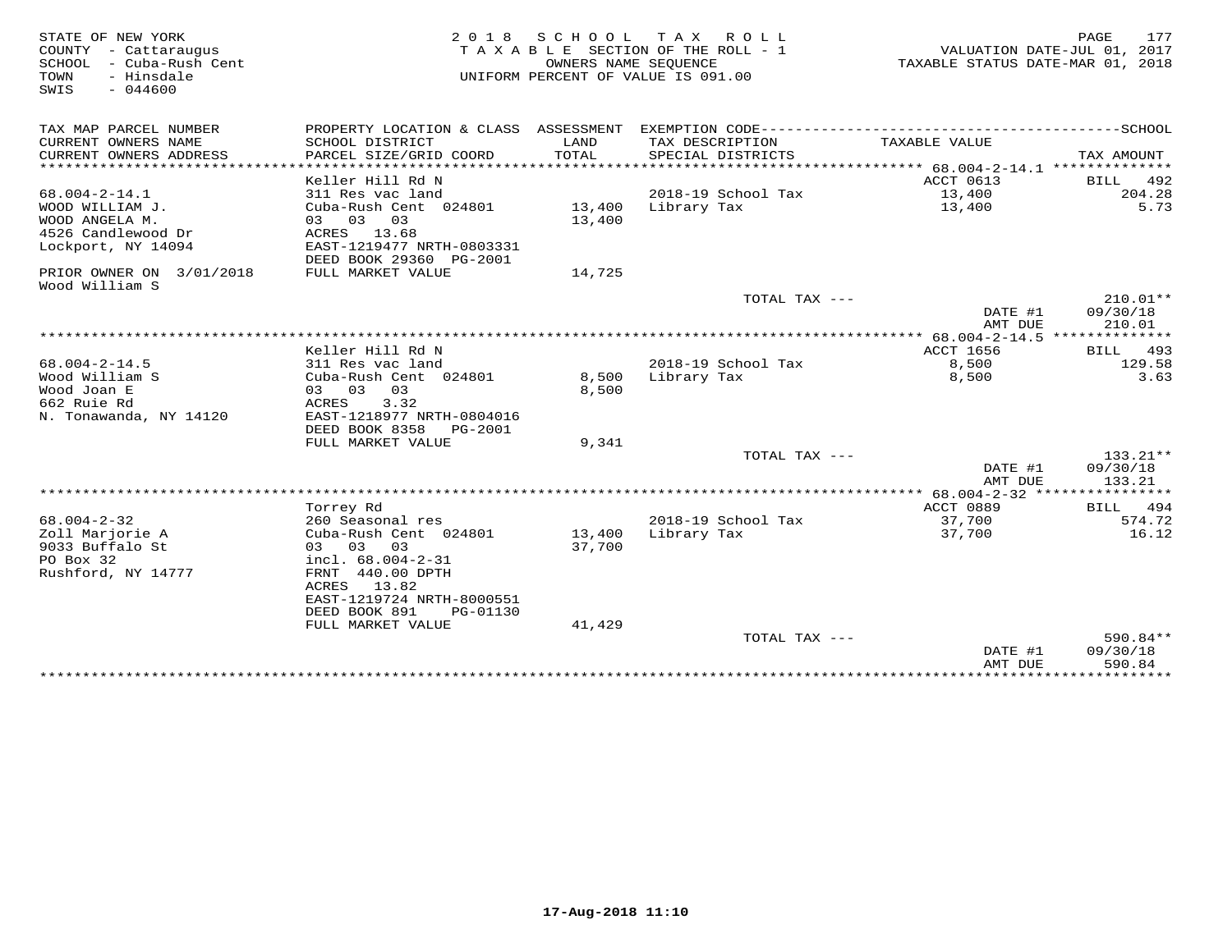| STATE OF NEW YORK<br>COUNTY - Cattaraugus<br>SCHOOL - Cuba-Rush Cent | 2 0 1 8<br>TAXABLE SECTION OF THE ROLL - 1                                                   | 177<br>PAGE<br>VALUATION DATE-JUL 01, 2017<br>TAXABLE STATUS DATE-MAR 01, 2018 |                                      |                                        |                    |
|----------------------------------------------------------------------|----------------------------------------------------------------------------------------------|--------------------------------------------------------------------------------|--------------------------------------|----------------------------------------|--------------------|
| - Hinsdale<br>TOWN<br>$-044600$<br>SWIS                              |                                                                                              |                                                                                | UNIFORM PERCENT OF VALUE IS 091.00   |                                        |                    |
| TAX MAP PARCEL NUMBER                                                | PROPERTY LOCATION & CLASS ASSESSMENT EXEMPTION CODE-----------------------------------SCHOOL |                                                                                |                                      |                                        |                    |
| CURRENT OWNERS NAME<br>CURRENT OWNERS ADDRESS                        | SCHOOL DISTRICT<br>PARCEL SIZE/GRID COORD                                                    | LAND<br>TOTAL                                                                  | TAX DESCRIPTION<br>SPECIAL DISTRICTS | TAXABLE VALUE                          | TAX AMOUNT         |
|                                                                      |                                                                                              |                                                                                |                                      |                                        |                    |
|                                                                      | Keller Hill Rd N                                                                             |                                                                                |                                      | ACCT 0613                              | BILL 492           |
| $68.004 - 2 - 14.1$                                                  | 311 Res vac land                                                                             |                                                                                | 2018-19 School Tax                   | 13,400                                 | 204.28             |
| WOOD WILLIAM J.                                                      | Cuba-Rush Cent 024801                                                                        | 13,400                                                                         | Library Tax                          | 13,400                                 | 5.73               |
| WOOD ANGELA M.                                                       | 03 03 03                                                                                     | 13,400                                                                         |                                      |                                        |                    |
| 4526 Candlewood Dr                                                   | ACRES 13.68                                                                                  |                                                                                |                                      |                                        |                    |
| Lockport, NY 14094                                                   | EAST-1219477 NRTH-0803331<br>DEED BOOK 29360 PG-2001                                         |                                                                                |                                      |                                        |                    |
| PRIOR OWNER ON 3/01/2018<br>Wood William S                           | FULL MARKET VALUE                                                                            | 14,725                                                                         |                                      |                                        |                    |
|                                                                      |                                                                                              |                                                                                | TOTAL TAX ---                        |                                        | $210.01**$         |
|                                                                      |                                                                                              |                                                                                |                                      | DATE #1<br>AMT DUE                     | 09/30/18<br>210.01 |
|                                                                      |                                                                                              |                                                                                |                                      | ** 68.004-2-14.5 ***************       |                    |
|                                                                      | Keller Hill Rd N                                                                             |                                                                                |                                      | ACCT 1656                              | 493<br><b>BILL</b> |
| $68.004 - 2 - 14.5$                                                  | 311 Res vac land                                                                             |                                                                                | 2018-19 School Tax                   | 8,500                                  | 129.58             |
| Wood William S<br>Wood Joan E                                        | Cuba-Rush Cent 024801<br>03 03<br>03                                                         | 8,500<br>8,500                                                                 | Library Tax                          | 8,500                                  | 3.63               |
| 662 Ruie Rd                                                          | 3.32<br>ACRES                                                                                |                                                                                |                                      |                                        |                    |
| N. Tonawanda, NY 14120                                               | EAST-1218977 NRTH-0804016                                                                    |                                                                                |                                      |                                        |                    |
|                                                                      | DEED BOOK 8358<br>PG-2001                                                                    |                                                                                |                                      |                                        |                    |
|                                                                      | FULL MARKET VALUE                                                                            | 9,341                                                                          |                                      |                                        |                    |
|                                                                      |                                                                                              |                                                                                | TOTAL TAX ---                        |                                        | $133.21**$         |
|                                                                      |                                                                                              |                                                                                |                                      | DATE #1                                | 09/30/18           |
|                                                                      |                                                                                              |                                                                                |                                      | AMT DUE                                | 133.21             |
|                                                                      |                                                                                              |                                                                                |                                      | ** $68.004 - 2 - 32$ ***************** |                    |
|                                                                      | Torrey Rd                                                                                    |                                                                                |                                      | ACCT 0889                              | BILL 494           |
| $68.004 - 2 - 32$                                                    | 260 Seasonal res                                                                             |                                                                                | 2018-19 School Tax                   | 37,700                                 | 574.72             |
| Zoll Marjorie A                                                      | Cuba-Rush Cent 024801                                                                        | 13,400                                                                         | Library Tax                          | 37,700                                 | 16.12              |
| 9033 Buffalo St<br>PO Box 32                                         | 03 03 03                                                                                     | 37,700                                                                         |                                      |                                        |                    |
| Rushford, NY 14777                                                   | incl. 68.004-2-31<br>FRNT 440.00 DPTH                                                        |                                                                                |                                      |                                        |                    |
|                                                                      | ACRES<br>13.82                                                                               |                                                                                |                                      |                                        |                    |
|                                                                      | EAST-1219724 NRTH-8000551                                                                    |                                                                                |                                      |                                        |                    |
|                                                                      | DEED BOOK 891<br>PG-01130                                                                    |                                                                                |                                      |                                        |                    |
|                                                                      | FULL MARKET VALUE                                                                            | 41,429                                                                         |                                      |                                        |                    |
|                                                                      |                                                                                              |                                                                                | TOTAL TAX $---$                      |                                        | 590.84**           |
|                                                                      |                                                                                              |                                                                                |                                      | DATE #1                                | 09/30/18           |
|                                                                      |                                                                                              |                                                                                |                                      | AMT DUE                                | 590.84             |
|                                                                      | **********************************                                                           |                                                                                |                                      | *******************************        |                    |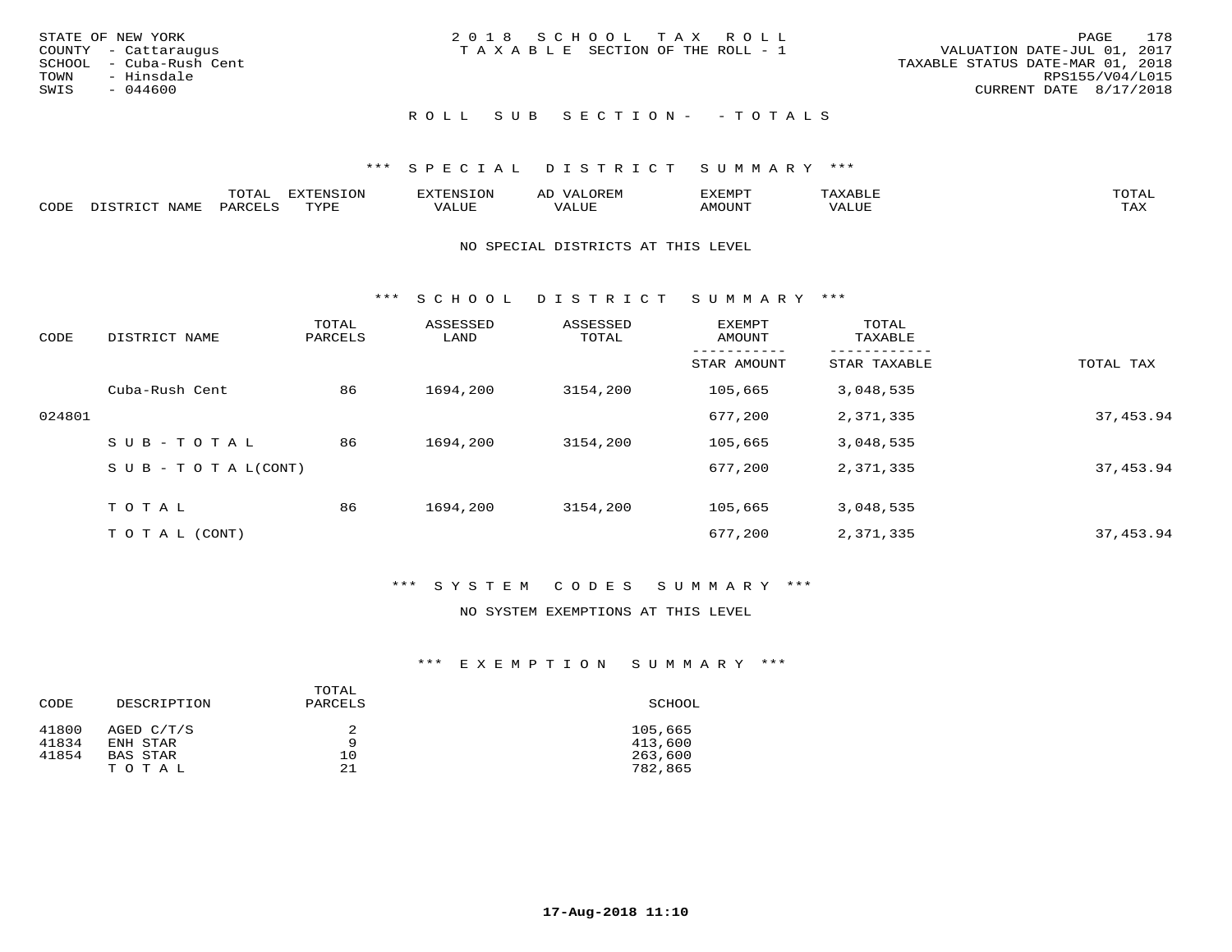|      | STATE OF NEW YORK       | 2018 SCHOOL TAX ROLL            |  |                                  |                        | PAGE | 178 |
|------|-------------------------|---------------------------------|--|----------------------------------|------------------------|------|-----|
|      | COUNTY - Cattaraugus    | TAXABLE SECTION OF THE ROLL - 1 |  | VALUATION DATE-JUL 01, 2017      |                        |      |     |
|      | SCHOOL - Cuba-Rush Cent |                                 |  | TAXABLE STATUS DATE-MAR 01, 2018 |                        |      |     |
|      | TOWN - Hinsdale         |                                 |  |                                  | RPS155/V04/L015        |      |     |
| SWIS | - 044600                |                                 |  |                                  | CURRENT DATE 8/17/2018 |      |     |
|      |                         |                                 |  |                                  |                        |      |     |

## ROLL SUB SECTION - - TOTALS

### \*\*\* S P E C I A L D I S T R I C T S U M M A R Y \*\*\*

|      |                      | ----           | <b>FYTFNSION</b><br>- 75 | <b>FNC</b>     | ᅺᅜᄓ                      | SXEMPT | $\Delta$<br>.                  | $m \wedge m \wedge n$ |
|------|----------------------|----------------|--------------------------|----------------|--------------------------|--------|--------------------------------|-----------------------|
| CODE | <b>NTAMT</b><br>⊥∙⊥⊥ | D.ODT.<br>PARL | $m \tau \tau m$<br>.     | T T T<br>ALUF: | , <del>,</del> , , , , , | MOUN.  | , 77 T TT <del>D</del><br>ALUE | TAX                   |

#### NO SPECIAL DISTRICTS AT THIS LEVEL

\*\*\* S C H O O L D I S T R I C T S U M M A R Y \*\*\*

| CODE   | DISTRICT NAME                    | TOTAL<br>PARCELS | ASSESSED<br>LAND | ASSESSED<br>TOTAL | EXEMPT<br>AMOUNT | TOTAL<br>TAXABLE |            |
|--------|----------------------------------|------------------|------------------|-------------------|------------------|------------------|------------|
|        |                                  |                  |                  |                   | STAR AMOUNT      | STAR TAXABLE     | TOTAL TAX  |
|        | Cuba-Rush Cent                   | 86               | 1694,200         | 3154,200          | 105,665          | 3,048,535        |            |
| 024801 |                                  |                  |                  |                   | 677,200          | 2,371,335        | 37, 453.94 |
|        | SUB-TOTAL                        | 86               | 1694,200         | 3154,200          | 105,665          | 3,048,535        |            |
|        | $S \cup B - T \cup T A L (CONT)$ |                  |                  |                   | 677,200          | 2,371,335        | 37, 453.94 |
|        | TOTAL                            | 86               | 1694,200         | 3154,200          | 105,665          | 3,048,535        |            |
|        | T O T A L (CONT)                 |                  |                  |                   | 677,200          | 2,371,335        | 37, 453.94 |

## \*\*\* S Y S T E M C O D E S S U M M A R Y \*\*\*

## NO SYSTEM EXEMPTIONS AT THIS LEVEL

#### \*\*\* E X E M P T I O N S U M M A R Y \*\*\*

| CODE  | DESCRIPTION     | TOTAL<br>PARCELS | SCHOOL  |
|-------|-----------------|------------------|---------|
| 41800 | AGED C/T/S      | q                | 105,665 |
| 41834 | ENH STAR        |                  | 413,600 |
| 41854 | <b>BAS STAR</b> | 10               | 263,600 |
|       | TOTAL           | 21               | 782,865 |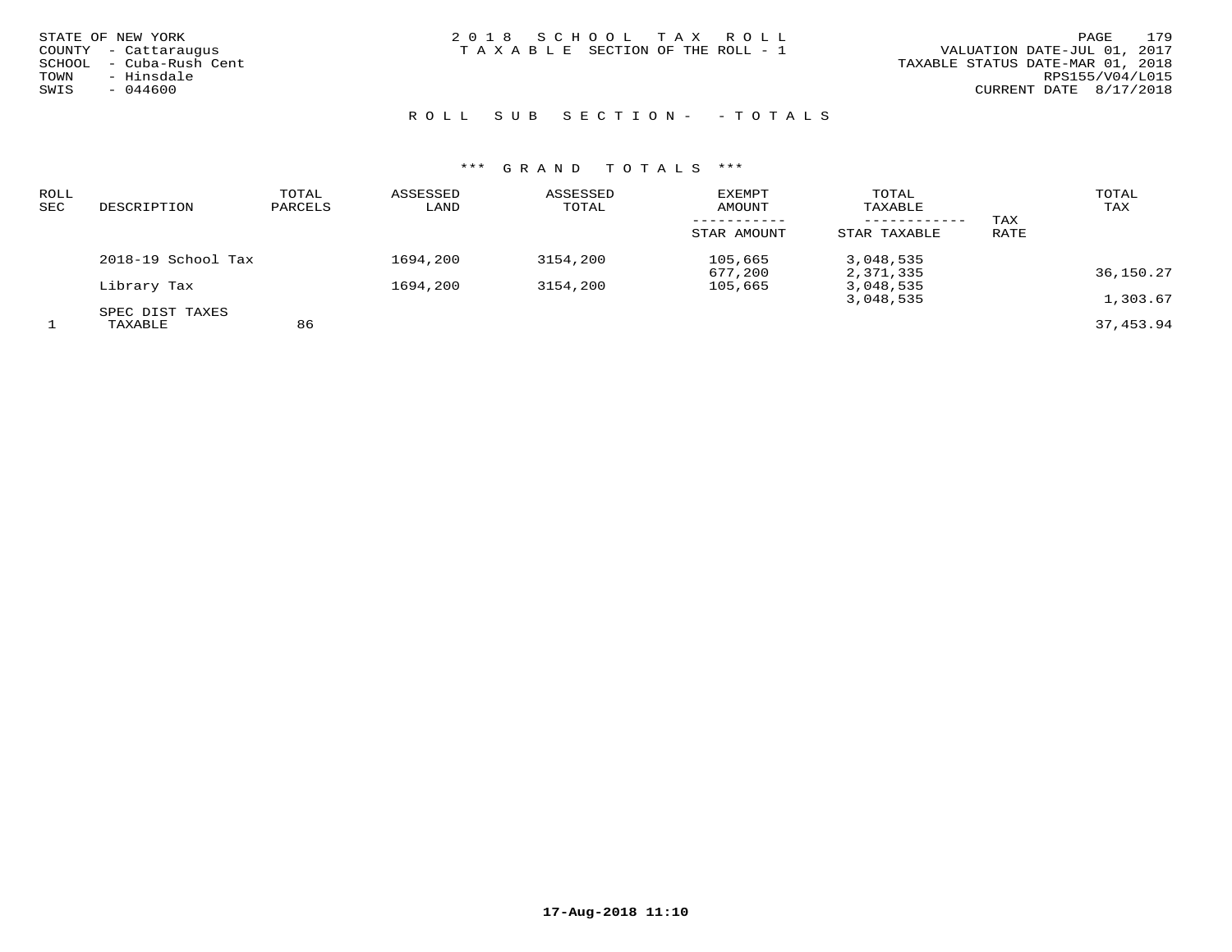| STATE OF NEW YORK |                  |
|-------------------|------------------|
| COUNTY            | - Cattaraugus    |
| SCHOOL            | - Cuba-Rush Cent |
| TOWN              | - Hinsdale       |
| SWIS              | $-044600$        |
|                   |                  |

STATE OF NEW YORK 2 0 1 8 S C H O O L T A X R O L L PAGE 179TAXABLE SECTION OF THE ROLL - 1

## ROLL SUB SECTION - - TOTALS

| ROLL<br>SEC | DESCRIPTION        | TOTAL<br>PARCELS | ASSESSED<br>LAND | ASSESSED<br>TOTAL | EXEMPT<br><b>AMOUNT</b> | TOTAL<br>TAXABLE |      | TOTAL<br>TAX |
|-------------|--------------------|------------------|------------------|-------------------|-------------------------|------------------|------|--------------|
|             |                    |                  |                  |                   |                         | ------------     | TAX  |              |
|             |                    |                  |                  |                   | STAR AMOUNT             | STAR TAXABLE     | RATE |              |
|             | 2018-19 School Tax |                  | 1694,200         | 3154,200          | 105,665                 | 3,048,535        |      |              |
|             |                    |                  |                  |                   | 677,200                 | 2,371,335        |      | 36,150.27    |
|             | Library Tax        |                  | 1694,200         | 3154,200          | 105,665                 | 3,048,535        |      |              |
|             |                    |                  |                  |                   |                         | 3,048,535        |      | 1,303.67     |
|             | SPEC DIST TAXES    |                  |                  |                   |                         |                  |      |              |
|             | TAXABLE            | 86               |                  |                   |                         |                  |      | 37,453.94    |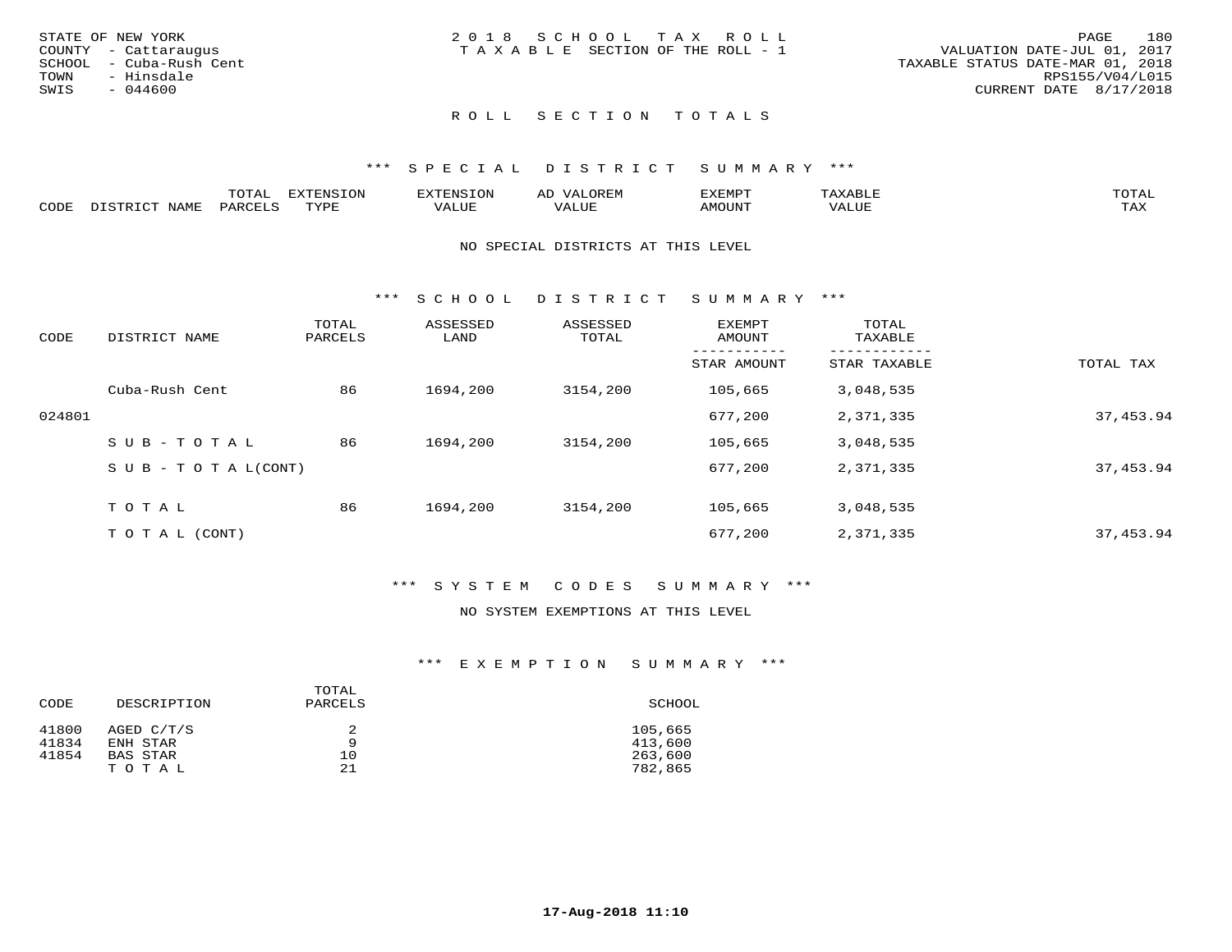|      | STATE OF NEW YORK       | 2018 SCHOOL TAX ROLL            |  |  |                                  |                        | PAGE | 180 |
|------|-------------------------|---------------------------------|--|--|----------------------------------|------------------------|------|-----|
|      | COUNTY - Cattaraugus    | TAXABLE SECTION OF THE ROLL - 1 |  |  | VALUATION DATE-JUL 01, 2017      |                        |      |     |
|      | SCHOOL - Cuba-Rush Cent |                                 |  |  | TAXABLE STATUS DATE-MAR 01, 2018 |                        |      |     |
| TOWN | - Hinsdale              |                                 |  |  |                                  | RPS155/V04/L015        |      |     |
| SWIS | - 044600                |                                 |  |  |                                  | CURRENT DATE 8/17/2018 |      |     |
|      |                         |                                 |  |  |                                  |                        |      |     |

## ROLL SECTION TOTALS

#### \*\*\* S P E C I A L D I S T R I C T S U M M A R Y \*\*\*

|      |                  | momm <sup>.</sup><br>TOTAT | <b>ELIMENT OF ONT</b><br>T OTA | <b>FINS</b> | OREM                     | CXEMPT        | $max$ is $max$ $n$       | $m \wedge m \wedge n$ |
|------|------------------|----------------------------|--------------------------------|-------------|--------------------------|---------------|--------------------------|-----------------------|
| CODE | NAME<br>DISTRICT | PARCELS                    | TVDF<br>.                      | 7ALUE.      | . <del>.</del><br>. ALUF | <b>AMOUNT</b> | * * * * * * * *<br>'ALUL | <b>TAY</b><br>⊥⇔∆     |

#### NO SPECIAL DISTRICTS AT THIS LEVEL

\*\*\* S C H O O L D I S T R I C T S U M M A R Y \*\*\*

| CODE   | DISTRICT NAME                    | TOTAL<br>PARCELS | ASSESSED<br>LAND | ASSESSED<br>TOTAL | EXEMPT<br>AMOUNT | TOTAL<br>TAXABLE |            |
|--------|----------------------------------|------------------|------------------|-------------------|------------------|------------------|------------|
|        |                                  |                  |                  |                   | STAR AMOUNT      | STAR TAXABLE     | TOTAL TAX  |
|        | Cuba-Rush Cent                   | 86               | 1694,200         | 3154,200          | 105,665          | 3,048,535        |            |
| 024801 |                                  |                  |                  |                   | 677,200          | 2,371,335        | 37, 453.94 |
|        | SUB-TOTAL                        | 86               | 1694,200         | 3154,200          | 105,665          | 3,048,535        |            |
|        | $S \cup B - T \cup T A L (CONT)$ |                  |                  |                   | 677,200          | 2,371,335        | 37, 453.94 |
|        | TOTAL                            | 86               | 1694,200         | 3154,200          | 105,665          | 3,048,535        |            |
|        |                                  |                  |                  |                   |                  |                  |            |
|        | T O T A L (CONT)                 |                  |                  |                   | 677,200          | 2,371,335        | 37, 453.94 |

## \*\*\* S Y S T E M C O D E S S U M M A R Y \*\*\*

## NO SYSTEM EXEMPTIONS AT THIS LEVEL

#### \*\*\* E X E M P T I O N S U M M A R Y \*\*\*

| CODE           | DESCRIPTION            | TOTAL<br>PARCELS | SCHOOL             |  |  |
|----------------|------------------------|------------------|--------------------|--|--|
| 41800<br>41834 | AGED C/T/S<br>ENH STAR | Q                | 105,665<br>413,600 |  |  |
| 41854          | BAS STAR               | 10               | 263,600            |  |  |
|                | TOTAL                  | 21               | 782,865            |  |  |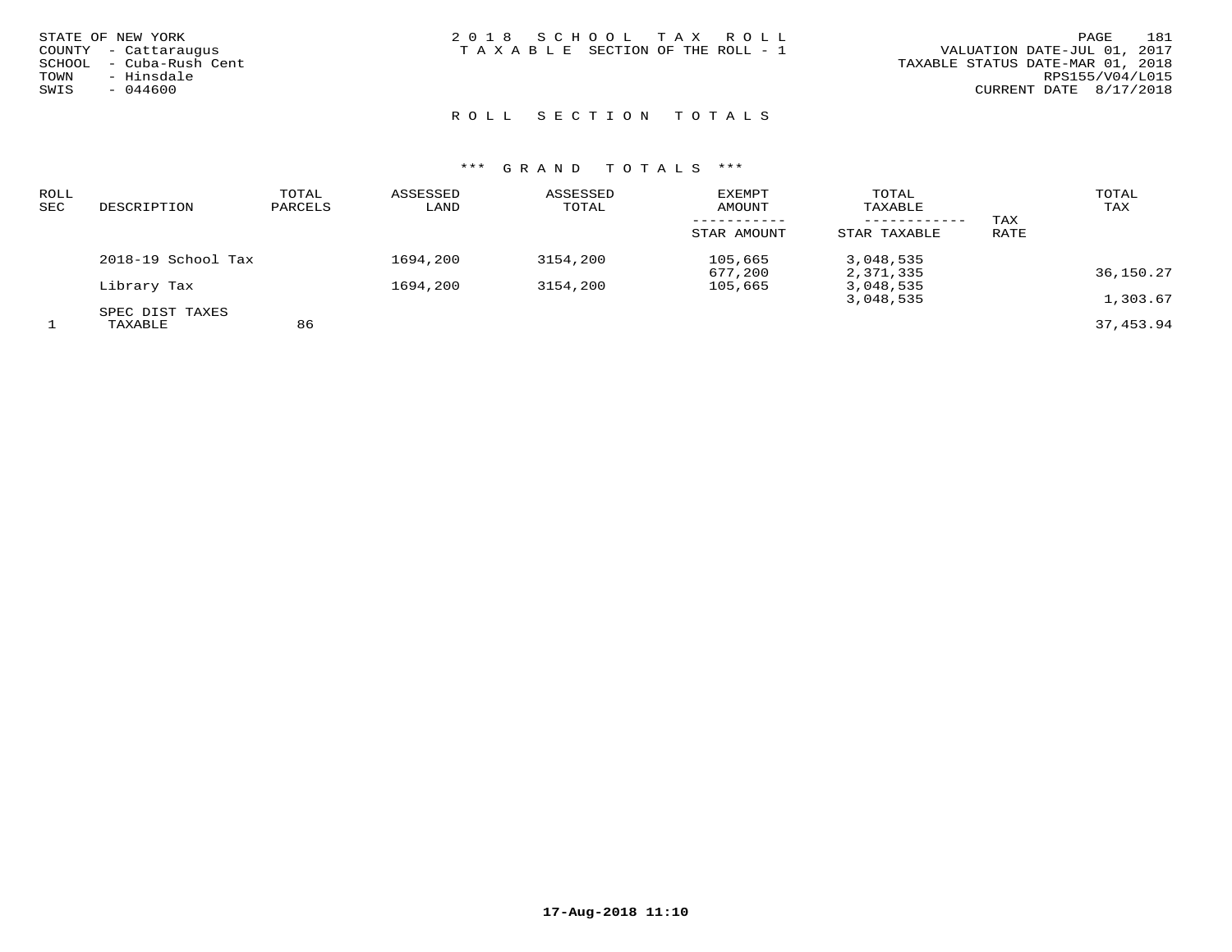| STATE OF NEW YORK<br>COUNTY - Cattaraugus<br>- Cuba-Rush Cent<br>SCHOOL<br>- Hinsdale<br>TOWN | 2018 SCHOOL TAX ROLL<br>TAXABLE SECTION OF THE ROLL - 1 | 181<br>PAGE<br>VALUATION DATE-JUL 01, 2017<br>TAXABLE STATUS DATE-MAR 01, 2018<br>RPS155/V04/L015 |
|-----------------------------------------------------------------------------------------------|---------------------------------------------------------|---------------------------------------------------------------------------------------------------|
| SWIS<br>$-044600$                                                                             |                                                         | CURRENT DATE 8/17/2018                                                                            |
|                                                                                               |                                                         |                                                                                                   |

# ROLL SECTION TOTALS

| ROLL<br>SEC | DESCRIPTION        | TOTAL<br>PARCELS | ASSESSED<br>LAND | ASSESSED<br>TOTAL | <b>EXEMPT</b><br>AMOUNT | TOTAL<br>TAXABLE |      | TOTAL<br>TAX |
|-------------|--------------------|------------------|------------------|-------------------|-------------------------|------------------|------|--------------|
|             |                    |                  |                  |                   |                         | ------------     | TAX  |              |
|             |                    |                  |                  |                   | STAR AMOUNT             | STAR TAXABLE     | RATE |              |
|             | 2018-19 School Tax |                  | 1694,200         | 3154,200          | 105,665                 | 3,048,535        |      |              |
|             |                    |                  |                  |                   | 677,200                 | 2,371,335        |      | 36,150.27    |
|             | Library Tax        |                  | 1694,200         | 3154,200          | 105,665                 | 3,048,535        |      |              |
|             |                    |                  |                  |                   |                         | 3,048,535        |      | 1,303.67     |
|             | SPEC DIST TAXES    |                  |                  |                   |                         |                  |      |              |
|             | TAXABLE            | 86               |                  |                   |                         |                  |      | 37, 453, 94  |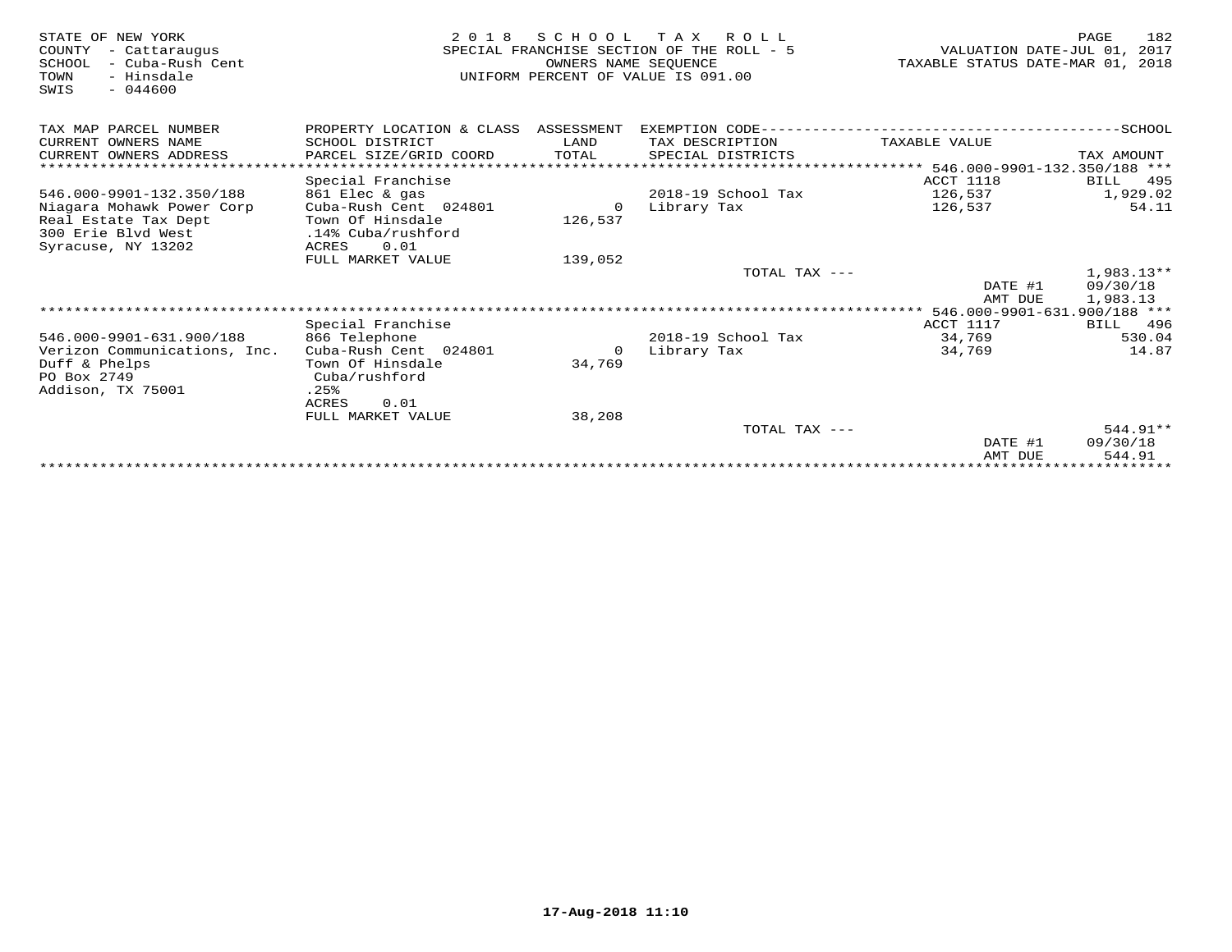| STATE OF NEW YORK<br>COUNTY<br>- Cattaraugus<br>SCHOOL<br>- Cuba-Rush Cent<br>- Hinsdale<br>TOWN<br>$-044600$<br>SWIS | 2 0 1 8                                | SCHOOL<br>OWNERS NAME SEQUENCE | T A X<br>R O L L<br>SPECIAL FRANCHISE SECTION OF THE ROLL - 5<br>UNIFORM PERCENT OF VALUE IS 091.00 | VALUATION DATE-JUL 01,<br>TAXABLE STATUS DATE-MAR 01, | 182<br>PAGE<br>2017<br>2018 |
|-----------------------------------------------------------------------------------------------------------------------|----------------------------------------|--------------------------------|-----------------------------------------------------------------------------------------------------|-------------------------------------------------------|-----------------------------|
| TAX MAP PARCEL NUMBER                                                                                                 | PROPERTY LOCATION & CLASS              | ASSESSMENT                     | EXEMPTION CODE------                                                                                |                                                       | --------------SCHOOL        |
| CURRENT OWNERS NAME                                                                                                   | SCHOOL DISTRICT                        | LAND                           | TAX DESCRIPTION                                                                                     | TAXABLE VALUE                                         |                             |
| CURRENT OWNERS ADDRESS                                                                                                | PARCEL SIZE/GRID COORD                 | TOTAL                          | SPECIAL DISTRICTS                                                                                   |                                                       | TAX AMOUNT                  |
|                                                                                                                       |                                        |                                |                                                                                                     | $***$ 546.000-9901-132.350/188 ***                    |                             |
|                                                                                                                       | Special Franchise                      |                                |                                                                                                     | ACCT 1118                                             | 495<br>BILL                 |
| 546.000-9901-132.350/188                                                                                              | 861 Elec & gas                         |                                | 2018-19 School Tax                                                                                  | 126,537                                               | 1,929.02                    |
| Niagara Mohawk Power Corp                                                                                             | Cuba-Rush Cent 024801                  | $\Omega$                       | Library Tax                                                                                         | 126,537                                               | 54.11                       |
| Real Estate Tax Dept<br>300 Erie Blyd West                                                                            | Town Of Hinsdale<br>.14% Cuba/rushford | 126,537                        |                                                                                                     |                                                       |                             |
| Syracuse, NY 13202                                                                                                    | 0.01<br>ACRES                          |                                |                                                                                                     |                                                       |                             |
|                                                                                                                       | FULL MARKET VALUE                      | 139,052                        |                                                                                                     |                                                       |                             |
|                                                                                                                       |                                        |                                | TOTAL TAX ---                                                                                       |                                                       | $1,983.13**$                |
|                                                                                                                       |                                        |                                |                                                                                                     | DATE #1                                               | 09/30/18                    |
|                                                                                                                       |                                        |                                |                                                                                                     | AMT DUE                                               | 1,983.13                    |
|                                                                                                                       |                                        |                                |                                                                                                     | 546.000-9901-631.900/188 ***                          |                             |
|                                                                                                                       | Special Franchise                      |                                |                                                                                                     | ACCT 1117                                             | BILL<br>496                 |
| 546.000-9901-631.900/188                                                                                              | 866 Telephone                          |                                | 2018-19 School Tax                                                                                  | 34,769                                                | 530.04                      |
| Verizon Communications, Inc.                                                                                          | Cuba-Rush Cent 024801                  | 0                              | Library Tax                                                                                         | 34,769                                                | 14.87                       |
| Duff & Phelps                                                                                                         | Town Of Hinsdale                       | 34,769                         |                                                                                                     |                                                       |                             |
| PO Box 2749                                                                                                           | Cuba/rushford                          |                                |                                                                                                     |                                                       |                             |
| Addison, TX 75001                                                                                                     | .25%                                   |                                |                                                                                                     |                                                       |                             |
|                                                                                                                       | ACRES<br>0.01                          |                                |                                                                                                     |                                                       |                             |
|                                                                                                                       | FULL MARKET VALUE                      | 38,208                         | TOTAL TAX ---                                                                                       |                                                       | 544.91**                    |
|                                                                                                                       |                                        |                                |                                                                                                     | DATE #1                                               | 09/30/18                    |
|                                                                                                                       |                                        |                                |                                                                                                     | AMT DUE                                               | 544.91                      |
|                                                                                                                       |                                        |                                |                                                                                                     |                                                       | ********                    |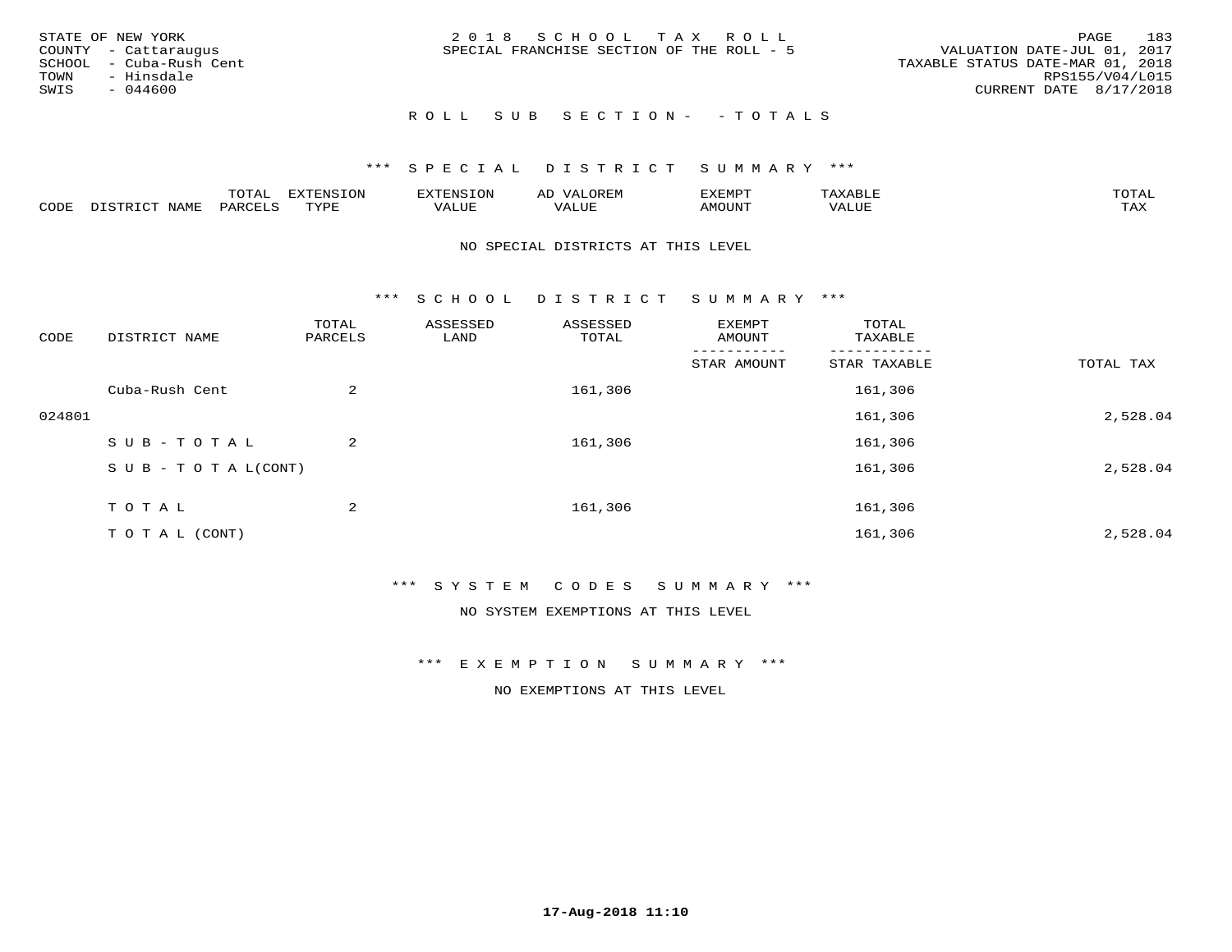| STATE OF NEW YORK<br>COUNTY - Cattaraugus<br>SCHOOL - Cuba-Rush Cent<br>TOWN - Hinsdale<br>SWIS<br>- 044600 | 2018 SCHOOL TAX ROLL<br>SPECIAL FRANCHISE SECTION OF THE ROLL - 5 | 183<br>PAGE<br>VALUATION DATE-JUL 01, 2017<br>TAXABLE STATUS DATE-MAR 01, 2018<br>RPS155/V04/L015<br>CURRENT DATE 8/17/2018 |
|-------------------------------------------------------------------------------------------------------------|-------------------------------------------------------------------|-----------------------------------------------------------------------------------------------------------------------------|
|                                                                                                             | ROLL SUB SECTION- - TOTALS                                        |                                                                                                                             |

|      |         | m^m*<br><u>UIAI</u> | . v  | <b>FNC</b> |                   | :XEMPT | ∸<br>. | mom <sub>n</sub> |
|------|---------|---------------------|------|------------|-------------------|--------|--------|------------------|
| CODE | NT A MT | PARL                | mynn | 'ALUE      | $- - - -$<br>ALUP | MOUN.  | 'ALUE  | TAX              |

#### NO SPECIAL DISTRICTS AT THIS LEVEL

\*\*\* S C H O O L D I S T R I C T S U M M A R Y \*\*\*

| CODE   | DISTRICT NAME                    | TOTAL<br>PARCELS | ASSESSED<br>LAND | ASSESSED<br>TOTAL | EXEMPT<br>AMOUNT | TOTAL<br>TAXABLE |           |
|--------|----------------------------------|------------------|------------------|-------------------|------------------|------------------|-----------|
|        |                                  |                  |                  |                   | STAR AMOUNT      | STAR TAXABLE     | TOTAL TAX |
|        | Cuba-Rush Cent                   | 2                |                  | 161,306           |                  | 161,306          |           |
| 024801 |                                  |                  |                  |                   |                  | 161,306          | 2,528.04  |
|        | SUB-TOTAL                        | 2                |                  | 161,306           |                  | 161,306          |           |
|        | $S \cup B - T \cup T A L (CONT)$ |                  |                  |                   |                  | 161,306          | 2,528.04  |
|        | T O T A L                        | 2                |                  | 161,306           |                  | 161,306          |           |
|        | T O T A L (CONT)                 |                  |                  |                   |                  | 161,306          | 2,528.04  |

### \*\*\* S Y S T E M C O D E S S U M M A R Y \*\*\*

NO SYSTEM EXEMPTIONS AT THIS LEVEL

\*\*\* E X E M P T I O N S U M M A R Y \*\*\*

NO EXEMPTIONS AT THIS LEVEL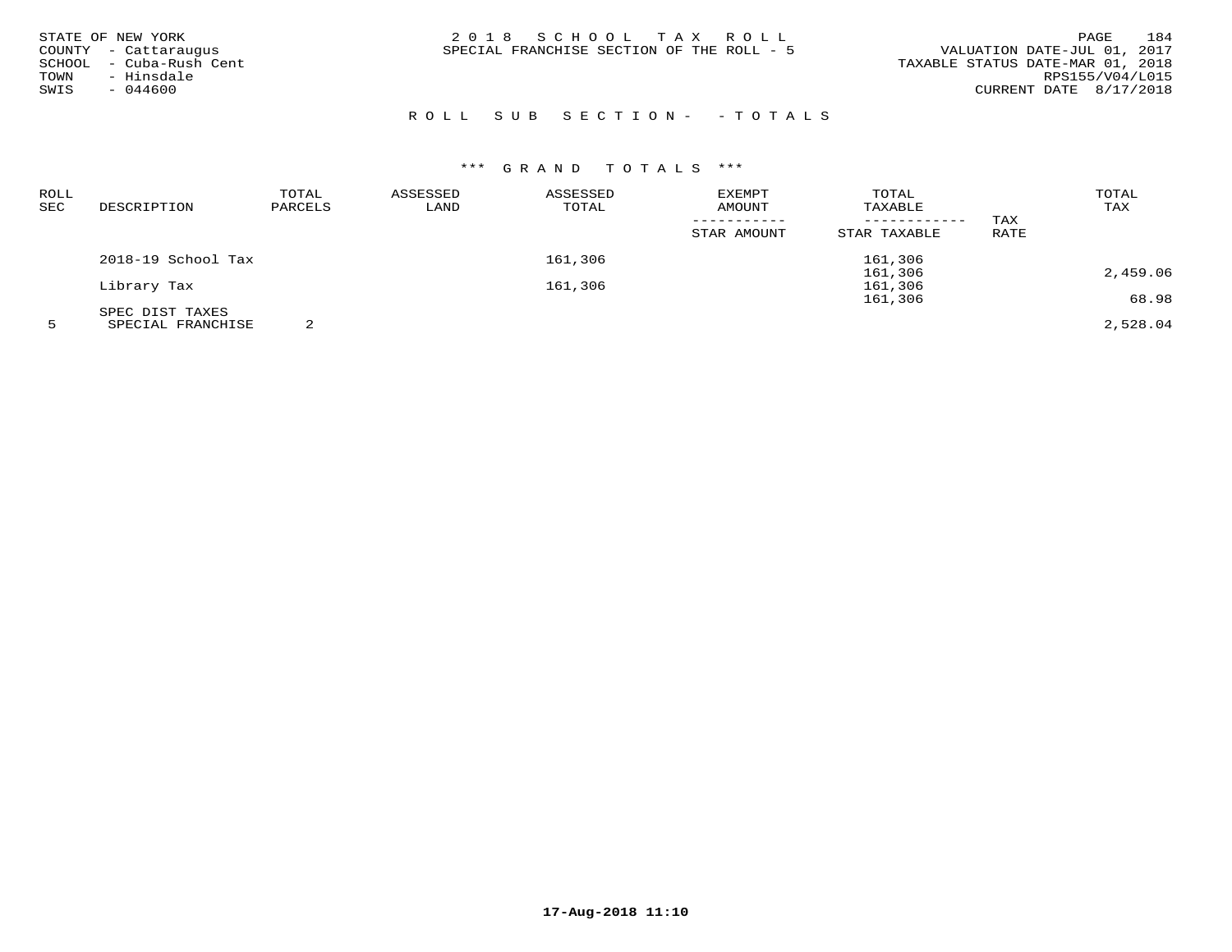| STATE OF NEW YORK<br>COUNTY - Cattaraugus<br>SCHOOL - Cuba-Rush Cent<br>- Hinsdale<br>TOWN<br>$-044600$<br>SWIS | 2018 SCHOOL TAX ROLL<br>SPECIAL FRANCHISE SECTION OF THE ROLL - 5 | 184<br><b>PAGE</b><br>VALUATION DATE-JUL 01, 2017<br>TAXABLE STATUS DATE-MAR 01, 2018<br>RPS155/V04/L015<br>CURRENT DATE 8/17/2018 |
|-----------------------------------------------------------------------------------------------------------------|-------------------------------------------------------------------|------------------------------------------------------------------------------------------------------------------------------------|
|                                                                                                                 |                                                                   |                                                                                                                                    |

# R O L L S U B S E C T I O N - - T O T A L S

| ROLL |                    | TOTAL   | ASSESSED | ASSESSED | <b>EXEMPT</b> | TOTAL        |      | TOTAL    |
|------|--------------------|---------|----------|----------|---------------|--------------|------|----------|
| SEC  | DESCRIPTION        | PARCELS | LAND     | TOTAL    | AMOUNT        | TAXABLE      |      | TAX      |
|      |                    |         |          |          |               | ------------ | TAX  |          |
|      |                    |         |          |          | STAR AMOUNT   | STAR TAXABLE | RATE |          |
|      | 2018-19 School Tax |         |          | 161,306  |               | 161,306      |      |          |
|      |                    |         |          |          |               | 161,306      |      | 2,459.06 |
|      | Library Tax        |         |          | 161,306  |               | 161,306      |      |          |
|      |                    |         |          |          |               | 161,306      |      | 68.98    |
|      | SPEC DIST TAXES    |         |          |          |               |              |      |          |
|      | SPECIAL FRANCHISE  |         |          |          |               |              |      | 2,528.04 |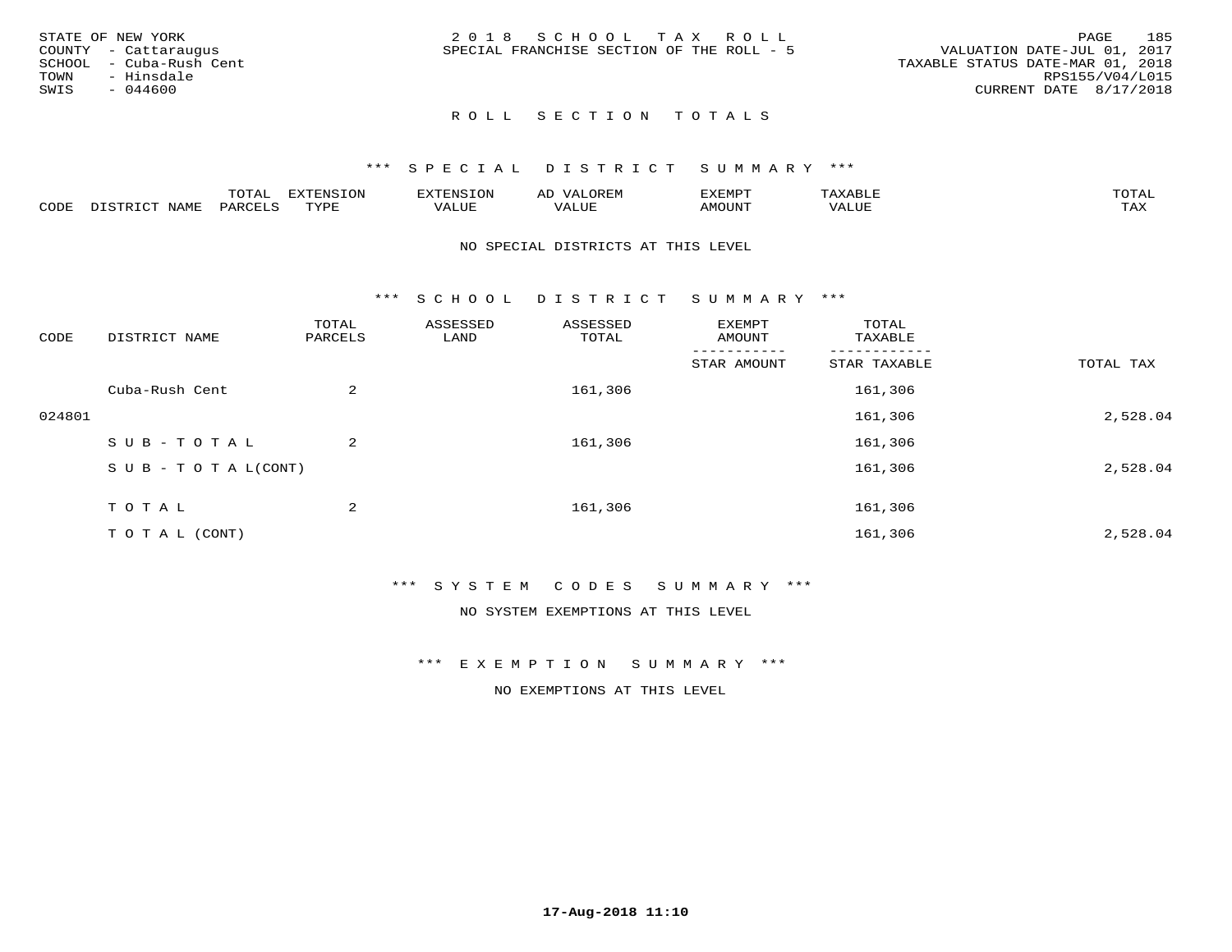|      | STATE OF NEW YORK       | 2018 SCHOOL TAX ROLL                      | 185<br>PAGE                      |
|------|-------------------------|-------------------------------------------|----------------------------------|
|      | COUNTY - Cattaraugus    | SPECIAL FRANCHISE SECTION OF THE ROLL - 5 | VALUATION DATE-JUL 01, 2017      |
|      | SCHOOL - Cuba-Rush Cent |                                           | TAXABLE STATUS DATE-MAR 01, 2018 |
| TOWN | - Hinsdale              |                                           | RPS155/V04/L015                  |
| SWIS | - 044600                |                                           | CURRENT DATE 8/17/2018           |
|      |                         |                                           |                                  |

# ROLL SECTION TOTALS

#### \*\*\* S P E C I A L D I S T R I C T S U M M A R Y \*\*\*

|      |                   | mom n | <b>DIZPOIATO TOM</b><br>.UP |      | AL   | ,,, <del>,</del> ,,,,,<br>. ب |               |                     |
|------|-------------------|-------|-----------------------------|------|------|-------------------------------|---------------|---------------------|
| CODE | NTAM <sup>7</sup> | PARO  | TVDF                        | ALUI | ALUL | IMOUNT                        | ----<br>'ALUL | $m \times r$<br>∸∽∽ |

#### NO SPECIAL DISTRICTS AT THIS LEVEL

\*\*\* S C H O O L D I S T R I C T S U M M A R Y \*\*\*

| CODE   | DISTRICT NAME                    | TOTAL<br>PARCELS | ASSESSED<br>LAND | ASSESSED<br>TOTAL | EXEMPT<br>AMOUNT | TOTAL<br>TAXABLE |           |
|--------|----------------------------------|------------------|------------------|-------------------|------------------|------------------|-----------|
|        |                                  |                  |                  |                   | STAR AMOUNT      | STAR TAXABLE     | TOTAL TAX |
|        | Cuba-Rush Cent                   | 2                |                  | 161,306           |                  | 161,306          |           |
| 024801 |                                  |                  |                  |                   |                  | 161,306          | 2,528.04  |
|        | SUB-TOTAL                        | $\overline{a}$   |                  | 161,306           |                  | 161,306          |           |
|        | $S \cup B - T \cup T A L (CONT)$ |                  |                  |                   |                  | 161,306          | 2,528.04  |
|        | T O T A L                        | 2                |                  | 161,306           |                  | 161,306          |           |
|        | T O T A L (CONT)                 |                  |                  |                   |                  | 161,306          | 2,528.04  |

### \*\*\* S Y S T E M C O D E S S U M M A R Y \*\*\*

NO SYSTEM EXEMPTIONS AT THIS LEVEL

\*\*\* E X E M P T I O N S U M M A R Y \*\*\*

NO EXEMPTIONS AT THIS LEVEL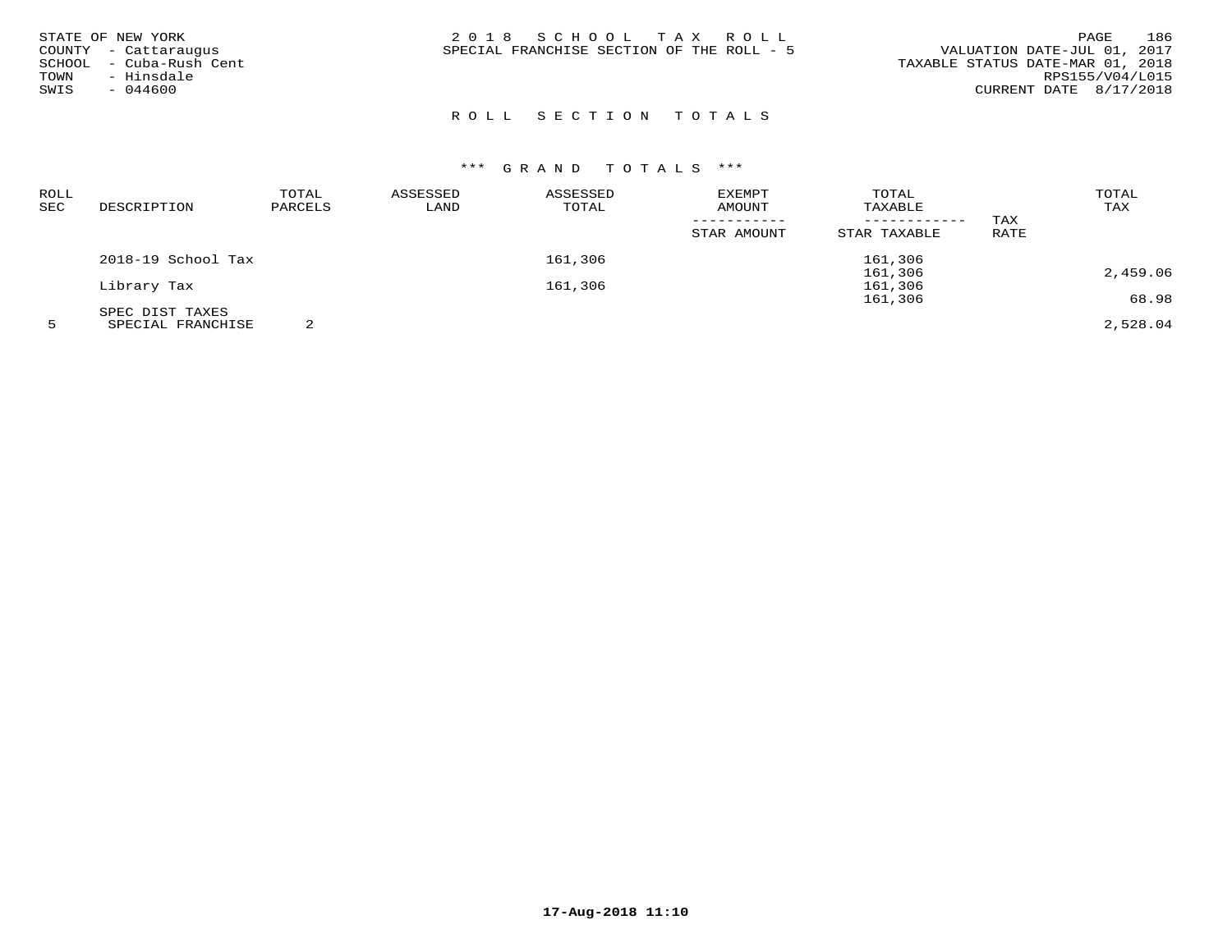| 186<br>2018 SCHOOL TAX ROLL<br>PAGE<br>STATE OF NEW YORK<br>VALUATION DATE-JUL 01, 2017<br>SPECIAL FRANCHISE SECTION OF THE ROLL - 5<br>COUNTY - Cattaraugus<br>- Cuba-Rush Cent<br>TAXABLE STATUS DATE-MAR 01, 2018<br>SCHOOL<br>- Hinsdale<br>RPS155/V04/L015<br>TOWN<br>CURRENT DATE 8/17/2018<br>$-044600$<br>SWIS |
|------------------------------------------------------------------------------------------------------------------------------------------------------------------------------------------------------------------------------------------------------------------------------------------------------------------------|
|------------------------------------------------------------------------------------------------------------------------------------------------------------------------------------------------------------------------------------------------------------------------------------------------------------------------|

# R O L L S E C T I O N T O T A L S

# \*\*\* G R A N D T O T A L S \*\*\*

| ROLL |                                                       | TOTAL   | ASSESSED | ASSESSED | EXEMPT      | TOTAL        |      | TOTAL    |
|------|-------------------------------------------------------|---------|----------|----------|-------------|--------------|------|----------|
| SEC  | DESCRIPTION                                           | PARCELS | LAND     | TOTAL    | AMOUNT      | TAXABLE      |      | TAX      |
|      |                                                       |         |          |          |             |              | TAX  |          |
|      |                                                       |         |          |          | STAR AMOUNT | STAR TAXABLE | RATE |          |
|      | 2018-19 School Tax                                    |         |          | 161,306  |             | 161,306      |      |          |
|      |                                                       |         |          |          |             | 161,306      |      | 2,459.06 |
|      | Library Tax                                           |         |          | 161,306  |             | 161,306      |      |          |
|      |                                                       |         |          |          |             | 161,306      |      | 68.98    |
|      | SPEC DIST TAXES                                       |         |          |          |             |              |      |          |
|      | $\alpha$ pp $\alpha$ rif ppiit $\alpha$ itri $\alpha$ | $\sim$  |          |          |             |              |      | 0.5000   |

5 SPECIAL FRANCHISE 2 2,528.04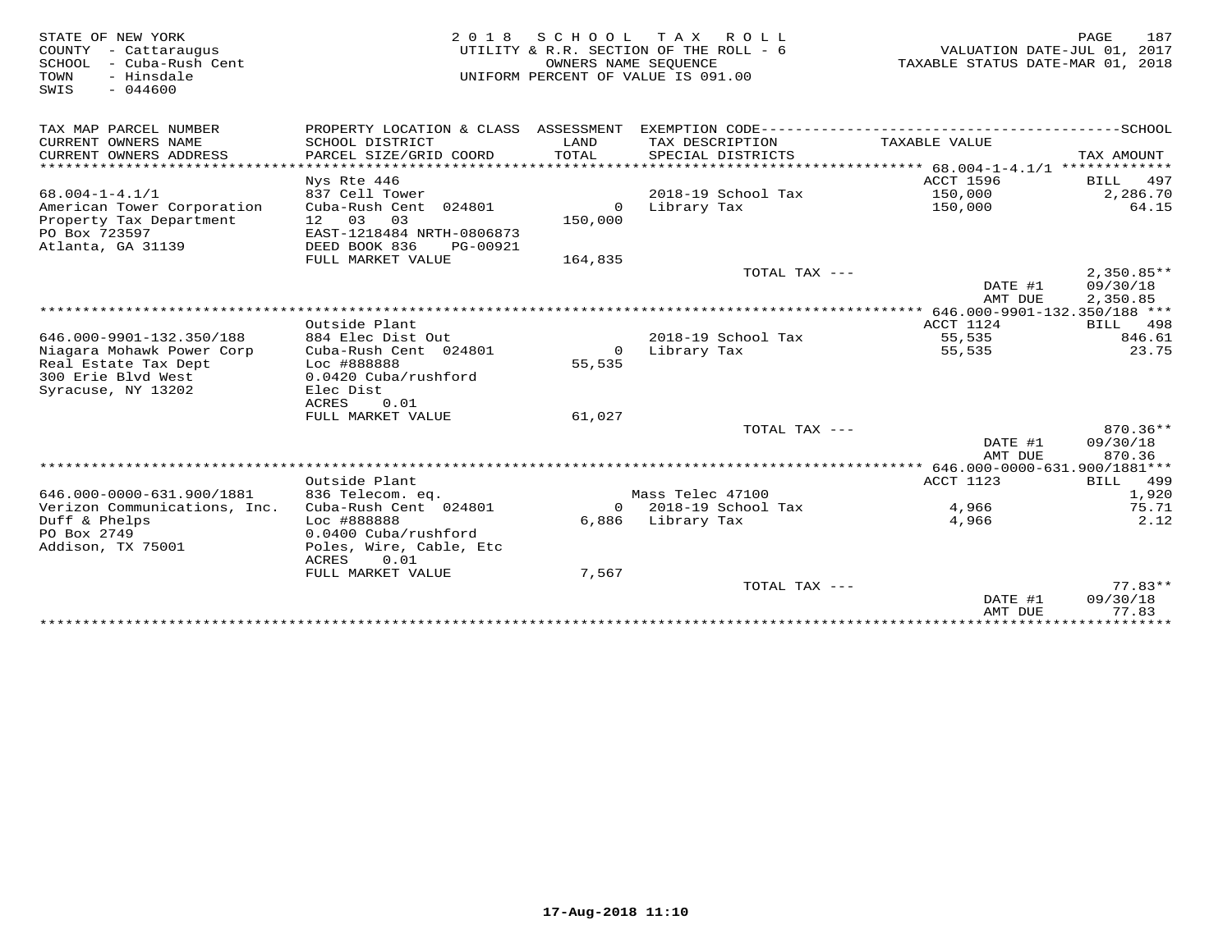| STATE OF NEW YORK<br>COUNTY<br>- Cattaraugus<br>- Cuba-Rush Cent<br>SCHOOL<br>- Hinsdale<br>TOWN<br>SWIS<br>$-044600$ | 2 0 1 8                                  | S C H O O L<br>OWNERS NAME SEOUENCE | T A X<br>R O L L<br>UTILITY & R.R. SECTION OF THE ROLL - 6<br>UNIFORM PERCENT OF VALUE IS 091.00 | VALUATION DATE-JUL 01, 2017<br>TAXABLE STATUS DATE-MAR 01, 2018 | PAGE<br>187        |
|-----------------------------------------------------------------------------------------------------------------------|------------------------------------------|-------------------------------------|--------------------------------------------------------------------------------------------------|-----------------------------------------------------------------|--------------------|
| TAX MAP PARCEL NUMBER                                                                                                 | PROPERTY LOCATION & CLASS ASSESSMENT     |                                     |                                                                                                  |                                                                 |                    |
| CURRENT OWNERS NAME                                                                                                   | SCHOOL DISTRICT                          | LAND                                | TAX DESCRIPTION                                                                                  | TAXABLE VALUE                                                   |                    |
| CURRENT OWNERS ADDRESS                                                                                                | PARCEL SIZE/GRID COORD                   | TOTAL                               | SPECIAL DISTRICTS                                                                                |                                                                 | TAX AMOUNT         |
| **********************                                                                                                | ************************                 |                                     |                                                                                                  |                                                                 |                    |
|                                                                                                                       | Nys Rte 446                              |                                     |                                                                                                  | <b>ACCT 1596</b>                                                | 497<br><b>BILL</b> |
| $68.004 - 1 - 4.1/1$                                                                                                  | 837 Cell Tower                           |                                     | 2018-19 School Tax                                                                               | 150,000                                                         | 2,286.70           |
| American Tower Corporation<br>Property Tax Department                                                                 | Cuba-Rush Cent 024801<br>12 03<br>03     | $\circ$<br>150,000                  | Library Tax                                                                                      | 150,000                                                         | 64.15              |
| PO Box 723597                                                                                                         | EAST-1218484 NRTH-0806873                |                                     |                                                                                                  |                                                                 |                    |
| Atlanta, GA 31139                                                                                                     | DEED BOOK 836<br>PG-00921                |                                     |                                                                                                  |                                                                 |                    |
|                                                                                                                       | FULL MARKET VALUE                        | 164,835                             |                                                                                                  |                                                                 |                    |
|                                                                                                                       |                                          |                                     | TOTAL TAX ---                                                                                    |                                                                 | $2,350.85**$       |
|                                                                                                                       |                                          |                                     |                                                                                                  | DATE #1                                                         | 09/30/18           |
|                                                                                                                       |                                          |                                     |                                                                                                  | AMT DUE                                                         | 2,350.85           |
|                                                                                                                       |                                          |                                     |                                                                                                  | 646.000-9901-132.350/188 ***                                    |                    |
|                                                                                                                       | Outside Plant                            |                                     |                                                                                                  | ACCT 1124                                                       | BILL<br>498        |
| 646.000-9901-132.350/188                                                                                              | 884 Elec Dist Out                        |                                     | 2018-19 School Tax                                                                               | 55,535                                                          | 846.61             |
| Niagara Mohawk Power Corp                                                                                             | Cuba-Rush Cent 024801                    | $\circ$                             | Library Tax                                                                                      | 55,535                                                          | 23.75              |
| Real Estate Tax Dept                                                                                                  | Loc #888888                              | 55,535                              |                                                                                                  |                                                                 |                    |
| 300 Erie Blvd West<br>Syracuse, NY 13202                                                                              | 0.0420 Cuba/rushford<br>Elec Dist        |                                     |                                                                                                  |                                                                 |                    |
|                                                                                                                       | ACRES<br>0.01                            |                                     |                                                                                                  |                                                                 |                    |
|                                                                                                                       | FULL MARKET VALUE                        | 61,027                              |                                                                                                  |                                                                 |                    |
|                                                                                                                       |                                          |                                     | TOTAL TAX ---                                                                                    |                                                                 | $870.36**$         |
|                                                                                                                       |                                          |                                     |                                                                                                  | DATE #1                                                         | 09/30/18           |
|                                                                                                                       |                                          |                                     |                                                                                                  | AMT DUE                                                         | 870.36             |
|                                                                                                                       |                                          |                                     |                                                                                                  |                                                                 |                    |
|                                                                                                                       | Outside Plant                            |                                     |                                                                                                  | ACCT 1123                                                       | 499<br>BILL        |
| 646.000-0000-631.900/1881                                                                                             | 836 Telecom. eq.                         |                                     | Mass Telec 47100                                                                                 |                                                                 | 1,920              |
| Verizon Communications, Inc.                                                                                          | Cuba-Rush Cent 024801                    |                                     | 0 2018-19 School Tax                                                                             | 4,966                                                           | 75.71              |
| Duff & Phelps                                                                                                         | Loc #888888                              |                                     | 6,886 Library Tax                                                                                | 4,966                                                           | 2.12               |
| PO Box 2749                                                                                                           | 0.0400 Cuba/rushford                     |                                     |                                                                                                  |                                                                 |                    |
| Addison, TX 75001                                                                                                     | Poles, Wire, Cable, Etc<br>ACRES<br>0.01 |                                     |                                                                                                  |                                                                 |                    |
|                                                                                                                       | FULL MARKET VALUE                        | 7,567                               |                                                                                                  |                                                                 |                    |
|                                                                                                                       |                                          |                                     | TOTAL TAX $---$                                                                                  |                                                                 | $77.83**$          |
|                                                                                                                       |                                          |                                     |                                                                                                  | DATE #1                                                         | 09/30/18           |
|                                                                                                                       |                                          |                                     |                                                                                                  | AMT DUE                                                         | 77.83              |
|                                                                                                                       |                                          |                                     |                                                                                                  |                                                                 |                    |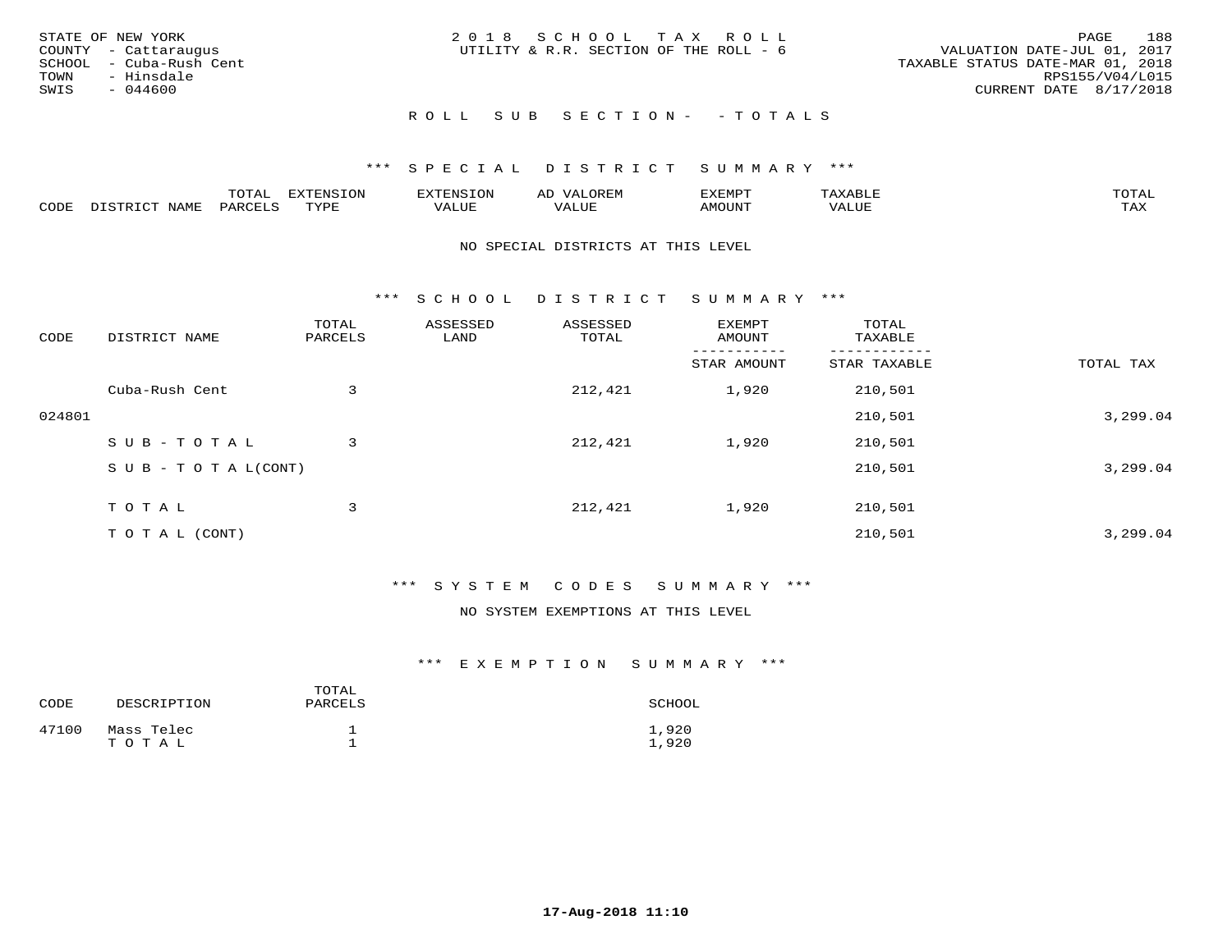| STATE OF NEW YORK<br>COUNTY - Cattaraugus<br>SCHOOL - Cuba-Rush Cent<br>TOWN<br>- Hinsdale<br>SWIS<br>- 044600 | 2018 SCHOOL TAX ROLL<br>UTILITY & R.R. SECTION OF THE ROLL - 6 | 188<br>PAGE<br>VALUATION DATE-JUL 01, 2017<br>TAXABLE STATUS DATE-MAR 01, 2018<br>RPS155/V04/L015<br>CURRENT DATE 8/17/2018 |
|----------------------------------------------------------------------------------------------------------------|----------------------------------------------------------------|-----------------------------------------------------------------------------------------------------------------------------|
|                                                                                                                | ROLL SUB SECTION- - TOTALS                                     |                                                                                                                             |

|      |              | ™∩ͲϪ<br>بمحمد ب | -OP,             | <b>FNC</b> | ΑL    | ֿישו          |       |                    |
|------|--------------|-----------------|------------------|------------|-------|---------------|-------|--------------------|
| CODE | NAME<br>– a- | PART            | mynne<br>- - - - | ALUF       | 'ALUE | <b>IMOUNT</b> | VALUE | <b>TRAV</b><br>∸∽∸ |

#### NO SPECIAL DISTRICTS AT THIS LEVEL

\*\*\* S C H O O L D I S T R I C T S U M M A R Y \*\*\*

| CODE   | DISTRICT NAME                    | TOTAL<br>PARCELS | ASSESSED<br>LAND | ASSESSED<br>TOTAL | EXEMPT<br>AMOUNT | TOTAL<br>TAXABLE |           |
|--------|----------------------------------|------------------|------------------|-------------------|------------------|------------------|-----------|
|        |                                  |                  |                  |                   | STAR AMOUNT      | STAR TAXABLE     | TOTAL TAX |
|        | Cuba-Rush Cent                   | 3                |                  | 212,421           | 1,920            | 210,501          |           |
| 024801 |                                  |                  |                  |                   |                  | 210,501          | 3,299.04  |
|        | SUB-TOTAL                        | 3                |                  | 212,421           | 1,920            | 210,501          |           |
|        | $S \cup B - T \cup T A L (CONT)$ |                  |                  |                   |                  | 210,501          | 3,299.04  |
|        | T O T A L                        | 3                |                  | 212,421           | 1,920            | 210,501          |           |
|        | T O T A L (CONT)                 |                  |                  |                   |                  | 210,501          | 3,299.04  |

# \*\*\* S Y S T E M C O D E S S U M M A R Y \*\*\*

#### NO SYSTEM EXEMPTIONS AT THIS LEVEL

| CODE  | DESCRIPTION         | TOTAL<br>PARCELS | SCHOOL         |
|-------|---------------------|------------------|----------------|
| 47100 | Mass Telec<br>TOTAL |                  | 1,920<br>1,920 |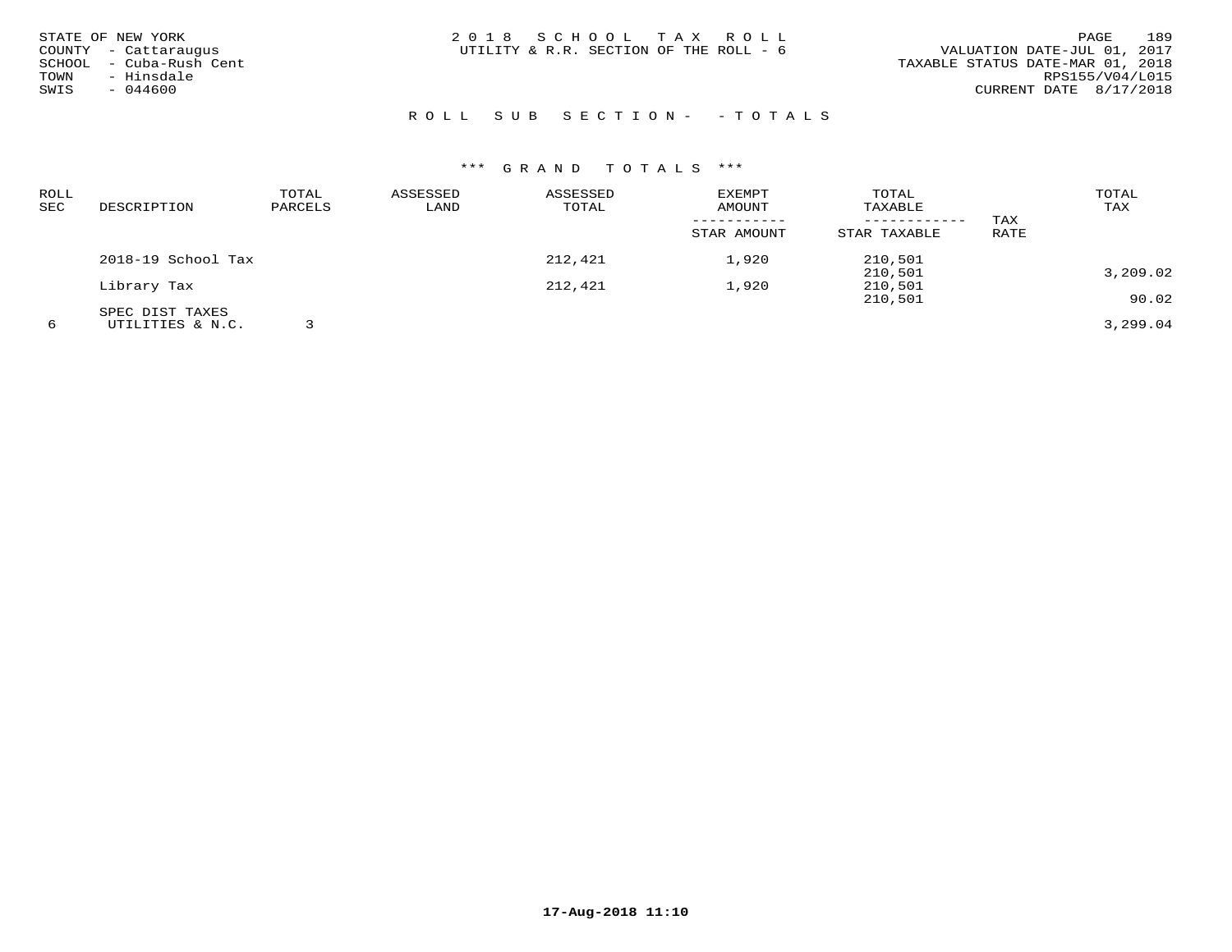| STATE OF NEW YORK<br>COUNTY - Cattaraugus<br>SCHOOL - Cuba-Rush Cent<br>- Hinsdale<br>TOWN<br>SWIS<br>$-044600$ | 2018 SCHOOL TAX ROLL<br>UTILITY & R.R. SECTION OF THE ROLL - 6 | 189<br>PAGE<br>VALUATION DATE-JUL 01, 2017<br>TAXABLE STATUS DATE-MAR 01, 2018<br>RPS155/V04/L015<br>CURRENT DATE 8/17/2018 |
|-----------------------------------------------------------------------------------------------------------------|----------------------------------------------------------------|-----------------------------------------------------------------------------------------------------------------------------|
|                                                                                                                 | ROLL SUB SECTION- - TOTALS                                     |                                                                                                                             |

| ROLL<br>SEC | DESCRIPTION        | TOTAL<br>PARCELS | ASSESSED<br>LAND | ASSESSED<br>TOTAL | EXEMPT<br>AMOUNT | TOTAL<br>TAXABLE | TAX         | TOTAL<br>TAX |
|-------------|--------------------|------------------|------------------|-------------------|------------------|------------------|-------------|--------------|
|             |                    |                  |                  |                   | STAR AMOUNT      | STAR TAXABLE     | <b>RATE</b> |              |
|             | 2018-19 School Tax |                  |                  | 212,421           | 1,920            | 210,501          |             |              |
|             |                    |                  |                  |                   |                  | 210,501          |             | 3,209.02     |
|             | Library Tax        |                  |                  | 212,421           | 1,920            | 210,501          |             |              |
|             |                    |                  |                  |                   |                  | 210,501          |             | 90.02        |
|             | SPEC DIST TAXES    |                  |                  |                   |                  |                  |             |              |
| 6           | UTILITIES & N.C.   |                  |                  |                   |                  |                  |             | 3,299.04     |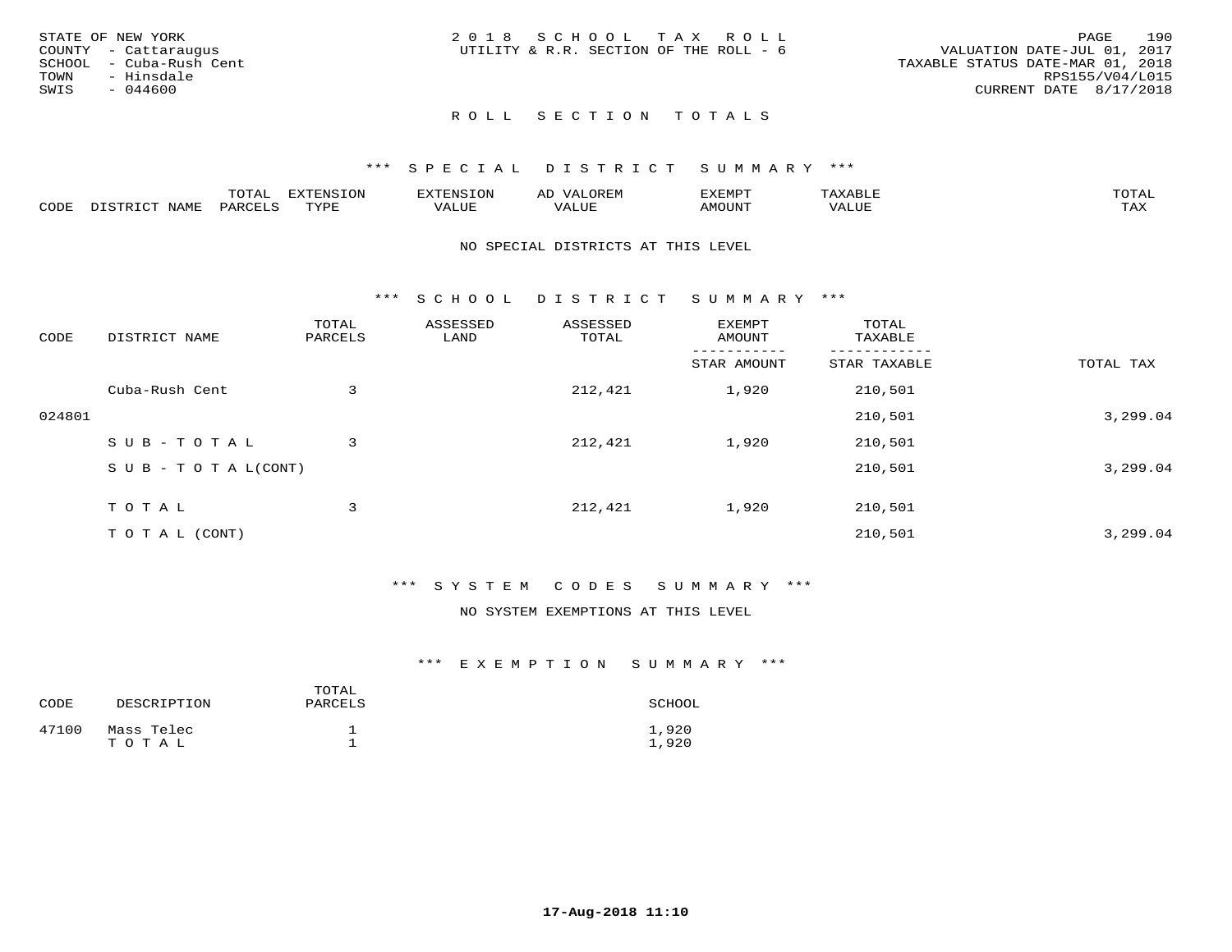|      | STATE OF NEW YORK       | 2018 SCHOOL TAX ROLL                   |  |                                  |                        | PAGE | 190 |
|------|-------------------------|----------------------------------------|--|----------------------------------|------------------------|------|-----|
|      | COUNTY - Cattaraugus    | UTILITY & R.R. SECTION OF THE ROLL - 6 |  | VALUATION DATE-JUL 01, 2017      |                        |      |     |
|      | SCHOOL - Cuba-Rush Cent |                                        |  | TAXABLE STATUS DATE-MAR 01, 2018 |                        |      |     |
| TOWN | - Hinsdale              |                                        |  |                                  | RPS155/V04/L015        |      |     |
| SWIS | $-044600$               |                                        |  |                                  | CURRENT DATE 8/17/2018 |      |     |
|      |                         |                                        |  |                                  |                        |      |     |

# ROLL SECTION TOTALS

## \*\*\* S P E C I A L D I S T R I C T S U M M A R Y \*\*\*

|      |                  | momm <sup>.</sup><br>TOTAT | <b>ELIMENT OF ONT</b><br>T OTA | 'ENS   | OREM                     | CXEMPT        | $max$ and $max$          | $m \wedge m \wedge n$ |
|------|------------------|----------------------------|--------------------------------|--------|--------------------------|---------------|--------------------------|-----------------------|
| CODE | NAME<br>DISTRICT | PARCELS                    | TVDF<br>.                      | 7ALUE. | . <del>.</del><br>. ALUF | <b>AMOUNT</b> | * * * * * * * *<br>'ALUL | <b>TAY</b><br>⊥⇔∆     |

#### NO SPECIAL DISTRICTS AT THIS LEVEL

\*\*\* S C H O O L D I S T R I C T S U M M A R Y \*\*\*

| CODE   | DISTRICT NAME                    | TOTAL<br>PARCELS | ASSESSED<br>LAND | ASSESSED<br>TOTAL | EXEMPT<br>AMOUNT | TOTAL<br>TAXABLE |           |
|--------|----------------------------------|------------------|------------------|-------------------|------------------|------------------|-----------|
|        |                                  |                  |                  |                   | STAR AMOUNT      | STAR TAXABLE     | TOTAL TAX |
|        | Cuba-Rush Cent                   | 3                |                  | 212,421           | 1,920            | 210,501          |           |
| 024801 |                                  |                  |                  |                   |                  | 210,501          | 3,299.04  |
|        | SUB-TOTAL                        | 3                |                  | 212,421           | 1,920            | 210,501          |           |
|        | $S \cup B - T \cup T A L (CONT)$ |                  |                  |                   |                  | 210,501          | 3,299.04  |
|        | TOTAL                            | 3                |                  | 212,421           | 1,920            | 210,501          |           |
|        | T O T A L (CONT)                 |                  |                  |                   |                  | 210,501          | 3,299.04  |

## \*\*\* S Y S T E M C O D E S S U M M A R Y \*\*\*

#### NO SYSTEM EXEMPTIONS AT THIS LEVEL

| CODE  | DESCRIPTION         | TOTAL<br>PARCELS | SCHOOL         |
|-------|---------------------|------------------|----------------|
| 47100 | Mass Telec<br>TOTAL |                  | 1,920<br>1,920 |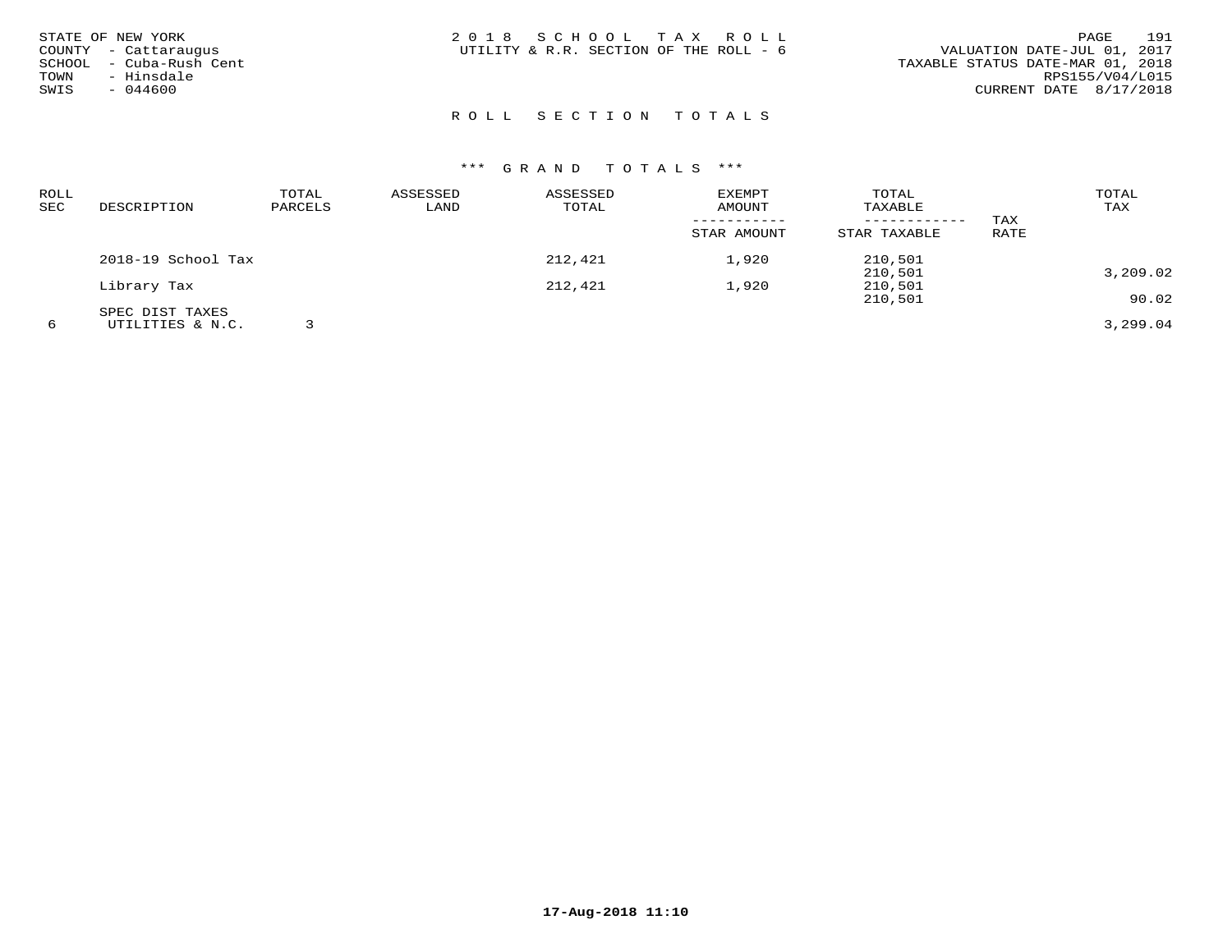| STATE OF NEW YORK<br>COUNTY - Cattaraugus<br>SCHOOL - Cuba-Rush Cent<br>TOWN<br>- Hinsdale<br>SWIS<br>$-044600$ | 2018 SCHOOL TAX ROLL<br>UTILITY & R.R. SECTION OF THE ROLL - 6 | 191<br>PAGE<br>VALUATION DATE-JUL 01, 2017<br>TAXABLE STATUS DATE-MAR 01, 2018<br>RPS155/V04/L015<br>CURRENT DATE 8/17/2018 |
|-----------------------------------------------------------------------------------------------------------------|----------------------------------------------------------------|-----------------------------------------------------------------------------------------------------------------------------|
|                                                                                                                 | ROLL SECTION TOTALS                                            |                                                                                                                             |

| <b>ROLL</b><br>SEC | DESCRIPTION        | TOTAL<br>PARCELS | ASSESSED<br>LAND | ASSESSED<br>TOTAL | EXEMPT<br>AMOUNT | TOTAL<br>TAXABLE |      | TOTAL<br>TAX |
|--------------------|--------------------|------------------|------------------|-------------------|------------------|------------------|------|--------------|
|                    |                    |                  |                  |                   |                  | ------------     | TAX  |              |
|                    |                    |                  |                  |                   | STAR AMOUNT      | STAR TAXABLE     | RATE |              |
|                    | 2018-19 School Tax |                  |                  | 212,421           | 1,920            | 210,501          |      |              |
|                    |                    |                  |                  |                   |                  | 210,501          |      | 3,209.02     |
|                    | Library Tax        |                  |                  | 212,421           | 1,920            | 210,501          |      |              |
|                    |                    |                  |                  |                   |                  | 210,501          |      | 90.02        |
|                    | SPEC DIST TAXES    |                  |                  |                   |                  |                  |      |              |
| 6                  | UTILITIES & N.C.   |                  |                  |                   |                  |                  |      | 3,299.04     |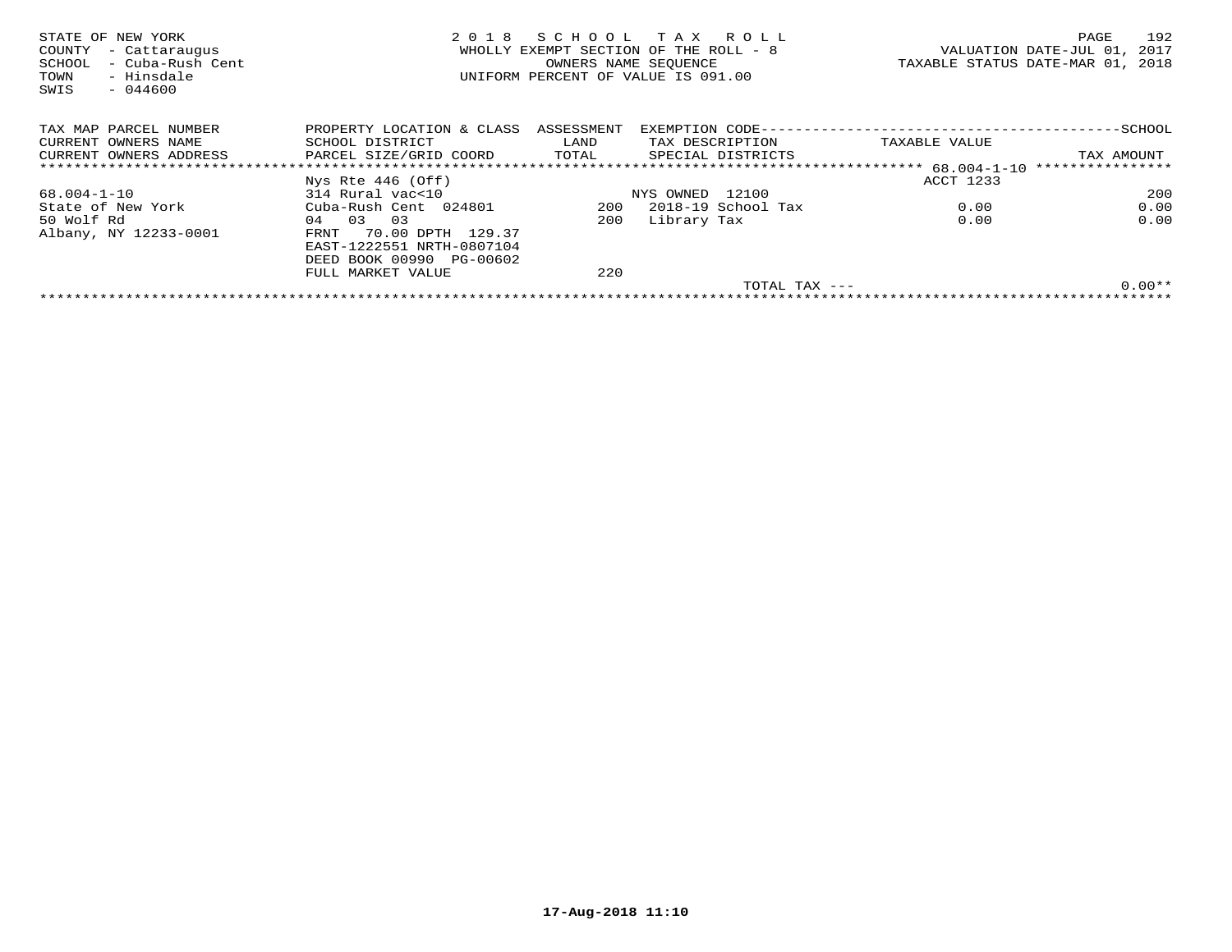| STATE OF NEW YORK<br>- Cattaraugus<br>COUNTY<br>- Cuba-Rush Cent<br>SCHOOL<br>- Hinsdale<br>TOWN<br>$-044600$<br>SWIS | 2 0 1 8                   | SCHOOL<br>OWNERS NAME SEQUENCE | T A X<br>R O L L<br>WHOLLY EXEMPT SECTION OF THE ROLL - 8<br>UNIFORM PERCENT OF VALUE IS 091.00 |                                            | 192<br>PAGE<br>2017<br>VALUATION DATE-JUL 01,<br>TAXABLE STATUS DATE-MAR 01, 2018 |
|-----------------------------------------------------------------------------------------------------------------------|---------------------------|--------------------------------|-------------------------------------------------------------------------------------------------|--------------------------------------------|-----------------------------------------------------------------------------------|
| TAX MAP PARCEL NUMBER                                                                                                 | PROPERTY LOCATION & CLASS | ASSESSMENT                     |                                                                                                 | EXEMPTION CODE---------------------------- | $-$ SCHOOL                                                                        |
| CURRENT OWNERS NAME                                                                                                   | SCHOOL DISTRICT           | LAND                           | TAX DESCRIPTION                                                                                 | TAXABLE VALUE                              |                                                                                   |
| CURRENT OWNERS ADDRESS                                                                                                | PARCEL SIZE/GRID COORD    | TOTAL                          | SPECIAL DISTRICTS                                                                               |                                            | TAX AMOUNT                                                                        |
|                                                                                                                       |                           |                                |                                                                                                 |                                            | ****************                                                                  |
|                                                                                                                       | Nys Rte $446$ (Off)       |                                |                                                                                                 | ACCT 1233                                  |                                                                                   |
| 68.004-1-10                                                                                                           | 314 Rural vac<10          |                                | NYS OWNED 12100                                                                                 |                                            | 200                                                                               |
| State of New York                                                                                                     | Cuba-Rush Cent 024801     | 200                            | 2018-19 School Tax                                                                              | 0.00                                       | 0.00                                                                              |
| 50 Wolf Rd                                                                                                            | 03<br>0.3<br>04           | 200                            | Library Tax                                                                                     | 0.00                                       | 0.00                                                                              |
| Albany, NY 12233-0001                                                                                                 | 70.00 DPTH 129.37<br>FRNT |                                |                                                                                                 |                                            |                                                                                   |
|                                                                                                                       | EAST-1222551 NRTH-0807104 |                                |                                                                                                 |                                            |                                                                                   |
|                                                                                                                       | DEED BOOK 00990 PG-00602  |                                |                                                                                                 |                                            |                                                                                   |
|                                                                                                                       | FULL MARKET VALUE         | 220                            |                                                                                                 |                                            |                                                                                   |
|                                                                                                                       |                           |                                |                                                                                                 | TOTAL TAX $---$                            | $0.00**$                                                                          |
|                                                                                                                       |                           |                                |                                                                                                 |                                            |                                                                                   |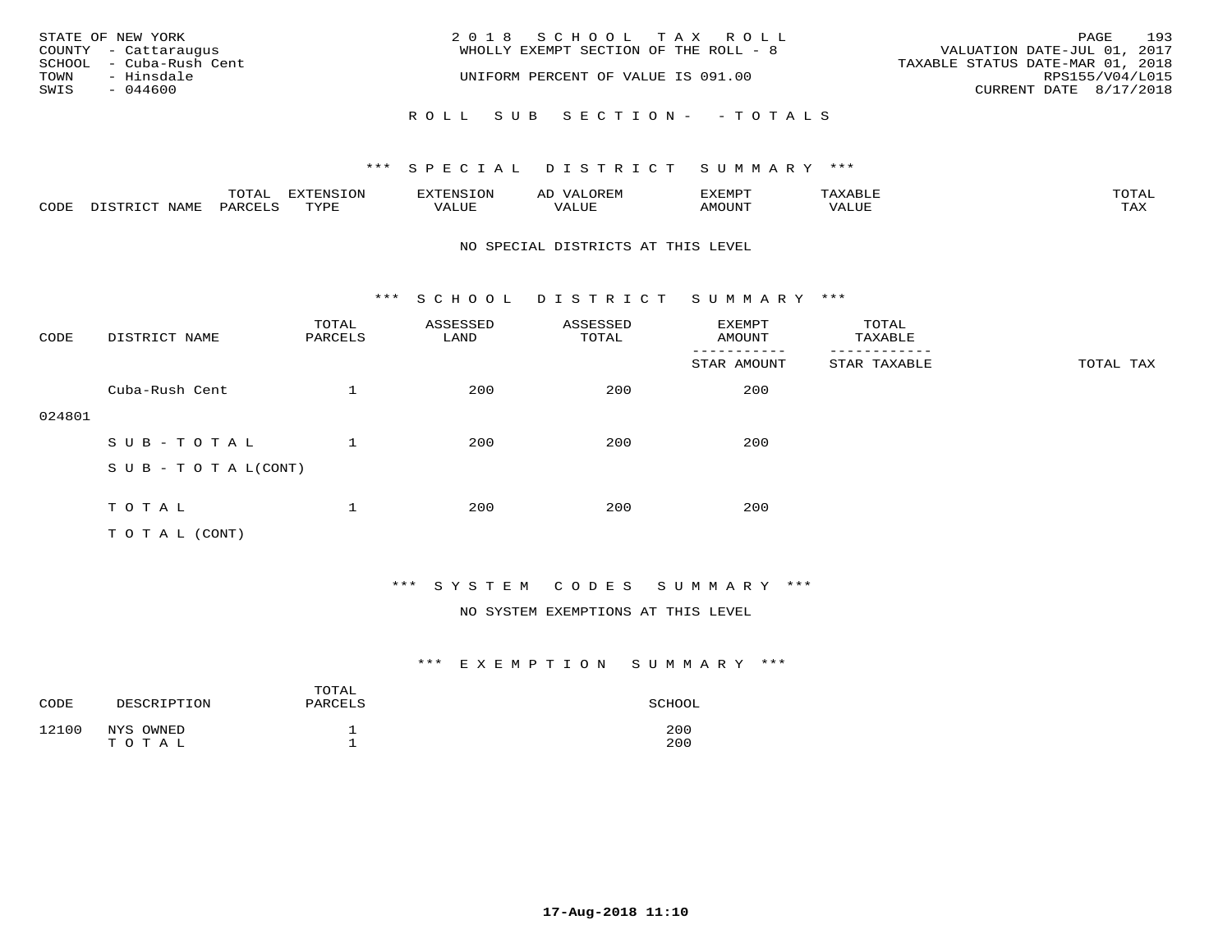|                  | STATE OF NEW YORK<br>COUNTY - Cattaraugus | 2018 SCHOOL TAX ROLL<br>WHOLLY EXEMPT SECTION OF THE ROLL - 8 | PAGE<br>VALUATION DATE-JUL 01, 2017                 | 193 |
|------------------|-------------------------------------------|---------------------------------------------------------------|-----------------------------------------------------|-----|
| TOWN             | SCHOOL - Cuba-Rush Cent<br>- Hinsdale     | UNIFORM PERCENT OF VALUE IS 091.00                            | TAXABLE STATUS DATE-MAR 01, 2018<br>RPS155/V04/L015 |     |
| SWIS<br>- 044600 |                                           |                                                               | CURRENT DATE 8/17/2018                              |     |
|                  |                                           | ROLL SUB SECTION- - TOTALS                                    |                                                     |     |

|      |      | $m \wedge m \wedge$<br>LUIAL | $\pi$                |      | - |        |       | -----<br>$\sim$  |
|------|------|------------------------------|----------------------|------|---|--------|-------|------------------|
| CODE | NAME | 'ARI                         | TVDL<br><u>ـ د د</u> | ALUE |   | LUITOM | 'ALUL | max 37<br>⊥ ∠~∡∡ |

#### NO SPECIAL DISTRICTS AT THIS LEVEL

\*\*\* S C H O O L D I S T R I C T S U M M A R Y \*\*\*

| CODE   | DISTRICT NAME                    | TOTAL<br>PARCELS | ASSESSED<br>LAND | ASSESSED<br>TOTAL | EXEMPT<br>AMOUNT | TOTAL<br>TAXABLE |           |
|--------|----------------------------------|------------------|------------------|-------------------|------------------|------------------|-----------|
|        |                                  |                  |                  |                   | STAR AMOUNT      | STAR TAXABLE     | TOTAL TAX |
|        | Cuba-Rush Cent                   |                  | 200              | 200               | 200              |                  |           |
| 024801 |                                  |                  |                  |                   |                  |                  |           |
|        | SUB-TOTAL                        |                  | 200              | 200               | 200              |                  |           |
|        | $S \cup B - T \cup T A L (CONT)$ |                  |                  |                   |                  |                  |           |
|        |                                  |                  |                  |                   |                  |                  |           |
|        | TOTAL                            |                  | 200              | 200               | 200              |                  |           |
|        | T O T A L (CONT)                 |                  |                  |                   |                  |                  |           |

# \*\*\* S Y S T E M C O D E S S U M M A R Y \*\*\*

### NO SYSTEM EXEMPTIONS AT THIS LEVEL

| CODE  | DESCRIPTION        | TOTAL<br>PARCELS | SCHOOL     |
|-------|--------------------|------------------|------------|
| 12100 | NYS OWNED<br>TOTAL |                  | 200<br>200 |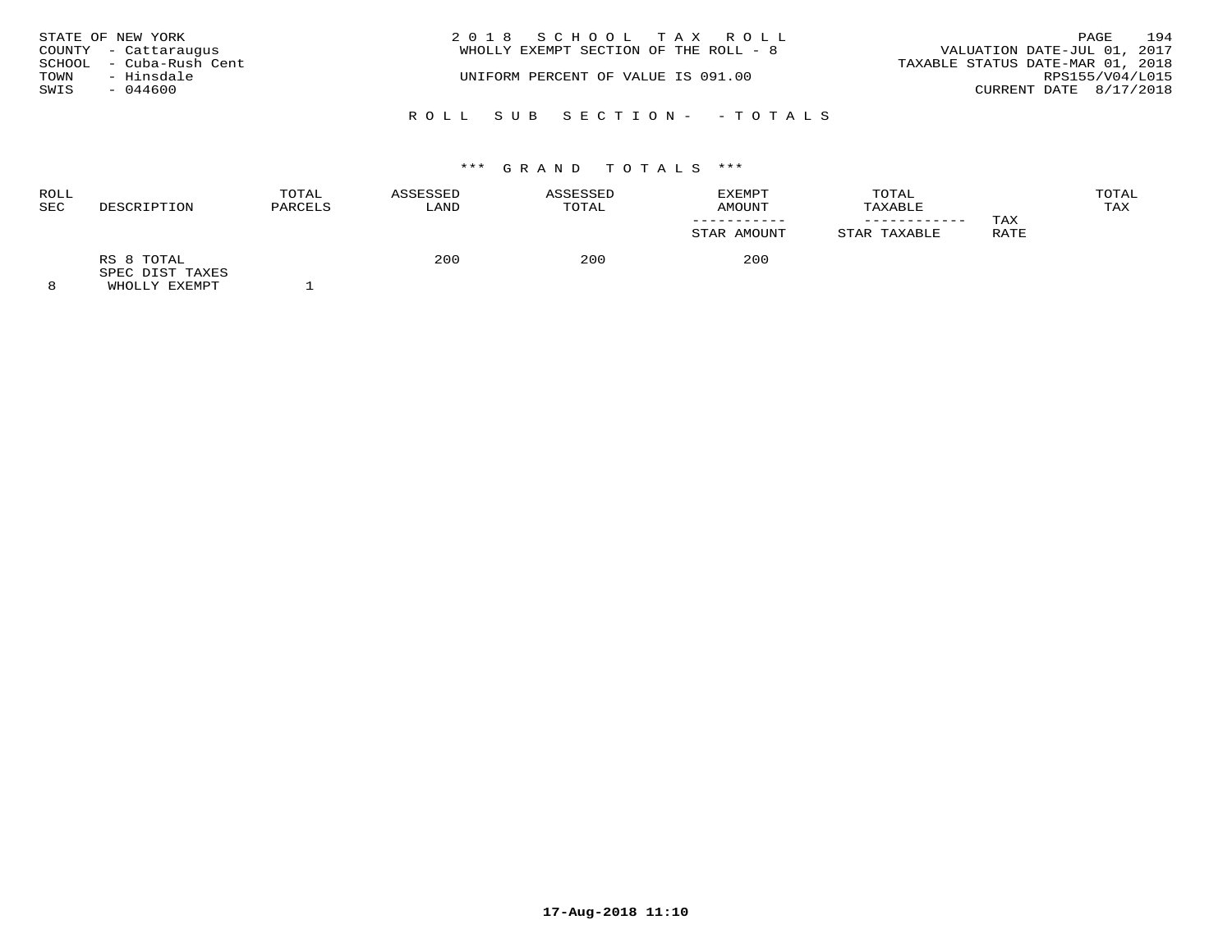|      | STATE OF NEW YORK       | 2018 SCHOOL TAX ROLL                  |                             | PAGE            | 194 |
|------|-------------------------|---------------------------------------|-----------------------------|-----------------|-----|
|      | COUNTY - Cattaraugus    | WHOLLY EXEMPT SECTION OF THE ROLL - 8 | VALUATION DATE-JUL 01, 2017 |                 |     |
|      | SCHOOL - Cuba-Rush Cent | TAXABLE STATUS DATE-MAR 01, 2018      |                             |                 |     |
| TOWN | - Hinsdale              | UNIFORM PERCENT OF VALUE IS 091.00    |                             | RPS155/V04/L015 |     |
| SWIS | $-044600$               |                                       | CURRENT DATE 8/17/2018      |                 |     |
|      |                         | ROLL SUB SECTION- - TOTALS            |                             |                 |     |

| <b>ROLL</b><br>SEC | DESCRIPTION                   | TOTAL<br>PARCELS | ASSESSED<br>LAND | ASSESSED<br>TOTAL | EXEMPT<br>AMOUNT | TOTAL<br>TAXABLE |      | TOTAL<br>TAX |
|--------------------|-------------------------------|------------------|------------------|-------------------|------------------|------------------|------|--------------|
|                    |                               |                  |                  |                   |                  |                  | TAX  |              |
|                    |                               |                  |                  |                   | STAR AMOUNT      | STAR TAXABLE     | RATE |              |
|                    | RS 8 TOTAL<br>SPEC DIST TAXES |                  | 200              | 200               | 200              |                  |      |              |
| $\sim$             | $\frac{1}{2}$                 |                  |                  |                   |                  |                  |      |              |

8 WHOLLY EXEMPT 1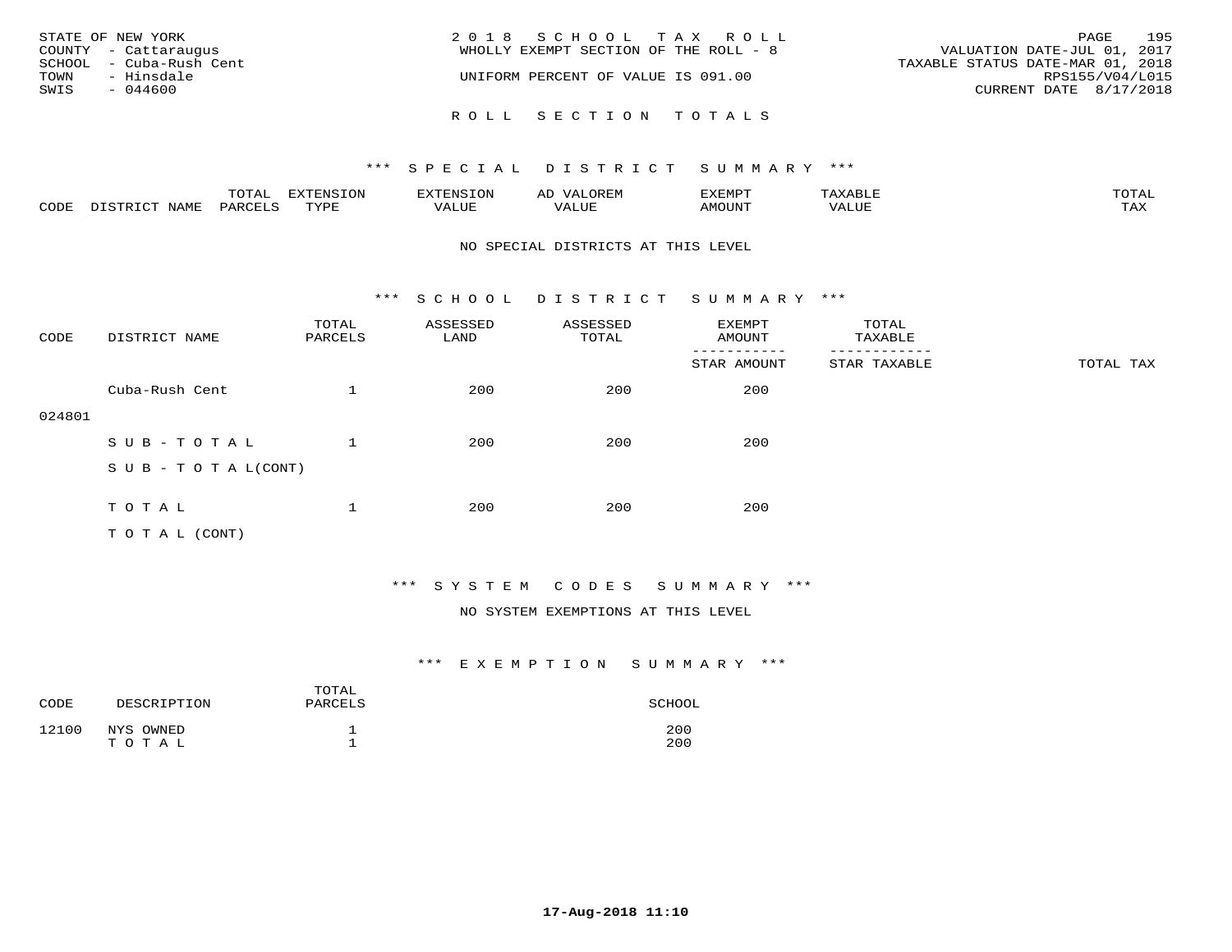| STATE OF NEW YORK<br>COUNTY - Cattaraugus<br>SCHOOL - Cuba-Rush Cent<br>TOWN<br>- Hinsdale<br>SWIS<br>$-044600$ | 2018 SCHOOL TAX ROLL<br>WHOLLY EXEMPT SECTION OF THE ROLL - 8<br>UNIFORM PERCENT OF VALUE IS 091.00 | 195<br>PAGE<br>VALUATION DATE-JUL 01, 2017<br>TAXABLE STATUS DATE-MAR 01, 2018<br>RPS155/V04/L015<br>CURRENT DATE 8/17/2018 |
|-----------------------------------------------------------------------------------------------------------------|-----------------------------------------------------------------------------------------------------|-----------------------------------------------------------------------------------------------------------------------------|
|                                                                                                                 | ROLL SECTION TOTALS                                                                                 |                                                                                                                             |

|      |                  | TOTAL   | <b>EXTENSION</b> | EXTENSION | OREM<br>ΑL   | EXEMPT | АХАВЫР | TOTAI        |
|------|------------------|---------|------------------|-----------|--------------|--------|--------|--------------|
| CODE | NAMF<br>DISTRICT | PARCELS | TYPE             | VALUE     | 77T<br>VALUE | AMOUNT | VALUE  | max x<br>IAA |

#### NO SPECIAL DISTRICTS AT THIS LEVEL

\*\*\* S C H O O L D I S T R I C T S U M M A R Y \*\*\*

| CODE   | DISTRICT NAME              | TOTAL<br>PARCELS | ASSESSED<br>LAND | ASSESSED<br>TOTAL | EXEMPT<br>AMOUNT | TOTAL<br>TAXABLE |           |
|--------|----------------------------|------------------|------------------|-------------------|------------------|------------------|-----------|
|        |                            |                  |                  |                   | STAR AMOUNT      | STAR TAXABLE     | TOTAL TAX |
|        | Cuba-Rush Cent             | $\mathbf{1}$     | 200              | 200               | 200              |                  |           |
| 024801 |                            |                  |                  |                   |                  |                  |           |
|        | SUB-TOTAL                  |                  | 200              | 200               | 200              |                  |           |
|        | S U B - T O T A $L$ (CONT) |                  |                  |                   |                  |                  |           |
|        |                            |                  |                  |                   |                  |                  |           |
|        | TOTAL                      | 1                | 200              | 200               | 200              |                  |           |
|        | T O T A L (CONT)           |                  |                  |                   |                  |                  |           |

# \*\*\* S Y S T E M C O D E S S U M M A R Y \*\*\*

### NO SYSTEM EXEMPTIONS AT THIS LEVEL

| CODE  | DESCRIPTION | TOTAL<br>PARCELS | SCHOOL |
|-------|-------------|------------------|--------|
| 12100 | NYS OWNED   | ᅩ                | 200    |
|       | TOTAL       | <b>__</b>        | 200    |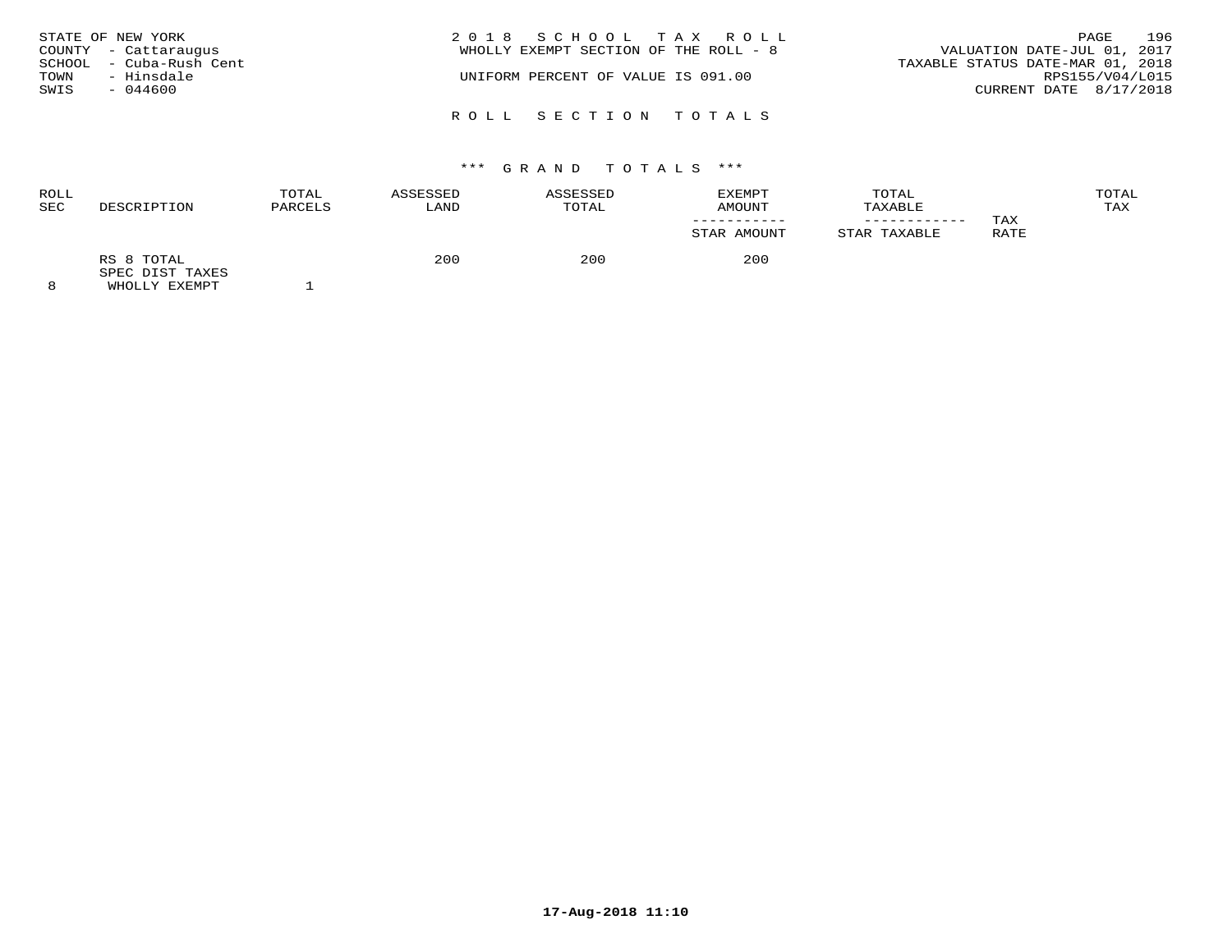| TOWN<br>SWIS | STATE OF NEW YORK<br>COUNTY - Cattaraugus<br>SCHOOL - Cuba-Rush Cent<br>- Hinsdale<br>$-044600$ | 2018 SCHOOL TAX ROLL<br>WHOLLY EXEMPT SECTION OF THE ROLL - 8<br>UNIFORM PERCENT OF VALUE IS 091.00 | 196<br>PAGE<br>VALUATION DATE-JUL 01, 2017<br>TAXABLE STATUS DATE-MAR 01, 2018<br>RPS155/V04/L015<br>CURRENT DATE 8/17/2018 |
|--------------|-------------------------------------------------------------------------------------------------|-----------------------------------------------------------------------------------------------------|-----------------------------------------------------------------------------------------------------------------------------|
|              |                                                                                                 | ROLL SECTION TOTALS                                                                                 |                                                                                                                             |

| ROLL<br>SEC | DESCRIPTION                   | TOTAL<br>PARCELS | ASSESSED<br>LAND | ASSESSED<br>TOTAL | <b>EXEMPT</b><br>AMOUNT | TOTAL<br>TAXABLE |      | TOTAL<br>TAX |
|-------------|-------------------------------|------------------|------------------|-------------------|-------------------------|------------------|------|--------------|
|             |                               |                  |                  |                   |                         |                  | TAX  |              |
|             |                               |                  |                  |                   | STAR AMOUNT             | STAR TAXABLE     | RATE |              |
|             | RS 8 TOTAL<br>SPEC DIST TAXES |                  | 200              | 200               | 200                     |                  |      |              |
| $\sim$      | $\frac{1}{2}$                 |                  |                  |                   |                         |                  |      |              |

8 WHOLLY EXEMPT 1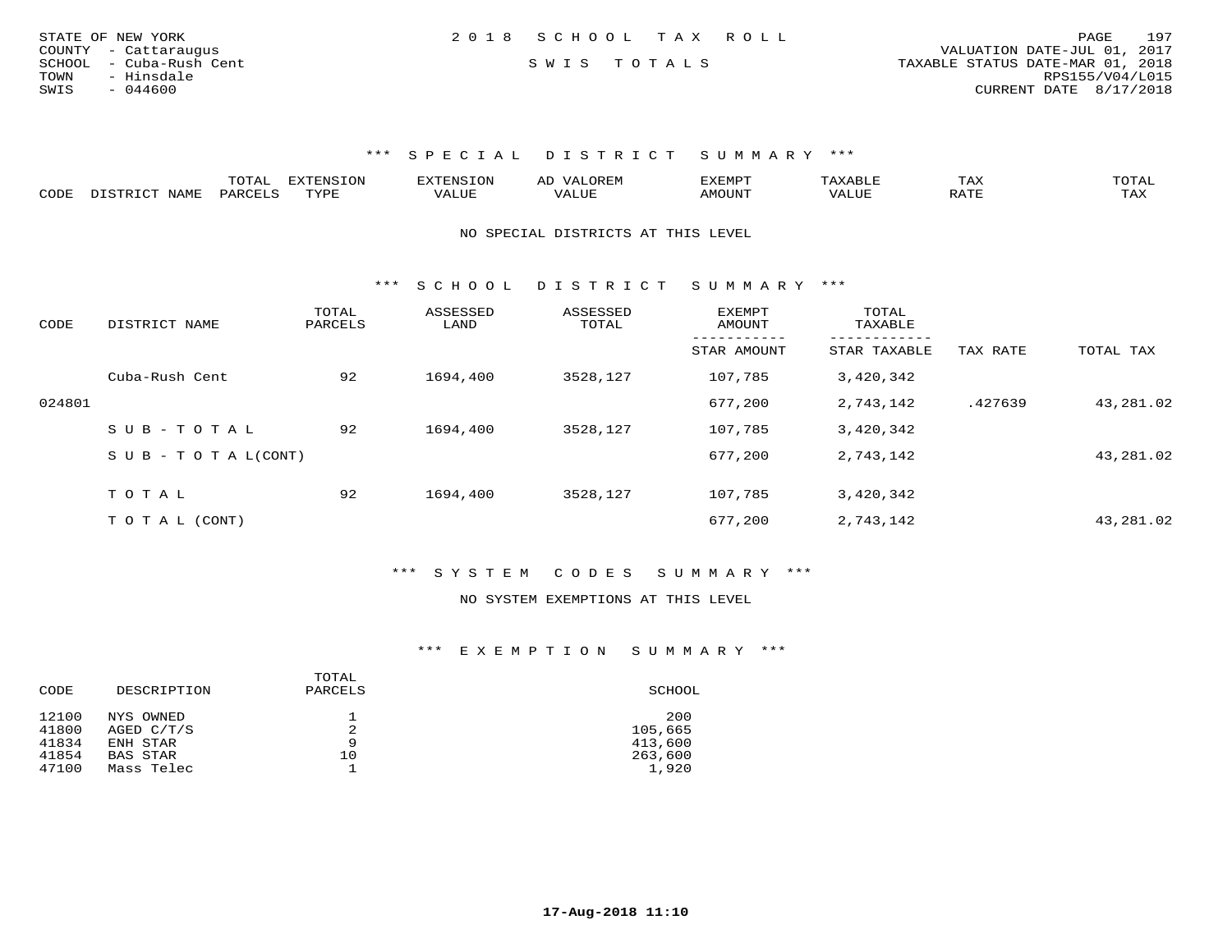| STATE OF NEW YORK       | 2018 SCHOOL TAX ROLL |  | 197<br>PAGE                      |
|-------------------------|----------------------|--|----------------------------------|
| COUNTY - Cattaraugus    |                      |  | VALUATION DATE-JUL 01, 2017      |
| SCHOOL - Cuba-Rush Cent | SWIS TOTALS          |  | TAXABLE STATUS DATE-MAR 01, 2018 |
| - Hinsdale<br>TOWN      |                      |  | RPS155/V04/L015                  |
| SWIS<br>- 044600        |                      |  | CURRENT DATE 8/17/2018           |
|                         |                      |  |                                  |

|      | ----<br>. U 1 1 1 1 | mmATATAT<br><b>A</b> | ▵ | <b>EMP</b> | t Land               | _____ |
|------|---------------------|----------------------|---|------------|----------------------|-------|
| CODE |                     | $n \tau \tau n \tau$ |   | MOTIN.     | $\sim$ $\sim$ $\sim$ |       |

NO SPECIAL DISTRICTS AT THIS LEVEL

\*\*\* S C H O O L D I S T R I C T S U M M A R Y \*\*\*

| CODE   | DISTRICT NAME                    | TOTAL<br>PARCELS | ASSESSED<br>LAND | ASSESSED<br>TOTAL | <b>EXEMPT</b><br>AMOUNT | TOTAL<br>TAXABLE<br>------- |          |           |
|--------|----------------------------------|------------------|------------------|-------------------|-------------------------|-----------------------------|----------|-----------|
|        |                                  |                  |                  |                   | STAR AMOUNT             | STAR TAXABLE                | TAX RATE | TOTAL TAX |
|        | Cuba-Rush Cent                   | 92               | 1694,400         | 3528,127          | 107,785                 | 3,420,342                   |          |           |
| 024801 |                                  |                  |                  |                   | 677,200                 | 2,743,142                   | .427639  | 43,281.02 |
|        | $SUB - TO TAL$                   | 92               | 1694,400         | 3528,127          | 107,785                 | 3,420,342                   |          |           |
|        | $S \cup B - T \cup T A L (CONT)$ |                  |                  |                   | 677,200                 | 2,743,142                   |          | 43,281.02 |
|        |                                  |                  |                  |                   |                         |                             |          |           |
|        | TOTAL                            | 92               | 1694,400         | 3528,127          | 107,785                 | 3,420,342                   |          |           |
|        | T O T A L (CONT)                 |                  |                  |                   | 677,200                 | 2,743,142                   |          | 43,281.02 |

\*\*\* S Y S T E M C O D E S S U M M A R Y \*\*\*

#### NO SYSTEM EXEMPTIONS AT THIS LEVEL

| DESCRIPTION | PARCELS | SCHOOL  |
|-------------|---------|---------|
| NYS OWNED   |         | 200     |
| AGED C/T/S  |         | 105,665 |
| ENH STAR    | 9       | 413,600 |
| BAS STAR    | 10      | 263,600 |
| Mass Telec  |         | 1,920   |
|             |         | TOTAL   |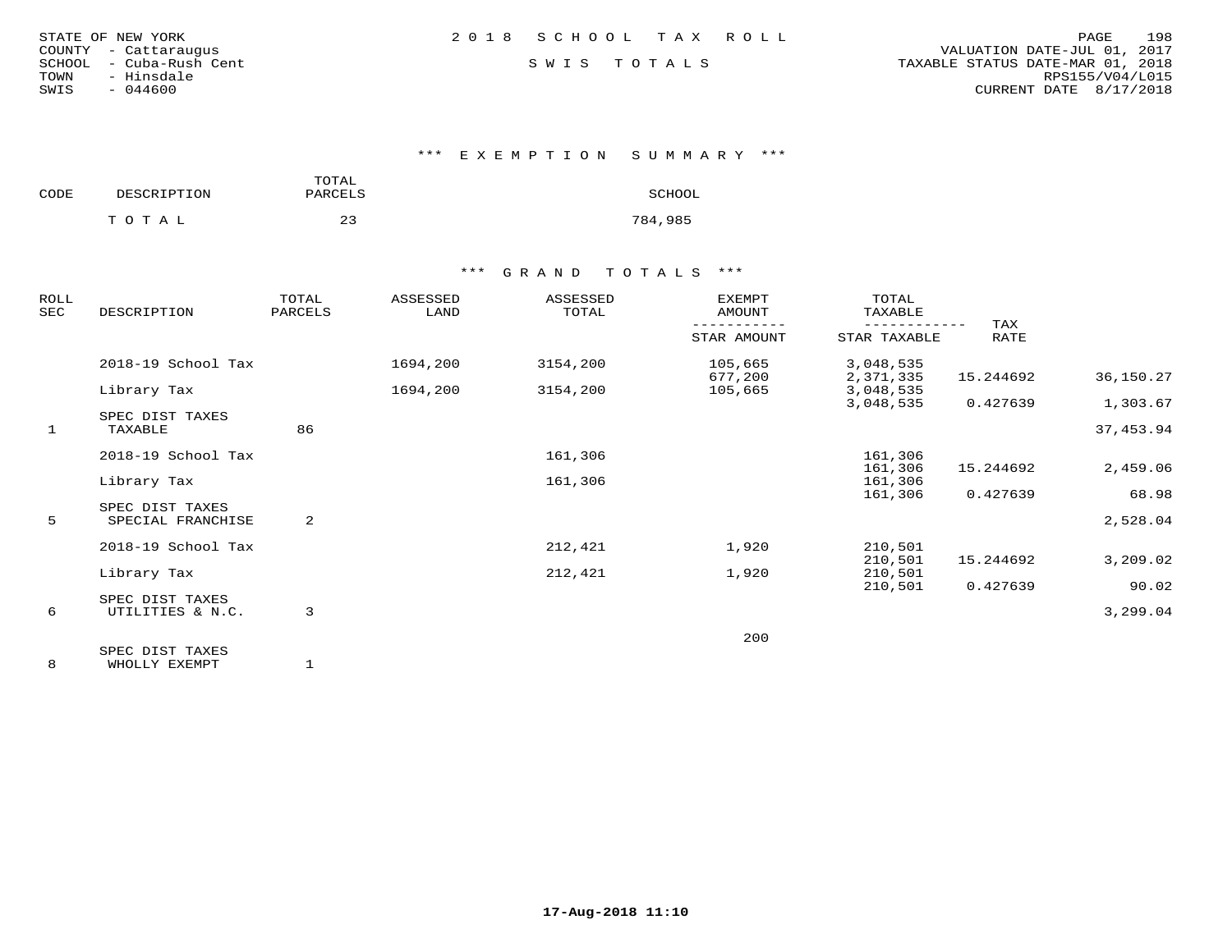| STATE OF NEW YORK |                  |  |
|-------------------|------------------|--|
| COUNTY            | - Cattaraugus    |  |
| SCHOOL            | - Cuba-Rush Cent |  |
| TOWN              | - Hinsdale       |  |
| SWIS              | $-044600$        |  |

\*\*\* E X E M P T I O N S U M M A R Y \*\*\*

| CODE | DESCRIPTION | TOTAL<br>PARCELS | SCHOOL  |
|------|-------------|------------------|---------|
|      | тотаь       | 23               | 784,985 |

## \*\*\* G R A N D T O T A L S \*\*\*

| ROLL<br>SEC | DESCRIPTION                          | TOTAL<br>PARCELS | ASSESSED<br>LAND | ASSESSED<br>TOTAL | <b>EXEMPT</b><br>AMOUNT | TOTAL<br>TAXABLE       |             |           |
|-------------|--------------------------------------|------------------|------------------|-------------------|-------------------------|------------------------|-------------|-----------|
|             |                                      |                  |                  |                   | STAR AMOUNT             | STAR TAXABLE           | TAX<br>RATE |           |
|             | 2018-19 School Tax                   |                  | 1694,200         | 3154,200          | 105,665<br>677,200      | 3,048,535<br>2,371,335 | 15.244692   | 36,150.27 |
|             | Library Tax                          |                  | 1694,200         | 3154,200          | 105,665                 | 3,048,535              |             |           |
|             | SPEC DIST TAXES                      |                  |                  |                   |                         | 3,048,535              | 0.427639    | 1,303.67  |
| 1           | TAXABLE                              | 86               |                  |                   |                         |                        |             | 37,453.94 |
|             | 2018-19 School Tax                   |                  |                  | 161,306           |                         | 161,306                |             |           |
|             | Library Tax                          |                  |                  | 161,306           |                         | 161,306<br>161,306     | 15.244692   | 2,459.06  |
|             |                                      |                  |                  |                   |                         | 161,306                | 0.427639    | 68.98     |
| 5           | SPEC DIST TAXES<br>SPECIAL FRANCHISE | 2                |                  |                   |                         |                        |             | 2,528.04  |
|             | 2018-19 School Tax                   |                  |                  | 212,421           | 1,920                   | 210,501                |             |           |
|             |                                      |                  |                  |                   |                         | 210,501                | 15.244692   | 3,209.02  |
|             | Library Tax                          |                  |                  | 212,421           | 1,920                   | 210,501                |             |           |
|             | SPEC DIST TAXES                      |                  |                  |                   |                         | 210,501                | 0.427639    | 90.02     |
| 6           | UTILITIES & N.C.                     | 3                |                  |                   |                         |                        |             | 3,299.04  |
|             |                                      |                  |                  |                   | 200                     |                        |             |           |
|             | SPEC DIST TAXES                      |                  |                  |                   |                         |                        |             |           |

8 WHOLLY EXEMPT 1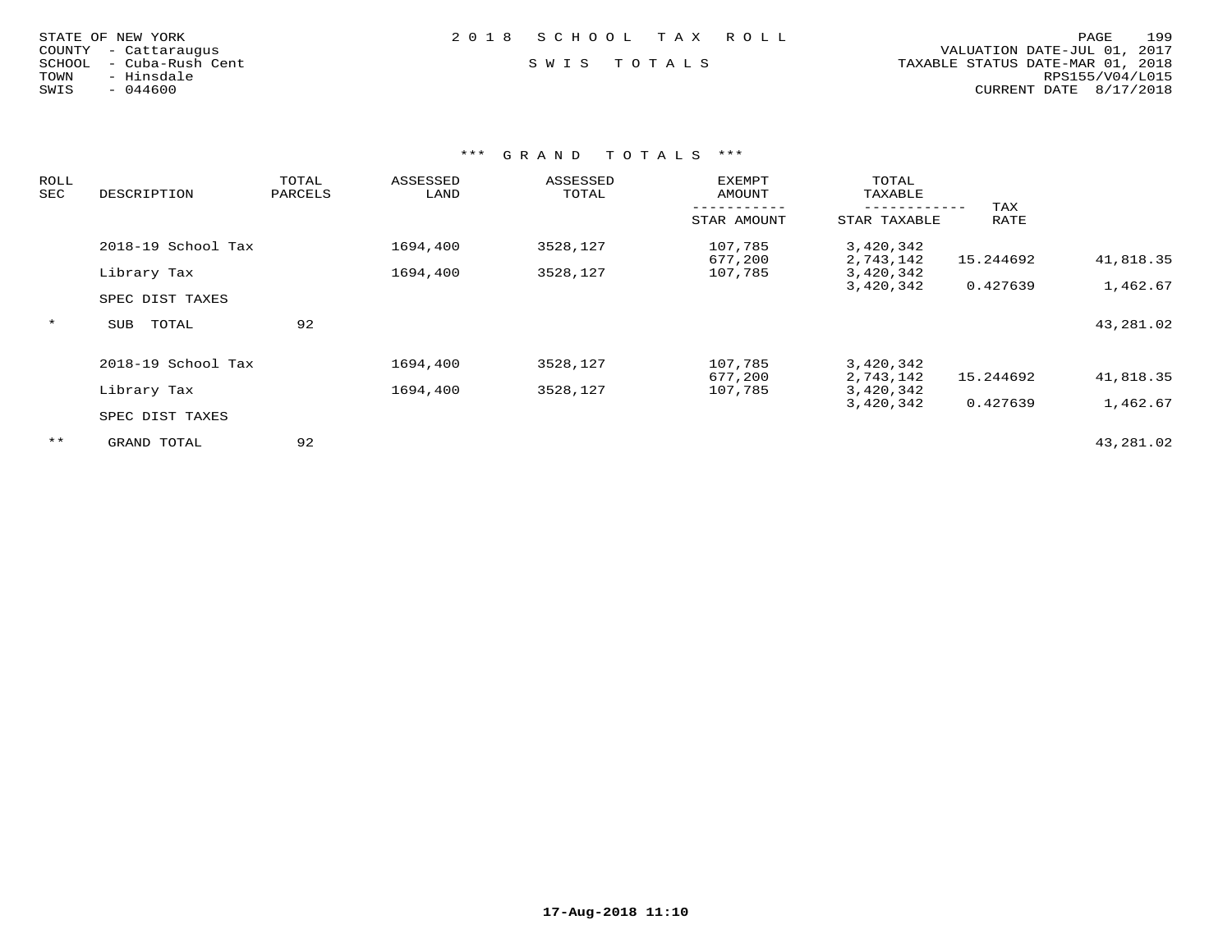|  | $-044600$ | STATE OF NEW YORK<br>- Cattaraugus<br>- Cuba-Rush Cent<br>- Hinsdale |
|--|-----------|----------------------------------------------------------------------|

## STATE OF NEW YORK 2 0 1 8 S C H O O L T A X R O L L PAGE 199

 COUNTY - Cattaraugus VALUATION DATE-JUL 01, 2017 SCHOOL - Cuba-Rush Cent S W I S T O T A L S TAXABLE STATUS DATE-MAR 01, 2018 TOWN - Hinsdale RPS155/V04/L015SWIS - 044600 CURRENT DATE 8/17/2018

| ROLL<br>SEC | DESCRIPTION         | TOTAL<br>PARCELS | ASSESSED<br>LAND | ASSESSED<br>TOTAL | <b>EXEMPT</b><br>AMOUNT | TOTAL<br>TAXABLE       |             |           |
|-------------|---------------------|------------------|------------------|-------------------|-------------------------|------------------------|-------------|-----------|
|             |                     |                  |                  |                   | STAR AMOUNT             | STAR TAXABLE           | TAX<br>RATE |           |
|             | 2018-19 School Tax  |                  | 1694,400         | 3528,127          | 107,785<br>677,200      | 3,420,342<br>2,743,142 | 15.244692   | 41,818.35 |
|             | Library Tax         |                  | 1694,400         | 3528,127          | 107,785                 | 3,420,342              |             |           |
|             | SPEC DIST TAXES     |                  |                  |                   |                         | 3,420,342              | 0.427639    | 1,462.67  |
| $\star$     | TOTAL<br><b>SUB</b> | 92               |                  |                   |                         |                        |             | 43,281.02 |
|             | 2018-19 School Tax  |                  | 1694,400         | 3528,127          | 107,785                 | 3,420,342              |             |           |
|             | Library Tax         |                  | 1694,400         | 3528,127          | 677,200<br>107,785      | 2,743,142<br>3,420,342 | 15.244692   | 41,818.35 |
|             |                     |                  |                  |                   |                         | 3,420,342              | 0.427639    | 1,462.67  |
|             | SPEC DIST TAXES     |                  |                  |                   |                         |                        |             |           |
| $***$       | GRAND TOTAL         | 92               |                  |                   |                         |                        |             | 43,281.02 |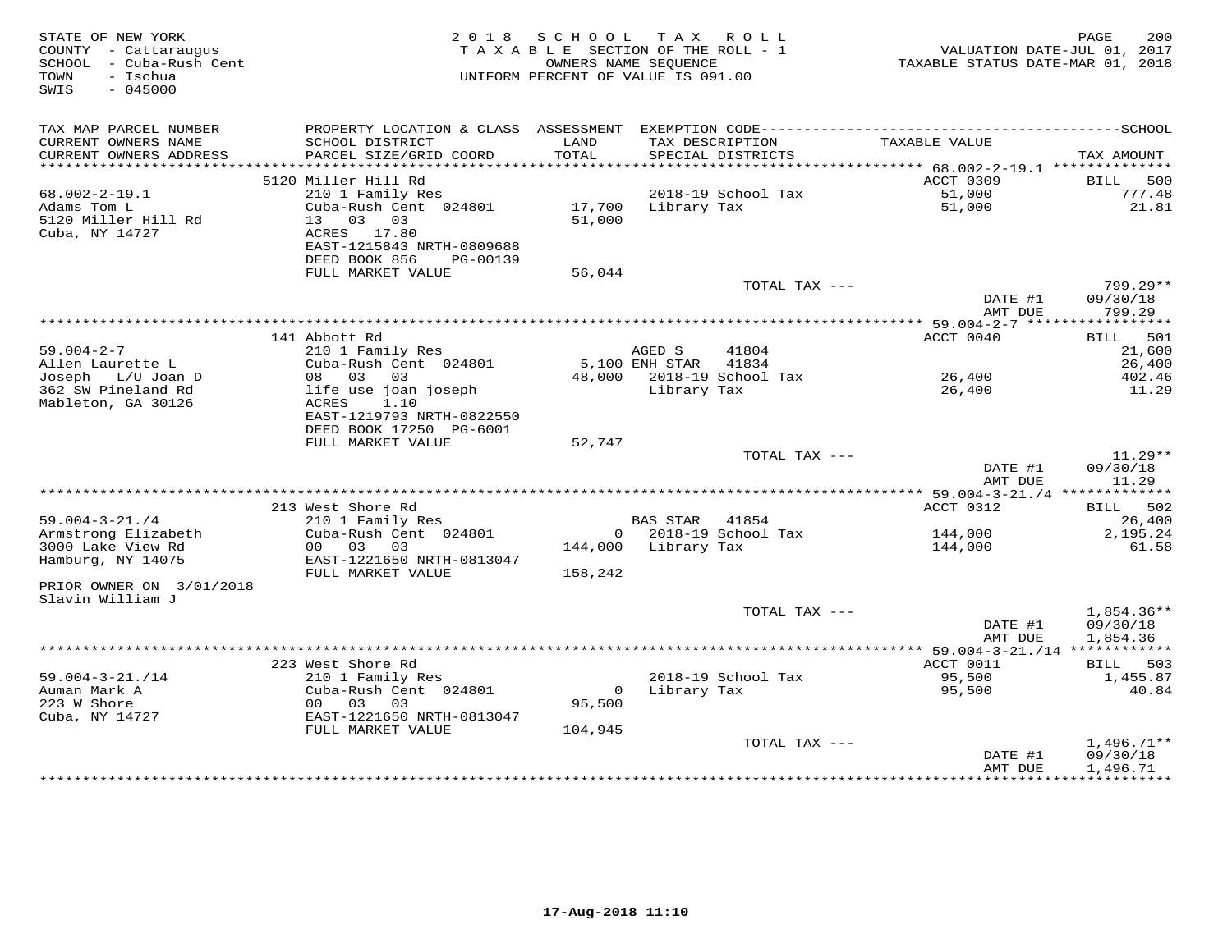| STATE OF NEW YORK<br>COUNTY - Cattaraugus<br>SCHOOL - Cuba-Rush Cent<br>- Ischua<br>TOWN<br>SWIS<br>$-045000$ |                                                                                               | 2018 SCHOOL<br>TAXABLE SECTION OF THE ROLL - 1<br>UNIFORM PERCENT OF VALUE IS 091.00 | OWNERS NAME SEQUENCE           | TAX ROLL                             | TAXABLE STATUS DATE-MAR 01, 2018 | PAGE<br>200<br>VALUATION DATE-JUL 01, 2017 |
|---------------------------------------------------------------------------------------------------------------|-----------------------------------------------------------------------------------------------|--------------------------------------------------------------------------------------|--------------------------------|--------------------------------------|----------------------------------|--------------------------------------------|
| TAX MAP PARCEL NUMBER<br>CURRENT OWNERS NAME<br>CURRENT OWNERS ADDRESS                                        | SCHOOL DISTRICT<br>PARCEL SIZE/GRID COORD                                                     | LAND<br>TOTAL                                                                        |                                | TAX DESCRIPTION<br>SPECIAL DISTRICTS | TAXABLE VALUE                    | TAX AMOUNT                                 |
|                                                                                                               |                                                                                               |                                                                                      |                                |                                      | ACCT 0309                        |                                            |
| $68.002 - 2 - 19.1$                                                                                           | 5120 Miller Hill Rd<br>210 1 Family Res                                                       |                                                                                      |                                | 2018-19 School Tax                   | 51,000                           | BILL 500<br>777.48                         |
| Adams Tom L<br>5120 Miller Hill Rd<br>Cuba, NY 14727                                                          | Cuba-Rush Cent 024801<br>13 03 03<br>ACRES 17.80<br>EAST-1215843 NRTH-0809688                 | 51,000                                                                               | 17,700 Library Tax             |                                      | 51,000                           | 21.81                                      |
|                                                                                                               | DEED BOOK 856<br>PG-00139                                                                     |                                                                                      |                                |                                      |                                  |                                            |
|                                                                                                               | FULL MARKET VALUE                                                                             | 56,044                                                                               |                                |                                      |                                  |                                            |
|                                                                                                               |                                                                                               |                                                                                      |                                | TOTAL TAX ---                        | DATE #1<br>AMT DUE               | 799.29**<br>09/30/18<br>799.29             |
|                                                                                                               |                                                                                               |                                                                                      |                                |                                      |                                  |                                            |
|                                                                                                               | 141 Abbott Rd                                                                                 |                                                                                      |                                |                                      | ACCT 0040                        | BILL 501                                   |
| $59.004 - 2 - 7$<br>Allen Laurette L                                                                          | 210 1 Family Res<br>Cuba-Rush Cent 024801                                                     |                                                                                      | AGED S<br>5,100 ENH STAR 41834 | 41804                                |                                  | 21,600<br>26,400                           |
| Joseph L/U Joan D                                                                                             | 08 03<br>03                                                                                   |                                                                                      |                                | 48,000 2018-19 School Tax            | 26,400                           | 402.46                                     |
| 362 SW Pineland Rd<br>Mableton, GA 30126                                                                      | life use joan joseph<br>ACRES<br>1.10<br>EAST-1219793 NRTH-0822550<br>DEED BOOK 17250 PG-6001 |                                                                                      |                                | Library Tax                          | 26,400                           | 11.29                                      |
|                                                                                                               | FULL MARKET VALUE                                                                             | 52,747                                                                               |                                |                                      |                                  |                                            |
|                                                                                                               |                                                                                               |                                                                                      |                                | TOTAL TAX ---                        | DATE #1<br>AMT DUE               | $11.29**$<br>09/30/18<br>11.29             |
|                                                                                                               |                                                                                               |                                                                                      |                                |                                      |                                  |                                            |
|                                                                                                               | 213 West Shore Rd                                                                             |                                                                                      |                                |                                      | ACCT 0312                        | BILL 502                                   |
| $59.004 - 3 - 21.74$                                                                                          | 210 1 Family Res                                                                              |                                                                                      | BAS STAR 41854                 |                                      |                                  | 26,400                                     |
| Armstrong Elizabeth<br>3000 Lake View Rd<br>Hamburg, NY 14075                                                 | Cuba-Rush Cent 024801<br>00 03 03<br>EAST-1221650 NRTH-0813047                                |                                                                                      | 144,000 Library Tax            | 0 2018-19 School Tax                 | 144,000<br>144,000               | 2,195.24<br>61.58                          |
|                                                                                                               | FULL MARKET VALUE                                                                             | 158,242                                                                              |                                |                                      |                                  |                                            |
| PRIOR OWNER ON 3/01/2018<br>Slavin William J                                                                  |                                                                                               |                                                                                      |                                |                                      |                                  |                                            |
|                                                                                                               |                                                                                               |                                                                                      |                                | TOTAL TAX ---                        | DATE #1<br>AMT DUE               | 1,854.36**<br>09/30/18<br>1,854.36         |
|                                                                                                               |                                                                                               |                                                                                      |                                |                                      |                                  |                                            |
|                                                                                                               | 223 West Shore Rd                                                                             |                                                                                      |                                |                                      | ACCT 0011                        | BILL 503                                   |
| $59.004 - 3 - 21.714$                                                                                         | 210 1 Family Res                                                                              |                                                                                      |                                | 2018-19 School Tax                   | 95,500                           | 1,455.87                                   |
| Auman Mark A<br>223 W Shore<br>Cuba, NY 14727                                                                 | Cuba-Rush Cent 024801<br>00 03 03<br>EAST-1221650 NRTH-0813047                                | 95,500                                                                               |                                | 0 Library Tax                        | 95,500                           | 40.84                                      |
|                                                                                                               | FULL MARKET VALUE                                                                             | 104,945                                                                              |                                |                                      |                                  |                                            |
|                                                                                                               |                                                                                               |                                                                                      |                                | TOTAL TAX ---                        |                                  | $1,496.71**$                               |
|                                                                                                               |                                                                                               |                                                                                      |                                |                                      | DATE #1<br>AMT DUE               | 09/30/18<br>1,496.71                       |
|                                                                                                               |                                                                                               |                                                                                      |                                |                                      |                                  |                                            |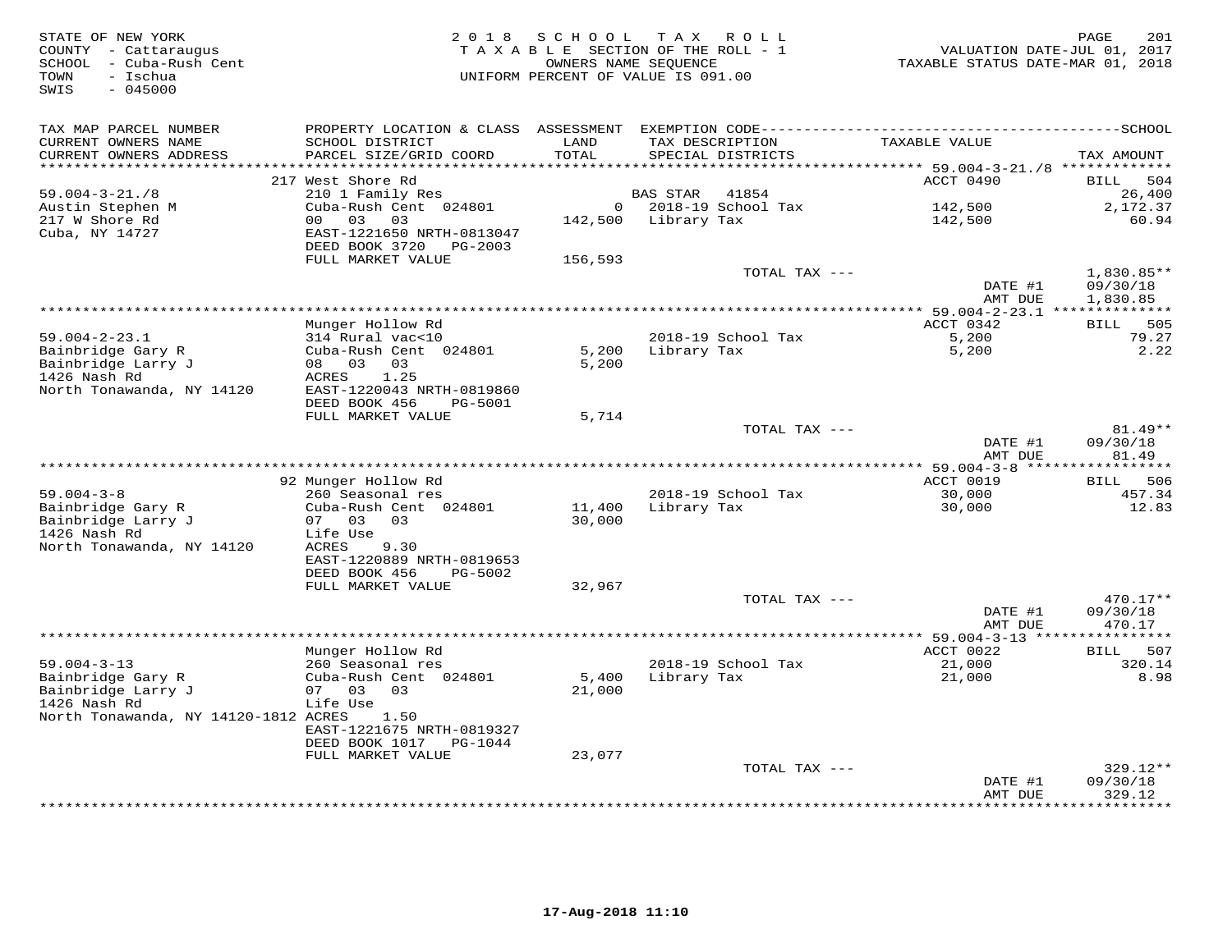| STATE OF NEW YORK<br>COUNTY - Cattaraugus<br>SCHOOL - Cuba-Rush Cent<br>- Ischua<br>TOWN<br>$-045000$<br>SWIS |                                                        | 2018 SCHOOL                      | T A X<br>R O L L<br>TAXABLE SECTION OF THE ROLL - 1<br>OWNERS NAME SEQUENCE<br>UNIFORM PERCENT OF VALUE IS 091.00 | TAXABLE STATUS DATE-MAR 01, 2018                       | PAGE<br>201<br>VALUATION DATE-JUL 01, 2017 |
|---------------------------------------------------------------------------------------------------------------|--------------------------------------------------------|----------------------------------|-------------------------------------------------------------------------------------------------------------------|--------------------------------------------------------|--------------------------------------------|
| TAX MAP PARCEL NUMBER<br>CURRENT OWNERS NAME<br>CURRENT OWNERS ADDRESS<br>********************                | SCHOOL DISTRICT<br>PARCEL SIZE/GRID COORD              | LAND<br>TOTAL<br>* * * * * * * * | TAX DESCRIPTION<br>SPECIAL DISTRICTS                                                                              | TAXABLE VALUE                                          | TAX AMOUNT                                 |
|                                                                                                               | 217 West Shore Rd                                      |                                  |                                                                                                                   | ************ 59.004-3-21./8 *************<br>ACCT 0490 | BILL<br>504                                |
| $59.004 - 3 - 21.78$                                                                                          | 210 1 Family Res                                       |                                  | 41854<br>BAS STAR                                                                                                 |                                                        | 26,400                                     |
| Austin Stephen M                                                                                              | Cuba-Rush Cent 024801                                  |                                  | $0$ 2018-19 School Tax                                                                                            | 142,500                                                | 2,172.37                                   |
| 217 W Shore Rd                                                                                                | 03<br>00 <sup>1</sup><br>03                            |                                  | 142,500 Library Tax                                                                                               | 142,500                                                | 60.94                                      |
| Cuba, NY 14727                                                                                                | EAST-1221650 NRTH-0813047<br>DEED BOOK 3720<br>PG-2003 |                                  |                                                                                                                   |                                                        |                                            |
|                                                                                                               | FULL MARKET VALUE                                      | 156,593                          |                                                                                                                   |                                                        |                                            |
|                                                                                                               |                                                        |                                  | TOTAL TAX ---                                                                                                     | DATE #1<br>AMT DUE                                     | $1,830.85**$<br>09/30/18<br>1,830.85       |
|                                                                                                               |                                                        |                                  |                                                                                                                   |                                                        |                                            |
|                                                                                                               | Munger Hollow Rd                                       |                                  |                                                                                                                   | ACCT 0342                                              | BILL 505                                   |
| $59.004 - 2 - 23.1$                                                                                           | 314 Rural vac<10                                       |                                  | 2018-19 School Tax                                                                                                | 5,200                                                  | 79.27                                      |
| Bainbridge Gary R                                                                                             | Cuba-Rush Cent 024801                                  | 5,200                            | Library Tax                                                                                                       | 5,200                                                  | 2.22                                       |
| Bainbridge Larry J<br>1426 Nash Rd                                                                            | 08 03<br>03<br>ACRES<br>1.25                           | 5,200                            |                                                                                                                   |                                                        |                                            |
| North Tonawanda, NY 14120                                                                                     | EAST-1220043 NRTH-0819860                              |                                  |                                                                                                                   |                                                        |                                            |
|                                                                                                               | DEED BOOK 456<br>$PG-5001$                             |                                  |                                                                                                                   |                                                        |                                            |
|                                                                                                               | FULL MARKET VALUE                                      | 5,714                            |                                                                                                                   |                                                        |                                            |
|                                                                                                               |                                                        |                                  | TOTAL TAX ---                                                                                                     |                                                        | 81.49**                                    |
|                                                                                                               |                                                        |                                  |                                                                                                                   | DATE #1<br>AMT DUE                                     | 09/30/18<br>81.49                          |
|                                                                                                               |                                                        |                                  |                                                                                                                   | ** 59.004-3-8 ******************                       |                                            |
|                                                                                                               | 92 Munger Hollow Rd                                    |                                  |                                                                                                                   | ACCT 0019                                              | BILL 506                                   |
| $59.004 - 3 - 8$                                                                                              | 260 Seasonal res                                       |                                  | 2018-19 School Tax                                                                                                | 30,000                                                 | 457.34                                     |
| Bainbridge Gary R                                                                                             | Cuba-Rush Cent 024801                                  | 11,400                           | Library Tax                                                                                                       | 30,000                                                 | 12.83                                      |
| Bainbridge Larry J                                                                                            | 07 03<br>03                                            | 30,000                           |                                                                                                                   |                                                        |                                            |
| 1426 Nash Rd<br>North Tonawanda, NY 14120                                                                     | Life Use<br>ACRES<br>9.30                              |                                  |                                                                                                                   |                                                        |                                            |
|                                                                                                               | EAST-1220889 NRTH-0819653                              |                                  |                                                                                                                   |                                                        |                                            |
|                                                                                                               | DEED BOOK 456<br>PG-5002                               |                                  |                                                                                                                   |                                                        |                                            |
|                                                                                                               | FULL MARKET VALUE                                      | 32,967                           |                                                                                                                   |                                                        |                                            |
|                                                                                                               |                                                        |                                  | TOTAL TAX ---                                                                                                     |                                                        | 470.17**                                   |
|                                                                                                               |                                                        |                                  |                                                                                                                   | DATE #1<br>AMT DUE                                     | 09/30/18<br>470.17                         |
|                                                                                                               |                                                        |                                  |                                                                                                                   | ****** 59.004-3-13 ****************                    |                                            |
|                                                                                                               | Munger Hollow Rd                                       |                                  |                                                                                                                   | ACCT 0022                                              | BILL 507                                   |
| $59.004 - 3 - 13$                                                                                             | 260 Seasonal res                                       |                                  | 2018-19 School Tax                                                                                                | 21,000                                                 | 320.14                                     |
| Bainbridge Gary R                                                                                             | Cuba-Rush Cent 024801                                  | 5,400                            | Library Tax                                                                                                       | 21,000                                                 | 8.98                                       |
| Bainbridge Larry J<br>1426 Nash Rd                                                                            | 07 03<br>03<br>Life Use                                | 21,000                           |                                                                                                                   |                                                        |                                            |
| North Tonawanda, NY 14120-1812 ACRES                                                                          | 1.50                                                   |                                  |                                                                                                                   |                                                        |                                            |
|                                                                                                               | EAST-1221675 NRTH-0819327                              |                                  |                                                                                                                   |                                                        |                                            |
|                                                                                                               | DEED BOOK 1017<br>PG-1044                              |                                  |                                                                                                                   |                                                        |                                            |
|                                                                                                               | FULL MARKET VALUE                                      | 23,077                           |                                                                                                                   |                                                        |                                            |
|                                                                                                               |                                                        |                                  | TOTAL TAX ---                                                                                                     | DATE #1                                                | 329.12**<br>09/30/18                       |
|                                                                                                               |                                                        |                                  |                                                                                                                   | AMT DUE                                                | 329.12                                     |
|                                                                                                               |                                                        |                                  |                                                                                                                   |                                                        | * * * * * * * *                            |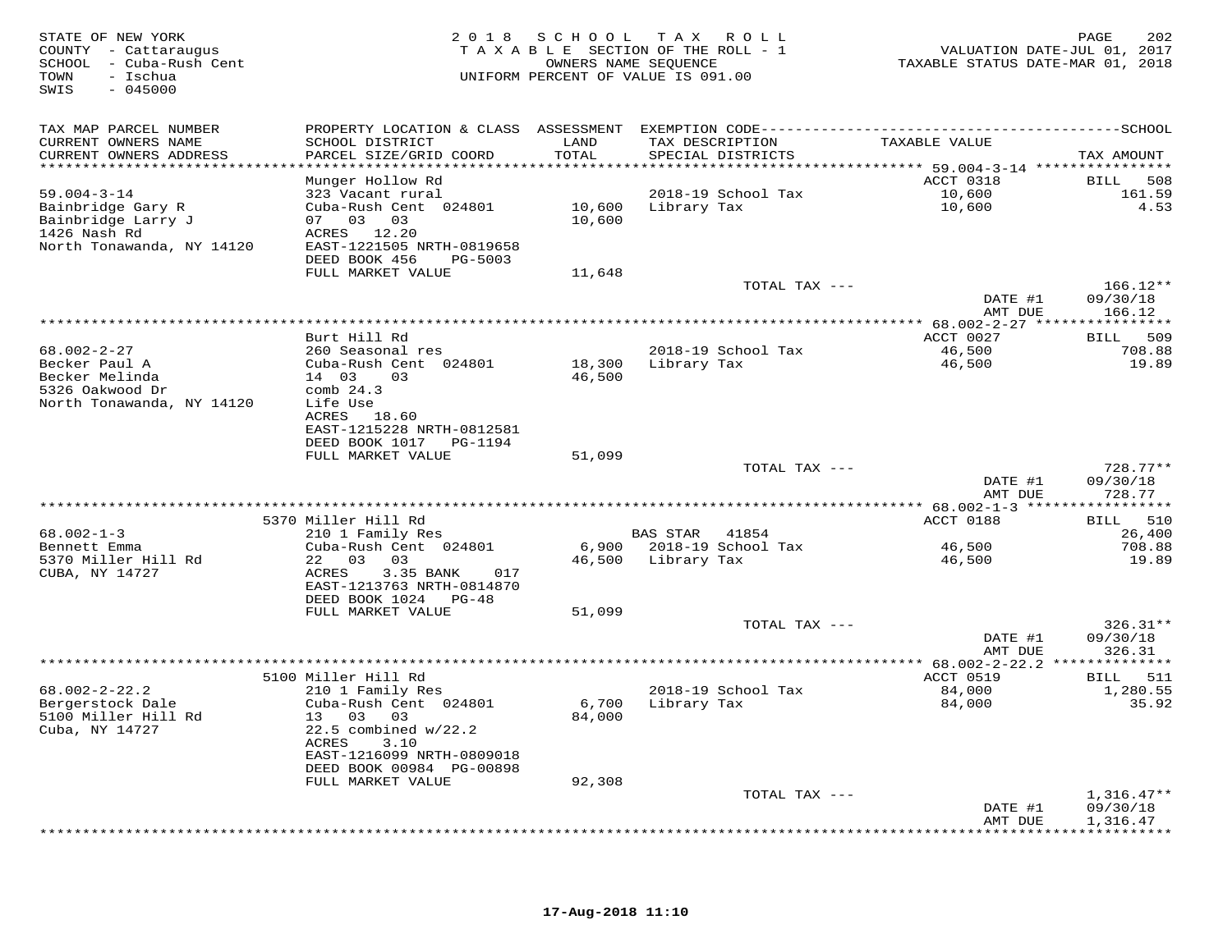| STATE OF NEW YORK<br>COUNTY - Cattaraugus<br>SCHOOL - Cuba-Rush Cent<br>- Ischua<br>TOWN<br>$-045000$<br>SWIS |                                                       | 2018 SCHOOL   | T A X<br>ROLL<br>TAXABLE SECTION OF THE ROLL - 1<br>OWNERS NAME SEQUENCE<br>UNIFORM PERCENT OF VALUE IS 091.00 | VALUATION DATE-JUL 01, 2017<br>TAXABLE STATUS DATE-MAR 01, 2018 | PAGE<br>202             |
|---------------------------------------------------------------------------------------------------------------|-------------------------------------------------------|---------------|----------------------------------------------------------------------------------------------------------------|-----------------------------------------------------------------|-------------------------|
| TAX MAP PARCEL NUMBER                                                                                         |                                                       |               |                                                                                                                |                                                                 |                         |
| CURRENT OWNERS NAME<br>CURRENT OWNERS ADDRESS<br>************************                                     | SCHOOL DISTRICT<br>PARCEL SIZE/GRID COORD             | LAND<br>TOTAL | TAX DESCRIPTION<br>SPECIAL DISTRICTS                                                                           | TAXABLE VALUE                                                   | TAX AMOUNT              |
|                                                                                                               | Munger Hollow Rd                                      |               |                                                                                                                | ACCT 0318                                                       | BILL<br>508             |
| $59.004 - 3 - 14$                                                                                             | 323 Vacant rural                                      |               | 2018-19 School Tax                                                                                             | 10,600                                                          | 161.59                  |
| Bainbridge Gary R                                                                                             | Cuba-Rush Cent 024801                                 |               | 10,600 Library Tax                                                                                             | 10,600                                                          | 4.53                    |
| Bainbridge Larry J<br>1426 Nash Rd                                                                            | 07 03 03<br>ACRES 12.20                               | 10,600        |                                                                                                                |                                                                 |                         |
| North Tonawanda, NY 14120                                                                                     | EAST-1221505 NRTH-0819658                             |               |                                                                                                                |                                                                 |                         |
|                                                                                                               | DEED BOOK 456<br>PG-5003                              |               |                                                                                                                |                                                                 |                         |
|                                                                                                               | FULL MARKET VALUE                                     | 11,648        |                                                                                                                |                                                                 |                         |
|                                                                                                               |                                                       |               | TOTAL TAX ---                                                                                                  |                                                                 | $166.12**$              |
|                                                                                                               |                                                       |               |                                                                                                                | DATE #1<br>AMT DUE                                              | 09/30/18<br>166.12      |
|                                                                                                               |                                                       |               |                                                                                                                |                                                                 |                         |
|                                                                                                               | Burt Hill Rd                                          |               |                                                                                                                | ACCT 0027                                                       | 509<br>BILL             |
| $68.002 - 2 - 27$                                                                                             | 260 Seasonal res                                      |               | 2018-19 School Tax                                                                                             | 46,500                                                          | 708.88                  |
| Becker Paul A                                                                                                 | Cuba-Rush Cent 024801                                 | 18,300        | Library Tax                                                                                                    | 46,500                                                          | 19.89                   |
| Becker Melinda<br>5326 Oakwood Dr                                                                             | 14 03<br>03<br>comb $24.3$                            | 46,500        |                                                                                                                |                                                                 |                         |
| North Tonawanda, NY 14120                                                                                     | Life Use                                              |               |                                                                                                                |                                                                 |                         |
|                                                                                                               | ACRES 18.60                                           |               |                                                                                                                |                                                                 |                         |
|                                                                                                               | EAST-1215228 NRTH-0812581                             |               |                                                                                                                |                                                                 |                         |
|                                                                                                               |                                                       |               |                                                                                                                |                                                                 |                         |
|                                                                                                               | FULL MARKET VALUE                                     | 51,099        | TOTAL TAX ---                                                                                                  |                                                                 | 728.77**                |
|                                                                                                               |                                                       |               |                                                                                                                | DATE #1                                                         | 09/30/18                |
|                                                                                                               |                                                       |               |                                                                                                                | AMT DUE                                                         | 728.77                  |
|                                                                                                               |                                                       |               |                                                                                                                | ******** 68.002-1-3 ******************                          |                         |
| $68.002 - 1 - 3$                                                                                              | 5370 Miller Hill Rd                                   |               | BAS STAR 41854                                                                                                 | ACCT 0188                                                       | 510<br>BILL<br>26,400   |
| Bennett Emma                                                                                                  | 210 1 Family Res<br>Cuba-Rush Cent 024801             |               | 6,900 2018-19 School Tax                                                                                       | 46,500                                                          | 708.88                  |
| 5370 Miller Hill Rd                                                                                           | 22 03 03                                              |               | 46,500 Library Tax                                                                                             | 46,500                                                          | 19.89                   |
| CUBA, NY 14727                                                                                                | ACRES<br>3.35 BANK<br>017                             |               |                                                                                                                |                                                                 |                         |
|                                                                                                               | EAST-1213763 NRTH-0814870                             |               |                                                                                                                |                                                                 |                         |
|                                                                                                               | DEED BOOK 1024 PG-48<br>FULL MARKET VALUE             | 51,099        |                                                                                                                |                                                                 |                         |
|                                                                                                               |                                                       |               | TOTAL TAX ---                                                                                                  |                                                                 | $326.31**$              |
|                                                                                                               |                                                       |               |                                                                                                                | DATE #1                                                         | 09/30/18                |
|                                                                                                               |                                                       |               |                                                                                                                | AMT DUE                                                         | 326.31                  |
|                                                                                                               |                                                       |               |                                                                                                                | ************ 68.002-2-22.2 **************                       |                         |
| $68.002 - 2 - 22.2$                                                                                           | 5100 Miller Hill Rd<br>210 1 Family Res               |               | 2018-19 School Tax                                                                                             | ACCT 0519<br>84,000                                             | 511<br>BILL<br>1,280.55 |
| Bergerstock Dale                                                                                              | Cuba-Rush Cent 024801                                 | 6,700         | Library Tax                                                                                                    | 84,000                                                          | 35.92                   |
| 5100 Miller Hill Rd                                                                                           | 13 03 03                                              | 84,000        |                                                                                                                |                                                                 |                         |
| Cuba, NY 14727                                                                                                | 22.5 combined w/22.2                                  |               |                                                                                                                |                                                                 |                         |
|                                                                                                               | ACRES<br>3.10                                         |               |                                                                                                                |                                                                 |                         |
|                                                                                                               | EAST-1216099 NRTH-0809018<br>DEED BOOK 00984 PG-00898 |               |                                                                                                                |                                                                 |                         |
|                                                                                                               | FULL MARKET VALUE                                     | 92,308        |                                                                                                                |                                                                 |                         |
|                                                                                                               |                                                       |               | TOTAL TAX ---                                                                                                  |                                                                 | $1,316.47**$            |
|                                                                                                               |                                                       |               |                                                                                                                | DATE #1                                                         | 09/30/18                |
|                                                                                                               |                                                       |               |                                                                                                                | AMT DUE                                                         | 1,316.47                |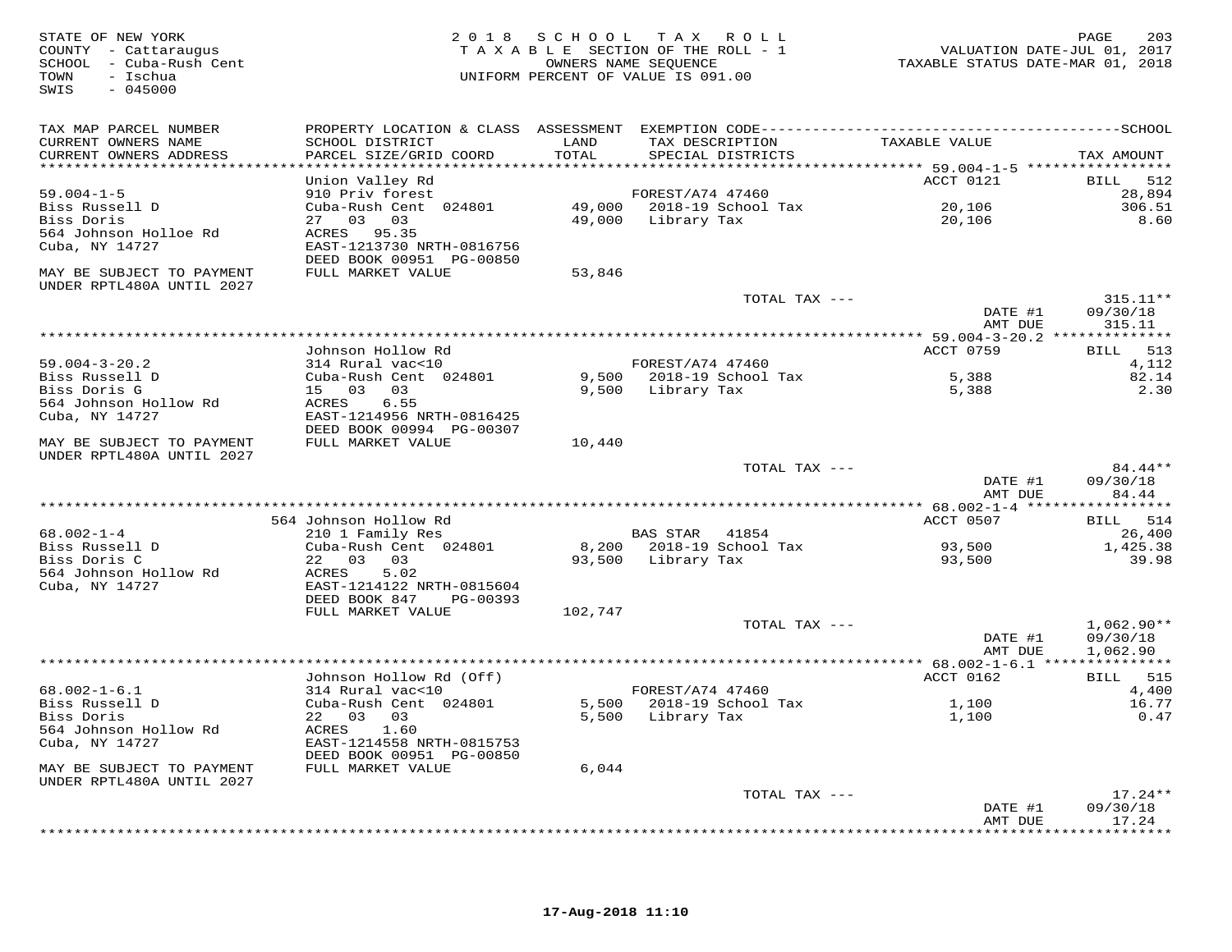| STATE OF NEW YORK<br>COUNTY - Cattaraugus<br>SCHOOL - Cuba-Rush Cent<br>- Ischua<br>TOWN<br>$-045000$<br>SWIS |                                                                      |               | 2018 SCHOOL TAX ROLL<br>TAXABLE SECTION OF THE ROLL - 1<br>OWNERS NAME SEQUENCE<br>UNIFORM PERCENT OF VALUE IS 091.00 | VALUATION DATE-JUL 01, 2017<br>TAXABLE STATUS DATE-MAR 01, 2018 | 203<br>PAGE                      |
|---------------------------------------------------------------------------------------------------------------|----------------------------------------------------------------------|---------------|-----------------------------------------------------------------------------------------------------------------------|-----------------------------------------------------------------|----------------------------------|
| TAX MAP PARCEL NUMBER<br>CURRENT OWNERS NAME<br>CURRENT OWNERS ADDRESS<br>*************************           | SCHOOL DISTRICT<br>PARCEL SIZE/GRID COORD                            | LAND<br>TOTAL | TAX DESCRIPTION<br>SPECIAL DISTRICTS                                                                                  | TAXABLE VALUE                                                   | TAX AMOUNT                       |
|                                                                                                               | Union Valley Rd                                                      |               |                                                                                                                       | ACCT 0121                                                       | 512<br>BILL                      |
| $59.004 - 1 - 5$                                                                                              | 910 Priv forest                                                      |               | FOREST/A74 47460                                                                                                      |                                                                 | 28,894                           |
| Biss Russell D<br>Biss Doris                                                                                  | Cuba-Rush Cent 024801<br>27 03 03                                    |               | 49,000 2018-19 School Tax<br>49,000 Library Tax                                                                       | 20,106<br>20,106                                                | 306.51<br>8.60                   |
| 564 Johnson Holloe Rd<br>Cuba, NY 14727                                                                       | ACRES 95.35<br>EAST-1213730 NRTH-0816756<br>DEED BOOK 00951 PG-00850 |               |                                                                                                                       |                                                                 |                                  |
| MAY BE SUBJECT TO PAYMENT<br>UNDER RPTL480A UNTIL 2027                                                        | FULL MARKET VALUE                                                    | 53,846        |                                                                                                                       |                                                                 |                                  |
|                                                                                                               |                                                                      |               | TOTAL TAX ---                                                                                                         | DATE #1<br>AMT DUE                                              | $315.11**$<br>09/30/18<br>315.11 |
|                                                                                                               | Johnson Hollow Rd                                                    |               |                                                                                                                       | ACCT 0759                                                       | BILL 513                         |
| $59.004 - 3 - 20.2$                                                                                           | 314 Rural vac<10                                                     |               | FOREST/A74 47460                                                                                                      |                                                                 | 4,112                            |
| Biss Russell D                                                                                                | Cuba-Rush Cent 024801                                                |               | 9,500 2018-19 School Tax                                                                                              | $\frac{5}{2}$ , 388                                             | 82.14                            |
| Biss Doris G                                                                                                  | 15 03 03                                                             |               | 9,500 Library Tax                                                                                                     | 5,388                                                           | 2.30                             |
| 564 Johnson Hollow Rd<br>Cuba, NY 14727                                                                       | ACRES 6.55<br>EAST-1214956 NRTH-0816425<br>DEED BOOK 00994 PG-00307  |               |                                                                                                                       |                                                                 |                                  |
| MAY BE SUBJECT TO PAYMENT<br>UNDER RPTL480A UNTIL 2027                                                        | FULL MARKET VALUE                                                    | 10,440        |                                                                                                                       |                                                                 |                                  |
|                                                                                                               |                                                                      |               | TOTAL TAX ---                                                                                                         | DATE #1<br>AMT DUE                                              | $84.44**$<br>09/30/18<br>84.44   |
|                                                                                                               | 564 Johnson Hollow Rd                                                |               |                                                                                                                       | ACCT 0507                                                       | BILL 514                         |
| $68.002 - 1 - 4$                                                                                              | 210 1 Family Res                                                     |               | BAS STAR 41854                                                                                                        |                                                                 | 26,400                           |
| b8.004 - -<br>Biss Russell D                                                                                  | Cuba-Rush Cent 024801                                                |               | 8,200 2018-19 School Tax                                                                                              | 93,500                                                          | 1,425.38                         |
| Biss Doris C<br>564 Johnson Hollow Rd<br>Cuba, NY 14727                                                       | 22 03 03<br>5.02<br>ACRES<br>EAST-1214122 NRTH-0815604               |               | 93,500 Library Tax                                                                                                    | 93,500                                                          | 39.98                            |
|                                                                                                               | DEED BOOK 847 PG-00393<br>FULL MARKET VALUE                          | 102,747       |                                                                                                                       |                                                                 |                                  |
|                                                                                                               |                                                                      |               | TOTAL TAX ---                                                                                                         |                                                                 | $1,062.90**$                     |
|                                                                                                               |                                                                      |               |                                                                                                                       | DATE #1<br>AMT DUE                                              | 09/30/18<br>1,062.90             |
|                                                                                                               |                                                                      |               |                                                                                                                       |                                                                 |                                  |
|                                                                                                               | Johnson Hollow Rd (Off)                                              |               |                                                                                                                       | ACCT 0162                                                       | BILL 515                         |
| $68.002 - 1 - 6.1$<br>Biss Russell D                                                                          | 314 Rural vac<10<br>Cuba-Rush Cent 024801                            |               | FOREST/A74 47460<br>5,500 2018-19 School Tax                                                                          | 1,100                                                           | 4,400<br>16.77                   |
| Biss Doris                                                                                                    | 22 03 03                                                             |               | 5,500 Library Tax                                                                                                     | 1,100                                                           | 0.47                             |
| 564 Johnson Hollow Rd<br>Cuba, NY 14727                                                                       | ACRES 1.60<br>EAST-1214558 NRTH-0815753<br>DEED BOOK 00951 PG-00850  |               |                                                                                                                       |                                                                 |                                  |
| MAY BE SUBJECT TO PAYMENT                                                                                     | FULL MARKET VALUE                                                    | 6,044         |                                                                                                                       |                                                                 |                                  |
| UNDER RPTL480A UNTIL 2027                                                                                     |                                                                      |               | TOTAL TAX ---                                                                                                         |                                                                 | $17.24**$                        |
|                                                                                                               |                                                                      |               |                                                                                                                       | DATE #1<br>AMT DUE                                              | 09/30/18<br>17.24                |
|                                                                                                               |                                                                      |               |                                                                                                                       |                                                                 | ********                         |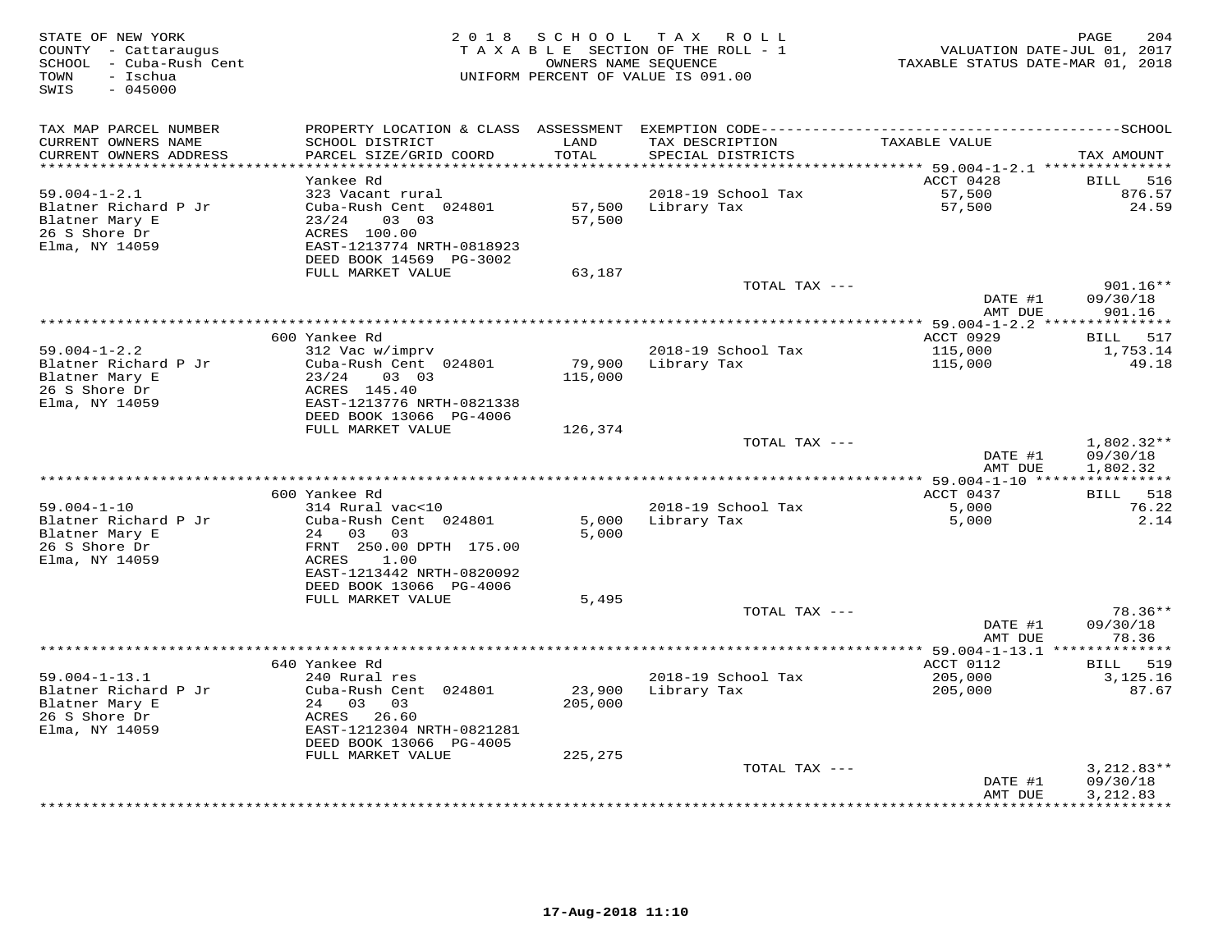| STATE OF NEW YORK<br>COUNTY - Cattaraugus<br>SCHOOL - Cuba-Rush Cent<br>- Ischua<br>TOWN<br>SWIS<br>$-045000$ | 2 0 1 8                                              | SCHOOL TAX    | ROLL<br>TAXABLE SECTION OF THE ROLL - 1<br>OWNERS NAME SEQUENCE<br>UNIFORM PERCENT OF VALUE IS 091.00 | TAXABLE STATUS DATE-MAR 01, 2018  | PAGE<br>204<br>VALUATION DATE-JUL 01, 2017 |
|---------------------------------------------------------------------------------------------------------------|------------------------------------------------------|---------------|-------------------------------------------------------------------------------------------------------|-----------------------------------|--------------------------------------------|
| TAX MAP PARCEL NUMBER                                                                                         |                                                      |               |                                                                                                       |                                   |                                            |
| CURRENT OWNERS NAME<br>CURRENT OWNERS ADDRESS<br>**********************                                       | SCHOOL DISTRICT<br>PARCEL SIZE/GRID COORD            | LAND<br>TOTAL | TAX DESCRIPTION<br>SPECIAL DISTRICTS                                                                  | TAXABLE VALUE                     | TAX AMOUNT                                 |
|                                                                                                               | Yankee Rd                                            |               |                                                                                                       | ACCT 0428                         | 516<br>BILL                                |
| $59.004 - 1 - 2.1$                                                                                            | 323 Vacant rural                                     |               | 2018-19 School Tax                                                                                    | 57,500                            | 876.57                                     |
| Blatner Richard P Jr                                                                                          | Cuba-Rush Cent 024801                                | 57,500        | Library Tax                                                                                           | 57,500                            | 24.59                                      |
| Blatner Mary E                                                                                                | 03 03<br>23/24                                       | 57,500        |                                                                                                       |                                   |                                            |
| 26 S Shore Dr                                                                                                 | ACRES 100.00                                         |               |                                                                                                       |                                   |                                            |
| Elma, NY 14059                                                                                                | EAST-1213774 NRTH-0818923                            |               |                                                                                                       |                                   |                                            |
|                                                                                                               | DEED BOOK 14569 PG-3002                              |               |                                                                                                       |                                   |                                            |
|                                                                                                               | FULL MARKET VALUE                                    | 63,187        |                                                                                                       |                                   |                                            |
|                                                                                                               |                                                      |               | TOTAL TAX ---                                                                                         | DATE #1                           | 901.16**<br>09/30/18                       |
|                                                                                                               |                                                      |               |                                                                                                       | AMT DUE                           | 901.16                                     |
|                                                                                                               |                                                      |               |                                                                                                       |                                   |                                            |
|                                                                                                               | 600 Yankee Rd                                        |               |                                                                                                       | ACCT 0929                         | BILL 517                                   |
| $59.004 - 1 - 2.2$                                                                                            | 312 Vac w/imprv                                      |               | 2018-19 School Tax                                                                                    | 115,000                           | 1,753.14                                   |
| Blatner Richard P Jr                                                                                          | Cuba-Rush Cent 024801                                | 79,900        | Library Tax                                                                                           | 115,000                           | 49.18                                      |
| Blatner Mary E                                                                                                | 23/24<br>03 03                                       | 115,000       |                                                                                                       |                                   |                                            |
| 26 S Shore Dr                                                                                                 | ACRES 145.40                                         |               |                                                                                                       |                                   |                                            |
| Elma, NY 14059                                                                                                | EAST-1213776 NRTH-0821338<br>DEED BOOK 13066 PG-4006 |               |                                                                                                       |                                   |                                            |
|                                                                                                               | FULL MARKET VALUE                                    | 126,374       |                                                                                                       |                                   |                                            |
|                                                                                                               |                                                      |               | TOTAL TAX ---                                                                                         |                                   | $1,802.32**$                               |
|                                                                                                               |                                                      |               |                                                                                                       | DATE #1                           | 09/30/18                                   |
|                                                                                                               |                                                      |               |                                                                                                       | AMT DUE                           | 1,802.32                                   |
|                                                                                                               |                                                      |               | **************************************                                                                | *************** 59.004-1-10 ***** | ***********                                |
|                                                                                                               | 600 Yankee Rd                                        |               |                                                                                                       | ACCT 0437                         | 518<br>BILL                                |
| $59.004 - 1 - 10$<br>Blatner Richard P Jr                                                                     | 314 Rural vac<10<br>Cuba-Rush Cent 024801            | 5,000         | 2018-19 School Tax<br>Library Tax                                                                     | 5,000<br>5,000                    | 76.22<br>2.14                              |
| Blatner Mary E                                                                                                | 24 03<br>03                                          | 5,000         |                                                                                                       |                                   |                                            |
| 26 S Shore Dr                                                                                                 | FRNT 250.00 DPTH 175.00                              |               |                                                                                                       |                                   |                                            |
| Elma, NY 14059                                                                                                | ACRES<br>1.00                                        |               |                                                                                                       |                                   |                                            |
|                                                                                                               | EAST-1213442 NRTH-0820092                            |               |                                                                                                       |                                   |                                            |
|                                                                                                               | DEED BOOK 13066 PG-4006                              |               |                                                                                                       |                                   |                                            |
|                                                                                                               | FULL MARKET VALUE                                    | 5,495         |                                                                                                       |                                   |                                            |
|                                                                                                               |                                                      |               | TOTAL TAX ---                                                                                         |                                   | 78.36**                                    |
|                                                                                                               |                                                      |               |                                                                                                       | DATE #1                           | 09/30/18                                   |
|                                                                                                               |                                                      |               | *************                                                                                         | AMT DUE<br>$*$ 59.004-1-13.1 $*$  | 78.36<br>* * * * * * * * * * *             |
|                                                                                                               | 640 Yankee Rd                                        |               |                                                                                                       | ACCT 0112                         | BILL 519                                   |
| $59.004 - 1 - 13.1$                                                                                           | 240 Rural res                                        |               | 2018-19 School Tax                                                                                    | 205,000                           | 3,125.16                                   |
| Blatner Richard P Jr                                                                                          | Cuba-Rush Cent 024801                                | 23,900        | Library Tax                                                                                           | 205,000                           | 87.67                                      |
| Blatner Mary E                                                                                                | 24 03 03                                             | 205,000       |                                                                                                       |                                   |                                            |
| 26 S Shore Dr                                                                                                 | ACRES 26.60                                          |               |                                                                                                       |                                   |                                            |
| Elma, NY 14059                                                                                                | EAST-1212304 NRTH-0821281                            |               |                                                                                                       |                                   |                                            |
|                                                                                                               | DEED BOOK 13066 PG-4005                              |               |                                                                                                       |                                   |                                            |
|                                                                                                               | FULL MARKET VALUE                                    | 225,275       |                                                                                                       |                                   |                                            |
|                                                                                                               |                                                      |               | TOTAL TAX ---                                                                                         | DATE #1                           | $3,212.83**$<br>09/30/18                   |
|                                                                                                               |                                                      |               |                                                                                                       | AMT DUE                           | 3, 212.83                                  |
|                                                                                                               |                                                      |               |                                                                                                       |                                   | **********                                 |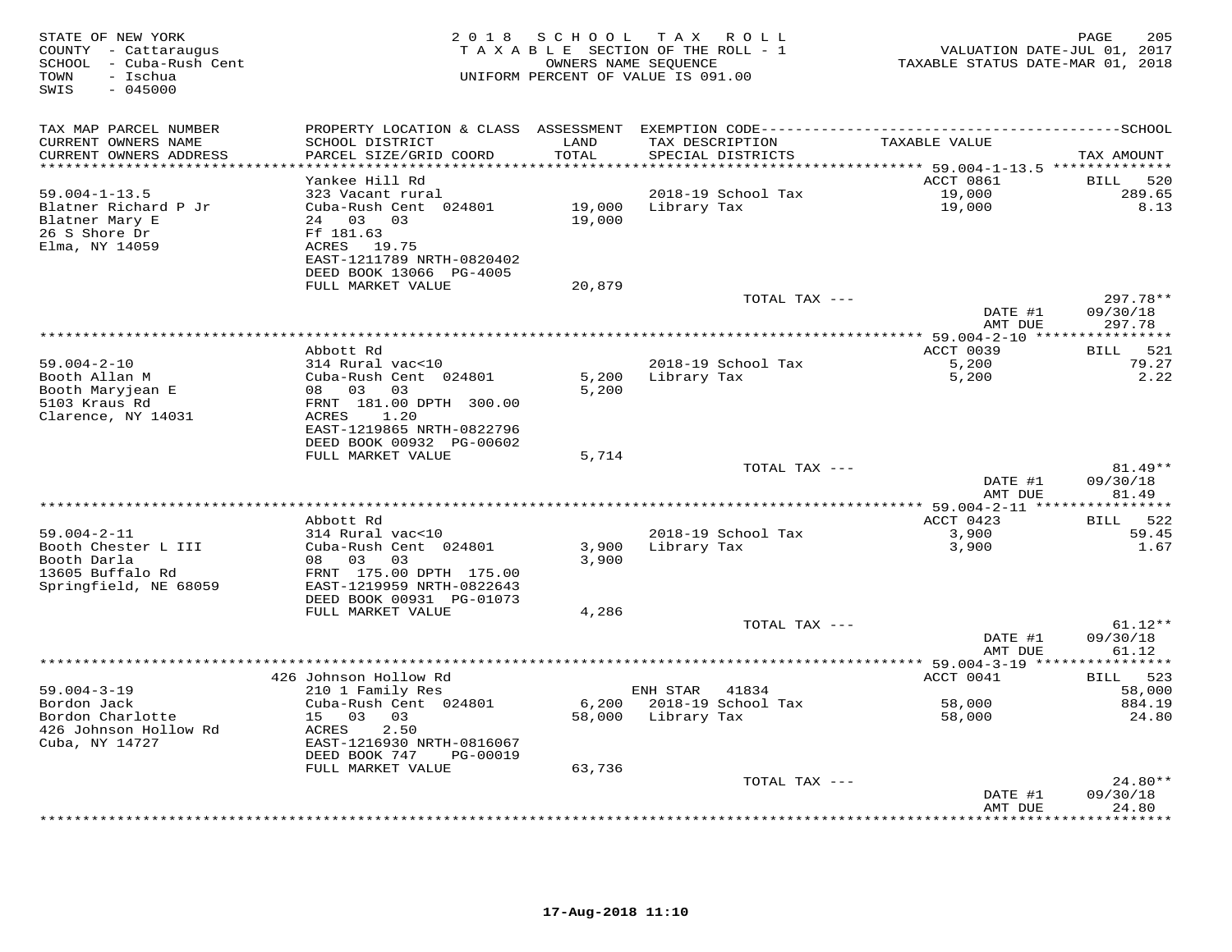| STATE OF NEW YORK<br>COUNTY - Cattaraugus<br>SCHOOL - Cuba-Rush Cent<br>- Ischua<br>TOWN<br>SWIS<br>$-045000$ | 2 0 1 8                                                                                                                     | SCHOOL           | T A X<br>R O L L<br>TAXABLE SECTION OF THE ROLL - 1<br>OWNERS NAME SEQUENCE<br>UNIFORM PERCENT OF VALUE IS 091.00 | VALUATION DATE-JUL 01, 2017<br>TAXABLE STATUS DATE-MAR 01, 2018 | 205<br>PAGE                    |
|---------------------------------------------------------------------------------------------------------------|-----------------------------------------------------------------------------------------------------------------------------|------------------|-------------------------------------------------------------------------------------------------------------------|-----------------------------------------------------------------|--------------------------------|
| TAX MAP PARCEL NUMBER<br>CURRENT OWNERS NAME                                                                  | PROPERTY LOCATION & CLASS ASSESSMENT EXEMPTION CODE-----------------------------------SCHOOL<br>SCHOOL DISTRICT             | LAND             |                                                                                                                   |                                                                 |                                |
| CURRENT OWNERS ADDRESS                                                                                        | PARCEL SIZE/GRID COORD                                                                                                      | TOTAL            | TAX DESCRIPTION<br>SPECIAL DISTRICTS                                                                              | TAXABLE VALUE                                                   | TAX AMOUNT                     |
| ***********************                                                                                       |                                                                                                                             | *************    |                                                                                                                   | ***************************** 59.004-1-13.5 **************      |                                |
|                                                                                                               | Yankee Hill Rd                                                                                                              |                  |                                                                                                                   | ACCT 0861                                                       | 520<br><b>BILL</b>             |
| $59.004 - 1 - 13.5$<br>Blatner Richard P Jr<br>Blatner Mary E<br>26 S Shore Dr<br>Elma, NY 14059              | 323 Vacant rural<br>Cuba-Rush Cent 024801<br>24 03<br>03<br>Ff 181.63<br>ACRES 19.75                                        | 19,000<br>19,000 | 2018-19 School Tax<br>Library Tax                                                                                 | 19,000<br>19,000                                                | 289.65<br>8.13                 |
|                                                                                                               | EAST-1211789 NRTH-0820402<br>DEED BOOK 13066 PG-4005<br>FULL MARKET VALUE                                                   | 20,879           |                                                                                                                   |                                                                 |                                |
|                                                                                                               |                                                                                                                             |                  | TOTAL TAX ---                                                                                                     |                                                                 | 297.78**                       |
|                                                                                                               |                                                                                                                             |                  |                                                                                                                   | DATE #1<br>AMT DUE                                              | 09/30/18<br>297.78             |
|                                                                                                               |                                                                                                                             |                  |                                                                                                                   | *********** 59.004-2-10 **                                      | *********                      |
| $59.004 - 2 - 10$                                                                                             | Abbott Rd<br>314 Rural vac<10                                                                                               |                  | 2018-19 School Tax                                                                                                | ACCT 0039<br>5,200                                              | 521<br>BILL<br>79.27           |
| Booth Allan M<br>Booth Maryjean E                                                                             | Cuba-Rush Cent 024801<br>08 03<br>03                                                                                        | 5,200<br>5,200   | Library Tax                                                                                                       | 5,200                                                           | 2.22                           |
| 5103 Kraus Rd<br>Clarence, NY 14031                                                                           | FRNT 181.00 DPTH 300.00<br>1.20<br>ACRES<br>EAST-1219865 NRTH-0822796                                                       |                  |                                                                                                                   |                                                                 |                                |
|                                                                                                               | DEED BOOK 00932 PG-00602<br>FULL MARKET VALUE                                                                               | 5,714            |                                                                                                                   |                                                                 |                                |
|                                                                                                               |                                                                                                                             |                  | TOTAL TAX ---                                                                                                     | DATE #1                                                         | $81.49**$<br>09/30/18          |
|                                                                                                               |                                                                                                                             |                  |                                                                                                                   | AMT DUE<br>***** 59.004-2-11 *                                  | 81.49<br>* * * * * * * *       |
|                                                                                                               | Abbott Rd                                                                                                                   |                  |                                                                                                                   | ACCT 0423                                                       | 522<br><b>BILL</b>             |
| $59.004 - 2 - 11$                                                                                             | 314 Rural vac<10                                                                                                            |                  | 2018-19 School Tax                                                                                                | 3,900                                                           | 59.45                          |
| Booth Chester L III<br>Booth Darla<br>13605 Buffalo Rd<br>Springfield, NE 68059                               | Cuba-Rush Cent 024801<br>08<br>03<br>03<br>FRNT 175.00 DPTH 175.00<br>EAST-1219959 NRTH-0822643<br>DEED BOOK 00931 PG-01073 | 3,900<br>3,900   | Library Tax                                                                                                       | 3,900                                                           | 1.67                           |
|                                                                                                               | FULL MARKET VALUE                                                                                                           | 4,286            |                                                                                                                   |                                                                 |                                |
|                                                                                                               |                                                                                                                             |                  | TOTAL TAX ---                                                                                                     | DATE #1<br>AMT DUE                                              | $61.12**$<br>09/30/18<br>61.12 |
|                                                                                                               |                                                                                                                             |                  |                                                                                                                   |                                                                 |                                |
|                                                                                                               | 426 Johnson Hollow Rd                                                                                                       |                  |                                                                                                                   | ACCT 0041                                                       | 523<br><b>BILL</b>             |
| $59.004 - 3 - 19$<br>Bordon Jack<br>Bordon Charlotte<br>426 Johnson Hollow Rd                                 | 210 1 Family Res<br>Cuba-Rush Cent 024801<br>15 03<br>03<br>ACRES<br>2.50                                                   | 6,200<br>58,000  | ENH STAR<br>41834<br>2018-19 School Tax<br>Library Tax                                                            | 58,000<br>58,000                                                | 58,000<br>884.19<br>24.80      |
| Cuba, NY 14727                                                                                                | EAST-1216930 NRTH-0816067<br>DEED BOOK 747<br>PG-00019                                                                      |                  |                                                                                                                   |                                                                 |                                |
|                                                                                                               | FULL MARKET VALUE                                                                                                           | 63,736           | TOTAL TAX ---                                                                                                     |                                                                 | $24.80**$                      |
|                                                                                                               |                                                                                                                             |                  |                                                                                                                   | DATE #1<br>AMT DUE                                              | 09/30/18<br>24.80              |
|                                                                                                               |                                                                                                                             |                  |                                                                                                                   |                                                                 | .                              |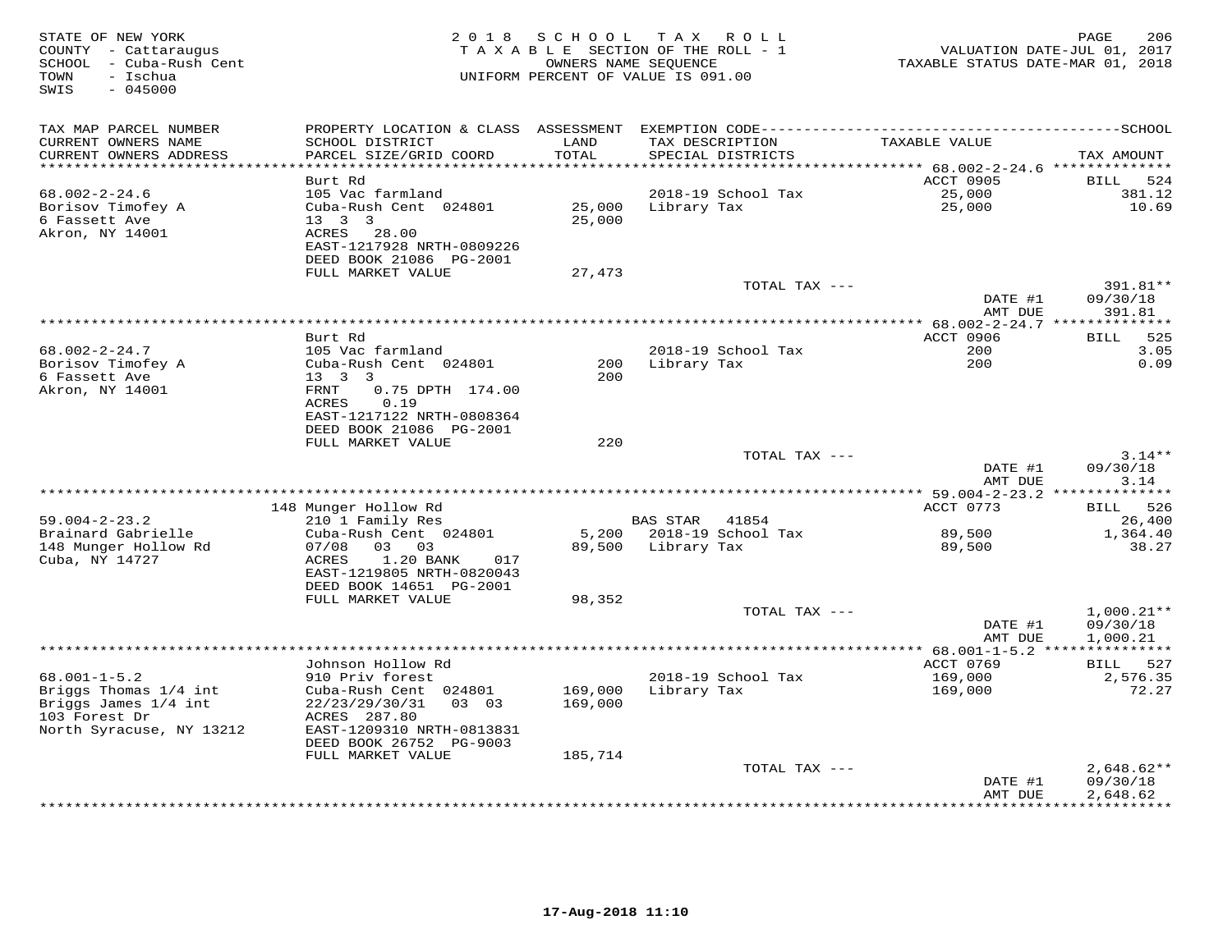| STATE OF NEW YORK<br>COUNTY - Cattaraugus<br>SCHOOL - Cuba-Rush Cent<br>- Ischua<br>TOWN<br>SWIS<br>$-045000$ | 2 0 1 8                                              | SCHOOL           | TAX ROLL<br>TAXABLE SECTION OF THE ROLL - 1<br>OWNERS NAME SEQUENCE<br>UNIFORM PERCENT OF VALUE IS 091.00 | TAXABLE STATUS DATE-MAR 01, 2018           | 206<br>PAGE<br>VALUATION DATE-JUL 01, 2017 |
|---------------------------------------------------------------------------------------------------------------|------------------------------------------------------|------------------|-----------------------------------------------------------------------------------------------------------|--------------------------------------------|--------------------------------------------|
| TAX MAP PARCEL NUMBER                                                                                         | PROPERTY LOCATION & CLASS ASSESSMENT                 |                  |                                                                                                           |                                            |                                            |
| CURRENT OWNERS NAME<br>CURRENT OWNERS ADDRESS                                                                 | SCHOOL DISTRICT<br>PARCEL SIZE/GRID COORD            | LAND<br>TOTAL    | TAX DESCRIPTION<br>SPECIAL DISTRICTS                                                                      | TAXABLE VALUE                              | TAX AMOUNT                                 |
| **********************                                                                                        |                                                      |                  |                                                                                                           |                                            |                                            |
|                                                                                                               | Burt Rd                                              |                  |                                                                                                           | ACCT 0905                                  | BILL<br>524                                |
| $68.002 - 2 - 24.6$                                                                                           | 105 Vac farmland                                     |                  | 2018-19 School Tax                                                                                        | 25,000                                     | 381.12                                     |
| Borisov Timofey A<br>6 Fassett Ave                                                                            | Cuba-Rush Cent 024801<br>$13 \quad 3 \quad 3$        | 25,000<br>25,000 | Library Tax                                                                                               | 25,000                                     | 10.69                                      |
| Akron, NY 14001                                                                                               | 28.00<br>ACRES                                       |                  |                                                                                                           |                                            |                                            |
|                                                                                                               | EAST-1217928 NRTH-0809226<br>DEED BOOK 21086 PG-2001 |                  |                                                                                                           |                                            |                                            |
|                                                                                                               | FULL MARKET VALUE                                    | 27,473           |                                                                                                           |                                            |                                            |
|                                                                                                               |                                                      |                  | TOTAL TAX ---                                                                                             |                                            | 391.81**                                   |
|                                                                                                               |                                                      |                  |                                                                                                           | DATE #1                                    | 09/30/18                                   |
|                                                                                                               |                                                      |                  |                                                                                                           | AMT DUE                                    | 391.81                                     |
|                                                                                                               |                                                      |                  | ***************************                                                                               | ************ 68.002-2-24.7 *************** |                                            |
|                                                                                                               | Burt Rd                                              |                  |                                                                                                           | <b>ACCT 0906</b>                           | 525<br>BILL<br>3.05                        |
| $68.002 - 2 - 24.7$<br>Borisov Timofey A                                                                      | 105 Vac farmland<br>Cuba-Rush Cent 024801            | 200              | 2018-19 School Tax<br>Library Tax                                                                         | 200<br>200                                 | 0.09                                       |
| 6 Fassett Ave                                                                                                 | $13 \quad 3 \quad 3$                                 | 200              |                                                                                                           |                                            |                                            |
| Akron, NY 14001                                                                                               | FRNT<br>0.75 DPTH 174.00                             |                  |                                                                                                           |                                            |                                            |
|                                                                                                               | ACRES<br>0.19                                        |                  |                                                                                                           |                                            |                                            |
|                                                                                                               | EAST-1217122 NRTH-0808364                            |                  |                                                                                                           |                                            |                                            |
|                                                                                                               | DEED BOOK 21086 PG-2001                              |                  |                                                                                                           |                                            |                                            |
|                                                                                                               | FULL MARKET VALUE                                    | 220              |                                                                                                           |                                            |                                            |
|                                                                                                               |                                                      |                  | TOTAL TAX ---                                                                                             | DATE #1                                    | $3.14**$<br>09/30/18                       |
|                                                                                                               |                                                      |                  |                                                                                                           | AMT DUE                                    | 3.14<br>********                           |
|                                                                                                               | 148 Munger Hollow Rd                                 |                  |                                                                                                           | ACCT 0773                                  | <b>BILL</b><br>526                         |
| $59.004 - 2 - 23.2$                                                                                           | 210 1 Family Res                                     |                  | <b>BAS STAR</b><br>41854                                                                                  |                                            | 26,400                                     |
| Brainard Gabrielle                                                                                            | Cuba-Rush Cent 024801                                | 5,200            | 2018-19 School Tax                                                                                        | 89,500                                     | 1,364.40                                   |
| 148 Munger Hollow Rd                                                                                          | 07/08<br>03 03                                       | 89,500           | Library Tax                                                                                               | 89,500                                     | 38.27                                      |
| Cuba, NY 14727                                                                                                | <b>ACRES</b><br>1.20 BANK<br>017                     |                  |                                                                                                           |                                            |                                            |
|                                                                                                               | EAST-1219805 NRTH-0820043                            |                  |                                                                                                           |                                            |                                            |
|                                                                                                               | DEED BOOK 14651 PG-2001<br>FULL MARKET VALUE         |                  |                                                                                                           |                                            |                                            |
|                                                                                                               |                                                      | 98,352           | TOTAL TAX ---                                                                                             |                                            | $1,000.21**$                               |
|                                                                                                               |                                                      |                  |                                                                                                           | DATE #1                                    | 09/30/18                                   |
|                                                                                                               |                                                      |                  |                                                                                                           | AMT DUE                                    | 1,000.21                                   |
|                                                                                                               |                                                      |                  | *************************                                                                                 | $4* 68.001 - 1 - 5.2 **$                   |                                            |
|                                                                                                               | Johnson Hollow Rd                                    |                  |                                                                                                           | ACCT 0769                                  | BILL 527                                   |
| $68.001 - 1 - 5.2$                                                                                            | 910 Priv forest                                      |                  | 2018-19 School Tax                                                                                        | 169,000                                    | 2,576.35                                   |
| Briggs Thomas 1/4 int                                                                                         | Cuba-Rush Cent 024801                                | 169,000          | Library Tax                                                                                               | 169,000                                    | 72.27                                      |
| Briggs James 1/4 int<br>103 Forest Dr                                                                         | 22/23/29/30/31<br>03 03<br>ACRES 287.80              | 169,000          |                                                                                                           |                                            |                                            |
| North Syracuse, NY 13212                                                                                      | EAST-1209310 NRTH-0813831                            |                  |                                                                                                           |                                            |                                            |
|                                                                                                               | DEED BOOK 26752 PG-9003                              |                  |                                                                                                           |                                            |                                            |
|                                                                                                               | FULL MARKET VALUE                                    | 185,714          |                                                                                                           |                                            |                                            |
|                                                                                                               |                                                      |                  | TOTAL TAX ---                                                                                             |                                            | $2,648.62**$                               |
|                                                                                                               |                                                      |                  |                                                                                                           | DATE #1                                    | 09/30/18                                   |
|                                                                                                               |                                                      |                  | ********************************                                                                          | AMT DUE                                    | 2,648.62<br>* * * * * * * * *              |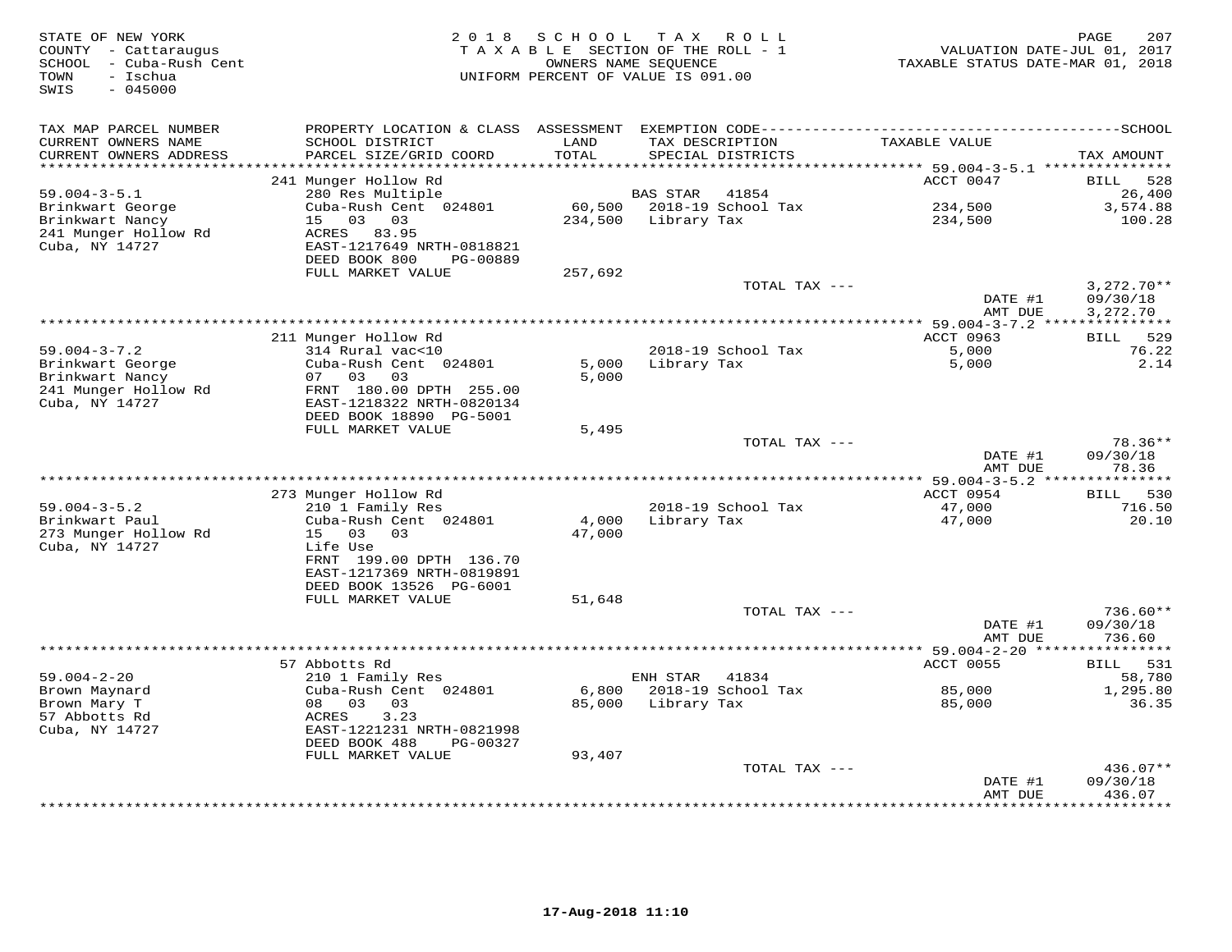| STATE OF NEW YORK<br>COUNTY - Cattaraugus<br>SCHOOL - Cuba-Rush Cent<br>TOWN<br>- Ischua<br>SWIS<br>$-045000$ | 2 0 1 8                                   | SCHOOL                | T A X<br>R O L L<br>TAXABLE SECTION OF THE ROLL - 1<br>OWNERS NAME SEQUENCE<br>UNIFORM PERCENT OF VALUE IS 091.00 | VALUATION DATE-JUL 01, 2017<br>TAXABLE STATUS DATE-MAR 01, 2018 | 207<br>PAGE            |
|---------------------------------------------------------------------------------------------------------------|-------------------------------------------|-----------------------|-------------------------------------------------------------------------------------------------------------------|-----------------------------------------------------------------|------------------------|
| TAX MAP PARCEL NUMBER                                                                                         |                                           |                       |                                                                                                                   |                                                                 |                        |
| CURRENT OWNERS NAME<br>CURRENT OWNERS ADDRESS                                                                 | SCHOOL DISTRICT<br>PARCEL SIZE/GRID COORD | LAND<br>TOTAL         | TAX DESCRIPTION<br>SPECIAL DISTRICTS                                                                              | TAXABLE VALUE                                                   | TAX AMOUNT             |
| *******************                                                                                           |                                           | * * * * * * * * * * * |                                                                                                                   | ******* 59.004-3-5.1 ****************                           |                        |
| $59.004 - 3 - 5.1$                                                                                            | 241 Munger Hollow Rd<br>280 Res Multiple  |                       | BAS STAR<br>41854                                                                                                 | ACCT 0047                                                       | BILL 528<br>26,400     |
| Brinkwart George                                                                                              | Cuba-Rush Cent 024801                     |                       | 60,500 2018-19 School Tax                                                                                         | 234,500                                                         | 3,574.88               |
| Brinkwart Nancy                                                                                               | 15 03 03                                  | 234,500               | Library Tax                                                                                                       | 234,500                                                         | 100.28                 |
| 241 Munger Hollow Rd                                                                                          | ACRES 83.95                               |                       |                                                                                                                   |                                                                 |                        |
| Cuba, NY 14727                                                                                                | EAST-1217649 NRTH-0818821                 |                       |                                                                                                                   |                                                                 |                        |
|                                                                                                               | DEED BOOK 800<br>PG-00889                 |                       |                                                                                                                   |                                                                 |                        |
|                                                                                                               | FULL MARKET VALUE                         | 257,692               |                                                                                                                   |                                                                 |                        |
|                                                                                                               |                                           |                       | TOTAL TAX ---                                                                                                     |                                                                 | $3,272.70**$           |
|                                                                                                               |                                           |                       |                                                                                                                   | DATE #1                                                         | 09/30/18               |
|                                                                                                               |                                           |                       |                                                                                                                   | AMT DUE                                                         | 3,272.70               |
|                                                                                                               |                                           |                       |                                                                                                                   | *** 59.004-3-7.2 ****************                               |                        |
| $59.004 - 3 - 7.2$                                                                                            | 211 Munger Hollow Rd<br>314 Rural vac<10  |                       | 2018-19 School Tax                                                                                                | ACCT 0963<br>5,000                                              | BILL 529<br>76.22      |
| Brinkwart George                                                                                              | Cuba-Rush Cent 024801                     | 5,000                 | Library Tax                                                                                                       | 5,000                                                           | 2.14                   |
| Brinkwart Nancy                                                                                               | 07 03 03                                  | 5,000                 |                                                                                                                   |                                                                 |                        |
| 241 Munger Hollow Rd                                                                                          | FRNT 180.00 DPTH 255.00                   |                       |                                                                                                                   |                                                                 |                        |
| Cuba, NY 14727                                                                                                | EAST-1218322 NRTH-0820134                 |                       |                                                                                                                   |                                                                 |                        |
|                                                                                                               | DEED BOOK 18890 PG-5001                   |                       |                                                                                                                   |                                                                 |                        |
|                                                                                                               | FULL MARKET VALUE                         | 5,495                 |                                                                                                                   |                                                                 |                        |
|                                                                                                               |                                           |                       | TOTAL TAX ---                                                                                                     |                                                                 | 78.36**                |
|                                                                                                               |                                           |                       |                                                                                                                   | DATE #1                                                         | 09/30/18               |
|                                                                                                               |                                           |                       |                                                                                                                   | AMT DUE                                                         | 78.36                  |
|                                                                                                               | 273 Munger Hollow Rd                      |                       |                                                                                                                   | ACCT 0954                                                       | BILL 530               |
| $59.004 - 3 - 5.2$                                                                                            | 210 1 Family Res                          |                       | 2018-19 School Tax                                                                                                | 47,000                                                          | 716.50                 |
| Brinkwart Paul                                                                                                | Cuba-Rush Cent 024801                     | 4,000                 | Library Tax                                                                                                       | 47,000                                                          | 20.10                  |
| 273 Munger Hollow Rd                                                                                          | 03<br>03<br>15                            | 47,000                |                                                                                                                   |                                                                 |                        |
| Cuba, NY 14727                                                                                                | Life Use                                  |                       |                                                                                                                   |                                                                 |                        |
|                                                                                                               | FRNT 199.00 DPTH 136.70                   |                       |                                                                                                                   |                                                                 |                        |
|                                                                                                               | EAST-1217369 NRTH-0819891                 |                       |                                                                                                                   |                                                                 |                        |
|                                                                                                               | DEED BOOK 13526 PG-6001                   |                       |                                                                                                                   |                                                                 |                        |
|                                                                                                               | FULL MARKET VALUE                         | 51,648                |                                                                                                                   |                                                                 |                        |
|                                                                                                               |                                           |                       | TOTAL TAX ---                                                                                                     | DATE #1                                                         | $736.60**$<br>09/30/18 |
|                                                                                                               |                                           |                       |                                                                                                                   | AMT DUE                                                         | 736.60                 |
|                                                                                                               |                                           |                       |                                                                                                                   |                                                                 | ***********            |
|                                                                                                               | 57 Abbotts Rd                             |                       |                                                                                                                   | ACCT 0055                                                       | BILL 531               |
| $59.004 - 2 - 20$                                                                                             | 210 1 Family Res                          |                       | ENH STAR<br>41834                                                                                                 |                                                                 | 58,780                 |
| Brown Maynard                                                                                                 | Cuba-Rush Cent 024801                     | 6,800                 | 2018-19 School Tax                                                                                                | 85,000                                                          | 1,295.80               |
| Brown Mary T                                                                                                  | 08 03<br>03                               | 85,000                | Library Tax                                                                                                       | 85,000                                                          | 36.35                  |
| 57 Abbotts Rd                                                                                                 | 3.23<br>ACRES                             |                       |                                                                                                                   |                                                                 |                        |
| Cuba, NY 14727                                                                                                | EAST-1221231 NRTH-0821998                 |                       |                                                                                                                   |                                                                 |                        |
|                                                                                                               | DEED BOOK 488<br>PG-00327                 |                       |                                                                                                                   |                                                                 |                        |
|                                                                                                               | FULL MARKET VALUE                         | 93,407                |                                                                                                                   |                                                                 | $436.07**$             |
|                                                                                                               |                                           |                       | TOTAL TAX ---                                                                                                     | DATE #1                                                         | 09/30/18               |
|                                                                                                               |                                           |                       |                                                                                                                   | AMT DUE                                                         | 436.07                 |
|                                                                                                               |                                           |                       | ***************************                                                                                       |                                                                 | * * * * * * * * *      |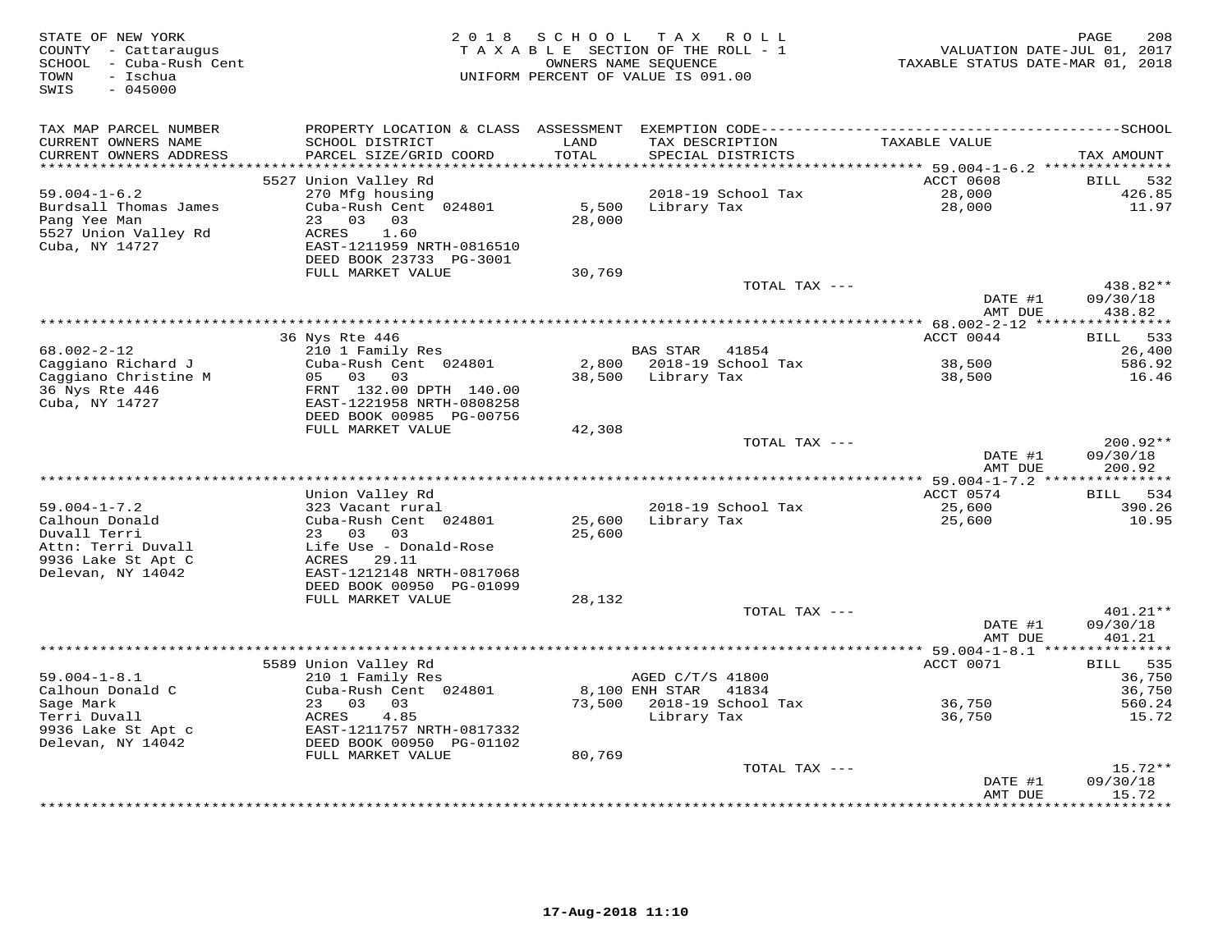| STATE OF NEW YORK<br>COUNTY - Cattaraugus<br>SCHOOL - Cuba-Rush Cent<br>TOWN<br>- Ischua<br>$-045000$<br>SWIS |                                                                                                                                     | 2018 SCHOOL             | TAX ROLL<br>TAXABLE SECTION OF THE ROLL - 1<br>OWNERS NAME SEQUENCE<br>UNIFORM PERCENT OF VALUE IS 091.00 | VALUATION DATE-JUL 01, 2017<br>TAXABLE STATUS DATE-MAR 01, 2018                                               | PAGE<br>208                    |
|---------------------------------------------------------------------------------------------------------------|-------------------------------------------------------------------------------------------------------------------------------------|-------------------------|-----------------------------------------------------------------------------------------------------------|---------------------------------------------------------------------------------------------------------------|--------------------------------|
| TAX MAP PARCEL NUMBER<br>CURRENT OWNERS NAME<br>CURRENT OWNERS ADDRESS                                        | SCHOOL DISTRICT<br>PARCEL SIZE/GRID COORD                                                                                           | LAND<br>TOTAL           | TAX DESCRIPTION<br>SPECIAL DISTRICTS                                                                      | PROPERTY LOCATION & CLASS ASSESSMENT EXEMPTION CODE-----------------------------------SCHOOL<br>TAXABLE VALUE | TAX AMOUNT                     |
| *********************                                                                                         |                                                                                                                                     | * * * * * * * * * * * * |                                                                                                           | ********************************* 59.004-1-6.2 ***************                                                |                                |
|                                                                                                               | 5527 Union Valley Rd                                                                                                                |                         |                                                                                                           | ACCT 0608                                                                                                     | <b>BILL</b><br>532             |
| $59.004 - 1 - 6.2$<br>Burdsall Thomas James<br>Pang Yee Man<br>5527 Union Valley Rd<br>Cuba, NY 14727         | 270 Mfg housing<br>Cuba-Rush Cent 024801<br>23 03<br>03<br>ACRES<br>1.60<br>EAST-1211959 NRTH-0816510<br>DEED BOOK 23733 PG-3001    | 5,500<br>28,000         | 2018-19 School Tax<br>Library Tax                                                                         | 28,000<br>28,000                                                                                              | 426.85<br>11.97                |
|                                                                                                               | FULL MARKET VALUE                                                                                                                   | 30,769                  |                                                                                                           |                                                                                                               |                                |
|                                                                                                               |                                                                                                                                     |                         | TOTAL TAX ---                                                                                             | DATE #1<br>AMT DUE                                                                                            | 438.82**<br>09/30/18<br>438.82 |
|                                                                                                               |                                                                                                                                     |                         |                                                                                                           |                                                                                                               |                                |
|                                                                                                               | 36 Nys Rte 446                                                                                                                      |                         |                                                                                                           | ACCT 0044                                                                                                     | <b>BILL</b><br>533             |
| 68.002-2-12                                                                                                   | 210 1 Family Res                                                                                                                    |                         | BAS STAR 41854                                                                                            |                                                                                                               | 26,400                         |
| Caggiano Richard J                                                                                            | Cuba-Rush Cent 024801                                                                                                               |                         | 2,800 2018-19 School Tax                                                                                  | 38,500                                                                                                        | 586.92                         |
| Caggiano Christine M<br>36 Nys Rte 446<br>Cuba, NY 14727                                                      | 05 03 03<br>FRNT 132.00 DPTH 140.00<br>EAST-1221958 NRTH-0808258<br>DEED BOOK 00985 PG-00756<br>FULL MARKET VALUE                   |                         | 38,500 Library Tax                                                                                        | 38,500                                                                                                        | 16.46                          |
|                                                                                                               |                                                                                                                                     | 42,308                  | TOTAL TAX ---                                                                                             |                                                                                                               | 200.92**                       |
|                                                                                                               |                                                                                                                                     |                         |                                                                                                           | DATE #1<br>AMT DUE                                                                                            | 09/30/18<br>200.92             |
|                                                                                                               |                                                                                                                                     |                         |                                                                                                           |                                                                                                               |                                |
|                                                                                                               | Union Valley Rd                                                                                                                     |                         |                                                                                                           | ACCT 0574                                                                                                     | 534<br><b>BILL</b>             |
| $59.004 - 1 - 7.2$                                                                                            | 323 Vacant rural                                                                                                                    |                         | 2018-19 School Tax                                                                                        | 25,600                                                                                                        | 390.26                         |
| Calhoun Donald<br>Duvall Terri<br>Attn: Terri Duvall<br>9936 Lake St Apt C<br>Delevan, NY 14042               | Cuba-Rush Cent 024801<br>23 03 03<br>Life Use - Donald-Rose<br>ACRES 29.11<br>EAST-1212148 NRTH-0817068<br>DEED BOOK 00950 PG-01099 | 25,600<br>25,600        | Library Tax                                                                                               | 25,600                                                                                                        | 10.95                          |
|                                                                                                               | FULL MARKET VALUE                                                                                                                   | 28,132                  |                                                                                                           |                                                                                                               |                                |
|                                                                                                               |                                                                                                                                     |                         | TOTAL TAX ---                                                                                             | DATE #1<br>AMT DUE                                                                                            | 401.21**<br>09/30/18<br>401.21 |
|                                                                                                               |                                                                                                                                     |                         |                                                                                                           |                                                                                                               | ************                   |
|                                                                                                               | 5589 Union Valley Rd                                                                                                                |                         |                                                                                                           | ACCT 0071                                                                                                     | 535<br><b>BILL</b>             |
| $59.004 - 1 - 8.1$<br>Calhoun Donald C                                                                        | 210 1 Family Res<br>Cuba-Rush Cent 024801                                                                                           |                         | AGED C/T/S 41800<br>8,100 ENH STAR 41834                                                                  |                                                                                                               | 36,750<br>36,750               |
| Sage Mark                                                                                                     | 23 03 03                                                                                                                            |                         | 73,500 2018-19 School Tax                                                                                 | 36,750                                                                                                        | 560.24                         |
| Terri Duvall                                                                                                  | ACRES<br>4.85                                                                                                                       |                         | Library Tax                                                                                               | 36,750                                                                                                        | 15.72                          |
| 9936 Lake St Apt c<br>Delevan, NY 14042                                                                       | EAST-1211757 NRTH-0817332<br>DEED BOOK 00950 PG-01102                                                                               |                         |                                                                                                           |                                                                                                               |                                |
|                                                                                                               | FULL MARKET VALUE                                                                                                                   | 80,769                  |                                                                                                           |                                                                                                               |                                |
|                                                                                                               |                                                                                                                                     |                         | TOTAL TAX ---                                                                                             |                                                                                                               | $15.72**$                      |
|                                                                                                               |                                                                                                                                     |                         |                                                                                                           | DATE #1<br>AMT DUE<br>***************                                                                         | 09/30/18<br>15.72<br>********  |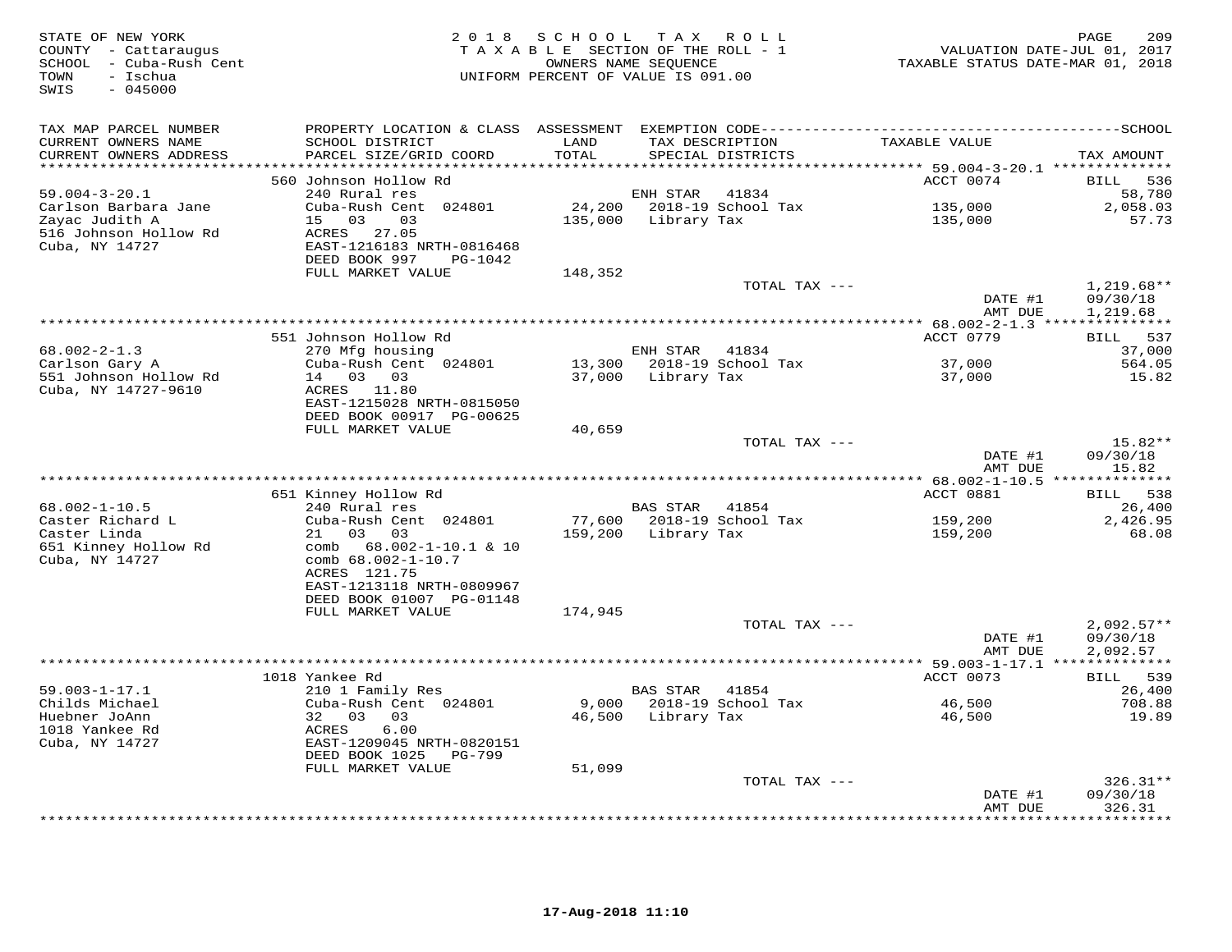| COUNTY - Cattaraugus<br>SCHOOL - Cuba-Rush Cent<br>- Ischua<br>TOWN<br>$-045000$<br>SWIS                 |                                                                                                                                                                                                            | OWNERS NAME SEQUENCE<br>UNIFORM PERCENT OF VALUE IS 091.00 | TAXABLE SECTION OF THE ROLL - 1 |                             | TAXABLE STATUS DATE-MAR 01, 2018                                                             | 209<br>PAGE<br>VALUATION DATE-JUL 01, 2017 |
|----------------------------------------------------------------------------------------------------------|------------------------------------------------------------------------------------------------------------------------------------------------------------------------------------------------------------|------------------------------------------------------------|---------------------------------|-----------------------------|----------------------------------------------------------------------------------------------|--------------------------------------------|
| TAX MAP PARCEL NUMBER<br>CURRENT OWNERS NAME<br>CURRENT OWNERS ADDRESS<br>**********************         | SCHOOL DISTRICT<br>PARCEL SIZE/GRID COORD<br>************************                                                                                                                                      | LAND<br>TOTAL<br>********************                      | TAX DESCRIPTION                 | SPECIAL DISTRICTS           | TAXABLE VALUE                                                                                | TAX AMOUNT                                 |
| $59.004 - 3 - 20.1$<br>Carlson Barbara Jane<br>Zayac Judith A<br>516 Johnson Hollow Rd<br>Cuba, NY 14727 | 560 Johnson Hollow Rd<br>240 Rural res<br>Cuba-Rush Cent 024801<br>15<br>03<br>03<br>ACRES<br>27.05<br>EAST-1216183 NRTH-0816468<br>DEED BOOK 997<br>PG-1042                                               | 24,200<br>135,000                                          | ENH STAR<br>Library Tax         | 41834<br>2018-19 School Tax | **************************** 59.004-3-20.1 **************<br>ACCT 0074<br>135,000<br>135,000 | BILL<br>536<br>58,780<br>2,058.03<br>57.73 |
|                                                                                                          | FULL MARKET VALUE                                                                                                                                                                                          | 148,352                                                    |                                 | TOTAL TAX ---               | DATE #1<br>AMT DUE                                                                           | $1,219.68**$<br>09/30/18                   |
|                                                                                                          |                                                                                                                                                                                                            |                                                            |                                 |                             |                                                                                              | 1,219.68                                   |
| $68.002 - 2 - 1.3$                                                                                       | 551 Johnson Hollow Rd<br>270 Mfg housing                                                                                                                                                                   |                                                            | ENH STAR                        | 41834                       | ACCT 0779                                                                                    | 537<br>BILL<br>37,000                      |
| Carlson Gary A<br>551 Johnson Hollow Rd<br>Cuba, NY 14727-9610                                           | Cuba-Rush Cent 024801<br>14 03 03<br>ACRES 11.80<br>EAST-1215028 NRTH-0815050<br>DEED BOOK 00917 PG-00625<br>FULL MARKET VALUE                                                                             | 13,300<br>37,000<br>40,659                                 | Library Tax                     | 2018-19 School Tax          | 37,000<br>37,000                                                                             | 564.05<br>15.82                            |
|                                                                                                          |                                                                                                                                                                                                            |                                                            |                                 | TOTAL TAX ---               | DATE #1<br>AMT DUE                                                                           | 15.82**<br>09/30/18<br>15.82               |
|                                                                                                          |                                                                                                                                                                                                            |                                                            |                                 |                             | ******** 68.002-1-10.5 **                                                                    | * * * * * * * * *                          |
| $68.002 - 1 - 10.5$<br>Caster Richard L<br>Caster Linda<br>651 Kinney Hollow Rd<br>Cuba, NY 14727        | 651 Kinney Hollow Rd<br>240 Rural res<br>Cuba-Rush Cent 024801<br>03<br>03<br>21<br>comb 68.002-1-10.1 & 10<br>comb 68.002-1-10.7<br>ACRES 121.75<br>EAST-1213118 NRTH-0809967<br>DEED BOOK 01007 PG-01148 | 77,600<br>159,200                                          | BAS STAR<br>Library Tax         | 41854<br>2018-19 School Tax | ACCT 0881<br>159,200<br>159,200                                                              | 538<br>BILL<br>26,400<br>2,426.95<br>68.08 |
|                                                                                                          | FULL MARKET VALUE                                                                                                                                                                                          | 174,945                                                    |                                 | TOTAL TAX ---               | DATE #1                                                                                      | $2.092.57**$<br>09/30/18                   |
|                                                                                                          |                                                                                                                                                                                                            |                                                            |                                 |                             | AMT DUE                                                                                      | 2,092.57                                   |
|                                                                                                          |                                                                                                                                                                                                            |                                                            |                                 |                             |                                                                                              |                                            |
| $59.003 - 1 - 17.1$<br>Childs Michael<br>Huebner JoAnn<br>1018 Yankee Rd<br>Cuba, NY 14727               | 1018 Yankee Rd<br>210 1 Family Res<br>Cuba-Rush Cent 024801<br>32 03<br>03<br>ACRES<br>6.00<br>EAST-1209045 NRTH-0820151<br>DEED BOOK 1025<br>PG-799                                                       | 9,000<br>46,500                                            | <b>BAS STAR</b><br>Library Tax  | 41854<br>2018-19 School Tax | ACCT 0073<br>46,500<br>46,500                                                                | BILL 539<br>26,400<br>708.88<br>19.89      |
|                                                                                                          | FULL MARKET VALUE                                                                                                                                                                                          | 51,099                                                     |                                 |                             |                                                                                              |                                            |
|                                                                                                          |                                                                                                                                                                                                            |                                                            |                                 | TOTAL TAX ---               | DATE #1<br>AMT DUE                                                                           | $326.31**$<br>09/30/18<br>326.31<br>.      |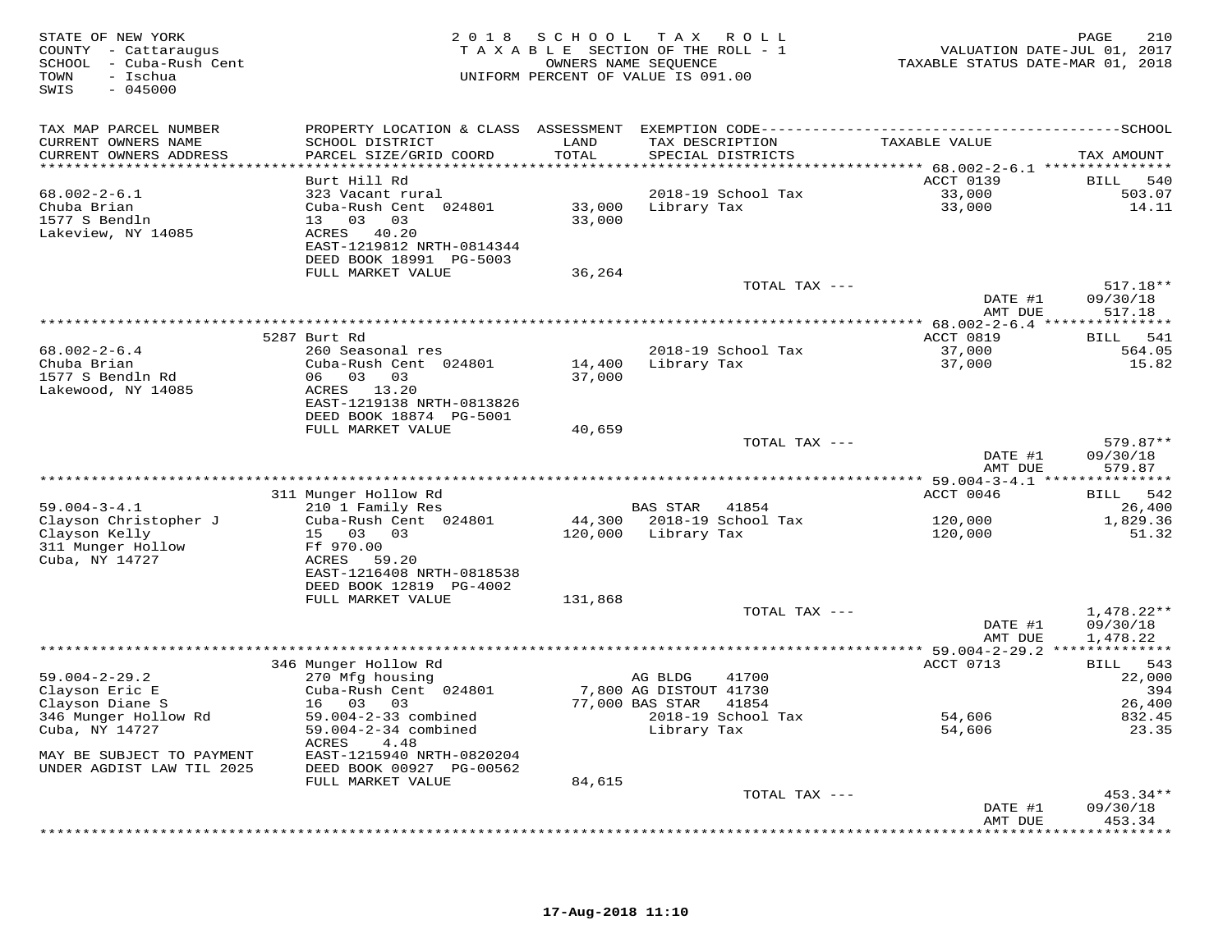| STATE OF NEW YORK<br>COUNTY - Cattaraugus<br>SCHOOL - Cuba-Rush Cent<br>- Ischua<br>TOWN<br>SWIS<br>$-045000$ | 2 0 1 8                              | S C H O O L<br>TAXABLE SECTION OF THE ROLL - 1<br>OWNERS NAME SEQUENCE<br>UNIFORM PERCENT OF VALUE IS 091.00 |                        | TAX ROLL                            | TAXABLE STATUS DATE-MAR 01, 2018                            | 210<br>PAGE<br>VALUATION DATE-JUL 01, 2017 |
|---------------------------------------------------------------------------------------------------------------|--------------------------------------|--------------------------------------------------------------------------------------------------------------|------------------------|-------------------------------------|-------------------------------------------------------------|--------------------------------------------|
| TAX MAP PARCEL NUMBER                                                                                         | PROPERTY LOCATION & CLASS ASSESSMENT |                                                                                                              |                        |                                     |                                                             |                                            |
| CURRENT OWNERS NAME                                                                                           | SCHOOL DISTRICT                      | LAND                                                                                                         |                        | TAX DESCRIPTION                     | TAXABLE VALUE                                               |                                            |
| CURRENT OWNERS ADDRESS                                                                                        | PARCEL SIZE/GRID COORD               | TOTAL                                                                                                        |                        | SPECIAL DISTRICTS                   |                                                             | TAX AMOUNT                                 |
| ***********************                                                                                       |                                      |                                                                                                              |                        |                                     |                                                             |                                            |
| $68.002 - 2 - 6.1$                                                                                            | Burt Hill Rd<br>323 Vacant rural     |                                                                                                              |                        | 2018-19 School Tax                  | ACCT 0139<br>33,000                                         | 540<br>BILL<br>503.07                      |
| Chuba Brian                                                                                                   | Cuba-Rush Cent 024801                | 33,000                                                                                                       | Library Tax            |                                     | 33,000                                                      | 14.11                                      |
| 1577 S Bendln                                                                                                 | 13 03<br>03                          | 33,000                                                                                                       |                        |                                     |                                                             |                                            |
| Lakeview, NY 14085                                                                                            | ACRES 40.20                          |                                                                                                              |                        |                                     |                                                             |                                            |
|                                                                                                               | EAST-1219812 NRTH-0814344            |                                                                                                              |                        |                                     |                                                             |                                            |
|                                                                                                               | DEED BOOK 18991 PG-5003              |                                                                                                              |                        |                                     |                                                             |                                            |
|                                                                                                               | FULL MARKET VALUE                    | 36,264                                                                                                       |                        |                                     |                                                             |                                            |
|                                                                                                               |                                      |                                                                                                              |                        | TOTAL TAX ---                       |                                                             | $517.18**$                                 |
|                                                                                                               |                                      |                                                                                                              |                        |                                     | DATE #1                                                     | 09/30/18                                   |
|                                                                                                               |                                      |                                                                                                              |                        |                                     | AMT DUE<br>****************** 68.002-2-6.4 **************** | 517.18                                     |
|                                                                                                               | 5287 Burt Rd                         |                                                                                                              |                        |                                     | ACCT 0819                                                   | 541<br>BILL                                |
| $68.002 - 2 - 6.4$                                                                                            | 260 Seasonal res                     |                                                                                                              |                        | 2018-19 School Tax                  | 37,000                                                      | 564.05                                     |
| Chuba Brian                                                                                                   | Cuba-Rush Cent 024801                | 14,400                                                                                                       | Library Tax            |                                     | 37,000                                                      | 15.82                                      |
| 1577 S Bendln Rd                                                                                              | 03 03<br>06                          | 37,000                                                                                                       |                        |                                     |                                                             |                                            |
| Lakewood, NY 14085                                                                                            | ACRES 13.20                          |                                                                                                              |                        |                                     |                                                             |                                            |
|                                                                                                               | EAST-1219138 NRTH-0813826            |                                                                                                              |                        |                                     |                                                             |                                            |
|                                                                                                               | DEED BOOK 18874 PG-5001              |                                                                                                              |                        |                                     |                                                             |                                            |
|                                                                                                               | FULL MARKET VALUE                    | 40,659                                                                                                       |                        | TOTAL TAX ---                       |                                                             | 579.87**                                   |
|                                                                                                               |                                      |                                                                                                              |                        |                                     | DATE #1                                                     | 09/30/18                                   |
|                                                                                                               |                                      |                                                                                                              |                        |                                     | AMT DUE                                                     | 579.87                                     |
|                                                                                                               |                                      |                                                                                                              |                        |                                     |                                                             |                                            |
|                                                                                                               | 311 Munger Hollow Rd                 |                                                                                                              |                        |                                     | ACCT 0046                                                   | BILL 542                                   |
| $59.004 - 3 - 4.1$                                                                                            | 210 1 Family Res                     |                                                                                                              | BAS STAR               | 41854                               |                                                             | 26,400                                     |
| Clayson Christopher J                                                                                         | Cuba-Rush Cent 024801                | 44,300                                                                                                       |                        | 2018-19 School Tax                  | 120,000                                                     | 1,829.36                                   |
| Clayson Kelly                                                                                                 | 15 03 03                             | 120,000                                                                                                      | Library Tax            |                                     | 120,000                                                     | 51.32                                      |
| 311 Munger Hollow<br>Cuba, NY 14727                                                                           | Ff 970.00<br>ACRES<br>59.20          |                                                                                                              |                        |                                     |                                                             |                                            |
|                                                                                                               | EAST-1216408 NRTH-0818538            |                                                                                                              |                        |                                     |                                                             |                                            |
|                                                                                                               | DEED BOOK 12819 PG-4002              |                                                                                                              |                        |                                     |                                                             |                                            |
|                                                                                                               | FULL MARKET VALUE                    | 131,868                                                                                                      |                        |                                     |                                                             |                                            |
|                                                                                                               |                                      |                                                                                                              |                        | TOTAL TAX ---                       |                                                             | $1,478.22**$                               |
|                                                                                                               |                                      |                                                                                                              |                        |                                     | DATE #1                                                     | 09/30/18                                   |
|                                                                                                               |                                      |                                                                                                              |                        |                                     | AMT DUE                                                     | 1,478.22                                   |
|                                                                                                               | 346 Munger Hollow Rd                 |                                                                                                              |                        |                                     | *** 59.004-2-29.2 **************<br>ACCT 0713               | 543                                        |
| $59.004 - 2 - 29.2$                                                                                           | 270 Mfg housing                      |                                                                                                              | AG BLDG                | 41700                               |                                                             | BILL<br>22,000                             |
| Clayson Eric E                                                                                                | Cuba-Rush Cent 024801                |                                                                                                              | 7,800 AG DISTOUT 41730 |                                     |                                                             | 394                                        |
| Clayson Diane S                                                                                               | 16 03<br>03                          |                                                                                                              | 77,000 BAS STAR        | 41854                               |                                                             | 26,400                                     |
| 346 Munger Hollow Rd                                                                                          | 59.004-2-33 combined                 |                                                                                                              |                        | 2018-19 School Tax                  | 54,606                                                      | 832.45                                     |
| Cuba, NY 14727                                                                                                | 59.004-2-34 combined                 |                                                                                                              | Library Tax            |                                     | 54,606                                                      | 23.35                                      |
|                                                                                                               | ACRES<br>4.48                        |                                                                                                              |                        |                                     |                                                             |                                            |
| MAY BE SUBJECT TO PAYMENT                                                                                     | EAST-1215940 NRTH-0820204            |                                                                                                              |                        |                                     |                                                             |                                            |
| UNDER AGDIST LAW TIL 2025                                                                                     | DEED BOOK 00927 PG-00562             |                                                                                                              |                        |                                     |                                                             |                                            |
|                                                                                                               | FULL MARKET VALUE                    | 84,615                                                                                                       |                        | TOTAL TAX ---                       |                                                             | 453.34**                                   |
|                                                                                                               |                                      |                                                                                                              |                        |                                     | DATE #1                                                     | 09/30/18                                   |
|                                                                                                               |                                      |                                                                                                              |                        |                                     | AMT DUE                                                     | 453.34                                     |
|                                                                                                               |                                      |                                                                                                              |                        | *********************************** |                                                             | *********                                  |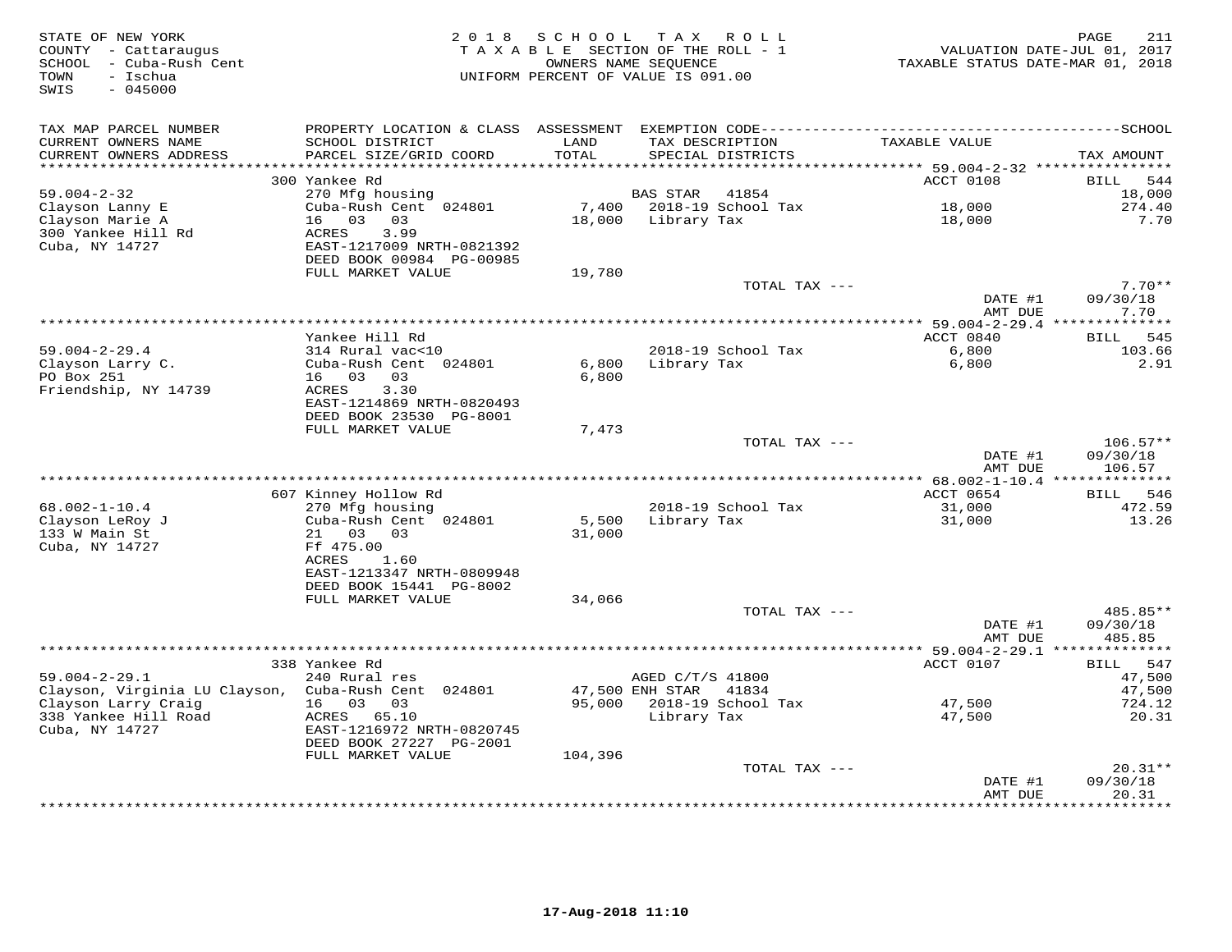| STATE OF NEW YORK<br>COUNTY - Cattaraugus<br>SCHOOL - Cuba-Rush Cent<br>TOWN<br>- Ischua<br>SWIS<br>$-045000$ | 2 0 1 8                                                               | SCHOOL                           | T A X<br>TAXABLE SECTION OF THE ROLL - 1<br>OWNERS NAME SEQUENCE<br>UNIFORM PERCENT OF VALUE IS 091.00 | R O L L       | TAXABLE STATUS DATE-MAR 01, 2018               | PAGE<br>211<br>VALUATION DATE-JUL 01, 2017 |
|---------------------------------------------------------------------------------------------------------------|-----------------------------------------------------------------------|----------------------------------|--------------------------------------------------------------------------------------------------------|---------------|------------------------------------------------|--------------------------------------------|
| TAX MAP PARCEL NUMBER                                                                                         |                                                                       |                                  |                                                                                                        |               |                                                |                                            |
| CURRENT OWNERS NAME<br>CURRENT OWNERS ADDRESS<br>*********************                                        | SCHOOL DISTRICT<br>PARCEL SIZE/GRID COORD<br>************************ | LAND<br>TOTAL<br>*************** | TAX DESCRIPTION<br>SPECIAL DISTRICTS                                                                   |               | TAXABLE VALUE                                  | TAX AMOUNT                                 |
|                                                                                                               | 300 Yankee Rd                                                         |                                  |                                                                                                        |               | ACCT 0108                                      | 544<br>BILL                                |
| $59.004 - 2 - 32$                                                                                             | 270 Mfg housing                                                       |                                  | <b>BAS STAR</b>                                                                                        | 41854         |                                                | 18,000                                     |
| Clayson Lanny E                                                                                               | Cuba-Rush Cent 024801                                                 | 7,400                            | 2018-19 School Tax                                                                                     |               | 18,000                                         | 274.40                                     |
| Clayson Marie A                                                                                               | 16 03<br>03                                                           | 18,000                           | Library Tax                                                                                            |               | 18,000                                         | 7.70                                       |
| 300 Yankee Hill Rd                                                                                            | ACRES<br>3.99                                                         |                                  |                                                                                                        |               |                                                |                                            |
| Cuba, NY 14727                                                                                                | EAST-1217009 NRTH-0821392                                             |                                  |                                                                                                        |               |                                                |                                            |
|                                                                                                               | DEED BOOK 00984 PG-00985                                              |                                  |                                                                                                        |               |                                                |                                            |
|                                                                                                               | FULL MARKET VALUE                                                     | 19,780                           |                                                                                                        |               |                                                | $7.70**$                                   |
|                                                                                                               |                                                                       |                                  |                                                                                                        | TOTAL TAX --- | DATE #1                                        | 09/30/18                                   |
|                                                                                                               |                                                                       |                                  |                                                                                                        |               | AMT DUE                                        | 7.70                                       |
|                                                                                                               |                                                                       |                                  |                                                                                                        |               | ** 59.004-2-29.4 **************                |                                            |
|                                                                                                               | Yankee Hill Rd                                                        |                                  |                                                                                                        |               | ACCT 0840                                      | 545<br>BILL                                |
| $59.004 - 2 - 29.4$                                                                                           | 314 Rural vac<10                                                      |                                  | 2018-19 School Tax                                                                                     |               | 6,800                                          | 103.66                                     |
| Clayson Larry C.                                                                                              | Cuba-Rush Cent 024801                                                 | 6,800                            | Library Tax                                                                                            |               | 6,800                                          | 2.91                                       |
| PO Box 251                                                                                                    | 16 03 03                                                              | 6,800                            |                                                                                                        |               |                                                |                                            |
| Friendship, NY 14739                                                                                          | ACRES<br>3.30<br>EAST-1214869 NRTH-0820493                            |                                  |                                                                                                        |               |                                                |                                            |
|                                                                                                               | DEED BOOK 23530 PG-8001                                               |                                  |                                                                                                        |               |                                                |                                            |
|                                                                                                               | FULL MARKET VALUE                                                     | 7,473                            |                                                                                                        |               |                                                |                                            |
|                                                                                                               |                                                                       |                                  |                                                                                                        | TOTAL TAX --- |                                                | $106.57**$                                 |
|                                                                                                               |                                                                       |                                  |                                                                                                        |               | DATE #1                                        | 09/30/18                                   |
|                                                                                                               |                                                                       |                                  |                                                                                                        |               | AMT DUE                                        | 106.57                                     |
|                                                                                                               |                                                                       |                                  |                                                                                                        |               | ***************** 68.002-1-10.4 ************** |                                            |
| $68.002 - 1 - 10.4$                                                                                           | 607 Kinney Hollow Rd<br>270 Mfg housing                               |                                  | 2018-19 School Tax                                                                                     |               | ACCT 0654<br>31,000                            | <b>BILL</b><br>546<br>472.59               |
| Clayson LeRoy J                                                                                               | Cuba-Rush Cent 024801                                                 | 5,500                            | Library Tax                                                                                            |               | 31,000                                         | 13.26                                      |
| 133 W Main St                                                                                                 | 21 03 03                                                              | 31,000                           |                                                                                                        |               |                                                |                                            |
| Cuba, NY 14727                                                                                                | Ff 475.00                                                             |                                  |                                                                                                        |               |                                                |                                            |
|                                                                                                               | ACRES<br>1.60                                                         |                                  |                                                                                                        |               |                                                |                                            |
|                                                                                                               | EAST-1213347 NRTH-0809948                                             |                                  |                                                                                                        |               |                                                |                                            |
|                                                                                                               | DEED BOOK 15441 PG-8002                                               |                                  |                                                                                                        |               |                                                |                                            |
|                                                                                                               | FULL MARKET VALUE                                                     | 34,066                           |                                                                                                        | TOTAL TAX --- |                                                | 485.85**                                   |
|                                                                                                               |                                                                       |                                  |                                                                                                        |               | DATE #1                                        | 09/30/18                                   |
|                                                                                                               |                                                                       |                                  |                                                                                                        |               | AMT DUE                                        | 485.85                                     |
|                                                                                                               |                                                                       |                                  |                                                                                                        |               |                                                |                                            |
|                                                                                                               | 338 Yankee Rd                                                         |                                  |                                                                                                        |               | ACCT 0107                                      | 547<br>BILL                                |
| $59.004 - 2 - 29.1$                                                                                           | 240 Rural res                                                         |                                  | AGED C/T/S 41800                                                                                       |               |                                                | 47,500                                     |
| Clayson, Virginia LU Clayson, Cuba-Rush Cent 024801                                                           |                                                                       |                                  | 47,500 ENH STAR                                                                                        | 41834         |                                                | 47,500                                     |
| Clayson Larry Craig                                                                                           | 16 03<br>03                                                           | 95,000                           | 2018-19 School Tax                                                                                     |               | 47,500                                         | 724.12                                     |
| 338 Yankee Hill Road                                                                                          | ACRES 65.10<br>EAST-1216972 NRTH-0820745                              |                                  | Library Tax                                                                                            |               | 47,500                                         | 20.31                                      |
| Cuba, NY 14727                                                                                                | DEED BOOK 27227 PG-2001                                               |                                  |                                                                                                        |               |                                                |                                            |
|                                                                                                               | FULL MARKET VALUE                                                     | 104,396                          |                                                                                                        |               |                                                |                                            |
|                                                                                                               |                                                                       |                                  |                                                                                                        | TOTAL TAX --- |                                                | $20.31**$                                  |
|                                                                                                               |                                                                       |                                  |                                                                                                        |               | DATE #1                                        | 09/30/18                                   |
|                                                                                                               |                                                                       |                                  |                                                                                                        |               | AMT DUE                                        | 20.31                                      |
|                                                                                                               |                                                                       |                                  |                                                                                                        |               |                                                |                                            |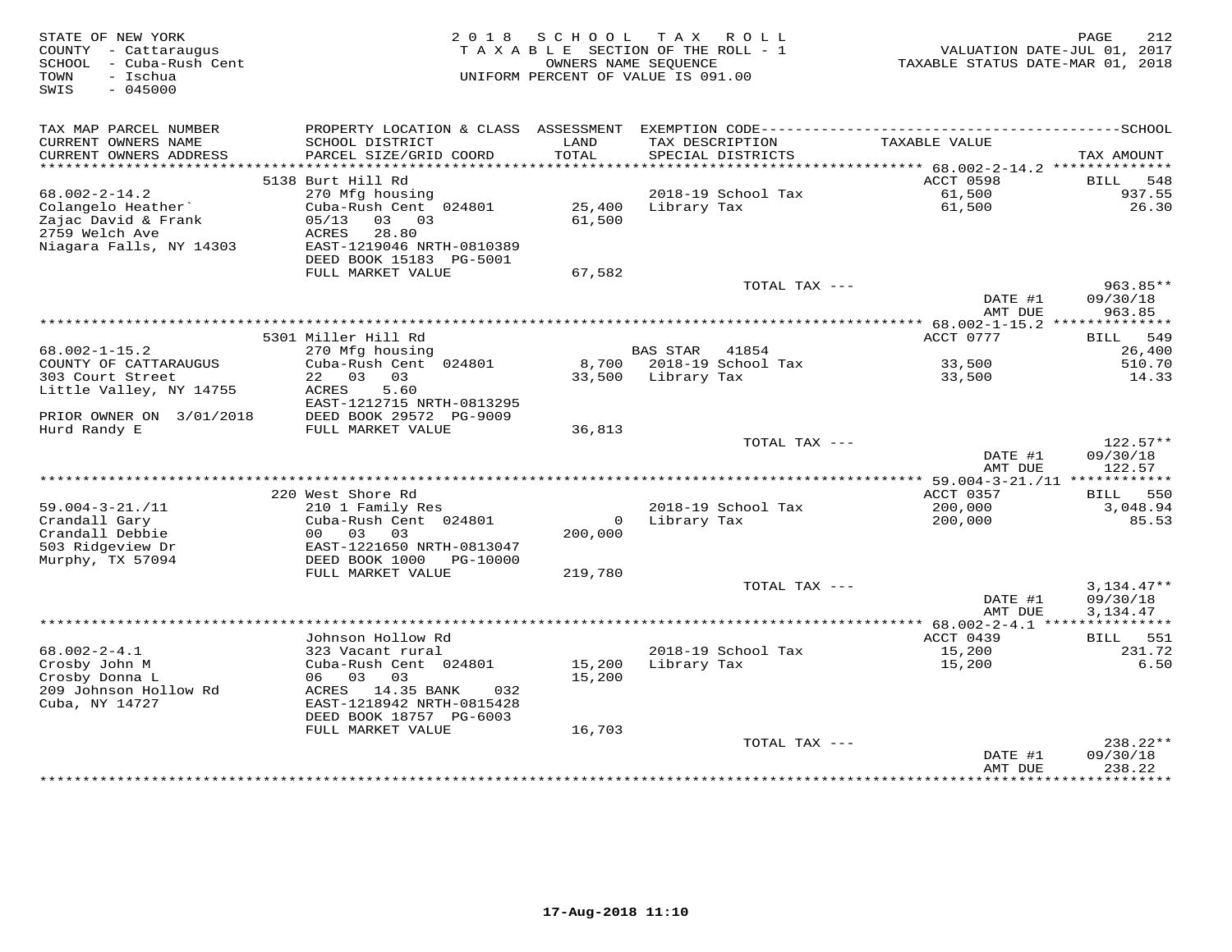| STATE OF NEW YORK<br>COUNTY - Cattaraugus<br>SCHOOL - Cuba-Rush Cent<br>TOWN<br>- Ischua<br>SWIS<br>$-045000$ | 2018 SCHOOL<br>TAX ROLL<br>TAXABLE SECTION OF THE ROLL - 1<br>OWNERS NAME SEOUENCE<br>UNIFORM PERCENT OF VALUE IS 091.00 |                  |                    | 212<br>PAGE<br>VALUATION DATE-JUL 01, 2017<br>TAXABLE STATUS DATE-MAR 01, 2018 |                                         |                                  |
|---------------------------------------------------------------------------------------------------------------|--------------------------------------------------------------------------------------------------------------------------|------------------|--------------------|--------------------------------------------------------------------------------|-----------------------------------------|----------------------------------|
| TAX MAP PARCEL NUMBER<br>CURRENT OWNERS NAME                                                                  | SCHOOL DISTRICT                                                                                                          | LAND<br>TOTAL    |                    | TAX DESCRIPTION                                                                | TAXABLE VALUE                           |                                  |
| CURRENT OWNERS ADDRESS                                                                                        | PARCEL SIZE/GRID COORD                                                                                                   |                  |                    | SPECIAL DISTRICTS                                                              |                                         | TAX AMOUNT                       |
|                                                                                                               | 5138 Burt Hill Rd                                                                                                        |                  |                    |                                                                                | ACCT 0598                               | 548<br>BILL                      |
| $68.002 - 2 - 14.2$                                                                                           | 270 Mfg housing                                                                                                          |                  |                    | 2018-19 School Tax                                                             | 61,500                                  | 937.55                           |
| Colangelo Heather<br>Zajac David & Frank<br>2759 Welch Ave<br>Niagara Falls, NY 14303                         | Cuba-Rush Cent 024801<br>05/13<br>03 03<br>ACRES<br>28.80<br>EAST-1219046 NRTH-0810389<br>DEED BOOK 15183 PG-5001        | 61,500           | 25,400 Library Tax |                                                                                | 61,500                                  | 26.30                            |
|                                                                                                               | FULL MARKET VALUE                                                                                                        | 67,582           |                    |                                                                                |                                         |                                  |
|                                                                                                               |                                                                                                                          |                  |                    | TOTAL TAX ---                                                                  | DATE #1<br>AMT DUE                      | $963.85**$<br>09/30/18<br>963.85 |
|                                                                                                               |                                                                                                                          |                  |                    |                                                                                | ********** 68.002-1-15.2 ************** |                                  |
|                                                                                                               | 5301 Miller Hill Rd                                                                                                      |                  |                    |                                                                                | ACCT 0777                               | <b>BILL</b><br>549               |
| $68.002 - 1 - 15.2$                                                                                           | 270 Mfg housing                                                                                                          |                  | BAS STAR 41854     |                                                                                |                                         | 26,400                           |
| COUNTY OF CATTARAUGUS                                                                                         | Cuba-Rush Cent 024801                                                                                                    |                  |                    | 8,700 2018-19 School Tax                                                       | 33,500                                  | 510.70                           |
| 303 Court Street                                                                                              | 22 03 03                                                                                                                 |                  | 33,500 Library Tax |                                                                                | 33,500                                  | 14.33                            |
| Little Valley, NY 14755                                                                                       | ACRES<br>5.60<br>EAST-1212715 NRTH-0813295                                                                               |                  |                    |                                                                                |                                         |                                  |
| PRIOR OWNER ON 3/01/2018                                                                                      | DEED BOOK 29572 PG-9009                                                                                                  |                  |                    |                                                                                |                                         |                                  |
| Hurd Randy E                                                                                                  | FULL MARKET VALUE                                                                                                        | 36,813           |                    |                                                                                |                                         |                                  |
|                                                                                                               |                                                                                                                          |                  |                    | TOTAL TAX ---                                                                  | DATE #1                                 | $122.57**$<br>09/30/18           |
|                                                                                                               |                                                                                                                          |                  |                    |                                                                                | AMT DUE                                 | 122.57                           |
|                                                                                                               | 220 West Shore Rd                                                                                                        |                  |                    |                                                                                | ACCT 0357                               | BILL 550                         |
| $59.004 - 3 - 21. / 11$                                                                                       | 210 1 Family Res                                                                                                         |                  |                    | 2018-19 School Tax                                                             | 200,000                                 | 3,048.94                         |
| Crandall Gary                                                                                                 | Cuba-Rush Cent 024801                                                                                                    |                  | 0 Library Tax      |                                                                                | 200,000                                 | 85.53                            |
| Crandall Debbie                                                                                               | 00 03 03                                                                                                                 | 200,000          |                    |                                                                                |                                         |                                  |
| 503 Ridgeview Dr<br>Murphy, TX 57094                                                                          | EAST-1221650 NRTH-0813047<br>DEED BOOK 1000 PG-10000                                                                     |                  |                    |                                                                                |                                         |                                  |
|                                                                                                               | FULL MARKET VALUE                                                                                                        | 219,780          |                    |                                                                                |                                         |                                  |
|                                                                                                               |                                                                                                                          |                  |                    | TOTAL TAX ---                                                                  |                                         | $3,134.47**$                     |
|                                                                                                               |                                                                                                                          |                  |                    |                                                                                | DATE #1                                 | 09/30/18                         |
|                                                                                                               |                                                                                                                          |                  |                    |                                                                                | AMT DUE                                 | 3,134.47                         |
|                                                                                                               | Johnson Hollow Rd                                                                                                        |                  |                    |                                                                                | ACCT 0439                               | BILL<br>551                      |
| $68.002 - 2 - 4.1$                                                                                            | 323 Vacant rural                                                                                                         |                  |                    | 2018-19 School Tax                                                             | 15,200                                  | 231.72                           |
| Crosby John M<br>Crosby Donna L                                                                               | Cuba-Rush Cent 024801<br>06 03 03                                                                                        | 15,200<br>15,200 | Library Tax        |                                                                                | 15,200                                  | 6.50                             |
| 209 Johnson Hollow Rd<br>Cuba, NY 14727                                                                       | ACRES 14.35 BANK<br>032<br>EAST-1218942 NRTH-0815428<br>DEED BOOK 18757 PG-6003                                          |                  |                    |                                                                                |                                         |                                  |
|                                                                                                               | FULL MARKET VALUE                                                                                                        | 16,703           |                    |                                                                                |                                         |                                  |
|                                                                                                               |                                                                                                                          |                  |                    | TOTAL TAX ---                                                                  | DATE #1<br>AMT DUE                      | 238.22**<br>09/30/18<br>238.22   |
|                                                                                                               |                                                                                                                          |                  |                    |                                                                                |                                         | ***********                      |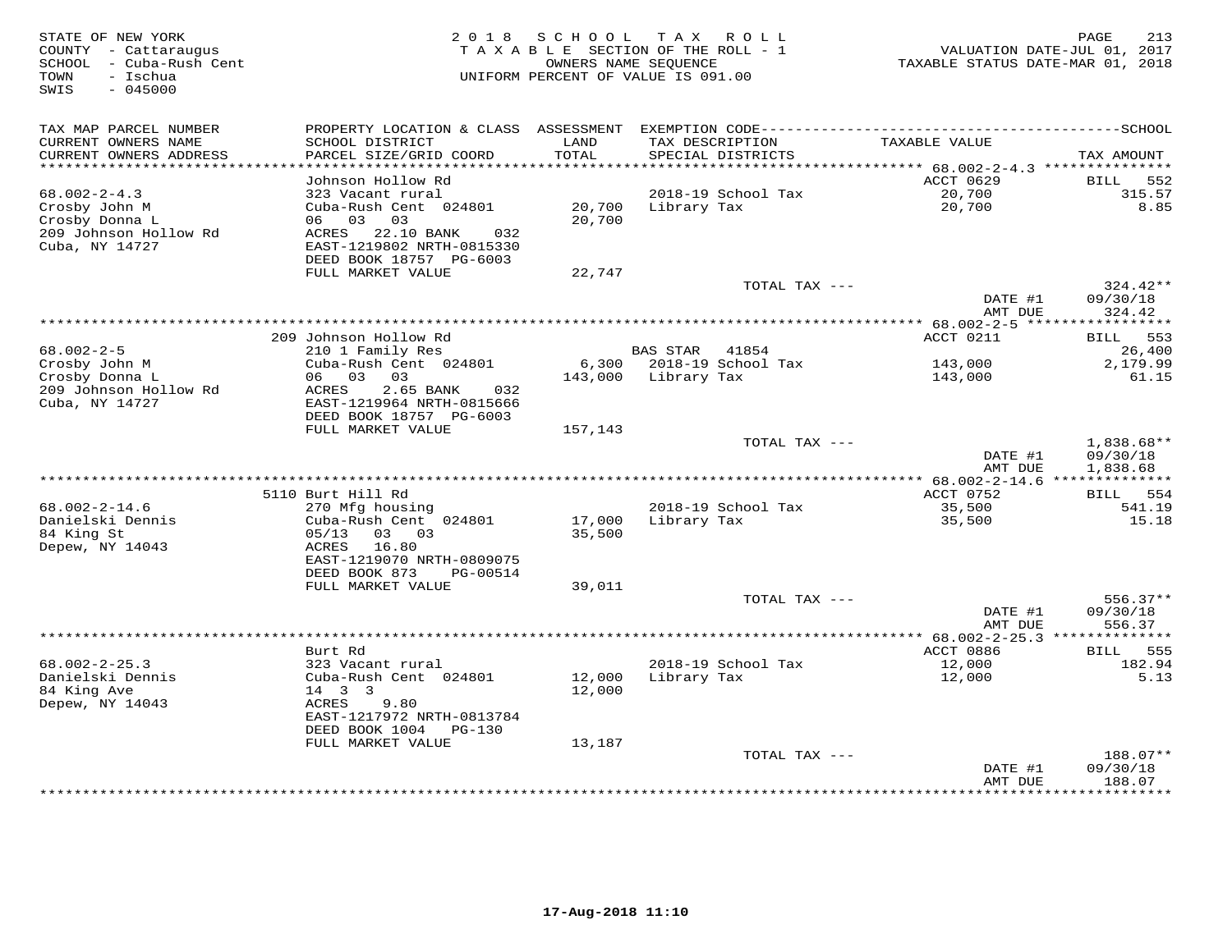| TAX MAP PARCEL NUMBER<br>CURRENT OWNERS NAME<br>SCHOOL DISTRICT<br>LAND<br>TAXABLE VALUE<br>TAX DESCRIPTION<br>CURRENT OWNERS ADDRESS<br>PARCEL SIZE/GRID COORD<br>TOTAL<br>SPECIAL DISTRICTS<br>TAX AMOUNT<br>*************************<br>Johnson Hollow Rd<br>ACCT 0629<br>552<br>BILL<br>2018-19 School Tax<br>$68.002 - 2 - 4.3$<br>20,700<br>315.57<br>323 Vacant rural<br>8.85<br>Crosby John M<br>Cuba-Rush Cent 024801<br>20,700<br>Library Tax<br>20,700<br>Crosby Donna L<br>06 03<br>20,700<br>03<br>209 Johnson Hollow Rd<br>ACRES 22.10 BANK<br>032<br>Cuba, NY 14727<br>EAST-1219802 NRTH-0815330<br>DEED BOOK 18757 PG-6003<br>FULL MARKET VALUE<br>22,747<br>$324.42**$<br>TOTAL TAX ---<br>09/30/18<br>DATE #1<br>AMT DUE<br>324.42<br>209 Johnson Hollow Rd<br>ACCT 0211<br>553<br>BILL<br>$68.002 - 2 - 5$<br><b>BAS STAR</b><br>210 1 Family Res<br>41854<br>26,400<br>2018-19 School Tax<br>Crosby John M<br>Cuba-Rush Cent 024801<br>6,300<br>143,000<br>2,179.99<br>Crosby Donna L<br>06 03<br>03<br>143,000<br>Library Tax<br>143,000<br>61.15<br>209 Johnson Hollow Rd<br>ACRES<br>2.65 BANK<br>032<br>Cuba, NY 14727<br>EAST-1219964 NRTH-0815666<br>DEED BOOK 18757 PG-6003<br>FULL MARKET VALUE<br>157,143<br>TOTAL TAX $---$<br>$1,838.68**$<br>DATE #1<br>09/30/18<br>AMT DUE<br>1,838.68<br>5110 Burt Hill Rd<br>ACCT 0752<br><b>BILL</b> 554<br>$68.002 - 2 - 14.6$<br>2018-19 School Tax<br>35,500<br>541.19<br>270 Mfg housing<br>Danielski Dennis<br>Cuba-Rush Cent 024801<br>17,000<br>Library Tax<br>35,500<br>15.18<br>84 King St<br>05/13<br>03 03<br>35,500<br>Depew, NY 14043<br>16.80<br>ACRES<br>EAST-1219070 NRTH-0809075<br>DEED BOOK 873<br>PG-00514<br>FULL MARKET VALUE<br>39,011<br>TOTAL TAX $---$<br>$556.37**$<br>DATE #1<br>09/30/18<br>556.37<br>AMT DUE<br>********** 68.002-2-25.3 ******<br>********<br>Burt Rd<br>ACCT 0886<br>555<br>BILL<br>$68.002 - 2 - 25.3$<br>323 Vacant rural<br>2018-19 School Tax<br>12,000<br>182.94<br>Danielski Dennis<br>Cuba-Rush Cent 024801<br>12,000<br>12,000<br>5.13<br>Library Tax<br>84 King Ave<br>$14 \quad 3 \quad 3$<br>12,000<br>Depew, NY 14043<br>ACRES<br>9.80<br>EAST-1217972 NRTH-0813784<br>DEED BOOK 1004<br>PG-130<br>FULL MARKET VALUE<br>13,187<br>188.07**<br>TOTAL TAX ---<br>DATE #1<br>09/30/18<br>AMT DUE<br>188.07<br>**************************<br>* * * * * * * * * *<br>********** | STATE OF NEW YORK<br>COUNTY - Cattaraugus<br>SCHOOL - Cuba-Rush Cent<br>TOWN<br>- Ischua<br>SWIS<br>$-045000$ | 2 0 1 8 | SCHOOL | T A X<br>ROLL<br>TAXABLE SECTION OF THE ROLL - 1<br>OWNERS NAME SEQUENCE<br>UNIFORM PERCENT OF VALUE IS 091.00 | TAXABLE STATUS DATE-MAR 01, 2018 | PAGE<br>213<br>VALUATION DATE-JUL 01, 2017 |
|-------------------------------------------------------------------------------------------------------------------------------------------------------------------------------------------------------------------------------------------------------------------------------------------------------------------------------------------------------------------------------------------------------------------------------------------------------------------------------------------------------------------------------------------------------------------------------------------------------------------------------------------------------------------------------------------------------------------------------------------------------------------------------------------------------------------------------------------------------------------------------------------------------------------------------------------------------------------------------------------------------------------------------------------------------------------------------------------------------------------------------------------------------------------------------------------------------------------------------------------------------------------------------------------------------------------------------------------------------------------------------------------------------------------------------------------------------------------------------------------------------------------------------------------------------------------------------------------------------------------------------------------------------------------------------------------------------------------------------------------------------------------------------------------------------------------------------------------------------------------------------------------------------------------------------------------------------------------------------------------------------------------------------------------------------------------------------------------------------------------------------------------------------------------------------------------------------------------------------------------------------------------------------------------------------------------------------------------------------------------------------------------------------------|---------------------------------------------------------------------------------------------------------------|---------|--------|----------------------------------------------------------------------------------------------------------------|----------------------------------|--------------------------------------------|
|                                                                                                                                                                                                                                                                                                                                                                                                                                                                                                                                                                                                                                                                                                                                                                                                                                                                                                                                                                                                                                                                                                                                                                                                                                                                                                                                                                                                                                                                                                                                                                                                                                                                                                                                                                                                                                                                                                                                                                                                                                                                                                                                                                                                                                                                                                                                                                                                             |                                                                                                               |         |        |                                                                                                                |                                  |                                            |
|                                                                                                                                                                                                                                                                                                                                                                                                                                                                                                                                                                                                                                                                                                                                                                                                                                                                                                                                                                                                                                                                                                                                                                                                                                                                                                                                                                                                                                                                                                                                                                                                                                                                                                                                                                                                                                                                                                                                                                                                                                                                                                                                                                                                                                                                                                                                                                                                             |                                                                                                               |         |        |                                                                                                                |                                  |                                            |
|                                                                                                                                                                                                                                                                                                                                                                                                                                                                                                                                                                                                                                                                                                                                                                                                                                                                                                                                                                                                                                                                                                                                                                                                                                                                                                                                                                                                                                                                                                                                                                                                                                                                                                                                                                                                                                                                                                                                                                                                                                                                                                                                                                                                                                                                                                                                                                                                             |                                                                                                               |         |        |                                                                                                                |                                  |                                            |
|                                                                                                                                                                                                                                                                                                                                                                                                                                                                                                                                                                                                                                                                                                                                                                                                                                                                                                                                                                                                                                                                                                                                                                                                                                                                                                                                                                                                                                                                                                                                                                                                                                                                                                                                                                                                                                                                                                                                                                                                                                                                                                                                                                                                                                                                                                                                                                                                             |                                                                                                               |         |        |                                                                                                                |                                  |                                            |
|                                                                                                                                                                                                                                                                                                                                                                                                                                                                                                                                                                                                                                                                                                                                                                                                                                                                                                                                                                                                                                                                                                                                                                                                                                                                                                                                                                                                                                                                                                                                                                                                                                                                                                                                                                                                                                                                                                                                                                                                                                                                                                                                                                                                                                                                                                                                                                                                             |                                                                                                               |         |        |                                                                                                                |                                  |                                            |
|                                                                                                                                                                                                                                                                                                                                                                                                                                                                                                                                                                                                                                                                                                                                                                                                                                                                                                                                                                                                                                                                                                                                                                                                                                                                                                                                                                                                                                                                                                                                                                                                                                                                                                                                                                                                                                                                                                                                                                                                                                                                                                                                                                                                                                                                                                                                                                                                             |                                                                                                               |         |        |                                                                                                                |                                  |                                            |
|                                                                                                                                                                                                                                                                                                                                                                                                                                                                                                                                                                                                                                                                                                                                                                                                                                                                                                                                                                                                                                                                                                                                                                                                                                                                                                                                                                                                                                                                                                                                                                                                                                                                                                                                                                                                                                                                                                                                                                                                                                                                                                                                                                                                                                                                                                                                                                                                             |                                                                                                               |         |        |                                                                                                                |                                  |                                            |
|                                                                                                                                                                                                                                                                                                                                                                                                                                                                                                                                                                                                                                                                                                                                                                                                                                                                                                                                                                                                                                                                                                                                                                                                                                                                                                                                                                                                                                                                                                                                                                                                                                                                                                                                                                                                                                                                                                                                                                                                                                                                                                                                                                                                                                                                                                                                                                                                             |                                                                                                               |         |        |                                                                                                                |                                  |                                            |
|                                                                                                                                                                                                                                                                                                                                                                                                                                                                                                                                                                                                                                                                                                                                                                                                                                                                                                                                                                                                                                                                                                                                                                                                                                                                                                                                                                                                                                                                                                                                                                                                                                                                                                                                                                                                                                                                                                                                                                                                                                                                                                                                                                                                                                                                                                                                                                                                             |                                                                                                               |         |        |                                                                                                                |                                  |                                            |
|                                                                                                                                                                                                                                                                                                                                                                                                                                                                                                                                                                                                                                                                                                                                                                                                                                                                                                                                                                                                                                                                                                                                                                                                                                                                                                                                                                                                                                                                                                                                                                                                                                                                                                                                                                                                                                                                                                                                                                                                                                                                                                                                                                                                                                                                                                                                                                                                             |                                                                                                               |         |        |                                                                                                                |                                  |                                            |
|                                                                                                                                                                                                                                                                                                                                                                                                                                                                                                                                                                                                                                                                                                                                                                                                                                                                                                                                                                                                                                                                                                                                                                                                                                                                                                                                                                                                                                                                                                                                                                                                                                                                                                                                                                                                                                                                                                                                                                                                                                                                                                                                                                                                                                                                                                                                                                                                             |                                                                                                               |         |        |                                                                                                                |                                  |                                            |
|                                                                                                                                                                                                                                                                                                                                                                                                                                                                                                                                                                                                                                                                                                                                                                                                                                                                                                                                                                                                                                                                                                                                                                                                                                                                                                                                                                                                                                                                                                                                                                                                                                                                                                                                                                                                                                                                                                                                                                                                                                                                                                                                                                                                                                                                                                                                                                                                             |                                                                                                               |         |        |                                                                                                                |                                  |                                            |
|                                                                                                                                                                                                                                                                                                                                                                                                                                                                                                                                                                                                                                                                                                                                                                                                                                                                                                                                                                                                                                                                                                                                                                                                                                                                                                                                                                                                                                                                                                                                                                                                                                                                                                                                                                                                                                                                                                                                                                                                                                                                                                                                                                                                                                                                                                                                                                                                             |                                                                                                               |         |        |                                                                                                                |                                  |                                            |
|                                                                                                                                                                                                                                                                                                                                                                                                                                                                                                                                                                                                                                                                                                                                                                                                                                                                                                                                                                                                                                                                                                                                                                                                                                                                                                                                                                                                                                                                                                                                                                                                                                                                                                                                                                                                                                                                                                                                                                                                                                                                                                                                                                                                                                                                                                                                                                                                             |                                                                                                               |         |        |                                                                                                                |                                  |                                            |
|                                                                                                                                                                                                                                                                                                                                                                                                                                                                                                                                                                                                                                                                                                                                                                                                                                                                                                                                                                                                                                                                                                                                                                                                                                                                                                                                                                                                                                                                                                                                                                                                                                                                                                                                                                                                                                                                                                                                                                                                                                                                                                                                                                                                                                                                                                                                                                                                             |                                                                                                               |         |        |                                                                                                                |                                  |                                            |
|                                                                                                                                                                                                                                                                                                                                                                                                                                                                                                                                                                                                                                                                                                                                                                                                                                                                                                                                                                                                                                                                                                                                                                                                                                                                                                                                                                                                                                                                                                                                                                                                                                                                                                                                                                                                                                                                                                                                                                                                                                                                                                                                                                                                                                                                                                                                                                                                             |                                                                                                               |         |        |                                                                                                                |                                  |                                            |
|                                                                                                                                                                                                                                                                                                                                                                                                                                                                                                                                                                                                                                                                                                                                                                                                                                                                                                                                                                                                                                                                                                                                                                                                                                                                                                                                                                                                                                                                                                                                                                                                                                                                                                                                                                                                                                                                                                                                                                                                                                                                                                                                                                                                                                                                                                                                                                                                             |                                                                                                               |         |        |                                                                                                                |                                  |                                            |
|                                                                                                                                                                                                                                                                                                                                                                                                                                                                                                                                                                                                                                                                                                                                                                                                                                                                                                                                                                                                                                                                                                                                                                                                                                                                                                                                                                                                                                                                                                                                                                                                                                                                                                                                                                                                                                                                                                                                                                                                                                                                                                                                                                                                                                                                                                                                                                                                             |                                                                                                               |         |        |                                                                                                                |                                  |                                            |
|                                                                                                                                                                                                                                                                                                                                                                                                                                                                                                                                                                                                                                                                                                                                                                                                                                                                                                                                                                                                                                                                                                                                                                                                                                                                                                                                                                                                                                                                                                                                                                                                                                                                                                                                                                                                                                                                                                                                                                                                                                                                                                                                                                                                                                                                                                                                                                                                             |                                                                                                               |         |        |                                                                                                                |                                  |                                            |
|                                                                                                                                                                                                                                                                                                                                                                                                                                                                                                                                                                                                                                                                                                                                                                                                                                                                                                                                                                                                                                                                                                                                                                                                                                                                                                                                                                                                                                                                                                                                                                                                                                                                                                                                                                                                                                                                                                                                                                                                                                                                                                                                                                                                                                                                                                                                                                                                             |                                                                                                               |         |        |                                                                                                                |                                  |                                            |
|                                                                                                                                                                                                                                                                                                                                                                                                                                                                                                                                                                                                                                                                                                                                                                                                                                                                                                                                                                                                                                                                                                                                                                                                                                                                                                                                                                                                                                                                                                                                                                                                                                                                                                                                                                                                                                                                                                                                                                                                                                                                                                                                                                                                                                                                                                                                                                                                             |                                                                                                               |         |        |                                                                                                                |                                  |                                            |
|                                                                                                                                                                                                                                                                                                                                                                                                                                                                                                                                                                                                                                                                                                                                                                                                                                                                                                                                                                                                                                                                                                                                                                                                                                                                                                                                                                                                                                                                                                                                                                                                                                                                                                                                                                                                                                                                                                                                                                                                                                                                                                                                                                                                                                                                                                                                                                                                             |                                                                                                               |         |        |                                                                                                                |                                  |                                            |
|                                                                                                                                                                                                                                                                                                                                                                                                                                                                                                                                                                                                                                                                                                                                                                                                                                                                                                                                                                                                                                                                                                                                                                                                                                                                                                                                                                                                                                                                                                                                                                                                                                                                                                                                                                                                                                                                                                                                                                                                                                                                                                                                                                                                                                                                                                                                                                                                             |                                                                                                               |         |        |                                                                                                                |                                  |                                            |
|                                                                                                                                                                                                                                                                                                                                                                                                                                                                                                                                                                                                                                                                                                                                                                                                                                                                                                                                                                                                                                                                                                                                                                                                                                                                                                                                                                                                                                                                                                                                                                                                                                                                                                                                                                                                                                                                                                                                                                                                                                                                                                                                                                                                                                                                                                                                                                                                             |                                                                                                               |         |        |                                                                                                                |                                  |                                            |
|                                                                                                                                                                                                                                                                                                                                                                                                                                                                                                                                                                                                                                                                                                                                                                                                                                                                                                                                                                                                                                                                                                                                                                                                                                                                                                                                                                                                                                                                                                                                                                                                                                                                                                                                                                                                                                                                                                                                                                                                                                                                                                                                                                                                                                                                                                                                                                                                             |                                                                                                               |         |        |                                                                                                                |                                  |                                            |
|                                                                                                                                                                                                                                                                                                                                                                                                                                                                                                                                                                                                                                                                                                                                                                                                                                                                                                                                                                                                                                                                                                                                                                                                                                                                                                                                                                                                                                                                                                                                                                                                                                                                                                                                                                                                                                                                                                                                                                                                                                                                                                                                                                                                                                                                                                                                                                                                             |                                                                                                               |         |        |                                                                                                                |                                  |                                            |
|                                                                                                                                                                                                                                                                                                                                                                                                                                                                                                                                                                                                                                                                                                                                                                                                                                                                                                                                                                                                                                                                                                                                                                                                                                                                                                                                                                                                                                                                                                                                                                                                                                                                                                                                                                                                                                                                                                                                                                                                                                                                                                                                                                                                                                                                                                                                                                                                             |                                                                                                               |         |        |                                                                                                                |                                  |                                            |
|                                                                                                                                                                                                                                                                                                                                                                                                                                                                                                                                                                                                                                                                                                                                                                                                                                                                                                                                                                                                                                                                                                                                                                                                                                                                                                                                                                                                                                                                                                                                                                                                                                                                                                                                                                                                                                                                                                                                                                                                                                                                                                                                                                                                                                                                                                                                                                                                             |                                                                                                               |         |        |                                                                                                                |                                  |                                            |
|                                                                                                                                                                                                                                                                                                                                                                                                                                                                                                                                                                                                                                                                                                                                                                                                                                                                                                                                                                                                                                                                                                                                                                                                                                                                                                                                                                                                                                                                                                                                                                                                                                                                                                                                                                                                                                                                                                                                                                                                                                                                                                                                                                                                                                                                                                                                                                                                             |                                                                                                               |         |        |                                                                                                                |                                  |                                            |
|                                                                                                                                                                                                                                                                                                                                                                                                                                                                                                                                                                                                                                                                                                                                                                                                                                                                                                                                                                                                                                                                                                                                                                                                                                                                                                                                                                                                                                                                                                                                                                                                                                                                                                                                                                                                                                                                                                                                                                                                                                                                                                                                                                                                                                                                                                                                                                                                             |                                                                                                               |         |        |                                                                                                                |                                  |                                            |
|                                                                                                                                                                                                                                                                                                                                                                                                                                                                                                                                                                                                                                                                                                                                                                                                                                                                                                                                                                                                                                                                                                                                                                                                                                                                                                                                                                                                                                                                                                                                                                                                                                                                                                                                                                                                                                                                                                                                                                                                                                                                                                                                                                                                                                                                                                                                                                                                             |                                                                                                               |         |        |                                                                                                                |                                  |                                            |
|                                                                                                                                                                                                                                                                                                                                                                                                                                                                                                                                                                                                                                                                                                                                                                                                                                                                                                                                                                                                                                                                                                                                                                                                                                                                                                                                                                                                                                                                                                                                                                                                                                                                                                                                                                                                                                                                                                                                                                                                                                                                                                                                                                                                                                                                                                                                                                                                             |                                                                                                               |         |        |                                                                                                                |                                  |                                            |
|                                                                                                                                                                                                                                                                                                                                                                                                                                                                                                                                                                                                                                                                                                                                                                                                                                                                                                                                                                                                                                                                                                                                                                                                                                                                                                                                                                                                                                                                                                                                                                                                                                                                                                                                                                                                                                                                                                                                                                                                                                                                                                                                                                                                                                                                                                                                                                                                             |                                                                                                               |         |        |                                                                                                                |                                  |                                            |
|                                                                                                                                                                                                                                                                                                                                                                                                                                                                                                                                                                                                                                                                                                                                                                                                                                                                                                                                                                                                                                                                                                                                                                                                                                                                                                                                                                                                                                                                                                                                                                                                                                                                                                                                                                                                                                                                                                                                                                                                                                                                                                                                                                                                                                                                                                                                                                                                             |                                                                                                               |         |        |                                                                                                                |                                  |                                            |
|                                                                                                                                                                                                                                                                                                                                                                                                                                                                                                                                                                                                                                                                                                                                                                                                                                                                                                                                                                                                                                                                                                                                                                                                                                                                                                                                                                                                                                                                                                                                                                                                                                                                                                                                                                                                                                                                                                                                                                                                                                                                                                                                                                                                                                                                                                                                                                                                             |                                                                                                               |         |        |                                                                                                                |                                  |                                            |
|                                                                                                                                                                                                                                                                                                                                                                                                                                                                                                                                                                                                                                                                                                                                                                                                                                                                                                                                                                                                                                                                                                                                                                                                                                                                                                                                                                                                                                                                                                                                                                                                                                                                                                                                                                                                                                                                                                                                                                                                                                                                                                                                                                                                                                                                                                                                                                                                             |                                                                                                               |         |        |                                                                                                                |                                  |                                            |
|                                                                                                                                                                                                                                                                                                                                                                                                                                                                                                                                                                                                                                                                                                                                                                                                                                                                                                                                                                                                                                                                                                                                                                                                                                                                                                                                                                                                                                                                                                                                                                                                                                                                                                                                                                                                                                                                                                                                                                                                                                                                                                                                                                                                                                                                                                                                                                                                             |                                                                                                               |         |        |                                                                                                                |                                  |                                            |
|                                                                                                                                                                                                                                                                                                                                                                                                                                                                                                                                                                                                                                                                                                                                                                                                                                                                                                                                                                                                                                                                                                                                                                                                                                                                                                                                                                                                                                                                                                                                                                                                                                                                                                                                                                                                                                                                                                                                                                                                                                                                                                                                                                                                                                                                                                                                                                                                             |                                                                                                               |         |        |                                                                                                                |                                  |                                            |
|                                                                                                                                                                                                                                                                                                                                                                                                                                                                                                                                                                                                                                                                                                                                                                                                                                                                                                                                                                                                                                                                                                                                                                                                                                                                                                                                                                                                                                                                                                                                                                                                                                                                                                                                                                                                                                                                                                                                                                                                                                                                                                                                                                                                                                                                                                                                                                                                             |                                                                                                               |         |        |                                                                                                                |                                  |                                            |
|                                                                                                                                                                                                                                                                                                                                                                                                                                                                                                                                                                                                                                                                                                                                                                                                                                                                                                                                                                                                                                                                                                                                                                                                                                                                                                                                                                                                                                                                                                                                                                                                                                                                                                                                                                                                                                                                                                                                                                                                                                                                                                                                                                                                                                                                                                                                                                                                             |                                                                                                               |         |        |                                                                                                                |                                  |                                            |
|                                                                                                                                                                                                                                                                                                                                                                                                                                                                                                                                                                                                                                                                                                                                                                                                                                                                                                                                                                                                                                                                                                                                                                                                                                                                                                                                                                                                                                                                                                                                                                                                                                                                                                                                                                                                                                                                                                                                                                                                                                                                                                                                                                                                                                                                                                                                                                                                             |                                                                                                               |         |        |                                                                                                                |                                  |                                            |
|                                                                                                                                                                                                                                                                                                                                                                                                                                                                                                                                                                                                                                                                                                                                                                                                                                                                                                                                                                                                                                                                                                                                                                                                                                                                                                                                                                                                                                                                                                                                                                                                                                                                                                                                                                                                                                                                                                                                                                                                                                                                                                                                                                                                                                                                                                                                                                                                             |                                                                                                               |         |        |                                                                                                                |                                  |                                            |
|                                                                                                                                                                                                                                                                                                                                                                                                                                                                                                                                                                                                                                                                                                                                                                                                                                                                                                                                                                                                                                                                                                                                                                                                                                                                                                                                                                                                                                                                                                                                                                                                                                                                                                                                                                                                                                                                                                                                                                                                                                                                                                                                                                                                                                                                                                                                                                                                             |                                                                                                               |         |        |                                                                                                                |                                  |                                            |
|                                                                                                                                                                                                                                                                                                                                                                                                                                                                                                                                                                                                                                                                                                                                                                                                                                                                                                                                                                                                                                                                                                                                                                                                                                                                                                                                                                                                                                                                                                                                                                                                                                                                                                                                                                                                                                                                                                                                                                                                                                                                                                                                                                                                                                                                                                                                                                                                             |                                                                                                               |         |        |                                                                                                                |                                  |                                            |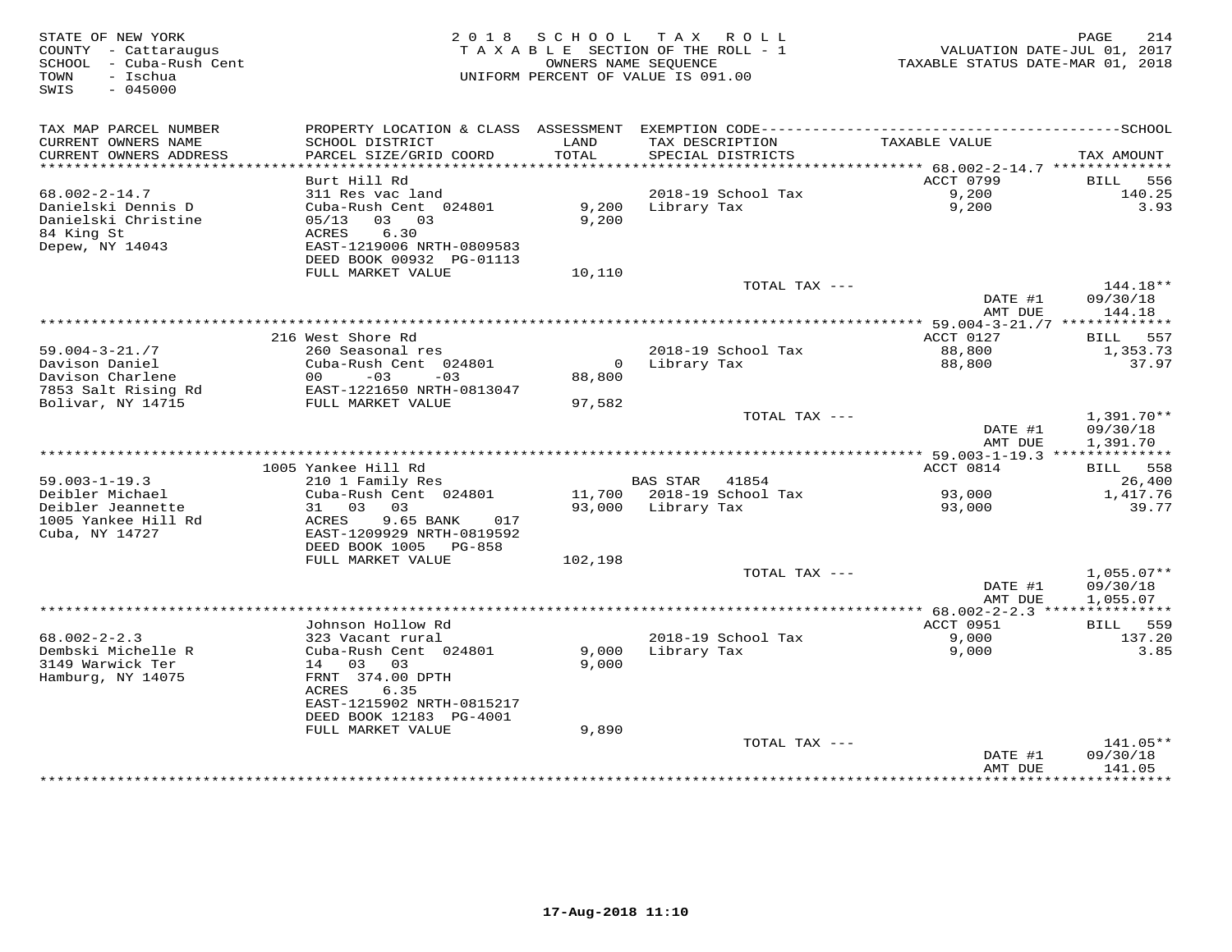| STATE OF NEW YORK<br>COUNTY - Cattaraugus<br>SCHOOL - Cuba-Rush Cent<br>- Ischua<br>TOWN<br>$-045000$<br>SWIS |                                                | 2018 SCHOOL    | TAX ROLL<br>TAXABLE SECTION OF THE ROLL - 1<br>OWNERS NAME SEQUENCE<br>UNIFORM PERCENT OF VALUE IS 091.00 | VALUATION DATE-JUL 01, 2017<br>TAXABLE STATUS DATE-MAR 01, 2018 | 214<br>PAGE          |
|---------------------------------------------------------------------------------------------------------------|------------------------------------------------|----------------|-----------------------------------------------------------------------------------------------------------|-----------------------------------------------------------------|----------------------|
| TAX MAP PARCEL NUMBER<br>CURRENT OWNERS NAME<br>CURRENT OWNERS ADDRESS                                        | SCHOOL DISTRICT<br>PARCEL SIZE/GRID COORD      | LAND<br>TOTAL  | TAX DESCRIPTION<br>SPECIAL DISTRICTS                                                                      | TAXABLE VALUE                                                   | TAX AMOUNT           |
| *******************                                                                                           |                                                |                |                                                                                                           |                                                                 |                      |
|                                                                                                               | Burt Hill Rd                                   |                |                                                                                                           | ACCT 0799                                                       | 556<br>BILL          |
| $68.002 - 2 - 14.7$                                                                                           | 311 Res vac land                               |                | 2018-19 School Tax                                                                                        | 9,200                                                           | 140.25               |
| Danielski Dennis D<br>Danielski Christine                                                                     | Cuba-Rush Cent 024801<br>$05/13$ 03 03         | 9,200<br>9,200 | Library Tax                                                                                               | 9,200                                                           | 3.93                 |
| 84 King St                                                                                                    | 6.30<br>ACRES                                  |                |                                                                                                           |                                                                 |                      |
| Depew, NY 14043                                                                                               | EAST-1219006 NRTH-0809583                      |                |                                                                                                           |                                                                 |                      |
|                                                                                                               | DEED BOOK 00932 PG-01113                       |                |                                                                                                           |                                                                 |                      |
|                                                                                                               | FULL MARKET VALUE                              | 10,110         |                                                                                                           |                                                                 |                      |
|                                                                                                               |                                                |                | TOTAL TAX ---                                                                                             |                                                                 | $144.18**$           |
|                                                                                                               |                                                |                |                                                                                                           | DATE #1<br>AMT DUE                                              | 09/30/18<br>144.18   |
|                                                                                                               |                                                |                | *************************************                                                                     | ********** 59.004-3-21./7 *************                         |                      |
|                                                                                                               | 216 West Shore Rd                              |                |                                                                                                           | ACCT 0127                                                       | BILL<br>557          |
| $59.004 - 3 - 21.77$                                                                                          | 260 Seasonal res                               |                | 2018-19 School Tax                                                                                        | 88,800                                                          | 1,353.73             |
| Davison Daniel                                                                                                | Cuba-Rush Cent 024801                          |                | 0 Library Tax                                                                                             | 88,800                                                          | 37.97                |
| Davison Charlene                                                                                              | $-03$<br>00<br>$-03$                           | 88,800         |                                                                                                           |                                                                 |                      |
| 7853 Salt Rising Rd<br>Bolivar, NY 14715                                                                      | EAST-1221650 NRTH-0813047<br>FULL MARKET VALUE | 97,582         |                                                                                                           |                                                                 |                      |
|                                                                                                               |                                                |                | TOTAL TAX ---                                                                                             |                                                                 | $1,391.70**$         |
|                                                                                                               |                                                |                |                                                                                                           | DATE #1<br>AMT DUE                                              | 09/30/18<br>1,391.70 |
|                                                                                                               |                                                |                |                                                                                                           |                                                                 |                      |
|                                                                                                               | 1005 Yankee Hill Rd                            |                |                                                                                                           | ACCT 0814                                                       | BILL 558             |
| $59.003 - 1 - 19.3$                                                                                           | 210 1 Family Res                               |                | BAS STAR 41854                                                                                            |                                                                 | 26,400               |
| Deibler Michael<br>Deibler Jeannette                                                                          | Cuba-Rush Cent 024801<br>31 03 03              |                | 11,700 2018-19 School Tax<br>93,000 Library Tax                                                           | 93,000<br>93,000                                                | 1,417.76<br>39.77    |
| 1005 Yankee Hill Rd                                                                                           | ACRES<br>9.65 BANK<br>017                      |                |                                                                                                           |                                                                 |                      |
| Cuba, NY 14727                                                                                                | EAST-1209929 NRTH-0819592                      |                |                                                                                                           |                                                                 |                      |
|                                                                                                               | DEED BOOK 1005 PG-858                          |                |                                                                                                           |                                                                 |                      |
|                                                                                                               | FULL MARKET VALUE                              | 102,198        |                                                                                                           |                                                                 |                      |
|                                                                                                               |                                                |                | TOTAL TAX ---                                                                                             |                                                                 | $1,055.07**$         |
|                                                                                                               |                                                |                |                                                                                                           | DATE #1<br>AMT DUE                                              | 09/30/18<br>1,055.07 |
|                                                                                                               |                                                |                |                                                                                                           | ****** 68.002-2-2.3 ***************                             |                      |
|                                                                                                               | Johnson Hollow Rd                              |                |                                                                                                           | ACCT 0951                                                       | BILL 559             |
| $68.002 - 2 - 2.3$                                                                                            | 323 Vacant rural                               |                | 2018-19 School Tax                                                                                        | 9,000                                                           | 137.20               |
| Dembski Michelle R                                                                                            | Cuba-Rush Cent 024801                          | 9,000          | Library Tax                                                                                               | 9,000                                                           | 3.85                 |
| 3149 Warwick Ter                                                                                              | 14 03 03                                       | 9,000          |                                                                                                           |                                                                 |                      |
| Hamburg, NY 14075                                                                                             | FRNT 374.00 DPTH<br>ACRES<br>6.35              |                |                                                                                                           |                                                                 |                      |
|                                                                                                               | EAST-1215902 NRTH-0815217                      |                |                                                                                                           |                                                                 |                      |
|                                                                                                               | DEED BOOK 12183 PG-4001                        |                |                                                                                                           |                                                                 |                      |
|                                                                                                               | FULL MARKET VALUE                              | 9,890          |                                                                                                           |                                                                 |                      |
|                                                                                                               |                                                |                | TOTAL TAX ---                                                                                             |                                                                 | 141.05**             |
|                                                                                                               |                                                |                |                                                                                                           | DATE #1                                                         | 09/30/18             |
|                                                                                                               |                                                |                |                                                                                                           | AMT DUE                                                         | 141.05               |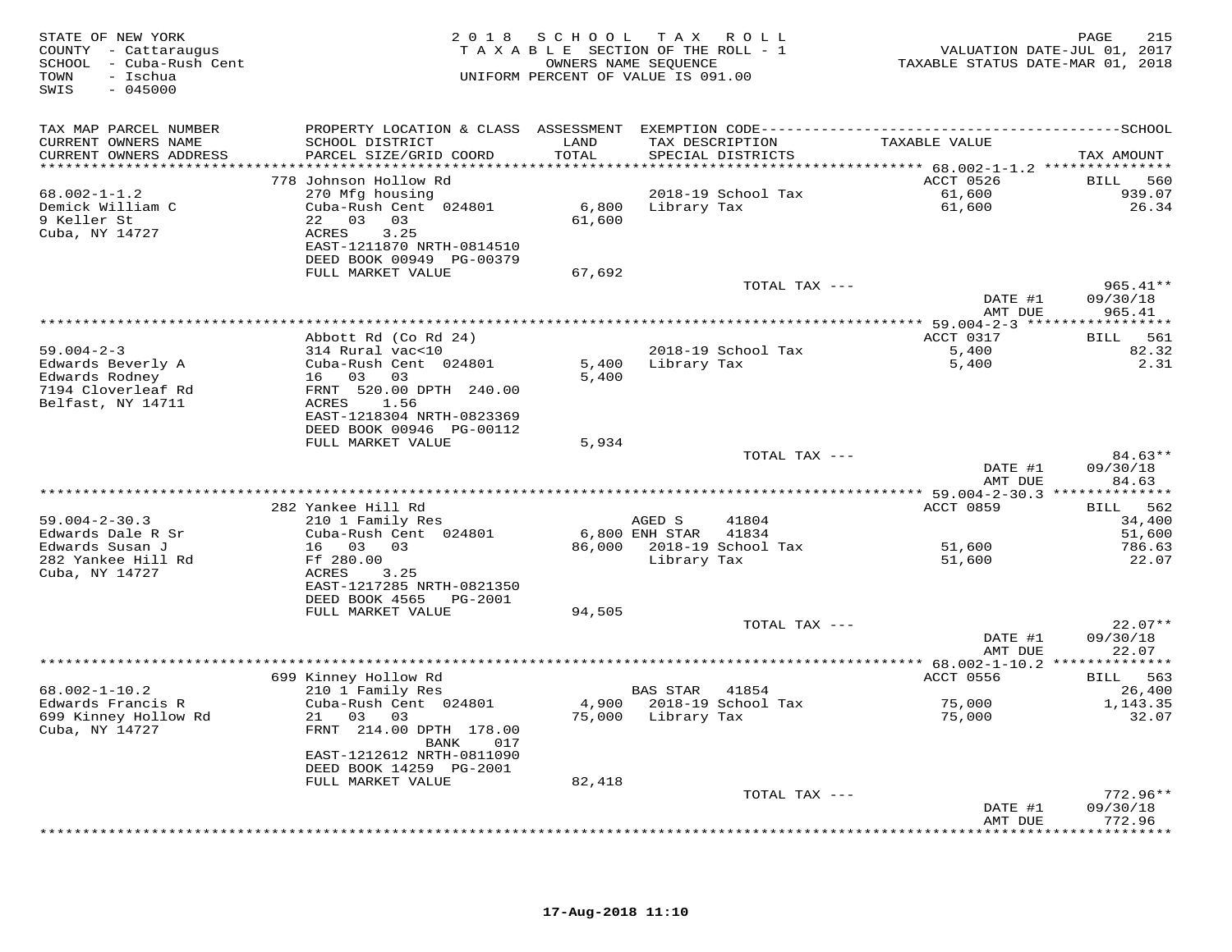| STATE OF NEW YORK<br>COUNTY - Cattaraugus<br>SCHOOL - Cuba-Rush Cent<br>- Ischua<br>TOWN<br>$-045000$<br>SWIS |                                                       | 2018 SCHOOL<br>TAXABLE SECTION OF THE ROLL - 1<br>UNIFORM PERCENT OF VALUE IS 091.00 | T A X<br>OWNERS NAME SEQUENCE | R O L L                   | TAXABLE STATUS DATE-MAR 01, 2018  | 215<br>PAGE<br>VALUATION DATE-JUL 01, 2017 |
|---------------------------------------------------------------------------------------------------------------|-------------------------------------------------------|--------------------------------------------------------------------------------------|-------------------------------|---------------------------|-----------------------------------|--------------------------------------------|
| TAX MAP PARCEL NUMBER<br>CURRENT OWNERS NAME                                                                  | SCHOOL DISTRICT                                       | LAND                                                                                 | TAX DESCRIPTION               |                           | TAXABLE VALUE                     |                                            |
| CURRENT OWNERS ADDRESS<br>***********************                                                             | PARCEL SIZE/GRID COORD                                | TOTAL                                                                                |                               | SPECIAL DISTRICTS         |                                   | TAX AMOUNT                                 |
|                                                                                                               | 778 Johnson Hollow Rd                                 |                                                                                      |                               |                           | ACCT 0526                         | 560<br>BILL                                |
| $68.002 - 1 - 1.2$                                                                                            | 270 Mfg housing                                       |                                                                                      |                               | 2018-19 School Tax        | 61,600                            | 939.07                                     |
| Demick William C                                                                                              | Cuba-Rush Cent 024801                                 |                                                                                      | 6,800 Library Tax             |                           | 61,600                            | 26.34                                      |
| 9 Keller St<br>Cuba, NY 14727                                                                                 | 22 03 03<br>3.25<br>ACRES                             | 61,600                                                                               |                               |                           |                                   |                                            |
|                                                                                                               | EAST-1211870 NRTH-0814510<br>DEED BOOK 00949 PG-00379 |                                                                                      |                               |                           |                                   |                                            |
|                                                                                                               | FULL MARKET VALUE                                     | 67,692                                                                               |                               | TOTAL TAX ---             |                                   | $965.41**$                                 |
|                                                                                                               |                                                       |                                                                                      |                               |                           | DATE #1<br>AMT DUE                | 09/30/18<br>965.41                         |
| ***********************                                                                                       |                                                       | *********************************                                                    |                               |                           | *************** 59.004-2-3 ****** | ***********                                |
|                                                                                                               | Abbott Rd (Co Rd 24)                                  |                                                                                      |                               |                           | ACCT 0317                         | 561<br>BILL                                |
| $59.004 - 2 - 3$                                                                                              | 314 Rural vac<10                                      |                                                                                      |                               | 2018-19 School Tax        | 5,400                             | 82.32                                      |
| Edwards Beverly A<br>Edwards Rodney                                                                           | Cuba-Rush Cent 024801<br>16 03 03                     | 5,400<br>5,400                                                                       | Library Tax                   |                           | 5,400                             | 2.31                                       |
| 7194 Cloverleaf Rd                                                                                            | FRNT 520.00 DPTH 240.00                               |                                                                                      |                               |                           |                                   |                                            |
| Belfast, NY 14711                                                                                             | ACRES 1.56                                            |                                                                                      |                               |                           |                                   |                                            |
|                                                                                                               | EAST-1218304 NRTH-0823369                             |                                                                                      |                               |                           |                                   |                                            |
|                                                                                                               | DEED BOOK 00946 PG-00112<br>FULL MARKET VALUE         | 5,934                                                                                |                               |                           |                                   |                                            |
|                                                                                                               |                                                       |                                                                                      |                               | TOTAL TAX ---             |                                   | 84.63**                                    |
|                                                                                                               |                                                       |                                                                                      |                               |                           | DATE #1<br>AMT DUE                | 09/30/18<br>84.63                          |
|                                                                                                               |                                                       |                                                                                      |                               |                           |                                   |                                            |
|                                                                                                               | 282 Yankee Hill Rd                                    |                                                                                      |                               |                           | ACCT 0859                         | 562<br>BILL                                |
| $59.004 - 2 - 30.3$<br>Edwards Dale R Sr                                                                      | 210 1 Family Res<br>Cuba-Rush Cent 024801             |                                                                                      | AGED S<br>6,800 ENH STAR      | 41804<br>41834            |                                   | 34,400<br>51,600                           |
| Edwards Susan J                                                                                               | 16 03 03                                              |                                                                                      |                               | 86,000 2018-19 School Tax | 51,600                            | 786.63                                     |
| 282 Yankee Hill Rd                                                                                            | Ff 280.00                                             |                                                                                      | Library Tax                   |                           | 51,600                            | 22.07                                      |
| Cuba, NY 14727                                                                                                | ACRES<br>3.25                                         |                                                                                      |                               |                           |                                   |                                            |
|                                                                                                               | EAST-1217285 NRTH-0821350<br>DEED BOOK 4565 PG-2001   |                                                                                      |                               |                           |                                   |                                            |
|                                                                                                               | FULL MARKET VALUE                                     | 94,505                                                                               |                               |                           |                                   |                                            |
|                                                                                                               |                                                       |                                                                                      |                               | TOTAL TAX ---             |                                   | $22.07**$                                  |
|                                                                                                               |                                                       |                                                                                      |                               |                           | DATE #1<br>AMT DUE                | 09/30/18<br>22.07                          |
|                                                                                                               |                                                       |                                                                                      |                               |                           |                                   |                                            |
| $68.002 - 1 - 10.2$                                                                                           | 699 Kinney Hollow Rd<br>210 1 Family Res              |                                                                                      | BAS STAR                      | 41854                     | ACCT 0556                         | <b>BILL</b> 563<br>26,400                  |
| Edwards Francis R                                                                                             | Cuba-Rush Cent 024801                                 |                                                                                      |                               | 4,900 2018-19 School Tax  | 75,000                            | 1,143.35                                   |
| 699 Kinney Hollow Rd                                                                                          | 21 03<br>03                                           |                                                                                      | 75,000 Library Tax            |                           | 75,000                            | 32.07                                      |
| Cuba, NY 14727                                                                                                | FRNT 214.00 DPTH 178.00<br>BANK<br>017                |                                                                                      |                               |                           |                                   |                                            |
|                                                                                                               | EAST-1212612 NRTH-0811090<br>DEED BOOK 14259 PG-2001  |                                                                                      |                               |                           |                                   |                                            |
|                                                                                                               | FULL MARKET VALUE                                     | 82,418                                                                               |                               |                           |                                   |                                            |
|                                                                                                               |                                                       |                                                                                      |                               | TOTAL TAX ---             | DATE #1                           | $772.96**$<br>09/30/18                     |
|                                                                                                               |                                                       |                                                                                      |                               |                           | AMT DUE                           | 772.96                                     |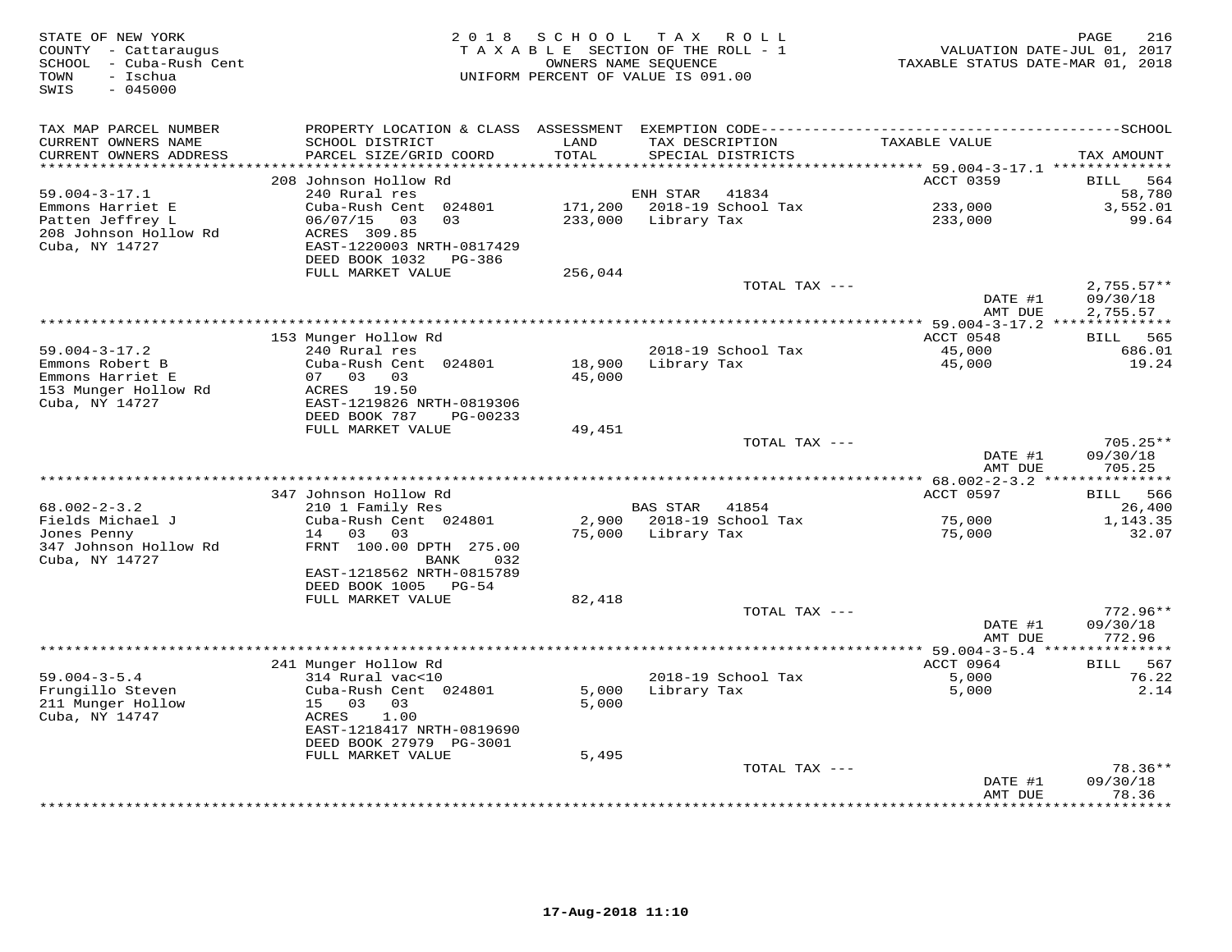| STATE OF NEW YORK<br>COUNTY - Cattaraugus<br>SCHOOL - Cuba-Rush Cent<br>TOWN<br>- Ischua<br>SWIS<br>$-045000$ | 2 0 1 8                                               | SCHOOL           | TAX ROLL<br>TAXABLE SECTION OF THE ROLL - 1<br>OWNERS NAME SEQUENCE<br>UNIFORM PERCENT OF VALUE IS 091.00 | TAXABLE STATUS DATE-MAR 01, 2018      | 216<br>PAGE<br>VALUATION DATE-JUL 01, 2017 |
|---------------------------------------------------------------------------------------------------------------|-------------------------------------------------------|------------------|-----------------------------------------------------------------------------------------------------------|---------------------------------------|--------------------------------------------|
| TAX MAP PARCEL NUMBER                                                                                         |                                                       |                  |                                                                                                           |                                       |                                            |
| CURRENT OWNERS NAME                                                                                           | SCHOOL DISTRICT                                       | LAND             | TAX DESCRIPTION                                                                                           | TAXABLE VALUE                         |                                            |
| CURRENT OWNERS ADDRESS<br>*******************                                                                 | PARCEL SIZE/GRID COORD                                | TOTAL<br>******* | SPECIAL DISTRICTS                                                                                         | ******** 59.004-3-17.1 ************** | TAX AMOUNT                                 |
|                                                                                                               | 208 Johnson Hollow Rd                                 |                  |                                                                                                           | ACCT 0359                             | <b>BILL</b><br>564                         |
| $59.004 - 3 - 17.1$                                                                                           | 240 Rural res                                         |                  | ENH STAR<br>41834                                                                                         |                                       | 58,780                                     |
| Emmons Harriet E                                                                                              | Cuba-Rush Cent 024801                                 | 171,200          | 2018-19 School Tax                                                                                        | 233,000                               | 3,552.01                                   |
| Patten Jeffrey L                                                                                              | 06/07/15<br>03<br>03                                  | 233,000          | Library Tax                                                                                               | 233,000                               | 99.64                                      |
| 208 Johnson Hollow Rd                                                                                         | ACRES 309.85                                          |                  |                                                                                                           |                                       |                                            |
| Cuba, NY 14727                                                                                                | EAST-1220003 NRTH-0817429<br>DEED BOOK 1032<br>PG-386 |                  |                                                                                                           |                                       |                                            |
|                                                                                                               | FULL MARKET VALUE                                     | 256,044          |                                                                                                           |                                       |                                            |
|                                                                                                               |                                                       |                  | TOTAL TAX ---                                                                                             |                                       | $2,755.57**$                               |
|                                                                                                               |                                                       |                  |                                                                                                           | DATE #1                               | 09/30/18                                   |
|                                                                                                               |                                                       |                  |                                                                                                           | AMT DUE                               | 2,755.57                                   |
|                                                                                                               |                                                       |                  |                                                                                                           |                                       |                                            |
|                                                                                                               | 153 Munger Hollow Rd                                  |                  |                                                                                                           | ACCT 0548                             | BILL 565                                   |
| $59.004 - 3 - 17.2$<br>Emmons Robert B                                                                        | 240 Rural res<br>Cuba-Rush Cent 024801                | 18,900           | 2018-19 School Tax<br>Library Tax                                                                         | 45,000<br>45,000                      | 686.01<br>19.24                            |
| Emmons Harriet E                                                                                              | 07 03 03                                              | 45,000           |                                                                                                           |                                       |                                            |
| 153 Munger Hollow Rd                                                                                          | ACRES 19.50                                           |                  |                                                                                                           |                                       |                                            |
| Cuba, NY 14727                                                                                                | EAST-1219826 NRTH-0819306                             |                  |                                                                                                           |                                       |                                            |
|                                                                                                               | DEED BOOK 787<br>PG-00233                             |                  |                                                                                                           |                                       |                                            |
|                                                                                                               | FULL MARKET VALUE                                     | 49,451           |                                                                                                           |                                       |                                            |
|                                                                                                               |                                                       |                  | TOTAL TAX ---                                                                                             | DATE #1                               | $705.25**$<br>09/30/18                     |
|                                                                                                               |                                                       |                  |                                                                                                           | AMT DUE                               | 705.25                                     |
| *********************                                                                                         |                                                       |                  |                                                                                                           |                                       |                                            |
|                                                                                                               | 347 Johnson Hollow Rd                                 |                  |                                                                                                           | ACCT 0597                             | BILL 566                                   |
| $68.002 - 2 - 3.2$                                                                                            | 210 1 Family Res                                      |                  | BAS STAR<br>41854                                                                                         |                                       | 26,400                                     |
| Fields Michael J                                                                                              | Cuba-Rush Cent 024801                                 | 2,900            | 2018-19 School Tax                                                                                        | 75,000                                | 1,143.35                                   |
| Jones Penny<br>347 Johnson Hollow Rd                                                                          | 14 03 03<br>FRNT 100.00 DPTH 275.00                   | 75,000           | Library Tax                                                                                               | 75,000                                | 32.07                                      |
| Cuba, NY 14727                                                                                                | 032<br>BANK                                           |                  |                                                                                                           |                                       |                                            |
|                                                                                                               | EAST-1218562 NRTH-0815789                             |                  |                                                                                                           |                                       |                                            |
|                                                                                                               | DEED BOOK 1005 PG-54                                  |                  |                                                                                                           |                                       |                                            |
|                                                                                                               | FULL MARKET VALUE                                     | 82,418           |                                                                                                           |                                       |                                            |
|                                                                                                               |                                                       |                  | TOTAL TAX ---                                                                                             |                                       | $772.96**$                                 |
|                                                                                                               |                                                       |                  |                                                                                                           | DATE #1                               | 09/30/18                                   |
|                                                                                                               |                                                       |                  |                                                                                                           | AMT DUE                               | 772.96                                     |
|                                                                                                               | 241 Munger Hollow Rd                                  |                  |                                                                                                           | ACCT 0964                             | BILL 567                                   |
| $59.004 - 3 - 5.4$                                                                                            | 314 Rural vac<10                                      |                  | 2018-19 School Tax                                                                                        | 5,000                                 | 76.22                                      |
| Frungillo Steven                                                                                              | Cuba-Rush Cent 024801                                 | 5,000            | Library Tax                                                                                               | 5,000                                 | 2.14                                       |
| 211 Munger Hollow                                                                                             | 15 03<br>03                                           | 5,000            |                                                                                                           |                                       |                                            |
| Cuba, NY 14747                                                                                                | 1.00<br>ACRES                                         |                  |                                                                                                           |                                       |                                            |
|                                                                                                               | EAST-1218417 NRTH-0819690                             |                  |                                                                                                           |                                       |                                            |
|                                                                                                               | DEED BOOK 27979 PG-3001<br>FULL MARKET VALUE          | 5,495            |                                                                                                           |                                       |                                            |
|                                                                                                               |                                                       |                  | TOTAL TAX ---                                                                                             |                                       | $78.36**$                                  |
|                                                                                                               |                                                       |                  |                                                                                                           | DATE #1                               | 09/30/18                                   |
|                                                                                                               |                                                       |                  |                                                                                                           | AMT DUE                               | 78.36                                      |
|                                                                                                               |                                                       |                  |                                                                                                           | **************                        | * * * * * * * *                            |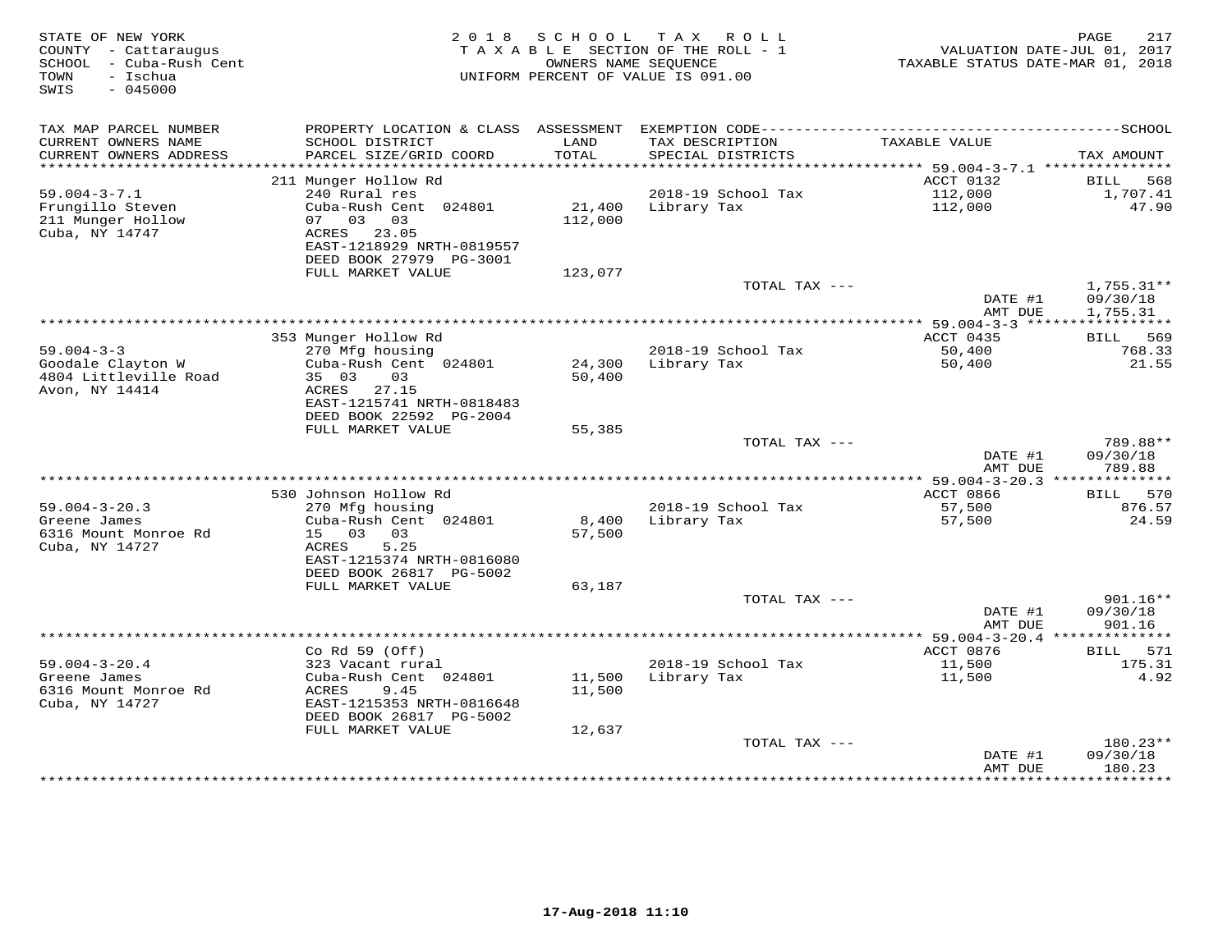| STATE OF NEW YORK<br>COUNTY - Cattaraugus<br>SCHOOL - Cuba-Rush Cent<br>TOWN<br>- Ischua<br>SWIS<br>$-045000$ |                                                                                                                    | 2018 SCHOOL       | TAX ROLL<br>TAXABLE SECTION OF THE ROLL - 1<br>OWNERS NAME SEQUENCE<br>UNIFORM PERCENT OF VALUE IS 091.00 | VALUATION DATE-JUL 01, 2017<br>TAXABLE STATUS DATE-MAR 01, 2018 | PAGE<br>217                          |
|---------------------------------------------------------------------------------------------------------------|--------------------------------------------------------------------------------------------------------------------|-------------------|-----------------------------------------------------------------------------------------------------------|-----------------------------------------------------------------|--------------------------------------|
| TAX MAP PARCEL NUMBER<br>CURRENT OWNERS NAME<br>CURRENT OWNERS ADDRESS                                        | SCHOOL DISTRICT<br>PARCEL SIZE/GRID COORD                                                                          | LAND<br>TOTAL     | TAX DESCRIPTION<br>SPECIAL DISTRICTS                                                                      | TAXABLE VALUE                                                   | TAX AMOUNT                           |
| ***********************                                                                                       |                                                                                                                    |                   |                                                                                                           |                                                                 |                                      |
| $59.004 - 3 - 7.1$                                                                                            | 211 Munger Hollow Rd<br>240 Rural res                                                                              |                   | 2018-19 School Tax                                                                                        | ACCT 0132<br>112,000                                            | BILL 568<br>1,707.41                 |
| Frungillo Steven<br>211 Munger Hollow<br>Cuba, NY 14747                                                       | Cuba-Rush Cent 024801<br>07 03 03<br>ACRES 23.05<br>EAST-1218929 NRTH-0819557<br>DEED BOOK 27979 PG-3001           | 21,400<br>112,000 | Library Tax                                                                                               | 112,000                                                         | 47.90                                |
|                                                                                                               | FULL MARKET VALUE                                                                                                  | 123,077           |                                                                                                           |                                                                 |                                      |
|                                                                                                               |                                                                                                                    |                   | TOTAL TAX ---                                                                                             | DATE #1<br>AMT DUE                                              | $1,755.31**$<br>09/30/18<br>1,755.31 |
|                                                                                                               |                                                                                                                    |                   |                                                                                                           | *************** 59.004-3-3 ******                               | ***********                          |
|                                                                                                               | 353 Munger Hollow Rd                                                                                               |                   |                                                                                                           | ACCT 0435                                                       | BILL 569                             |
| $59.004 - 3 - 3$<br>Goodale Clayton W                                                                         | 270 Mfg housing<br>Cuba-Rush Cent 024801                                                                           |                   | 2018-19 School Tax<br>24,300 Library Tax                                                                  | 50,400<br>50,400                                                | 768.33<br>21.55                      |
| 4804 Littleville Road<br>Avon, NY 14414                                                                       | 35 03<br>03<br>ACRES 27.15<br>EAST-1215741 NRTH-0818483<br>DEED BOOK 22592 PG-2004                                 | 50,400            |                                                                                                           |                                                                 |                                      |
|                                                                                                               | FULL MARKET VALUE                                                                                                  | 55,385            |                                                                                                           |                                                                 |                                      |
|                                                                                                               |                                                                                                                    |                   | TOTAL TAX ---                                                                                             | DATE #1<br>AMT DUE                                              | 789.88**<br>09/30/18<br>789.88       |
|                                                                                                               |                                                                                                                    |                   |                                                                                                           |                                                                 |                                      |
| $59.004 - 3 - 20.3$                                                                                           | 530 Johnson Hollow Rd<br>270 Mfg housing                                                                           |                   | 2018-19 School Tax                                                                                        | ACCT 0866<br>57,500                                             | BILL 570<br>876.57                   |
| Greene James<br>6316 Mount Monroe Rd<br>Cuba, NY 14727                                                        | Cuba-Rush Cent 024801<br>15 03 03<br>5.25<br>ACRES<br>EAST-1215374 NRTH-0816080<br>DEED BOOK 26817 PG-5002         | 57,500            | 8,400 Library Tax                                                                                         | 57,500                                                          | 24.59                                |
|                                                                                                               | FULL MARKET VALUE                                                                                                  | 63,187            |                                                                                                           |                                                                 |                                      |
|                                                                                                               |                                                                                                                    |                   | TOTAL TAX ---                                                                                             | DATE #1<br>AMT DUE                                              | $901.16**$<br>09/30/18<br>901.16     |
|                                                                                                               |                                                                                                                    |                   |                                                                                                           |                                                                 |                                      |
|                                                                                                               | Co Rd $59$ (Off)                                                                                                   |                   |                                                                                                           | ACCT 0876                                                       | BILL 571                             |
| $59.004 - 3 - 20.4$<br>Greene James<br>6316 Mount Monroe Rd<br>Cuba, NY 14727                                 | 323 Vacant rural<br>Cuba-Rush Cent 024801<br>9.45<br>ACRES<br>EAST-1215353 NRTH-0816648<br>DEED BOOK 26817 PG-5002 | 11,500<br>11,500  | 2018-19 School Tax<br>Library Tax                                                                         | 11,500<br>11,500                                                | 175.31<br>4.92                       |
|                                                                                                               | FULL MARKET VALUE                                                                                                  | 12,637            | TOTAL TAX ---                                                                                             |                                                                 | 180.23**                             |
|                                                                                                               |                                                                                                                    |                   |                                                                                                           | DATE #1<br>AMT DUE                                              | 09/30/18<br>180.23<br>***********    |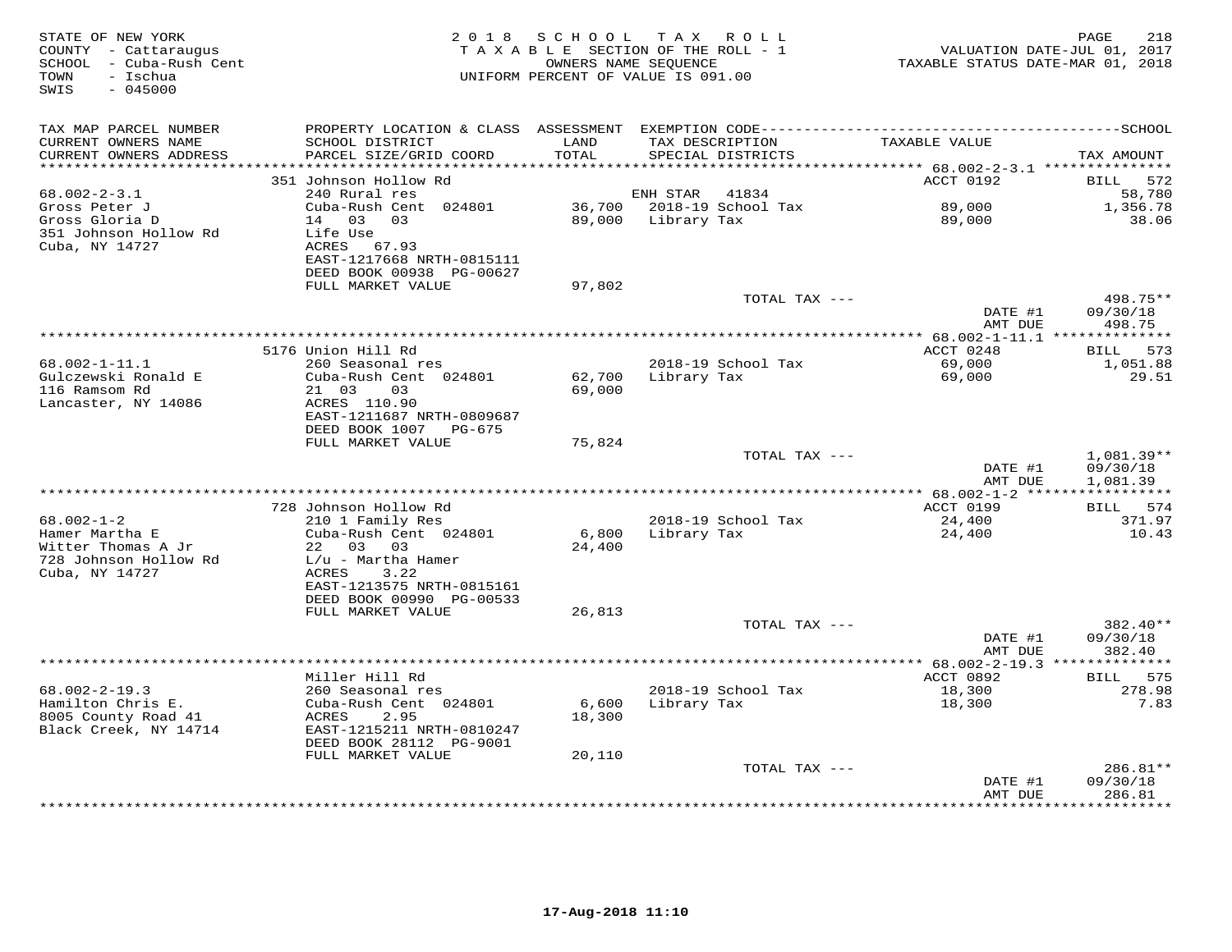| STATE OF NEW YORK<br>COUNTY - Cattaraugus<br>SCHOOL - Cuba-Rush Cent<br>- Ischua<br>TOWN<br>SWIS<br>$-045000$ |                                                                                                | OWNERS NAME SEQUENCE | 2018 SCHOOL TAX ROLL<br>TAXABLE SECTION OF THE ROLL - 1<br>UNIFORM PERCENT OF VALUE IS 091.00 | VALUATION DATE-JUL 01, 2017<br>TAXABLE STATUS DATE-MAR 01, 2018 | 218<br>PAGE                        |
|---------------------------------------------------------------------------------------------------------------|------------------------------------------------------------------------------------------------|----------------------|-----------------------------------------------------------------------------------------------|-----------------------------------------------------------------|------------------------------------|
| TAX MAP PARCEL NUMBER<br>CURRENT OWNERS NAME<br>CURRENT OWNERS ADDRESS                                        | SCHOOL DISTRICT<br>PARCEL SIZE/GRID COORD                                                      | LAND<br>TOTAL        | TAX DESCRIPTION<br>SPECIAL DISTRICTS                                                          | TAXABLE VALUE                                                   | TAX AMOUNT                         |
|                                                                                                               |                                                                                                | * * * * * * * * * *  |                                                                                               |                                                                 |                                    |
|                                                                                                               | 351 Johnson Hollow Rd                                                                          |                      |                                                                                               | ACCT 0192                                                       | BILL 572                           |
| $68.002 - 2 - 3.1$<br>Gross Peter J<br>Gross Gloria D                                                         | 240 Rural res<br>Cuba-Rush Cent 024801<br>14 03 03                                             | 89,000               | ENH STAR<br>41834<br>36,700 2018-19 School Tax<br>Library Tax                                 | 89,000<br>89,000                                                | 58,780<br>1,356.78<br>38.06        |
| 351 Johnson Hollow Rd<br>Cuba, NY 14727                                                                       | Life Use<br>ACRES 67.93<br>EAST-1217668 NRTH-0815111<br>DEED BOOK 00938 PG-00627               |                      |                                                                                               |                                                                 |                                    |
|                                                                                                               | FULL MARKET VALUE                                                                              | 97,802               |                                                                                               |                                                                 |                                    |
|                                                                                                               |                                                                                                |                      | TOTAL TAX ---                                                                                 | DATE #1                                                         | 498.75**<br>09/30/18<br>498.75     |
|                                                                                                               |                                                                                                |                      |                                                                                               | AMT DUE                                                         |                                    |
|                                                                                                               | 5176 Union Hill Rd                                                                             |                      |                                                                                               | ACCT 0248                                                       | BILL 573                           |
| $68.002 - 1 - 11.1$<br>Gulczewski Ronald E<br>116 Ramsom Rd                                                   | 260 Seasonal res<br>Cuba-Rush Cent 024801<br>21 03<br>03                                       | 62,700<br>69,000     | 2018-19 School Tax<br>Library Tax                                                             | 69,000<br>69,000                                                | 1,051.88<br>29.51                  |
| Lancaster, NY 14086                                                                                           | ACRES 110.90<br>EAST-1211687 NRTH-0809687<br>DEED BOOK 1007 PG-675                             |                      |                                                                                               |                                                                 |                                    |
|                                                                                                               | FULL MARKET VALUE                                                                              | 75,824               | TOTAL TAX ---                                                                                 | DATE #1<br>AMT DUE                                              | 1,081.39**<br>09/30/18<br>1,081.39 |
|                                                                                                               |                                                                                                |                      |                                                                                               |                                                                 |                                    |
|                                                                                                               | 728 Johnson Hollow Rd                                                                          |                      |                                                                                               | ACCT 0199                                                       | BILL 574                           |
| $68.002 - 1 - 2$<br>Hamer Martha E<br>Witter Thomas A Jr                                                      | 210 1 Family Res<br>Cuba-Rush Cent 024801<br>22 03 03                                          | 6,800<br>24,400      | 2018-19 School Tax<br>Library Tax                                                             | 24,400<br>24,400                                                | 371.97<br>10.43                    |
| 728 Johnson Hollow Rd<br>Cuba, NY 14727                                                                       | $L/u$ - Martha Hamer<br>ACRES<br>3.22<br>EAST-1213575 NRTH-0815161                             |                      |                                                                                               |                                                                 |                                    |
|                                                                                                               | DEED BOOK 00990 PG-00533                                                                       |                      |                                                                                               |                                                                 |                                    |
|                                                                                                               | FULL MARKET VALUE                                                                              | 26,813               | TOTAL TAX ---                                                                                 |                                                                 | 382.40**                           |
|                                                                                                               |                                                                                                |                      |                                                                                               | DATE #1<br>AMT DUE                                              | 09/30/18<br>382.40                 |
|                                                                                                               |                                                                                                |                      |                                                                                               | ************ 68.002-2-19.3 **************                       |                                    |
| $68.002 - 2 - 19.3$                                                                                           | Miller Hill Rd<br>260 Seasonal res                                                             |                      | 2018-19 School Tax                                                                            | ACCT 0892<br>18,300                                             | BILL 575<br>278.98                 |
| Hamilton Chris E.<br>8005 County Road 41<br>Black Creek, NY 14714                                             | Cuba-Rush Cent 024801<br>ACRES<br>2.95<br>EAST-1215211 NRTH-0810247<br>DEED BOOK 28112 PG-9001 | 6,600<br>18,300      | Library Tax                                                                                   | 18,300                                                          | 7.83                               |
|                                                                                                               | FULL MARKET VALUE                                                                              | 20,110               |                                                                                               |                                                                 |                                    |
|                                                                                                               |                                                                                                |                      | TOTAL TAX ---                                                                                 | DATE #1<br>AMT DUE                                              | 286.81**<br>09/30/18<br>286.81     |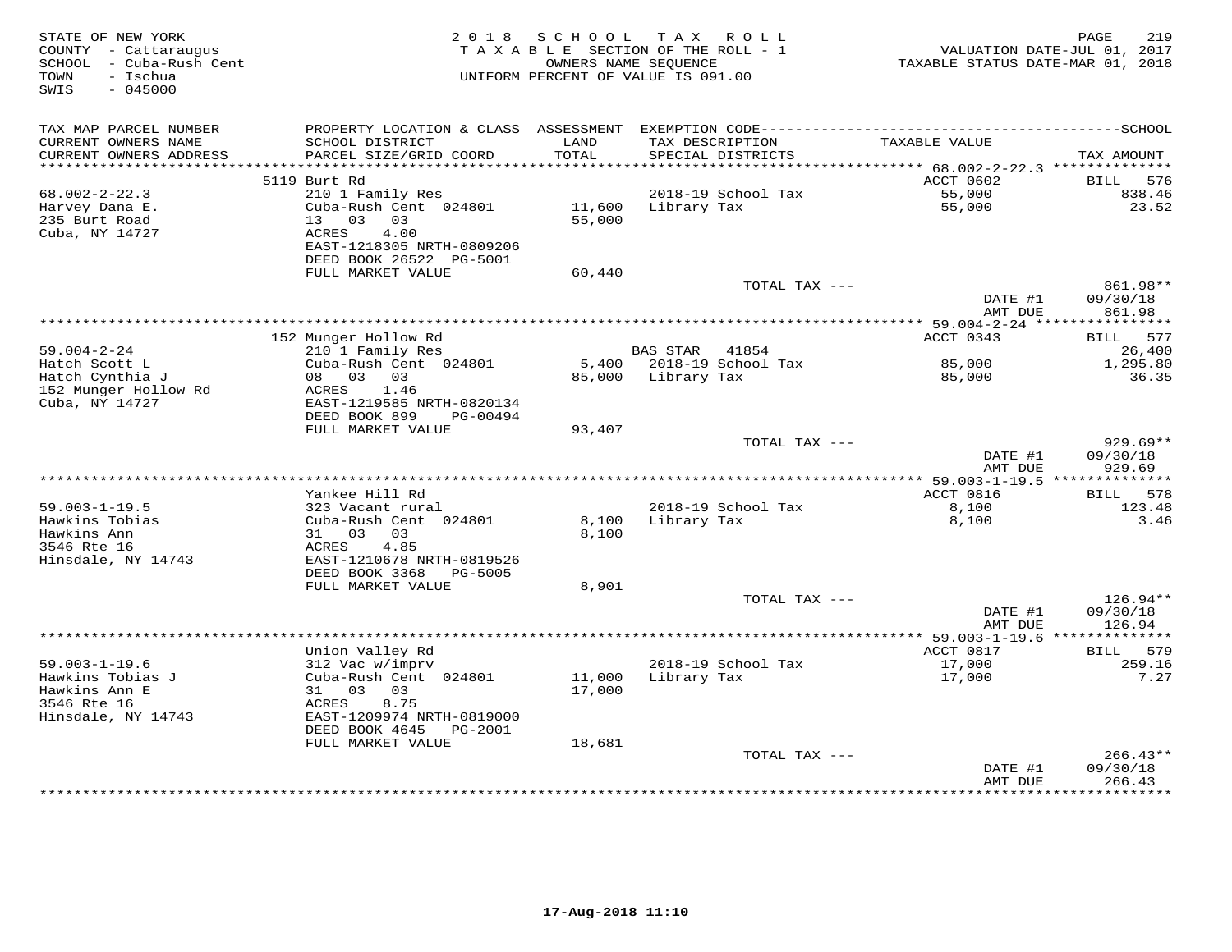| STATE OF NEW YORK<br>COUNTY - Cattaraugus<br>SCHOOL<br>- Cuba-Rush Cent<br>TOWN<br>- Ischua<br>SWIS<br>$-045000$ | 2 0 1 8                                                                                 | S C H O O L      | T A X<br>R O L L<br>TAXABLE SECTION OF THE ROLL - 1<br>OWNERS NAME SEQUENCE<br>UNIFORM PERCENT OF VALUE IS 091.00 | VALUATION DATE-JUL 01, 2017<br>TAXABLE STATUS DATE-MAR 01, 2018 | PAGE<br>219                      |
|------------------------------------------------------------------------------------------------------------------|-----------------------------------------------------------------------------------------|------------------|-------------------------------------------------------------------------------------------------------------------|-----------------------------------------------------------------|----------------------------------|
| TAX MAP PARCEL NUMBER<br>CURRENT OWNERS NAME                                                                     | SCHOOL DISTRICT                                                                         | LAND             | TAX DESCRIPTION                                                                                                   | TAXABLE VALUE                                                   |                                  |
| CURRENT OWNERS ADDRESS                                                                                           | PARCEL SIZE/GRID COORD                                                                  | TOTAL            | SPECIAL DISTRICTS                                                                                                 |                                                                 | TAX AMOUNT                       |
|                                                                                                                  |                                                                                         |                  |                                                                                                                   |                                                                 |                                  |
|                                                                                                                  | 5119 Burt Rd                                                                            |                  |                                                                                                                   | ACCT 0602                                                       | BILL<br>576                      |
| $68.002 - 2 - 22.3$<br>Harvey Dana E.                                                                            | 210 1 Family Res<br>Cuba-Rush Cent 024801                                               | 11,600           | 2018-19 School Tax<br>Library Tax                                                                                 | 55,000<br>55,000                                                | 838.46<br>23.52                  |
| 235 Burt Road<br>Cuba, NY 14727                                                                                  | 13<br>03<br>03<br>4.00<br>ACRES<br>EAST-1218305 NRTH-0809206<br>DEED BOOK 26522 PG-5001 | 55,000           |                                                                                                                   |                                                                 |                                  |
|                                                                                                                  | FULL MARKET VALUE                                                                       | 60,440           |                                                                                                                   |                                                                 |                                  |
|                                                                                                                  |                                                                                         |                  | TOTAL TAX ---                                                                                                     | DATE #1                                                         | 861.98**<br>09/30/18             |
|                                                                                                                  |                                                                                         |                  |                                                                                                                   | AMT DUE                                                         | 861.98                           |
|                                                                                                                  | 152 Munger Hollow Rd                                                                    |                  |                                                                                                                   | ACCT 0343                                                       | 577<br>BILL                      |
| $59.004 - 2 - 24$                                                                                                | 210 1 Family Res                                                                        |                  | <b>BAS STAR</b><br>41854                                                                                          |                                                                 | 26,400                           |
| Hatch Scott L                                                                                                    | Cuba-Rush Cent 024801                                                                   | 5,400            | 2018-19 School Tax                                                                                                | 85,000                                                          | 1,295.80                         |
| Hatch Cynthia J<br>152 Munger Hollow Rd<br>Cuba, NY 14727                                                        | 03 03<br>08<br>ACRES<br>1.46<br>EAST-1219585 NRTH-0820134<br>DEED BOOK 899<br>PG-00494  | 85,000           | Library Tax                                                                                                       | 85,000                                                          | 36.35                            |
|                                                                                                                  | FULL MARKET VALUE                                                                       | 93,407           |                                                                                                                   |                                                                 |                                  |
|                                                                                                                  |                                                                                         |                  | TOTAL TAX ---                                                                                                     | DATE #1<br>AMT DUE                                              | $929.69**$<br>09/30/18<br>929.69 |
|                                                                                                                  |                                                                                         |                  |                                                                                                                   | ** 59.003-1-19.5 **************                                 |                                  |
|                                                                                                                  | Yankee Hill Rd                                                                          |                  |                                                                                                                   | ACCT 0816                                                       | 578<br>BILL                      |
| $59.003 - 1 - 19.5$                                                                                              | 323 Vacant rural                                                                        |                  | 2018-19 School Tax                                                                                                | 8,100                                                           | 123.48                           |
| Hawkins Tobias<br>Hawkins Ann<br>3546 Rte 16<br>Hinsdale, NY 14743                                               | Cuba-Rush Cent 024801<br>31 03<br>03<br>4.85<br>ACRES<br>EAST-1210678 NRTH-0819526      | 8,100<br>8,100   | Library Tax                                                                                                       | 8,100                                                           | 3.46                             |
|                                                                                                                  | DEED BOOK 3368<br>PG-5005                                                               |                  |                                                                                                                   |                                                                 |                                  |
|                                                                                                                  | FULL MARKET VALUE                                                                       | 8,901            |                                                                                                                   |                                                                 |                                  |
|                                                                                                                  |                                                                                         |                  | TOTAL TAX ---                                                                                                     | DATE #1<br>AMT DUE                                              | 126.94**<br>09/30/18<br>126.94   |
|                                                                                                                  | *****************************                                                           |                  | ***********************                                                                                           | ********* 59.003-1-19.6 *******                                 | ******                           |
|                                                                                                                  | Union Valley Rd                                                                         |                  |                                                                                                                   | ACCT 0817                                                       | 579<br>BILL                      |
| $59.003 - 1 - 19.6$                                                                                              | 312 Vac w/imprv                                                                         |                  | 2018-19 School Tax                                                                                                | 17,000                                                          | 259.16                           |
| Hawkins Tobias J<br>Hawkins Ann E                                                                                | Cuba-Rush Cent 024801<br>03<br>31<br>03                                                 | 11,000<br>17,000 | Library Tax                                                                                                       | 17,000                                                          | 7.27                             |
| 3546 Rte 16                                                                                                      | 8.75<br>ACRES                                                                           |                  |                                                                                                                   |                                                                 |                                  |
| Hinsdale, NY 14743                                                                                               | EAST-1209974 NRTH-0819000<br>DEED BOOK 4645<br>PG-2001                                  |                  |                                                                                                                   |                                                                 |                                  |
|                                                                                                                  | FULL MARKET VALUE                                                                       | 18,681           |                                                                                                                   |                                                                 |                                  |
|                                                                                                                  |                                                                                         |                  | TOTAL TAX ---                                                                                                     | DATE #1                                                         | $266.43**$<br>09/30/18           |
|                                                                                                                  |                                                                                         |                  |                                                                                                                   | AMT DUE<br>********                                             | 266.43<br>**********             |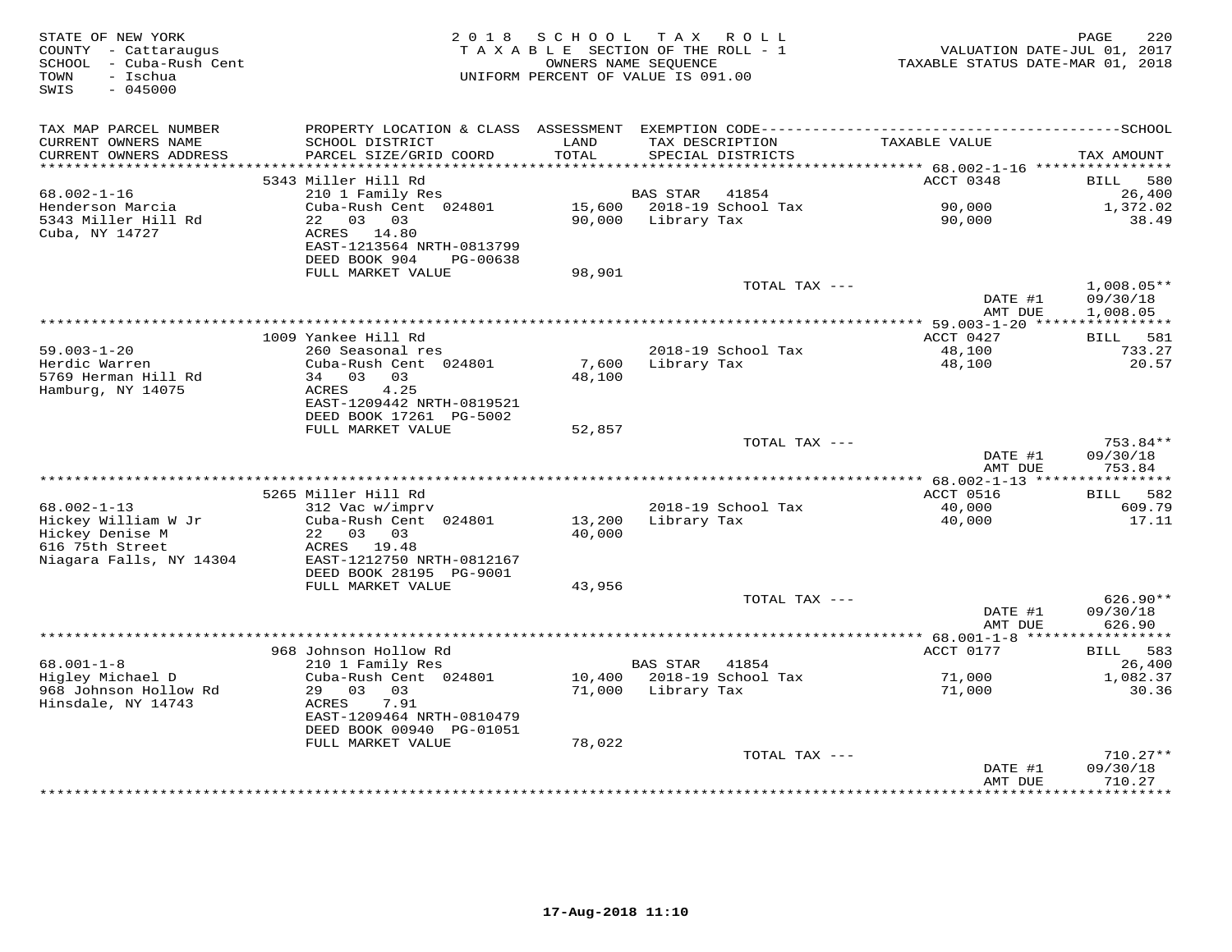| STATE OF NEW YORK<br>COUNTY - Cattaraugus<br>SCHOOL - Cuba-Rush Cent<br>- Ischua<br>TOWN<br>SWIS<br>$-045000$ | 2018                                       | S C H O O L   | TAX ROLL<br>TAXABLE SECTION OF THE ROLL - 1<br>OWNERS NAME SEQUENCE<br>UNIFORM PERCENT OF VALUE IS 091.00 | VALUATION DATE-JUL 01, 2017<br>TAXABLE STATUS DATE-MAR 01, 2018 | 220<br>PAGE            |
|---------------------------------------------------------------------------------------------------------------|--------------------------------------------|---------------|-----------------------------------------------------------------------------------------------------------|-----------------------------------------------------------------|------------------------|
| TAX MAP PARCEL NUMBER                                                                                         |                                            |               |                                                                                                           |                                                                 |                        |
| CURRENT OWNERS NAME<br>CURRENT OWNERS ADDRESS<br>***********************                                      | SCHOOL DISTRICT<br>PARCEL SIZE/GRID COORD  | LAND<br>TOTAL | TAX DESCRIPTION<br>SPECIAL DISTRICTS                                                                      | TAXABLE VALUE                                                   | TAX AMOUNT             |
|                                                                                                               | 5343 Miller Hill Rd                        |               |                                                                                                           | ACCT 0348                                                       | <b>BILL</b><br>580     |
| $68.002 - 1 - 16$                                                                                             | 210 1 Family Res                           |               | 41854<br>BAS STAR                                                                                         |                                                                 | 26,400                 |
| Henderson Marcia                                                                                              | Cuba-Rush Cent 024801                      | 15,600        | 2018-19 School Tax                                                                                        | 90,000                                                          | 1,372.02               |
| 5343 Miller Hill Rd                                                                                           | 22 03 03                                   | 90,000        | Library Tax                                                                                               | 90,000                                                          | 38.49                  |
| Cuba, NY 14727                                                                                                | ACRES 14.80                                |               |                                                                                                           |                                                                 |                        |
|                                                                                                               | EAST-1213564 NRTH-0813799<br>DEED BOOK 904 |               |                                                                                                           |                                                                 |                        |
|                                                                                                               | PG-00638<br>FULL MARKET VALUE              | 98,901        |                                                                                                           |                                                                 |                        |
|                                                                                                               |                                            |               | TOTAL TAX ---                                                                                             |                                                                 | $1,008.05**$           |
|                                                                                                               |                                            |               |                                                                                                           | DATE #1                                                         | 09/30/18               |
|                                                                                                               |                                            |               |                                                                                                           | AMT DUE                                                         | 1,008.05               |
|                                                                                                               | 1009 Yankee Hill Rd                        |               |                                                                                                           | ********* 59.003-1-20 *****<br>ACCT 0427                        | ***********            |
| $59.003 - 1 - 20$                                                                                             | 260 Seasonal res                           |               | 2018-19 School Tax                                                                                        | 48,100                                                          | BILL 581<br>733.27     |
| Herdic Warren                                                                                                 | Cuba-Rush Cent 024801                      | 7,600         | Library Tax                                                                                               | 48,100                                                          | 20.57                  |
| 5769 Herman Hill Rd                                                                                           | 34 03 03                                   | 48,100        |                                                                                                           |                                                                 |                        |
| Hamburg, NY 14075                                                                                             | 4.25<br>ACRES                              |               |                                                                                                           |                                                                 |                        |
|                                                                                                               | EAST-1209442 NRTH-0819521                  |               |                                                                                                           |                                                                 |                        |
|                                                                                                               | DEED BOOK 17261 PG-5002                    |               |                                                                                                           |                                                                 |                        |
|                                                                                                               | FULL MARKET VALUE                          | 52,857        | TOTAL TAX ---                                                                                             |                                                                 | 753.84**               |
|                                                                                                               |                                            |               |                                                                                                           | DATE #1                                                         | 09/30/18               |
|                                                                                                               |                                            |               |                                                                                                           | AMT DUE                                                         | 753.84                 |
|                                                                                                               |                                            |               |                                                                                                           |                                                                 |                        |
|                                                                                                               | 5265 Miller Hill Rd                        |               |                                                                                                           | ACCT 0516                                                       | BILL 582               |
| $68.002 - 1 - 13$<br>Hickey William W Jr                                                                      | 312 Vac w/imprv<br>Cuba-Rush Cent 024801   | 13,200        | 2018-19 School Tax<br>Library Tax                                                                         | 40,000<br>40,000                                                | 609.79<br>17.11        |
| Hickey Denise M                                                                                               | 22 03 03                                   | 40,000        |                                                                                                           |                                                                 |                        |
| 616 75th Street                                                                                               | ACRES 19.48                                |               |                                                                                                           |                                                                 |                        |
| Niagara Falls, NY 14304                                                                                       | EAST-1212750 NRTH-0812167                  |               |                                                                                                           |                                                                 |                        |
|                                                                                                               | DEED BOOK 28195 PG-9001                    |               |                                                                                                           |                                                                 |                        |
|                                                                                                               | FULL MARKET VALUE                          | 43,956        |                                                                                                           |                                                                 |                        |
|                                                                                                               |                                            |               | TOTAL TAX ---                                                                                             | DATE #1                                                         | $626.90**$<br>09/30/18 |
|                                                                                                               |                                            |               |                                                                                                           | AMT DUE                                                         | 626.90                 |
|                                                                                                               |                                            |               |                                                                                                           | ****************** 68.001-1-8 ******************                |                        |
|                                                                                                               | 968 Johnson Hollow Rd                      |               |                                                                                                           | ACCT 0177                                                       | 583<br><b>BILL</b>     |
| $68.001 - 1 - 8$                                                                                              | 210 1 Family Res                           |               | <b>BAS STAR</b><br>41854                                                                                  |                                                                 | 26,400                 |
| Higley Michael D                                                                                              | Cuba-Rush Cent 024801                      | 10,400        | 2018-19 School Tax                                                                                        | 71,000                                                          | 1,082.37               |
| 968 Johnson Hollow Rd<br>Hinsdale, NY 14743                                                                   | 29 03 03<br>ACRES<br>7.91                  | 71,000        | Library Tax                                                                                               | 71,000                                                          | 30.36                  |
|                                                                                                               | EAST-1209464 NRTH-0810479                  |               |                                                                                                           |                                                                 |                        |
|                                                                                                               | DEED BOOK 00940 PG-01051                   |               |                                                                                                           |                                                                 |                        |
|                                                                                                               | FULL MARKET VALUE                          | 78,022        |                                                                                                           |                                                                 |                        |
|                                                                                                               |                                            |               | TOTAL TAX ---                                                                                             |                                                                 | $710.27**$             |
|                                                                                                               |                                            |               |                                                                                                           | DATE #1                                                         | 09/30/18               |
|                                                                                                               |                                            |               | *****************************                                                                             | AMT DUE<br>***********                                          | 710.27<br>**********   |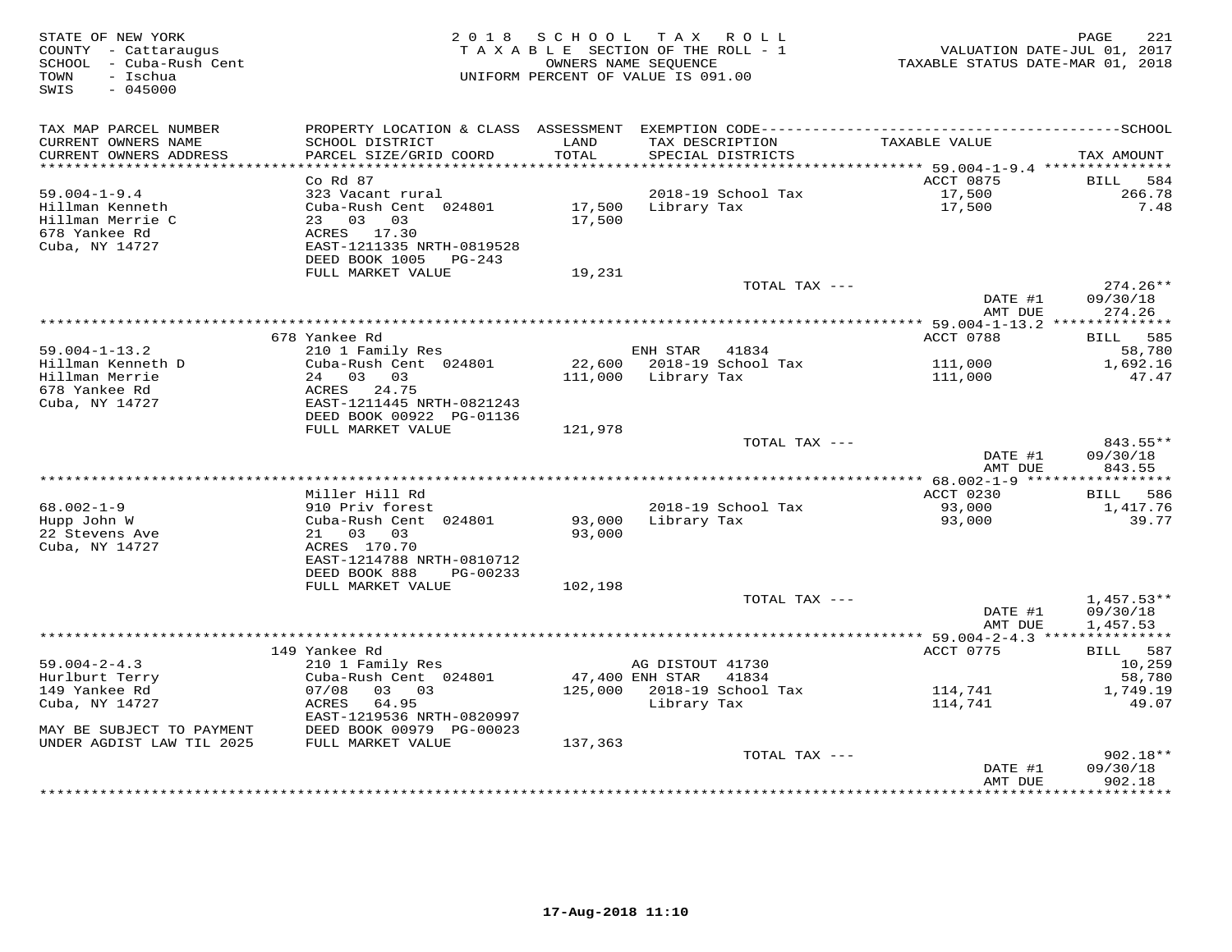| STATE OF NEW YORK<br>COUNTY - Cattaraugus<br>SCHOOL - Cuba-Rush Cent<br>- Ischua<br>TOWN<br>SWIS<br>$-045000$ | 2 0 1 8                                   | SCHOOL        | T A X<br>R O L L<br>TAXABLE SECTION OF THE ROLL - 1<br>OWNERS NAME SEOUENCE<br>UNIFORM PERCENT OF VALUE IS 091.00 | VALUATION DATE-JUL 01, 2017<br>TAXABLE STATUS DATE-MAR 01, 2018 | PAGE<br>221           |
|---------------------------------------------------------------------------------------------------------------|-------------------------------------------|---------------|-------------------------------------------------------------------------------------------------------------------|-----------------------------------------------------------------|-----------------------|
| TAX MAP PARCEL NUMBER                                                                                         |                                           |               |                                                                                                                   |                                                                 |                       |
| CURRENT OWNERS NAME<br>CURRENT OWNERS ADDRESS                                                                 | SCHOOL DISTRICT<br>PARCEL SIZE/GRID COORD | LAND<br>TOTAL | TAX DESCRIPTION<br>SPECIAL DISTRICTS                                                                              | TAXABLE VALUE                                                   | TAX AMOUNT            |
| *************************                                                                                     |                                           |               |                                                                                                                   |                                                                 |                       |
| $59.004 - 1 - 9.4$                                                                                            | $Co$ $Rd$ $87$<br>323 Vacant rural        |               | 2018-19 School Tax                                                                                                | ACCT 0875<br>17,500                                             | BILL<br>584<br>266.78 |
| Hillman Kenneth                                                                                               | Cuba-Rush Cent 024801                     | 17,500        | Library Tax                                                                                                       | 17,500                                                          | 7.48                  |
| Hillman Merrie C                                                                                              | 23 03 03                                  | 17,500        |                                                                                                                   |                                                                 |                       |
| 678 Yankee Rd                                                                                                 | ACRES 17.30                               |               |                                                                                                                   |                                                                 |                       |
| Cuba, NY 14727                                                                                                | EAST-1211335 NRTH-0819528                 |               |                                                                                                                   |                                                                 |                       |
|                                                                                                               | DEED BOOK 1005<br>PG-243                  |               |                                                                                                                   |                                                                 |                       |
|                                                                                                               | FULL MARKET VALUE                         | 19,231        |                                                                                                                   |                                                                 |                       |
|                                                                                                               |                                           |               | TOTAL TAX ---                                                                                                     |                                                                 | $274.26**$            |
|                                                                                                               |                                           |               |                                                                                                                   | DATE #1                                                         | 09/30/18              |
|                                                                                                               |                                           |               |                                                                                                                   | AMT DUE                                                         | 274.26                |
|                                                                                                               | 678 Yankee Rd                             |               |                                                                                                                   | ACCT 0788                                                       | BILL<br>585           |
| $59.004 - 1 - 13.2$                                                                                           | 210 1 Family Res                          |               | ENH STAR<br>41834                                                                                                 |                                                                 | 58,780                |
| Hillman Kenneth D                                                                                             | Cuba-Rush Cent 024801                     |               | 22,600 2018-19 School Tax                                                                                         | 111,000                                                         | 1,692.16              |
| Hillman Merrie                                                                                                | 24 03 03                                  |               | 111,000 Library Tax                                                                                               | 111,000                                                         | 47.47                 |
| 678 Yankee Rd                                                                                                 | ACRES 24.75                               |               |                                                                                                                   |                                                                 |                       |
| Cuba, NY 14727                                                                                                | EAST-1211445 NRTH-0821243                 |               |                                                                                                                   |                                                                 |                       |
|                                                                                                               | DEED BOOK 00922 PG-01136                  |               |                                                                                                                   |                                                                 |                       |
|                                                                                                               | FULL MARKET VALUE                         | 121,978       |                                                                                                                   |                                                                 |                       |
|                                                                                                               |                                           |               | TOTAL TAX ---                                                                                                     |                                                                 | 843.55**              |
|                                                                                                               |                                           |               |                                                                                                                   | DATE #1                                                         | 09/30/18              |
|                                                                                                               |                                           |               |                                                                                                                   | AMT DUE                                                         | 843.55                |
|                                                                                                               | Miller Hill Rd                            |               |                                                                                                                   | ACCT 0230                                                       | 586<br>BILL           |
| $68.002 - 1 - 9$                                                                                              | 910 Priv forest                           |               | 2018-19 School Tax                                                                                                | 93,000                                                          | 1,417.76              |
| Hupp John W                                                                                                   | Cuba-Rush Cent 024801                     | 93,000        | Library Tax                                                                                                       | 93,000                                                          | 39.77                 |
| 22 Stevens Ave                                                                                                | 21 03 03                                  | 93,000        |                                                                                                                   |                                                                 |                       |
| Cuba, NY 14727                                                                                                | ACRES 170.70                              |               |                                                                                                                   |                                                                 |                       |
|                                                                                                               | EAST-1214788 NRTH-0810712                 |               |                                                                                                                   |                                                                 |                       |
|                                                                                                               | DEED BOOK 888<br>PG-00233                 |               |                                                                                                                   |                                                                 |                       |
|                                                                                                               | FULL MARKET VALUE                         | 102,198       |                                                                                                                   |                                                                 |                       |
|                                                                                                               |                                           |               | TOTAL TAX ---                                                                                                     |                                                                 | $1.457.53**$          |
|                                                                                                               |                                           |               |                                                                                                                   | DATE #1<br>AMT DUE                                              | 09/30/18<br>1,457.53  |
|                                                                                                               |                                           |               |                                                                                                                   |                                                                 |                       |
|                                                                                                               | 149 Yankee Rd                             |               |                                                                                                                   | ACCT 0775                                                       | BILL<br>587           |
| $59.004 - 2 - 4.3$                                                                                            | 210 1 Family Res                          |               | AG DISTOUT 41730                                                                                                  |                                                                 | 10,259                |
| Hurlburt Terry                                                                                                | Cuba-Rush Cent 024801                     |               | 47,400 ENH STAR<br>41834                                                                                          |                                                                 | 58,780                |
| 149 Yankee Rd                                                                                                 | 07/08<br>03 03                            | 125,000       | 2018-19 School Tax                                                                                                | 114,741                                                         | 1,749.19              |
| Cuba, NY 14727                                                                                                | 64.95<br>ACRES                            |               | Library Tax                                                                                                       | 114,741                                                         | 49.07                 |
|                                                                                                               | EAST-1219536 NRTH-0820997                 |               |                                                                                                                   |                                                                 |                       |
| MAY BE SUBJECT TO PAYMENT                                                                                     | DEED BOOK 00979 PG-00023                  |               |                                                                                                                   |                                                                 |                       |
| UNDER AGDIST LAW TIL 2025                                                                                     | FULL MARKET VALUE                         | 137,363       |                                                                                                                   |                                                                 |                       |
|                                                                                                               |                                           |               | TOTAL TAX ---                                                                                                     | DATE #1                                                         | 902.18**<br>09/30/18  |
|                                                                                                               |                                           |               |                                                                                                                   | AMT DUE                                                         | 902.18                |
|                                                                                                               |                                           |               |                                                                                                                   |                                                                 | *******               |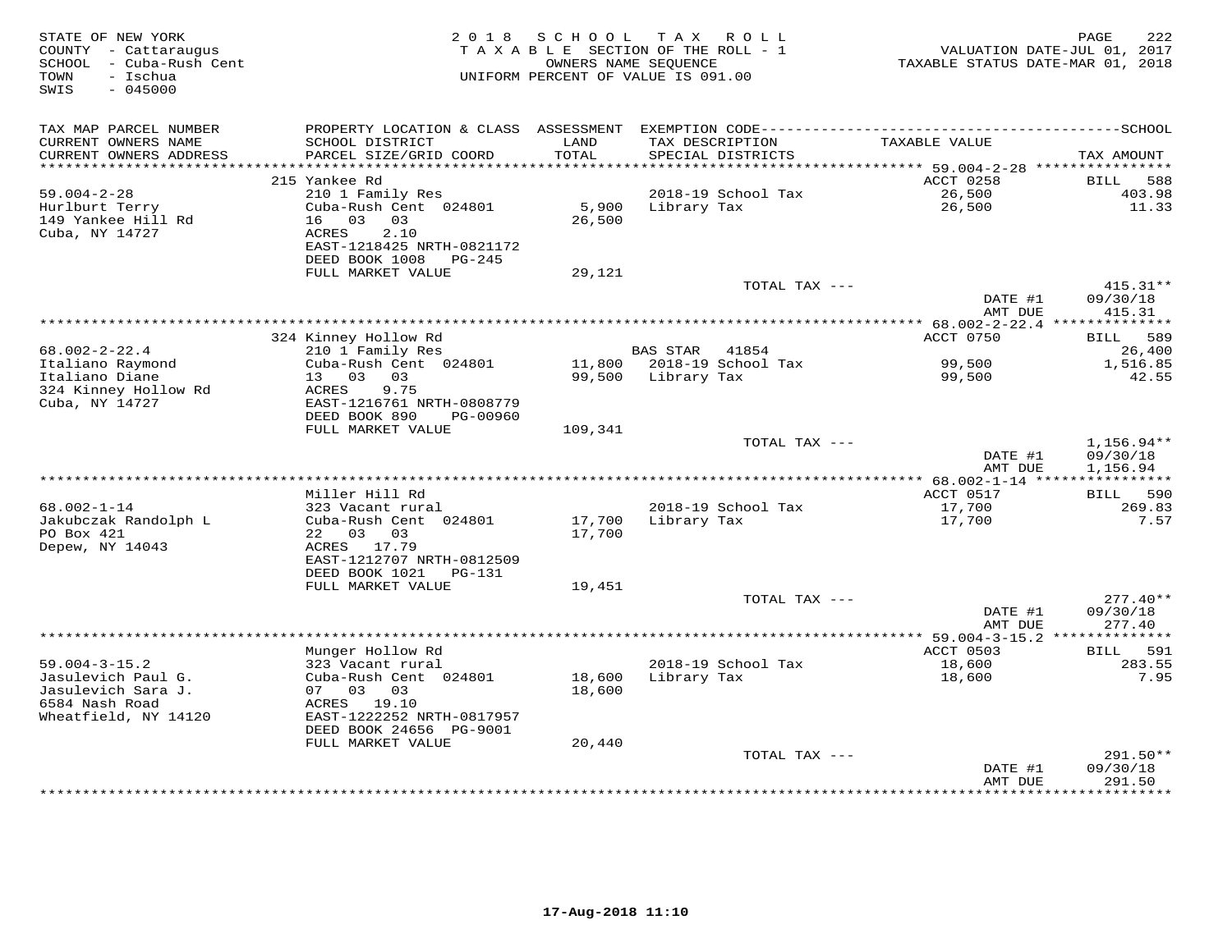| STATE OF NEW YORK<br>COUNTY - Cattaraugus<br>- Cuba-Rush Cent<br>SCHOOL<br>- Ischua<br>TOWN<br>$-045000$<br>SWIS | 2 0 1 8                                                | SCHOOL<br>OWNERS NAME SEOUENCE | TAX ROLL<br>TAXABLE SECTION OF THE ROLL - 1<br>UNIFORM PERCENT OF VALUE IS 091.00 | TAXABLE STATUS DATE-MAR 01, 2018                      | 222<br>PAGE<br>VALUATION DATE-JUL 01, 2017 |
|------------------------------------------------------------------------------------------------------------------|--------------------------------------------------------|--------------------------------|-----------------------------------------------------------------------------------|-------------------------------------------------------|--------------------------------------------|
| TAX MAP PARCEL NUMBER                                                                                            |                                                        |                                |                                                                                   |                                                       |                                            |
| CURRENT OWNERS NAME<br>CURRENT OWNERS ADDRESS                                                                    | SCHOOL DISTRICT<br>PARCEL SIZE/GRID COORD              | LAND<br>TOTAL                  | TAX DESCRIPTION<br>SPECIAL DISTRICTS                                              | TAXABLE VALUE                                         | TAX AMOUNT                                 |
|                                                                                                                  | 215 Yankee Rd                                          |                                |                                                                                   | ACCT 0258                                             | <b>BILL</b><br>588                         |
| $59.004 - 2 - 28$                                                                                                | 210 1 Family Res                                       |                                | 2018-19 School Tax                                                                | 26,500                                                | 403.98                                     |
| Hurlburt Terry                                                                                                   | Cuba-Rush Cent 024801                                  | 5,900                          | Library Tax                                                                       | 26,500                                                | 11.33                                      |
| 149 Yankee Hill Rd                                                                                               | 03<br>16<br>03                                         | 26,500                         |                                                                                   |                                                       |                                            |
| Cuba, NY 14727                                                                                                   | 2.10<br>ACRES                                          |                                |                                                                                   |                                                       |                                            |
|                                                                                                                  | EAST-1218425 NRTH-0821172                              |                                |                                                                                   |                                                       |                                            |
|                                                                                                                  | DEED BOOK 1008<br>PG-245                               |                                |                                                                                   |                                                       |                                            |
|                                                                                                                  | FULL MARKET VALUE                                      | 29,121                         |                                                                                   |                                                       |                                            |
|                                                                                                                  |                                                        |                                | TOTAL TAX ---                                                                     | DATE #1                                               | $415.31**$<br>09/30/18                     |
|                                                                                                                  |                                                        |                                |                                                                                   | AMT DUE                                               | 415.31                                     |
|                                                                                                                  |                                                        |                                | ***********************************                                               | ******* 68.002-2-22.4 **************                  |                                            |
|                                                                                                                  | 324 Kinney Hollow Rd                                   |                                |                                                                                   | ACCT 0750                                             | 589<br>BILL                                |
| $68.002 - 2 - 22.4$                                                                                              | 210 1 Family Res                                       |                                | BAS STAR<br>41854                                                                 |                                                       | 26,400                                     |
| Italiano Raymond                                                                                                 | Cuba-Rush Cent 024801                                  | 11,800                         | 2018-19 School Tax                                                                | 99,500                                                | 1,516.85                                   |
| Italiano Diane                                                                                                   | 13 03<br>03                                            | 99,500                         | Library Tax                                                                       | 99,500                                                | 42.55                                      |
| 324 Kinney Hollow Rd                                                                                             | ACRES<br>9.75                                          |                                |                                                                                   |                                                       |                                            |
| Cuba, NY 14727                                                                                                   | EAST-1216761 NRTH-0808779<br>DEED BOOK 890<br>PG-00960 |                                |                                                                                   |                                                       |                                            |
|                                                                                                                  | FULL MARKET VALUE                                      | 109,341                        |                                                                                   |                                                       |                                            |
|                                                                                                                  |                                                        |                                | TOTAL TAX ---                                                                     |                                                       | $1,156.94**$                               |
|                                                                                                                  |                                                        |                                |                                                                                   | DATE #1                                               | 09/30/18                                   |
|                                                                                                                  |                                                        |                                |                                                                                   | AMT DUE                                               | 1,156.94                                   |
|                                                                                                                  |                                                        |                                |                                                                                   |                                                       |                                            |
|                                                                                                                  | Miller Hill Rd                                         |                                |                                                                                   | ACCT 0517                                             | BILL<br>590                                |
| $68.002 - 1 - 14$                                                                                                | 323 Vacant rural                                       |                                | 2018-19 School Tax                                                                | 17,700                                                | 269.83                                     |
| Jakubczak Randolph L<br>PO Box 421                                                                               | Cuba-Rush Cent 024801<br>22 03 03                      | 17,700<br>17,700               | Library Tax                                                                       | 17,700                                                | 7.57                                       |
| Depew, NY 14043                                                                                                  | ACRES 17.79                                            |                                |                                                                                   |                                                       |                                            |
|                                                                                                                  | EAST-1212707 NRTH-0812509                              |                                |                                                                                   |                                                       |                                            |
|                                                                                                                  | DEED BOOK 1021<br><b>PG-131</b>                        |                                |                                                                                   |                                                       |                                            |
|                                                                                                                  | FULL MARKET VALUE                                      | 19,451                         |                                                                                   |                                                       |                                            |
|                                                                                                                  |                                                        |                                | TOTAL TAX ---                                                                     |                                                       | $277.40**$                                 |
|                                                                                                                  |                                                        |                                |                                                                                   | DATE #1                                               | 09/30/18                                   |
|                                                                                                                  |                                                        |                                |                                                                                   | AMT DUE                                               | 277.40                                     |
|                                                                                                                  | Munger Hollow Rd                                       |                                |                                                                                   | *********** 59.004-3-15.2 **************<br>ACCT 0503 | 591<br>BILL                                |
| $59.004 - 3 - 15.2$                                                                                              | 323 Vacant rural                                       |                                | 2018-19 School Tax                                                                | 18,600                                                | 283.55                                     |
| Jasulevich Paul G.                                                                                               | Cuba-Rush Cent 024801                                  | 18,600                         | Library Tax                                                                       | 18,600                                                | 7.95                                       |
| Jasulevich Sara J.                                                                                               | 07 03 03                                               | 18,600                         |                                                                                   |                                                       |                                            |
| 6584 Nash Road                                                                                                   | ACRES 19.10                                            |                                |                                                                                   |                                                       |                                            |
| Wheatfield, NY 14120                                                                                             | EAST-1222252 NRTH-0817957                              |                                |                                                                                   |                                                       |                                            |
|                                                                                                                  | DEED BOOK 24656 PG-9001                                |                                |                                                                                   |                                                       |                                            |
|                                                                                                                  | FULL MARKET VALUE                                      | 20,440                         |                                                                                   |                                                       |                                            |
|                                                                                                                  |                                                        |                                | TOTAL TAX ---                                                                     | DATE #1                                               | 291.50**<br>09/30/18                       |
|                                                                                                                  |                                                        |                                |                                                                                   | AMT DUE                                               | 291.50                                     |
|                                                                                                                  |                                                        |                                |                                                                                   | *********                                             | . * * * * * * * * .                        |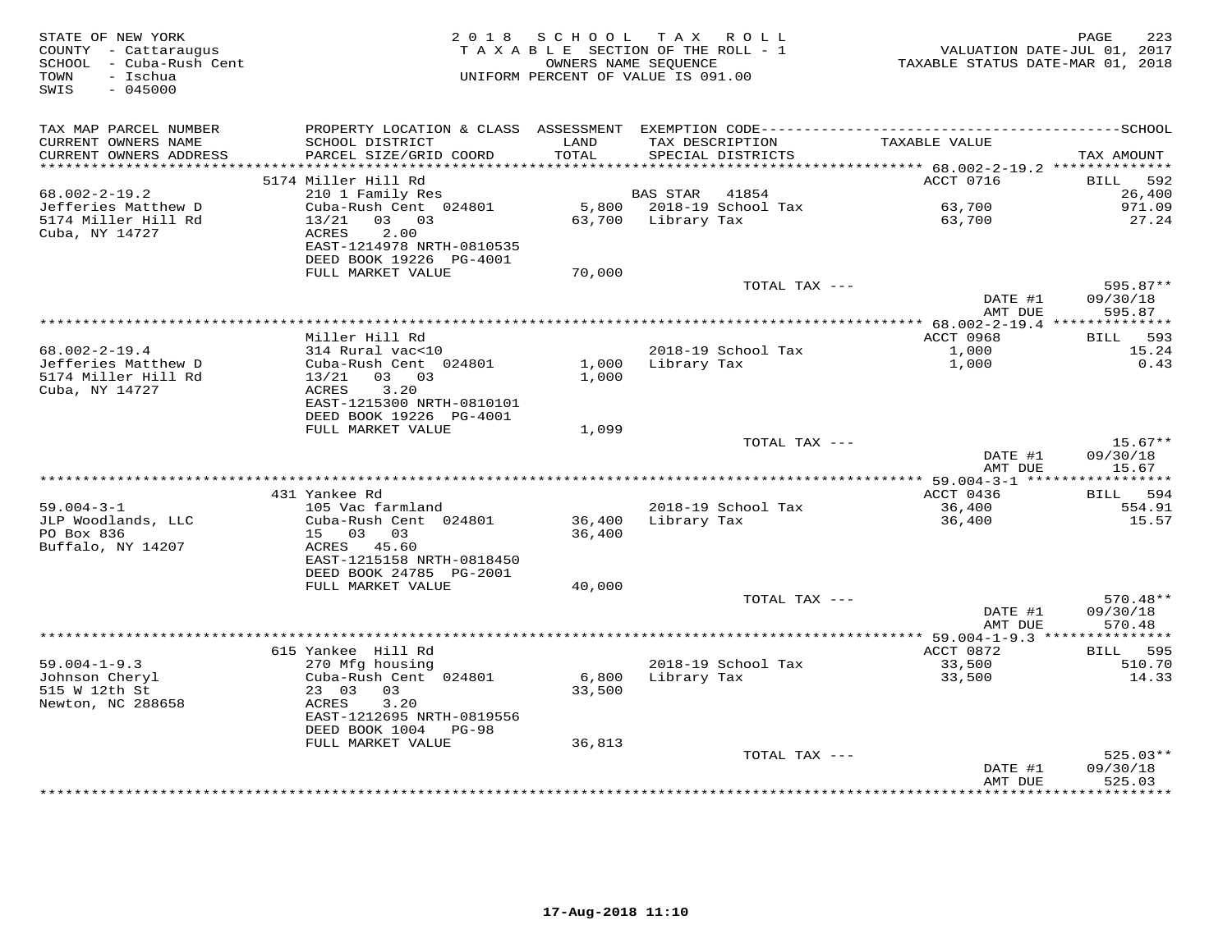| STATE OF NEW YORK<br>COUNTY - Cattaraugus<br>SCHOOL - Cuba-Rush Cent<br>- Ischua<br>TOWN<br>SWIS<br>$-045000$ |                                                                                        | 2018 SCHOOL TAX ROLL<br>TAXABLE SECTION OF THE ROLL - 1<br>OWNERS NAME SEQUENCE<br>UNIFORM PERCENT OF VALUE IS 091.00 |                    |                                      | VALUATION DATE-JUL 01, 2017<br>TAXABLE STATUS DATE-MAR 01, 2018 | PAGE<br>223                      |
|---------------------------------------------------------------------------------------------------------------|----------------------------------------------------------------------------------------|-----------------------------------------------------------------------------------------------------------------------|--------------------|--------------------------------------|-----------------------------------------------------------------|----------------------------------|
| TAX MAP PARCEL NUMBER                                                                                         |                                                                                        |                                                                                                                       |                    |                                      |                                                                 |                                  |
| CURRENT OWNERS NAME<br>CURRENT OWNERS ADDRESS                                                                 | SCHOOL DISTRICT<br>PARCEL SIZE/GRID COORD                                              | LAND<br>TOTAL                                                                                                         |                    | TAX DESCRIPTION<br>SPECIAL DISTRICTS | TAXABLE VALUE                                                   | TAX AMOUNT                       |
|                                                                                                               |                                                                                        |                                                                                                                       |                    |                                      |                                                                 |                                  |
| $68.002 - 2 - 19.2$                                                                                           | 5174 Miller Hill Rd                                                                    |                                                                                                                       | <b>BAS STAR</b>    | 41854                                | ACCT 0716                                                       | BILL 592<br>26,400               |
| Jefferies Matthew D                                                                                           | 210 1 Family Res<br>Cuba-Rush Cent 024801                                              |                                                                                                                       |                    | 5,800 2018-19 School Tax             | 63,700                                                          | 971.09                           |
| 5174 Miller Hill Rd                                                                                           | $13/21$ 03 03                                                                          |                                                                                                                       | 63,700 Library Tax |                                      | 63,700                                                          | 27.24                            |
| Cuba, NY 14727                                                                                                | 2.00<br>ACRES<br>EAST-1214978 NRTH-0810535<br>DEED BOOK 19226 PG-4001                  |                                                                                                                       |                    |                                      |                                                                 |                                  |
|                                                                                                               | FULL MARKET VALUE                                                                      | 70,000                                                                                                                |                    |                                      |                                                                 |                                  |
|                                                                                                               |                                                                                        |                                                                                                                       |                    | TOTAL TAX ---                        | DATE #1                                                         | 595.87**<br>09/30/18             |
|                                                                                                               |                                                                                        |                                                                                                                       |                    |                                      | AMT DUE                                                         | 595.87                           |
|                                                                                                               | Miller Hill Rd                                                                         |                                                                                                                       |                    |                                      | ACCT 0968                                                       |                                  |
| $68.002 - 2 - 19.4$                                                                                           | 314 Rural vac<10                                                                       |                                                                                                                       |                    | 2018-19 School Tax                   | 1,000                                                           | BILL 593<br>15.24                |
| Jefferies Matthew D                                                                                           | Cuba-Rush Cent 024801                                                                  |                                                                                                                       | 1,000 Library Tax  |                                      | 1,000                                                           | 0.43                             |
| 5174 Miller Hill Rd<br>Cuba, NY 14727                                                                         | $13/21$ 03 03<br>ACRES<br>3.20<br>EAST-1215300 NRTH-0810101<br>DEED BOOK 19226 PG-4001 | 1,000                                                                                                                 |                    |                                      |                                                                 |                                  |
|                                                                                                               | FULL MARKET VALUE                                                                      | 1,099                                                                                                                 |                    |                                      |                                                                 |                                  |
|                                                                                                               |                                                                                        |                                                                                                                       |                    | TOTAL TAX ---                        | DATE #1<br>AMT DUE                                              | $15.67**$<br>09/30/18<br>15.67   |
|                                                                                                               |                                                                                        |                                                                                                                       |                    |                                      |                                                                 |                                  |
|                                                                                                               | 431 Yankee Rd                                                                          |                                                                                                                       |                    |                                      | ACCT 0436                                                       | BILL 594                         |
| $59.004 - 3 - 1$                                                                                              | 105 Vac farmland                                                                       |                                                                                                                       |                    | 2018-19 School Tax                   | 36,400                                                          | 554.91                           |
| JLP Woodlands, LLC                                                                                            | Cuba-Rush Cent 024801                                                                  | 36,400                                                                                                                | Library Tax        |                                      | 36,400                                                          | 15.57                            |
| PO Box 836<br>Buffalo, NY 14207                                                                               | 15 03 03<br>ACRES 45.60<br>EAST-1215158 NRTH-0818450                                   | 36,400                                                                                                                |                    |                                      |                                                                 |                                  |
|                                                                                                               | DEED BOOK 24785 PG-2001                                                                |                                                                                                                       |                    |                                      |                                                                 |                                  |
|                                                                                                               | FULL MARKET VALUE                                                                      | 40,000                                                                                                                |                    | TOTAL TAX ---                        |                                                                 | $570.48**$                       |
|                                                                                                               |                                                                                        |                                                                                                                       |                    |                                      | DATE #1<br>AMT DUE                                              | 09/30/18<br>570.48               |
|                                                                                                               |                                                                                        |                                                                                                                       |                    |                                      |                                                                 |                                  |
|                                                                                                               | 615 Yankee Hill Rd                                                                     |                                                                                                                       |                    |                                      | ACCT 0872                                                       | 595<br>BILL                      |
| $59.004 - 1 - 9.3$                                                                                            | 270 Mfg housing                                                                        |                                                                                                                       |                    | 2018-19 School Tax                   | 33,500                                                          | 510.70                           |
| Johnson Cheryl                                                                                                | Cuba-Rush Cent 024801                                                                  | 6,800                                                                                                                 | Library Tax        |                                      | 33,500                                                          | 14.33                            |
| 515 W 12th St<br>Newton, NC 288658                                                                            | 23 03<br>03<br>3.20<br>ACRES<br>EAST-1212695 NRTH-0819556<br>DEED BOOK 1004 PG-98      | 33,500                                                                                                                |                    |                                      |                                                                 |                                  |
|                                                                                                               | FULL MARKET VALUE                                                                      | 36,813                                                                                                                |                    |                                      |                                                                 |                                  |
|                                                                                                               |                                                                                        |                                                                                                                       |                    | TOTAL TAX ---                        | DATE #1<br>AMT DUE                                              | $525.03**$<br>09/30/18<br>525.03 |
|                                                                                                               |                                                                                        |                                                                                                                       |                    |                                      | ****************                                                | **********                       |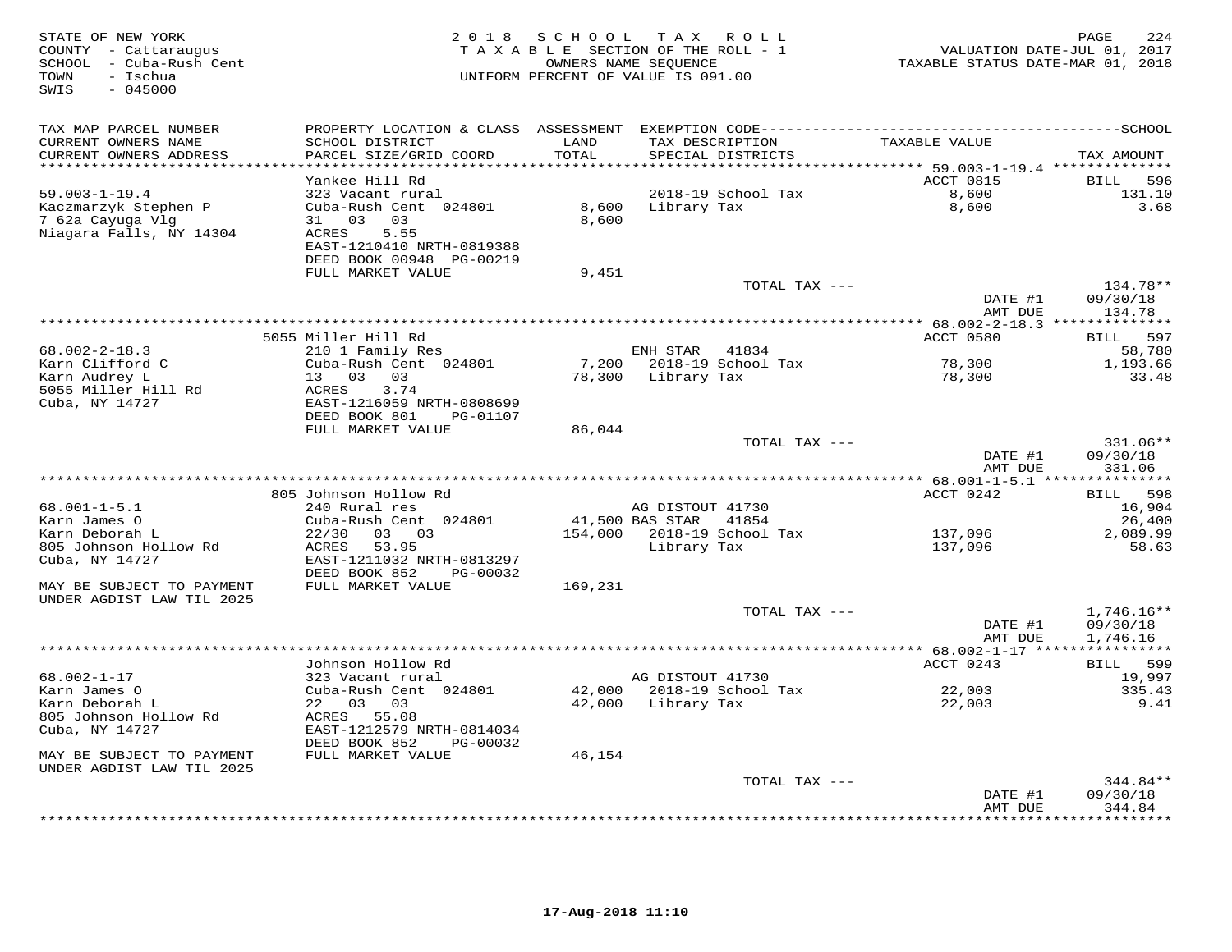| TAX MAP PARCEL NUMBER<br>CURRENT OWNERS NAME<br>SCHOOL DISTRICT<br>LAND<br>TAX DESCRIPTION<br>TAXABLE VALUE<br>PARCEL SIZE/GRID COORD<br>CURRENT OWNERS ADDRESS<br>TOTAL<br>SPECIAL DISTRICTS<br>**********************<br>************************<br>* * * * * * * * * * * * * *                                                                                    | TAX AMOUNT                                                                              |
|-----------------------------------------------------------------------------------------------------------------------------------------------------------------------------------------------------------------------------------------------------------------------------------------------------------------------------------------------------------------------|-----------------------------------------------------------------------------------------|
| ****************************** 59.003-1-19.4 **************<br>Yankee Hill Rd<br>$59.003 - 1 - 19.4$<br>323 Vacant rural<br>2018-19 School Tax<br>Cuba-Rush Cent 024801<br>Kaczmarzyk Stephen P<br>8,600<br>Library Tax<br>7 62a Cayuga Vlg<br>31 03 03<br>8,600<br>Niagara Falls, NY 14304<br>ACRES<br>5.55<br>EAST-1210410 NRTH-0819388<br>DEED BOOK 00948 PG-00219 | ACCT 0815<br>BILL<br>596<br>8,600<br>131.10<br>3.68<br>8,600                            |
| 9,451<br>FULL MARKET VALUE<br>TOTAL TAX ---                                                                                                                                                                                                                                                                                                                           | 134.78**<br>DATE #1<br>09/30/18                                                         |
|                                                                                                                                                                                                                                                                                                                                                                       | AMT DUE<br>134.78                                                                       |
| 5055 Miller Hill Rd                                                                                                                                                                                                                                                                                                                                                   | ACCT 0580<br>597<br>BILL                                                                |
| $68.002 - 2 - 18.3$<br>210 1 Family Res<br>ENH STAR<br>41834<br>7,200<br>2018-19 School Tax<br>Karn Clifford C<br>Cuba-Rush Cent 024801<br>Karn Audrey L<br>13 03 03<br>Library Tax<br>78,300<br>5055 Miller Hill Rd<br>ACRES<br>3.74<br>Cuba, NY 14727<br>EAST-1216059 NRTH-0808699<br>DEED BOOK 801<br>PG-01107                                                     | 58,780<br>78,300<br>1,193.66<br>33.48<br>78,300                                         |
| FULL MARKET VALUE<br>86,044<br>TOTAL TAX ---                                                                                                                                                                                                                                                                                                                          | 331.06**<br>09/30/18<br>DATE #1<br>331.06<br>AMT DUE                                    |
| ************ 68.001-1-5.1 ****                                                                                                                                                                                                                                                                                                                                        | **********                                                                              |
| 805 Johnson Hollow Rd<br>$68.001 - 1 - 5.1$<br>240 Rural res<br>AG DISTOUT 41730<br>Karn James O<br>Cuba-Rush Cent 024801<br>41,500 BAS STAR<br>41854<br>Karn Deborah L<br>22/30<br>03 03<br>154,000<br>2018-19 School Tax<br>Library Tax<br>805 Johnson Hollow Rd<br>ACRES<br>53.95<br>Cuba, NY 14727<br>EAST-1211032 NRTH-0813297<br>DEED BOOK 852<br>PG-00032      | ACCT 0242<br>598<br>BILL<br>16,904<br>26,400<br>137,096<br>2,089.99<br>137,096<br>58.63 |
| MAY BE SUBJECT TO PAYMENT<br>FULL MARKET VALUE<br>169,231<br>UNDER AGDIST LAW TIL 2025                                                                                                                                                                                                                                                                                |                                                                                         |
| TOTAL TAX ---                                                                                                                                                                                                                                                                                                                                                         | $1,746.16**$<br>DATE #1<br>09/30/18<br>AMT DUE<br>1,746.16                              |
| ********** 68.002-1-17 ****<br>Johnson Hollow Rd                                                                                                                                                                                                                                                                                                                      | * * * * * * * * * * *<br>ACCT 0243<br>599                                               |
| $68.002 - 1 - 17$<br>323 Vacant rural<br>AG DISTOUT 41730<br>42,000 2018-19 School Tax<br>Karn James O<br>Cuba-Rush Cent 024801<br>42,000 Library Tax<br>Karn Deborah L<br>22 03 03<br>805 Johnson Hollow Rd<br>ACRES 55.08<br>Cuba, NY 14727<br>EAST-1212579 NRTH-0814034<br>DEED BOOK 852<br>PG-00032                                                               | <b>BILL</b><br>19,997<br>22,003<br>335.43<br>22,003<br>9.41                             |
| MAY BE SUBJECT TO PAYMENT<br>FULL MARKET VALUE<br>46,154<br>UNDER AGDIST LAW TIL 2025                                                                                                                                                                                                                                                                                 |                                                                                         |
| TOTAL TAX ---                                                                                                                                                                                                                                                                                                                                                         | 344.84**<br>09/30/18<br>DATE #1<br>344.84<br>AMT DUE<br>* * * * * * * *                 |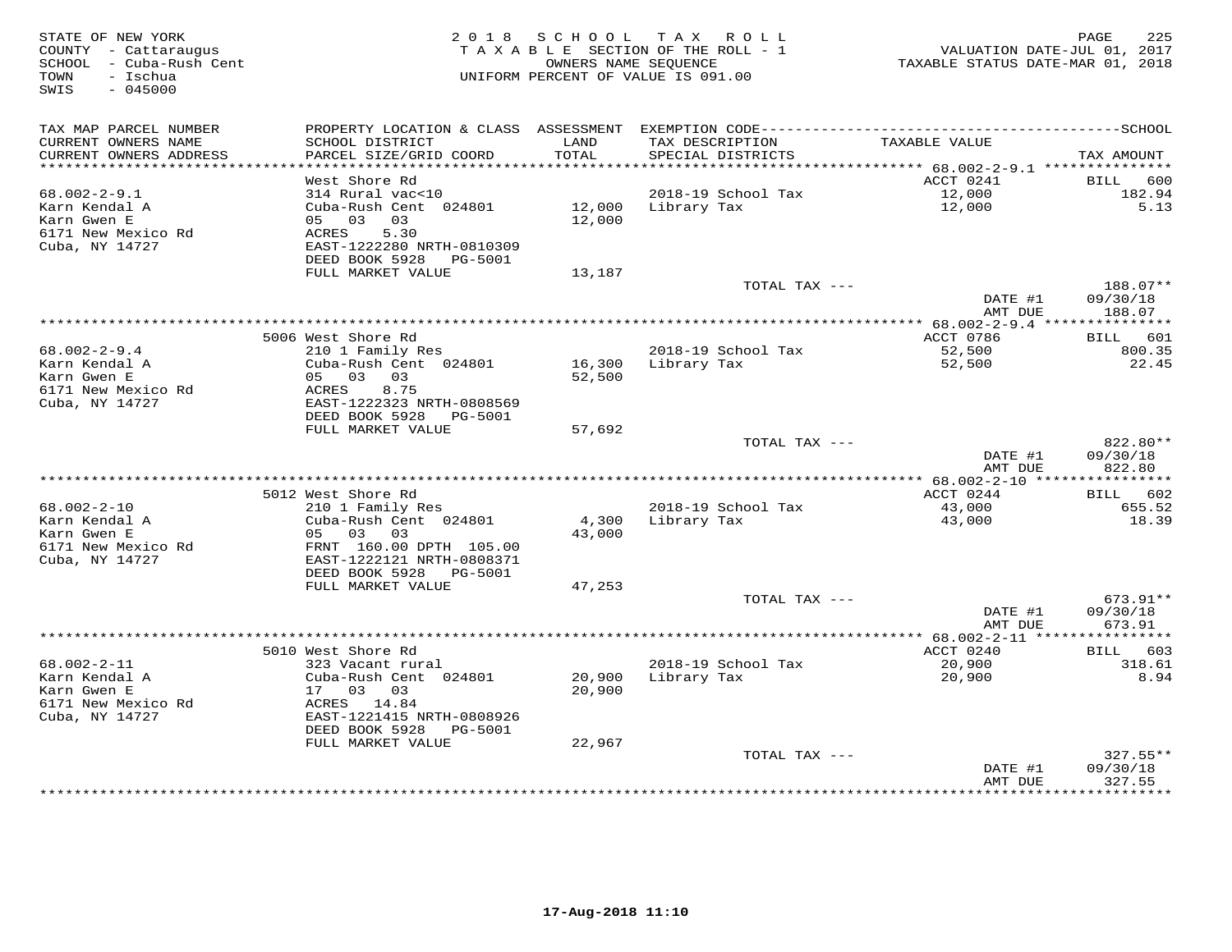| TAX MAP PARCEL NUMBER<br>TAXABLE VALUE<br>CURRENT OWNERS NAME<br>SCHOOL DISTRICT<br>LAND<br>TAX DESCRIPTION<br>CURRENT OWNERS ADDRESS<br>PARCEL SIZE/GRID COORD<br>TOTAL<br>SPECIAL DISTRICTS<br>ACCT 0241<br>West Shore Rd<br>BILL<br>2018-19 School Tax<br>$68.002 - 2 - 9.1$<br>314 Rural vac<10<br>12,000<br>12,000<br>Karn Kendal A<br>Cuba-Rush Cent 024801<br>12,000<br>Library Tax<br>Karn Gwen E<br>05 03 03<br>12,000<br>6171 New Mexico Rd<br>5.30<br>ACRES<br>Cuba, NY 14727<br>EAST-1222280 NRTH-0810309<br>DEED BOOK 5928<br>PG-5001<br>FULL MARKET VALUE<br>13,187<br>TOTAL TAX ---<br>DATE #1<br>AMT DUE<br>ACCT 0786<br>5006 West Shore Rd<br>$68.002 - 2 - 9.4$<br>210 1 Family Res<br>2018-19 School Tax<br>52,500<br>Karn Kendal A<br>Cuba-Rush Cent 024801<br>16,300 Library Tax<br>52,500<br>05 03 03<br>Karn Gwen E<br>52,500<br>6171 New Mexico Rd<br>ACRES<br>8.75<br>Cuba, NY 14727<br>EAST-1222323 NRTH-0808569 | 225<br>VALUATION DATE-JUL 01, 2017<br>TAXABLE STATUS DATE-MAR 01, 2018 |
|--------------------------------------------------------------------------------------------------------------------------------------------------------------------------------------------------------------------------------------------------------------------------------------------------------------------------------------------------------------------------------------------------------------------------------------------------------------------------------------------------------------------------------------------------------------------------------------------------------------------------------------------------------------------------------------------------------------------------------------------------------------------------------------------------------------------------------------------------------------------------------------------------------------------------------------------|------------------------------------------------------------------------|
|                                                                                                                                                                                                                                                                                                                                                                                                                                                                                                                                                                                                                                                                                                                                                                                                                                                                                                                                            |                                                                        |
|                                                                                                                                                                                                                                                                                                                                                                                                                                                                                                                                                                                                                                                                                                                                                                                                                                                                                                                                            | TAX AMOUNT                                                             |
|                                                                                                                                                                                                                                                                                                                                                                                                                                                                                                                                                                                                                                                                                                                                                                                                                                                                                                                                            | 600                                                                    |
|                                                                                                                                                                                                                                                                                                                                                                                                                                                                                                                                                                                                                                                                                                                                                                                                                                                                                                                                            | 182.94                                                                 |
|                                                                                                                                                                                                                                                                                                                                                                                                                                                                                                                                                                                                                                                                                                                                                                                                                                                                                                                                            | 5.13                                                                   |
|                                                                                                                                                                                                                                                                                                                                                                                                                                                                                                                                                                                                                                                                                                                                                                                                                                                                                                                                            |                                                                        |
|                                                                                                                                                                                                                                                                                                                                                                                                                                                                                                                                                                                                                                                                                                                                                                                                                                                                                                                                            |                                                                        |
|                                                                                                                                                                                                                                                                                                                                                                                                                                                                                                                                                                                                                                                                                                                                                                                                                                                                                                                                            |                                                                        |
|                                                                                                                                                                                                                                                                                                                                                                                                                                                                                                                                                                                                                                                                                                                                                                                                                                                                                                                                            |                                                                        |
|                                                                                                                                                                                                                                                                                                                                                                                                                                                                                                                                                                                                                                                                                                                                                                                                                                                                                                                                            | 188.07**                                                               |
|                                                                                                                                                                                                                                                                                                                                                                                                                                                                                                                                                                                                                                                                                                                                                                                                                                                                                                                                            | 09/30/18<br>188.07                                                     |
|                                                                                                                                                                                                                                                                                                                                                                                                                                                                                                                                                                                                                                                                                                                                                                                                                                                                                                                                            |                                                                        |
|                                                                                                                                                                                                                                                                                                                                                                                                                                                                                                                                                                                                                                                                                                                                                                                                                                                                                                                                            | BILL 601<br>800.35                                                     |
|                                                                                                                                                                                                                                                                                                                                                                                                                                                                                                                                                                                                                                                                                                                                                                                                                                                                                                                                            | 22.45                                                                  |
|                                                                                                                                                                                                                                                                                                                                                                                                                                                                                                                                                                                                                                                                                                                                                                                                                                                                                                                                            |                                                                        |
|                                                                                                                                                                                                                                                                                                                                                                                                                                                                                                                                                                                                                                                                                                                                                                                                                                                                                                                                            |                                                                        |
|                                                                                                                                                                                                                                                                                                                                                                                                                                                                                                                                                                                                                                                                                                                                                                                                                                                                                                                                            |                                                                        |
| DEED BOOK 5928<br>PG-5001                                                                                                                                                                                                                                                                                                                                                                                                                                                                                                                                                                                                                                                                                                                                                                                                                                                                                                                  |                                                                        |
| FULL MARKET VALUE<br>57,692<br>TOTAL TAX ---                                                                                                                                                                                                                                                                                                                                                                                                                                                                                                                                                                                                                                                                                                                                                                                                                                                                                               | 822.80**                                                               |
| DATE #1                                                                                                                                                                                                                                                                                                                                                                                                                                                                                                                                                                                                                                                                                                                                                                                                                                                                                                                                    | 09/30/18                                                               |
| AMT DUE                                                                                                                                                                                                                                                                                                                                                                                                                                                                                                                                                                                                                                                                                                                                                                                                                                                                                                                                    | 822.80                                                                 |
|                                                                                                                                                                                                                                                                                                                                                                                                                                                                                                                                                                                                                                                                                                                                                                                                                                                                                                                                            |                                                                        |
| 5012 West Shore Rd<br>ACCT 0244                                                                                                                                                                                                                                                                                                                                                                                                                                                                                                                                                                                                                                                                                                                                                                                                                                                                                                            | BILL 602                                                               |
| $68.002 - 2 - 10$<br>210 1 Family Res<br>2018-19 School Tax<br>43,000<br>Karn Kendal A<br>Cuba-Rush Cent 024801<br>4,300<br>Library Tax<br>43,000                                                                                                                                                                                                                                                                                                                                                                                                                                                                                                                                                                                                                                                                                                                                                                                          | 655.52<br>18.39                                                        |
| Karn Gwen E<br>05 03<br>03<br>43,000                                                                                                                                                                                                                                                                                                                                                                                                                                                                                                                                                                                                                                                                                                                                                                                                                                                                                                       |                                                                        |
| FRNT 160.00 DPTH 105.00<br>6171 New Mexico Rd                                                                                                                                                                                                                                                                                                                                                                                                                                                                                                                                                                                                                                                                                                                                                                                                                                                                                              |                                                                        |
| Cuba, NY 14727<br>EAST-1222121 NRTH-0808371                                                                                                                                                                                                                                                                                                                                                                                                                                                                                                                                                                                                                                                                                                                                                                                                                                                                                                |                                                                        |
| DEED BOOK 5928<br>PG-5001                                                                                                                                                                                                                                                                                                                                                                                                                                                                                                                                                                                                                                                                                                                                                                                                                                                                                                                  |                                                                        |
| FULL MARKET VALUE<br>47,253                                                                                                                                                                                                                                                                                                                                                                                                                                                                                                                                                                                                                                                                                                                                                                                                                                                                                                                |                                                                        |
| TOTAL TAX ---<br>DATE #1                                                                                                                                                                                                                                                                                                                                                                                                                                                                                                                                                                                                                                                                                                                                                                                                                                                                                                                   | $673.91**$<br>09/30/18                                                 |
| AMT DUE                                                                                                                                                                                                                                                                                                                                                                                                                                                                                                                                                                                                                                                                                                                                                                                                                                                                                                                                    | 673.91                                                                 |
|                                                                                                                                                                                                                                                                                                                                                                                                                                                                                                                                                                                                                                                                                                                                                                                                                                                                                                                                            |                                                                        |
| 5010 West Shore Rd<br>ACCT 0240<br>BILL                                                                                                                                                                                                                                                                                                                                                                                                                                                                                                                                                                                                                                                                                                                                                                                                                                                                                                    | 603                                                                    |
| $68.002 - 2 - 11$<br>2018-19 School Tax<br>20,900<br>323 Vacant rural                                                                                                                                                                                                                                                                                                                                                                                                                                                                                                                                                                                                                                                                                                                                                                                                                                                                      | 318.61                                                                 |
| Karn Kendal A<br>20,900<br>Cuba-Rush Cent 024801<br>Library Tax<br>20,900<br>Karn Gwen E<br>17 03 03<br>20,900                                                                                                                                                                                                                                                                                                                                                                                                                                                                                                                                                                                                                                                                                                                                                                                                                             | 8.94                                                                   |
| 6171 New Mexico Rd<br>ACRES 14.84                                                                                                                                                                                                                                                                                                                                                                                                                                                                                                                                                                                                                                                                                                                                                                                                                                                                                                          |                                                                        |
| Cuba, NY 14727<br>EAST-1221415 NRTH-0808926                                                                                                                                                                                                                                                                                                                                                                                                                                                                                                                                                                                                                                                                                                                                                                                                                                                                                                |                                                                        |
| DEED BOOK 5928<br>PG-5001                                                                                                                                                                                                                                                                                                                                                                                                                                                                                                                                                                                                                                                                                                                                                                                                                                                                                                                  |                                                                        |
| 22,967<br>FULL MARKET VALUE                                                                                                                                                                                                                                                                                                                                                                                                                                                                                                                                                                                                                                                                                                                                                                                                                                                                                                                |                                                                        |
| TOTAL TAX ---                                                                                                                                                                                                                                                                                                                                                                                                                                                                                                                                                                                                                                                                                                                                                                                                                                                                                                                              | $327.55**$                                                             |
| DATE #1<br>AMT DUE<br>***************<br>**********                                                                                                                                                                                                                                                                                                                                                                                                                                                                                                                                                                                                                                                                                                                                                                                                                                                                                        | 09/30/18<br>327.55                                                     |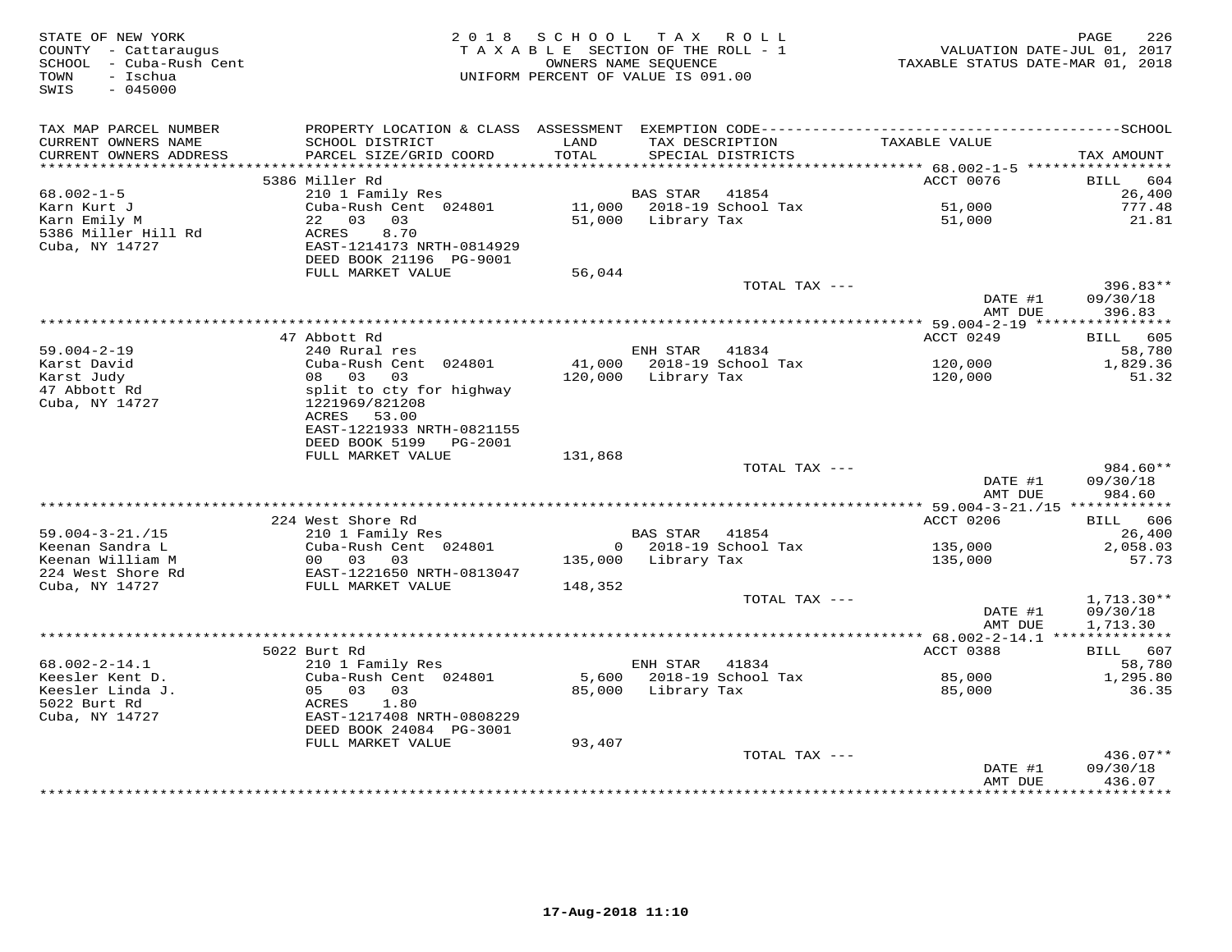| STATE OF NEW YORK<br>COUNTY - Cattaraugus<br>SCHOOL - Cuba-Rush Cent<br>- Ischua<br>TOWN<br>$-045000$<br>SWIS |                                                      | 2018 SCHOOL TAX ROLL<br>TAXABLE SECTION OF THE ROLL - 1<br>OWNERS NAME SEQUENCE<br>UNIFORM PERCENT OF VALUE IS 091.00 |                     |                                      | VALUATION DATE-JUL 01, 2017<br>TAXABLE STATUS DATE-MAR 01, 2018 | PAGE<br>226        |
|---------------------------------------------------------------------------------------------------------------|------------------------------------------------------|-----------------------------------------------------------------------------------------------------------------------|---------------------|--------------------------------------|-----------------------------------------------------------------|--------------------|
| TAX MAP PARCEL NUMBER                                                                                         |                                                      |                                                                                                                       |                     |                                      |                                                                 |                    |
| CURRENT OWNERS NAME<br>CURRENT OWNERS ADDRESS                                                                 | SCHOOL DISTRICT<br>PARCEL SIZE/GRID COORD            | LAND<br>TOTAL                                                                                                         |                     | TAX DESCRIPTION<br>SPECIAL DISTRICTS | TAXABLE VALUE                                                   | TAX AMOUNT         |
|                                                                                                               |                                                      |                                                                                                                       |                     |                                      |                                                                 |                    |
|                                                                                                               | 5386 Miller Rd                                       |                                                                                                                       |                     |                                      | ACCT 0076                                                       | BILL 604           |
| $68.002 - 1 - 5$                                                                                              | 210 1 Family Res                                     |                                                                                                                       | <b>BAS STAR</b>     | 41854                                |                                                                 | 26,400             |
| Karn Kurt J                                                                                                   | Cuba-Rush Cent 024801                                |                                                                                                                       |                     | 11,000 2018-19 School Tax            | 51,000                                                          | 777.48             |
| Karn Emily M                                                                                                  | 22 03 03                                             |                                                                                                                       | 51,000 Library Tax  |                                      | 51,000                                                          | 21.81              |
| 5386 Miller Hill Rd                                                                                           | ACRES<br>8.70                                        |                                                                                                                       |                     |                                      |                                                                 |                    |
| Cuba, NY 14727                                                                                                | EAST-1214173 NRTH-0814929<br>DEED BOOK 21196 PG-9001 |                                                                                                                       |                     |                                      |                                                                 |                    |
|                                                                                                               | FULL MARKET VALUE                                    | 56,044                                                                                                                |                     |                                      |                                                                 |                    |
|                                                                                                               |                                                      |                                                                                                                       |                     | TOTAL TAX ---                        |                                                                 | $396.83**$         |
|                                                                                                               |                                                      |                                                                                                                       |                     |                                      | DATE #1                                                         | 09/30/18           |
|                                                                                                               |                                                      |                                                                                                                       |                     |                                      | AMT DUE                                                         | 396.83             |
|                                                                                                               |                                                      |                                                                                                                       |                     |                                      |                                                                 |                    |
|                                                                                                               | 47 Abbott Rd                                         |                                                                                                                       |                     |                                      | ACCT 0249                                                       | BILL 605           |
| $59.004 - 2 - 19$<br>Karst David                                                                              | 240 Rural res<br>Cuba-Rush Cent 024801               |                                                                                                                       | ENH STAR            | 41834<br>41,000 2018-19 School Tax   | 120,000                                                         | 58,780<br>1,829.36 |
| Karst Judy                                                                                                    | 08 03 03                                             |                                                                                                                       | 120,000 Library Tax |                                      | 120,000                                                         | 51.32              |
| 47 Abbott Rd                                                                                                  | split to cty for highway                             |                                                                                                                       |                     |                                      |                                                                 |                    |
| Cuba, NY 14727                                                                                                | 1221969/821208                                       |                                                                                                                       |                     |                                      |                                                                 |                    |
|                                                                                                               | ACRES 53.00                                          |                                                                                                                       |                     |                                      |                                                                 |                    |
|                                                                                                               | EAST-1221933 NRTH-0821155                            |                                                                                                                       |                     |                                      |                                                                 |                    |
|                                                                                                               | DEED BOOK 5199 PG-2001                               |                                                                                                                       |                     |                                      |                                                                 |                    |
|                                                                                                               | FULL MARKET VALUE                                    | 131,868                                                                                                               |                     | TOTAL TAX ---                        |                                                                 | $984.60**$         |
|                                                                                                               |                                                      |                                                                                                                       |                     |                                      | DATE #1                                                         | 09/30/18           |
|                                                                                                               |                                                      |                                                                                                                       |                     |                                      | AMT DUE                                                         | 984.60             |
|                                                                                                               |                                                      |                                                                                                                       |                     |                                      |                                                                 |                    |
|                                                                                                               | 224 West Shore Rd                                    |                                                                                                                       |                     |                                      | ACCT 0206                                                       | BILL 606           |
| $59.004 - 3 - 21. / 15$                                                                                       | 210 1 Family Res                                     |                                                                                                                       | BAS STAR 41854      |                                      |                                                                 | 26,400             |
| Keenan Sandra L                                                                                               | Cuba-Rush Cent 024801                                |                                                                                                                       |                     | $0$ 2018-19 School Tax               | 135,000                                                         | 2,058.03           |
| Keenan William M<br>224 West Shore Rd                                                                         | 00 03 03<br>EAST-1221650 NRTH-0813047                |                                                                                                                       | 135,000 Library Tax |                                      | 135,000                                                         | 57.73              |
| Cuba, NY 14727                                                                                                | FULL MARKET VALUE                                    | 148,352                                                                                                               |                     |                                      |                                                                 |                    |
|                                                                                                               |                                                      |                                                                                                                       |                     | TOTAL TAX ---                        |                                                                 | $1,713.30**$       |
|                                                                                                               |                                                      |                                                                                                                       |                     |                                      | DATE #1                                                         | 09/30/18           |
|                                                                                                               |                                                      |                                                                                                                       |                     |                                      | AMT DUE                                                         | 1,713.30           |
|                                                                                                               |                                                      |                                                                                                                       |                     |                                      |                                                                 |                    |
|                                                                                                               | 5022 Burt Rd                                         |                                                                                                                       |                     |                                      | ACCT 0388                                                       | BILL 607           |
| $68.002 - 2 - 14.1$<br>Keesler Kent D.                                                                        | 210 1 Family Res<br>Cuba-Rush Cent 024801            | 5,600                                                                                                                 | ENH STAR 41834      | 2018-19 School Tax                   | 85,000                                                          | 58,780<br>1,295.80 |
| Keesler Linda J.                                                                                              | 05 03 03                                             |                                                                                                                       | 85,000 Library Tax  |                                      | 85,000                                                          | 36.35              |
| 5022 Burt Rd                                                                                                  | ACRES<br>1.80                                        |                                                                                                                       |                     |                                      |                                                                 |                    |
| Cuba, NY 14727                                                                                                | EAST-1217408 NRTH-0808229                            |                                                                                                                       |                     |                                      |                                                                 |                    |
|                                                                                                               | DEED BOOK 24084 PG-3001                              |                                                                                                                       |                     |                                      |                                                                 |                    |
|                                                                                                               | FULL MARKET VALUE                                    | 93,407                                                                                                                |                     |                                      |                                                                 |                    |
|                                                                                                               |                                                      |                                                                                                                       |                     | TOTAL TAX ---                        |                                                                 | 436.07**           |
|                                                                                                               |                                                      |                                                                                                                       |                     |                                      | DATE #1<br>AMT DUE                                              | 09/30/18<br>436.07 |
|                                                                                                               |                                                      |                                                                                                                       |                     |                                      | ***************                                                 | **********         |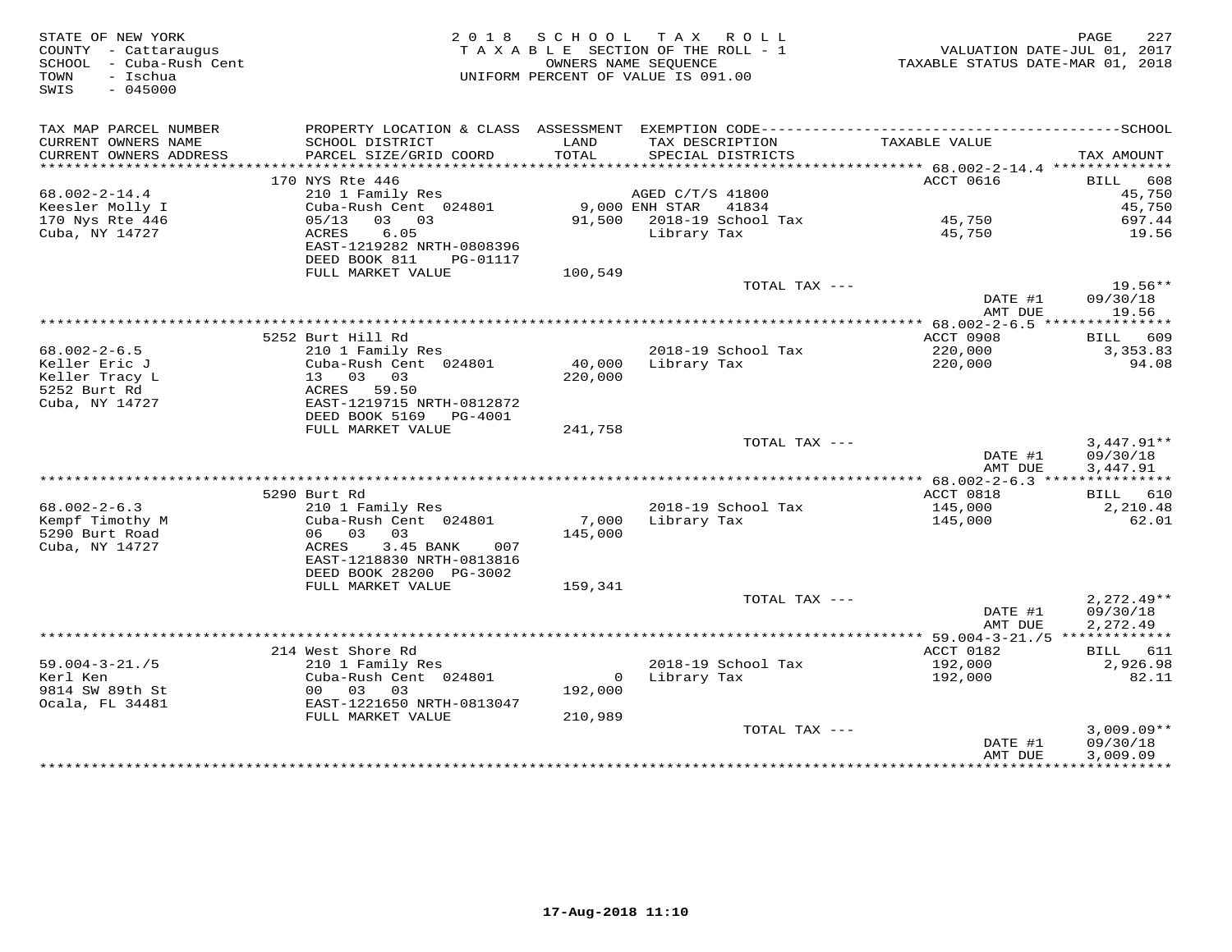| STATE OF NEW YORK<br>COUNTY - Cattaraugus<br>SCHOOL - Cuba-Rush Cent<br>- Ischua<br>TOWN<br>$-045000$<br>SWIS |                                                                          | 2018 SCHOOL<br>OWNERS NAME SEQUENCE | TAX ROLL<br>TAXABLE SECTION OF THE ROLL - 1<br>UNIFORM PERCENT OF VALUE IS 091.00 |                                                            | 227<br>PAGE<br>VALUATION DATE-JUL 01, 2017<br>TAXABLE STATUS DATE-MAR 01, 2018 |
|---------------------------------------------------------------------------------------------------------------|--------------------------------------------------------------------------|-------------------------------------|-----------------------------------------------------------------------------------|------------------------------------------------------------|--------------------------------------------------------------------------------|
| TAX MAP PARCEL NUMBER                                                                                         | PROPERTY LOCATION & CLASS ASSESSMENT EXEMPTION CODE--------------------- |                                     |                                                                                   |                                                            | ----------------SCHOOL                                                         |
| CURRENT OWNERS NAME<br>CURRENT OWNERS ADDRESS                                                                 | SCHOOL DISTRICT<br>PARCEL SIZE/GRID COORD                                | LAND<br>TOTAL                       | TAX DESCRIPTION<br>SPECIAL DISTRICTS                                              | TAXABLE VALUE                                              | TAX AMOUNT                                                                     |
|                                                                                                               |                                                                          |                                     |                                                                                   |                                                            |                                                                                |
|                                                                                                               | 170 NYS Rte 446                                                          |                                     |                                                                                   | ACCT 0616                                                  | 608<br>BILL                                                                    |
| $68.002 - 2 - 14.4$                                                                                           | 210 1 Family Res                                                         |                                     | AGED C/T/S 41800                                                                  |                                                            | 45,750                                                                         |
| Keesler Molly I                                                                                               | Cuba-Rush Cent 024801                                                    |                                     | 9,000 ENH STAR<br>41834                                                           |                                                            | 45,750                                                                         |
| 170 Nys Rte 446                                                                                               | 03 03<br>05/13                                                           | 91,500                              | 2018-19 School Tax                                                                | 45,750                                                     | 697.44                                                                         |
| Cuba, NY 14727                                                                                                | ACRES<br>6.05<br>EAST-1219282 NRTH-0808396<br>DEED BOOK 811<br>PG-01117  |                                     | Library Tax                                                                       | 45,750                                                     | 19.56                                                                          |
|                                                                                                               | FULL MARKET VALUE                                                        | 100,549                             |                                                                                   |                                                            |                                                                                |
|                                                                                                               |                                                                          |                                     | TOTAL TAX ---                                                                     | DATE #1<br>AMT DUE                                         | $19.56**$<br>09/30/18<br>19.56                                                 |
|                                                                                                               |                                                                          |                                     |                                                                                   |                                                            |                                                                                |
|                                                                                                               | 5252 Burt Hill Rd                                                        |                                     |                                                                                   | ACCT 0908                                                  | 609<br>BILL                                                                    |
| $68.002 - 2 - 6.5$                                                                                            | 210 1 Family Res                                                         |                                     | 2018-19 School Tax                                                                | 220,000                                                    | 3, 353.83                                                                      |
| Keller Eric J                                                                                                 | Cuba-Rush Cent 024801                                                    | 40,000                              | Library Tax                                                                       | 220,000                                                    | 94.08                                                                          |
| Keller Tracy L                                                                                                | 13 03 03                                                                 | 220,000                             |                                                                                   |                                                            |                                                                                |
| 5252 Burt Rd                                                                                                  | ACRES 59.50                                                              |                                     |                                                                                   |                                                            |                                                                                |
| Cuba, NY 14727                                                                                                | EAST-1219715 NRTH-0812872<br>DEED BOOK 5169<br>PG-4001                   |                                     |                                                                                   |                                                            |                                                                                |
|                                                                                                               | FULL MARKET VALUE                                                        | 241,758                             |                                                                                   |                                                            |                                                                                |
|                                                                                                               |                                                                          |                                     | TOTAL TAX ---                                                                     |                                                            | $3,447.91**$                                                                   |
|                                                                                                               |                                                                          |                                     |                                                                                   | DATE #1                                                    | 09/30/18                                                                       |
|                                                                                                               |                                                                          |                                     |                                                                                   | AMT DUE                                                    | 3,447.91                                                                       |
|                                                                                                               |                                                                          |                                     |                                                                                   |                                                            |                                                                                |
|                                                                                                               | 5290 Burt Rd                                                             |                                     |                                                                                   | ACCT 0818                                                  | BILL 610                                                                       |
| $68.002 - 2 - 6.3$<br>Kempf Timothy M                                                                         | 210 1 Family Res<br>Cuba-Rush Cent 024801                                | 7,000                               | 2018-19 School Tax<br>Library Tax                                                 | 145,000<br>145,000                                         | 2,210.48<br>62.01                                                              |
| 5290 Burt Road                                                                                                | 06 03<br>03                                                              | 145,000                             |                                                                                   |                                                            |                                                                                |
| Cuba, NY 14727                                                                                                | ACRES<br>3.45 BANK<br>007                                                |                                     |                                                                                   |                                                            |                                                                                |
|                                                                                                               | EAST-1218830 NRTH-0813816                                                |                                     |                                                                                   |                                                            |                                                                                |
|                                                                                                               | DEED BOOK 28200 PG-3002                                                  |                                     |                                                                                   |                                                            |                                                                                |
|                                                                                                               | FULL MARKET VALUE                                                        | 159,341                             |                                                                                   |                                                            |                                                                                |
|                                                                                                               |                                                                          |                                     | TOTAL TAX ---                                                                     |                                                            | $2,272.49**$                                                                   |
|                                                                                                               |                                                                          |                                     |                                                                                   | DATE #1                                                    | 09/30/18                                                                       |
|                                                                                                               |                                                                          |                                     |                                                                                   | AMT DUE<br>****************** 59.004-3-21./5 ************* | 2,272.49                                                                       |
|                                                                                                               | 214 West Shore Rd                                                        |                                     |                                                                                   | ACCT 0182                                                  | BILL 611                                                                       |
| $59.004 - 3 - 21. / 5$                                                                                        | 210 1 Family Res                                                         |                                     | 2018-19 School Tax                                                                | 192,000                                                    | 2,926.98                                                                       |
| Kerl Ken                                                                                                      | Cuba-Rush Cent 024801                                                    | $\mathbf{0}$                        | Library Tax                                                                       | 192,000                                                    | 82.11                                                                          |
| 9814 SW 89th St                                                                                               | 00 03 03                                                                 | 192,000                             |                                                                                   |                                                            |                                                                                |
| Ocala, FL 34481                                                                                               | EAST-1221650 NRTH-0813047                                                |                                     |                                                                                   |                                                            |                                                                                |
|                                                                                                               | FULL MARKET VALUE                                                        | 210,989                             |                                                                                   |                                                            |                                                                                |
|                                                                                                               |                                                                          |                                     | TOTAL TAX ---                                                                     | DATE #1                                                    | $3,009.09**$<br>09/30/18                                                       |
|                                                                                                               |                                                                          |                                     |                                                                                   | AMT DUE                                                    | 3,009.09                                                                       |
|                                                                                                               |                                                                          |                                     |                                                                                   |                                                            | ***********                                                                    |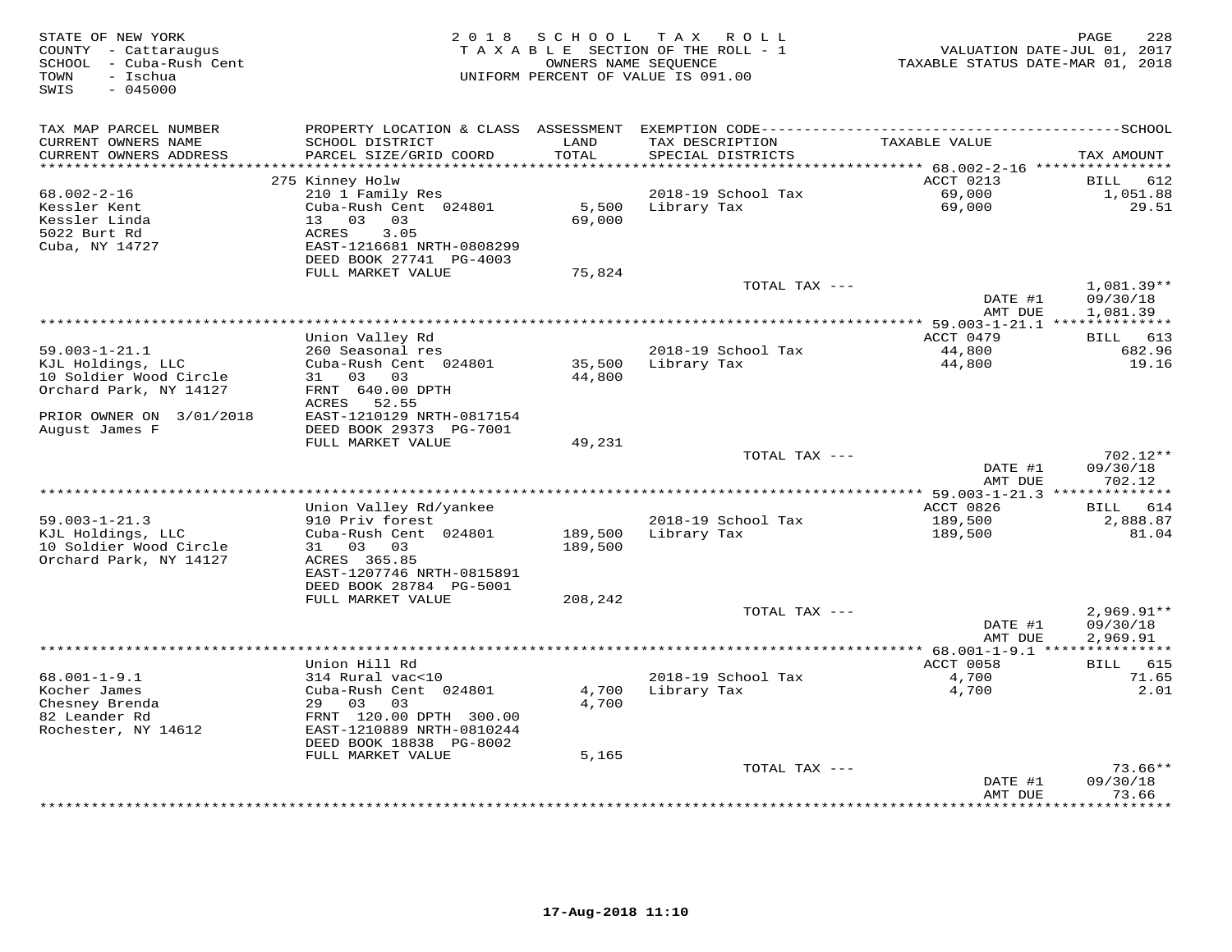| STATE OF NEW YORK<br>COUNTY - Cattaraugus<br>SCHOOL<br>- Cuba-Rush Cent<br>- Ischua<br>TOWN<br>$-045000$<br>SWIS | 2 0 1 8                                                                                                                         | SCHOOL             | T A X<br>ROLL ROLL<br>TAXABLE SECTION OF THE ROLL - 1<br>OWNERS NAME SEQUENCE<br>UNIFORM PERCENT OF VALUE IS 091.00 | VALUATION DATE-JUL 01, 2017<br>TAXABLE STATUS DATE-MAR 01, 2018 | 228<br>PAGE                          |
|------------------------------------------------------------------------------------------------------------------|---------------------------------------------------------------------------------------------------------------------------------|--------------------|---------------------------------------------------------------------------------------------------------------------|-----------------------------------------------------------------|--------------------------------------|
| TAX MAP PARCEL NUMBER<br>CURRENT OWNERS NAME<br>CURRENT OWNERS ADDRESS<br>***********************                | SCHOOL DISTRICT<br>PARCEL SIZE/GRID COORD                                                                                       | LAND<br>TOTAL      | TAX DESCRIPTION<br>SPECIAL DISTRICTS                                                                                | TAXABLE VALUE                                                   | TAX AMOUNT                           |
|                                                                                                                  | 275 Kinney Holw                                                                                                                 |                    |                                                                                                                     | ACCT 0213                                                       | BILL<br>612                          |
| 68.002-2-16<br>Kessler Kent<br>Kessler Linda<br>5022 Burt Rd<br>Cuba, NY 14727                                   | 210 1 Family Res<br>Cuba-Rush Cent 024801<br>13 03 03<br>3.05<br>ACRES<br>EAST-1216681 NRTH-0808299<br>DEED BOOK 27741 PG-4003  | 5,500<br>69,000    | 2018-19 School Tax<br>Library Tax                                                                                   | 69,000<br>69,000                                                | 1,051.88<br>29.51                    |
|                                                                                                                  | FULL MARKET VALUE                                                                                                               | 75,824             | TOTAL TAX ---                                                                                                       |                                                                 |                                      |
|                                                                                                                  |                                                                                                                                 |                    |                                                                                                                     | DATE #1<br>AMT DUE                                              | 1,081.39**<br>09/30/18<br>1,081.39   |
|                                                                                                                  |                                                                                                                                 |                    |                                                                                                                     | ACCT 0479                                                       |                                      |
| $59.003 - 1 - 21.1$<br>KJL Holdings, LLC<br>10 Soldier Wood Circle<br>Orchard Park, NY 14127                     | Union Valley Rd<br>260 Seasonal res<br>Cuba-Rush Cent 024801<br>31 03 03<br>FRNT 640.00 DPTH                                    | 35,500<br>44,800   | 2018-19 School Tax<br>Library Tax                                                                                   | 44,800<br>44,800                                                | BILL 613<br>682.96<br>19.16          |
| PRIOR OWNER ON 3/01/2018<br>August James F                                                                       | ACRES 52.55<br>EAST-1210129 NRTH-0817154<br>DEED BOOK 29373 PG-7001<br>FULL MARKET VALUE                                        | 49,231             |                                                                                                                     |                                                                 |                                      |
|                                                                                                                  |                                                                                                                                 |                    | TOTAL TAX ---                                                                                                       |                                                                 | 702.12**                             |
|                                                                                                                  |                                                                                                                                 |                    |                                                                                                                     | DATE #1<br>AMT DUE                                              | 09/30/18<br>702.12                   |
|                                                                                                                  | Union Valley Rd/yankee                                                                                                          |                    |                                                                                                                     | *** 59.003-1-21.3 **************<br>ACCT 0826                   | 614<br><b>BILL</b>                   |
| $59.003 - 1 - 21.3$<br>KJL Holdings, LLC<br>10 Soldier Wood Circle<br>Orchard Park, NY 14127                     | 910 Priv forest<br>Cuba-Rush Cent 024801<br>31 03<br>03<br>ACRES 365.85<br>EAST-1207746 NRTH-0815891<br>DEED BOOK 28784 PG-5001 | 189,500<br>189,500 | 2018-19 School Tax<br>Library Tax                                                                                   | 189,500<br>189,500                                              | 2,888.87<br>81.04                    |
|                                                                                                                  | FULL MARKET VALUE                                                                                                               | 208,242            |                                                                                                                     |                                                                 |                                      |
|                                                                                                                  |                                                                                                                                 |                    | TOTAL TAX ---                                                                                                       | DATE #1<br>AMT DUE                                              | $2,969.91**$<br>09/30/18<br>2,969.91 |
|                                                                                                                  |                                                                                                                                 |                    |                                                                                                                     | ** $68.001 - 1 - 9.1$ ***                                       |                                      |
| $68.001 - 1 - 9.1$<br>Kocher James                                                                               | Union Hill Rd<br>314 Rural vac<10<br>Cuba-Rush Cent 024801                                                                      | 4,700              | 2018-19 School Tax<br>Library Tax                                                                                   | ACCT 0058<br>4,700<br>4,700                                     | BILL 615<br>71.65<br>2.01            |
| Chesney Brenda<br>82 Leander Rd<br>Rochester, NY 14612                                                           | 29 03<br>03<br>FRNT 120.00 DPTH 300.00<br>EAST-1210889 NRTH-0810244<br>DEED BOOK 18838 PG-8002<br>FULL MARKET VALUE             | 4,700<br>5,165     |                                                                                                                     |                                                                 |                                      |
|                                                                                                                  |                                                                                                                                 |                    | TOTAL TAX ---                                                                                                       |                                                                 | $73.66**$                            |
|                                                                                                                  |                                                                                                                                 |                    |                                                                                                                     | DATE #1<br>AMT DUE                                              | 09/30/18<br>73.66                    |
|                                                                                                                  |                                                                                                                                 |                    |                                                                                                                     | · * * * * * * * * * * * ·                                       | * * * * * * * *                      |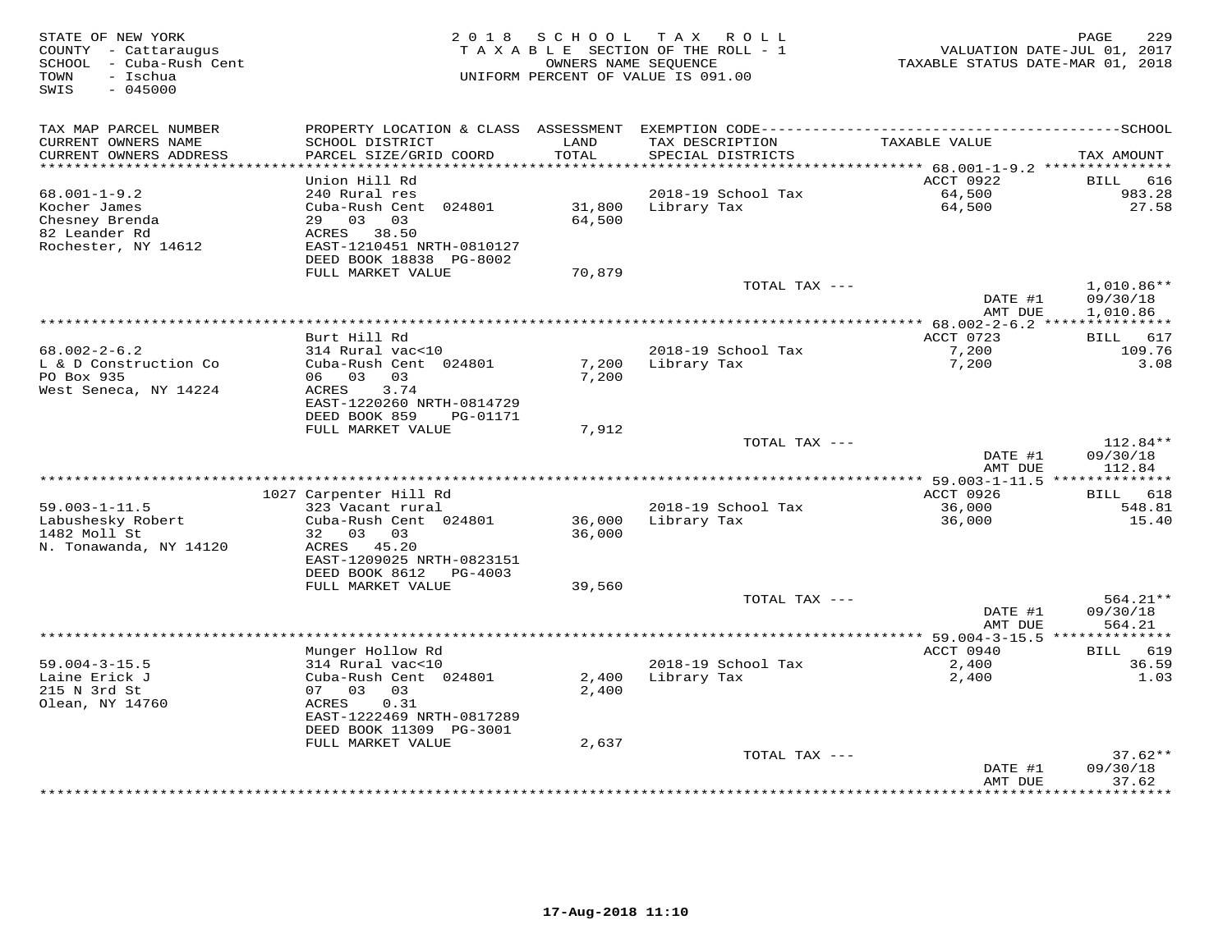| STATE OF NEW YORK<br>COUNTY - Cattaraugus<br>SCHOOL - Cuba-Rush Cent<br>TOWN<br>- Ischua<br>SWIS<br>$-045000$ |                                           | 2018 SCHOOL   | T A X<br>R O L L<br>TAXABLE SECTION OF THE ROLL - 1<br>OWNERS NAME SEQUENCE<br>UNIFORM PERCENT OF VALUE IS 091.00 | TAXABLE STATUS DATE-MAR 01, 2018 | PAGE<br>229<br>VALUATION DATE-JUL 01, 2017 |
|---------------------------------------------------------------------------------------------------------------|-------------------------------------------|---------------|-------------------------------------------------------------------------------------------------------------------|----------------------------------|--------------------------------------------|
| TAX MAP PARCEL NUMBER                                                                                         |                                           |               |                                                                                                                   |                                  |                                            |
| CURRENT OWNERS NAME<br>CURRENT OWNERS ADDRESS                                                                 | SCHOOL DISTRICT<br>PARCEL SIZE/GRID COORD | LAND<br>TOTAL | TAX DESCRIPTION<br>SPECIAL DISTRICTS                                                                              | TAXABLE VALUE                    | TAX AMOUNT                                 |
| *************************                                                                                     |                                           |               |                                                                                                                   |                                  |                                            |
| $68.001 - 1 - 9.2$                                                                                            | Union Hill Rd<br>240 Rural res            |               | 2018-19 School Tax                                                                                                | ACCT 0922<br>64,500              | 616<br>BILL<br>983.28                      |
| Kocher James                                                                                                  | Cuba-Rush Cent 024801                     | 31,800        | Library Tax                                                                                                       | 64,500                           | 27.58                                      |
| Chesney Brenda                                                                                                | 29 03 03                                  | 64,500        |                                                                                                                   |                                  |                                            |
| 82 Leander Rd                                                                                                 | ACRES 38.50                               |               |                                                                                                                   |                                  |                                            |
| Rochester, NY 14612                                                                                           | EAST-1210451 NRTH-0810127                 |               |                                                                                                                   |                                  |                                            |
|                                                                                                               | DEED BOOK 18838 PG-8002                   |               |                                                                                                                   |                                  |                                            |
|                                                                                                               | FULL MARKET VALUE                         | 70,879        |                                                                                                                   |                                  |                                            |
|                                                                                                               |                                           |               | TOTAL TAX ---                                                                                                     |                                  | $1,010.86**$                               |
|                                                                                                               |                                           |               |                                                                                                                   | DATE #1                          | 09/30/18                                   |
|                                                                                                               |                                           |               |                                                                                                                   | AMT DUE                          | 1,010.86                                   |
|                                                                                                               | Burt Hill Rd                              |               |                                                                                                                   | ACCT 0723                        | BILL 617                                   |
| $68.002 - 2 - 6.2$                                                                                            | 314 Rural vac<10                          |               | 2018-19 School Tax                                                                                                | 7,200                            | 109.76                                     |
| L & D Construction Co                                                                                         | Cuba-Rush Cent 024801                     | 7,200         | Library Tax                                                                                                       | 7,200                            | 3.08                                       |
| PO Box 935                                                                                                    | 06 03 03                                  | 7,200         |                                                                                                                   |                                  |                                            |
| West Seneca, NY 14224                                                                                         | ACRES<br>3.74                             |               |                                                                                                                   |                                  |                                            |
|                                                                                                               | EAST-1220260 NRTH-0814729                 |               |                                                                                                                   |                                  |                                            |
|                                                                                                               | DEED BOOK 859<br>PG-01171                 |               |                                                                                                                   |                                  |                                            |
|                                                                                                               | FULL MARKET VALUE                         | 7,912         | TOTAL TAX ---                                                                                                     |                                  | 112.84**                                   |
|                                                                                                               |                                           |               |                                                                                                                   | DATE #1                          | 09/30/18                                   |
|                                                                                                               |                                           |               |                                                                                                                   | AMT DUE                          | 112.84                                     |
|                                                                                                               |                                           |               |                                                                                                                   | ** 59.003-1-11.5 *************** |                                            |
|                                                                                                               | 1027 Carpenter Hill Rd                    |               |                                                                                                                   | ACCT 0926                        | BILL 618                                   |
| $59.003 - 1 - 11.5$                                                                                           | 323 Vacant rural                          |               | 2018-19 School Tax                                                                                                | 36,000                           | 548.81                                     |
| Labushesky Robert                                                                                             | Cuba-Rush Cent 024801                     | 36,000        | Library Tax                                                                                                       | 36,000                           | 15.40                                      |
| 1482 Moll St<br>N. Tonawanda, NY 14120                                                                        | 32 03 03<br>ACRES 45.20                   | 36,000        |                                                                                                                   |                                  |                                            |
|                                                                                                               | EAST-1209025 NRTH-0823151                 |               |                                                                                                                   |                                  |                                            |
|                                                                                                               | DEED BOOK 8612<br>PG-4003                 |               |                                                                                                                   |                                  |                                            |
|                                                                                                               | FULL MARKET VALUE                         | 39,560        |                                                                                                                   |                                  |                                            |
|                                                                                                               |                                           |               | TOTAL TAX ---                                                                                                     |                                  | 564.21**                                   |
|                                                                                                               |                                           |               |                                                                                                                   | DATE #1                          | 09/30/18                                   |
|                                                                                                               |                                           |               |                                                                                                                   | AMT DUE                          | 564.21                                     |
|                                                                                                               |                                           |               |                                                                                                                   | ACCT 0940                        |                                            |
| $59.004 - 3 - 15.5$                                                                                           | Munger Hollow Rd<br>314 Rural vac<10      |               | 2018-19 School Tax                                                                                                | 2,400                            | 619<br>BILL<br>36.59                       |
| Laine Erick J                                                                                                 | Cuba-Rush Cent 024801                     | 2,400         | Library Tax                                                                                                       | 2,400                            | 1.03                                       |
| 215 N 3rd St                                                                                                  | 07 03<br>03                               | 2,400         |                                                                                                                   |                                  |                                            |
| Olean, NY 14760                                                                                               | 0.31<br>ACRES                             |               |                                                                                                                   |                                  |                                            |
|                                                                                                               | EAST-1222469 NRTH-0817289                 |               |                                                                                                                   |                                  |                                            |
|                                                                                                               | DEED BOOK 11309 PG-3001                   |               |                                                                                                                   |                                  |                                            |
|                                                                                                               | FULL MARKET VALUE                         | 2,637         |                                                                                                                   |                                  |                                            |
|                                                                                                               |                                           |               | TOTAL TAX ---                                                                                                     |                                  | $37.62**$                                  |
|                                                                                                               |                                           |               |                                                                                                                   | DATE #1<br>AMT DUE               | 09/30/18<br>37.62                          |
|                                                                                                               |                                           |               |                                                                                                                   |                                  | * * * * * * * *                            |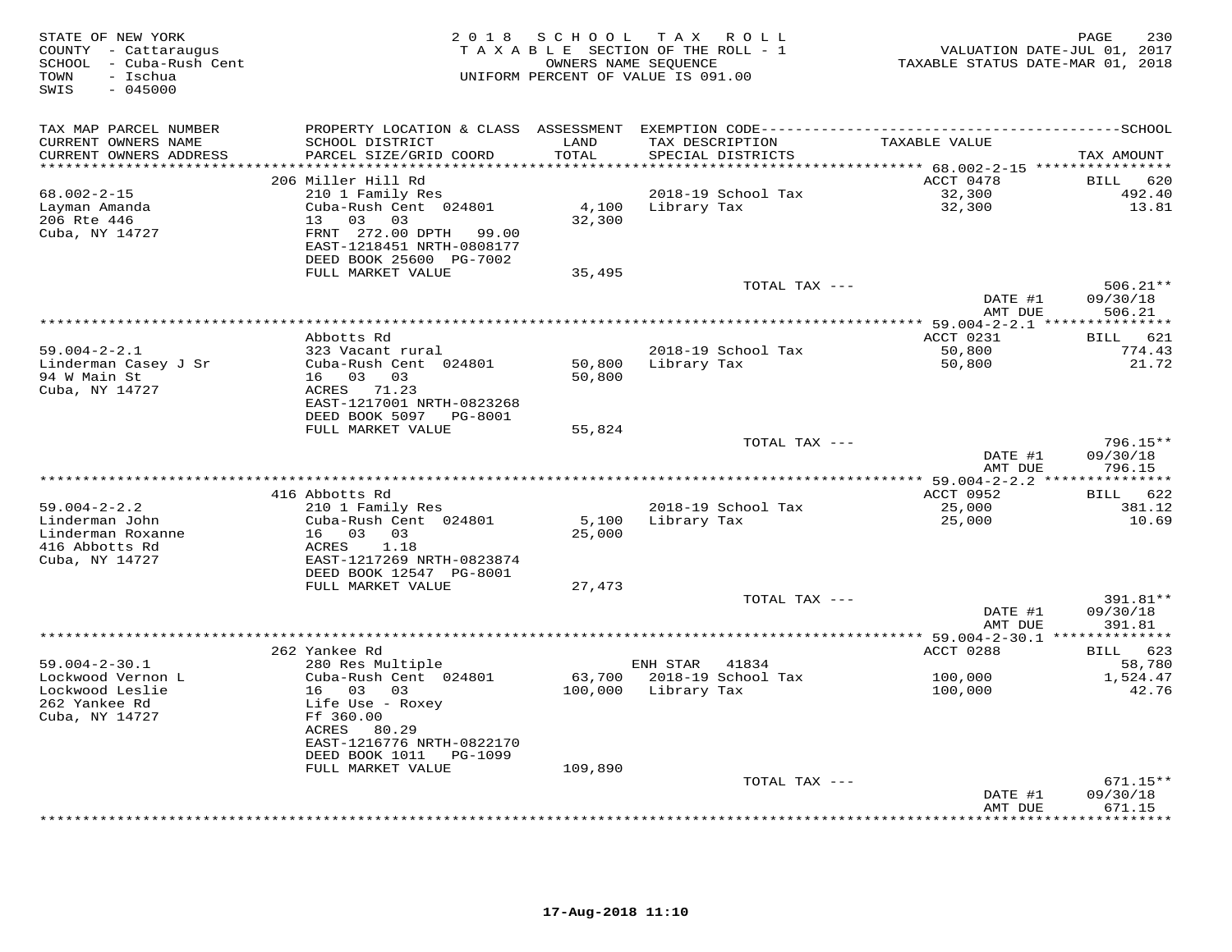| STATE OF NEW YORK<br>COUNTY - Cattaraugus<br>SCHOOL - Cuba-Rush Cent<br>- Ischua<br>TOWN<br>$-045000$<br>SWIS | 2 0 1 8                                                                                                                                                                | S C H O O L                  | T A X<br>R O L L<br>TAXABLE SECTION OF THE ROLL - 1<br>OWNERS NAME SEQUENCE<br>UNIFORM PERCENT OF VALUE IS 091.00 |                                     | 230<br>PAGE<br>VALUATION DATE-JUL 01, 2017<br>TAXABLE STATUS DATE-MAR 01, 2018 |
|---------------------------------------------------------------------------------------------------------------|------------------------------------------------------------------------------------------------------------------------------------------------------------------------|------------------------------|-------------------------------------------------------------------------------------------------------------------|-------------------------------------|--------------------------------------------------------------------------------|
| TAX MAP PARCEL NUMBER<br>CURRENT OWNERS NAME<br>CURRENT OWNERS ADDRESS                                        | SCHOOL DISTRICT<br>PARCEL SIZE/GRID COORD                                                                                                                              | LAND<br>TOTAL                | TAX DESCRIPTION<br>SPECIAL DISTRICTS                                                                              | TAXABLE VALUE                       | TAX AMOUNT                                                                     |
| **********************                                                                                        | ***************************                                                                                                                                            | **********                   |                                                                                                                   |                                     |                                                                                |
| $68.002 - 2 - 15$<br>Layman Amanda<br>206 Rte 446<br>Cuba, NY 14727                                           | 206 Miller Hill Rd<br>210 1 Family Res<br>Cuba-Rush Cent 024801<br>13<br>03<br>03<br>FRNT 272.00 DPTH 99.00<br>EAST-1218451 NRTH-0808177<br>DEED BOOK 25600 PG-7002    | 4,100<br>32,300              | 2018-19 School Tax<br>Library Tax                                                                                 | ACCT 0478<br>32,300<br>32,300       | BILL<br>620<br>492.40<br>13.81                                                 |
|                                                                                                               | FULL MARKET VALUE                                                                                                                                                      | 35,495                       |                                                                                                                   |                                     |                                                                                |
|                                                                                                               |                                                                                                                                                                        |                              |                                                                                                                   | TOTAL TAX ---<br>DATE #1            | $506.21**$<br>09/30/18                                                         |
|                                                                                                               |                                                                                                                                                                        |                              |                                                                                                                   | AMT DUE                             | 506.21                                                                         |
|                                                                                                               |                                                                                                                                                                        |                              |                                                                                                                   |                                     | *** 59.004-2-2.1 ****************                                              |
| $59.004 - 2 - 2.1$                                                                                            | Abbotts Rd<br>323 Vacant rural                                                                                                                                         |                              | 2018-19 School Tax                                                                                                | ACCT 0231<br>50,800                 | 621<br>BILL<br>774.43                                                          |
| Linderman Casey J Sr<br>94 W Main St<br>Cuba, NY 14727                                                        | Cuba-Rush Cent 024801<br>16 03 03<br>ACRES<br>71.23<br>EAST-1217001 NRTH-0823268                                                                                       | 50,800<br>50,800             | Library Tax                                                                                                       | 50,800                              | 21.72                                                                          |
|                                                                                                               | DEED BOOK 5097 PG-8001                                                                                                                                                 |                              |                                                                                                                   |                                     |                                                                                |
|                                                                                                               | FULL MARKET VALUE                                                                                                                                                      | 55,824                       |                                                                                                                   | TOTAL TAX ---<br>DATE #1            | $796.15**$<br>09/30/18                                                         |
|                                                                                                               |                                                                                                                                                                        |                              |                                                                                                                   | AMT DUE                             | 796.15                                                                         |
|                                                                                                               |                                                                                                                                                                        |                              | *********************************                                                                                 | $** 59.004 - 2 - 2.2 **$            | * * * * * * * * * *                                                            |
| $59.004 - 2 - 2.2$<br>Linderman John<br>Linderman Roxanne<br>416 Abbotts Rd<br>Cuba, NY 14727                 | 416 Abbotts Rd<br>210 1 Family Res<br>Cuba-Rush Cent 024801<br>16 03<br>03<br>1.18<br>ACRES<br>EAST-1217269 NRTH-0823874<br>DEED BOOK 12547 PG-8001                    | 5,100<br>25,000              | 2018-19 School Tax<br>Library Tax                                                                                 | ACCT 0952<br>25,000<br>25,000       | BILL 622<br>381.12<br>10.69                                                    |
|                                                                                                               | FULL MARKET VALUE                                                                                                                                                      | 27,473                       |                                                                                                                   |                                     |                                                                                |
|                                                                                                               |                                                                                                                                                                        |                              |                                                                                                                   | TOTAL TAX ---<br>DATE #1<br>AMT DUE | 391.81**<br>09/30/18<br>391.81                                                 |
|                                                                                                               |                                                                                                                                                                        |                              |                                                                                                                   |                                     |                                                                                |
|                                                                                                               | 262 Yankee Rd                                                                                                                                                          |                              |                                                                                                                   | ACCT 0288                           | BILL 623                                                                       |
| $59.004 - 2 - 30.1$                                                                                           | 280 Res Multiple                                                                                                                                                       |                              | 41834<br>ENH STAR                                                                                                 |                                     | 58,780                                                                         |
| Lockwood Vernon L<br>Lockwood Leslie<br>262 Yankee Rd<br>Cuba, NY 14727                                       | Cuba-Rush Cent 024801<br>16 03<br>03<br>Life Use - Roxey<br>Ff 360.00<br>ACRES<br>80.29<br>EAST-1216776 NRTH-0822170<br>DEED BOOK 1011<br>PG-1099<br>FULL MARKET VALUE | 63,700<br>100,000<br>109,890 | 2018-19 School Tax<br>Library Tax                                                                                 | 100,000<br>100,000                  | 1,524.47<br>42.76                                                              |
|                                                                                                               |                                                                                                                                                                        |                              |                                                                                                                   | TOTAL TAX ---                       | $671.15**$                                                                     |
|                                                                                                               |                                                                                                                                                                        |                              |                                                                                                                   | DATE #1<br>AMT DUE                  | 09/30/18<br>671.15                                                             |
|                                                                                                               |                                                                                                                                                                        |                              |                                                                                                                   |                                     | .                                                                              |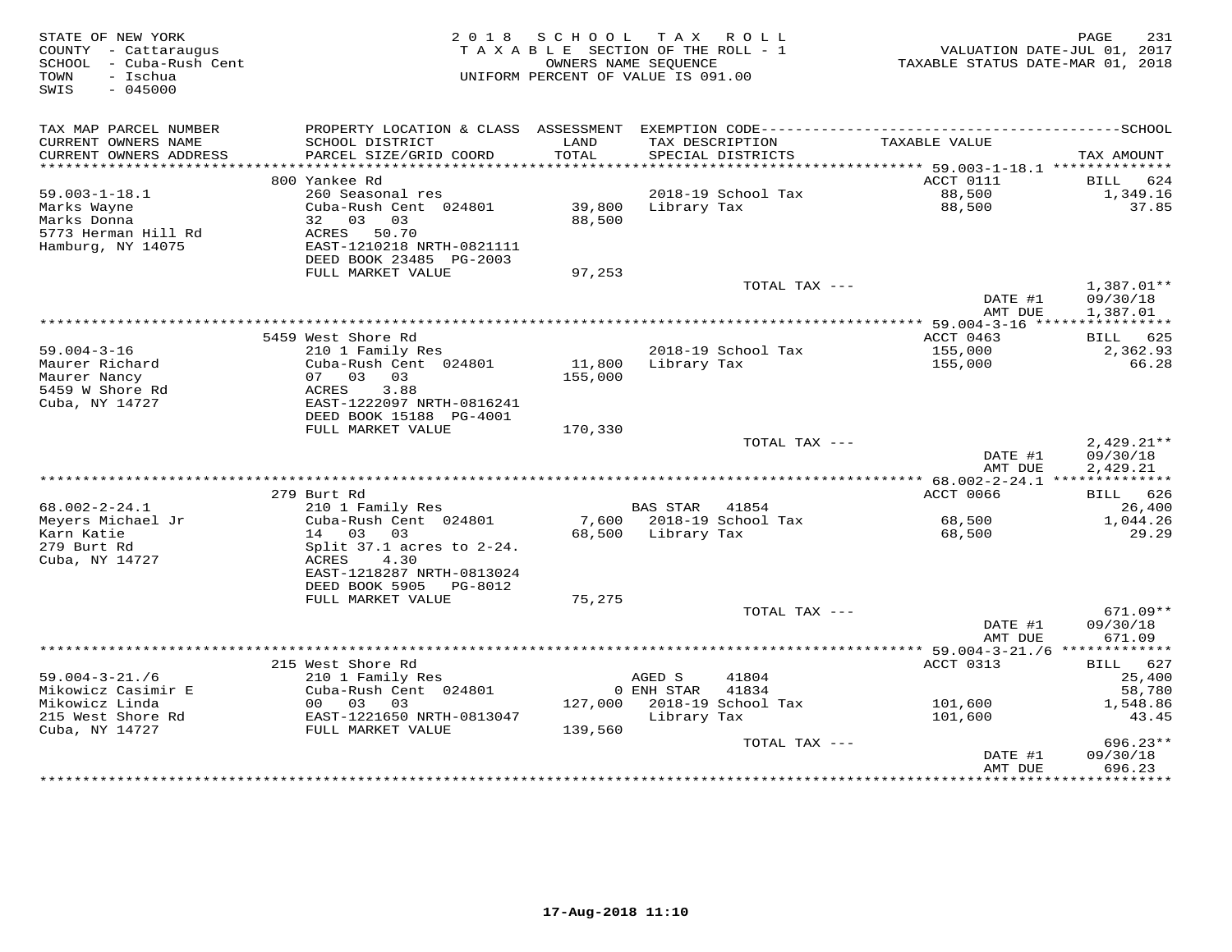| STATE OF NEW YORK<br>COUNTY - Cattaraugus<br>SCHOOL - Cuba-Rush Cent<br>- Ischua<br>TOWN<br>$-045000$<br>SWIS |                                                                                                                                                   | 2018 SCHOOL<br>TAXABLE SECTION OF THE ROLL - 1<br>OWNERS NAME SEQUENCE<br>UNIFORM PERCENT OF VALUE IS 091.00 |                            | TAX ROLL                                           | VALUATION DATE-JUL 01, 2017<br>TAXABLE STATUS DATE-MAR 01, 2018 | PAGE<br>231                                       |
|---------------------------------------------------------------------------------------------------------------|---------------------------------------------------------------------------------------------------------------------------------------------------|--------------------------------------------------------------------------------------------------------------|----------------------------|----------------------------------------------------|-----------------------------------------------------------------|---------------------------------------------------|
| TAX MAP PARCEL NUMBER<br>CURRENT OWNERS NAME<br>CURRENT OWNERS ADDRESS                                        | SCHOOL DISTRICT<br>PARCEL SIZE/GRID COORD                                                                                                         | LAND<br>TOTAL                                                                                                |                            | TAX DESCRIPTION<br>SPECIAL DISTRICTS               | TAXABLE VALUE                                                   | TAX AMOUNT                                        |
|                                                                                                               |                                                                                                                                                   |                                                                                                              |                            |                                                    |                                                                 |                                                   |
| $59.003 - 1 - 18.1$                                                                                           | 800 Yankee Rd<br>260 Seasonal res                                                                                                                 |                                                                                                              |                            |                                                    | ACCT 0111<br>88,500                                             | BILL 624<br>1,349.16                              |
| Marks Wayne<br>Marks Donna<br>5773 Herman Hill Rd<br>Hamburg, NY 14075                                        | Cuba-Rush Cent 024801<br>32 03 03<br>ACRES 50.70<br>EAST-1210218 NRTH-0821111<br>DEED BOOK 23485 PG-2003                                          | 39,800<br>88,500                                                                                             |                            | 2018-19 School Tax<br>Library Tax                  | 88,500                                                          | 37.85                                             |
|                                                                                                               | FULL MARKET VALUE                                                                                                                                 | 97,253                                                                                                       |                            |                                                    |                                                                 |                                                   |
|                                                                                                               |                                                                                                                                                   |                                                                                                              |                            | TOTAL TAX ---                                      | DATE #1<br>AMT DUE                                              | $1,387.01**$<br>09/30/18<br>1,387.01              |
|                                                                                                               |                                                                                                                                                   |                                                                                                              |                            |                                                    |                                                                 |                                                   |
| $59.004 - 3 - 16$                                                                                             | 5459 West Shore Rd<br>210 1 Family Res                                                                                                            |                                                                                                              |                            | 2018-19 School Tax                                 | ACCT 0463                                                       | BILL 625                                          |
| Maurer Richard<br>Maurer Nancy<br>5459 W Shore Rd<br>Cuba, NY 14727                                           | Cuba-Rush Cent 024801<br>07 03 03<br>3.88<br>ACRES<br>EAST-1222097 NRTH-0816241<br>DEED BOOK 15188 PG-4001                                        | 11,800 Library Tax<br>155,000                                                                                |                            |                                                    | 155,000<br>155,000                                              | 2,362.93<br>66.28                                 |
|                                                                                                               | FULL MARKET VALUE                                                                                                                                 | 170,330                                                                                                      |                            |                                                    |                                                                 |                                                   |
|                                                                                                               |                                                                                                                                                   |                                                                                                              |                            | TOTAL TAX ---                                      | DATE #1<br>AMT DUE                                              | $2,429.21**$<br>09/30/18<br>2,429.21              |
|                                                                                                               |                                                                                                                                                   |                                                                                                              |                            |                                                    |                                                                 |                                                   |
| $68.002 - 2 - 24.1$                                                                                           | 279 Burt Rd                                                                                                                                       |                                                                                                              | BAS STAR 41854             |                                                    | ACCT 0066                                                       | BILL 626<br>26,400                                |
| Meyers Michael Jr<br>Karn Katie<br>279 Burt Rd<br>Cuba, NY 14727                                              | 210 1 Family Res<br>Cuba-Rush Cent 024801<br>14 03 03<br>Split $37.1$ acres to $2-24$ .<br>ACRES<br>4.30                                          |                                                                                                              |                            | 7,600 2018-19 School Tax<br>68,500 Library Tax     | 68,500<br>68,500                                                | 1,044.26<br>29.29                                 |
|                                                                                                               | EAST-1218287 NRTH-0813024<br>DEED BOOK 5905 PG-8012<br>FULL MARKET VALUE                                                                          | 75,275                                                                                                       |                            |                                                    |                                                                 |                                                   |
|                                                                                                               |                                                                                                                                                   |                                                                                                              |                            | TOTAL TAX ---                                      | DATE #1<br>AMT DUE                                              | 671.09**<br>09/30/18<br>671.09                    |
|                                                                                                               |                                                                                                                                                   |                                                                                                              |                            |                                                    |                                                                 |                                                   |
| $59.004 - 3 - 21.76$<br>Mikowicz Casimir E<br>Mikowicz Linda<br>215 West Shore Rd<br>Cuba, NY 14727           | 215 West Shore Rd<br>210 1 Family Res<br>Cuba-Rush Cent 024801<br>00 03 03<br>EAST-1221650 NRTH-0813047<br>FULL MARKET VALUE<br>FULL MARKET VALUE | 139,560                                                                                                      | AGED S<br>0 ENH STAR 41834 | 41804<br>127,000 2018-19 School Tax<br>Library Tax | ACCT 0313<br>101,600<br>101,600                                 | BILL 627<br>25,400<br>58,780<br>1,548.86<br>43.45 |
|                                                                                                               |                                                                                                                                                   |                                                                                                              |                            | TOTAL TAX ---                                      | DATE #1                                                         | $696.23**$<br>09/30/18                            |
|                                                                                                               |                                                                                                                                                   |                                                                                                              |                            |                                                    | AMT DUE                                                         | 696.23                                            |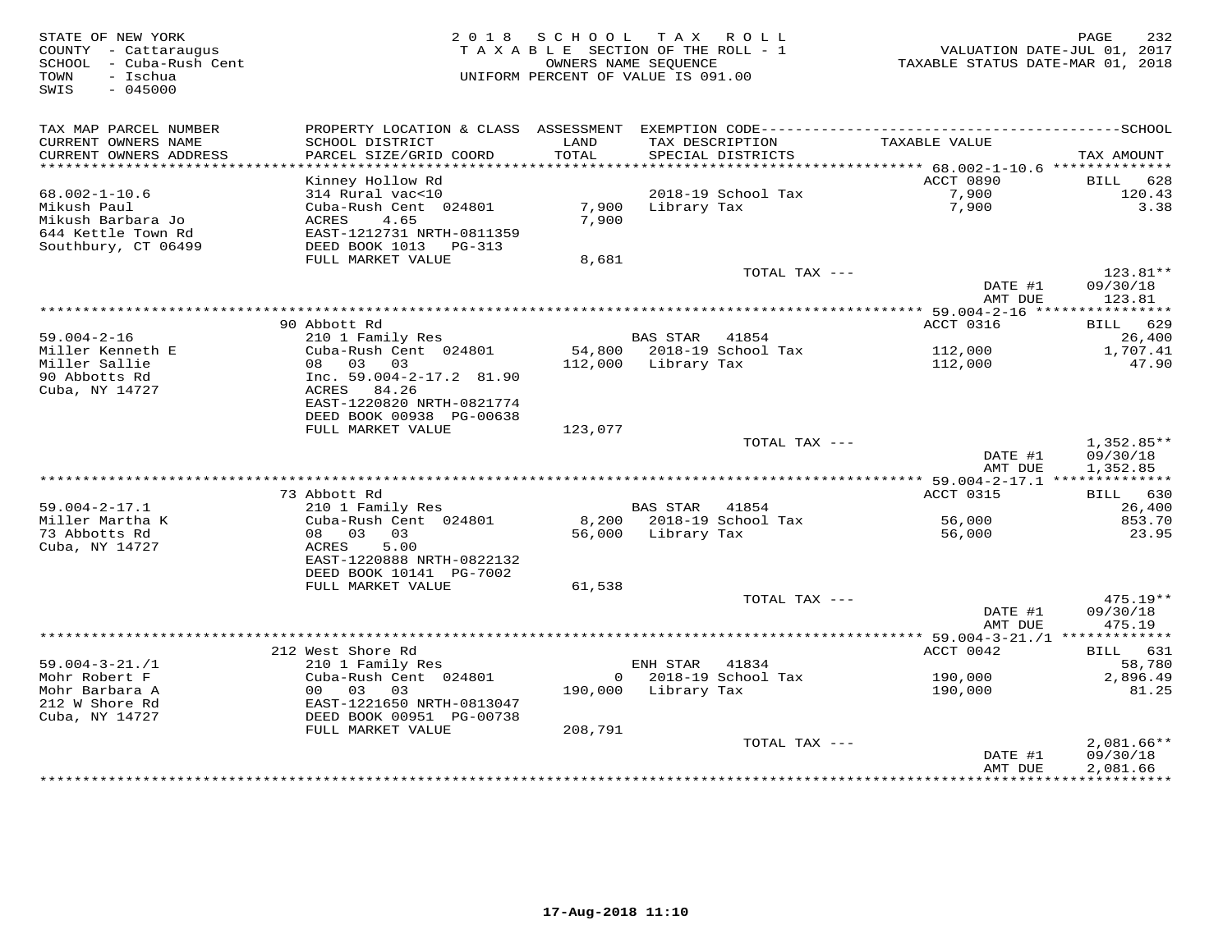STATE OF NEW YORK 2 0 1 8 S C H O O L T A X R O L L PAGE 232 COUNTY - Cattaraugus T A X A B L E SECTION OF THE ROLL - 1 VALUATION DATE-JUL 01, 2017 SCHOOL - Cuba-Rush Cent OWNERS NAME SEQUENCE TAXABLE STATUS DATE-MAR 01, 2018 TOWN - Ischua UNIFORM PERCENT OF VALUE IS 091.00 SWIS - 045000TAX MAP PARCEL NUMBER PROPERTY LOCATION & CLASS ASSESSMENT EXEMPTION CODE------------------------------------------SCHOOL CURRENT OWNERS NAME SCHOOL DISTRICT LAND TAX DESCRIPTION TAXABLE VALUE CURRENT OWNERS ADDRESS PARCEL SIZE/GRID COORD TOTAL SPECIAL DISTRICTS TAX AMOUNT \*\*\*\*\*\*\*\*\*\*\*\*\*\*\*\*\*\*\*\*\*\*\*\*\*\*\*\*\*\*\*\*\*\*\*\*\*\*\*\*\*\*\*\*\*\*\*\*\*\*\*\*\*\*\*\*\*\*\*\*\*\*\*\*\*\*\*\*\*\*\*\*\*\*\*\*\*\*\*\*\*\*\*\*\*\*\*\*\*\*\*\*\*\*\*\*\*\*\*\*\*\*\* 68.002-1-10.6 \*\*\*\*\*\*\*\*\*\*\*\*\*\* Kinney Hollow Rd ACCT 0890 BILL 628 68.002-1-10.6 314 Rural vac<10 2018-19 School Tax 7,900 120.43 Mikush Paul Cuba-Rush Cent 024801 7,900 Library Tax 7,900 3.38 Mikush Barbara Jo ACRES 4.65 7,900 644 Kettle Town Rd EAST-1212731 NRTH-0811359 Southbury, CT 06499 DEED BOOK 1013 PG-313 FULL MARKET VALUE 8,681 TOTAL TAX --- 123.81\*\* DATE #1 09/30/18 AMT DUE 123.81 \*\*\*\*\*\*\*\*\*\*\*\*\*\*\*\*\*\*\*\*\*\*\*\*\*\*\*\*\*\*\*\*\*\*\*\*\*\*\*\*\*\*\*\*\*\*\*\*\*\*\*\*\*\*\*\*\*\*\*\*\*\*\*\*\*\*\*\*\*\*\*\*\*\*\*\*\*\*\*\*\*\*\*\*\*\*\*\*\*\*\*\*\*\*\*\*\*\*\*\*\*\*\* 59.004-2-16 \*\*\*\*\*\*\*\*\*\*\*\*\*\*\*\* $\text{ACCT}$  0316 BILL 629 90 Abbott Rd ACCT 0316 BILL 629 $26.400$ 59.004-2-16 210 1 Family Res BAS STAR 41854 26,400Miller Kenneth E Cuba-Rush Cent 024801 54,800 2018-19 School Tax 112,000 1,707.41Miller Sallie 08 03 03 112,000 Library Tax 112,000 47.9090 Abbotts Rd Inc. 59.004-2-17.2 81.90 Cuba, NY 14727 ACRES 84.26 EAST-1220820 NRTH-0821774 DEED BOOK 00938 PG-00638 FULL MARKET VALUE 123,077  ${\tt TOTAL\,\,\, TAX\,\,\,---}\qquad \qquad 1\, ,\, 352\, .\, 85***$  DATE #1 09/30/18 AMT DUE 1,352.85 \*\*\*\*\*\*\*\*\*\*\*\*\*\*\*\*\*\*\*\*\*\*\*\*\*\*\*\*\*\*\*\*\*\*\*\*\*\*\*\*\*\*\*\*\*\*\*\*\*\*\*\*\*\*\*\*\*\*\*\*\*\*\*\*\*\*\*\*\*\*\*\*\*\*\*\*\*\*\*\*\*\*\*\*\*\*\*\*\*\*\*\*\*\*\*\*\*\*\*\*\*\*\* 59.004-2-17.1 \*\*\*\*\*\*\*\*\*\*\*\*\*\* 73 Abbott Rd ACCT 0315 BILL 630 59.004-2-17.1 210 1 Family Res BAS STAR 41854 26,400 Miller Martha K Cuba-Rush Cent 024801 8,200 2018-19 School Tax 56,000 853.70 73 Abbotts Rd 08 03 03 56,000 Library Tax 56,000 23.95 Cuba, NY 14727 ACRES 5.00 EAST-1220888 NRTH-0822132 DEED BOOK 10141 PG-7002 FULL MARKET VALUE 61,538 TOTAL TAX --- 475.19\*\* DATE #1 09/30/18AMT DUE 475.19 AMT DUE 475.19 \*\*\*\*\*\*\*\*\*\*\*\*\*\*\*\*\*\*\*\*\*\*\*\*\*\*\*\*\*\*\*\*\*\*\*\*\*\*\*\*\*\*\*\*\*\*\*\*\*\*\*\*\*\*\*\*\*\*\*\*\*\*\*\*\*\*\*\*\*\*\*\*\*\*\*\*\*\*\*\*\*\*\*\*\*\*\*\*\*\*\*\*\*\*\*\*\*\*\*\*\*\*\* 59.004-3-21./1 \*\*\*\*\*\*\*\*\*\*\*\*\*39.004-3-21./1 212 West Shore Rd<br>
Mohr Robert F 2010 Family Res<br>
Mohr Barbara A 00 03 03 03 190,000 Library Tax 190,000 81.25<br>
212 W Shore Rd EAST-1221650 NRTH-0813047 190,000 Library Tax 190,000 81.25<br>
212 W Shore Rd EAST DATE #1 09/30/18 AMT DUE 2,081.66\*\*\*\*\*\*\*\*\*\*\*\*\*\*\*\*\*\*\*\*\*\*\*\*\*\*\*\*\*\*\*\*\*\*\*\*\*\*\*\*\*\*\*\*\*\*\*\*\*\*\*\*\*\*\*\*\*\*\*\*\*\*\*\*\*\*\*\*\*\*\*\*\*\*\*\*\*\*\*\*\*\*\*\*\*\*\*\*\*\*\*\*\*\*\*\*\*\*\*\*\*\*\*\*\*\*\*\*\*\*\*\*\*\*\*\*\*\*\*\*\*\*\*\*\*\*\*\*\*\*\*\*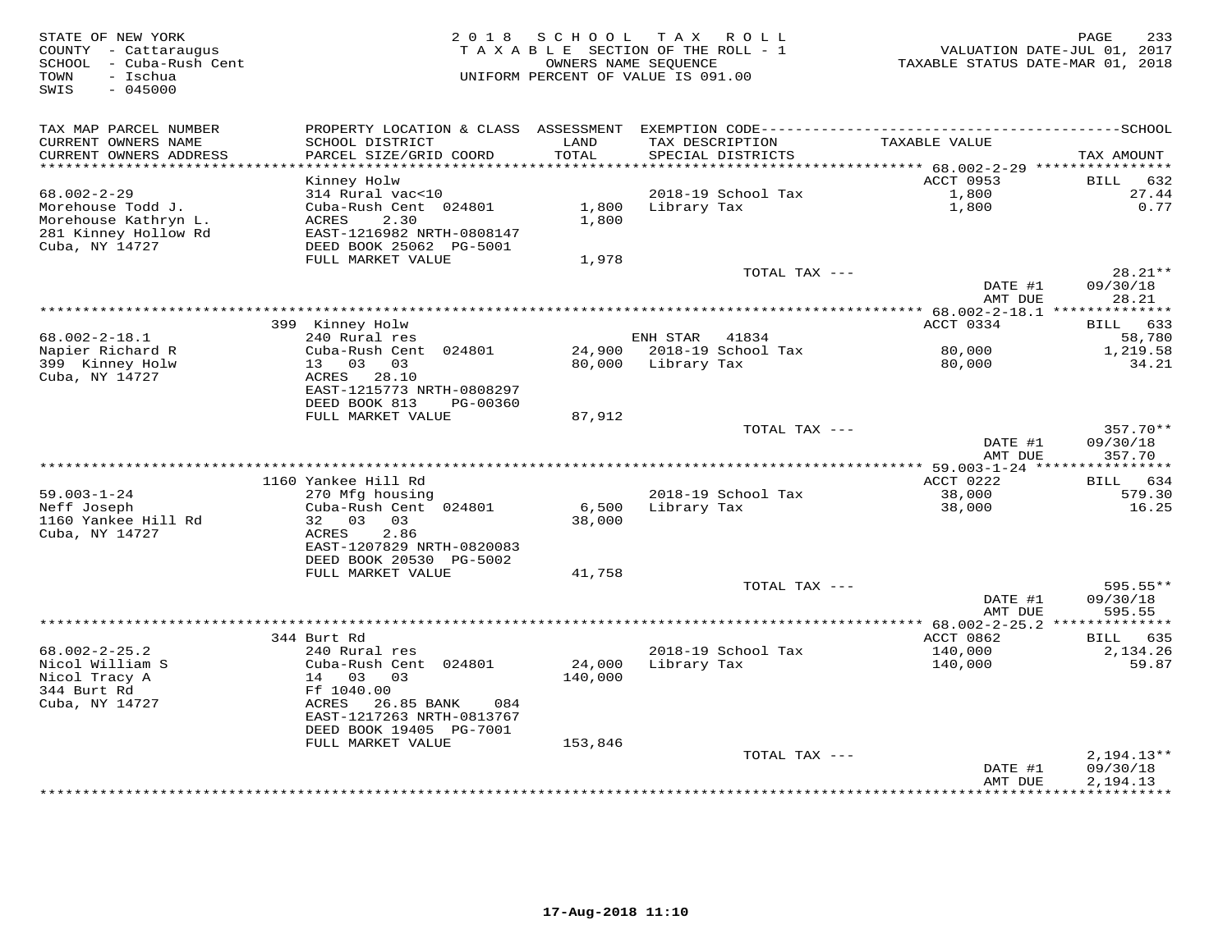| STATE OF NEW YORK<br>COUNTY - Cattaraugus<br>SCHOOL - Cuba-Rush Cent<br>- Ischua<br>TOWN<br>SWIS<br>$-045000$ | 2 0 1 8                                                                                        | SCHOOL          | T A X<br>R O L L<br>TAXABLE SECTION OF THE ROLL - 1<br>OWNERS NAME SEQUENCE<br>UNIFORM PERCENT OF VALUE IS 091.00 | TAXABLE STATUS DATE-MAR 01, 2018                 | 233<br>PAGE<br>VALUATION DATE-JUL 01, 2017 |
|---------------------------------------------------------------------------------------------------------------|------------------------------------------------------------------------------------------------|-----------------|-------------------------------------------------------------------------------------------------------------------|--------------------------------------------------|--------------------------------------------|
| TAX MAP PARCEL NUMBER                                                                                         |                                                                                                |                 |                                                                                                                   |                                                  |                                            |
| CURRENT OWNERS NAME<br>CURRENT OWNERS ADDRESS<br>***********************                                      | SCHOOL DISTRICT<br>PARCEL SIZE/GRID COORD                                                      | LAND<br>TOTAL   | TAX DESCRIPTION<br>SPECIAL DISTRICTS                                                                              | TAXABLE VALUE                                    | TAX AMOUNT                                 |
|                                                                                                               | Kinney Holw                                                                                    |                 |                                                                                                                   | ACCT 0953                                        | <b>BILL</b><br>632                         |
| $68.002 - 2 - 29$                                                                                             | 314 Rural vac<10                                                                               |                 | 2018-19 School Tax                                                                                                | 1,800                                            | 27.44                                      |
| Morehouse Todd J.<br>Morehouse Kathryn L.<br>281 Kinney Hollow Rd<br>Cuba, NY 14727                           | Cuba-Rush Cent 024801<br>ACRES<br>2.30<br>EAST-1216982 NRTH-0808147<br>DEED BOOK 25062 PG-5001 | 1,800<br>1,800  | Library Tax                                                                                                       | 1,800                                            | 0.77                                       |
|                                                                                                               | FULL MARKET VALUE                                                                              | 1,978           |                                                                                                                   |                                                  |                                            |
|                                                                                                               |                                                                                                |                 | TOTAL TAX ---                                                                                                     | DATE #1                                          | 28.21**<br>09/30/18                        |
|                                                                                                               |                                                                                                |                 |                                                                                                                   | AMT DUE                                          | 28.21                                      |
|                                                                                                               | 399 Kinney Holw                                                                                |                 |                                                                                                                   | ACCT 0334                                        | 633<br>BILL                                |
| $68.002 - 2 - 18.1$                                                                                           | 240 Rural res                                                                                  |                 | ENH STAR<br>41834                                                                                                 |                                                  | 58,780                                     |
| Napier Richard R                                                                                              | Cuba-Rush Cent 024801                                                                          | 24,900          | 2018-19 School Tax                                                                                                | 80,000                                           | 1,219.58                                   |
| 399 Kinney Holw<br>Cuba, NY 14727                                                                             | 13 03<br>03<br>ACRES 28.10<br>EAST-1215773 NRTH-0808297                                        | 80,000          | Library Tax                                                                                                       | 80,000                                           | 34.21                                      |
|                                                                                                               | DEED BOOK 813<br>PG-00360                                                                      |                 |                                                                                                                   |                                                  |                                            |
|                                                                                                               | FULL MARKET VALUE                                                                              | 87,912          |                                                                                                                   |                                                  |                                            |
|                                                                                                               |                                                                                                |                 | TOTAL TAX ---                                                                                                     | DATE #1<br>AMT DUE                               | $357.70**$<br>09/30/18<br>357.70           |
|                                                                                                               |                                                                                                |                 |                                                                                                                   |                                                  |                                            |
|                                                                                                               | 1160 Yankee Hill Rd                                                                            |                 |                                                                                                                   | ACCT 0222                                        | BILL 634                                   |
| $59.003 - 1 - 24$<br>Neff Joseph                                                                              | 270 Mfg housing<br>Cuba-Rush Cent 024801                                                       |                 | 2018-19 School Tax                                                                                                | 38,000                                           | 579.30                                     |
| 1160 Yankee Hill Rd<br>Cuba, NY 14727                                                                         | 32 03<br>03<br>ACRES<br>2.86<br>EAST-1207829 NRTH-0820083                                      | 6,500<br>38,000 | Library Tax                                                                                                       | 38,000                                           | 16.25                                      |
|                                                                                                               | DEED BOOK 20530 PG-5002                                                                        |                 |                                                                                                                   |                                                  |                                            |
|                                                                                                               | FULL MARKET VALUE                                                                              | 41,758          |                                                                                                                   |                                                  |                                            |
|                                                                                                               |                                                                                                |                 | TOTAL TAX ---                                                                                                     | DATE #1                                          | 595.55**<br>09/30/18                       |
|                                                                                                               | ************************                                                                       |                 |                                                                                                                   | AMT DUE<br>** $68.002 - 2 - 25.2$ ************** | 595.55                                     |
|                                                                                                               | 344 Burt Rd                                                                                    |                 |                                                                                                                   | ACCT 0862                                        | 635<br>BILL                                |
| $68.002 - 2 - 25.2$                                                                                           | 240 Rural res                                                                                  |                 | 2018-19 School Tax                                                                                                | 140,000                                          | 2,134.26                                   |
| Nicol William S                                                                                               | Cuba-Rush Cent 024801                                                                          | 24,000          | Library Tax                                                                                                       | 140,000                                          | 59.87                                      |
| Nicol Tracy A                                                                                                 | 14 03 03                                                                                       | 140,000         |                                                                                                                   |                                                  |                                            |
| 344 Burt Rd<br>Cuba, NY 14727                                                                                 | Ff 1040.00<br>ACRES<br>26.85 BANK<br>084<br>EAST-1217263 NRTH-0813767                          |                 |                                                                                                                   |                                                  |                                            |
|                                                                                                               | DEED BOOK 19405 PG-7001                                                                        |                 |                                                                                                                   |                                                  |                                            |
|                                                                                                               | FULL MARKET VALUE                                                                              | 153,846         | TOTAL TAX ---                                                                                                     |                                                  | $2,194.13**$                               |
|                                                                                                               |                                                                                                |                 |                                                                                                                   | DATE #1<br>AMT DUE                               | 09/30/18<br>2,194.13                       |
|                                                                                                               |                                                                                                |                 | *********************************                                                                                 | *************                                    | **********                                 |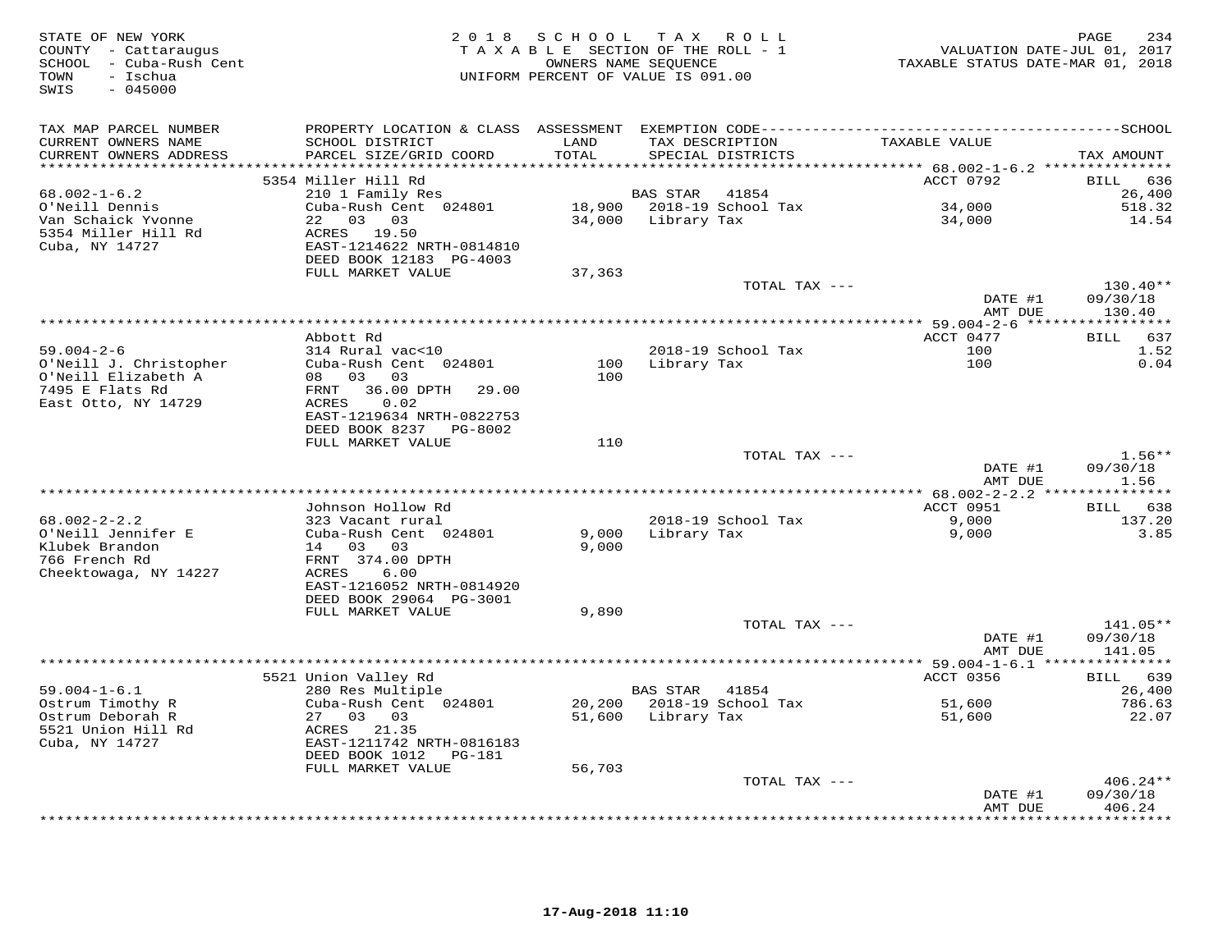| STATE OF NEW YORK<br>COUNTY - Cattaraugus<br>SCHOOL - Cuba-Rush Cent<br>- Ischua<br>TOWN<br>$-045000$<br>SWIS | 2 0 1 8                                                                                                                                               | SCHOOL         | T A X<br>ROLL ROLL<br>TAXABLE SECTION OF THE ROLL - 1<br>OWNERS NAME SEQUENCE<br>UNIFORM PERCENT OF VALUE IS 091.00 | VALUATION DATE-JUL 01, 2017<br>TAXABLE STATUS DATE-MAR 01, 2018 | 234<br>PAGE                    |
|---------------------------------------------------------------------------------------------------------------|-------------------------------------------------------------------------------------------------------------------------------------------------------|----------------|---------------------------------------------------------------------------------------------------------------------|-----------------------------------------------------------------|--------------------------------|
| TAX MAP PARCEL NUMBER<br>CURRENT OWNERS NAME<br>CURRENT OWNERS ADDRESS<br>**********************              | SCHOOL DISTRICT<br>PARCEL SIZE/GRID COORD                                                                                                             | LAND<br>TOTAL  | TAX DESCRIPTION<br>SPECIAL DISTRICTS                                                                                | TAXABLE VALUE                                                   | TAX AMOUNT                     |
|                                                                                                               | 5354 Miller Hill Rd                                                                                                                                   |                |                                                                                                                     | ACCT 0792                                                       | <b>BILL</b><br>636             |
| $68.002 - 1 - 6.2$<br>O'Neill Dennis<br>Van Schaick Yvonne<br>5354 Miller Hill Rd<br>Cuba, NY 14727           | 210 1 Family Res<br>Cuba-Rush Cent 024801<br>22 03 03<br>ACRES 19.50<br>EAST-1214622 NRTH-0814810<br>DEED BOOK 12183 PG-4003                          | 34,000         | BAS STAR<br>41854<br>18,900 2018-19 School Tax<br>Library Tax                                                       | 34,000<br>34,000                                                | 26,400<br>518.32<br>14.54      |
|                                                                                                               | FULL MARKET VALUE                                                                                                                                     | 37,363         |                                                                                                                     |                                                                 |                                |
|                                                                                                               |                                                                                                                                                       |                | TOTAL TAX ---                                                                                                       | DATE #1                                                         | $130.40**$<br>09/30/18         |
|                                                                                                               |                                                                                                                                                       |                |                                                                                                                     | AMT DUE                                                         | 130.40                         |
| $59.004 - 2 - 6$                                                                                              | Abbott Rd<br>314 Rural vac<10                                                                                                                         |                | 2018-19 School Tax                                                                                                  | ACCT 0477<br>100                                                | 637<br>BILL<br>1.52            |
| O'Neill J. Christopher<br>O'Neill Elizabeth A<br>7495 E Flats Rd<br>East Otto, NY 14729                       | Cuba-Rush Cent 024801<br>08 03<br>03<br>36.00 DPTH<br>FRNT<br>29.00<br>0.02<br><b>ACRES</b><br>EAST-1219634 NRTH-0822753<br>DEED BOOK 8237<br>PG-8002 | 100<br>100     | Library Tax                                                                                                         | 100                                                             | 0.04                           |
|                                                                                                               | FULL MARKET VALUE                                                                                                                                     | 110            |                                                                                                                     |                                                                 |                                |
|                                                                                                               |                                                                                                                                                       |                | TOTAL TAX ---                                                                                                       | DATE #1                                                         | $1.56**$<br>09/30/18           |
|                                                                                                               |                                                                                                                                                       |                |                                                                                                                     | AMT DUE                                                         | 1.56                           |
|                                                                                                               | Johnson Hollow Rd                                                                                                                                     |                |                                                                                                                     | ACCT 0951                                                       | 638<br>BILL                    |
| $68.002 - 2 - 2.2$<br>O'Neill Jennifer E<br>Klubek Brandon<br>766 French Rd<br>Cheektowaga, NY 14227          | 323 Vacant rural<br>Cuba-Rush Cent 024801<br>14 03<br>03<br>FRNT 374.00 DPTH<br>6.00<br>ACRES<br>EAST-1216052 NRTH-0814920                            | 9,000<br>9,000 | 2018-19 School Tax<br>Library Tax                                                                                   | 9,000<br>9,000                                                  | 137.20<br>3.85                 |
|                                                                                                               | DEED BOOK 29064 PG-3001<br>FULL MARKET VALUE                                                                                                          | 9,890          |                                                                                                                     |                                                                 |                                |
|                                                                                                               |                                                                                                                                                       |                | TOTAL TAX ---                                                                                                       | DATE #1<br>AMT DUE                                              | 141.05**<br>09/30/18<br>141.05 |
|                                                                                                               |                                                                                                                                                       |                |                                                                                                                     |                                                                 |                                |
| $59.004 - 1 - 6.1$<br>Ostrum Timothy R                                                                        | 5521 Union Valley Rd<br>280 Res Multiple<br>Cuba-Rush Cent 024801                                                                                     | 20,200         | <b>BAS STAR</b><br>41854<br>2018-19 School Tax                                                                      | ACCT 0356<br>51,600                                             | BILL 639<br>26,400<br>786.63   |
| Ostrum Deborah R<br>5521 Union Hill Rd<br>Cuba, NY 14727                                                      | 27 03 03<br>ACRES 21.35<br>EAST-1211742 NRTH-0816183<br>DEED BOOK 1012<br>PG-181                                                                      | 51,600         | Library Tax                                                                                                         | 51,600                                                          | 22.07                          |
|                                                                                                               | FULL MARKET VALUE                                                                                                                                     | 56,703         | TOTAL TAX ---                                                                                                       |                                                                 | $406.24**$                     |
|                                                                                                               |                                                                                                                                                       |                |                                                                                                                     | DATE #1<br>AMT DUE                                              | 09/30/18<br>406.24             |
|                                                                                                               |                                                                                                                                                       |                |                                                                                                                     |                                                                 | .                              |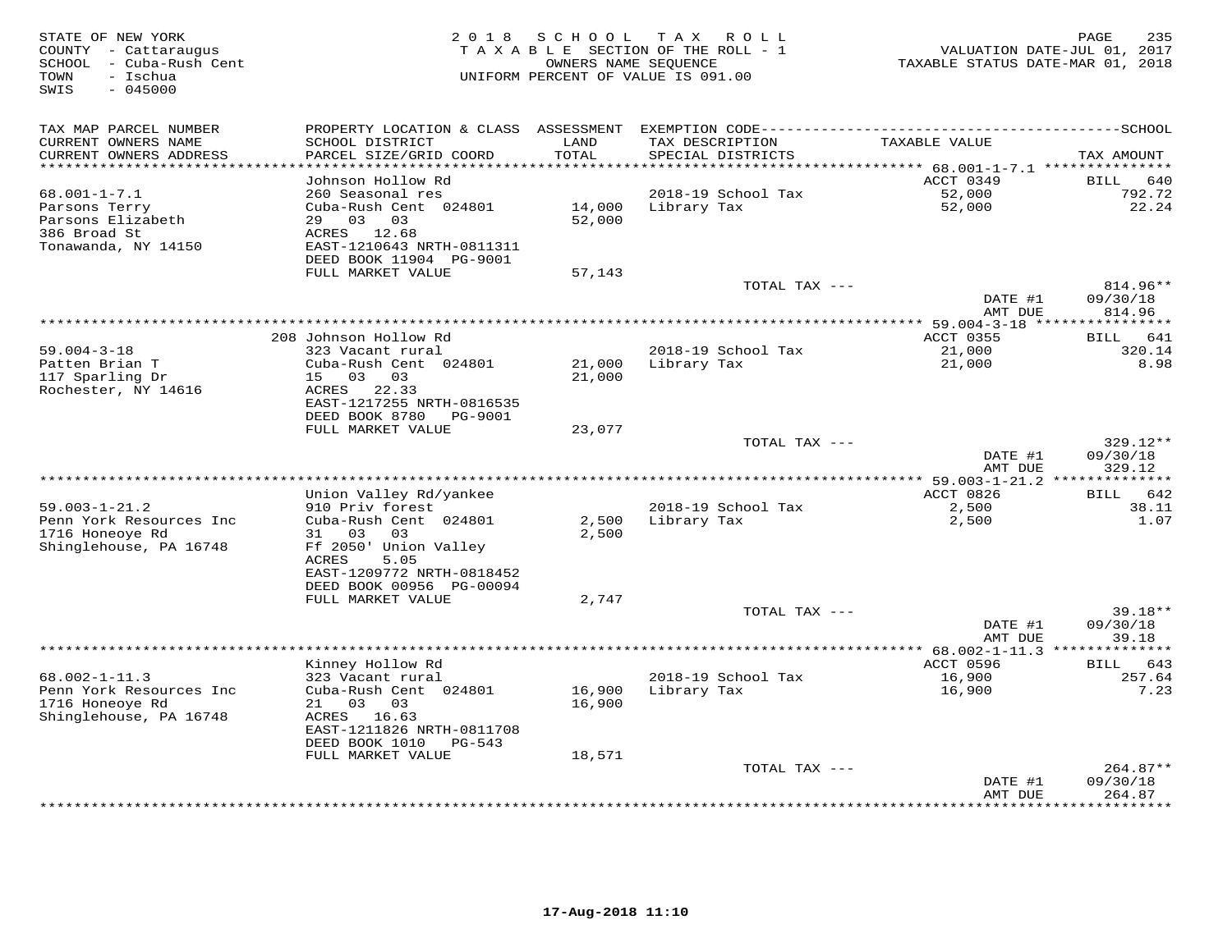| STATE OF NEW YORK<br>COUNTY - Cattaraugus<br>SCHOOL - Cuba-Rush Cent<br>TOWN<br>- Ischua<br>SWIS<br>$-045000$ | 2 0 1 8                                           | S C H O O L      | T A X<br>R O L L<br>TAXABLE SECTION OF THE ROLL - 1<br>OWNERS NAME SEQUENCE<br>UNIFORM PERCENT OF VALUE IS 091.00 | TAXABLE STATUS DATE-MAR 01, 2018 | PAGE<br>235<br>VALUATION DATE-JUL 01, 2017 |
|---------------------------------------------------------------------------------------------------------------|---------------------------------------------------|------------------|-------------------------------------------------------------------------------------------------------------------|----------------------------------|--------------------------------------------|
| TAX MAP PARCEL NUMBER                                                                                         |                                                   |                  |                                                                                                                   |                                  |                                            |
| CURRENT OWNERS NAME<br>CURRENT OWNERS ADDRESS                                                                 | SCHOOL DISTRICT<br>PARCEL SIZE/GRID COORD         | LAND<br>TOTAL    | TAX DESCRIPTION<br>SPECIAL DISTRICTS                                                                              | TAXABLE VALUE                    | TAX AMOUNT                                 |
| **********************                                                                                        | Johnson Hollow Rd                                 |                  |                                                                                                                   | ACCT 0349                        | <b>BILL</b><br>640                         |
| $68.001 - 1 - 7.1$                                                                                            | 260 Seasonal res                                  |                  | 2018-19 School Tax                                                                                                | 52,000                           | 792.72                                     |
| Parsons Terry                                                                                                 | Cuba-Rush Cent 024801                             | 14,000           | Library Tax                                                                                                       | 52,000                           | 22.24                                      |
| Parsons Elizabeth                                                                                             | 29 03<br>03                                       | 52,000           |                                                                                                                   |                                  |                                            |
| 386 Broad St                                                                                                  | ACRES<br>12.68                                    |                  |                                                                                                                   |                                  |                                            |
| Tonawanda, NY 14150                                                                                           | EAST-1210643 NRTH-0811311                         |                  |                                                                                                                   |                                  |                                            |
|                                                                                                               | DEED BOOK 11904 PG-9001                           |                  |                                                                                                                   |                                  |                                            |
|                                                                                                               | FULL MARKET VALUE                                 | 57,143           | TOTAL TAX ---                                                                                                     |                                  | 814.96**                                   |
|                                                                                                               |                                                   |                  |                                                                                                                   | DATE #1                          | 09/30/18                                   |
|                                                                                                               |                                                   |                  |                                                                                                                   | AMT DUE                          | 814.96                                     |
|                                                                                                               |                                                   |                  | **********************                                                                                            | ** 59.004-3-18 ****************  |                                            |
|                                                                                                               | 208 Johnson Hollow Rd                             |                  |                                                                                                                   | <b>ACCT 0355</b>                 | BILL<br>641                                |
| $59.004 - 3 - 18$                                                                                             | 323 Vacant rural                                  |                  | 2018-19 School Tax                                                                                                | 21,000                           | 320.14                                     |
| Patten Brian T<br>117 Sparling Dr                                                                             | Cuba-Rush Cent 024801<br>$03$ 03<br>15            | 21,000<br>21,000 | Library Tax                                                                                                       | 21,000                           | 8.98                                       |
| Rochester, NY 14616                                                                                           | ACRES<br>22.33                                    |                  |                                                                                                                   |                                  |                                            |
|                                                                                                               | EAST-1217255 NRTH-0816535                         |                  |                                                                                                                   |                                  |                                            |
|                                                                                                               | DEED BOOK 8780<br>PG-9001                         |                  |                                                                                                                   |                                  |                                            |
|                                                                                                               | FULL MARKET VALUE                                 | 23,077           |                                                                                                                   |                                  |                                            |
|                                                                                                               |                                                   |                  | TOTAL TAX ---                                                                                                     |                                  | 329.12**                                   |
|                                                                                                               |                                                   |                  |                                                                                                                   | DATE #1<br>AMT DUE               | 09/30/18<br>329.12                         |
| ******************************                                                                                |                                                   |                  |                                                                                                                   |                                  | *********                                  |
|                                                                                                               | Union Valley Rd/yankee                            |                  |                                                                                                                   | ACCT 0826                        | 642<br>BILL                                |
| $59.003 - 1 - 21.2$                                                                                           | 910 Priv forest                                   |                  | 2018-19 School Tax                                                                                                | 2,500                            | 38.11                                      |
| Penn York Resources Inc                                                                                       | Cuba-Rush Cent 024801                             | 2,500            | Library Tax                                                                                                       | 2,500                            | 1.07                                       |
| 1716 Honeoye Rd                                                                                               | 31<br>03<br>03                                    | 2,500            |                                                                                                                   |                                  |                                            |
| Shinglehouse, PA 16748                                                                                        | Ff 2050' Union Valley                             |                  |                                                                                                                   |                                  |                                            |
|                                                                                                               | <b>ACRES</b><br>5.05<br>EAST-1209772 NRTH-0818452 |                  |                                                                                                                   |                                  |                                            |
|                                                                                                               | DEED BOOK 00956 PG-00094                          |                  |                                                                                                                   |                                  |                                            |
|                                                                                                               | FULL MARKET VALUE                                 | 2,747            |                                                                                                                   |                                  |                                            |
|                                                                                                               |                                                   |                  | TOTAL TAX ---                                                                                                     |                                  | $39.18**$                                  |
|                                                                                                               |                                                   |                  |                                                                                                                   | DATE #1                          | 09/30/18                                   |
|                                                                                                               |                                                   |                  |                                                                                                                   | AMT DUE                          | 39.18                                      |
|                                                                                                               | Kinney Hollow Rd                                  |                  |                                                                                                                   | ACCT 0596                        | 643<br>BILL                                |
| $68.002 - 1 - 11.3$                                                                                           | 323 Vacant rural                                  |                  | 2018-19 School Tax                                                                                                | 16,900                           | 257.64                                     |
| Penn York Resources Inc                                                                                       | Cuba-Rush Cent 024801                             | 16,900           | Library Tax                                                                                                       | 16,900                           | 7.23                                       |
| 1716 Honeoye Rd                                                                                               | 03<br>03<br>21                                    | 16,900           |                                                                                                                   |                                  |                                            |
| Shinglehouse, PA 16748                                                                                        | ACRES 16.63                                       |                  |                                                                                                                   |                                  |                                            |
|                                                                                                               | EAST-1211826 NRTH-0811708                         |                  |                                                                                                                   |                                  |                                            |
|                                                                                                               | DEED BOOK 1010<br>PG-543                          |                  |                                                                                                                   |                                  |                                            |
|                                                                                                               | FULL MARKET VALUE                                 | 18,571           | TOTAL TAX ---                                                                                                     |                                  | $264.87**$                                 |
|                                                                                                               |                                                   |                  |                                                                                                                   | DATE #1                          | 09/30/18                                   |
|                                                                                                               |                                                   |                  |                                                                                                                   | AMT DUE                          | 264.87                                     |
|                                                                                                               |                                                   |                  | ****************************                                                                                      |                                  | * * * * * * * * *                          |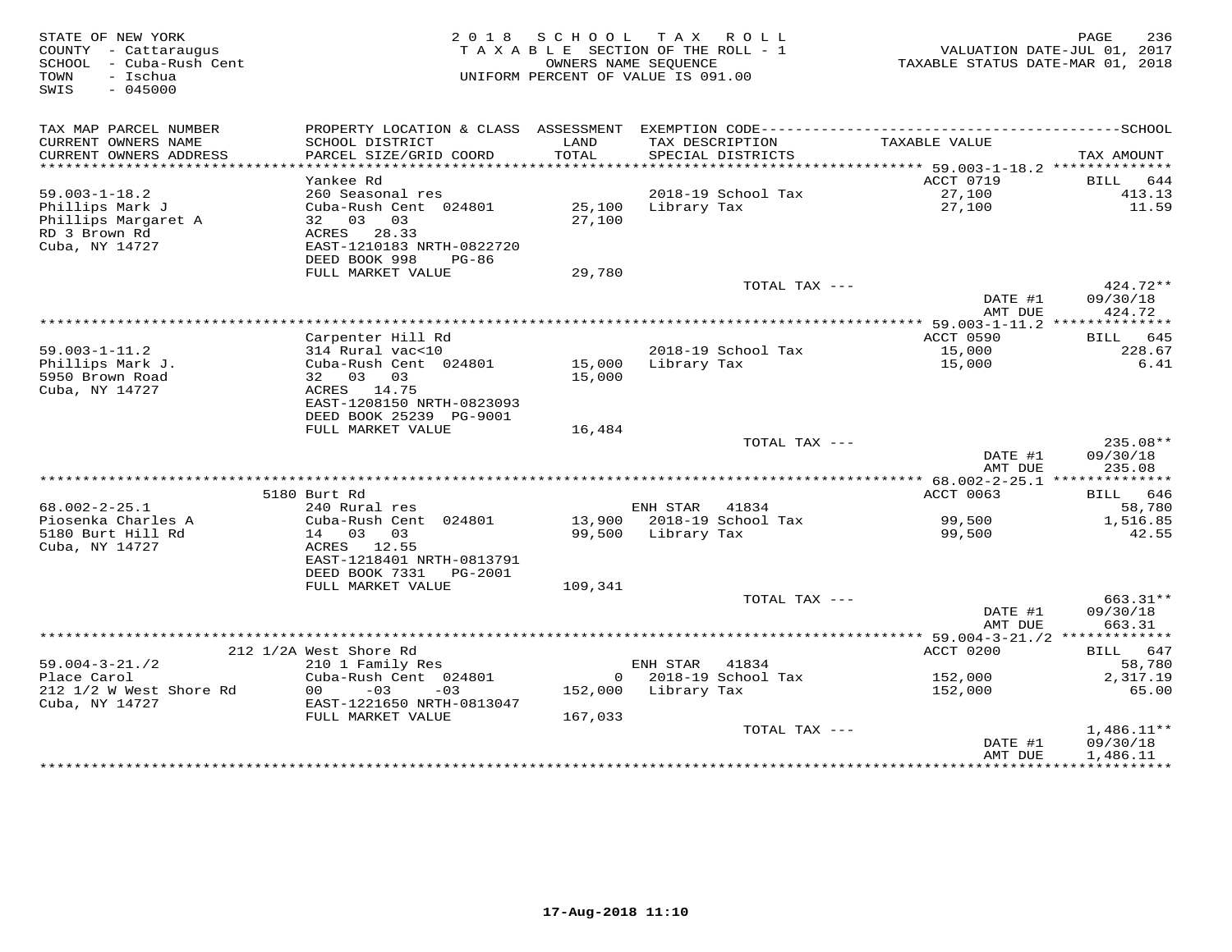| STATE OF NEW YORK<br>COUNTY - Cattaraugus<br>SCHOOL - Cuba-Rush Cent<br>TOWN<br>- Ischua<br>$-045000$<br>SWIS |                                                      | 2018 SCHOOL          | TAX ROLL<br>TAXABLE SECTION OF THE ROLL - 1<br>OWNERS NAME SEQUENCE<br>UNIFORM PERCENT OF VALUE IS 091.00 | VALUATION DATE-JUL 01, 2017<br>TAXABLE STATUS DATE-MAR 01, 2018 | PAGE<br>236        |
|---------------------------------------------------------------------------------------------------------------|------------------------------------------------------|----------------------|-----------------------------------------------------------------------------------------------------------|-----------------------------------------------------------------|--------------------|
| TAX MAP PARCEL NUMBER                                                                                         |                                                      |                      |                                                                                                           |                                                                 |                    |
| CURRENT OWNERS NAME<br>CURRENT OWNERS ADDRESS                                                                 | SCHOOL DISTRICT<br>PARCEL SIZE/GRID COORD            | LAND<br><b>TOTAL</b> | TAX DESCRIPTION<br>SPECIAL DISTRICTS                                                                      | TAXABLE VALUE                                                   |                    |
| ***********************                                                                                       |                                                      |                      |                                                                                                           |                                                                 | TAX AMOUNT         |
|                                                                                                               | Yankee Rd                                            |                      |                                                                                                           | ACCT 0719                                                       | BILL 644           |
| $59.003 - 1 - 18.2$                                                                                           | 260 Seasonal res                                     |                      | 2018-19 School Tax                                                                                        | 27,100                                                          | 413.13             |
| Phillips Mark J                                                                                               | Cuba-Rush Cent 024801                                | 25,100               | Library Tax                                                                                               | 27,100                                                          | 11.59              |
| Phillips Margaret A                                                                                           | 32 03 03                                             | 27,100               |                                                                                                           |                                                                 |                    |
| RD 3 Brown Rd<br>Cuba, NY 14727                                                                               | ACRES 28.33<br>EAST-1210183 NRTH-0822720             |                      |                                                                                                           |                                                                 |                    |
|                                                                                                               | DEED BOOK 998<br>PG-86                               |                      |                                                                                                           |                                                                 |                    |
|                                                                                                               | FULL MARKET VALUE                                    | 29,780               |                                                                                                           |                                                                 |                    |
|                                                                                                               |                                                      |                      | TOTAL TAX ---                                                                                             |                                                                 | 424.72**           |
|                                                                                                               |                                                      |                      |                                                                                                           | DATE #1                                                         | 09/30/18           |
|                                                                                                               |                                                      |                      |                                                                                                           | AMT DUE                                                         | 424.72             |
|                                                                                                               | Carpenter Hill Rd                                    |                      |                                                                                                           | *********** 59.003-1-11.2 **************<br>ACCT 0590           | BILL 645           |
| $59.003 - 1 - 11.2$                                                                                           | 314 Rural vac<10                                     |                      | 2018-19 School Tax                                                                                        | 15,000                                                          | 228.67             |
| Phillips Mark J.                                                                                              | Cuba-Rush Cent 024801                                |                      | 15,000 Library Tax                                                                                        | 15,000                                                          | 6.41               |
| 5950 Brown Road                                                                                               | 32 03 03                                             | 15,000               |                                                                                                           |                                                                 |                    |
| Cuba, NY 14727                                                                                                | ACRES 14.75                                          |                      |                                                                                                           |                                                                 |                    |
|                                                                                                               | EAST-1208150 NRTH-0823093<br>DEED BOOK 25239 PG-9001 |                      |                                                                                                           |                                                                 |                    |
|                                                                                                               | FULL MARKET VALUE                                    | 16,484               |                                                                                                           |                                                                 |                    |
|                                                                                                               |                                                      |                      | TOTAL TAX ---                                                                                             |                                                                 | 235.08**           |
|                                                                                                               |                                                      |                      |                                                                                                           | DATE #1                                                         | 09/30/18           |
|                                                                                                               |                                                      |                      |                                                                                                           | AMT DUE                                                         | 235.08             |
|                                                                                                               |                                                      |                      |                                                                                                           |                                                                 |                    |
| $68.002 - 2 - 25.1$                                                                                           | 5180 Burt Rd<br>240 Rural res                        |                      | ENH STAR<br>41834                                                                                         | ACCT 0063                                                       | BILL 646<br>58,780 |
| Piosenka Charles A                                                                                            | Cuba-Rush Cent 024801                                |                      | 13,900 2018-19 School Tax                                                                                 | 99,500                                                          | 1,516.85           |
| 5180 Burt Hill Rd                                                                                             | 14 03 03                                             |                      | 99,500 Library Tax                                                                                        | 99,500                                                          | 42.55              |
| Cuba, NY 14727                                                                                                | ACRES 12.55                                          |                      |                                                                                                           |                                                                 |                    |
|                                                                                                               | EAST-1218401 NRTH-0813791                            |                      |                                                                                                           |                                                                 |                    |
|                                                                                                               | DEED BOOK 7331 PG-2001<br>FULL MARKET VALUE          | 109,341              |                                                                                                           |                                                                 |                    |
|                                                                                                               |                                                      |                      | TOTAL TAX ---                                                                                             |                                                                 | $663.31**$         |
|                                                                                                               |                                                      |                      |                                                                                                           | DATE #1                                                         | 09/30/18           |
|                                                                                                               |                                                      |                      |                                                                                                           | AMT DUE                                                         | 663.31             |
|                                                                                                               |                                                      |                      |                                                                                                           |                                                                 |                    |
|                                                                                                               | 212 1/2A West Shore Rd                               |                      |                                                                                                           | ACCT 0200                                                       | BILL 647           |
| $59.004 - 3 - 21.72$<br>Place Carol                                                                           | 210 1 Family Res<br>Cuba-Rush Cent 024801            |                      | ENH STAR<br>41834<br>$0$ 2018-19 School Tax                                                               | 152,000                                                         | 58,780<br>2,317.19 |
| 212 1/2 W West Shore Rd                                                                                       | 0 <sub>0</sub><br>$-03$<br>$-03$                     |                      | 152,000 Library Tax                                                                                       | 152,000                                                         | 65.00              |
| Cuba, NY 14727                                                                                                | EAST-1221650 NRTH-0813047                            |                      |                                                                                                           |                                                                 |                    |
|                                                                                                               | FULL MARKET VALUE                                    | 167,033              |                                                                                                           |                                                                 |                    |
|                                                                                                               |                                                      |                      | TOTAL TAX ---                                                                                             |                                                                 | $1,486.11**$       |
|                                                                                                               |                                                      |                      |                                                                                                           | DATE #1                                                         | 09/30/18           |
|                                                                                                               |                                                      |                      |                                                                                                           | AMT DUE                                                         | 1,486.11           |
|                                                                                                               |                                                      |                      |                                                                                                           |                                                                 |                    |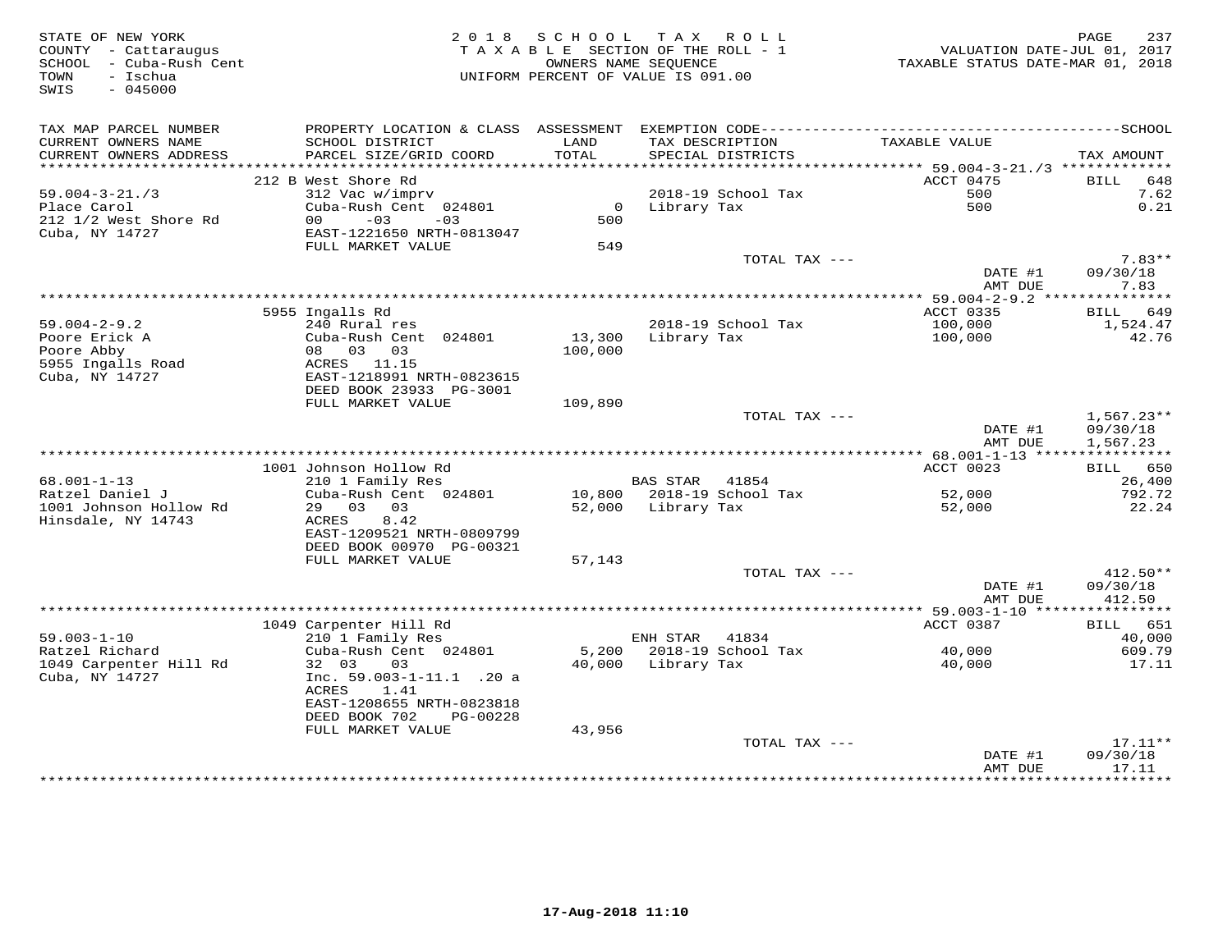| STATE OF NEW YORK<br>COUNTY - Cattaraugus<br>SCHOOL - Cuba-Rush Cent<br>TOWN<br>– Ischua<br>SWIS<br>$-045000$ |                                               | 2018 SCHOOL   | TAX ROLL<br>TAXABLE SECTION OF THE ROLL - 1<br>OWNERS NAME SEQUENCE<br>UNIFORM PERCENT OF VALUE IS 091.00 | VALUATION DATE-JUL 01, 2017<br>TAXABLE STATUS DATE-MAR 01, 2018 | PAGE<br>237          |
|---------------------------------------------------------------------------------------------------------------|-----------------------------------------------|---------------|-----------------------------------------------------------------------------------------------------------|-----------------------------------------------------------------|----------------------|
| TAX MAP PARCEL NUMBER<br>CURRENT OWNERS NAME<br>CURRENT OWNERS ADDRESS                                        | SCHOOL DISTRICT<br>PARCEL SIZE/GRID COORD     | LAND<br>TOTAL | TAX DESCRIPTION<br>SPECIAL DISTRICTS                                                                      | TAXABLE VALUE                                                   | TAX AMOUNT           |
|                                                                                                               |                                               |               |                                                                                                           |                                                                 |                      |
|                                                                                                               | 212 B West Shore Rd                           |               |                                                                                                           | ACCT 0475                                                       | BILL 648             |
| $59.004 - 3 - 21.73$                                                                                          | 312 Vac w/imprv                               |               | 2018-19 School Tax                                                                                        | 500                                                             | 7.62                 |
| Place Carol<br>212 1/2 West Shore Rd                                                                          | Cuba-Rush Cent 024801<br>$00 - 03$<br>$-03$   | 500           | $2010 - 12$ $5010$ $12010$ $120$ $120$                                                                    | 500                                                             | 0.21                 |
| Cuba, NY 14727                                                                                                | EAST-1221650 NRTH-0813047                     |               |                                                                                                           |                                                                 |                      |
|                                                                                                               | FULL MARKET VALUE                             | 549           |                                                                                                           |                                                                 |                      |
|                                                                                                               |                                               |               | TOTAL TAX ---                                                                                             |                                                                 | $7.83**$             |
|                                                                                                               |                                               |               |                                                                                                           | DATE #1                                                         | 09/30/18             |
|                                                                                                               |                                               |               |                                                                                                           | AMT DUE                                                         | 7.83                 |
|                                                                                                               | 5955 Ingalls Rd                               |               |                                                                                                           | ACCT 0335                                                       | BILL 649             |
| $59.004 - 2 - 9.2$                                                                                            | 240 Rural res                                 |               | 2018-19 School Tax                                                                                        | 100,000                                                         | 1,524.47             |
| Poore Erick A                                                                                                 | Cuba-Rush Cent 024801                         |               | 13,300 Library Tax                                                                                        | 100,000                                                         | 42.76                |
| Poore Abby                                                                                                    | 08 03 03                                      | 100,000       |                                                                                                           |                                                                 |                      |
| 5955 Ingalls Road<br>Cuba, NY 14727                                                                           | ACRES 11.15<br>EAST-1218991 NRTH-0823615      |               |                                                                                                           |                                                                 |                      |
|                                                                                                               | DEED BOOK 23933 PG-3001                       |               |                                                                                                           |                                                                 |                      |
|                                                                                                               | FULL MARKET VALUE                             | 109,890       |                                                                                                           |                                                                 |                      |
|                                                                                                               |                                               |               | TOTAL TAX ---                                                                                             |                                                                 | $1,567.23**$         |
|                                                                                                               |                                               |               |                                                                                                           | DATE #1<br>AMT DUE                                              | 09/30/18<br>1,567.23 |
|                                                                                                               |                                               |               |                                                                                                           |                                                                 |                      |
| 68.001-1-13                                                                                                   | 1001 Johnson Hollow Rd                        |               | BAS STAR 41854                                                                                            | ACCT 0023                                                       | BILL 650             |
| Ratzel Daniel J                                                                                               | 210 1 Family Res<br>Cuba-Rush Cent 024801     |               | 10,800 2018-19 School Tax                                                                                 | 52,000                                                          | 26,400<br>792.72     |
| 1001 Johnson Hollow Rd                                                                                        | 29 03 03                                      |               | 52,000 Library Tax                                                                                        | 52,000                                                          | 22.24                |
| Hinsdale, NY 14743                                                                                            | ACRES<br>8.42                                 |               |                                                                                                           |                                                                 |                      |
|                                                                                                               | EAST-1209521 NRTH-0809799                     |               |                                                                                                           |                                                                 |                      |
|                                                                                                               | DEED BOOK 00970 PG-00321<br>FULL MARKET VALUE | 57,143        |                                                                                                           |                                                                 |                      |
|                                                                                                               |                                               |               | TOTAL TAX ---                                                                                             |                                                                 | $412.50**$           |
|                                                                                                               |                                               |               |                                                                                                           | DATE #1                                                         | 09/30/18             |
|                                                                                                               |                                               |               |                                                                                                           | AMT DUE                                                         | 412.50               |
|                                                                                                               |                                               |               |                                                                                                           |                                                                 |                      |
| $59.003 - 1 - 10$                                                                                             | 1049 Carpenter Hill Rd<br>210 1 Family Res    |               | ENH STAR 41834                                                                                            | ACCT 0387                                                       | BILL 651<br>40,000   |
| Ratzel Richard                                                                                                | Cuba-Rush Cent 024801                         |               | 5,200 2018-19 School Tax                                                                                  | 40,000                                                          | 609.79               |
| 1049 Carpenter Hill Rd                                                                                        | 32 03<br>03                                   |               | 40,000 Library Tax                                                                                        | 40,000                                                          | 17.11                |
| Cuba, NY 14727                                                                                                | Inc. 59.003-1-11.1 .20 a                      |               |                                                                                                           |                                                                 |                      |
|                                                                                                               | ACRES<br>1.41                                 |               |                                                                                                           |                                                                 |                      |
|                                                                                                               | EAST-1208655 NRTH-0823818<br>PG-00228         |               |                                                                                                           |                                                                 |                      |
|                                                                                                               | DEED BOOK 702<br>FULL MARKET VALUE            | 43,956        |                                                                                                           |                                                                 |                      |
|                                                                                                               |                                               |               | TOTAL TAX ---                                                                                             |                                                                 | $17.11**$            |
|                                                                                                               |                                               |               |                                                                                                           | DATE #1                                                         | 09/30/18             |
|                                                                                                               |                                               |               |                                                                                                           | AMT DUE                                                         | 17.11<br>**********  |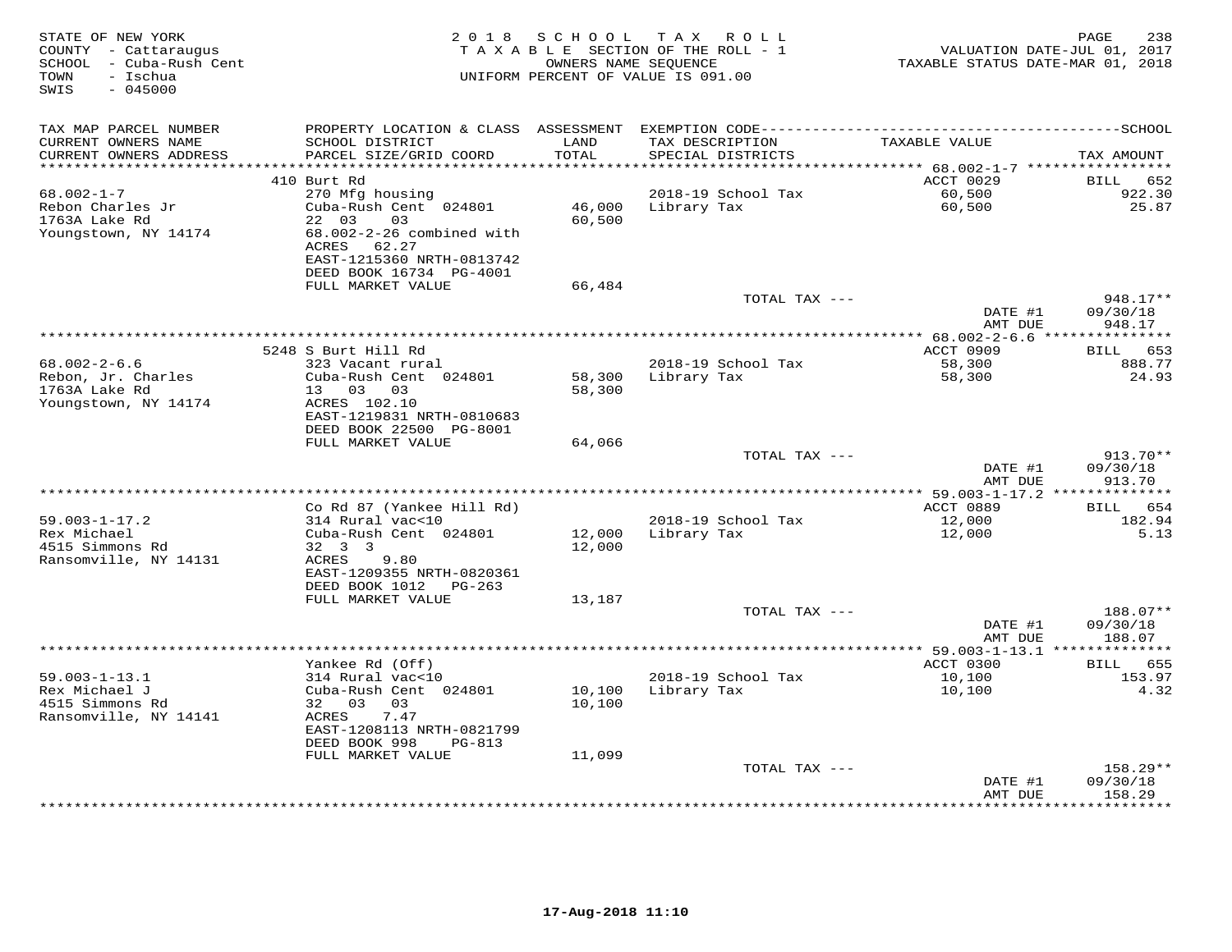| TAX MAP PARCEL NUMBER<br>CURRENT OWNERS NAME<br>SCHOOL DISTRICT<br>LAND<br>TAX DESCRIPTION<br>TAXABLE VALUE<br>TOTAL<br>CURRENT OWNERS ADDRESS<br>PARCEL SIZE/GRID COORD<br>SPECIAL DISTRICTS<br>TAX AMOUNT<br>***********************<br>*****************************<br>ACCT 0029<br>410 Burt Rd<br>652<br>BILL<br>$68.002 - 1 - 7$<br>270 Mfg housing<br>2018-19 School Tax<br>60,500<br>922.30<br>46,000<br>60,500<br>25.87<br>Rebon Charles Jr<br>Cuba-Rush Cent 024801<br>Library Tax<br>1763A Lake Rd<br>22 03<br>03<br>60,500<br>68.002-2-26 combined with<br>Youngstown, NY 14174<br>ACRES 62.27<br>EAST-1215360 NRTH-0813742<br>DEED BOOK 16734 PG-4001<br>FULL MARKET VALUE<br>66,484<br>TOTAL TAX ---<br>948.17**<br>09/30/18<br>DATE #1<br>948.17<br>AMT DUE<br>*************************<br>******* 68.002-2-6.6 **<br>5248 S Burt Hill Rd<br>ACCT 0909<br>653<br>BILL<br>$68.002 - 2 - 6.6$<br>2018-19 School Tax<br>888.77<br>323 Vacant rural<br>58,300<br>Rebon, Jr. Charles<br>Cuba-Rush Cent 024801<br>58,300<br>58,300<br>24.93<br>Library Tax<br>1763A Lake Rd<br>13 03<br>03<br>58,300<br>Youngstown, NY 14174<br>ACRES 102.10<br>EAST-1219831 NRTH-0810683<br>DEED BOOK 22500 PG-8001<br>FULL MARKET VALUE<br>64,066<br>TOTAL TAX ---<br>913.70**<br>DATE #1<br>09/30/18<br>AMT DUE<br>913.70<br>*********************************<br>*** 59.003-1-17.2 **<br>* * * * * * * * * * * *<br>Co Rd 87 (Yankee Hill Rd)<br>ACCT 0889<br>654<br><b>BILL</b><br>$59.003 - 1 - 17.2$<br>314 Rural vac<10<br>2018-19 School Tax<br>12,000<br>182.94<br>Rex Michael<br>Cuba-Rush Cent 024801<br>Library Tax<br>12,000<br>5.13<br>12,000<br>4515 Simmons Rd<br>32 3 3<br>12,000<br>Ransomville, NY 14131<br>9.80<br>ACRES<br>EAST-1209355 NRTH-0820361<br>DEED BOOK 1012<br>PG-263<br>FULL MARKET VALUE<br>13,187<br>TOTAL TAX ---<br>188.07**<br>DATE #1<br>09/30/18<br>AMT DUE<br>188.07<br>Yankee Rd (Off)<br>ACCT 0300<br>BILL 655<br>$59.003 - 1 - 13.1$<br>314 Rural vac<10<br>2018-19 School Tax<br>10,100<br>153.97<br>Rex Michael J<br>Cuba-Rush Cent 024801<br>10,100<br>Library Tax<br>10,100<br>4.32<br>4515 Simmons Rd<br>32 03<br>03<br>10,100<br>7.47<br>Ransomville, NY 14141<br>ACRES<br>EAST-1208113 NRTH-0821799<br>DEED BOOK 998<br><b>PG-813</b><br>FULL MARKET VALUE<br>11,099<br>TOTAL TAX ---<br>158.29**<br>09/30/18<br>DATE #1<br>158.29<br>AMT DUE<br>********* | STATE OF NEW YORK<br>COUNTY - Cattaraugus<br>SCHOOL - Cuba-Rush Cent<br>TOWN<br>- Ischua<br>$-045000$<br>SWIS | 2 0 1 8 | SCHOOL | TAX ROLL<br>TAXABLE SECTION OF THE ROLL - 1<br>OWNERS NAME SEQUENCE<br>UNIFORM PERCENT OF VALUE IS 091.00 | TAXABLE STATUS DATE-MAR 01, 2018 | 238<br>PAGE<br>VALUATION DATE-JUL 01, 2017 |
|----------------------------------------------------------------------------------------------------------------------------------------------------------------------------------------------------------------------------------------------------------------------------------------------------------------------------------------------------------------------------------------------------------------------------------------------------------------------------------------------------------------------------------------------------------------------------------------------------------------------------------------------------------------------------------------------------------------------------------------------------------------------------------------------------------------------------------------------------------------------------------------------------------------------------------------------------------------------------------------------------------------------------------------------------------------------------------------------------------------------------------------------------------------------------------------------------------------------------------------------------------------------------------------------------------------------------------------------------------------------------------------------------------------------------------------------------------------------------------------------------------------------------------------------------------------------------------------------------------------------------------------------------------------------------------------------------------------------------------------------------------------------------------------------------------------------------------------------------------------------------------------------------------------------------------------------------------------------------------------------------------------------------------------------------------------------------------------------------------------------------------------------------------------------------------------------------------------------------------------------------------------------------------------------------------------------------------------------------------------------------------------------------------|---------------------------------------------------------------------------------------------------------------|---------|--------|-----------------------------------------------------------------------------------------------------------|----------------------------------|--------------------------------------------|
|                                                                                                                                                                                                                                                                                                                                                                                                                                                                                                                                                                                                                                                                                                                                                                                                                                                                                                                                                                                                                                                                                                                                                                                                                                                                                                                                                                                                                                                                                                                                                                                                                                                                                                                                                                                                                                                                                                                                                                                                                                                                                                                                                                                                                                                                                                                                                                                                          |                                                                                                               |         |        |                                                                                                           |                                  |                                            |
|                                                                                                                                                                                                                                                                                                                                                                                                                                                                                                                                                                                                                                                                                                                                                                                                                                                                                                                                                                                                                                                                                                                                                                                                                                                                                                                                                                                                                                                                                                                                                                                                                                                                                                                                                                                                                                                                                                                                                                                                                                                                                                                                                                                                                                                                                                                                                                                                          |                                                                                                               |         |        |                                                                                                           |                                  |                                            |
|                                                                                                                                                                                                                                                                                                                                                                                                                                                                                                                                                                                                                                                                                                                                                                                                                                                                                                                                                                                                                                                                                                                                                                                                                                                                                                                                                                                                                                                                                                                                                                                                                                                                                                                                                                                                                                                                                                                                                                                                                                                                                                                                                                                                                                                                                                                                                                                                          |                                                                                                               |         |        |                                                                                                           |                                  |                                            |
|                                                                                                                                                                                                                                                                                                                                                                                                                                                                                                                                                                                                                                                                                                                                                                                                                                                                                                                                                                                                                                                                                                                                                                                                                                                                                                                                                                                                                                                                                                                                                                                                                                                                                                                                                                                                                                                                                                                                                                                                                                                                                                                                                                                                                                                                                                                                                                                                          |                                                                                                               |         |        |                                                                                                           |                                  |                                            |
|                                                                                                                                                                                                                                                                                                                                                                                                                                                                                                                                                                                                                                                                                                                                                                                                                                                                                                                                                                                                                                                                                                                                                                                                                                                                                                                                                                                                                                                                                                                                                                                                                                                                                                                                                                                                                                                                                                                                                                                                                                                                                                                                                                                                                                                                                                                                                                                                          |                                                                                                               |         |        |                                                                                                           |                                  |                                            |
|                                                                                                                                                                                                                                                                                                                                                                                                                                                                                                                                                                                                                                                                                                                                                                                                                                                                                                                                                                                                                                                                                                                                                                                                                                                                                                                                                                                                                                                                                                                                                                                                                                                                                                                                                                                                                                                                                                                                                                                                                                                                                                                                                                                                                                                                                                                                                                                                          |                                                                                                               |         |        |                                                                                                           |                                  |                                            |
|                                                                                                                                                                                                                                                                                                                                                                                                                                                                                                                                                                                                                                                                                                                                                                                                                                                                                                                                                                                                                                                                                                                                                                                                                                                                                                                                                                                                                                                                                                                                                                                                                                                                                                                                                                                                                                                                                                                                                                                                                                                                                                                                                                                                                                                                                                                                                                                                          |                                                                                                               |         |        |                                                                                                           |                                  |                                            |
|                                                                                                                                                                                                                                                                                                                                                                                                                                                                                                                                                                                                                                                                                                                                                                                                                                                                                                                                                                                                                                                                                                                                                                                                                                                                                                                                                                                                                                                                                                                                                                                                                                                                                                                                                                                                                                                                                                                                                                                                                                                                                                                                                                                                                                                                                                                                                                                                          |                                                                                                               |         |        |                                                                                                           |                                  |                                            |
|                                                                                                                                                                                                                                                                                                                                                                                                                                                                                                                                                                                                                                                                                                                                                                                                                                                                                                                                                                                                                                                                                                                                                                                                                                                                                                                                                                                                                                                                                                                                                                                                                                                                                                                                                                                                                                                                                                                                                                                                                                                                                                                                                                                                                                                                                                                                                                                                          |                                                                                                               |         |        |                                                                                                           |                                  |                                            |
|                                                                                                                                                                                                                                                                                                                                                                                                                                                                                                                                                                                                                                                                                                                                                                                                                                                                                                                                                                                                                                                                                                                                                                                                                                                                                                                                                                                                                                                                                                                                                                                                                                                                                                                                                                                                                                                                                                                                                                                                                                                                                                                                                                                                                                                                                                                                                                                                          |                                                                                                               |         |        |                                                                                                           |                                  |                                            |
|                                                                                                                                                                                                                                                                                                                                                                                                                                                                                                                                                                                                                                                                                                                                                                                                                                                                                                                                                                                                                                                                                                                                                                                                                                                                                                                                                                                                                                                                                                                                                                                                                                                                                                                                                                                                                                                                                                                                                                                                                                                                                                                                                                                                                                                                                                                                                                                                          |                                                                                                               |         |        |                                                                                                           |                                  |                                            |
|                                                                                                                                                                                                                                                                                                                                                                                                                                                                                                                                                                                                                                                                                                                                                                                                                                                                                                                                                                                                                                                                                                                                                                                                                                                                                                                                                                                                                                                                                                                                                                                                                                                                                                                                                                                                                                                                                                                                                                                                                                                                                                                                                                                                                                                                                                                                                                                                          |                                                                                                               |         |        |                                                                                                           |                                  |                                            |
|                                                                                                                                                                                                                                                                                                                                                                                                                                                                                                                                                                                                                                                                                                                                                                                                                                                                                                                                                                                                                                                                                                                                                                                                                                                                                                                                                                                                                                                                                                                                                                                                                                                                                                                                                                                                                                                                                                                                                                                                                                                                                                                                                                                                                                                                                                                                                                                                          |                                                                                                               |         |        |                                                                                                           |                                  |                                            |
|                                                                                                                                                                                                                                                                                                                                                                                                                                                                                                                                                                                                                                                                                                                                                                                                                                                                                                                                                                                                                                                                                                                                                                                                                                                                                                                                                                                                                                                                                                                                                                                                                                                                                                                                                                                                                                                                                                                                                                                                                                                                                                                                                                                                                                                                                                                                                                                                          |                                                                                                               |         |        |                                                                                                           |                                  |                                            |
|                                                                                                                                                                                                                                                                                                                                                                                                                                                                                                                                                                                                                                                                                                                                                                                                                                                                                                                                                                                                                                                                                                                                                                                                                                                                                                                                                                                                                                                                                                                                                                                                                                                                                                                                                                                                                                                                                                                                                                                                                                                                                                                                                                                                                                                                                                                                                                                                          |                                                                                                               |         |        |                                                                                                           |                                  |                                            |
|                                                                                                                                                                                                                                                                                                                                                                                                                                                                                                                                                                                                                                                                                                                                                                                                                                                                                                                                                                                                                                                                                                                                                                                                                                                                                                                                                                                                                                                                                                                                                                                                                                                                                                                                                                                                                                                                                                                                                                                                                                                                                                                                                                                                                                                                                                                                                                                                          |                                                                                                               |         |        |                                                                                                           |                                  |                                            |
|                                                                                                                                                                                                                                                                                                                                                                                                                                                                                                                                                                                                                                                                                                                                                                                                                                                                                                                                                                                                                                                                                                                                                                                                                                                                                                                                                                                                                                                                                                                                                                                                                                                                                                                                                                                                                                                                                                                                                                                                                                                                                                                                                                                                                                                                                                                                                                                                          |                                                                                                               |         |        |                                                                                                           |                                  |                                            |
|                                                                                                                                                                                                                                                                                                                                                                                                                                                                                                                                                                                                                                                                                                                                                                                                                                                                                                                                                                                                                                                                                                                                                                                                                                                                                                                                                                                                                                                                                                                                                                                                                                                                                                                                                                                                                                                                                                                                                                                                                                                                                                                                                                                                                                                                                                                                                                                                          |                                                                                                               |         |        |                                                                                                           |                                  |                                            |
|                                                                                                                                                                                                                                                                                                                                                                                                                                                                                                                                                                                                                                                                                                                                                                                                                                                                                                                                                                                                                                                                                                                                                                                                                                                                                                                                                                                                                                                                                                                                                                                                                                                                                                                                                                                                                                                                                                                                                                                                                                                                                                                                                                                                                                                                                                                                                                                                          |                                                                                                               |         |        |                                                                                                           |                                  |                                            |
|                                                                                                                                                                                                                                                                                                                                                                                                                                                                                                                                                                                                                                                                                                                                                                                                                                                                                                                                                                                                                                                                                                                                                                                                                                                                                                                                                                                                                                                                                                                                                                                                                                                                                                                                                                                                                                                                                                                                                                                                                                                                                                                                                                                                                                                                                                                                                                                                          |                                                                                                               |         |        |                                                                                                           |                                  |                                            |
|                                                                                                                                                                                                                                                                                                                                                                                                                                                                                                                                                                                                                                                                                                                                                                                                                                                                                                                                                                                                                                                                                                                                                                                                                                                                                                                                                                                                                                                                                                                                                                                                                                                                                                                                                                                                                                                                                                                                                                                                                                                                                                                                                                                                                                                                                                                                                                                                          |                                                                                                               |         |        |                                                                                                           |                                  |                                            |
|                                                                                                                                                                                                                                                                                                                                                                                                                                                                                                                                                                                                                                                                                                                                                                                                                                                                                                                                                                                                                                                                                                                                                                                                                                                                                                                                                                                                                                                                                                                                                                                                                                                                                                                                                                                                                                                                                                                                                                                                                                                                                                                                                                                                                                                                                                                                                                                                          |                                                                                                               |         |        |                                                                                                           |                                  |                                            |
|                                                                                                                                                                                                                                                                                                                                                                                                                                                                                                                                                                                                                                                                                                                                                                                                                                                                                                                                                                                                                                                                                                                                                                                                                                                                                                                                                                                                                                                                                                                                                                                                                                                                                                                                                                                                                                                                                                                                                                                                                                                                                                                                                                                                                                                                                                                                                                                                          |                                                                                                               |         |        |                                                                                                           |                                  |                                            |
|                                                                                                                                                                                                                                                                                                                                                                                                                                                                                                                                                                                                                                                                                                                                                                                                                                                                                                                                                                                                                                                                                                                                                                                                                                                                                                                                                                                                                                                                                                                                                                                                                                                                                                                                                                                                                                                                                                                                                                                                                                                                                                                                                                                                                                                                                                                                                                                                          |                                                                                                               |         |        |                                                                                                           |                                  |                                            |
|                                                                                                                                                                                                                                                                                                                                                                                                                                                                                                                                                                                                                                                                                                                                                                                                                                                                                                                                                                                                                                                                                                                                                                                                                                                                                                                                                                                                                                                                                                                                                                                                                                                                                                                                                                                                                                                                                                                                                                                                                                                                                                                                                                                                                                                                                                                                                                                                          |                                                                                                               |         |        |                                                                                                           |                                  |                                            |
|                                                                                                                                                                                                                                                                                                                                                                                                                                                                                                                                                                                                                                                                                                                                                                                                                                                                                                                                                                                                                                                                                                                                                                                                                                                                                                                                                                                                                                                                                                                                                                                                                                                                                                                                                                                                                                                                                                                                                                                                                                                                                                                                                                                                                                                                                                                                                                                                          |                                                                                                               |         |        |                                                                                                           |                                  |                                            |
|                                                                                                                                                                                                                                                                                                                                                                                                                                                                                                                                                                                                                                                                                                                                                                                                                                                                                                                                                                                                                                                                                                                                                                                                                                                                                                                                                                                                                                                                                                                                                                                                                                                                                                                                                                                                                                                                                                                                                                                                                                                                                                                                                                                                                                                                                                                                                                                                          |                                                                                                               |         |        |                                                                                                           |                                  |                                            |
|                                                                                                                                                                                                                                                                                                                                                                                                                                                                                                                                                                                                                                                                                                                                                                                                                                                                                                                                                                                                                                                                                                                                                                                                                                                                                                                                                                                                                                                                                                                                                                                                                                                                                                                                                                                                                                                                                                                                                                                                                                                                                                                                                                                                                                                                                                                                                                                                          |                                                                                                               |         |        |                                                                                                           |                                  |                                            |
|                                                                                                                                                                                                                                                                                                                                                                                                                                                                                                                                                                                                                                                                                                                                                                                                                                                                                                                                                                                                                                                                                                                                                                                                                                                                                                                                                                                                                                                                                                                                                                                                                                                                                                                                                                                                                                                                                                                                                                                                                                                                                                                                                                                                                                                                                                                                                                                                          |                                                                                                               |         |        |                                                                                                           |                                  |                                            |
|                                                                                                                                                                                                                                                                                                                                                                                                                                                                                                                                                                                                                                                                                                                                                                                                                                                                                                                                                                                                                                                                                                                                                                                                                                                                                                                                                                                                                                                                                                                                                                                                                                                                                                                                                                                                                                                                                                                                                                                                                                                                                                                                                                                                                                                                                                                                                                                                          |                                                                                                               |         |        |                                                                                                           |                                  |                                            |
|                                                                                                                                                                                                                                                                                                                                                                                                                                                                                                                                                                                                                                                                                                                                                                                                                                                                                                                                                                                                                                                                                                                                                                                                                                                                                                                                                                                                                                                                                                                                                                                                                                                                                                                                                                                                                                                                                                                                                                                                                                                                                                                                                                                                                                                                                                                                                                                                          |                                                                                                               |         |        |                                                                                                           |                                  |                                            |
|                                                                                                                                                                                                                                                                                                                                                                                                                                                                                                                                                                                                                                                                                                                                                                                                                                                                                                                                                                                                                                                                                                                                                                                                                                                                                                                                                                                                                                                                                                                                                                                                                                                                                                                                                                                                                                                                                                                                                                                                                                                                                                                                                                                                                                                                                                                                                                                                          |                                                                                                               |         |        |                                                                                                           |                                  |                                            |
|                                                                                                                                                                                                                                                                                                                                                                                                                                                                                                                                                                                                                                                                                                                                                                                                                                                                                                                                                                                                                                                                                                                                                                                                                                                                                                                                                                                                                                                                                                                                                                                                                                                                                                                                                                                                                                                                                                                                                                                                                                                                                                                                                                                                                                                                                                                                                                                                          |                                                                                                               |         |        |                                                                                                           |                                  |                                            |
|                                                                                                                                                                                                                                                                                                                                                                                                                                                                                                                                                                                                                                                                                                                                                                                                                                                                                                                                                                                                                                                                                                                                                                                                                                                                                                                                                                                                                                                                                                                                                                                                                                                                                                                                                                                                                                                                                                                                                                                                                                                                                                                                                                                                                                                                                                                                                                                                          |                                                                                                               |         |        |                                                                                                           |                                  |                                            |
|                                                                                                                                                                                                                                                                                                                                                                                                                                                                                                                                                                                                                                                                                                                                                                                                                                                                                                                                                                                                                                                                                                                                                                                                                                                                                                                                                                                                                                                                                                                                                                                                                                                                                                                                                                                                                                                                                                                                                                                                                                                                                                                                                                                                                                                                                                                                                                                                          |                                                                                                               |         |        |                                                                                                           |                                  |                                            |
|                                                                                                                                                                                                                                                                                                                                                                                                                                                                                                                                                                                                                                                                                                                                                                                                                                                                                                                                                                                                                                                                                                                                                                                                                                                                                                                                                                                                                                                                                                                                                                                                                                                                                                                                                                                                                                                                                                                                                                                                                                                                                                                                                                                                                                                                                                                                                                                                          |                                                                                                               |         |        |                                                                                                           |                                  |                                            |
|                                                                                                                                                                                                                                                                                                                                                                                                                                                                                                                                                                                                                                                                                                                                                                                                                                                                                                                                                                                                                                                                                                                                                                                                                                                                                                                                                                                                                                                                                                                                                                                                                                                                                                                                                                                                                                                                                                                                                                                                                                                                                                                                                                                                                                                                                                                                                                                                          |                                                                                                               |         |        |                                                                                                           |                                  |                                            |
|                                                                                                                                                                                                                                                                                                                                                                                                                                                                                                                                                                                                                                                                                                                                                                                                                                                                                                                                                                                                                                                                                                                                                                                                                                                                                                                                                                                                                                                                                                                                                                                                                                                                                                                                                                                                                                                                                                                                                                                                                                                                                                                                                                                                                                                                                                                                                                                                          |                                                                                                               |         |        |                                                                                                           |                                  |                                            |
|                                                                                                                                                                                                                                                                                                                                                                                                                                                                                                                                                                                                                                                                                                                                                                                                                                                                                                                                                                                                                                                                                                                                                                                                                                                                                                                                                                                                                                                                                                                                                                                                                                                                                                                                                                                                                                                                                                                                                                                                                                                                                                                                                                                                                                                                                                                                                                                                          |                                                                                                               |         |        |                                                                                                           |                                  |                                            |
|                                                                                                                                                                                                                                                                                                                                                                                                                                                                                                                                                                                                                                                                                                                                                                                                                                                                                                                                                                                                                                                                                                                                                                                                                                                                                                                                                                                                                                                                                                                                                                                                                                                                                                                                                                                                                                                                                                                                                                                                                                                                                                                                                                                                                                                                                                                                                                                                          |                                                                                                               |         |        |                                                                                                           |                                  |                                            |
|                                                                                                                                                                                                                                                                                                                                                                                                                                                                                                                                                                                                                                                                                                                                                                                                                                                                                                                                                                                                                                                                                                                                                                                                                                                                                                                                                                                                                                                                                                                                                                                                                                                                                                                                                                                                                                                                                                                                                                                                                                                                                                                                                                                                                                                                                                                                                                                                          |                                                                                                               |         |        |                                                                                                           |                                  |                                            |
|                                                                                                                                                                                                                                                                                                                                                                                                                                                                                                                                                                                                                                                                                                                                                                                                                                                                                                                                                                                                                                                                                                                                                                                                                                                                                                                                                                                                                                                                                                                                                                                                                                                                                                                                                                                                                                                                                                                                                                                                                                                                                                                                                                                                                                                                                                                                                                                                          |                                                                                                               |         |        |                                                                                                           |                                  |                                            |
|                                                                                                                                                                                                                                                                                                                                                                                                                                                                                                                                                                                                                                                                                                                                                                                                                                                                                                                                                                                                                                                                                                                                                                                                                                                                                                                                                                                                                                                                                                                                                                                                                                                                                                                                                                                                                                                                                                                                                                                                                                                                                                                                                                                                                                                                                                                                                                                                          |                                                                                                               |         |        |                                                                                                           |                                  |                                            |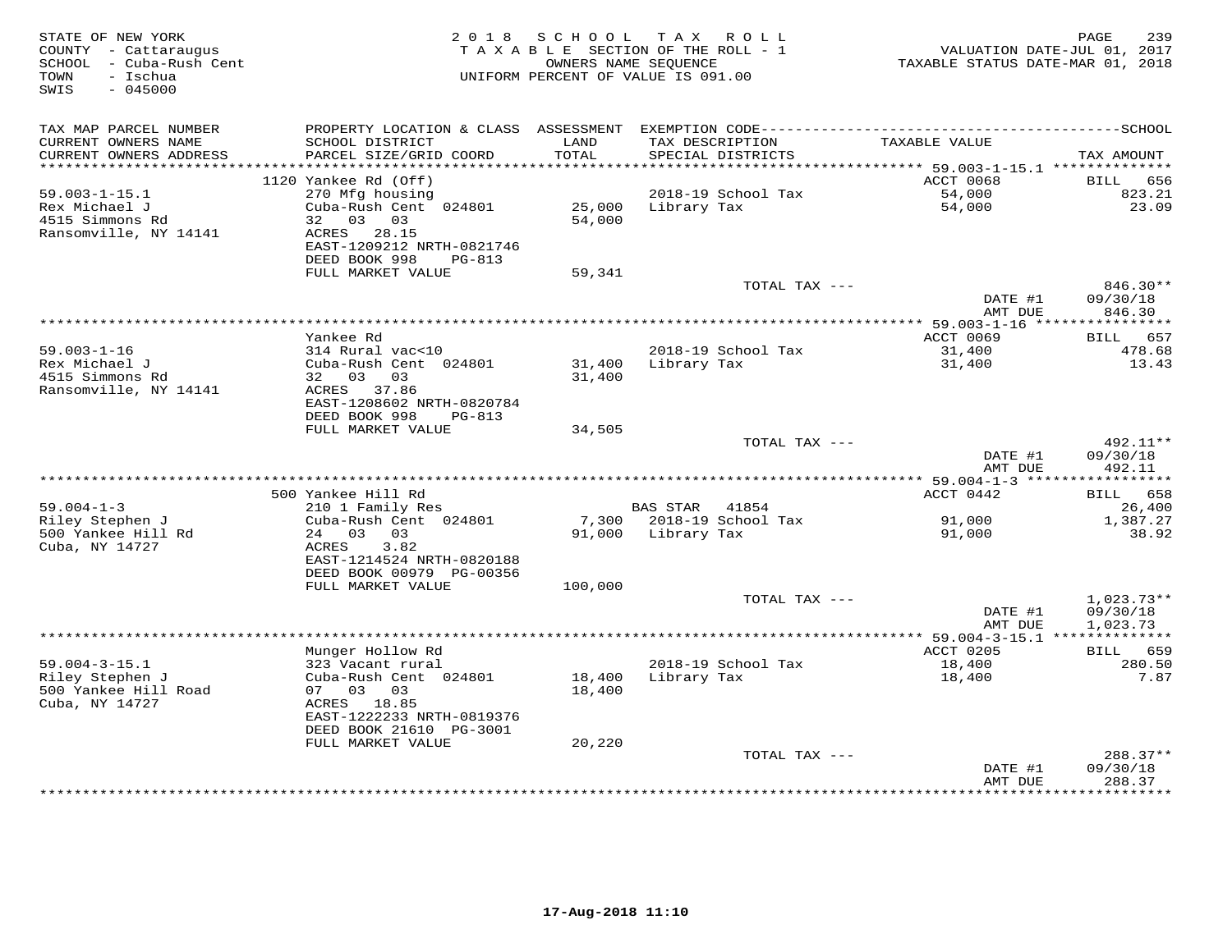| STATE OF NEW YORK<br>COUNTY - Cattaraugus<br>SCHOOL - Cuba-Rush Cent<br>- Ischua<br>TOWN<br>$-045000$<br>SWIS | 2 0 1 8                                   | S C H O O L   | T A X<br>ROLL<br>TAXABLE SECTION OF THE ROLL - 1<br>OWNERS NAME SEQUENCE<br>UNIFORM PERCENT OF VALUE IS 091.00 | VALUATION DATE-JUL 01, 2017<br>TAXABLE STATUS DATE-MAR 01, 2018 | PAGE<br>239           |
|---------------------------------------------------------------------------------------------------------------|-------------------------------------------|---------------|----------------------------------------------------------------------------------------------------------------|-----------------------------------------------------------------|-----------------------|
| TAX MAP PARCEL NUMBER                                                                                         |                                           |               |                                                                                                                |                                                                 |                       |
| CURRENT OWNERS NAME<br>CURRENT OWNERS ADDRESS                                                                 | SCHOOL DISTRICT<br>PARCEL SIZE/GRID COORD | LAND<br>TOTAL | TAX DESCRIPTION<br>SPECIAL DISTRICTS                                                                           | TAXABLE VALUE                                                   | TAX AMOUNT            |
| ************************                                                                                      |                                           |               |                                                                                                                |                                                                 |                       |
| $59.003 - 1 - 15.1$                                                                                           | 1120 Yankee Rd (Off)<br>270 Mfg housing   |               | 2018-19 School Tax                                                                                             | ACCT 0068<br>54,000                                             | 656<br>BILL<br>823.21 |
| Rex Michael J                                                                                                 | Cuba-Rush Cent 024801                     | 25,000        | Library Tax                                                                                                    | 54,000                                                          | 23.09                 |
| 4515 Simmons Rd                                                                                               | 32 03 03                                  | 54,000        |                                                                                                                |                                                                 |                       |
| Ransomville, NY 14141                                                                                         | 28.15<br>ACRES                            |               |                                                                                                                |                                                                 |                       |
|                                                                                                               | EAST-1209212 NRTH-0821746                 |               |                                                                                                                |                                                                 |                       |
|                                                                                                               | DEED BOOK 998<br>PG-813                   |               |                                                                                                                |                                                                 |                       |
|                                                                                                               | FULL MARKET VALUE                         | 59,341        | TOTAL TAX ---                                                                                                  |                                                                 | 846.30**              |
|                                                                                                               |                                           |               |                                                                                                                | DATE #1                                                         | 09/30/18              |
|                                                                                                               |                                           |               |                                                                                                                | AMT DUE                                                         | 846.30                |
|                                                                                                               |                                           |               | ********************************                                                                               | ********** 59.003-1-16 *****************                        |                       |
|                                                                                                               | Yankee Rd                                 |               |                                                                                                                | ACCT 0069                                                       | 657<br>BILL           |
| $59.003 - 1 - 16$                                                                                             | 314 Rural vac<10                          |               | 2018-19 School Tax                                                                                             | 31,400                                                          | 478.68                |
| Rex Michael J                                                                                                 | Cuba-Rush Cent 024801                     | 31,400        | Library Tax                                                                                                    | 31,400                                                          | 13.43                 |
| 4515 Simmons Rd<br>Ransomville, NY 14141                                                                      | 32 03<br>03<br>ACRES 37.86                | 31,400        |                                                                                                                |                                                                 |                       |
|                                                                                                               | EAST-1208602 NRTH-0820784                 |               |                                                                                                                |                                                                 |                       |
|                                                                                                               | DEED BOOK 998<br>PG-813                   |               |                                                                                                                |                                                                 |                       |
|                                                                                                               | FULL MARKET VALUE                         | 34,505        |                                                                                                                |                                                                 |                       |
|                                                                                                               |                                           |               | TOTAL TAX ---                                                                                                  |                                                                 | 492.11**              |
|                                                                                                               |                                           |               |                                                                                                                | DATE #1                                                         | 09/30/18              |
|                                                                                                               |                                           |               |                                                                                                                | AMT DUE                                                         | 492.11                |
|                                                                                                               | 500 Yankee Hill Rd                        |               |                                                                                                                | ACCT 0442                                                       | <b>BILL</b><br>658    |
| $59.004 - 1 - 3$                                                                                              | 210 1 Family Res                          |               | BAS STAR 41854                                                                                                 |                                                                 | 26,400                |
| Riley Stephen J                                                                                               | Cuba-Rush Cent 024801                     |               | 7,300 2018-19 School Tax                                                                                       | 91,000                                                          | 1,387.27              |
| 500 Yankee Hill Rd                                                                                            | 24 03<br>03                               |               | 91,000 Library Tax                                                                                             | 91,000                                                          | 38.92                 |
| Cuba, NY 14727                                                                                                | 3.82<br>ACRES                             |               |                                                                                                                |                                                                 |                       |
|                                                                                                               | EAST-1214524 NRTH-0820188                 |               |                                                                                                                |                                                                 |                       |
|                                                                                                               | DEED BOOK 00979 PG-00356                  |               |                                                                                                                |                                                                 |                       |
|                                                                                                               | FULL MARKET VALUE                         | 100,000       | TOTAL TAX ---                                                                                                  |                                                                 | $1,023.73**$          |
|                                                                                                               |                                           |               |                                                                                                                | DATE #1                                                         | 09/30/18              |
|                                                                                                               |                                           |               |                                                                                                                | AMT DUE                                                         | 1,023.73              |
|                                                                                                               |                                           |               |                                                                                                                | *********** 59.004-3-15.1 **************                        |                       |
|                                                                                                               | Munger Hollow Rd                          |               |                                                                                                                | ACCT 0205                                                       | 659<br>BILL           |
| $59.004 - 3 - 15.1$                                                                                           | 323 Vacant rural                          |               | 2018-19 School Tax                                                                                             | 18,400                                                          | 280.50                |
| Riley Stephen J                                                                                               | Cuba-Rush Cent 024801                     | 18,400        | Library Tax                                                                                                    | 18,400                                                          | 7.87                  |
| 500 Yankee Hill Road<br>Cuba, NY 14727                                                                        | 07 03 03<br>ACRES 18.85                   | 18,400        |                                                                                                                |                                                                 |                       |
|                                                                                                               | EAST-1222233 NRTH-0819376                 |               |                                                                                                                |                                                                 |                       |
|                                                                                                               | DEED BOOK 21610 PG-3001                   |               |                                                                                                                |                                                                 |                       |
|                                                                                                               | FULL MARKET VALUE                         | 20,220        |                                                                                                                |                                                                 |                       |
|                                                                                                               |                                           |               | TOTAL TAX ---                                                                                                  |                                                                 | $288.37**$            |
|                                                                                                               |                                           |               |                                                                                                                | DATE #1                                                         | 09/30/18              |
|                                                                                                               |                                           |               |                                                                                                                | AMT DUE<br>************                                         | 288.37<br>**********  |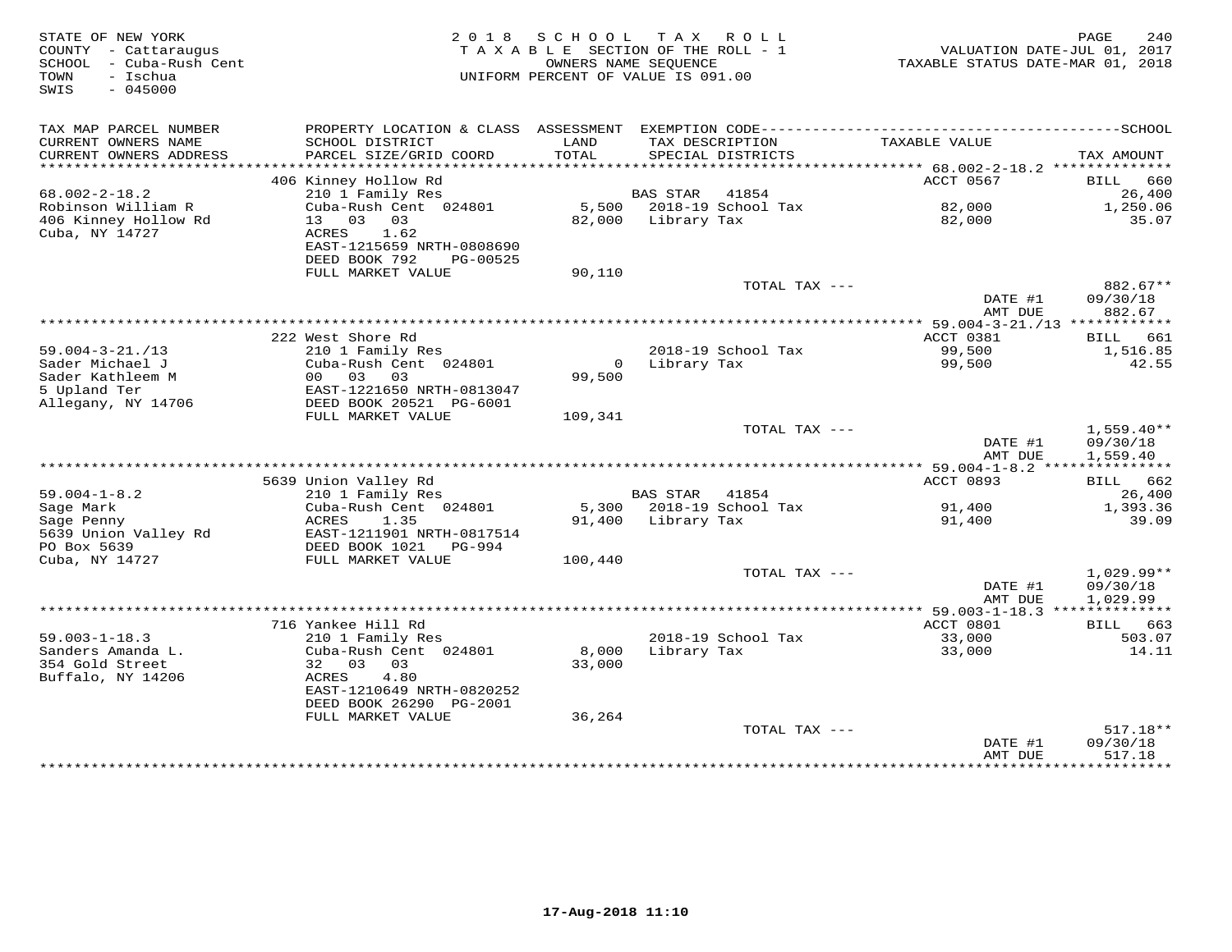| STATE OF NEW YORK<br>COUNTY - Cattaraugus<br>SCHOOL - Cuba-Rush Cent<br>- Ischua<br>TOWN<br>$-045000$<br>SWIS | 2 0 1 8                                                                                                      |                 | SCHOOL TAX ROLL<br>TAXABLE SECTION OF THE ROLL - 1<br>OWNERS NAME SEOUENCE<br>UNIFORM PERCENT OF VALUE IS 091.00 | VALUATION DATE-JUL 01, 2017<br>TAXABLE STATUS DATE-MAR 01, 2018 | 240<br>PAGE                          |
|---------------------------------------------------------------------------------------------------------------|--------------------------------------------------------------------------------------------------------------|-----------------|------------------------------------------------------------------------------------------------------------------|-----------------------------------------------------------------|--------------------------------------|
| TAX MAP PARCEL NUMBER<br>CURRENT OWNERS NAME<br>CURRENT OWNERS ADDRESS                                        | SCHOOL DISTRICT<br>PARCEL SIZE/GRID COORD                                                                    | LAND<br>TOTAL   | TAX DESCRIPTION<br>SPECIAL DISTRICTS                                                                             | TAXABLE VALUE                                                   | TAX AMOUNT                           |
| ***********************                                                                                       |                                                                                                              |                 |                                                                                                                  |                                                                 |                                      |
|                                                                                                               | 406 Kinney Hollow Rd                                                                                         |                 |                                                                                                                  | ACCT 0567                                                       | 660<br>BILL                          |
| $68.002 - 2 - 18.2$                                                                                           | 210 1 Family Res                                                                                             |                 | <b>BAS STAR</b><br>41854                                                                                         |                                                                 | 26,400                               |
| Robinson William R<br>406 Kinney Hollow Rd<br>Cuba, NY 14727                                                  | Cuba-Rush Cent 024801<br>13 03 03<br>ACRES<br>1.62<br>EAST-1215659 NRTH-0808690<br>DEED BOOK 792<br>PG-00525 |                 | 5,500 2018-19 School Tax<br>82,000 Library Tax                                                                   | 82,000<br>82,000                                                | 1,250.06<br>35.07                    |
|                                                                                                               | FULL MARKET VALUE                                                                                            | 90,110          |                                                                                                                  |                                                                 |                                      |
|                                                                                                               |                                                                                                              |                 | TOTAL TAX ---                                                                                                    | DATE #1<br>AMT DUE                                              | 882.67**<br>09/30/18<br>882.67       |
|                                                                                                               |                                                                                                              |                 |                                                                                                                  |                                                                 |                                      |
|                                                                                                               | 222 West Shore Rd                                                                                            |                 |                                                                                                                  | ACCT 0381                                                       | BILL 661                             |
| $59.004 - 3 - 21. / 13$                                                                                       | 210 1 Family Res                                                                                             |                 | 2018-19 School Tax                                                                                               | 99,500                                                          | 1,516.85                             |
| Sader Michael J                                                                                               | Cuba-Rush Cent 024801                                                                                        |                 | 0 Library Tax                                                                                                    | 99,500                                                          | 42.55                                |
| Sader Kathleem M                                                                                              | 00 <sup>o</sup><br>03<br>03                                                                                  | 99,500          |                                                                                                                  |                                                                 |                                      |
| 5 Upland Ter<br>Allegany, NY 14706                                                                            | EAST-1221650 NRTH-0813047<br>DEED BOOK 20521 PG-6001                                                         |                 |                                                                                                                  |                                                                 |                                      |
|                                                                                                               | FULL MARKET VALUE                                                                                            | 109,341         |                                                                                                                  |                                                                 |                                      |
|                                                                                                               |                                                                                                              |                 | TOTAL TAX ---                                                                                                    | DATE #1<br>AMT DUE                                              | $1,559.40**$<br>09/30/18<br>1,559.40 |
|                                                                                                               |                                                                                                              |                 |                                                                                                                  |                                                                 |                                      |
|                                                                                                               | 5639 Union Valley Rd                                                                                         |                 |                                                                                                                  | ACCT 0893                                                       | BILL 662                             |
| $59.004 - 1 - 8.2$<br>Sage Mark                                                                               | 210 1 Family Res<br>Cuba-Rush Cent 024801                                                                    | 5,300           | BAS STAR 41854<br>2018-19 School Tax                                                                             | 91,400                                                          | 26,400<br>1,393.36                   |
| Sage Penny<br>5639 Union Valley Rd<br>PO Box 5639                                                             | ACRES<br>1.35<br>EAST-1211901 NRTH-0817514<br>DEED BOOK 1021 PG-994                                          |                 | 91,400 Library Tax                                                                                               | 91,400                                                          | 39.09                                |
| Cuba, NY 14727                                                                                                | FULL MARKET VALUE                                                                                            | 100,440         |                                                                                                                  |                                                                 |                                      |
|                                                                                                               |                                                                                                              |                 | TOTAL TAX ---                                                                                                    | DATE #1<br>AMT DUE                                              | $1,029.99**$<br>09/30/18<br>1,029.99 |
|                                                                                                               |                                                                                                              |                 |                                                                                                                  |                                                                 |                                      |
|                                                                                                               | 716 Yankee Hill Rd                                                                                           |                 |                                                                                                                  | ACCT 0801                                                       | BILL 663                             |
| $59.003 - 1 - 18.3$<br>Sanders Amanda L.<br>354 Gold Street<br>Buffalo, NY 14206                              | 210 1 Family Res<br>Cuba-Rush Cent 024801<br>32 03<br>03<br>4.80<br>ACRES                                    | 8,000<br>33,000 | 2018-19 School Tax<br>Library Tax                                                                                | 33,000<br>33,000                                                | 503.07<br>14.11                      |
|                                                                                                               | EAST-1210649 NRTH-0820252<br>DEED BOOK 26290 PG-2001                                                         |                 |                                                                                                                  |                                                                 |                                      |
|                                                                                                               | FULL MARKET VALUE                                                                                            | 36,264          |                                                                                                                  |                                                                 |                                      |
|                                                                                                               |                                                                                                              |                 | TOTAL TAX ---                                                                                                    | DATE #1<br>AMT DUE                                              | $517.18**$<br>09/30/18<br>517.18     |
|                                                                                                               |                                                                                                              |                 |                                                                                                                  |                                                                 | * * * * * * * * * *                  |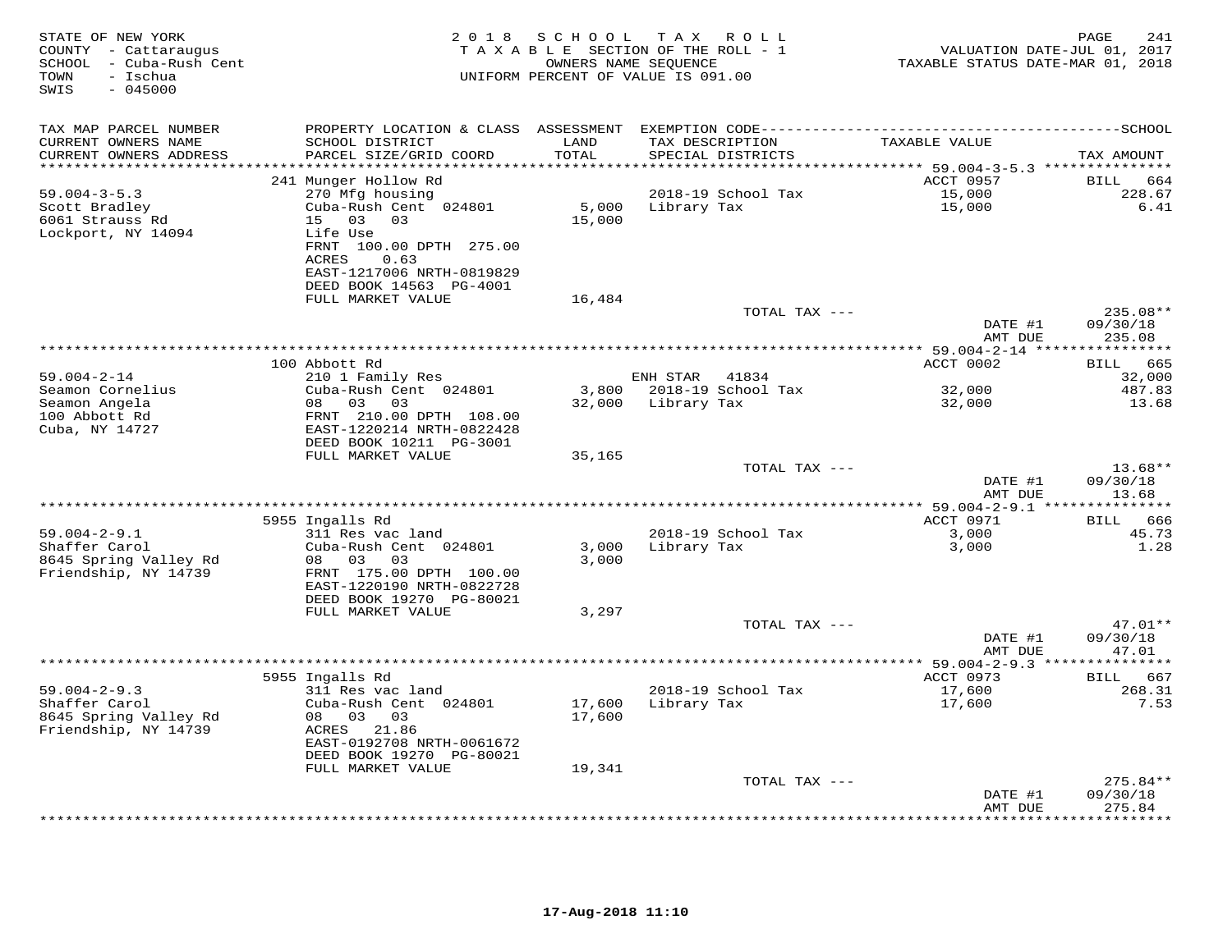| STATE OF NEW YORK<br>COUNTY - Cattaraugus<br>SCHOOL - Cuba-Rush Cent<br>- Ischua<br>TOWN<br>SWIS<br>$-045000$ |                                                                                                                                                                                              | 2018 SCHOOL                | T A X<br>R O L L<br>TAXABLE SECTION OF THE ROLL - 1<br>OWNERS NAME SEQUENCE<br>UNIFORM PERCENT OF VALUE IS 091.00                    | VALUATION DATE-JUL 01, 2017<br>TAXABLE STATUS DATE-MAR 01, 2018 | 241<br>PAGE                                 |
|---------------------------------------------------------------------------------------------------------------|----------------------------------------------------------------------------------------------------------------------------------------------------------------------------------------------|----------------------------|--------------------------------------------------------------------------------------------------------------------------------------|-----------------------------------------------------------------|---------------------------------------------|
| TAX MAP PARCEL NUMBER<br>CURRENT OWNERS NAME<br>CURRENT OWNERS ADDRESS                                        | SCHOOL DISTRICT<br>PARCEL SIZE/GRID COORD                                                                                                                                                    | LAND<br>TOTAL              | PROPERTY LOCATION & CLASS ASSESSMENT EXEMPTION CODE-----------------------------------SCHOOL<br>TAX DESCRIPTION<br>SPECIAL DISTRICTS | TAXABLE VALUE                                                   | TAX AMOUNT                                  |
| **********************                                                                                        | ***************************                                                                                                                                                                  |                            |                                                                                                                                      |                                                                 |                                             |
| $59.004 - 3 - 5.3$<br>Scott Bradley<br>6061 Strauss Rd<br>Lockport, NY 14094                                  | 241 Munger Hollow Rd<br>270 Mfg housing<br>Cuba-Rush Cent 024801<br>15 03 03<br>Life Use<br>FRNT 100.00 DPTH 275.00<br>ACRES<br>0.63<br>EAST-1217006 NRTH-0819829<br>DEED BOOK 14563 PG-4001 | 5,000<br>15,000            | 2018-19 School Tax<br>Library Tax                                                                                                    | ACCT 0957<br>15,000<br>15,000                                   | <b>BILL</b><br>664<br>228.67<br>6.41        |
|                                                                                                               | FULL MARKET VALUE                                                                                                                                                                            | 16,484                     | TOTAL TAX ---                                                                                                                        | DATE #1                                                         | $235.08**$<br>09/30/18                      |
|                                                                                                               |                                                                                                                                                                                              |                            |                                                                                                                                      | AMT DUE                                                         | 235.08                                      |
|                                                                                                               |                                                                                                                                                                                              |                            |                                                                                                                                      |                                                                 |                                             |
| $59.004 - 2 - 14$                                                                                             | 100 Abbott Rd<br>210 1 Family Res                                                                                                                                                            |                            | ENH STAR 41834                                                                                                                       | ACCT 0002                                                       | 665<br><b>BILL</b><br>32,000                |
| Seamon Cornelius                                                                                              | Cuba-Rush Cent 024801                                                                                                                                                                        | 3,800                      | 2018-19 School Tax                                                                                                                   | 32,000                                                          | 487.83                                      |
| Seamon Angela                                                                                                 | 08 03 03                                                                                                                                                                                     | 32,000                     | Library Tax                                                                                                                          | 32,000                                                          | 13.68                                       |
| 100 Abbott Rd<br>Cuba, NY 14727                                                                               | FRNT 210.00 DPTH 108.00<br>EAST-1220214 NRTH-0822428<br>DEED BOOK 10211 PG-3001                                                                                                              |                            |                                                                                                                                      |                                                                 |                                             |
|                                                                                                               | FULL MARKET VALUE                                                                                                                                                                            | 35,165                     |                                                                                                                                      |                                                                 |                                             |
|                                                                                                               |                                                                                                                                                                                              |                            | TOTAL TAX ---                                                                                                                        |                                                                 | $13.68**$                                   |
|                                                                                                               |                                                                                                                                                                                              |                            | *******************************                                                                                                      | DATE #1<br>AMT DUE                                              | 09/30/18<br>13.68                           |
|                                                                                                               | 5955 Ingalls Rd                                                                                                                                                                              |                            |                                                                                                                                      | ********** 59.004-2-9.1 **<br>ACCT 0971                         | * * * * * * * * * * *<br><b>BILL</b><br>666 |
| $59.004 - 2 - 9.1$                                                                                            | 311 Res vac land                                                                                                                                                                             |                            | 2018-19 School Tax                                                                                                                   | 3,000                                                           | 45.73                                       |
| Shaffer Carol<br>8645 Spring Valley Rd<br>Friendship, NY 14739                                                | Cuba-Rush Cent 024801<br>08 03<br>03<br>FRNT 175.00 DPTH 100.00<br>EAST-1220190 NRTH-0822728<br>DEED BOOK 19270 PG-80021                                                                     | 3,000<br>3,000             | Library Tax                                                                                                                          | 3,000                                                           | 1.28                                        |
|                                                                                                               | FULL MARKET VALUE                                                                                                                                                                            | 3,297                      |                                                                                                                                      |                                                                 |                                             |
|                                                                                                               |                                                                                                                                                                                              |                            | TOTAL TAX ---                                                                                                                        | DATE #1<br>AMT DUE                                              | $47.01**$<br>09/30/18<br>47.01              |
|                                                                                                               |                                                                                                                                                                                              |                            |                                                                                                                                      | **** 59.004-2-9.3 ***************                               |                                             |
|                                                                                                               | 5955 Ingalls Rd                                                                                                                                                                              |                            |                                                                                                                                      | ACCT 0973                                                       | BILL 667                                    |
| $59.004 - 2 - 9.3$<br>Shaffer Carol<br>8645 Spring Valley Rd<br>Friendship, NY 14739                          | 311 Res vac land<br>Cuba-Rush Cent 024801<br>08 03 03<br>ACRES 21.86<br>EAST-0192708 NRTH-0061672<br>DEED BOOK 19270 PG-80021<br>FULL MARKET VALUE                                           | 17,600<br>17,600<br>19,341 | 2018-19 School Tax<br>Library Tax                                                                                                    | 17,600<br>17,600                                                | 268.31<br>7.53                              |
|                                                                                                               |                                                                                                                                                                                              |                            | TOTAL TAX ---                                                                                                                        |                                                                 | $275.84**$                                  |
|                                                                                                               |                                                                                                                                                                                              |                            |                                                                                                                                      | DATE #1                                                         | 09/30/18                                    |
|                                                                                                               |                                                                                                                                                                                              |                            |                                                                                                                                      | AMT DUE                                                         | 275.84<br>* * * * * * * *                   |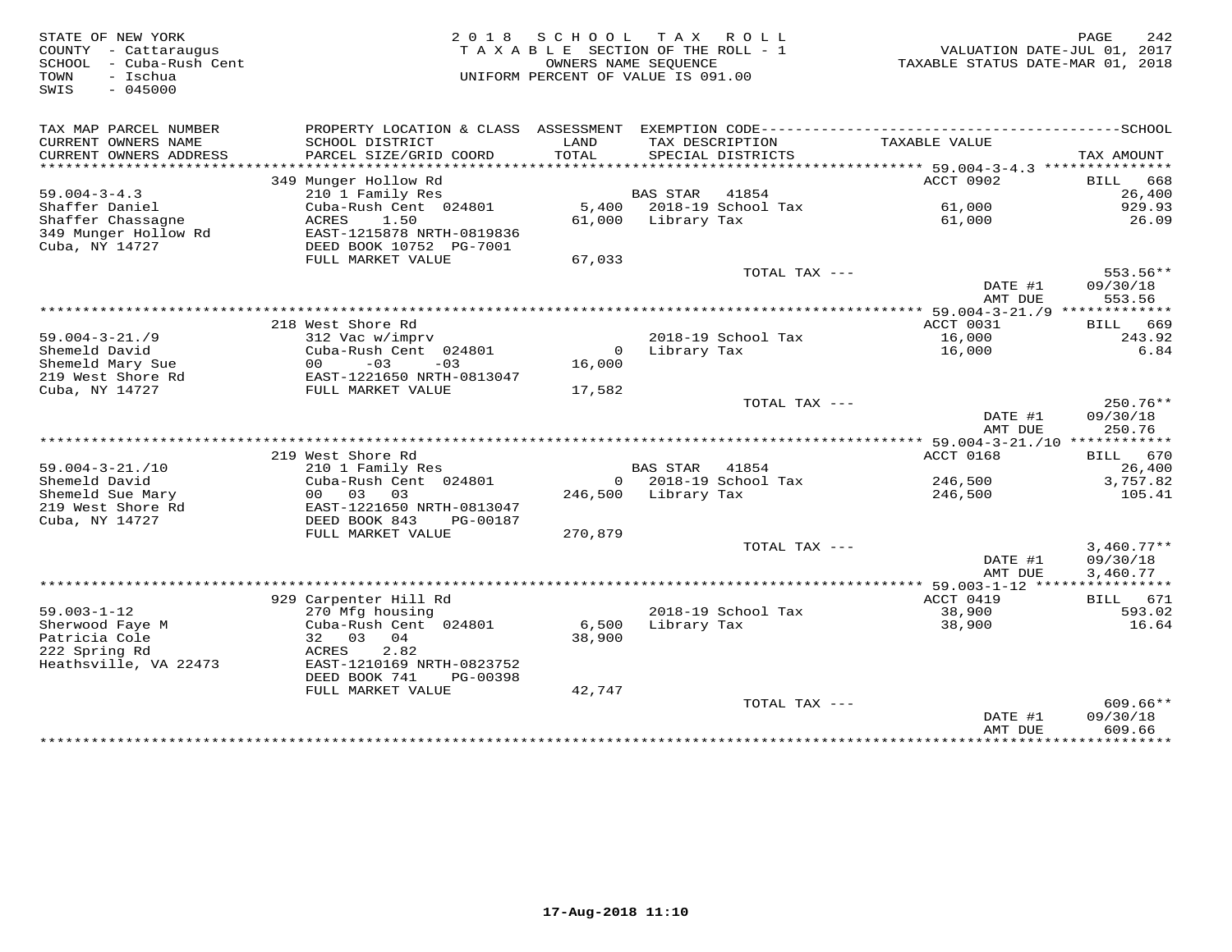STATE OF NEW YORK 2 0 1 8 S C H O O L T A X R O L L PAGE 242 COUNTY - Cattaraugus T A X A B L E SECTION OF THE ROLL - 1 VALUATION DATE-JUL 01, 2017 SCHOOL - Cuba-Rush Cent OWNERS NAME SEQUENCE TAXABLE STATUS DATE-MAR 01, 2018 TOWN - Ischua UNIFORM PERCENT OF VALUE IS 091.00 SWIS - 045000TAX MAP PARCEL NUMBER PROPERTY LOCATION & CLASS ASSESSMENT EXEMPTION CODE------------------------------------------SCHOOL CURRENT OWNERS NAME SCHOOL DISTRICT LAND TAX DESCRIPTION TAXABLE VALUE CURRENT OWNERS ADDRESS PARCEL SIZE/GRID COORD TOTAL SPECIAL DISTRICTS TAX AMOUNT \*\*\*\*\*\*\*\*\*\*\*\*\*\*\*\*\*\*\*\*\*\*\*\*\*\*\*\*\*\*\*\*\*\*\*\*\*\*\*\*\*\*\*\*\*\*\*\*\*\*\*\*\*\*\*\*\*\*\*\*\*\*\*\*\*\*\*\*\*\*\*\*\*\*\*\*\*\*\*\*\*\*\*\*\*\*\*\*\*\*\*\*\*\*\*\*\*\*\*\*\*\*\* 59.004-3-4.3 \*\*\*\*\*\*\*\*\*\*\*\*\*\*\*349 Munger Hollow Rd<br>
349 Munger Hollow Rd<br>
210 1 Family Res<br>
Shaffer Daniel Cuba-Rush Cent 024801 5,400 2018-19 School Tax 61,000 329.93<br>
349 Munger Hollow Rd<br>
349 Munger Hollow Rd<br>
349 Munger Hollow Rd<br>
26.09<br>
349 Munger DATE #1 09/30/18 AMT DUE 553.56 \*\*\*\*\*\*\*\*\*\*\*\*\*\*\*\*\*\*\*\*\*\*\*\*\*\*\*\*\*\*\*\*\*\*\*\*\*\*\*\*\*\*\*\*\*\*\*\*\*\*\*\*\*\*\*\*\*\*\*\*\*\*\*\*\*\*\*\*\*\*\*\*\*\*\*\*\*\*\*\*\*\*\*\*\*\*\*\*\*\*\*\*\*\*\*\*\*\*\*\*\*\*\* 59.004-3-21./9 \*\*\*\*\*\*\*\*\*\*\*\*\*318 West Shore Rd
2018-19 School Tax
2018-19 School Tax
2018-19 School Tax
2018-19 School Tax
2018-19 School Tax
2018-19 School Tax
2018-19 School Tax
2018-19 School Tax
2018-19 School Tax
2018-19 School Tax
2018-19 School DATE #1 09/30/18<br>2009/30/18 AMT DUE 250.76\*\*\*\*\*\*\*\*\*\*\*\*\*\*\*\*\*\*\*\*\*\*\*\*\*\*\*\*\*\*\*\*\*\*\*\*\*\*\*\*\*\*\*\*\*\*\*\*\*\*\*\*\*\*\*\*\*\*\*\*\*\*\*\*\*\*\*\*\*\*\*\*\*\*\*\*\*\*\*\*\*\*\*\*\*\*\*\*\*\*\*\*\*\*\*\*\*\*\*\*\*\*\* 59.004-3-21./10 \*\*\*\*\*\*\*\*\*\*\*\* 219 West Shore Rd ACCT 0168 BILL 670 59.004-3-21./10 210 1 Family Res BAS STAR 41854 26,400 Shemeld David Cuba-Rush Cent 024801 0 2018-19 School Tax 246,500 3,757.82 Shemeld Sue Mary 00 03 03 246,500 Library Tax 246,500 105.41 219 West Shore Rd EAST-1221650 NRTH-0813047 Cuba, NY 14727 DEED BOOK 843 PG-00187 FULL MARKET VALUE 270,879 TOTAL TAX --- 3,460.77\*\* DATE #1 09/30/18 AMT DUE 3,460.77 \*\*\*\*\*\*\*\*\*\*\*\*\*\*\*\*\*\*\*\*\*\*\*\*\*\*\*\*\*\*\*\*\*\*\*\*\*\*\*\*\*\*\*\*\*\*\*\*\*\*\*\*\*\*\*\*\*\*\*\*\*\*\*\*\*\*\*\*\*\*\*\*\*\*\*\*\*\*\*\*\*\*\*\*\*\*\*\*\*\*\*\*\*\*\*\*\*\*\*\*\*\*\* 59.003-1-12 \*\*\*\*\*\*\*\*\*\*\*\*\*\*\*\*929 Carpenter Hill Rd (1998) 2018-19 School Tax (1999) 2018-1-12 (1999) 2018-1-12 (1999) 2018-19 School Tax (1999) 2018-19 School Tax (1999) 38,900 (1999) 38,900 (1999) 38,900 (1999) 38,900 (1999) 38,900 (1999) 38,900 (199  $\frac{1}{2}$  09/30/18  $\frac{1}{2}$  09/30/18  $\frac{1}{2}$  09/30/18  $\frac{1}{2}$  09/30/18  $\frac{1}{2}$  09/30/18  $\frac{1}{2}$  09/30/18  $\frac{1}{2}$  09/30/18  $\frac{1}{2}$  09/30/18  $\frac{1}{2}$  0.17  $\frac{1}{2}$  0.17  $\frac{1}{2}$  0.17  $\frac{1}{2}$  0.17  $\frac{1}{2}$ AMT DUE 609.66 \*\*\*\*\*\*\*\*\*\*\*\*\*\*\*\*\*\*\*\*\*\*\*\*\*\*\*\*\*\*\*\*\*\*\*\*\*\*\*\*\*\*\*\*\*\*\*\*\*\*\*\*\*\*\*\*\*\*\*\*\*\*\*\*\*\*\*\*\*\*\*\*\*\*\*\*\*\*\*\*\*\*\*\*\*\*\*\*\*\*\*\*\*\*\*\*\*\*\*\*\*\*\*\*\*\*\*\*\*\*\*\*\*\*\*\*\*\*\*\*\*\*\*\*\*\*\*\*\*\*\*\*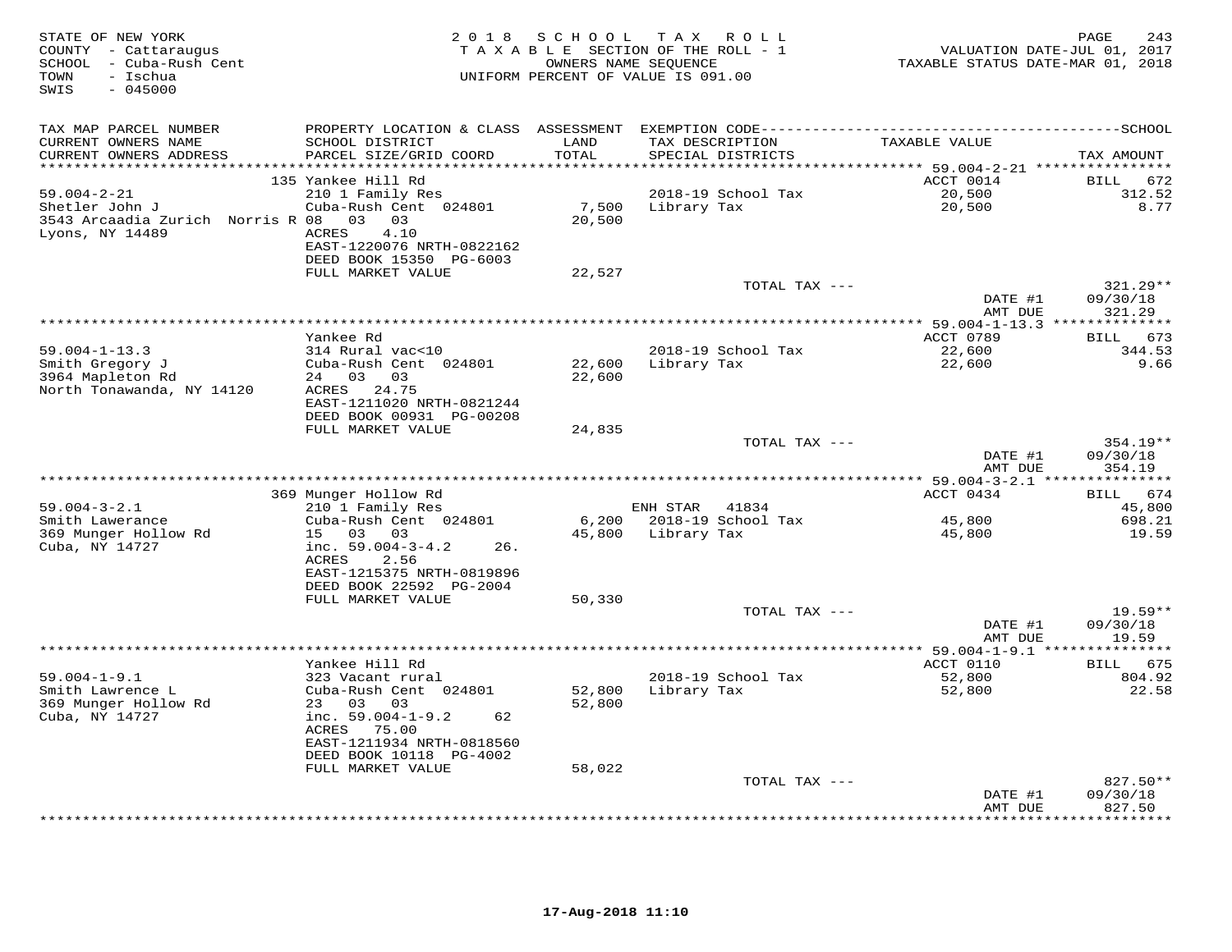| STATE OF NEW YORK<br>COUNTY - Cattaraugus<br>SCHOOL - Cuba-Rush Cent<br>TOWN<br>- Ischua<br>$-045000$<br>SWIS |                                                       | 2018 SCHOOL | T A X<br>ROLL<br>TAXABLE SECTION OF THE ROLL - 1<br>OWNERS NAME SEOUENCE<br>UNIFORM PERCENT OF VALUE IS 091.00 | VALUATION DATE-JUL 01, 2017<br>TAXABLE STATUS DATE-MAR 01, 2018 | PAGE<br>243         |
|---------------------------------------------------------------------------------------------------------------|-------------------------------------------------------|-------------|----------------------------------------------------------------------------------------------------------------|-----------------------------------------------------------------|---------------------|
| TAX MAP PARCEL NUMBER                                                                                         |                                                       |             |                                                                                                                |                                                                 |                     |
| CURRENT OWNERS NAME                                                                                           | SCHOOL DISTRICT                                       | LAND        | TAX DESCRIPTION                                                                                                | TAXABLE VALUE                                                   |                     |
| CURRENT OWNERS ADDRESS                                                                                        | PARCEL SIZE/GRID COORD                                | TOTAL       | SPECIAL DISTRICTS                                                                                              |                                                                 | TAX AMOUNT          |
|                                                                                                               | 135 Yankee Hill Rd                                    |             |                                                                                                                | ACCT 0014                                                       | BILL 672            |
| $59.004 - 2 - 21$                                                                                             | 210 1 Family Res                                      |             | 2018-19 School Tax                                                                                             | 20,500                                                          | 312.52              |
| Shetler John J                                                                                                | Cuba-Rush Cent 024801                                 | 7,500       | Library Tax                                                                                                    | 20,500                                                          | 8.77                |
| 3543 Arcaadia Zurich Norris R 08 03 03<br>Lyons, NY 14489                                                     | 4.10<br>ACRES<br>EAST-1220076 NRTH-0822162            | 20,500      |                                                                                                                |                                                                 |                     |
|                                                                                                               | DEED BOOK 15350 PG-6003                               |             |                                                                                                                |                                                                 |                     |
|                                                                                                               | FULL MARKET VALUE                                     | 22,527      |                                                                                                                |                                                                 |                     |
|                                                                                                               |                                                       |             | TOTAL TAX ---                                                                                                  |                                                                 | 321.29**            |
|                                                                                                               |                                                       |             |                                                                                                                | DATE #1                                                         | 09/30/18            |
|                                                                                                               |                                                       |             |                                                                                                                | AMT DUE                                                         | 321.29              |
|                                                                                                               | Yankee Rd                                             |             |                                                                                                                | ACCT 0789                                                       | BILL 673            |
| $59.004 - 1 - 13.3$                                                                                           | 314 Rural vac<10                                      |             | 2018-19 School Tax                                                                                             | 22,600                                                          | 344.53              |
| Smith Gregory J                                                                                               | Cuba-Rush Cent 024801                                 | 22,600      | Library Tax                                                                                                    | 22,600                                                          | 9.66                |
| 3964 Mapleton Rd                                                                                              | 24 03 03                                              | 22,600      |                                                                                                                |                                                                 |                     |
| North Tonawanda, NY 14120                                                                                     | ACRES 24.75                                           |             |                                                                                                                |                                                                 |                     |
|                                                                                                               | EAST-1211020 NRTH-0821244<br>DEED BOOK 00931 PG-00208 |             |                                                                                                                |                                                                 |                     |
|                                                                                                               | FULL MARKET VALUE                                     | 24,835      |                                                                                                                |                                                                 |                     |
|                                                                                                               |                                                       |             | TOTAL TAX ---                                                                                                  |                                                                 | 354.19**            |
|                                                                                                               |                                                       |             |                                                                                                                | DATE #1                                                         | 09/30/18            |
|                                                                                                               |                                                       |             |                                                                                                                | AMT DUE                                                         | 354.19              |
|                                                                                                               | 369 Munger Hollow Rd                                  |             |                                                                                                                | ACCT 0434                                                       | BILL 674            |
| $59.004 - 3 - 2.1$                                                                                            | 210 1 Family Res                                      |             | ENH STAR<br>41834                                                                                              |                                                                 | 45,800              |
| Smith Lawerance                                                                                               | Cuba-Rush Cent 024801                                 | 6,200       | 2018-19 School Tax                                                                                             | 45,800                                                          | 698.21              |
| 369 Munger Hollow Rd                                                                                          | 15 03 03                                              | 45,800      | Library Tax                                                                                                    | 45,800                                                          | 19.59               |
| Cuba, NY 14727                                                                                                | inc. $59.004-3-4.2$<br>26.                            |             |                                                                                                                |                                                                 |                     |
|                                                                                                               | ACRES<br>2.56<br>EAST-1215375 NRTH-0819896            |             |                                                                                                                |                                                                 |                     |
|                                                                                                               | DEED BOOK 22592 PG-2004                               |             |                                                                                                                |                                                                 |                     |
|                                                                                                               | FULL MARKET VALUE                                     | 50,330      |                                                                                                                |                                                                 |                     |
|                                                                                                               |                                                       |             | TOTAL TAX ---                                                                                                  |                                                                 | $19.59**$           |
|                                                                                                               |                                                       |             |                                                                                                                | DATE #1                                                         | 09/30/18            |
|                                                                                                               |                                                       |             |                                                                                                                | AMT DUE<br>*********** 59.004-1-9.1 *****                       | 19.59<br>********** |
|                                                                                                               | Yankee Hill Rd                                        |             |                                                                                                                | ACCT 0110                                                       | BILL 675            |
| $59.004 - 1 - 9.1$                                                                                            | 323 Vacant rural                                      |             | 2018-19 School Tax                                                                                             | 52,800                                                          | 804.92              |
| Smith Lawrence L                                                                                              | Cuba-Rush Cent 024801                                 | 52,800      | Library Tax                                                                                                    | 52,800                                                          | 22.58               |
| 369 Munger Hollow Rd                                                                                          | 23 03<br>03<br>inc. 59.004-1-9.2                      | 52,800      |                                                                                                                |                                                                 |                     |
| Cuba, NY 14727                                                                                                | 62<br>ACRES 75.00                                     |             |                                                                                                                |                                                                 |                     |
|                                                                                                               | EAST-1211934 NRTH-0818560                             |             |                                                                                                                |                                                                 |                     |
|                                                                                                               | DEED BOOK 10118 PG-4002                               |             |                                                                                                                |                                                                 |                     |
|                                                                                                               | FULL MARKET VALUE                                     | 58,022      |                                                                                                                |                                                                 |                     |
|                                                                                                               |                                                       |             | TOTAL TAX ---                                                                                                  |                                                                 | $827.50**$          |
|                                                                                                               |                                                       |             |                                                                                                                | DATE #1<br>AMT DUE                                              | 09/30/18<br>827.50  |
|                                                                                                               |                                                       |             |                                                                                                                |                                                                 | ********            |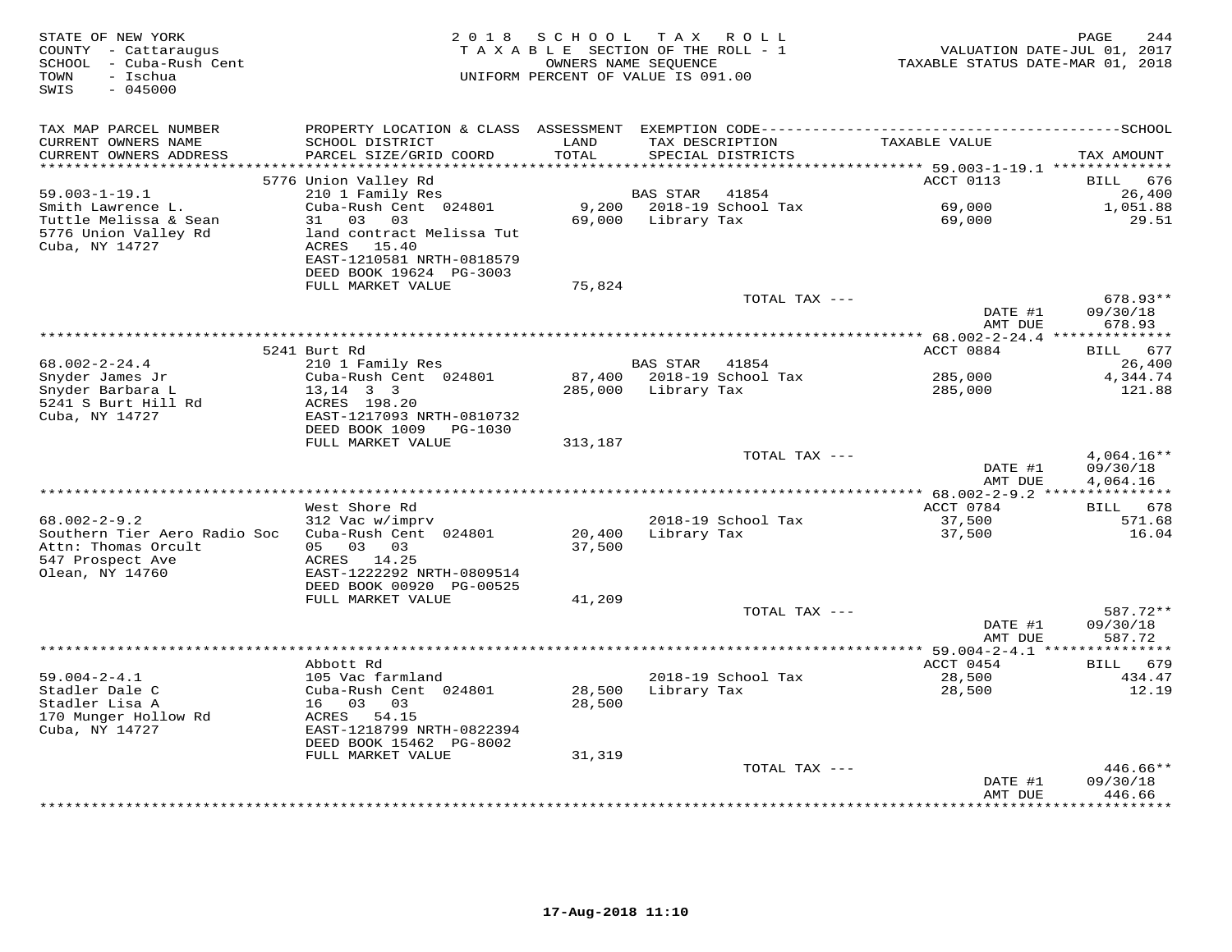| STATE OF NEW YORK<br>COUNTY - Cattaraugus<br>SCHOOL - Cuba-Rush Cent<br>- Ischua<br>TOWN<br>SWIS<br>$-045000$ |                                                       | 2018 SCHOOL<br>TAXABLE SECTION OF THE ROLL - 1<br>OWNERS NAME SEQUENCE<br>UNIFORM PERCENT OF VALUE IS 091.00 |                 | TAX ROLL                             | VALUATION DATE-JUL 01, 2017<br>TAXABLE STATUS DATE-MAR 01, 2018        | PAGE<br>244          |
|---------------------------------------------------------------------------------------------------------------|-------------------------------------------------------|--------------------------------------------------------------------------------------------------------------|-----------------|--------------------------------------|------------------------------------------------------------------------|----------------------|
| TAX MAP PARCEL NUMBER                                                                                         | PROPERTY LOCATION & CLASS ASSESSMENT                  |                                                                                                              |                 |                                      |                                                                        |                      |
| CURRENT OWNERS NAME<br>CURRENT OWNERS ADDRESS<br>**********************                                       | SCHOOL DISTRICT<br>PARCEL SIZE/GRID COORD             | LAND<br>TOTAL<br>****************                                                                            |                 | TAX DESCRIPTION<br>SPECIAL DISTRICTS | TAXABLE VALUE                                                          | TAX AMOUNT           |
|                                                                                                               | 5776 Union Valley Rd                                  |                                                                                                              |                 |                                      | **************************** 59.003-1-19.1 **************<br>ACCT 0113 | 676<br>BILL          |
| $59.003 - 1 - 19.1$                                                                                           | 210 1 Family Res                                      |                                                                                                              | BAS STAR        | 41854                                |                                                                        | 26,400               |
| Smith Lawrence L.                                                                                             | Cuba-Rush Cent 024801                                 | 9,200                                                                                                        |                 | 2018-19 School Tax                   | 69,000                                                                 | 1,051.88             |
| Tuttle Melissa & Sean                                                                                         | 31<br>03 03                                           | 69,000                                                                                                       | Library Tax     |                                      | 69,000                                                                 | 29.51                |
| 5776 Union Valley Rd                                                                                          | land contract Melissa Tut                             |                                                                                                              |                 |                                      |                                                                        |                      |
| Cuba, NY 14727                                                                                                | ACRES 15.40                                           |                                                                                                              |                 |                                      |                                                                        |                      |
|                                                                                                               | EAST-1210581 NRTH-0818579                             |                                                                                                              |                 |                                      |                                                                        |                      |
|                                                                                                               | DEED BOOK 19624 PG-3003<br>FULL MARKET VALUE          | 75,824                                                                                                       |                 |                                      |                                                                        |                      |
|                                                                                                               |                                                       |                                                                                                              |                 | TOTAL TAX ---                        |                                                                        | $678.93**$           |
|                                                                                                               |                                                       |                                                                                                              |                 |                                      | DATE #1                                                                | 09/30/18             |
|                                                                                                               |                                                       |                                                                                                              |                 |                                      | AMT DUE                                                                | 678.93               |
|                                                                                                               |                                                       |                                                                                                              |                 |                                      |                                                                        |                      |
|                                                                                                               | 5241 Burt Rd                                          |                                                                                                              |                 |                                      | ACCT 0884                                                              | 677<br>BILL          |
| $68.002 - 2 - 24.4$<br>Snyder James Jr                                                                        | 210 1 Family Res<br>Cuba-Rush Cent 024801             | 87,400                                                                                                       | <b>BAS STAR</b> | 41854<br>2018-19 School Tax          | 285,000                                                                | 26,400<br>4,344.74   |
| Snyder Barbara L                                                                                              | $13, 14$ 3 3                                          | 285,000                                                                                                      | Library Tax     |                                      | 285,000                                                                | 121.88               |
| 5241 S Burt Hill Rd                                                                                           | ACRES 198.20                                          |                                                                                                              |                 |                                      |                                                                        |                      |
| Cuba, NY 14727                                                                                                | EAST-1217093 NRTH-0810732                             |                                                                                                              |                 |                                      |                                                                        |                      |
|                                                                                                               | DEED BOOK 1009 PG-1030                                |                                                                                                              |                 |                                      |                                                                        |                      |
|                                                                                                               | FULL MARKET VALUE                                     | 313,187                                                                                                      |                 |                                      |                                                                        |                      |
|                                                                                                               |                                                       |                                                                                                              |                 | TOTAL TAX ---                        |                                                                        | $4,064.16**$         |
|                                                                                                               |                                                       |                                                                                                              |                 |                                      | DATE #1<br>AMT DUE                                                     | 09/30/18<br>4,064.16 |
|                                                                                                               |                                                       |                                                                                                              |                 |                                      |                                                                        |                      |
|                                                                                                               | West Shore Rd                                         |                                                                                                              |                 |                                      | ACCT 0784                                                              | BILL 678             |
| $68.002 - 2 - 9.2$                                                                                            | 312 Vac w/imprv                                       |                                                                                                              |                 | 2018-19 School Tax                   | 37,500                                                                 | 571.68               |
| Southern Tier Aero Radio Soc                                                                                  | Cuba-Rush Cent 024801                                 | 20,400                                                                                                       | Library Tax     |                                      | 37,500                                                                 | 16.04                |
| Attn: Thomas Orcult                                                                                           | 05 03 03                                              | 37,500                                                                                                       |                 |                                      |                                                                        |                      |
| 547 Prospect Ave                                                                                              | ACRES 14.25                                           |                                                                                                              |                 |                                      |                                                                        |                      |
| Olean, NY 14760                                                                                               | EAST-1222292 NRTH-0809514<br>DEED BOOK 00920 PG-00525 |                                                                                                              |                 |                                      |                                                                        |                      |
|                                                                                                               | FULL MARKET VALUE                                     | 41,209                                                                                                       |                 |                                      |                                                                        |                      |
|                                                                                                               |                                                       |                                                                                                              |                 | TOTAL TAX ---                        |                                                                        | 587.72**             |
|                                                                                                               |                                                       |                                                                                                              |                 |                                      | DATE #1                                                                | 09/30/18             |
|                                                                                                               |                                                       |                                                                                                              |                 |                                      | AMT DUE                                                                | 587.72               |
|                                                                                                               |                                                       |                                                                                                              |                 |                                      |                                                                        |                      |
| $59.004 - 2 - 4.1$                                                                                            | Abbott Rd<br>105 Vac farmland                         |                                                                                                              |                 | 2018-19 School Tax                   | ACCT 0454<br>28,500                                                    | BILL 679<br>434.47   |
| Stadler Dale C                                                                                                | Cuba-Rush Cent 024801                                 | 28,500                                                                                                       | Library Tax     |                                      | 28,500                                                                 | 12.19                |
| Stadler Lisa A                                                                                                | 16 03<br>03                                           | 28,500                                                                                                       |                 |                                      |                                                                        |                      |
| 170 Munger Hollow Rd                                                                                          | ACRES 54.15                                           |                                                                                                              |                 |                                      |                                                                        |                      |
| Cuba, NY 14727                                                                                                | EAST-1218799 NRTH-0822394                             |                                                                                                              |                 |                                      |                                                                        |                      |
|                                                                                                               | DEED BOOK 15462 PG-8002                               |                                                                                                              |                 |                                      |                                                                        |                      |
|                                                                                                               | FULL MARKET VALUE                                     | 31,319                                                                                                       |                 |                                      |                                                                        |                      |
|                                                                                                               |                                                       |                                                                                                              |                 | TOTAL TAX ---                        | DATE #1                                                                | 446.66**<br>09/30/18 |
|                                                                                                               |                                                       |                                                                                                              |                 |                                      | AMT DUE                                                                | 446.66               |
|                                                                                                               |                                                       |                                                                                                              |                 |                                      |                                                                        | **********           |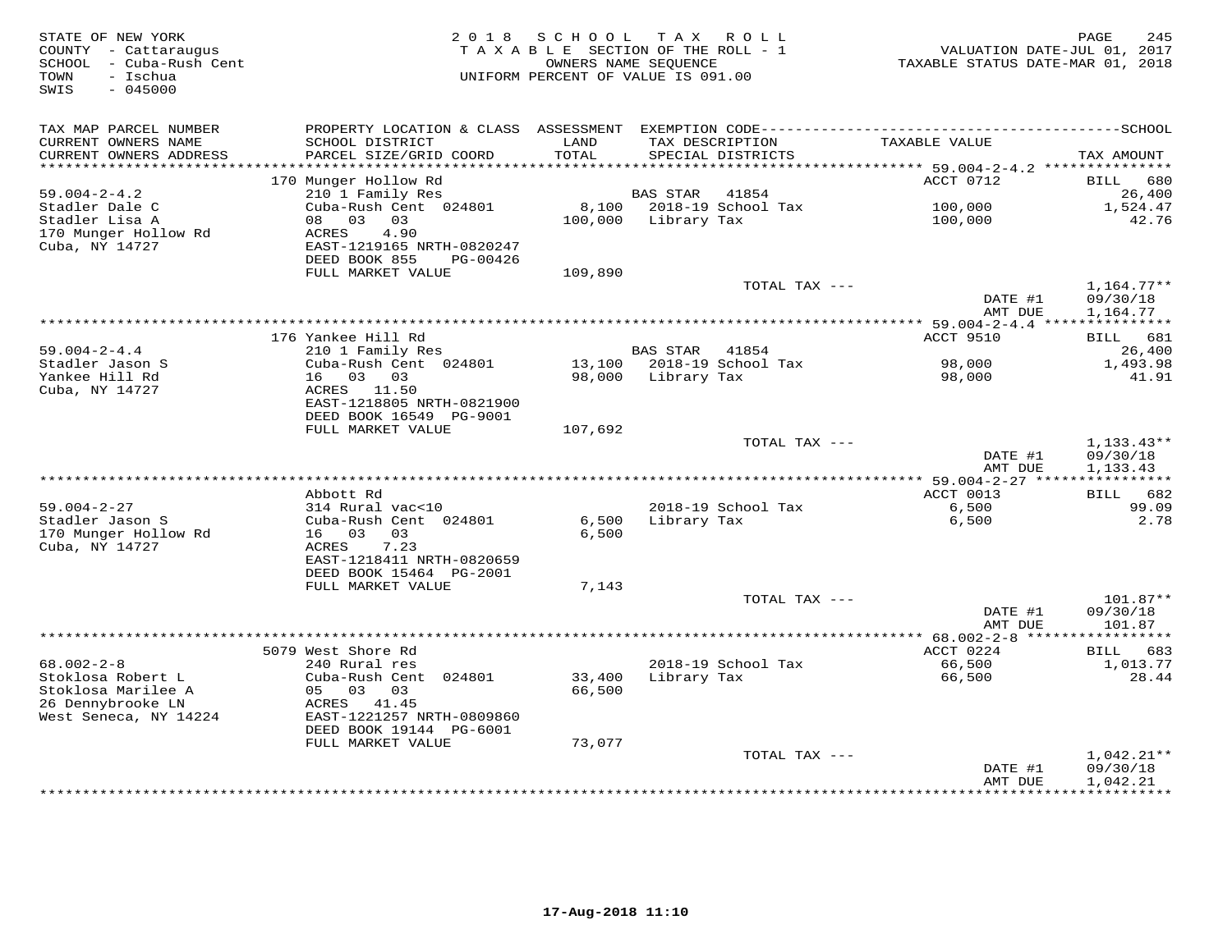| STATE OF NEW YORK<br>COUNTY - Cattaraugus<br>SCHOOL - Cuba-Rush Cent<br>- Ischua<br>TOWN<br>SWIS<br>$-045000$ | 2018                                                 | S C H O O L<br>TAXABLE SECTION OF THE ROLL - 1<br>OWNERS NAME SEQUENCE<br>UNIFORM PERCENT OF VALUE IS 091.00 | T A X           | ROLL                        | VALUATION DATE-JUL 01, 2017<br>TAXABLE STATUS DATE-MAR 01, 2018 | 245<br>PAGE           |
|---------------------------------------------------------------------------------------------------------------|------------------------------------------------------|--------------------------------------------------------------------------------------------------------------|-----------------|-----------------------------|-----------------------------------------------------------------|-----------------------|
| TAX MAP PARCEL NUMBER                                                                                         |                                                      |                                                                                                              |                 |                             |                                                                 |                       |
| CURRENT OWNERS NAME<br>CURRENT OWNERS ADDRESS<br>***********************                                      | SCHOOL DISTRICT<br>PARCEL SIZE/GRID COORD            | LAND<br>TOTAL                                                                                                | TAX DESCRIPTION | SPECIAL DISTRICTS           | TAXABLE VALUE                                                   | TAX AMOUNT            |
|                                                                                                               | 170 Munger Hollow Rd                                 |                                                                                                              |                 |                             | ACCT 0712                                                       | 680<br>BILL           |
| $59.004 - 2 - 4.2$                                                                                            | 210 1 Family Res                                     |                                                                                                              | <b>BAS STAR</b> | 41854                       |                                                                 | 26,400                |
| Stadler Dale C                                                                                                | Cuba-Rush Cent 024801                                | 8,100                                                                                                        |                 | 2018-19 School Tax          | 100,000                                                         | 1,524.47              |
| Stadler Lisa A                                                                                                | 03<br>08<br>03                                       | 100,000                                                                                                      | Library Tax     |                             | 100,000                                                         | 42.76                 |
| 170 Munger Hollow Rd                                                                                          | <b>ACRES</b><br>4.90                                 |                                                                                                              |                 |                             |                                                                 |                       |
| Cuba, NY 14727                                                                                                | EAST-1219165 NRTH-0820247                            |                                                                                                              |                 |                             |                                                                 |                       |
|                                                                                                               | DEED BOOK 855<br>PG-00426<br>FULL MARKET VALUE       | 109,890                                                                                                      |                 |                             |                                                                 |                       |
|                                                                                                               |                                                      |                                                                                                              |                 | TOTAL TAX ---               |                                                                 | $1,164.77**$          |
|                                                                                                               |                                                      |                                                                                                              |                 |                             | DATE #1                                                         | 09/30/18              |
|                                                                                                               |                                                      |                                                                                                              |                 |                             | AMT DUE                                                         | 1,164.77              |
|                                                                                                               |                                                      |                                                                                                              |                 |                             | *** 59.004-2-4.4 ***                                            | ***********           |
|                                                                                                               | 176 Yankee Hill Rd                                   |                                                                                                              |                 |                             | <b>ACCT 9510</b>                                                | BILL<br>681           |
| $59.004 - 2 - 4.4$<br>Stadler Jason S                                                                         | 210 1 Family Res<br>Cuba-Rush Cent 024801            | 13,100                                                                                                       | <b>BAS STAR</b> | 41854<br>2018-19 School Tax | 98,000                                                          | 26,400<br>1,493.98    |
| Yankee Hill Rd                                                                                                | 16 03 03                                             | 98,000                                                                                                       | Library Tax     |                             | 98,000                                                          | 41.91                 |
| Cuba, NY 14727                                                                                                | ACRES 11.50                                          |                                                                                                              |                 |                             |                                                                 |                       |
|                                                                                                               | EAST-1218805 NRTH-0821900                            |                                                                                                              |                 |                             |                                                                 |                       |
|                                                                                                               | DEED BOOK 16549 PG-9001                              |                                                                                                              |                 |                             |                                                                 |                       |
|                                                                                                               | FULL MARKET VALUE                                    | 107,692                                                                                                      |                 |                             |                                                                 |                       |
|                                                                                                               |                                                      |                                                                                                              |                 | TOTAL TAX ---               |                                                                 | $1,133.43**$          |
|                                                                                                               |                                                      |                                                                                                              |                 |                             | DATE #1<br>AMT DUE                                              | 09/30/18<br>1,133.43  |
|                                                                                                               |                                                      |                                                                                                              |                 |                             |                                                                 |                       |
|                                                                                                               | Abbott Rd                                            |                                                                                                              |                 |                             | ACCT 0013                                                       | BILL 682              |
| $59.004 - 2 - 27$                                                                                             | 314 Rural vac<10                                     |                                                                                                              |                 | 2018-19 School Tax          | 6,500                                                           | 99.09                 |
| Stadler Jason S                                                                                               | Cuba-Rush Cent 024801                                | 6,500                                                                                                        | Library Tax     |                             | 6,500                                                           | 2.78                  |
| 170 Munger Hollow Rd                                                                                          | 16 03<br>03                                          | 6,500                                                                                                        |                 |                             |                                                                 |                       |
| Cuba, NY 14727                                                                                                | 7.23<br>ACRES                                        |                                                                                                              |                 |                             |                                                                 |                       |
|                                                                                                               | EAST-1218411 NRTH-0820659<br>DEED BOOK 15464 PG-2001 |                                                                                                              |                 |                             |                                                                 |                       |
|                                                                                                               | FULL MARKET VALUE                                    | 7,143                                                                                                        |                 |                             |                                                                 |                       |
|                                                                                                               |                                                      |                                                                                                              |                 | TOTAL TAX ---               |                                                                 | 101.87**              |
|                                                                                                               |                                                      |                                                                                                              |                 |                             | DATE #1                                                         | 09/30/18              |
|                                                                                                               |                                                      |                                                                                                              |                 |                             | AMT DUE                                                         | 101.87                |
|                                                                                                               |                                                      |                                                                                                              |                 |                             | ********* 68.002-2-8 ******                                     | * * * * * * * * * * * |
| $68.002 - 2 - 8$                                                                                              | 5079 West Shore Rd<br>240 Rural res                  |                                                                                                              |                 |                             | ACCT 0224                                                       | 683<br>BILL           |
| Stoklosa Robert L                                                                                             | Cuba-Rush Cent 024801                                | 33,400                                                                                                       | Library Tax     | 2018-19 School Tax          | 66,500<br>66,500                                                | 1,013.77<br>28.44     |
| Stoklosa Marilee A                                                                                            | 05<br>03 03                                          | 66,500                                                                                                       |                 |                             |                                                                 |                       |
| 26 Dennybrooke LN                                                                                             | ACRES 41.45                                          |                                                                                                              |                 |                             |                                                                 |                       |
| West Seneca, NY 14224                                                                                         | EAST-1221257 NRTH-0809860                            |                                                                                                              |                 |                             |                                                                 |                       |
|                                                                                                               | DEED BOOK 19144 PG-6001                              |                                                                                                              |                 |                             |                                                                 |                       |
|                                                                                                               | FULL MARKET VALUE                                    | 73,077                                                                                                       |                 |                             |                                                                 |                       |
|                                                                                                               |                                                      |                                                                                                              |                 | TOTAL TAX ---               |                                                                 | $1,042.21**$          |
|                                                                                                               |                                                      |                                                                                                              |                 |                             | DATE #1<br>AMT DUE                                              | 09/30/18<br>1,042.21  |
|                                                                                                               |                                                      |                                                                                                              |                 |                             | *********                                                       | ***********           |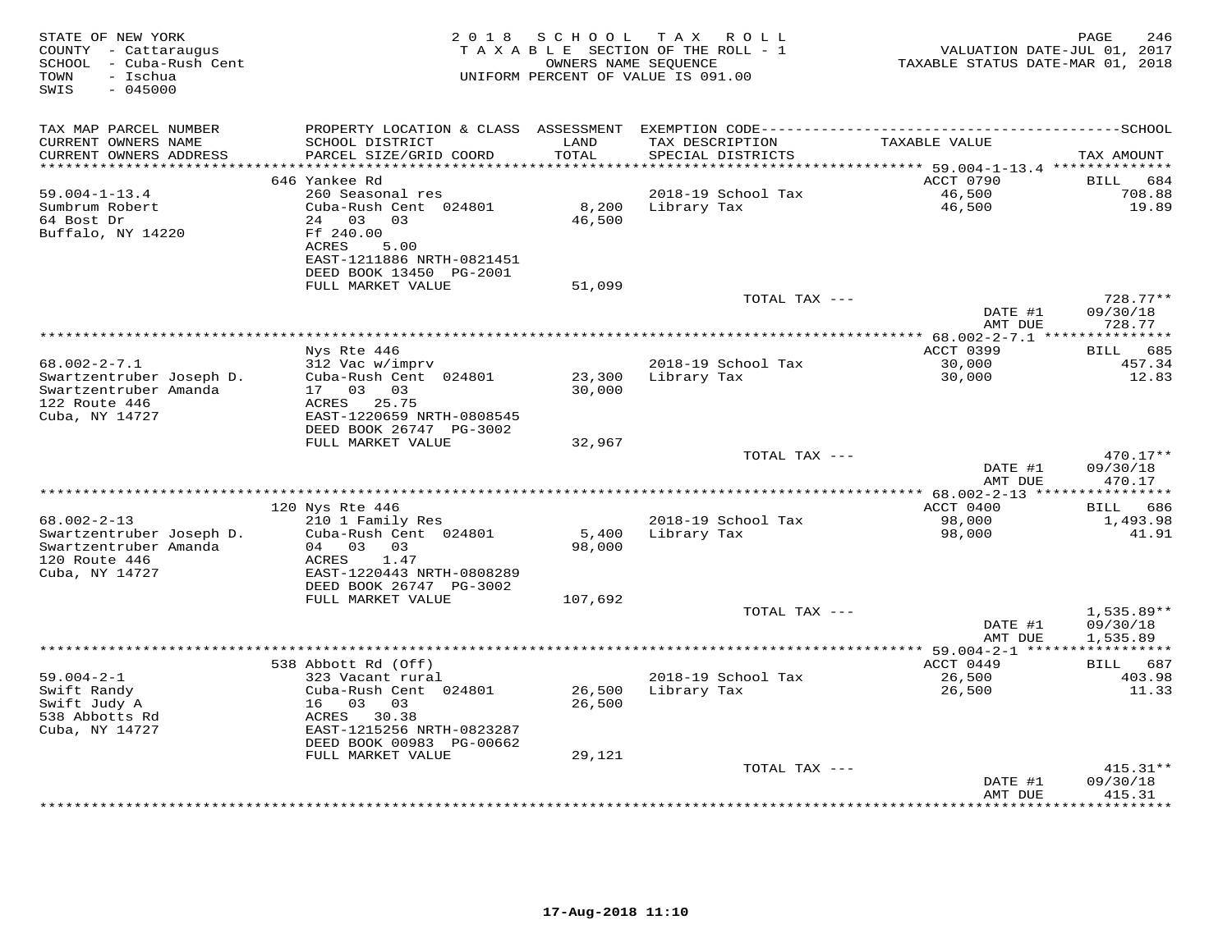| STATE OF NEW YORK<br>COUNTY - Cattaraugus<br>SCHOOL - Cuba-Rush Cent<br>- Ischua<br>TOWN<br>$-045000$<br>SWIS | 2 0 1 8                                                                                           | SCHOOL           | T A X<br>R O L L<br>TAXABLE SECTION OF THE ROLL - 1<br>OWNERS NAME SEQUENCE<br>UNIFORM PERCENT OF VALUE IS 091.00 | VALUATION DATE-JUL 01, 2017<br>TAXABLE STATUS DATE-MAR 01, 2018 | PAGE<br>246                               |
|---------------------------------------------------------------------------------------------------------------|---------------------------------------------------------------------------------------------------|------------------|-------------------------------------------------------------------------------------------------------------------|-----------------------------------------------------------------|-------------------------------------------|
| TAX MAP PARCEL NUMBER                                                                                         | PROPERTY LOCATION & CLASS ASSESSMENT                                                              |                  |                                                                                                                   |                                                                 |                                           |
| CURRENT OWNERS NAME<br>CURRENT OWNERS ADDRESS                                                                 | SCHOOL DISTRICT<br>PARCEL SIZE/GRID COORD                                                         | LAND<br>TOTAL    | TAX DESCRIPTION<br>SPECIAL DISTRICTS                                                                              | TAXABLE VALUE                                                   | TAX AMOUNT                                |
| **********************                                                                                        | ***********************<br>646 Yankee Rd                                                          | ************     | ********************************** 59.004-1-13.4 **************                                                   | ACCT 0790                                                       | 684                                       |
| $59.004 - 1 - 13.4$                                                                                           | 260 Seasonal res                                                                                  |                  | 2018-19 School Tax                                                                                                | 46,500                                                          | BILL<br>708.88                            |
| Sumbrum Robert                                                                                                | Cuba-Rush Cent 024801                                                                             | 8,200            | Library Tax                                                                                                       | 46,500                                                          | 19.89                                     |
| 64 Bost Dr<br>Buffalo, NY 14220                                                                               | 24 03<br>03<br>Ff 240.00<br>ACRES<br>5.00<br>EAST-1211886 NRTH-0821451<br>DEED BOOK 13450 PG-2001 | 46,500           |                                                                                                                   |                                                                 |                                           |
|                                                                                                               | FULL MARKET VALUE                                                                                 | 51,099           |                                                                                                                   |                                                                 |                                           |
|                                                                                                               |                                                                                                   |                  | TOTAL TAX ---                                                                                                     |                                                                 | $728.77**$                                |
|                                                                                                               |                                                                                                   |                  |                                                                                                                   | DATE #1<br>AMT DUE                                              | 09/30/18<br>728.77                        |
|                                                                                                               |                                                                                                   |                  |                                                                                                                   |                                                                 |                                           |
|                                                                                                               | Nys Rte 446                                                                                       |                  |                                                                                                                   | ACCT 0399                                                       | BILL<br>685                               |
| $68.002 - 2 - 7.1$                                                                                            | 312 Vac w/imprv<br>Cuba-Rush Cent 024801                                                          |                  | 2018-19 School Tax<br>Library Tax                                                                                 | 30,000                                                          | 457.34<br>12.83                           |
| Swartzentruber Joseph D.<br>Swartzentruber Amanda<br>122 Route 446<br>Cuba, NY 14727                          | 17 03<br>03<br>25.75<br>ACRES<br>EAST-1220659 NRTH-0808545                                        | 23,300<br>30,000 |                                                                                                                   | 30,000                                                          |                                           |
|                                                                                                               | DEED BOOK 26747 PG-3002                                                                           |                  |                                                                                                                   |                                                                 |                                           |
|                                                                                                               | FULL MARKET VALUE                                                                                 | 32,967           |                                                                                                                   |                                                                 |                                           |
|                                                                                                               |                                                                                                   |                  | TOTAL TAX ---                                                                                                     |                                                                 | $470.17**$                                |
|                                                                                                               |                                                                                                   |                  |                                                                                                                   | DATE #1<br>AMT DUE                                              | 09/30/18<br>470.17                        |
|                                                                                                               | 120 Nys Rte 446                                                                                   |                  |                                                                                                                   | ******** 68.002-2-13 ****<br>ACCT 0400                          | * * * * * * * * * *<br>686<br><b>BILL</b> |
| $68.002 - 2 - 13$                                                                                             | 210 1 Family Res                                                                                  |                  | 2018-19 School Tax                                                                                                | 98,000                                                          | 1,493.98                                  |
| Swartzentruber Joseph D.<br>Swartzentruber Amanda<br>120 Route 446<br>Cuba, NY 14727                          | Cuba-Rush Cent 024801<br>04 03<br>03<br>1.47<br>ACRES<br>EAST-1220443 NRTH-0808289                | 5,400<br>98,000  | Library Tax                                                                                                       | 98,000                                                          | 41.91                                     |
|                                                                                                               | DEED BOOK 26747 PG-3002                                                                           |                  |                                                                                                                   |                                                                 |                                           |
|                                                                                                               | FULL MARKET VALUE                                                                                 | 107,692          |                                                                                                                   |                                                                 |                                           |
|                                                                                                               |                                                                                                   |                  | TOTAL TAX ---                                                                                                     | DATE #1<br>AMT DUE                                              | $1,535.89**$<br>09/30/18<br>1,535.89      |
|                                                                                                               |                                                                                                   |                  |                                                                                                                   | ** 59.004-2-1 **                                                |                                           |
|                                                                                                               | 538 Abbott Rd (Off)                                                                               |                  |                                                                                                                   | ACCT 0449                                                       | 687<br><b>BILL</b>                        |
| $59.004 - 2 - 1$                                                                                              | 323 Vacant rural                                                                                  |                  | 2018-19 School Tax                                                                                                | 26,500                                                          | 403.98                                    |
| Swift Randy                                                                                                   | Cuba-Rush Cent 024801                                                                             | 26,500           | Library Tax                                                                                                       | 26,500                                                          | 11.33                                     |
| Swift Judy A<br>538 Abbotts Rd                                                                                | 16 03<br>03<br>ACRES<br>30.38                                                                     | 26,500           |                                                                                                                   |                                                                 |                                           |
| Cuba, NY 14727                                                                                                | EAST-1215256 NRTH-0823287<br>DEED BOOK 00983 PG-00662                                             |                  |                                                                                                                   |                                                                 |                                           |
|                                                                                                               | FULL MARKET VALUE                                                                                 | 29,121           |                                                                                                                   |                                                                 |                                           |
|                                                                                                               |                                                                                                   |                  | TOTAL TAX ---                                                                                                     |                                                                 | $415.31**$                                |
|                                                                                                               |                                                                                                   |                  |                                                                                                                   | DATE #1<br>AMT DUE<br>* * * * * * * * ·                         | 09/30/18<br>415.31<br>* * * * * * * *     |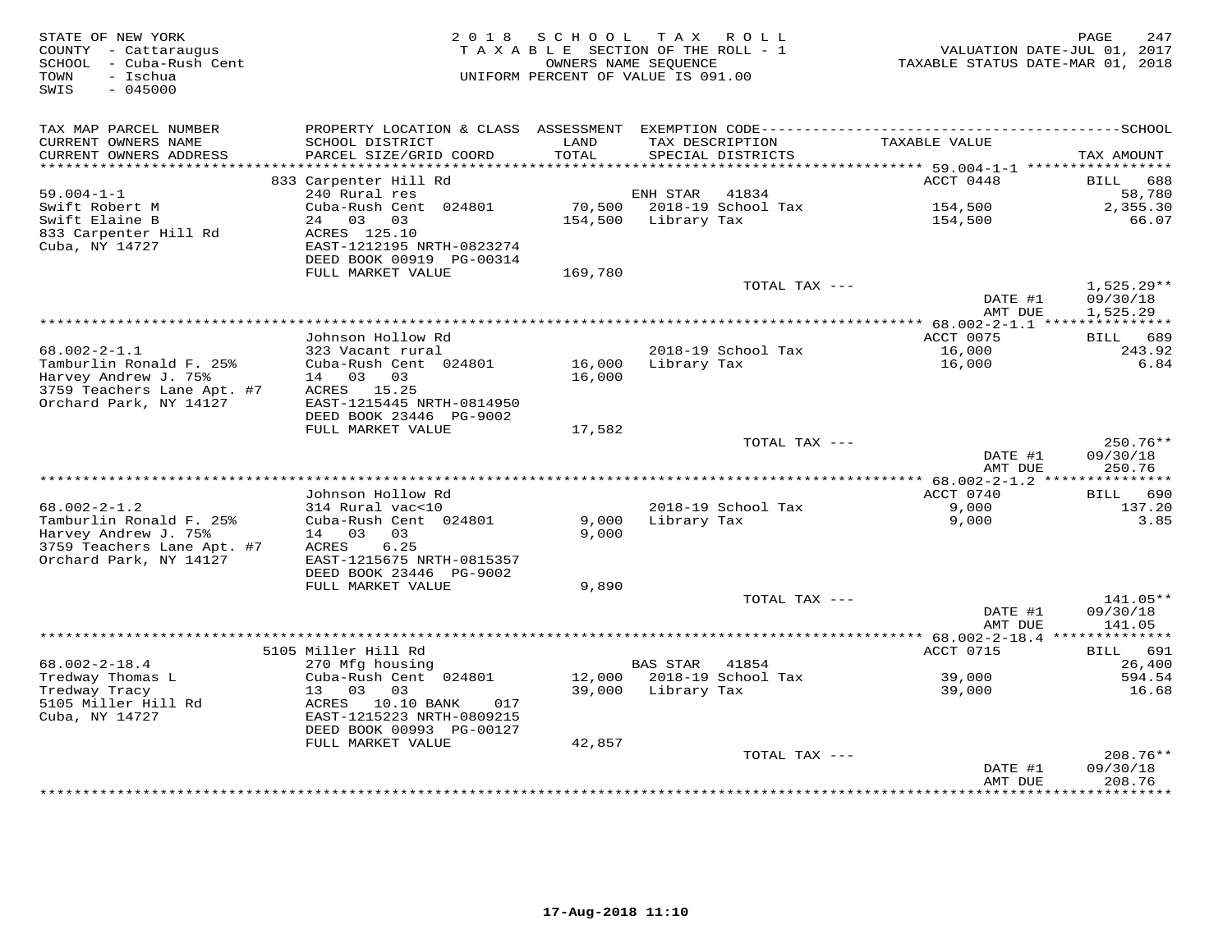| STATE OF NEW YORK<br>COUNTY - Cattaraugus<br>SCHOOL - Cuba-Rush Cent<br>- Ischua<br>TOWN<br>$-045000$<br>SWIS | 2 0 1 8                                                     | SCHOOL        | TAX ROLL<br>TAXABLE SECTION OF THE ROLL - 1<br>OWNERS NAME SEOUENCE<br>UNIFORM PERCENT OF VALUE IS 091.00 |               | TAXABLE STATUS DATE-MAR 01, 2018 | PAGE<br>247<br>VALUATION DATE-JUL 01, 2017 |
|---------------------------------------------------------------------------------------------------------------|-------------------------------------------------------------|---------------|-----------------------------------------------------------------------------------------------------------|---------------|----------------------------------|--------------------------------------------|
| TAX MAP PARCEL NUMBER                                                                                         | PROPERTY LOCATION & CLASS ASSESSMENT                        |               |                                                                                                           |               |                                  |                                            |
| CURRENT OWNERS NAME<br>CURRENT OWNERS ADDRESS<br>**********************                                       | SCHOOL DISTRICT<br>PARCEL SIZE/GRID COORD<br>************** | LAND<br>TOTAL | TAX DESCRIPTION<br>SPECIAL DISTRICTS                                                                      |               | TAXABLE VALUE                    | TAX AMOUNT                                 |
|                                                                                                               | 833 Carpenter Hill Rd                                       |               |                                                                                                           |               | ACCT 0448                        | 688<br>BILL                                |
| $59.004 - 1 - 1$                                                                                              | 240 Rural res                                               |               | ENH STAR<br>41834                                                                                         |               |                                  | 58,780                                     |
| Swift Robert M                                                                                                | Cuba-Rush Cent 024801                                       | 70,500        | 2018-19 School Tax                                                                                        |               | 154,500                          | 2,355.30                                   |
| Swift Elaine B                                                                                                | 24 03 03                                                    | 154,500       | Library Tax                                                                                               |               | 154,500                          | 66.07                                      |
| 833 Carpenter Hill Rd<br>Cuba, NY 14727                                                                       | ACRES 125.10<br>EAST-1212195 NRTH-0823274                   |               |                                                                                                           |               |                                  |                                            |
|                                                                                                               | DEED BOOK 00919 PG-00314                                    |               |                                                                                                           |               |                                  |                                            |
|                                                                                                               | FULL MARKET VALUE                                           | 169,780       |                                                                                                           |               |                                  |                                            |
|                                                                                                               |                                                             |               |                                                                                                           | TOTAL TAX --- |                                  | $1,525.29**$                               |
|                                                                                                               |                                                             |               |                                                                                                           |               | DATE #1<br>AMT DUE               | 09/30/18<br>1,525.29                       |
|                                                                                                               |                                                             |               |                                                                                                           |               | * $68.002 - 2 - 1.1$ ****        | * * * * * * * * * * *                      |
|                                                                                                               | Johnson Hollow Rd                                           |               |                                                                                                           |               | ACCT 0075                        | BILL<br>689                                |
| $68.002 - 2 - 1.1$                                                                                            | 323 Vacant rural                                            |               | 2018-19 School Tax                                                                                        |               | 16,000                           | 243.92                                     |
| Tamburlin Ronald F. 25%                                                                                       | Cuba-Rush Cent 024801                                       | 16,000        | Library Tax                                                                                               |               | 16,000                           | 6.84                                       |
| Harvey Andrew J. 75%<br>3759 Teachers Lane Apt. #7                                                            | 14 03 03<br>ACRES 15.25                                     | 16,000        |                                                                                                           |               |                                  |                                            |
| Orchard Park, NY 14127                                                                                        | EAST-1215445 NRTH-0814950                                   |               |                                                                                                           |               |                                  |                                            |
|                                                                                                               | DEED BOOK 23446 PG-9002                                     |               |                                                                                                           |               |                                  |                                            |
|                                                                                                               | FULL MARKET VALUE                                           | 17,582        |                                                                                                           |               |                                  |                                            |
|                                                                                                               |                                                             |               |                                                                                                           | TOTAL TAX --- |                                  | $250.76**$                                 |
|                                                                                                               |                                                             |               |                                                                                                           |               | DATE #1<br>AMT DUE               | 09/30/18<br>250.76                         |
|                                                                                                               |                                                             |               |                                                                                                           |               |                                  |                                            |
|                                                                                                               | Johnson Hollow Rd                                           |               |                                                                                                           |               | ACCT 0740                        | 690<br>BILL                                |
| $68.002 - 2 - 1.2$                                                                                            | 314 Rural vac<10                                            |               | 2018-19 School Tax                                                                                        |               | 9,000                            | 137.20                                     |
| Tamburlin Ronald F. 25%                                                                                       | Cuba-Rush Cent 024801                                       | 9,000         | Library Tax                                                                                               |               | 9,000                            | 3.85                                       |
| Harvey Andrew J. 75%<br>3759 Teachers Lane Apt. #7                                                            | 14 03 03<br>ACRES<br>6.25                                   | 9,000         |                                                                                                           |               |                                  |                                            |
| Orchard Park, NY 14127                                                                                        | EAST-1215675 NRTH-0815357                                   |               |                                                                                                           |               |                                  |                                            |
|                                                                                                               | DEED BOOK 23446 PG-9002                                     |               |                                                                                                           |               |                                  |                                            |
|                                                                                                               | FULL MARKET VALUE                                           | 9,890         |                                                                                                           |               |                                  |                                            |
|                                                                                                               |                                                             |               |                                                                                                           | TOTAL TAX --- |                                  | 141.05**                                   |
|                                                                                                               |                                                             |               |                                                                                                           |               | DATE #1<br>AMT DUE               | 09/30/18<br>141.05                         |
|                                                                                                               |                                                             |               |                                                                                                           |               |                                  |                                            |
|                                                                                                               | 5105 Miller Hill Rd                                         |               |                                                                                                           |               | ACCT 0715                        | 691<br>BILL                                |
| $68.002 - 2 - 18.4$                                                                                           | 270 Mfg housing                                             |               | <b>BAS STAR</b><br>41854                                                                                  |               |                                  | 26,400                                     |
| Tredway Thomas L                                                                                              | Cuba-Rush Cent 024801                                       | 12,000        | 2018-19 School Tax                                                                                        |               | 39,000                           | 594.54                                     |
| Tredway Tracy<br>5105 Miller Hill Rd                                                                          | 13<br>03<br>03<br>ACRES 10.10 BANK<br>017                   | 39,000        | Library Tax                                                                                               |               | 39,000                           | 16.68                                      |
| Cuba, NY 14727                                                                                                | EAST-1215223 NRTH-0809215                                   |               |                                                                                                           |               |                                  |                                            |
|                                                                                                               | DEED BOOK 00993 PG-00127                                    |               |                                                                                                           |               |                                  |                                            |
|                                                                                                               | FULL MARKET VALUE                                           | 42,857        |                                                                                                           |               |                                  |                                            |
|                                                                                                               |                                                             |               |                                                                                                           | TOTAL TAX --- |                                  | 208.76**                                   |
|                                                                                                               |                                                             |               |                                                                                                           |               | DATE #1<br>AMT DUE               | 09/30/18<br>208.76                         |
|                                                                                                               |                                                             |               |                                                                                                           |               |                                  | *********                                  |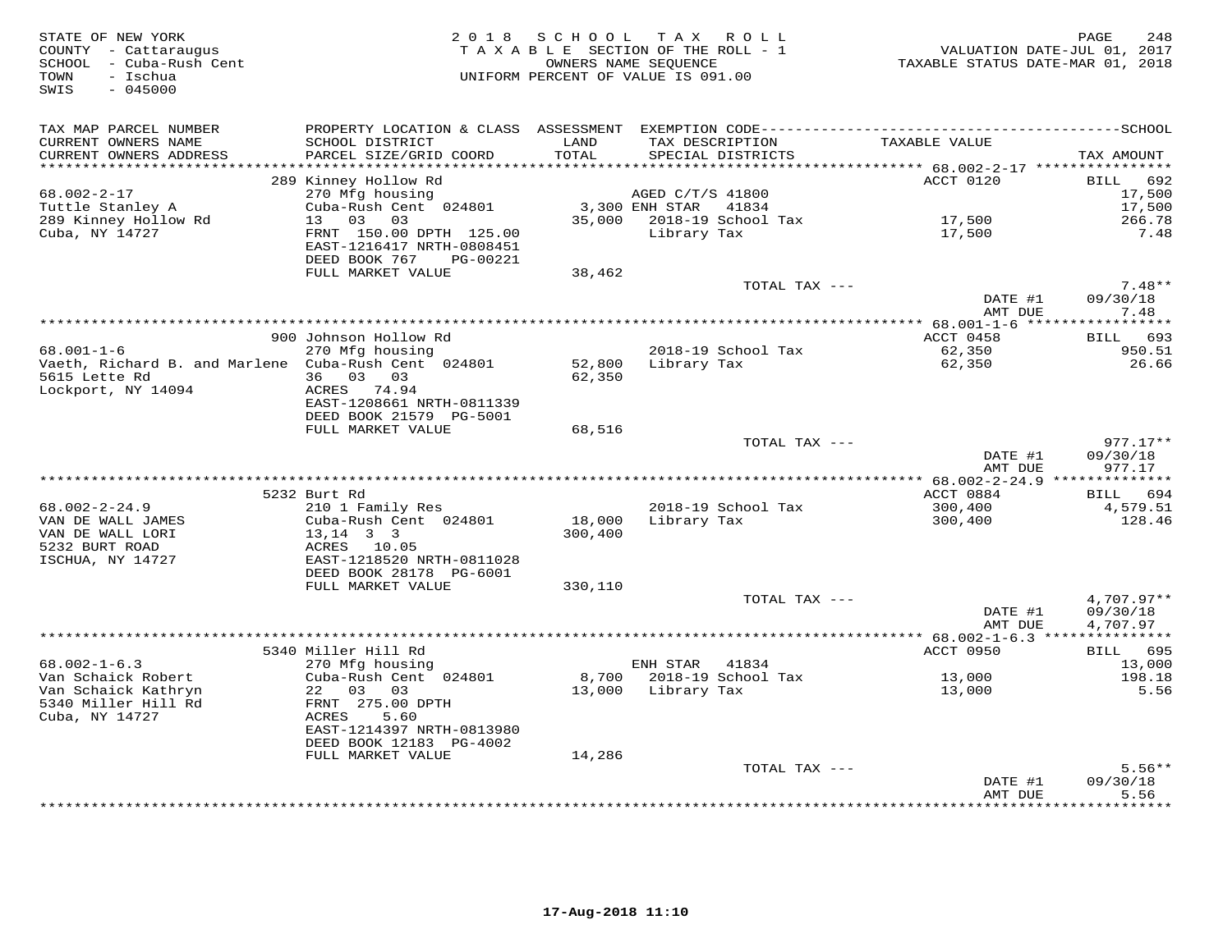| STATE OF NEW YORK<br>COUNTY - Cattaraugus<br>SCHOOL - Cuba-Rush Cent<br>- Cuba-Rush Cent<br>TOWN<br>- Ischua<br>$-045000$<br>SWIS |                                                                                               |                  | 2018 SCHOOL TAX ROLL<br>TAXABLE SECTION OF THE ROLL - 1<br>UNIFORM PERCENT OF VALUE IS 091.00 | 248<br>710 VALUATION DATE-JUL 01, 2017<br>2018 TAXABLE STATUS DATE-MAR 01, 2018 | 248<br>PAGE              |
|-----------------------------------------------------------------------------------------------------------------------------------|-----------------------------------------------------------------------------------------------|------------------|-----------------------------------------------------------------------------------------------|---------------------------------------------------------------------------------|--------------------------|
| TAX MAP PARCEL NUMBER                                                                                                             |                                                                                               |                  |                                                                                               |                                                                                 |                          |
| CURRENT OWNERS NAME<br>CURRENT OWNERS ADDRESS                                                                                     | SCHOOL DISTRICT<br>PARCEL SIZE/GRID COORD                                                     | LAND<br>TOTAL    | TAX DESCRIPTION<br>SPECIAL DISTRICTS                                                          | TAXABLE VALUE                                                                   | TAX AMOUNT               |
| **********************                                                                                                            |                                                                                               |                  |                                                                                               |                                                                                 |                          |
| 68.002-2-17                                                                                                                       | 289 Kinney Hollow Rd<br>270 Mfg housing                                                       |                  | AGED C/T/S 41800                                                                              | ACCT 0120                                                                       | BILL 692<br>17,500       |
| Tuttle Stanley A                                                                                                                  |                                                                                               |                  | 3,300 ENH STAR 41834                                                                          |                                                                                 | 17,500                   |
| 289 Kinney Hollow Rd                                                                                                              | Cuba-Rush Cent <sup>0</sup> 024801<br>13 03 03                                                |                  | 35,000 2018-19 School Tax                                                                     |                                                                                 | 266.78                   |
| Cuba, NY 14727                                                                                                                    | 13 03 03<br>FRNT 150.00 DPTH 125.00<br>EAST-1216417 NRTH-0808451<br>DEED BOOK 767<br>PG-00221 |                  | Library Tax                                                                                   | 17,500<br>17,500                                                                | 7.48                     |
|                                                                                                                                   | FULL MARKET VALUE                                                                             | 38,462           |                                                                                               |                                                                                 |                          |
|                                                                                                                                   |                                                                                               |                  | TOTAL TAX ---                                                                                 |                                                                                 | $7.48**$                 |
|                                                                                                                                   |                                                                                               |                  |                                                                                               | DATE #1<br>AMT DUE                                                              | 09/30/18<br>7.48         |
|                                                                                                                                   |                                                                                               |                  |                                                                                               |                                                                                 |                          |
|                                                                                                                                   | 900 Johnson Hollow Rd                                                                         |                  |                                                                                               | ACCT 0458                                                                       | BILL 693                 |
| $68.001 - 1 - 6$                                                                                                                  | 270 Mfg housing                                                                               |                  | 2018-19 School Tax                                                                            | 62,350                                                                          | 950.51                   |
| Vaeth, Richard B. and Marlene Cuba-Rush Cent 024801<br>5615 Lette Rd                                                              | 36 03 03                                                                                      | 52,800<br>62,350 | Library Tax                                                                                   | 62,350                                                                          | 26.66                    |
| Lockport, NY 14094                                                                                                                | ACRES 74.94                                                                                   |                  |                                                                                               |                                                                                 |                          |
|                                                                                                                                   | EAST-1208661 NRTH-0811339                                                                     |                  |                                                                                               |                                                                                 |                          |
|                                                                                                                                   | DEED BOOK 21579 PG-5001                                                                       |                  |                                                                                               |                                                                                 |                          |
|                                                                                                                                   | FULL MARKET VALUE                                                                             | 68,516           |                                                                                               |                                                                                 |                          |
|                                                                                                                                   |                                                                                               |                  | TOTAL TAX ---                                                                                 |                                                                                 | $977.17**$               |
|                                                                                                                                   |                                                                                               |                  |                                                                                               | DATE #1                                                                         | 09/30/18                 |
|                                                                                                                                   |                                                                                               |                  |                                                                                               | AMT DUE                                                                         | 977.17                   |
|                                                                                                                                   | 5232 Burt Rd                                                                                  |                  |                                                                                               | ACCT 0884                                                                       | BILL 694                 |
| $68.002 - 2 - 24.9$                                                                                                               | 210 1 Family Res                                                                              |                  | 2018-19 School Tax                                                                            | 300, 400                                                                        | 4,579.51                 |
| VAN DE WALL JAMES                                                                                                                 | Cuba-Rush Cent 024801                                                                         |                  | 18,000 Library Tax                                                                            | 300,400                                                                         | 128.46                   |
| VAN DE WALL LORI                                                                                                                  | $13, 14$ 3 3                                                                                  | 300,400          |                                                                                               |                                                                                 |                          |
| 5232 BURT ROAD                                                                                                                    | ACRES 10.05                                                                                   |                  |                                                                                               |                                                                                 |                          |
| ISCHUA, NY 14727                                                                                                                  | EAST-1218520 NRTH-0811028                                                                     |                  |                                                                                               |                                                                                 |                          |
|                                                                                                                                   | DEED BOOK 28178 PG-6001                                                                       |                  |                                                                                               |                                                                                 |                          |
|                                                                                                                                   | FULL MARKET VALUE                                                                             | 330,110          |                                                                                               |                                                                                 |                          |
|                                                                                                                                   |                                                                                               |                  | TOTAL TAX ---                                                                                 | DATE #1                                                                         | $4,707.97**$<br>09/30/18 |
|                                                                                                                                   |                                                                                               |                  |                                                                                               | AMT DUE                                                                         | 4,707.97                 |
|                                                                                                                                   |                                                                                               |                  |                                                                                               |                                                                                 |                          |
|                                                                                                                                   | 5340 Miller Hill Rd                                                                           |                  |                                                                                               | ACCT 0950                                                                       | BILL 695                 |
| $68.002 - 1 - 6.3$                                                                                                                | 270 Mfg housing                                                                               |                  | ENH STAR 41834                                                                                |                                                                                 | 13,000                   |
| Van Schaick Robert                                                                                                                | Cuba-Rush Cent 024801                                                                         |                  | 8,700 2018-19 School Tax                                                                      | 13,000                                                                          | 198.18                   |
| Van Schaick Kathryn                                                                                                               | 22 03 03                                                                                      |                  | 13,000 Library Tax                                                                            | 13,000                                                                          | 5.56                     |
| 5340 Miller Hill Rd<br>Cuba, NY 14727                                                                                             | FRNT 275.00 DPTH<br>ACRES<br>5.60                                                             |                  |                                                                                               |                                                                                 |                          |
|                                                                                                                                   | EAST-1214397 NRTH-0813980                                                                     |                  |                                                                                               |                                                                                 |                          |
|                                                                                                                                   | DEED BOOK 12183 PG-4002                                                                       |                  |                                                                                               |                                                                                 |                          |
|                                                                                                                                   | FULL MARKET VALUE                                                                             | 14,286           |                                                                                               |                                                                                 |                          |
|                                                                                                                                   |                                                                                               |                  | TOTAL TAX ---                                                                                 |                                                                                 | $5.56**$                 |
|                                                                                                                                   |                                                                                               |                  |                                                                                               | DATE #1                                                                         | 09/30/18                 |
|                                                                                                                                   |                                                                                               |                  |                                                                                               | AMT DUE                                                                         | 5.56<br>* * * * * * * *  |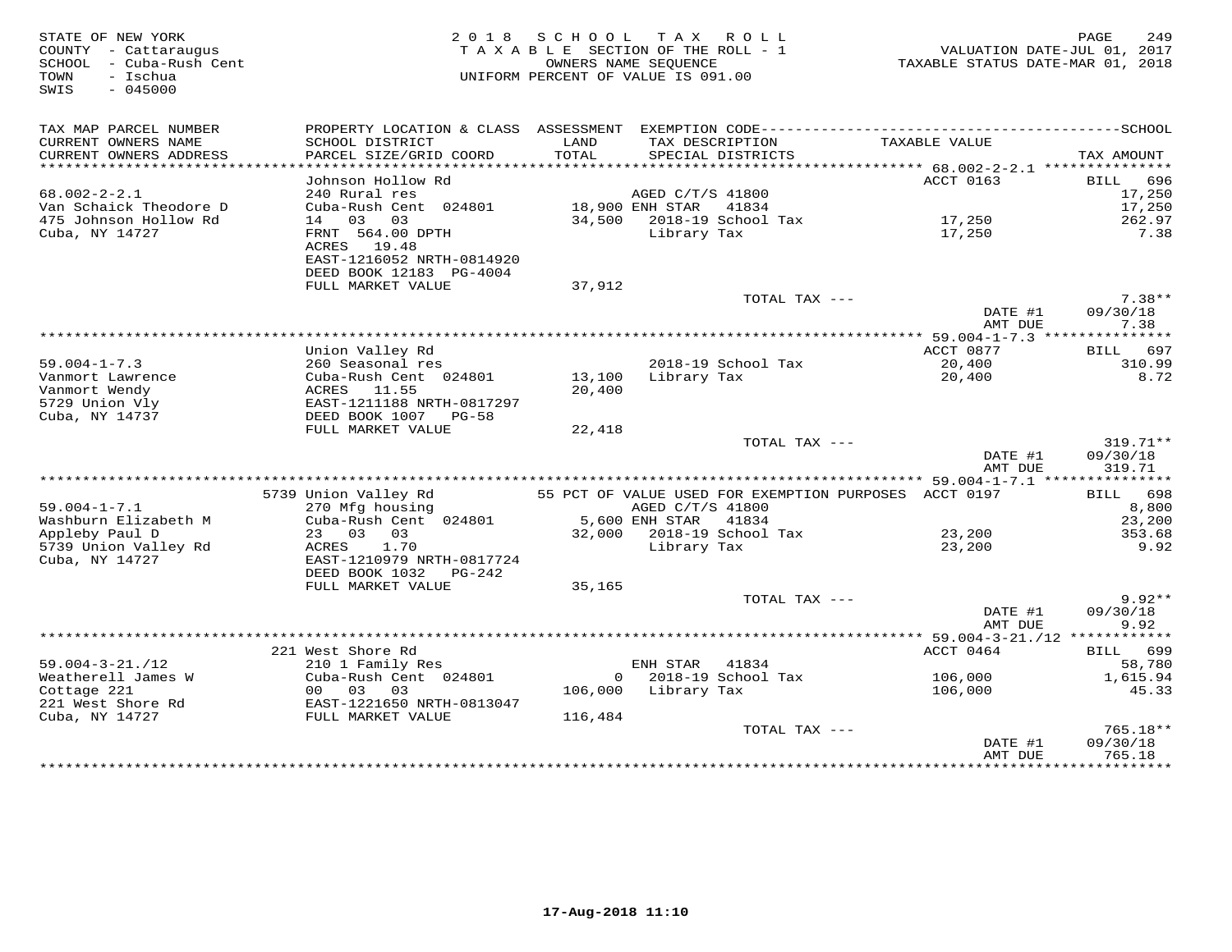| STATE OF NEW YORK<br>COUNTY - Cattaraugus<br>COMIT Cuba-Rush Cent<br>TOWN - Ischua<br>TOWN - Ischua<br>TOWN<br>– Ischua<br>$-045000$<br>SWIS | 2 0 1 8                                                                                 |                  | SCHOOL TAX ROLL<br>TAXABLE SECTION OF THE ROLL - 1<br>OWNERS NAME SEQUENCE<br>UNIFORM PERCENT OF VALUE IS 091.00 |                                                       | PAGE<br>249<br>VALUATION DATE-JUL 01, 2017<br>TAXABLE STATUS DATE-MAR 01, 2018 |
|----------------------------------------------------------------------------------------------------------------------------------------------|-----------------------------------------------------------------------------------------|------------------|------------------------------------------------------------------------------------------------------------------|-------------------------------------------------------|--------------------------------------------------------------------------------|
| TAX MAP PARCEL NUMBER                                                                                                                        |                                                                                         |                  |                                                                                                                  |                                                       |                                                                                |
| CURRENT OWNERS NAME<br>CURRENT OWNERS ADDRESS                                                                                                | SCHOOL DISTRICT<br>PARCEL SIZE/GRID COORD                                               | LAND<br>TOTAL    | TAX DESCRIPTION<br>SPECIAL DISTRICTS                                                                             | TAXABLE VALUE                                         | TAX AMOUNT                                                                     |
| ******************************                                                                                                               |                                                                                         |                  |                                                                                                                  |                                                       |                                                                                |
|                                                                                                                                              | Johnson Hollow Rd                                                                       |                  |                                                                                                                  | ACCT 0163                                             | BILL 696                                                                       |
| $68.002 - 2 - 2.1$                                                                                                                           | 240 Rural res                                                                           |                  | AGED C/T/S 41800                                                                                                 |                                                       | 17,250                                                                         |
| Van Schaick Theodore D                                                                                                                       | Cuba-Rush Cent 024801                                                                   |                  | 18,900 ENH STAR<br>41834                                                                                         |                                                       | 17,250                                                                         |
| 475 Johnson Hollow Rd                                                                                                                        | 14 03 03                                                                                |                  | 34,500 2018-19 School Tax                                                                                        | 17,250                                                | 262.97                                                                         |
| Cuba, NY 14727                                                                                                                               | FRNT 564.00 DPTH<br>ACRES 19.48<br>EAST-1216052 NRTH-0814920<br>DEED BOOK 12183 PG-4004 |                  | Library Tax                                                                                                      | 17,250                                                | 7.38                                                                           |
|                                                                                                                                              | FULL MARKET VALUE                                                                       | 37,912           |                                                                                                                  | TOTAL TAX ---                                         | $7.38**$                                                                       |
|                                                                                                                                              |                                                                                         |                  |                                                                                                                  | DATE #1                                               | 09/30/18                                                                       |
|                                                                                                                                              |                                                                                         |                  |                                                                                                                  | AMT DUE                                               | 7.38                                                                           |
|                                                                                                                                              |                                                                                         |                  |                                                                                                                  |                                                       |                                                                                |
|                                                                                                                                              | Union Valley Rd                                                                         |                  |                                                                                                                  | ACCT 0877                                             | BILL 697                                                                       |
| $59.004 - 1 - 7.3$                                                                                                                           | 260 Seasonal res                                                                        |                  | 2018-19 School Tax                                                                                               | 20,400                                                | 310.99                                                                         |
| Vanmort Lawrence<br>Vanmort Wendy                                                                                                            | Cuba-Rush Cent 024801<br>ACRES 11.55                                                    | 13,100<br>20,400 | Library Tax                                                                                                      | 20,400                                                | 8.72                                                                           |
| 5729 Union Vly                                                                                                                               | EAST-1211188 NRTH-0817297                                                               |                  |                                                                                                                  |                                                       |                                                                                |
| Cuba, NY 14737                                                                                                                               | DEED BOOK 1007 PG-58                                                                    |                  |                                                                                                                  |                                                       |                                                                                |
|                                                                                                                                              | FULL MARKET VALUE                                                                       | 22,418           |                                                                                                                  |                                                       |                                                                                |
|                                                                                                                                              |                                                                                         |                  |                                                                                                                  | TOTAL TAX ---                                         | 319.71**                                                                       |
|                                                                                                                                              |                                                                                         |                  |                                                                                                                  | DATE #1                                               | 09/30/18                                                                       |
|                                                                                                                                              |                                                                                         |                  |                                                                                                                  | AMT DUE                                               | 319.71                                                                         |
|                                                                                                                                              | 5739 Union Valley Rd                                                                    |                  |                                                                                                                  | 55 PCT OF VALUE USED FOR EXEMPTION PURPOSES ACCT 0197 | BILL 698                                                                       |
| $59.004 - 1 - 7.1$                                                                                                                           | 270 Mfg housing                                                                         |                  | AGED C/T/S 41800                                                                                                 |                                                       | 8,800                                                                          |
| Washburn Elizabeth M                                                                                                                         | Cuba-Rush Cent 024801 5,600 ENH STAR 41834                                              |                  |                                                                                                                  |                                                       | 23,200                                                                         |
| Appleby Paul D                                                                                                                               | 23 03 03<br>ACRES 1.70                                                                  |                  | 32,000 2018-19 School Tax                                                                                        | 23,200                                                | 353.68                                                                         |
| 5739 Union Valley Rd                                                                                                                         | ACRES 1.70                                                                              |                  | Library Tax                                                                                                      | 23,200                                                | 9.92                                                                           |
| Cuba, NY 14727                                                                                                                               | EAST-1210979 NRTH-0817724                                                               |                  |                                                                                                                  |                                                       |                                                                                |
|                                                                                                                                              | DEED BOOK 1032    PG-242                                                                |                  |                                                                                                                  |                                                       |                                                                                |
|                                                                                                                                              | FULL MARKET VALUE                                                                       | 35,165           |                                                                                                                  |                                                       | $9.92**$                                                                       |
|                                                                                                                                              |                                                                                         |                  |                                                                                                                  | TOTAL TAX ---<br>DATE #1                              | 09/30/18                                                                       |
|                                                                                                                                              |                                                                                         |                  |                                                                                                                  | AMT DUE                                               | 9.92                                                                           |
|                                                                                                                                              |                                                                                         |                  |                                                                                                                  |                                                       |                                                                                |
|                                                                                                                                              | 221 West Shore Rd                                                                       |                  |                                                                                                                  | ACCT 0464                                             | BILL 699                                                                       |
| $59.004 - 3 - 21. / 12$                                                                                                                      | 210 1 Family Res                                                                        |                  | ENH STAR 41834                                                                                                   |                                                       | 58,780                                                                         |
| Weatherell James W                                                                                                                           | Cuba-Rush Cent 024801                                                                   |                  | 0 2018-19 School Tax                                                                                             | 106,000                                               | 1,615.94                                                                       |
| Cottage 221                                                                                                                                  | 00 03 03<br>00 03 03<br>EAST-1221650 NRTH-0813047<br>FULL MARKET VALUE                  |                  | 106,000 Library Tax                                                                                              | 106,000                                               | 45.33                                                                          |
| 221 West Shore Rd<br>Cuba, NY 14727                                                                                                          | FULL MARKET VALUE                                                                       | 116,484          |                                                                                                                  |                                                       |                                                                                |
|                                                                                                                                              |                                                                                         |                  |                                                                                                                  | TOTAL TAX ---                                         | 765.18**                                                                       |
|                                                                                                                                              |                                                                                         |                  |                                                                                                                  | DATE #1                                               | 09/30/18                                                                       |
|                                                                                                                                              |                                                                                         |                  |                                                                                                                  | AMT DUE                                               | 765.18                                                                         |
|                                                                                                                                              |                                                                                         |                  |                                                                                                                  |                                                       |                                                                                |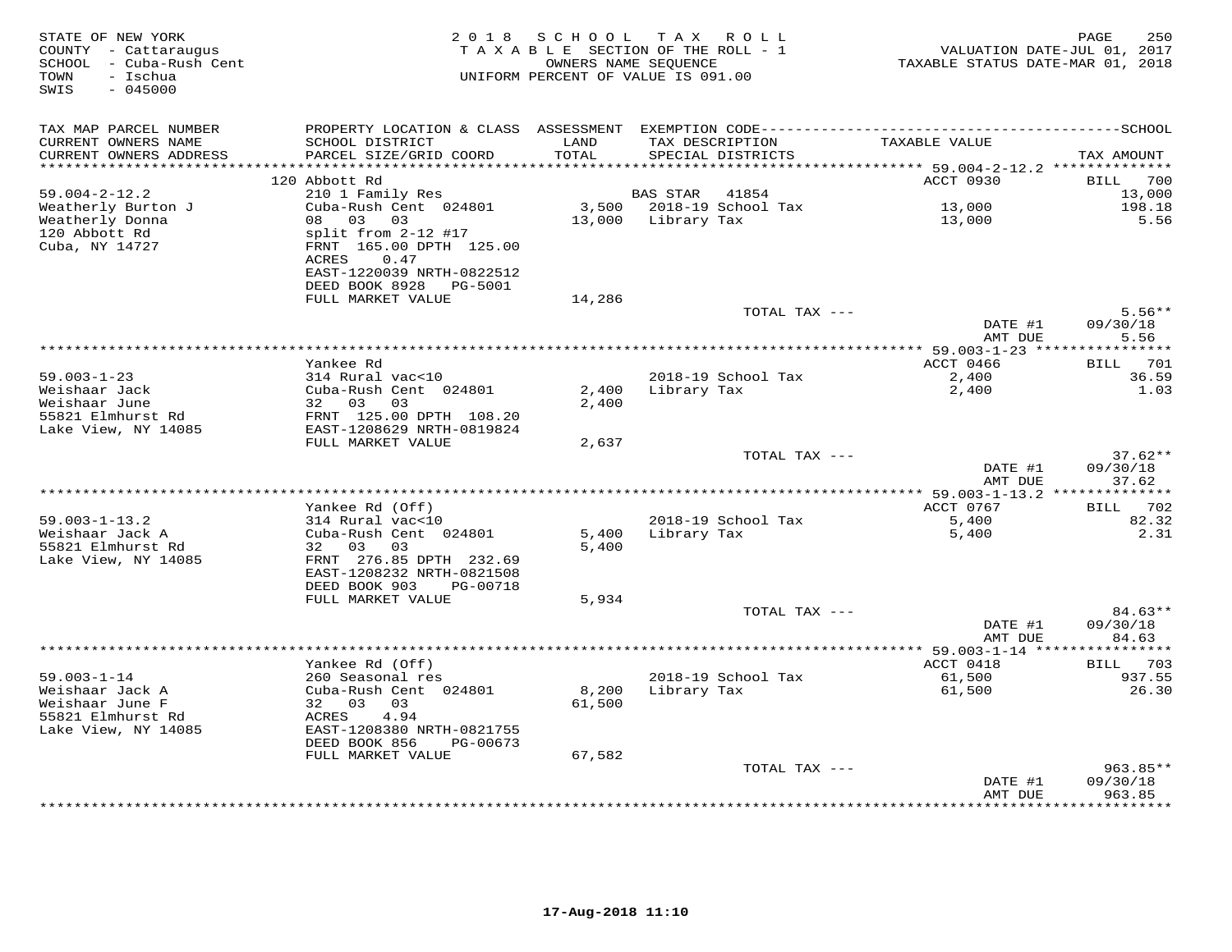| STATE OF NEW YORK<br>COUNTY - Cattaraugus<br>SCHOOL - Cuba-Rush Cent<br>- Ischua<br>TOWN<br>SWIS<br>$-045000$ |                                                                 |               | 2018 SCHOOL TAX ROLL<br>TAXABLE SECTION OF THE ROLL - 1<br>OWNERS NAME SEQUENCE<br>UNIFORM PERCENT OF VALUE IS 091.00 | VALUATION DATE-JUL 01, 2017<br>TAXABLE STATUS DATE-MAR 01, 2018 | PAGE<br>250           |
|---------------------------------------------------------------------------------------------------------------|-----------------------------------------------------------------|---------------|-----------------------------------------------------------------------------------------------------------------------|-----------------------------------------------------------------|-----------------------|
| TAX MAP PARCEL NUMBER                                                                                         |                                                                 |               |                                                                                                                       |                                                                 |                       |
| CURRENT OWNERS NAME<br>CURRENT OWNERS ADDRESS                                                                 | SCHOOL DISTRICT<br>PARCEL SIZE/GRID COORD                       | LAND<br>TOTAL | TAX DESCRIPTION<br>SPECIAL DISTRICTS                                                                                  | TAXABLE VALUE                                                   | TAX AMOUNT            |
| **********************                                                                                        | 120 Abbott Rd                                                   |               |                                                                                                                       | ACCT 0930                                                       | 700                   |
| $59.004 - 2 - 12.2$                                                                                           | 210 1 Family Res                                                |               | BAS STAR<br>41854                                                                                                     |                                                                 | <b>BILL</b><br>13,000 |
| Weatherly Burton J                                                                                            | Cuba-Rush Cent 024801                                           |               | 3,500 2018-19 School Tax                                                                                              |                                                                 | 198.18                |
| Weatherly Donna                                                                                               | 08 03 03                                                        |               | 13,000 Library Tax                                                                                                    | 13,000<br>13,000                                                | 5.56                  |
| 120 Abbott Rd<br>Cuba, NY 14727                                                                               | split from 2-12 #17<br>FRNT 165.00 DPTH 125.00<br>ACRES<br>0.47 |               |                                                                                                                       |                                                                 |                       |
|                                                                                                               | EAST-1220039 NRTH-0822512                                       |               |                                                                                                                       |                                                                 |                       |
|                                                                                                               | DEED BOOK 8928<br>PG-5001<br>FULL MARKET VALUE                  |               |                                                                                                                       |                                                                 |                       |
|                                                                                                               |                                                                 | 14,286        | TOTAL TAX ---                                                                                                         |                                                                 | $5.56**$              |
|                                                                                                               |                                                                 |               |                                                                                                                       | DATE #1                                                         | 09/30/18              |
|                                                                                                               |                                                                 |               |                                                                                                                       | AMT DUE                                                         | 5.56                  |
|                                                                                                               |                                                                 |               |                                                                                                                       |                                                                 |                       |
|                                                                                                               | Yankee Rd                                                       |               |                                                                                                                       | ACCT 0466                                                       | BILL 701              |
| $59.003 - 1 - 23$                                                                                             | 314 Rural vac<10                                                |               | 2018-19 School Tax                                                                                                    | 2,400                                                           | 36.59                 |
| Weishaar Jack                                                                                                 | Cuba-Rush Cent 024801                                           | 2,400         | Library Tax                                                                                                           | 2,400                                                           | 1.03                  |
| Weishaar June                                                                                                 | 32 03 03                                                        | 2,400         |                                                                                                                       |                                                                 |                       |
| 55821 Elmhurst Rd                                                                                             | FRNT 125.00 DPTH 108.20                                         |               |                                                                                                                       |                                                                 |                       |
| Lake View, NY 14085                                                                                           | EAST-1208629 NRTH-0819824                                       |               |                                                                                                                       |                                                                 |                       |
|                                                                                                               | FULL MARKET VALUE                                               | 2,637         | TOTAL TAX ---                                                                                                         |                                                                 | $37.62**$             |
|                                                                                                               |                                                                 |               |                                                                                                                       | DATE #1                                                         | 09/30/18              |
|                                                                                                               |                                                                 |               |                                                                                                                       | AMT DUE                                                         | 37.62                 |
|                                                                                                               |                                                                 |               |                                                                                                                       | ************* 59.003-1-13.2 **************                      |                       |
|                                                                                                               | Yankee Rd (Off)                                                 |               |                                                                                                                       | ACCT 0767                                                       | BILL 702              |
| $59.003 - 1 - 13.2$                                                                                           | 314 Rural vac<10                                                |               | 2018-19 School Tax                                                                                                    | 5,400                                                           | 82.32                 |
| Weishaar Jack A                                                                                               | Cuba-Rush Cent 024801                                           | 5,400         | Library Tax                                                                                                           | 5,400                                                           | 2.31                  |
| 55821 Elmhurst Rd                                                                                             | 32 03<br>03                                                     | 5,400         |                                                                                                                       |                                                                 |                       |
| Lake View, NY 14085                                                                                           | FRNT 276.85 DPTH 232.69                                         |               |                                                                                                                       |                                                                 |                       |
|                                                                                                               | EAST-1208232 NRTH-0821508                                       |               |                                                                                                                       |                                                                 |                       |
|                                                                                                               | DEED BOOK 903<br>PG-00718                                       |               |                                                                                                                       |                                                                 |                       |
|                                                                                                               | FULL MARKET VALUE                                               | 5,934         | TOTAL TAX ---                                                                                                         |                                                                 | $84.63**$             |
|                                                                                                               |                                                                 |               |                                                                                                                       | DATE #1                                                         | 09/30/18              |
|                                                                                                               |                                                                 |               |                                                                                                                       | AMT DUE                                                         | 84.63                 |
|                                                                                                               |                                                                 |               |                                                                                                                       |                                                                 |                       |
|                                                                                                               | Yankee Rd (Off)                                                 |               |                                                                                                                       | ACCT 0418                                                       | BILL 703              |
| $59.003 - 1 - 14$                                                                                             | 260 Seasonal res                                                |               | 2018-19 School Tax                                                                                                    | 61,500                                                          | 937.55                |
| Weishaar Jack A                                                                                               | Cuba-Rush Cent 024801                                           | 8,200         | Library Tax                                                                                                           | 61,500                                                          | 26.30                 |
| Weishaar June F                                                                                               | 32 03<br>03                                                     | 61,500        |                                                                                                                       |                                                                 |                       |
| 55821 Elmhurst Rd                                                                                             | 4.94<br>ACRES                                                   |               |                                                                                                                       |                                                                 |                       |
| Lake View, NY 14085                                                                                           | EAST-1208380 NRTH-0821755                                       |               |                                                                                                                       |                                                                 |                       |
|                                                                                                               | DEED BOOK 856<br>PG-00673                                       |               |                                                                                                                       |                                                                 |                       |
|                                                                                                               | FULL MARKET VALUE                                               | 67,582        |                                                                                                                       |                                                                 |                       |
|                                                                                                               |                                                                 |               | TOTAL TAX ---                                                                                                         |                                                                 | $963.85**$            |
|                                                                                                               |                                                                 |               |                                                                                                                       | DATE #1<br>AMT DUE                                              | 09/30/18<br>963.85    |
|                                                                                                               |                                                                 |               |                                                                                                                       | *************                                                   | . * * * * * * * * *   |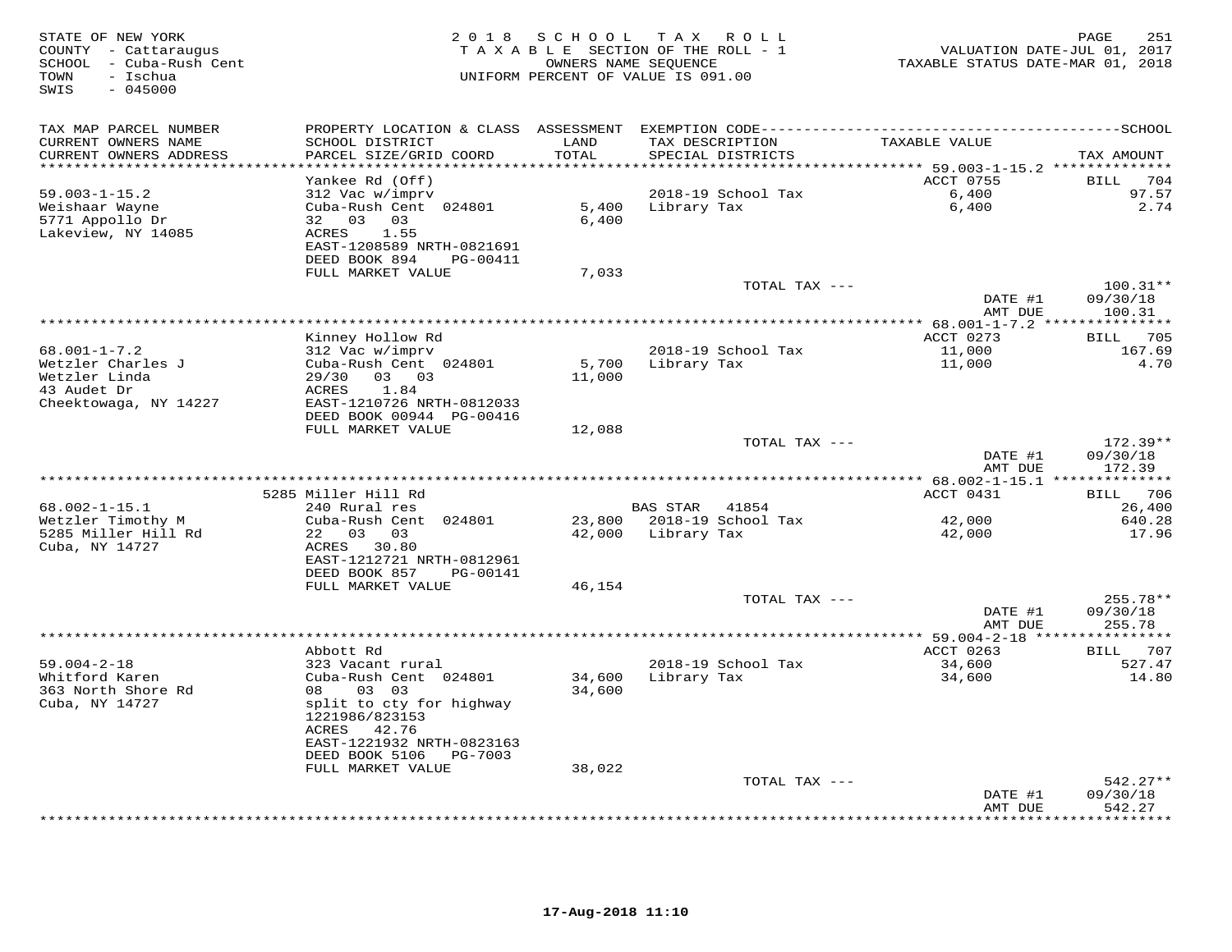| STATE OF NEW YORK<br>COUNTY - Cattaraugus<br>SCHOOL - Cuba-Rush Cent<br>- Ischua<br>TOWN<br>$-045000$<br>SWIS | 2 0 1 8                                    | S C H O O L     | TAX ROLL<br>TAXABLE SECTION OF THE ROLL - 1<br>OWNERS NAME SEQUENCE<br>UNIFORM PERCENT OF VALUE IS 091.00 | VALUATION DATE-JUL 01, 2017<br>TAXABLE STATUS DATE-MAR 01, 2018 | 251<br>PAGE                 |
|---------------------------------------------------------------------------------------------------------------|--------------------------------------------|-----------------|-----------------------------------------------------------------------------------------------------------|-----------------------------------------------------------------|-----------------------------|
| TAX MAP PARCEL NUMBER                                                                                         |                                            |                 |                                                                                                           |                                                                 |                             |
| CURRENT OWNERS NAME<br>CURRENT OWNERS ADDRESS                                                                 | SCHOOL DISTRICT<br>PARCEL SIZE/GRID COORD  | LAND<br>TOTAL   | TAX DESCRIPTION<br>SPECIAL DISTRICTS                                                                      | TAXABLE VALUE                                                   | TAX AMOUNT                  |
| ***************                                                                                               |                                            | ******          |                                                                                                           | ******* 59.003-1-15.2 **************                            |                             |
| $59.003 - 1 - 15.2$                                                                                           | Yankee Rd (Off)<br>312 Vac w/imprv         |                 | 2018-19 School Tax                                                                                        | ACCT 0755<br>6,400                                              | <b>BILL</b><br>704<br>97.57 |
| Weishaar Wayne                                                                                                | Cuba-Rush Cent 024801                      | 5,400           | Library Tax                                                                                               | 6,400                                                           | 2.74                        |
| 5771 Appollo Dr                                                                                               | 32 03<br>03                                | 6,400           |                                                                                                           |                                                                 |                             |
| Lakeview, NY 14085                                                                                            | <b>ACRES</b><br>1.55                       |                 |                                                                                                           |                                                                 |                             |
|                                                                                                               | EAST-1208589 NRTH-0821691                  |                 |                                                                                                           |                                                                 |                             |
|                                                                                                               | DEED BOOK 894<br>PG-00411                  |                 |                                                                                                           |                                                                 |                             |
|                                                                                                               | FULL MARKET VALUE                          | 7,033           |                                                                                                           |                                                                 |                             |
|                                                                                                               |                                            |                 | TOTAL TAX ---                                                                                             | DATE #1                                                         | $100.31**$<br>09/30/18      |
|                                                                                                               |                                            |                 |                                                                                                           | AMT DUE                                                         | 100.31                      |
| ******************************                                                                                |                                            |                 |                                                                                                           | ** 68.001-1-7.2 ****************                                |                             |
|                                                                                                               | Kinney Hollow Rd                           |                 |                                                                                                           | ACCT 0273                                                       | 705<br>BILL                 |
| $68.001 - 1 - 7.2$                                                                                            | 312 Vac w/imprv                            |                 | 2018-19 School Tax                                                                                        | 11,000                                                          | 167.69                      |
| Wetzler Charles J<br>Wetzler Linda                                                                            | Cuba-Rush Cent 024801<br>29/30<br>03 03    | 5,700<br>11,000 | Library Tax                                                                                               | 11,000                                                          | 4.70                        |
| 43 Audet Dr                                                                                                   | 1.84<br>ACRES                              |                 |                                                                                                           |                                                                 |                             |
| Cheektowaga, NY 14227                                                                                         | EAST-1210726 NRTH-0812033                  |                 |                                                                                                           |                                                                 |                             |
|                                                                                                               | DEED BOOK 00944 PG-00416                   |                 |                                                                                                           |                                                                 |                             |
|                                                                                                               | FULL MARKET VALUE                          | 12,088          |                                                                                                           |                                                                 |                             |
|                                                                                                               |                                            |                 | TOTAL TAX ---                                                                                             |                                                                 | $172.39**$                  |
|                                                                                                               |                                            |                 |                                                                                                           | DATE #1<br>AMT DUE                                              | 09/30/18<br>172.39          |
|                                                                                                               |                                            |                 | **********************                                                                                    | ***** 68.002-1-15.1 ***************                             |                             |
|                                                                                                               | 5285 Miller Hill Rd                        |                 |                                                                                                           | ACCT 0431                                                       | BILL 706                    |
| $68.002 - 1 - 15.1$                                                                                           | 240 Rural res                              |                 | <b>BAS STAR</b><br>41854                                                                                  |                                                                 | 26,400                      |
| Wetzler Timothy M                                                                                             | Cuba-Rush Cent 024801                      | 23,800          | 2018-19 School Tax                                                                                        | 42,000                                                          | 640.28                      |
| 5285 Miller Hill Rd<br>Cuba, NY 14727                                                                         | 22 03<br>03<br>ACRES 30.80                 |                 | 42,000 Library Tax                                                                                        | 42,000                                                          | 17.96                       |
|                                                                                                               | EAST-1212721 NRTH-0812961                  |                 |                                                                                                           |                                                                 |                             |
|                                                                                                               | DEED BOOK 857<br>PG-00141                  |                 |                                                                                                           |                                                                 |                             |
|                                                                                                               | FULL MARKET VALUE                          | 46,154          |                                                                                                           |                                                                 |                             |
|                                                                                                               |                                            |                 | TOTAL TAX ---                                                                                             |                                                                 | 255.78**                    |
|                                                                                                               |                                            |                 |                                                                                                           | DATE #1                                                         | 09/30/18                    |
|                                                                                                               |                                            |                 |                                                                                                           | AMT DUE                                                         | 255.78                      |
|                                                                                                               | Abbott Rd                                  |                 |                                                                                                           | ACCT 0263                                                       | 707<br>BILL                 |
| $59.004 - 2 - 18$                                                                                             | 323 Vacant rural                           |                 | 2018-19 School Tax                                                                                        | 34,600                                                          | 527.47                      |
| Whitford Karen                                                                                                | Cuba-Rush Cent 024801                      | 34,600          | Library Tax                                                                                               | 34,600                                                          | 14.80                       |
| 363 North Shore Rd                                                                                            | 08<br>03 03                                | 34,600          |                                                                                                           |                                                                 |                             |
| Cuba, NY 14727                                                                                                | split to cty for highway<br>1221986/823153 |                 |                                                                                                           |                                                                 |                             |
|                                                                                                               | ACRES 42.76                                |                 |                                                                                                           |                                                                 |                             |
|                                                                                                               | EAST-1221932 NRTH-0823163                  |                 |                                                                                                           |                                                                 |                             |
|                                                                                                               | DEED BOOK 5106<br>PG-7003                  |                 |                                                                                                           |                                                                 |                             |
|                                                                                                               | FULL MARKET VALUE                          | 38,022          |                                                                                                           |                                                                 |                             |
|                                                                                                               |                                            |                 | TOTAL TAX ---                                                                                             |                                                                 | $542.27**$<br>09/30/18      |
|                                                                                                               |                                            |                 |                                                                                                           | DATE #1<br>AMT DUE                                              | 542.27                      |
|                                                                                                               |                                            |                 |                                                                                                           |                                                                 | .                           |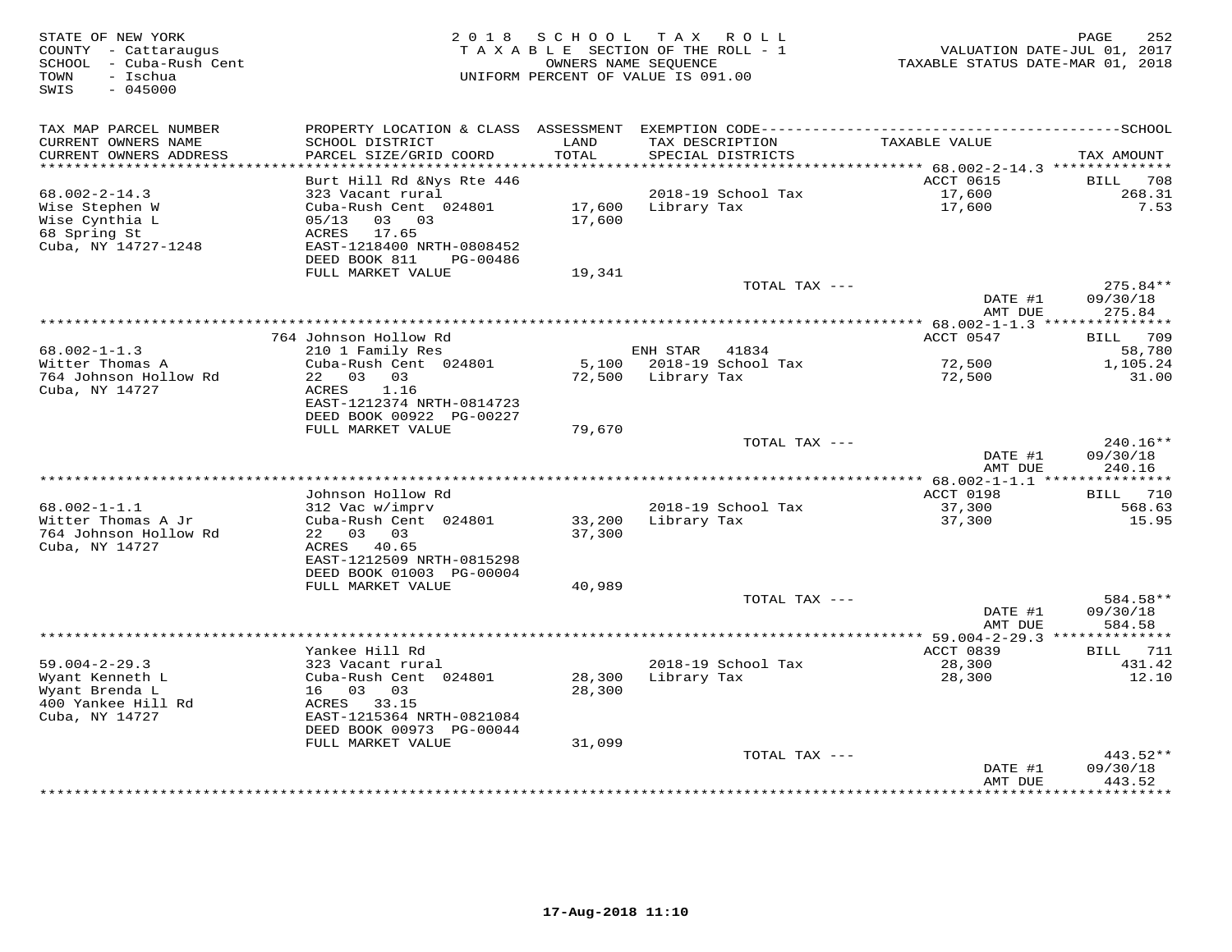| STATE OF NEW YORK<br>COUNTY - Cattaraugus<br>SCHOOL - Cuba-Rush Cent<br>- Ischua<br>TOWN<br>SWIS<br>$-045000$ | 2 0 1 8                                        | SCHOOL           | TAX ROLL<br>TAXABLE SECTION OF THE ROLL - 1<br>OWNERS NAME SEOUENCE<br>UNIFORM PERCENT OF VALUE IS 091.00 | TAXABLE STATUS DATE-MAR 01, 2018             | 252<br>PAGE<br>VALUATION DATE-JUL 01, 2017 |
|---------------------------------------------------------------------------------------------------------------|------------------------------------------------|------------------|-----------------------------------------------------------------------------------------------------------|----------------------------------------------|--------------------------------------------|
| TAX MAP PARCEL NUMBER                                                                                         |                                                |                  |                                                                                                           |                                              |                                            |
| CURRENT OWNERS NAME<br>CURRENT OWNERS ADDRESS<br>************************                                     | SCHOOL DISTRICT<br>PARCEL SIZE/GRID COORD      | LAND<br>TOTAL    | TAX DESCRIPTION<br>SPECIAL DISTRICTS                                                                      | TAXABLE VALUE                                | TAX AMOUNT                                 |
|                                                                                                               | Burt Hill Rd & Nys Rte 446                     |                  |                                                                                                           | ACCT 0615                                    | 708<br><b>BILL</b>                         |
| $68.002 - 2 - 14.3$                                                                                           | 323 Vacant rural                               |                  | 2018-19 School Tax                                                                                        | 17,600                                       | 268.31                                     |
| Wise Stephen W                                                                                                | Cuba-Rush Cent 024801                          | 17,600           | Library Tax                                                                                               | 17,600                                       | 7.53                                       |
| Wise Cynthia L                                                                                                | 05/13<br>03 03                                 | 17,600           |                                                                                                           |                                              |                                            |
| 68 Spring St                                                                                                  | 17.65<br>ACRES                                 |                  |                                                                                                           |                                              |                                            |
| Cuba, NY 14727-1248                                                                                           | EAST-1218400 NRTH-0808452                      |                  |                                                                                                           |                                              |                                            |
|                                                                                                               | DEED BOOK 811<br>PG-00486<br>FULL MARKET VALUE | 19,341           |                                                                                                           |                                              |                                            |
|                                                                                                               |                                                |                  | TOTAL TAX ---                                                                                             |                                              | 275.84**                                   |
|                                                                                                               |                                                |                  |                                                                                                           | DATE #1                                      | 09/30/18                                   |
|                                                                                                               |                                                |                  |                                                                                                           | AMT DUE                                      | 275.84                                     |
|                                                                                                               |                                                |                  | ***********************************                                                                       | ************ 68.002-1-1.3 ***************    |                                            |
| $68.002 - 1 - 1.3$                                                                                            | 764 Johnson Hollow Rd                          |                  | ENH STAR<br>41834                                                                                         | ACCT 0547                                    | BILL 709<br>58,780                         |
| Witter Thomas A                                                                                               | 210 1 Family Res<br>Cuba-Rush Cent 024801      | 5,100            | 2018-19 School Tax                                                                                        | 72,500                                       | 1,105.24                                   |
| 764 Johnson Hollow Rd                                                                                         | 22 03 03                                       | 72,500           | Library Tax                                                                                               | 72,500                                       | 31.00                                      |
| Cuba, NY 14727                                                                                                | ACRES<br>1.16                                  |                  |                                                                                                           |                                              |                                            |
|                                                                                                               | EAST-1212374 NRTH-0814723                      |                  |                                                                                                           |                                              |                                            |
|                                                                                                               | DEED BOOK 00922 PG-00227<br>FULL MARKET VALUE  |                  |                                                                                                           |                                              |                                            |
|                                                                                                               |                                                | 79,670           | TOTAL TAX ---                                                                                             |                                              | 240.16**                                   |
|                                                                                                               |                                                |                  |                                                                                                           | DATE #1                                      | 09/30/18                                   |
|                                                                                                               |                                                |                  |                                                                                                           | AMT DUE                                      | 240.16                                     |
|                                                                                                               |                                                |                  | *******************************                                                                           | ** 68.002-1-1.1 ****************             |                                            |
|                                                                                                               | Johnson Hollow Rd                              |                  |                                                                                                           | ACCT 0198                                    | 710<br>BILL                                |
| $68.002 - 1 - 1.1$<br>Witter Thomas A Jr                                                                      | 312 Vac w/imprv<br>Cuba-Rush Cent 024801       | 33,200           | 2018-19 School Tax<br>Library Tax                                                                         | 37,300<br>37,300                             | 568.63<br>15.95                            |
| 764 Johnson Hollow Rd                                                                                         | 22 03 03                                       | 37,300           |                                                                                                           |                                              |                                            |
| Cuba, NY 14727                                                                                                | ACRES 40.65                                    |                  |                                                                                                           |                                              |                                            |
|                                                                                                               | EAST-1212509 NRTH-0815298                      |                  |                                                                                                           |                                              |                                            |
|                                                                                                               | DEED BOOK 01003 PG-00004                       |                  |                                                                                                           |                                              |                                            |
|                                                                                                               | FULL MARKET VALUE                              | 40,989           | TOTAL TAX ---                                                                                             |                                              | 584.58**                                   |
|                                                                                                               |                                                |                  |                                                                                                           | DATE #1                                      | 09/30/18                                   |
|                                                                                                               |                                                |                  |                                                                                                           | AMT DUE                                      | 584.58                                     |
|                                                                                                               |                                                |                  |                                                                                                           | *************** 59.004-2-29.3 ************** |                                            |
|                                                                                                               | Yankee Hill Rd                                 |                  |                                                                                                           | ACCT 0839                                    | 711<br>BILL                                |
| $59.004 - 2 - 29.3$                                                                                           | 323 Vacant rural                               |                  | 2018-19 School Tax                                                                                        | 28,300                                       | 431.42                                     |
| Wyant Kenneth L<br>Wyant Brenda L                                                                             | Cuba-Rush Cent 024801<br>16 03<br>03           | 28,300<br>28,300 | Library Tax                                                                                               | 28,300                                       | 12.10                                      |
| 400 Yankee Hill Rd                                                                                            | 33.15<br>ACRES                                 |                  |                                                                                                           |                                              |                                            |
| Cuba, NY 14727                                                                                                | EAST-1215364 NRTH-0821084                      |                  |                                                                                                           |                                              |                                            |
|                                                                                                               | DEED BOOK 00973 PG-00044                       |                  |                                                                                                           |                                              |                                            |
|                                                                                                               | FULL MARKET VALUE                              | 31,099           |                                                                                                           |                                              |                                            |
|                                                                                                               |                                                |                  | TOTAL TAX ---                                                                                             |                                              | $443.52**$                                 |
|                                                                                                               |                                                |                  |                                                                                                           | DATE #1<br>AMT DUE                           | 09/30/18<br>443.52                         |
|                                                                                                               |                                                |                  |                                                                                                           |                                              | .                                          |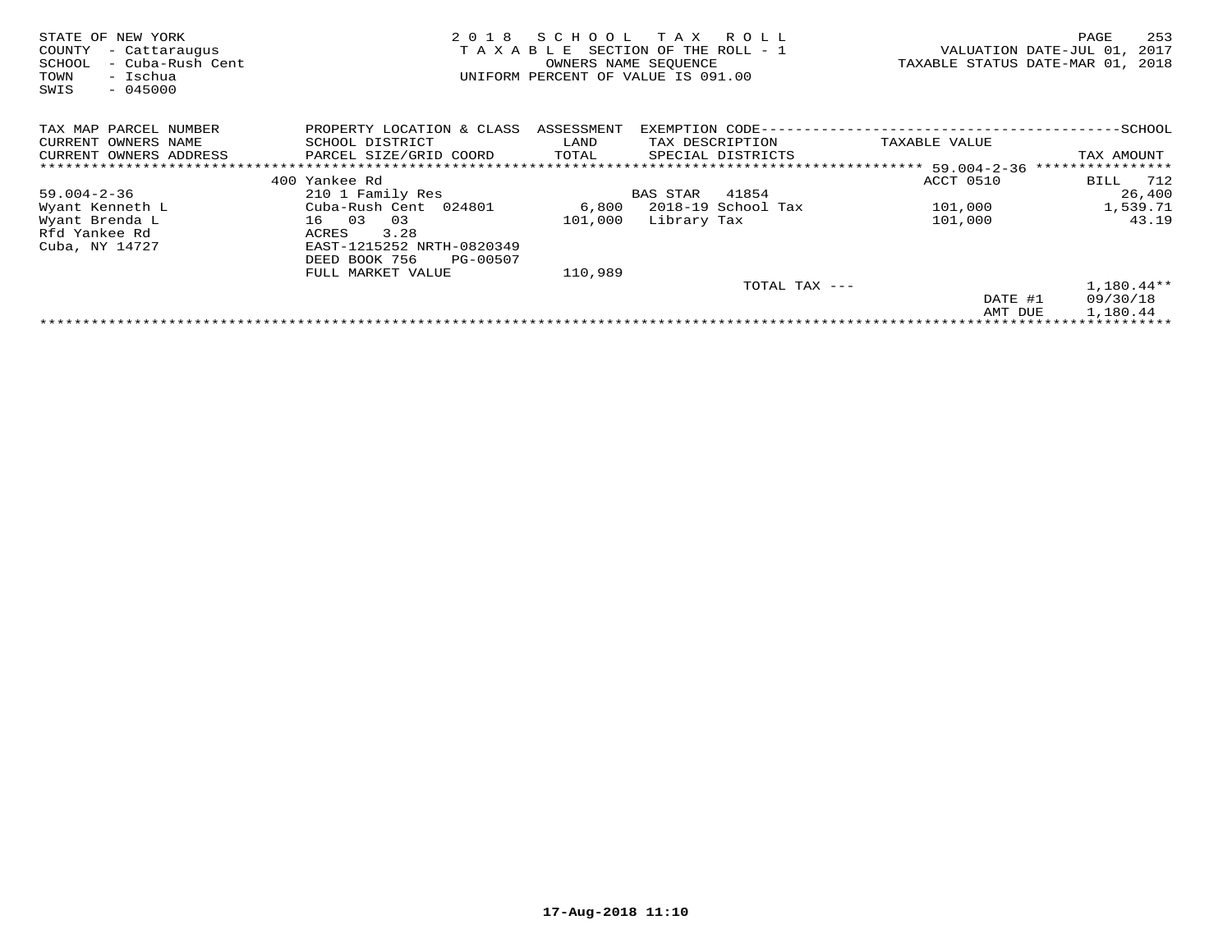| STATE OF NEW YORK<br>COUNTY<br>- Cattaraugus<br>- Cuba-Rush Cent<br>SCHOOL<br>- Ischua<br>TOWN<br>$-045000$<br>SWIS | 2018<br>TAXABLE           | SCHOOL     | T A X<br>R O L L<br>SECTION OF THE ROLL - 1<br>OWNERS NAME SEOUENCE<br>UNIFORM PERCENT OF VALUE IS 091.00 | VALUATION DATE-JUL 01,<br>TAXABLE STATUS DATE-MAR 01, 2018 | 253<br>PAGE<br>2017             |
|---------------------------------------------------------------------------------------------------------------------|---------------------------|------------|-----------------------------------------------------------------------------------------------------------|------------------------------------------------------------|---------------------------------|
| TAX MAP PARCEL NUMBER                                                                                               | PROPERTY LOCATION & CLASS | ASSESSMENT | EXEMPTION CODE--                                                                                          |                                                            | -SCHOOL                         |
| CURRENT OWNERS NAME                                                                                                 | SCHOOL DISTRICT           | LAND       | TAX DESCRIPTION                                                                                           | TAXABLE VALUE                                              |                                 |
| CURRENT OWNERS ADDRESS                                                                                              | PARCEL SIZE/GRID COORD    | TOTAL      | SPECIAL DISTRICTS                                                                                         |                                                            | TAX AMOUNT                      |
|                                                                                                                     |                           |            |                                                                                                           | ************ 59.004-2-36                                   | * * * * * * * * * * * * * * * * |
|                                                                                                                     | 400 Yankee Rd             |            |                                                                                                           | ACCT 0510                                                  | 712<br>BILL                     |
| $59.004 - 2 - 36$                                                                                                   | 210 1 Family Res          |            | 41854<br>BAS STAR                                                                                         |                                                            | 26,400                          |
| Wyant Kenneth L                                                                                                     | Cuba-Rush Cent 024801     | 6,800      | 2018-19 School Tax                                                                                        | 101,000                                                    | 1,539.71                        |
| Wyant Brenda L                                                                                                      | 16 03<br>03               | 101,000    | Library Tax                                                                                               | 101,000                                                    | 43.19                           |
| Rfd Yankee Rd                                                                                                       | 3.28<br>ACRES             |            |                                                                                                           |                                                            |                                 |
| Cuba, NY 14727                                                                                                      | EAST-1215252 NRTH-0820349 |            |                                                                                                           |                                                            |                                 |
|                                                                                                                     | DEED BOOK 756<br>PG-00507 |            |                                                                                                           |                                                            |                                 |
|                                                                                                                     | FULL MARKET VALUE         | 110,989    |                                                                                                           |                                                            |                                 |
|                                                                                                                     |                           |            | TOTAL TAX ---                                                                                             |                                                            | $1,180.44**$                    |
|                                                                                                                     |                           |            |                                                                                                           | DATE #1                                                    | 09/30/18                        |
|                                                                                                                     |                           |            |                                                                                                           | AMT DUE                                                    | 1,180.44                        |
|                                                                                                                     |                           |            |                                                                                                           |                                                            |                                 |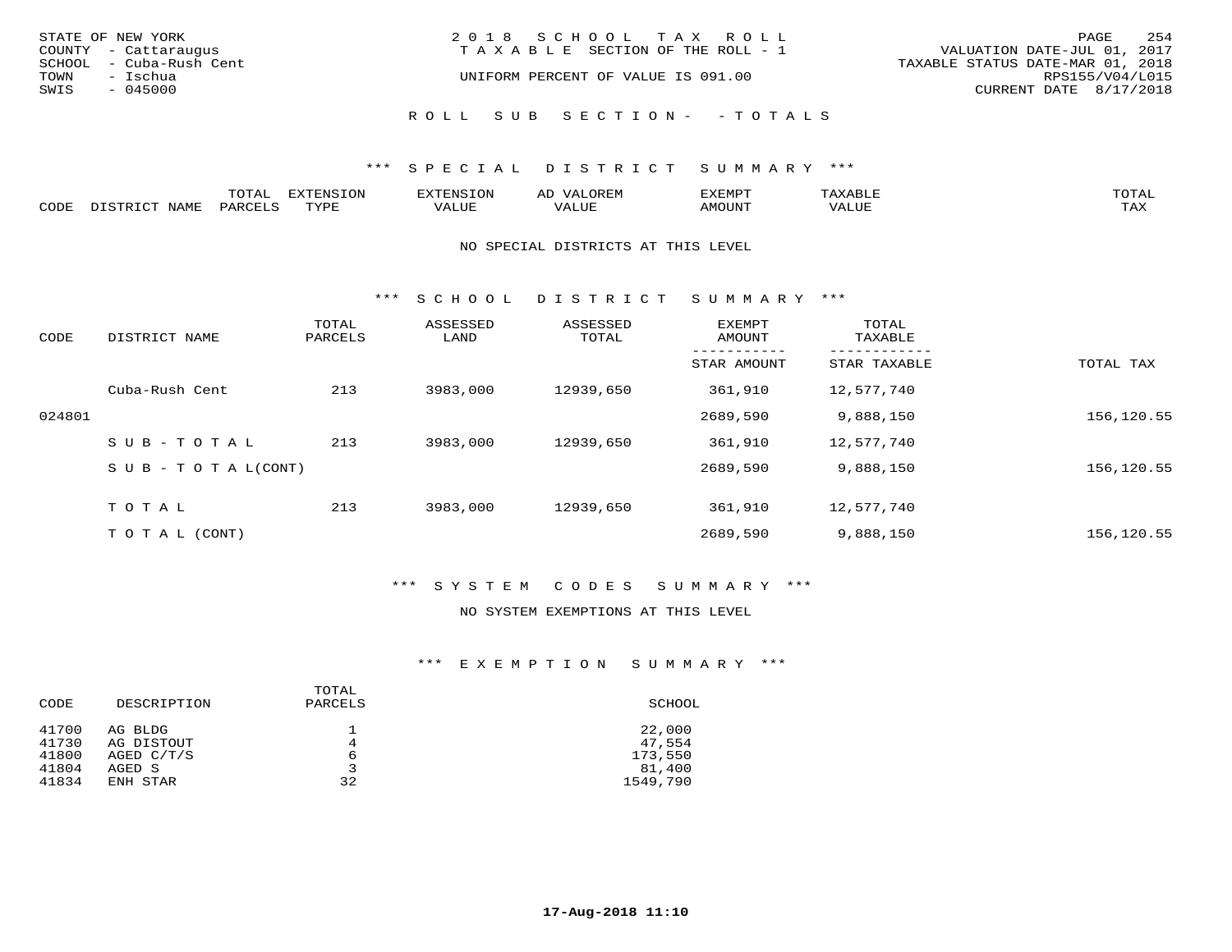| STATE OF NEW YORK<br>COUNTY - Cattaraugus<br>SCHOOL - Cuba-Rush Cent<br>TOWN<br>- Ischua | 2018 SCHOOL TAX ROLL<br>T A X A B L E SECTION OF THE ROLL - 1<br>UNIFORM PERCENT OF VALUE IS 091.00 | 2.54<br>PAGE<br>VALUATION DATE-JUL 01, 2017<br>TAXABLE STATUS DATE-MAR 01, 2018<br>RPS155/V04/L015 |
|------------------------------------------------------------------------------------------|-----------------------------------------------------------------------------------------------------|----------------------------------------------------------------------------------------------------|
| SWIS<br>- 045000                                                                         | ROLL SUB SECTION- - TOTALS                                                                          | CURRENT DATE 8/17/2018                                                                             |

|      |                | momn:<br>LUIAI.     | mazma           |       | JR E.N        | ,,, <del>,</del> ,,,,,,,<br>™ ⊃<br>⊐ויום ∧נ |     |                    |
|------|----------------|---------------------|-----------------|-------|---------------|---------------------------------------------|-----|--------------------|
| CODE | NAMF<br>. סידי | PARCET <sup>-</sup> | TVDI<br>- - - - | 7ALUE | T T T<br>ALUr | AMOUNT                                      | ′ △ | <b>TRAV</b><br>∸∽∸ |

#### NO SPECIAL DISTRICTS AT THIS LEVEL

\*\*\* S C H O O L D I S T R I C T S U M M A R Y \*\*\*

| CODE   | DISTRICT NAME                    | TOTAL<br>PARCELS | ASSESSED<br>LAND | ASSESSED<br>TOTAL | <b>EXEMPT</b><br>AMOUNT | TOTAL<br>TAXABLE |            |
|--------|----------------------------------|------------------|------------------|-------------------|-------------------------|------------------|------------|
|        |                                  |                  |                  |                   | STAR AMOUNT             | STAR TAXABLE     | TOTAL TAX  |
|        | Cuba-Rush Cent                   | 213              | 3983,000         | 12939,650         | 361,910                 | 12,577,740       |            |
| 024801 |                                  |                  |                  |                   | 2689,590                | 9,888,150        | 156,120.55 |
|        | SUB-TOTAL                        | 213              | 3983,000         | 12939,650         | 361,910                 | 12,577,740       |            |
|        | $S \cup B - T \cup T A L (CONT)$ |                  |                  |                   | 2689,590                | 9,888,150        | 156,120.55 |
|        | TOTAL                            | 213              | 3983,000         | 12939,650         | 361,910                 | 12,577,740       |            |
|        | T O T A L (CONT)                 |                  |                  |                   | 2689,590                | 9,888,150        | 156,120.55 |

### \*\*\* S Y S T E M C O D E S S U M M A R Y \*\*\*

#### NO SYSTEM EXEMPTIONS AT THIS LEVEL

| CODE  | DESCRIPTION  | TOTAL<br>PARCELS | SCHOOL   |
|-------|--------------|------------------|----------|
| 41700 | AG BLDG      |                  | 22,000   |
| 41730 | AG DISTOUT   | 4                | 47,554   |
| 41800 | AGED $C/T/S$ | 6                | 173,550  |
| 41804 | AGED S       | 3                | 81,400   |
| 41834 | ENH STAR     | 32               | 1549,790 |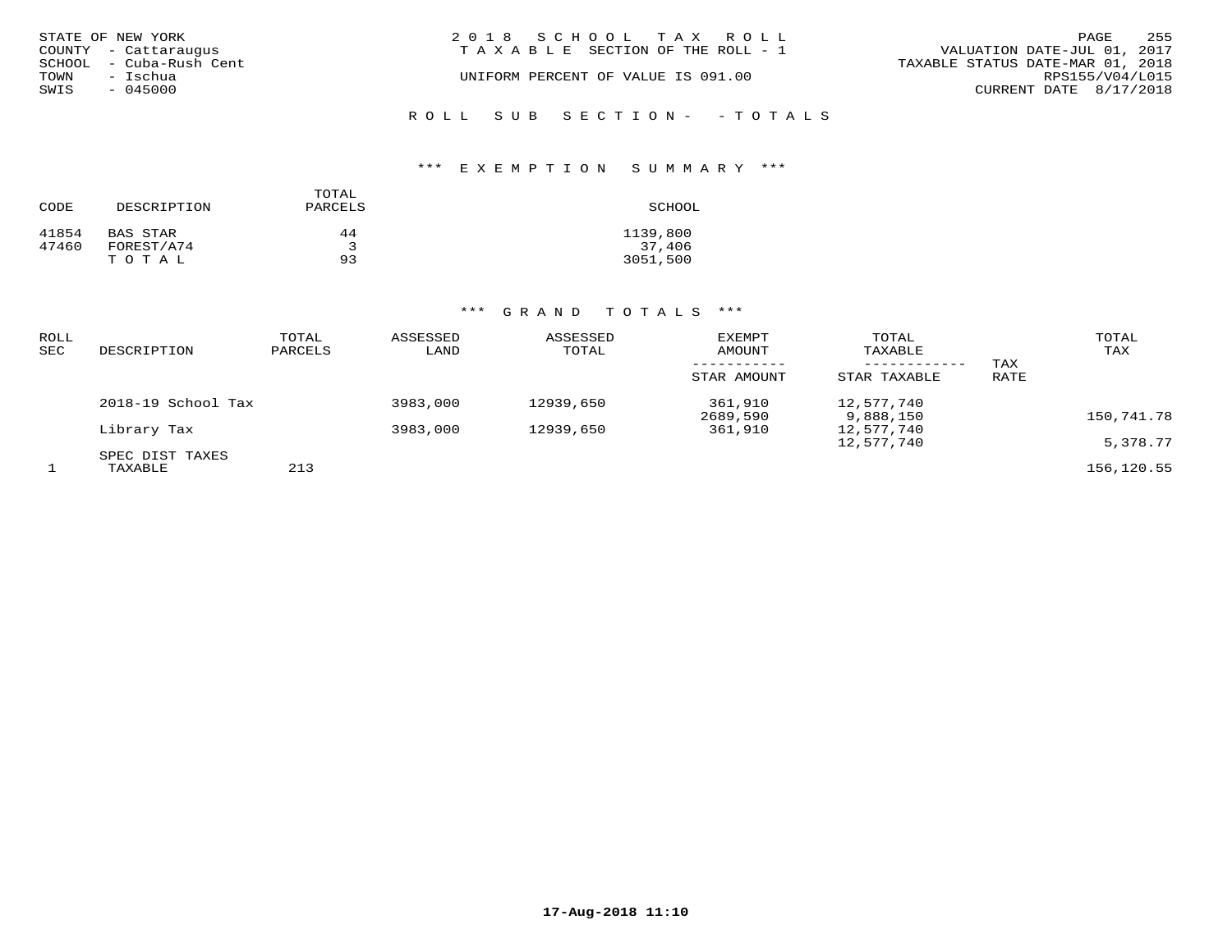| STATE OF NEW YORK       | 2018 SCHOOL TAX ROLL               | PAGE                             | 255 |
|-------------------------|------------------------------------|----------------------------------|-----|
| COUNTY - Cattaraugus    | TAXABLE SECTION OF THE ROLL - 1    | VALUATION DATE-JUL 01, 2017      |     |
| SCHOOL - Cuba-Rush Cent |                                    | TAXABLE STATUS DATE-MAR 01, 2018 |     |
| TOWN<br>- Ischua        | UNIFORM PERCENT OF VALUE IS 091.00 | RPS155/V04/L015                  |     |
| SWIS<br>$-045000$       |                                    | CURRENT DATE 8/17/2018           |     |
|                         | ROLL SUB SECTION- -TOTALS          |                                  |     |

#### \*\*\* E X E M P T I O N S U M M A R Y \*\*\*

| CODE  | DESCRIPTION | TOTAL<br>PARCELS | SCHOOL   |
|-------|-------------|------------------|----------|
| 41854 | BAS STAR    | 44               | 1139,800 |
| 47460 | FOREST/A74  | 2                | 37,406   |
|       | TOTAL       | 93               | 3051,500 |

| ROLL<br>SEC | DESCRIPTION                | TOTAL<br>PARCELS | ASSESSED<br>LAND | ASSESSED<br>TOTAL | EXEMPT<br>AMOUNT<br>STAR AMOUNT | TOTAL<br>TAXABLE<br>------------<br>STAR TAXABLE | TAX<br>RATE | TOTAL<br>TAX |
|-------------|----------------------------|------------------|------------------|-------------------|---------------------------------|--------------------------------------------------|-------------|--------------|
|             | 2018-19 School Tax         |                  | 3983,000         | 12939,650         | 361,910<br>2689,590             | 12,577,740<br>9,888,150                          |             | 150,741.78   |
|             | Library Tax                |                  | 3983,000         | 12939,650         | 361,910                         | 12,577,740<br>12,577,740                         |             | 5,378.77     |
|             | SPEC DIST TAXES<br>TAXABLE | 213              |                  |                   |                                 |                                                  |             | 156,120.55   |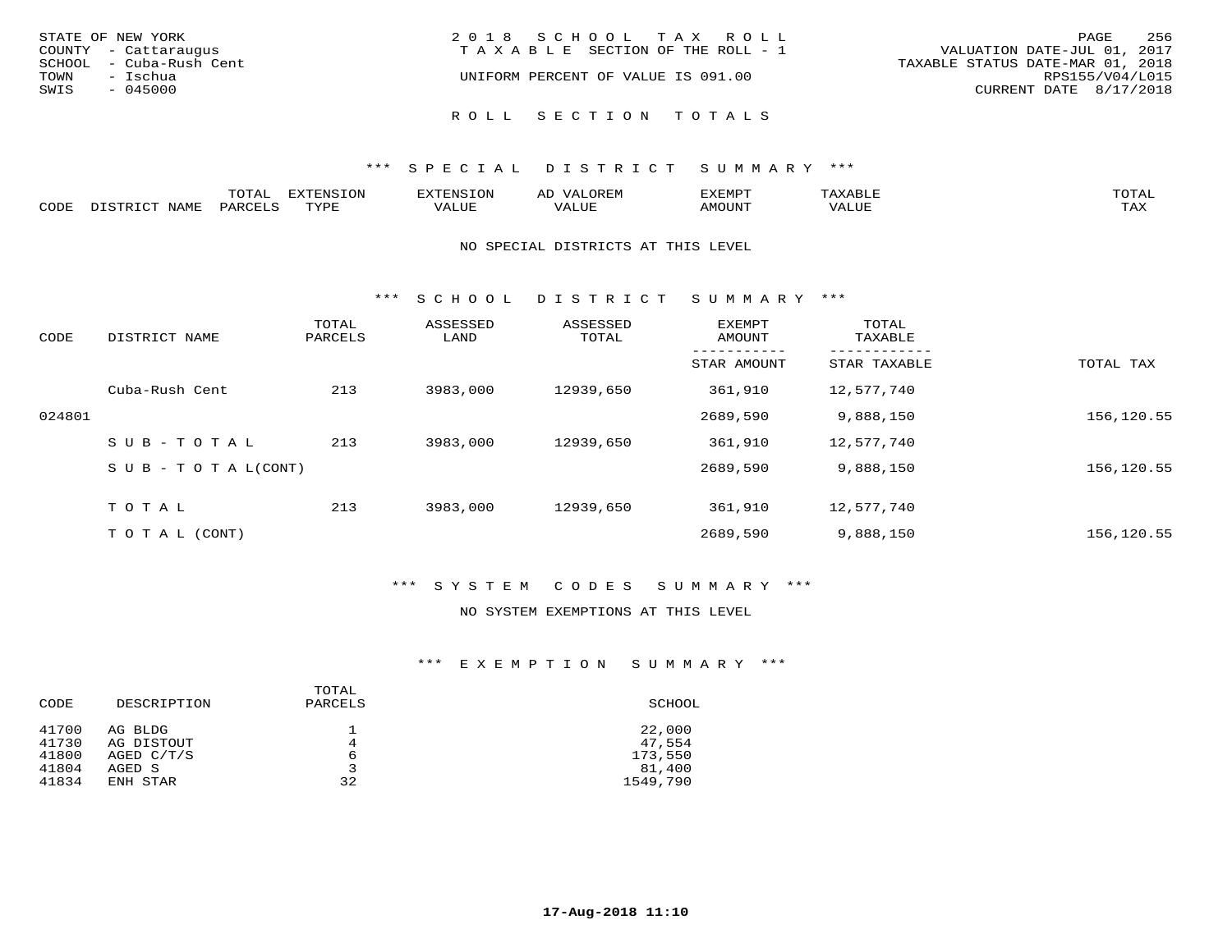| STATE OF NEW YORK<br>COUNTY - Cattaraugus<br>SCHOOL - Cuba-Rush Cent<br>TOWN<br>– Ischua | 2018 SCHOOL TAX ROLL<br>TAXABLE SECTION OF THE ROLL - 1<br>UNIFORM PERCENT OF VALUE IS 091.00 | 256<br>PAGE<br>VALUATION DATE-JUL 01, 2017<br>TAXABLE STATUS DATE-MAR 01, 2018<br>RPS155/V04/L015 |
|------------------------------------------------------------------------------------------|-----------------------------------------------------------------------------------------------|---------------------------------------------------------------------------------------------------|
| SWIS<br>$-045000$                                                                        | ROLL SECTION TOTALS                                                                           | CURRENT DATE 8/17/2018                                                                            |

|       |                  | m^m*<br>∸ ∪ ⊥ <del>⊓</del> | $T \cap N$<br>--- |                 | ىت | YFMDT   |        | $m \wedge m \wedge n$ |
|-------|------------------|----------------------------|-------------------|-----------------|----|---------|--------|-----------------------|
| JODE: | $M^{\mathsf{A}}$ |                            | $m \tau \tau n$   | $-$ - $-$ - $-$ |    | 1077777 | 1 U P. | $m \times r$<br>- ⊷∡  |

#### NO SPECIAL DISTRICTS AT THIS LEVEL

\*\*\* S C H O O L D I S T R I C T S U M M A R Y \*\*\*

| CODE   | DISTRICT NAME                    | TOTAL<br>PARCELS | ASSESSED<br>LAND | ASSESSED<br>TOTAL | EXEMPT<br>AMOUNT | TOTAL<br>TAXABLE |            |
|--------|----------------------------------|------------------|------------------|-------------------|------------------|------------------|------------|
|        |                                  |                  |                  |                   | STAR AMOUNT      | STAR TAXABLE     | TOTAL TAX  |
|        | Cuba-Rush Cent                   | 213              | 3983,000         | 12939,650         | 361,910          | 12,577,740       |            |
| 024801 |                                  |                  |                  |                   | 2689,590         | 9,888,150        | 156,120.55 |
|        | SUB-TOTAL                        | 213              | 3983,000         | 12939,650         | 361,910          | 12,577,740       |            |
|        | $S \cup B - T \cup T A L (CONT)$ |                  |                  |                   | 2689,590         | 9,888,150        | 156,120.55 |
|        | TOTAL                            | 213              | 3983,000         | 12939,650         | 361,910          | 12,577,740       |            |
|        | T O T A L (CONT)                 |                  |                  |                   | 2689,590         | 9,888,150        | 156,120.55 |

### \*\*\* S Y S T E M C O D E S S U M M A R Y \*\*\*

#### NO SYSTEM EXEMPTIONS AT THIS LEVEL

| CODE                                      | DESCRIPTION                                                 | TOTAL<br>PARCELS  | SCHOOL                                            |
|-------------------------------------------|-------------------------------------------------------------|-------------------|---------------------------------------------------|
| 41700<br>41730<br>41800<br>41804<br>41834 | AG BLDG<br>AG DISTOUT<br>AGED $C/T/S$<br>AGED S<br>ENH STAR | 4<br>6<br>3<br>32 | 22,000<br>47,554<br>173,550<br>81,400<br>1549,790 |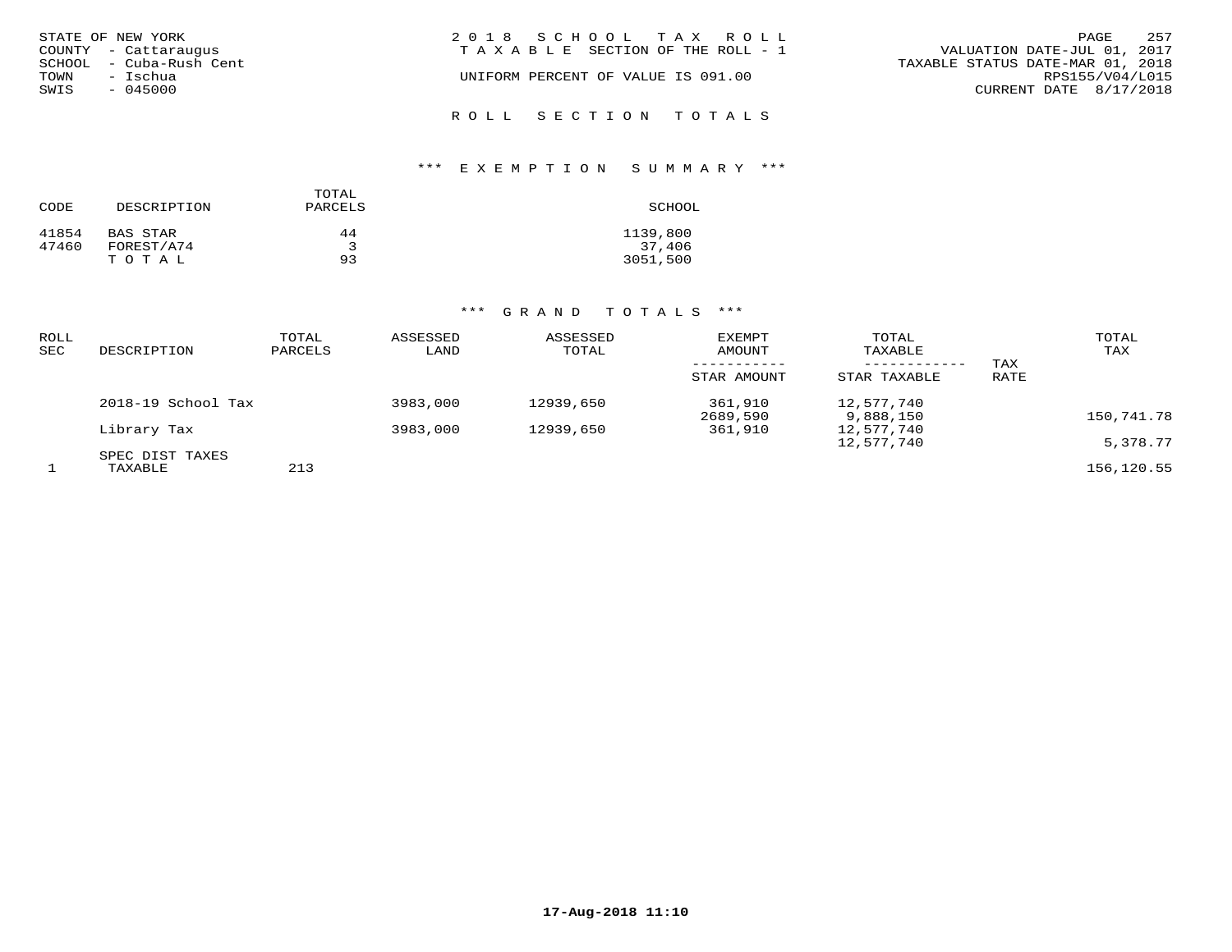| STATE OF NEW YORK<br>COUNTY - Cattaraugus   | 2018 SCHOOL TAX ROLL<br>TAXABLE SECTION OF THE ROLL - 1 | 257<br>PAGE<br>VALUATION DATE-JUL 01, 2017          |
|---------------------------------------------|---------------------------------------------------------|-----------------------------------------------------|
| SCHOOL - Cuba-Rush Cent<br>TOWN<br>– Ischua | UNIFORM PERCENT OF VALUE IS 091.00                      | TAXABLE STATUS DATE-MAR 01, 2018<br>RPS155/V04/L015 |
| SWIS<br>$-045000$                           |                                                         | CURRENT DATE 8/17/2018                              |
|                                             | ROLL SECTION TOTALS                                     |                                                     |

# \*\*\* E X E M P T I O N S U M M A R Y \*\*\*

|       |             | TOTAL   |          |
|-------|-------------|---------|----------|
| CODE  | DESCRIPTION | PARCELS | SCHOOL   |
| 41854 | BAS STAR    | 44      | 1139,800 |
| 47460 | FOREST/A74  |         | 37,406   |
|       | TOTAL       | 93      | 3051,500 |

| ROLL<br>SEC | DESCRIPTION        | TOTAL<br>PARCELS | ASSESSED<br>LAND | ASSESSED<br>TOTAL | EXEMPT<br>AMOUNT<br>STAR AMOUNT | TOTAL<br>TAXABLE<br>------------<br>STAR TAXABLE | TAX<br>RATE | TOTAL<br>TAX |
|-------------|--------------------|------------------|------------------|-------------------|---------------------------------|--------------------------------------------------|-------------|--------------|
|             | 2018-19 School Tax |                  | 3983,000         | 12939,650         | 361,910<br>2689,590             | 12,577,740<br>9,888,150                          |             | 150,741.78   |
|             | Library Tax        |                  | 3983,000         | 12939,650         | 361,910                         | 12,577,740<br>12,577,740                         |             | 5,378.77     |
|             | SPEC DIST TAXES    |                  |                  |                   |                                 |                                                  |             |              |
|             | TAXABLE            | 213              |                  |                   |                                 |                                                  |             | 156,120.55   |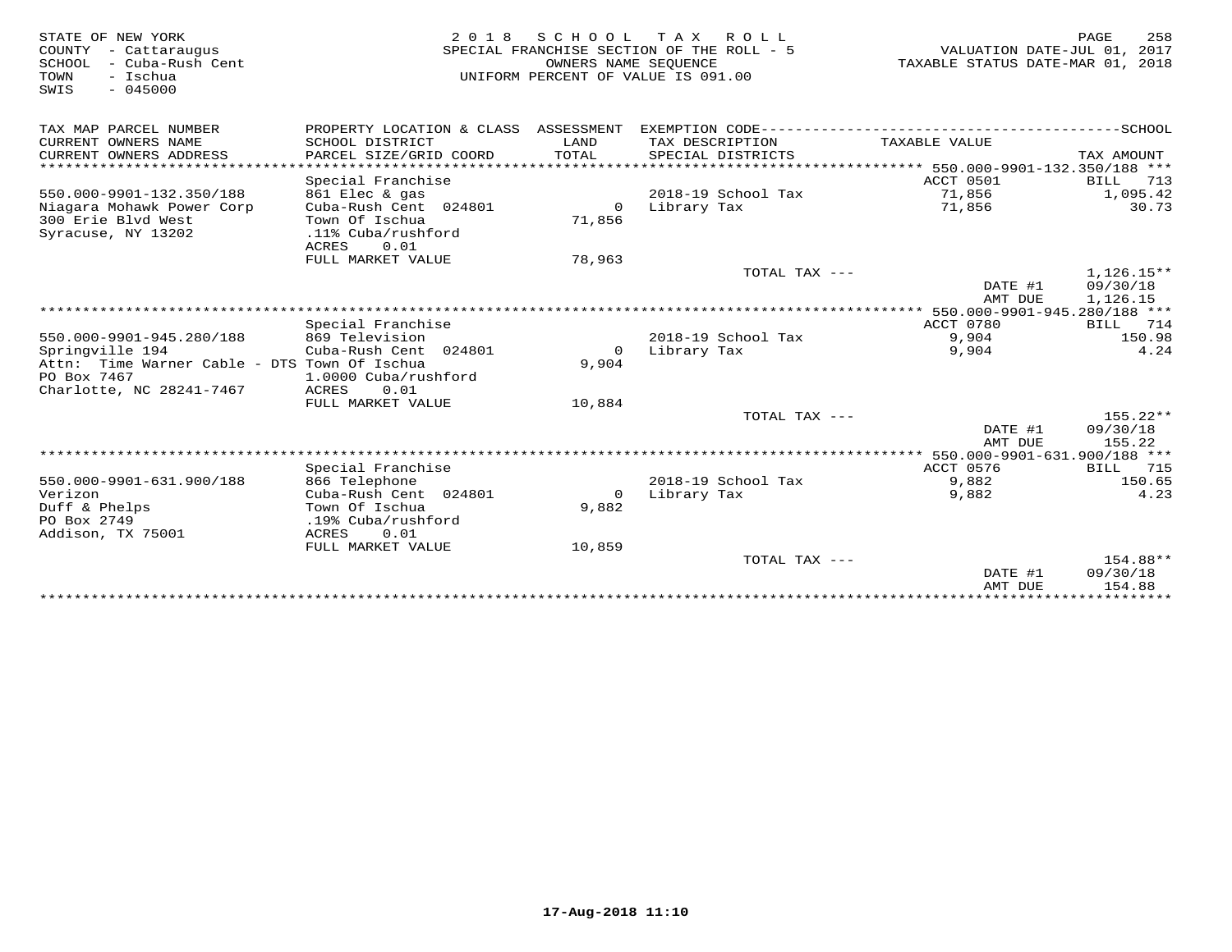| STATE OF NEW YORK<br>COUNTY - Cattaraugus<br>SCHOOL<br>- Cuba-Rush Cent<br>TOWN<br>- Ischua<br>$-045000$<br>SWIS | 2 0 1 8                               | OWNERS NAME SEOUENCE | SCHOOL TAX ROLL<br>SPECIAL FRANCHISE SECTION OF THE ROLL - 5<br>UNIFORM PERCENT OF VALUE IS 091.00 | VALUATION DATE-JUL 01, 2017<br>TAXABLE STATUS DATE-MAR 01, 2018 | PAGE<br>258              |
|------------------------------------------------------------------------------------------------------------------|---------------------------------------|----------------------|----------------------------------------------------------------------------------------------------|-----------------------------------------------------------------|--------------------------|
| TAX MAP PARCEL NUMBER                                                                                            | PROPERTY LOCATION & CLASS ASSESSMENT  |                      |                                                                                                    |                                                                 |                          |
| CURRENT OWNERS NAME                                                                                              | SCHOOL DISTRICT                       | LAND                 | TAX DESCRIPTION                                                                                    | TAXABLE VALUE                                                   |                          |
| CURRENT OWNERS ADDRESS<br>***********************                                                                | PARCEL SIZE/GRID COORD                | <b>TOTAL</b>         | SPECIAL DISTRICTS                                                                                  |                                                                 | TAX AMOUNT               |
|                                                                                                                  | Special Franchise                     |                      |                                                                                                    | ACCT 0501                                                       | 713<br><b>BILL</b>       |
| 550.000-9901-132.350/188                                                                                         | 861 Elec & gas                        |                      | 2018-19 School Tax                                                                                 | 71,856                                                          | 1,095.42                 |
| Niagara Mohawk Power Corp                                                                                        | Cuba-Rush Cent 024801                 | $\Omega$             | Library Tax                                                                                        | 71,856                                                          | 30.73                    |
| 300 Erie Blvd West                                                                                               | Town Of Ischua                        | 71,856               |                                                                                                    |                                                                 |                          |
| Syracuse, NY 13202                                                                                               | .11% Cuba/rushford                    |                      |                                                                                                    |                                                                 |                          |
|                                                                                                                  | 0.01<br>ACRES                         |                      |                                                                                                    |                                                                 |                          |
|                                                                                                                  | FULL MARKET VALUE                     | 78,963               |                                                                                                    |                                                                 |                          |
|                                                                                                                  |                                       |                      | TOTAL TAX ---                                                                                      | DATE #1                                                         | $1,126.15**$<br>09/30/18 |
|                                                                                                                  |                                       |                      |                                                                                                    | AMT DUE                                                         | 1,126.15                 |
|                                                                                                                  |                                       |                      |                                                                                                    |                                                                 |                          |
|                                                                                                                  | Special Franchise                     |                      |                                                                                                    | ACCT 0780                                                       | 714<br><b>BILL</b>       |
| 550.000-9901-945.280/188                                                                                         | 869 Television                        |                      | 2018-19 School Tax                                                                                 | 9,904                                                           | 150.98                   |
| Springville 194                                                                                                  | Cuba-Rush Cent 024801                 | $\circ$              | Library Tax                                                                                        | 9,904                                                           | 4.24                     |
| Attn: Time Warner Cable - DTS Town Of Ischua                                                                     |                                       | 9,904                |                                                                                                    |                                                                 |                          |
| PO Box 7467<br>Charlotte, NC 28241-7467                                                                          | 1.0000 Cuba/rushford<br>ACRES<br>0.01 |                      |                                                                                                    |                                                                 |                          |
|                                                                                                                  | FULL MARKET VALUE                     | 10,884               |                                                                                                    |                                                                 |                          |
|                                                                                                                  |                                       |                      | TOTAL TAX ---                                                                                      |                                                                 | $155.22**$               |
|                                                                                                                  |                                       |                      |                                                                                                    | DATE #1<br>AMT DUE                                              | 09/30/18<br>155.22       |
|                                                                                                                  |                                       |                      |                                                                                                    |                                                                 |                          |
|                                                                                                                  | Special Franchise                     |                      |                                                                                                    | ACCT 0576                                                       | 715<br>BILL              |
| 550.000-9901-631.900/188                                                                                         | 866 Telephone                         |                      | 2018-19 School Tax                                                                                 | 9,882                                                           | 150.65                   |
| Verizon                                                                                                          | Cuba-Rush Cent 024801                 | $\Omega$             | Library Tax                                                                                        | 9,882                                                           | 4.23                     |
| Duff & Phelps<br>PO Box 2749                                                                                     | Town Of Ischua<br>.19% Cuba/rushford  | 9,882                |                                                                                                    |                                                                 |                          |
| Addison, TX 75001                                                                                                | 0.01<br>ACRES                         |                      |                                                                                                    |                                                                 |                          |
|                                                                                                                  | FULL MARKET VALUE                     | 10,859               |                                                                                                    |                                                                 |                          |
|                                                                                                                  |                                       |                      | TOTAL TAX ---                                                                                      |                                                                 | 154.88**                 |
|                                                                                                                  |                                       |                      |                                                                                                    | DATE #1<br>AMT DUE                                              | 09/30/18<br>154.88       |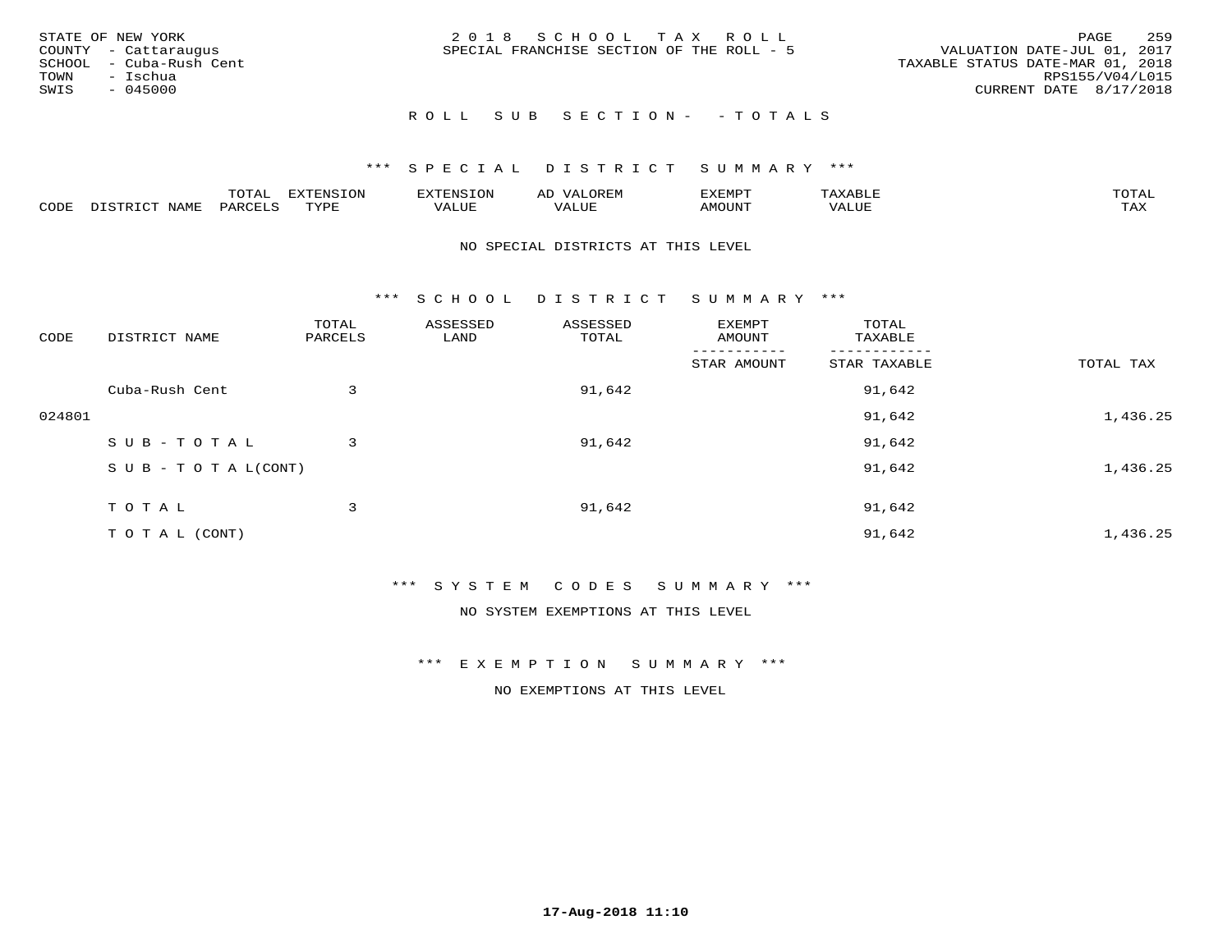|               | STATE OF NEW YORK       | 2018 SCHOOL TAX ROLL                                                     | PAGE                   | 259 |
|---------------|-------------------------|--------------------------------------------------------------------------|------------------------|-----|
|               | COUNTY - Cattaraugus    | VALUATION DATE-JUL 01, 2017<br>SPECIAL FRANCHISE SECTION OF THE ROLL - 5 |                        |     |
|               | SCHOOL - Cuba-Rush Cent | TAXABLE STATUS DATE-MAR 01, 2018                                         |                        |     |
| TOWN - Ischua |                         |                                                                          | RPS155/V04/L015        |     |
| SWIS          | - 045000                |                                                                          | CURRENT DATE 8/17/2018 |     |
|               |                         |                                                                          |                        |     |

# ROLL SUB SECTION- - TOTALS

#### \*\*\* S P E C I A L D I S T R I C T S U M M A R Y \*\*\*

|      |         | ----                | $\cdots$ | <b>ENS</b> | ₩    | דסMדצי       |                   | $m \wedge m \wedge n$ |
|------|---------|---------------------|----------|------------|------|--------------|-------------------|-----------------------|
| CODE | ៶៲៳៲៴៲៷ | <b>ACTIVE</b><br>ΆR | TVDF     | ALUE       | ALUE | <b>NOUNT</b> | <b>TTT</b><br>⊐∪∟ | ГAX                   |

#### NO SPECIAL DISTRICTS AT THIS LEVEL

\*\*\* S C H O O L D I S T R I C T S U M M A R Y \*\*\*

| CODE   | DISTRICT NAME                    | TOTAL<br>PARCELS | ASSESSED<br>LAND | ASSESSED<br>TOTAL | EXEMPT<br>AMOUNT | TOTAL<br>TAXABLE |           |
|--------|----------------------------------|------------------|------------------|-------------------|------------------|------------------|-----------|
|        |                                  |                  |                  |                   | STAR AMOUNT      | STAR TAXABLE     | TOTAL TAX |
|        | Cuba-Rush Cent                   | 3                |                  | 91,642            |                  | 91,642           |           |
| 024801 |                                  |                  |                  |                   |                  | 91,642           | 1,436.25  |
|        | SUB-TOTAL                        | 3                |                  | 91,642            |                  | 91,642           |           |
|        | $S \cup B - T \cup T A L (CONT)$ |                  |                  |                   |                  | 91,642           | 1,436.25  |
|        | TOTAL                            | 3                |                  | 91,642            |                  | 91,642           |           |
|        | T O T A L (CONT)                 |                  |                  |                   |                  | 91,642           | 1,436.25  |

#### \*\*\* S Y S T E M C O D E S S U M M A R Y \*\*\*

NO SYSTEM EXEMPTIONS AT THIS LEVEL

\*\*\* E X E M P T I O N S U M M A R Y \*\*\*

NO EXEMPTIONS AT THIS LEVEL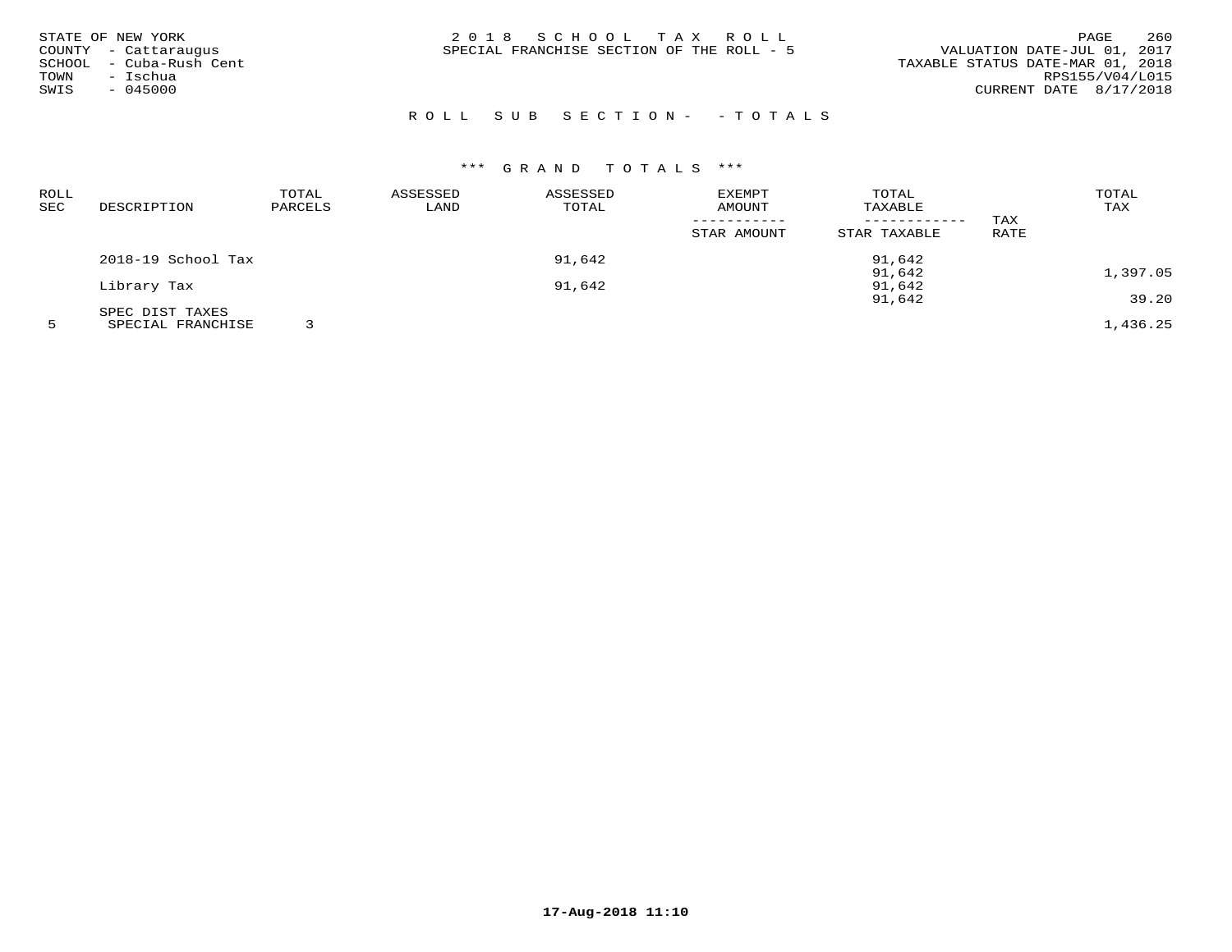| STATE OF NEW YORK<br>COUNTY - Cattaraugus<br>SCHOOL - Cuba-Rush Cent<br>- Ischua<br>TOWN<br>SWIS<br>$-045000$ | 2018 SCHOOL TAX ROLL<br>SPECIAL FRANCHISE SECTION OF THE ROLL - 5 | 260<br>PAGE<br>VALUATION DATE-JUL 01, 2017<br>TAXABLE STATUS DATE-MAR 01, 2018<br>RPS155/V04/L015<br>CURRENT DATE 8/17/2018 |
|---------------------------------------------------------------------------------------------------------------|-------------------------------------------------------------------|-----------------------------------------------------------------------------------------------------------------------------|
|                                                                                                               |                                                                   |                                                                                                                             |

# R O L L S U B S E C T I O N - - T O T A L S

| ROLL |                    | TOTAL   | ASSESSED | ASSESSED | EXEMPT      | TOTAL        |             | TOTAL    |
|------|--------------------|---------|----------|----------|-------------|--------------|-------------|----------|
| SEC  | DESCRIPTION        | PARCELS | LAND     | TOTAL    | AMOUNT      | TAXABLE      |             | TAX      |
|      |                    |         |          |          |             |              | TAX         |          |
|      |                    |         |          |          | STAR AMOUNT | STAR TAXABLE | <b>RATE</b> |          |
|      | 2018-19 School Tax |         |          | 91,642   |             | 91,642       |             |          |
|      |                    |         |          |          |             | 91,642       |             | 1,397.05 |
|      | Library Tax        |         |          | 91,642   |             | 91,642       |             |          |
|      |                    |         |          |          |             | 91,642       |             | 39.20    |
|      | SPEC DIST TAXES    |         |          |          |             |              |             |          |
|      | SPECIAL FRANCHISE  |         |          |          |             |              |             | 1,436.25 |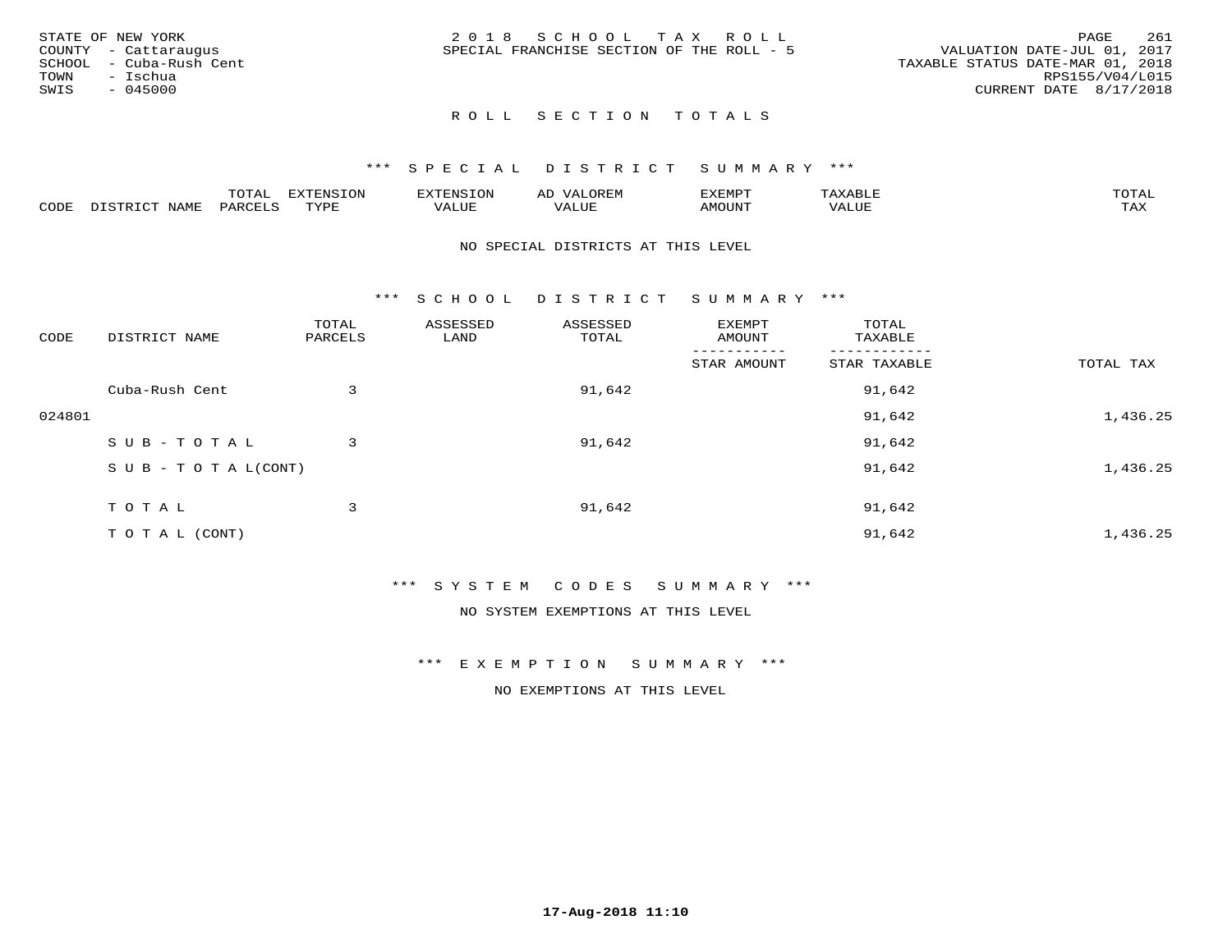|      | STATE OF NEW YORK       | 2018 SCHOOL TAX ROLL                                                     | PAGE            | 261 |
|------|-------------------------|--------------------------------------------------------------------------|-----------------|-----|
|      | COUNTY - Cattaraugus    | VALUATION DATE-JUL 01, 2017<br>SPECIAL FRANCHISE SECTION OF THE ROLL - 5 |                 |     |
|      | SCHOOL - Cuba-Rush Cent | TAXABLE STATUS DATE-MAR 01, 2018                                         |                 |     |
| TOWN | – Ischua                |                                                                          | RPS155/V04/L015 |     |
| SWIS | $-045000$               | CURRENT DATE 8/17/2018                                                   |                 |     |
|      |                         |                                                                          |                 |     |

#### \*\*\* S P E C I A L D I S T R I C T S U M M A R Y \*\*\*

|      |                     | $m \wedge m \wedge n$<br>TOIAL       | <b>ELIMINIC TONT</b><br>∸∪⊥∽ | --------<br>$\sim$ N $\sim$ | AD<br>.URLI"            | ,,, <del>,</del> ,,, <del>,</del><br>' ⊢<br>ل علالاتلاك | .     | $m \wedge m \wedge n$<br>L'A I |
|------|---------------------|--------------------------------------|------------------------------|-----------------------------|-------------------------|---------------------------------------------------------|-------|--------------------------------|
| CODE | NAME<br><b>TRIV</b> | $\sim$ $\sim$ $\sim$ $\sim$<br>PARC. | TVDF                         | T T T<br>ALUF               | $- - - -$<br>تتلاب سلمہ | <b>IMOTTNT</b><br>YIUUN -                               | VALUE | $m \times r$<br>∸∽∸            |

#### NO SPECIAL DISTRICTS AT THIS LEVEL

\*\*\* S C H O O L D I S T R I C T S U M M A R Y \*\*\*

| CODE   | DISTRICT NAME                    | TOTAL<br>PARCELS | ASSESSED<br>LAND | ASSESSED<br>TOTAL | EXEMPT<br>AMOUNT | TOTAL<br>TAXABLE |           |
|--------|----------------------------------|------------------|------------------|-------------------|------------------|------------------|-----------|
|        |                                  |                  |                  |                   | STAR AMOUNT      | STAR TAXABLE     | TOTAL TAX |
|        | Cuba-Rush Cent                   | 3                |                  | 91,642            |                  | 91,642           |           |
| 024801 |                                  |                  |                  |                   |                  | 91,642           | 1,436.25  |
|        | SUB-TOTAL                        | 3                |                  | 91,642            |                  | 91,642           |           |
|        | $S \cup B - T \cup T A L (CONT)$ |                  |                  |                   |                  | 91,642           | 1,436.25  |
|        | TOTAL                            | 3                |                  | 91,642            |                  | 91,642           |           |
|        | T O T A L (CONT)                 |                  |                  |                   |                  | 91,642           | 1,436.25  |

\*\*\* S Y S T E M C O D E S S U M M A R Y \*\*\*

NO SYSTEM EXEMPTIONS AT THIS LEVEL

\*\*\* E X E M P T I O N S U M M A R Y \*\*\*

NO EXEMPTIONS AT THIS LEVEL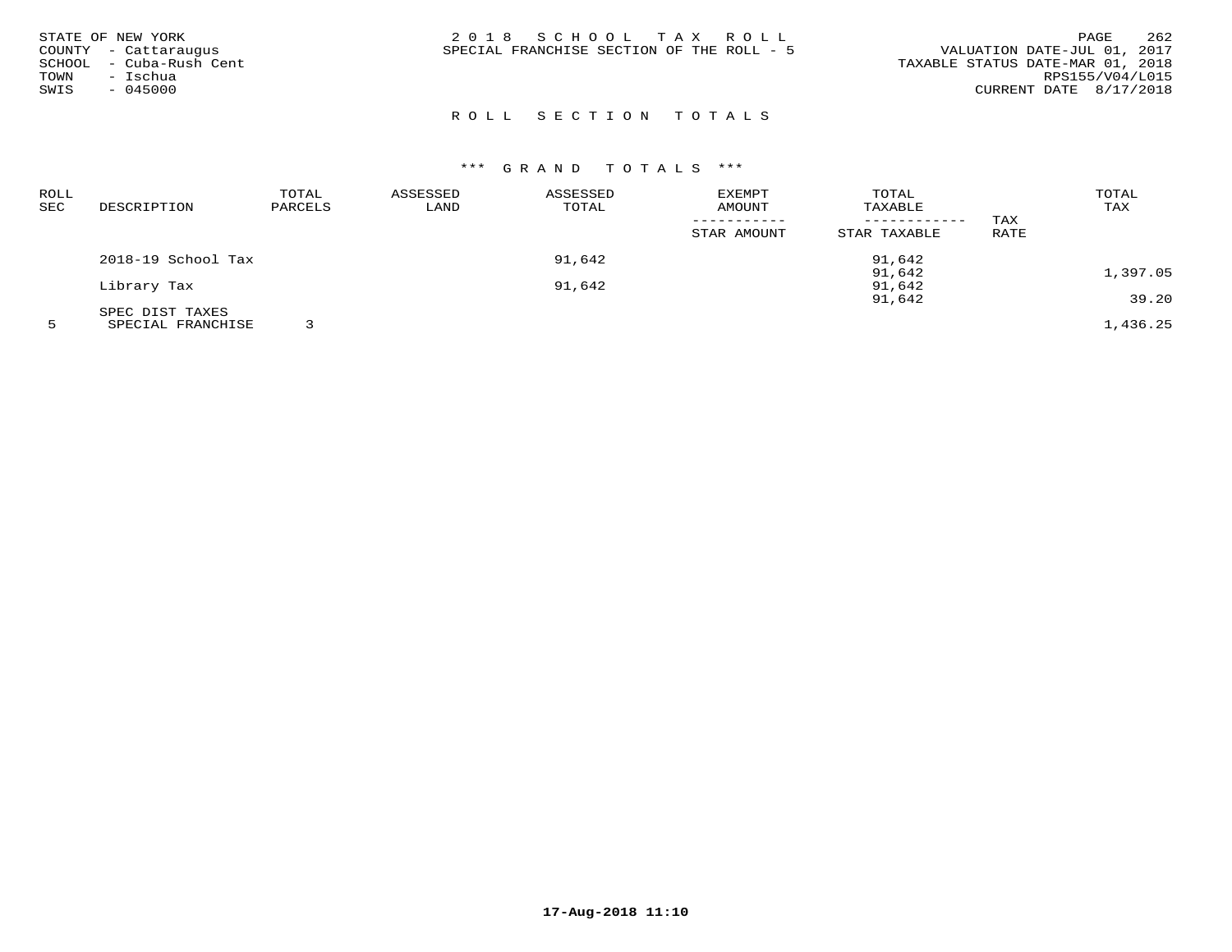| STATE OF NEW YORK<br>COUNTY - Cattaraugus<br>SCHOOL - Cuba-Rush Cent | 2018 SCHOOL TAX ROLL<br>SPECIAL FRANCHISE SECTION OF THE ROLL - 5 | 262<br>PAGE<br>VALUATION DATE-JUL 01, 2017<br>TAXABLE STATUS DATE-MAR 01, 2018<br>RPS155/V04/L015 |
|----------------------------------------------------------------------|-------------------------------------------------------------------|---------------------------------------------------------------------------------------------------|
| – Ischua<br>TOWN<br>$-045000$<br>SWIS                                |                                                                   | CURRENT DATE $8/17/2018$                                                                          |

| ROLL<br>SEC | DESCRIPTION        | TOTAL<br>PARCELS | ASSESSED<br>LAND | ASSESSED<br>TOTAL | <b>EXEMPT</b><br>AMOUNT | TOTAL<br>TAXABLE |      | TOTAL<br>TAX |
|-------------|--------------------|------------------|------------------|-------------------|-------------------------|------------------|------|--------------|
|             |                    |                  |                  |                   |                         | ------------     | TAX  |              |
|             |                    |                  |                  |                   | STAR AMOUNT             | STAR TAXABLE     | RATE |              |
|             | 2018-19 School Tax |                  |                  | 91,642            |                         | 91,642           |      |              |
|             |                    |                  |                  |                   |                         | 91,642           |      | 1,397.05     |
|             | Library Tax        |                  |                  | 91,642            |                         | 91,642           |      |              |
|             |                    |                  |                  |                   |                         | 91,642           |      | 39.20        |
|             | SPEC DIST TAXES    |                  |                  |                   |                         |                  |      |              |
|             | SPECIAL FRANCHISE  |                  |                  |                   |                         |                  |      | 1,436.25     |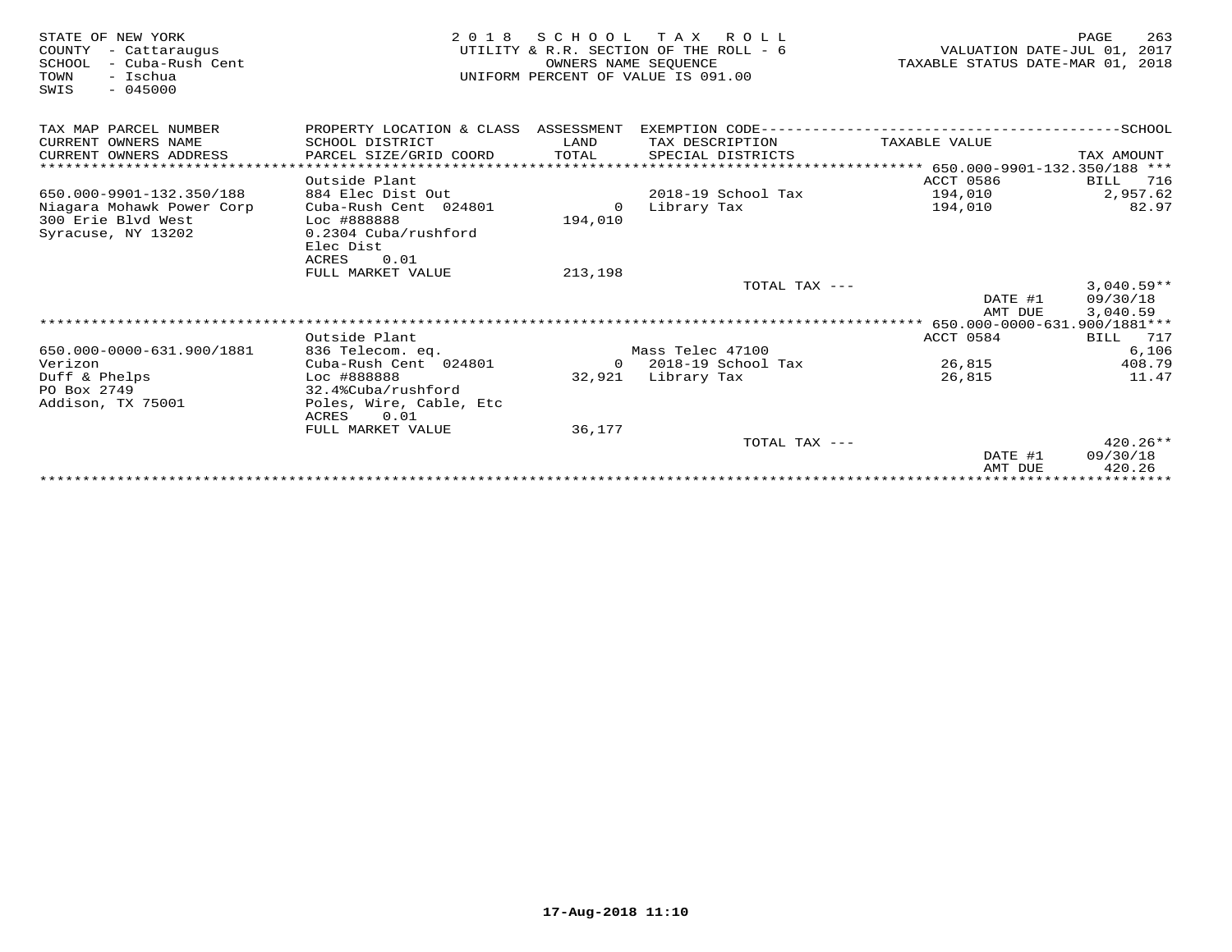| STATE OF NEW YORK<br>COUNTY<br>- Cattaraugus<br>- Cuba-Rush Cent<br>SCHOOL<br>TOWN<br>- Ischua<br>$-045000$<br>SWIS | 2 0 1 8                                  | SCHOOL<br>OWNERS NAME SEQUENCE | T A X<br>R O L L<br>UTILITY & R.R. SECTION OF THE ROLL - 6<br>UNIFORM PERCENT OF VALUE IS 091.00 | VALUATION DATE-JUL 01,<br>TAXABLE STATUS DATE-MAR 01, 2018 | 263<br>PAGE<br>2017 |
|---------------------------------------------------------------------------------------------------------------------|------------------------------------------|--------------------------------|--------------------------------------------------------------------------------------------------|------------------------------------------------------------|---------------------|
| TAX MAP PARCEL NUMBER                                                                                               | PROPERTY LOCATION & CLASS ASSESSMENT     |                                | EXEMPTION CODE-----                                                                              |                                                            |                     |
| CURRENT OWNERS NAME                                                                                                 | SCHOOL DISTRICT                          | LAND                           | TAX DESCRIPTION                                                                                  | TAXABLE VALUE                                              |                     |
| CURRENT OWNERS ADDRESS                                                                                              | PARCEL SIZE/GRID COORD                   | TOTAL                          | SPECIAL DISTRICTS                                                                                |                                                            | TAX AMOUNT          |
| ************************                                                                                            |                                          |                                |                                                                                                  |                                                            |                     |
|                                                                                                                     | Outside Plant                            |                                |                                                                                                  | ACCT 0586                                                  | 716<br>BILL         |
| 650.000-9901-132.350/188                                                                                            | 884 Elec Dist Out                        |                                | 2018-19 School Tax                                                                               | 194,010                                                    | 2,957.62            |
| Niagara Mohawk Power Corp                                                                                           | Cuba-Rush Cent 024801                    | $\Omega$                       | Library Tax                                                                                      | 194,010                                                    | 82.97               |
| 300 Erie Blvd West                                                                                                  | Loc #888888                              | 194,010                        |                                                                                                  |                                                            |                     |
| Syracuse, NY 13202                                                                                                  | 0.2304 Cuba/rushford                     |                                |                                                                                                  |                                                            |                     |
|                                                                                                                     | Elec Dist<br>0.01<br>ACRES               |                                |                                                                                                  |                                                            |                     |
|                                                                                                                     | FULL MARKET VALUE                        | 213,198                        |                                                                                                  |                                                            |                     |
|                                                                                                                     |                                          |                                | TOTAL TAX ---                                                                                    |                                                            | $3,040.59**$        |
|                                                                                                                     |                                          |                                |                                                                                                  | DATE #1                                                    | 09/30/18            |
|                                                                                                                     |                                          |                                |                                                                                                  | AMT DUE                                                    | 3,040.59            |
|                                                                                                                     |                                          |                                |                                                                                                  |                                                            |                     |
|                                                                                                                     | Outside Plant                            |                                |                                                                                                  | ACCT 0584                                                  | BILL<br>717         |
| 650.000-0000-631.900/1881                                                                                           | 836 Telecom. eq.                         |                                | Mass Telec 47100                                                                                 |                                                            | 6,106               |
| Verizon                                                                                                             | Cuba-Rush Cent 024801                    | $\Omega$                       | 2018-19 School Tax                                                                               | 26,815                                                     | 408.79              |
| Duff & Phelps                                                                                                       | Loc #888888                              | 32,921                         | Library Tax                                                                                      | 26,815                                                     | 11.47               |
| PO Box 2749                                                                                                         | 32.4%Cuba/rushford                       |                                |                                                                                                  |                                                            |                     |
| Addison, TX 75001                                                                                                   | Poles, Wire, Cable, Etc<br>ACRES<br>0.01 |                                |                                                                                                  |                                                            |                     |
|                                                                                                                     | FULL MARKET VALUE                        | 36,177                         |                                                                                                  |                                                            |                     |
|                                                                                                                     |                                          |                                | TOTAL TAX $---$                                                                                  |                                                            | $420.26**$          |
|                                                                                                                     |                                          |                                |                                                                                                  | DATE #1                                                    | 09/30/18            |
|                                                                                                                     |                                          |                                |                                                                                                  | AMT DUE                                                    | 420.26              |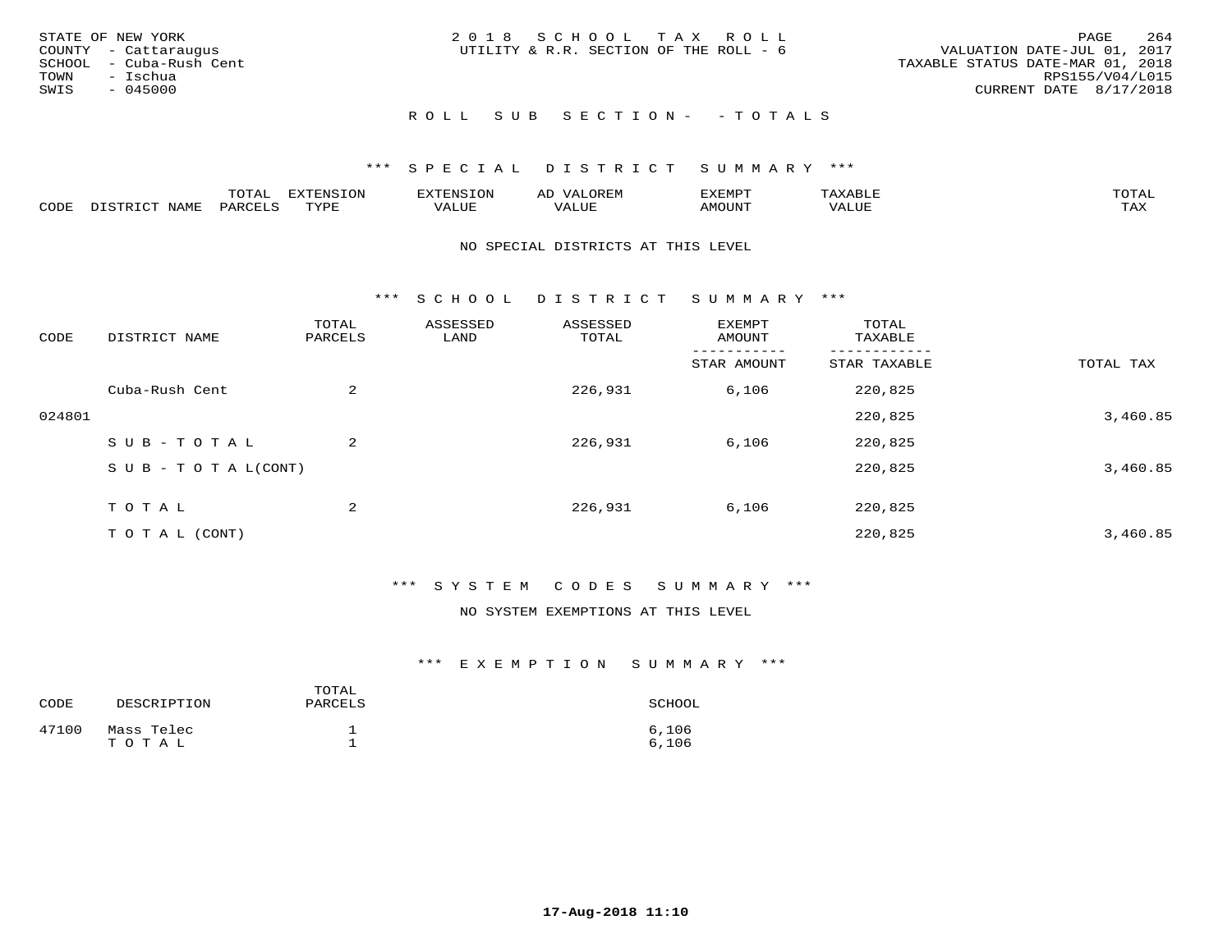| STATE OF NEW YORK<br>COUNTY - Cattaraugus<br>SCHOOL - Cuba-Rush Cent<br>TOWN - Ischua<br>SWIS<br>- 045000 | 2018 SCHOOL TAX ROLL<br>UTILITY & R.R. SECTION OF THE ROLL - 6 | 264<br><b>PAGE</b><br>VALUATION DATE-JUL 01, 2017<br>TAXABLE STATUS DATE-MAR 01, 2018<br>RPS155/V04/L015<br>CURRENT DATE 8/17/2018 |
|-----------------------------------------------------------------------------------------------------------|----------------------------------------------------------------|------------------------------------------------------------------------------------------------------------------------------------|
|                                                                                                           | ROLL SUB SECTION- - TOTALS                                     |                                                                                                                                    |

|               | $m \wedge m$ | --------<br>.UI | $\sim$ | . ب            |              |                        |
|---------------|--------------|-----------------|--------|----------------|--------------|------------------------|
| $\sim$<br>ັບມ |              | TVDL            | Alur   | <b>MOTTNTT</b> | י ב <i>ו</i> | $m \times r$<br>- − 14 |

#### NO SPECIAL DISTRICTS AT THIS LEVEL

\*\*\* S C H O O L D I S T R I C T S U M M A R Y \*\*\*

| CODE   | DISTRICT NAME                    | TOTAL<br>PARCELS | ASSESSED<br>LAND | ASSESSED<br>TOTAL | EXEMPT<br>AMOUNT | TOTAL<br>TAXABLE |           |
|--------|----------------------------------|------------------|------------------|-------------------|------------------|------------------|-----------|
|        |                                  |                  |                  |                   | STAR AMOUNT      | STAR TAXABLE     | TOTAL TAX |
|        | Cuba-Rush Cent                   | 2                |                  | 226,931           | 6,106            | 220,825          |           |
| 024801 |                                  |                  |                  |                   |                  | 220,825          | 3,460.85  |
|        | SUB-TOTAL                        | 2                |                  | 226,931           | 6,106            | 220,825          |           |
|        | $S \cup B - T \cup T A L (CONT)$ |                  |                  |                   |                  | 220,825          | 3,460.85  |
|        | T O T A L                        | 2                |                  | 226,931           | 6,106            | 220,825          |           |
|        | TO TAL (CONT)                    |                  |                  |                   |                  | 220,825          | 3,460.85  |

### \*\*\* S Y S T E M C O D E S S U M M A R Y \*\*\*

#### NO SYSTEM EXEMPTIONS AT THIS LEVEL

| CODE  | DESCRIPTION         | TOTAL<br>PARCELS | SCHOOL         |
|-------|---------------------|------------------|----------------|
| 47100 | Mass Telec<br>TOTAL |                  | 6.106<br>6.106 |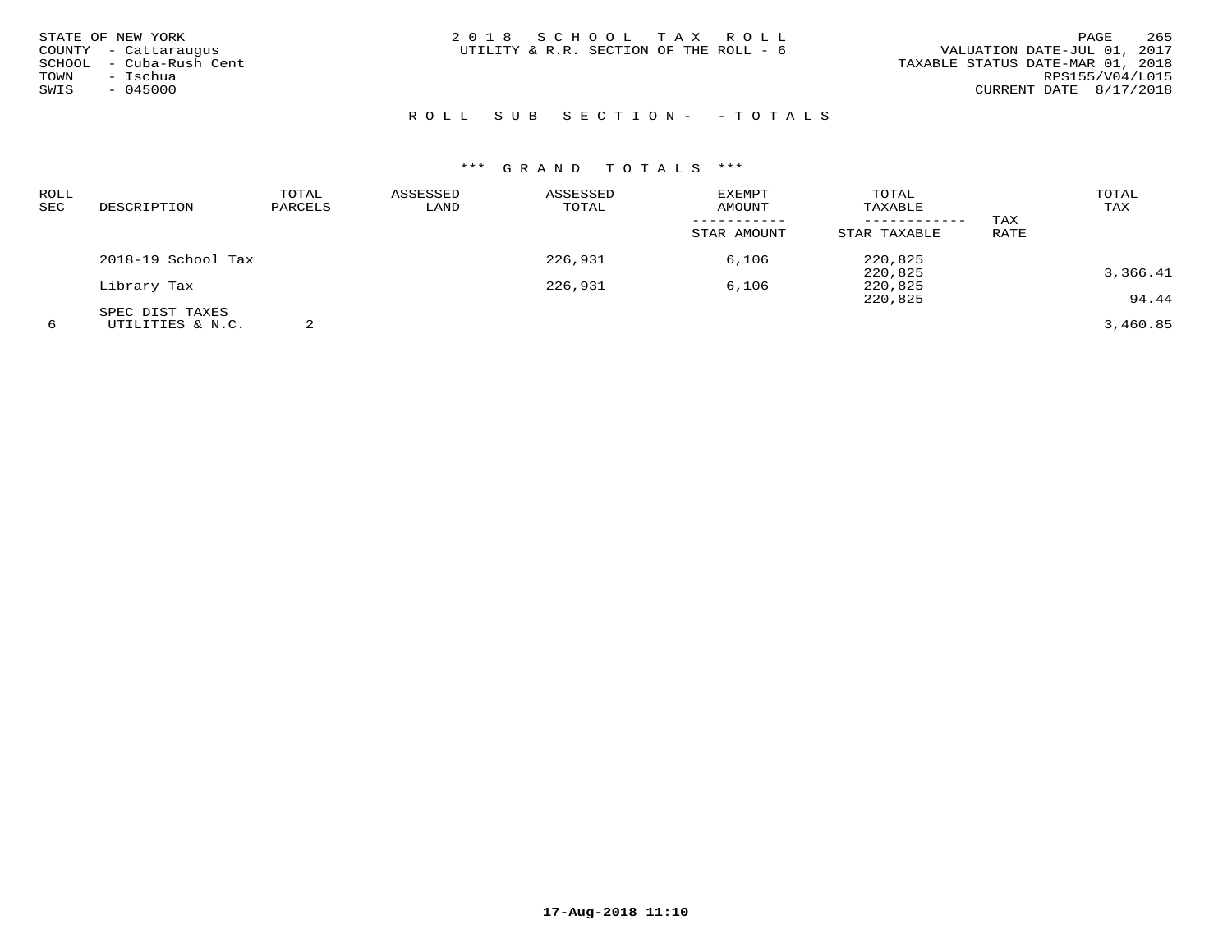| STATE OF NEW YORK<br>COUNTY - Cattaraugus<br>SCHOOL - Cuba-Rush Cent<br>- Ischua<br>TOWN<br>SWIS<br>$-045000$ | 2018 SCHOOL TAX ROLL<br>UTILITY & R.R. SECTION OF THE ROLL - 6 | 265<br>PAGE<br>VALUATION DATE-JUL 01, 2017<br>TAXABLE STATUS DATE-MAR 01, 2018<br>RPS155/V04/L015<br>CURRENT DATE 8/17/2018 |
|---------------------------------------------------------------------------------------------------------------|----------------------------------------------------------------|-----------------------------------------------------------------------------------------------------------------------------|
|                                                                                                               | ROLL SUB SECTION- - TOTALS                                     |                                                                                                                             |

| ROLL<br>SEC | DESCRIPTION        | TOTAL<br>PARCELS | ASSESSED<br>LAND | ASSESSED<br>TOTAL | <b>EXEMPT</b><br><b>AMOUNT</b> | TOTAL<br>TAXABLE             |             | TOTAL<br>TAX |
|-------------|--------------------|------------------|------------------|-------------------|--------------------------------|------------------------------|-------------|--------------|
|             |                    |                  |                  |                   | STAR AMOUNT                    | ------------<br>STAR TAXABLE | TAX<br>RATE |              |
|             | 2018-19 School Tax |                  |                  | 226,931           | 6,106                          | 220,825                      |             |              |
|             |                    |                  |                  |                   |                                | 220,825                      |             | 3,366.41     |
|             | Library Tax        |                  |                  | 226,931           | 6,106                          | 220,825                      |             |              |
|             |                    |                  |                  |                   |                                | 220,825                      |             | 94.44        |
|             | SPEC DIST TAXES    |                  |                  |                   |                                |                              |             |              |
| 6           | UTILITIES & N.C.   |                  |                  |                   |                                |                              |             | 3,460.85     |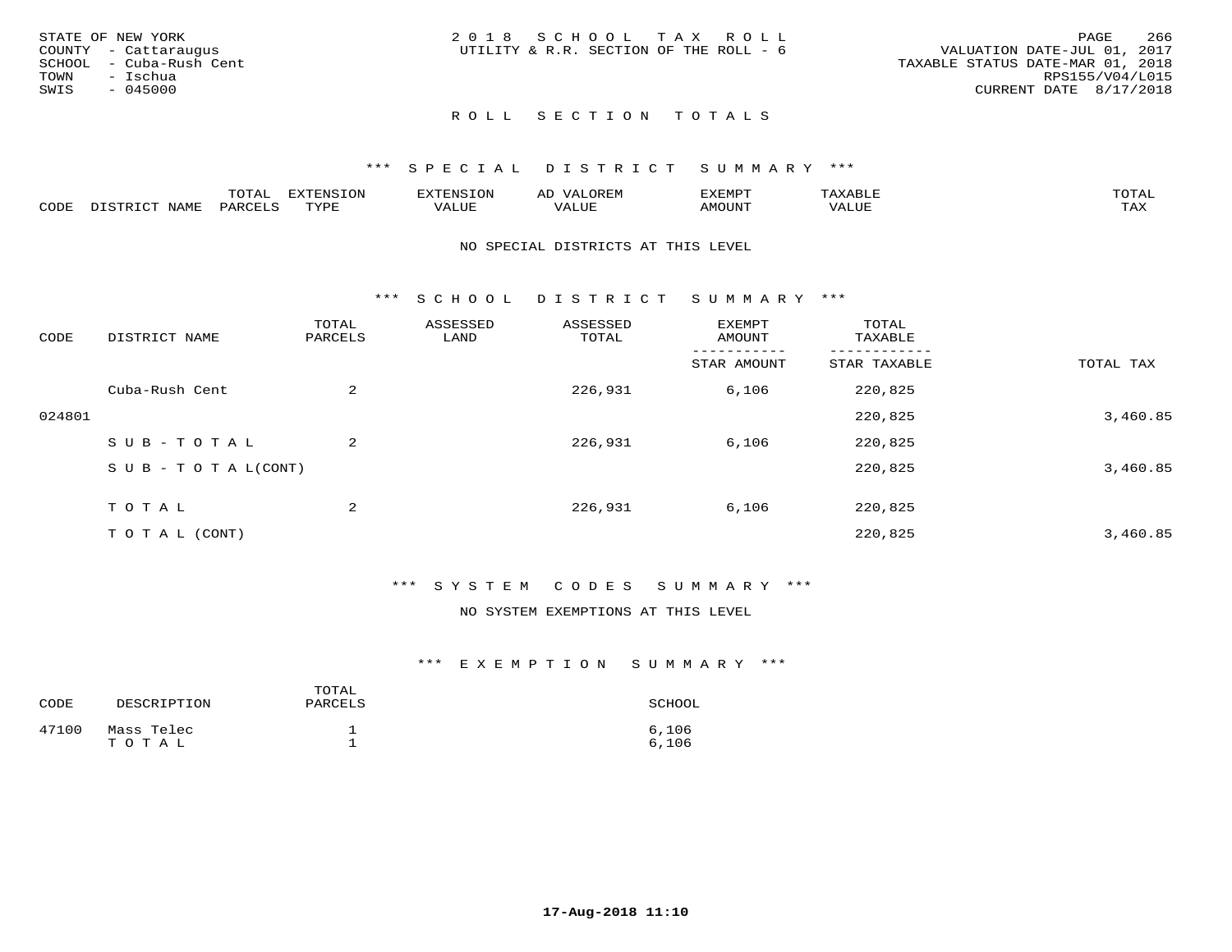|      | STATE OF NEW YORK       | 2018 SCHOOL TAX ROLL                   |  |  |                                  |                        | PAGE | 266 |
|------|-------------------------|----------------------------------------|--|--|----------------------------------|------------------------|------|-----|
|      | COUNTY - Cattaraugus    | UTILITY & R.R. SECTION OF THE ROLL - 6 |  |  | VALUATION DATE-JUL 01, 2017      |                        |      |     |
|      | SCHOOL - Cuba-Rush Cent |                                        |  |  | TAXABLE STATUS DATE-MAR 01, 2018 |                        |      |     |
| TOWN | – Ischua                |                                        |  |  |                                  | RPS155/V04/L015        |      |     |
| SWIS | - 045000                |                                        |  |  |                                  | CURRENT DATE 8/17/2018 |      |     |
|      |                         |                                        |  |  |                                  |                        |      |     |

#### \*\*\* S P E C I A L D I S T R I C T S U M M A R Y \*\*\*

|      |      | momm<br>LUIAL | $\blacksquare$<br>www<br>.UP | . N.S                | . JR P.IV     | המארד 17<br>ິ<br>⊐ויום∧נ |                |                    |
|------|------|---------------|------------------------------|----------------------|---------------|--------------------------|----------------|--------------------|
| CODE | NAME | . DAD'        | TVDI<br>.                    | 77\TTTT<br>الالالدين | T T T<br>ALUI | AMOUNT                   | T T T T<br>′ △ | $m \times r$<br>∸⊷ |

#### NO SPECIAL DISTRICTS AT THIS LEVEL

\*\*\* S C H O O L D I S T R I C T S U M M A R Y \*\*\*

| CODE   | DISTRICT NAME                    | TOTAL<br>PARCELS | ASSESSED<br>LAND | ASSESSED<br>TOTAL | EXEMPT<br>AMOUNT | TOTAL<br>TAXABLE |           |
|--------|----------------------------------|------------------|------------------|-------------------|------------------|------------------|-----------|
|        |                                  |                  |                  |                   | STAR AMOUNT      | STAR TAXABLE     | TOTAL TAX |
|        | Cuba-Rush Cent                   | 2                |                  | 226,931           | 6,106            | 220,825          |           |
| 024801 |                                  |                  |                  |                   |                  | 220,825          | 3,460.85  |
|        | SUB-TOTAL                        | $\overline{a}$   |                  | 226,931           | 6,106            | 220,825          |           |
|        | $S \cup B - T \cup T A L (CONT)$ |                  |                  |                   |                  | 220,825          | 3,460.85  |
|        | T O T A L                        | 2                |                  | 226,931           | 6,106            | 220,825          |           |
|        | T O T A L (CONT)                 |                  |                  |                   |                  | 220,825          | 3,460.85  |

#### \*\*\* S Y S T E M C O D E S S U M M A R Y \*\*\*

#### NO SYSTEM EXEMPTIONS AT THIS LEVEL

| CODE  | DESCRIPTION         | TOTAL<br>PARCELS | SCHOOL         |
|-------|---------------------|------------------|----------------|
| 47100 | Mass Telec<br>TOTAL |                  | 6,106<br>6,106 |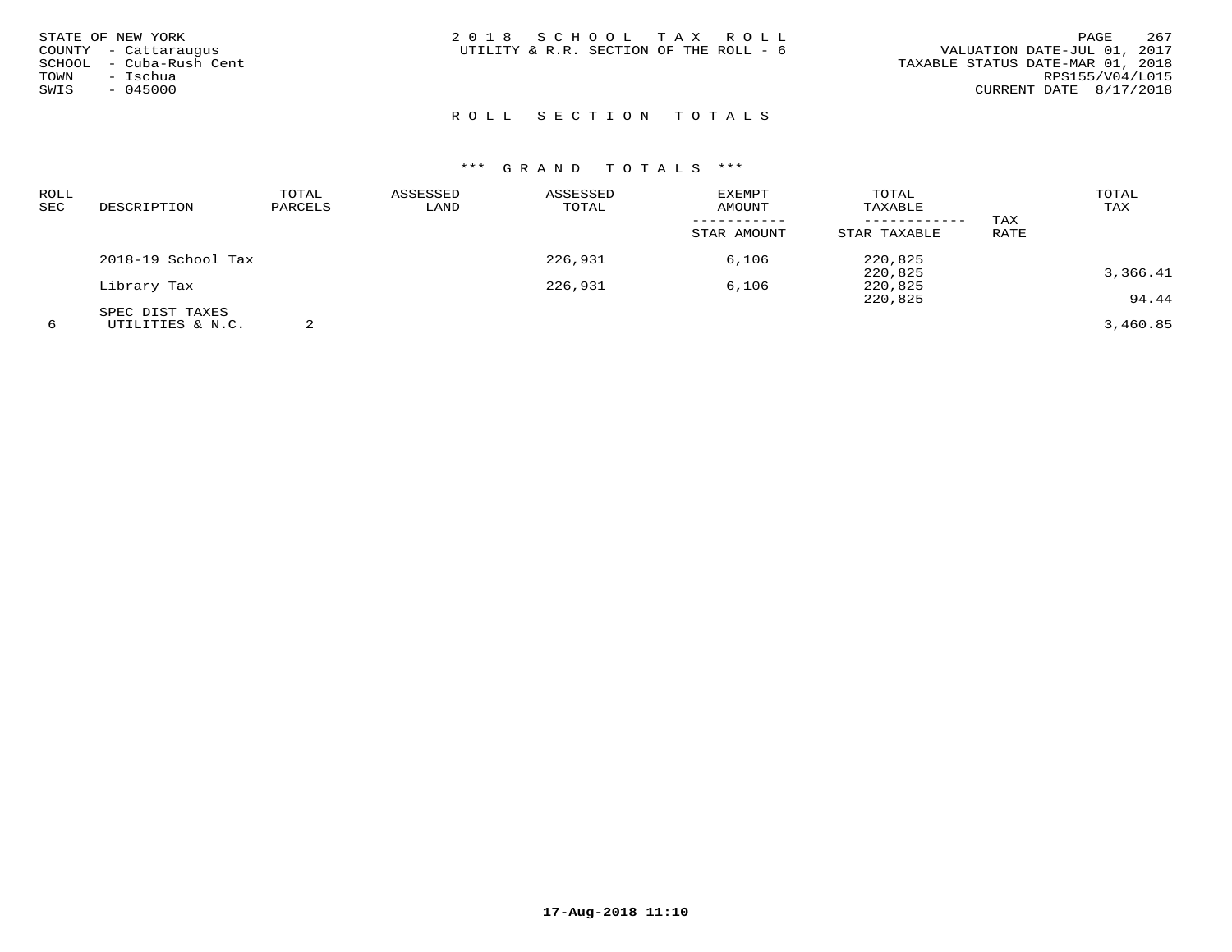| STATE OF NEW YORK<br>COUNTY - Cattaraugus<br>SCHOOL - Cuba-Rush Cent<br>TOWN<br>- Ischua<br>SWIS<br>$-045000$ | 2018 SCHOOL TAX ROLL<br>UTILITY & R.R. SECTION OF THE ROLL - 6 | 267<br>PAGE<br>VALUATION DATE-JUL 01, 2017<br>TAXABLE STATUS DATE-MAR 01, 2018<br>RPS155/V04/L015<br>CURRENT DATE 8/17/2018 |
|---------------------------------------------------------------------------------------------------------------|----------------------------------------------------------------|-----------------------------------------------------------------------------------------------------------------------------|
|                                                                                                               | ROLL SECTION TOTALS                                            |                                                                                                                             |

| ROLL |                    | TOTAL   | ASSESSED | ASSESSED | <b>EXEMPT</b> | TOTAL        |      | TOTAL    |
|------|--------------------|---------|----------|----------|---------------|--------------|------|----------|
| SEC  | DESCRIPTION        | PARCELS | LAND     | TOTAL    | AMOUNT        | TAXABLE      |      | TAX      |
|      |                    |         |          |          |               |              | TAX  |          |
|      |                    |         |          |          | STAR AMOUNT   | STAR TAXABLE | RATE |          |
|      | 2018-19 School Tax |         |          | 226,931  | 6,106         | 220,825      |      |          |
|      |                    |         |          |          |               | 220,825      |      | 3,366.41 |
|      | Library Tax        |         |          | 226,931  | 6,106         | 220,825      |      |          |
|      |                    |         |          |          |               | 220,825      |      | 94.44    |
|      | SPEC DIST TAXES    |         |          |          |               |              |      |          |
| 6    | UTILITIES & N.C.   |         |          |          |               |              |      | 3,460.85 |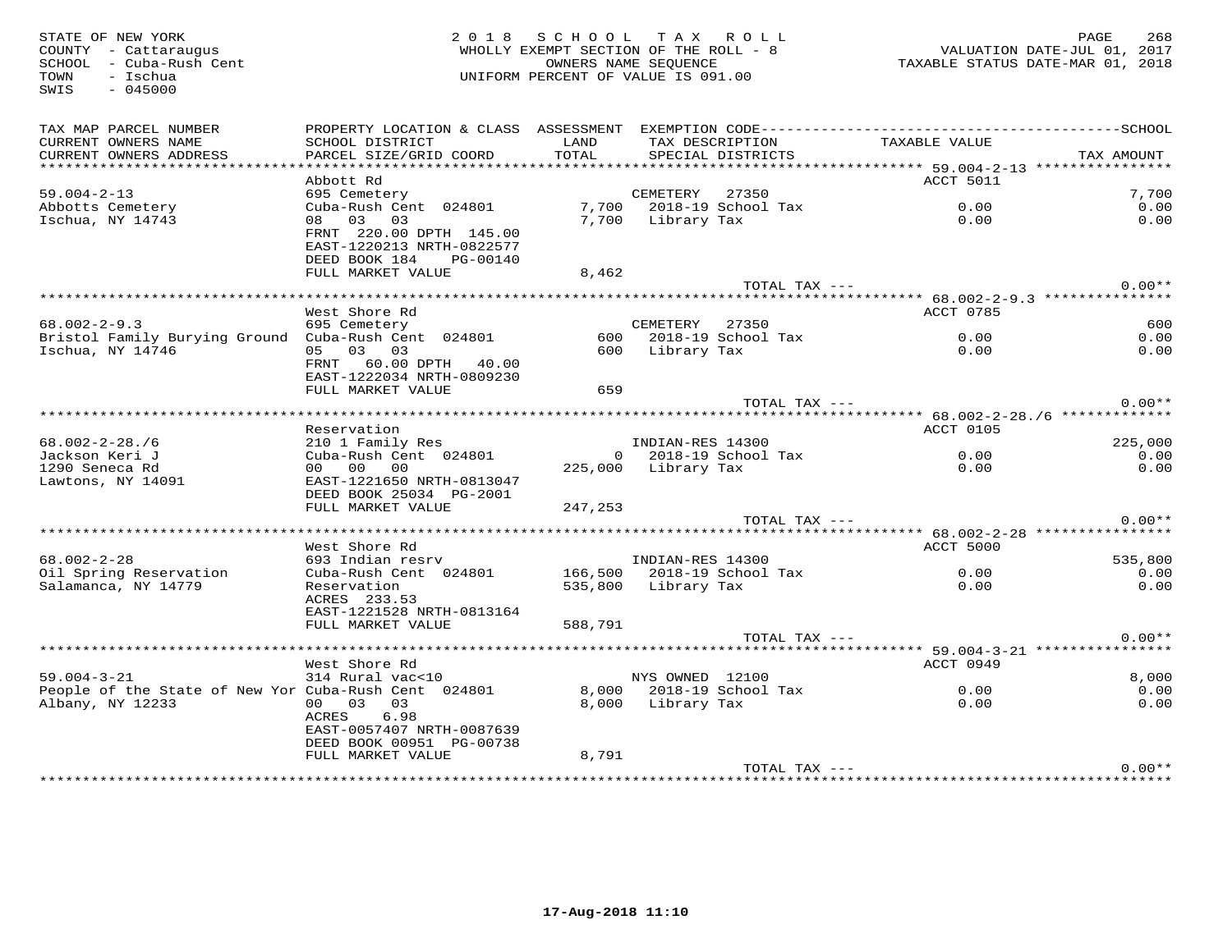| STATE OF NEW YORK<br>COUNTY - Cattaraugus<br>SCHOOL - Cuba-Rush Cent<br>- Ischua<br>TOWN<br>$-045000$<br>SWIS |                                                                                               |               | 2018 SCHOOL TAX ROLL<br>WHOLLY EXEMPT SECTION OF THE ROLL - 8<br>OWNERS NAME SEQUENCE<br>UNIFORM PERCENT OF VALUE IS 091.00 | VALUATION DATE-JUL 01, 2017<br>TAXABLE STATUS DATE-MAR 01, 2018 | PAGE<br>268 |
|---------------------------------------------------------------------------------------------------------------|-----------------------------------------------------------------------------------------------|---------------|-----------------------------------------------------------------------------------------------------------------------------|-----------------------------------------------------------------|-------------|
| TAX MAP PARCEL NUMBER<br>CURRENT OWNERS NAME<br>CURRENT OWNERS ADDRESS                                        | SCHOOL DISTRICT<br>PARCEL SIZE/GRID COORD                                                     | LAND<br>TOTAL | TAX DESCRIPTION<br>SPECIAL DISTRICTS                                                                                        | TAXABLE VALUE                                                   | TAX AMOUNT  |
|                                                                                                               |                                                                                               |               |                                                                                                                             |                                                                 |             |
|                                                                                                               | Abbott Rd                                                                                     |               |                                                                                                                             | ACCT 5011                                                       |             |
| $59.004 - 2 - 13$                                                                                             | 695 Cemetery                                                                                  |               | CEMETERY 27350                                                                                                              |                                                                 | 7,700       |
| Abbotts Cemetery                                                                                              | Cuba-Rush Cent 024801                                                                         |               | 7,700 2018-19 School Tax                                                                                                    | 0.00                                                            | 0.00        |
| Ischua, NY 14743                                                                                              | 08 03 03<br>FRNT 220.00 DPTH 145.00<br>EAST-1220213 NRTH-0822577<br>DEED BOOK 184<br>PG-00140 |               | 7,700 Library Tax                                                                                                           | 0.00                                                            | 0.00        |
|                                                                                                               | FULL MARKET VALUE                                                                             | 8,462         |                                                                                                                             |                                                                 |             |
|                                                                                                               |                                                                                               |               | TOTAL TAX ---                                                                                                               |                                                                 | $0.00**$    |
|                                                                                                               | West Shore Rd                                                                                 |               |                                                                                                                             | ACCT 0785                                                       |             |
| $68.002 - 2 - 9.3$                                                                                            | 695 Cemetery                                                                                  |               | CEMETERY 27350                                                                                                              |                                                                 | 600         |
| Bristol Family Burying Ground Cuba-Rush Cent 024801                                                           |                                                                                               |               | 600 2018-19 School Tax                                                                                                      | 0.00                                                            | 0.00        |
| Ischua, NY 14746                                                                                              | 05 03 03<br>FRNT 60.00 DPTH 40.00<br>EAST-1222034 NRTH-0809230<br>FULL MARKET VALUE           | 659           | 600 Library Tax                                                                                                             | 0.00                                                            | 0.00        |
|                                                                                                               |                                                                                               |               | TOTAL TAX ---                                                                                                               |                                                                 | $0.00**$    |
|                                                                                                               |                                                                                               |               |                                                                                                                             | .********************* 68.002-2-28./6 *************             |             |
|                                                                                                               | Reservation                                                                                   |               |                                                                                                                             | ACCT 0105                                                       |             |
| $68.002 - 2 - 28.76$                                                                                          | 210 1 Family Res<br>Cuba-Rush Cent 024801                                                     |               | INDIAN-RES 14300                                                                                                            |                                                                 | 225,000     |
| Jackson Keri J                                                                                                |                                                                                               |               | 0 2018-19 School Tax                                                                                                        | 0.00                                                            | 0.00        |
| 1290 Seneca Rd<br>Lawtons, NY 14091                                                                           | 00 00 00<br>EAST-1221650 NRTH-0813047<br>DEED BOOK 25034 PG-2001<br>FULL MARKET VALUE         | 247,253       | 225,000 Library Tax                                                                                                         | 0.00                                                            | 0.00        |
|                                                                                                               |                                                                                               |               | TOTAL TAX ---                                                                                                               |                                                                 | $0.00**$    |
|                                                                                                               |                                                                                               |               |                                                                                                                             |                                                                 |             |
|                                                                                                               | West Shore Rd                                                                                 |               |                                                                                                                             | ACCT 5000                                                       |             |
| $68.002 - 2 - 28$                                                                                             | 693 Indian resrv                                                                              |               | INDIAN-RES 14300                                                                                                            |                                                                 | 535,800     |
| Oil Spring Reservation                                                                                        | Cuba-Rush Cent 024801 166,500 2018-19 School Tax                                              |               |                                                                                                                             | $0.00$<br>$0.00$                                                | 0.00        |
| Salamanca, NY 14779                                                                                           | Reservation<br>ACRES 233.53<br>EAST-1221528 NRTH-0813164                                      |               | 535,800 Library Tax                                                                                                         |                                                                 | 0.00        |
|                                                                                                               | FULL MARKET VALUE                                                                             | 588,791       |                                                                                                                             |                                                                 |             |
|                                                                                                               |                                                                                               |               | TOTAL TAX ---                                                                                                               |                                                                 | $0.00**$    |
|                                                                                                               |                                                                                               |               |                                                                                                                             |                                                                 |             |
| $59.004 - 3 - 21$                                                                                             | West Shore Rd<br>314 Rural vac<10                                                             |               | NYS OWNED 12100                                                                                                             | ACCT 0949                                                       | 8,000       |
| People of the State of New Yor Cuba-Rush Cent 024801                                                          |                                                                                               |               | 8,000 2018-19 School Tax                                                                                                    | 0.00                                                            | 0.00        |
| Albany, NY 12233                                                                                              | 00 03 03<br>6.98<br>ACRES<br>EAST-0057407 NRTH-0087639<br>DEED BOOK 00951 PG-00738            |               | 8,000 Library Tax                                                                                                           | 0.00                                                            | 0.00        |
|                                                                                                               | FULL MARKET VALUE                                                                             | 8,791         |                                                                                                                             |                                                                 |             |
|                                                                                                               |                                                                                               |               | TOTAL TAX ---                                                                                                               |                                                                 | $0.00**$    |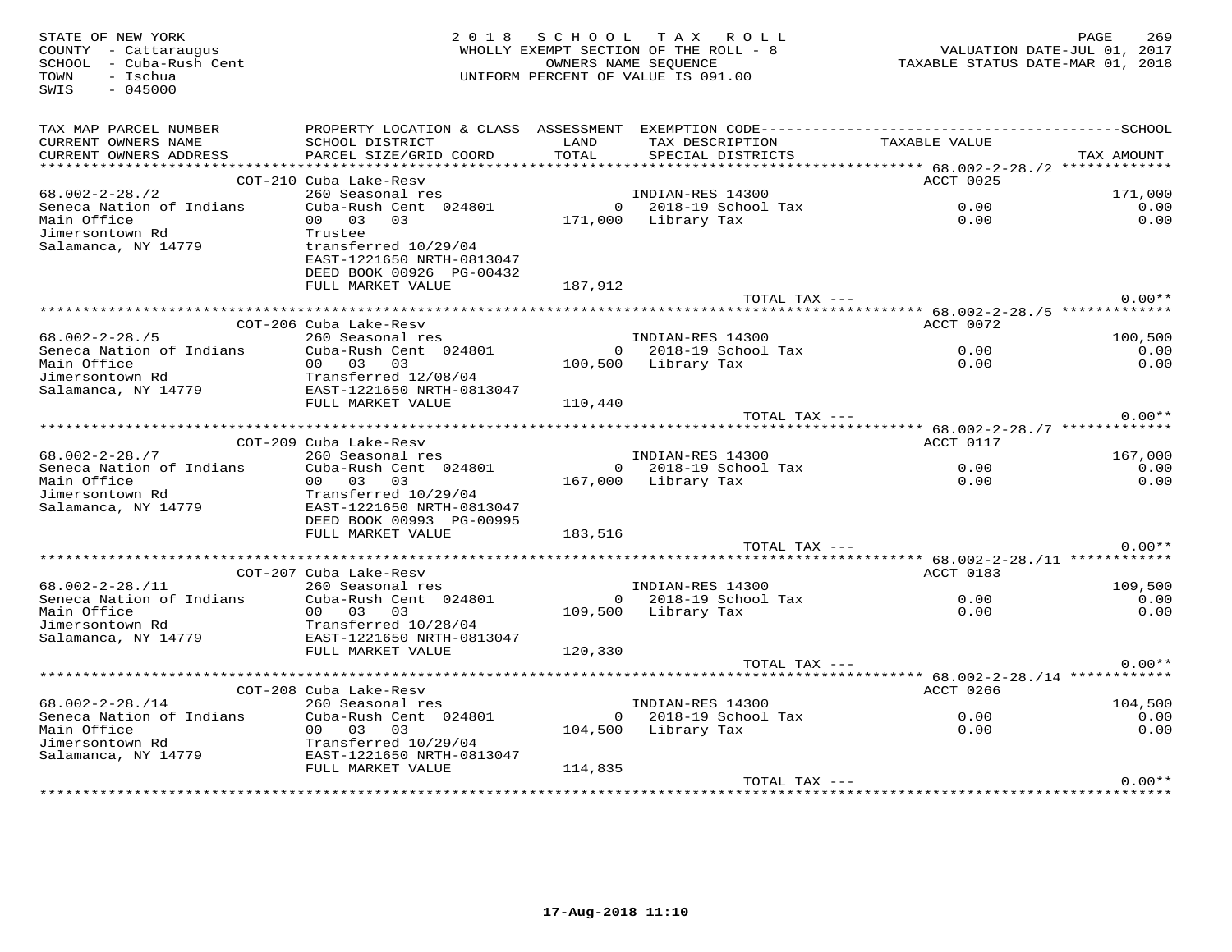| STATE OF NEW YORK<br>COUNTY - Cattaraugus<br>SCHOOL - Cuba-Rush Cent<br>TOWN<br>- Ischua<br>SWIS<br>$-045000$ |                                                                                                         |               | 2018 SCHOOL TAX ROLL<br>WHOLLY EXEMPT SECTION OF THE ROLL - 8<br>OWNERS NAME SEOUENCE<br>UNIFORM PERCENT OF VALUE IS 091.00 | TAXABLE STATUS DATE-MAR 01, 2018 | PAGE<br>269<br>VALUATION DATE-JUL 01, 2017 |
|---------------------------------------------------------------------------------------------------------------|---------------------------------------------------------------------------------------------------------|---------------|-----------------------------------------------------------------------------------------------------------------------------|----------------------------------|--------------------------------------------|
| TAX MAP PARCEL NUMBER                                                                                         |                                                                                                         |               |                                                                                                                             |                                  |                                            |
| CURRENT OWNERS NAME<br>CURRENT OWNERS ADDRESS                                                                 | SCHOOL DISTRICT<br>PARCEL SIZE/GRID COORD                                                               | LAND<br>TOTAL | TAX DESCRIPTION TAXABLE VALUE<br>SPECIAL DISTRICTS                                                                          |                                  | TAX AMOUNT                                 |
|                                                                                                               |                                                                                                         |               |                                                                                                                             |                                  |                                            |
|                                                                                                               | COT-210 Cuba Lake-Resv                                                                                  |               |                                                                                                                             | ACCT 0025                        |                                            |
| 68.002-2-28./2                                                                                                | 260 Seasonal res                                                                                        |               | INDIAN-RES 14300                                                                                                            |                                  | 171,000                                    |
| Seneca Nation of Indians                                                                                      | Cuba-Rush Cent 024801                                                                                   |               | $0$ 2018-19 School Tax                                                                                                      | 0.00                             | 0.00                                       |
| Main Office<br>Jimersontown Rd                                                                                | 00 03 03<br>Trustee                                                                                     |               | 171,000 Library Tax                                                                                                         | 0.00                             | 0.00                                       |
| Salamanca, NY 14779                                                                                           | transferred 10/29/04<br>EAST-1221650 NRTH-0813047<br>DEED BOOK 00926 PG-00432                           |               |                                                                                                                             |                                  |                                            |
|                                                                                                               | FULL MARKET VALUE                                                                                       | 187,912       |                                                                                                                             |                                  |                                            |
|                                                                                                               |                                                                                                         |               | TOTAL TAX ---                                                                                                               |                                  | $0.00**$                                   |
|                                                                                                               | COT-206 Cuba Lake-Resv                                                                                  |               |                                                                                                                             |                                  |                                            |
| $68.002 - 2 - 28.75$                                                                                          |                                                                                                         |               |                                                                                                                             | ACCT 0072                        | 100,500                                    |
| Seneca Nation of Indians                                                                                      | Cuba Banc Res<br>260 Seasonal res<br>Cuba-Rush Cent 024801<br>200 Teles 100 Fee Tibrory Tax             |               |                                                                                                                             | 0.00                             | 0.00                                       |
|                                                                                                               |                                                                                                         |               | 100,500 Library Tax                                                                                                         | 0.00                             | 0.00                                       |
|                                                                                                               |                                                                                                         |               |                                                                                                                             |                                  |                                            |
|                                                                                                               |                                                                                                         |               |                                                                                                                             |                                  |                                            |
|                                                                                                               |                                                                                                         | 110,440       |                                                                                                                             |                                  |                                            |
|                                                                                                               |                                                                                                         |               | TOTAL TAX ---                                                                                                               |                                  | $0.00**$                                   |
|                                                                                                               | COT-209 Cuba Lake-Resv                                                                                  |               |                                                                                                                             | ACCT 0117                        |                                            |
| $68.002 - 2 - 28.77$                                                                                          | Cuba Bane-Resy<br>260 Seasonal res<br>Cuba-Rush Cent 024801                                             |               | INDIAN-RES 14300                                                                                                            |                                  | 167,000                                    |
| Seneca Nation of Indians                                                                                      |                                                                                                         |               | 0 2018-19 School Tax                                                                                                        | $0.00$<br>$0.00$                 | 0.00                                       |
| Main Office                                                                                                   | 00 03 03                                                                                                |               | 167,000 Library Tax                                                                                                         |                                  | 0.00                                       |
| Jimersontown Rd                                                                                               | Transferred 10/29/04                                                                                    |               |                                                                                                                             |                                  |                                            |
| Salamanca, NY 14779                                                                                           | EAST-1221650 NRTH-0813047                                                                               |               |                                                                                                                             |                                  |                                            |
|                                                                                                               | DEED BOOK 00993 PG-00995                                                                                |               |                                                                                                                             |                                  |                                            |
|                                                                                                               | FULL MARKET VALUE                                                                                       | 183,516       | TOTAL TAX ---                                                                                                               |                                  | $0.00**$                                   |
|                                                                                                               |                                                                                                         |               |                                                                                                                             |                                  |                                            |
|                                                                                                               | COT-207 Cuba Lake-Resy                                                                                  |               |                                                                                                                             | ACCT 0183                        |                                            |
| $68.002 - 2 - 28.711$                                                                                         | 260 Seasonal res                                                                                        |               | INDIAN-RES 14300<br>0 2018-19 School Tax                                                                                    |                                  | 109,500                                    |
| Seneca Nation of Indians                                                                                      | Cuba-Rush Cent 024801                                                                                   |               |                                                                                                                             | 0.00                             | 0.00                                       |
| Main Office                                                                                                   | 00 03 03                                                                                                |               | 109,500 Library Tax                                                                                                         | 0.00                             | 0.00                                       |
| Jimersontown Rd                                                                                               | Transferred 10/28/04                                                                                    |               |                                                                                                                             |                                  |                                            |
| Salamanca, NY 14779                                                                                           | FULL MARKET VALUE                                                                                       | 120,330       |                                                                                                                             |                                  |                                            |
|                                                                                                               |                                                                                                         |               | TOTAL TAX ---                                                                                                               |                                  | $0.00**$                                   |
|                                                                                                               |                                                                                                         |               |                                                                                                                             |                                  |                                            |
|                                                                                                               | COT-208 Cuba Lake-Resv                                                                                  |               |                                                                                                                             | ACCT 0266                        |                                            |
| $68.002 - 2 - 28.714$                                                                                         | 260 Seasonal res                                                                                        |               | INDIAN-RES 14300                                                                                                            |                                  | 104,500                                    |
| Seneca Nation of Indians                                                                                      | Cuba-Rush Cent 024801                                                                                   |               | 0 2018-19 School Tax                                                                                                        | $0.00$<br>$0.00$                 | 0.00                                       |
| Main Office<br>Main Office<br>Jimersontown Rd                                                                 | 00 03 03                                                                                                |               | 104,500 Library Tax                                                                                                         |                                  | 0.00                                       |
| Salamanca, NY 14779                                                                                           | Transferred 10/29/04<br>EAST-1221650 NRTH-08130<br>EMIX - MARIE NRTH-08130<br>EAST-1221650 NRTH-0813047 |               |                                                                                                                             |                                  |                                            |
|                                                                                                               | FULL MARKET VALUE                                                                                       | 114,835       |                                                                                                                             |                                  |                                            |
|                                                                                                               |                                                                                                         |               | TOTAL TAX ---                                                                                                               |                                  | $0.00**$                                   |
| **************************************                                                                        |                                                                                                         |               |                                                                                                                             |                                  |                                            |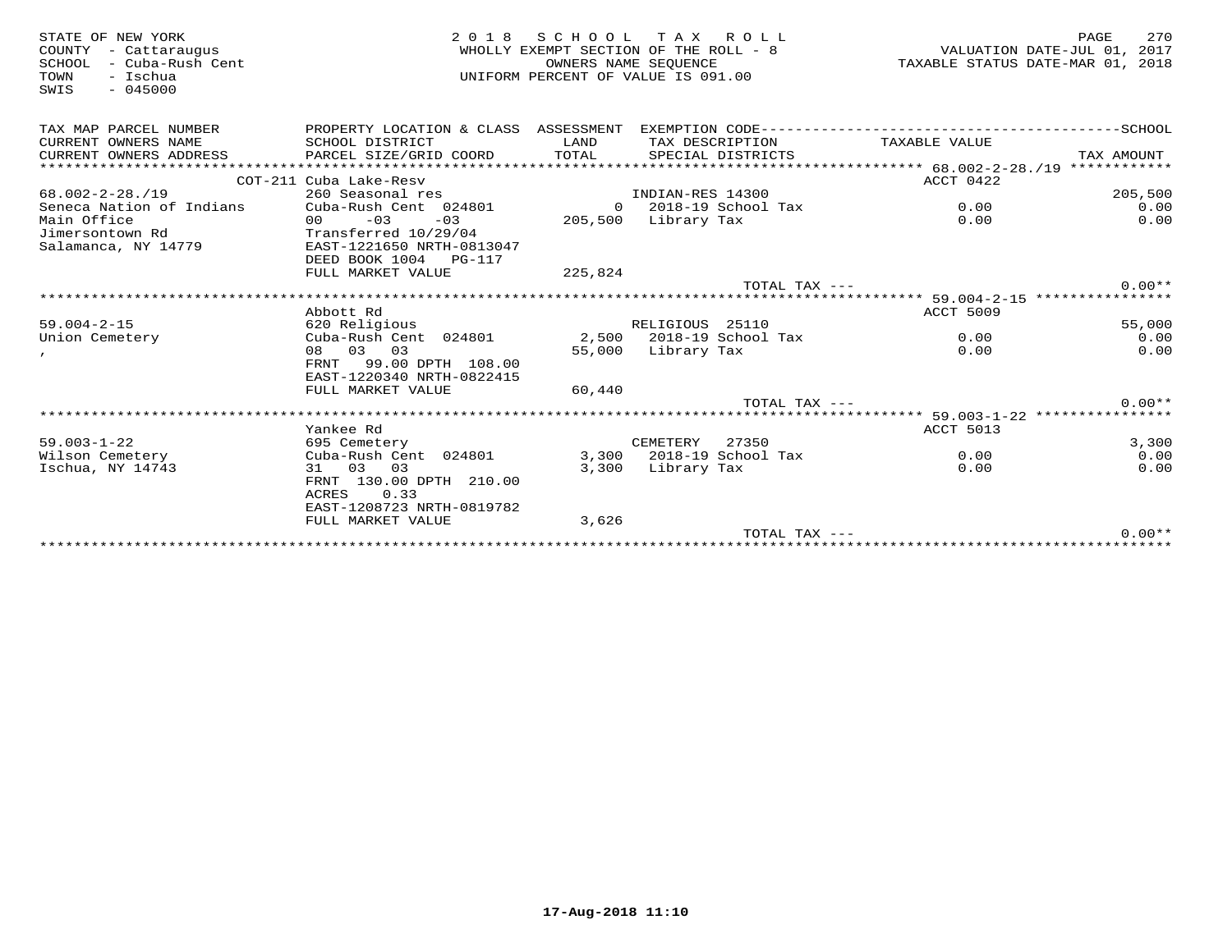| STATE OF NEW YORK<br>COUNTY<br>- Cattaraugus<br>- Cuba-Rush Cent<br>SCHOOL<br>- Ischua<br>TOWN<br>$-045000$<br>SWIS | 2018                                                                                                      | SCHOOL<br>OWNERS NAME SEOUENCE | T A X<br>ROLL<br>WHOLLY EXEMPT SECTION OF THE ROLL - 8<br>UNIFORM PERCENT OF VALUE IS 091.00 | VALUATION DATE-JUL 01, 2017<br>TAXABLE STATUS DATE-MAR 01, 2018 | 270<br>PAGE   |
|---------------------------------------------------------------------------------------------------------------------|-----------------------------------------------------------------------------------------------------------|--------------------------------|----------------------------------------------------------------------------------------------|-----------------------------------------------------------------|---------------|
| TAX MAP PARCEL NUMBER                                                                                               | PROPERTY LOCATION & CLASS ASSESSMENT                                                                      |                                |                                                                                              |                                                                 |               |
| CURRENT OWNERS NAME<br>CURRENT OWNERS ADDRESS                                                                       | SCHOOL DISTRICT<br>PARCEL SIZE/GRID COORD                                                                 | LAND<br>TOTAL                  | TAX DESCRIPTION<br>SPECIAL DISTRICTS                                                         | TAXABLE VALUE                                                   | TAX AMOUNT    |
| *********************                                                                                               |                                                                                                           |                                |                                                                                              |                                                                 |               |
|                                                                                                                     | COT-211 Cuba Lake-Resv                                                                                    |                                |                                                                                              | ACCT 0422                                                       |               |
| $68.002 - 2 - 28.719$                                                                                               | 260 Seasonal res                                                                                          |                                | INDIAN-RES 14300                                                                             |                                                                 | 205,500       |
| Seneca Nation of Indians                                                                                            | Cuba-Rush Cent 024801                                                                                     |                                | $0$ 2018-19 School Tax                                                                       | 0.00                                                            | 0.00          |
| Main Office                                                                                                         | $-03$<br>$-03$<br>00                                                                                      | 205,500                        | Library Tax                                                                                  | 0.00                                                            | 0.00          |
| Jimersontown Rd<br>Salamanca, NY 14779                                                                              | Transferred 10/29/04<br>EAST-1221650 NRTH-0813047<br>DEED BOOK 1004<br><b>PG-117</b><br>FULL MARKET VALUE | 225,824                        |                                                                                              |                                                                 |               |
|                                                                                                                     |                                                                                                           |                                | $TOTAL$ $TAX$ $---$                                                                          |                                                                 | $0.00**$      |
|                                                                                                                     |                                                                                                           |                                |                                                                                              | ***** 59.004-2-15 *****************                             |               |
|                                                                                                                     | Abbott Rd                                                                                                 |                                |                                                                                              | ACCT 5009                                                       |               |
| $59.004 - 2 - 15$                                                                                                   | 620 Religious                                                                                             |                                | RELIGIOUS 25110                                                                              |                                                                 | 55,000        |
| Union Cemetery                                                                                                      | Cuba-Rush Cent 024801                                                                                     |                                | 2,500 2018-19 School Tax                                                                     | 0.00                                                            | 0.00          |
|                                                                                                                     | 08 03 03<br>FRNT<br>99.00 DPTH 108.00<br>EAST-1220340 NRTH-0822415                                        | 55,000                         | Library Tax                                                                                  | 0.00                                                            | 0.00          |
|                                                                                                                     | FULL MARKET VALUE                                                                                         | 60,440                         |                                                                                              |                                                                 |               |
|                                                                                                                     |                                                                                                           |                                | TOTAL TAX $---$                                                                              |                                                                 | $0.00**$      |
|                                                                                                                     |                                                                                                           |                                |                                                                                              | ************************ 59.003-1-22 ****************           |               |
|                                                                                                                     | Yankee Rd                                                                                                 |                                |                                                                                              | ACCT 5013                                                       |               |
| $59.003 - 1 - 22$<br>Wilson Cemetery                                                                                | 695 Cemetery<br>Cuba-Rush Cent 024801                                                                     |                                | CEMETERY<br>27350<br>3,300 2018-19 School Tax                                                | 0.00                                                            | 3,300<br>0.00 |
| Ischua, NY 14743                                                                                                    | 31 03 03                                                                                                  | 3,300                          | Library Tax                                                                                  | 0.00                                                            | 0.00          |
|                                                                                                                     | FRNT 130.00 DPTH 210.00<br>0.33<br><b>ACRES</b><br>EAST-1208723 NRTH-0819782                              |                                |                                                                                              |                                                                 |               |
|                                                                                                                     | FULL MARKET VALUE                                                                                         | 3,626                          |                                                                                              |                                                                 |               |
|                                                                                                                     |                                                                                                           |                                | TOTAL TAX ---                                                                                |                                                                 | $0.00**$      |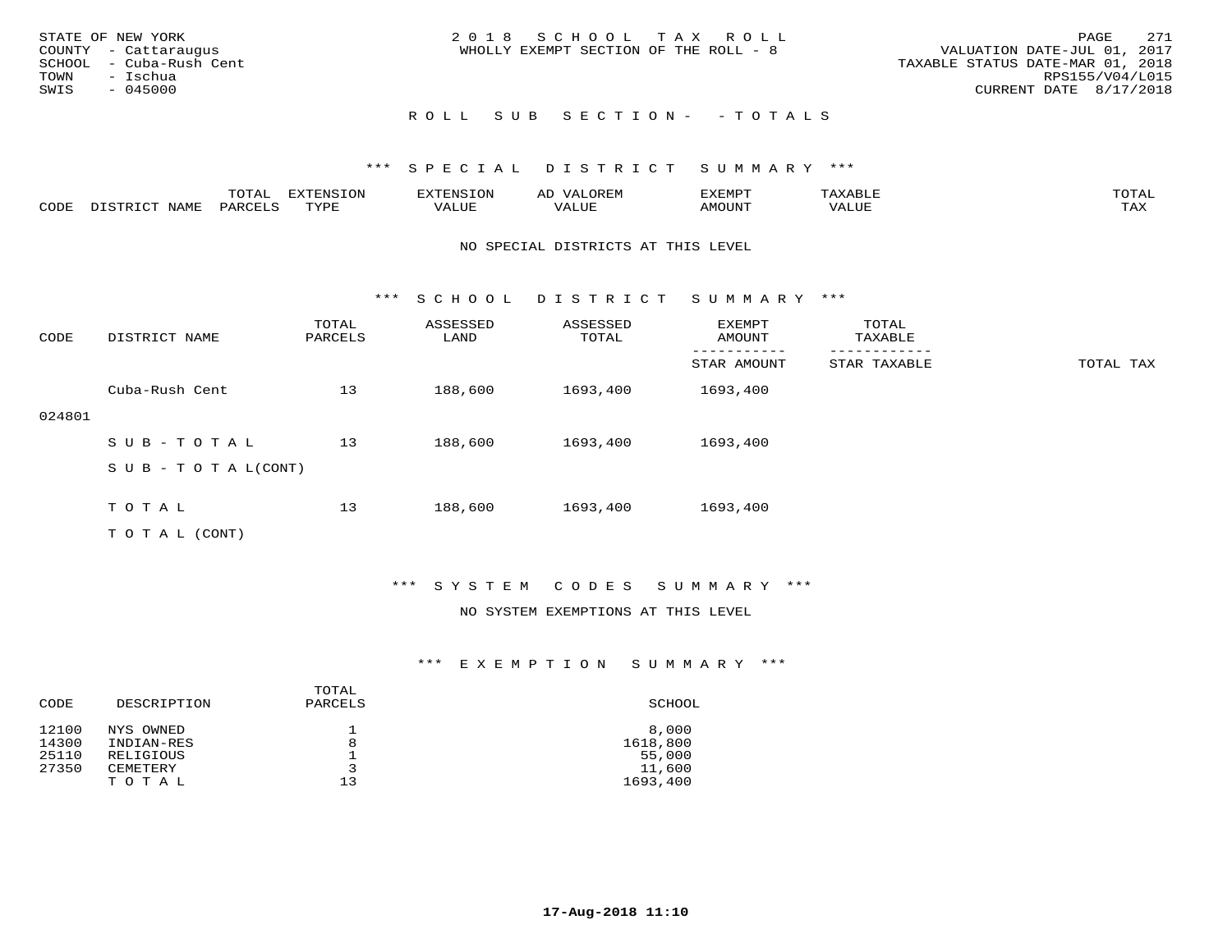| STATE OF NEW YORK<br>COUNTY - Cattaraugus<br>SCHOOL - Cuba-Rush Cent<br>TOWN - Ischua<br>SWIS<br>- 045000 | 2018 SCHOOL TAX ROLL<br>WHOLLY EXEMPT SECTION OF THE ROLL - 8 | 271<br>PAGE<br>VALUATION DATE-JUL 01, 2017<br>TAXABLE STATUS DATE-MAR 01, 2018<br>RPS155/V04/L015<br>CURRENT DATE 8/17/2018 |
|-----------------------------------------------------------------------------------------------------------|---------------------------------------------------------------|-----------------------------------------------------------------------------------------------------------------------------|
|                                                                                                           | ROLL SUB SECTION- - TOTALS                                    |                                                                                                                             |

|      |      | $m \wedge m \wedge n$<br>⊥∪⊥AL | <b>DIZPOILIC TONT</b><br>⊥ບ⊥ | EN.  | .<br>AL'<br>٠، تن ١٠ | 5773570      |          | $m \wedge m \wedge n$<br>$\mathsf{L}^{\mathsf{L}}$ |
|------|------|--------------------------------|------------------------------|------|----------------------|--------------|----------|----------------------------------------------------|
| CODE | NAMF | PARO                           | TVDF<br><u>ـ د د</u>         | ALUE |                      | <b>MOUNT</b> | 7 A LU B | may<br>- ∠∡∡                                       |

#### NO SPECIAL DISTRICTS AT THIS LEVEL

\*\*\* S C H O O L D I S T R I C T S U M M A R Y \*\*\*

| CODE   | DISTRICT NAME              | TOTAL<br>PARCELS | ASSESSED<br>LAND | ASSESSED<br>TOTAL | EXEMPT<br>AMOUNT | TOTAL<br>TAXABLE |           |
|--------|----------------------------|------------------|------------------|-------------------|------------------|------------------|-----------|
|        |                            |                  |                  |                   | STAR AMOUNT      | STAR TAXABLE     | TOTAL TAX |
|        | Cuba-Rush Cent             | 13               | 188,600          | 1693,400          | 1693,400         |                  |           |
| 024801 |                            |                  |                  |                   |                  |                  |           |
|        | SUB-TOTAL                  | 13               | 188,600          | 1693,400          | 1693,400         |                  |           |
|        | S U B - T O T A $L$ (CONT) |                  |                  |                   |                  |                  |           |
|        |                            |                  |                  |                   |                  |                  |           |
|        | TOTAL                      | 13               | 188,600          | 1693,400          | 1693,400         |                  |           |
|        | T O T A L (CONT)           |                  |                  |                   |                  |                  |           |

## \*\*\* S Y S T E M C O D E S S U M M A R Y \*\*\*

#### NO SYSTEM EXEMPTIONS AT THIS LEVEL

| CODE  | DESCRIPTION | TOTAL<br>PARCELS | SCHOOL   |
|-------|-------------|------------------|----------|
| 12100 | NYS OWNED   |                  | 8,000    |
| 14300 | INDIAN-RES  | 8                | 1618,800 |
| 25110 | RELIGIOUS   |                  | 55,000   |
| 27350 | CEMETERY    | 3                | 11,600   |
|       | TOTAL       | 13               | 1693,400 |
|       |             |                  |          |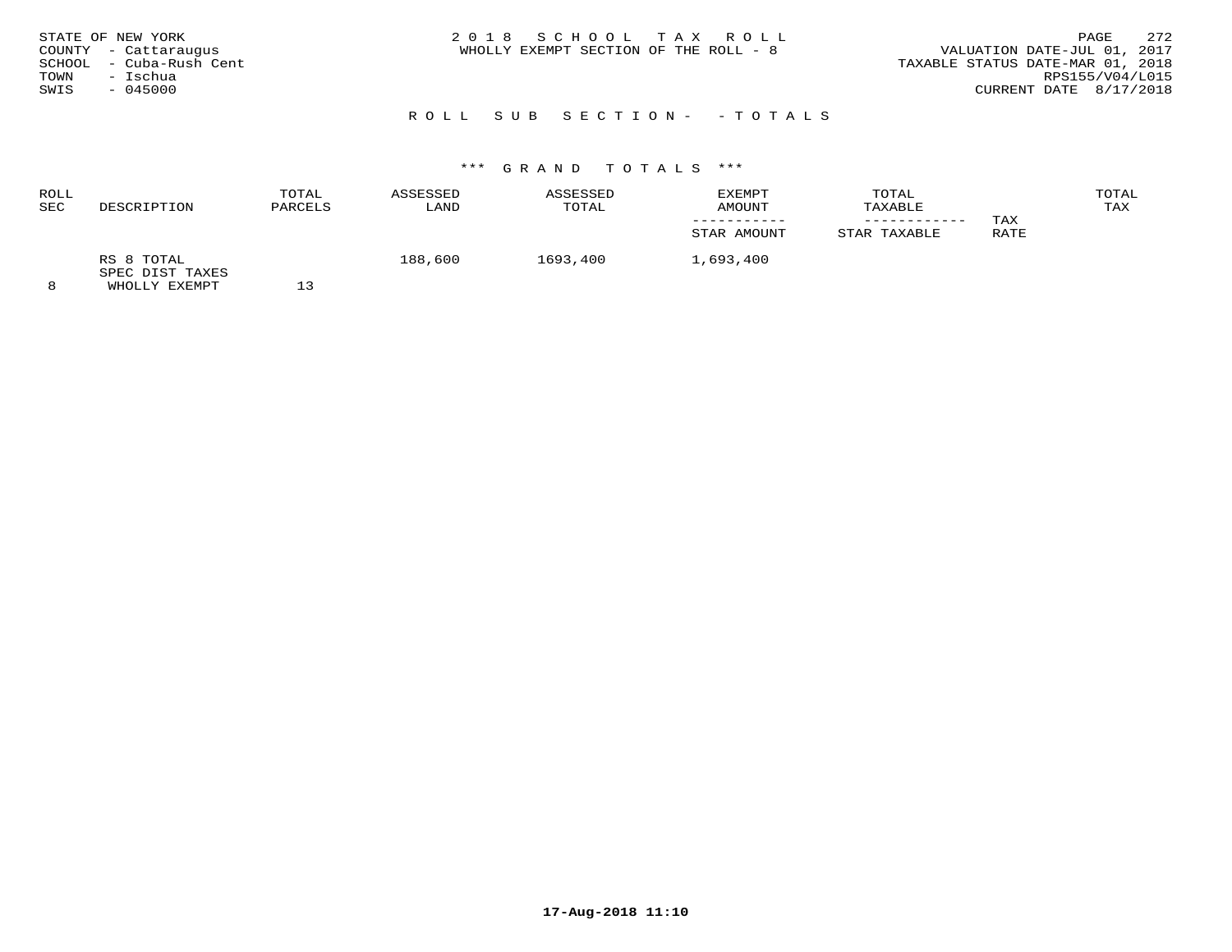| STATE OF NEW YORK<br>COUNTY - Cattaraugus<br>SCHOOL - Cuba-Rush Cent<br>- Ischua<br>TOWN<br>SWIS<br>$-045000$ | 2018 SCHOOL TAX ROLL<br>WHOLLY EXEMPT SECTION OF THE ROLL - 8 | 2.72<br>PAGE<br>VALUATION DATE-JUL 01, 2017<br>TAXABLE STATUS DATE-MAR 01, 2018<br>RPS155/V04/L015<br>CURRENT DATE 8/17/2018 |
|---------------------------------------------------------------------------------------------------------------|---------------------------------------------------------------|------------------------------------------------------------------------------------------------------------------------------|
|                                                                                                               | ROLL SUB SECTION- - TOTALS                                    |                                                                                                                              |

#### ROLL TOTAL ASSESSED ASSESSED EXEMPT TOTAL TOTALTAX SEC DESCRIPTION PARCELS LAND TOTAL AMOUNT TAXABLE TAX ----------- ------------ TAX**RATE** STAR AMOUNT STAR TAXABLE RS 8 TOTAL 188,600 1693,400 1,693,400 SPEC DIST TAXES

8 WHOLLY EXEMPT 13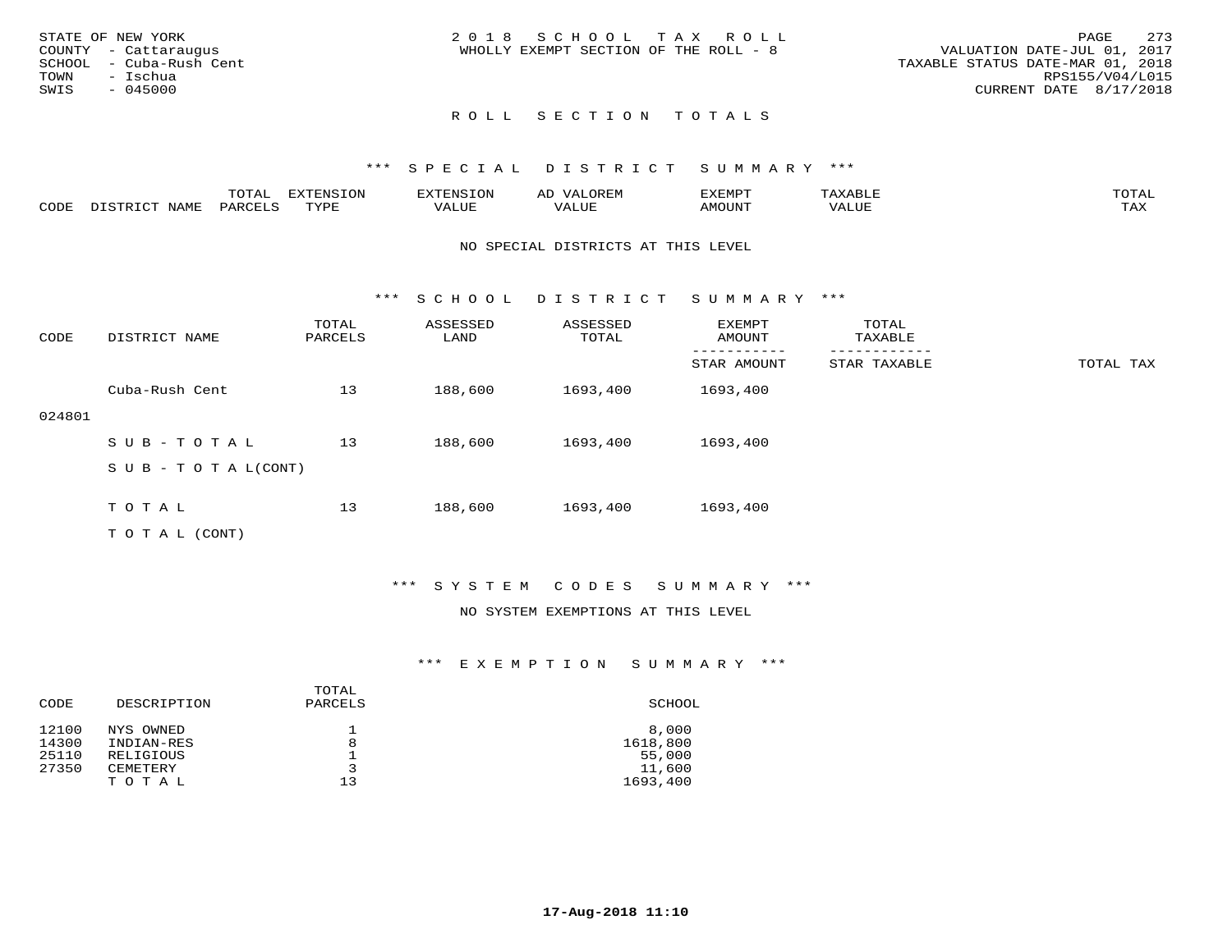|      | STATE OF NEW YORK       | 2018 SCHOOL TAX ROLL                                                 | PAGE            | 273 |
|------|-------------------------|----------------------------------------------------------------------|-----------------|-----|
|      | COUNTY - Cattaraugus    | VALUATION DATE-JUL 01, 2017<br>WHOLLY EXEMPT SECTION OF THE ROLL - 8 |                 |     |
|      | SCHOOL - Cuba-Rush Cent | TAXABLE STATUS DATE-MAR 01, 2018                                     |                 |     |
|      | TOWN - Ischua           |                                                                      | RPS155/V04/L015 |     |
| SWIS | - 045000                | CURRENT DATE 8/17/2018                                               |                 |     |
|      |                         |                                                                      |                 |     |

#### \*\*\* S P E C I A L D I S T R I C T S U M M A R Y \*\*\*

|      | -----<br>-777 | ר את דר P™<br>∸∽∸ |          |               | <b>VEMPT</b><br>- ۱٬۱۳۰٬۰۰۰ |      | momn:<br>.                     |
|------|---------------|-------------------|----------|---------------|-----------------------------|------|--------------------------------|
| CODI | ◡▵            | TYTH              | $\Delta$ | - ---<br>ALUR | 10 C T T T T T              | ALUE | $- - - -$<br>∖ <del>n</del> ∡s |

#### NO SPECIAL DISTRICTS AT THIS LEVEL

\*\*\* S C H O O L D I S T R I C T S U M M A R Y \*\*\*

| CODE   | DISTRICT NAME                    | TOTAL<br>PARCELS | ASSESSED<br>LAND | ASSESSED<br>TOTAL | EXEMPT<br>AMOUNT | TOTAL<br>TAXABLE |           |
|--------|----------------------------------|------------------|------------------|-------------------|------------------|------------------|-----------|
|        |                                  |                  |                  |                   | STAR AMOUNT      | STAR TAXABLE     | TOTAL TAX |
|        | Cuba-Rush Cent                   | 13               | 188,600          | 1693,400          | 1693,400         |                  |           |
| 024801 |                                  |                  |                  |                   |                  |                  |           |
|        | SUB-TOTAL                        | 13               | 188,600          | 1693,400          | 1693,400         |                  |           |
|        | $S \cup B - T \cup T A L (CONT)$ |                  |                  |                   |                  |                  |           |
|        |                                  |                  |                  |                   |                  |                  |           |
|        | TOTAL                            | 13               | 188,600          | 1693,400          | 1693,400         |                  |           |
|        | T O T A L (CONT)                 |                  |                  |                   |                  |                  |           |

\*\*\* S Y S T E M C O D E S S U M M A R Y \*\*\*

#### NO SYSTEM EXEMPTIONS AT THIS LEVEL

| CODE  | DESCRIPTION | TOTAL<br>PARCELS | SCHOOL   |
|-------|-------------|------------------|----------|
| 12100 | NYS OWNED   |                  | 8,000    |
| 14300 | INDIAN-RES  | 8                | 1618,800 |
| 25110 | RELIGIOUS   |                  | 55,000   |
| 27350 | CEMETERY    | 3                | 11,600   |
|       | TOTAL       | 13               | 1693,400 |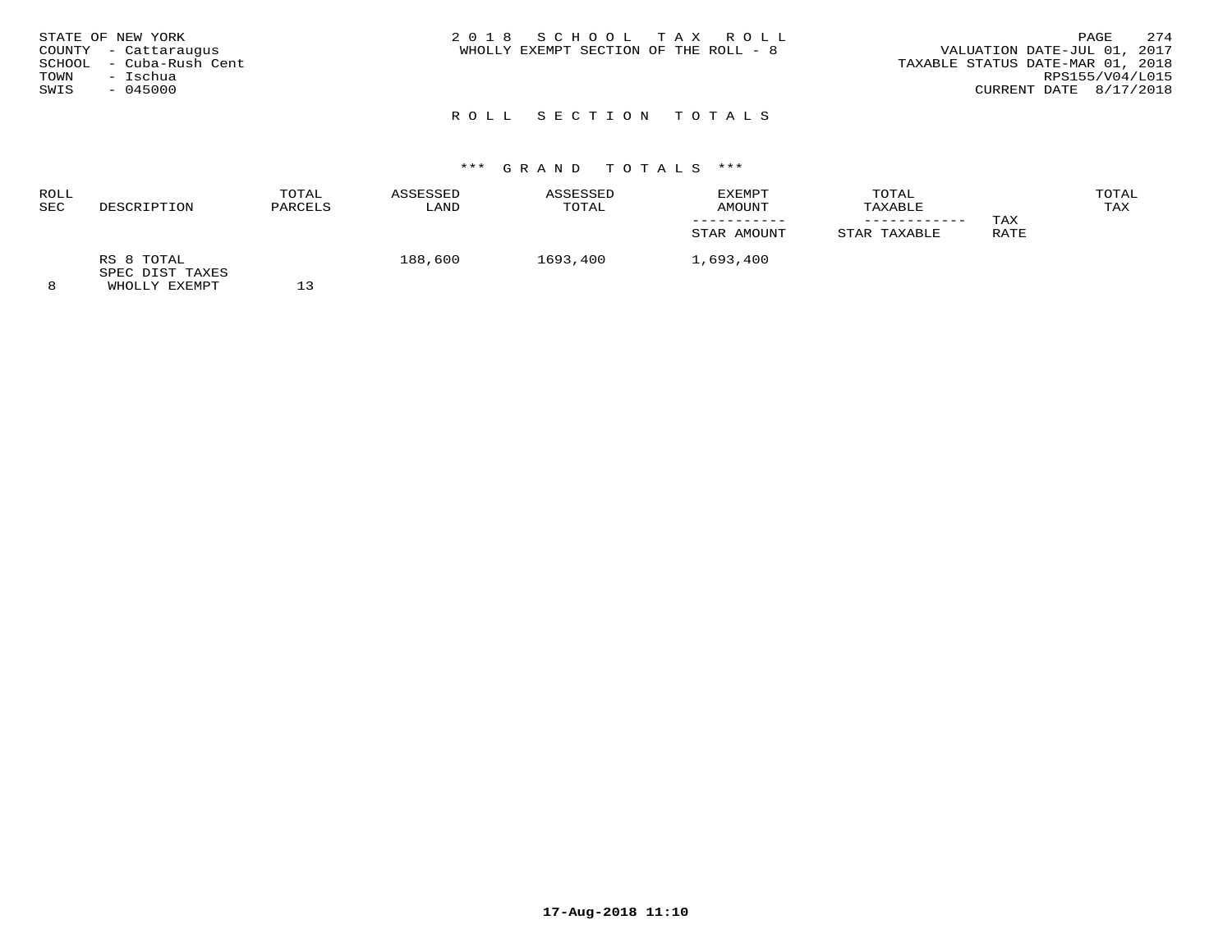| STATE OF NEW YORK<br>COUNTY - Cattaraugus<br>SCHOOL - Cuba-Rush Cent<br>– Ischua<br>TOWN<br>SWIS<br>$-045000$ | 2018 SCHOOL TAX ROLL<br>WHOLLY EXEMPT SECTION OF THE ROLL - 8 | 2.74<br>PAGE<br>VALUATION DATE-JUL 01, 2017<br>TAXABLE STATUS DATE-MAR 01, 2018<br>RPS155/V04/L015<br>CURRENT DATE 8/17/2018 |
|---------------------------------------------------------------------------------------------------------------|---------------------------------------------------------------|------------------------------------------------------------------------------------------------------------------------------|
|                                                                                                               | ROLL SECTION TOTALS                                           |                                                                                                                              |

| ROLL |                               | TOTAL   | ASSESSED | ASSESSED | EXEMPT      | TOTAL        |      | TOTAL |
|------|-------------------------------|---------|----------|----------|-------------|--------------|------|-------|
| SEC  | DESCRIPTION                   | PARCELS | LAND     | TOTAL    | AMOUNT      | TAXABLE      |      | TAX   |
|      |                               |         |          |          |             |              | TAX  |       |
|      |                               |         |          |          | STAR AMOUNT | STAR TAXABLE | RATE |       |
|      | RS 8 TOTAL<br>SPEC DIST TAXES |         | 188,600  | 1693,400 | 1,693,400   |              |      |       |
|      | WHOLLY EXEMPT                 |         |          |          |             |              |      |       |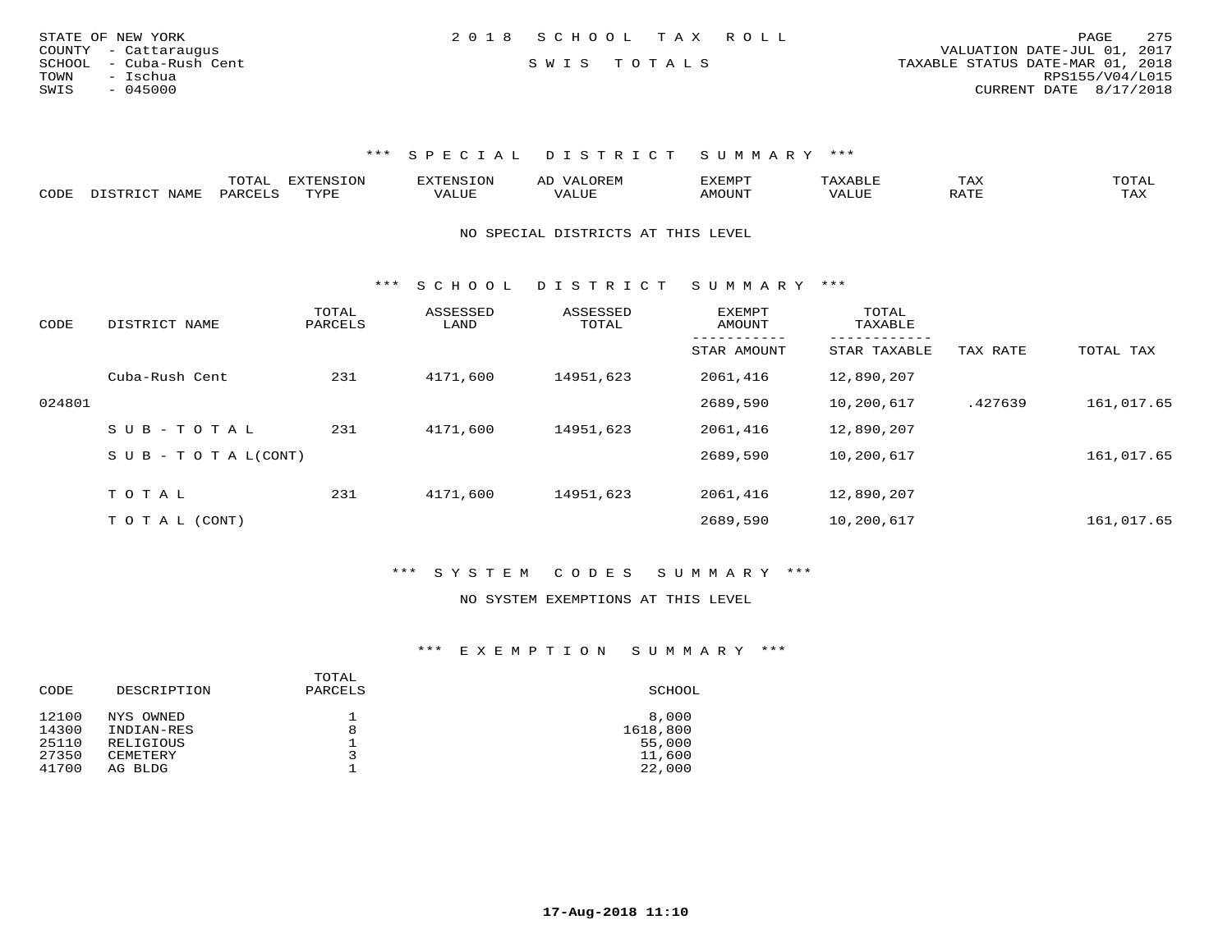| STATE OF NEW YORK       | 2018 SCHOOL TAX ROLL |  | 275<br>PAGE                      |
|-------------------------|----------------------|--|----------------------------------|
| COUNTY - Cattaraugus    |                      |  | VALUATION DATE-JUL 01, 2017      |
| SCHOOL - Cuba-Rush Cent | SWIS TOTALS          |  | TAXABLE STATUS DATE-MAR 01, 2018 |
| TOWN<br>- Ischua        |                      |  | RPS155/V04/L015                  |
| $-045000$<br>SWIS       |                      |  | CURRENT DATE 8/17/2018           |
|                         |                      |  |                                  |

|      | ----<br>- 777 | ,,,,,,,,,,<br>$-0.213$ |  | -XEMP"    | ⊥ A∆ | $\sim$ m $\sim$ $\sim$<br>◡ <b>⊥</b> |
|------|---------------|------------------------|--|-----------|------|--------------------------------------|
| CODE | ⊬∆د           | $- - - -$<br>.         |  | 5.7277777 |      | $\pi\pi\pi$<br>$\cdots$<br>- 53.43   |

NO SPECIAL DISTRICTS AT THIS LEVEL

\*\*\* S C H O O L D I S T R I C T S U M M A R Y \*\*\*

| CODE   | DISTRICT NAME                    | TOTAL<br>PARCELS | ASSESSED<br>LAND | ASSESSED<br>TOTAL | <b>EXEMPT</b><br>AMOUNT | TOTAL<br>TAXABLE          |          |            |
|--------|----------------------------------|------------------|------------------|-------------------|-------------------------|---------------------------|----------|------------|
|        |                                  |                  |                  |                   | --------<br>STAR AMOUNT | ---------<br>STAR TAXABLE | TAX RATE | TOTAL TAX  |
|        | Cuba-Rush Cent                   | 231              | 4171,600         | 14951,623         | 2061,416                | 12,890,207                |          |            |
| 024801 |                                  |                  |                  |                   | 2689,590                | 10,200,617                | .427639  | 161,017.65 |
|        | SUB-TOTAL                        | 231              | 4171,600         | 14951,623         | 2061,416                | 12,890,207                |          |            |
|        | $S \cup B - T \cup T A L (CONT)$ |                  |                  |                   | 2689,590                | 10,200,617                |          | 161,017.65 |
|        |                                  |                  |                  |                   |                         |                           |          |            |
|        | TOTAL                            | 231              | 4171,600         | 14951,623         | 2061,416                | 12,890,207                |          |            |
|        | T O T A L (CONT)                 |                  |                  |                   | 2689,590                | 10,200,617                |          | 161,017.65 |

\*\*\* S Y S T E M C O D E S S U M M A R Y \*\*\*

#### NO SYSTEM EXEMPTIONS AT THIS LEVEL

| CODE  | DESCRIPTION | TOTAL<br>PARCELS | SCHOOL   |
|-------|-------------|------------------|----------|
| 12100 | NYS OWNED   |                  | 8,000    |
| 14300 | INDIAN-RES  | 8                | 1618,800 |
| 25110 | RELIGIOUS   |                  | 55,000   |
| 27350 | CEMETERY    | 3                | 11,600   |
| 41700 | AG BLDG     |                  | 22,000   |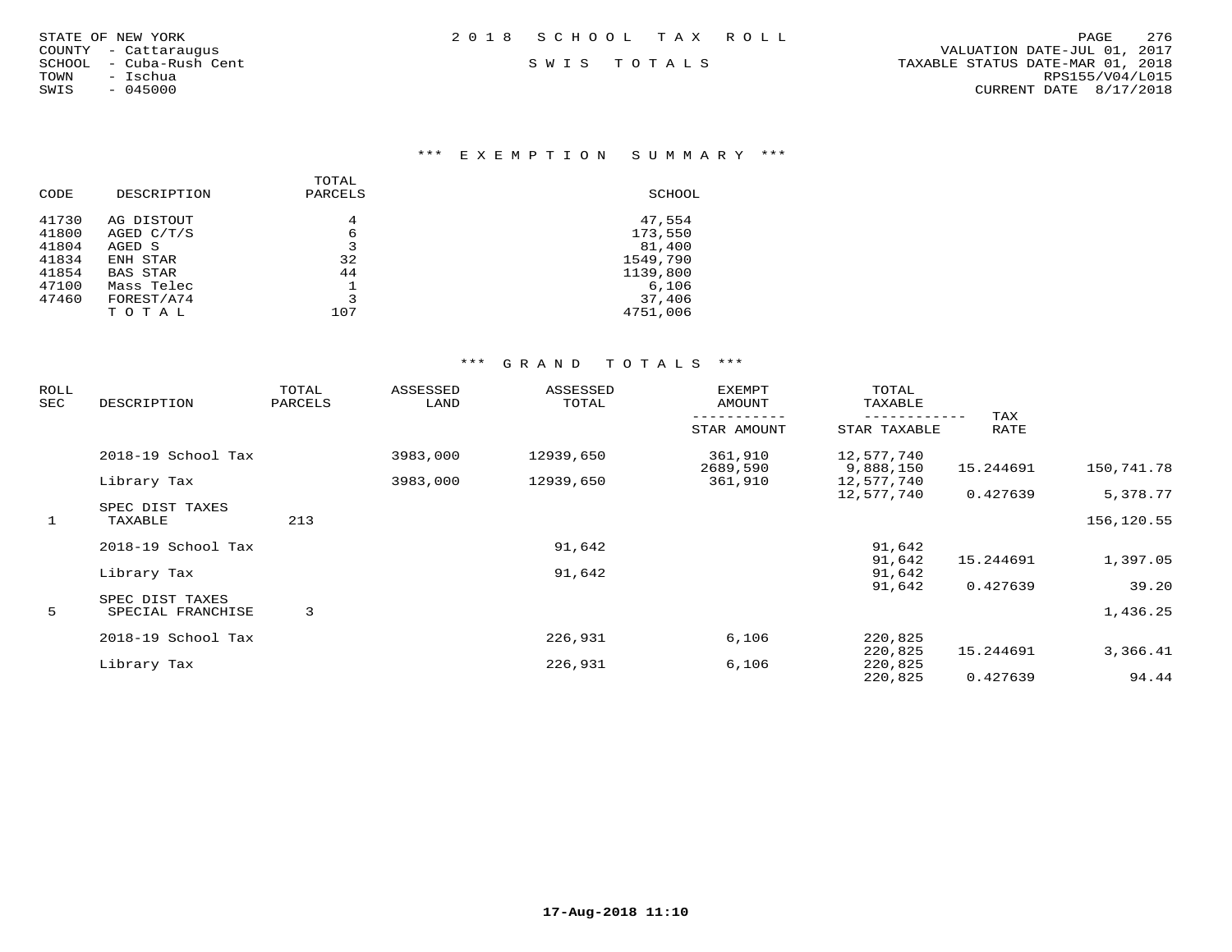#### \*\*\* E X E M P T I O N S U M M A R Y \*\*\*

|       |                 | TOTAL   |          |
|-------|-----------------|---------|----------|
| CODE  | DESCRIPTION     | PARCELS | SCHOOL   |
| 41730 | AG DISTOUT      | 4       | 47,554   |
| 41800 | AGED C/T/S      | 6       | 173,550  |
| 41804 | AGED S          | 3       | 81,400   |
| 41834 | ENH STAR        | 32      | 1549,790 |
| 41854 | <b>BAS STAR</b> | 44      | 1139,800 |
| 47100 | Mass Telec      |         | 6,106    |
| 47460 | FOREST/A74      | 3       | 37,406   |
|       | TOTAL           | 107     | 4751,006 |
|       |                 |         |          |

| ROLL<br>SEC | DESCRIPTION                          | TOTAL<br>PARCELS | ASSESSED<br>LAND | ASSESSED<br>TOTAL | <b>EXEMPT</b><br>AMOUNT | TOTAL<br>TAXABLE        |                    |            |
|-------------|--------------------------------------|------------------|------------------|-------------------|-------------------------|-------------------------|--------------------|------------|
|             |                                      |                  |                  |                   | STAR AMOUNT             | STAR TAXABLE            | TAX<br><b>RATE</b> |            |
|             | 2018-19 School Tax                   |                  | 3983,000         | 12939,650         | 361,910                 | 12,577,740              |                    |            |
|             | Library Tax                          |                  | 3983,000         | 12939,650         | 2689,590<br>361,910     | 9,888,150<br>12,577,740 | 15.244691          | 150,741.78 |
|             |                                      |                  |                  |                   |                         | 12,577,740              | 0.427639           | 5,378.77   |
| 1           | SPEC DIST TAXES<br>TAXABLE           | 213              |                  |                   |                         |                         |                    | 156,120.55 |
|             | 2018-19 School Tax                   |                  |                  | 91,642            |                         | 91,642                  |                    |            |
|             | Library Tax                          |                  |                  | 91,642            |                         | 91,642<br>91,642        | 15.244691          | 1,397.05   |
|             |                                      |                  |                  |                   |                         | 91,642                  | 0.427639           | 39.20      |
| 5           | SPEC DIST TAXES<br>SPECIAL FRANCHISE | 3                |                  |                   |                         |                         |                    | 1,436.25   |
|             | 2018-19 School Tax                   |                  |                  | 226,931           | 6,106                   | 220,825                 |                    |            |
|             |                                      |                  |                  |                   |                         | 220,825                 | 15.244691          | 3,366.41   |
|             | Library Tax                          |                  |                  | 226,931           | 6,106                   | 220,825<br>220,825      | 0.427639           | 94.44      |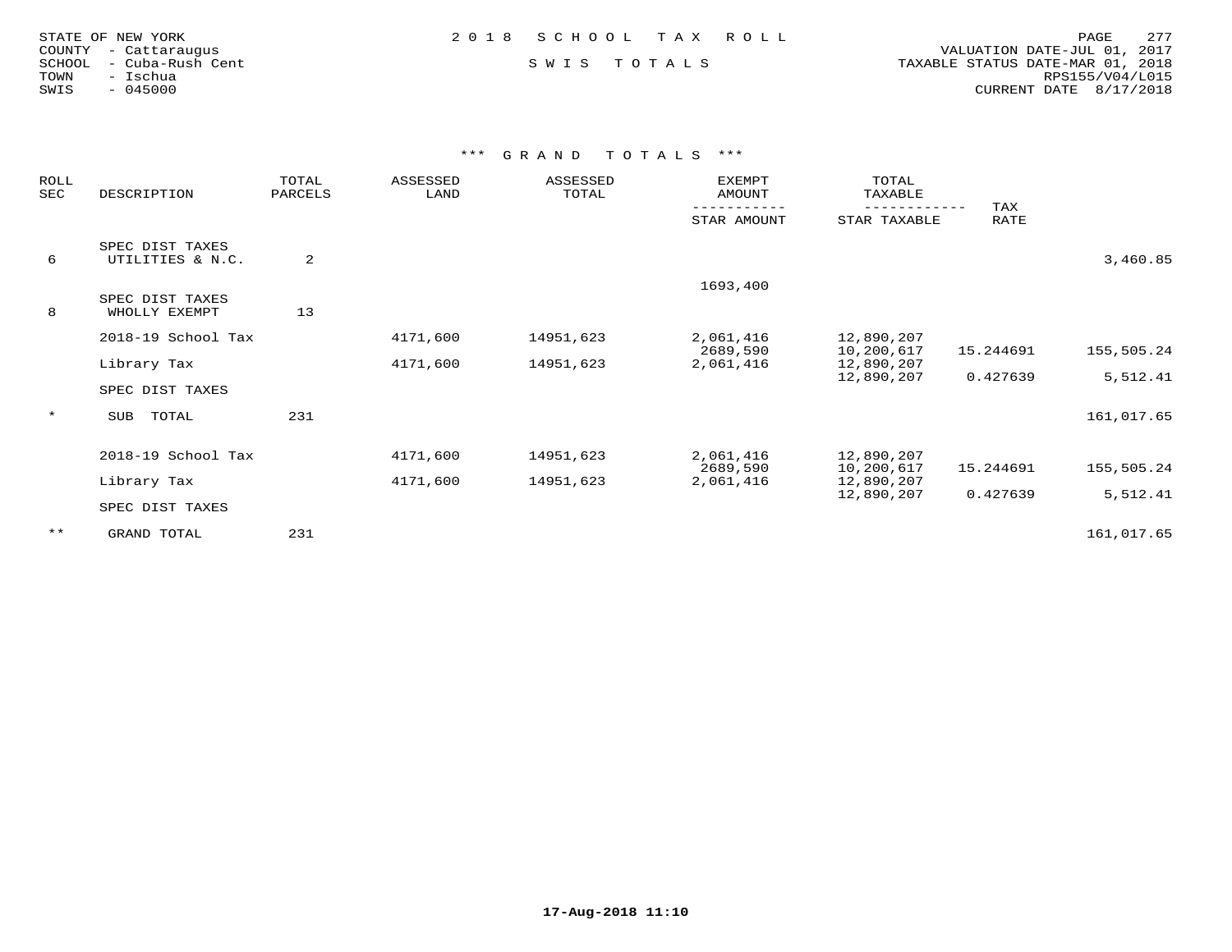|        | STATE OF NEW YORK |  |
|--------|-------------------|--|
| COUNTY | - Cattaraugus     |  |
| SCHOOL | - Cuba-Rush Cent  |  |
| TOWN   | - Ischua          |  |
| SWIS   | $-045000$         |  |
|        |                   |  |

 COUNTY - Cattaraugus VALUATION DATE-JUL 01, 2017 SCHOOL - Cuba-Rush Cent S W I S T O T A L S TAXABLE STATUS DATE-MAR 01, 2018 TOWN - Ischua RPS155/V04/L015SWIS - 045000 CURRENT DATE 8/17/2018

| ROLL<br>SEC | DESCRIPTION                         | TOTAL<br>PARCELS | ASSESSED<br>LAND | ASSESSED<br>TOTAL | <b>EXEMPT</b><br>AMOUNT | TOTAL<br>TAXABLE         | TAX       |            |
|-------------|-------------------------------------|------------------|------------------|-------------------|-------------------------|--------------------------|-----------|------------|
|             |                                     |                  |                  |                   | STAR AMOUNT             | STAR TAXABLE             | RATE      |            |
| 6           | SPEC DIST TAXES<br>UTILITIES & N.C. | 2                |                  |                   |                         |                          |           | 3,460.85   |
| 8           | SPEC DIST TAXES<br>WHOLLY EXEMPT    | 13               |                  |                   | 1693,400                |                          |           |            |
|             | 2018-19 School Tax                  |                  | 4171,600         | 14951,623         | 2,061,416<br>2689,590   | 12,890,207<br>10,200,617 | 15.244691 | 155,505.24 |
|             | Library Tax<br>SPEC DIST TAXES      |                  | 4171,600         | 14951,623         | 2,061,416               | 12,890,207<br>12,890,207 | 0.427639  | 5,512.41   |
| $\star$     | TOTAL<br>SUB                        | 231              |                  |                   |                         |                          |           | 161,017.65 |
|             | 2018-19 School Tax                  |                  | 4171,600         | 14951,623         | 2,061,416<br>2689,590   | 12,890,207<br>10,200,617 | 15.244691 | 155,505.24 |
|             | Library Tax                         |                  | 4171,600         | 14951,623         | 2,061,416               | 12,890,207<br>12,890,207 | 0.427639  | 5,512.41   |
|             | SPEC DIST TAXES                     |                  |                  |                   |                         |                          |           |            |
| $***$       | GRAND TOTAL                         | 231              |                  |                   |                         |                          |           | 161,017.65 |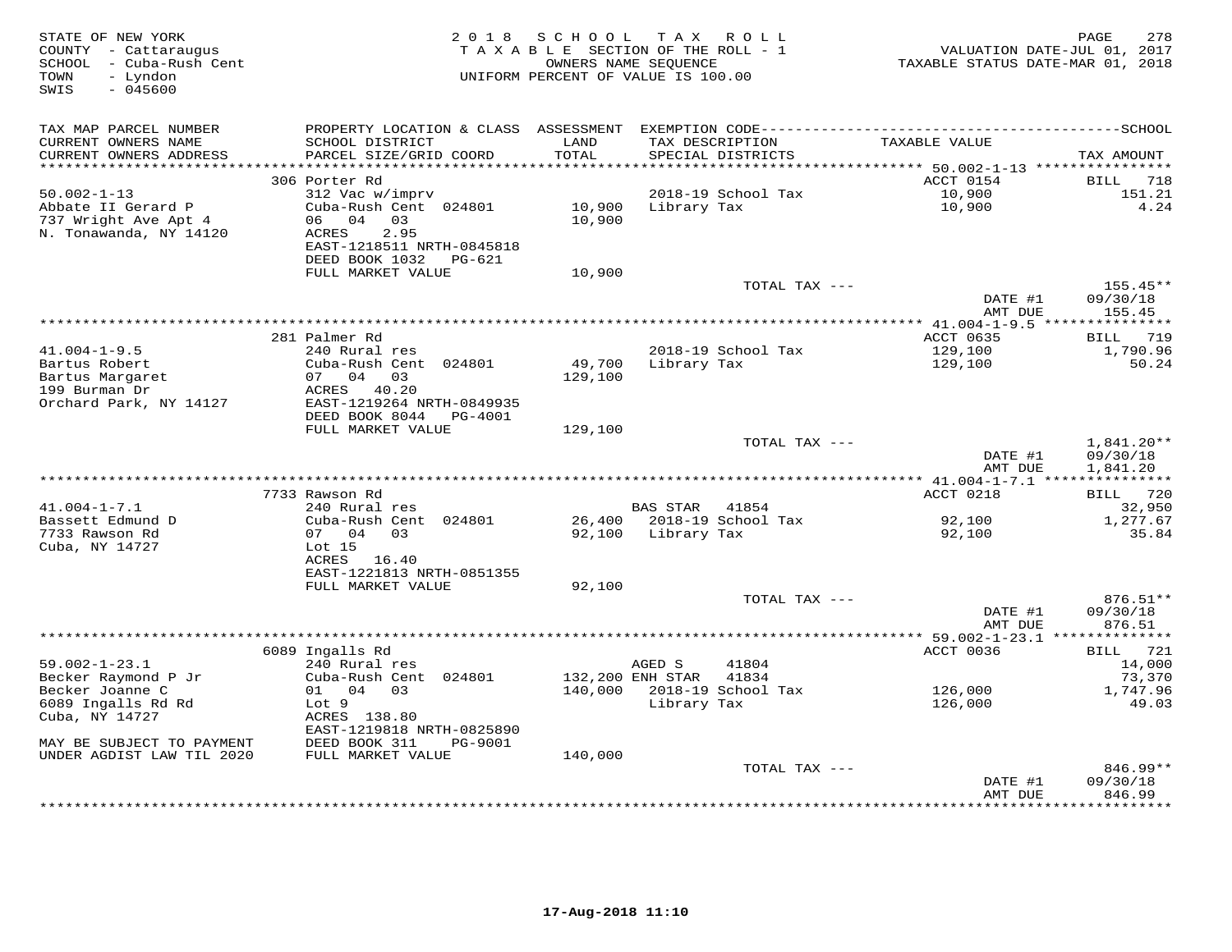| STATE OF NEW YORK<br>COUNTY - Cattaraugus<br>SCHOOL - Cuba-Rush Cent<br>- Lyndon<br>TOWN<br>SWIS<br>$-045600$ |                                                                                                                             |               | 2018 SCHOOL TAX ROLL<br>TAXABLE SECTION OF THE ROLL - 1<br>OWNERS NAME SEQUENCE<br>UNIFORM PERCENT OF VALUE IS 100.00 | TAXABLE STATUS DATE-MAR 01, 2018 | PAGE<br>278<br>VALUATION DATE-JUL 01, 2017 |
|---------------------------------------------------------------------------------------------------------------|-----------------------------------------------------------------------------------------------------------------------------|---------------|-----------------------------------------------------------------------------------------------------------------------|----------------------------------|--------------------------------------------|
| TAX MAP PARCEL NUMBER<br>CURRENT OWNERS NAME<br>CURRENT OWNERS ADDRESS                                        | SCHOOL DISTRICT<br>PARCEL SIZE/GRID COORD                                                                                   | LAND<br>TOTAL | TAX DESCRIPTION<br>SPECIAL DISTRICTS                                                                                  | TAXABLE VALUE                    | TAX AMOUNT                                 |
| ***********************                                                                                       |                                                                                                                             |               |                                                                                                                       |                                  |                                            |
|                                                                                                               | 306 Porter Rd                                                                                                               |               |                                                                                                                       | ACCT 0154                        | BILL 718                                   |
| $50.002 - 1 - 13$<br>Abbate II Gerard P<br>737 Wright Ave Apt 4<br>N. Tonawanda, NY 14120                     | 312 Vac w/imprv<br>Cuba-Rush Cent 024801<br>06 04 03<br>2.95<br>ACRES<br>EAST-1218511 NRTH-0845818<br>DEED BOOK 1032 PG-621 | 10,900        | 2018-19 School Tax<br>10,900 Library Tax                                                                              | 10,900<br>10,900                 | 151.21<br>4.24                             |
|                                                                                                               | FULL MARKET VALUE                                                                                                           | 10,900        |                                                                                                                       |                                  |                                            |
|                                                                                                               |                                                                                                                             |               | TOTAL TAX ---                                                                                                         |                                  | 155.45**                                   |
|                                                                                                               |                                                                                                                             |               |                                                                                                                       | DATE #1<br>AMT DUE               | 09/30/18<br>155.45                         |
|                                                                                                               |                                                                                                                             |               |                                                                                                                       |                                  |                                            |
|                                                                                                               | 281 Palmer Rd                                                                                                               |               |                                                                                                                       | ACCT 0635                        | <b>BILL</b> 719                            |
| $41.004 - 1 - 9.5$<br>Bartus Robert                                                                           | 240 Rural res<br>Cuba-Rush Cent 024801                                                                                      | 49,700        | 2018-19 School Tax<br>Library Tax                                                                                     | 129,100<br>129,100               | 1,790.96<br>50.24                          |
| Bartus Margaret                                                                                               | 07 04 03                                                                                                                    | 129,100       |                                                                                                                       |                                  |                                            |
| 199 Burman Dr                                                                                                 | ACRES 40.20                                                                                                                 |               |                                                                                                                       |                                  |                                            |
| Orchard Park, NY 14127                                                                                        | EAST-1219264 NRTH-0849935                                                                                                   |               |                                                                                                                       |                                  |                                            |
|                                                                                                               | DEED BOOK 8044 PG-4001                                                                                                      |               |                                                                                                                       |                                  |                                            |
|                                                                                                               | FULL MARKET VALUE                                                                                                           | 129,100       |                                                                                                                       |                                  |                                            |
|                                                                                                               |                                                                                                                             |               | TOTAL TAX ---                                                                                                         |                                  | $1,841.20**$                               |
|                                                                                                               |                                                                                                                             |               |                                                                                                                       | DATE #1<br>AMT DUE               | 09/30/18<br>1,841.20                       |
|                                                                                                               |                                                                                                                             |               |                                                                                                                       |                                  |                                            |
|                                                                                                               | 7733 Rawson Rd                                                                                                              |               |                                                                                                                       | ACCT 0218                        | BILL 720                                   |
| $41.004 - 1 - 7.1$                                                                                            | 240 Rural res                                                                                                               |               | BAS STAR 41854                                                                                                        |                                  | 32,950                                     |
| Bassett Edmund D                                                                                              | Cuba-Rush Cent 024801                                                                                                       |               | 26,400 2018-19 School Tax                                                                                             | 92,100                           | 1,277.67                                   |
| 7733 Rawson Rd                                                                                                | 07 04 03                                                                                                                    |               | 92,100 Library Tax                                                                                                    | 92,100                           | 35.84                                      |
| Cuba, NY 14727                                                                                                | Lot 15<br>ACRES 16.40                                                                                                       |               |                                                                                                                       |                                  |                                            |
|                                                                                                               | EAST-1221813 NRTH-0851355                                                                                                   |               |                                                                                                                       |                                  |                                            |
|                                                                                                               | FULL MARKET VALUE                                                                                                           | 92,100        |                                                                                                                       |                                  |                                            |
|                                                                                                               |                                                                                                                             |               | TOTAL TAX ---                                                                                                         |                                  | 876.51**                                   |
|                                                                                                               |                                                                                                                             |               |                                                                                                                       | DATE #1                          | 09/30/18                                   |
|                                                                                                               |                                                                                                                             |               |                                                                                                                       | AMT DUE                          | 876.51                                     |
|                                                                                                               |                                                                                                                             |               |                                                                                                                       |                                  |                                            |
| $59.002 - 1 - 23.1$                                                                                           | 6089 Ingalls Rd<br>240 Rural res                                                                                            |               | AGED S<br>41804                                                                                                       | ACCT 0036                        | BILL 721<br>14,000                         |
| Becker Raymond P Jr                                                                                           | Cuba-Rush Cent 024801                                                                                                       |               | 132,200 ENH STAR<br>41834                                                                                             |                                  | 73,370                                     |
| Becker Joanne C                                                                                               | 01 04 03                                                                                                                    |               | 140,000 2018-19 School Tax                                                                                            | 126,000                          | 1,747.96                                   |
| 6089 Ingalls Rd Rd                                                                                            | Lot 9                                                                                                                       |               | Library Tax                                                                                                           | 126,000                          | 49.03                                      |
| Cuba, NY 14727                                                                                                | ACRES 138.80                                                                                                                |               |                                                                                                                       |                                  |                                            |
|                                                                                                               | EAST-1219818 NRTH-0825890                                                                                                   |               |                                                                                                                       |                                  |                                            |
| MAY BE SUBJECT TO PAYMENT                                                                                     | DEED BOOK 311<br>PG-9001                                                                                                    |               |                                                                                                                       |                                  |                                            |
| UNDER AGDIST LAW TIL 2020                                                                                     | FULL MARKET VALUE                                                                                                           | 140,000       | TOTAL TAX ---                                                                                                         |                                  | $846.99**$                                 |
|                                                                                                               |                                                                                                                             |               |                                                                                                                       | DATE #1                          | 09/30/18                                   |
|                                                                                                               |                                                                                                                             |               |                                                                                                                       | AMT DUE                          | 846.99                                     |
|                                                                                                               |                                                                                                                             |               |                                                                                                                       |                                  |                                            |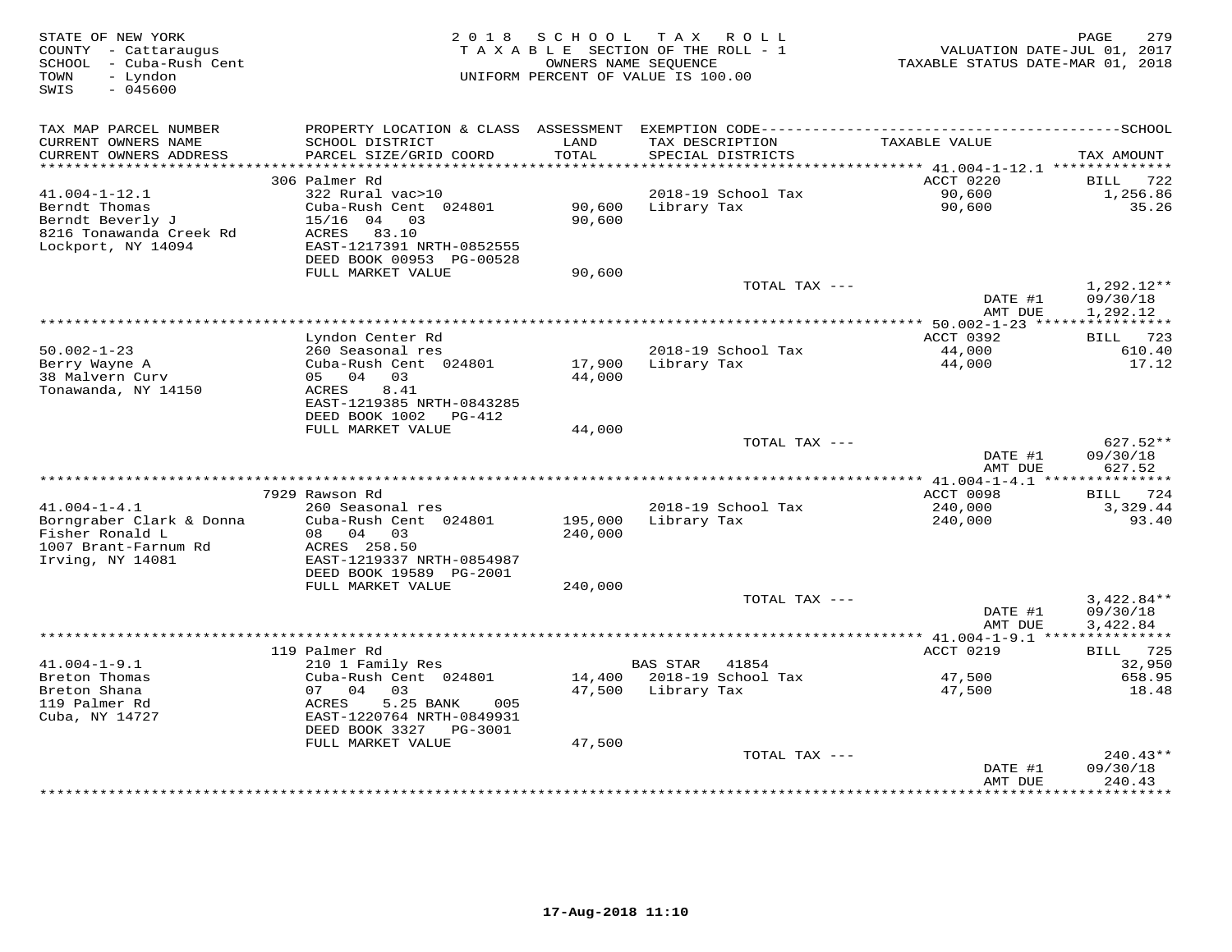| STATE OF NEW YORK<br>COUNTY - Cattaraugus<br>- Cuba-Rush Cent<br>SCHOOL<br>- Lyndon<br>TOWN<br>SWIS<br>$-045600$ | 2 0 1 8                                                                                  | SCHOOL             | T A X<br>ROLL<br>TAXABLE SECTION OF THE ROLL - 1<br>OWNERS NAME SEQUENCE<br>UNIFORM PERCENT OF VALUE IS 100.00 | VALUATION DATE-JUL 01, 2017<br>TAXABLE STATUS DATE-MAR 01, 2018 | 279<br>PAGE                          |
|------------------------------------------------------------------------------------------------------------------|------------------------------------------------------------------------------------------|--------------------|----------------------------------------------------------------------------------------------------------------|-----------------------------------------------------------------|--------------------------------------|
| TAX MAP PARCEL NUMBER                                                                                            | PROPERTY LOCATION & CLASS                                                                |                    |                                                                                                                |                                                                 |                                      |
| CURRENT OWNERS NAME<br>CURRENT OWNERS ADDRESS<br>***********************                                         | SCHOOL DISTRICT<br>PARCEL SIZE/GRID COORD<br>************************                    | LAND<br>TOTAL      | TAX DESCRIPTION<br>SPECIAL DISTRICTS<br>*********************************                                      | TAXABLE VALUE                                                   | TAX AMOUNT                           |
|                                                                                                                  | 306 Palmer Rd                                                                            |                    |                                                                                                                | *********** 41.004-1-12.1 **************<br>ACCT 0220           | <b>BILL</b><br>722                   |
| $41.004 - 1 - 12.1$                                                                                              | 322 Rural vac>10                                                                         |                    | 2018-19 School Tax                                                                                             | 90,600                                                          | 1,256.86                             |
| Berndt Thomas<br>Berndt Beverly J<br>8216 Tonawanda Creek Rd<br>Lockport, NY 14094                               | Cuba-Rush Cent 024801<br>$15/16$ 04<br>03<br>83.10<br>ACRES<br>EAST-1217391 NRTH-0852555 | 90,600<br>90,600   | Library Tax                                                                                                    | 90,600                                                          | 35.26                                |
|                                                                                                                  | DEED BOOK 00953 PG-00528<br>FULL MARKET VALUE                                            | 90,600             |                                                                                                                |                                                                 |                                      |
|                                                                                                                  |                                                                                          |                    | TOTAL TAX ---                                                                                                  | DATE #1                                                         | $1,292.12**$<br>09/30/18             |
|                                                                                                                  |                                                                                          |                    |                                                                                                                | AMT DUE                                                         | 1,292.12                             |
|                                                                                                                  |                                                                                          |                    |                                                                                                                | $* 50.002 - 1 - 23$ **                                          | 723                                  |
| $50.002 - 1 - 23$                                                                                                | Lyndon Center Rd<br>260 Seasonal res                                                     |                    | 2018-19 School Tax                                                                                             | ACCT 0392<br>44,000                                             | BILL<br>610.40                       |
| Berry Wayne A<br>38 Malvern Curv<br>Tonawanda, NY 14150                                                          | Cuba-Rush Cent 024801<br>05 04<br>03<br>8.41<br>ACRES                                    | 17,900<br>44,000   | Library Tax                                                                                                    | 44,000                                                          | 17.12                                |
|                                                                                                                  | EAST-1219385 NRTH-0843285<br>DEED BOOK 1002<br>PG-412                                    |                    |                                                                                                                |                                                                 |                                      |
|                                                                                                                  | FULL MARKET VALUE                                                                        | 44,000             |                                                                                                                |                                                                 |                                      |
|                                                                                                                  |                                                                                          |                    | TOTAL TAX ---                                                                                                  | DATE #1<br>AMT DUE                                              | $627.52**$<br>09/30/18<br>627.52     |
|                                                                                                                  |                                                                                          |                    |                                                                                                                |                                                                 |                                      |
| $41.004 - 1 - 4.1$                                                                                               | 7929 Rawson Rd<br>260 Seasonal res                                                       |                    | 2018-19 School Tax                                                                                             | ACCT 0098<br>240,000                                            | 724<br>BILL<br>3,329.44              |
| Borngraber Clark & Donna<br>Fisher Ronald L                                                                      | Cuba-Rush Cent 024801<br>08 04 03                                                        | 195,000<br>240,000 | Library Tax                                                                                                    | 240,000                                                         | 93.40                                |
| 1007 Brant-Farnum Rd<br>Irving, NY 14081                                                                         | ACRES 258.50<br>EAST-1219337 NRTH-0854987<br>DEED BOOK 19589 PG-2001                     |                    |                                                                                                                |                                                                 |                                      |
|                                                                                                                  | FULL MARKET VALUE                                                                        | 240,000            |                                                                                                                |                                                                 |                                      |
|                                                                                                                  |                                                                                          |                    | TOTAL TAX ---                                                                                                  | DATE #1<br>AMT DUE                                              | $3,422.84**$<br>09/30/18<br>3,422.84 |
|                                                                                                                  |                                                                                          |                    |                                                                                                                |                                                                 |                                      |
|                                                                                                                  | 119 Palmer Rd                                                                            |                    |                                                                                                                | ACCT 0219                                                       | 725<br>BILL                          |
| $41.004 - 1 - 9.1$                                                                                               | 210 1 Family Res                                                                         |                    | <b>BAS STAR</b><br>41854                                                                                       |                                                                 | 32,950                               |
| Breton Thomas<br>Breton Shana<br>119 Palmer Rd                                                                   | Cuba-Rush Cent 024801<br>07<br>04<br>03<br>5.25 BANK<br>005                              | 14,400<br>47,500   | 2018-19 School Tax<br>Library Tax                                                                              | 47,500<br>47,500                                                | 658.95<br>18.48                      |
| Cuba, NY 14727                                                                                                   | ACRES<br>EAST-1220764 NRTH-0849931<br>DEED BOOK 3327<br>PG-3001                          |                    |                                                                                                                |                                                                 |                                      |
|                                                                                                                  | FULL MARKET VALUE                                                                        | 47,500             |                                                                                                                |                                                                 |                                      |
|                                                                                                                  |                                                                                          |                    | TOTAL TAX ---                                                                                                  | DATE #1<br>AMT DUE                                              | 240.43**<br>09/30/18<br>240.43       |
|                                                                                                                  |                                                                                          |                    |                                                                                                                |                                                                 | *********                            |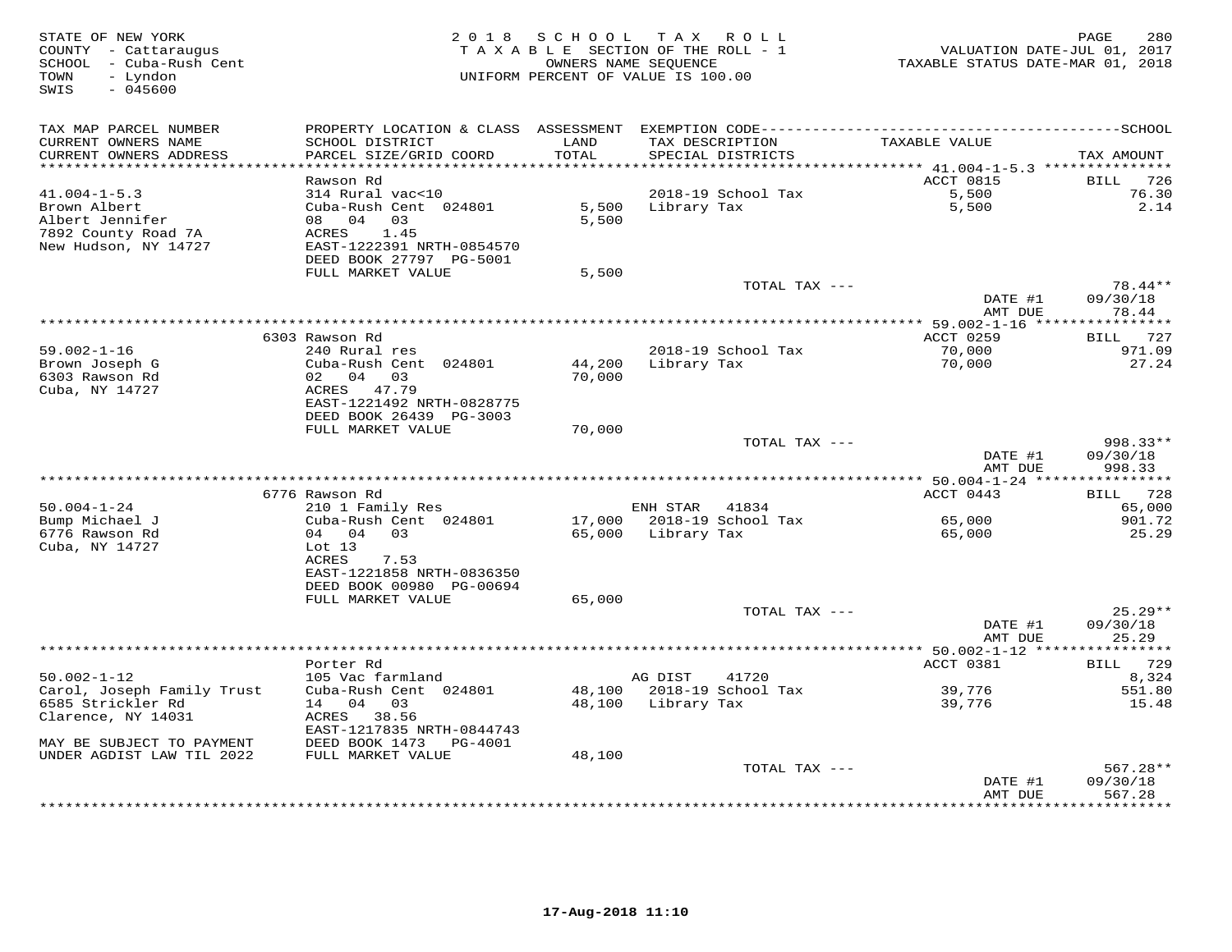| STATE OF NEW YORK<br>COUNTY - Cattaraugus<br>SCHOOL - Cuba-Rush Cent<br>TOWN<br>- Lyndon<br>SWIS<br>$-045600$ |                                              | 2018 SCHOOL   | T A X<br>R O L L<br>TAXABLE SECTION OF THE ROLL - 1<br>OWNERS NAME SEQUENCE<br>UNIFORM PERCENT OF VALUE IS 100.00 | VALUATION DATE-JUL 01, 2017<br>TAXABLE STATUS DATE-MAR 01, 2018 | 280<br>PAGE         |
|---------------------------------------------------------------------------------------------------------------|----------------------------------------------|---------------|-------------------------------------------------------------------------------------------------------------------|-----------------------------------------------------------------|---------------------|
| TAX MAP PARCEL NUMBER                                                                                         |                                              |               |                                                                                                                   |                                                                 |                     |
| CURRENT OWNERS NAME<br>CURRENT OWNERS ADDRESS<br>***********************                                      | SCHOOL DISTRICT<br>PARCEL SIZE/GRID COORD    | LAND<br>TOTAL | TAX DESCRIPTION<br>SPECIAL DISTRICTS                                                                              | TAXABLE VALUE                                                   | TAX AMOUNT          |
|                                                                                                               | Rawson Rd                                    |               |                                                                                                                   | ACCT 0815                                                       | 726<br>BILL         |
| $41.004 - 1 - 5.3$                                                                                            | 314 Rural vac<10                             |               | 2018-19 School Tax                                                                                                | 5,500                                                           | 76.30               |
| Brown Albert                                                                                                  | Cuba-Rush Cent 024801                        | 5,500         | Library Tax                                                                                                       | 5,500                                                           | 2.14                |
| Albert Jennifer                                                                                               | 08 04 03                                     | 5,500         |                                                                                                                   |                                                                 |                     |
| 7892 County Road 7A                                                                                           | ACRES<br>1.45                                |               |                                                                                                                   |                                                                 |                     |
| New Hudson, NY 14727                                                                                          | EAST-1222391 NRTH-0854570                    |               |                                                                                                                   |                                                                 |                     |
|                                                                                                               | DEED BOOK 27797 PG-5001                      |               |                                                                                                                   |                                                                 |                     |
|                                                                                                               | FULL MARKET VALUE                            | 5,500         |                                                                                                                   |                                                                 |                     |
|                                                                                                               |                                              |               | TOTAL TAX ---                                                                                                     | DATE #1                                                         | 78.44**<br>09/30/18 |
|                                                                                                               |                                              |               |                                                                                                                   | AMT DUE                                                         | 78.44               |
|                                                                                                               |                                              |               |                                                                                                                   |                                                                 |                     |
|                                                                                                               | 6303 Rawson Rd                               |               |                                                                                                                   | ACCT 0259                                                       | BILL 727            |
| $59.002 - 1 - 16$                                                                                             | 240 Rural res                                |               | 2018-19 School Tax                                                                                                | 70,000                                                          | 971.09              |
| Brown Joseph G                                                                                                | Cuba-Rush Cent 024801                        | 44,200        | Library Tax                                                                                                       | 70,000                                                          | 27.24               |
| 6303 Rawson Rd                                                                                                | 02 04 03                                     | 70,000        |                                                                                                                   |                                                                 |                     |
| Cuba, NY 14727                                                                                                | ACRES 47.79                                  |               |                                                                                                                   |                                                                 |                     |
|                                                                                                               | EAST-1221492 NRTH-0828775                    |               |                                                                                                                   |                                                                 |                     |
|                                                                                                               | DEED BOOK 26439 PG-3003<br>FULL MARKET VALUE | 70,000        |                                                                                                                   |                                                                 |                     |
|                                                                                                               |                                              |               | TOTAL TAX ---                                                                                                     |                                                                 | 998.33**            |
|                                                                                                               |                                              |               |                                                                                                                   | DATE #1                                                         | 09/30/18            |
|                                                                                                               |                                              |               |                                                                                                                   | AMT DUE                                                         | 998.33              |
|                                                                                                               |                                              |               |                                                                                                                   |                                                                 |                     |
|                                                                                                               | 6776 Rawson Rd                               |               |                                                                                                                   | ACCT 0443                                                       | BILL 728            |
| $50.004 - 1 - 24$                                                                                             | 210 1 Family Res                             |               | ENH STAR 41834                                                                                                    |                                                                 | 65,000              |
| Bump Michael J                                                                                                | Cuba-Rush Cent 024801                        |               | 17,000 2018-19 School Tax                                                                                         | 65,000                                                          | 901.72              |
| 6776 Rawson Rd                                                                                                | 04 04 03                                     | 65,000        | Library Tax                                                                                                       | 65,000                                                          | 25.29               |
| Cuba, NY 14727                                                                                                | Lot 13<br>ACRES<br>7.53                      |               |                                                                                                                   |                                                                 |                     |
|                                                                                                               | EAST-1221858 NRTH-0836350                    |               |                                                                                                                   |                                                                 |                     |
|                                                                                                               | DEED BOOK 00980 PG-00694                     |               |                                                                                                                   |                                                                 |                     |
|                                                                                                               | FULL MARKET VALUE                            | 65,000        |                                                                                                                   |                                                                 |                     |
|                                                                                                               |                                              |               | TOTAL TAX ---                                                                                                     |                                                                 | $25.29**$           |
|                                                                                                               |                                              |               |                                                                                                                   | DATE #1                                                         | 09/30/18            |
|                                                                                                               |                                              |               |                                                                                                                   | AMT DUE                                                         | 25.29               |
|                                                                                                               |                                              |               |                                                                                                                   |                                                                 |                     |
| $50.002 - 1 - 12$                                                                                             | Porter Rd<br>105 Vac farmland                |               | AG DIST<br>41720                                                                                                  | ACCT 0381                                                       | BILL 729<br>8,324   |
| Carol, Joseph Family Trust                                                                                    | Cuba-Rush Cent 024801                        |               | 48,100 2018-19 School Tax                                                                                         | 39,776                                                          | 551.80              |
| 6585 Strickler Rd                                                                                             | 14 04 03                                     |               | 48,100 Library Tax                                                                                                | 39,776                                                          | 15.48               |
| Clarence, NY 14031                                                                                            | ACRES 38.56                                  |               |                                                                                                                   |                                                                 |                     |
|                                                                                                               | EAST-1217835 NRTH-0844743                    |               |                                                                                                                   |                                                                 |                     |
| MAY BE SUBJECT TO PAYMENT                                                                                     | DEED BOOK 1473 PG-4001                       |               |                                                                                                                   |                                                                 |                     |
| UNDER AGDIST LAW TIL 2022                                                                                     | FULL MARKET VALUE                            | 48,100        |                                                                                                                   |                                                                 |                     |
|                                                                                                               |                                              |               | TOTAL TAX ---                                                                                                     |                                                                 | $567.28**$          |
|                                                                                                               |                                              |               |                                                                                                                   | DATE #1                                                         | 09/30/18            |
|                                                                                                               |                                              |               |                                                                                                                   | AMT DUE                                                         | 567.28              |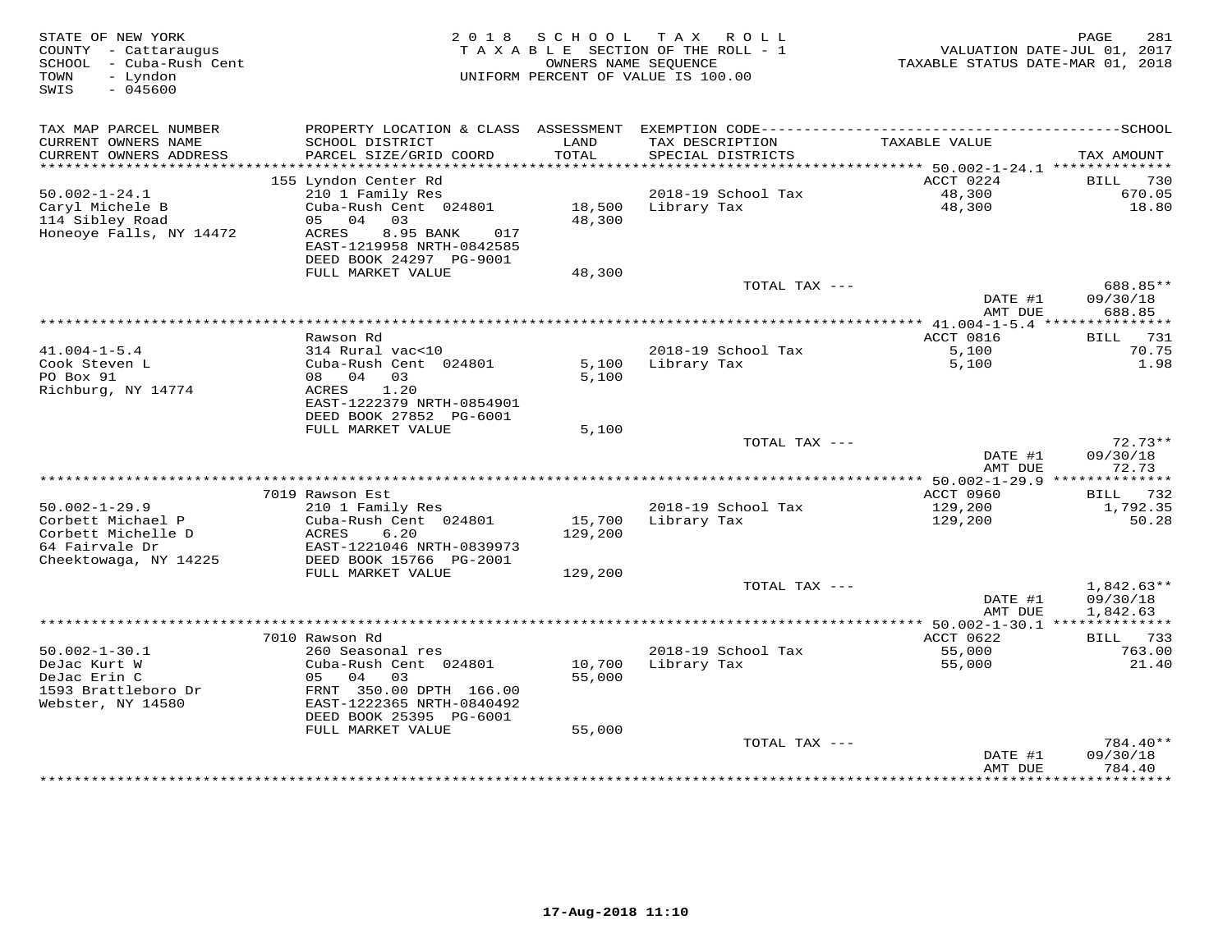| STATE OF NEW YORK<br>COUNTY - Cattaraugus<br>SCHOOL - Cuba-Rush Cent<br>- Lyndon<br>TOWN<br>SWIS<br>$-045600$ | 2018                                                                               | S C H O O L      | T A X<br>R O L L<br>TAXABLE SECTION OF THE ROLL - 1<br>OWNERS NAME SEOUENCE<br>UNIFORM PERCENT OF VALUE IS 100.00 | VALUATION DATE-JUL 01, 2017<br>TAXABLE STATUS DATE-MAR 01, 2018 | 281<br>PAGE                    |
|---------------------------------------------------------------------------------------------------------------|------------------------------------------------------------------------------------|------------------|-------------------------------------------------------------------------------------------------------------------|-----------------------------------------------------------------|--------------------------------|
| TAX MAP PARCEL NUMBER                                                                                         |                                                                                    |                  |                                                                                                                   |                                                                 |                                |
| CURRENT OWNERS NAME<br>CURRENT OWNERS ADDRESS                                                                 | SCHOOL DISTRICT<br>PARCEL SIZE/GRID COORD                                          | LAND<br>TOTAL    | TAX DESCRIPTION<br>SPECIAL DISTRICTS                                                                              | TAXABLE VALUE                                                   | TAX AMOUNT                     |
| ************************                                                                                      | 155 Lyndon Center Rd                                                               |                  |                                                                                                                   | ACCT 0224                                                       |                                |
| $50.002 - 1 - 24.1$                                                                                           | 210 1 Family Res                                                                   |                  | 2018-19 School Tax                                                                                                | 48,300                                                          | 730<br>BILL<br>670.05          |
| Caryl Michele B                                                                                               | Cuba-Rush Cent 024801                                                              | 18,500           | Library Tax                                                                                                       | 48,300                                                          | 18.80                          |
| 114 Sibley Road                                                                                               | 05 04<br>03                                                                        | 48,300           |                                                                                                                   |                                                                 |                                |
| Honeoye Falls, NY 14472                                                                                       | ACRES<br>8.95 BANK<br>017<br>EAST-1219958 NRTH-0842585<br>DEED BOOK 24297 PG-9001  |                  |                                                                                                                   |                                                                 |                                |
|                                                                                                               | FULL MARKET VALUE                                                                  | 48,300           |                                                                                                                   |                                                                 |                                |
|                                                                                                               |                                                                                    |                  | TOTAL TAX ---                                                                                                     | DATE #1                                                         | 688.85**<br>09/30/18           |
|                                                                                                               |                                                                                    |                  |                                                                                                                   | AMT DUE                                                         | 688.85                         |
|                                                                                                               |                                                                                    |                  |                                                                                                                   | ************* 41.004-1-5.4 **                                   | ***********                    |
|                                                                                                               | Rawson Rd                                                                          |                  |                                                                                                                   | ACCT 0816                                                       | <b>BILL</b><br>731             |
| $41.004 - 1 - 5.4$                                                                                            | 314 Rural vac<10                                                                   |                  | 2018-19 School Tax                                                                                                | 5,100                                                           | 70.75                          |
| Cook Steven L<br>PO Box 91<br>Richburg, NY 14774                                                              | Cuba-Rush Cent 024801<br>08 04<br>03<br>ACRES<br>1.20<br>EAST-1222379 NRTH-0854901 | 5,100<br>5,100   | Library Tax                                                                                                       | 5,100                                                           | 1.98                           |
|                                                                                                               | DEED BOOK 27852 PG-6001<br>FULL MARKET VALUE                                       | 5,100            |                                                                                                                   |                                                                 |                                |
|                                                                                                               |                                                                                    |                  | TOTAL TAX ---                                                                                                     |                                                                 | $72.73**$                      |
|                                                                                                               |                                                                                    |                  |                                                                                                                   | DATE #1<br>AMT DUE                                              | 09/30/18<br>72.73              |
|                                                                                                               |                                                                                    |                  |                                                                                                                   |                                                                 |                                |
| $50.002 - 1 - 29.9$                                                                                           | 7019 Rawson Est<br>210 1 Family Res                                                |                  | 2018-19 School Tax                                                                                                | ACCT 0960<br>129,200                                            | BILL 732<br>1,792.35           |
| Corbett Michael P                                                                                             | Cuba-Rush Cent 024801                                                              | 15,700           | Library Tax                                                                                                       | 129,200                                                         | 50.28                          |
| Corbett Michelle D<br>64 Fairvale Dr                                                                          | ACRES<br>6.20<br>EAST-1221046 NRTH-0839973                                         | 129,200          |                                                                                                                   |                                                                 |                                |
| Cheektowaga, NY 14225                                                                                         | DEED BOOK 15766 PG-2001                                                            |                  |                                                                                                                   |                                                                 |                                |
|                                                                                                               | FULL MARKET VALUE                                                                  | 129,200          | TOTAL TAX ---                                                                                                     |                                                                 | $1,842.63**$                   |
|                                                                                                               |                                                                                    |                  |                                                                                                                   | DATE #1<br>AMT DUE                                              | 09/30/18<br>1,842.63           |
|                                                                                                               |                                                                                    |                  |                                                                                                                   |                                                                 |                                |
|                                                                                                               | 7010 Rawson Rd                                                                     |                  |                                                                                                                   | ACCT 0622                                                       | 733<br>BILL                    |
| $50.002 - 1 - 30.1$                                                                                           | 260 Seasonal res                                                                   |                  | 2018-19 School Tax                                                                                                | 55,000                                                          | 763.00                         |
| DeJac Kurt W<br>DeJac Erin C                                                                                  | Cuba-Rush Cent 024801<br>03<br>05 04                                               | 10,700<br>55,000 | Library Tax                                                                                                       | 55,000                                                          | 21.40                          |
| 1593 Brattleboro Dr<br>Webster, NY 14580                                                                      | FRNT 350.00 DPTH 166.00<br>EAST-1222365 NRTH-0840492<br>DEED BOOK 25395 PG-6001    |                  |                                                                                                                   |                                                                 |                                |
|                                                                                                               | FULL MARKET VALUE                                                                  | 55,000           |                                                                                                                   |                                                                 |                                |
|                                                                                                               |                                                                                    |                  | TOTAL TAX ---                                                                                                     | DATE #1<br>AMT DUE                                              | 784.40**<br>09/30/18<br>784.40 |
|                                                                                                               |                                                                                    |                  |                                                                                                                   |                                                                 | * * * * * * * * * * *          |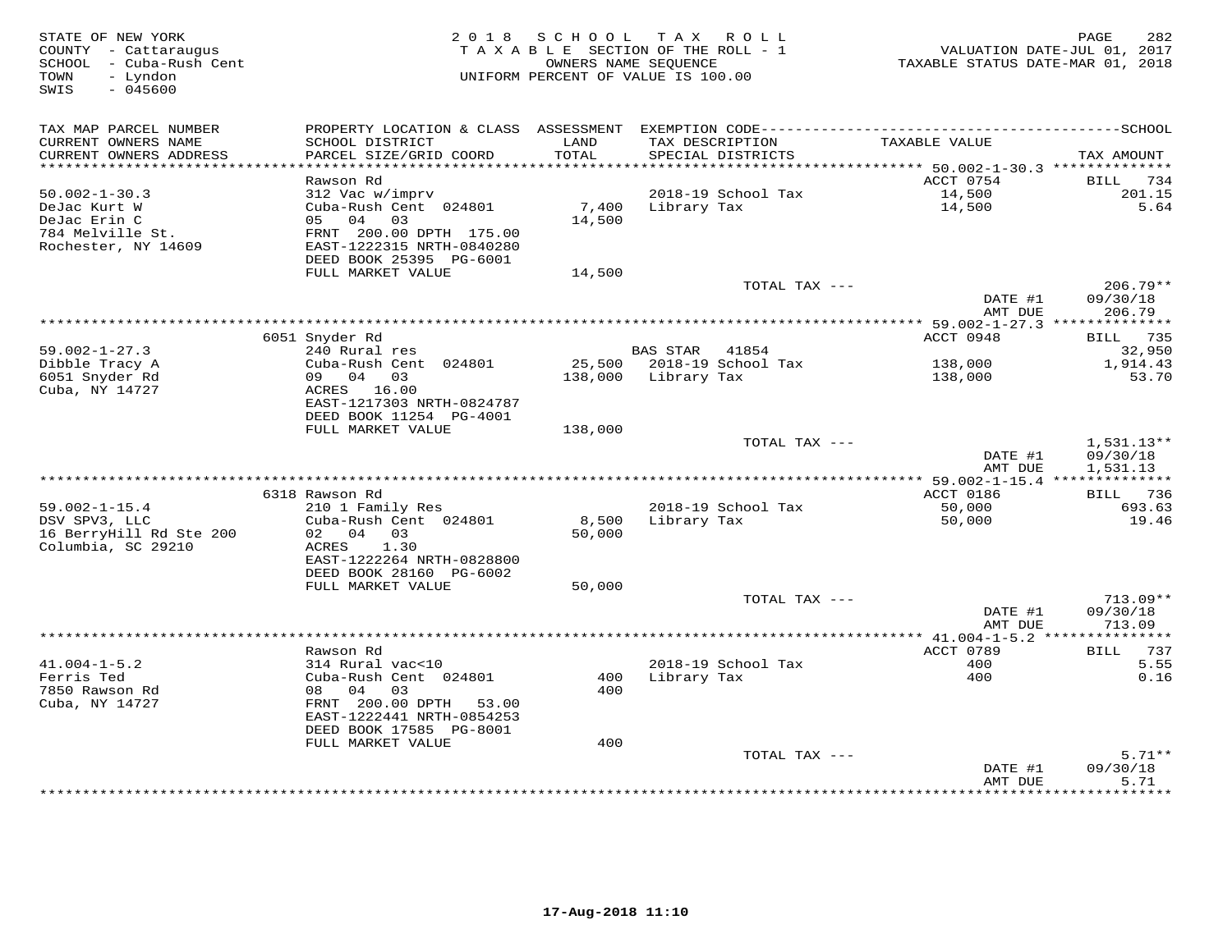| STATE OF NEW YORK<br>COUNTY - Cattaraugus<br>- Cuba-Rush Cent<br>SCHOOL<br>TOWN<br>- Lyndon<br>$-045600$<br>SWIS |                                                        | 2018 SCHOOL   | TAX ROLL<br>TAXABLE SECTION OF THE ROLL - 1<br>OWNERS NAME SEQUENCE<br>UNIFORM PERCENT OF VALUE IS 100.00 | VALUATION DATE-JUL 01, 2017<br>TAXABLE STATUS DATE-MAR 01, 2018 | 282<br>PAGE            |
|------------------------------------------------------------------------------------------------------------------|--------------------------------------------------------|---------------|-----------------------------------------------------------------------------------------------------------|-----------------------------------------------------------------|------------------------|
| TAX MAP PARCEL NUMBER                                                                                            |                                                        |               |                                                                                                           |                                                                 |                        |
| CURRENT OWNERS NAME<br>CURRENT OWNERS ADDRESS                                                                    | SCHOOL DISTRICT<br>PARCEL SIZE/GRID COORD              | LAND<br>TOTAL | TAX DESCRIPTION<br>SPECIAL DISTRICTS                                                                      | TAXABLE VALUE                                                   | TAX AMOUNT             |
|                                                                                                                  |                                                        |               |                                                                                                           |                                                                 |                        |
|                                                                                                                  | Rawson Rd                                              |               |                                                                                                           | ACCT 0754                                                       | BILL<br>734            |
| $50.002 - 1 - 30.3$                                                                                              | 312 Vac w/imprv                                        |               | 2018-19 School Tax                                                                                        | 14,500                                                          | 201.15                 |
| DeJac Kurt W                                                                                                     | Cuba-Rush Cent 024801                                  | 7,400         | Library Tax                                                                                               | 14,500                                                          | 5.64                   |
| DeJac Erin C                                                                                                     | 05 04<br>03                                            | 14,500        |                                                                                                           |                                                                 |                        |
| 784 Melville St.<br>Rochester, NY 14609                                                                          | FRNT 200.00 DPTH 175.00<br>EAST-1222315 NRTH-0840280   |               |                                                                                                           |                                                                 |                        |
|                                                                                                                  | DEED BOOK 25395 PG-6001                                |               |                                                                                                           |                                                                 |                        |
|                                                                                                                  | FULL MARKET VALUE                                      | 14,500        |                                                                                                           |                                                                 |                        |
|                                                                                                                  |                                                        |               | TOTAL TAX ---                                                                                             |                                                                 | $206.79**$             |
|                                                                                                                  |                                                        |               |                                                                                                           | DATE #1                                                         | 09/30/18               |
|                                                                                                                  |                                                        |               |                                                                                                           | AMT DUE                                                         | 206.79                 |
|                                                                                                                  |                                                        |               |                                                                                                           | ACCT 0948                                                       | BILL                   |
| $59.002 - 1 - 27.3$                                                                                              | 6051 Snyder Rd<br>240 Rural res                        |               | <b>BAS STAR</b><br>41854                                                                                  |                                                                 | 735<br>32,950          |
| Dibble Tracy A                                                                                                   | Cuba-Rush Cent 024801                                  | 25,500        | 2018-19 School Tax                                                                                        | 138,000                                                         | 1,914.43               |
| 6051 Snyder Rd                                                                                                   | 09 04 03                                               | 138,000       | Library Tax                                                                                               | 138,000                                                         | 53.70                  |
| Cuba, NY 14727                                                                                                   | ACRES 16.00                                            |               |                                                                                                           |                                                                 |                        |
|                                                                                                                  | EAST-1217303 NRTH-0824787                              |               |                                                                                                           |                                                                 |                        |
|                                                                                                                  | DEED BOOK 11254 PG-4001<br>FULL MARKET VALUE           |               |                                                                                                           |                                                                 |                        |
|                                                                                                                  |                                                        | 138,000       | TOTAL TAX ---                                                                                             |                                                                 | $1.531.13**$           |
|                                                                                                                  |                                                        |               |                                                                                                           | DATE #1                                                         | 09/30/18               |
|                                                                                                                  |                                                        |               |                                                                                                           | AMT DUE                                                         | 1,531.13               |
|                                                                                                                  |                                                        |               |                                                                                                           | *** 59.002-1-15.4 **************                                |                        |
|                                                                                                                  | 6318 Rawson Rd                                         |               |                                                                                                           | ACCT 0186                                                       | <b>BILL</b> 736        |
| $59.002 - 1 - 15.4$<br>DSV SPV3, LLC                                                                             | 210 1 Family Res<br>Cuba-Rush Cent 024801              | 8,500         | 2018-19 School Tax<br>Library Tax                                                                         | 50,000<br>50,000                                                | 693.63<br>19.46        |
| 16 BerryHill Rd Ste 200                                                                                          | 02 04 03                                               | 50,000        |                                                                                                           |                                                                 |                        |
| Columbia, SC 29210                                                                                               | 1.30<br>ACRES                                          |               |                                                                                                           |                                                                 |                        |
|                                                                                                                  | EAST-1222264 NRTH-0828800                              |               |                                                                                                           |                                                                 |                        |
|                                                                                                                  | DEED BOOK 28160 PG-6002                                |               |                                                                                                           |                                                                 |                        |
|                                                                                                                  | FULL MARKET VALUE                                      | 50,000        |                                                                                                           |                                                                 |                        |
|                                                                                                                  |                                                        |               | TOTAL TAX ---                                                                                             | DATE #1                                                         | $713.09**$<br>09/30/18 |
|                                                                                                                  |                                                        |               |                                                                                                           | AMT DUE                                                         | 713.09                 |
|                                                                                                                  |                                                        |               |                                                                                                           |                                                                 |                        |
|                                                                                                                  | Rawson Rd                                              |               |                                                                                                           | ACCT 0789                                                       | 737<br><b>BILL</b>     |
| $41.004 - 1 - 5.2$                                                                                               | 314 Rural vac<10                                       |               | 2018-19 School Tax                                                                                        | 400                                                             | 5.55                   |
| Ferris Ted                                                                                                       | Cuba-Rush Cent 024801                                  | 400           | Library Tax                                                                                               | 400                                                             | 0.16                   |
| 7850 Rawson Rd                                                                                                   | 08<br>04<br>03                                         | 400           |                                                                                                           |                                                                 |                        |
| Cuba, NY 14727                                                                                                   | FRNT 200.00 DPTH<br>53.00<br>EAST-1222441 NRTH-0854253 |               |                                                                                                           |                                                                 |                        |
|                                                                                                                  | DEED BOOK 17585 PG-8001                                |               |                                                                                                           |                                                                 |                        |
|                                                                                                                  | FULL MARKET VALUE                                      | 400           |                                                                                                           |                                                                 |                        |
|                                                                                                                  |                                                        |               | TOTAL TAX ---                                                                                             |                                                                 | $5.71**$               |
|                                                                                                                  |                                                        |               |                                                                                                           | DATE #1                                                         | 09/30/18               |
|                                                                                                                  |                                                        |               | *************************                                                                                 | AMT DUE<br>************                                         | 5.71<br>********       |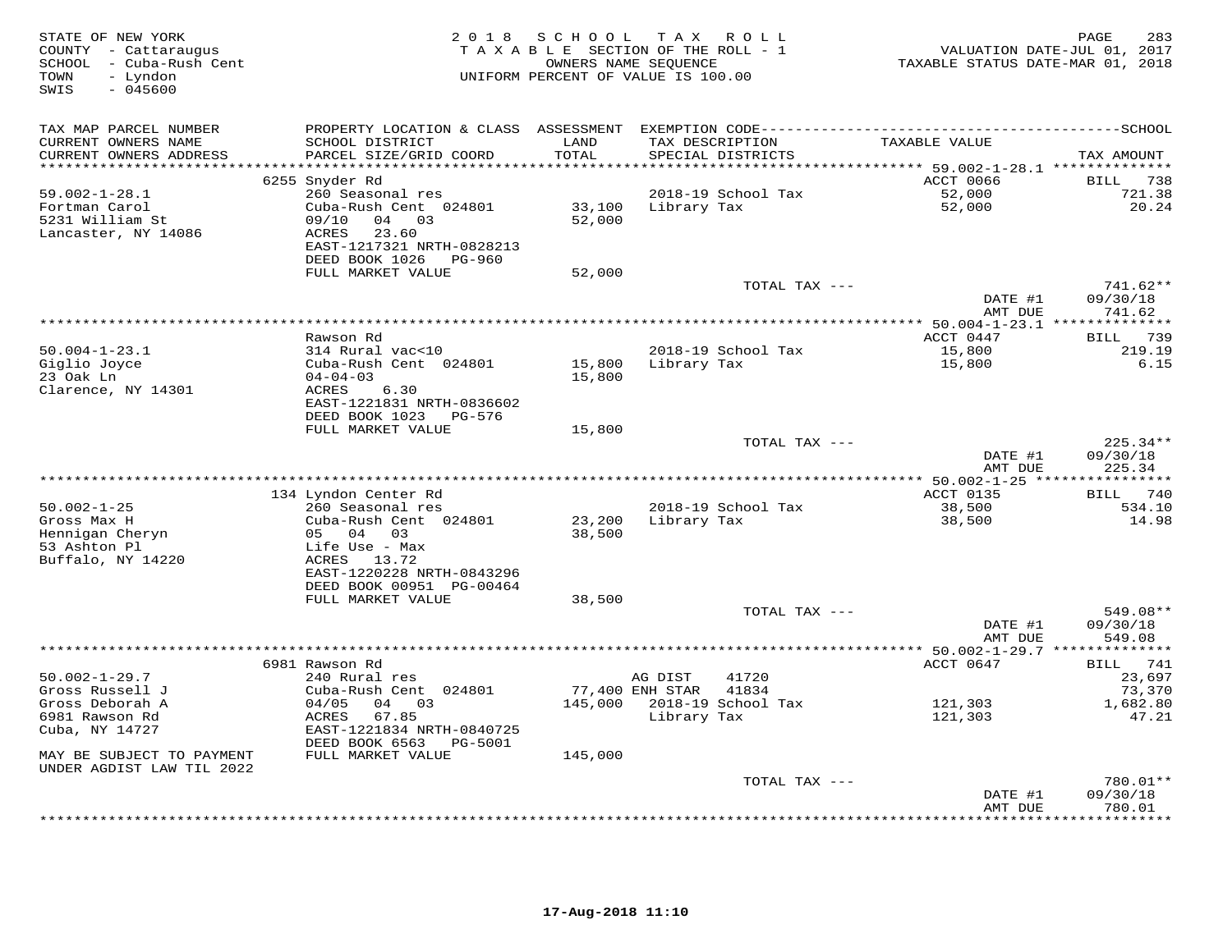| STATE OF NEW YORK<br>COUNTY - Cattaraugus<br>SCHOOL - Cuba-Rush Cent<br>- Lyndon<br>TOWN<br>$-045600$<br>SWIS | 2 0 1 8                                       | SCHOOL           | TAX ROLL<br>TAXABLE SECTION OF THE ROLL - 1<br>OWNERS NAME SEQUENCE<br>UNIFORM PERCENT OF VALUE IS 100.00 | VALUATION DATE-JUL 01, 2017<br>TAXABLE STATUS DATE-MAR 01, 2018 | 283<br>PAGE         |
|---------------------------------------------------------------------------------------------------------------|-----------------------------------------------|------------------|-----------------------------------------------------------------------------------------------------------|-----------------------------------------------------------------|---------------------|
| TAX MAP PARCEL NUMBER                                                                                         |                                               |                  |                                                                                                           |                                                                 |                     |
| CURRENT OWNERS NAME<br>CURRENT OWNERS ADDRESS                                                                 | SCHOOL DISTRICT<br>PARCEL SIZE/GRID COORD     | LAND<br>TOTAL    | TAX DESCRIPTION<br>SPECIAL DISTRICTS                                                                      | TAXABLE VALUE                                                   | TAX AMOUNT          |
| ********************                                                                                          |                                               | *******          |                                                                                                           | $*******59.002-1-28.1****************$                          |                     |
|                                                                                                               | 6255 Snyder Rd                                |                  |                                                                                                           | ACCT 0066                                                       | BILL 738            |
| $59.002 - 1 - 28.1$                                                                                           | 260 Seasonal res                              |                  | 2018-19 School Tax                                                                                        | 52,000                                                          | 721.38              |
| Fortman Carol                                                                                                 | Cuba-Rush Cent 024801                         | 33,100           | Library Tax                                                                                               | 52,000                                                          | 20.24               |
| 5231 William St                                                                                               | 09/10<br>04 03                                | 52,000           |                                                                                                           |                                                                 |                     |
| Lancaster, NY 14086                                                                                           | ACRES<br>23.60                                |                  |                                                                                                           |                                                                 |                     |
|                                                                                                               | EAST-1217321 NRTH-0828213                     |                  |                                                                                                           |                                                                 |                     |
|                                                                                                               | DEED BOOK 1026<br>PG-960<br>FULL MARKET VALUE |                  |                                                                                                           |                                                                 |                     |
|                                                                                                               |                                               | 52,000           | TOTAL TAX ---                                                                                             |                                                                 | 741.62**            |
|                                                                                                               |                                               |                  |                                                                                                           | DATE #1                                                         | 09/30/18            |
|                                                                                                               |                                               |                  |                                                                                                           | AMT DUE                                                         | 741.62              |
|                                                                                                               |                                               |                  |                                                                                                           |                                                                 |                     |
|                                                                                                               | Rawson Rd                                     |                  |                                                                                                           | ACCT 0447                                                       | 739<br>BILL         |
| $50.004 - 1 - 23.1$                                                                                           | 314 Rural vac<10                              |                  | 2018-19 School Tax                                                                                        | 15,800                                                          | 219.19              |
| Giglio Joyce                                                                                                  | Cuba-Rush Cent 024801                         | 15,800           | Library Tax                                                                                               | 15,800                                                          | 6.15                |
| 23 Oak Ln                                                                                                     | $04 - 04 - 03$                                | 15,800           |                                                                                                           |                                                                 |                     |
| Clarence, NY 14301                                                                                            | ACRES<br>6.30<br>EAST-1221831 NRTH-0836602    |                  |                                                                                                           |                                                                 |                     |
|                                                                                                               | DEED BOOK 1023<br>PG-576                      |                  |                                                                                                           |                                                                 |                     |
|                                                                                                               | FULL MARKET VALUE                             | 15,800           |                                                                                                           |                                                                 |                     |
|                                                                                                               |                                               |                  | TOTAL TAX ---                                                                                             |                                                                 | 225.34**            |
|                                                                                                               |                                               |                  |                                                                                                           | DATE #1                                                         | 09/30/18            |
|                                                                                                               |                                               |                  |                                                                                                           | AMT DUE                                                         | 225.34              |
|                                                                                                               |                                               |                  | ************************************                                                                      | ********* 50.002-1-25 ****                                      | * * * * * * * * * * |
|                                                                                                               | 134 Lyndon Center Rd                          |                  |                                                                                                           | ACCT 0135                                                       | BILL 740            |
| $50.002 - 1 - 25$                                                                                             | 260 Seasonal res                              |                  | 2018-19 School Tax                                                                                        | 38,500                                                          | 534.10              |
| Gross Max H<br>Hennigan Cheryn                                                                                | Cuba-Rush Cent 024801<br>05 04 03             | 23,200<br>38,500 | Library Tax                                                                                               | 38,500                                                          | 14.98               |
| 53 Ashton Pl                                                                                                  | Life Use - Max                                |                  |                                                                                                           |                                                                 |                     |
| Buffalo, NY 14220                                                                                             | ACRES 13.72                                   |                  |                                                                                                           |                                                                 |                     |
|                                                                                                               | EAST-1220228 NRTH-0843296                     |                  |                                                                                                           |                                                                 |                     |
|                                                                                                               | DEED BOOK 00951 PG-00464                      |                  |                                                                                                           |                                                                 |                     |
|                                                                                                               | FULL MARKET VALUE                             | 38,500           |                                                                                                           |                                                                 |                     |
|                                                                                                               |                                               |                  | TOTAL TAX ---                                                                                             |                                                                 | 549.08**            |
|                                                                                                               |                                               |                  |                                                                                                           | DATE #1                                                         | 09/30/18            |
|                                                                                                               | **************                                |                  |                                                                                                           | AMT DUE<br>*********** 50.002-1-29.7 ***************            | 549.08              |
|                                                                                                               | 6981 Rawson Rd                                |                  |                                                                                                           | ACCT 0647                                                       | BILL 741            |
| $50.002 - 1 - 29.7$                                                                                           | 240 Rural res                                 |                  | 41720<br>AG DIST                                                                                          |                                                                 | 23,697              |
| Gross Russell J                                                                                               | Cuba-Rush Cent 024801                         |                  | 77,400 ENH STAR<br>41834                                                                                  |                                                                 | 73,370              |
| Gross Deborah A                                                                                               | 04/05<br>04 03                                | 145,000          | 2018-19 School Tax                                                                                        | 121,303                                                         | 1,682.80            |
| 6981 Rawson Rd                                                                                                | ACRES<br>67.85                                |                  | Library Tax                                                                                               | 121,303                                                         | 47.21               |
| Cuba, NY 14727                                                                                                | EAST-1221834 NRTH-0840725                     |                  |                                                                                                           |                                                                 |                     |
|                                                                                                               | DEED BOOK 6563<br>PG-5001                     |                  |                                                                                                           |                                                                 |                     |
| MAY BE SUBJECT TO PAYMENT                                                                                     | FULL MARKET VALUE                             | 145,000          |                                                                                                           |                                                                 |                     |
| UNDER AGDIST LAW TIL 2022                                                                                     |                                               |                  | TOTAL TAX ---                                                                                             |                                                                 | 780.01**            |
|                                                                                                               |                                               |                  |                                                                                                           | DATE #1                                                         | 09/30/18            |
|                                                                                                               |                                               |                  |                                                                                                           | AMT DUE                                                         | 780.01              |
|                                                                                                               |                                               |                  |                                                                                                           |                                                                 | * * * * * * * *     |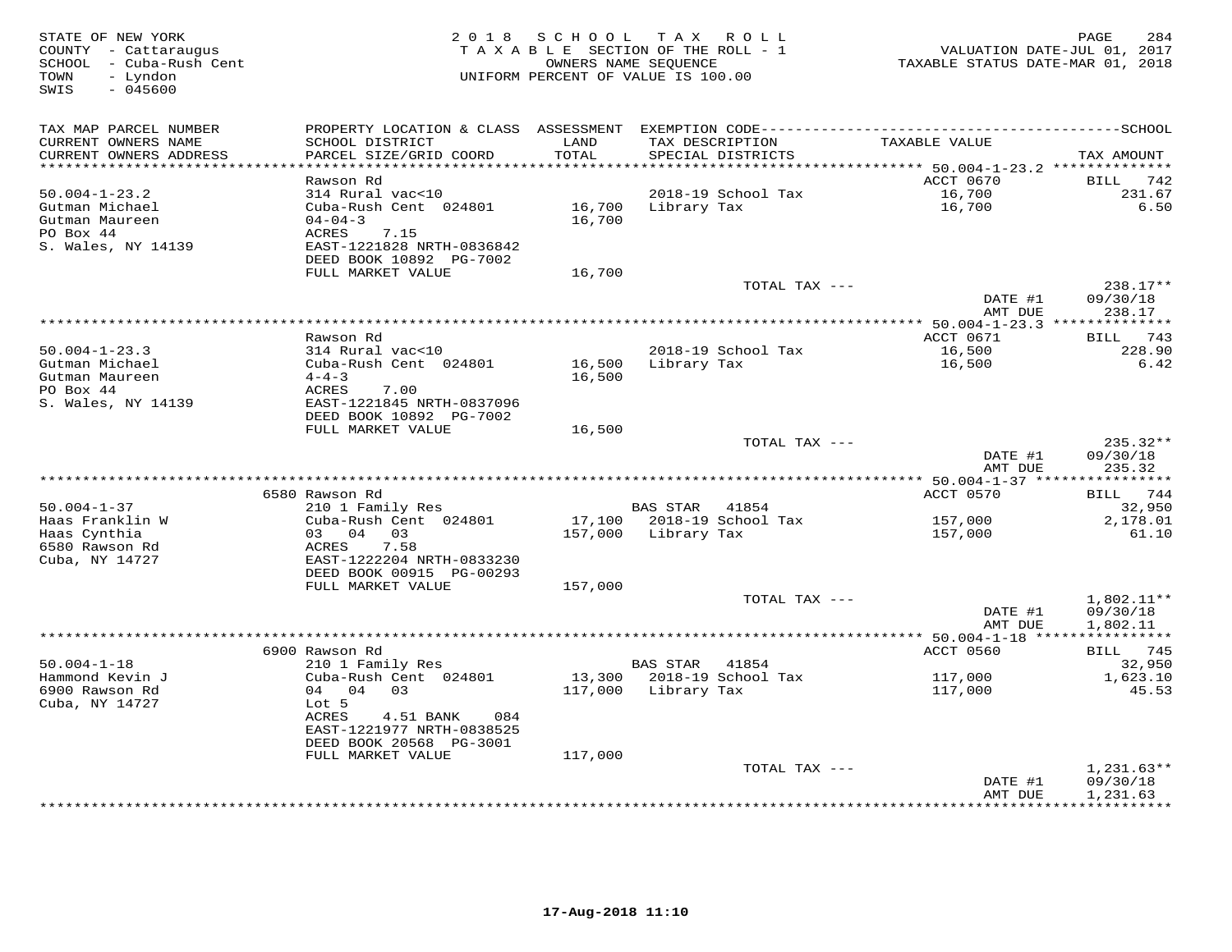| TAX MAP PARCEL NUMBER<br>TAXABLE VALUE<br>CURRENT OWNERS NAME<br>SCHOOL DISTRICT<br>LAND<br>TAX DESCRIPTION<br>TOTAL<br>CURRENT OWNERS ADDRESS<br>PARCEL SIZE/GRID COORD<br>SPECIAL DISTRICTS<br>TAX AMOUNT<br>**********************<br>ACCT 0670<br>742<br>Rawson Rd<br>BILL<br>16,700<br>$50.004 - 1 - 23.2$<br>314 Rural vac<10<br>2018-19 School Tax<br>231.67<br>Gutman Michael<br>Cuba-Rush Cent 024801<br>Library Tax<br>16,700<br>6.50<br>16,700<br>Gutman Maureen<br>$04 - 04 - 3$<br>16,700<br>PO Box 44<br>7.15<br>ACRES<br>S. Wales, NY 14139<br>EAST-1221828 NRTH-0836842<br>DEED BOOK 10892 PG-7002<br>FULL MARKET VALUE<br>16,700<br>238.17**<br>TOTAL TAX ---<br>DATE #1<br>09/30/18<br>AMT DUE<br>238.17<br>ACCT 0671<br>BILL 743<br>Rawson Rd<br>16,500<br>$50.004 - 1 - 23.3$<br>314 Rural vac<10<br>2018-19 School Tax<br>228.90<br>Gutman Michael<br>Cuba-Rush Cent 024801<br>Library Tax<br>16,500<br>6.42<br>16,500<br>Gutman Maureen<br>$4 - 4 - 3$<br>16,500<br>PO Box 44<br>ACRES<br>7.00<br>S. Wales, NY 14139<br>EAST-1221845 NRTH-0837096<br>DEED BOOK 10892 PG-7002<br>FULL MARKET VALUE<br>16,500<br>235.32**<br>TOTAL TAX ---<br>DATE #1<br>09/30/18<br>AMT DUE<br>235.32<br>6580 Rawson Rd<br>ACCT 0570<br>BILL 744<br>$50.004 - 1 - 37$<br>210 1 Family Res<br>BAS STAR 41854<br>32,950<br>Haas Franklin W<br>17,100 2018-19 School Tax<br>Cuba-Rush Cent 024801<br>157,000<br>2,178.01<br>Haas Cynthia<br>03 04 03<br>157,000<br>Library Tax<br>157,000<br>61.10<br>6580 Rawson Rd<br>ACRES<br>7.58<br>Cuba, NY 14727<br>EAST-1222204 NRTH-0833230<br>DEED BOOK 00915 PG-00293<br>FULL MARKET VALUE<br>157,000<br>1,802.11**<br>TOTAL TAX ---<br>DATE #1<br>09/30/18<br>AMT DUE<br>1,802.11<br>6900 Rawson Rd<br>ACCT 0560<br>BILL 745<br>$50.004 - 1 - 18$<br>210 1 Family Res<br>BAS STAR 41854<br>32,950<br>Cuba-Rush Cent 024801<br>13,300 2018-19 School Tax<br>117,000<br>Hammond Kevin J<br>1,623.10<br>6900 Rawson Rd<br>04 04 03<br>117,000 Library Tax<br>117,000<br>45.53<br>Cuba, NY 14727<br>Lot 5<br>ACRES<br>4.51 BANK<br>084<br>EAST-1221977 NRTH-0838525<br>DEED BOOK 20568 PG-3001<br>FULL MARKET VALUE<br>117,000<br>$1,231.63**$<br>TOTAL TAX ---<br>09/30/18<br>DATE #1<br>AMT DUE<br>1,231.63<br>*********** | STATE OF NEW YORK<br>COUNTY - Cattaraugus<br>SCHOOL - Cuba-Rush Cent<br>- Lyndon<br>TOWN<br>SWIS<br>$-045600$ |  | 2018 SCHOOL TAX ROLL<br>TAXABLE SECTION OF THE ROLL - 1<br>OWNERS NAME SEQUENCE<br>UNIFORM PERCENT OF VALUE IS 100.00 | TAXABLE STATUS DATE-MAR 01, 2018 | PAGE<br>284<br>VALUATION DATE-JUL 01, 2017 |
|------------------------------------------------------------------------------------------------------------------------------------------------------------------------------------------------------------------------------------------------------------------------------------------------------------------------------------------------------------------------------------------------------------------------------------------------------------------------------------------------------------------------------------------------------------------------------------------------------------------------------------------------------------------------------------------------------------------------------------------------------------------------------------------------------------------------------------------------------------------------------------------------------------------------------------------------------------------------------------------------------------------------------------------------------------------------------------------------------------------------------------------------------------------------------------------------------------------------------------------------------------------------------------------------------------------------------------------------------------------------------------------------------------------------------------------------------------------------------------------------------------------------------------------------------------------------------------------------------------------------------------------------------------------------------------------------------------------------------------------------------------------------------------------------------------------------------------------------------------------------------------------------------------------------------------------------------------------------------------------------------------------------------------------------------------------------------------------------------------------------------------------------------------------------------------------------------------------------------------------------------------------------|---------------------------------------------------------------------------------------------------------------|--|-----------------------------------------------------------------------------------------------------------------------|----------------------------------|--------------------------------------------|
|                                                                                                                                                                                                                                                                                                                                                                                                                                                                                                                                                                                                                                                                                                                                                                                                                                                                                                                                                                                                                                                                                                                                                                                                                                                                                                                                                                                                                                                                                                                                                                                                                                                                                                                                                                                                                                                                                                                                                                                                                                                                                                                                                                                                                                                                        |                                                                                                               |  |                                                                                                                       |                                  |                                            |
|                                                                                                                                                                                                                                                                                                                                                                                                                                                                                                                                                                                                                                                                                                                                                                                                                                                                                                                                                                                                                                                                                                                                                                                                                                                                                                                                                                                                                                                                                                                                                                                                                                                                                                                                                                                                                                                                                                                                                                                                                                                                                                                                                                                                                                                                        |                                                                                                               |  |                                                                                                                       |                                  |                                            |
|                                                                                                                                                                                                                                                                                                                                                                                                                                                                                                                                                                                                                                                                                                                                                                                                                                                                                                                                                                                                                                                                                                                                                                                                                                                                                                                                                                                                                                                                                                                                                                                                                                                                                                                                                                                                                                                                                                                                                                                                                                                                                                                                                                                                                                                                        |                                                                                                               |  |                                                                                                                       |                                  |                                            |
|                                                                                                                                                                                                                                                                                                                                                                                                                                                                                                                                                                                                                                                                                                                                                                                                                                                                                                                                                                                                                                                                                                                                                                                                                                                                                                                                                                                                                                                                                                                                                                                                                                                                                                                                                                                                                                                                                                                                                                                                                                                                                                                                                                                                                                                                        |                                                                                                               |  |                                                                                                                       |                                  |                                            |
|                                                                                                                                                                                                                                                                                                                                                                                                                                                                                                                                                                                                                                                                                                                                                                                                                                                                                                                                                                                                                                                                                                                                                                                                                                                                                                                                                                                                                                                                                                                                                                                                                                                                                                                                                                                                                                                                                                                                                                                                                                                                                                                                                                                                                                                                        |                                                                                                               |  |                                                                                                                       |                                  |                                            |
|                                                                                                                                                                                                                                                                                                                                                                                                                                                                                                                                                                                                                                                                                                                                                                                                                                                                                                                                                                                                                                                                                                                                                                                                                                                                                                                                                                                                                                                                                                                                                                                                                                                                                                                                                                                                                                                                                                                                                                                                                                                                                                                                                                                                                                                                        |                                                                                                               |  |                                                                                                                       |                                  |                                            |
|                                                                                                                                                                                                                                                                                                                                                                                                                                                                                                                                                                                                                                                                                                                                                                                                                                                                                                                                                                                                                                                                                                                                                                                                                                                                                                                                                                                                                                                                                                                                                                                                                                                                                                                                                                                                                                                                                                                                                                                                                                                                                                                                                                                                                                                                        |                                                                                                               |  |                                                                                                                       |                                  |                                            |
|                                                                                                                                                                                                                                                                                                                                                                                                                                                                                                                                                                                                                                                                                                                                                                                                                                                                                                                                                                                                                                                                                                                                                                                                                                                                                                                                                                                                                                                                                                                                                                                                                                                                                                                                                                                                                                                                                                                                                                                                                                                                                                                                                                                                                                                                        |                                                                                                               |  |                                                                                                                       |                                  |                                            |
|                                                                                                                                                                                                                                                                                                                                                                                                                                                                                                                                                                                                                                                                                                                                                                                                                                                                                                                                                                                                                                                                                                                                                                                                                                                                                                                                                                                                                                                                                                                                                                                                                                                                                                                                                                                                                                                                                                                                                                                                                                                                                                                                                                                                                                                                        |                                                                                                               |  |                                                                                                                       |                                  |                                            |
|                                                                                                                                                                                                                                                                                                                                                                                                                                                                                                                                                                                                                                                                                                                                                                                                                                                                                                                                                                                                                                                                                                                                                                                                                                                                                                                                                                                                                                                                                                                                                                                                                                                                                                                                                                                                                                                                                                                                                                                                                                                                                                                                                                                                                                                                        |                                                                                                               |  |                                                                                                                       |                                  |                                            |
|                                                                                                                                                                                                                                                                                                                                                                                                                                                                                                                                                                                                                                                                                                                                                                                                                                                                                                                                                                                                                                                                                                                                                                                                                                                                                                                                                                                                                                                                                                                                                                                                                                                                                                                                                                                                                                                                                                                                                                                                                                                                                                                                                                                                                                                                        |                                                                                                               |  |                                                                                                                       |                                  |                                            |
|                                                                                                                                                                                                                                                                                                                                                                                                                                                                                                                                                                                                                                                                                                                                                                                                                                                                                                                                                                                                                                                                                                                                                                                                                                                                                                                                                                                                                                                                                                                                                                                                                                                                                                                                                                                                                                                                                                                                                                                                                                                                                                                                                                                                                                                                        |                                                                                                               |  |                                                                                                                       |                                  |                                            |
|                                                                                                                                                                                                                                                                                                                                                                                                                                                                                                                                                                                                                                                                                                                                                                                                                                                                                                                                                                                                                                                                                                                                                                                                                                                                                                                                                                                                                                                                                                                                                                                                                                                                                                                                                                                                                                                                                                                                                                                                                                                                                                                                                                                                                                                                        |                                                                                                               |  |                                                                                                                       |                                  |                                            |
|                                                                                                                                                                                                                                                                                                                                                                                                                                                                                                                                                                                                                                                                                                                                                                                                                                                                                                                                                                                                                                                                                                                                                                                                                                                                                                                                                                                                                                                                                                                                                                                                                                                                                                                                                                                                                                                                                                                                                                                                                                                                                                                                                                                                                                                                        |                                                                                                               |  |                                                                                                                       |                                  |                                            |
|                                                                                                                                                                                                                                                                                                                                                                                                                                                                                                                                                                                                                                                                                                                                                                                                                                                                                                                                                                                                                                                                                                                                                                                                                                                                                                                                                                                                                                                                                                                                                                                                                                                                                                                                                                                                                                                                                                                                                                                                                                                                                                                                                                                                                                                                        |                                                                                                               |  |                                                                                                                       |                                  |                                            |
|                                                                                                                                                                                                                                                                                                                                                                                                                                                                                                                                                                                                                                                                                                                                                                                                                                                                                                                                                                                                                                                                                                                                                                                                                                                                                                                                                                                                                                                                                                                                                                                                                                                                                                                                                                                                                                                                                                                                                                                                                                                                                                                                                                                                                                                                        |                                                                                                               |  |                                                                                                                       |                                  |                                            |
|                                                                                                                                                                                                                                                                                                                                                                                                                                                                                                                                                                                                                                                                                                                                                                                                                                                                                                                                                                                                                                                                                                                                                                                                                                                                                                                                                                                                                                                                                                                                                                                                                                                                                                                                                                                                                                                                                                                                                                                                                                                                                                                                                                                                                                                                        |                                                                                                               |  |                                                                                                                       |                                  |                                            |
|                                                                                                                                                                                                                                                                                                                                                                                                                                                                                                                                                                                                                                                                                                                                                                                                                                                                                                                                                                                                                                                                                                                                                                                                                                                                                                                                                                                                                                                                                                                                                                                                                                                                                                                                                                                                                                                                                                                                                                                                                                                                                                                                                                                                                                                                        |                                                                                                               |  |                                                                                                                       |                                  |                                            |
|                                                                                                                                                                                                                                                                                                                                                                                                                                                                                                                                                                                                                                                                                                                                                                                                                                                                                                                                                                                                                                                                                                                                                                                                                                                                                                                                                                                                                                                                                                                                                                                                                                                                                                                                                                                                                                                                                                                                                                                                                                                                                                                                                                                                                                                                        |                                                                                                               |  |                                                                                                                       |                                  |                                            |
|                                                                                                                                                                                                                                                                                                                                                                                                                                                                                                                                                                                                                                                                                                                                                                                                                                                                                                                                                                                                                                                                                                                                                                                                                                                                                                                                                                                                                                                                                                                                                                                                                                                                                                                                                                                                                                                                                                                                                                                                                                                                                                                                                                                                                                                                        |                                                                                                               |  |                                                                                                                       |                                  |                                            |
|                                                                                                                                                                                                                                                                                                                                                                                                                                                                                                                                                                                                                                                                                                                                                                                                                                                                                                                                                                                                                                                                                                                                                                                                                                                                                                                                                                                                                                                                                                                                                                                                                                                                                                                                                                                                                                                                                                                                                                                                                                                                                                                                                                                                                                                                        |                                                                                                               |  |                                                                                                                       |                                  |                                            |
|                                                                                                                                                                                                                                                                                                                                                                                                                                                                                                                                                                                                                                                                                                                                                                                                                                                                                                                                                                                                                                                                                                                                                                                                                                                                                                                                                                                                                                                                                                                                                                                                                                                                                                                                                                                                                                                                                                                                                                                                                                                                                                                                                                                                                                                                        |                                                                                                               |  |                                                                                                                       |                                  |                                            |
|                                                                                                                                                                                                                                                                                                                                                                                                                                                                                                                                                                                                                                                                                                                                                                                                                                                                                                                                                                                                                                                                                                                                                                                                                                                                                                                                                                                                                                                                                                                                                                                                                                                                                                                                                                                                                                                                                                                                                                                                                                                                                                                                                                                                                                                                        |                                                                                                               |  |                                                                                                                       |                                  |                                            |
|                                                                                                                                                                                                                                                                                                                                                                                                                                                                                                                                                                                                                                                                                                                                                                                                                                                                                                                                                                                                                                                                                                                                                                                                                                                                                                                                                                                                                                                                                                                                                                                                                                                                                                                                                                                                                                                                                                                                                                                                                                                                                                                                                                                                                                                                        |                                                                                                               |  |                                                                                                                       |                                  |                                            |
|                                                                                                                                                                                                                                                                                                                                                                                                                                                                                                                                                                                                                                                                                                                                                                                                                                                                                                                                                                                                                                                                                                                                                                                                                                                                                                                                                                                                                                                                                                                                                                                                                                                                                                                                                                                                                                                                                                                                                                                                                                                                                                                                                                                                                                                                        |                                                                                                               |  |                                                                                                                       |                                  |                                            |
|                                                                                                                                                                                                                                                                                                                                                                                                                                                                                                                                                                                                                                                                                                                                                                                                                                                                                                                                                                                                                                                                                                                                                                                                                                                                                                                                                                                                                                                                                                                                                                                                                                                                                                                                                                                                                                                                                                                                                                                                                                                                                                                                                                                                                                                                        |                                                                                                               |  |                                                                                                                       |                                  |                                            |
|                                                                                                                                                                                                                                                                                                                                                                                                                                                                                                                                                                                                                                                                                                                                                                                                                                                                                                                                                                                                                                                                                                                                                                                                                                                                                                                                                                                                                                                                                                                                                                                                                                                                                                                                                                                                                                                                                                                                                                                                                                                                                                                                                                                                                                                                        |                                                                                                               |  |                                                                                                                       |                                  |                                            |
|                                                                                                                                                                                                                                                                                                                                                                                                                                                                                                                                                                                                                                                                                                                                                                                                                                                                                                                                                                                                                                                                                                                                                                                                                                                                                                                                                                                                                                                                                                                                                                                                                                                                                                                                                                                                                                                                                                                                                                                                                                                                                                                                                                                                                                                                        |                                                                                                               |  |                                                                                                                       |                                  |                                            |
|                                                                                                                                                                                                                                                                                                                                                                                                                                                                                                                                                                                                                                                                                                                                                                                                                                                                                                                                                                                                                                                                                                                                                                                                                                                                                                                                                                                                                                                                                                                                                                                                                                                                                                                                                                                                                                                                                                                                                                                                                                                                                                                                                                                                                                                                        |                                                                                                               |  |                                                                                                                       |                                  |                                            |
|                                                                                                                                                                                                                                                                                                                                                                                                                                                                                                                                                                                                                                                                                                                                                                                                                                                                                                                                                                                                                                                                                                                                                                                                                                                                                                                                                                                                                                                                                                                                                                                                                                                                                                                                                                                                                                                                                                                                                                                                                                                                                                                                                                                                                                                                        |                                                                                                               |  |                                                                                                                       |                                  |                                            |
|                                                                                                                                                                                                                                                                                                                                                                                                                                                                                                                                                                                                                                                                                                                                                                                                                                                                                                                                                                                                                                                                                                                                                                                                                                                                                                                                                                                                                                                                                                                                                                                                                                                                                                                                                                                                                                                                                                                                                                                                                                                                                                                                                                                                                                                                        |                                                                                                               |  |                                                                                                                       |                                  |                                            |
|                                                                                                                                                                                                                                                                                                                                                                                                                                                                                                                                                                                                                                                                                                                                                                                                                                                                                                                                                                                                                                                                                                                                                                                                                                                                                                                                                                                                                                                                                                                                                                                                                                                                                                                                                                                                                                                                                                                                                                                                                                                                                                                                                                                                                                                                        |                                                                                                               |  |                                                                                                                       |                                  |                                            |
|                                                                                                                                                                                                                                                                                                                                                                                                                                                                                                                                                                                                                                                                                                                                                                                                                                                                                                                                                                                                                                                                                                                                                                                                                                                                                                                                                                                                                                                                                                                                                                                                                                                                                                                                                                                                                                                                                                                                                                                                                                                                                                                                                                                                                                                                        |                                                                                                               |  |                                                                                                                       |                                  |                                            |
|                                                                                                                                                                                                                                                                                                                                                                                                                                                                                                                                                                                                                                                                                                                                                                                                                                                                                                                                                                                                                                                                                                                                                                                                                                                                                                                                                                                                                                                                                                                                                                                                                                                                                                                                                                                                                                                                                                                                                                                                                                                                                                                                                                                                                                                                        |                                                                                                               |  |                                                                                                                       |                                  |                                            |
|                                                                                                                                                                                                                                                                                                                                                                                                                                                                                                                                                                                                                                                                                                                                                                                                                                                                                                                                                                                                                                                                                                                                                                                                                                                                                                                                                                                                                                                                                                                                                                                                                                                                                                                                                                                                                                                                                                                                                                                                                                                                                                                                                                                                                                                                        |                                                                                                               |  |                                                                                                                       |                                  |                                            |
|                                                                                                                                                                                                                                                                                                                                                                                                                                                                                                                                                                                                                                                                                                                                                                                                                                                                                                                                                                                                                                                                                                                                                                                                                                                                                                                                                                                                                                                                                                                                                                                                                                                                                                                                                                                                                                                                                                                                                                                                                                                                                                                                                                                                                                                                        |                                                                                                               |  |                                                                                                                       |                                  |                                            |
|                                                                                                                                                                                                                                                                                                                                                                                                                                                                                                                                                                                                                                                                                                                                                                                                                                                                                                                                                                                                                                                                                                                                                                                                                                                                                                                                                                                                                                                                                                                                                                                                                                                                                                                                                                                                                                                                                                                                                                                                                                                                                                                                                                                                                                                                        |                                                                                                               |  |                                                                                                                       |                                  |                                            |
|                                                                                                                                                                                                                                                                                                                                                                                                                                                                                                                                                                                                                                                                                                                                                                                                                                                                                                                                                                                                                                                                                                                                                                                                                                                                                                                                                                                                                                                                                                                                                                                                                                                                                                                                                                                                                                                                                                                                                                                                                                                                                                                                                                                                                                                                        |                                                                                                               |  |                                                                                                                       |                                  |                                            |
|                                                                                                                                                                                                                                                                                                                                                                                                                                                                                                                                                                                                                                                                                                                                                                                                                                                                                                                                                                                                                                                                                                                                                                                                                                                                                                                                                                                                                                                                                                                                                                                                                                                                                                                                                                                                                                                                                                                                                                                                                                                                                                                                                                                                                                                                        |                                                                                                               |  |                                                                                                                       |                                  |                                            |
|                                                                                                                                                                                                                                                                                                                                                                                                                                                                                                                                                                                                                                                                                                                                                                                                                                                                                                                                                                                                                                                                                                                                                                                                                                                                                                                                                                                                                                                                                                                                                                                                                                                                                                                                                                                                                                                                                                                                                                                                                                                                                                                                                                                                                                                                        |                                                                                                               |  |                                                                                                                       |                                  |                                            |
|                                                                                                                                                                                                                                                                                                                                                                                                                                                                                                                                                                                                                                                                                                                                                                                                                                                                                                                                                                                                                                                                                                                                                                                                                                                                                                                                                                                                                                                                                                                                                                                                                                                                                                                                                                                                                                                                                                                                                                                                                                                                                                                                                                                                                                                                        |                                                                                                               |  |                                                                                                                       |                                  |                                            |
|                                                                                                                                                                                                                                                                                                                                                                                                                                                                                                                                                                                                                                                                                                                                                                                                                                                                                                                                                                                                                                                                                                                                                                                                                                                                                                                                                                                                                                                                                                                                                                                                                                                                                                                                                                                                                                                                                                                                                                                                                                                                                                                                                                                                                                                                        |                                                                                                               |  |                                                                                                                       |                                  |                                            |
|                                                                                                                                                                                                                                                                                                                                                                                                                                                                                                                                                                                                                                                                                                                                                                                                                                                                                                                                                                                                                                                                                                                                                                                                                                                                                                                                                                                                                                                                                                                                                                                                                                                                                                                                                                                                                                                                                                                                                                                                                                                                                                                                                                                                                                                                        |                                                                                                               |  |                                                                                                                       |                                  |                                            |
|                                                                                                                                                                                                                                                                                                                                                                                                                                                                                                                                                                                                                                                                                                                                                                                                                                                                                                                                                                                                                                                                                                                                                                                                                                                                                                                                                                                                                                                                                                                                                                                                                                                                                                                                                                                                                                                                                                                                                                                                                                                                                                                                                                                                                                                                        |                                                                                                               |  |                                                                                                                       |                                  |                                            |
|                                                                                                                                                                                                                                                                                                                                                                                                                                                                                                                                                                                                                                                                                                                                                                                                                                                                                                                                                                                                                                                                                                                                                                                                                                                                                                                                                                                                                                                                                                                                                                                                                                                                                                                                                                                                                                                                                                                                                                                                                                                                                                                                                                                                                                                                        |                                                                                                               |  |                                                                                                                       |                                  |                                            |
|                                                                                                                                                                                                                                                                                                                                                                                                                                                                                                                                                                                                                                                                                                                                                                                                                                                                                                                                                                                                                                                                                                                                                                                                                                                                                                                                                                                                                                                                                                                                                                                                                                                                                                                                                                                                                                                                                                                                                                                                                                                                                                                                                                                                                                                                        |                                                                                                               |  |                                                                                                                       |                                  |                                            |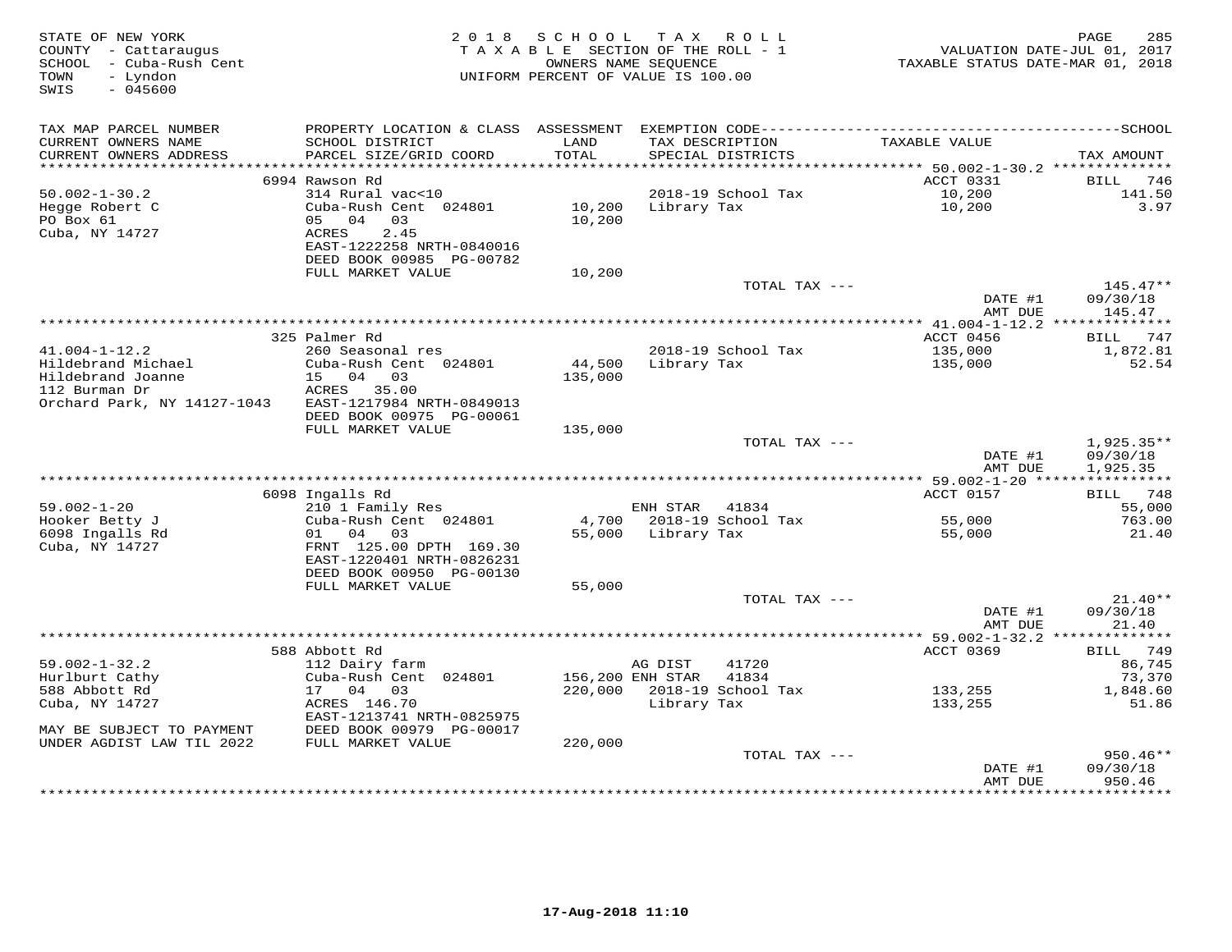| STATE OF NEW YORK<br>COUNTY - Cattaraugus<br>SCHOOL - Cuba-Rush Cent<br>- Lyndon<br>TOWN<br>SWIS<br>$-045600$ | 2 0 1 8                                                                | S C H O O L<br>TAXABLE SECTION OF THE ROLL - 1<br>OWNERS NAME SEQUENCE<br>UNIFORM PERCENT OF VALUE IS 100.00 |                  | TAX ROLL                             | VALUATION DATE-JUL 01, 2017<br>TAXABLE STATUS DATE-MAR 01, 2018 | 285<br>PAGE             |
|---------------------------------------------------------------------------------------------------------------|------------------------------------------------------------------------|--------------------------------------------------------------------------------------------------------------|------------------|--------------------------------------|-----------------------------------------------------------------|-------------------------|
| TAX MAP PARCEL NUMBER                                                                                         |                                                                        |                                                                                                              |                  |                                      |                                                                 |                         |
| CURRENT OWNERS NAME<br>CURRENT OWNERS ADDRESS<br>***********************                                      | SCHOOL DISTRICT<br>PARCEL SIZE/GRID COORD                              | LAND<br>TOTAL                                                                                                |                  | TAX DESCRIPTION<br>SPECIAL DISTRICTS | TAXABLE VALUE                                                   | TAX AMOUNT              |
|                                                                                                               | 6994 Rawson Rd                                                         |                                                                                                              |                  |                                      | ACCT 0331                                                       | BILL<br>746             |
| $50.002 - 1 - 30.2$                                                                                           | 314 Rural vac<10                                                       |                                                                                                              |                  | 2018-19 School Tax                   | 10,200                                                          | 141.50                  |
| Hegge Robert C<br>PO Box 61                                                                                   | Cuba-Rush Cent 024801<br>05 04<br>03                                   | 10,200<br>10,200                                                                                             | Library Tax      |                                      | 10,200                                                          | 3.97                    |
| Cuba, NY 14727                                                                                                | ACRES<br>2.45<br>EAST-1222258 NRTH-0840016<br>DEED BOOK 00985 PG-00782 |                                                                                                              |                  |                                      |                                                                 |                         |
|                                                                                                               | FULL MARKET VALUE                                                      | 10,200                                                                                                       |                  |                                      |                                                                 |                         |
|                                                                                                               |                                                                        |                                                                                                              |                  | TOTAL TAX ---                        | DATE #1                                                         | $145.47**$<br>09/30/18  |
|                                                                                                               |                                                                        |                                                                                                              |                  |                                      | AMT DUE                                                         | 145.47                  |
|                                                                                                               |                                                                        | ************************************                                                                         |                  |                                      | ********** 41.004-1-12.2 ***************                        |                         |
| $41.004 - 1 - 12.2$                                                                                           | 325 Palmer Rd<br>260 Seasonal res                                      |                                                                                                              |                  | 2018-19 School Tax                   | ACCT 0456<br>135,000                                            | 747<br>BILL<br>1,872.81 |
| Hildebrand Michael                                                                                            | Cuba-Rush Cent 024801                                                  | 44,500                                                                                                       | Library Tax      |                                      | 135,000                                                         | 52.54                   |
| Hildebrand Joanne                                                                                             | 15 04 03                                                               | 135,000                                                                                                      |                  |                                      |                                                                 |                         |
| 112 Burman Dr                                                                                                 | ACRES 35.00                                                            |                                                                                                              |                  |                                      |                                                                 |                         |
| Orchard Park, NY 14127-1043                                                                                   | EAST-1217984 NRTH-0849013                                              |                                                                                                              |                  |                                      |                                                                 |                         |
|                                                                                                               | DEED BOOK 00975 PG-00061<br>FULL MARKET VALUE                          | 135,000                                                                                                      |                  |                                      |                                                                 |                         |
|                                                                                                               |                                                                        |                                                                                                              |                  | TOTAL TAX ---                        |                                                                 | $1,925.35**$            |
|                                                                                                               |                                                                        |                                                                                                              |                  |                                      | DATE #1<br>AMT DUE                                              | 09/30/18<br>1,925.35    |
|                                                                                                               |                                                                        |                                                                                                              |                  |                                      |                                                                 |                         |
|                                                                                                               | 6098 Ingalls Rd                                                        |                                                                                                              |                  |                                      | ACCT 0157                                                       | BILL 748                |
| $59.002 - 1 - 20$<br>Hooker Betty J                                                                           | 210 1 Family Res<br>Cuba-Rush Cent 024801                              | 4,700                                                                                                        | ENH STAR         | 41834<br>2018-19 School Tax          | 55,000                                                          | 55,000<br>763.00        |
| 6098 Ingalls Rd                                                                                               | 01 04<br>03                                                            | 55,000                                                                                                       | Library Tax      |                                      | 55,000                                                          | 21.40                   |
| Cuba, NY 14727                                                                                                | FRNT 125.00 DPTH 169.30<br>EAST-1220401 NRTH-0826231                   |                                                                                                              |                  |                                      |                                                                 |                         |
|                                                                                                               | DEED BOOK 00950 PG-00130                                               |                                                                                                              |                  |                                      |                                                                 |                         |
|                                                                                                               | FULL MARKET VALUE                                                      | 55,000                                                                                                       |                  |                                      |                                                                 |                         |
|                                                                                                               |                                                                        |                                                                                                              |                  | TOTAL TAX ---                        | DATE #1                                                         | $21.40**$<br>09/30/18   |
|                                                                                                               |                                                                        |                                                                                                              |                  |                                      | AMT DUE                                                         | 21.40                   |
|                                                                                                               |                                                                        |                                                                                                              |                  |                                      |                                                                 |                         |
| $59.002 - 1 - 32.2$                                                                                           | 588 Abbott Rd<br>112 Dairy farm                                        |                                                                                                              | AG DIST          | 41720                                | <b>ACCT 0369</b>                                                | BILL 749<br>86,745      |
| Hurlburt Cathy                                                                                                | Cuba-Rush Cent 024801                                                  |                                                                                                              | 156,200 ENH STAR | 41834                                |                                                                 | 73,370                  |
| 588 Abbott Rd                                                                                                 | 17 04<br>03                                                            | 220,000                                                                                                      |                  | 2018-19 School Tax                   | 133,255                                                         | 1,848.60                |
| Cuba, NY 14727                                                                                                | ACRES 146.70<br>EAST-1213741 NRTH-0825975                              |                                                                                                              | Library Tax      |                                      | 133,255                                                         | 51.86                   |
| MAY BE SUBJECT TO PAYMENT                                                                                     | DEED BOOK 00979 PG-00017                                               |                                                                                                              |                  |                                      |                                                                 |                         |
| UNDER AGDIST LAW TIL 2022                                                                                     | FULL MARKET VALUE                                                      | 220,000                                                                                                      |                  |                                      |                                                                 |                         |
|                                                                                                               |                                                                        |                                                                                                              |                  | TOTAL TAX ---                        | DATE #1                                                         | $950.46**$<br>09/30/18  |
|                                                                                                               |                                                                        |                                                                                                              |                  |                                      | AMT DUE                                                         | 950.46                  |
|                                                                                                               |                                                                        |                                                                                                              |                  |                                      |                                                                 | * * * * * * * * *       |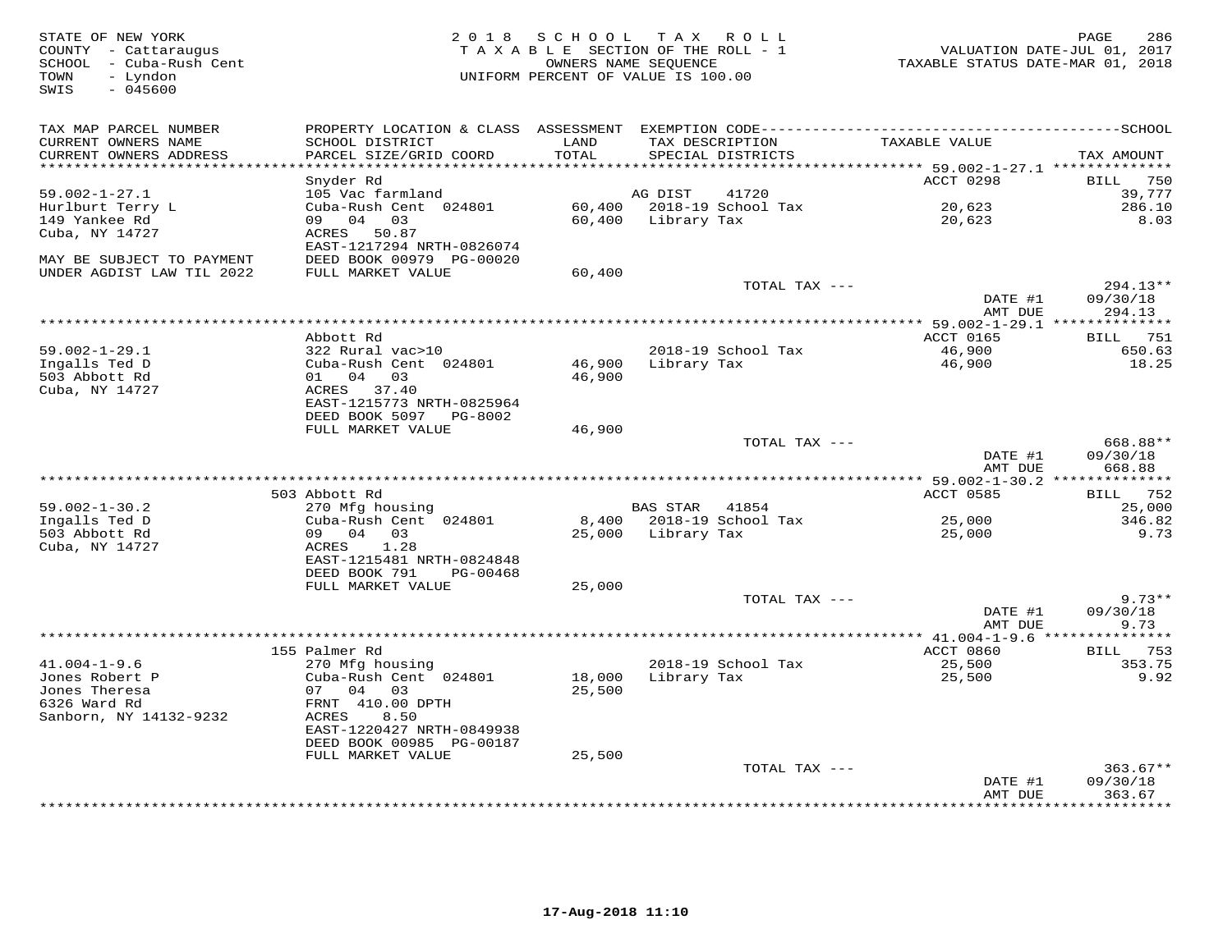| STATE OF NEW YORK<br>COUNTY - Cattaraugus<br>SCHOOL - Cuba-Rush Cent<br>TOWN<br>- Lyndon<br>$-045600$<br>SWIS | 2 0 1 8                          |                     | SCHOOL TAX ROLL<br>TAXABLE SECTION OF THE ROLL - 1<br>OWNERS NAME SEQUENCE<br>UNIFORM PERCENT OF VALUE IS 100.00 | TAXABLE STATUS DATE-MAR 01, 2018                    | 286<br>PAGE<br>VALUATION DATE-JUL 01, 2017 |
|---------------------------------------------------------------------------------------------------------------|----------------------------------|---------------------|------------------------------------------------------------------------------------------------------------------|-----------------------------------------------------|--------------------------------------------|
| TAX MAP PARCEL NUMBER                                                                                         |                                  |                     |                                                                                                                  |                                                     |                                            |
| CURRENT OWNERS NAME                                                                                           | SCHOOL DISTRICT                  | LAND                | TAX DESCRIPTION                                                                                                  | TAXABLE VALUE                                       |                                            |
| CURRENT OWNERS ADDRESS<br>******************                                                                  | PARCEL SIZE/GRID COORD           | TOTAL<br>********** | SPECIAL DISTRICTS                                                                                                |                                                     | TAX AMOUNT                                 |
|                                                                                                               | Snyder Rd                        |                     |                                                                                                                  | ******** 59.002-1-27.1 ***************<br>ACCT 0298 | 750<br>BILL                                |
| $59.002 - 1 - 27.1$                                                                                           | 105 Vac farmland                 |                     | AG DIST<br>41720                                                                                                 |                                                     | 39,777                                     |
| Hurlburt Terry L                                                                                              | Cuba-Rush Cent 024801            |                     | 60,400 2018-19 School Tax                                                                                        | 20,623                                              | 286.10                                     |
| 149 Yankee Rd                                                                                                 | 09 04 03                         |                     | 60,400 Library Tax                                                                                               | 20,623                                              | 8.03                                       |
| Cuba, NY 14727                                                                                                | ACRES 50.87                      |                     |                                                                                                                  |                                                     |                                            |
|                                                                                                               | EAST-1217294 NRTH-0826074        |                     |                                                                                                                  |                                                     |                                            |
| MAY BE SUBJECT TO PAYMENT                                                                                     | DEED BOOK 00979 PG-00020         |                     |                                                                                                                  |                                                     |                                            |
| UNDER AGDIST LAW TIL 2022                                                                                     | FULL MARKET VALUE                | 60,400              |                                                                                                                  |                                                     |                                            |
|                                                                                                               |                                  |                     | TOTAL TAX ---                                                                                                    |                                                     | 294.13**                                   |
|                                                                                                               |                                  |                     |                                                                                                                  | DATE #1                                             | 09/30/18                                   |
|                                                                                                               |                                  |                     |                                                                                                                  | AMT DUE                                             | 294.13                                     |
|                                                                                                               | Abbott Rd                        |                     |                                                                                                                  | ** 59.002-1-29.1 **************<br>ACCT 0165        | BILL 751                                   |
| $59.002 - 1 - 29.1$                                                                                           | 322 Rural vac>10                 |                     | 2018-19 School Tax                                                                                               | 46,900                                              | 650.63                                     |
| Ingalls Ted D                                                                                                 | Cuba-Rush Cent 024801            | 46,900              | Library Tax                                                                                                      | 46,900                                              | 18.25                                      |
| 503 Abbott Rd                                                                                                 | 01 04 03                         | 46,900              |                                                                                                                  |                                                     |                                            |
| Cuba, NY 14727                                                                                                | ACRES 37.40                      |                     |                                                                                                                  |                                                     |                                            |
|                                                                                                               | EAST-1215773 NRTH-0825964        |                     |                                                                                                                  |                                                     |                                            |
|                                                                                                               | DEED BOOK 5097 PG-8002           |                     |                                                                                                                  |                                                     |                                            |
|                                                                                                               | FULL MARKET VALUE                | 46,900              |                                                                                                                  |                                                     |                                            |
|                                                                                                               |                                  |                     | TOTAL TAX ---                                                                                                    |                                                     | 668.88**                                   |
|                                                                                                               |                                  |                     |                                                                                                                  | DATE #1                                             | 09/30/18                                   |
|                                                                                                               |                                  |                     |                                                                                                                  | AMT DUE                                             | 668.88                                     |
|                                                                                                               | 503 Abbott Rd                    |                     |                                                                                                                  | ACCT 0585                                           | BILL 752                                   |
| $59.002 - 1 - 30.2$                                                                                           | 270 Mfg housing                  |                     | BAS STAR 41854                                                                                                   |                                                     | 25,000                                     |
| Ingalls Ted D                                                                                                 | Cuba-Rush Cent 024801            |                     | 8,400 2018-19 School Tax                                                                                         | 25,000                                              | 346.82                                     |
| 503 Abbott Rd                                                                                                 | 09 04 03                         | 25,000              | Library Tax                                                                                                      | 25,000                                              | 9.73                                       |
| Cuba, NY 14727                                                                                                | 1.28<br>ACRES                    |                     |                                                                                                                  |                                                     |                                            |
|                                                                                                               | EAST-1215481 NRTH-0824848        |                     |                                                                                                                  |                                                     |                                            |
|                                                                                                               | DEED BOOK 791<br>PG-00468        |                     |                                                                                                                  |                                                     |                                            |
|                                                                                                               | FULL MARKET VALUE                | 25,000              |                                                                                                                  |                                                     |                                            |
|                                                                                                               |                                  |                     | TOTAL TAX ---                                                                                                    |                                                     | $9.73**$                                   |
|                                                                                                               |                                  |                     |                                                                                                                  | DATE #1                                             | 09/30/18                                   |
|                                                                                                               |                                  |                     |                                                                                                                  | AMT DUE                                             | 9.73                                       |
|                                                                                                               |                                  |                     |                                                                                                                  |                                                     |                                            |
| $41.004 - 1 - 9.6$                                                                                            | 155 Palmer Rd<br>270 Mfg housing |                     | 2018-19 School Tax                                                                                               | ACCT 0860<br>25,500                                 | <b>BILL</b> 753<br>353.75                  |
| Jones Robert P                                                                                                | Cuba-Rush Cent 024801            | 18,000              | Library Tax                                                                                                      | 25,500                                              | 9.92                                       |
| Jones Theresa                                                                                                 | 07 04 03                         | 25,500              |                                                                                                                  |                                                     |                                            |
| 6326 Ward Rd                                                                                                  | FRNT 410.00 DPTH                 |                     |                                                                                                                  |                                                     |                                            |
| Sanborn, NY 14132-9232                                                                                        | ACRES<br>8.50                    |                     |                                                                                                                  |                                                     |                                            |
|                                                                                                               | EAST-1220427 NRTH-0849938        |                     |                                                                                                                  |                                                     |                                            |
|                                                                                                               | DEED BOOK 00985 PG-00187         |                     |                                                                                                                  |                                                     |                                            |
|                                                                                                               | FULL MARKET VALUE                | 25,500              |                                                                                                                  |                                                     |                                            |
|                                                                                                               |                                  |                     | TOTAL TAX ---                                                                                                    |                                                     | $363.67**$                                 |
|                                                                                                               |                                  |                     |                                                                                                                  | DATE #1                                             | 09/30/18                                   |
|                                                                                                               |                                  |                     |                                                                                                                  | AMT DUE                                             | 363.67<br>*********                        |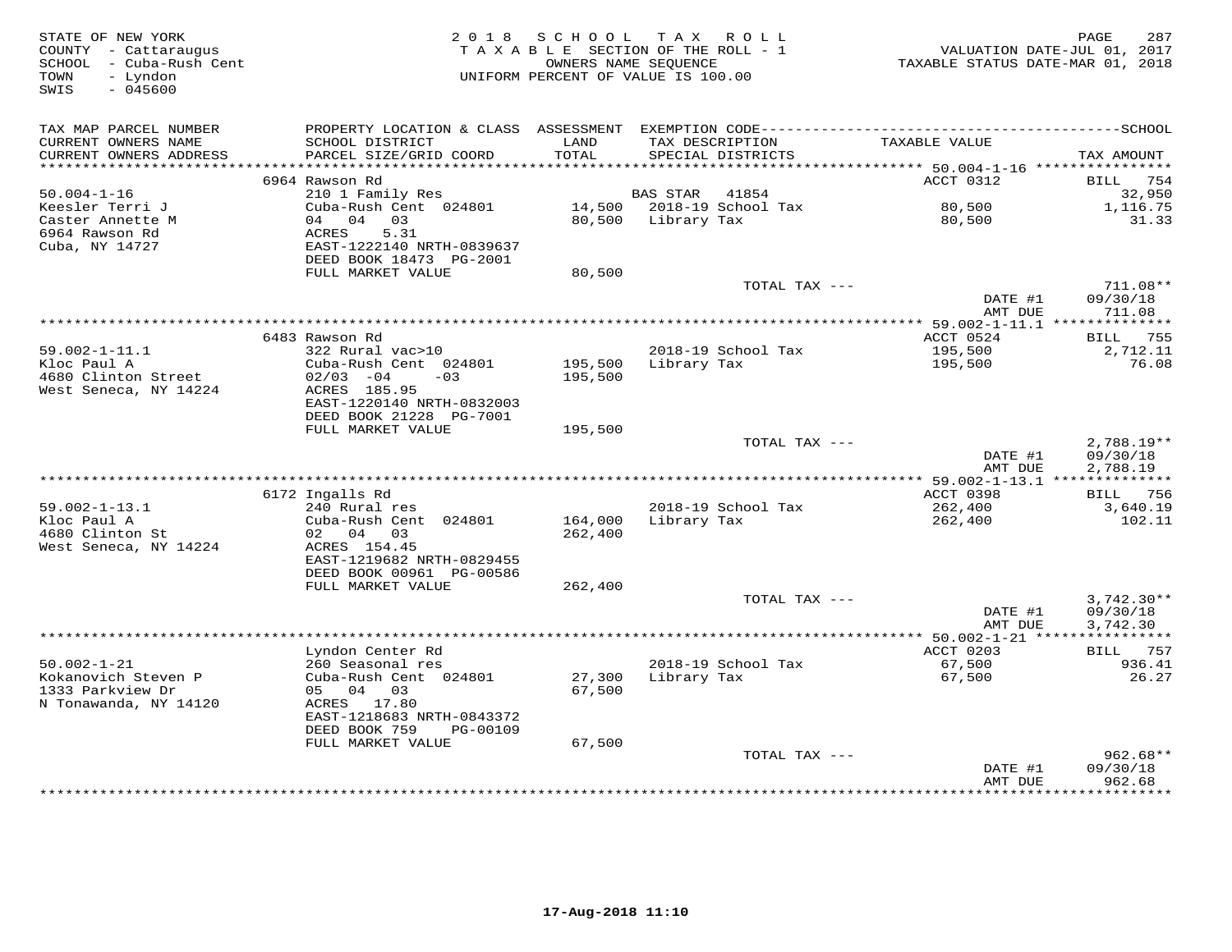| STATE OF NEW YORK<br>COUNTY - Cattaraugus<br>SCHOOL - Cuba-Rush Cent<br>- Lyndon<br>TOWN<br>SWIS<br>$-045600$ | 2018                                      | S C H O O L        | T A X<br>R O L L<br>TAXABLE SECTION OF THE ROLL - 1<br>OWNERS NAME SEQUENCE<br>UNIFORM PERCENT OF VALUE IS 100.00 | VALUATION DATE-JUL 01, 2017<br>TAXABLE STATUS DATE-MAR 01, 2018 | 287<br>PAGE                       |
|---------------------------------------------------------------------------------------------------------------|-------------------------------------------|--------------------|-------------------------------------------------------------------------------------------------------------------|-----------------------------------------------------------------|-----------------------------------|
| TAX MAP PARCEL NUMBER                                                                                         |                                           |                    |                                                                                                                   |                                                                 |                                   |
| CURRENT OWNERS NAME<br>CURRENT OWNERS ADDRESS<br>**********************                                       | SCHOOL DISTRICT<br>PARCEL SIZE/GRID COORD | LAND<br>TOTAL      | TAX DESCRIPTION<br>SPECIAL DISTRICTS                                                                              | TAXABLE VALUE                                                   | TAX AMOUNT                        |
|                                                                                                               | 6964 Rawson Rd                            |                    |                                                                                                                   | ACCT 0312                                                       | 754<br>BILL                       |
| $50.004 - 1 - 16$                                                                                             | 210 1 Family Res                          |                    | BAS STAR<br>41854                                                                                                 |                                                                 | 32,950                            |
| Keesler Terri J                                                                                               | Cuba-Rush Cent 024801                     | 14,500             | 2018-19 School Tax                                                                                                | 80,500                                                          | 1,116.75                          |
| Caster Annette M                                                                                              | 04<br>04<br>03                            | 80,500             | Library Tax                                                                                                       | 80,500                                                          | 31.33                             |
| 6964 Rawson Rd                                                                                                | 5.31<br>ACRES                             |                    |                                                                                                                   |                                                                 |                                   |
| Cuba, NY 14727                                                                                                | EAST-1222140 NRTH-0839637                 |                    |                                                                                                                   |                                                                 |                                   |
|                                                                                                               | DEED BOOK 18473 PG-2001                   |                    |                                                                                                                   |                                                                 |                                   |
|                                                                                                               | FULL MARKET VALUE                         | 80,500             |                                                                                                                   |                                                                 |                                   |
|                                                                                                               |                                           |                    | TOTAL TAX ---                                                                                                     | DATE #1                                                         | 711.08**<br>09/30/18              |
|                                                                                                               |                                           |                    |                                                                                                                   | AMT DUE                                                         | 711.08                            |
|                                                                                                               |                                           |                    | ********************************                                                                                  | *** 59.002-1-11.1 **************                                |                                   |
|                                                                                                               | 6483 Rawson Rd                            |                    |                                                                                                                   | ACCT 0524                                                       | <b>BILL</b> 755                   |
| $59.002 - 1 - 11.1$                                                                                           | 322 Rural vac>10                          |                    | 2018-19 School Tax                                                                                                | 195,500                                                         | 2,712.11                          |
| Kloc Paul A                                                                                                   | Cuba-Rush Cent 024801                     | 195,500            | Library Tax                                                                                                       | 195,500                                                         | 76.08                             |
| 4680 Clinton Street                                                                                           | $02/03 - 04$<br>$-0.3$                    | 195,500            |                                                                                                                   |                                                                 |                                   |
| West Seneca, NY 14224                                                                                         | ACRES 185.95<br>EAST-1220140 NRTH-0832003 |                    |                                                                                                                   |                                                                 |                                   |
|                                                                                                               | DEED BOOK 21228 PG-7001                   |                    |                                                                                                                   |                                                                 |                                   |
|                                                                                                               | FULL MARKET VALUE                         | 195,500            |                                                                                                                   |                                                                 |                                   |
|                                                                                                               |                                           |                    | TOTAL TAX ---                                                                                                     |                                                                 | $2,788.19**$                      |
|                                                                                                               |                                           |                    |                                                                                                                   | DATE #1                                                         | 09/30/18                          |
|                                                                                                               |                                           |                    |                                                                                                                   | AMT DUE                                                         | 2,788.19                          |
|                                                                                                               |                                           |                    |                                                                                                                   |                                                                 |                                   |
|                                                                                                               | 6172 Ingalls Rd                           |                    |                                                                                                                   | ACCT 0398                                                       | <b>BILL</b> 756                   |
| $59.002 - 1 - 13.1$<br>Kloc Paul A                                                                            | 240 Rural res                             |                    | 2018-19 School Tax                                                                                                | 262,400                                                         | 3,640.19                          |
| 4680 Clinton St                                                                                               | Cuba-Rush Cent 024801<br>02 04 03         | 164,000<br>262,400 | Library Tax                                                                                                       | 262,400                                                         | 102.11                            |
| West Seneca, NY 14224                                                                                         | ACRES 154.45                              |                    |                                                                                                                   |                                                                 |                                   |
|                                                                                                               | EAST-1219682 NRTH-0829455                 |                    |                                                                                                                   |                                                                 |                                   |
|                                                                                                               | DEED BOOK 00961 PG-00586                  |                    |                                                                                                                   |                                                                 |                                   |
|                                                                                                               | FULL MARKET VALUE                         | 262,400            |                                                                                                                   |                                                                 |                                   |
|                                                                                                               |                                           |                    | TOTAL TAX ---                                                                                                     |                                                                 | $3,742.30**$                      |
|                                                                                                               |                                           |                    |                                                                                                                   | DATE #1                                                         | 09/30/18                          |
|                                                                                                               |                                           |                    |                                                                                                                   | AMT DUE                                                         | 3,742.30<br>* * * * * * * * * * * |
|                                                                                                               | Lyndon Center Rd                          |                    |                                                                                                                   | ********* 50.002-1-21 *****<br>ACCT 0203                        | 757<br>BILL                       |
| $50.002 - 1 - 21$                                                                                             | 260 Seasonal res                          |                    | 2018-19 School Tax                                                                                                | 67,500                                                          | 936.41                            |
| Kokanovich Steven P                                                                                           | Cuba-Rush Cent 024801                     | 27,300             | Library Tax                                                                                                       | 67,500                                                          | 26.27                             |
| 1333 Parkview Dr                                                                                              | 04 03<br>05                               | 67,500             |                                                                                                                   |                                                                 |                                   |
| N Tonawanda, NY 14120                                                                                         | ACRES 17.80                               |                    |                                                                                                                   |                                                                 |                                   |
|                                                                                                               | EAST-1218683 NRTH-0843372                 |                    |                                                                                                                   |                                                                 |                                   |
|                                                                                                               | DEED BOOK 759<br>PG-00109                 |                    |                                                                                                                   |                                                                 |                                   |
|                                                                                                               | FULL MARKET VALUE                         | 67,500             |                                                                                                                   |                                                                 |                                   |
|                                                                                                               |                                           |                    | TOTAL TAX ---                                                                                                     | DATE #1                                                         | $962.68**$<br>09/30/18            |
|                                                                                                               |                                           |                    |                                                                                                                   | AMT DUE                                                         | 962.68                            |
|                                                                                                               |                                           |                    |                                                                                                                   | *********                                                       | * * * * * * * * * *               |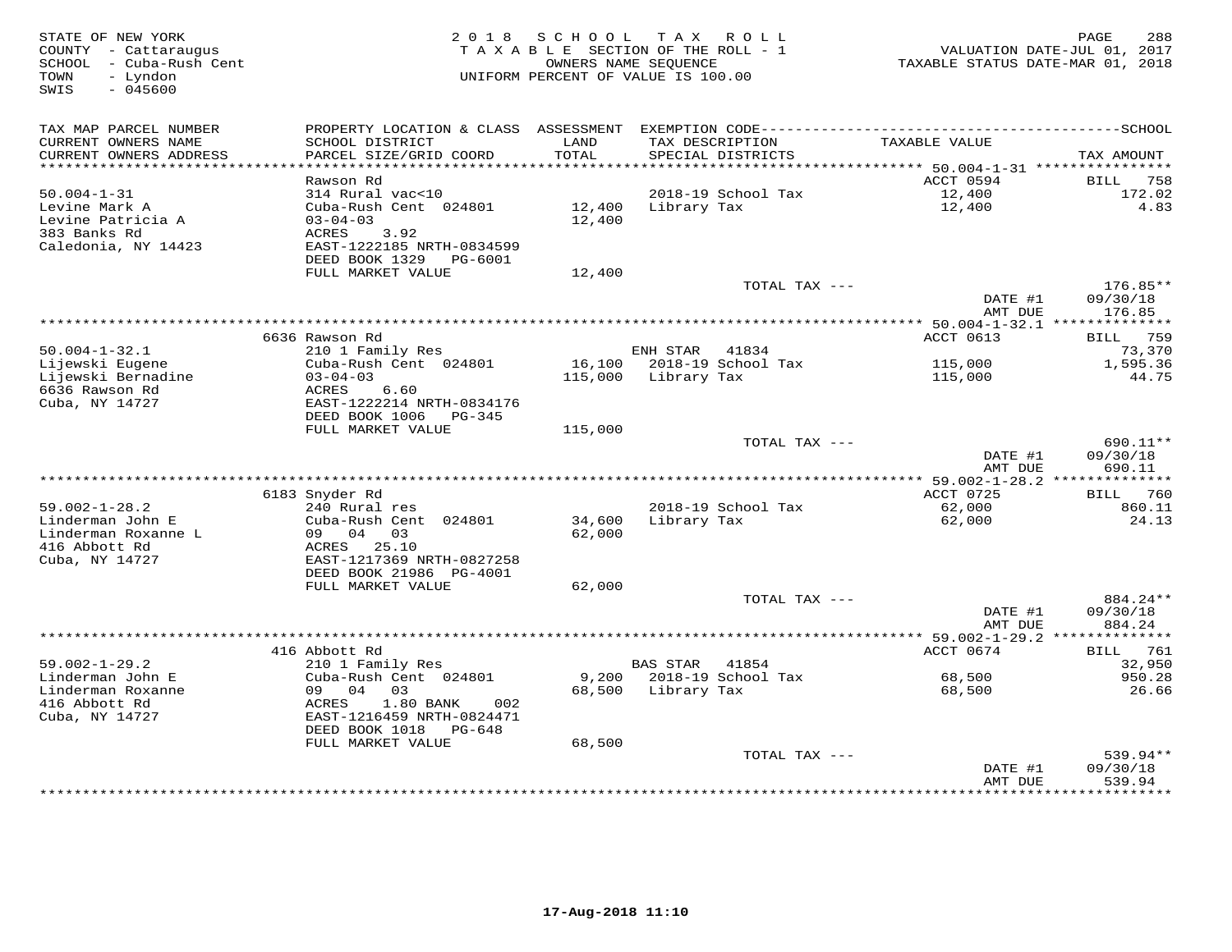| STATE OF NEW YORK<br>COUNTY - Cattaraugus<br>SCHOOL - Cuba-Rush Cent<br>- Lyndon<br>TOWN<br>SWIS<br>$-045600$ | 2 0 1 8                                    | SCHOOL          | T A X<br>ROLL<br>TAXABLE SECTION OF THE ROLL - 1<br>OWNERS NAME SEQUENCE<br>UNIFORM PERCENT OF VALUE IS 100.00 | TAXABLE STATUS DATE-MAR 01, 2018                | PAGE<br>288<br>VALUATION DATE-JUL 01, 2017 |
|---------------------------------------------------------------------------------------------------------------|--------------------------------------------|-----------------|----------------------------------------------------------------------------------------------------------------|-------------------------------------------------|--------------------------------------------|
| TAX MAP PARCEL NUMBER                                                                                         |                                            |                 |                                                                                                                |                                                 |                                            |
| CURRENT OWNERS NAME<br>CURRENT OWNERS ADDRESS                                                                 | SCHOOL DISTRICT<br>PARCEL SIZE/GRID COORD  | LAND<br>TOTAL   | TAX DESCRIPTION<br>SPECIAL DISTRICTS                                                                           | TAXABLE VALUE                                   | TAX AMOUNT                                 |
|                                                                                                               |                                            |                 |                                                                                                                |                                                 |                                            |
| $50.004 - 1 - 31$                                                                                             | Rawson Rd<br>314 Rural vac<10              |                 | 2018-19 School Tax                                                                                             | ACCT 0594<br>12,400                             | BILL<br>758<br>172.02                      |
| Levine Mark A                                                                                                 | Cuba-Rush Cent 024801                      | 12,400          | Library Tax                                                                                                    | 12,400                                          | 4.83                                       |
| Levine Patricia A                                                                                             | $03 - 04 - 03$                             | 12,400          |                                                                                                                |                                                 |                                            |
| 383 Banks Rd                                                                                                  | ACRES<br>3.92                              |                 |                                                                                                                |                                                 |                                            |
| Caledonia, NY 14423                                                                                           | EAST-1222185 NRTH-0834599                  |                 |                                                                                                                |                                                 |                                            |
|                                                                                                               | DEED BOOK 1329 PG-6001                     |                 |                                                                                                                |                                                 |                                            |
|                                                                                                               | FULL MARKET VALUE                          | 12,400          |                                                                                                                |                                                 |                                            |
|                                                                                                               |                                            |                 | TOTAL TAX ---                                                                                                  |                                                 | $176.85**$                                 |
|                                                                                                               |                                            |                 |                                                                                                                | DATE #1<br>AMT DUE                              | 09/30/18<br>176.85                         |
|                                                                                                               |                                            |                 |                                                                                                                | ****************** 50.004-1-32.1 ************** |                                            |
|                                                                                                               | 6636 Rawson Rd                             |                 |                                                                                                                | ACCT 0613                                       | <b>BILL</b> 759                            |
| $50.004 - 1 - 32.1$                                                                                           | 210 1 Family Res                           |                 | ENH STAR<br>41834                                                                                              |                                                 | 73,370                                     |
| Lijewski Eugene                                                                                               | Cuba-Rush Cent 024801                      | 16,100          | 2018-19 School Tax                                                                                             | 115,000                                         | 1,595.36                                   |
| Lijewski Bernadine                                                                                            | $03 - 04 - 03$                             | 115,000         | Library Tax                                                                                                    | 115,000                                         | 44.75                                      |
| 6636 Rawson Rd<br>Cuba, NY 14727                                                                              | ACRES<br>6.60<br>EAST-1222214 NRTH-0834176 |                 |                                                                                                                |                                                 |                                            |
|                                                                                                               | DEED BOOK 1006<br>PG-345                   |                 |                                                                                                                |                                                 |                                            |
|                                                                                                               | FULL MARKET VALUE                          | 115,000         |                                                                                                                |                                                 |                                            |
|                                                                                                               |                                            |                 | TOTAL TAX ---                                                                                                  |                                                 | 690.11**                                   |
|                                                                                                               |                                            |                 |                                                                                                                | DATE #1                                         | 09/30/18                                   |
|                                                                                                               |                                            |                 |                                                                                                                | AMT DUE                                         | 690.11                                     |
|                                                                                                               |                                            |                 |                                                                                                                |                                                 |                                            |
|                                                                                                               | 6183 Snyder Rd                             |                 |                                                                                                                | ACCT 0725                                       | 760<br>BILL                                |
| $59.002 - 1 - 28.2$                                                                                           | 240 Rural res                              |                 | 2018-19 School Tax                                                                                             | 62,000                                          | 860.11                                     |
| Linderman John E                                                                                              | Cuba-Rush Cent 024801                      | 34,600          | Library Tax                                                                                                    | 62,000                                          | 24.13                                      |
| Linderman Roxanne L<br>416 Abbott Rd                                                                          | 09 04 03<br>ACRES 25.10                    | 62,000          |                                                                                                                |                                                 |                                            |
| Cuba, NY 14727                                                                                                | EAST-1217369 NRTH-0827258                  |                 |                                                                                                                |                                                 |                                            |
|                                                                                                               | DEED BOOK 21986 PG-4001                    |                 |                                                                                                                |                                                 |                                            |
|                                                                                                               | FULL MARKET VALUE                          | 62,000          |                                                                                                                |                                                 |                                            |
|                                                                                                               |                                            |                 | TOTAL TAX ---                                                                                                  |                                                 | 884.24**                                   |
|                                                                                                               |                                            |                 |                                                                                                                | DATE #1                                         | 09/30/18                                   |
|                                                                                                               |                                            |                 |                                                                                                                | AMT DUE                                         | 884.24                                     |
|                                                                                                               |                                            |                 |                                                                                                                |                                                 |                                            |
|                                                                                                               | 416 Abbott Rd                              |                 |                                                                                                                | ACCT 0674                                       | <b>BILL</b><br>761                         |
| $59.002 - 1 - 29.2$                                                                                           | 210 1 Family Res                           |                 | <b>BAS STAR</b><br>41854                                                                                       |                                                 | 32,950                                     |
| Linderman John E<br>Linderman Roxanne                                                                         | Cuba-Rush Cent 024801<br>09 04<br>03       | 9,200<br>68,500 | 2018-19 School Tax<br>Library Tax                                                                              | 68,500<br>68,500                                | 950.28<br>26.66                            |
| 416 Abbott Rd                                                                                                 | ACRES<br>$1.80$ BANK<br>002                |                 |                                                                                                                |                                                 |                                            |
| Cuba, NY 14727                                                                                                | EAST-1216459 NRTH-0824471                  |                 |                                                                                                                |                                                 |                                            |
|                                                                                                               | DEED BOOK 1018 PG-648                      |                 |                                                                                                                |                                                 |                                            |
|                                                                                                               | FULL MARKET VALUE                          | 68,500          |                                                                                                                |                                                 |                                            |
|                                                                                                               |                                            |                 | TOTAL TAX ---                                                                                                  |                                                 | 539.94**                                   |
|                                                                                                               |                                            |                 |                                                                                                                | DATE #1                                         | 09/30/18                                   |
|                                                                                                               |                                            |                 |                                                                                                                | AMT DUE                                         | 539.94                                     |
|                                                                                                               |                                            |                 | ***************************                                                                                    | ***********                                     | *********                                  |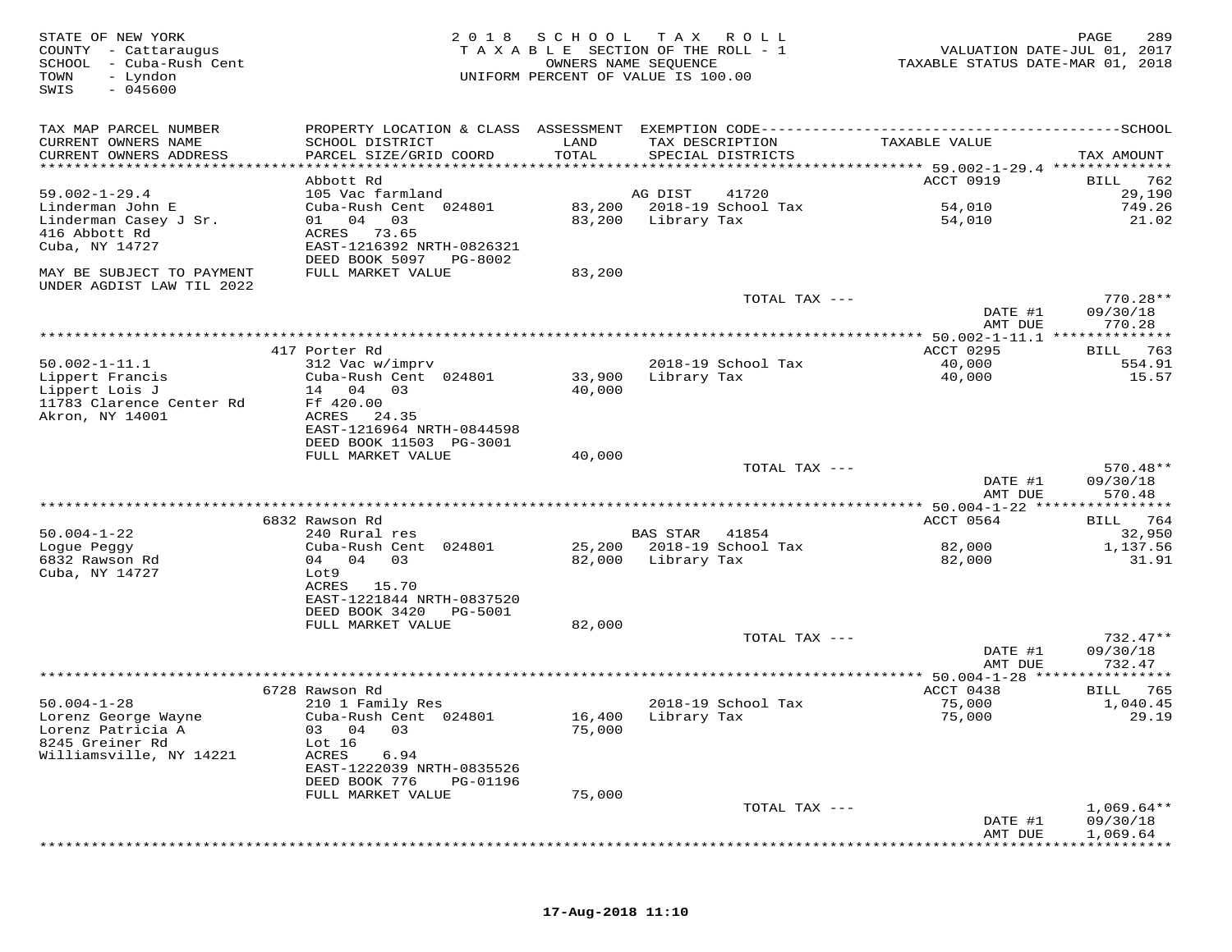| STATE OF NEW YORK<br>COUNTY - Cattaraugus<br>SCHOOL - Cuba-Rush Cent<br>TOWN<br>- Lyndon<br>$-045600$<br>SWIS | 2 0 1 8                                                                  | SCHOOL<br>OWNERS NAME SEQUENCE | T A X<br>ROLL<br>TAXABLE SECTION OF THE ROLL - 1<br>UNIFORM PERCENT OF VALUE IS 100.00 | VALUATION DATE-JUL 01, 2017<br>TAXABLE STATUS DATE-MAR 01, 2018 | 289<br>PAGE                 |
|---------------------------------------------------------------------------------------------------------------|--------------------------------------------------------------------------|--------------------------------|----------------------------------------------------------------------------------------|-----------------------------------------------------------------|-----------------------------|
| TAX MAP PARCEL NUMBER<br>CURRENT OWNERS NAME                                                                  | PROPERTY LOCATION & CLASS ASSESSMENT<br>SCHOOL DISTRICT                  | LAND                           | TAX DESCRIPTION                                                                        | TAXABLE VALUE                                                   |                             |
| CURRENT OWNERS ADDRESS<br>***********************                                                             | PARCEL SIZE/GRID COORD                                                   | TOTAL                          | SPECIAL DISTRICTS                                                                      |                                                                 | TAX AMOUNT                  |
|                                                                                                               | Abbott Rd                                                                |                                |                                                                                        | ACCT 0919                                                       | 762<br>BILL                 |
| $59.002 - 1 - 29.4$                                                                                           | 105 Vac farmland                                                         |                                | AG DIST<br>41720                                                                       |                                                                 | 29,190                      |
| Linderman John E                                                                                              | Cuba-Rush Cent 024801                                                    | 83,200                         | 2018-19 School Tax                                                                     | 54,010                                                          | 749.26                      |
| Linderman Casey J Sr.                                                                                         | 04<br>03<br>01                                                           | 83,200                         | Library Tax                                                                            | 54,010                                                          | 21.02                       |
| 416 Abbott Rd<br>Cuba, NY 14727                                                                               | ACRES<br>73.65<br>EAST-1216392 NRTH-0826321<br>DEED BOOK 5097<br>PG-8002 |                                |                                                                                        |                                                                 |                             |
| MAY BE SUBJECT TO PAYMENT<br>UNDER AGDIST LAW TIL 2022                                                        | FULL MARKET VALUE                                                        | 83,200                         |                                                                                        |                                                                 |                             |
|                                                                                                               |                                                                          |                                | TOTAL TAX ---                                                                          | DATE #1                                                         | $770.28**$<br>09/30/18      |
|                                                                                                               |                                                                          | *************************      |                                                                                        | AMT DUE<br>********* 50.002-1-11.1 ***                          | 770.28<br>* * * * * * * * * |
|                                                                                                               | 417 Porter Rd                                                            |                                |                                                                                        | ACCT 0295                                                       | 763<br>BILL                 |
| $50.002 - 1 - 11.1$                                                                                           | 312 Vac w/imprv                                                          |                                | 2018-19 School Tax                                                                     | 40,000                                                          | 554.91                      |
| Lippert Francis                                                                                               | Cuba-Rush Cent 024801                                                    | 33,900                         | Library Tax                                                                            | 40,000                                                          | 15.57                       |
| Lippert Lois J<br>11783 Clarence Center Rd                                                                    | 14 04<br>03<br>Ff 420.00                                                 | 40,000                         |                                                                                        |                                                                 |                             |
| Akron, NY 14001                                                                                               | ACRES<br>24.35                                                           |                                |                                                                                        |                                                                 |                             |
|                                                                                                               | EAST-1216964 NRTH-0844598                                                |                                |                                                                                        |                                                                 |                             |
|                                                                                                               | DEED BOOK 11503 PG-3001<br>FULL MARKET VALUE                             | 40,000                         |                                                                                        |                                                                 |                             |
|                                                                                                               |                                                                          |                                | TOTAL TAX ---                                                                          |                                                                 | $570.48**$                  |
|                                                                                                               |                                                                          |                                |                                                                                        | DATE #1<br>AMT DUE                                              | 09/30/18<br>570.48          |
|                                                                                                               |                                                                          |                                |                                                                                        |                                                                 | * * * * * * * * *           |
| $50.004 - 1 - 22$                                                                                             | 6832 Rawson Rd<br>240 Rural res                                          |                                | <b>BAS STAR</b><br>41854                                                               | ACCT 0564                                                       | 764<br>BILL<br>32,950       |
| Logue Peggy                                                                                                   | Cuba-Rush Cent<br>024801                                                 | 25,200                         | 2018-19 School Tax                                                                     | 82,000                                                          | 1,137.56                    |
| 6832 Rawson Rd                                                                                                | 04 04<br>03                                                              | 82,000                         | Library Tax                                                                            | 82,000                                                          | 31.91                       |
| Cuba, NY 14727                                                                                                | Lot9                                                                     |                                |                                                                                        |                                                                 |                             |
|                                                                                                               | ACRES<br>15.70<br>EAST-1221844 NRTH-0837520                              |                                |                                                                                        |                                                                 |                             |
|                                                                                                               | DEED BOOK 3420<br>PG-5001                                                |                                |                                                                                        |                                                                 |                             |
|                                                                                                               | FULL MARKET VALUE                                                        | 82,000                         |                                                                                        |                                                                 |                             |
|                                                                                                               |                                                                          |                                | TOTAL TAX ---                                                                          | DATE #1                                                         | $732.47**$                  |
|                                                                                                               |                                                                          |                                |                                                                                        | AMT DUE                                                         | 09/30/18<br>732.47          |
|                                                                                                               |                                                                          |                                |                                                                                        |                                                                 |                             |
|                                                                                                               | 6728 Rawson Rd                                                           |                                |                                                                                        | ACCT 0438                                                       | 765<br>BILL                 |
| $50.004 - 1 - 28$<br>Lorenz George Wayne                                                                      | 210 1 Family Res<br>Cuba-Rush Cent 024801                                | 16,400                         | 2018-19 School Tax<br>Library Tax                                                      | 75,000<br>75,000                                                | 1,040.45<br>29.19           |
| Lorenz Patricia A                                                                                             | 03<br>04<br>03                                                           | 75,000                         |                                                                                        |                                                                 |                             |
| 8245 Greiner Rd                                                                                               | Lot $16$                                                                 |                                |                                                                                        |                                                                 |                             |
| Williamsville, NY 14221                                                                                       | ACRES<br>6.94                                                            |                                |                                                                                        |                                                                 |                             |
|                                                                                                               | EAST-1222039 NRTH-0835526<br>DEED BOOK 776<br>PG-01196                   |                                |                                                                                        |                                                                 |                             |
|                                                                                                               | FULL MARKET VALUE                                                        | 75,000                         |                                                                                        |                                                                 |                             |
|                                                                                                               |                                                                          |                                | TOTAL TAX ---                                                                          |                                                                 | $1,069.64**$                |
|                                                                                                               |                                                                          |                                |                                                                                        | DATE #1                                                         | 09/30/18                    |
|                                                                                                               |                                                                          |                                |                                                                                        | AMT DUE                                                         | 1,069.64                    |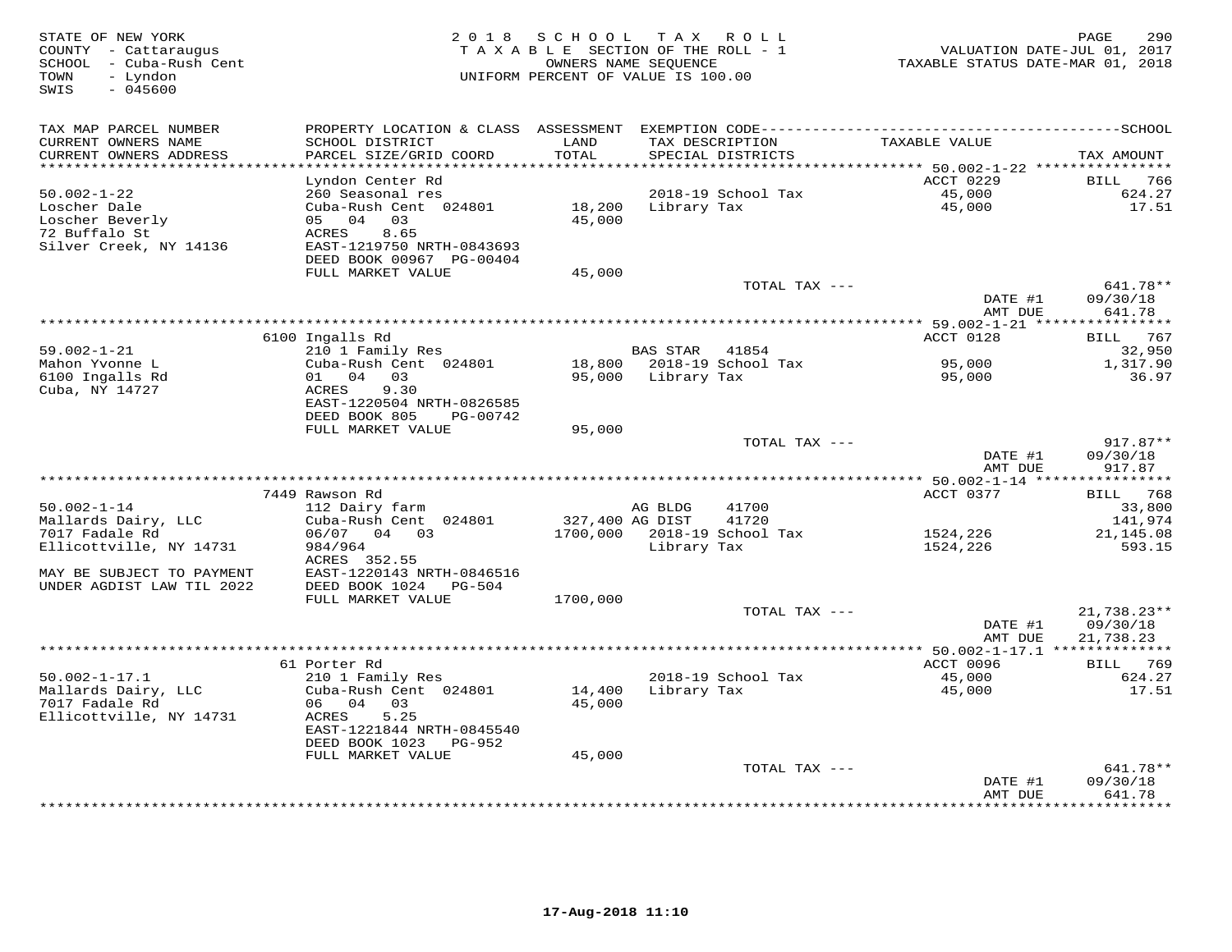| STATE OF NEW YORK<br>COUNTY - Cattaraugus<br>SCHOOL - Cuba-Rush Cent<br>- Lyndon<br>TOWN<br>SWIS<br>$-045600$ | 2 0 1 8                                        | SCHOOL TAX ROLL<br>TAXABLE SECTION OF THE ROLL - 1<br>UNIFORM PERCENT OF VALUE IS 100.00 | OWNERS NAME SEQUENCE |                                      | VALUATION DATE-JUL 01, 2017<br>TAXABLE STATUS DATE-MAR 01, 2018 | 290<br>PAGE                 |
|---------------------------------------------------------------------------------------------------------------|------------------------------------------------|------------------------------------------------------------------------------------------|----------------------|--------------------------------------|-----------------------------------------------------------------|-----------------------------|
| TAX MAP PARCEL NUMBER                                                                                         | PROPERTY LOCATION & CLASS ASSESSMENT           |                                                                                          |                      |                                      |                                                                 |                             |
| CURRENT OWNERS NAME<br>CURRENT OWNERS ADDRESS                                                                 | SCHOOL DISTRICT<br>PARCEL SIZE/GRID COORD      | LAND<br>TOTAL                                                                            |                      | TAX DESCRIPTION<br>SPECIAL DISTRICTS | TAXABLE VALUE                                                   | TAX AMOUNT                  |
| **********************                                                                                        |                                                |                                                                                          |                      |                                      | ACCT 0229                                                       |                             |
| $50.002 - 1 - 22$                                                                                             | Lyndon Center Rd<br>260 Seasonal res           |                                                                                          |                      | 2018-19 School Tax                   | 45,000                                                          | BILL<br>766<br>624.27       |
| Loscher Dale                                                                                                  | Cuba-Rush Cent 024801                          | 18,200                                                                                   | Library Tax          |                                      | 45,000                                                          | 17.51                       |
| Loscher Beverly                                                                                               | 05 04 03                                       | 45,000                                                                                   |                      |                                      |                                                                 |                             |
| 72 Buffalo St                                                                                                 | 8.65<br>ACRES                                  |                                                                                          |                      |                                      |                                                                 |                             |
| Silver Creek, NY 14136                                                                                        | EAST-1219750 NRTH-0843693                      |                                                                                          |                      |                                      |                                                                 |                             |
|                                                                                                               | DEED BOOK 00967 PG-00404                       |                                                                                          |                      |                                      |                                                                 |                             |
|                                                                                                               | FULL MARKET VALUE                              | 45,000                                                                                   |                      |                                      |                                                                 |                             |
|                                                                                                               |                                                |                                                                                          |                      | TOTAL TAX ---                        |                                                                 | 641.78**                    |
|                                                                                                               |                                                |                                                                                          |                      |                                      | DATE #1<br>AMT DUE                                              | 09/30/18<br>641.78          |
|                                                                                                               |                                                |                                                                                          |                      |                                      |                                                                 |                             |
|                                                                                                               | 6100 Ingalls Rd                                |                                                                                          |                      |                                      | ACCT 0128                                                       | <b>BILL</b> 767             |
| $59.002 - 1 - 21$                                                                                             | 210 1 Family Res                               |                                                                                          | BAS STAR 41854       |                                      |                                                                 | 32,950                      |
| Mahon Yvonne L                                                                                                | Cuba-Rush Cent 024801                          |                                                                                          |                      | 18,800 2018-19 School Tax            | 95,000                                                          | 1,317.90                    |
| 6100 Ingalls Rd                                                                                               | 01 04 03                                       | 95,000                                                                                   | Library Tax          |                                      | 95,000                                                          | 36.97                       |
| Cuba, NY 14727                                                                                                | ACRES<br>9.30                                  |                                                                                          |                      |                                      |                                                                 |                             |
|                                                                                                               | EAST-1220504 NRTH-0826585                      |                                                                                          |                      |                                      |                                                                 |                             |
|                                                                                                               | DEED BOOK 805<br>PG-00742<br>FULL MARKET VALUE |                                                                                          |                      |                                      |                                                                 |                             |
|                                                                                                               |                                                | 95,000                                                                                   |                      | TOTAL TAX ---                        |                                                                 | 917.87**                    |
|                                                                                                               |                                                |                                                                                          |                      |                                      | DATE #1                                                         | 09/30/18                    |
|                                                                                                               |                                                |                                                                                          |                      |                                      | AMT DUE                                                         | 917.87                      |
|                                                                                                               |                                                |                                                                                          |                      |                                      |                                                                 |                             |
|                                                                                                               | 7449 Rawson Rd                                 |                                                                                          |                      |                                      | ACCT 0377                                                       | BILL 768                    |
| $50.002 - 1 - 14$                                                                                             | 112 Dairy farm                                 |                                                                                          | AG BLDG              | 41700                                |                                                                 | 33,800                      |
| Mallards Dairy, LLC                                                                                           | Cuba-Rush Cent 024801                          | 327,400 AG DIST                                                                          |                      | 41720                                |                                                                 | 141,974                     |
| 7017 Fadale Rd                                                                                                | 06/07 04 03                                    | 1700,000                                                                                 |                      | 2018-19 School Tax                   | 1524,226                                                        | 21,145.08                   |
| Ellicottville, NY 14731                                                                                       | 984/964<br>ACRES 352.55                        |                                                                                          | Library Tax          |                                      | 1524,226                                                        | 593.15                      |
| MAY BE SUBJECT TO PAYMENT                                                                                     | EAST-1220143 NRTH-0846516                      |                                                                                          |                      |                                      |                                                                 |                             |
| UNDER AGDIST LAW TIL 2022                                                                                     | DEED BOOK 1024 PG-504                          |                                                                                          |                      |                                      |                                                                 |                             |
|                                                                                                               | FULL MARKET VALUE                              | 1700,000                                                                                 |                      |                                      |                                                                 |                             |
|                                                                                                               |                                                |                                                                                          |                      | TOTAL TAX ---                        |                                                                 | 21,738.23**                 |
|                                                                                                               |                                                |                                                                                          |                      |                                      | DATE #1                                                         | 09/30/18                    |
|                                                                                                               |                                                |                                                                                          |                      |                                      | AMT DUE                                                         | 21,738.23                   |
|                                                                                                               |                                                |                                                                                          |                      |                                      |                                                                 |                             |
|                                                                                                               | 61 Porter Rd                                   |                                                                                          |                      |                                      | ACCT 0096                                                       | BILL 769                    |
| $50.002 - 1 - 17.1$<br>Mallards Dairy, LLC                                                                    | 210 1 Family Res<br>Cuba-Rush Cent 024801      | 14,400                                                                                   | Library Tax          | 2018-19 School Tax                   | 45,000<br>45,000                                                | 624.27<br>17.51             |
| 7017 Fadale Rd                                                                                                | 06 04 03                                       | 45,000                                                                                   |                      |                                      |                                                                 |                             |
| Ellicottville, NY 14731                                                                                       | 5.25<br>ACRES                                  |                                                                                          |                      |                                      |                                                                 |                             |
|                                                                                                               | EAST-1221844 NRTH-0845540                      |                                                                                          |                      |                                      |                                                                 |                             |
|                                                                                                               | DEED BOOK 1023 PG-952                          |                                                                                          |                      |                                      |                                                                 |                             |
|                                                                                                               | FULL MARKET VALUE                              | 45,000                                                                                   |                      |                                      |                                                                 |                             |
|                                                                                                               |                                                |                                                                                          |                      | TOTAL TAX ---                        |                                                                 | 641.78**                    |
|                                                                                                               |                                                |                                                                                          |                      |                                      | DATE #1                                                         | 09/30/18                    |
|                                                                                                               |                                                |                                                                                          |                      |                                      | AMT DUE                                                         | 641.78<br>* * * * * * * * * |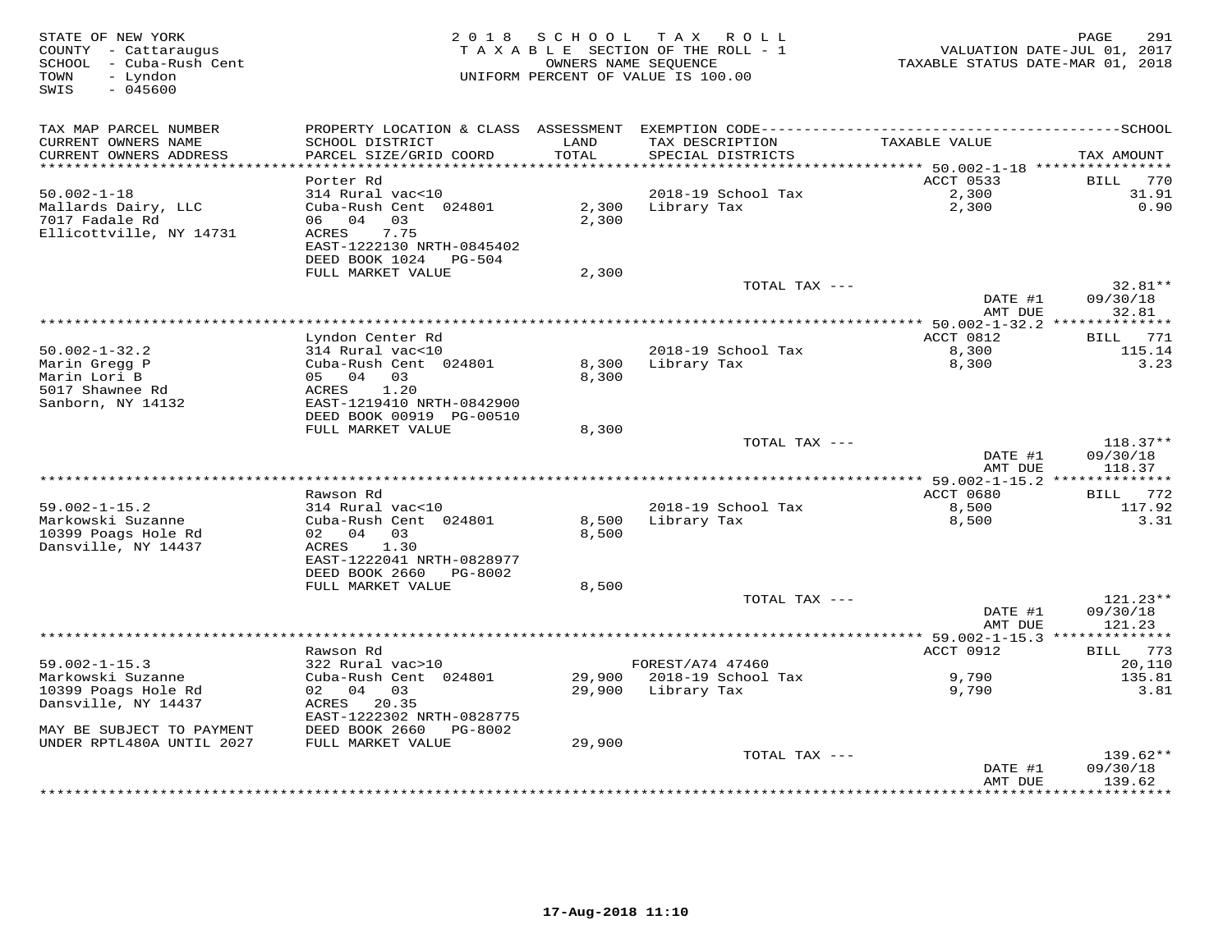| STATE OF NEW YORK<br>COUNTY - Cattaraugus<br>SCHOOL - Cuba-Rush Cent<br>- Lyndon<br>TOWN<br>SWIS<br>$-045600$ |                                                                           | 2018 SCHOOL    | T A X<br>R O L L<br>TAXABLE SECTION OF THE ROLL - 1<br>OWNERS NAME SEQUENCE<br>UNIFORM PERCENT OF VALUE IS 100.00 | VALUATION DATE-JUL 01, 2017<br>TAXABLE STATUS DATE-MAR 01, 2018 | 291<br>PAGE                 |
|---------------------------------------------------------------------------------------------------------------|---------------------------------------------------------------------------|----------------|-------------------------------------------------------------------------------------------------------------------|-----------------------------------------------------------------|-----------------------------|
| TAX MAP PARCEL NUMBER                                                                                         |                                                                           |                |                                                                                                                   |                                                                 |                             |
| CURRENT OWNERS NAME<br>CURRENT OWNERS ADDRESS                                                                 | SCHOOL DISTRICT<br>PARCEL SIZE/GRID COORD                                 | LAND<br>TOTAL  | TAX DESCRIPTION<br>SPECIAL DISTRICTS                                                                              | TAXABLE VALUE                                                   | TAX AMOUNT                  |
| ***********************                                                                                       |                                                                           |                |                                                                                                                   |                                                                 |                             |
| $50.002 - 1 - 18$                                                                                             | Porter Rd                                                                 |                |                                                                                                                   | ACCT 0533                                                       | 770<br><b>BILL</b><br>31.91 |
| Mallards Dairy, LLC<br>7017 Fadale Rd<br>Ellicottville, NY 14731                                              | 314 Rural vac<10<br>Cuba-Rush Cent 024801<br>06 04<br>03<br>7.75<br>ACRES | 2,300<br>2,300 | 2018-19 School Tax<br>Library Tax                                                                                 | 2,300<br>2,300                                                  | 0.90                        |
|                                                                                                               | EAST-1222130 NRTH-0845402<br>DEED BOOK 1024 PG-504                        |                |                                                                                                                   |                                                                 |                             |
|                                                                                                               | FULL MARKET VALUE                                                         | 2,300          |                                                                                                                   |                                                                 |                             |
|                                                                                                               |                                                                           |                | TOTAL TAX ---                                                                                                     | DATE #1                                                         | $32.81**$<br>09/30/18       |
|                                                                                                               |                                                                           |                |                                                                                                                   | AMT DUE<br>*** 50.002-1-32.2 **************                     | 32.81                       |
|                                                                                                               | Lyndon Center Rd                                                          |                |                                                                                                                   | ACCT 0812                                                       | 771<br>BILL                 |
| $50.002 - 1 - 32.2$                                                                                           | 314 Rural vac<10                                                          |                | 2018-19 School Tax                                                                                                | 8,300                                                           | 115.14                      |
| Marin Gregg P                                                                                                 | Cuba-Rush Cent 024801                                                     | 8,300          | Library Tax                                                                                                       | 8,300                                                           | 3.23                        |
| Marin Lori B                                                                                                  | 05 04 03                                                                  | 8,300          |                                                                                                                   |                                                                 |                             |
| 5017 Shawnee Rd<br>Sanborn, NY 14132                                                                          | 1.20<br>ACRES<br>EAST-1219410 NRTH-0842900                                |                |                                                                                                                   |                                                                 |                             |
|                                                                                                               | DEED BOOK 00919 PG-00510                                                  |                |                                                                                                                   |                                                                 |                             |
|                                                                                                               | FULL MARKET VALUE                                                         | 8,300          |                                                                                                                   |                                                                 |                             |
|                                                                                                               |                                                                           |                | TOTAL TAX ---                                                                                                     |                                                                 | $118.37**$                  |
|                                                                                                               |                                                                           |                |                                                                                                                   | DATE #1<br>AMT DUE                                              | 09/30/18<br>118.37          |
|                                                                                                               |                                                                           |                |                                                                                                                   |                                                                 |                             |
|                                                                                                               | Rawson Rd                                                                 |                |                                                                                                                   | ACCT 0680                                                       | BILL 772                    |
| $59.002 - 1 - 15.2$                                                                                           | 314 Rural vac<10                                                          |                | 2018-19 School Tax                                                                                                | 8,500                                                           | 117.92                      |
| Markowski Suzanne                                                                                             | Cuba-Rush Cent 024801                                                     | 8,500          | Library Tax                                                                                                       | 8,500                                                           | 3.31                        |
| 10399 Poags Hole Rd<br>Dansville, NY 14437                                                                    | 02 04 03<br>ACRES<br>1.30                                                 | 8,500          |                                                                                                                   |                                                                 |                             |
|                                                                                                               | EAST-1222041 NRTH-0828977                                                 |                |                                                                                                                   |                                                                 |                             |
|                                                                                                               | DEED BOOK 2660<br>PG-8002                                                 |                |                                                                                                                   |                                                                 |                             |
|                                                                                                               | FULL MARKET VALUE                                                         | 8,500          |                                                                                                                   |                                                                 |                             |
|                                                                                                               |                                                                           |                | TOTAL TAX ---                                                                                                     |                                                                 | $121.23**$                  |
|                                                                                                               |                                                                           |                |                                                                                                                   | DATE #1<br>AMT DUE                                              | 09/30/18<br>121.23          |
|                                                                                                               |                                                                           |                |                                                                                                                   |                                                                 |                             |
|                                                                                                               | Rawson Rd                                                                 |                |                                                                                                                   | ACCT 0912                                                       | BILL 773                    |
| $59.002 - 1 - 15.3$                                                                                           | 322 Rural vac>10                                                          |                | FOREST/A74 47460                                                                                                  |                                                                 | 20,110                      |
| Markowski Suzanne                                                                                             | Cuba-Rush Cent 024801                                                     | 29,900         | 2018-19 School Tax                                                                                                | 9,790                                                           | 135.81                      |
| 10399 Poags Hole Rd                                                                                           | 02 04 03                                                                  | 29,900         | Library Tax                                                                                                       | 9,790                                                           | 3.81                        |
| Dansville, NY 14437                                                                                           | ACRES<br>20.35<br>EAST-1222302 NRTH-0828775                               |                |                                                                                                                   |                                                                 |                             |
| MAY BE SUBJECT TO PAYMENT                                                                                     | DEED BOOK 2660<br>PG-8002                                                 |                |                                                                                                                   |                                                                 |                             |
| UNDER RPTL480A UNTIL 2027                                                                                     | FULL MARKET VALUE                                                         | 29,900         |                                                                                                                   |                                                                 |                             |
|                                                                                                               |                                                                           |                | TOTAL TAX ---                                                                                                     |                                                                 | $139.62**$                  |
|                                                                                                               |                                                                           |                |                                                                                                                   | DATE #1<br>AMT DUE                                              | 09/30/18<br>139.62          |
|                                                                                                               |                                                                           |                |                                                                                                                   | * * * * * * * * * * * * * * * *                                 | * * * * * * * * * *         |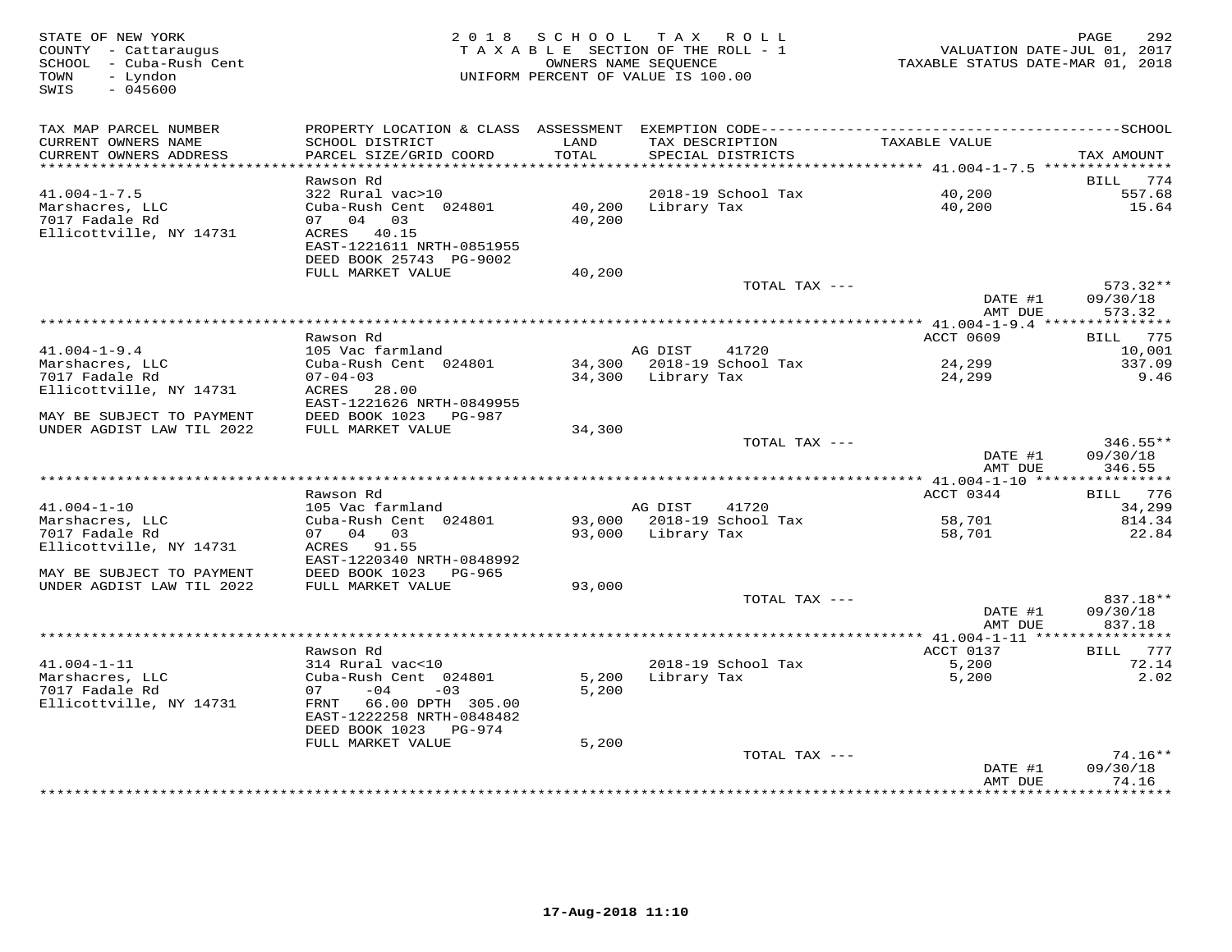| STATE OF NEW YORK<br>COUNTY - Cattaraugus<br>SCHOOL - Cuba-Rush Cent<br>- Lyndon<br>TOWN<br>SWIS<br>$-045600$ |                                                                         |                  | 2018 SCHOOL TAX ROLL<br>TAXABLE SECTION OF THE ROLL - 1<br>OWNERS NAME SEQUENCE<br>UNIFORM PERCENT OF VALUE IS 100.00 | VALUATION DATE-JUL 01, 2017<br>TAXABLE STATUS DATE-MAR 01, 2018 | 292<br>PAGE              |
|---------------------------------------------------------------------------------------------------------------|-------------------------------------------------------------------------|------------------|-----------------------------------------------------------------------------------------------------------------------|-----------------------------------------------------------------|--------------------------|
| TAX MAP PARCEL NUMBER                                                                                         |                                                                         |                  |                                                                                                                       |                                                                 |                          |
| CURRENT OWNERS NAME<br>CURRENT OWNERS ADDRESS                                                                 | SCHOOL DISTRICT<br>PARCEL SIZE/GRID COORD                               | LAND<br>TOTAL    | TAX DESCRIPTION<br>SPECIAL DISTRICTS                                                                                  | TAXABLE VALUE                                                   | TAX AMOUNT               |
| ***********************                                                                                       |                                                                         |                  |                                                                                                                       |                                                                 |                          |
|                                                                                                               | Rawson Rd                                                               |                  |                                                                                                                       |                                                                 | BILL<br>774              |
| $41.004 - 1 - 7.5$<br>Marshacres, LLC<br>7017 Fadale Rd<br>Ellicottville, NY 14731                            | 322 Rural vac>10<br>Cuba-Rush Cent 024801<br>07 04<br>03<br>ACRES 40.15 | 40,200<br>40,200 | 2018-19 School Tax<br>Library Tax                                                                                     | 40,200<br>40,200                                                | 557.68<br>15.64          |
|                                                                                                               | EAST-1221611 NRTH-0851955<br>DEED BOOK 25743 PG-9002                    |                  |                                                                                                                       |                                                                 |                          |
|                                                                                                               | FULL MARKET VALUE                                                       | 40,200           |                                                                                                                       |                                                                 |                          |
|                                                                                                               |                                                                         |                  | TOTAL TAX ---                                                                                                         | DATE #1                                                         | $573.32**$<br>09/30/18   |
|                                                                                                               |                                                                         |                  |                                                                                                                       | AMT DUE<br>********* 41.004-1-9.4 ***************               | 573.32                   |
|                                                                                                               | Rawson Rd                                                               |                  |                                                                                                                       | ACCT 0609                                                       | BILL 775                 |
| $41.004 - 1 - 9.4$                                                                                            | 105 Vac farmland                                                        |                  | 41720<br>AG DIST                                                                                                      |                                                                 | 10,001                   |
| Marshacres, LLC                                                                                               | Cuba-Rush Cent 024801                                                   |                  | 34,300 2018-19 School Tax                                                                                             | 24,299                                                          | 337.09                   |
| 7017 Fadale Rd                                                                                                | $07 - 04 - 03$                                                          |                  | 34,300 Library Tax                                                                                                    | 24,299                                                          | 9.46                     |
| Ellicottville, NY 14731                                                                                       | ACRES 28.00<br>EAST-1221626 NRTH-0849955                                |                  |                                                                                                                       |                                                                 |                          |
| MAY BE SUBJECT TO PAYMENT                                                                                     | DEED BOOK 1023<br>PG-987                                                |                  |                                                                                                                       |                                                                 |                          |
| UNDER AGDIST LAW TIL 2022                                                                                     | FULL MARKET VALUE                                                       | 34,300           |                                                                                                                       |                                                                 | 346.55**                 |
|                                                                                                               |                                                                         |                  | TOTAL TAX ---                                                                                                         | DATE #1<br>AMT DUE                                              | 09/30/18<br>346.55       |
|                                                                                                               |                                                                         |                  |                                                                                                                       |                                                                 |                          |
|                                                                                                               | Rawson Rd                                                               |                  |                                                                                                                       | ACCT 0344                                                       | BILL 776                 |
| $41.004 - 1 - 10$                                                                                             | 105 Vac farmland                                                        |                  | AG DIST<br>41720                                                                                                      |                                                                 | 34,299                   |
| Marshacres, LLC                                                                                               | Cuba-Rush Cent 024801                                                   |                  | 93,000 2018-19 School Tax                                                                                             | 58,701                                                          | 814.34                   |
| 7017 Fadale Rd<br>Ellicottville, NY 14731                                                                     | 07 04 03<br>ACRES 91.55<br>EAST-1220340 NRTH-0848992                    |                  | 93,000 Library Tax                                                                                                    | 58,701                                                          | 22.84                    |
| MAY BE SUBJECT TO PAYMENT                                                                                     | DEED BOOK 1023 PG-965                                                   |                  |                                                                                                                       |                                                                 |                          |
| UNDER AGDIST LAW TIL 2022                                                                                     | FULL MARKET VALUE                                                       | 93,000           |                                                                                                                       |                                                                 |                          |
|                                                                                                               |                                                                         |                  | TOTAL TAX ---                                                                                                         |                                                                 | 837.18**                 |
|                                                                                                               |                                                                         |                  |                                                                                                                       | DATE #1<br>AMT DUE                                              | 09/30/18<br>837.18       |
|                                                                                                               |                                                                         |                  |                                                                                                                       |                                                                 |                          |
|                                                                                                               | Rawson Rd                                                               |                  |                                                                                                                       | ACCT 0137                                                       | BILL 777                 |
| $41.004 - 1 - 11$<br>Marshacres, LLC                                                                          | 314 Rural vac<10<br>Cuba-Rush Cent 024801                               | 5,200            | 2018-19 School Tax<br>Library Tax                                                                                     | 5,200<br>5,200                                                  | 72.14<br>2.02            |
| 7017 Fadale Rd                                                                                                | $-0.4$<br>07<br>$-0.3$                                                  | 5,200            |                                                                                                                       |                                                                 |                          |
| Ellicottville, NY 14731                                                                                       | FRNT 66.00 DPTH 305.00<br>EAST-1222258 NRTH-0848482                     |                  |                                                                                                                       |                                                                 |                          |
|                                                                                                               | DEED BOOK 1023 PG-974                                                   |                  |                                                                                                                       |                                                                 |                          |
|                                                                                                               | FULL MARKET VALUE                                                       | 5,200            |                                                                                                                       |                                                                 |                          |
|                                                                                                               |                                                                         |                  | TOTAL TAX ---                                                                                                         |                                                                 | $74.16**$<br>09/30/18    |
|                                                                                                               |                                                                         |                  |                                                                                                                       | DATE #1<br>AMT DUE                                              | 74.16<br><b>++++++++</b> |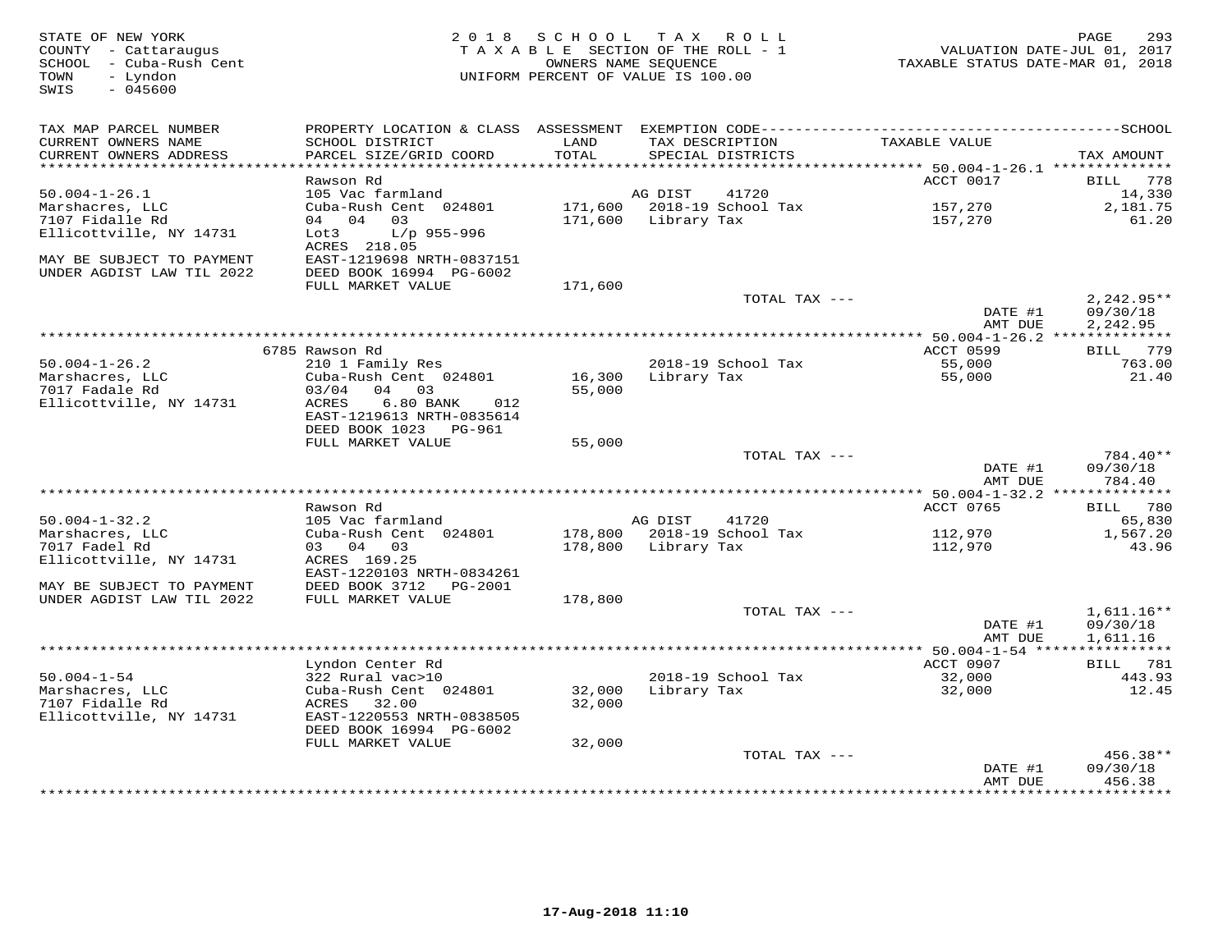| STATE OF NEW YORK<br>COUNTY - Cattaraugus<br>SCHOOL - Cuba-Rush Cent<br>TOWN<br>- Lyndon<br>SWIS<br>$-045600$ |                                                      | 2018 SCHOOL TAX ROLL<br>TAXABLE SECTION OF THE ROLL - 1<br>OWNERS NAME SEQUENCE<br>UNIFORM PERCENT OF VALUE IS 100.00 |                     |                                      | TAXABLE STATUS DATE-MAR 01, 2018        | 293<br>PAGE<br>VALUATION DATE-JUL 01, 2017 |
|---------------------------------------------------------------------------------------------------------------|------------------------------------------------------|-----------------------------------------------------------------------------------------------------------------------|---------------------|--------------------------------------|-----------------------------------------|--------------------------------------------|
| TAX MAP PARCEL NUMBER                                                                                         |                                                      |                                                                                                                       |                     |                                      |                                         |                                            |
| CURRENT OWNERS NAME<br>CURRENT OWNERS ADDRESS<br>************************                                     | SCHOOL DISTRICT<br>PARCEL SIZE/GRID COORD            | LAND<br>TOTAL                                                                                                         |                     | TAX DESCRIPTION<br>SPECIAL DISTRICTS | TAXABLE VALUE                           | TAX AMOUNT                                 |
|                                                                                                               | Rawson Rd                                            |                                                                                                                       |                     |                                      | ACCT 0017                               | BILL 778                                   |
| $50.004 - 1 - 26.1$                                                                                           | 105 Vac farmland                                     |                                                                                                                       | AG DIST             | 41720                                |                                         | 14,330                                     |
| Marshacres, LLC                                                                                               | Cuba-Rush Cent 024801                                |                                                                                                                       |                     | 171,600 2018-19 School Tax           | 157,270                                 | 2,181.75                                   |
| 7107 Fidalle Rd                                                                                               | 04 04<br>03                                          |                                                                                                                       | 171,600 Library Tax |                                      | 157,270                                 | 61.20                                      |
| Ellicottville, NY 14731                                                                                       | Lot3<br>L/p 955-996<br>ACRES 218.05                  |                                                                                                                       |                     |                                      |                                         |                                            |
| MAY BE SUBJECT TO PAYMENT<br>UNDER AGDIST LAW TIL 2022                                                        | EAST-1219698 NRTH-0837151<br>DEED BOOK 16994 PG-6002 |                                                                                                                       |                     |                                      |                                         |                                            |
|                                                                                                               | FULL MARKET VALUE                                    | 171,600                                                                                                               |                     | TOTAL TAX ---                        |                                         |                                            |
|                                                                                                               |                                                      |                                                                                                                       |                     |                                      | DATE #1<br>AMT DUE                      | $2,242.95**$<br>09/30/18<br>2,242.95       |
|                                                                                                               |                                                      |                                                                                                                       |                     |                                      |                                         |                                            |
|                                                                                                               | 6785 Rawson Rd                                       |                                                                                                                       |                     |                                      | ACCT 0599                               | BILL 779                                   |
| $50.004 - 1 - 26.2$                                                                                           | 210 1 Family Res                                     |                                                                                                                       |                     | 2018-19 School Tax                   | 55,000                                  | 763.00                                     |
| Marshacres, LLC                                                                                               | Cuba-Rush Cent 024801                                |                                                                                                                       | 16,300 Library Tax  |                                      | 55,000                                  | 21.40                                      |
| 7017 Fadale Rd                                                                                                | 03/04<br>04 03<br>ACRES<br>$6.80$ BANK<br>012        | 55,000                                                                                                                |                     |                                      |                                         |                                            |
| Ellicottville, NY 14731                                                                                       | EAST-1219613 NRTH-0835614                            |                                                                                                                       |                     |                                      |                                         |                                            |
|                                                                                                               | DEED BOOK 1023 PG-961                                |                                                                                                                       |                     |                                      |                                         |                                            |
|                                                                                                               | FULL MARKET VALUE                                    | 55,000                                                                                                                |                     |                                      |                                         |                                            |
|                                                                                                               |                                                      |                                                                                                                       |                     | TOTAL TAX ---                        |                                         | 784.40**                                   |
|                                                                                                               |                                                      |                                                                                                                       |                     |                                      | DATE #1<br>AMT DUE                      | 09/30/18<br>784.40                         |
|                                                                                                               |                                                      |                                                                                                                       |                     |                                      | ********** 50.004-1-32.2 ************** |                                            |
| $50.004 - 1 - 32.2$                                                                                           | Rawson Rd<br>105 Vac farmland                        |                                                                                                                       | AG DIST             | 41720                                | ACCT 0765                               | BILL 780<br>65,830                         |
| Marshacres, LLC                                                                                               | Cuba-Rush Cent 024801                                |                                                                                                                       |                     | 178,800 2018-19 School Tax           | 112,970                                 | 1,567.20                                   |
| 7017 Fadel Rd                                                                                                 | 03 04 03                                             |                                                                                                                       | 178,800 Library Tax |                                      | 112,970                                 | 43.96                                      |
| Ellicottville, NY 14731                                                                                       | ACRES 169.25                                         |                                                                                                                       |                     |                                      |                                         |                                            |
|                                                                                                               | EAST-1220103 NRTH-0834261                            |                                                                                                                       |                     |                                      |                                         |                                            |
| MAY BE SUBJECT TO PAYMENT                                                                                     | DEED BOOK 3712 PG-2001                               |                                                                                                                       |                     |                                      |                                         |                                            |
| UNDER AGDIST LAW TIL 2022                                                                                     | FULL MARKET VALUE                                    | 178,800                                                                                                               |                     | TOTAL TAX ---                        |                                         | $1,611.16**$                               |
|                                                                                                               |                                                      |                                                                                                                       |                     |                                      | DATE #1                                 | 09/30/18                                   |
|                                                                                                               |                                                      |                                                                                                                       |                     |                                      | AMT DUE                                 | 1,611.16                                   |
|                                                                                                               |                                                      |                                                                                                                       |                     |                                      |                                         |                                            |
|                                                                                                               | Lyndon Center Rd                                     |                                                                                                                       |                     |                                      | ACCT 0907                               | BILL 781                                   |
| $50.004 - 1 - 54$                                                                                             | 322 Rural vac>10                                     |                                                                                                                       |                     | 2018-19 School Tax                   | 32,000                                  | 443.93                                     |
| Marshacres, LLC<br>7107 Fidalle Rd                                                                            | Cuba-Rush Cent 024801<br>ACRES<br>32.00              | 32,000<br>32,000                                                                                                      | Library Tax         |                                      | 32,000                                  | 12.45                                      |
| Ellicottville, NY 14731                                                                                       | EAST-1220553 NRTH-0838505                            |                                                                                                                       |                     |                                      |                                         |                                            |
|                                                                                                               | DEED BOOK 16994 PG-6002                              |                                                                                                                       |                     |                                      |                                         |                                            |
|                                                                                                               | FULL MARKET VALUE                                    | 32,000                                                                                                                |                     |                                      |                                         |                                            |
|                                                                                                               |                                                      |                                                                                                                       |                     | TOTAL TAX ---                        |                                         | 456.38**                                   |
|                                                                                                               |                                                      |                                                                                                                       |                     |                                      | DATE #1                                 | 09/30/18<br>456.38                         |
|                                                                                                               |                                                      |                                                                                                                       |                     |                                      | AMT DUE                                 |                                            |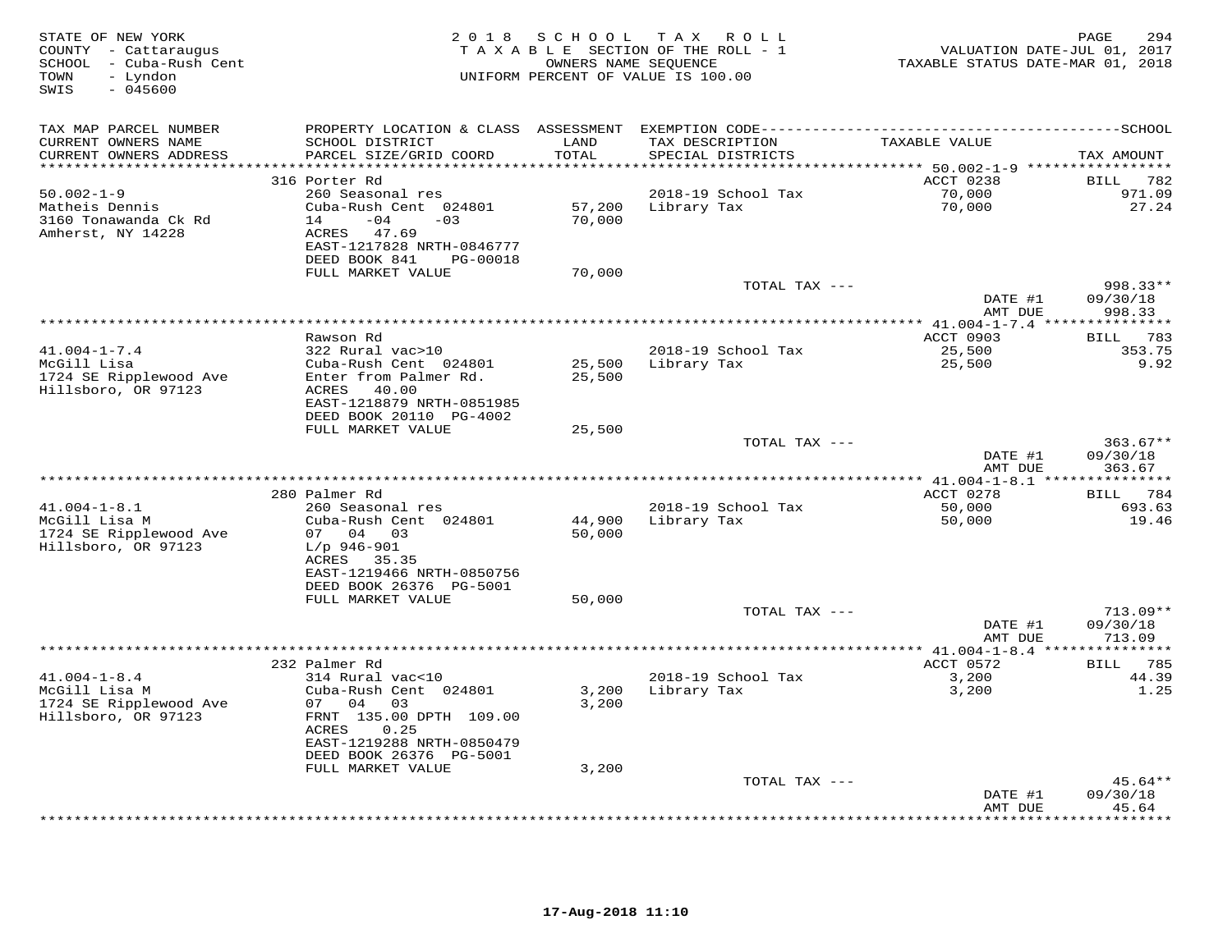| STATE OF NEW YORK<br>COUNTY - Cattaraugus<br>SCHOOL - Cuba-Rush Cent<br>- Lyndon<br>TOWN<br>SWIS<br>$-045600$ |                                                      |               | 2018 SCHOOL TAX ROLL<br>TAXABLE SECTION OF THE ROLL - 1<br>OWNERS NAME SEQUENCE<br>UNIFORM PERCENT OF VALUE IS 100.00 | VALUATION DATE-JUL 01, 2017<br>TAXABLE STATUS DATE-MAR 01, 2018 | 294<br>PAGE             |
|---------------------------------------------------------------------------------------------------------------|------------------------------------------------------|---------------|-----------------------------------------------------------------------------------------------------------------------|-----------------------------------------------------------------|-------------------------|
| TAX MAP PARCEL NUMBER                                                                                         |                                                      |               |                                                                                                                       |                                                                 |                         |
| CURRENT OWNERS NAME<br>CURRENT OWNERS ADDRESS                                                                 | SCHOOL DISTRICT<br>PARCEL SIZE/GRID COORD            | LAND<br>TOTAL | TAX DESCRIPTION<br>SPECIAL DISTRICTS                                                                                  | TAXABLE VALUE                                                   | TAX AMOUNT              |
| ***********************                                                                                       |                                                      |               |                                                                                                                       |                                                                 |                         |
| $50.002 - 1 - 9$                                                                                              | 316 Porter Rd<br>260 Seasonal res                    |               | 2018-19 School Tax                                                                                                    | ACCT 0238                                                       | BILL 782<br>971.09      |
| Matheis Dennis                                                                                                | Cuba-Rush Cent 024801                                | 57,200        | Library Tax                                                                                                           | 70,000<br>70,000                                                | 27.24                   |
| 3160 Tonawanda Ck Rd                                                                                          | $-04$<br>14<br>$-03$                                 | 70,000        |                                                                                                                       |                                                                 |                         |
| Amherst, NY 14228                                                                                             | ACRES 47.69                                          |               |                                                                                                                       |                                                                 |                         |
|                                                                                                               | EAST-1217828 NRTH-0846777                            |               |                                                                                                                       |                                                                 |                         |
|                                                                                                               | DEED BOOK 841<br>PG-00018                            |               |                                                                                                                       |                                                                 |                         |
|                                                                                                               | FULL MARKET VALUE                                    | 70,000        |                                                                                                                       |                                                                 |                         |
|                                                                                                               |                                                      |               | TOTAL TAX ---                                                                                                         |                                                                 | 998.33**                |
|                                                                                                               |                                                      |               |                                                                                                                       | DATE #1<br>AMT DUE                                              | 09/30/18<br>998.33      |
|                                                                                                               |                                                      |               |                                                                                                                       |                                                                 |                         |
|                                                                                                               | Rawson Rd                                            |               |                                                                                                                       | ACCT 0903                                                       | BILL 783                |
| $41.004 - 1 - 7.4$                                                                                            | 322 Rural vac>10                                     |               | 2018-19 School Tax                                                                                                    | 25,500                                                          | 353.75                  |
| McGill Lisa                                                                                                   | Cuba-Rush Cent 024801                                | 25,500        | Library Tax                                                                                                           | 25,500                                                          | 9.92                    |
| 1724 SE Ripplewood Ave<br>Hillsboro, OR 97123                                                                 | Enter from Palmer Rd.<br>ACRES 40.00                 | 25,500        |                                                                                                                       |                                                                 |                         |
|                                                                                                               | EAST-1218879 NRTH-0851985                            |               |                                                                                                                       |                                                                 |                         |
|                                                                                                               | DEED BOOK 20110 PG-4002                              |               |                                                                                                                       |                                                                 |                         |
|                                                                                                               | FULL MARKET VALUE                                    | 25,500        |                                                                                                                       |                                                                 |                         |
|                                                                                                               |                                                      |               | TOTAL TAX ---                                                                                                         |                                                                 | $363.67**$              |
|                                                                                                               |                                                      |               |                                                                                                                       | DATE #1                                                         | 09/30/18                |
|                                                                                                               | .                                                    |               | **********************************                                                                                    | AMT DUE                                                         | 363.67                  |
|                                                                                                               | 280 Palmer Rd                                        |               |                                                                                                                       | ******** 41.004-1-8.1 ****************<br>ACCT 0278             | BILL 784                |
| $41.004 - 1 - 8.1$                                                                                            | 260 Seasonal res                                     |               | 2018-19 School Tax                                                                                                    | 50,000                                                          | 693.63                  |
| McGill Lisa M                                                                                                 | Cuba-Rush Cent 024801                                | 44,900        | Library Tax                                                                                                           | 50,000                                                          | 19.46                   |
| 1724 SE Ripplewood Ave                                                                                        | 07 04 03                                             | 50,000        |                                                                                                                       |                                                                 |                         |
| Hillsboro, OR 97123                                                                                           | $L/p$ 946-901                                        |               |                                                                                                                       |                                                                 |                         |
|                                                                                                               | ACRES<br>35.35                                       |               |                                                                                                                       |                                                                 |                         |
|                                                                                                               | EAST-1219466 NRTH-0850756<br>DEED BOOK 26376 PG-5001 |               |                                                                                                                       |                                                                 |                         |
|                                                                                                               | FULL MARKET VALUE                                    | 50,000        |                                                                                                                       |                                                                 |                         |
|                                                                                                               |                                                      |               | TOTAL TAX ---                                                                                                         |                                                                 | $713.09**$              |
|                                                                                                               |                                                      |               |                                                                                                                       | DATE #1                                                         | 09/30/18                |
|                                                                                                               |                                                      |               |                                                                                                                       | AMT DUE                                                         | 713.09                  |
|                                                                                                               | ***************                                      |               | **********************************                                                                                    | ********** 41.004-1-8.4 ***                                     | * * * * * * * * * * * * |
| $41.004 - 1 - 8.4$                                                                                            | 232 Palmer Rd<br>314 Rural vac<10                    |               | 2018-19 School Tax                                                                                                    | ACCT 0572<br>3,200                                              | BILL 785<br>44.39       |
| McGill Lisa M                                                                                                 | Cuba-Rush Cent 024801                                | 3,200         | Library Tax                                                                                                           | 3,200                                                           | 1.25                    |
| 1724 SE Ripplewood Ave                                                                                        | 07 04<br>03                                          | 3,200         |                                                                                                                       |                                                                 |                         |
| Hillsboro, OR 97123                                                                                           | FRNT 135.00 DPTH 109.00                              |               |                                                                                                                       |                                                                 |                         |
|                                                                                                               | ACRES<br>0.25                                        |               |                                                                                                                       |                                                                 |                         |
|                                                                                                               | EAST-1219288 NRTH-0850479                            |               |                                                                                                                       |                                                                 |                         |
|                                                                                                               | DEED BOOK 26376 PG-5001<br>FULL MARKET VALUE         | 3,200         |                                                                                                                       |                                                                 |                         |
|                                                                                                               |                                                      |               | TOTAL TAX ---                                                                                                         |                                                                 | $45.64**$               |
|                                                                                                               |                                                      |               |                                                                                                                       | DATE #1                                                         | 09/30/18                |
|                                                                                                               |                                                      |               |                                                                                                                       | AMT DUE                                                         | 45.64                   |
|                                                                                                               |                                                      |               |                                                                                                                       |                                                                 | .                       |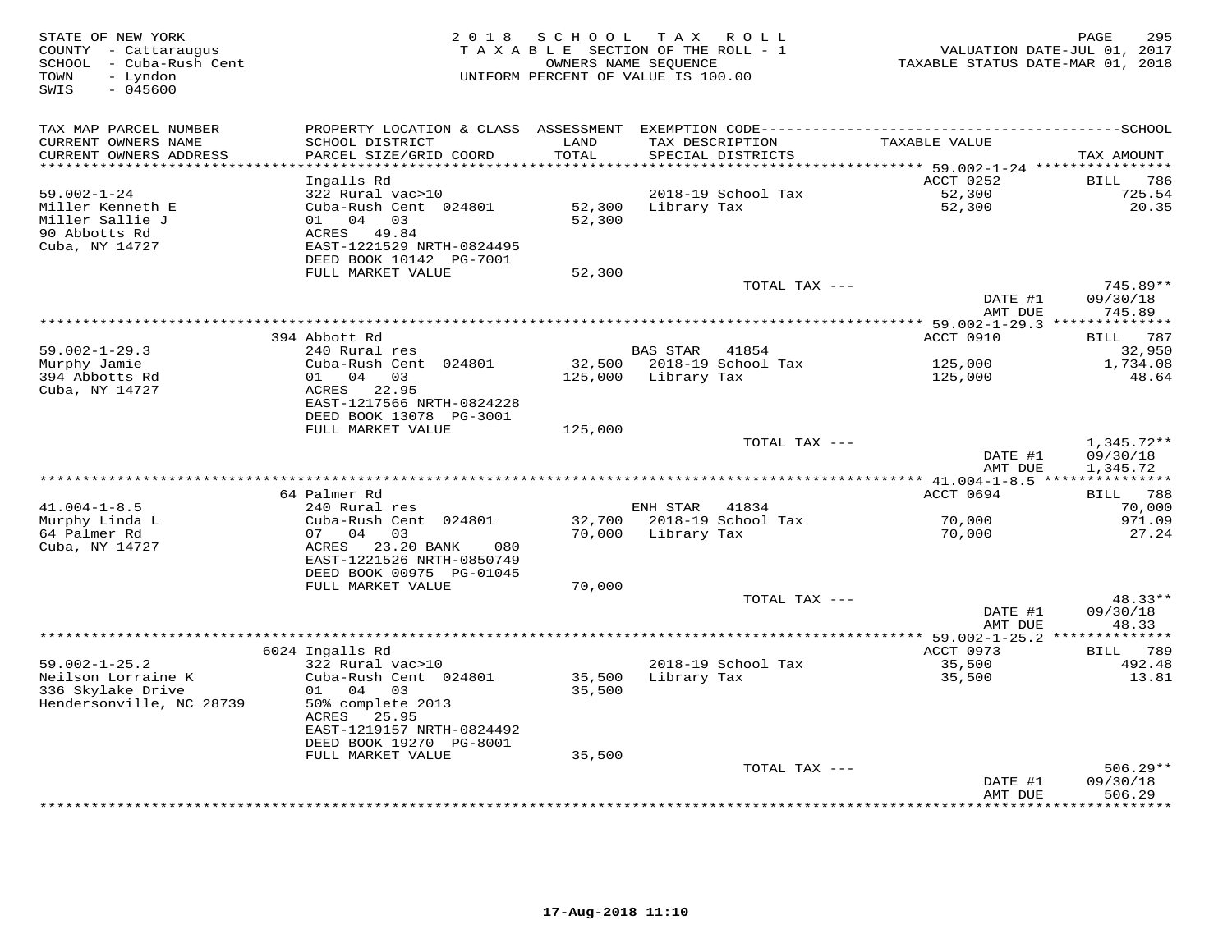| TAX MAP PARCEL NUMBER<br>PROPERTY LOCATION & CLASS ASSESSMENT<br>CURRENT OWNERS NAME<br>SCHOOL DISTRICT<br>LAND<br>TAX DESCRIPTION<br>TAXABLE VALUE<br>PARCEL SIZE/GRID COORD<br>TOTAL<br>CURRENT OWNERS ADDRESS<br>SPECIAL DISTRICTS<br>TAX AMOUNT<br>**********************<br>************************<br>Ingalls Rd<br>ACCT 0252<br>786<br><b>BILL</b><br>52,300<br>$59.002 - 1 - 24$<br>322 Rural vac>10<br>2018-19 School Tax<br>725.54<br>Cuba-Rush Cent 024801<br>52,300<br>Miller Kenneth E<br>52,300<br>Library Tax<br>20.35<br>Miller Sallie J<br>01 04 03<br>52,300<br>90 Abbotts Rd<br>ACRES<br>49.84<br>Cuba, NY 14727<br>EAST-1221529 NRTH-0824495<br>DEED BOOK 10142 PG-7001<br>FULL MARKET VALUE<br>52,300<br>TOTAL TAX ---<br>745.89**<br>DATE #1<br>09/30/18<br>745.89<br>AMT DUE<br>394 Abbott Rd<br>ACCT 0910<br>BILL 787<br>$59.002 - 1 - 29.3$<br>240 Rural res<br><b>BAS STAR</b><br>41854<br>32,950<br>Cuba-Rush Cent 024801<br>32,500<br>2018-19 School Tax<br>125,000<br>1,734.08<br>Murphy Jamie<br>394 Abbotts Rd<br>01 04 03<br>125,000<br>Library Tax<br>125,000<br>48.64<br>Cuba, NY 14727<br>ACRES<br>22.95<br>EAST-1217566 NRTH-0824228<br>DEED BOOK 13078 PG-3001<br>FULL MARKET VALUE<br>125,000<br>TOTAL TAX ---<br>$1,345.72**$<br>09/30/18<br>DATE #1<br>AMT DUE<br>1,345.72<br>************ 41.004-1-8.5 ****<br>***********<br>64 Palmer Rd<br>ACCT 0694<br>BILL 788<br>$41.004 - 1 - 8.5$<br>41834<br>70,000<br>240 Rural res<br>ENH STAR<br>Murphy Linda L<br>Cuba-Rush Cent 024801<br>2018-19 School Tax<br>70,000<br>971.09<br>32,700<br>64 Palmer Rd<br>04 03<br>70,000<br>07<br>Library Tax<br>70,000<br>27.24<br>Cuba, NY 14727<br>23.20 BANK<br>ACRES<br>080<br>EAST-1221526 NRTH-0850749<br>DEED BOOK 00975 PG-01045<br>FULL MARKET VALUE<br>70,000<br>48.33**<br>TOTAL TAX ---<br>DATE #1<br>09/30/18<br>AMT DUE<br>48.33<br>6024 Ingalls Rd<br>ACCT 0973<br>BILL 789<br>$59.002 - 1 - 25.2$<br>322 Rural vac>10<br>2018-19 School Tax<br>35,500<br>492.48<br>Cuba-Rush Cent 024801<br>Neilson Lorraine K<br>35,500<br>Library Tax<br>35,500<br>13.81<br>336 Skylake Drive<br>01 04<br>03<br>35,500<br>50% complete 2013<br>Hendersonville, NC 28739<br>ACRES<br>25.95<br>EAST-1219157 NRTH-0824492<br>DEED BOOK 19270 PG-8001<br>FULL MARKET VALUE<br>35,500<br>TOTAL TAX ---<br>$506.29**$<br>09/30/18<br>DATE #1<br>506.29<br>AMT DUE<br>* * * * * * * | STATE OF NEW YORK<br>COUNTY - Cattaraugus<br>SCHOOL - Cuba-Rush Cent<br>- Lyndon<br>TOWN<br>SWIS<br>$-045600$ | 2 0 1 8 | SCHOOL<br>TAXABLE SECTION OF THE ROLL - 1<br>UNIFORM PERCENT OF VALUE IS 100.00 | T A X<br>OWNERS NAME SEQUENCE | ROLL | TAXABLE STATUS DATE-MAR 01, 2018 | PAGE<br>295<br>VALUATION DATE-JUL 01, 2017 |
|--------------------------------------------------------------------------------------------------------------------------------------------------------------------------------------------------------------------------------------------------------------------------------------------------------------------------------------------------------------------------------------------------------------------------------------------------------------------------------------------------------------------------------------------------------------------------------------------------------------------------------------------------------------------------------------------------------------------------------------------------------------------------------------------------------------------------------------------------------------------------------------------------------------------------------------------------------------------------------------------------------------------------------------------------------------------------------------------------------------------------------------------------------------------------------------------------------------------------------------------------------------------------------------------------------------------------------------------------------------------------------------------------------------------------------------------------------------------------------------------------------------------------------------------------------------------------------------------------------------------------------------------------------------------------------------------------------------------------------------------------------------------------------------------------------------------------------------------------------------------------------------------------------------------------------------------------------------------------------------------------------------------------------------------------------------------------------------------------------------------------------------------------------------------------------------------------------------------------------------------------------------------------------------------------------------------------------------------------------------------------------------------------------------|---------------------------------------------------------------------------------------------------------------|---------|---------------------------------------------------------------------------------|-------------------------------|------|----------------------------------|--------------------------------------------|
|                                                                                                                                                                                                                                                                                                                                                                                                                                                                                                                                                                                                                                                                                                                                                                                                                                                                                                                                                                                                                                                                                                                                                                                                                                                                                                                                                                                                                                                                                                                                                                                                                                                                                                                                                                                                                                                                                                                                                                                                                                                                                                                                                                                                                                                                                                                                                                                                              |                                                                                                               |         |                                                                                 |                               |      |                                  |                                            |
|                                                                                                                                                                                                                                                                                                                                                                                                                                                                                                                                                                                                                                                                                                                                                                                                                                                                                                                                                                                                                                                                                                                                                                                                                                                                                                                                                                                                                                                                                                                                                                                                                                                                                                                                                                                                                                                                                                                                                                                                                                                                                                                                                                                                                                                                                                                                                                                                              |                                                                                                               |         |                                                                                 |                               |      |                                  |                                            |
|                                                                                                                                                                                                                                                                                                                                                                                                                                                                                                                                                                                                                                                                                                                                                                                                                                                                                                                                                                                                                                                                                                                                                                                                                                                                                                                                                                                                                                                                                                                                                                                                                                                                                                                                                                                                                                                                                                                                                                                                                                                                                                                                                                                                                                                                                                                                                                                                              |                                                                                                               |         |                                                                                 |                               |      |                                  |                                            |
|                                                                                                                                                                                                                                                                                                                                                                                                                                                                                                                                                                                                                                                                                                                                                                                                                                                                                                                                                                                                                                                                                                                                                                                                                                                                                                                                                                                                                                                                                                                                                                                                                                                                                                                                                                                                                                                                                                                                                                                                                                                                                                                                                                                                                                                                                                                                                                                                              |                                                                                                               |         |                                                                                 |                               |      |                                  |                                            |
|                                                                                                                                                                                                                                                                                                                                                                                                                                                                                                                                                                                                                                                                                                                                                                                                                                                                                                                                                                                                                                                                                                                                                                                                                                                                                                                                                                                                                                                                                                                                                                                                                                                                                                                                                                                                                                                                                                                                                                                                                                                                                                                                                                                                                                                                                                                                                                                                              |                                                                                                               |         |                                                                                 |                               |      |                                  |                                            |
|                                                                                                                                                                                                                                                                                                                                                                                                                                                                                                                                                                                                                                                                                                                                                                                                                                                                                                                                                                                                                                                                                                                                                                                                                                                                                                                                                                                                                                                                                                                                                                                                                                                                                                                                                                                                                                                                                                                                                                                                                                                                                                                                                                                                                                                                                                                                                                                                              |                                                                                                               |         |                                                                                 |                               |      |                                  |                                            |
|                                                                                                                                                                                                                                                                                                                                                                                                                                                                                                                                                                                                                                                                                                                                                                                                                                                                                                                                                                                                                                                                                                                                                                                                                                                                                                                                                                                                                                                                                                                                                                                                                                                                                                                                                                                                                                                                                                                                                                                                                                                                                                                                                                                                                                                                                                                                                                                                              |                                                                                                               |         |                                                                                 |                               |      |                                  |                                            |
|                                                                                                                                                                                                                                                                                                                                                                                                                                                                                                                                                                                                                                                                                                                                                                                                                                                                                                                                                                                                                                                                                                                                                                                                                                                                                                                                                                                                                                                                                                                                                                                                                                                                                                                                                                                                                                                                                                                                                                                                                                                                                                                                                                                                                                                                                                                                                                                                              |                                                                                                               |         |                                                                                 |                               |      |                                  |                                            |
|                                                                                                                                                                                                                                                                                                                                                                                                                                                                                                                                                                                                                                                                                                                                                                                                                                                                                                                                                                                                                                                                                                                                                                                                                                                                                                                                                                                                                                                                                                                                                                                                                                                                                                                                                                                                                                                                                                                                                                                                                                                                                                                                                                                                                                                                                                                                                                                                              |                                                                                                               |         |                                                                                 |                               |      |                                  |                                            |
|                                                                                                                                                                                                                                                                                                                                                                                                                                                                                                                                                                                                                                                                                                                                                                                                                                                                                                                                                                                                                                                                                                                                                                                                                                                                                                                                                                                                                                                                                                                                                                                                                                                                                                                                                                                                                                                                                                                                                                                                                                                                                                                                                                                                                                                                                                                                                                                                              |                                                                                                               |         |                                                                                 |                               |      |                                  |                                            |
|                                                                                                                                                                                                                                                                                                                                                                                                                                                                                                                                                                                                                                                                                                                                                                                                                                                                                                                                                                                                                                                                                                                                                                                                                                                                                                                                                                                                                                                                                                                                                                                                                                                                                                                                                                                                                                                                                                                                                                                                                                                                                                                                                                                                                                                                                                                                                                                                              |                                                                                                               |         |                                                                                 |                               |      |                                  |                                            |
|                                                                                                                                                                                                                                                                                                                                                                                                                                                                                                                                                                                                                                                                                                                                                                                                                                                                                                                                                                                                                                                                                                                                                                                                                                                                                                                                                                                                                                                                                                                                                                                                                                                                                                                                                                                                                                                                                                                                                                                                                                                                                                                                                                                                                                                                                                                                                                                                              |                                                                                                               |         |                                                                                 |                               |      |                                  |                                            |
|                                                                                                                                                                                                                                                                                                                                                                                                                                                                                                                                                                                                                                                                                                                                                                                                                                                                                                                                                                                                                                                                                                                                                                                                                                                                                                                                                                                                                                                                                                                                                                                                                                                                                                                                                                                                                                                                                                                                                                                                                                                                                                                                                                                                                                                                                                                                                                                                              |                                                                                                               |         |                                                                                 |                               |      |                                  |                                            |
|                                                                                                                                                                                                                                                                                                                                                                                                                                                                                                                                                                                                                                                                                                                                                                                                                                                                                                                                                                                                                                                                                                                                                                                                                                                                                                                                                                                                                                                                                                                                                                                                                                                                                                                                                                                                                                                                                                                                                                                                                                                                                                                                                                                                                                                                                                                                                                                                              |                                                                                                               |         |                                                                                 |                               |      |                                  |                                            |
|                                                                                                                                                                                                                                                                                                                                                                                                                                                                                                                                                                                                                                                                                                                                                                                                                                                                                                                                                                                                                                                                                                                                                                                                                                                                                                                                                                                                                                                                                                                                                                                                                                                                                                                                                                                                                                                                                                                                                                                                                                                                                                                                                                                                                                                                                                                                                                                                              |                                                                                                               |         |                                                                                 |                               |      |                                  |                                            |
|                                                                                                                                                                                                                                                                                                                                                                                                                                                                                                                                                                                                                                                                                                                                                                                                                                                                                                                                                                                                                                                                                                                                                                                                                                                                                                                                                                                                                                                                                                                                                                                                                                                                                                                                                                                                                                                                                                                                                                                                                                                                                                                                                                                                                                                                                                                                                                                                              |                                                                                                               |         |                                                                                 |                               |      |                                  |                                            |
|                                                                                                                                                                                                                                                                                                                                                                                                                                                                                                                                                                                                                                                                                                                                                                                                                                                                                                                                                                                                                                                                                                                                                                                                                                                                                                                                                                                                                                                                                                                                                                                                                                                                                                                                                                                                                                                                                                                                                                                                                                                                                                                                                                                                                                                                                                                                                                                                              |                                                                                                               |         |                                                                                 |                               |      |                                  |                                            |
|                                                                                                                                                                                                                                                                                                                                                                                                                                                                                                                                                                                                                                                                                                                                                                                                                                                                                                                                                                                                                                                                                                                                                                                                                                                                                                                                                                                                                                                                                                                                                                                                                                                                                                                                                                                                                                                                                                                                                                                                                                                                                                                                                                                                                                                                                                                                                                                                              |                                                                                                               |         |                                                                                 |                               |      |                                  |                                            |
|                                                                                                                                                                                                                                                                                                                                                                                                                                                                                                                                                                                                                                                                                                                                                                                                                                                                                                                                                                                                                                                                                                                                                                                                                                                                                                                                                                                                                                                                                                                                                                                                                                                                                                                                                                                                                                                                                                                                                                                                                                                                                                                                                                                                                                                                                                                                                                                                              |                                                                                                               |         |                                                                                 |                               |      |                                  |                                            |
|                                                                                                                                                                                                                                                                                                                                                                                                                                                                                                                                                                                                                                                                                                                                                                                                                                                                                                                                                                                                                                                                                                                                                                                                                                                                                                                                                                                                                                                                                                                                                                                                                                                                                                                                                                                                                                                                                                                                                                                                                                                                                                                                                                                                                                                                                                                                                                                                              |                                                                                                               |         |                                                                                 |                               |      |                                  |                                            |
|                                                                                                                                                                                                                                                                                                                                                                                                                                                                                                                                                                                                                                                                                                                                                                                                                                                                                                                                                                                                                                                                                                                                                                                                                                                                                                                                                                                                                                                                                                                                                                                                                                                                                                                                                                                                                                                                                                                                                                                                                                                                                                                                                                                                                                                                                                                                                                                                              |                                                                                                               |         |                                                                                 |                               |      |                                  |                                            |
|                                                                                                                                                                                                                                                                                                                                                                                                                                                                                                                                                                                                                                                                                                                                                                                                                                                                                                                                                                                                                                                                                                                                                                                                                                                                                                                                                                                                                                                                                                                                                                                                                                                                                                                                                                                                                                                                                                                                                                                                                                                                                                                                                                                                                                                                                                                                                                                                              |                                                                                                               |         |                                                                                 |                               |      |                                  |                                            |
|                                                                                                                                                                                                                                                                                                                                                                                                                                                                                                                                                                                                                                                                                                                                                                                                                                                                                                                                                                                                                                                                                                                                                                                                                                                                                                                                                                                                                                                                                                                                                                                                                                                                                                                                                                                                                                                                                                                                                                                                                                                                                                                                                                                                                                                                                                                                                                                                              |                                                                                                               |         |                                                                                 |                               |      |                                  |                                            |
|                                                                                                                                                                                                                                                                                                                                                                                                                                                                                                                                                                                                                                                                                                                                                                                                                                                                                                                                                                                                                                                                                                                                                                                                                                                                                                                                                                                                                                                                                                                                                                                                                                                                                                                                                                                                                                                                                                                                                                                                                                                                                                                                                                                                                                                                                                                                                                                                              |                                                                                                               |         |                                                                                 |                               |      |                                  |                                            |
|                                                                                                                                                                                                                                                                                                                                                                                                                                                                                                                                                                                                                                                                                                                                                                                                                                                                                                                                                                                                                                                                                                                                                                                                                                                                                                                                                                                                                                                                                                                                                                                                                                                                                                                                                                                                                                                                                                                                                                                                                                                                                                                                                                                                                                                                                                                                                                                                              |                                                                                                               |         |                                                                                 |                               |      |                                  |                                            |
|                                                                                                                                                                                                                                                                                                                                                                                                                                                                                                                                                                                                                                                                                                                                                                                                                                                                                                                                                                                                                                                                                                                                                                                                                                                                                                                                                                                                                                                                                                                                                                                                                                                                                                                                                                                                                                                                                                                                                                                                                                                                                                                                                                                                                                                                                                                                                                                                              |                                                                                                               |         |                                                                                 |                               |      |                                  |                                            |
|                                                                                                                                                                                                                                                                                                                                                                                                                                                                                                                                                                                                                                                                                                                                                                                                                                                                                                                                                                                                                                                                                                                                                                                                                                                                                                                                                                                                                                                                                                                                                                                                                                                                                                                                                                                                                                                                                                                                                                                                                                                                                                                                                                                                                                                                                                                                                                                                              |                                                                                                               |         |                                                                                 |                               |      |                                  |                                            |
|                                                                                                                                                                                                                                                                                                                                                                                                                                                                                                                                                                                                                                                                                                                                                                                                                                                                                                                                                                                                                                                                                                                                                                                                                                                                                                                                                                                                                                                                                                                                                                                                                                                                                                                                                                                                                                                                                                                                                                                                                                                                                                                                                                                                                                                                                                                                                                                                              |                                                                                                               |         |                                                                                 |                               |      |                                  |                                            |
|                                                                                                                                                                                                                                                                                                                                                                                                                                                                                                                                                                                                                                                                                                                                                                                                                                                                                                                                                                                                                                                                                                                                                                                                                                                                                                                                                                                                                                                                                                                                                                                                                                                                                                                                                                                                                                                                                                                                                                                                                                                                                                                                                                                                                                                                                                                                                                                                              |                                                                                                               |         |                                                                                 |                               |      |                                  |                                            |
|                                                                                                                                                                                                                                                                                                                                                                                                                                                                                                                                                                                                                                                                                                                                                                                                                                                                                                                                                                                                                                                                                                                                                                                                                                                                                                                                                                                                                                                                                                                                                                                                                                                                                                                                                                                                                                                                                                                                                                                                                                                                                                                                                                                                                                                                                                                                                                                                              |                                                                                                               |         |                                                                                 |                               |      |                                  |                                            |
|                                                                                                                                                                                                                                                                                                                                                                                                                                                                                                                                                                                                                                                                                                                                                                                                                                                                                                                                                                                                                                                                                                                                                                                                                                                                                                                                                                                                                                                                                                                                                                                                                                                                                                                                                                                                                                                                                                                                                                                                                                                                                                                                                                                                                                                                                                                                                                                                              |                                                                                                               |         |                                                                                 |                               |      |                                  |                                            |
|                                                                                                                                                                                                                                                                                                                                                                                                                                                                                                                                                                                                                                                                                                                                                                                                                                                                                                                                                                                                                                                                                                                                                                                                                                                                                                                                                                                                                                                                                                                                                                                                                                                                                                                                                                                                                                                                                                                                                                                                                                                                                                                                                                                                                                                                                                                                                                                                              |                                                                                                               |         |                                                                                 |                               |      |                                  |                                            |
|                                                                                                                                                                                                                                                                                                                                                                                                                                                                                                                                                                                                                                                                                                                                                                                                                                                                                                                                                                                                                                                                                                                                                                                                                                                                                                                                                                                                                                                                                                                                                                                                                                                                                                                                                                                                                                                                                                                                                                                                                                                                                                                                                                                                                                                                                                                                                                                                              |                                                                                                               |         |                                                                                 |                               |      |                                  |                                            |
|                                                                                                                                                                                                                                                                                                                                                                                                                                                                                                                                                                                                                                                                                                                                                                                                                                                                                                                                                                                                                                                                                                                                                                                                                                                                                                                                                                                                                                                                                                                                                                                                                                                                                                                                                                                                                                                                                                                                                                                                                                                                                                                                                                                                                                                                                                                                                                                                              |                                                                                                               |         |                                                                                 |                               |      |                                  |                                            |
|                                                                                                                                                                                                                                                                                                                                                                                                                                                                                                                                                                                                                                                                                                                                                                                                                                                                                                                                                                                                                                                                                                                                                                                                                                                                                                                                                                                                                                                                                                                                                                                                                                                                                                                                                                                                                                                                                                                                                                                                                                                                                                                                                                                                                                                                                                                                                                                                              |                                                                                                               |         |                                                                                 |                               |      |                                  |                                            |
|                                                                                                                                                                                                                                                                                                                                                                                                                                                                                                                                                                                                                                                                                                                                                                                                                                                                                                                                                                                                                                                                                                                                                                                                                                                                                                                                                                                                                                                                                                                                                                                                                                                                                                                                                                                                                                                                                                                                                                                                                                                                                                                                                                                                                                                                                                                                                                                                              |                                                                                                               |         |                                                                                 |                               |      |                                  |                                            |
|                                                                                                                                                                                                                                                                                                                                                                                                                                                                                                                                                                                                                                                                                                                                                                                                                                                                                                                                                                                                                                                                                                                                                                                                                                                                                                                                                                                                                                                                                                                                                                                                                                                                                                                                                                                                                                                                                                                                                                                                                                                                                                                                                                                                                                                                                                                                                                                                              |                                                                                                               |         |                                                                                 |                               |      |                                  |                                            |
|                                                                                                                                                                                                                                                                                                                                                                                                                                                                                                                                                                                                                                                                                                                                                                                                                                                                                                                                                                                                                                                                                                                                                                                                                                                                                                                                                                                                                                                                                                                                                                                                                                                                                                                                                                                                                                                                                                                                                                                                                                                                                                                                                                                                                                                                                                                                                                                                              |                                                                                                               |         |                                                                                 |                               |      |                                  |                                            |
|                                                                                                                                                                                                                                                                                                                                                                                                                                                                                                                                                                                                                                                                                                                                                                                                                                                                                                                                                                                                                                                                                                                                                                                                                                                                                                                                                                                                                                                                                                                                                                                                                                                                                                                                                                                                                                                                                                                                                                                                                                                                                                                                                                                                                                                                                                                                                                                                              |                                                                                                               |         |                                                                                 |                               |      |                                  |                                            |
|                                                                                                                                                                                                                                                                                                                                                                                                                                                                                                                                                                                                                                                                                                                                                                                                                                                                                                                                                                                                                                                                                                                                                                                                                                                                                                                                                                                                                                                                                                                                                                                                                                                                                                                                                                                                                                                                                                                                                                                                                                                                                                                                                                                                                                                                                                                                                                                                              |                                                                                                               |         |                                                                                 |                               |      |                                  |                                            |
|                                                                                                                                                                                                                                                                                                                                                                                                                                                                                                                                                                                                                                                                                                                                                                                                                                                                                                                                                                                                                                                                                                                                                                                                                                                                                                                                                                                                                                                                                                                                                                                                                                                                                                                                                                                                                                                                                                                                                                                                                                                                                                                                                                                                                                                                                                                                                                                                              |                                                                                                               |         |                                                                                 |                               |      |                                  |                                            |
|                                                                                                                                                                                                                                                                                                                                                                                                                                                                                                                                                                                                                                                                                                                                                                                                                                                                                                                                                                                                                                                                                                                                                                                                                                                                                                                                                                                                                                                                                                                                                                                                                                                                                                                                                                                                                                                                                                                                                                                                                                                                                                                                                                                                                                                                                                                                                                                                              |                                                                                                               |         |                                                                                 |                               |      |                                  |                                            |
|                                                                                                                                                                                                                                                                                                                                                                                                                                                                                                                                                                                                                                                                                                                                                                                                                                                                                                                                                                                                                                                                                                                                                                                                                                                                                                                                                                                                                                                                                                                                                                                                                                                                                                                                                                                                                                                                                                                                                                                                                                                                                                                                                                                                                                                                                                                                                                                                              |                                                                                                               |         |                                                                                 |                               |      |                                  |                                            |
|                                                                                                                                                                                                                                                                                                                                                                                                                                                                                                                                                                                                                                                                                                                                                                                                                                                                                                                                                                                                                                                                                                                                                                                                                                                                                                                                                                                                                                                                                                                                                                                                                                                                                                                                                                                                                                                                                                                                                                                                                                                                                                                                                                                                                                                                                                                                                                                                              |                                                                                                               |         |                                                                                 |                               |      |                                  |                                            |
|                                                                                                                                                                                                                                                                                                                                                                                                                                                                                                                                                                                                                                                                                                                                                                                                                                                                                                                                                                                                                                                                                                                                                                                                                                                                                                                                                                                                                                                                                                                                                                                                                                                                                                                                                                                                                                                                                                                                                                                                                                                                                                                                                                                                                                                                                                                                                                                                              |                                                                                                               |         |                                                                                 |                               |      |                                  |                                            |
|                                                                                                                                                                                                                                                                                                                                                                                                                                                                                                                                                                                                                                                                                                                                                                                                                                                                                                                                                                                                                                                                                                                                                                                                                                                                                                                                                                                                                                                                                                                                                                                                                                                                                                                                                                                                                                                                                                                                                                                                                                                                                                                                                                                                                                                                                                                                                                                                              |                                                                                                               |         |                                                                                 |                               |      |                                  |                                            |
|                                                                                                                                                                                                                                                                                                                                                                                                                                                                                                                                                                                                                                                                                                                                                                                                                                                                                                                                                                                                                                                                                                                                                                                                                                                                                                                                                                                                                                                                                                                                                                                                                                                                                                                                                                                                                                                                                                                                                                                                                                                                                                                                                                                                                                                                                                                                                                                                              |                                                                                                               |         |                                                                                 |                               |      |                                  |                                            |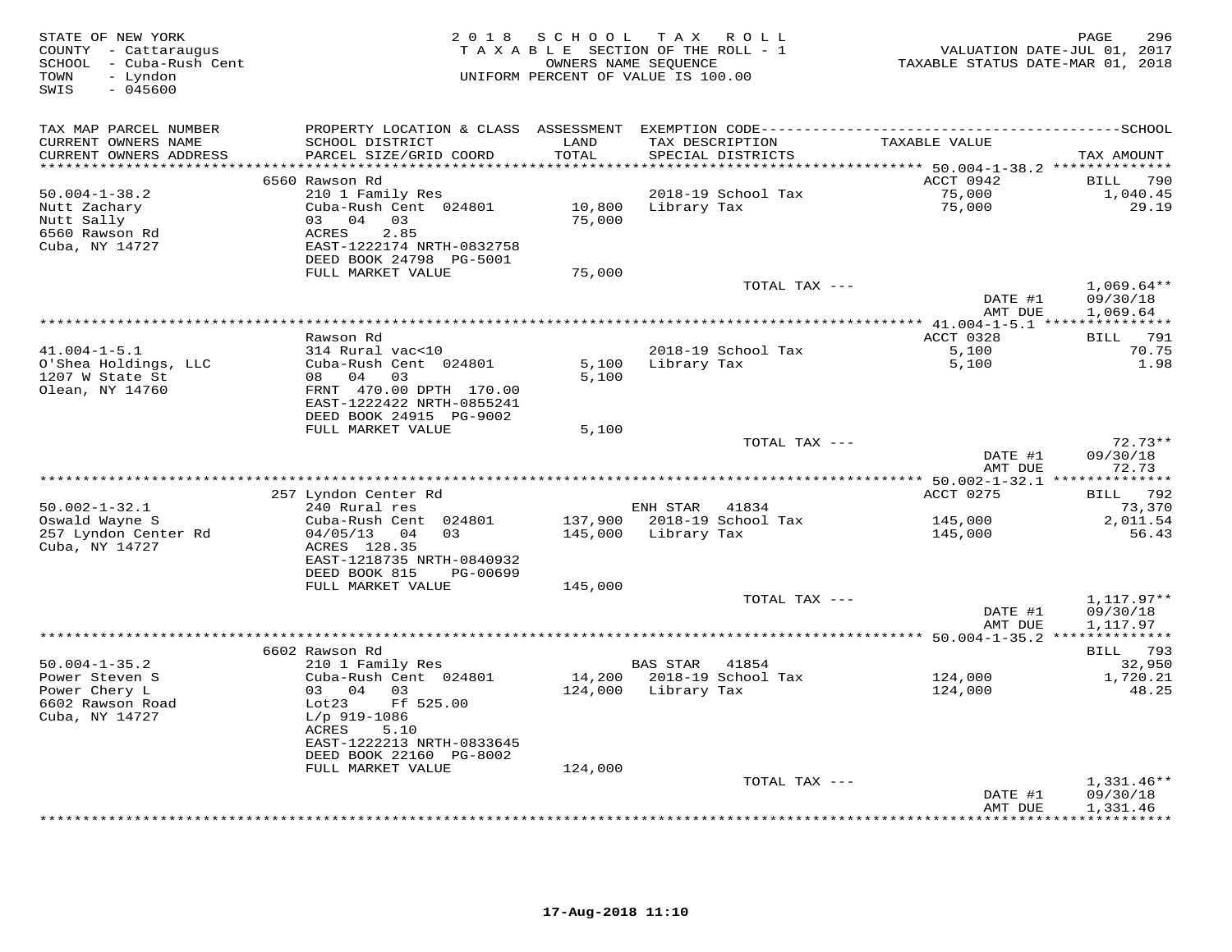| STATE OF NEW YORK<br>COUNTY - Cattaraugus<br>SCHOOL - Cuba-Rush Cent<br>- Lyndon<br>TOWN<br>$-045600$<br>SWIS |                                                                                                                                                         | 2018 SCHOOL<br>TAXABLE SECTION OF THE ROLL - 1<br>UNIFORM PERCENT OF VALUE IS 100.00 | T A X<br>OWNERS NAME SEQUENCE         | ROLL                                 | VALUATION DATE-JUL 01, 2017<br>TAXABLE STATUS DATE-MAR 01, 2018 | PAGE<br>296                             |
|---------------------------------------------------------------------------------------------------------------|---------------------------------------------------------------------------------------------------------------------------------------------------------|--------------------------------------------------------------------------------------|---------------------------------------|--------------------------------------|-----------------------------------------------------------------|-----------------------------------------|
| TAX MAP PARCEL NUMBER<br>CURRENT OWNERS NAME<br>CURRENT OWNERS ADDRESS                                        | SCHOOL DISTRICT<br>PARCEL SIZE/GRID COORD                                                                                                               | LAND<br>TOTAL                                                                        |                                       | TAX DESCRIPTION<br>SPECIAL DISTRICTS | TAXABLE VALUE                                                   | TAX AMOUNT                              |
|                                                                                                               |                                                                                                                                                         | *********                                                                            |                                       |                                      | ********** 50.004-1-38.2 **************                         |                                         |
| $50.004 - 1 - 38.2$<br>Nutt Zachary<br>Nutt Sally<br>6560 Rawson Rd<br>Cuba, NY 14727                         | 6560 Rawson Rd<br>210 1 Family Res<br>Cuba-Rush Cent 024801<br>03 04 03<br><b>ACRES</b><br>2.85<br>EAST-1222174 NRTH-0832758<br>DEED BOOK 24798 PG-5001 | 10,800<br>75,000                                                                     | Library Tax                           | 2018-19 School Tax                   | ACCT 0942<br>75,000<br>75,000                                   | BILL<br>790<br>1,040.45<br>29.19        |
|                                                                                                               | FULL MARKET VALUE                                                                                                                                       | 75,000                                                                               |                                       |                                      |                                                                 |                                         |
|                                                                                                               |                                                                                                                                                         |                                                                                      |                                       | TOTAL TAX ---                        | DATE #1                                                         | $1,069.64**$<br>09/30/18                |
|                                                                                                               |                                                                                                                                                         |                                                                                      |                                       |                                      | AMT DUE                                                         | 1,069.64                                |
|                                                                                                               |                                                                                                                                                         |                                                                                      |                                       |                                      |                                                                 |                                         |
| $41.004 - 1 - 5.1$                                                                                            | Rawson Rd<br>314 Rural vac<10                                                                                                                           |                                                                                      |                                       | 2018-19 School Tax                   | ACCT 0328<br>5,100                                              | <b>BILL</b> 791<br>70.75                |
| O'Shea Holdings, LLC<br>1207 W State St<br>Olean, NY 14760                                                    | Cuba-Rush Cent 024801<br>08 04 03<br>FRNT 470.00 DPTH 170.00                                                                                            | 5,100<br>5,100                                                                       | Library Tax                           |                                      | 5,100                                                           | 1.98                                    |
|                                                                                                               | EAST-1222422 NRTH-0855241<br>DEED BOOK 24915 PG-9002<br>FULL MARKET VALUE                                                                               | 5,100                                                                                |                                       |                                      |                                                                 |                                         |
|                                                                                                               |                                                                                                                                                         |                                                                                      |                                       | TOTAL TAX ---                        | DATE #1<br>AMT DUE                                              | $72.73**$<br>09/30/18<br>72.73          |
|                                                                                                               |                                                                                                                                                         |                                                                                      |                                       |                                      |                                                                 |                                         |
| $50.002 - 1 - 32.1$<br>Oswald Wayne S<br>257 Lyndon Center Rd                                                 | 257 Lyndon Center Rd<br>240 Rural res<br>Cuba-Rush Cent 024801<br>04/05/13 04<br>03                                                                     |                                                                                      | ENH STAR 41834<br>145,000 Library Tax | 137,900 2018-19 School Tax           | ACCT 0275<br>145,000<br>145,000                                 | BILL 792<br>73,370<br>2,011.54<br>56.43 |
| Cuba, NY 14727                                                                                                | ACRES 128.35<br>EAST-1218735 NRTH-0840932<br>DEED BOOK 815<br>PG-00699                                                                                  |                                                                                      |                                       |                                      |                                                                 |                                         |
|                                                                                                               | FULL MARKET VALUE                                                                                                                                       | 145,000                                                                              |                                       |                                      |                                                                 |                                         |
|                                                                                                               |                                                                                                                                                         |                                                                                      |                                       | TOTAL TAX ---                        | DATE #1<br>AMT DUE                                              | $1,117.97**$<br>09/30/18<br>1,117.97    |
|                                                                                                               |                                                                                                                                                         |                                                                                      |                                       |                                      |                                                                 |                                         |
|                                                                                                               | 6602 Rawson Rd                                                                                                                                          |                                                                                      |                                       |                                      |                                                                 | BILL 793                                |
| $50.004 - 1 - 35.2$<br>Power Steven S                                                                         | 210 1 Family Res<br>Cuba-Rush Cent 024801                                                                                                               | 14,200                                                                               | BAS STAR 41854                        | 2018-19 School Tax                   | 124,000                                                         | 32,950<br>1,720.21                      |
| Power Chery L<br>6602 Rawson Road<br>Cuba, NY 14727                                                           | 03 04 03<br>Ff 525.00<br>Lot23<br>$L/p$ 919-1086<br>ACRES<br>5.10<br>EAST-1222213 NRTH-0833645<br>DEED BOOK 22160 PG-8002                               | 124,000                                                                              | Library Tax                           |                                      | 124,000                                                         | 48.25                                   |
|                                                                                                               | FULL MARKET VALUE                                                                                                                                       | 124,000                                                                              |                                       |                                      |                                                                 |                                         |
|                                                                                                               |                                                                                                                                                         |                                                                                      |                                       | TOTAL TAX ---                        | DATE #1<br>AMT DUE                                              | $1,331.46**$<br>09/30/18<br>1,331.46    |
|                                                                                                               |                                                                                                                                                         |                                                                                      |                                       |                                      |                                                                 | <b>+++++++++</b>                        |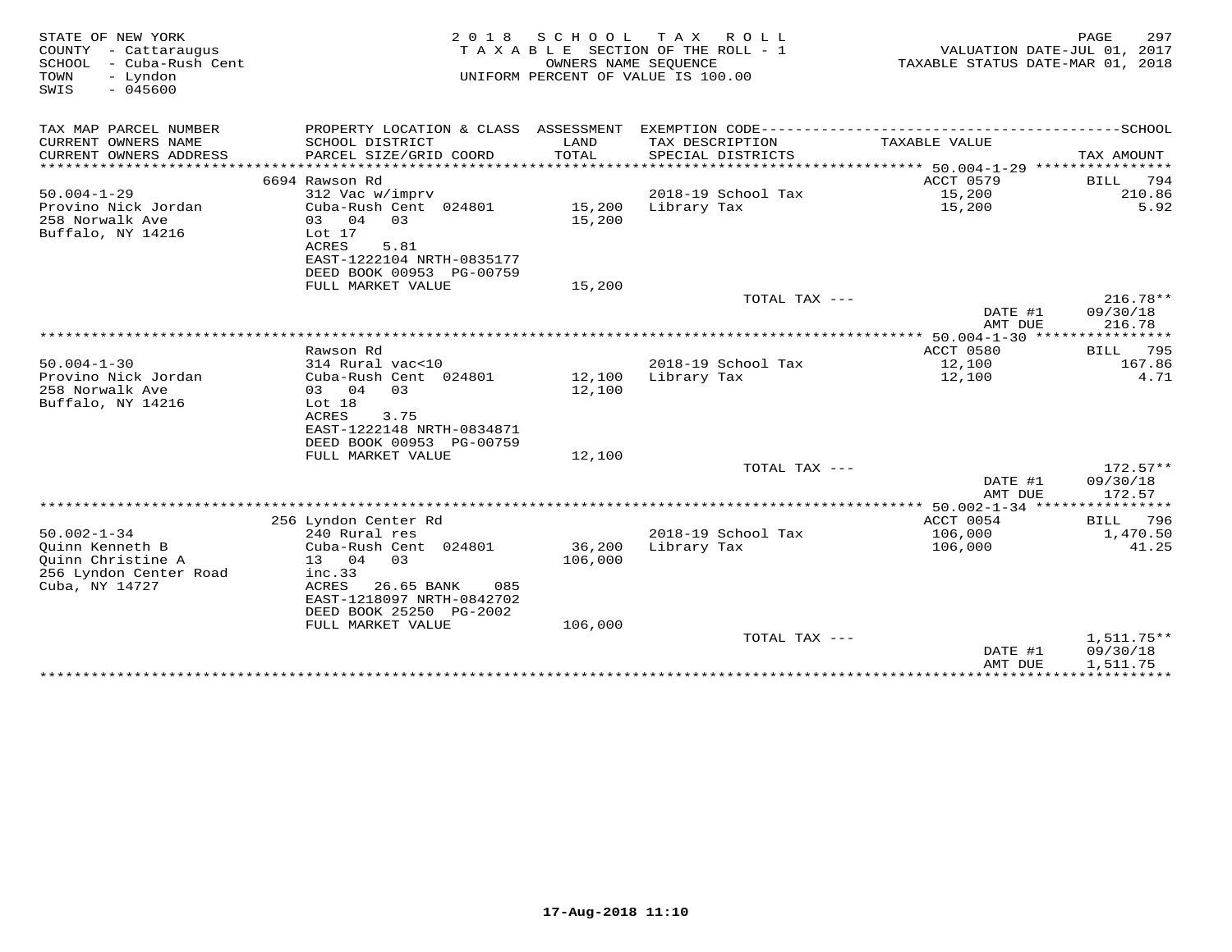| STATE OF NEW YORK<br>COUNTY - Cattaraugus<br>SCHOOL<br>- Cuba-Rush Cent<br>- Lyndon<br>TOWN<br>$-045600$<br>SWIS | 2 0 1 8                           | OWNERS NAME SEQUENCE | SCHOOL TAX ROLL<br>TAXABLE SECTION OF THE ROLL - 1<br>UNIFORM PERCENT OF VALUE IS 100.00 | TAXABLE STATUS DATE-MAR 01, 2018 | PAGE<br>297<br>VALUATION DATE-JUL 01, 2017 |
|------------------------------------------------------------------------------------------------------------------|-----------------------------------|----------------------|------------------------------------------------------------------------------------------|----------------------------------|--------------------------------------------|
| TAX MAP PARCEL NUMBER                                                                                            |                                   |                      |                                                                                          |                                  |                                            |
| CURRENT OWNERS NAME                                                                                              | SCHOOL DISTRICT                   | LAND                 | TAX DESCRIPTION                                                                          | TAXABLE VALUE                    |                                            |
| CURRENT OWNERS ADDRESS                                                                                           | PARCEL SIZE/GRID COORD            | <b>TOTAL</b>         | SPECIAL DISTRICTS                                                                        |                                  | TAX AMOUNT                                 |
| *************************                                                                                        |                                   |                      |                                                                                          |                                  |                                            |
|                                                                                                                  | 6694 Rawson Rd                    |                      |                                                                                          | <b>ACCT 0579</b>                 | 794<br><b>BILL</b>                         |
| $50.004 - 1 - 29$                                                                                                | 312 Vac w/imprv                   |                      | 2018-19 School Tax                                                                       | 15,200                           | 210.86                                     |
| Provino Nick Jordan<br>258 Norwalk Ave                                                                           | Cuba-Rush Cent 024801<br>03 04 03 | 15,200<br>15,200     | Library Tax                                                                              | 15,200                           | 5.92                                       |
| Buffalo, NY 14216                                                                                                | Lot $17$                          |                      |                                                                                          |                                  |                                            |
|                                                                                                                  | ACRES<br>5.81                     |                      |                                                                                          |                                  |                                            |
|                                                                                                                  | EAST-1222104 NRTH-0835177         |                      |                                                                                          |                                  |                                            |
|                                                                                                                  | DEED BOOK 00953 PG-00759          |                      |                                                                                          |                                  |                                            |
|                                                                                                                  | FULL MARKET VALUE                 | 15,200               |                                                                                          |                                  |                                            |
|                                                                                                                  |                                   |                      | TOTAL TAX ---                                                                            |                                  | $216.78**$                                 |
|                                                                                                                  |                                   |                      |                                                                                          | DATE #1<br>AMT DUE               | 09/30/18<br>216.78                         |
|                                                                                                                  |                                   |                      |                                                                                          |                                  |                                            |
|                                                                                                                  | Rawson Rd                         |                      |                                                                                          | ACCT 0580                        | 795<br>BILL                                |
| $50.004 - 1 - 30$                                                                                                | 314 Rural vac<10                  |                      | 2018-19 School Tax                                                                       | 12,100                           | 167.86                                     |
| Provino Nick Jordan                                                                                              | Cuba-Rush Cent 024801             | 12,100               | Library Tax                                                                              | 12,100                           | 4.71                                       |
| 258 Norwalk Ave                                                                                                  | 03 04<br>03                       | 12,100               |                                                                                          |                                  |                                            |
| Buffalo, NY 14216                                                                                                | Lot 18                            |                      |                                                                                          |                                  |                                            |
|                                                                                                                  | ACRES<br>3.75                     |                      |                                                                                          |                                  |                                            |
|                                                                                                                  | EAST-1222148 NRTH-0834871         |                      |                                                                                          |                                  |                                            |
|                                                                                                                  | DEED BOOK 00953 PG-00759          |                      |                                                                                          |                                  |                                            |
|                                                                                                                  | FULL MARKET VALUE                 | 12,100               |                                                                                          |                                  |                                            |
|                                                                                                                  |                                   |                      | TOTAL TAX ---                                                                            | DATE #1                          | $172.57**$<br>09/30/18                     |
|                                                                                                                  |                                   |                      |                                                                                          | AMT DUE                          | 172.57                                     |
|                                                                                                                  |                                   |                      |                                                                                          |                                  |                                            |
|                                                                                                                  | 256 Lyndon Center Rd              |                      |                                                                                          | ACCT 0054                        | BILL<br>796                                |
| $50.002 - 1 - 34$                                                                                                | 240 Rural res                     |                      | 2018-19 School Tax                                                                       | 106,000                          | 1,470.50                                   |
| Ouinn Kenneth B                                                                                                  | Cuba-Rush Cent 024801             | 36,200               | Library Tax                                                                              | 106,000                          | 41.25                                      |
| Ouinn Christine A                                                                                                | 13 04<br>0.3                      | 106,000              |                                                                                          |                                  |                                            |
| 256 Lyndon Center Road                                                                                           | inc.33                            |                      |                                                                                          |                                  |                                            |
| Cuba, NY 14727                                                                                                   | ACRES<br>26.65 BANK<br>085        |                      |                                                                                          |                                  |                                            |
|                                                                                                                  | EAST-1218097 NRTH-0842702         |                      |                                                                                          |                                  |                                            |
|                                                                                                                  | DEED BOOK 25250 PG-2002           |                      |                                                                                          |                                  |                                            |
|                                                                                                                  | FULL MARKET VALUE                 | 106,000              |                                                                                          |                                  |                                            |
|                                                                                                                  |                                   |                      | TOTAL TAX ---                                                                            |                                  | $1,511.75**$                               |
|                                                                                                                  |                                   |                      |                                                                                          | DATE #1                          | 09/30/18                                   |
|                                                                                                                  |                                   |                      |                                                                                          | AMT DUE                          | 1,511.75                                   |
|                                                                                                                  |                                   |                      |                                                                                          |                                  |                                            |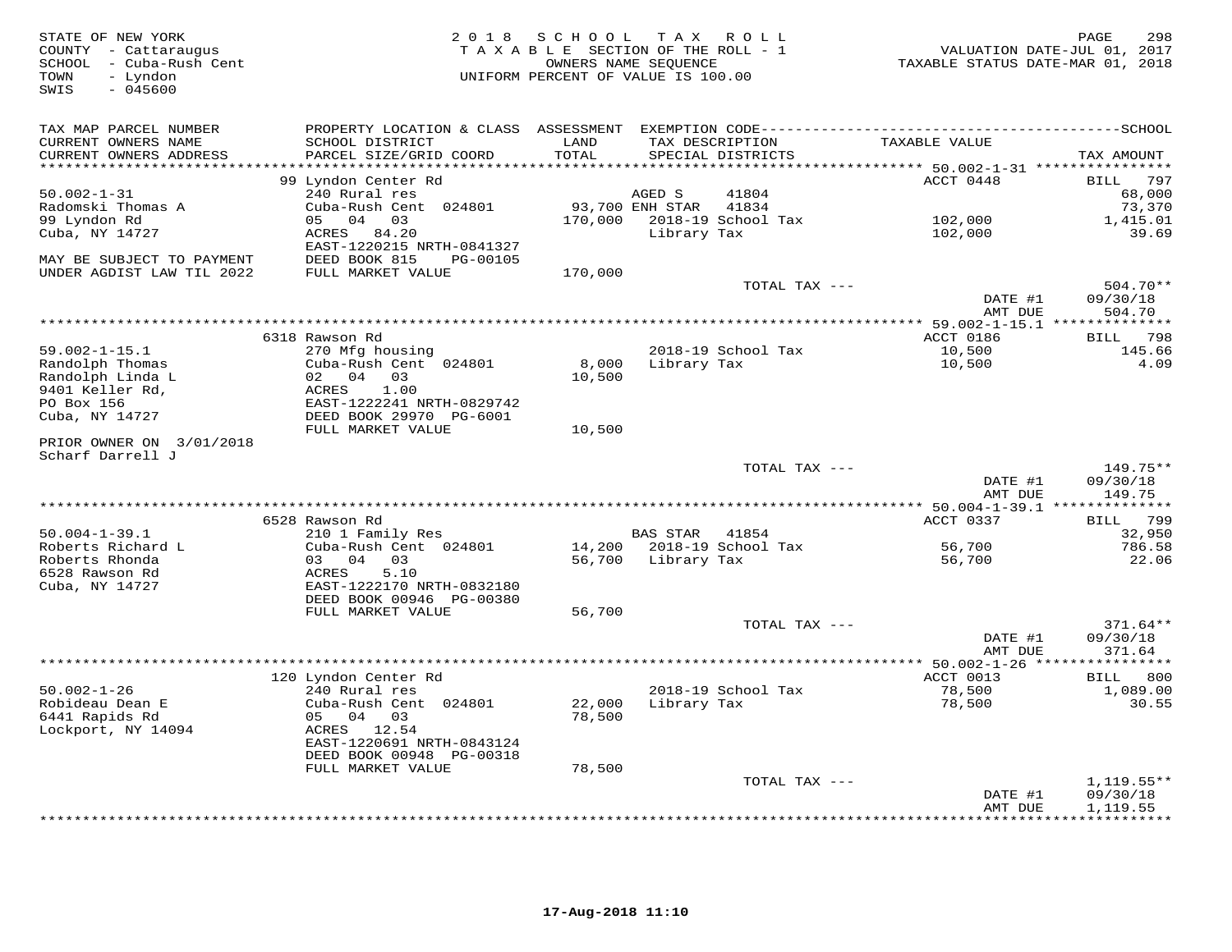| STATE OF NEW YORK<br>COUNTY - Cattaraugus<br>SCHOOL - Cuba-Rush Cent<br>- Lyndon<br>TOWN<br>$-045600$<br>SWIS | 2 0 1 8                                   | SCHOOL<br>TAXABLE SECTION OF THE ROLL - 1<br>OWNERS NAME SEQUENCE<br>UNIFORM PERCENT OF VALUE IS 100.00 | T A X           | ROLL                                 | VALUATION DATE-JUL 01, 2017<br>TAXABLE STATUS DATE-MAR 01, 2018 | PAGE<br>298       |
|---------------------------------------------------------------------------------------------------------------|-------------------------------------------|---------------------------------------------------------------------------------------------------------|-----------------|--------------------------------------|-----------------------------------------------------------------|-------------------|
| TAX MAP PARCEL NUMBER                                                                                         | PROPERTY LOCATION & CLASS ASSESSMENT      |                                                                                                         |                 |                                      |                                                                 |                   |
| CURRENT OWNERS NAME<br>CURRENT OWNERS ADDRESS                                                                 | SCHOOL DISTRICT<br>PARCEL SIZE/GRID COORD | LAND<br>TOTAL                                                                                           |                 | TAX DESCRIPTION<br>SPECIAL DISTRICTS | TAXABLE VALUE                                                   | TAX AMOUNT        |
|                                                                                                               |                                           | * * * * * *                                                                                             |                 |                                      | ******* 50.002-1-31 ***********                                 |                   |
|                                                                                                               | 99 Lyndon Center Rd                       |                                                                                                         |                 |                                      | ACCT 0448                                                       | 797<br>BILL       |
| $50.002 - 1 - 31$                                                                                             | 240 Rural res                             |                                                                                                         | AGED S          | 41804                                |                                                                 | 68,000            |
| Radomski Thomas A                                                                                             | Cuba-Rush Cent 024801                     |                                                                                                         | 93,700 ENH STAR | 41834                                |                                                                 | 73,370            |
| 99 Lyndon Rd                                                                                                  | 05 04 03                                  | 170,000                                                                                                 |                 | 2018-19 School Tax                   | 102,000                                                         | 1,415.01          |
| Cuba, NY 14727                                                                                                | ACRES 84.20                               |                                                                                                         | Library Tax     |                                      | 102,000                                                         | 39.69             |
|                                                                                                               | EAST-1220215 NRTH-0841327                 |                                                                                                         |                 |                                      |                                                                 |                   |
| MAY BE SUBJECT TO PAYMENT                                                                                     | DEED BOOK 815<br>PG-00105                 |                                                                                                         |                 |                                      |                                                                 |                   |
| UNDER AGDIST LAW TIL 2022                                                                                     | FULL MARKET VALUE                         | 170,000                                                                                                 |                 | TOTAL TAX ---                        |                                                                 | 504.70**          |
|                                                                                                               |                                           |                                                                                                         |                 |                                      | DATE #1                                                         | 09/30/18          |
|                                                                                                               |                                           |                                                                                                         |                 |                                      | AMT DUE                                                         | 504.70            |
|                                                                                                               |                                           |                                                                                                         |                 |                                      |                                                                 |                   |
|                                                                                                               | 6318 Rawson Rd                            |                                                                                                         |                 |                                      | ACCT 0186                                                       | 798<br>BILL       |
| $59.002 - 1 - 15.1$                                                                                           | 270 Mfg housing                           |                                                                                                         |                 | 2018-19 School Tax                   | 10,500                                                          | 145.66            |
| Randolph Thomas                                                                                               | Cuba-Rush Cent 024801                     | 8,000                                                                                                   | Library Tax     |                                      | 10,500                                                          | 4.09              |
| Randolph Linda L                                                                                              | 02 04 03                                  | 10,500                                                                                                  |                 |                                      |                                                                 |                   |
| 9401 Keller Rd,                                                                                               | ACRES<br>1.00                             |                                                                                                         |                 |                                      |                                                                 |                   |
| PO Box 156                                                                                                    | EAST-1222241 NRTH-0829742                 |                                                                                                         |                 |                                      |                                                                 |                   |
| Cuba, NY 14727                                                                                                | DEED BOOK 29970 PG-6001                   |                                                                                                         |                 |                                      |                                                                 |                   |
|                                                                                                               | FULL MARKET VALUE                         | 10,500                                                                                                  |                 |                                      |                                                                 |                   |
| PRIOR OWNER ON 3/01/2018<br>Scharf Darrell J                                                                  |                                           |                                                                                                         |                 |                                      |                                                                 |                   |
|                                                                                                               |                                           |                                                                                                         |                 | TOTAL TAX ---                        |                                                                 | 149.75**          |
|                                                                                                               |                                           |                                                                                                         |                 |                                      | DATE #1                                                         | 09/30/18          |
|                                                                                                               |                                           |                                                                                                         |                 |                                      | AMT DUE                                                         | 149.75            |
|                                                                                                               | ******************************            |                                                                                                         |                 |                                      | $******$ 50.004-1-39.1 **                                       | *********         |
|                                                                                                               | 6528 Rawson Rd                            |                                                                                                         |                 |                                      | ACCT 0337                                                       | 799<br>BILL       |
| $50.004 - 1 - 39.1$                                                                                           | 210 1 Family Res                          |                                                                                                         | <b>BAS STAR</b> | 41854                                |                                                                 | 32,950            |
| Roberts Richard L                                                                                             | Cuba-Rush Cent 024801                     | 14,200                                                                                                  |                 | 2018-19 School Tax                   | 56,700                                                          | 786.58            |
| Roberts Rhonda                                                                                                | 03<br>04<br>03                            | 56,700                                                                                                  | Library Tax     |                                      | 56,700                                                          | 22.06             |
| 6528 Rawson Rd                                                                                                | 5.10<br><b>ACRES</b>                      |                                                                                                         |                 |                                      |                                                                 |                   |
| Cuba, NY 14727                                                                                                | EAST-1222170 NRTH-0832180                 |                                                                                                         |                 |                                      |                                                                 |                   |
|                                                                                                               | DEED BOOK 00946 PG-00380                  |                                                                                                         |                 |                                      |                                                                 |                   |
|                                                                                                               | FULL MARKET VALUE                         | 56,700                                                                                                  |                 |                                      |                                                                 |                   |
|                                                                                                               |                                           |                                                                                                         |                 | TOTAL TAX ---                        |                                                                 | $371.64**$        |
|                                                                                                               |                                           |                                                                                                         |                 |                                      | DATE #1                                                         | 09/30/18          |
|                                                                                                               |                                           |                                                                                                         |                 |                                      | AMT DUE                                                         | 371.64            |
|                                                                                                               |                                           |                                                                                                         |                 |                                      |                                                                 |                   |
| $50.002 - 1 - 26$                                                                                             | 120 Lyndon Center Rd                      |                                                                                                         |                 |                                      | ACCT 0013                                                       | BILL 800          |
| Robideau Dean E                                                                                               | 240 Rural res<br>Cuba-Rush Cent 024801    | 22,000                                                                                                  | Library Tax     | 2018-19 School Tax                   | 78,500<br>78,500                                                | 1,089.00<br>30.55 |
| 6441 Rapids Rd                                                                                                | 05<br>04<br>03                            | 78,500                                                                                                  |                 |                                      |                                                                 |                   |
| Lockport, NY 14094                                                                                            | ACRES 12.54                               |                                                                                                         |                 |                                      |                                                                 |                   |
|                                                                                                               | EAST-1220691 NRTH-0843124                 |                                                                                                         |                 |                                      |                                                                 |                   |
|                                                                                                               | DEED BOOK 00948 PG-00318                  |                                                                                                         |                 |                                      |                                                                 |                   |
|                                                                                                               | FULL MARKET VALUE                         | 78,500                                                                                                  |                 |                                      |                                                                 |                   |
|                                                                                                               |                                           |                                                                                                         |                 | TOTAL TAX ---                        |                                                                 | $1,119.55**$      |
|                                                                                                               |                                           |                                                                                                         |                 |                                      | DATE #1                                                         | 09/30/18          |
|                                                                                                               |                                           |                                                                                                         |                 |                                      | AMT DUE                                                         | 1,119.55          |
|                                                                                                               |                                           |                                                                                                         |                 |                                      |                                                                 | * * * * * * * * * |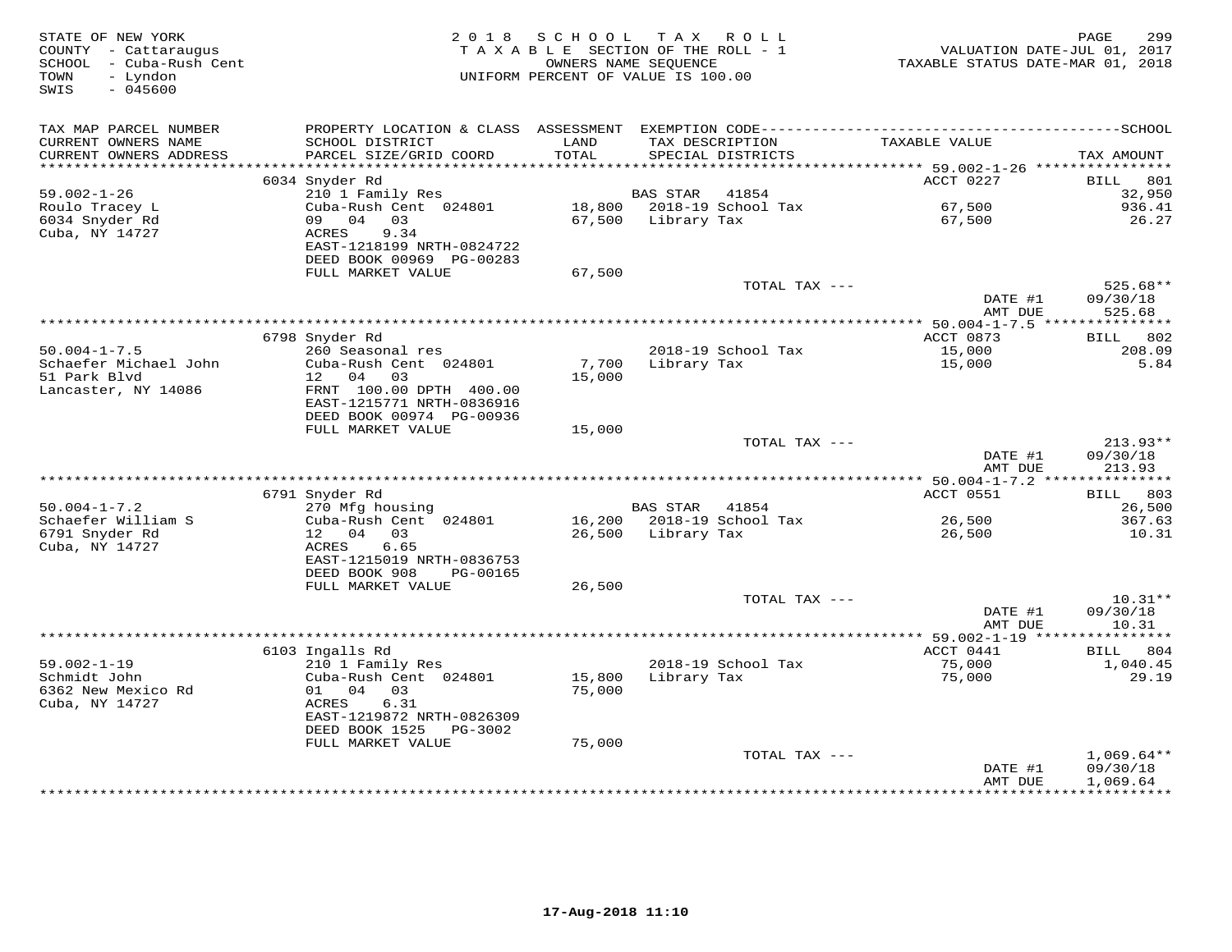| TAX MAP PARCEL NUMBER<br>CURRENT OWNERS NAME<br>SCHOOL DISTRICT<br>LAND<br>TAXABLE VALUE<br>TAX DESCRIPTION<br>CURRENT OWNERS ADDRESS<br>PARCEL SIZE/GRID COORD<br>TOTAL<br>SPECIAL DISTRICTS<br>TAX AMOUNT<br>***********************<br>ACCT 0227<br>6034 Snyder Rd<br>BILL<br>801<br>$59.002 - 1 - 26$<br>210 1 Family Res<br>41854<br>32,950<br>BAS STAR<br>Cuba-Rush Cent 024801<br>18,800<br>2018-19 School Tax<br>67,500<br>936.41<br>Roulo Tracey L<br>6034 Snyder Rd<br>09 04 03<br>67,500<br>Library Tax<br>26.27<br>67,500<br>Cuba, NY 14727<br>ACRES<br>9.34<br>EAST-1218199 NRTH-0824722<br>DEED BOOK 00969 PG-00283<br>FULL MARKET VALUE<br>67,500<br>TOTAL TAX ---<br>$525.68**$<br>DATE #1<br>09/30/18<br>AMT DUE<br>525.68<br>********* 50.004-1-7.5 ***<br>***********<br>6798 Snyder Rd<br>ACCT 0873<br>BILL 802<br>$50.004 - 1 - 7.5$<br>260 Seasonal res<br>2018-19 School Tax<br>15,000<br>208.09<br>Schaefer Michael John<br>Cuba-Rush Cent 024801<br>Library Tax<br>5.84<br>7,700<br>15,000<br>51 Park Blvd<br>12  04  03<br>15,000<br>Lancaster, NY 14086<br>FRNT 100.00 DPTH 400.00<br>EAST-1215771 NRTH-0836916<br>DEED BOOK 00974 PG-00936<br>FULL MARKET VALUE<br>15,000<br>TOTAL TAX ---<br>$213.93**$<br>DATE #1<br>09/30/18<br>AMT DUE<br>213.93<br>ACCT 0551<br>6791 Snyder Rd<br>803<br>BILL<br>$50.004 - 1 - 7.2$<br>270 Mfg housing<br>BAS STAR 41854<br>26,500<br>Schaefer William S<br>Cuba-Rush Cent 024801<br>16,200 2018-19 School Tax<br>26,500<br>367.63<br>6791 Snyder Rd<br>12 04 03<br>26,500 Library Tax<br>26,500<br>10.31<br>Cuba, NY 14727<br>ACRES<br>6.65<br>EAST-1215019 NRTH-0836753<br>DEED BOOK 908<br>PG-00165<br>FULL MARKET VALUE<br>26,500<br>$10.31**$<br>TOTAL TAX ---<br>DATE #1<br>09/30/18<br>AMT DUE<br>10.31<br>6103 Ingalls Rd<br>ACCT 0441<br>804<br>BILL<br>$59.002 - 1 - 19$<br>210 1 Family Res<br>2018-19 School Tax<br>75,000<br>1,040.45<br>Schmidt John<br>Cuba-Rush Cent 024801<br>15,800<br>Library Tax<br>75,000<br>29.19<br>01 04 03<br>6362 New Mexico Rd<br>75,000<br>Cuba, NY 14727<br>ACRES<br>6.31<br>EAST-1219872 NRTH-0826309<br>DEED BOOK 1525<br>PG-3002<br>75,000<br>FULL MARKET VALUE<br>TOTAL TAX ---<br>$1,069.64**$<br>DATE #1<br>09/30/18<br>AMT DUE<br>1,069.64<br>***********<br>*************** | STATE OF NEW YORK<br>COUNTY - Cattaraugus<br>SCHOOL - Cuba-Rush Cent<br>- Lyndon<br>TOWN<br>SWIS<br>$-045600$ | 2018 | S C H O O L | TAX ROLL<br>TAXABLE SECTION OF THE ROLL - 1<br>OWNERS NAME SEQUENCE<br>UNIFORM PERCENT OF VALUE IS 100.00 | VALUATION DATE-JUL 01, 2017<br>TAXABLE STATUS DATE-MAR 01, 2018 | 299<br>PAGE |
|---------------------------------------------------------------------------------------------------------------------------------------------------------------------------------------------------------------------------------------------------------------------------------------------------------------------------------------------------------------------------------------------------------------------------------------------------------------------------------------------------------------------------------------------------------------------------------------------------------------------------------------------------------------------------------------------------------------------------------------------------------------------------------------------------------------------------------------------------------------------------------------------------------------------------------------------------------------------------------------------------------------------------------------------------------------------------------------------------------------------------------------------------------------------------------------------------------------------------------------------------------------------------------------------------------------------------------------------------------------------------------------------------------------------------------------------------------------------------------------------------------------------------------------------------------------------------------------------------------------------------------------------------------------------------------------------------------------------------------------------------------------------------------------------------------------------------------------------------------------------------------------------------------------------------------------------------------------------------------------------------------------------------------------------------------------------------------------------------------------------------------------------------------------------------------------------------------------------------------------------------------------------------------------------------|---------------------------------------------------------------------------------------------------------------|------|-------------|-----------------------------------------------------------------------------------------------------------|-----------------------------------------------------------------|-------------|
|                                                                                                                                                                                                                                                                                                                                                                                                                                                                                                                                                                                                                                                                                                                                                                                                                                                                                                                                                                                                                                                                                                                                                                                                                                                                                                                                                                                                                                                                                                                                                                                                                                                                                                                                                                                                                                                                                                                                                                                                                                                                                                                                                                                                                                                                                                   |                                                                                                               |      |             |                                                                                                           |                                                                 |             |
|                                                                                                                                                                                                                                                                                                                                                                                                                                                                                                                                                                                                                                                                                                                                                                                                                                                                                                                                                                                                                                                                                                                                                                                                                                                                                                                                                                                                                                                                                                                                                                                                                                                                                                                                                                                                                                                                                                                                                                                                                                                                                                                                                                                                                                                                                                   |                                                                                                               |      |             |                                                                                                           |                                                                 |             |
|                                                                                                                                                                                                                                                                                                                                                                                                                                                                                                                                                                                                                                                                                                                                                                                                                                                                                                                                                                                                                                                                                                                                                                                                                                                                                                                                                                                                                                                                                                                                                                                                                                                                                                                                                                                                                                                                                                                                                                                                                                                                                                                                                                                                                                                                                                   |                                                                                                               |      |             |                                                                                                           |                                                                 |             |
|                                                                                                                                                                                                                                                                                                                                                                                                                                                                                                                                                                                                                                                                                                                                                                                                                                                                                                                                                                                                                                                                                                                                                                                                                                                                                                                                                                                                                                                                                                                                                                                                                                                                                                                                                                                                                                                                                                                                                                                                                                                                                                                                                                                                                                                                                                   |                                                                                                               |      |             |                                                                                                           |                                                                 |             |
|                                                                                                                                                                                                                                                                                                                                                                                                                                                                                                                                                                                                                                                                                                                                                                                                                                                                                                                                                                                                                                                                                                                                                                                                                                                                                                                                                                                                                                                                                                                                                                                                                                                                                                                                                                                                                                                                                                                                                                                                                                                                                                                                                                                                                                                                                                   |                                                                                                               |      |             |                                                                                                           |                                                                 |             |
|                                                                                                                                                                                                                                                                                                                                                                                                                                                                                                                                                                                                                                                                                                                                                                                                                                                                                                                                                                                                                                                                                                                                                                                                                                                                                                                                                                                                                                                                                                                                                                                                                                                                                                                                                                                                                                                                                                                                                                                                                                                                                                                                                                                                                                                                                                   |                                                                                                               |      |             |                                                                                                           |                                                                 |             |
|                                                                                                                                                                                                                                                                                                                                                                                                                                                                                                                                                                                                                                                                                                                                                                                                                                                                                                                                                                                                                                                                                                                                                                                                                                                                                                                                                                                                                                                                                                                                                                                                                                                                                                                                                                                                                                                                                                                                                                                                                                                                                                                                                                                                                                                                                                   |                                                                                                               |      |             |                                                                                                           |                                                                 |             |
|                                                                                                                                                                                                                                                                                                                                                                                                                                                                                                                                                                                                                                                                                                                                                                                                                                                                                                                                                                                                                                                                                                                                                                                                                                                                                                                                                                                                                                                                                                                                                                                                                                                                                                                                                                                                                                                                                                                                                                                                                                                                                                                                                                                                                                                                                                   |                                                                                                               |      |             |                                                                                                           |                                                                 |             |
|                                                                                                                                                                                                                                                                                                                                                                                                                                                                                                                                                                                                                                                                                                                                                                                                                                                                                                                                                                                                                                                                                                                                                                                                                                                                                                                                                                                                                                                                                                                                                                                                                                                                                                                                                                                                                                                                                                                                                                                                                                                                                                                                                                                                                                                                                                   |                                                                                                               |      |             |                                                                                                           |                                                                 |             |
|                                                                                                                                                                                                                                                                                                                                                                                                                                                                                                                                                                                                                                                                                                                                                                                                                                                                                                                                                                                                                                                                                                                                                                                                                                                                                                                                                                                                                                                                                                                                                                                                                                                                                                                                                                                                                                                                                                                                                                                                                                                                                                                                                                                                                                                                                                   |                                                                                                               |      |             |                                                                                                           |                                                                 |             |
|                                                                                                                                                                                                                                                                                                                                                                                                                                                                                                                                                                                                                                                                                                                                                                                                                                                                                                                                                                                                                                                                                                                                                                                                                                                                                                                                                                                                                                                                                                                                                                                                                                                                                                                                                                                                                                                                                                                                                                                                                                                                                                                                                                                                                                                                                                   |                                                                                                               |      |             |                                                                                                           |                                                                 |             |
|                                                                                                                                                                                                                                                                                                                                                                                                                                                                                                                                                                                                                                                                                                                                                                                                                                                                                                                                                                                                                                                                                                                                                                                                                                                                                                                                                                                                                                                                                                                                                                                                                                                                                                                                                                                                                                                                                                                                                                                                                                                                                                                                                                                                                                                                                                   |                                                                                                               |      |             |                                                                                                           |                                                                 |             |
|                                                                                                                                                                                                                                                                                                                                                                                                                                                                                                                                                                                                                                                                                                                                                                                                                                                                                                                                                                                                                                                                                                                                                                                                                                                                                                                                                                                                                                                                                                                                                                                                                                                                                                                                                                                                                                                                                                                                                                                                                                                                                                                                                                                                                                                                                                   |                                                                                                               |      |             |                                                                                                           |                                                                 |             |
|                                                                                                                                                                                                                                                                                                                                                                                                                                                                                                                                                                                                                                                                                                                                                                                                                                                                                                                                                                                                                                                                                                                                                                                                                                                                                                                                                                                                                                                                                                                                                                                                                                                                                                                                                                                                                                                                                                                                                                                                                                                                                                                                                                                                                                                                                                   |                                                                                                               |      |             |                                                                                                           |                                                                 |             |
|                                                                                                                                                                                                                                                                                                                                                                                                                                                                                                                                                                                                                                                                                                                                                                                                                                                                                                                                                                                                                                                                                                                                                                                                                                                                                                                                                                                                                                                                                                                                                                                                                                                                                                                                                                                                                                                                                                                                                                                                                                                                                                                                                                                                                                                                                                   |                                                                                                               |      |             |                                                                                                           |                                                                 |             |
|                                                                                                                                                                                                                                                                                                                                                                                                                                                                                                                                                                                                                                                                                                                                                                                                                                                                                                                                                                                                                                                                                                                                                                                                                                                                                                                                                                                                                                                                                                                                                                                                                                                                                                                                                                                                                                                                                                                                                                                                                                                                                                                                                                                                                                                                                                   |                                                                                                               |      |             |                                                                                                           |                                                                 |             |
|                                                                                                                                                                                                                                                                                                                                                                                                                                                                                                                                                                                                                                                                                                                                                                                                                                                                                                                                                                                                                                                                                                                                                                                                                                                                                                                                                                                                                                                                                                                                                                                                                                                                                                                                                                                                                                                                                                                                                                                                                                                                                                                                                                                                                                                                                                   |                                                                                                               |      |             |                                                                                                           |                                                                 |             |
|                                                                                                                                                                                                                                                                                                                                                                                                                                                                                                                                                                                                                                                                                                                                                                                                                                                                                                                                                                                                                                                                                                                                                                                                                                                                                                                                                                                                                                                                                                                                                                                                                                                                                                                                                                                                                                                                                                                                                                                                                                                                                                                                                                                                                                                                                                   |                                                                                                               |      |             |                                                                                                           |                                                                 |             |
|                                                                                                                                                                                                                                                                                                                                                                                                                                                                                                                                                                                                                                                                                                                                                                                                                                                                                                                                                                                                                                                                                                                                                                                                                                                                                                                                                                                                                                                                                                                                                                                                                                                                                                                                                                                                                                                                                                                                                                                                                                                                                                                                                                                                                                                                                                   |                                                                                                               |      |             |                                                                                                           |                                                                 |             |
|                                                                                                                                                                                                                                                                                                                                                                                                                                                                                                                                                                                                                                                                                                                                                                                                                                                                                                                                                                                                                                                                                                                                                                                                                                                                                                                                                                                                                                                                                                                                                                                                                                                                                                                                                                                                                                                                                                                                                                                                                                                                                                                                                                                                                                                                                                   |                                                                                                               |      |             |                                                                                                           |                                                                 |             |
|                                                                                                                                                                                                                                                                                                                                                                                                                                                                                                                                                                                                                                                                                                                                                                                                                                                                                                                                                                                                                                                                                                                                                                                                                                                                                                                                                                                                                                                                                                                                                                                                                                                                                                                                                                                                                                                                                                                                                                                                                                                                                                                                                                                                                                                                                                   |                                                                                                               |      |             |                                                                                                           |                                                                 |             |
|                                                                                                                                                                                                                                                                                                                                                                                                                                                                                                                                                                                                                                                                                                                                                                                                                                                                                                                                                                                                                                                                                                                                                                                                                                                                                                                                                                                                                                                                                                                                                                                                                                                                                                                                                                                                                                                                                                                                                                                                                                                                                                                                                                                                                                                                                                   |                                                                                                               |      |             |                                                                                                           |                                                                 |             |
|                                                                                                                                                                                                                                                                                                                                                                                                                                                                                                                                                                                                                                                                                                                                                                                                                                                                                                                                                                                                                                                                                                                                                                                                                                                                                                                                                                                                                                                                                                                                                                                                                                                                                                                                                                                                                                                                                                                                                                                                                                                                                                                                                                                                                                                                                                   |                                                                                                               |      |             |                                                                                                           |                                                                 |             |
|                                                                                                                                                                                                                                                                                                                                                                                                                                                                                                                                                                                                                                                                                                                                                                                                                                                                                                                                                                                                                                                                                                                                                                                                                                                                                                                                                                                                                                                                                                                                                                                                                                                                                                                                                                                                                                                                                                                                                                                                                                                                                                                                                                                                                                                                                                   |                                                                                                               |      |             |                                                                                                           |                                                                 |             |
|                                                                                                                                                                                                                                                                                                                                                                                                                                                                                                                                                                                                                                                                                                                                                                                                                                                                                                                                                                                                                                                                                                                                                                                                                                                                                                                                                                                                                                                                                                                                                                                                                                                                                                                                                                                                                                                                                                                                                                                                                                                                                                                                                                                                                                                                                                   |                                                                                                               |      |             |                                                                                                           |                                                                 |             |
|                                                                                                                                                                                                                                                                                                                                                                                                                                                                                                                                                                                                                                                                                                                                                                                                                                                                                                                                                                                                                                                                                                                                                                                                                                                                                                                                                                                                                                                                                                                                                                                                                                                                                                                                                                                                                                                                                                                                                                                                                                                                                                                                                                                                                                                                                                   |                                                                                                               |      |             |                                                                                                           |                                                                 |             |
|                                                                                                                                                                                                                                                                                                                                                                                                                                                                                                                                                                                                                                                                                                                                                                                                                                                                                                                                                                                                                                                                                                                                                                                                                                                                                                                                                                                                                                                                                                                                                                                                                                                                                                                                                                                                                                                                                                                                                                                                                                                                                                                                                                                                                                                                                                   |                                                                                                               |      |             |                                                                                                           |                                                                 |             |
|                                                                                                                                                                                                                                                                                                                                                                                                                                                                                                                                                                                                                                                                                                                                                                                                                                                                                                                                                                                                                                                                                                                                                                                                                                                                                                                                                                                                                                                                                                                                                                                                                                                                                                                                                                                                                                                                                                                                                                                                                                                                                                                                                                                                                                                                                                   |                                                                                                               |      |             |                                                                                                           |                                                                 |             |
|                                                                                                                                                                                                                                                                                                                                                                                                                                                                                                                                                                                                                                                                                                                                                                                                                                                                                                                                                                                                                                                                                                                                                                                                                                                                                                                                                                                                                                                                                                                                                                                                                                                                                                                                                                                                                                                                                                                                                                                                                                                                                                                                                                                                                                                                                                   |                                                                                                               |      |             |                                                                                                           |                                                                 |             |
|                                                                                                                                                                                                                                                                                                                                                                                                                                                                                                                                                                                                                                                                                                                                                                                                                                                                                                                                                                                                                                                                                                                                                                                                                                                                                                                                                                                                                                                                                                                                                                                                                                                                                                                                                                                                                                                                                                                                                                                                                                                                                                                                                                                                                                                                                                   |                                                                                                               |      |             |                                                                                                           |                                                                 |             |
|                                                                                                                                                                                                                                                                                                                                                                                                                                                                                                                                                                                                                                                                                                                                                                                                                                                                                                                                                                                                                                                                                                                                                                                                                                                                                                                                                                                                                                                                                                                                                                                                                                                                                                                                                                                                                                                                                                                                                                                                                                                                                                                                                                                                                                                                                                   |                                                                                                               |      |             |                                                                                                           |                                                                 |             |
|                                                                                                                                                                                                                                                                                                                                                                                                                                                                                                                                                                                                                                                                                                                                                                                                                                                                                                                                                                                                                                                                                                                                                                                                                                                                                                                                                                                                                                                                                                                                                                                                                                                                                                                                                                                                                                                                                                                                                                                                                                                                                                                                                                                                                                                                                                   |                                                                                                               |      |             |                                                                                                           |                                                                 |             |
|                                                                                                                                                                                                                                                                                                                                                                                                                                                                                                                                                                                                                                                                                                                                                                                                                                                                                                                                                                                                                                                                                                                                                                                                                                                                                                                                                                                                                                                                                                                                                                                                                                                                                                                                                                                                                                                                                                                                                                                                                                                                                                                                                                                                                                                                                                   |                                                                                                               |      |             |                                                                                                           |                                                                 |             |
|                                                                                                                                                                                                                                                                                                                                                                                                                                                                                                                                                                                                                                                                                                                                                                                                                                                                                                                                                                                                                                                                                                                                                                                                                                                                                                                                                                                                                                                                                                                                                                                                                                                                                                                                                                                                                                                                                                                                                                                                                                                                                                                                                                                                                                                                                                   |                                                                                                               |      |             |                                                                                                           |                                                                 |             |
|                                                                                                                                                                                                                                                                                                                                                                                                                                                                                                                                                                                                                                                                                                                                                                                                                                                                                                                                                                                                                                                                                                                                                                                                                                                                                                                                                                                                                                                                                                                                                                                                                                                                                                                                                                                                                                                                                                                                                                                                                                                                                                                                                                                                                                                                                                   |                                                                                                               |      |             |                                                                                                           |                                                                 |             |
|                                                                                                                                                                                                                                                                                                                                                                                                                                                                                                                                                                                                                                                                                                                                                                                                                                                                                                                                                                                                                                                                                                                                                                                                                                                                                                                                                                                                                                                                                                                                                                                                                                                                                                                                                                                                                                                                                                                                                                                                                                                                                                                                                                                                                                                                                                   |                                                                                                               |      |             |                                                                                                           |                                                                 |             |
|                                                                                                                                                                                                                                                                                                                                                                                                                                                                                                                                                                                                                                                                                                                                                                                                                                                                                                                                                                                                                                                                                                                                                                                                                                                                                                                                                                                                                                                                                                                                                                                                                                                                                                                                                                                                                                                                                                                                                                                                                                                                                                                                                                                                                                                                                                   |                                                                                                               |      |             |                                                                                                           |                                                                 |             |
|                                                                                                                                                                                                                                                                                                                                                                                                                                                                                                                                                                                                                                                                                                                                                                                                                                                                                                                                                                                                                                                                                                                                                                                                                                                                                                                                                                                                                                                                                                                                                                                                                                                                                                                                                                                                                                                                                                                                                                                                                                                                                                                                                                                                                                                                                                   |                                                                                                               |      |             |                                                                                                           |                                                                 |             |
|                                                                                                                                                                                                                                                                                                                                                                                                                                                                                                                                                                                                                                                                                                                                                                                                                                                                                                                                                                                                                                                                                                                                                                                                                                                                                                                                                                                                                                                                                                                                                                                                                                                                                                                                                                                                                                                                                                                                                                                                                                                                                                                                                                                                                                                                                                   |                                                                                                               |      |             |                                                                                                           |                                                                 |             |
|                                                                                                                                                                                                                                                                                                                                                                                                                                                                                                                                                                                                                                                                                                                                                                                                                                                                                                                                                                                                                                                                                                                                                                                                                                                                                                                                                                                                                                                                                                                                                                                                                                                                                                                                                                                                                                                                                                                                                                                                                                                                                                                                                                                                                                                                                                   |                                                                                                               |      |             |                                                                                                           |                                                                 |             |
|                                                                                                                                                                                                                                                                                                                                                                                                                                                                                                                                                                                                                                                                                                                                                                                                                                                                                                                                                                                                                                                                                                                                                                                                                                                                                                                                                                                                                                                                                                                                                                                                                                                                                                                                                                                                                                                                                                                                                                                                                                                                                                                                                                                                                                                                                                   |                                                                                                               |      |             |                                                                                                           |                                                                 |             |
|                                                                                                                                                                                                                                                                                                                                                                                                                                                                                                                                                                                                                                                                                                                                                                                                                                                                                                                                                                                                                                                                                                                                                                                                                                                                                                                                                                                                                                                                                                                                                                                                                                                                                                                                                                                                                                                                                                                                                                                                                                                                                                                                                                                                                                                                                                   |                                                                                                               |      |             |                                                                                                           |                                                                 |             |
|                                                                                                                                                                                                                                                                                                                                                                                                                                                                                                                                                                                                                                                                                                                                                                                                                                                                                                                                                                                                                                                                                                                                                                                                                                                                                                                                                                                                                                                                                                                                                                                                                                                                                                                                                                                                                                                                                                                                                                                                                                                                                                                                                                                                                                                                                                   |                                                                                                               |      |             |                                                                                                           |                                                                 |             |
|                                                                                                                                                                                                                                                                                                                                                                                                                                                                                                                                                                                                                                                                                                                                                                                                                                                                                                                                                                                                                                                                                                                                                                                                                                                                                                                                                                                                                                                                                                                                                                                                                                                                                                                                                                                                                                                                                                                                                                                                                                                                                                                                                                                                                                                                                                   |                                                                                                               |      |             |                                                                                                           |                                                                 |             |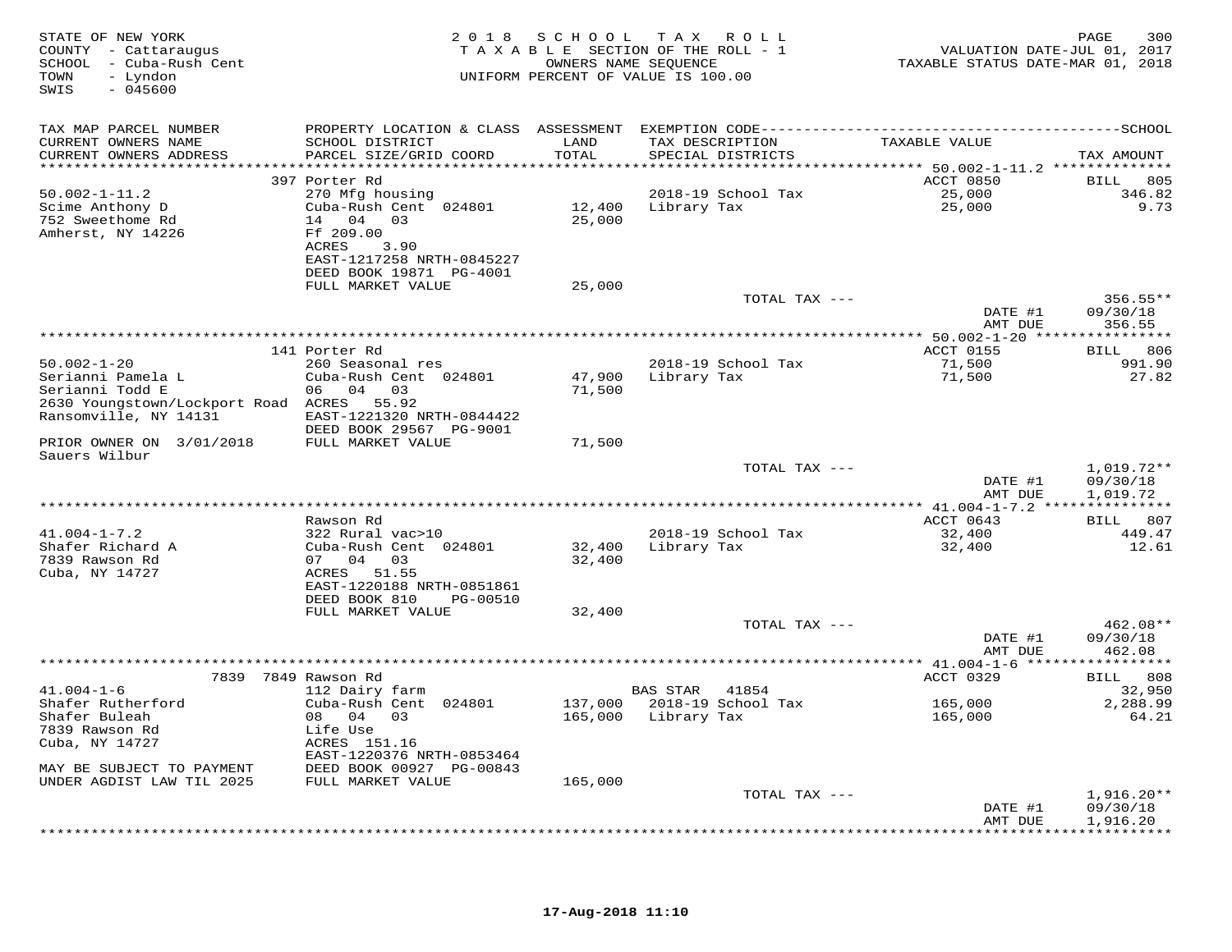| STATE OF NEW YORK<br>COUNTY - Cattaraugus<br>SCHOOL - Cuba-Rush Cent<br>- Lyndon<br>TOWN<br>$-045600$<br>SWIS |                                            |         | 2018 SCHOOL TAX ROLL<br>TAXABLE SECTION OF THE ROLL - 1<br>OWNERS NAME SEQUENCE<br>UNIFORM PERCENT OF VALUE IS 100.00 | VALUATION DATE-JUL 01, 2017<br>TAXABLE STATUS DATE-MAR 01, 2018 | 300<br>PAGE              |
|---------------------------------------------------------------------------------------------------------------|--------------------------------------------|---------|-----------------------------------------------------------------------------------------------------------------------|-----------------------------------------------------------------|--------------------------|
| TAX MAP PARCEL NUMBER                                                                                         |                                            |         |                                                                                                                       |                                                                 |                          |
| CURRENT OWNERS NAME                                                                                           | SCHOOL DISTRICT                            | LAND    | TAX DESCRIPTION                                                                                                       | TAXABLE VALUE                                                   |                          |
| CURRENT OWNERS ADDRESS                                                                                        | PARCEL SIZE/GRID COORD                     | TOTAL   | SPECIAL DISTRICTS                                                                                                     |                                                                 | TAX AMOUNT               |
|                                                                                                               | 397 Porter Rd                              |         |                                                                                                                       | ACCT 0850                                                       | BILL 805                 |
| $50.002 - 1 - 11.2$                                                                                           | 270 Mfg housing                            |         | 2018-19 School Tax                                                                                                    | 25,000                                                          | 346.82                   |
| Scime Anthony D                                                                                               | Cuba-Rush Cent 024801                      |         | 12,400 Library Tax                                                                                                    | 25,000                                                          | 9.73                     |
| 752 Sweethome Rd                                                                                              | 14 04 03                                   | 25,000  |                                                                                                                       |                                                                 |                          |
| Amherst, NY 14226                                                                                             | Ff 209.00                                  |         |                                                                                                                       |                                                                 |                          |
|                                                                                                               | ACRES<br>3.90<br>EAST-1217258 NRTH-0845227 |         |                                                                                                                       |                                                                 |                          |
|                                                                                                               | DEED BOOK 19871 PG-4001                    |         |                                                                                                                       |                                                                 |                          |
|                                                                                                               | FULL MARKET VALUE                          | 25,000  |                                                                                                                       |                                                                 |                          |
|                                                                                                               |                                            |         | TOTAL TAX ---                                                                                                         |                                                                 | 356.55**                 |
|                                                                                                               |                                            |         |                                                                                                                       | DATE #1                                                         | 09/30/18                 |
|                                                                                                               |                                            |         |                                                                                                                       | AMT DUE                                                         | 356.55                   |
|                                                                                                               | 141 Porter Rd                              |         |                                                                                                                       | ACCT 0155                                                       | BILL 806                 |
| $50.002 - 1 - 20$                                                                                             | 260 Seasonal res                           |         | 2018-19 School Tax                                                                                                    | 71,500                                                          | 991.90                   |
| Serianni Pamela L                                                                                             | Cuba-Rush Cent 024801                      | 47,900  | Library Tax                                                                                                           | 71,500                                                          | 27.82                    |
| Serianni Todd E<br>2630 Youngstown/Lockport Road ACRES 55.92                                                  | 06 04 03                                   | 71,500  |                                                                                                                       |                                                                 |                          |
| Ransomville, NY 14131                                                                                         | EAST-1221320 NRTH-0844422                  |         |                                                                                                                       |                                                                 |                          |
|                                                                                                               | DEED BOOK 29567 PG-9001                    |         |                                                                                                                       |                                                                 |                          |
| PRIOR OWNER ON 3/01/2018<br>Sauers Wilbur                                                                     | FULL MARKET VALUE                          | 71,500  |                                                                                                                       |                                                                 |                          |
|                                                                                                               |                                            |         | TOTAL TAX ---                                                                                                         |                                                                 | $1,019.72**$             |
|                                                                                                               |                                            |         |                                                                                                                       | DATE #1<br>AMT DUE                                              | 09/30/18<br>1,019.72     |
|                                                                                                               |                                            |         |                                                                                                                       |                                                                 |                          |
|                                                                                                               | Rawson Rd                                  |         |                                                                                                                       | ACCT 0643                                                       | BILL 807                 |
| $41.004 - 1 - 7.2$                                                                                            | 322 Rural vac>10                           |         | 2018-19 School Tax                                                                                                    | 32,400                                                          | 449.47                   |
| Shafer Richard A                                                                                              | Cuba-Rush Cent 024801                      | 32,400  | Library Tax                                                                                                           | 32,400                                                          | 12.61                    |
| 7839 Rawson Rd<br>Cuba, NY 14727                                                                              | 07 04 03<br>ACRES 51.55                    | 32,400  |                                                                                                                       |                                                                 |                          |
|                                                                                                               | EAST-1220188 NRTH-0851861                  |         |                                                                                                                       |                                                                 |                          |
|                                                                                                               | DEED BOOK 810 PG-00510                     |         |                                                                                                                       |                                                                 |                          |
|                                                                                                               | FULL MARKET VALUE                          | 32,400  |                                                                                                                       |                                                                 |                          |
|                                                                                                               |                                            |         | TOTAL TAX ---                                                                                                         |                                                                 | 462.08**                 |
|                                                                                                               |                                            |         |                                                                                                                       | DATE #1<br>AMT DUE                                              | 09/30/18<br>462.08       |
|                                                                                                               |                                            |         |                                                                                                                       |                                                                 |                          |
|                                                                                                               | 7839 7849 Rawson Rd                        |         |                                                                                                                       | ACCT 0329                                                       | BILL 808                 |
| $41.004 - 1 - 6$                                                                                              | 112 Dairy farm                             |         | BAS STAR 41854                                                                                                        |                                                                 | 32,950                   |
| Shafer Rutherford                                                                                             | Cuba-Rush Cent 024801                      |         | 137,000 2018-19 School Tax                                                                                            | 165,000                                                         | 2,288.99                 |
| Shafer Buleah<br>7839 Rawson Rd                                                                               | 08  04  03<br>Life Use                     |         | 165,000 Library Tax                                                                                                   | 165,000                                                         | 64.21                    |
| Cuba, NY 14727                                                                                                | ACRES 151.16                               |         |                                                                                                                       |                                                                 |                          |
|                                                                                                               | EAST-1220376 NRTH-0853464                  |         |                                                                                                                       |                                                                 |                          |
| MAY BE SUBJECT TO PAYMENT                                                                                     | DEED BOOK 00927 PG-00843                   |         |                                                                                                                       |                                                                 |                          |
| UNDER AGDIST LAW TIL 2025                                                                                     | FULL MARKET VALUE                          | 165,000 |                                                                                                                       |                                                                 |                          |
|                                                                                                               |                                            |         | TOTAL TAX ---                                                                                                         |                                                                 | $1,916.20**$<br>09/30/18 |
|                                                                                                               |                                            |         |                                                                                                                       | DATE #1<br>AMT DUE                                              | 1,916.20                 |
|                                                                                                               |                                            |         |                                                                                                                       |                                                                 |                          |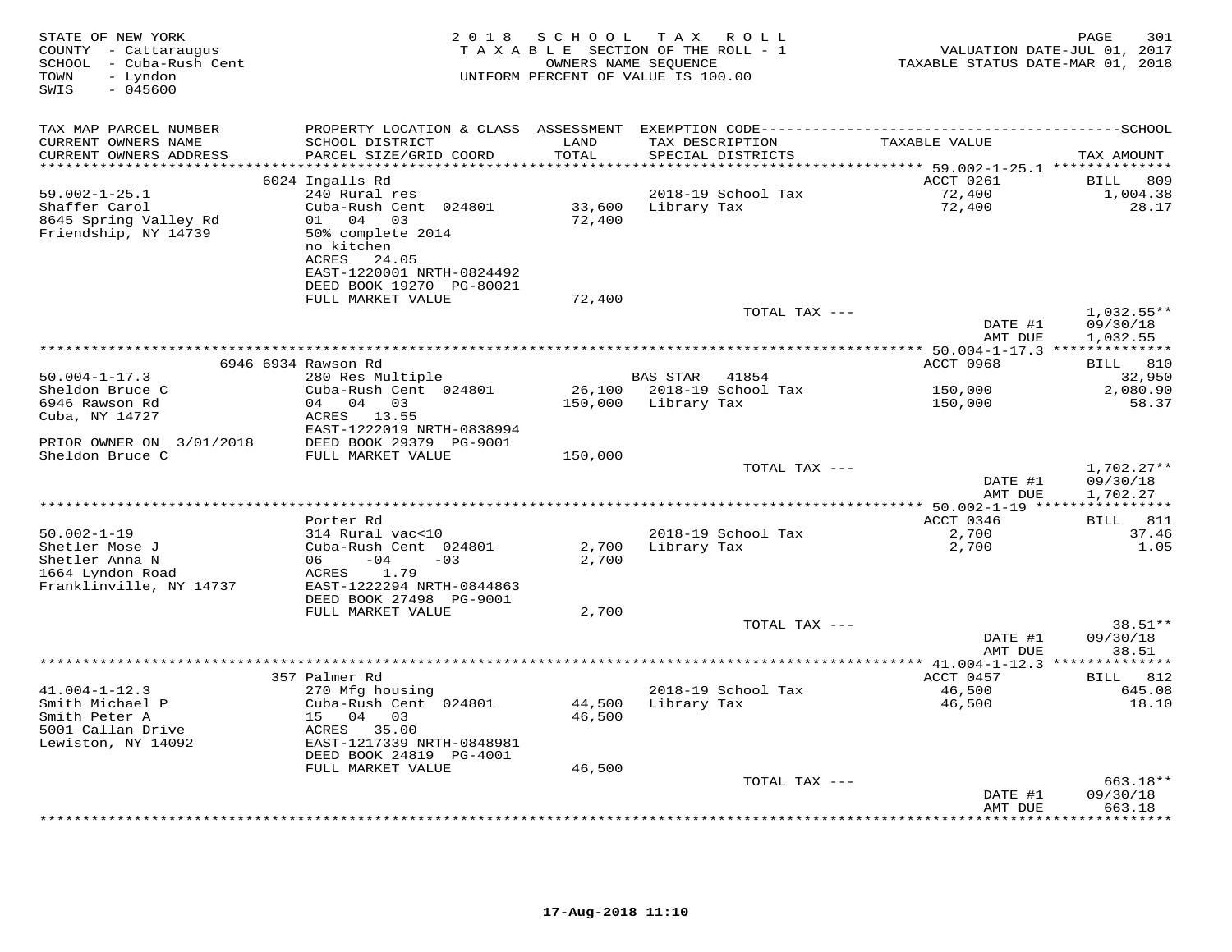| $-045600$<br>SWIS                                                                                                                                                                                                                       |                          | UNIFORM PERCENT OF VALUE IS 100.00   |                                                         | TAXABLE STATUS DATE-MAR 01, 2018 |
|-----------------------------------------------------------------------------------------------------------------------------------------------------------------------------------------------------------------------------------------|--------------------------|--------------------------------------|---------------------------------------------------------|----------------------------------|
| TAX MAP PARCEL NUMBER<br>PROPERTY LOCATION & CLASS ASSESSMENT EXEMPTION CODE----------------------------------                                                                                                                          |                          |                                      |                                                         | $---SCHOOL$                      |
| CURRENT OWNERS NAME<br>SCHOOL DISTRICT<br>PARCEL SIZE/GRID COORD<br>CURRENT OWNERS ADDRESS<br>********************                                                                                                                      | LAND<br>TOTAL<br>******* | TAX DESCRIPTION<br>SPECIAL DISTRICTS | TAXABLE VALUE                                           | TAX AMOUNT                       |
| 6024 Ingalls Rd                                                                                                                                                                                                                         |                          |                                      | ****** 59.002-1-25.1 **************<br>ACCT 0261        | 809<br>BILL                      |
| 240 Rural res<br>$59.002 - 1 - 25.1$                                                                                                                                                                                                    |                          | 2018-19 School Tax                   | 72,400                                                  | 1,004.38                         |
| Shaffer Carol<br>Cuba-Rush Cent 024801                                                                                                                                                                                                  | 33,600                   | Library Tax                          | 72,400                                                  | 28.17                            |
| 8645 Spring Valley Rd<br>01 04 03<br>Friendship, NY 14739<br>50% complete 2014<br>no kitchen<br>ACRES<br>24.05<br>EAST-1220001 NRTH-0824492                                                                                             | 72,400                   |                                      |                                                         |                                  |
| DEED BOOK 19270 PG-80021<br>FULL MARKET VALUE                                                                                                                                                                                           | 72,400                   |                                      |                                                         |                                  |
|                                                                                                                                                                                                                                         |                          | TOTAL TAX ---                        | DATE #1                                                 | $1,032.55**$<br>09/30/18         |
|                                                                                                                                                                                                                                         |                          |                                      | AMT DUE<br>************** 50.004-1-17.3 *************** | 1,032.55                         |
| 6946 6934 Rawson Rd                                                                                                                                                                                                                     |                          |                                      | ACCT 0968                                               | <b>BILL</b> 810                  |
| $50.004 - 1 - 17.3$<br>280 Res Multiple                                                                                                                                                                                                 |                          | <b>BAS STAR</b><br>41854             |                                                         | 32,950                           |
| Sheldon Bruce C<br>Cuba-Rush Cent 024801                                                                                                                                                                                                | 26,100                   | 2018-19 School Tax                   | 150,000                                                 | 2,080.90                         |
| 6946 Rawson Rd<br>$04$ 0.3<br>04<br>Cuba, NY 14727<br>ACRES<br>13.55<br>EAST-1222019 NRTH-0838994                                                                                                                                       | 150,000                  | Library Tax                          | 150,000                                                 | 58.37                            |
| DEED BOOK 29379 PG-9001<br>PRIOR OWNER ON 3/01/2018                                                                                                                                                                                     |                          |                                      |                                                         |                                  |
| Sheldon Bruce C<br>FULL MARKET VALUE                                                                                                                                                                                                    | 150,000                  | TOTAL TAX ---                        |                                                         | $1,702.27**$                     |
|                                                                                                                                                                                                                                         |                          |                                      | DATE #1<br>AMT DUE                                      | 09/30/18<br>1,702.27             |
|                                                                                                                                                                                                                                         |                          |                                      | *** 50.002-1-19 **                                      |                                  |
| Porter Rd                                                                                                                                                                                                                               |                          |                                      | ACCT 0346                                               | 811<br>BILL                      |
| $50.002 - 1 - 19$<br>314 Rural vac<10<br>Shetler Mose J<br>Cuba-Rush Cent 024801                                                                                                                                                        | 2,700                    | 2018-19 School Tax<br>Library Tax    | 2,700<br>2,700                                          | 37.46<br>1.05                    |
| Shetler Anna N<br>06<br>$-04$<br>$-03$<br>1664 Lyndon Road<br>1.79<br>ACRES<br>Franklinville, NY 14737<br>EAST-1222294 NRTH-0844863<br>DEED BOOK 27498 PG-9001                                                                          | 2,700                    |                                      |                                                         |                                  |
| FULL MARKET VALUE                                                                                                                                                                                                                       | 2,700                    |                                      |                                                         |                                  |
|                                                                                                                                                                                                                                         |                          | TOTAL TAX ---                        | DATE #1<br>AMT DUE                                      | $38.51**$<br>09/30/18<br>38.51   |
|                                                                                                                                                                                                                                         |                          |                                      |                                                         |                                  |
| 357 Palmer Rd                                                                                                                                                                                                                           |                          |                                      | ACCT 0457                                               | BILL 812                         |
| $41.004 - 1 - 12.3$<br>270 Mfg housing<br>Smith Michael P<br>Cuba-Rush Cent 024801<br>Smith Peter A<br>15 04<br>03<br>5001 Callan Drive<br>ACRES<br>35.00<br>Lewiston, NY 14092<br>EAST-1217339 NRTH-0848981<br>DEED BOOK 24819 PG-4001 | 44,500<br>46,500         | 2018-19 School Tax<br>Library Tax    | 46,500<br>46,500                                        | 645.08<br>18.10                  |
| FULL MARKET VALUE                                                                                                                                                                                                                       | 46,500                   |                                      |                                                         |                                  |
|                                                                                                                                                                                                                                         |                          | TOTAL TAX ---                        |                                                         | $663.18**$                       |
|                                                                                                                                                                                                                                         |                          |                                      | DATE #1<br>AMT DUE                                      | 09/30/18<br>663.18<br>.          |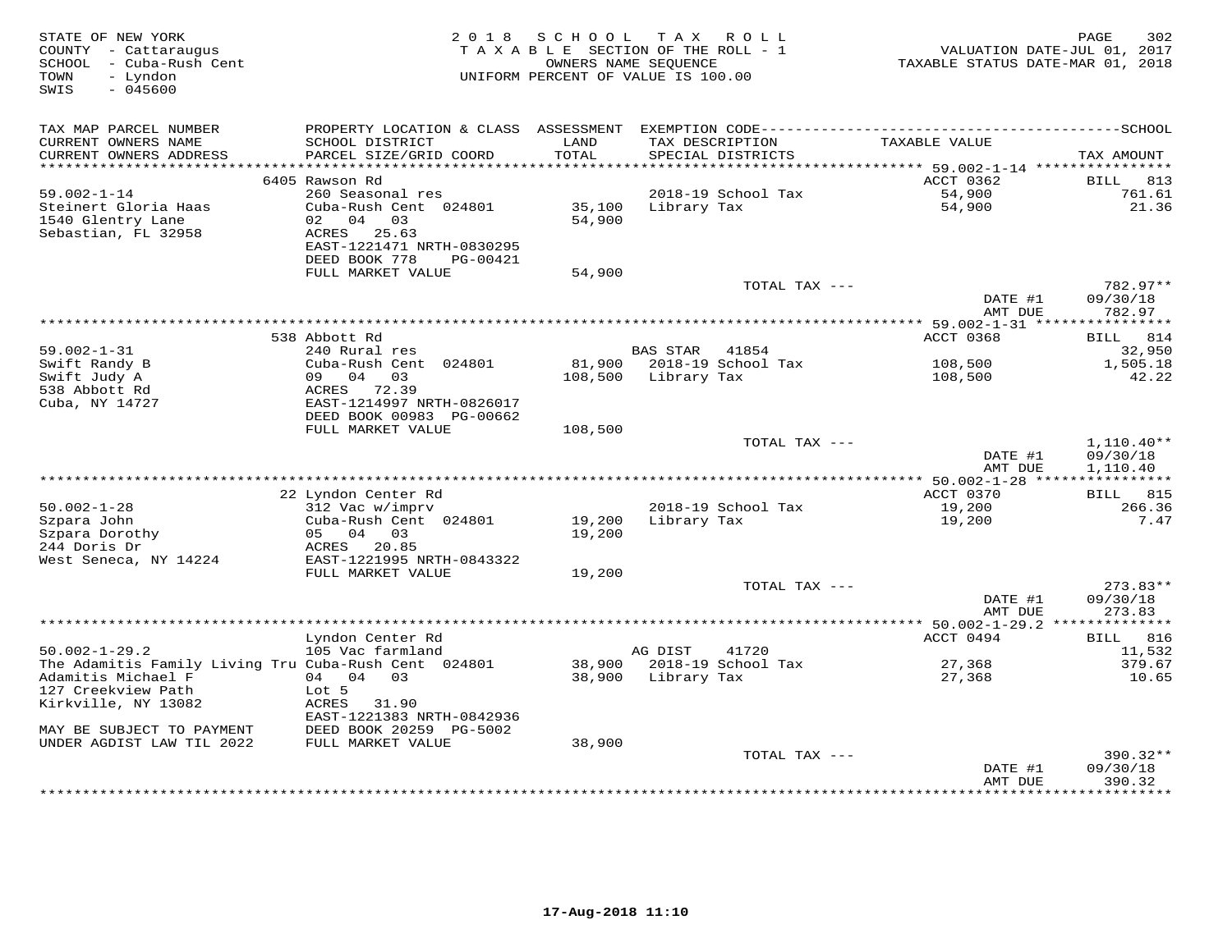| STATE OF NEW YORK<br>COUNTY - Cattaraugus<br>SCHOOL - Cuba-Rush Cent<br>TOWN<br>- Lyndon<br>$-045600$<br>SWIS | 2 0 1 8                                   | S C H O O L   | T A X<br>R O L L<br>TAXABLE SECTION OF THE ROLL - 1<br>OWNERS NAME SEQUENCE<br>UNIFORM PERCENT OF VALUE IS 100.00 | TAXABLE STATUS DATE-MAR 01, 2018 | 302<br>PAGE<br>VALUATION DATE-JUL 01, 2017 |
|---------------------------------------------------------------------------------------------------------------|-------------------------------------------|---------------|-------------------------------------------------------------------------------------------------------------------|----------------------------------|--------------------------------------------|
| TAX MAP PARCEL NUMBER                                                                                         | PROPERTY LOCATION & CLASS ASSESSMENT      |               |                                                                                                                   |                                  |                                            |
| CURRENT OWNERS NAME<br>CURRENT OWNERS ADDRESS<br>**********************                                       | SCHOOL DISTRICT<br>PARCEL SIZE/GRID COORD | LAND<br>TOTAL | TAX DESCRIPTION<br>SPECIAL DISTRICTS                                                                              | TAXABLE VALUE                    | TAX AMOUNT                                 |
|                                                                                                               | 6405 Rawson Rd                            |               |                                                                                                                   | ACCT 0362                        | 813<br>BILL                                |
| $59.002 - 1 - 14$                                                                                             | 260 Seasonal res                          |               | 2018-19 School Tax                                                                                                | 54,900                           | 761.61                                     |
| Steinert Gloria Haas                                                                                          | Cuba-Rush Cent 024801                     | 35,100        | Library Tax                                                                                                       | 54,900                           | 21.36                                      |
| 1540 Glentry Lane                                                                                             | 04 03<br>02                               | 54,900        |                                                                                                                   |                                  |                                            |
| Sebastian, FL 32958                                                                                           | ACRES<br>25.63                            |               |                                                                                                                   |                                  |                                            |
|                                                                                                               | EAST-1221471 NRTH-0830295                 |               |                                                                                                                   |                                  |                                            |
|                                                                                                               | DEED BOOK 778<br>PG-00421                 |               |                                                                                                                   |                                  |                                            |
|                                                                                                               | FULL MARKET VALUE                         | 54,900        | TOTAL TAX ---                                                                                                     |                                  | $782.97**$                                 |
|                                                                                                               |                                           |               |                                                                                                                   | DATE #1                          | 09/30/18                                   |
|                                                                                                               |                                           |               |                                                                                                                   | AMT DUE                          | 782.97                                     |
|                                                                                                               |                                           |               |                                                                                                                   |                                  |                                            |
|                                                                                                               | 538 Abbott Rd                             |               |                                                                                                                   | ACCT 0368                        | BILL 814                                   |
| $59.002 - 1 - 31$                                                                                             | 240 Rural res                             |               | <b>BAS STAR</b><br>41854                                                                                          |                                  | 32,950                                     |
| Swift Randy B                                                                                                 | Cuba-Rush Cent 024801                     | 81,900        | 2018-19 School Tax                                                                                                | 108,500                          | 1,505.18                                   |
| Swift Judy A<br>538 Abbott Rd                                                                                 | 09 04 03<br>ACRES 72.39                   | 108,500       | Library Tax                                                                                                       | 108,500                          | 42.22                                      |
| Cuba, NY 14727                                                                                                | EAST-1214997 NRTH-0826017                 |               |                                                                                                                   |                                  |                                            |
|                                                                                                               | DEED BOOK 00983 PG-00662                  |               |                                                                                                                   |                                  |                                            |
|                                                                                                               | FULL MARKET VALUE                         | 108,500       |                                                                                                                   |                                  |                                            |
|                                                                                                               |                                           |               | TOTAL TAX ---                                                                                                     |                                  | $1,110.40**$                               |
|                                                                                                               |                                           |               |                                                                                                                   | DATE #1                          | 09/30/18                                   |
|                                                                                                               |                                           |               |                                                                                                                   | AMT DUE                          | 1,110.40                                   |
|                                                                                                               | 22 Lyndon Center Rd                       |               |                                                                                                                   | ACCT 0370                        | BILL 815                                   |
| $50.002 - 1 - 28$                                                                                             | 312 Vac w/imprv                           |               | 2018-19 School Tax                                                                                                | 19,200                           | 266.36                                     |
| Szpara John                                                                                                   | Cuba-Rush Cent 024801                     | 19,200        | Library Tax                                                                                                       | 19,200                           | 7.47                                       |
| Szpara Dorothy                                                                                                | 05 04<br>03                               | 19,200        |                                                                                                                   |                                  |                                            |
| 244 Doris Dr                                                                                                  | ACRES 20.85                               |               |                                                                                                                   |                                  |                                            |
| West Seneca, NY 14224                                                                                         | EAST-1221995 NRTH-0843322                 |               |                                                                                                                   |                                  |                                            |
|                                                                                                               | FULL MARKET VALUE                         | 19,200        | TOTAL TAX ---                                                                                                     |                                  | $273.83**$                                 |
|                                                                                                               |                                           |               |                                                                                                                   | DATE #1                          | 09/30/18                                   |
|                                                                                                               |                                           |               |                                                                                                                   | AMT DUE                          | 273.83                                     |
|                                                                                                               |                                           |               |                                                                                                                   |                                  |                                            |
|                                                                                                               | Lyndon Center Rd                          |               |                                                                                                                   | ACCT 0494                        | <b>BILL</b> 816                            |
| $50.002 - 1 - 29.2$                                                                                           | 105 Vac farmland                          |               | AG DIST<br>41720                                                                                                  |                                  | 11,532                                     |
| The Adamitis Family Living Tru Cuba-Rush Cent 024801                                                          |                                           |               | 38,900 2018-19 School Tax                                                                                         | 27,368                           | 379.67                                     |
| Adamitis Michael F<br>127 Creekview Path                                                                      | 04 04 03<br>Lot 5                         | 38,900        | Library Tax                                                                                                       | 27,368                           | 10.65                                      |
| Kirkville, NY 13082                                                                                           | 31.90<br>ACRES                            |               |                                                                                                                   |                                  |                                            |
|                                                                                                               | EAST-1221383 NRTH-0842936                 |               |                                                                                                                   |                                  |                                            |
| MAY BE SUBJECT TO PAYMENT                                                                                     | DEED BOOK 20259 PG-5002                   |               |                                                                                                                   |                                  |                                            |
| UNDER AGDIST LAW TIL 2022                                                                                     | FULL MARKET VALUE                         | 38,900        |                                                                                                                   |                                  |                                            |
|                                                                                                               |                                           |               | TOTAL TAX ---                                                                                                     |                                  | $390.32**$                                 |
|                                                                                                               |                                           |               |                                                                                                                   | DATE #1                          | 09/30/18                                   |
|                                                                                                               |                                           |               |                                                                                                                   | AMT DUE                          | 390.32                                     |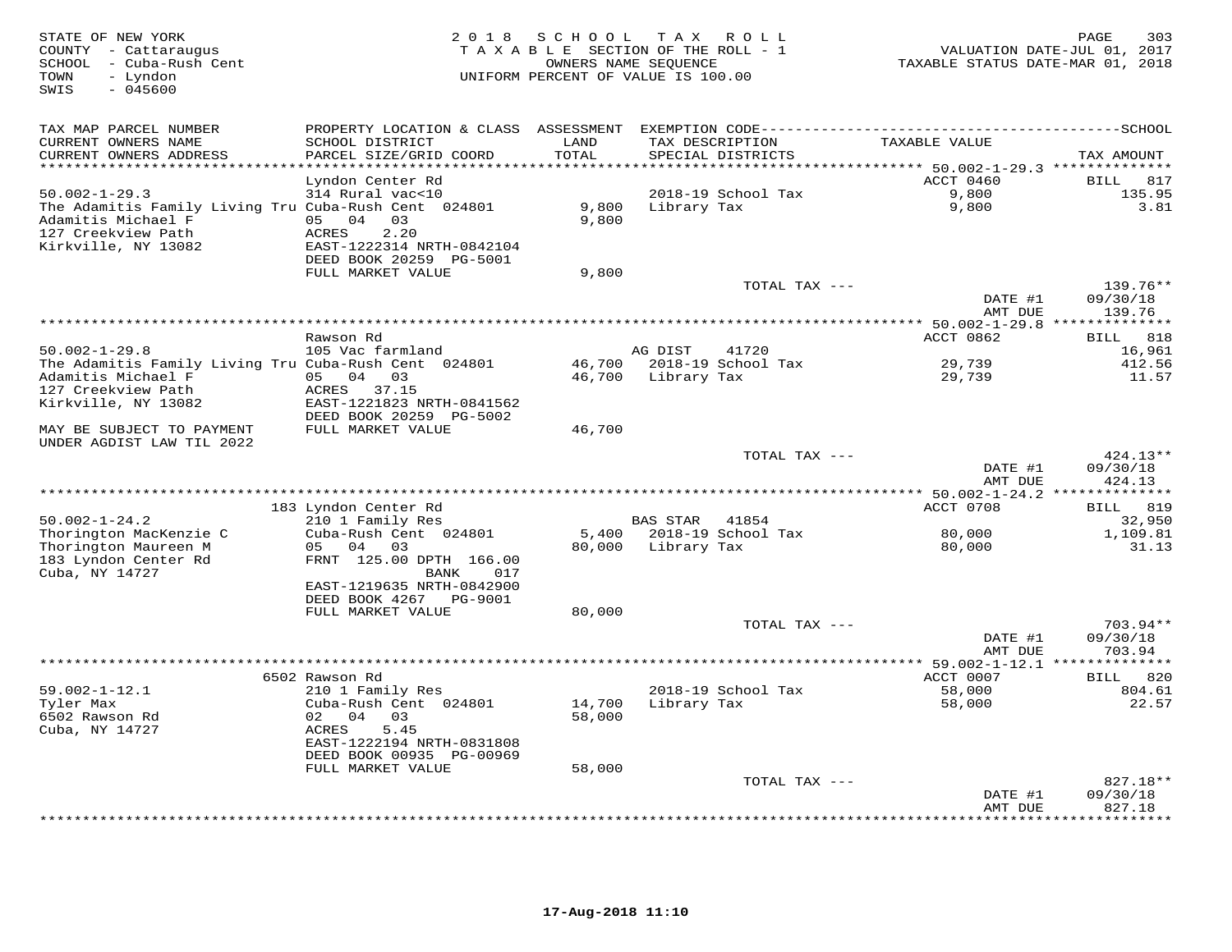| STATE OF NEW YORK<br>COUNTY - Cattaraugus<br>SCHOOL - Cuba-Rush Cent<br>- Lyndon<br>TOWN<br>$-045600$<br>SWIS | 2 0 1 8                                   | SCHOOL<br>TAXABLE SECTION OF THE ROLL - 1<br>OWNERS NAME SEQUENCE<br>UNIFORM PERCENT OF VALUE IS 100.00 | T A X       | R O L L                              | TAXABLE STATUS DATE-MAR 01, 2018                               | PAGE<br>303<br>VALUATION DATE-JUL 01, 2017 |
|---------------------------------------------------------------------------------------------------------------|-------------------------------------------|---------------------------------------------------------------------------------------------------------|-------------|--------------------------------------|----------------------------------------------------------------|--------------------------------------------|
| TAX MAP PARCEL NUMBER                                                                                         |                                           |                                                                                                         |             |                                      |                                                                |                                            |
| CURRENT OWNERS NAME<br>CURRENT OWNERS ADDRESS                                                                 | SCHOOL DISTRICT<br>PARCEL SIZE/GRID COORD | LAND<br>TOTAL                                                                                           |             | TAX DESCRIPTION<br>SPECIAL DISTRICTS | TAXABLE VALUE                                                  | TAX AMOUNT                                 |
| **********************                                                                                        | ************************                  | **************                                                                                          |             |                                      | ********************************* 50.002-1-29.3 ************** |                                            |
|                                                                                                               | Lyndon Center Rd                          |                                                                                                         |             |                                      | ACCT 0460                                                      | 817<br><b>BILL</b>                         |
| $50.002 - 1 - 29.3$                                                                                           | 314 Rural vac<10                          |                                                                                                         |             | 2018-19 School Tax                   | 9,800                                                          | 135.95                                     |
| The Adamitis Family Living Tru Cuba-Rush Cent 024801                                                          |                                           | 9,800                                                                                                   | Library Tax |                                      | 9,800                                                          | 3.81                                       |
| Adamitis Michael F                                                                                            | 04<br>03<br>05                            | 9,800                                                                                                   |             |                                      |                                                                |                                            |
| 127 Creekview Path                                                                                            | 2.20<br><b>ACRES</b>                      |                                                                                                         |             |                                      |                                                                |                                            |
| Kirkville, NY 13082                                                                                           | EAST-1222314 NRTH-0842104                 |                                                                                                         |             |                                      |                                                                |                                            |
|                                                                                                               | DEED BOOK 20259 PG-5001                   |                                                                                                         |             |                                      |                                                                |                                            |
|                                                                                                               | FULL MARKET VALUE                         | 9,800                                                                                                   |             |                                      |                                                                |                                            |
|                                                                                                               |                                           |                                                                                                         |             | TOTAL TAX ---                        |                                                                | 139.76**                                   |
|                                                                                                               |                                           |                                                                                                         |             |                                      | DATE #1                                                        | 09/30/18                                   |
|                                                                                                               |                                           |                                                                                                         |             |                                      | AMT DUE                                                        | 139.76                                     |
|                                                                                                               |                                           |                                                                                                         |             |                                      |                                                                | * * * * * * * * *                          |
|                                                                                                               | Rawson Rd                                 |                                                                                                         |             |                                      | ACCT 0862                                                      | 818<br>BILL                                |
| $50.002 - 1 - 29.8$                                                                                           | 105 Vac farmland                          |                                                                                                         | AG DIST     | 41720                                |                                                                | 16,961                                     |
| The Adamitis Family Living Tru Cuba-Rush Cent 024801                                                          |                                           | 46,700                                                                                                  |             | 2018-19 School Tax                   | 29,739                                                         | 412.56                                     |
| Adamitis Michael F                                                                                            | 05 04<br>03                               | 46,700                                                                                                  | Library Tax |                                      | 29,739                                                         | 11.57                                      |
| 127 Creekview Path                                                                                            | ACRES<br>37.15                            |                                                                                                         |             |                                      |                                                                |                                            |
| Kirkville, NY 13082                                                                                           | EAST-1221823 NRTH-0841562                 |                                                                                                         |             |                                      |                                                                |                                            |
|                                                                                                               | DEED BOOK 20259 PG-5002                   |                                                                                                         |             |                                      |                                                                |                                            |
| MAY BE SUBJECT TO PAYMENT                                                                                     | FULL MARKET VALUE                         | 46,700                                                                                                  |             |                                      |                                                                |                                            |
| UNDER AGDIST LAW TIL 2022                                                                                     |                                           |                                                                                                         |             |                                      |                                                                |                                            |
|                                                                                                               |                                           |                                                                                                         |             | TOTAL TAX ---                        |                                                                | $424.13**$                                 |
|                                                                                                               |                                           |                                                                                                         |             |                                      | DATE #1                                                        | 09/30/18                                   |
|                                                                                                               |                                           |                                                                                                         |             |                                      | AMT DUE<br>$* 50.002 - 1 - 24.2$ **                            | 424.13<br>********                         |
|                                                                                                               | 183 Lyndon Center Rd                      |                                                                                                         |             |                                      | ACCT 0708                                                      | 819<br>BILL                                |
| $50.002 - 1 - 24.2$                                                                                           | 210 1 Family Res                          |                                                                                                         | BAS STAR    | 41854                                |                                                                | 32,950                                     |
| Thorington MacKenzie C                                                                                        | Cuba-Rush Cent 024801                     | 5,400                                                                                                   |             | 2018-19 School Tax                   | 80,000                                                         | 1,109.81                                   |
| Thorington Maureen M                                                                                          | 05 04<br>0.3                              | 80,000                                                                                                  | Library Tax |                                      | 80,000                                                         | 31.13                                      |
| 183 Lyndon Center Rd                                                                                          | FRNT 125.00 DPTH 166.00                   |                                                                                                         |             |                                      |                                                                |                                            |
| Cuba, NY 14727                                                                                                | BANK<br>017                               |                                                                                                         |             |                                      |                                                                |                                            |
|                                                                                                               | EAST-1219635 NRTH-0842900                 |                                                                                                         |             |                                      |                                                                |                                            |
|                                                                                                               | DEED BOOK 4267<br>PG-9001                 |                                                                                                         |             |                                      |                                                                |                                            |
|                                                                                                               | FULL MARKET VALUE                         | 80,000                                                                                                  |             |                                      |                                                                |                                            |
|                                                                                                               |                                           |                                                                                                         |             | TOTAL TAX ---                        |                                                                | $703.94**$                                 |
|                                                                                                               |                                           |                                                                                                         |             |                                      | DATE #1                                                        | 09/30/18                                   |
|                                                                                                               |                                           |                                                                                                         |             |                                      | AMT DUE                                                        | 703.94                                     |
|                                                                                                               |                                           |                                                                                                         |             |                                      | $* 59.002 - 1 - 12.1$ ****                                     | *********                                  |
|                                                                                                               | 6502 Rawson Rd                            |                                                                                                         |             |                                      | ACCT 0007                                                      | 820<br>BILL                                |
| $59.002 - 1 - 12.1$                                                                                           | 210 1 Family Res                          |                                                                                                         |             | 2018-19 School Tax                   | 58,000                                                         | 804.61                                     |
| Tyler Max                                                                                                     | Cuba-Rush Cent 024801                     | 14,700                                                                                                  | Library Tax |                                      | 58,000                                                         | 22.57                                      |
| 6502 Rawson Rd                                                                                                | 02<br>04<br>03                            | 58,000                                                                                                  |             |                                      |                                                                |                                            |
| Cuba, NY 14727                                                                                                | <b>ACRES</b><br>5.45                      |                                                                                                         |             |                                      |                                                                |                                            |
|                                                                                                               | EAST-1222194 NRTH-0831808                 |                                                                                                         |             |                                      |                                                                |                                            |
|                                                                                                               | DEED BOOK 00935 PG-00969                  |                                                                                                         |             |                                      |                                                                |                                            |
|                                                                                                               | FULL MARKET VALUE                         | 58,000                                                                                                  |             |                                      |                                                                |                                            |
|                                                                                                               |                                           |                                                                                                         |             | TOTAL TAX ---                        |                                                                | $827.18**$                                 |
|                                                                                                               |                                           |                                                                                                         |             |                                      | DATE #1<br>AMT DUE                                             | 09/30/18<br>827.18                         |
|                                                                                                               |                                           |                                                                                                         |             |                                      |                                                                | .                                          |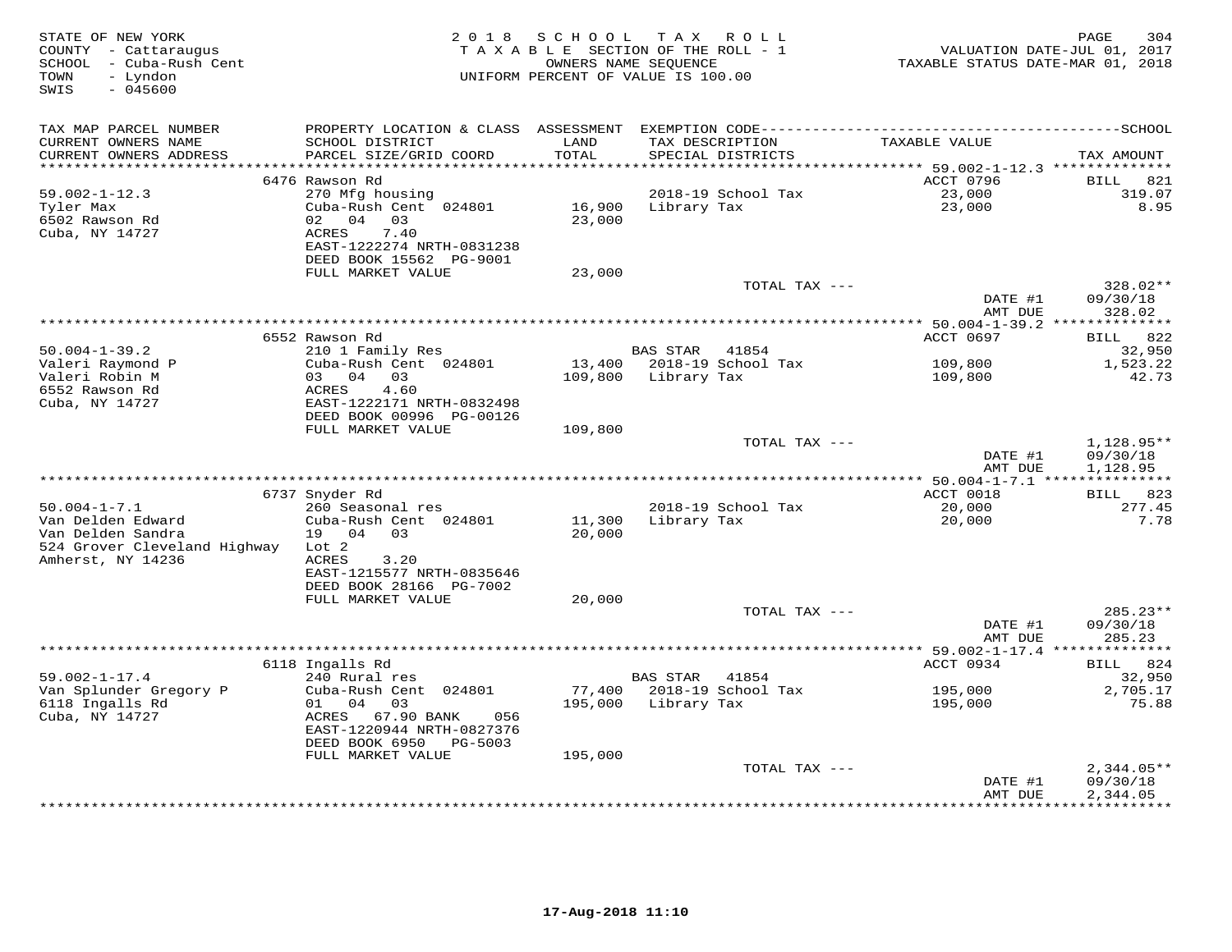| STATE OF NEW YORK<br>COUNTY - Cattaraugus<br>SCHOOL - Cuba-Rush Cent<br>TOWN<br>- Lyndon<br>$-045600$<br>SWIS |                                           | 2018 SCHOOL      | TAX ROLL<br>TAXABLE SECTION OF THE ROLL - 1<br>OWNERS NAME SEQUENCE<br>UNIFORM PERCENT OF VALUE IS 100.00 | TAXABLE STATUS DATE-MAR 01, 2018 | PAGE<br>304<br>VALUATION DATE-JUL 01, 2017 |
|---------------------------------------------------------------------------------------------------------------|-------------------------------------------|------------------|-----------------------------------------------------------------------------------------------------------|----------------------------------|--------------------------------------------|
| TAX MAP PARCEL NUMBER                                                                                         |                                           |                  |                                                                                                           |                                  |                                            |
| CURRENT OWNERS NAME<br>CURRENT OWNERS ADDRESS                                                                 | SCHOOL DISTRICT<br>PARCEL SIZE/GRID COORD | LAND<br>TOTAL    | TAX DESCRIPTION<br>SPECIAL DISTRICTS                                                                      | TAXABLE VALUE                    | TAX AMOUNT                                 |
| ***********************                                                                                       |                                           |                  |                                                                                                           |                                  |                                            |
|                                                                                                               | 6476 Rawson Rd                            |                  |                                                                                                           | ACCT 0796                        | 821<br>BILL                                |
| $59.002 - 1 - 12.3$                                                                                           | 270 Mfg housing                           |                  | 2018-19 School Tax                                                                                        | 23,000                           | 319.07                                     |
| Tyler Max<br>6502 Rawson Rd                                                                                   | Cuba-Rush Cent 024801<br>02 04 03         | 16,900<br>23,000 | Library Tax                                                                                               | 23,000                           | 8.95                                       |
| Cuba, NY 14727                                                                                                | ACRES<br>7.40                             |                  |                                                                                                           |                                  |                                            |
|                                                                                                               | EAST-1222274 NRTH-0831238                 |                  |                                                                                                           |                                  |                                            |
|                                                                                                               | DEED BOOK 15562 PG-9001                   |                  |                                                                                                           |                                  |                                            |
|                                                                                                               | FULL MARKET VALUE                         | 23,000           |                                                                                                           |                                  |                                            |
|                                                                                                               |                                           |                  | TOTAL TAX ---                                                                                             |                                  | 328.02**                                   |
|                                                                                                               |                                           |                  |                                                                                                           | DATE #1                          | 09/30/18                                   |
|                                                                                                               |                                           |                  |                                                                                                           | AMT DUE                          | 328.02                                     |
|                                                                                                               |                                           |                  |                                                                                                           |                                  |                                            |
|                                                                                                               | 6552 Rawson Rd                            |                  |                                                                                                           | ACCT 0697                        | BILL 822                                   |
| $50.004 - 1 - 39.2$                                                                                           | 210 1 Family Res                          |                  | BAS STAR 41854                                                                                            |                                  | 32,950                                     |
| Valeri Raymond P<br>Valeri Robin M                                                                            | Cuba-Rush Cent 024801<br>03 04 03         |                  | 13,400 2018-19 School Tax<br>109,800 Library Tax                                                          | 109,800                          | 1,523.22                                   |
| 6552 Rawson Rd                                                                                                | 4.60<br>ACRES                             |                  |                                                                                                           | 109,800                          | 42.73                                      |
| Cuba, NY 14727                                                                                                | EAST-1222171 NRTH-0832498                 |                  |                                                                                                           |                                  |                                            |
|                                                                                                               | DEED BOOK 00996 PG-00126                  |                  |                                                                                                           |                                  |                                            |
|                                                                                                               | FULL MARKET VALUE                         | 109,800          |                                                                                                           |                                  |                                            |
|                                                                                                               |                                           |                  | TOTAL TAX ---                                                                                             |                                  | $1,128.95**$                               |
|                                                                                                               |                                           |                  |                                                                                                           | DATE #1                          | 09/30/18                                   |
|                                                                                                               |                                           |                  |                                                                                                           | AMT DUE                          | 1,128.95                                   |
|                                                                                                               |                                           |                  |                                                                                                           |                                  |                                            |
| $50.004 - 1 - 7.1$                                                                                            | 6737 Snyder Rd                            |                  |                                                                                                           | ACCT 0018                        | BILL 823                                   |
| Van Delden Edward                                                                                             | 260 Seasonal res<br>Cuba-Rush Cent 024801 | 11,300           | 2018-19 School Tax<br>Library Tax                                                                         | 20,000<br>20,000                 | 277.45<br>7.78                             |
| Van Delden Sandra                                                                                             | 19 04 03                                  | 20,000           |                                                                                                           |                                  |                                            |
| 524 Grover Cleveland Highway Lot 2                                                                            |                                           |                  |                                                                                                           |                                  |                                            |
| Amherst, NY 14236                                                                                             | ACRES<br>3.20                             |                  |                                                                                                           |                                  |                                            |
|                                                                                                               | EAST-1215577 NRTH-0835646                 |                  |                                                                                                           |                                  |                                            |
|                                                                                                               | DEED BOOK 28166 PG-7002                   |                  |                                                                                                           |                                  |                                            |
|                                                                                                               | FULL MARKET VALUE                         | 20,000           |                                                                                                           |                                  |                                            |
|                                                                                                               |                                           |                  | TOTAL TAX ---                                                                                             |                                  | 285.23**                                   |
|                                                                                                               |                                           |                  |                                                                                                           | DATE #1                          | 09/30/18                                   |
|                                                                                                               |                                           |                  |                                                                                                           | AMT DUE                          | 285.23                                     |
|                                                                                                               | 6118 Ingalls Rd                           |                  |                                                                                                           | ACCT 0934                        | BILL 824                                   |
| $59.002 - 1 - 17.4$                                                                                           | 240 Rural res                             |                  | BAS STAR<br>41854                                                                                         |                                  | 32,950                                     |
| Van Splunder Gregory P                                                                                        | Cuba-Rush Cent 024801                     |                  | 77,400 2018-19 School Tax                                                                                 | 195,000                          | 2,705.17                                   |
| 6118 Ingalls Rd                                                                                               | 01 04 03                                  | 195,000          | Library Tax                                                                                               | 195,000                          | 75.88                                      |
| Cuba, NY 14727                                                                                                | ACRES 67.90 BANK<br>056                   |                  |                                                                                                           |                                  |                                            |
|                                                                                                               | EAST-1220944 NRTH-0827376                 |                  |                                                                                                           |                                  |                                            |
|                                                                                                               | DEED BOOK 6950 PG-5003                    |                  |                                                                                                           |                                  |                                            |
|                                                                                                               | FULL MARKET VALUE                         | 195,000          |                                                                                                           |                                  |                                            |
|                                                                                                               |                                           |                  | TOTAL TAX ---                                                                                             |                                  | $2,344.05**$                               |
|                                                                                                               |                                           |                  |                                                                                                           | DATE #1                          | 09/30/18                                   |
|                                                                                                               |                                           |                  |                                                                                                           | AMT DUE                          | 2,344.05                                   |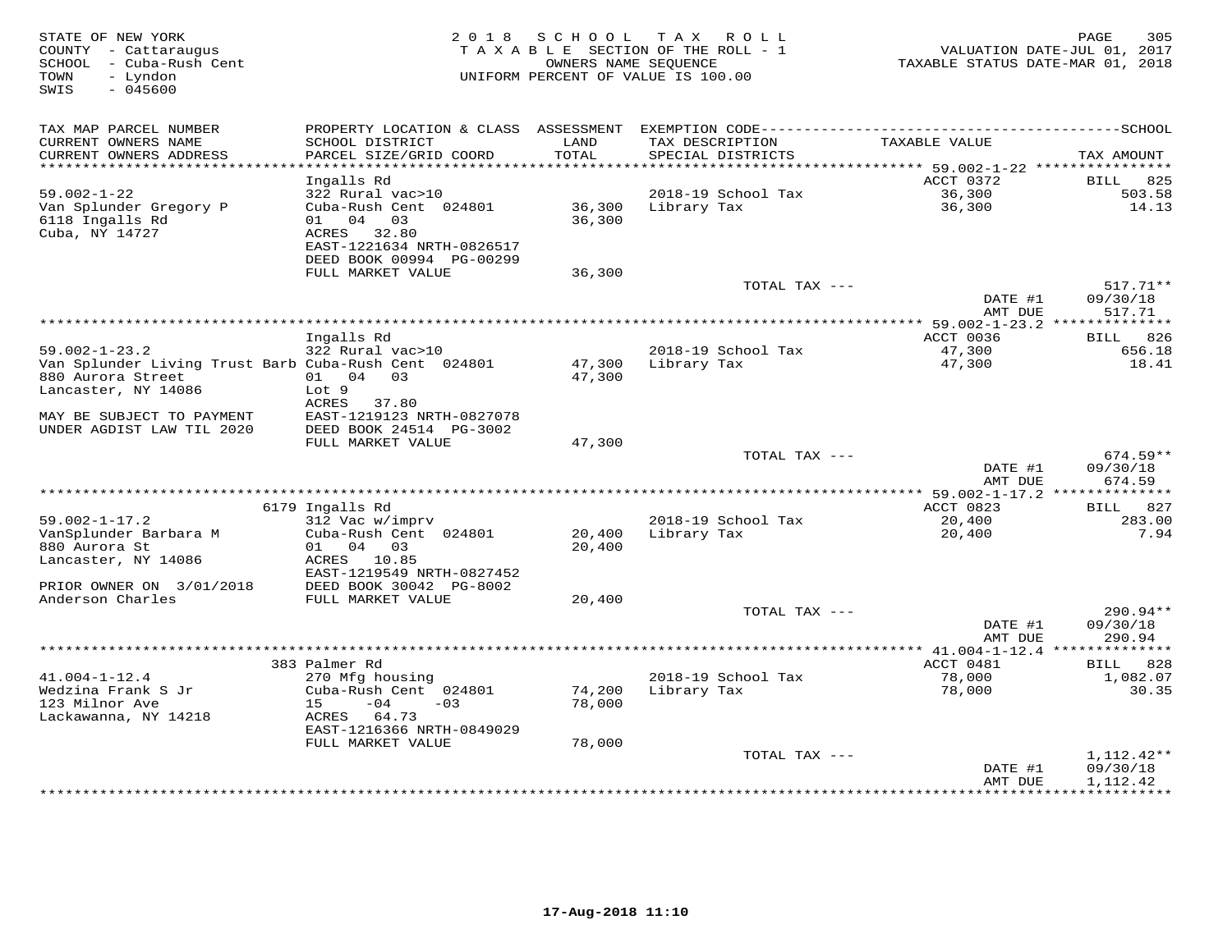| STATE OF NEW YORK<br>COUNTY - Cattaraugus<br>SCHOOL - Cuba-Rush Cent<br>- Lyndon<br>TOWN<br>SWIS<br>$-045600$ |                                           | 2018 SCHOOL   | T A X<br>R O L L<br>TAXABLE SECTION OF THE ROLL - 1<br>OWNERS NAME SEQUENCE<br>UNIFORM PERCENT OF VALUE IS 100.00 | TAXABLE STATUS DATE-MAR 01, 2018           | PAGE<br>305<br>VALUATION DATE-JUL 01, 2017 |
|---------------------------------------------------------------------------------------------------------------|-------------------------------------------|---------------|-------------------------------------------------------------------------------------------------------------------|--------------------------------------------|--------------------------------------------|
| TAX MAP PARCEL NUMBER                                                                                         |                                           |               |                                                                                                                   |                                            |                                            |
| CURRENT OWNERS NAME<br>CURRENT OWNERS ADDRESS                                                                 | SCHOOL DISTRICT<br>PARCEL SIZE/GRID COORD | LAND<br>TOTAL | TAX DESCRIPTION<br>SPECIAL DISTRICTS                                                                              | TAXABLE VALUE                              | TAX AMOUNT                                 |
| **************************                                                                                    |                                           |               |                                                                                                                   |                                            |                                            |
| $59.002 - 1 - 22$                                                                                             | Ingalls Rd                                |               | 2018-19 School Tax                                                                                                | ACCT 0372                                  | 825<br>BILL<br>503.58                      |
| Van Splunder Gregory P                                                                                        | 322 Rural vac>10<br>Cuba-Rush Cent 024801 | 36,300        | Library Tax                                                                                                       | 36,300<br>36,300                           | 14.13                                      |
| 6118 Ingalls Rd                                                                                               | 01 04 03                                  | 36,300        |                                                                                                                   |                                            |                                            |
| Cuba, NY 14727                                                                                                | ACRES 32.80                               |               |                                                                                                                   |                                            |                                            |
|                                                                                                               | EAST-1221634 NRTH-0826517                 |               |                                                                                                                   |                                            |                                            |
|                                                                                                               | DEED BOOK 00994 PG-00299                  |               |                                                                                                                   |                                            |                                            |
|                                                                                                               | FULL MARKET VALUE                         | 36,300        |                                                                                                                   |                                            |                                            |
|                                                                                                               |                                           |               | TOTAL TAX ---                                                                                                     |                                            | $517.71**$                                 |
|                                                                                                               |                                           |               |                                                                                                                   | DATE #1                                    | 09/30/18                                   |
|                                                                                                               |                                           |               |                                                                                                                   | AMT DUE                                    | 517.71                                     |
|                                                                                                               |                                           |               |                                                                                                                   |                                            |                                            |
| $59.002 - 1 - 23.2$                                                                                           | Ingalls Rd<br>322 Rural vac>10            |               | 2018-19 School Tax                                                                                                | ACCT 0036<br>47,300                        | BILL 826<br>656.18                         |
| Van Splunder Living Trust Barb Cuba-Rush Cent 024801                                                          |                                           |               | 47,300 Library Tax                                                                                                | 47,300                                     | 18.41                                      |
| 880 Aurora Street                                                                                             | 01 04 03                                  | 47,300        |                                                                                                                   |                                            |                                            |
| Lancaster, NY 14086                                                                                           | Lot 9                                     |               |                                                                                                                   |                                            |                                            |
|                                                                                                               | ACRES 37.80                               |               |                                                                                                                   |                                            |                                            |
| MAY BE SUBJECT TO PAYMENT                                                                                     | EAST-1219123 NRTH-0827078                 |               |                                                                                                                   |                                            |                                            |
| UNDER AGDIST LAW TIL 2020                                                                                     | DEED BOOK 24514 PG-3002                   |               |                                                                                                                   |                                            |                                            |
|                                                                                                               | FULL MARKET VALUE                         | 47,300        |                                                                                                                   |                                            |                                            |
|                                                                                                               |                                           |               | TOTAL TAX ---                                                                                                     |                                            | $674.59**$                                 |
|                                                                                                               |                                           |               |                                                                                                                   | DATE #1                                    | 09/30/18                                   |
|                                                                                                               |                                           |               |                                                                                                                   | AMT DUE                                    | 674.59                                     |
|                                                                                                               | 6179 Ingalls Rd                           |               |                                                                                                                   | ACCT 0823                                  | 827<br>BILL                                |
| $59.002 - 1 - 17.2$                                                                                           | 312 Vac w/imprv                           |               | 2018-19 School Tax                                                                                                | 20,400                                     | 283.00                                     |
| VanSplunder Barbara M                                                                                         | Cuba-Rush Cent 024801                     | 20,400        | Library Tax                                                                                                       | 20,400                                     | 7.94                                       |
| 880 Aurora St                                                                                                 | 01 04 03                                  | 20,400        |                                                                                                                   |                                            |                                            |
| Lancaster, NY 14086                                                                                           | ACRES 10.85                               |               |                                                                                                                   |                                            |                                            |
|                                                                                                               | EAST-1219549 NRTH-0827452                 |               |                                                                                                                   |                                            |                                            |
| PRIOR OWNER ON 3/01/2018                                                                                      | DEED BOOK 30042 PG-8002                   |               |                                                                                                                   |                                            |                                            |
| Anderson Charles                                                                                              | FULL MARKET VALUE                         | 20,400        |                                                                                                                   |                                            |                                            |
|                                                                                                               |                                           |               | TOTAL TAX ---                                                                                                     |                                            | 290.94**                                   |
|                                                                                                               |                                           |               |                                                                                                                   | DATE #1<br>AMT DUE                         | 09/30/18<br>290.94                         |
|                                                                                                               |                                           |               |                                                                                                                   | ************ 41.004-1-12.4 *************** |                                            |
|                                                                                                               | 383 Palmer Rd                             |               |                                                                                                                   | ACCT 0481                                  | BILL 828                                   |
| $41.004 - 1 - 12.4$                                                                                           | 270 Mfg housing                           |               | 2018-19 School Tax                                                                                                | 78,000                                     | 1,082.07                                   |
| Wedzina Frank S Jr                                                                                            | Cuba-Rush Cent 024801                     | 74,200        | Library Tax                                                                                                       | 78,000                                     | 30.35                                      |
| 123 Milnor Ave                                                                                                | $-04$<br>15<br>$-03$                      | 78,000        |                                                                                                                   |                                            |                                            |
| Lackawanna, NY 14218                                                                                          | ACRES 64.73                               |               |                                                                                                                   |                                            |                                            |
|                                                                                                               | EAST-1216366 NRTH-0849029                 |               |                                                                                                                   |                                            |                                            |
|                                                                                                               | FULL MARKET VALUE                         | 78,000        |                                                                                                                   |                                            |                                            |
|                                                                                                               |                                           |               | TOTAL TAX ---                                                                                                     |                                            | 1,112.42**                                 |
|                                                                                                               |                                           |               |                                                                                                                   | DATE #1<br>AMT DUE                         | 09/30/18<br>1,112.42                       |
|                                                                                                               |                                           |               |                                                                                                                   | **************                             | ************                               |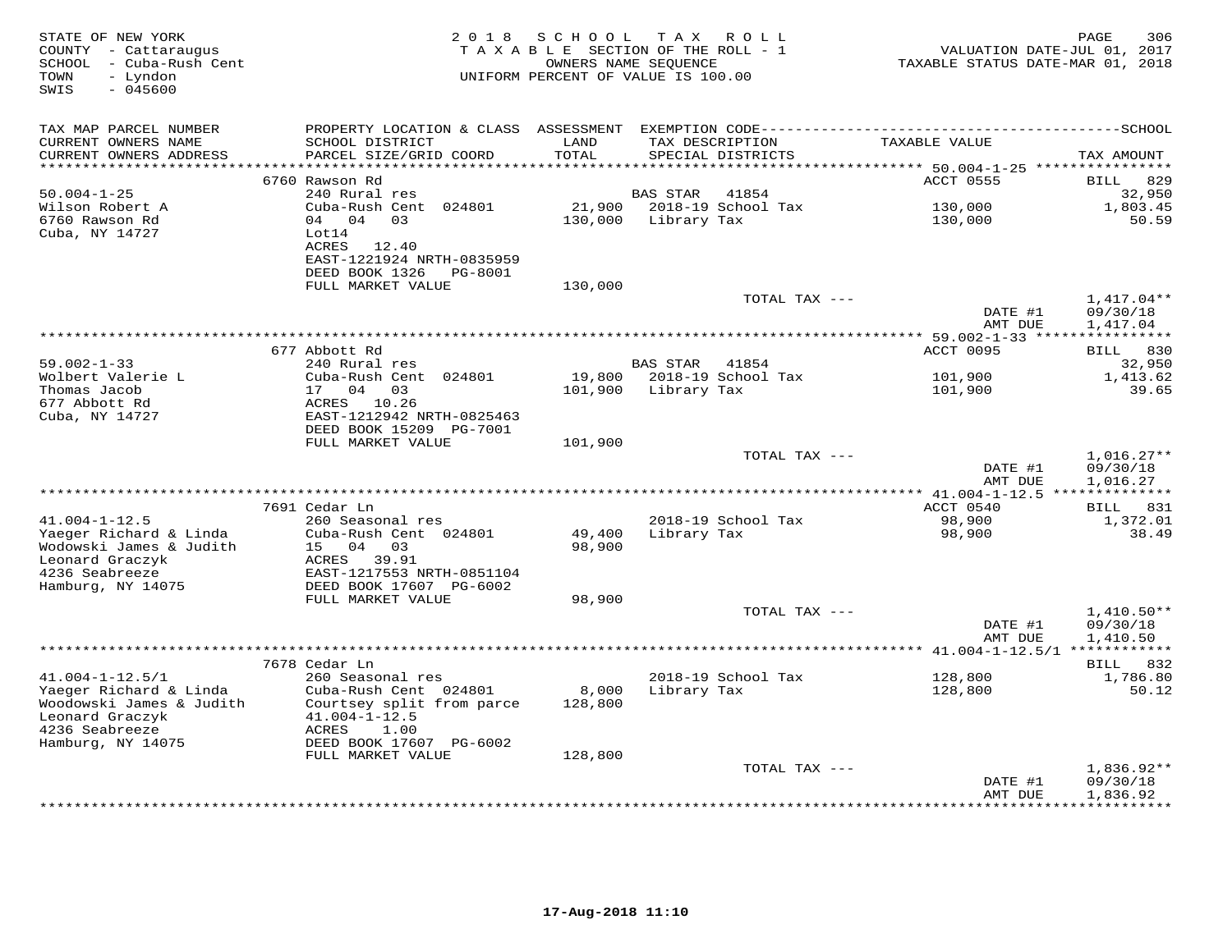| STATE OF NEW YORK<br>COUNTY - Cattaraugus<br>SCHOOL - Cuba-Rush Cent<br>- Lyndon<br>TOWN<br>SWIS<br>$-045600$ | 2 0 1 8                                                                                       | S C H O O L       | T A X<br>R O L L<br>TAXABLE SECTION OF THE ROLL - 1<br>OWNERS NAME SEQUENCE<br>UNIFORM PERCENT OF VALUE IS 100.00 | VALUATION DATE-JUL 01, 2017<br>TAXABLE STATUS DATE-MAR 01, 2018 | PAGE<br>306                          |
|---------------------------------------------------------------------------------------------------------------|-----------------------------------------------------------------------------------------------|-------------------|-------------------------------------------------------------------------------------------------------------------|-----------------------------------------------------------------|--------------------------------------|
| TAX MAP PARCEL NUMBER<br>CURRENT OWNERS NAME                                                                  | SCHOOL DISTRICT                                                                               | LAND              | TAX DESCRIPTION                                                                                                   | TAXABLE VALUE                                                   |                                      |
| CURRENT OWNERS ADDRESS<br>*******************                                                                 | PARCEL SIZE/GRID COORD                                                                        | TOTAL             | SPECIAL DISTRICTS                                                                                                 |                                                                 | TAX AMOUNT                           |
|                                                                                                               | 6760 Rawson Rd                                                                                |                   |                                                                                                                   | ACCT 0555                                                       | 829<br>BILL                          |
| $50.004 - 1 - 25$                                                                                             | 240 Rural res                                                                                 |                   | BAS STAR<br>41854                                                                                                 |                                                                 | 32,950                               |
| Wilson Robert A                                                                                               | Cuba-Rush Cent 024801                                                                         | 21,900            | 2018-19 School Tax                                                                                                | 130,000                                                         | 1,803.45                             |
| 6760 Rawson Rd<br>Cuba, NY 14727                                                                              | 04 04 03<br>Lot14<br>ACRES<br>12.40<br>EAST-1221924 NRTH-0835959<br>DEED BOOK 1326<br>PG-8001 | 130,000           | Library Tax                                                                                                       | 130,000                                                         | 50.59                                |
|                                                                                                               | FULL MARKET VALUE                                                                             | 130,000           |                                                                                                                   |                                                                 |                                      |
|                                                                                                               |                                                                                               |                   | TOTAL TAX ---                                                                                                     | DATE #1<br>AMT DUE                                              | $1,417.04**$<br>09/30/18<br>1,417.04 |
|                                                                                                               |                                                                                               |                   |                                                                                                                   | ************ 59.002-1-33 *****                                  | ***********                          |
|                                                                                                               | 677 Abbott Rd                                                                                 |                   |                                                                                                                   | ACCT 0095                                                       | BILL 830                             |
| $59.002 - 1 - 33$                                                                                             | 240 Rural res                                                                                 |                   | BAS STAR<br>41854                                                                                                 |                                                                 | 32,950                               |
| Wolbert Valerie L<br>Thomas Jacob                                                                             | Cuba-Rush Cent 024801<br>17 04 03                                                             | 19,800<br>101,900 | 2018-19 School Tax<br>Library Tax                                                                                 | 101,900<br>101,900                                              | 1,413.62<br>39.65                    |
| 677 Abbott Rd                                                                                                 | ACRES 10.26                                                                                   |                   |                                                                                                                   |                                                                 |                                      |
| Cuba, NY 14727                                                                                                | EAST-1212942 NRTH-0825463                                                                     |                   |                                                                                                                   |                                                                 |                                      |
|                                                                                                               | DEED BOOK 15209 PG-7001                                                                       |                   |                                                                                                                   |                                                                 |                                      |
|                                                                                                               | FULL MARKET VALUE                                                                             | 101,900           |                                                                                                                   |                                                                 |                                      |
|                                                                                                               |                                                                                               |                   | TOTAL TAX ---                                                                                                     |                                                                 | $1,016.27**$                         |
|                                                                                                               |                                                                                               |                   | *************************************                                                                             | DATE #1<br>AMT DUE                                              | 09/30/18<br>1,016.27                 |
|                                                                                                               | 7691 Cedar Ln                                                                                 |                   |                                                                                                                   | *** 41.004-1-12.5 **************<br>ACCT 0540                   | BILL 831                             |
| $41.004 - 1 - 12.5$                                                                                           | 260 Seasonal res                                                                              |                   | 2018-19 School Tax                                                                                                | 98,900                                                          | 1,372.01                             |
| Yaeger Richard & Linda                                                                                        | Cuba-Rush Cent 024801                                                                         | 49,400            | Library Tax                                                                                                       | 98,900                                                          | 38.49                                |
| Wodowski James & Judith                                                                                       | 15 04 03                                                                                      | 98,900            |                                                                                                                   |                                                                 |                                      |
| Leonard Graczyk                                                                                               | ACRES 39.91                                                                                   |                   |                                                                                                                   |                                                                 |                                      |
| 4236 Seabreeze                                                                                                | EAST-1217553 NRTH-0851104                                                                     |                   |                                                                                                                   |                                                                 |                                      |
| Hamburg, NY 14075                                                                                             | DEED BOOK 17607 PG-6002                                                                       |                   |                                                                                                                   |                                                                 |                                      |
|                                                                                                               | FULL MARKET VALUE                                                                             | 98,900            | TOTAL TAX ---                                                                                                     |                                                                 | $1,410.50**$                         |
|                                                                                                               |                                                                                               |                   |                                                                                                                   | DATE #1                                                         | 09/30/18                             |
|                                                                                                               |                                                                                               |                   |                                                                                                                   | AMT DUE                                                         | 1,410.50                             |
|                                                                                                               | *********                                                                                     |                   |                                                                                                                   | *** $41.004 - 1 - 12.5/1$                                       | ************                         |
|                                                                                                               | 7678 Cedar Ln                                                                                 |                   |                                                                                                                   |                                                                 | BILL 832                             |
| $41.004 - 1 - 12.5/1$                                                                                         | 260 Seasonal res                                                                              |                   | 2018-19 School Tax                                                                                                | 128,800                                                         | 1,786.80                             |
| Yaeger Richard & Linda<br>Woodowski James & Judith                                                            | Cuba-Rush Cent 024801<br>Courtsey split from parce                                            | 8,000<br>128,800  | Library Tax                                                                                                       | 128,800                                                         | 50.12                                |
| Leonard Graczyk                                                                                               | $41.004 - 1 - 12.5$                                                                           |                   |                                                                                                                   |                                                                 |                                      |
| 4236 Seabreeze                                                                                                | 1.00<br>ACRES                                                                                 |                   |                                                                                                                   |                                                                 |                                      |
| Hamburg, NY 14075                                                                                             | DEED BOOK 17607 PG-6002                                                                       |                   |                                                                                                                   |                                                                 |                                      |
|                                                                                                               | FULL MARKET VALUE                                                                             | 128,800           |                                                                                                                   |                                                                 |                                      |
|                                                                                                               |                                                                                               |                   | TOTAL TAX ---                                                                                                     |                                                                 | $1,836.92**$                         |
|                                                                                                               |                                                                                               |                   |                                                                                                                   | DATE #1<br>AMT DUE                                              | 09/30/18<br>1,836.92                 |
|                                                                                                               |                                                                                               |                   |                                                                                                                   |                                                                 | **********                           |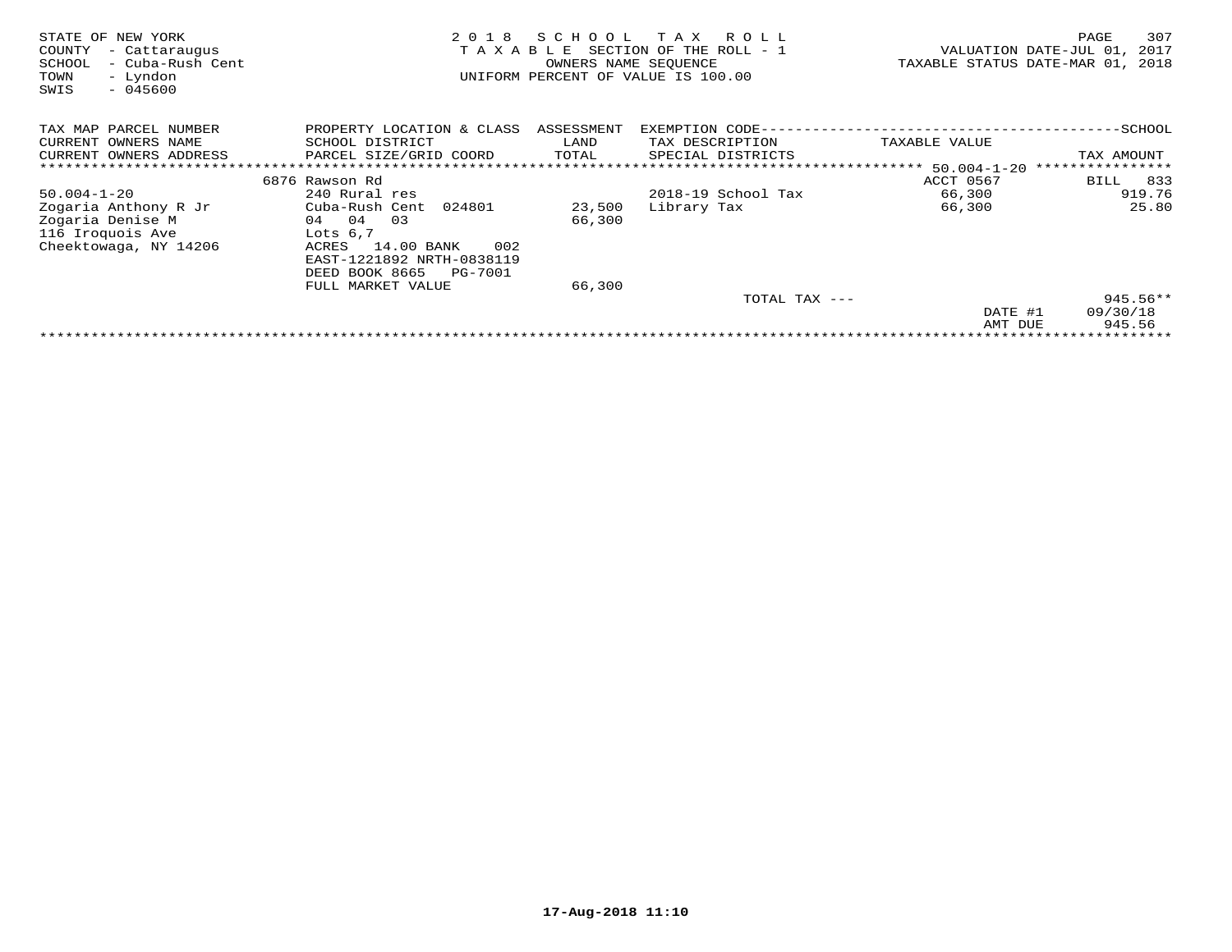| STATE OF<br>NEW YORK<br>COUNTY<br>- Cattaraugus<br>- Cuba-Rush Cent<br>SCHOOL<br>- Lyndon<br>TOWN<br>SWIS<br>$-045600$ | 2018<br>TAXABLE                  | SCHOOL<br>OWNERS NAME SEQUENCE | T A X<br>R O L L<br>SECTION OF THE ROLL - 1<br>UNIFORM PERCENT OF VALUE IS 100.00 | TAXABLE STATUS DATE-MAR 01, | 307<br>PAGE<br>VALUATION DATE-JUL 01,<br>2017<br>2018 |  |  |  |
|------------------------------------------------------------------------------------------------------------------------|----------------------------------|--------------------------------|-----------------------------------------------------------------------------------|-----------------------------|-------------------------------------------------------|--|--|--|
| TAX MAP PARCEL NUMBER                                                                                                  | PROPERTY LOCATION & CLASS        | ASSESSMENT                     | EXEMPTION CODE-                                                                   |                             | $-SCHOOL$                                             |  |  |  |
| CURRENT OWNERS NAME                                                                                                    | SCHOOL DISTRICT                  | LAND                           | TAX DESCRIPTION                                                                   | TAXABLE VALUE               |                                                       |  |  |  |
| CURRENT OWNERS ADDRESS                                                                                                 | PARCEL SIZE/GRID COORD           | TOTAL                          | SPECIAL DISTRICTS                                                                 |                             | TAX AMOUNT                                            |  |  |  |
|                                                                                                                        |                                  |                                |                                                                                   | $50.004 - 1 - 20$           |                                                       |  |  |  |
|                                                                                                                        | 6876 Rawson Rd                   |                                |                                                                                   | ACCT 0567                   | 833<br>BILL                                           |  |  |  |
| $50.004 - 1 - 20$                                                                                                      | 240 Rural res                    |                                | 2018-19 School Tax                                                                | 66,300                      | 919.76                                                |  |  |  |
| Zogaria Anthony R Jr                                                                                                   | Cuba-Rush Cent<br>024801         | 23,500                         | Library Tax                                                                       | 66,300                      | 25.80                                                 |  |  |  |
| Zogaria Denise M                                                                                                       | 04<br>03<br>04                   | 66,300                         |                                                                                   |                             |                                                       |  |  |  |
| 116 Iroquois Ave                                                                                                       | Lots $6,7$                       |                                |                                                                                   |                             |                                                       |  |  |  |
| Cheektowaga, NY 14206                                                                                                  | 14.00 BANK<br>ACRES<br>002       |                                |                                                                                   |                             |                                                       |  |  |  |
|                                                                                                                        | EAST-1221892 NRTH-0838119        |                                |                                                                                   |                             |                                                       |  |  |  |
|                                                                                                                        | DEED BOOK 8665<br><b>PG-7001</b> |                                |                                                                                   |                             |                                                       |  |  |  |
|                                                                                                                        | FULL MARKET VALUE                | 66,300                         |                                                                                   |                             |                                                       |  |  |  |
|                                                                                                                        |                                  |                                | TOTAL TAX ---                                                                     |                             | $945.56**$                                            |  |  |  |
|                                                                                                                        |                                  |                                |                                                                                   | DATE #1                     | 09/30/18                                              |  |  |  |
|                                                                                                                        |                                  |                                |                                                                                   | AMT DUE                     | 945.56                                                |  |  |  |
|                                                                                                                        |                                  |                                |                                                                                   |                             |                                                       |  |  |  |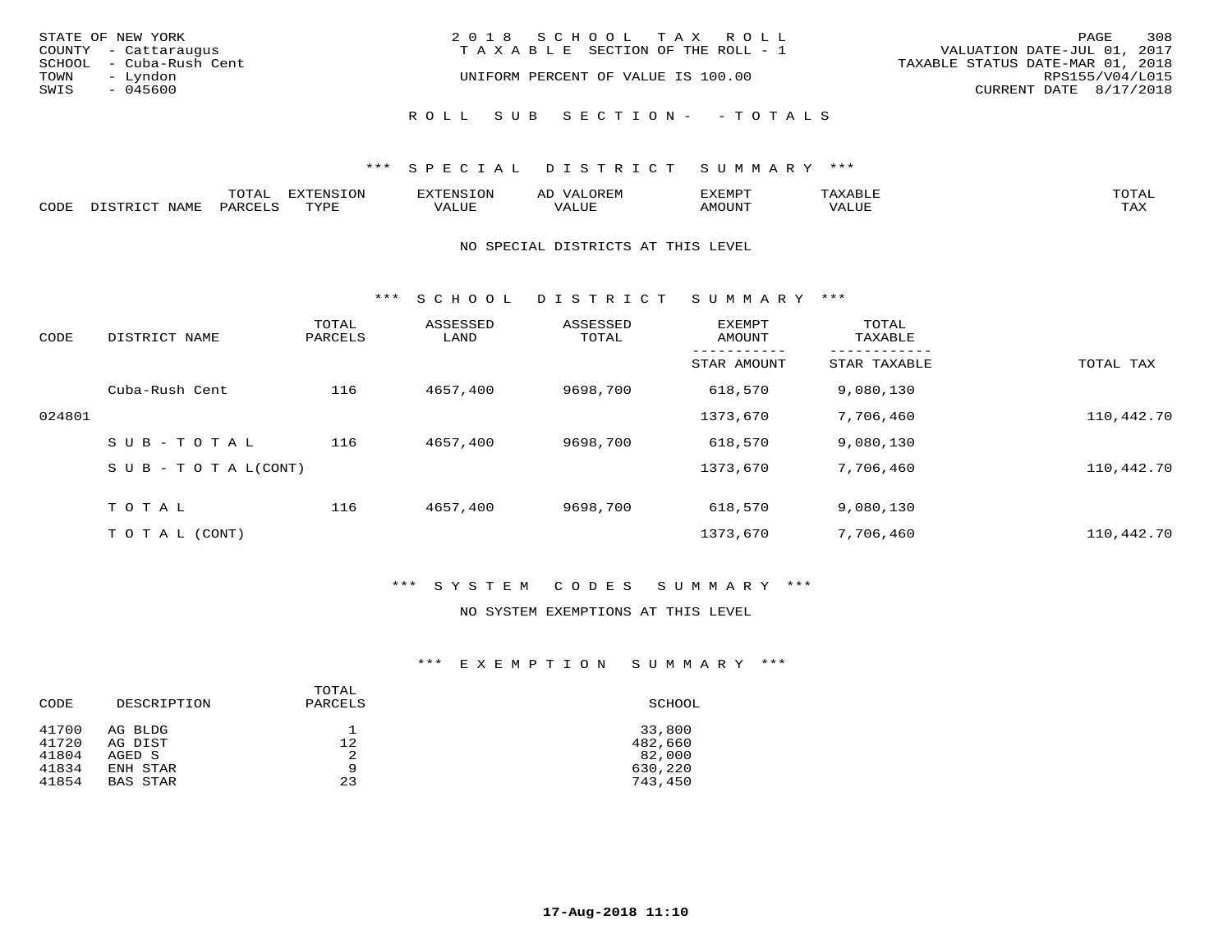| STATE OF NEW YORK<br>COUNTY - Cattaraugus<br>SCHOOL - Cuba-Rush Cent<br>TOWN<br>– Lyndon<br>SWIS<br>- 045600 | 2018 SCHOOL TAX ROLL<br>VALUATION DATE-JUL 01, 2017<br>T A X A B L E SECTION OF THE ROLL - 1<br>TAXABLE STATUS DATE-MAR 01, 2018<br>UNIFORM PERCENT OF VALUE IS 100.00 | PAGE<br>RPS155/V04/L015<br>CURRENT DATE 8/17/2018 | 308 |
|--------------------------------------------------------------------------------------------------------------|------------------------------------------------------------------------------------------------------------------------------------------------------------------------|---------------------------------------------------|-----|
|                                                                                                              | ROLL SUB SECTION- - TOTALS                                                                                                                                             |                                                   |     |

|      |              | momn:<br>- ∪ + <del>י</del> | $\pi$       |                    |                           | ,,, <del>,</del> ,,,,,<br>◡ |       |              |
|------|--------------|-----------------------------|-------------|--------------------|---------------------------|-----------------------------|-------|--------------|
| CODE | NAMF<br>ּםִי | ־יםוי∩כד                    | mvnt<br>--- | 71 T T T T<br>ALUE | <b>TTT</b><br>اللالماليدي | <b>AMOUNT</b>               | 'ALUL | max x<br>∸∽∽ |

#### NO SPECIAL DISTRICTS AT THIS LEVEL

\*\*\* S C H O O L D I S T R I C T S U M M A R Y \*\*\*

| CODE   | DISTRICT NAME                    | TOTAL<br>PARCELS | ASSESSED<br>LAND | ASSESSED<br>TOTAL | <b>EXEMPT</b><br>AMOUNT | TOTAL<br>TAXABLE |            |
|--------|----------------------------------|------------------|------------------|-------------------|-------------------------|------------------|------------|
|        |                                  |                  |                  |                   | STAR AMOUNT             | STAR TAXABLE     | TOTAL TAX  |
|        | Cuba-Rush Cent                   | 116              | 4657,400         | 9698,700          | 618,570                 | 9,080,130        |            |
| 024801 |                                  |                  |                  |                   | 1373,670                | 7,706,460        | 110,442.70 |
|        | SUB-TOTAL                        | 116              | 4657,400         | 9698,700          | 618,570                 | 9,080,130        |            |
|        | $S \cup B - T \cup T A L (CONT)$ |                  |                  |                   | 1373,670                | 7,706,460        | 110,442.70 |
|        | TOTAL                            | 116              | 4657,400         | 9698,700          | 618,570                 | 9,080,130        |            |
|        | T O T A L (CONT)                 |                  |                  |                   | 1373,670                | 7,706,460        | 110,442.70 |

## \*\*\* S Y S T E M C O D E S S U M M A R Y \*\*\*

#### NO SYSTEM EXEMPTIONS AT THIS LEVEL

## \*\*\* E X E M P T I O N S U M M A R Y \*\*\*

| CODE  | DESCRIPTION     | TOTAL<br>PARCELS | SCHOOL  |
|-------|-----------------|------------------|---------|
| 41700 | AG BLDG         | 12               | 33,800  |
| 41720 | AG DIST         |                  | 482,660 |
| 41804 | AGED S          | 2                | 82,000  |
| 41834 | ENH STAR        | 9                | 630,220 |
| 41854 | <b>BAS STAR</b> | 23               | 743,450 |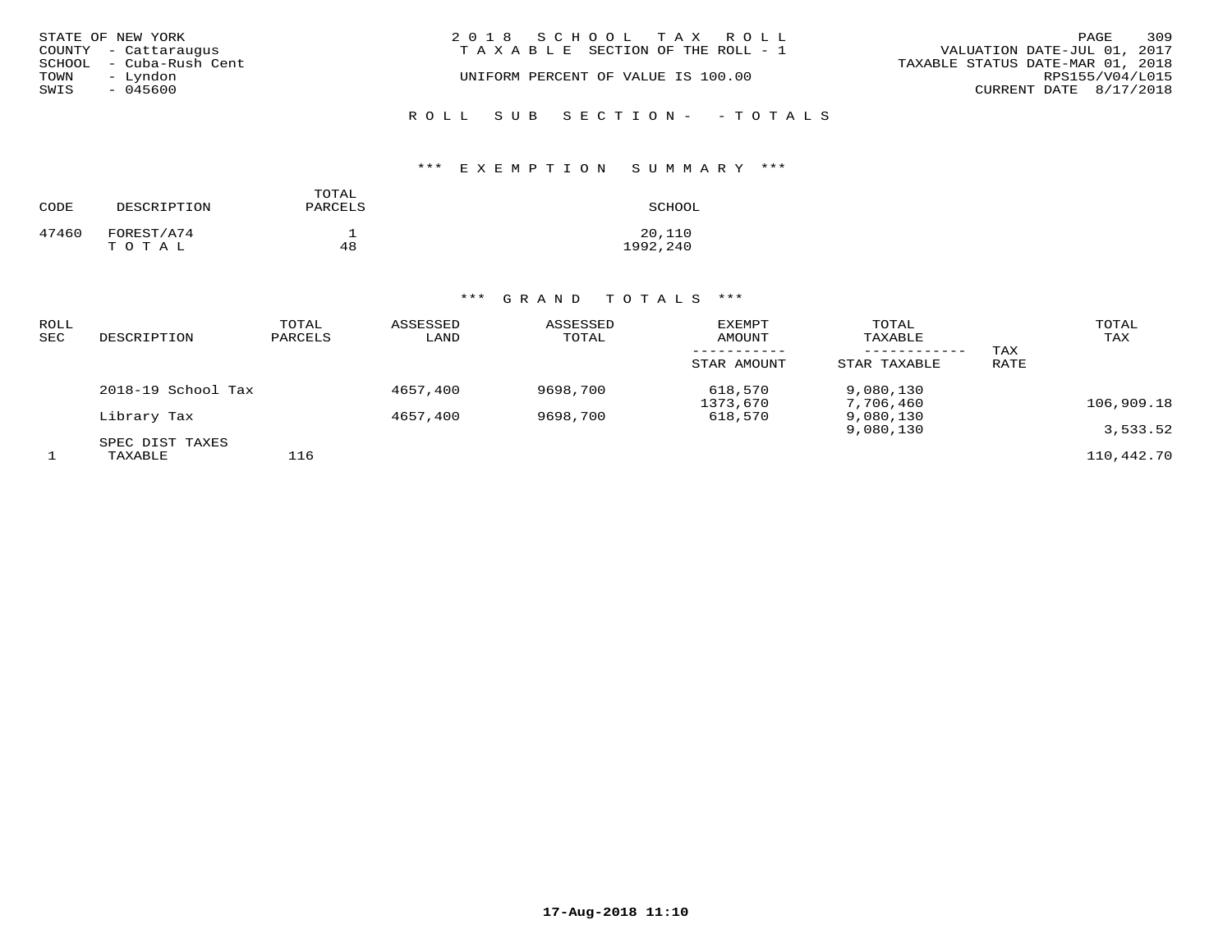|      | STATE OF NEW YORK       | 2018 SCHOOL TAX ROLL                  | 309<br>PAGE                      |
|------|-------------------------|---------------------------------------|----------------------------------|
|      | COUNTY - Cattaraugus    | T A X A B L E SECTION OF THE ROLL - 1 | VALUATION DATE-JUL 01, 2017      |
|      | SCHOOL - Cuba-Rush Cent |                                       | TAXABLE STATUS DATE-MAR 01, 2018 |
| TOWN | - Lyndon                | UNIFORM PERCENT OF VALUE IS 100.00    | RPS155/V04/L015                  |
| SWIS | - 045600                |                                       | CURRENT DATE 8/17/2018           |
|      |                         |                                       |                                  |

# ROLL SUB SECTION- - TOTALS

## \*\*\* E X E M P T I O N S U M M A R Y \*\*\*

| CODE  | DESCRIPTION         | TOTAL<br>PARCELS | SCHOOL             |
|-------|---------------------|------------------|--------------------|
| 47460 | FOREST/A74<br>TOTAL | 48               | 20,110<br>1992,240 |

| ROLL<br>SEC | DESCRIPTION                | TOTAL<br>PARCELS | ASSESSED<br>LAND | ASSESSED<br>TOTAL | EXEMPT<br>AMOUNT<br>STAR AMOUNT | TOTAL<br>TAXABLE<br>STAR TAXABLE | TAX<br>RATE | TOTAL<br>TAX |
|-------------|----------------------------|------------------|------------------|-------------------|---------------------------------|----------------------------------|-------------|--------------|
|             | 2018-19 School Tax         |                  | 4657,400         | 9698,700          | 618,570<br>1373,670             | 9,080,130<br>7,706,460           |             | 106,909.18   |
|             | Library Tax                |                  | 4657,400         | 9698,700          | 618,570                         | 9,080,130<br>9,080,130           |             | 3,533.52     |
|             | SPEC DIST TAXES<br>TAXABLE | 116              |                  |                   |                                 |                                  |             | 110,442.70   |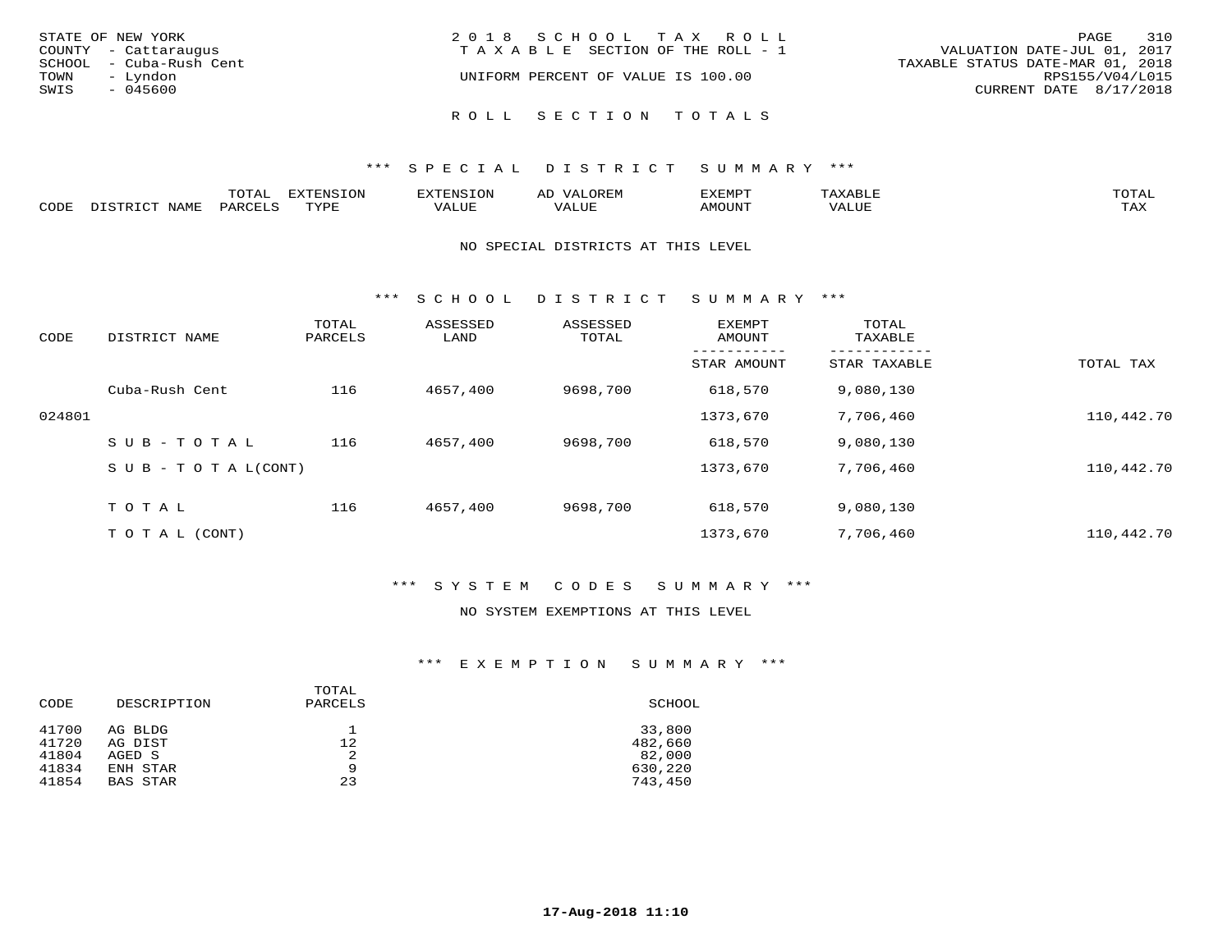| STATE OF NEW YORK<br>COUNTY - Cattaraugus<br>SCHOOL - Cuba-Rush Cent<br>TOWN<br>– Lyndon<br>SWIS<br>- 045600 | 2018 SCHOOL TAX ROLL<br>TAXABLE SECTION OF THE ROLL - 1<br>UNIFORM PERCENT OF VALUE IS 100.00 | 310<br>PAGE<br>VALUATION DATE-JUL 01, 2017<br>TAXABLE STATUS DATE-MAR 01, 2018<br>RPS155/V04/L015<br>CURRENT DATE 8/17/2018 |
|--------------------------------------------------------------------------------------------------------------|-----------------------------------------------------------------------------------------------|-----------------------------------------------------------------------------------------------------------------------------|
|                                                                                                              | ROLL SECTION TOTALS                                                                           |                                                                                                                             |

|      |                                    | . <del>.</del><br>$  -$ | <b>EXTENSION</b> | XTENSION: | ىدە   | EXEMPT |       | $m \wedge m \wedge n$<br>$\overline{\phantom{a}}$ |
|------|------------------------------------|-------------------------|------------------|-----------|-------|--------|-------|---------------------------------------------------|
| CODE | $J \Delta M$ <sup>T</sup><br>71.IL | UARCET.⊂                | TUT              | VALUE     | VALUE | TUUONA | VALUE | ma v<br>⊥ ∠∡∡                                     |

#### NO SPECIAL DISTRICTS AT THIS LEVEL

\*\*\* S C H O O L D I S T R I C T S U M M A R Y \*\*\*

| CODE   | DISTRICT NAME                    | TOTAL<br>PARCELS | ASSESSED<br>LAND | ASSESSED<br>TOTAL | <b>EXEMPT</b><br>AMOUNT | TOTAL<br>TAXABLE |            |
|--------|----------------------------------|------------------|------------------|-------------------|-------------------------|------------------|------------|
|        |                                  |                  |                  |                   | STAR AMOUNT             | STAR TAXABLE     | TOTAL TAX  |
|        | Cuba-Rush Cent                   | 116              | 4657,400         | 9698,700          | 618,570                 | 9,080,130        |            |
| 024801 |                                  |                  |                  |                   | 1373,670                | 7,706,460        | 110,442.70 |
|        | SUB-TOTAL                        | 116              | 4657,400         | 9698,700          | 618,570                 | 9,080,130        |            |
|        | $S \cup B - T \cup T A L (CONT)$ |                  |                  |                   | 1373,670                | 7,706,460        | 110,442.70 |
|        | TOTAL                            | 116              | 4657,400         | 9698,700          | 618,570                 | 9,080,130        |            |
|        | T O T A L (CONT)                 |                  |                  |                   | 1373,670                | 7,706,460        | 110,442.70 |

## \*\*\* S Y S T E M C O D E S S U M M A R Y \*\*\*

#### NO SYSTEM EXEMPTIONS AT THIS LEVEL

## \*\*\* E X E M P T I O N S U M M A R Y \*\*\*

| CODE  | DESCRIPTION     | TOTAL<br>PARCELS | SCHOOL  |
|-------|-----------------|------------------|---------|
| 41700 | AG BLDG         | 12               | 33,800  |
| 41720 | AG DIST         |                  | 482,660 |
| 41804 | AGED S          | 2                | 82,000  |
| 41834 | ENH STAR        | 9                | 630,220 |
| 41854 | <b>BAS STAR</b> | 23               | 743,450 |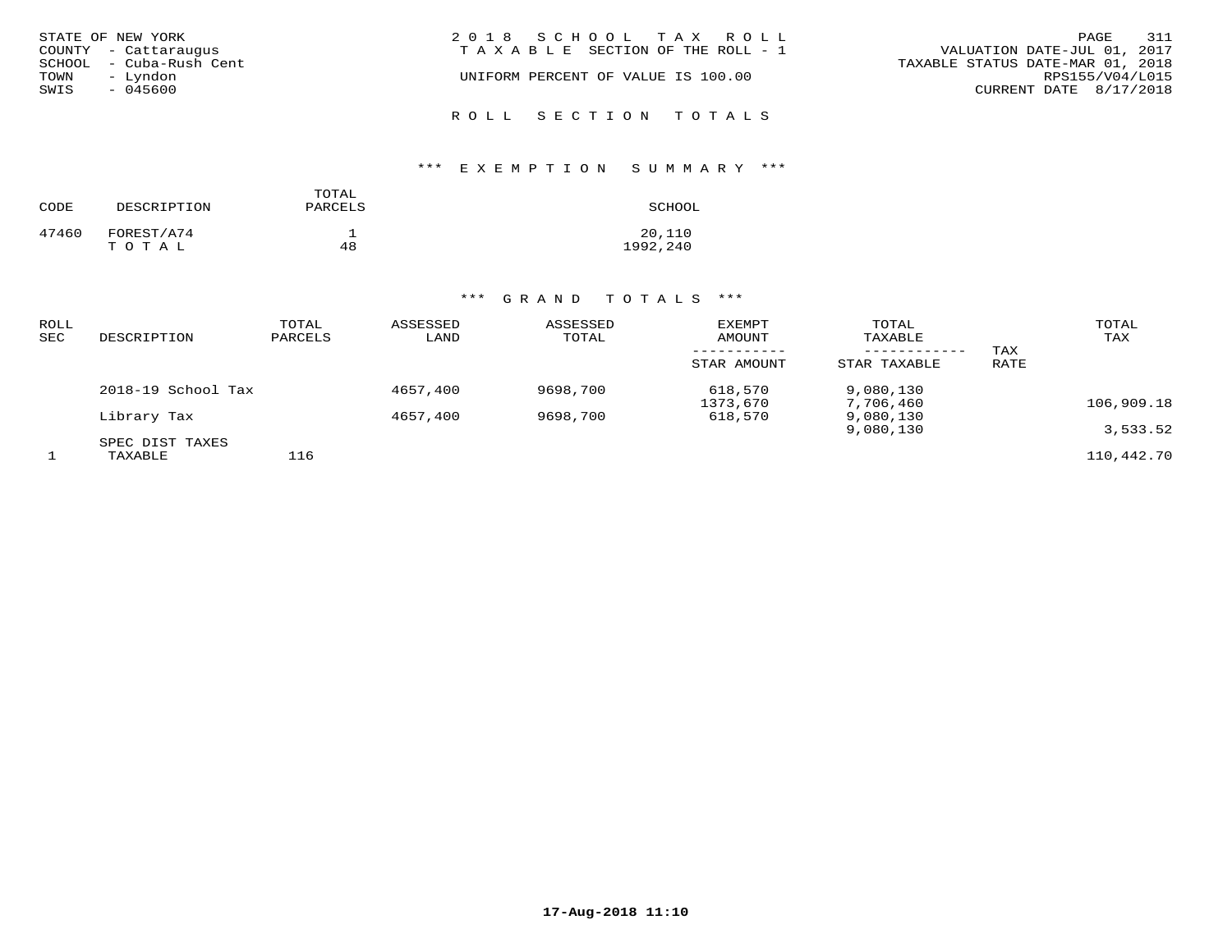| STATE OF NEW YORK<br>COUNTY - Cattaraugus<br>SCHOOL - Cuba-Rush Cent<br>TOWN<br>– Lyndon<br>SWIS<br>- 045600 | 2018 SCHOOL TAX ROLL<br>TAXABLE SECTION OF THE ROLL - 1<br>UNIFORM PERCENT OF VALUE IS 100.00 | 311<br>PAGE<br>VALUATION DATE-JUL 01, 2017<br>TAXABLE STATUS DATE-MAR 01, 2018<br>RPS155/V04/L015<br>CURRENT DATE 8/17/2018 |
|--------------------------------------------------------------------------------------------------------------|-----------------------------------------------------------------------------------------------|-----------------------------------------------------------------------------------------------------------------------------|
|                                                                                                              | ROLL SECTION TOTALS                                                                           |                                                                                                                             |

## \*\*\* E X E M P T I O N S U M M A R Y \*\*\*

| CODE  | DESCRIPTION         | TOTAL<br>PARCELS | SCHOOL             |
|-------|---------------------|------------------|--------------------|
| 47460 | FOREST/A74<br>TOTAL | 48               | 20,110<br>1992,240 |

| ROLL<br>SEC | DESCRIPTION                | TOTAL<br>PARCELS | ASSESSED<br>LAND | ASSESSED<br>TOTAL | EXEMPT<br>AMOUNT<br>STAR AMOUNT | TOTAL<br>TAXABLE<br>STAR TAXABLE | TAX<br>RATE | TOTAL<br>TAX |
|-------------|----------------------------|------------------|------------------|-------------------|---------------------------------|----------------------------------|-------------|--------------|
|             | 2018-19 School Tax         |                  | 4657,400         | 9698,700          | 618,570<br>1373,670             | 9,080,130<br>7,706,460           |             | 106,909.18   |
|             | Library Tax                |                  | 4657,400         | 9698,700          | 618,570                         | 9,080,130<br>9,080,130           |             | 3,533.52     |
|             | SPEC DIST TAXES<br>TAXABLE | 116              |                  |                   |                                 |                                  |             | 110,442.70   |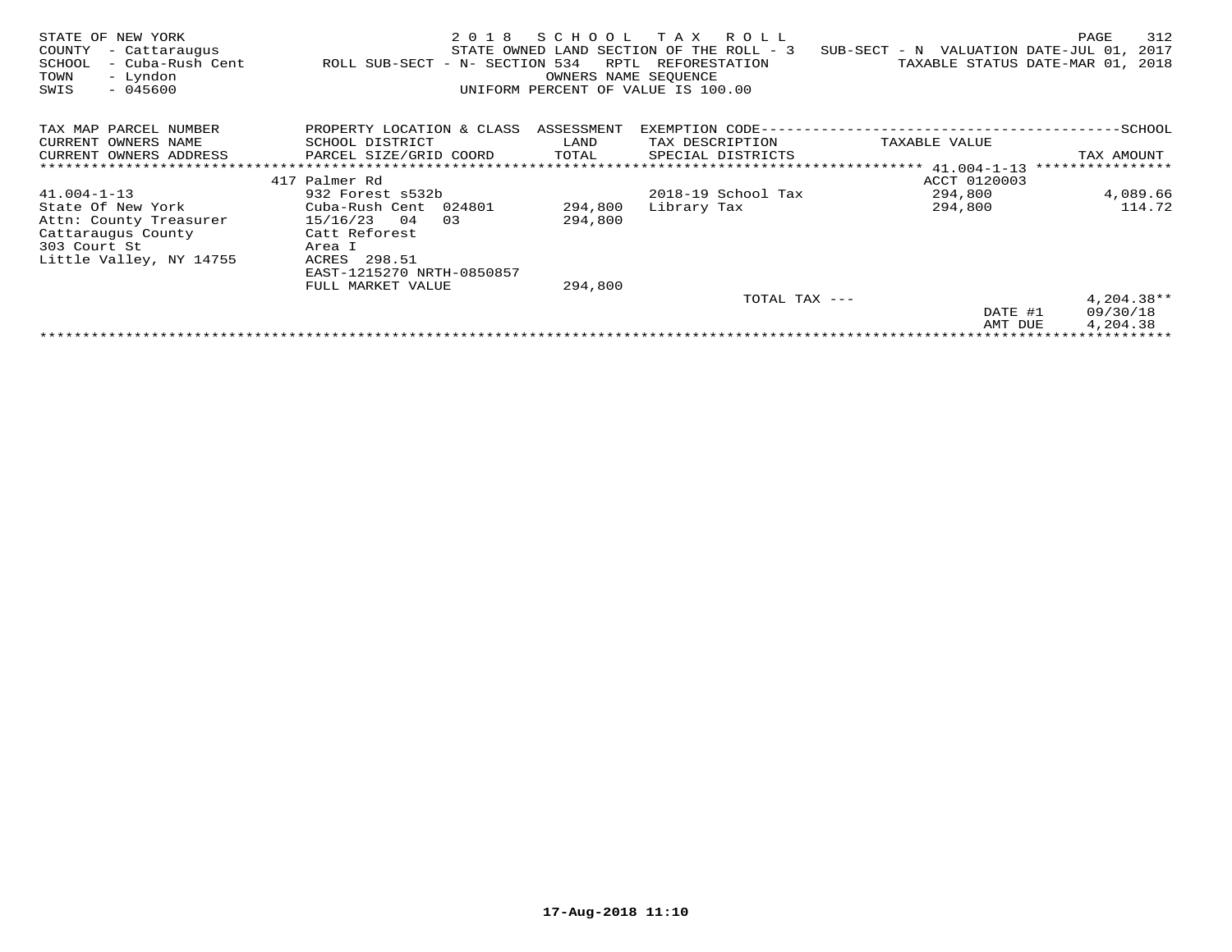| TAX MAP PARCEL NUMBER<br>PROPERTY LOCATION & CLASS<br>ASSESSMENT<br>CURRENT OWNERS NAME<br>SCHOOL DISTRICT<br>TAX DESCRIPTION<br>TAXABLE VALUE<br>LAND<br>CURRENT OWNERS ADDRESS<br>PARCEL SIZE/GRID COORD<br>TOTAL<br>SPECIAL DISTRICTS<br>TAX AMOUNT<br>****************<br>417 Palmer Rd<br>ACCT 0120003<br>294,800<br>4,089.66<br>$41.004 - 1 - 13$<br>932 Forest s532b<br>2018-19 School Tax<br>State Of New York<br>294,800<br>Cuba-Rush Cent 024801<br>294,800<br>Library Tax<br>15/16/23<br>294,800<br>Attn: County Treasurer<br>04<br>03 |        |
|---------------------------------------------------------------------------------------------------------------------------------------------------------------------------------------------------------------------------------------------------------------------------------------------------------------------------------------------------------------------------------------------------------------------------------------------------------------------------------------------------------------------------------------------------|--------|
|                                                                                                                                                                                                                                                                                                                                                                                                                                                                                                                                                   |        |
|                                                                                                                                                                                                                                                                                                                                                                                                                                                                                                                                                   |        |
|                                                                                                                                                                                                                                                                                                                                                                                                                                                                                                                                                   |        |
|                                                                                                                                                                                                                                                                                                                                                                                                                                                                                                                                                   |        |
|                                                                                                                                                                                                                                                                                                                                                                                                                                                                                                                                                   |        |
|                                                                                                                                                                                                                                                                                                                                                                                                                                                                                                                                                   |        |
|                                                                                                                                                                                                                                                                                                                                                                                                                                                                                                                                                   | 114.72 |
|                                                                                                                                                                                                                                                                                                                                                                                                                                                                                                                                                   |        |
| Catt Reforest<br>Cattaraugus County                                                                                                                                                                                                                                                                                                                                                                                                                                                                                                               |        |
| 303 Court St<br>Area I                                                                                                                                                                                                                                                                                                                                                                                                                                                                                                                            |        |
| ACRES 298.51<br>Little Valley, NY 14755                                                                                                                                                                                                                                                                                                                                                                                                                                                                                                           |        |
| EAST-1215270 NRTH-0850857                                                                                                                                                                                                                                                                                                                                                                                                                                                                                                                         |        |
| FULL MARKET VALUE<br>294,800                                                                                                                                                                                                                                                                                                                                                                                                                                                                                                                      |        |
| $4,204.38**$<br>TOTAL TAX ---                                                                                                                                                                                                                                                                                                                                                                                                                                                                                                                     |        |
| 09/30/18<br>DATE #1                                                                                                                                                                                                                                                                                                                                                                                                                                                                                                                               |        |
| 4,204.38<br>AMT DUE                                                                                                                                                                                                                                                                                                                                                                                                                                                                                                                               |        |
|                                                                                                                                                                                                                                                                                                                                                                                                                                                                                                                                                   |        |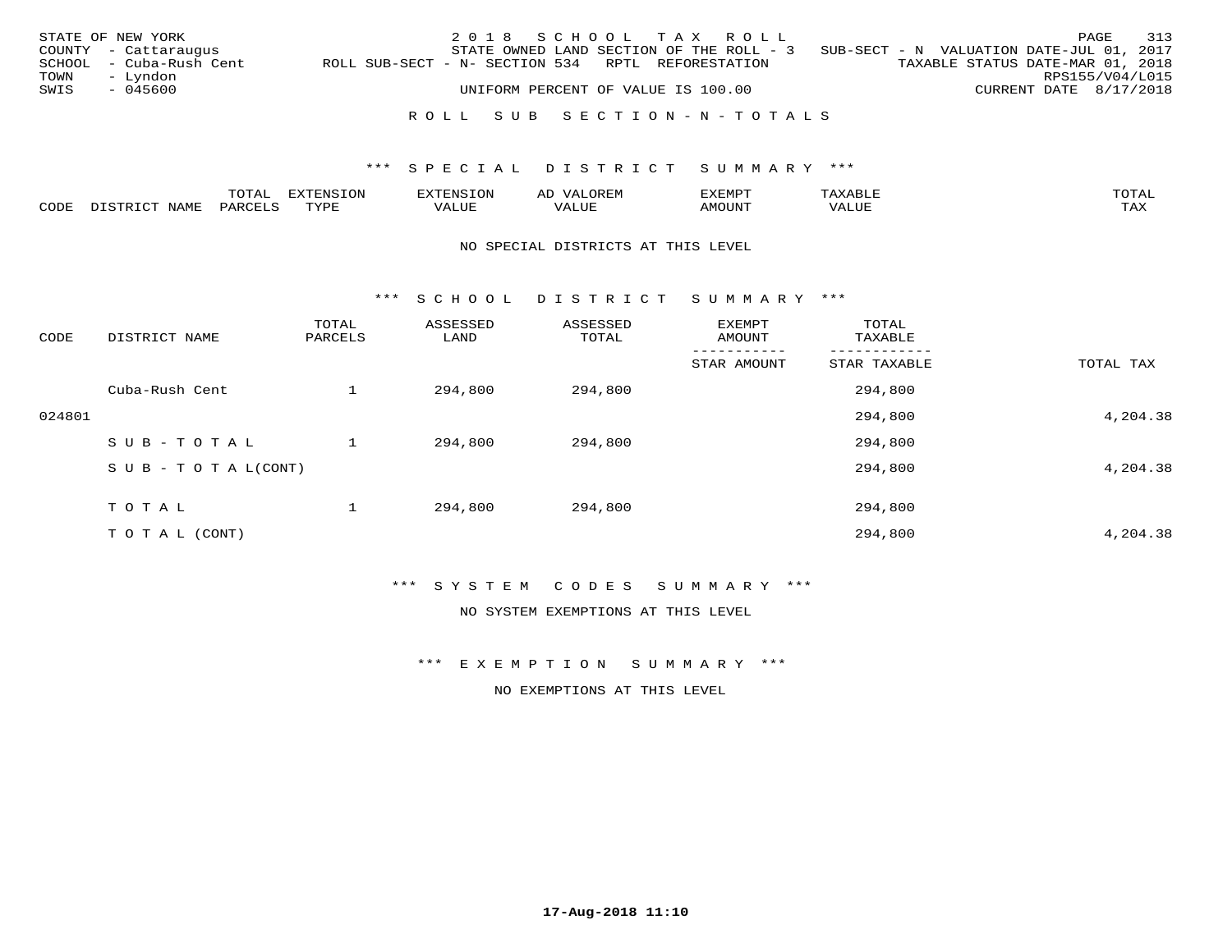|              | STATE OF NEW YORK<br>COUNTY - Cattaraugus       | 2018 SCHOOL TAX ROLL<br>STATE OWNED LAND SECTION OF THE ROLL - 3                        | 313<br>PAGE<br>SUB-SECT - N VALUATION DATE-JUL 01, 2017                       |
|--------------|-------------------------------------------------|-----------------------------------------------------------------------------------------|-------------------------------------------------------------------------------|
| TOWN<br>SWIS | SCHOOL - Cuba-Rush Cent<br>– Lyndon<br>- 045600 | ROLL SUB-SECT - N- SECTION 534 RPTL REFORESTATION<br>UNIFORM PERCENT OF VALUE IS 100.00 | TAXABLE STATUS DATE-MAR 01, 2018<br>RPS155/V04/L015<br>CURRENT DATE 8/17/2018 |
|              |                                                 | ROLL SUB SECTION-N-TOTALS                                                               |                                                                               |

|              |      | ----<br>⊥∪⊥⊓⊥ | <del>.</del><br>$-7070$ |        |                         | ,,, <del>,</del> ,,, <del>,</del> ,<br>ັ<br>⊐∆∟⊔⊔⊏ | $m \wedge m$       |
|--------------|------|---------------|-------------------------|--------|-------------------------|----------------------------------------------------|--------------------|
| <b>AUDE:</b> | NAME |               | TUTT                    | חדד דו | $- - - -$<br>۳۰ تابلد ک | MOUN.                                              | $- - - -$<br>. ris |

#### NO SPECIAL DISTRICTS AT THIS LEVEL

\*\*\* S C H O O L D I S T R I C T S U M M A R Y \*\*\*

| CODE   | DISTRICT NAME                    | TOTAL<br>PARCELS | ASSESSED<br>LAND | ASSESSED<br>TOTAL | EXEMPT<br>AMOUNT | TOTAL<br>TAXABLE |           |
|--------|----------------------------------|------------------|------------------|-------------------|------------------|------------------|-----------|
|        |                                  |                  |                  |                   | STAR AMOUNT      | STAR TAXABLE     | TOTAL TAX |
|        | Cuba-Rush Cent                   |                  | 294,800          | 294,800           |                  | 294,800          |           |
| 024801 |                                  |                  |                  |                   |                  | 294,800          | 4,204.38  |
|        | SUB-TOTAL                        |                  | 294,800          | 294,800           |                  | 294,800          |           |
|        | $S \cup B - T \cup T A L (CONT)$ |                  |                  |                   |                  | 294,800          | 4,204.38  |
|        | TOTAL                            |                  | 294,800          | 294,800           |                  | 294,800          |           |
|        | T O T A L (CONT)                 |                  |                  |                   |                  | 294,800          | 4,204.38  |

\*\*\* S Y S T E M C O D E S S U M M A R Y \*\*\*

NO SYSTEM EXEMPTIONS AT THIS LEVEL

\*\*\* E X E M P T I O N S U M M A R Y \*\*\*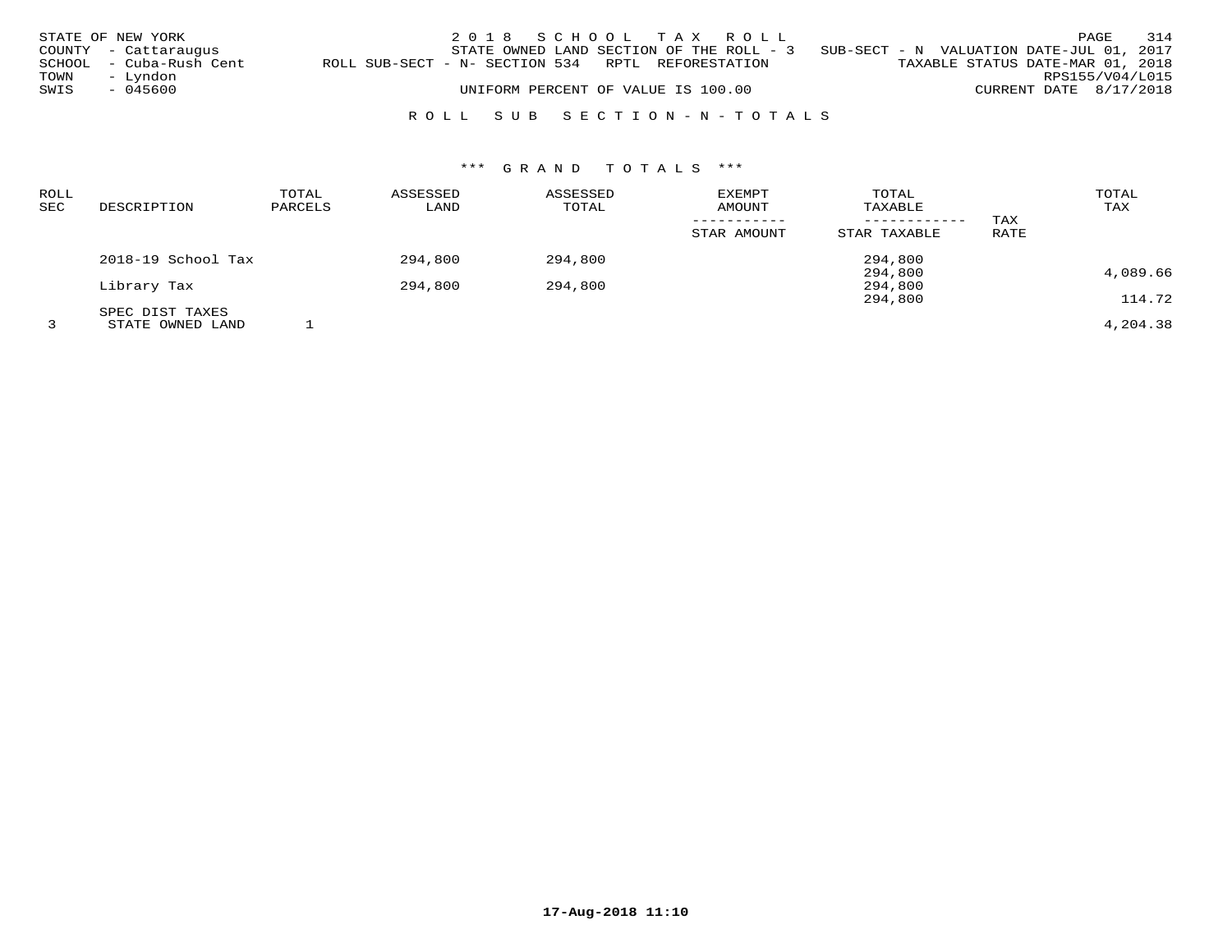|      | STATE OF NEW YORK       |                                                   | 2018 SCHOOL TAX ROLL                     |  |  |                                          |                        | PAGE | 314 |
|------|-------------------------|---------------------------------------------------|------------------------------------------|--|--|------------------------------------------|------------------------|------|-----|
|      | COUNTY - Cattaraugus    |                                                   | STATE OWNED LAND SECTION OF THE ROLL - 3 |  |  | SUB-SECT - N VALUATION DATE-JUL 01, 2017 |                        |      |     |
|      | SCHOOL - Cuba-Rush Cent | ROLL SUB-SECT - N- SECTION 534 RPTL REFORESTATION |                                          |  |  | TAXABLE STATUS DATE-MAR 01, 2018         |                        |      |     |
| TOWN | – Lyndon                |                                                   |                                          |  |  |                                          | RPS155/V04/L015        |      |     |
| SWIS | - 045600                |                                                   | UNIFORM PERCENT OF VALUE IS 100.00       |  |  |                                          | CURRENT DATE 8/17/2018 |      |     |
|      |                         |                                                   |                                          |  |  |                                          |                        |      |     |
|      |                         |                                                   | ROLL SUB SECTION-N-TOTALS                |  |  |                                          |                        |      |     |

# \*\*\* G R A N D T O T A L S \*\*\*

| <b>ROLL</b><br>SEC | DESCRIPTION        | TOTAL<br>PARCELS | ASSESSED<br>LAND | ASSESSED<br>TOTAL | <b>EXEMPT</b><br><b>AMOUNT</b> | TOTAL<br>TAXABLE<br>------------ | TAX  | TOTAL<br>TAX |
|--------------------|--------------------|------------------|------------------|-------------------|--------------------------------|----------------------------------|------|--------------|
|                    |                    |                  |                  |                   | STAR AMOUNT                    | STAR TAXABLE                     | RATE |              |
|                    | 2018-19 School Tax |                  | 294,800          | 294,800           |                                | 294,800                          |      |              |
|                    | Library Tax        |                  | 294,800          | 294,800           |                                | 294,800<br>294,800               |      | 4,089.66     |
|                    | SPEC DIST TAXES    |                  |                  |                   |                                | 294,800                          |      | 114.72       |
|                    | STATE OWNED LAND   |                  |                  |                   |                                |                                  |      | 4,204.38     |

**17-Aug-2018 11:10**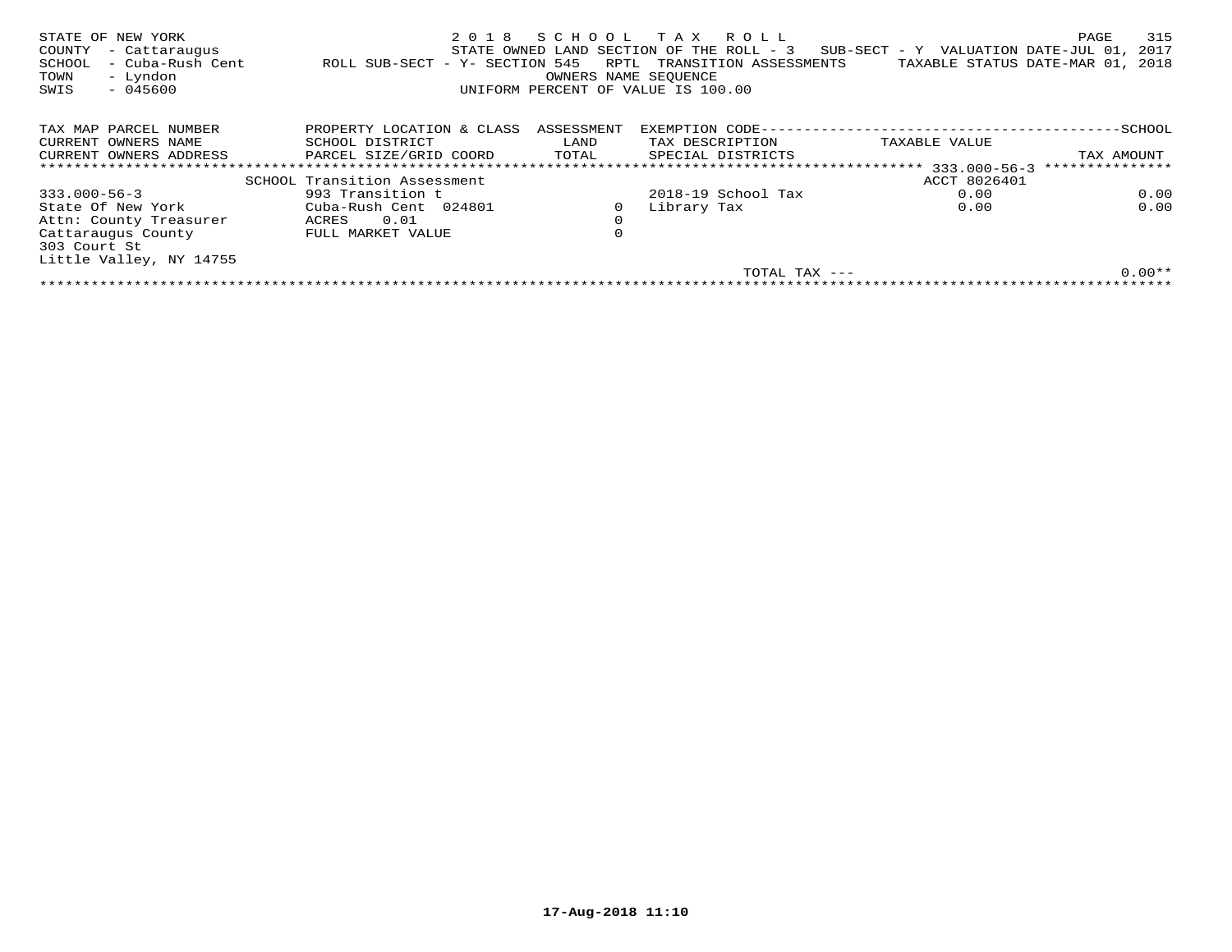| STATE OF NEW YORK<br>COUNTY<br>- Cattaraugus<br>- Cuba-Rush Cent<br>SCHOOL<br>- Lyndon<br>TOWN<br>$-045600$<br>SWIS | 2018<br>ROLL SUB-SECT - Y- SECTION 545 | SCHOOL<br>RPTL<br>OWNERS NAME SEQUENCE | T A X<br>R O L L<br>STATE OWNED LAND SECTION OF THE ROLL - 3<br>TRANSITION ASSESSMENTS<br>UNIFORM PERCENT OF VALUE IS 100.00 | SUB-SECT - Y VALUATION DATE-JUL 01,<br>TAXABLE STATUS DATE-MAR 01, | 315<br>PAGE<br>2017<br>2018 |
|---------------------------------------------------------------------------------------------------------------------|----------------------------------------|----------------------------------------|------------------------------------------------------------------------------------------------------------------------------|--------------------------------------------------------------------|-----------------------------|
| TAX MAP PARCEL NUMBER                                                                                               | PROPERTY LOCATION & CLASS              | ASSESSMENT                             | EXEMPTION CODE--                                                                                                             |                                                                    | -SCHOOL                     |
| CURRENT OWNERS NAME                                                                                                 | SCHOOL DISTRICT                        | LAND                                   | TAX DESCRIPTION                                                                                                              | TAXABLE VALUE                                                      |                             |
| CURRENT OWNERS ADDRESS                                                                                              | PARCEL SIZE/GRID COORD                 | TOTAL                                  | SPECIAL DISTRICTS                                                                                                            |                                                                    | TAX AMOUNT                  |
|                                                                                                                     | *************************************  |                                        | *********************************                                                                                            | $333.000 - 56 - 3$                                                 | ***************             |
|                                                                                                                     | SCHOOL Transition Assessment           |                                        |                                                                                                                              | ACCT 8026401                                                       |                             |
| $333.000 - 56 - 3$                                                                                                  | 993 Transition t                       |                                        | $2018-19$ School Tax                                                                                                         | 0.00                                                               | 0.00                        |
| State Of New York                                                                                                   | Cuba-Rush Cent 024801                  | 0                                      | Library Tax                                                                                                                  | 0.00                                                               | 0.00                        |
| Attn: County Treasurer                                                                                              | 0.01<br>ACRES                          | $\mathbf 0$                            |                                                                                                                              |                                                                    |                             |
| Cattaraugus County<br>303 Court St                                                                                  | FULL MARKET VALUE                      | 0                                      |                                                                                                                              |                                                                    |                             |
| Little Valley, NY 14755                                                                                             |                                        |                                        |                                                                                                                              |                                                                    |                             |
|                                                                                                                     |                                        |                                        | TOTAL TAX ---                                                                                                                |                                                                    | $0.00**$                    |
|                                                                                                                     |                                        |                                        |                                                                                                                              |                                                                    |                             |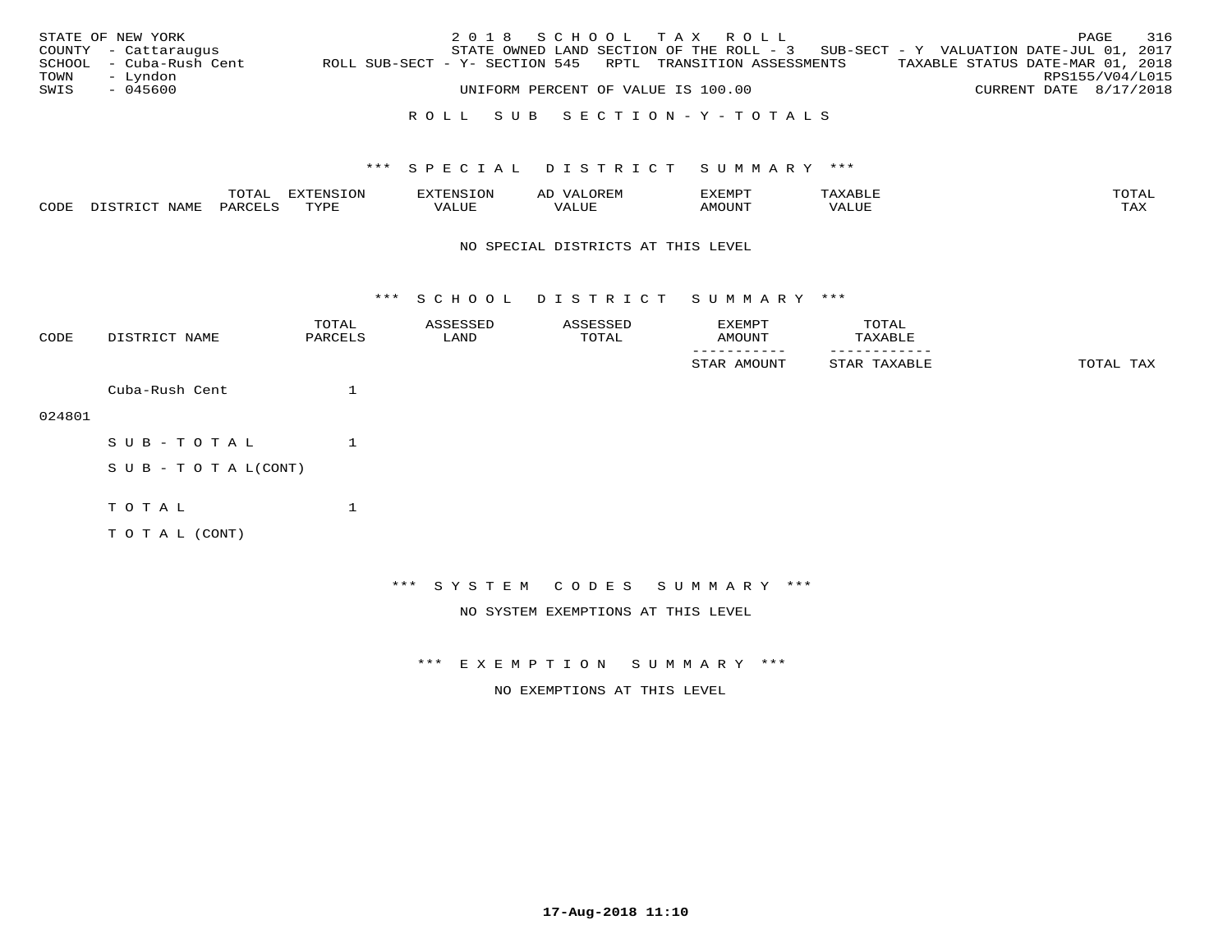|      | STATE OF NEW YORK       |                                                            | 2018 SCHOOL TAX ROLL                                                                |                                    |  |                                  |                        | PAGE | 316 |
|------|-------------------------|------------------------------------------------------------|-------------------------------------------------------------------------------------|------------------------------------|--|----------------------------------|------------------------|------|-----|
|      | COUNTY - Cattaraugus    |                                                            | STATE OWNED LAND SECTION OF THE ROLL - $3$ SUB-SECT - Y VALUATION DATE-JUL 01, 2017 |                                    |  |                                  |                        |      |     |
|      | SCHOOL - Cuba-Rush Cent | ROLL SUB-SECT - Y- SECTION 545 RPTL TRANSITION ASSESSMENTS |                                                                                     |                                    |  | TAXABLE STATUS DATE-MAR 01, 2018 |                        |      |     |
| TOWN | – Lyndon                |                                                            |                                                                                     |                                    |  |                                  | RPS155/V04/L015        |      |     |
| SWIS | - 045600                |                                                            |                                                                                     | UNIFORM PERCENT OF VALUE IS 100.00 |  |                                  | CURRENT DATE 8/17/2018 |      |     |
|      |                         |                                                            |                                                                                     |                                    |  |                                  |                        |      |     |

## R O L L S U B S E C T I O N - Y - T O T A L S

## \*\*\* S P E C I A L D I S T R I C T S U M M A R Y \*\*\*

|      |             | $m \wedge m \wedge n$<br>TOTAL | $\pi x \pi \pi x \pi \pi \pi x$<br>UN | N >          | AD    | ם הוא הדעי<br>י ∟ו∨. | 'ΔΧΔ<br>ᄾᄇᄓ | TOTAL |
|------|-------------|--------------------------------|---------------------------------------|--------------|-------|----------------------|-------------|-------|
| CODE | <b>NAME</b> | PARCELS                        | TVDL<br>- - - -                       | 77T<br>VALUE | 'ALUE | MOUN.                | VALUE       | TAX   |

#### NO SPECIAL DISTRICTS AT THIS LEVEL

\*\*\* S C H O O L D I S T R I C T S U M M A R Y \*\*\*

| CODE   | DISTRICT NAME              | TOTAL<br>PARCELS | ASSESSED<br>LAND | ASSESSED<br>TOTAL | EXEMPT<br>AMOUNT                   | TOTAL<br>TAXABLE |           |
|--------|----------------------------|------------------|------------------|-------------------|------------------------------------|------------------|-----------|
|        |                            |                  |                  |                   | STAR AMOUNT                        | STAR TAXABLE     | TOTAL TAX |
|        | Cuba-Rush Cent             | 1                |                  |                   |                                    |                  |           |
| 024801 |                            |                  |                  |                   |                                    |                  |           |
|        | SUB-TOTAL                  | 1                |                  |                   |                                    |                  |           |
|        | S U B - T O T A $L$ (CONT) |                  |                  |                   |                                    |                  |           |
|        | TOTAL                      | $\mathbf 1$      |                  |                   |                                    |                  |           |
|        | TO TAL (CONT)              |                  |                  |                   |                                    |                  |           |
|        |                            |                  |                  |                   |                                    |                  |           |
|        |                            |                  |                  |                   | *** SYSTEM CODES SUMMARY ***       |                  |           |
|        |                            |                  |                  |                   | NO SYSTEM EXEMPTIONS AT THIS LEVEL |                  |           |

\*\*\* E X E M P T I O N S U M M A R Y \*\*\*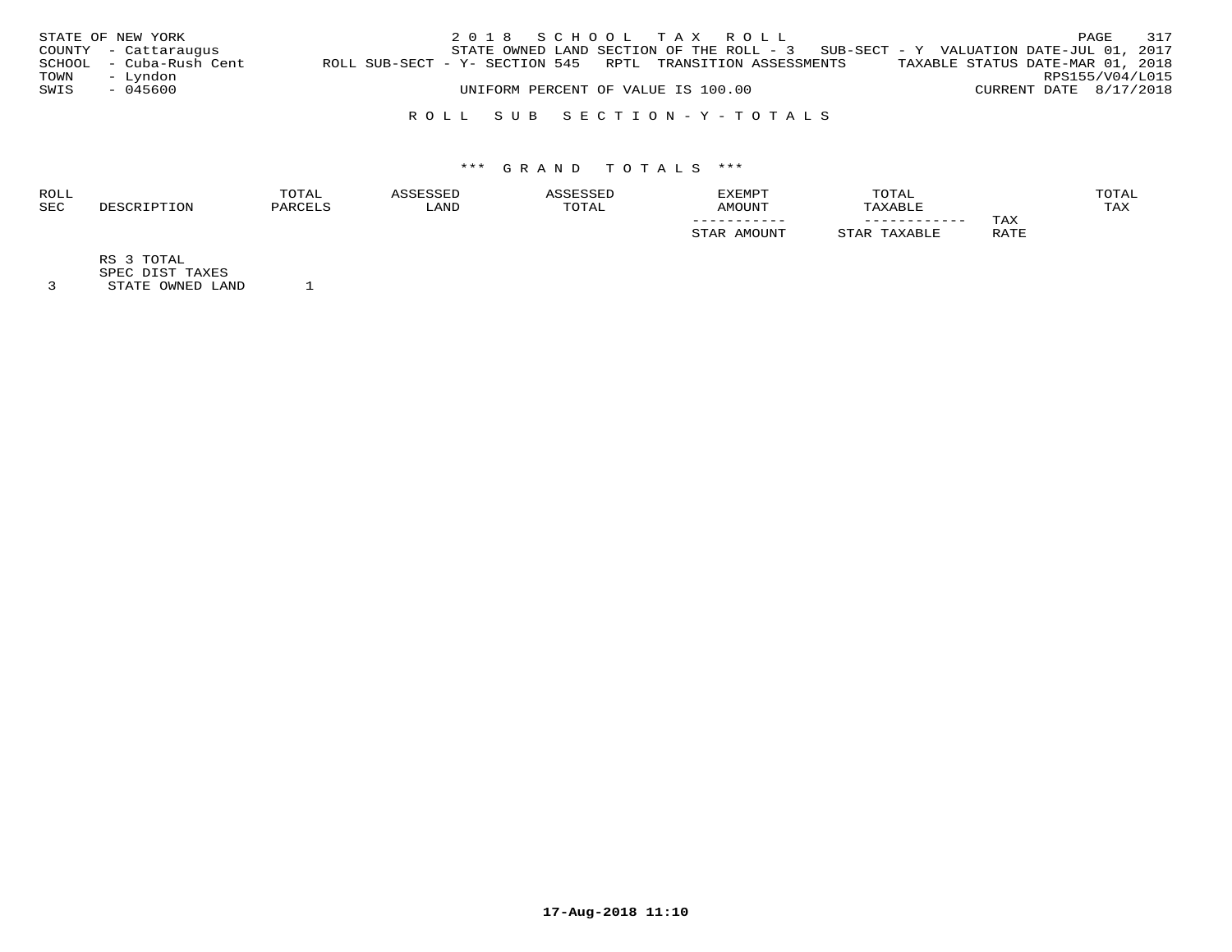|      | STATE OF NEW YORK       |                                                            | 2018 SCHOOL TAX ROLL                                                                |                                    |  |                                  |                        | PAGE | 317 |
|------|-------------------------|------------------------------------------------------------|-------------------------------------------------------------------------------------|------------------------------------|--|----------------------------------|------------------------|------|-----|
|      | COUNTY - Cattaraugus    |                                                            | STATE OWNED LAND SECTION OF THE ROLL - $3$ SUB-SECT - Y VALUATION DATE-JUL 01, 2017 |                                    |  |                                  |                        |      |     |
|      | SCHOOL - Cuba-Rush Cent | ROLL SUB-SECT - Y- SECTION 545 RPTL TRANSITION ASSESSMENTS |                                                                                     |                                    |  | TAXABLE STATUS DATE-MAR 01, 2018 |                        |      |     |
| TOWN | - Lyndon                |                                                            |                                                                                     |                                    |  |                                  | RPS155/V04/L015        |      |     |
| SWIS | - 045600                |                                                            |                                                                                     | UNIFORM PERCENT OF VALUE IS 100.00 |  |                                  | CURRENT DATE 8/17/2018 |      |     |
|      |                         |                                                            |                                                                                     |                                    |  |                                  |                        |      |     |

## R O L L S U B S E C T I O N - Y - T O T A L S

# \*\*\* G R A N D T O T A L S \*\*\*

| <b>ROLL</b> | TOTAL    |       |             | <b>EXEMPT</b>   | TOTAL        |             | <b>OTAL</b> |
|-------------|----------|-------|-------------|-----------------|--------------|-------------|-------------|
| <b>SEC</b>  | יהור חיי | 'JAND | <b>OTAL</b> | LINIOMA         | XABLE        |             | TAX         |
|             |          |       |             | ___________     | ____________ | TAX         |             |
|             |          |       |             | <b>IMOTTNTT</b> |              | RATE<br>ᅭᅭᅭ |             |

RS 3 TOTAL

SPEC DIST TAXES 3 STATE OWNED LAND 1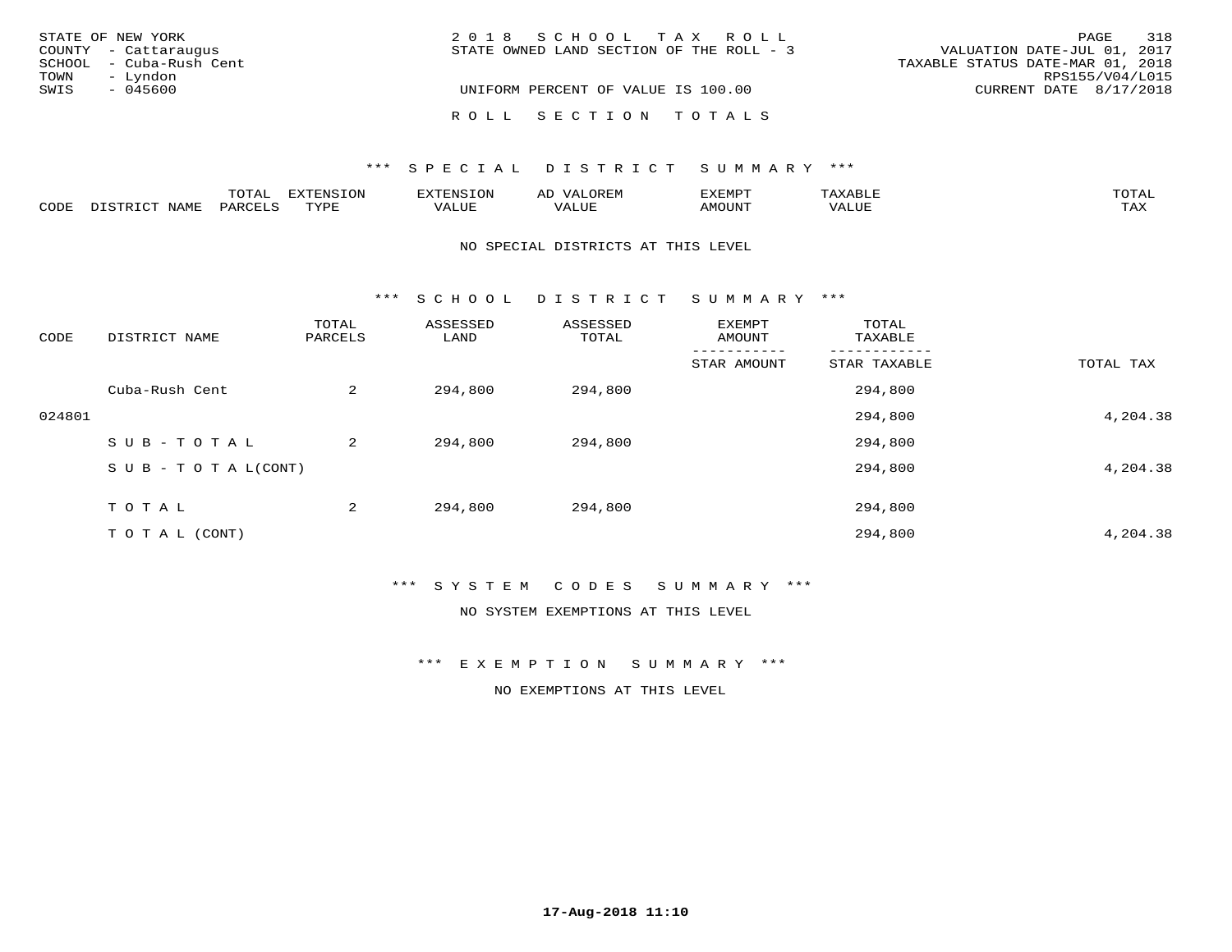| STATE OF NEW YORK       | 2018 SCHOOL TAX ROLL                     | 318<br>PAGE                      |
|-------------------------|------------------------------------------|----------------------------------|
| COUNTY - Cattaraugus    | STATE OWNED LAND SECTION OF THE ROLL - 3 | VALUATION DATE-JUL 01, 2017      |
| SCHOOL - Cuba-Rush Cent |                                          | TAXABLE STATUS DATE-MAR 01, 2018 |
| – Lyndon<br>TOWN        |                                          | RPS155/V04/L015                  |
| SWIS<br>- 045600        | UNIFORM PERCENT OF VALUE IS 100.00       | CURRENT DATE 8/17/2018           |
|                         | ROLL SECTION TOTALS                      |                                  |

### \*\*\* SPECIAL DISTRICT SUMMARY \*\*\*

|      |                   | mom <sub>n</sub><br>TOTAT | <b>EXTENSION</b><br>TOM | 'ENS  | OREM<br>AL.               | דפוא:זא<br>뜨스트버드. | $\overline{1}$<br>AXABLE | TOTAL |
|------|-------------------|---------------------------|-------------------------|-------|---------------------------|-------------------|--------------------------|-------|
| CODE | NAME<br>nistrict. | PARCELS                   | TVDL                    | VALUE | $- - - - - - - -$<br>ALUP | <b>AMOUNT</b>     | 'ALUL                    | TAX   |

#### NO SPECIAL DISTRICTS AT THIS LEVEL

\*\*\* S C H O O L D I S T R I C T S U M M A R Y \*\*\*

| CODE   | DISTRICT NAME                    | TOTAL<br>PARCELS | ASSESSED<br>LAND | ASSESSED<br>TOTAL | EXEMPT<br>AMOUNT | TOTAL<br>TAXABLE |           |
|--------|----------------------------------|------------------|------------------|-------------------|------------------|------------------|-----------|
|        |                                  |                  |                  |                   | STAR AMOUNT      | STAR TAXABLE     | TOTAL TAX |
|        | Cuba-Rush Cent                   | 2                | 294,800          | 294,800           |                  | 294,800          |           |
| 024801 |                                  |                  |                  |                   |                  | 294,800          | 4,204.38  |
|        | SUB-TOTAL                        | 2                | 294,800          | 294,800           |                  | 294,800          |           |
|        | $S \cup B - T \cup T A L (CONT)$ |                  |                  |                   |                  | 294,800          | 4,204.38  |
|        | TOTAL                            | 2                | 294,800          | 294,800           |                  | 294,800          |           |
|        | T O T A L (CONT)                 |                  |                  |                   |                  | 294,800          | 4,204.38  |

\*\*\* S Y S T E M C O D E S S U M M A R Y \*\*\*

NO SYSTEM EXEMPTIONS AT THIS LEVEL

\*\*\* E X E M P T I O N S U M M A R Y \*\*\*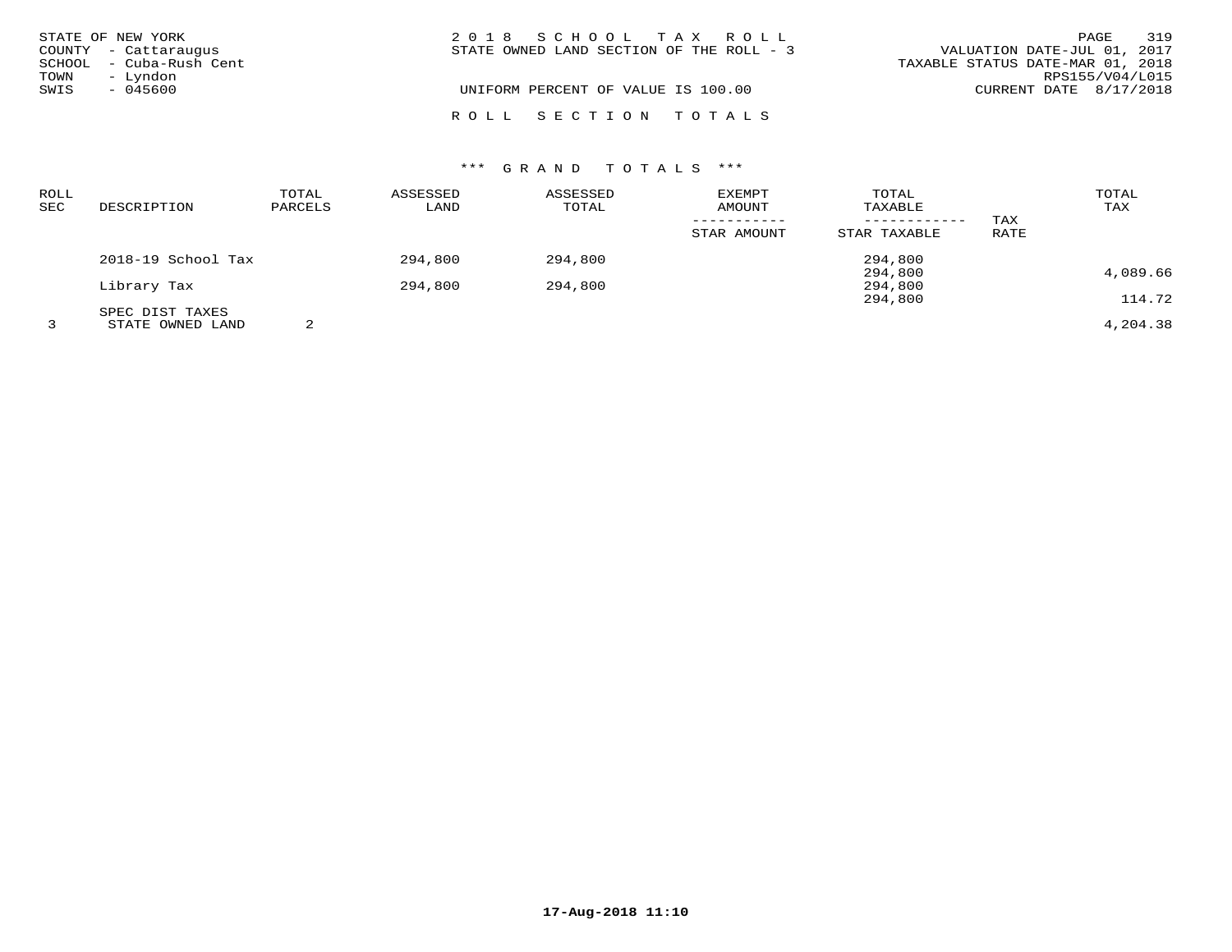|      | STATE OF NEW YORK       | 2018 SCHOOL TAX ROLL                     | 319<br>PAGE                      |
|------|-------------------------|------------------------------------------|----------------------------------|
|      | COUNTY - Cattaraugus    | STATE OWNED LAND SECTION OF THE ROLL - 3 | VALUATION DATE-JUL 01, 2017      |
|      | SCHOOL - Cuba-Rush Cent |                                          | TAXABLE STATUS DATE-MAR 01, 2018 |
| TOWN | – Lyndon                |                                          | RPS155/V04/L015                  |
| SWIS | - 045600                | UNIFORM PERCENT OF VALUE IS 100.00       | CURRENT DATE $8/17/2018$         |
|      |                         |                                          |                                  |
|      |                         | ROLL SECTION TOTALS                      |                                  |

# \*\*\* G R A N D T O T A L S \*\*\*

| ROLL<br>SEC | DESCRIPTION                         | TOTAL<br>PARCELS | ASSESSED<br>LAND | ASSESSED<br>TOTAL | <b>EXEMPT</b><br>AMOUNT | TOTAL<br>TAXABLE   | TAX  | TOTAL<br>TAX |
|-------------|-------------------------------------|------------------|------------------|-------------------|-------------------------|--------------------|------|--------------|
|             |                                     |                  |                  |                   | STAR AMOUNT             | STAR TAXABLE       | RATE |              |
|             | 2018-19 School Tax                  |                  | 294,800          | 294,800           |                         | 294,800<br>294,800 |      | 4,089.66     |
|             | Library Tax                         |                  | 294,800          | 294,800           |                         | 294,800            |      | 114.72       |
|             | SPEC DIST TAXES<br>STATE OWNED LAND | 2                |                  |                   |                         | 294,800            |      | 4,204.38     |

**17-Aug-2018 11:10**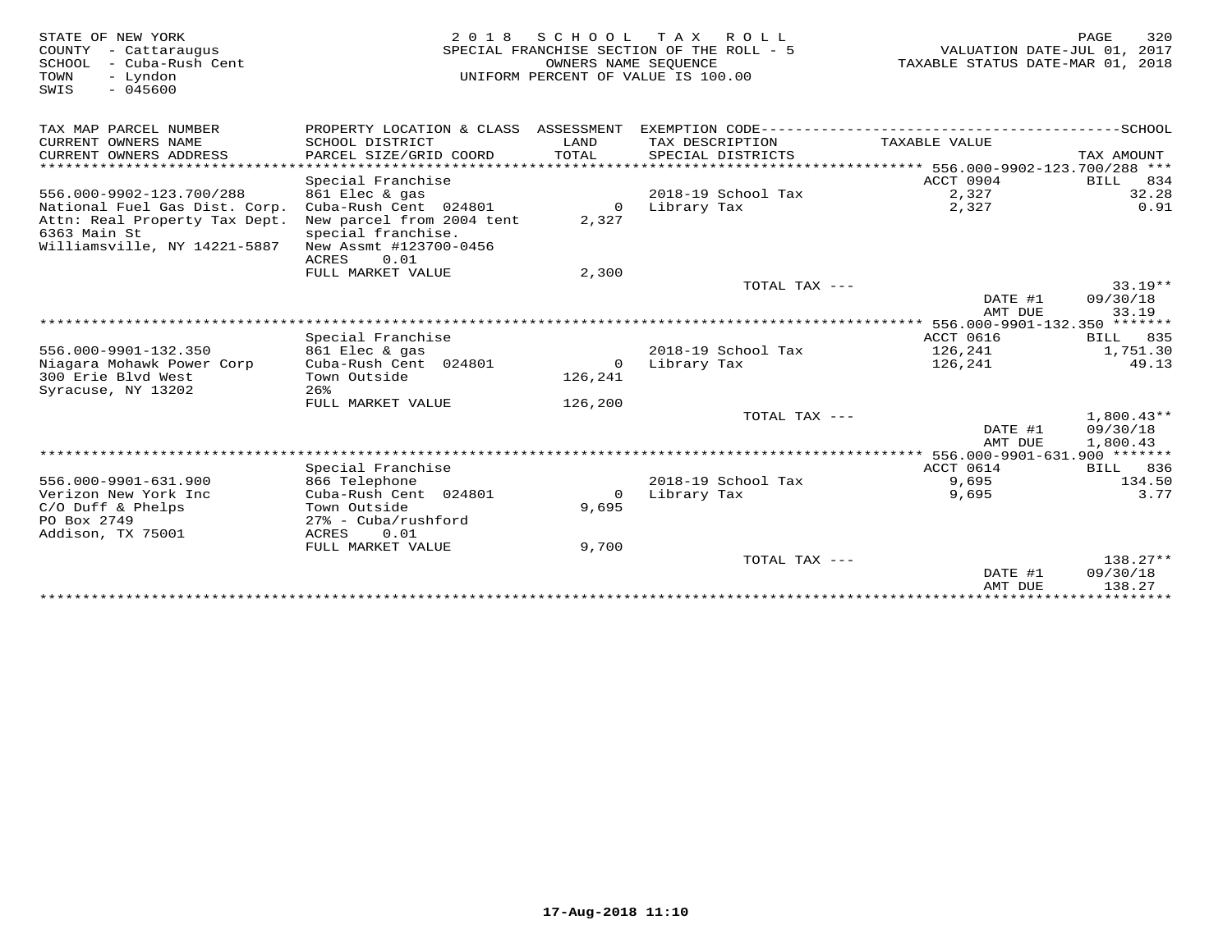| STATE OF NEW YORK<br>COUNTY - Cattaraugus<br>SCHOOL<br>- Cuba-Rush Cent<br>TOWN<br>- Lyndon<br>$-045600$<br>SWIS | 2 0 1 8                                                       |                      | SCHOOL TAX ROLL<br>SPECIAL FRANCHISE SECTION OF THE ROLL - 5<br>OWNERS NAME SEOUENCE<br>UNIFORM PERCENT OF VALUE IS 100.00 | VALUATION DATE-JUL 01, 2017<br>TAXABLE STATUS DATE-MAR 01, 2018 | PAGE<br>320            |
|------------------------------------------------------------------------------------------------------------------|---------------------------------------------------------------|----------------------|----------------------------------------------------------------------------------------------------------------------------|-----------------------------------------------------------------|------------------------|
| TAX MAP PARCEL NUMBER                                                                                            | PROPERTY LOCATION & CLASS ASSESSMENT                          |                      |                                                                                                                            |                                                                 |                        |
| CURRENT OWNERS NAME<br>CURRENT OWNERS ADDRESS                                                                    | SCHOOL DISTRICT<br>PARCEL SIZE/GRID COORD                     | LAND<br><b>TOTAL</b> | TAX DESCRIPTION<br>SPECIAL DISTRICTS                                                                                       | TAXABLE VALUE                                                   | TAX AMOUNT             |
| ************************                                                                                         |                                                               |                      |                                                                                                                            |                                                                 |                        |
|                                                                                                                  | Special Franchise                                             |                      |                                                                                                                            | ACCT 0904                                                       | 834<br>BILL            |
| 556.000-9902-123.700/288                                                                                         | 861 Elec & gas                                                |                      | 2018-19 School Tax                                                                                                         | 2,327                                                           | 32.28                  |
| National Fuel Gas Dist. Corp.<br>Attn: Real Property Tax Dept.                                                   | Cuba-Rush Cent 024801<br>New parcel from 2004 tent            | $\mathbf 0$<br>2,327 | Library Tax                                                                                                                | 2,327                                                           | 0.91                   |
| 6363 Main St<br>Williamsville, NY 14221-5887                                                                     | special franchise.<br>New Assmt #123700-0456<br>ACRES<br>0.01 |                      |                                                                                                                            |                                                                 |                        |
|                                                                                                                  | FULL MARKET VALUE                                             | 2,300                |                                                                                                                            |                                                                 |                        |
|                                                                                                                  |                                                               |                      | TOTAL TAX ---                                                                                                              |                                                                 | $33.19**$              |
|                                                                                                                  |                                                               |                      |                                                                                                                            | DATE #1<br>AMT DUE                                              | 09/30/18<br>33.19      |
|                                                                                                                  |                                                               |                      |                                                                                                                            | ************* 556.000-9901-132.350 *******                      |                        |
|                                                                                                                  | Special Franchise                                             |                      |                                                                                                                            | <b>ACCT 0616</b>                                                | <b>BILL</b> 835        |
| 556.000-9901-132.350                                                                                             | 861 Elec & gas                                                |                      | 2018-19 School Tax                                                                                                         | 126,241                                                         | 1,751.30               |
| Niagara Mohawk Power Corp                                                                                        | Cuba-Rush Cent 024801                                         | $\circ$              | Library Tax                                                                                                                | 126,241                                                         | 49.13                  |
| 300 Erie Blyd West<br>Syracuse, NY 13202                                                                         | Town Outside<br>26%                                           | 126,241              |                                                                                                                            |                                                                 |                        |
|                                                                                                                  | FULL MARKET VALUE                                             | 126,200              |                                                                                                                            |                                                                 |                        |
|                                                                                                                  |                                                               |                      | TOTAL TAX ---                                                                                                              |                                                                 | $1,800.43**$           |
|                                                                                                                  |                                                               |                      |                                                                                                                            | DATE #1<br>AMT DUE                                              | 09/30/18<br>1,800.43   |
|                                                                                                                  |                                                               |                      |                                                                                                                            |                                                                 |                        |
| 556.000-9901-631.900                                                                                             | Special Franchise<br>866 Telephone                            |                      | 2018-19 School Tax                                                                                                         | ACCT 0614<br>9,695                                              | BILL 836<br>134.50     |
| Verizon New York Inc                                                                                             | Cuba-Rush Cent 024801                                         | $\Omega$             | Library Tax                                                                                                                | 9,695                                                           | 3.77                   |
| $C/O$ Duff & Phelps                                                                                              | Town Outside                                                  | 9,695                |                                                                                                                            |                                                                 |                        |
| PO Box 2749                                                                                                      | $27$ % - Cuba/rushford                                        |                      |                                                                                                                            |                                                                 |                        |
| Addison, TX 75001                                                                                                | 0.01<br>ACRES                                                 |                      |                                                                                                                            |                                                                 |                        |
|                                                                                                                  | FULL MARKET VALUE                                             | 9,700                |                                                                                                                            |                                                                 |                        |
|                                                                                                                  |                                                               |                      | TOTAL TAX ---                                                                                                              | DATE #1                                                         | $138.27**$<br>09/30/18 |
|                                                                                                                  |                                                               |                      |                                                                                                                            | AMT DUE                                                         | 138.27                 |
|                                                                                                                  |                                                               |                      |                                                                                                                            |                                                                 |                        |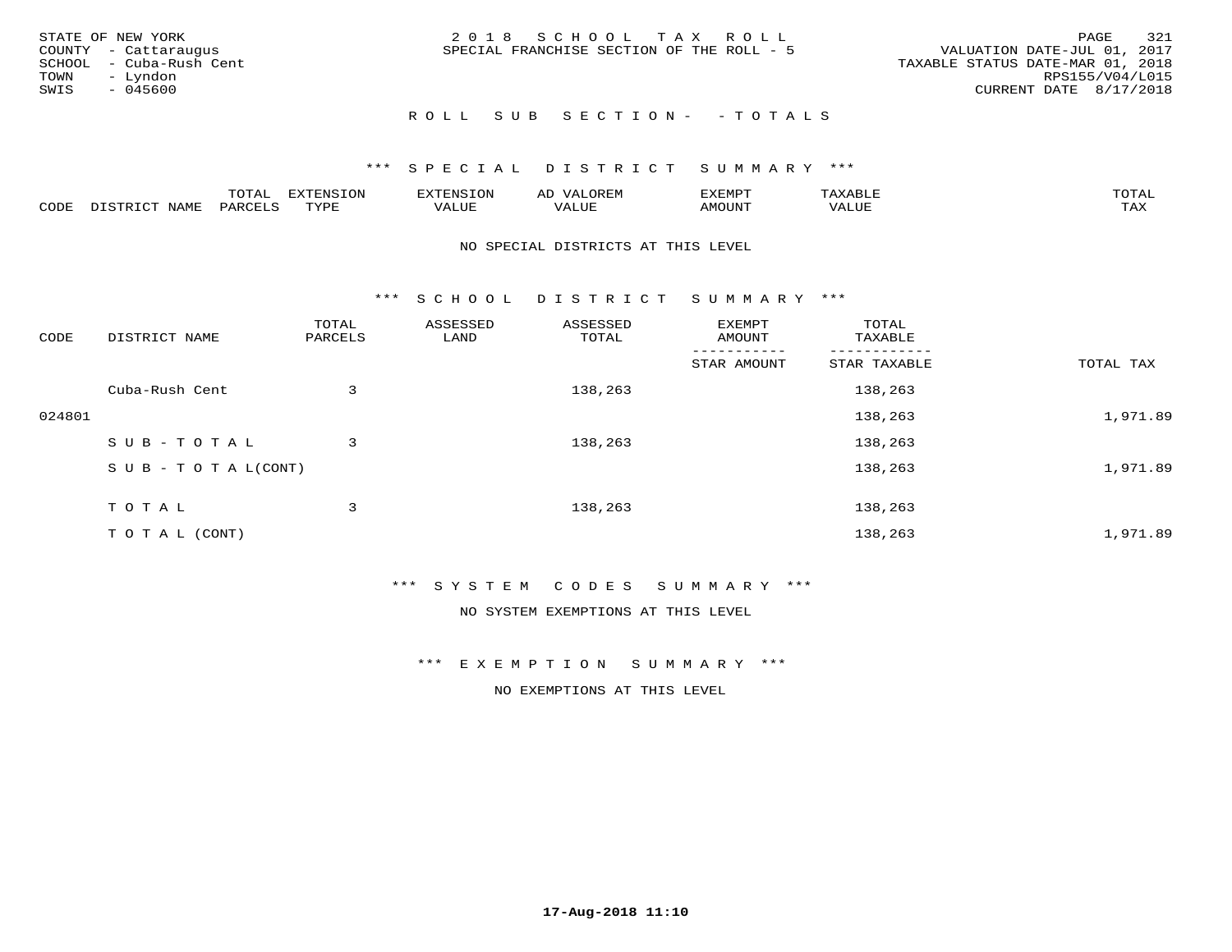| STATE OF NEW YORK<br>COUNTY - Cattaraugus<br>SCHOOL - Cuba-Rush Cent<br>TOWN - Lyndon<br>SWIS<br>- 045600 | 2018 SCHOOL TAX ROLL<br>SPECIAL FRANCHISE SECTION OF THE ROLL - 5 | 321<br>PAGE<br>VALUATION DATE-JUL 01, 2017<br>TAXABLE STATUS DATE-MAR 01, 2018<br>RPS155/V04/L015<br>CURRENT DATE 8/17/2018 |
|-----------------------------------------------------------------------------------------------------------|-------------------------------------------------------------------|-----------------------------------------------------------------------------------------------------------------------------|
|                                                                                                           | ROLL SUB SECTION- - TOTALS                                        |                                                                                                                             |

|      |                      | ----<br><u>UIAI</u> | <b>FYTFNSION</b><br>- 75 | <b>FNC</b>     | ᅺᅜᄓ                      | SXEMPT | $\Delta$<br>.                  | $m \wedge m \wedge n$ |
|------|----------------------|---------------------|--------------------------|----------------|--------------------------|--------|--------------------------------|-----------------------|
| CODE | <b>NTAMT</b><br>⊥∙⊥⊥ | D.ODT.<br>PARL      | $m \tau \tau m$<br>.     | T T T<br>ALUF: | , <del>,</del> , , , , , | MOUN.  | , 77 T TT <del>D</del><br>ALUE | TAX                   |

#### NO SPECIAL DISTRICTS AT THIS LEVEL

\*\*\* S C H O O L D I S T R I C T S U M M A R Y \*\*\*

| CODE   | DISTRICT NAME                    | TOTAL<br>PARCELS | ASSESSED<br>LAND | ASSESSED<br>TOTAL | EXEMPT<br>AMOUNT | TOTAL<br>TAXABLE |           |
|--------|----------------------------------|------------------|------------------|-------------------|------------------|------------------|-----------|
|        |                                  |                  |                  |                   | STAR AMOUNT      | STAR TAXABLE     | TOTAL TAX |
|        | Cuba-Rush Cent                   | 3                |                  | 138,263           |                  | 138,263          |           |
| 024801 |                                  |                  |                  |                   |                  | 138,263          | 1,971.89  |
|        | SUB-TOTAL                        | 3                |                  | 138,263           |                  | 138,263          |           |
|        | $S \cup B - T \cup T A L (CONT)$ |                  |                  |                   |                  | 138,263          | 1,971.89  |
|        | TOTAL                            | 3                |                  | 138,263           |                  | 138,263          |           |
|        | TO TAL (CONT)                    |                  |                  |                   |                  | 138,263          | 1,971.89  |

#### \*\*\* S Y S T E M C O D E S S U M M A R Y \*\*\*

NO SYSTEM EXEMPTIONS AT THIS LEVEL

\*\*\* E X E M P T I O N S U M M A R Y \*\*\*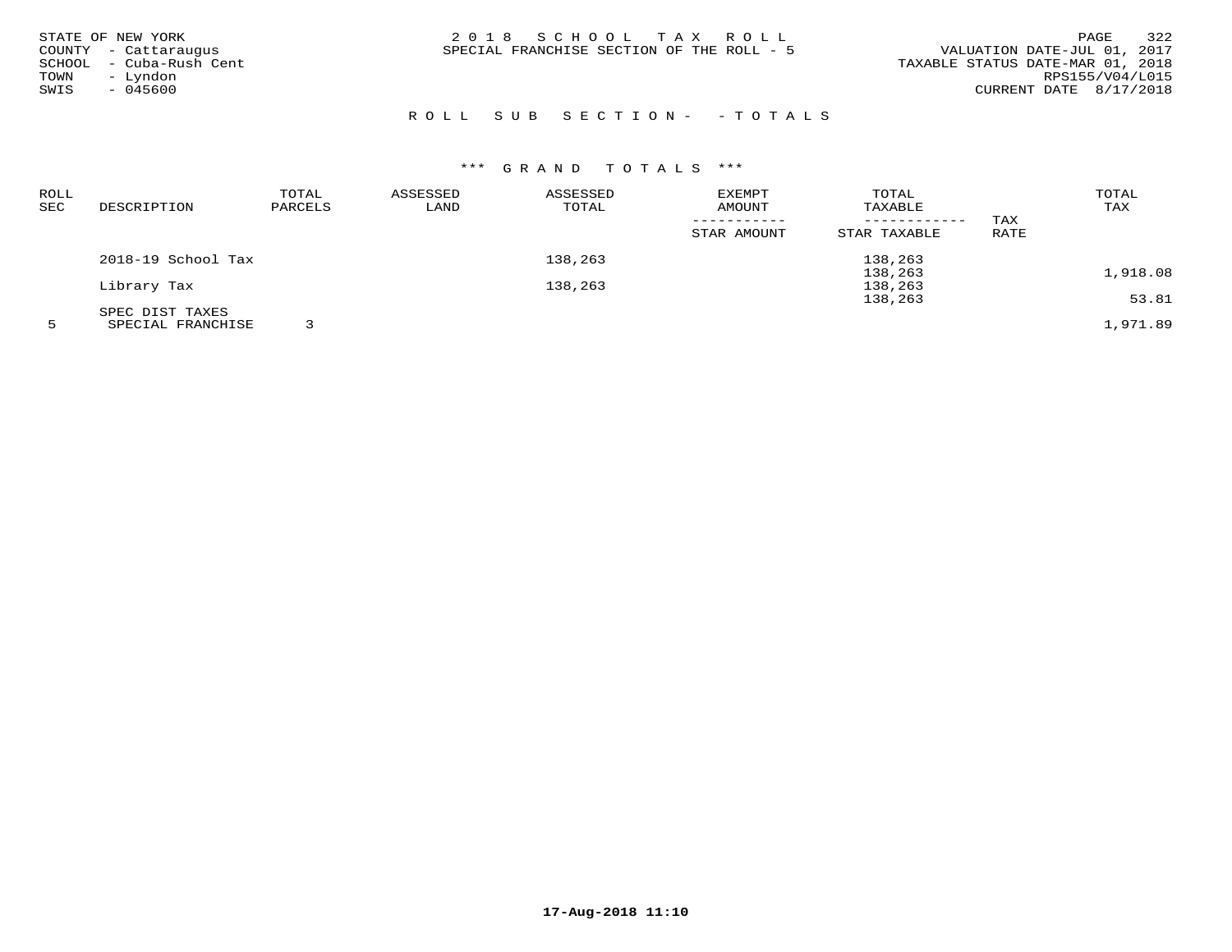| 2018 SCHOOL TAX ROLL<br><b>PAGE</b><br>STATE OF NEW YORK<br>VALUATION DATE-JUL 01, 2017<br>SPECIAL FRANCHISE SECTION OF THE ROLL - 5<br>COUNTY - Cattaraugus<br>TAXABLE STATUS DATE-MAR 01, 2018<br>- Cuba-Rush Cent<br>SCHOOL<br>RPS155/V04/L015<br>- Lyndon<br>TOWN<br>SWIS<br>CURRENT DATE 8/17/2018<br>$-045600$ |  |  |  | 322 |
|----------------------------------------------------------------------------------------------------------------------------------------------------------------------------------------------------------------------------------------------------------------------------------------------------------------------|--|--|--|-----|
|----------------------------------------------------------------------------------------------------------------------------------------------------------------------------------------------------------------------------------------------------------------------------------------------------------------------|--|--|--|-----|

# R O L L S U B S E C T I O N - - T O T A L S

| ROLL |                    | TOTAL   | ASSESSED | ASSESSED | EXEMPT      | TOTAL        |      | TOTAL    |
|------|--------------------|---------|----------|----------|-------------|--------------|------|----------|
| SEC  | DESCRIPTION        | PARCELS | LAND     | TOTAL    | AMOUNT      | TAXABLE      |      | TAX      |
|      |                    |         |          |          |             |              | TAX  |          |
|      |                    |         |          |          | STAR AMOUNT | STAR TAXABLE | RATE |          |
|      | 2018-19 School Tax |         |          | 138,263  |             | 138,263      |      |          |
|      |                    |         |          |          |             | 138,263      |      | 1,918.08 |
|      | Library Tax        |         |          | 138,263  |             | 138,263      |      |          |
|      |                    |         |          |          |             | 138,263      |      | 53.81    |
|      | SPEC DIST TAXES    |         |          |          |             |              |      |          |
|      | SPECIAL FRANCHISE  |         |          |          |             |              |      | 1,971.89 |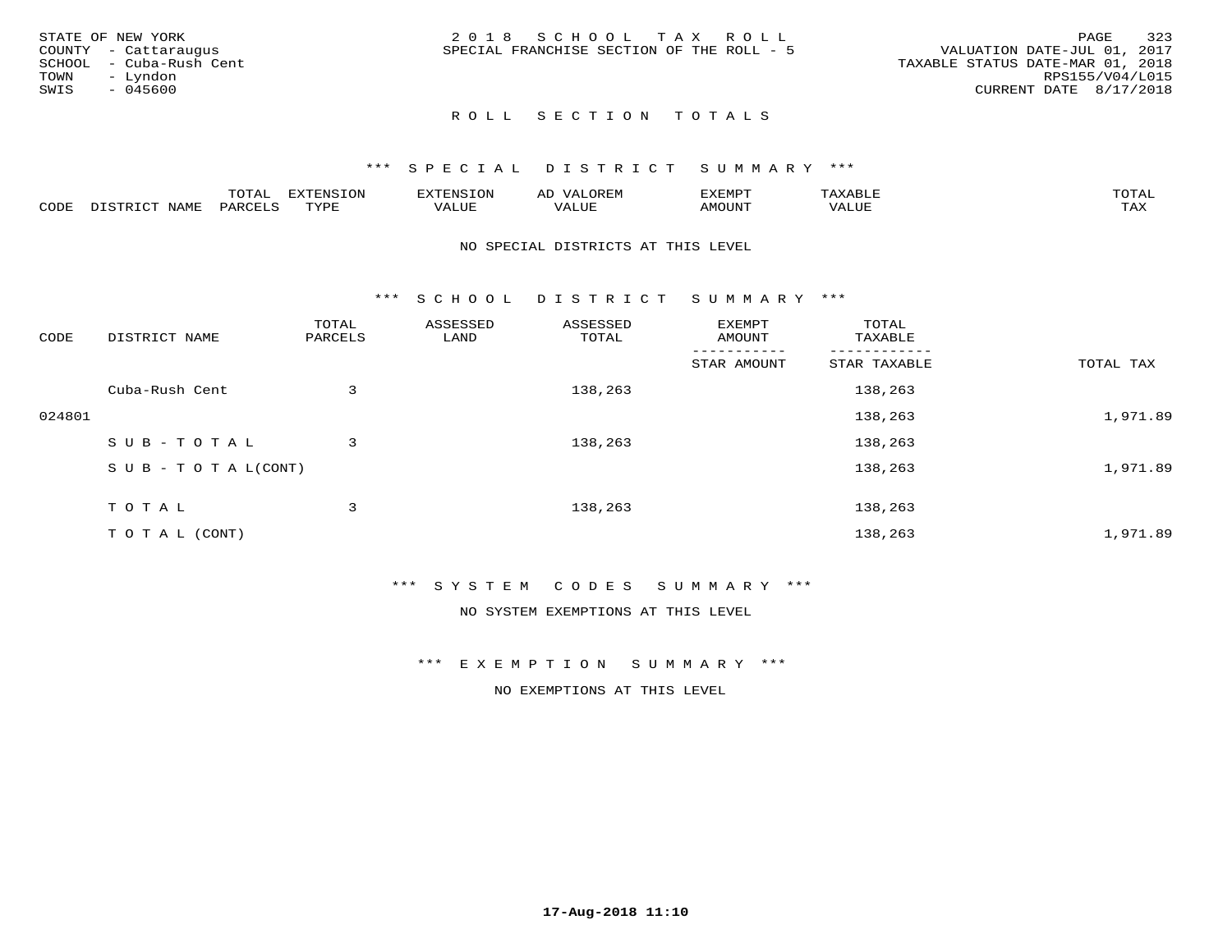|      | STATE OF NEW YORK       | 2018 SCHOOL TAX ROLL                                                     | PAGE            | 323 |
|------|-------------------------|--------------------------------------------------------------------------|-----------------|-----|
|      | COUNTY - Cattaraugus    | VALUATION DATE-JUL 01, 2017<br>SPECIAL FRANCHISE SECTION OF THE ROLL - 5 |                 |     |
|      | SCHOOL - Cuba-Rush Cent | TAXABLE STATUS DATE-MAR 01, 2018                                         |                 |     |
| TOWN | – Lyndon                |                                                                          | RPS155/V04/L015 |     |
| SWIS | $-045600$               | CURRENT DATE 8/17/2018                                                   |                 |     |
|      |                         |                                                                          |                 |     |

## ROLL SECTION TOTALS

#### \*\*\* S P E C I A L D I S T R I C T S U M M A R Y \*\*\*

|      |      | momm<br>LUIAL | $\blacksquare$<br>mazma<br>.UP | . N.S                | . JR P.IV     | המארד 17<br>ິ<br>⊐ויום∧נ |                |                    |
|------|------|---------------|--------------------------------|----------------------|---------------|--------------------------|----------------|--------------------|
| CODE | NAME | . DAD'        | TVDI<br>.                      | 77\TTTT<br>الالالدين | T T T<br>ALUI | AMOUNT                   | T T T T<br>′ △ | $m \times r$<br>∸⊷ |

#### NO SPECIAL DISTRICTS AT THIS LEVEL

\*\*\* S C H O O L D I S T R I C T S U M M A R Y \*\*\*

| CODE   | DISTRICT NAME                    | TOTAL<br>PARCELS | ASSESSED<br>LAND | ASSESSED<br>TOTAL | EXEMPT<br>AMOUNT | TOTAL<br>TAXABLE |           |
|--------|----------------------------------|------------------|------------------|-------------------|------------------|------------------|-----------|
|        |                                  |                  |                  |                   | STAR AMOUNT      | STAR TAXABLE     | TOTAL TAX |
|        | Cuba-Rush Cent                   | 3                |                  | 138,263           |                  | 138,263          |           |
| 024801 |                                  |                  |                  |                   |                  | 138,263          | 1,971.89  |
|        | SUB-TOTAL                        | 3                |                  | 138,263           |                  | 138,263          |           |
|        | $S \cup B - T \cup T A L (CONT)$ |                  |                  |                   |                  | 138,263          | 1,971.89  |
|        | TOTAL                            | 3                |                  | 138,263           |                  | 138,263          |           |
|        | T O T A L (CONT)                 |                  |                  |                   |                  | 138,263          | 1,971.89  |

#### \*\*\* S Y S T E M C O D E S S U M M A R Y \*\*\*

NO SYSTEM EXEMPTIONS AT THIS LEVEL

\*\*\* E X E M P T I O N S U M M A R Y \*\*\*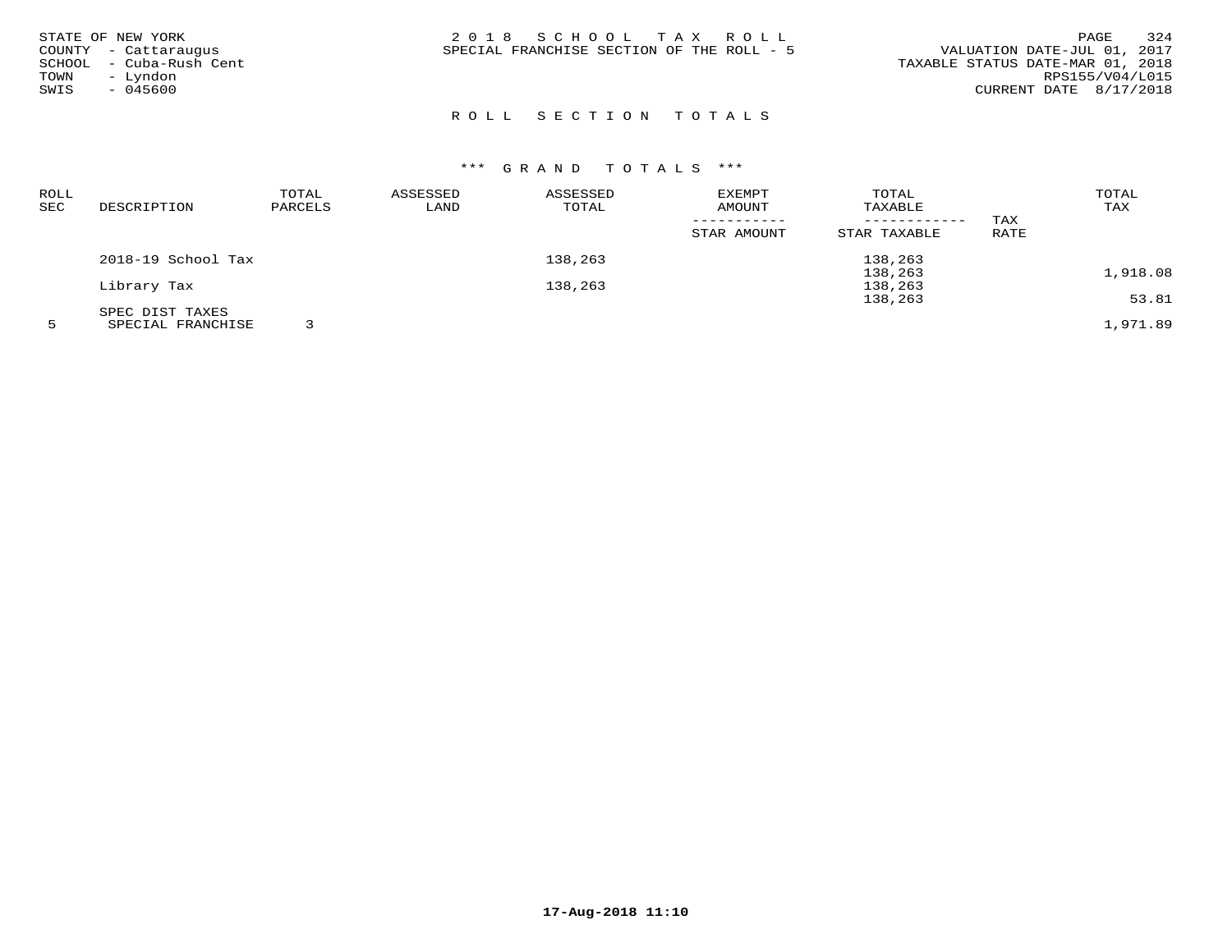| STATE OF NEW YORK<br>COUNTY - Cattaraugus<br>SCHOOL - Cuba-Rush Cent<br>- Lyndon<br>TOWN<br>SWIS<br>$-045600$ | 2018 SCHOOL TAX ROLL<br>SPECIAL FRANCHISE SECTION OF THE ROLL - 5 | 324<br>PAGE<br>VALUATION DATE-JUL 01, 2017<br>TAXABLE STATUS DATE-MAR 01, 2018<br>RPS155/V04/L015<br>CURRENT DATE $8/17/2018$ |
|---------------------------------------------------------------------------------------------------------------|-------------------------------------------------------------------|-------------------------------------------------------------------------------------------------------------------------------|
|---------------------------------------------------------------------------------------------------------------|-------------------------------------------------------------------|-------------------------------------------------------------------------------------------------------------------------------|

# R O L L S E C T I O N T O T A L S

| ROLL |                    | TOTAL   | ASSESSED | ASSESSED | EXEMPT      | TOTAL        |      | TOTAL    |
|------|--------------------|---------|----------|----------|-------------|--------------|------|----------|
| SEC  | DESCRIPTION        | PARCELS | LAND     | TOTAL    | AMOUNT      | TAXABLE      |      | TAX      |
|      |                    |         |          |          |             |              | TAX  |          |
|      |                    |         |          |          | STAR AMOUNT | STAR TAXABLE | RATE |          |
|      | 2018-19 School Tax |         |          | 138,263  |             | 138,263      |      |          |
|      |                    |         |          |          |             | 138,263      |      | 1,918.08 |
|      | Library Tax        |         |          | 138,263  |             | 138,263      |      |          |
|      |                    |         |          |          |             | 138,263      |      | 53.81    |
|      | SPEC DIST TAXES    |         |          |          |             |              |      |          |
|      | SPECIAL FRANCHISE  |         |          |          |             |              |      | 1,971.89 |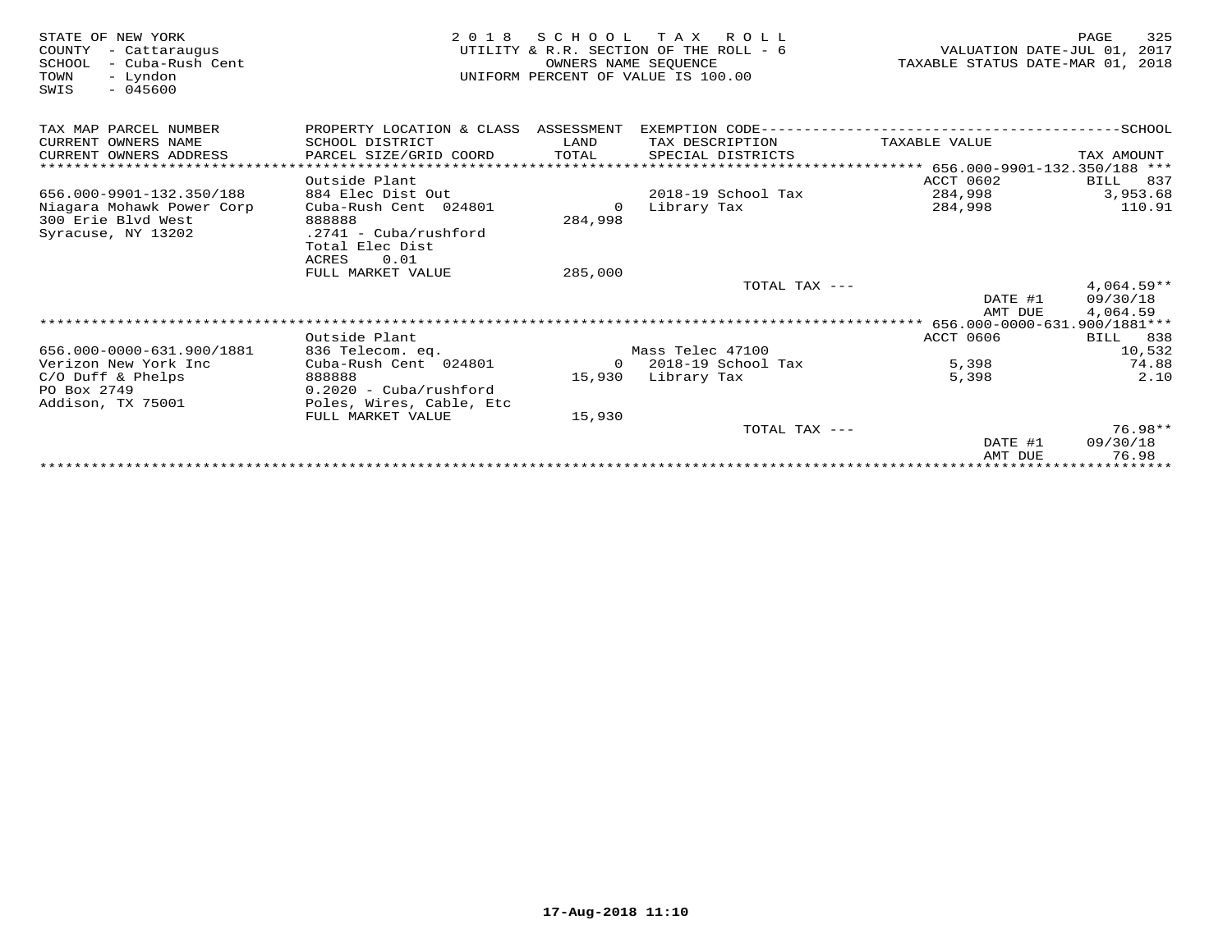| STATE OF NEW YORK<br>COUNTY<br>- Cattaraugus<br>- Cuba-Rush Cent<br>SCHOOL<br>TOWN<br>- Lyndon<br>$-045600$<br>SWIS | 2 0 1 8                              | OWNERS NAME SEQUENCE | SCHOOL TAX ROLL<br>UTILITY & R.R. SECTION OF THE ROLL - 6<br>UNIFORM PERCENT OF VALUE IS 100.00 | VALUATION DATE-JUL 01,<br>TAXABLE STATUS DATE-MAR 01, | PAGE<br>325<br>2017<br>2018 |
|---------------------------------------------------------------------------------------------------------------------|--------------------------------------|----------------------|-------------------------------------------------------------------------------------------------|-------------------------------------------------------|-----------------------------|
| TAX MAP PARCEL NUMBER                                                                                               | PROPERTY LOCATION & CLASS ASSESSMENT |                      | EXEMPTION CODE-----------                                                                       |                                                       | ----------------SCHOOL      |
| CURRENT OWNERS NAME                                                                                                 | SCHOOL DISTRICT                      | LAND                 | TAX DESCRIPTION                                                                                 | TAXABLE VALUE                                         |                             |
| CURRENT OWNERS ADDRESS                                                                                              | PARCEL SIZE/GRID COORD               | TOTAL                | SPECIAL DISTRICTS                                                                               |                                                       | TAX AMOUNT                  |
| ***********************                                                                                             | ************************             |                      |                                                                                                 | ***** 656.000-9901-132.350/188 ***                    |                             |
|                                                                                                                     | Outside Plant                        |                      |                                                                                                 | ACCT 0602                                             | 837<br>BILL                 |
| 656.000-9901-132.350/188                                                                                            | 884 Elec Dist Out                    |                      | 2018-19 School Tax                                                                              | 284,998                                               | 3,953.68                    |
| Niagara Mohawk Power Corp                                                                                           | Cuba-Rush Cent 024801                | $\Omega$             | Library Tax                                                                                     | 284,998                                               | 110.91                      |
| 300 Erie Blyd West                                                                                                  | 888888                               | 284,998              |                                                                                                 |                                                       |                             |
| Syracuse, NY 13202                                                                                                  | $.2741 - Cuba/rushford$              |                      |                                                                                                 |                                                       |                             |
|                                                                                                                     | Total Elec Dist<br>0.01              |                      |                                                                                                 |                                                       |                             |
|                                                                                                                     | ACRES<br>FULL MARKET VALUE           | 285,000              |                                                                                                 |                                                       |                             |
|                                                                                                                     |                                      |                      | TOTAL TAX ---                                                                                   |                                                       | $4,064.59**$                |
|                                                                                                                     |                                      |                      |                                                                                                 | DATE #1                                               | 09/30/18                    |
|                                                                                                                     |                                      |                      |                                                                                                 | AMT DUE                                               | 4,064.59                    |
|                                                                                                                     |                                      |                      |                                                                                                 | 656.000-0000-631.900/1881***                          |                             |
|                                                                                                                     | Outside Plant                        |                      |                                                                                                 | <b>ACCT 0606</b>                                      | BILL 838                    |
| 656.000-0000-631.900/1881                                                                                           | 836 Telecom. eq.                     |                      | Mass Telec 47100                                                                                |                                                       | 10,532                      |
| Verizon New York Inc                                                                                                | Cuba-Rush Cent 024801                | $\Omega$             | 2018-19 School Tax                                                                              | 5,398                                                 | 74.88                       |
| $C/O$ Duff & Phelps                                                                                                 | 888888                               | 15,930               | Library Tax                                                                                     | 5,398                                                 | 2.10                        |
| PO Box 2749                                                                                                         | $0.2020 - Cuba/rushford$             |                      |                                                                                                 |                                                       |                             |
| Addison, TX 75001                                                                                                   | Poles, Wires, Cable, Etc             |                      |                                                                                                 |                                                       |                             |
|                                                                                                                     | FULL MARKET VALUE                    | 15,930               |                                                                                                 |                                                       |                             |
|                                                                                                                     |                                      |                      | TOTAL TAX ---                                                                                   |                                                       | $76.98**$                   |
|                                                                                                                     |                                      |                      |                                                                                                 | DATE #1                                               | 09/30/18                    |
|                                                                                                                     |                                      |                      |                                                                                                 | AMT DUE                                               | 76.98                       |
|                                                                                                                     |                                      |                      |                                                                                                 | *****************************                         |                             |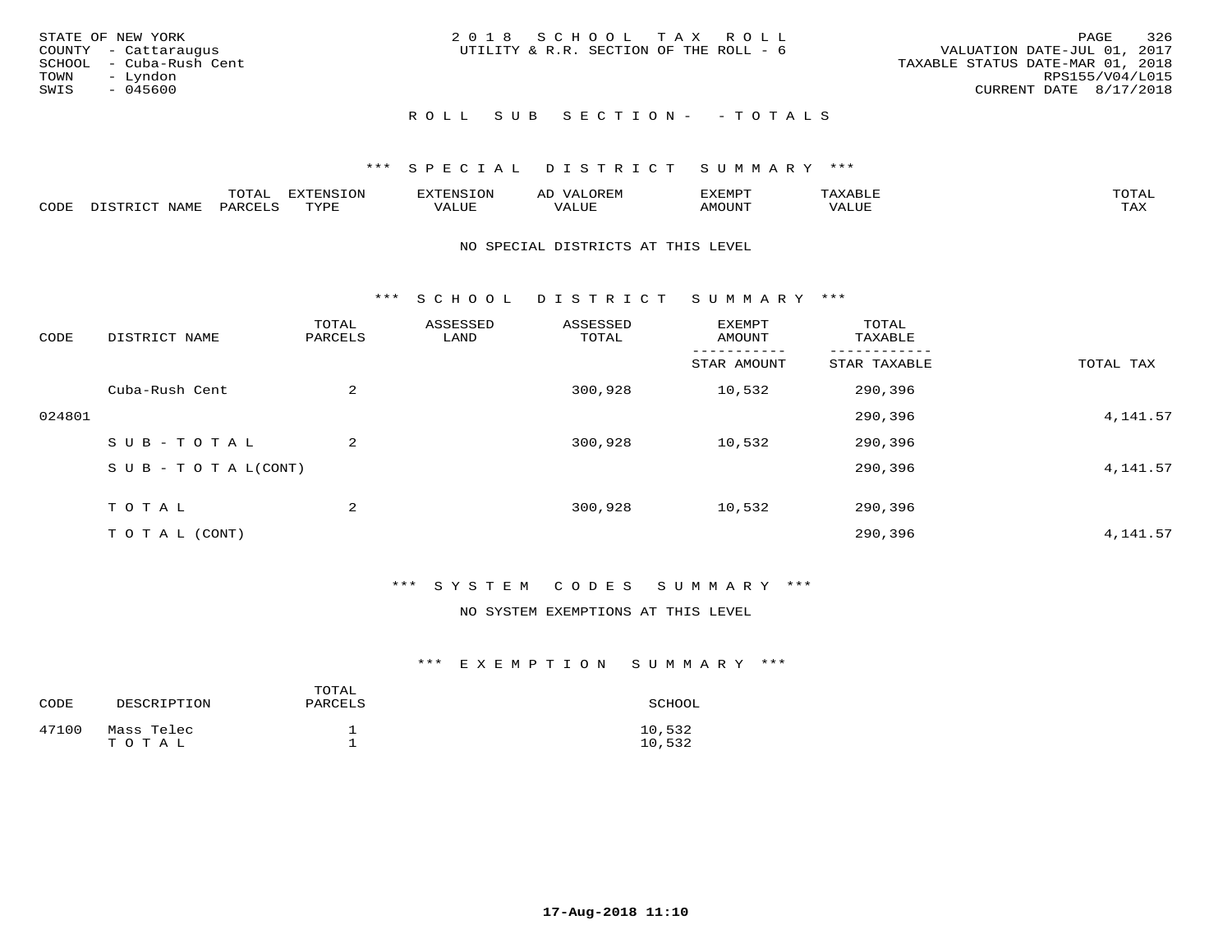| STATE OF NEW YORK<br>COUNTY - Cattaraugus<br>SCHOOL - Cuba-Rush Cent<br>TOWN - Lyndon<br>SWIS<br>- 045600 | 2018 SCHOOL TAX ROLL<br>UTILITY & R.R. SECTION OF THE ROLL - 6 | 326<br>PAGE<br>VALUATION DATE-JUL 01, 2017<br>TAXABLE STATUS DATE-MAR 01, 2018<br>RPS155/V04/L015<br>CURRENT DATE 8/17/2018 |
|-----------------------------------------------------------------------------------------------------------|----------------------------------------------------------------|-----------------------------------------------------------------------------------------------------------------------------|
|                                                                                                           | ROLL SUB SECTION- - TOTALS                                     |                                                                                                                             |

|      |      | mom n<br>-777 | pszmpato<br>$ \sim$ $\sim$<br>-UP | AL.         | ,,, <del>,</del> ,,, <del>,</del> ,<br>້ |                         | $m \wedge m \wedge n$ |
|------|------|---------------|-----------------------------------|-------------|------------------------------------------|-------------------------|-----------------------|
| CODE | ⊥'⊥⊥ | PARO          | TVDF                              | ۳۰ تا سند د | <b>MOTTNT</b>                            | - ---<br>$'$ $\Delta$ . | $m \times r$<br>- −-  |

#### NO SPECIAL DISTRICTS AT THIS LEVEL

\*\*\* S C H O O L D I S T R I C T S U M M A R Y \*\*\*

| CODE   | DISTRICT NAME                    | TOTAL<br>PARCELS | ASSESSED<br>LAND | ASSESSED<br>TOTAL | EXEMPT<br>AMOUNT | TOTAL<br>TAXABLE |           |
|--------|----------------------------------|------------------|------------------|-------------------|------------------|------------------|-----------|
|        |                                  |                  |                  |                   | STAR AMOUNT      | STAR TAXABLE     | TOTAL TAX |
|        | Cuba-Rush Cent                   | 2                |                  | 300,928           | 10,532           | 290,396          |           |
| 024801 |                                  |                  |                  |                   |                  | 290,396          | 4, 141.57 |
|        | SUB-TOTAL                        | 2                |                  | 300,928           | 10,532           | 290,396          |           |
|        | $S \cup B - T \cup T A L (CONT)$ |                  |                  |                   |                  | 290,396          | 4, 141.57 |
|        | TOTAL                            | 2                |                  | 300,928           | 10,532           | 290,396          |           |
|        | T O T A L (CONT)                 |                  |                  |                   |                  | 290,396          | 4, 141.57 |

## \*\*\* S Y S T E M C O D E S S U M M A R Y \*\*\*

### NO SYSTEM EXEMPTIONS AT THIS LEVEL

| CODE  | DESCRIPTION         | TOTAL<br>PARCELS | SCHOOL           |
|-------|---------------------|------------------|------------------|
| 47100 | Mass Telec<br>TOTAL |                  | 10,532<br>10,532 |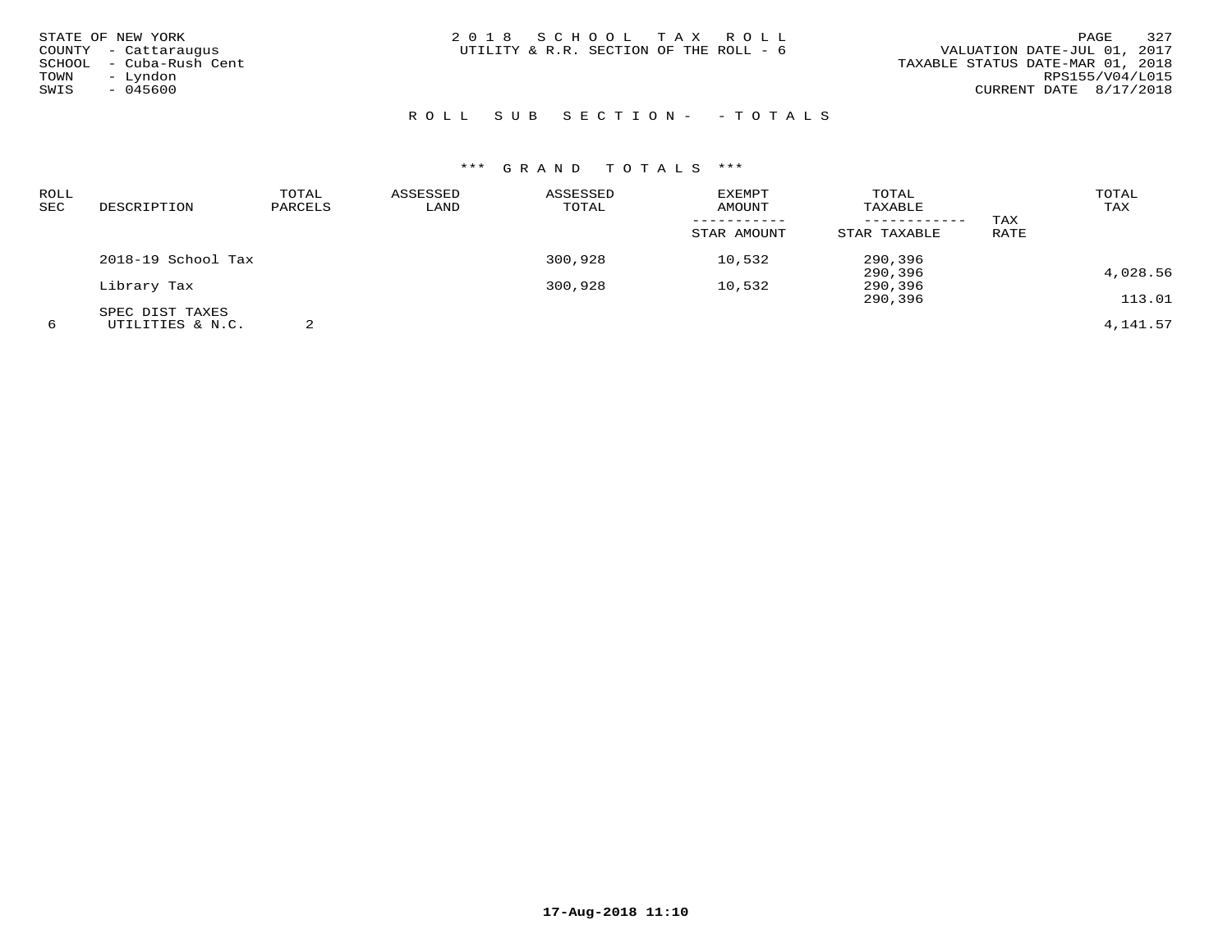| STATE OF NEW YORK<br>COUNTY - Cattaraugus<br>- Cuba-Rush Cent<br>SCHOOL<br>Lyndon<br>TOWN<br>$\sim$ | 2018 SCHOOL TAX ROLL<br>UTILITY & R.R. SECTION OF THE ROLL - 6 | 327<br>PAGE<br>VALUATION DATE-JUL 01, 2017<br>TAXABLE STATUS DATE-MAR 01, 2018<br>RPS155/V04/L015 |
|-----------------------------------------------------------------------------------------------------|----------------------------------------------------------------|---------------------------------------------------------------------------------------------------|
| SWIS<br>$-045600$                                                                                   |                                                                | CURRENT DATE 8/17/2018                                                                            |

# R O L L S U B S E C T I O N - - T O T A L S

| ROLL       |                    | TOTAL   | ASSESSED | ASSESSED | EXEMPT      | TOTAL        |      | TOTAL    |
|------------|--------------------|---------|----------|----------|-------------|--------------|------|----------|
| <b>SEC</b> | DESCRIPTION        | PARCELS | LAND     | TOTAL    | AMOUNT      | TAXABLE      |      | TAX      |
|            |                    |         |          |          |             |              | TAX  |          |
|            |                    |         |          |          | STAR AMOUNT | STAR TAXABLE | RATE |          |
|            | 2018-19 School Tax |         |          | 300,928  | 10,532      | 290,396      |      |          |
|            |                    |         |          |          |             | 290,396      |      | 4,028.56 |
|            | Library Tax        |         |          | 300,928  | 10,532      | 290,396      |      |          |
|            |                    |         |          |          |             | 290,396      |      | 113.01   |
|            | SPEC DIST TAXES    |         |          |          |             |              |      |          |
| 6          | UTILITIES & N.C.   |         |          |          |             |              |      | 4,141.57 |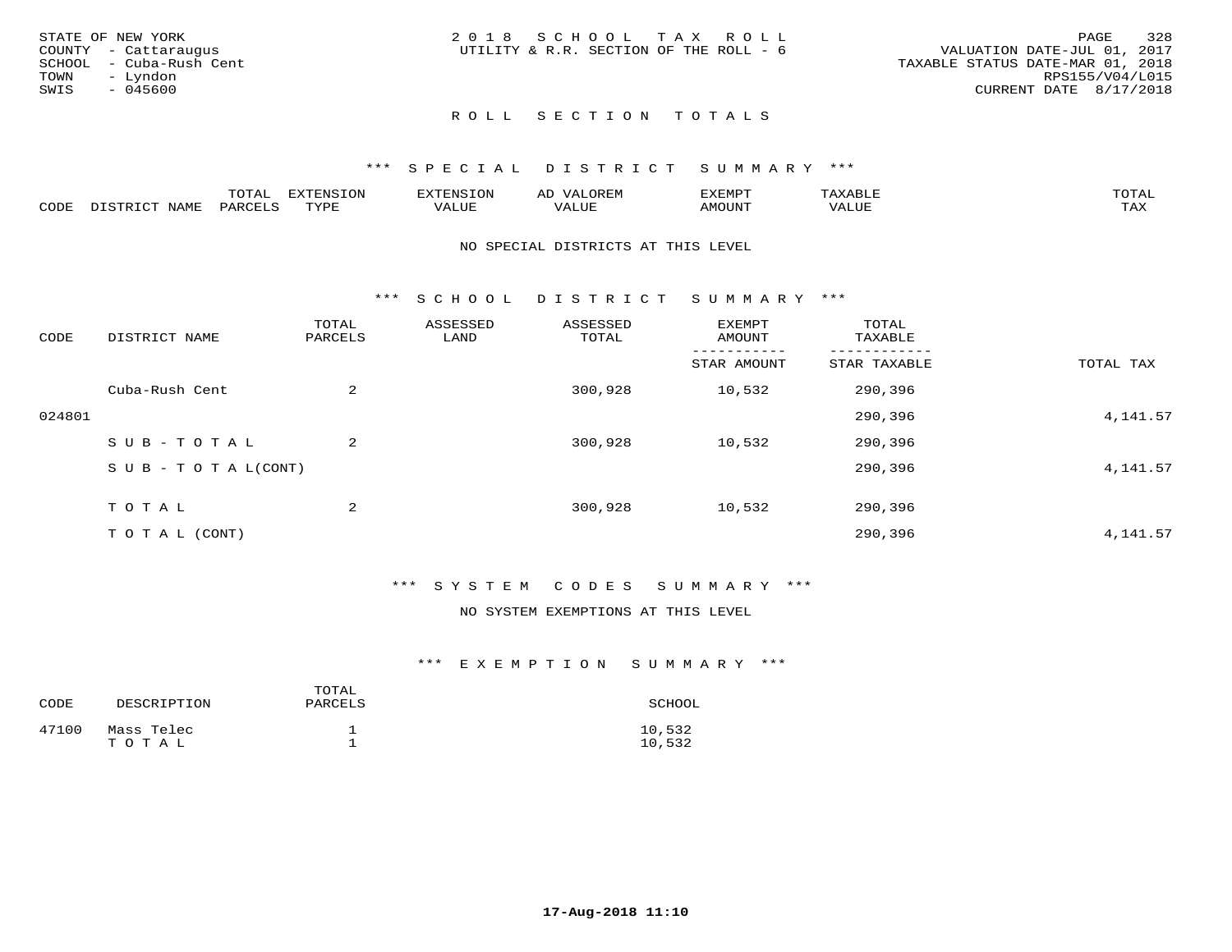|      | STATE OF NEW YORK       | 2018 SCHOOL TAX ROLL                   |  |  |                                  |                        | PAGE | 328 |
|------|-------------------------|----------------------------------------|--|--|----------------------------------|------------------------|------|-----|
|      | COUNTY - Cattaraugus    | UTILITY & R.R. SECTION OF THE ROLL - 6 |  |  | VALUATION DATE-JUL 01, 2017      |                        |      |     |
|      | SCHOOL - Cuba-Rush Cent |                                        |  |  | TAXABLE STATUS DATE-MAR 01, 2018 |                        |      |     |
| TOWN | – Lyndon                |                                        |  |  |                                  | RPS155/V04/L015        |      |     |
| SWIS | - 045600                |                                        |  |  |                                  | CURRENT DATE 8/17/2018 |      |     |
|      |                         |                                        |  |  |                                  |                        |      |     |

# ROLL SECTION TOTALS

## \*\*\* S P E C I A L D I S T R I C T S U M M A R Y \*\*\*

|      |                  | momm <sup>.</sup><br>TOTAT | <b>ELIMENT OF ONT</b><br>T OTA | <b>FINS</b> | OREM                     | CXEMPT        | $max$ and $max$          | $m \wedge m \wedge n$ |
|------|------------------|----------------------------|--------------------------------|-------------|--------------------------|---------------|--------------------------|-----------------------|
| CODE | NAME<br>DISTRICT | PARCELS                    | TVDF<br>.                      | 7ALUE.      | . <del>.</del><br>. ALUF | <b>AMOUNT</b> | * * * * * * * *<br>'ALUL | <b>TAY</b><br>⊥⇔∆     |

#### NO SPECIAL DISTRICTS AT THIS LEVEL

\*\*\* S C H O O L D I S T R I C T S U M M A R Y \*\*\*

| CODE   | DISTRICT NAME                    | TOTAL<br>PARCELS | ASSESSED<br>LAND | ASSESSED<br>TOTAL | EXEMPT<br>AMOUNT | TOTAL<br>TAXABLE |           |
|--------|----------------------------------|------------------|------------------|-------------------|------------------|------------------|-----------|
|        |                                  |                  |                  |                   | STAR AMOUNT      | STAR TAXABLE     | TOTAL TAX |
|        | Cuba-Rush Cent                   | 2                |                  | 300,928           | 10,532           | 290,396          |           |
| 024801 |                                  |                  |                  |                   |                  | 290,396          | 4,141.57  |
|        | SUB-TOTAL                        | 2                |                  | 300,928           | 10,532           | 290,396          |           |
|        | $S \cup B - T \cup T A L (CONT)$ |                  |                  |                   |                  | 290,396          | 4,141.57  |
|        | TOTAL                            | 2                |                  | 300,928           | 10,532           | 290,396          |           |
|        | T O T A L (CONT)                 |                  |                  |                   |                  | 290,396          | 4,141.57  |

## \*\*\* S Y S T E M C O D E S S U M M A R Y \*\*\*

## NO SYSTEM EXEMPTIONS AT THIS LEVEL

| CODE  | DESCRIPTION         | TOTAL<br>PARCELS | SCHOOL           |
|-------|---------------------|------------------|------------------|
| 47100 | Mass Telec<br>TOTAL |                  | 10,532<br>10,532 |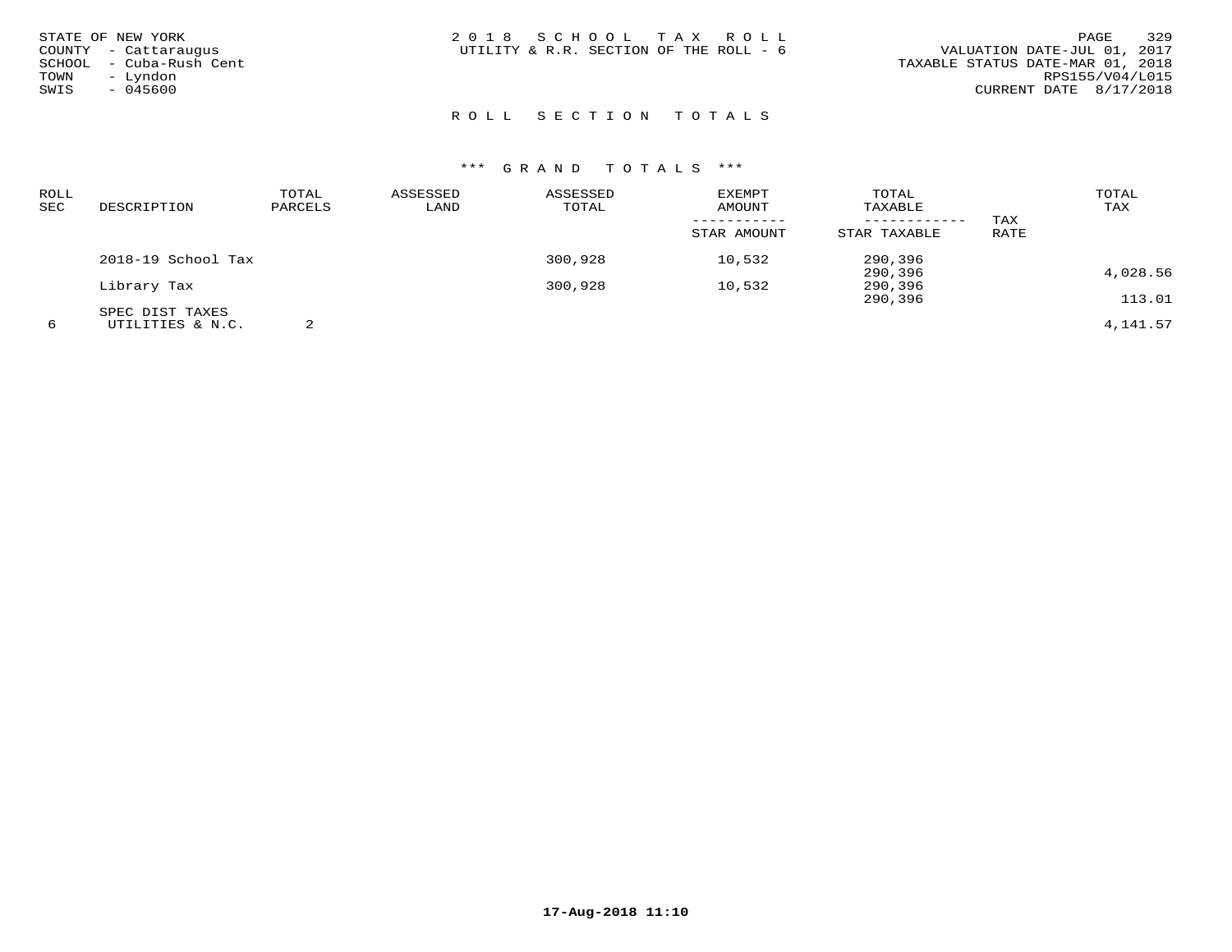| STATE OF NEW YORK<br>COUNTY - Cattaraugus<br>SCHOOL - Cuba-Rush Cent<br>TOWN<br>– Lyndon<br>SWIS<br>$-045600$ | 329<br>2018 SCHOOL TAX ROLL<br>PAGE<br>VALUATION DATE-JUL 01, 2017<br>UTILITY & R.R. SECTION OF THE ROLL - 6<br>TAXABLE STATUS DATE-MAR 01, 2018<br>RPS155/V04/L015<br>CURRENT DATE 8/17/2018 |
|---------------------------------------------------------------------------------------------------------------|-----------------------------------------------------------------------------------------------------------------------------------------------------------------------------------------------|
|                                                                                                               | ROLL SECTION TOTALS                                                                                                                                                                           |

| ROLL<br>SEC | DESCRIPTION        | TOTAL<br>PARCELS | ASSESSED<br>LAND | ASSESSED<br>TOTAL | <b>EXEMPT</b><br><b>AMOUNT</b> | TOTAL<br>TAXABLE |      | TOTAL<br>TAX |
|-------------|--------------------|------------------|------------------|-------------------|--------------------------------|------------------|------|--------------|
|             |                    |                  |                  |                   | -----------                    | ------------     | TAX  |              |
|             |                    |                  |                  |                   | STAR AMOUNT                    | STAR TAXABLE     | RATE |              |
|             | 2018-19 School Tax |                  |                  | 300,928           | 10,532                         | 290,396          |      |              |
|             |                    |                  |                  |                   |                                | 290,396          |      | 4,028.56     |
|             | Library Tax        |                  |                  | 300,928           | 10,532                         | 290,396          |      |              |
|             |                    |                  |                  |                   |                                | 290,396          |      | 113.01       |
|             | SPEC DIST TAXES    |                  |                  |                   |                                |                  |      |              |
| 6           | UTILITIES & N.C.   |                  |                  |                   |                                |                  |      | 4,141.57     |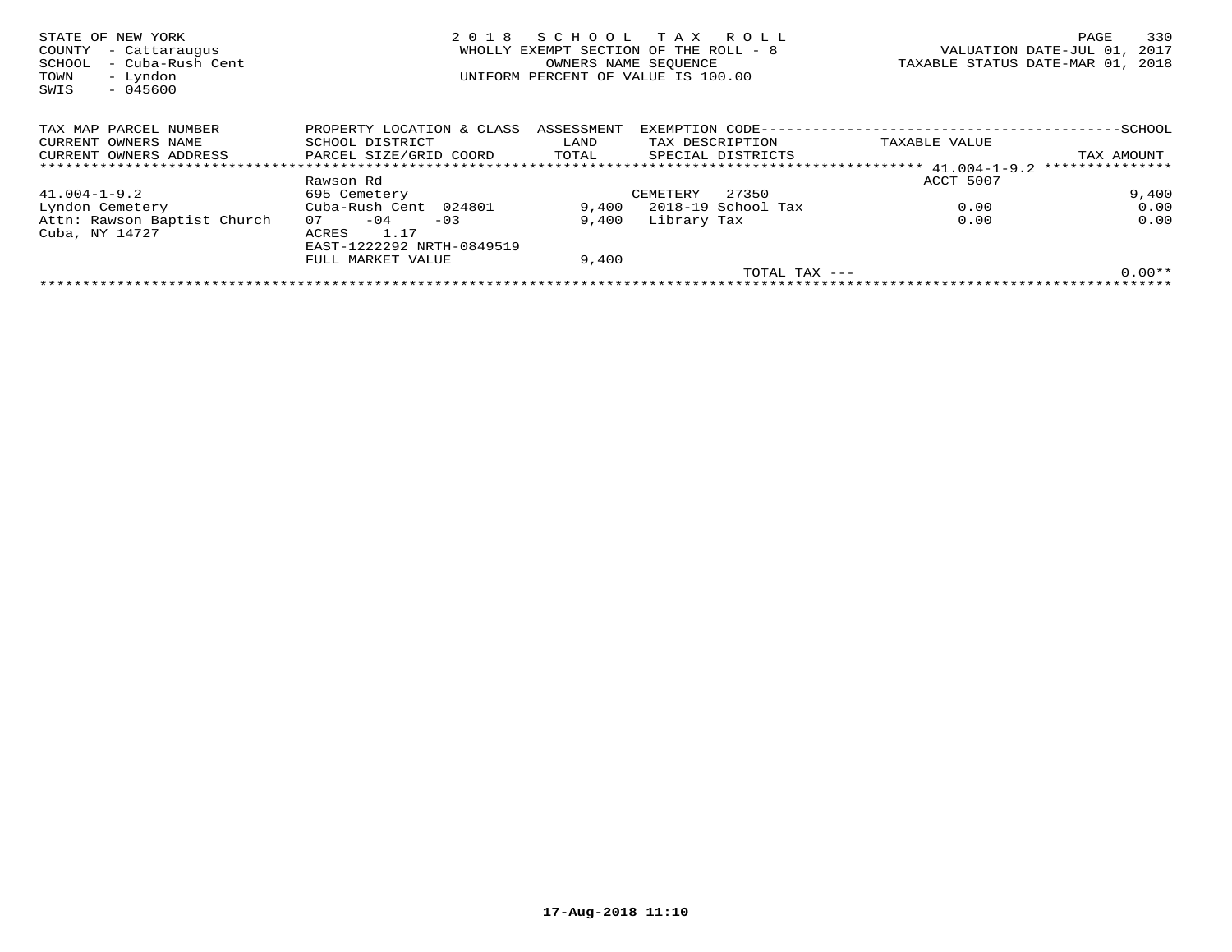| STATE OF NEW YORK<br>COUNTY<br>- Cattaraugus<br>- Cuba-Rush Cent<br>SCHOOL<br>- Lyndon<br>TOWN<br>$-045600$<br>SWIS | 2 0 1 8                   | SCHOOL<br>OWNERS NAME SEQUENCE | T A X<br>R O L L<br>WHOLLY EXEMPT SECTION OF THE ROLL - 8<br>UNIFORM PERCENT OF VALUE IS 100.00 | VALUATION DATE-JUL 01,<br>TAXABLE STATUS DATE-MAR 01, | 330<br>PAGE<br>2017<br>2018 |
|---------------------------------------------------------------------------------------------------------------------|---------------------------|--------------------------------|-------------------------------------------------------------------------------------------------|-------------------------------------------------------|-----------------------------|
| TAX MAP PARCEL NUMBER                                                                                               | PROPERTY LOCATION & CLASS | ASSESSMENT                     | EXEMPTION CODE-                                                                                 | ----------------------                                | $-$ SCHOOL                  |
| CURRENT OWNERS NAME                                                                                                 | SCHOOL DISTRICT           | LAND                           | TAX DESCRIPTION                                                                                 | TAXABLE VALUE                                         |                             |
| CURRENT OWNERS ADDRESS                                                                                              | PARCEL SIZE/GRID COORD    | TOTAL                          | SPECIAL DISTRICTS                                                                               |                                                       | TAX AMOUNT                  |
|                                                                                                                     |                           |                                |                                                                                                 |                                                       | ***************             |
|                                                                                                                     | Rawson Rd                 |                                |                                                                                                 | ACCT 5007                                             |                             |
| $41.004 - 1 - 9.2$                                                                                                  | 695 Cemetery              |                                | 27350<br>CEMETERY                                                                               |                                                       | 9,400                       |
| Lyndon Cemetery                                                                                                     | Cuba-Rush Cent 024801     | 9,400                          | 2018-19 School Tax                                                                              | 0.00                                                  | 0.00                        |
| Attn: Rawson Baptist Church                                                                                         | $-04$<br>07<br>$-03$      | 9,400                          | Library Tax                                                                                     | 0.00                                                  | 0.00                        |
| Cuba, NY 14727                                                                                                      | 1.17<br>ACRES             |                                |                                                                                                 |                                                       |                             |
|                                                                                                                     | EAST-1222292 NRTH-0849519 |                                |                                                                                                 |                                                       |                             |
|                                                                                                                     | FULL MARKET VALUE         | 9,400                          |                                                                                                 |                                                       |                             |
|                                                                                                                     |                           |                                | TOTAL TAX ---                                                                                   |                                                       | $0.00**$                    |
|                                                                                                                     |                           |                                |                                                                                                 |                                                       |                             |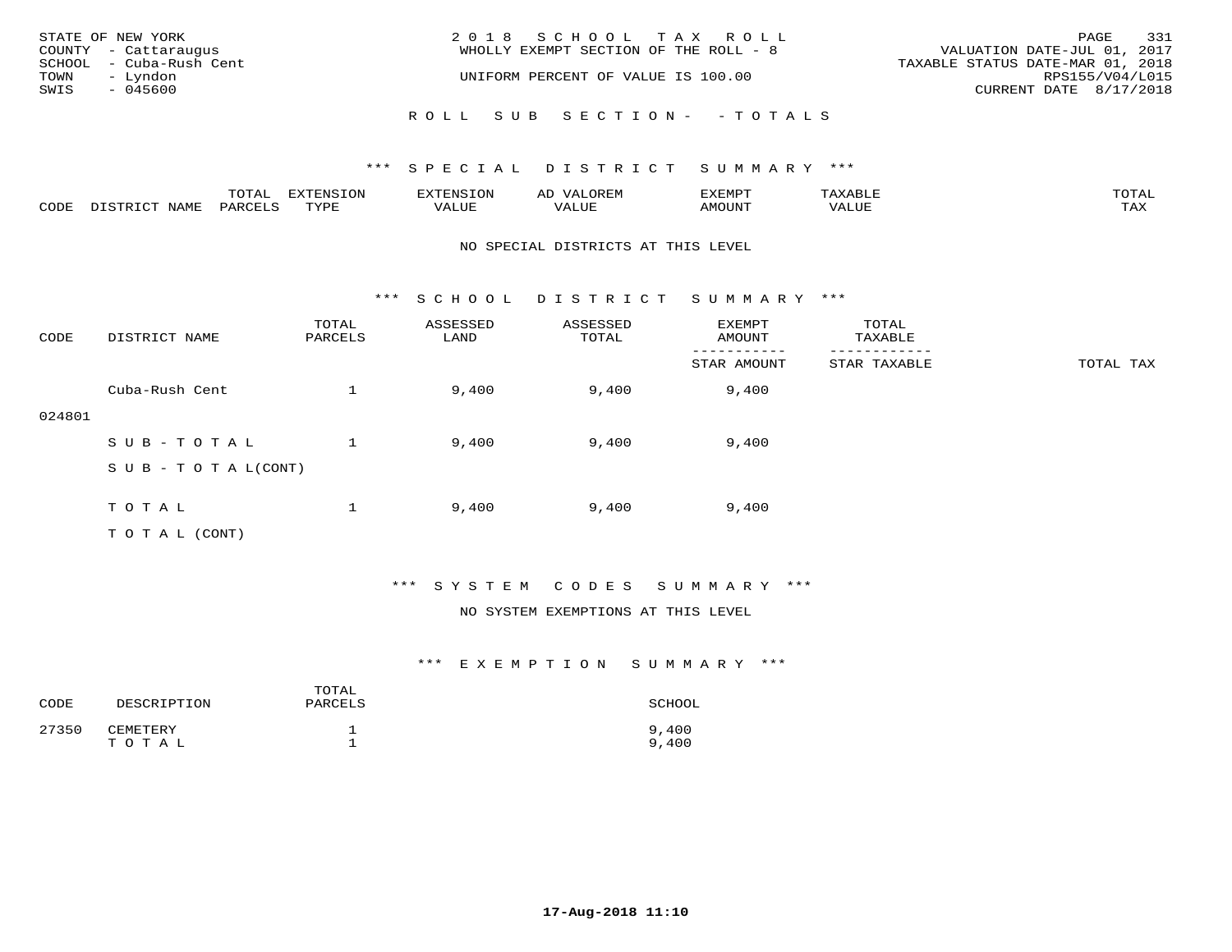|      | STATE OF NEW YORK       | 2018 SCHOOL TAX ROLL                  | PAGE                             | 331 |
|------|-------------------------|---------------------------------------|----------------------------------|-----|
|      | COUNTY - Cattaraugus    | WHOLLY EXEMPT SECTION OF THE ROLL - 8 | VALUATION DATE-JUL 01, 2017      |     |
|      | SCHOOL - Cuba-Rush Cent |                                       | TAXABLE STATUS DATE-MAR 01, 2018 |     |
| TOWN | - Lyndon                | UNIFORM PERCENT OF VALUE IS 100.00    | RPS155/V04/L015                  |     |
| SWIS | $-045600$               |                                       | CURRENT DATE 8/17/2018           |     |
|      |                         |                                       |                                  |     |
|      |                         | ROLL SUB SECTION- - TOTALS            |                                  |     |

|      |                  | TOTAL   | <b>DYMONIC TONT</b><br>7.NR TOIZ | 'ENS. | OREM<br>AL'             | דים איהו איה | $x \sim$ $\sim$ | TOTAI |
|------|------------------|---------|----------------------------------|-------|-------------------------|--------------|-----------------|-------|
| CODE | DISTRICT<br>NAME | PARCELS | TVDF<br>ت ہے۔                    | VALUE | . <del>.</del><br>VALUE | AMOUNT       | VALUE           | TAX   |

#### NO SPECIAL DISTRICTS AT THIS LEVEL

\*\*\* S C H O O L D I S T R I C T S U M M A R Y \*\*\*

| CODE   | DISTRICT NAME                    | TOTAL<br>PARCELS | ASSESSED<br>LAND | ASSESSED<br>TOTAL | EXEMPT<br>AMOUNT | TOTAL<br>TAXABLE |           |
|--------|----------------------------------|------------------|------------------|-------------------|------------------|------------------|-----------|
|        |                                  |                  |                  |                   | STAR AMOUNT      | STAR TAXABLE     | TOTAL TAX |
|        | Cuba-Rush Cent                   |                  | 9,400            | 9,400             | 9,400            |                  |           |
| 024801 |                                  |                  |                  |                   |                  |                  |           |
|        | SUB-TOTAL                        |                  | 9,400            | 9,400             | 9,400            |                  |           |
|        | $S \cup B - T \cup T A L (CONT)$ |                  |                  |                   |                  |                  |           |
|        |                                  |                  |                  |                   |                  |                  |           |
|        | TOTAL                            |                  | 9,400            | 9,400             | 9,400            |                  |           |
|        | TO TAL (CONT)                    |                  |                  |                   |                  |                  |           |

## \*\*\* S Y S T E M C O D E S S U M M A R Y \*\*\*

#### NO SYSTEM EXEMPTIONS AT THIS LEVEL

| CODE  | DESCRIPTION       | TOTAL<br>PARCELS | SCHOOL         |
|-------|-------------------|------------------|----------------|
| 27350 | CEMETERY<br>TOTAL |                  | 9,400<br>9,400 |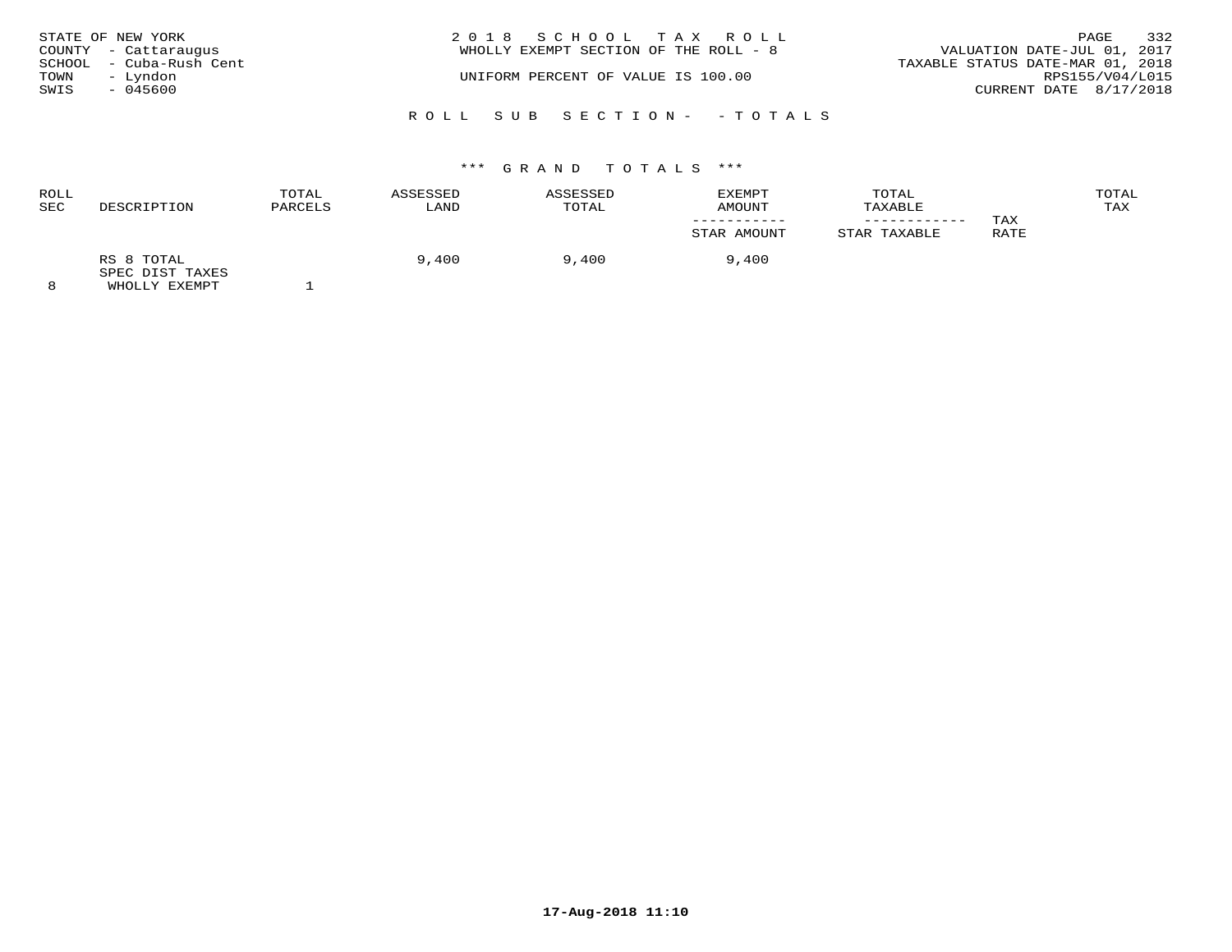| STATE OF NEW YORK |                         | 2018 SCHOOL TAX ROLL                  |                                  | PAGE            | 332 |
|-------------------|-------------------------|---------------------------------------|----------------------------------|-----------------|-----|
|                   | COUNTY - Cattaraugus    | WHOLLY EXEMPT SECTION OF THE ROLL - 8 | VALUATION DATE-JUL 01, 2017      |                 |     |
|                   | SCHOOL - Cuba-Rush Cent |                                       | TAXABLE STATUS DATE-MAR 01, 2018 |                 |     |
| TOWN              | – Lyndon                | UNIFORM PERCENT OF VALUE IS 100.00    |                                  | RPS155/V04/L015 |     |
| SWIS              | - 045600                |                                       | CURRENT DATE 8/17/2018           |                 |     |
|                   |                         | ROLL SUB SECTION- -TOTALS             |                                  |                 |     |

| <b>ROLL</b><br>SEC | DESCRIPTION                   | TOTAL<br>PARCELS | ASSESSED<br>LAND | ASSESSED<br>TOTAL | EXEMPT<br>AMOUNT | TOTAL<br>TAXABLE |      | TOTAL<br>TAX |
|--------------------|-------------------------------|------------------|------------------|-------------------|------------------|------------------|------|--------------|
|                    |                               |                  |                  |                   |                  |                  | TAX  |              |
|                    |                               |                  |                  |                   | STAR AMOUNT      | STAR TAXABLE     | RATE |              |
|                    | RS 8 TOTAL<br>SPEC DIST TAXES |                  | 9,400            | 9,400             | 9,400            |                  |      |              |
| $\Omega$           | EULAL IV DILLE                |                  |                  |                   |                  |                  |      |              |

8 WHOLLY EXEMPT 1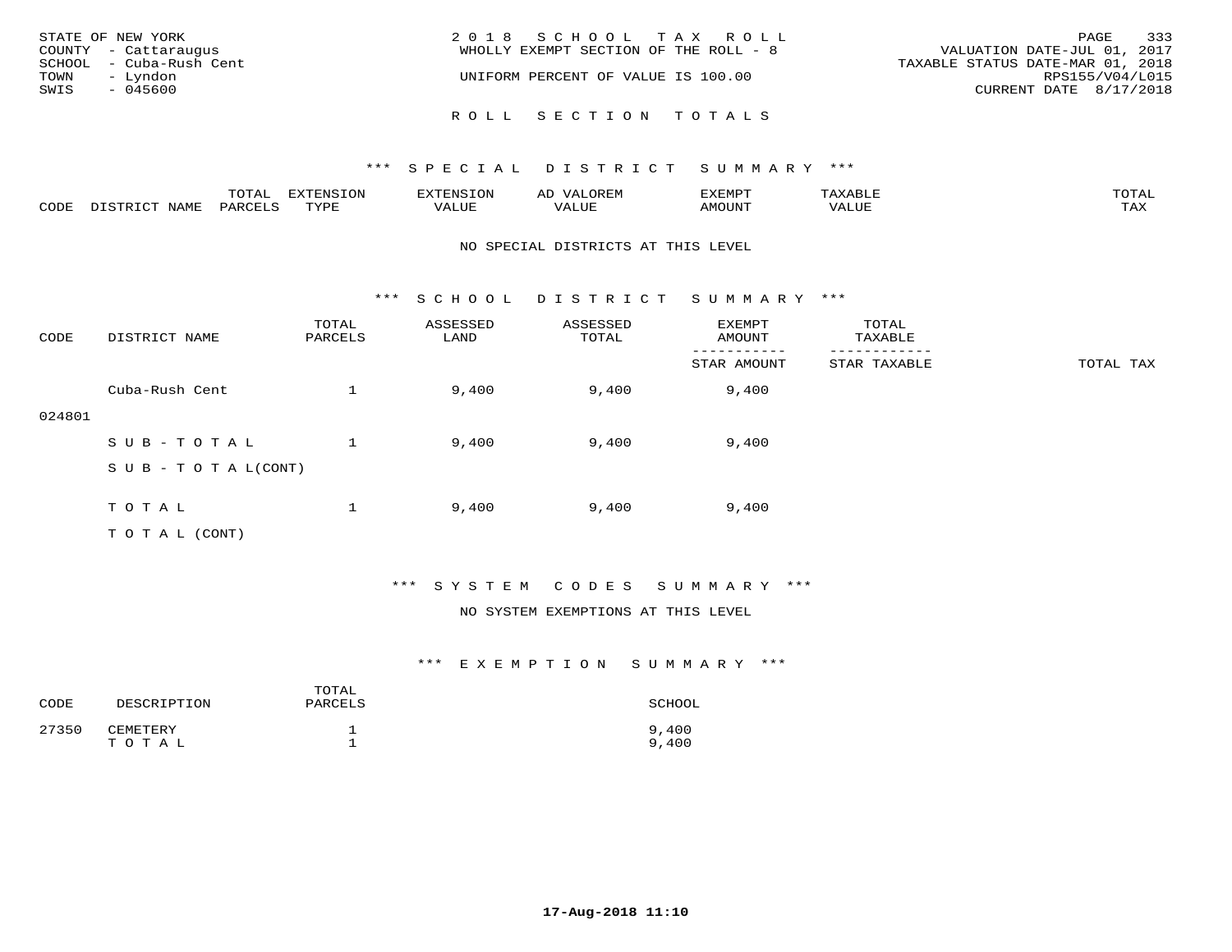| STATE OF NEW YORK<br>COUNTY - Cattaraugus<br>SCHOOL - Cuba-Rush Cent<br>TOWN<br>– Lyndon<br>SWIS<br>$-045600$ | 2018 SCHOOL TAX ROLL<br>WHOLLY EXEMPT SECTION OF THE ROLL - 8<br>UNIFORM PERCENT OF VALUE IS 100.00 | 333<br>PAGE<br>VALUATION DATE-JUL 01, 2017<br>TAXABLE STATUS DATE-MAR 01, 2018<br>RPS155/V04/L015<br>CURRENT DATE $8/17/2018$ |
|---------------------------------------------------------------------------------------------------------------|-----------------------------------------------------------------------------------------------------|-------------------------------------------------------------------------------------------------------------------------------|
|                                                                                                               | ROLL SECTION TOTALS                                                                                 |                                                                                                                               |

|      |      | $m \wedge m \wedge n$<br>⊥∪⊥AL | <b>DIZPOILIC TOM</b><br>⊥ບ⊥ | EN.  | .<br>AL'<br>٠، تن ١٠ | 5773570      |          | $m \wedge m \wedge n$<br>$\mathsf{L}^{\mathsf{L}}$ |
|------|------|--------------------------------|-----------------------------|------|----------------------|--------------|----------|----------------------------------------------------|
| CODE | NAMF | PARO                           | TVDF<br><u>ـ د د</u>        | ALUE |                      | <b>MOUNT</b> | 7 A LU B | may<br>- ∠∡∡                                       |

#### NO SPECIAL DISTRICTS AT THIS LEVEL

\*\*\* S C H O O L D I S T R I C T S U M M A R Y \*\*\*

| CODE   | DISTRICT NAME                    | TOTAL<br>PARCELS | ASSESSED<br>LAND | ASSESSED<br>TOTAL | EXEMPT<br>AMOUNT | TOTAL<br>TAXABLE |           |
|--------|----------------------------------|------------------|------------------|-------------------|------------------|------------------|-----------|
|        |                                  |                  |                  |                   | STAR AMOUNT      | STAR TAXABLE     | TOTAL TAX |
|        | Cuba-Rush Cent                   |                  | 9,400            | 9,400             | 9,400            |                  |           |
| 024801 |                                  |                  |                  |                   |                  |                  |           |
|        | SUB-TOTAL                        |                  | 9,400            | 9,400             | 9,400            |                  |           |
|        | $S \cup B - T \cup T A L (CONT)$ |                  |                  |                   |                  |                  |           |
|        |                                  |                  |                  |                   |                  |                  |           |
|        | TOTAL                            |                  | 9,400            | 9,400             | 9,400            |                  |           |
|        | T O T A L (CONT)                 |                  |                  |                   |                  |                  |           |

## \*\*\* S Y S T E M C O D E S S U M M A R Y \*\*\*

### NO SYSTEM EXEMPTIONS AT THIS LEVEL

| CODE  | DESCRIPTION       | TOTAL<br>PARCELS | SCHOOL         |
|-------|-------------------|------------------|----------------|
| 27350 | CEMETERY<br>TOTAL |                  | 9,400<br>9,400 |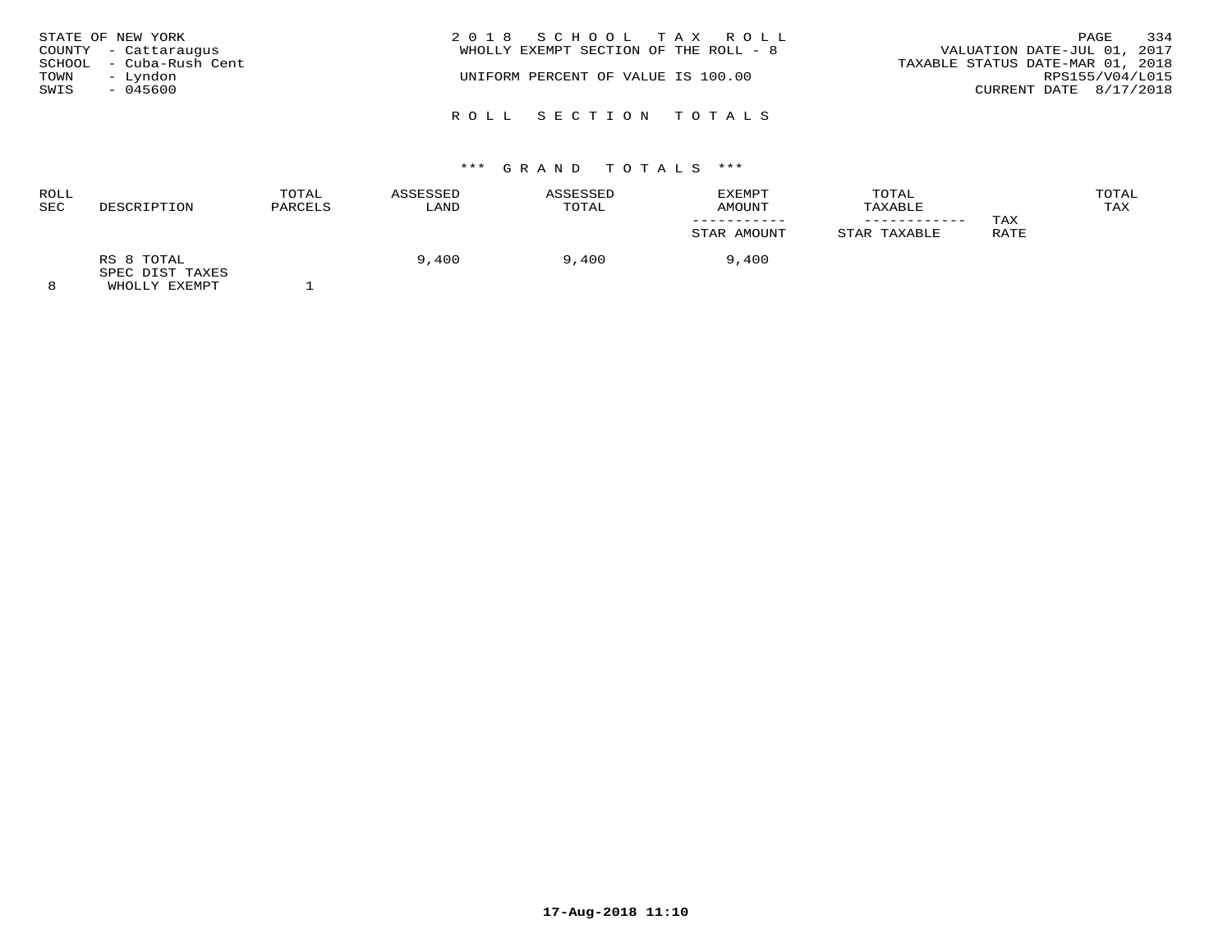| TOWN<br>SWIS | STATE OF NEW YORK<br>COUNTY - Cattaraugus<br>SCHOOL - Cuba-Rush Cent<br>– Lyndon<br>$-045600$ | 2018 SCHOOL TAX ROLL<br>WHOLLY EXEMPT SECTION OF THE ROLL - 8<br>UNIFORM PERCENT OF VALUE IS 100.00 | 334<br>PAGE<br>VALUATION DATE-JUL 01, 2017<br>TAXABLE STATUS DATE-MAR 01, 2018<br>RPS155/V04/L015<br>CURRENT DATE 8/17/2018 |
|--------------|-----------------------------------------------------------------------------------------------|-----------------------------------------------------------------------------------------------------|-----------------------------------------------------------------------------------------------------------------------------|
|              |                                                                                               | ROLL SECTION TOTALS                                                                                 |                                                                                                                             |

|                               | TOTAL<br>PARCELS | ASSESSED | <b>ASSESSED</b> | EXEMPT<br>AMOUNT | TOTAL<br>TAXABLE |      | TOTAL<br>TAX |
|-------------------------------|------------------|----------|-----------------|------------------|------------------|------|--------------|
|                               |                  |          |                 |                  | ----------       | TAX  |              |
|                               |                  |          |                 | STAR AMOUNT      | STAR TAXABLE     | RATE |              |
| RS 8 TOTAL<br>SPEC DIST TAXES |                  | 9,400    | 9,400           | 9,400            |                  |      |              |
|                               | DESCRIPTION      |          | LAND            | TOTAL            |                  |      |              |

8 WHOLLY EXEMPT 1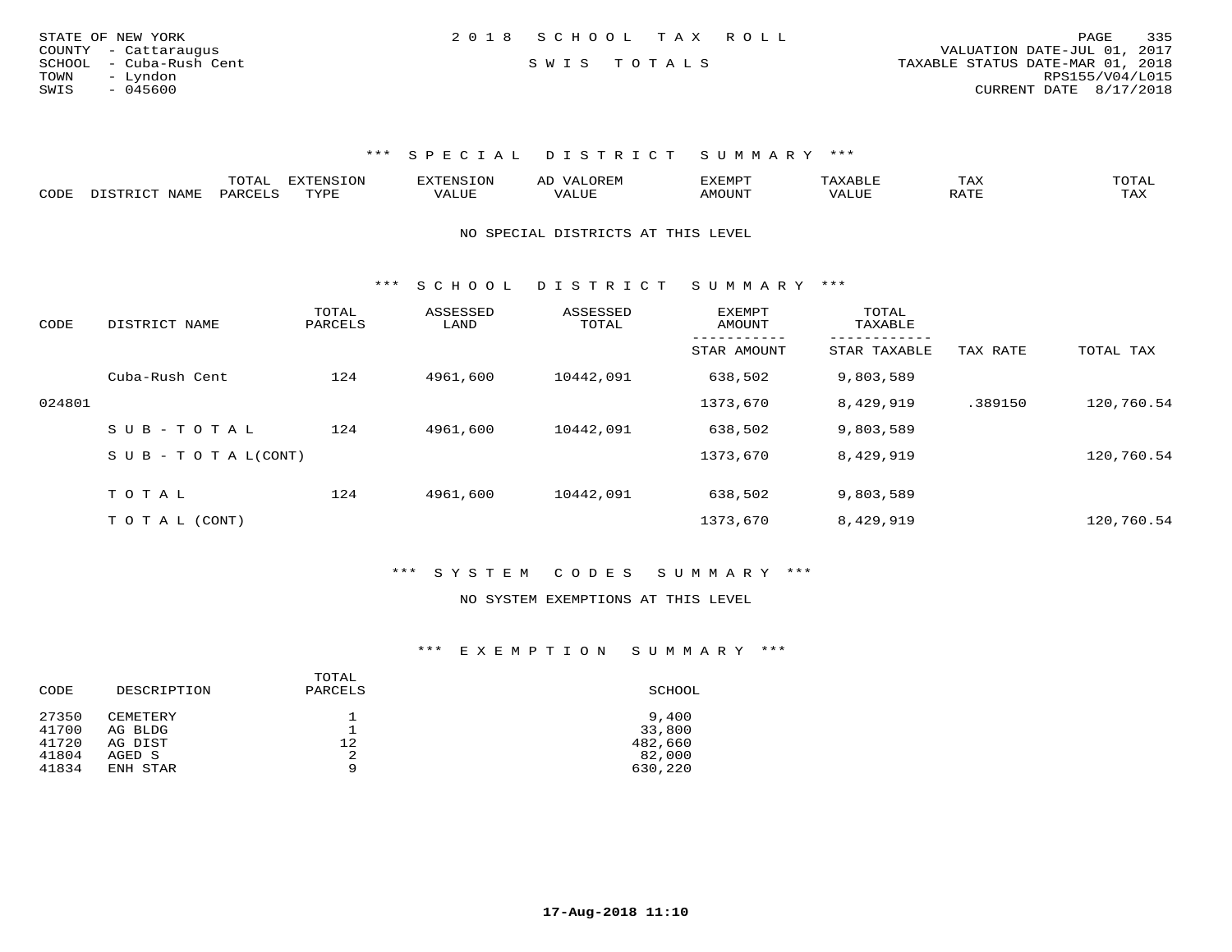| STATE OF NEW YORK       | 2018 SCHOOL TAX ROLL | 335<br>PAGE                      |
|-------------------------|----------------------|----------------------------------|
| COUNTY - Cattaraugus    |                      | VALUATION DATE-JUL 01, 2017      |
| SCHOOL - Cuba-Rush Cent | SWIS TOTALS          | TAXABLE STATUS DATE-MAR 01, 2018 |
| TOWN<br>- Lyndon        |                      | RPS155/V04/L015                  |
| SWIS<br>$-045600$       |                      | CURRENT DATE 8/17/2018           |
|                         |                      |                                  |

|                           |     | $- - -$ | $\sqrt{27}$<br>T |       |                | ⊥ A∆ | $\sim$ m $\sim$ $+$<br>◡∸∸                                                                                                                                                                                                                                                                                                                                                                                                                               |
|---------------------------|-----|---------|------------------|-------|----------------|------|----------------------------------------------------------------------------------------------------------------------------------------------------------------------------------------------------------------------------------------------------------------------------------------------------------------------------------------------------------------------------------------------------------------------------------------------------------|
| C <sub>CD1</sub><br>َ باب | ΆΜΕ | $\sim$  | mizni            | 1111F | <b>MOTTNTE</b> |      | $\overline{ }$ $\overline{ }$ $\overline{ }$ $\overline{ }$ $\overline{ }$ $\overline{ }$ $\overline{ }$ $\overline{ }$ $\overline{ }$ $\overline{ }$ $\overline{ }$ $\overline{ }$ $\overline{ }$ $\overline{ }$ $\overline{ }$ $\overline{ }$ $\overline{ }$ $\overline{ }$ $\overline{ }$ $\overline{ }$ $\overline{ }$ $\overline{ }$ $\overline{ }$ $\overline{ }$ $\overline{ }$ $\overline{ }$ $\overline{ }$ $\overline{$<br>$\cdots$<br>- 53.43 |

NO SPECIAL DISTRICTS AT THIS LEVEL

\*\*\* S C H O O L D I S T R I C T S U M M A R Y \*\*\*

| CODE   | DISTRICT NAME                    | TOTAL<br>PARCELS | ASSESSED<br>LAND | ASSESSED<br>TOTAL | EXEMPT<br>AMOUNT | TOTAL<br>TAXABLE          |          |            |
|--------|----------------------------------|------------------|------------------|-------------------|------------------|---------------------------|----------|------------|
|        |                                  |                  |                  |                   | STAR AMOUNT      | ---------<br>STAR TAXABLE | TAX RATE | TOTAL TAX  |
|        | Cuba-Rush Cent                   | 124              | 4961,600         | 10442,091         | 638,502          | 9,803,589                 |          |            |
| 024801 |                                  |                  |                  |                   | 1373,670         | 8,429,919                 | .389150  | 120,760.54 |
|        | $SUB - TO TAL$                   | 124              | 4961,600         | 10442,091         | 638,502          | 9,803,589                 |          |            |
|        | $S \cup B - T \cup T A L (CONT)$ |                  |                  |                   | 1373,670         | 8,429,919                 |          | 120,760.54 |
|        | TOTAL                            | 124              | 4961,600         | 10442,091         | 638,502          | 9,803,589                 |          |            |
|        |                                  |                  |                  |                   |                  |                           |          |            |
|        | T O T A L (CONT)                 |                  |                  |                   | 1373,670         | 8,429,919                 |          | 120,760.54 |

\*\*\* S Y S T E M C O D E S S U M M A R Y \*\*\*

#### NO SYSTEM EXEMPTIONS AT THIS LEVEL

| CODE  | DESCRIPTION | TOTAL<br>PARCELS | SCHOOL  |
|-------|-------------|------------------|---------|
| 27350 | CEMETERY    |                  | 9,400   |
| 41700 | AG BLDG     |                  | 33,800  |
| 41720 | AG DIST     | 12.              | 482,660 |
| 41804 | AGED S      | 2                | 82,000  |
| 41834 | ENH STAR    | 9                | 630,220 |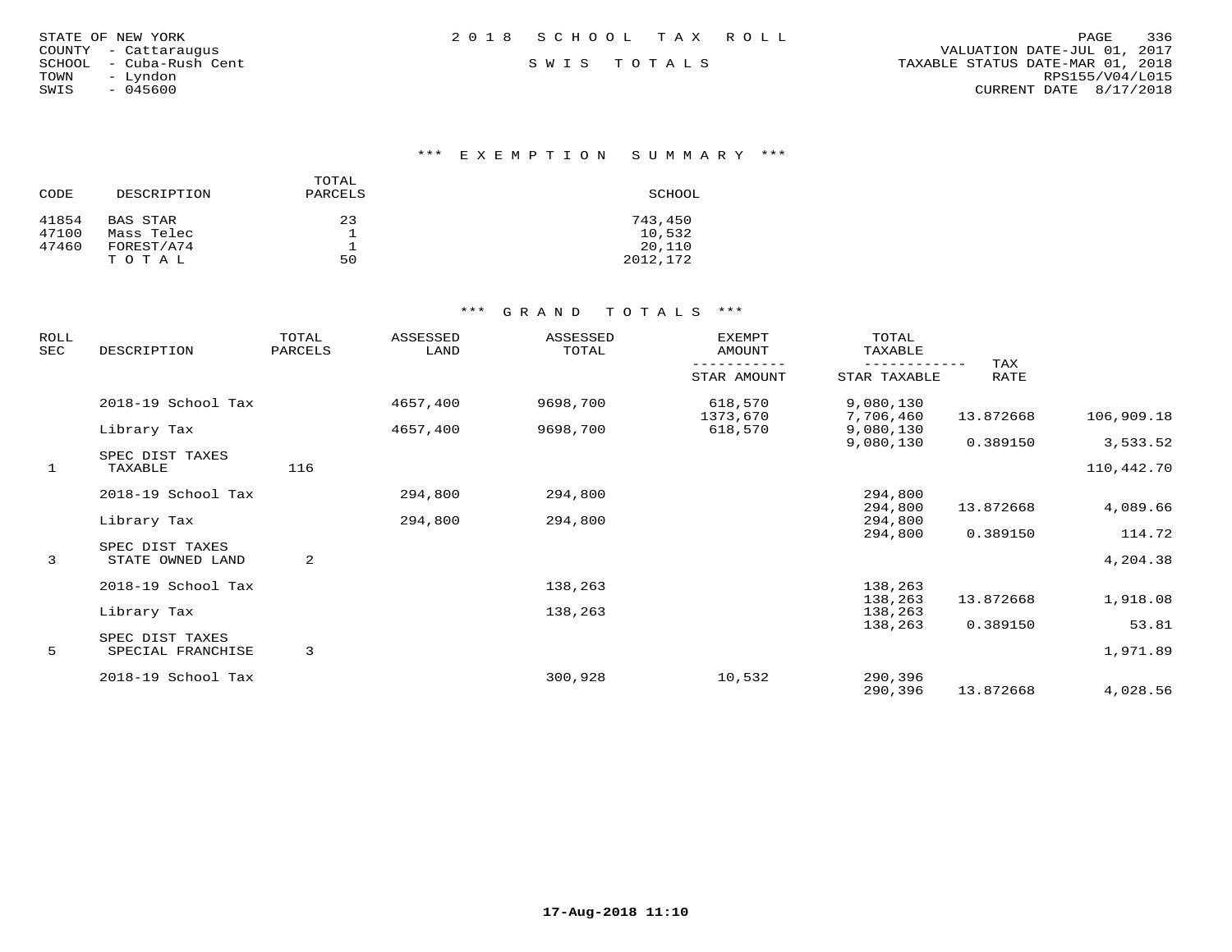|  | STATE OF NEW YORK<br>- Cattaraugus<br>- Cuba-Rush Cent<br>- Lyndon<br>$-045600$ |
|--|---------------------------------------------------------------------------------|

\*\*\* E X E M P T I O N S U M M A R Y \*\*\*

| CODE  | DESCRIPTION | TOTAL<br>PARCELS | SCHOOL   |
|-------|-------------|------------------|----------|
| 41854 | BAS STAR    | 23               | 743,450  |
| 47100 | Mass Telec  |                  | 10,532   |
| 47460 | FOREST/A74  |                  | 20,110   |
|       | TOTAL       | 50               | 2012,172 |

| ROLL<br>SEC  | DESCRIPTION                          | TOTAL<br>PARCELS | ASSESSED<br>LAND | ASSESSED<br>TOTAL | <b>EXEMPT</b><br>AMOUNT | TOTAL<br>TAXABLE       |             |            |
|--------------|--------------------------------------|------------------|------------------|-------------------|-------------------------|------------------------|-------------|------------|
|              |                                      |                  |                  |                   | STAR AMOUNT             | STAR TAXABLE           | TAX<br>RATE |            |
|              | 2018-19 School Tax                   |                  | 4657,400         | 9698,700          | 618,570                 | 9,080,130              |             |            |
|              | Library Tax                          |                  | 4657,400         | 9698,700          | 1373,670<br>618,570     | 7,706,460<br>9,080,130 | 13.872668   | 106,909.18 |
|              | SPEC DIST TAXES                      |                  |                  |                   |                         | 9,080,130              | 0.389150    | 3,533.52   |
| $\mathbf{1}$ | TAXABLE                              | 116              |                  |                   |                         |                        |             | 110,442.70 |
|              | 2018-19 School Tax                   |                  | 294,800          | 294,800           |                         | 294,800                |             |            |
|              | Library Tax                          |                  | 294,800          | 294,800           |                         | 294,800<br>294,800     | 13.872668   | 4,089.66   |
|              |                                      |                  |                  |                   |                         | 294,800                | 0.389150    | 114.72     |
| 3            | SPEC DIST TAXES<br>STATE OWNED LAND  | 2                |                  |                   |                         |                        |             | 4,204.38   |
|              | 2018-19 School Tax                   |                  |                  | 138,263           |                         | 138,263                |             |            |
|              | Library Tax                          |                  |                  | 138,263           |                         | 138,263<br>138,263     | 13.872668   | 1,918.08   |
|              |                                      |                  |                  |                   |                         | 138,263                | 0.389150    | 53.81      |
| 5            | SPEC DIST TAXES<br>SPECIAL FRANCHISE | 3                |                  |                   |                         |                        |             | 1,971.89   |
|              | 2018-19 School Tax                   |                  |                  | 300,928           | 10,532                  | 290,396                |             |            |
|              |                                      |                  |                  |                   |                         | 290,396                | 13.872668   | 4,028.56   |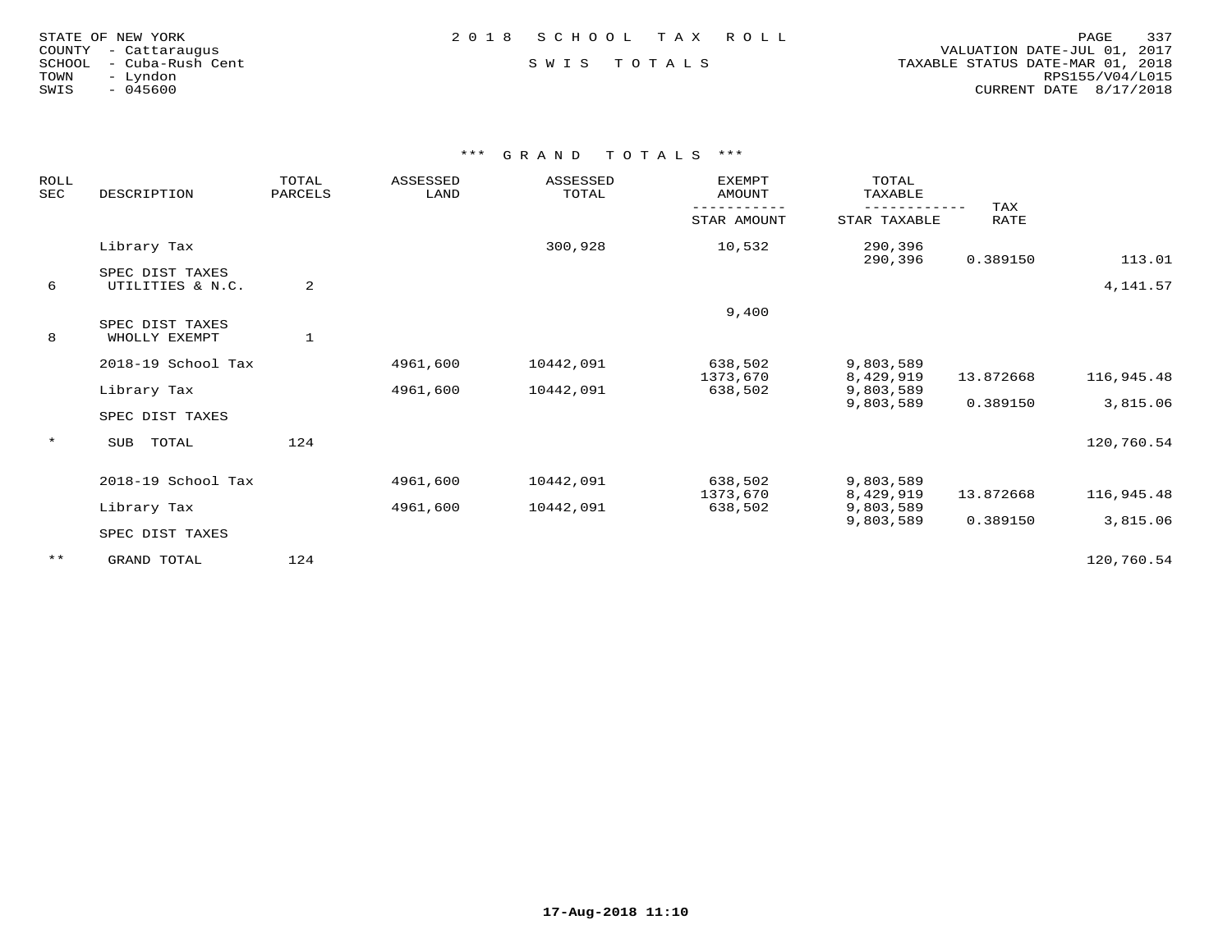| TATE OF NEW YORK    |  |                  |  |  |
|---------------------|--|------------------|--|--|
| )UNTY - Cattarauqus |  |                  |  |  |
| CHOOL               |  | - Cuba-Rush Cent |  |  |
| DMN.                |  | - Lyndon         |  |  |
| VIS.                |  | $-045600$        |  |  |
|                     |  |                  |  |  |

 COUNTY - Cattaraugus VALUATION DATE-JUL 01, 2017 SCHOOL - Cuba-Rush Cent S W I S T O T A L S TAXABLE STATUS DATE-MAR 01, 2018 TOWN - Lyndon RPS155/V04/L015SWIS - 045600 CURRENT DATE 8/17/2018

| ROLL<br><b>SEC</b> | DESCRIPTION                         | TOTAL<br>PARCELS | <b>ASSESSED</b><br>LAND | ASSESSED<br>TOTAL | <b>EXEMPT</b><br>AMOUNT | TOTAL<br>TAXABLE<br>---------- | TAX         |            |
|--------------------|-------------------------------------|------------------|-------------------------|-------------------|-------------------------|--------------------------------|-------------|------------|
|                    |                                     |                  |                         |                   | STAR AMOUNT             | STAR TAXABLE                   | <b>RATE</b> |            |
|                    | Library Tax                         |                  |                         | 300,928           | 10,532                  | 290,396<br>290,396             | 0.389150    | 113.01     |
| 6                  | SPEC DIST TAXES<br>UTILITIES & N.C. | 2                |                         |                   |                         |                                |             | 4,141.57   |
| 8                  | SPEC DIST TAXES<br>WHOLLY EXEMPT    | $\mathbf{1}$     |                         |                   | 9,400                   |                                |             |            |
|                    | 2018-19 School Tax                  |                  | 4961,600                | 10442,091         | 638,502<br>1373,670     | 9,803,589<br>8,429,919         | 13.872668   | 116,945.48 |
|                    | Library Tax<br>SPEC DIST TAXES      |                  | 4961,600                | 10442,091         | 638,502                 | 9,803,589<br>9,803,589         | 0.389150    | 3,815.06   |
| $\star$            | TOTAL<br>SUB                        | 124              |                         |                   |                         |                                |             | 120,760.54 |
|                    | 2018-19 School Tax                  |                  | 4961,600                | 10442,091         | 638,502<br>1373,670     | 9,803,589<br>8,429,919         | 13.872668   | 116,945.48 |
|                    | Library Tax<br>SPEC DIST TAXES      |                  | 4961,600                | 10442,091         | 638,502                 | 9,803,589<br>9,803,589         | 0.389150    | 3,815.06   |
| $***$              | GRAND TOTAL                         | 124              |                         |                   |                         |                                |             | 120,760.54 |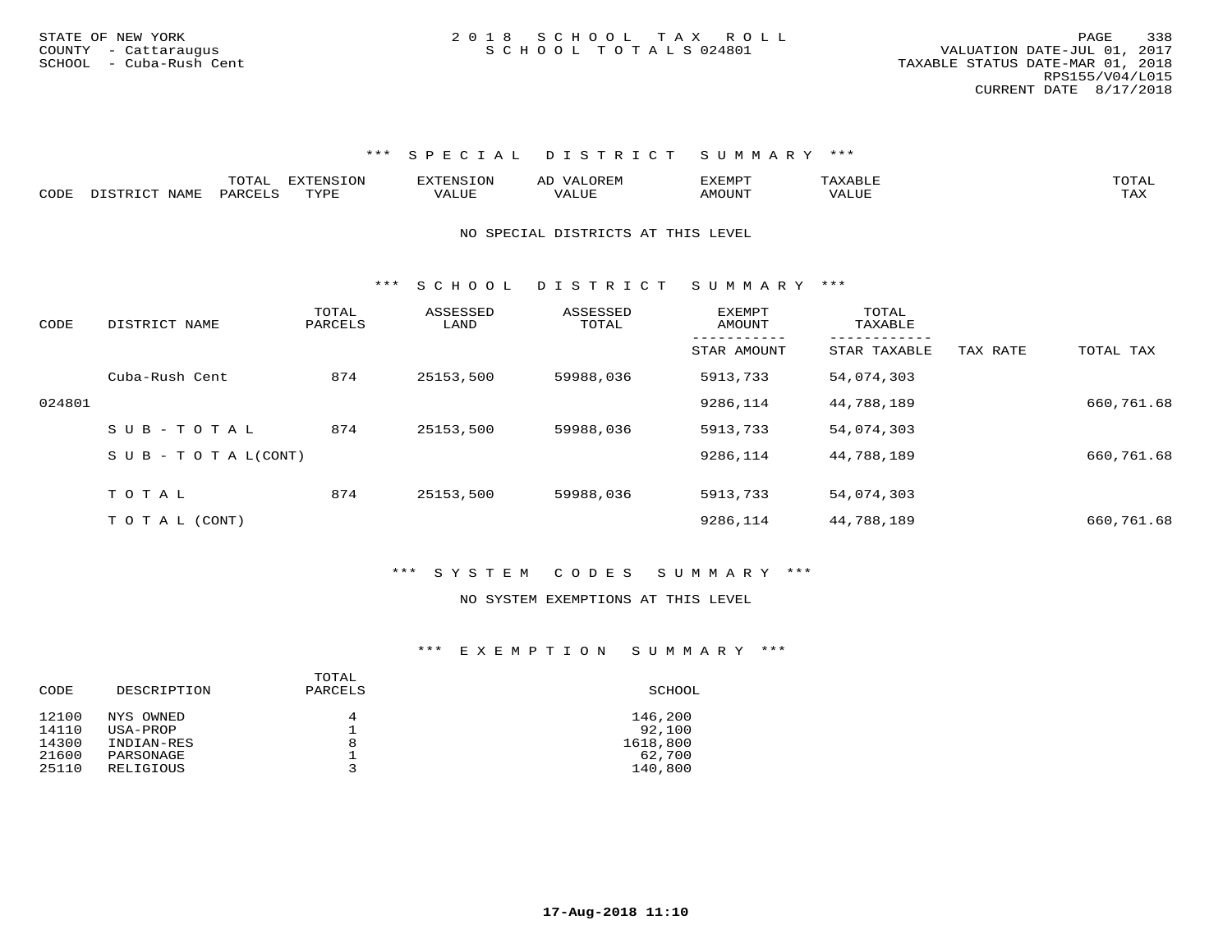|      |      |           | 7NT C        | ,, <del>,,,,,</del> ,, | $\rightarrow$ | <br>I'LE  | T                     |
|------|------|-----------|--------------|------------------------|---------------|-----------|-----------------------|
| CODE | Л∆МЋ | <b>DA</b> | <b>TITT.</b> |                        | نا است        | ለ ለ<br>эī | <b>mm</b> Tr<br>- 512 |

#### NO SPECIAL DISTRICTS AT THIS LEVEL

\*\*\* S C H O O L D I S T R I C T S U M M A R Y \*\*\*

| CODE   | DISTRICT NAME                    | TOTAL<br>PARCELS | ASSESSED<br>LAND | ASSESSED<br>TOTAL | EXEMPT<br>AMOUNT | TOTAL<br>TAXABLE |          |            |
|--------|----------------------------------|------------------|------------------|-------------------|------------------|------------------|----------|------------|
|        |                                  |                  |                  |                   | STAR AMOUNT      | STAR TAXABLE     | TAX RATE | TOTAL TAX  |
|        | Cuba-Rush Cent                   | 874              | 25153,500        | 59988,036         | 5913,733         | 54,074,303       |          |            |
| 024801 |                                  |                  |                  |                   | 9286,114         | 44,788,189       |          | 660,761.68 |
|        | $SUB - TO T AL$                  | 874              | 25153,500        | 59988,036         | 5913,733         | 54,074,303       |          |            |
|        | $S \cup B - T \cup T A L (CONT)$ |                  |                  |                   | 9286,114         | 44,788,189       |          | 660,761.68 |
|        | TOTAL                            | 874              | 25153,500        | 59988,036         | 5913,733         | 54,074,303       |          |            |
|        |                                  |                  |                  |                   |                  |                  |          |            |
|        | T O T A L (CONT)                 |                  |                  |                   | 9286,114         | 44,788,189       |          | 660,761.68 |

### \*\*\* S Y S T E M C O D E S S U M M A R Y \*\*\*

#### NO SYSTEM EXEMPTIONS AT THIS LEVEL

| CODE  | DESCRIPTION | TOTAL<br>PARCELS | SCHOOL   |
|-------|-------------|------------------|----------|
| 12100 | NYS OWNED   | 4                | 146,200  |
| 14110 | USA-PROP    |                  | 92,100   |
| 14300 | INDIAN-RES  | 8                | 1618,800 |
| 21600 | PARSONAGE   |                  | 62,700   |
| 25110 | RELIGIOUS   |                  | 140,800  |
|       |             |                  |          |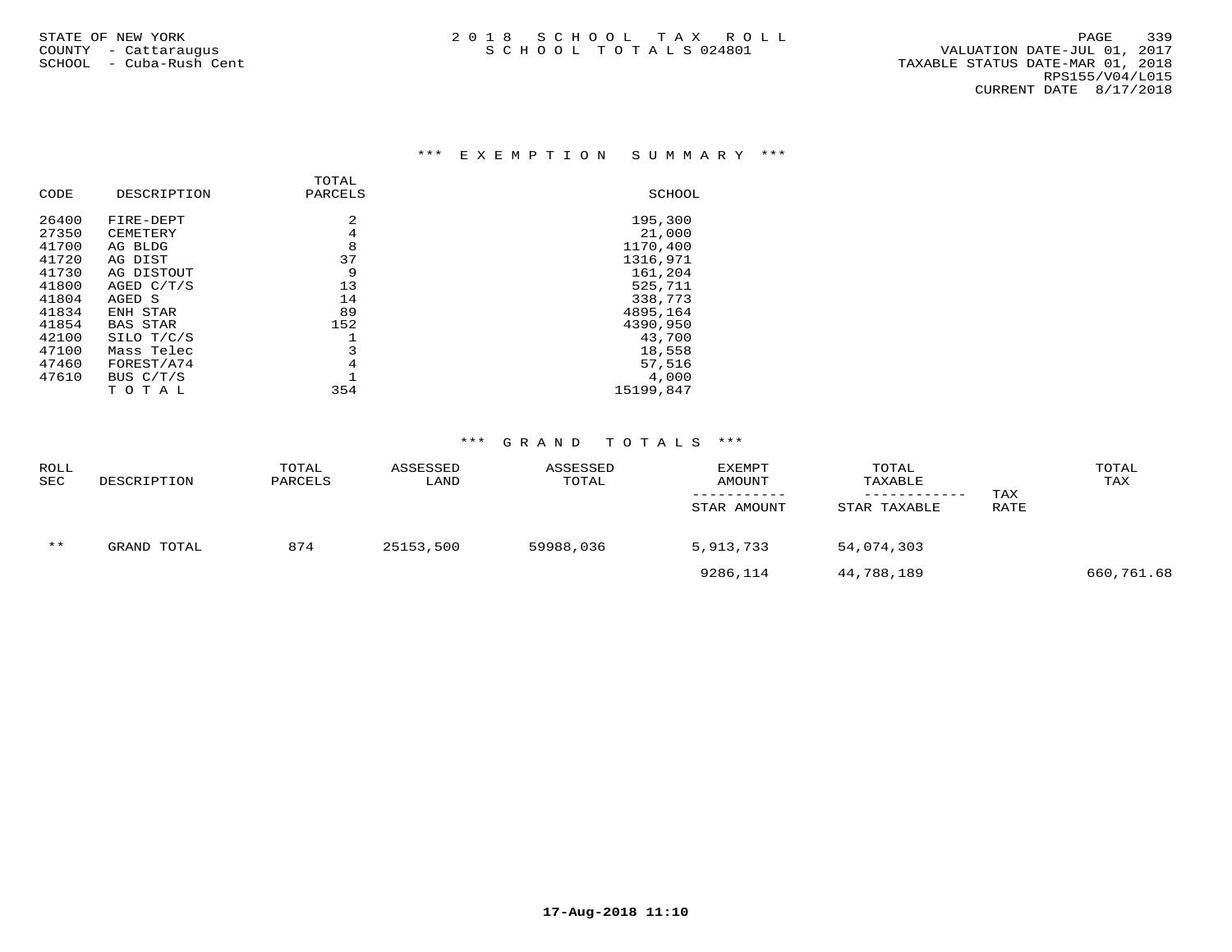## \*\*\* E X E M P T I O N S U M M A R Y \*\*\*

|       |                 | TOTAL          |           |
|-------|-----------------|----------------|-----------|
| CODE  | DESCRIPTION     | PARCELS        | SCHOOL    |
| 26400 | FIRE-DEPT       | $\mathfrak{D}$ | 195,300   |
| 27350 | CEMETERY        | 4              | 21,000    |
| 41700 | AG BLDG         | 8              | 1170,400  |
| 41720 | AG DIST         | 37             | 1316,971  |
| 41730 | AG DISTOUT      | 9              | 161,204   |
| 41800 | AGED $C/T/S$    | 13             | 525,711   |
| 41804 | AGED S          | 14             | 338,773   |
| 41834 | ENH STAR        | 89             | 4895,164  |
| 41854 | <b>BAS STAR</b> | 152            | 4390,950  |
| 42100 | SILO T/C/S      |                | 43,700    |
| 47100 | Mass Telec      | 3              | 18,558    |
| 47460 | FOREST/A74      | 4              | 57,516    |
| 47610 | BUS C/T/S       |                | 4,000     |
|       | тотаь           | 354            | 15199,847 |

| <b>ROLL</b><br><b>SEC</b> | DESCRIPTION | TOTAL<br>PARCELS | ASSESSED<br>LAND | ASSESSED<br>TOTAL | <b>EXEMPT</b><br>AMOUNT<br>STAR AMOUNT | TOTAL<br>TAXABLE<br>STAR TAXABLE | TAX<br>RATE | TOTAL<br>TAX |
|---------------------------|-------------|------------------|------------------|-------------------|----------------------------------------|----------------------------------|-------------|--------------|
| $***$                     | GRAND TOTAL | 874              | 25153,500        | 59988,036         | 5,913,733                              | 54,074,303                       |             |              |
|                           |             |                  |                  |                   | 9286,114                               | 44,788,189                       |             | 660,761.68   |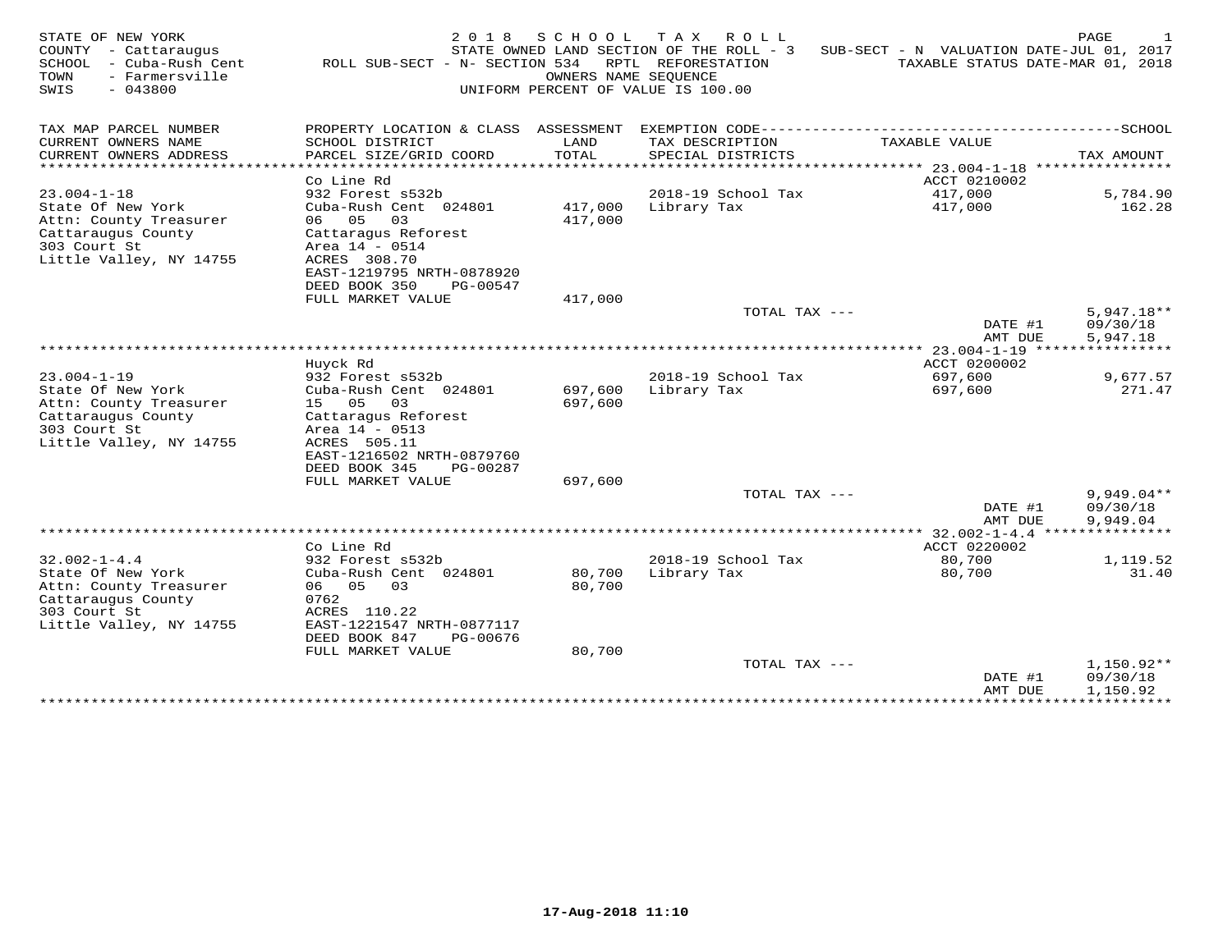| STATE OF NEW YORK<br>COUNTY<br>- Cattaraugus<br>SCHOOL<br>- Cuba-Rush Cent<br>- Farmersville<br>TOWN<br>SWIS<br>$-043800$ | 2 0 1 8<br>ROLL SUB-SECT - N- SECTION 534              | SCHOOL<br>OWNERS NAME SEQUENCE | T A X<br>ROLL<br>STATE OWNED LAND SECTION OF THE ROLL - 3<br>RPTL REFORESTATION<br>UNIFORM PERCENT OF VALUE IS 100.00 | SUB-SECT - N VALUATION DATE-JUL 01, 2017<br>TAXABLE STATUS DATE-MAR 01, 2018 | PAGE                                 |
|---------------------------------------------------------------------------------------------------------------------------|--------------------------------------------------------|--------------------------------|-----------------------------------------------------------------------------------------------------------------------|------------------------------------------------------------------------------|--------------------------------------|
| TAX MAP PARCEL NUMBER                                                                                                     | PROPERTY LOCATION & CLASS ASSESSMENT                   |                                |                                                                                                                       | EXEMPTION CODE----------------------------                                   | --------------SCHOOL                 |
| CURRENT OWNERS NAME                                                                                                       | SCHOOL DISTRICT                                        | LAND                           | TAX DESCRIPTION                                                                                                       | TAXABLE VALUE                                                                |                                      |
| CURRENT OWNERS ADDRESS<br>********************                                                                            | PARCEL SIZE/GRID COORD<br>**********************       | TOTAL                          | SPECIAL DISTRICTS                                                                                                     |                                                                              | TAX AMOUNT<br>****************       |
|                                                                                                                           | Co Line Rd                                             |                                |                                                                                                                       | ACCT 0210002                                                                 |                                      |
| $23.004 - 1 - 18$                                                                                                         | 932 Forest s532b                                       |                                | 2018-19 School Tax                                                                                                    | 417,000                                                                      | 5,784.90                             |
| State Of New York                                                                                                         | Cuba-Rush Cent 024801                                  | 417,000                        | Library Tax                                                                                                           | 417,000                                                                      | 162.28                               |
| Attn: County Treasurer<br>Cattaraugus County                                                                              | 06<br>05<br>03<br>Cattaragus Reforest                  | 417,000                        |                                                                                                                       |                                                                              |                                      |
| 303 Court St                                                                                                              | Area 14 - 0514                                         |                                |                                                                                                                       |                                                                              |                                      |
| Little Valley, NY 14755                                                                                                   | ACRES 308.70                                           |                                |                                                                                                                       |                                                                              |                                      |
|                                                                                                                           | EAST-1219795 NRTH-0878920                              |                                |                                                                                                                       |                                                                              |                                      |
|                                                                                                                           | DEED BOOK 350<br>PG-00547<br>FULL MARKET VALUE         | 417,000                        |                                                                                                                       |                                                                              |                                      |
|                                                                                                                           |                                                        |                                | TOTAL TAX ---                                                                                                         |                                                                              | $5,947.18**$                         |
|                                                                                                                           |                                                        |                                |                                                                                                                       | DATE #1                                                                      | 09/30/18                             |
|                                                                                                                           |                                                        |                                |                                                                                                                       | AMT DUE                                                                      | 5,947.18                             |
|                                                                                                                           | Huyck Rd                                               |                                |                                                                                                                       | *** 23.004-1-19<br>ACCT 0200002                                              |                                      |
| $23.004 - 1 - 19$                                                                                                         | 932 Forest s532b                                       |                                | 2018-19 School Tax                                                                                                    | 697,600                                                                      | 9,677.57                             |
| State Of New York                                                                                                         | Cuba-Rush Cent 024801                                  | 697,600                        | Library Tax                                                                                                           | 697,600                                                                      | 271.47                               |
| Attn: County Treasurer                                                                                                    | 15<br>05<br>03                                         | 697,600                        |                                                                                                                       |                                                                              |                                      |
| Cattaraugus County<br>303 Court St                                                                                        | Cattaragus Reforest<br>Area 14 - 0513                  |                                |                                                                                                                       |                                                                              |                                      |
| Little Valley, NY 14755                                                                                                   | ACRES 505.11                                           |                                |                                                                                                                       |                                                                              |                                      |
|                                                                                                                           | EAST-1216502 NRTH-0879760                              |                                |                                                                                                                       |                                                                              |                                      |
|                                                                                                                           | DEED BOOK 345<br>PG-00287                              |                                |                                                                                                                       |                                                                              |                                      |
|                                                                                                                           | FULL MARKET VALUE                                      | 697,600                        | TOTAL TAX ---                                                                                                         |                                                                              |                                      |
|                                                                                                                           |                                                        |                                |                                                                                                                       | DATE #1<br>AMT DUE                                                           | $9,949.04**$<br>09/30/18<br>9,949.04 |
|                                                                                                                           |                                                        |                                |                                                                                                                       | *** 32.002-1-4.4                                                             |                                      |
|                                                                                                                           | Co Line Rd                                             |                                |                                                                                                                       | ACCT 0220002                                                                 |                                      |
| $32.002 - 1 - 4.4$<br>State Of New York                                                                                   | 932 Forest s532b<br>Cuba-Rush Cent 024801              | 80,700                         | 2018-19 School Tax<br>Library Tax                                                                                     | 80,700<br>80,700                                                             | 1,119.52<br>31.40                    |
| Attn: County Treasurer                                                                                                    | 06 05<br>03                                            | 80,700                         |                                                                                                                       |                                                                              |                                      |
| Cattaraugus County                                                                                                        | 0762                                                   |                                |                                                                                                                       |                                                                              |                                      |
| 303 Court St                                                                                                              | ACRES 110.22                                           |                                |                                                                                                                       |                                                                              |                                      |
| Little Valley, NY 14755                                                                                                   | EAST-1221547 NRTH-0877117<br>DEED BOOK 847<br>PG-00676 |                                |                                                                                                                       |                                                                              |                                      |
|                                                                                                                           | FULL MARKET VALUE                                      | 80,700                         |                                                                                                                       |                                                                              |                                      |
|                                                                                                                           |                                                        |                                | TOTAL TAX ---                                                                                                         |                                                                              | $1,150.92**$                         |
|                                                                                                                           |                                                        |                                |                                                                                                                       | DATE #1<br>AMT DUE                                                           | 09/30/18<br>1,150.92                 |
|                                                                                                                           |                                                        |                                |                                                                                                                       | * * * * * * * * * * * * * *                                                  | * * * * * * * *                      |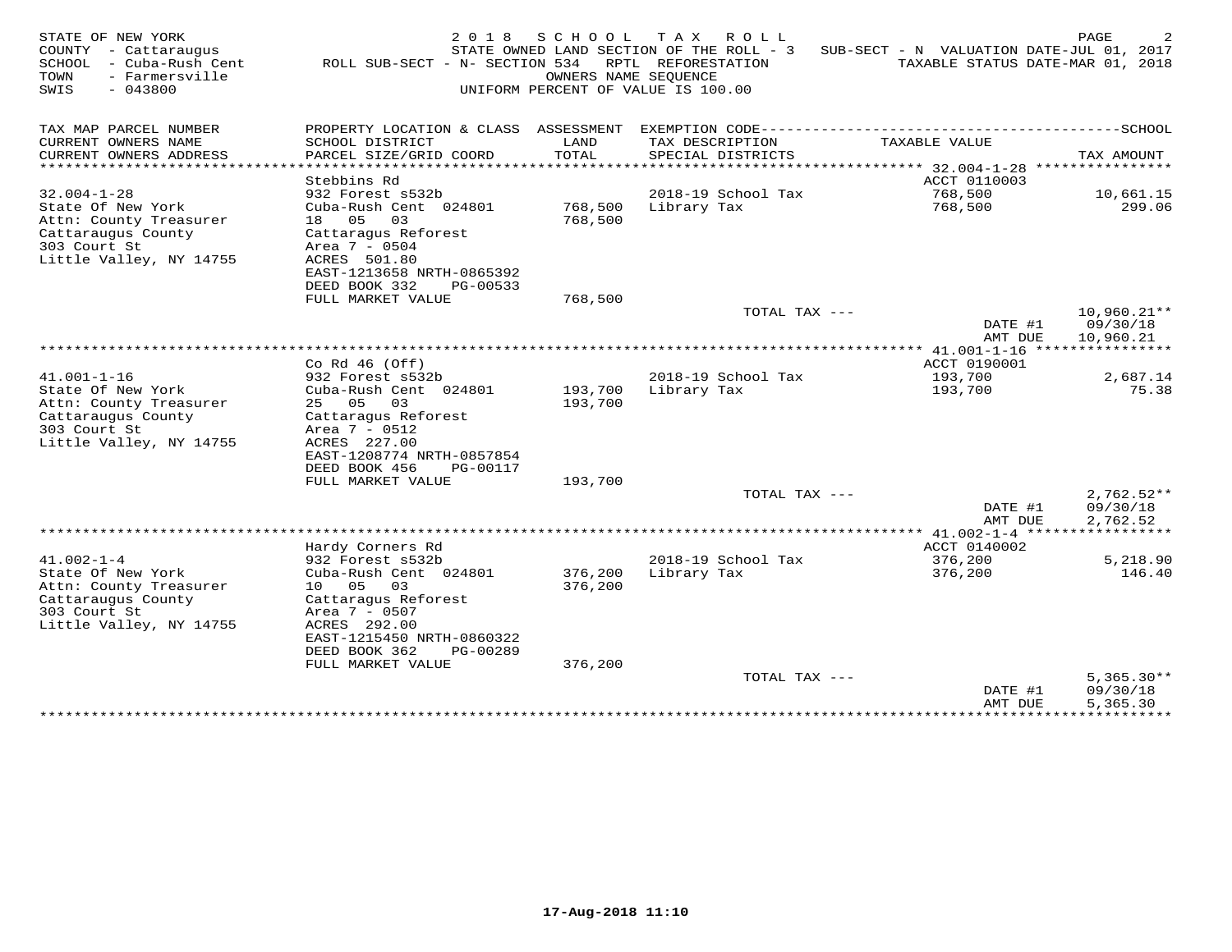| STATE OF NEW YORK<br>COUNTY<br>- Cattaraugus<br>SCHOOL<br>- Cuba-Rush Cent<br>TOWN<br>- Farmersville<br>SWIS<br>$-043800$ | 2 0 1 8<br>ROLL SUB-SECT - N- SECTION 534 | SCHOOL             | T A X<br>ROLL<br>STATE OWNED LAND SECTION OF THE ROLL - 3<br>RPTL REFORESTATION<br>OWNERS NAME SEOUENCE<br>UNIFORM PERCENT OF VALUE IS 100.00 | SUB-SECT - N VALUATION DATE-JUL 01, 2017<br>TAXABLE STATUS DATE-MAR 01, 2018 | PAGE                           |
|---------------------------------------------------------------------------------------------------------------------------|-------------------------------------------|--------------------|-----------------------------------------------------------------------------------------------------------------------------------------------|------------------------------------------------------------------------------|--------------------------------|
| TAX MAP PARCEL NUMBER                                                                                                     | PROPERTY LOCATION & CLASS ASSESSMENT      |                    |                                                                                                                                               |                                                                              |                                |
| CURRENT OWNERS NAME                                                                                                       | SCHOOL DISTRICT                           | LAND               | TAX DESCRIPTION                                                                                                                               | TAXABLE VALUE                                                                |                                |
| CURRENT OWNERS ADDRESS<br>********************                                                                            | PARCEL SIZE/GRID COORD<br>.               | TOTAL<br>*******   | SPECIAL DISTRICTS                                                                                                                             | ******* 32.004-1-28                                                          | TAX AMOUNT<br>**************** |
|                                                                                                                           | Stebbins Rd                               |                    |                                                                                                                                               | ACCT 0110003                                                                 |                                |
| $32.004 - 1 - 28$                                                                                                         | 932 Forest s532b                          |                    | 2018-19 School Tax                                                                                                                            | 768,500                                                                      | 10,661.15                      |
| State Of New York<br>Attn: County Treasurer                                                                               | Cuba-Rush Cent 024801<br>18 05<br>03      | 768,500<br>768,500 | Library Tax                                                                                                                                   | 768,500                                                                      | 299.06                         |
| Cattaraugus County                                                                                                        | Cattaragus Reforest                       |                    |                                                                                                                                               |                                                                              |                                |
| 303 Court St                                                                                                              | Area 7 - 0504                             |                    |                                                                                                                                               |                                                                              |                                |
| Little Valley, NY 14755                                                                                                   | ACRES 501.80<br>EAST-1213658 NRTH-0865392 |                    |                                                                                                                                               |                                                                              |                                |
|                                                                                                                           | DEED BOOK 332<br>PG-00533                 |                    |                                                                                                                                               |                                                                              |                                |
|                                                                                                                           | FULL MARKET VALUE                         | 768,500            |                                                                                                                                               |                                                                              |                                |
|                                                                                                                           |                                           |                    | TOTAL TAX ---                                                                                                                                 | DATE #1                                                                      | $10,960.21**$<br>09/30/18      |
|                                                                                                                           |                                           |                    |                                                                                                                                               | AMT DUE                                                                      | 10,960.21                      |
|                                                                                                                           |                                           |                    |                                                                                                                                               |                                                                              |                                |
| $41.001 - 1 - 16$                                                                                                         | Co Rd $46$ (Off)<br>932 Forest s532b      |                    | 2018-19 School Tax                                                                                                                            | ACCT 0190001<br>193,700                                                      | 2,687.14                       |
| State Of New York                                                                                                         | Cuba-Rush Cent 024801                     | 193,700            | Library Tax                                                                                                                                   | 193,700                                                                      | 75.38                          |
| Attn: County Treasurer                                                                                                    | 25 05<br>03                               | 193,700            |                                                                                                                                               |                                                                              |                                |
| Cattaraugus County                                                                                                        | Cattaragus Reforest                       |                    |                                                                                                                                               |                                                                              |                                |
| 303 Court St<br>Little Valley, NY 14755                                                                                   | Area 7 - 0512<br>ACRES 227.00             |                    |                                                                                                                                               |                                                                              |                                |
|                                                                                                                           | EAST-1208774 NRTH-0857854                 |                    |                                                                                                                                               |                                                                              |                                |
|                                                                                                                           | DEED BOOK 456<br>PG-00117                 |                    |                                                                                                                                               |                                                                              |                                |
|                                                                                                                           | FULL MARKET VALUE                         | 193,700            | TOTAL TAX ---                                                                                                                                 |                                                                              | $2,762.52**$                   |
|                                                                                                                           |                                           |                    |                                                                                                                                               | DATE #1                                                                      | 09/30/18                       |
|                                                                                                                           |                                           |                    |                                                                                                                                               | AMT DUE                                                                      | 2,762.52                       |
|                                                                                                                           |                                           |                    |                                                                                                                                               |                                                                              |                                |
| $41.002 - 1 - 4$                                                                                                          | Hardy Corners Rd<br>932 Forest s532b      |                    | 2018-19 School Tax                                                                                                                            | ACCT 0140002<br>376,200                                                      | 5,218.90                       |
| State Of New York                                                                                                         | Cuba-Rush Cent 024801                     | 376,200            | Library Tax                                                                                                                                   | 376,200                                                                      | 146.40                         |
| Attn: County Treasurer                                                                                                    | 10 05<br>- 03                             | 376,200            |                                                                                                                                               |                                                                              |                                |
| Cattaraugus County<br>303 Court St                                                                                        | Cattaragus Reforest<br>Area 7 - 0507      |                    |                                                                                                                                               |                                                                              |                                |
| Little Valley, NY 14755                                                                                                   | ACRES 292.00                              |                    |                                                                                                                                               |                                                                              |                                |
|                                                                                                                           | EAST-1215450 NRTH-0860322                 |                    |                                                                                                                                               |                                                                              |                                |
|                                                                                                                           | DEED BOOK 362<br>PG-00289                 |                    |                                                                                                                                               |                                                                              |                                |
|                                                                                                                           | FULL MARKET VALUE                         | 376,200            | TOTAL TAX ---                                                                                                                                 |                                                                              | $5,365.30**$                   |
|                                                                                                                           |                                           |                    |                                                                                                                                               | DATE #1                                                                      | 09/30/18                       |
|                                                                                                                           |                                           |                    |                                                                                                                                               | AMT DUE<br>**************                                                    | 5,365.30<br>**********         |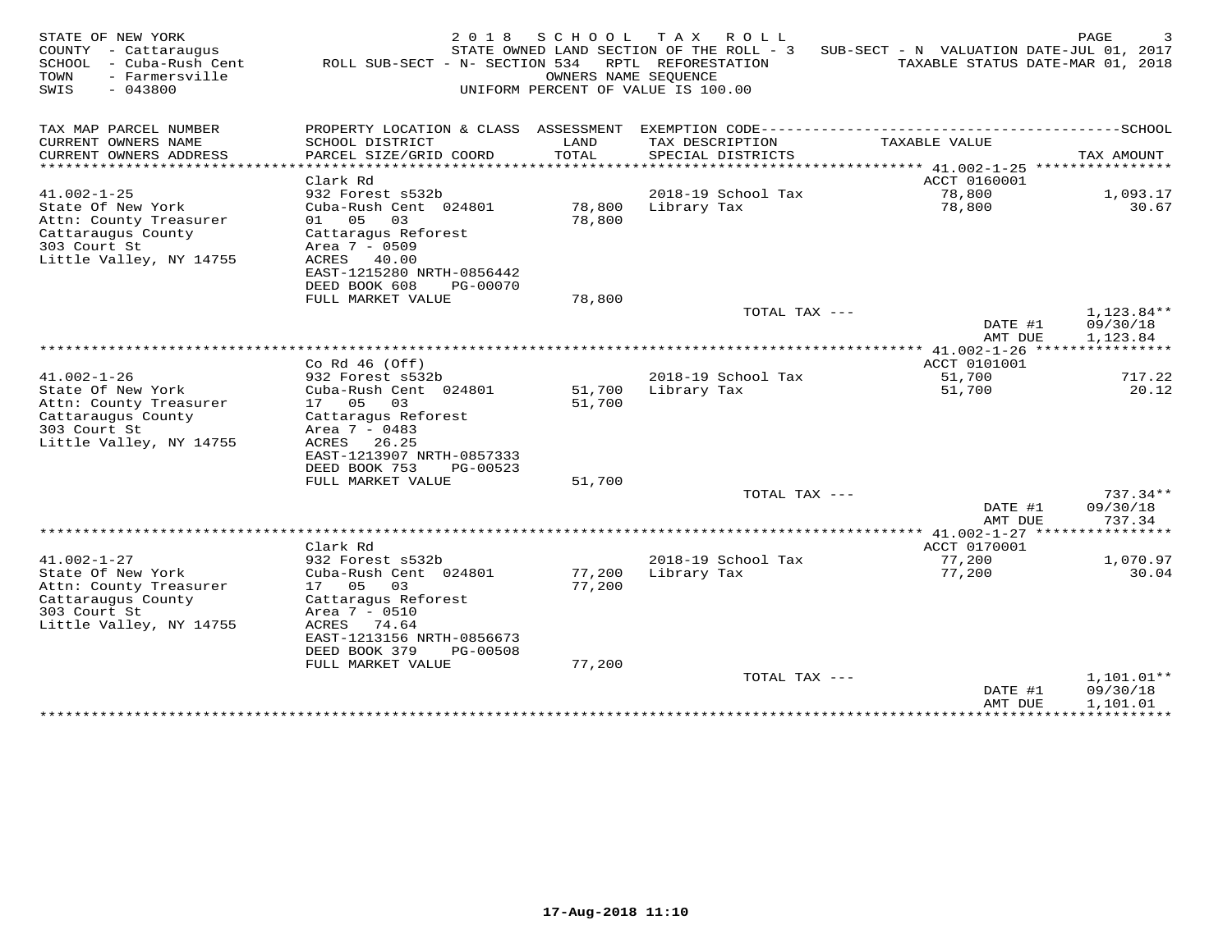| STATE OF NEW YORK<br>COUNTY - Cattaraugus<br>SCHOOL<br>- Cuba-Rush Cent<br>- Farmersville<br>TOWN<br>SWIS<br>$-043800$ | 2 0 1 8<br>ROLL SUB-SECT - N- SECTION 534                                                                                                             | SCHOOL<br>OWNERS NAME SEOUENCE | TAX ROLL<br>STATE OWNED LAND SECTION OF THE ROLL - 3<br>RPTL REFORESTATION<br>UNIFORM PERCENT OF VALUE IS 100.00 | SUB-SECT - N VALUATION DATE-JUL 01, 2017<br>TAXABLE STATUS DATE-MAR 01, 2018 | PAGE                               |
|------------------------------------------------------------------------------------------------------------------------|-------------------------------------------------------------------------------------------------------------------------------------------------------|--------------------------------|------------------------------------------------------------------------------------------------------------------|------------------------------------------------------------------------------|------------------------------------|
| TAX MAP PARCEL NUMBER<br>CURRENT OWNERS NAME                                                                           | PROPERTY LOCATION & CLASS ASSESSMENT<br>SCHOOL DISTRICT                                                                                               | LAND                           | TAX DESCRIPTION                                                                                                  | TAXABLE VALUE                                                                |                                    |
| CURRENT OWNERS ADDRESS<br>**********************                                                                       | PARCEL SIZE/GRID COORD<br>***********************                                                                                                     | TOTAL                          | SPECIAL DISTRICTS                                                                                                |                                                                              | TAX AMOUNT                         |
|                                                                                                                        | Clark Rd                                                                                                                                              |                                |                                                                                                                  | ACCT 0160001                                                                 |                                    |
| $41.002 - 1 - 25$                                                                                                      | 932 Forest s532b                                                                                                                                      |                                | 2018-19 School Tax                                                                                               | 78,800                                                                       | 1,093.17                           |
| State Of New York<br>Attn: County Treasurer<br>Cattaraugus County<br>303 Court St<br>Little Valley, NY 14755           | Cuba-Rush Cent 024801<br>01 05<br>03<br>Cattaraqus Reforest<br>Area 7 - 0509<br>ACRES 40.00<br>EAST-1215280 NRTH-0856442<br>DEED BOOK 608<br>PG-00070 | 78,800<br>78,800               | Library Tax                                                                                                      | 78,800                                                                       | 30.67                              |
|                                                                                                                        | FULL MARKET VALUE                                                                                                                                     | 78,800                         |                                                                                                                  |                                                                              |                                    |
|                                                                                                                        |                                                                                                                                                       |                                | TOTAL TAX ---                                                                                                    | DATE #1<br>AMT DUE                                                           | 1,123.84**<br>09/30/18<br>1,123.84 |
|                                                                                                                        |                                                                                                                                                       |                                |                                                                                                                  |                                                                              | ***********                        |
|                                                                                                                        | Co Rd $46$ (Off)                                                                                                                                      |                                |                                                                                                                  | ACCT 0101001                                                                 |                                    |
| $41.002 - 1 - 26$<br>State Of New York                                                                                 | 932 Forest s532b<br>Cuba-Rush Cent 024801                                                                                                             | 51,700                         | 2018-19 School Tax<br>Library Tax                                                                                | 51,700<br>51,700                                                             | 717.22<br>20.12                    |
| Attn: County Treasurer                                                                                                 | 17 05<br>03                                                                                                                                           | 51,700                         |                                                                                                                  |                                                                              |                                    |
| Cattaraugus County                                                                                                     | Cattaragus Reforest                                                                                                                                   |                                |                                                                                                                  |                                                                              |                                    |
| 303 Court St                                                                                                           | Area 7 - 0483                                                                                                                                         |                                |                                                                                                                  |                                                                              |                                    |
| Little Valley, NY 14755                                                                                                | ACRES 26.25<br>EAST-1213907 NRTH-0857333                                                                                                              |                                |                                                                                                                  |                                                                              |                                    |
|                                                                                                                        | DEED BOOK 753<br>PG-00523                                                                                                                             |                                |                                                                                                                  |                                                                              |                                    |
|                                                                                                                        | FULL MARKET VALUE                                                                                                                                     | 51,700                         |                                                                                                                  |                                                                              |                                    |
|                                                                                                                        |                                                                                                                                                       |                                | TOTAL TAX ---                                                                                                    |                                                                              | 737.34**                           |
|                                                                                                                        |                                                                                                                                                       |                                |                                                                                                                  | DATE #1<br>AMT DUE                                                           | 09/30/18<br>737.34                 |
|                                                                                                                        |                                                                                                                                                       |                                |                                                                                                                  | ************* 41.002-1-27 ******                                             | *********                          |
|                                                                                                                        | Clark Rd                                                                                                                                              |                                |                                                                                                                  | ACCT 0170001                                                                 |                                    |
| $41.002 - 1 - 27$                                                                                                      | 932 Forest s532b                                                                                                                                      |                                | 2018-19 School Tax                                                                                               | 77,200                                                                       | 1,070.97                           |
| State Of New York<br>Attn: County Treasurer                                                                            | Cuba-Rush Cent 024801<br>17 05<br>03                                                                                                                  | 77,200<br>77,200               | Library Tax                                                                                                      | 77,200                                                                       | 30.04                              |
| Cattaraugus County                                                                                                     | Cattaragus Reforest                                                                                                                                   |                                |                                                                                                                  |                                                                              |                                    |
| 303 Court St                                                                                                           | Area 7 - 0510                                                                                                                                         |                                |                                                                                                                  |                                                                              |                                    |
| Little Valley, NY 14755                                                                                                | ACRES 74.64                                                                                                                                           |                                |                                                                                                                  |                                                                              |                                    |
|                                                                                                                        | EAST-1213156 NRTH-0856673<br>DEED BOOK 379<br>PG-00508                                                                                                |                                |                                                                                                                  |                                                                              |                                    |
|                                                                                                                        | FULL MARKET VALUE                                                                                                                                     | 77,200                         |                                                                                                                  |                                                                              |                                    |
|                                                                                                                        |                                                                                                                                                       |                                | TOTAL TAX ---                                                                                                    |                                                                              | 1,101.01**                         |
|                                                                                                                        |                                                                                                                                                       |                                |                                                                                                                  | DATE #1                                                                      | 09/30/18                           |
|                                                                                                                        |                                                                                                                                                       |                                |                                                                                                                  | AMT DUE<br>**************                                                    | 1,101.01<br>***********            |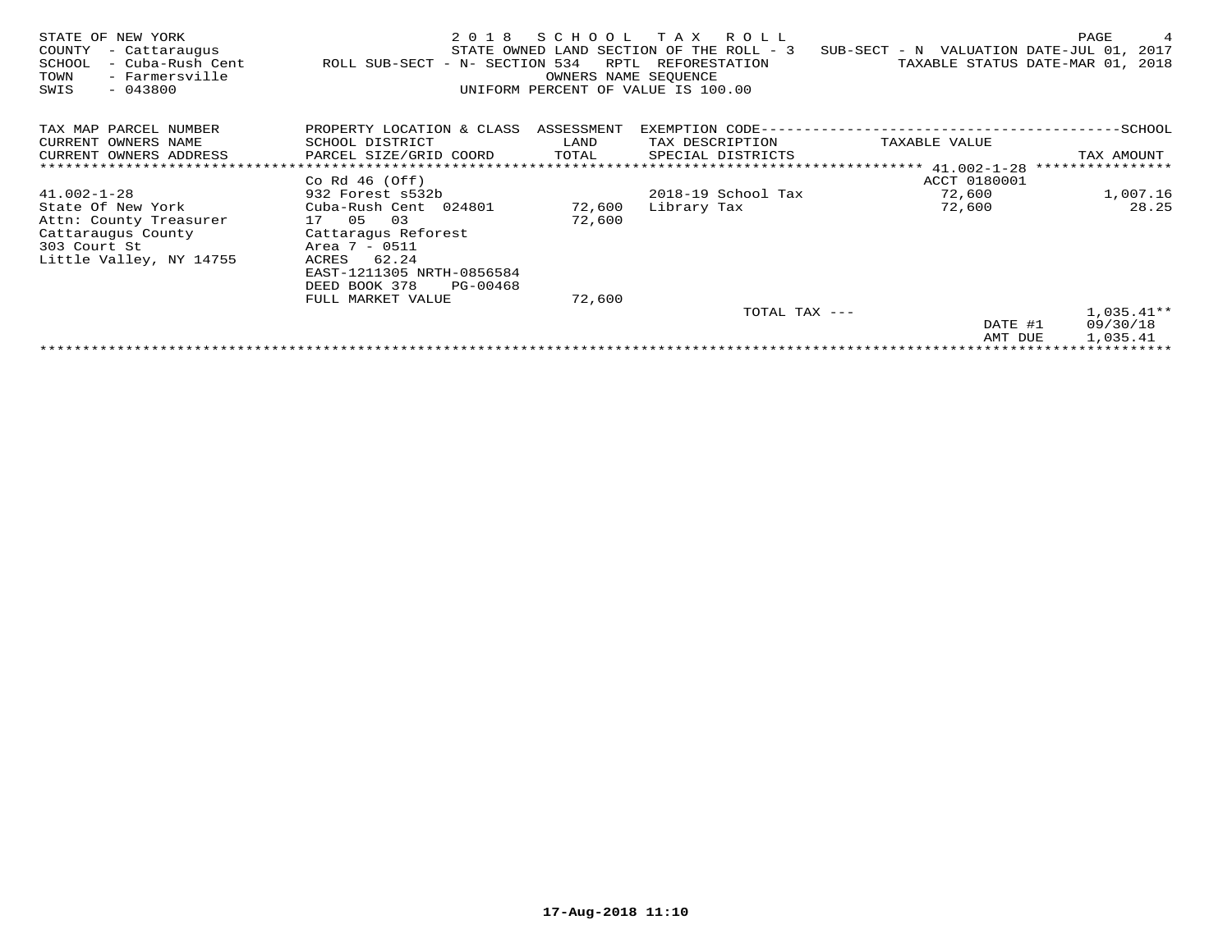| STATE OF NEW YORK<br>COUNTY<br>- Cattaraugus<br>- Cuba-Rush Cent<br>SCHOOL<br>TOWN<br>- Farmersville<br>$-043800$<br>SWIS | 2 0 1 8<br>ROLL SUB-SECT - N- SECTION 534 | SCHOOL<br>RPTL<br>OWNERS NAME SEOUENCE | R O L L<br>T A X<br>STATE OWNED LAND SECTION OF THE ROLL - 3<br>REFORESTATION<br>UNIFORM PERCENT OF VALUE IS 100.00 | SUB-SECT - N VALUATION DATE-JUL 01, 2017 | PAGE<br>4<br>TAXABLE STATUS DATE-MAR 01, 2018 |
|---------------------------------------------------------------------------------------------------------------------------|-------------------------------------------|----------------------------------------|---------------------------------------------------------------------------------------------------------------------|------------------------------------------|-----------------------------------------------|
| TAX MAP PARCEL NUMBER                                                                                                     | PROPERTY LOCATION & CLASS ASSESSMENT      |                                        | EXEMPTION CODE--                                                                                                    |                                          | --------SCHOOL                                |
| CURRENT OWNERS NAME                                                                                                       | SCHOOL DISTRICT                           | LAND                                   | TAX DESCRIPTION                                                                                                     | TAXABLE VALUE                            |                                               |
| CURRENT OWNERS ADDRESS                                                                                                    | PARCEL SIZE/GRID COORD                    | TOTAL                                  | SPECIAL DISTRICTS                                                                                                   |                                          | TAX AMOUNT                                    |
|                                                                                                                           |                                           |                                        |                                                                                                                     | ******** $41.002 - 1 - 28$               | ****************                              |
|                                                                                                                           | Co Rd $46$ (Off)                          |                                        |                                                                                                                     | ACCT 0180001                             |                                               |
| $41.002 - 1 - 28$                                                                                                         | 932 Forest s532b                          |                                        | 2018-19 School Tax                                                                                                  | 72,600                                   | 1,007.16                                      |
| State Of New York                                                                                                         | Cuba-Rush Cent 024801                     | 72,600                                 | Library Tax                                                                                                         | 72,600                                   | 28.25                                         |
| Attn: County Treasurer                                                                                                    | 03<br>17 05                               | 72,600                                 |                                                                                                                     |                                          |                                               |
| Cattaraugus County                                                                                                        | Cattaragus Reforest                       |                                        |                                                                                                                     |                                          |                                               |
| 303 Court St                                                                                                              | Area 7 - 0511                             |                                        |                                                                                                                     |                                          |                                               |
| Little Valley, NY 14755                                                                                                   | 62.24<br>ACRES                            |                                        |                                                                                                                     |                                          |                                               |
|                                                                                                                           | EAST-1211305 NRTH-0856584                 |                                        |                                                                                                                     |                                          |                                               |
|                                                                                                                           | DEED BOOK 378<br>PG-00468                 |                                        |                                                                                                                     |                                          |                                               |
|                                                                                                                           | FULL MARKET VALUE                         | 72,600                                 |                                                                                                                     |                                          |                                               |
|                                                                                                                           |                                           |                                        | TOTAL TAX ---                                                                                                       |                                          | $1,035.41**$                                  |
|                                                                                                                           |                                           |                                        |                                                                                                                     | DATE #1                                  | 09/30/18                                      |
|                                                                                                                           |                                           |                                        |                                                                                                                     | AMT DUE                                  | 1,035.41                                      |
|                                                                                                                           |                                           |                                        |                                                                                                                     |                                          |                                               |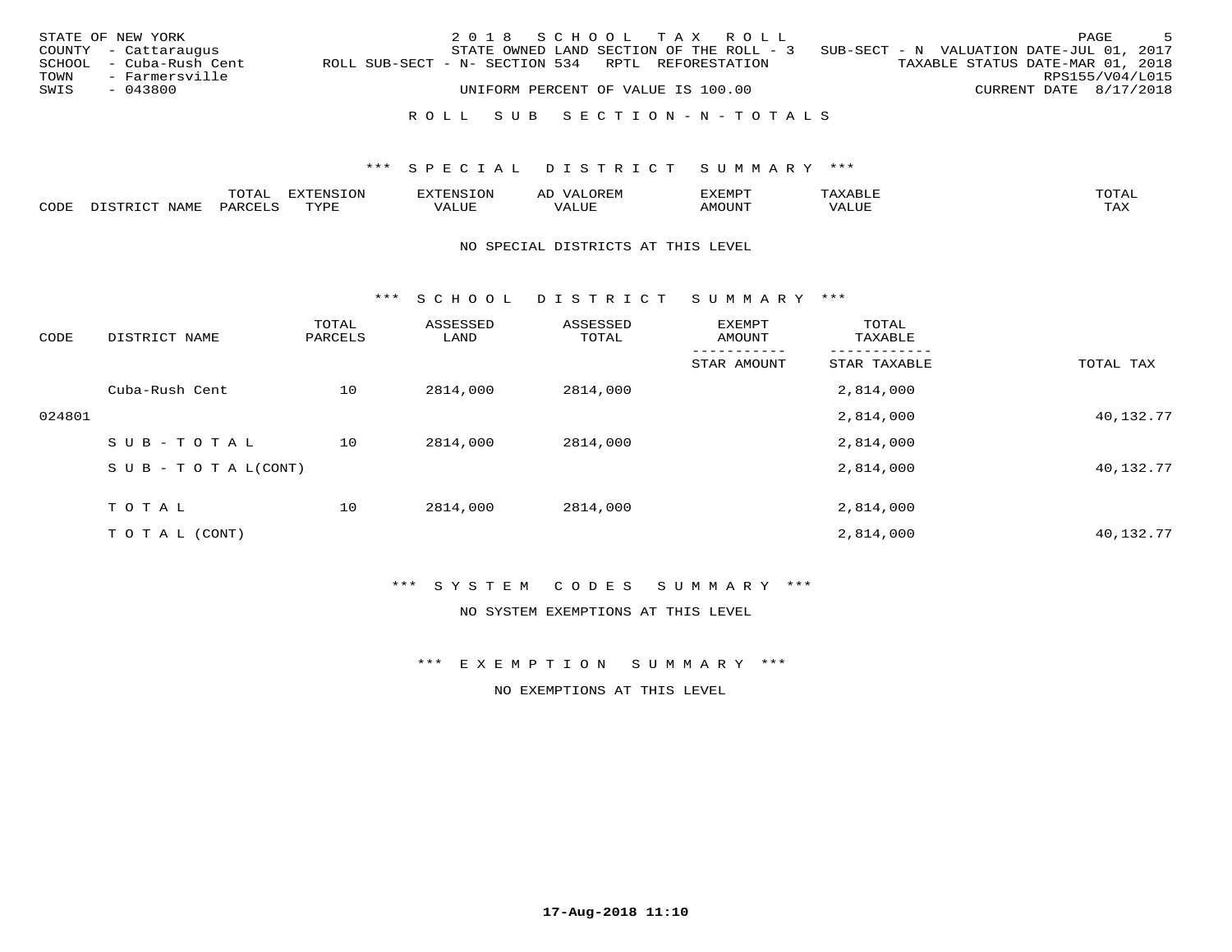|      | STATE OF NEW YORK       |                                                   | 2018 SCHOOL TAX ROLL               |  |  |                                                                                     |                                  |                        | PAGE | - 5 |
|------|-------------------------|---------------------------------------------------|------------------------------------|--|--|-------------------------------------------------------------------------------------|----------------------------------|------------------------|------|-----|
|      | COUNTY - Cattaraugus    |                                                   |                                    |  |  | STATE OWNED LAND SECTION OF THE ROLL - $3$ SUB-SECT - N VALUATION DATE-JUL 01, 2017 |                                  |                        |      |     |
|      | SCHOOL - Cuba-Rush Cent | ROLL SUB-SECT - N- SECTION 534 RPTL REFORESTATION |                                    |  |  |                                                                                     | TAXABLE STATUS DATE-MAR 01, 2018 |                        |      |     |
|      | TOWN - Farmersville     |                                                   |                                    |  |  |                                                                                     |                                  | RPS155/V04/L015        |      |     |
| SWIS | - 043800                |                                                   | UNIFORM PERCENT OF VALUE IS 100.00 |  |  |                                                                                     |                                  | CURRENT DATE 8/17/2018 |      |     |
|      |                         |                                                   |                                    |  |  |                                                                                     |                                  |                        |      |     |
|      |                         |                                                   | ROLL SUB SECTION-N-TOTALS          |  |  |                                                                                     |                                  |                        |      |     |

|      |          | $m \wedge m \wedge$<br>Al | $- - - -$   |                                                     | AD<br>$\sqrt{2}$ |         |    | $m \wedge m \wedge n$ |
|------|----------|---------------------------|-------------|-----------------------------------------------------|------------------|---------|----|-----------------------|
| CODE | 31 73 IV |                           | <b>TVDL</b> | $\tau$ , $\tau$ , $\tau$ , $\tau$<br>TT A Y<br>ALUE | 1 U J P          | 1 J I V | __ | $m \times r$<br>دعدته |

#### NO SPECIAL DISTRICTS AT THIS LEVEL

\*\*\* S C H O O L D I S T R I C T S U M M A R Y \*\*\*

| CODE   | DISTRICT NAME             | TOTAL<br>PARCELS | ASSESSED<br>LAND | ASSESSED<br>TOTAL | EXEMPT<br>AMOUNT | TOTAL<br>TAXABLE |           |
|--------|---------------------------|------------------|------------------|-------------------|------------------|------------------|-----------|
|        |                           |                  |                  |                   | STAR AMOUNT      | STAR TAXABLE     | TOTAL TAX |
|        | Cuba-Rush Cent            | 10               | 2814,000         | 2814,000          |                  | 2,814,000        |           |
| 024801 |                           |                  |                  |                   |                  | 2,814,000        | 40,132.77 |
|        | SUB-TOTAL                 | 10               | 2814,000         | 2814,000          |                  | 2,814,000        |           |
|        | S U B - T O T A $L(CONT)$ |                  |                  |                   |                  | 2,814,000        | 40,132.77 |
|        | TOTAL                     | 10               | 2814,000         | 2814,000          |                  | 2,814,000        |           |
|        | T O T A L (CONT)          |                  |                  |                   |                  | 2,814,000        | 40,132.77 |

## \*\*\* S Y S T E M C O D E S S U M M A R Y \*\*\*

NO SYSTEM EXEMPTIONS AT THIS LEVEL

\*\*\* E X E M P T I O N S U M M A R Y \*\*\*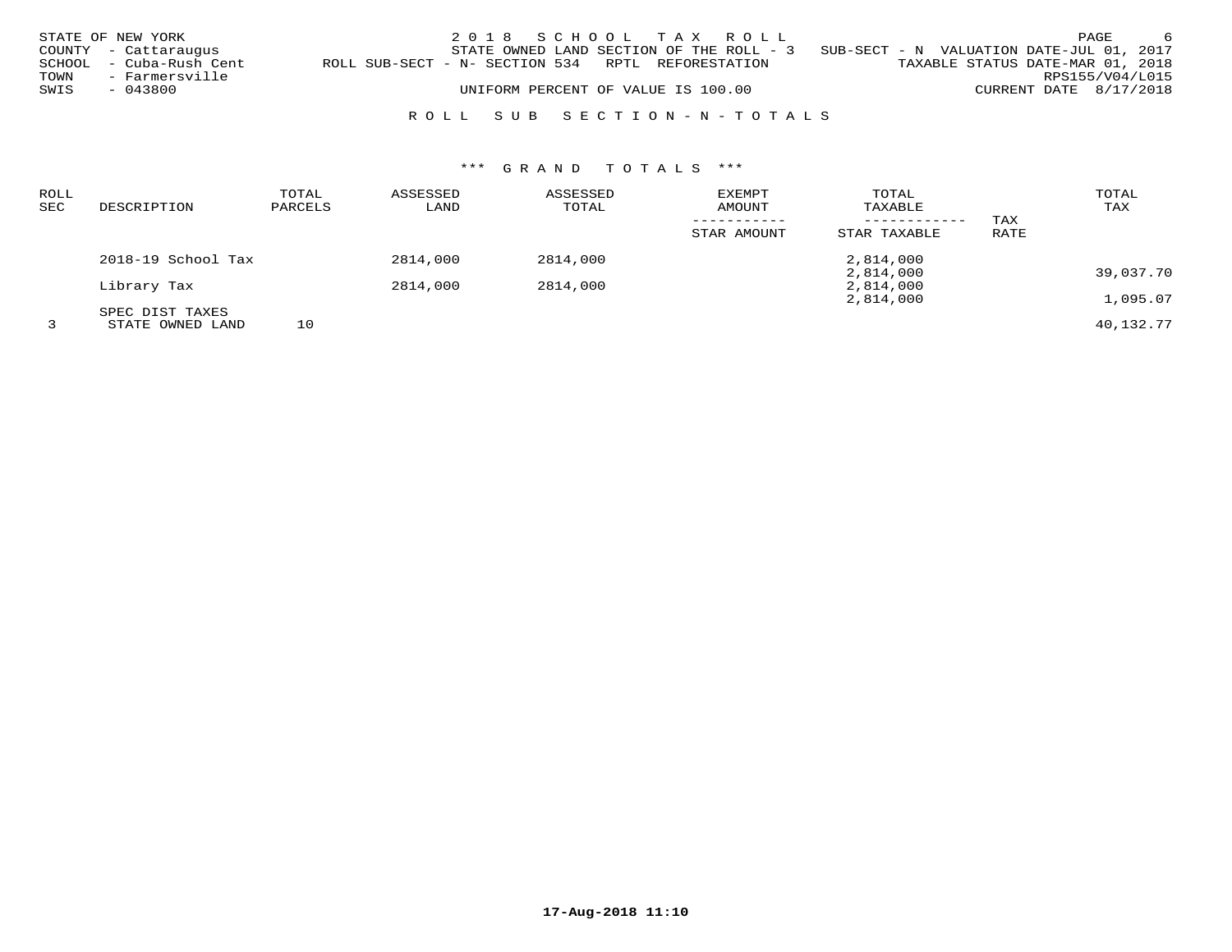|      | STATE OF NEW YORK       |                                                   | 2018 SCHOOL TAX ROLL                     |  |                                          |                                  |                 | PAGE | - 6 |
|------|-------------------------|---------------------------------------------------|------------------------------------------|--|------------------------------------------|----------------------------------|-----------------|------|-----|
|      | COUNTY - Cattaraugus    |                                                   | STATE OWNED LAND SECTION OF THE ROLL - 3 |  | SUB-SECT - N VALUATION DATE-JUL 01, 2017 |                                  |                 |      |     |
|      | SCHOOL - Cuba-Rush Cent | ROLL SUB-SECT - N- SECTION 534 RPTL REFORESTATION |                                          |  |                                          | TAXABLE STATUS DATE-MAR 01, 2018 |                 |      |     |
| TOWN | - Farmersville          |                                                   |                                          |  |                                          |                                  | RPS155/V04/L015 |      |     |
| SWIS | - 043800                |                                                   | UNIFORM PERCENT OF VALUE IS 100.00       |  |                                          | CURRENT DATE 8/17/2018           |                 |      |     |
|      |                         |                                                   |                                          |  |                                          |                                  |                 |      |     |

# R O L L S U B S E C T I O N - N - T O T A L S

| ROLL |                    | TOTAL   | ASSESSED | ASSESSED | EXEMPT      | TOTAL        |      | TOTAL     |
|------|--------------------|---------|----------|----------|-------------|--------------|------|-----------|
| SEC  | DESCRIPTION        | PARCELS | LAND     | TOTAL    | AMOUNT      | TAXABLE      |      | TAX       |
|      |                    |         |          |          |             |              | TAX  |           |
|      |                    |         |          |          | STAR AMOUNT | STAR TAXABLE | RATE |           |
|      | 2018-19 School Tax |         | 2814,000 | 2814,000 |             | 2,814,000    |      |           |
|      |                    |         |          |          |             | 2,814,000    |      | 39,037.70 |
|      | Library Tax        |         | 2814,000 | 2814,000 |             | 2,814,000    |      |           |
|      |                    |         |          |          |             | 2,814,000    |      | 1,095.07  |
|      | SPEC DIST TAXES    |         |          |          |             |              |      |           |
|      | STATE OWNED LAND   | 10      |          |          |             |              |      | 40,132.77 |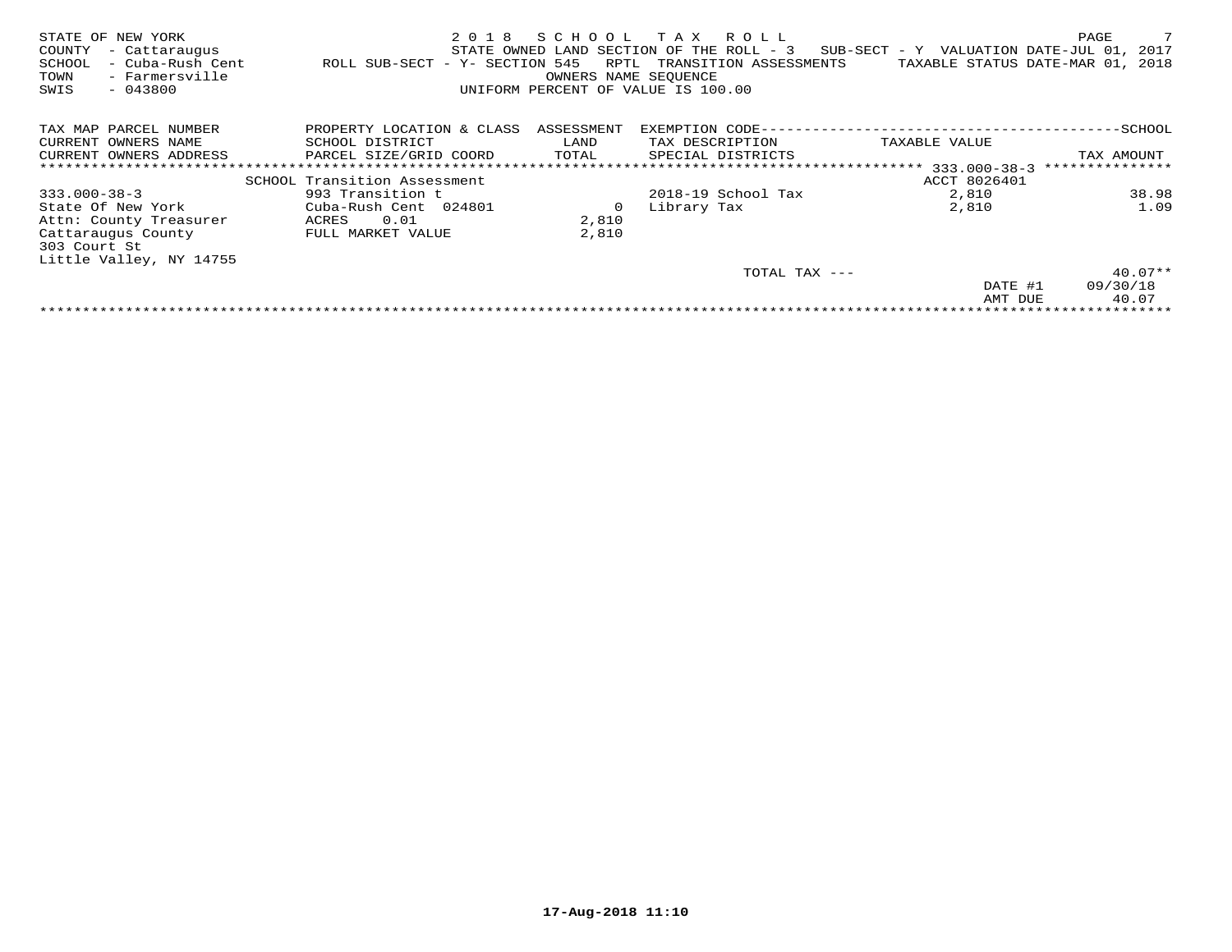| NEW YORK<br>STATE OF<br>COUNTY<br>- Cattaraugus<br>- Cuba-Rush Cent<br>SCHOOL<br>- Farmersville<br>TOWN<br>SWIS<br>$-043800$ | 2018<br>ROLL SUB-SECT - Y- SECTION 545 | SCHOOL<br>RPTL<br>OWNERS NAME SEOUENCE | R O L L<br>T A X<br>STATE OWNED LAND SECTION OF THE ROLL - 3<br>TRANSITION ASSESSMENTS<br>UNIFORM PERCENT OF VALUE IS 100.00 | SUB-SECT - Y VALUATION DATE-JUL 01,<br>TAXABLE STATUS DATE-MAR 01, 2018 | 7<br>PAGE<br>2017 |
|------------------------------------------------------------------------------------------------------------------------------|----------------------------------------|----------------------------------------|------------------------------------------------------------------------------------------------------------------------------|-------------------------------------------------------------------------|-------------------|
| TAX MAP PARCEL NUMBER                                                                                                        | PROPERTY LOCATION & CLASS              | ASSESSMENT                             | EXEMPTION CODE--                                                                                                             |                                                                         | --SCHOOL          |
| CURRENT OWNERS NAME                                                                                                          | SCHOOL DISTRICT                        | LAND                                   | TAX DESCRIPTION                                                                                                              | TAXABLE VALUE                                                           |                   |
| CURRENT OWNERS ADDRESS                                                                                                       | PARCEL SIZE/GRID COORD                 | TOTAL                                  | SPECIAL DISTRICTS                                                                                                            |                                                                         | TAX AMOUNT        |
|                                                                                                                              |                                        |                                        |                                                                                                                              |                                                                         | ***************   |
|                                                                                                                              | SCHOOL Transition Assessment           |                                        |                                                                                                                              | ACCT 8026401                                                            |                   |
| $333.000 - 38 - 3$                                                                                                           | 993 Transition t                       |                                        | 2018-19 School Tax                                                                                                           | 2,810                                                                   | 38.98             |
| State Of New York                                                                                                            | Cuba-Rush Cent 024801                  | 0                                      | Library Tax                                                                                                                  | 2,810                                                                   | 1.09              |
| Attn: County Treasurer                                                                                                       | 0.01<br>ACRES                          | 2,810                                  |                                                                                                                              |                                                                         |                   |
| Cattaraugus County                                                                                                           | FULL MARKET VALUE                      | 2,810                                  |                                                                                                                              |                                                                         |                   |
| 303 Court St                                                                                                                 |                                        |                                        |                                                                                                                              |                                                                         |                   |
| Little Valley, NY 14755                                                                                                      |                                        |                                        |                                                                                                                              |                                                                         |                   |
|                                                                                                                              |                                        |                                        | TOTAL TAX ---                                                                                                                |                                                                         | $40.07**$         |
|                                                                                                                              |                                        |                                        |                                                                                                                              | DATE #1                                                                 | 09/30/18          |
|                                                                                                                              |                                        |                                        |                                                                                                                              | AMT DUE                                                                 | 40.07             |
|                                                                                                                              |                                        |                                        |                                                                                                                              |                                                                         |                   |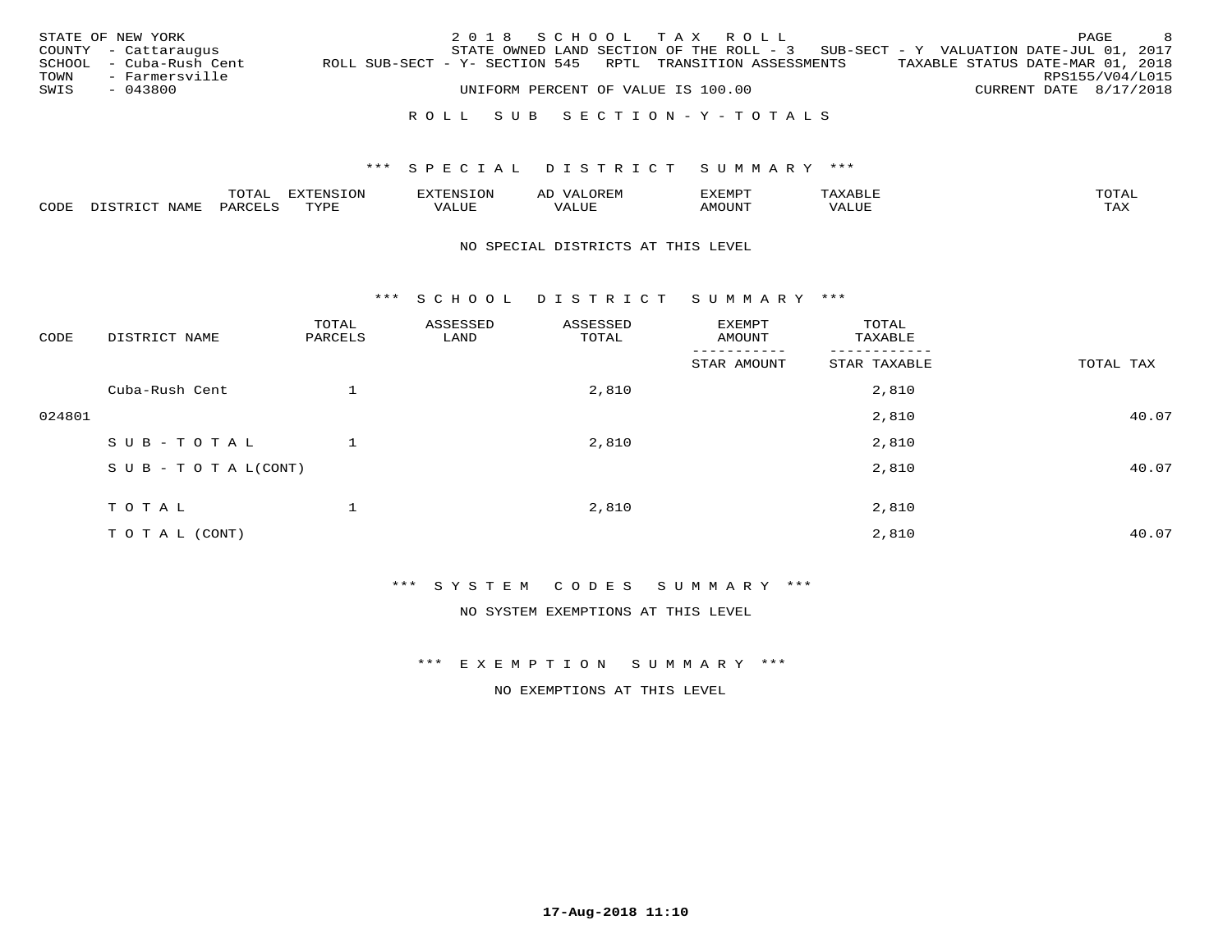|      | STATE OF NEW YORK       |                                                            |  |  |                                    | 2018 SCHOOL TAX ROLL      |                                                                                     |                                  |                        | PAGE            | - 8 |
|------|-------------------------|------------------------------------------------------------|--|--|------------------------------------|---------------------------|-------------------------------------------------------------------------------------|----------------------------------|------------------------|-----------------|-----|
|      | COUNTY - Cattaraugus    |                                                            |  |  |                                    |                           | STATE OWNED LAND SECTION OF THE ROLL - $3$ SUB-SECT - Y VALUATION DATE-JUL 01, 2017 |                                  |                        |                 |     |
|      | SCHOOL - Cuba-Rush Cent | ROLL SUB-SECT - Y- SECTION 545 RPTL TRANSITION ASSESSMENTS |  |  |                                    |                           |                                                                                     | TAXABLE STATUS DATE-MAR 01, 2018 |                        |                 |     |
|      | TOWN - Farmersville     |                                                            |  |  |                                    |                           |                                                                                     |                                  |                        | RPS155/V04/L015 |     |
| SWIS | - 043800                |                                                            |  |  | UNIFORM PERCENT OF VALUE IS 100.00 |                           |                                                                                     |                                  | CURRENT DATE 8/17/2018 |                 |     |
|      |                         |                                                            |  |  |                                    |                           |                                                                                     |                                  |                        |                 |     |
|      |                         |                                                            |  |  |                                    | ROLL SUB SECTION-Y-TOTALS |                                                                                     |                                  |                        |                 |     |

|      | $m \cap m \geq 1$<br>⊥Al∴ |      | H'NI'<br>.UI | " OREF.<br>$\sqrt{2}$<br>АL |      |         | $T0$ $T0$ $T1$    |
|------|---------------------------|------|--------------|-----------------------------|------|---------|-------------------|
| CODE |                           | TVD. | ALUE         |                             | טו ב | $V_{A}$ | <b>TAY</b><br>ᇅᄯᅐ |

#### NO SPECIAL DISTRICTS AT THIS LEVEL

\*\*\* S C H O O L D I S T R I C T S U M M A R Y \*\*\*

| CODE   | DISTRICT NAME                    | TOTAL<br>PARCELS | ASSESSED<br>LAND | ASSESSED<br>TOTAL | EXEMPT<br>AMOUNT | TOTAL<br>TAXABLE |           |
|--------|----------------------------------|------------------|------------------|-------------------|------------------|------------------|-----------|
|        |                                  |                  |                  |                   | STAR AMOUNT      | STAR TAXABLE     | TOTAL TAX |
|        | Cuba-Rush Cent                   |                  |                  | 2,810             |                  | 2,810            |           |
| 024801 |                                  |                  |                  |                   |                  | 2,810            | 40.07     |
|        | SUB-TOTAL                        |                  |                  | 2,810             |                  | 2,810            |           |
|        | $S \cup B - T \cup T A L (CONT)$ |                  |                  |                   |                  | 2,810            | 40.07     |
|        | TOTAL                            |                  |                  | 2,810             |                  | 2,810            |           |
|        |                                  |                  |                  |                   |                  |                  |           |
|        | T O T A L (CONT)                 |                  |                  |                   |                  | 2,810            | 40.07     |

\*\*\* S Y S T E M C O D E S S U M M A R Y \*\*\*

NO SYSTEM EXEMPTIONS AT THIS LEVEL

\*\*\* E X E M P T I O N S U M M A R Y \*\*\*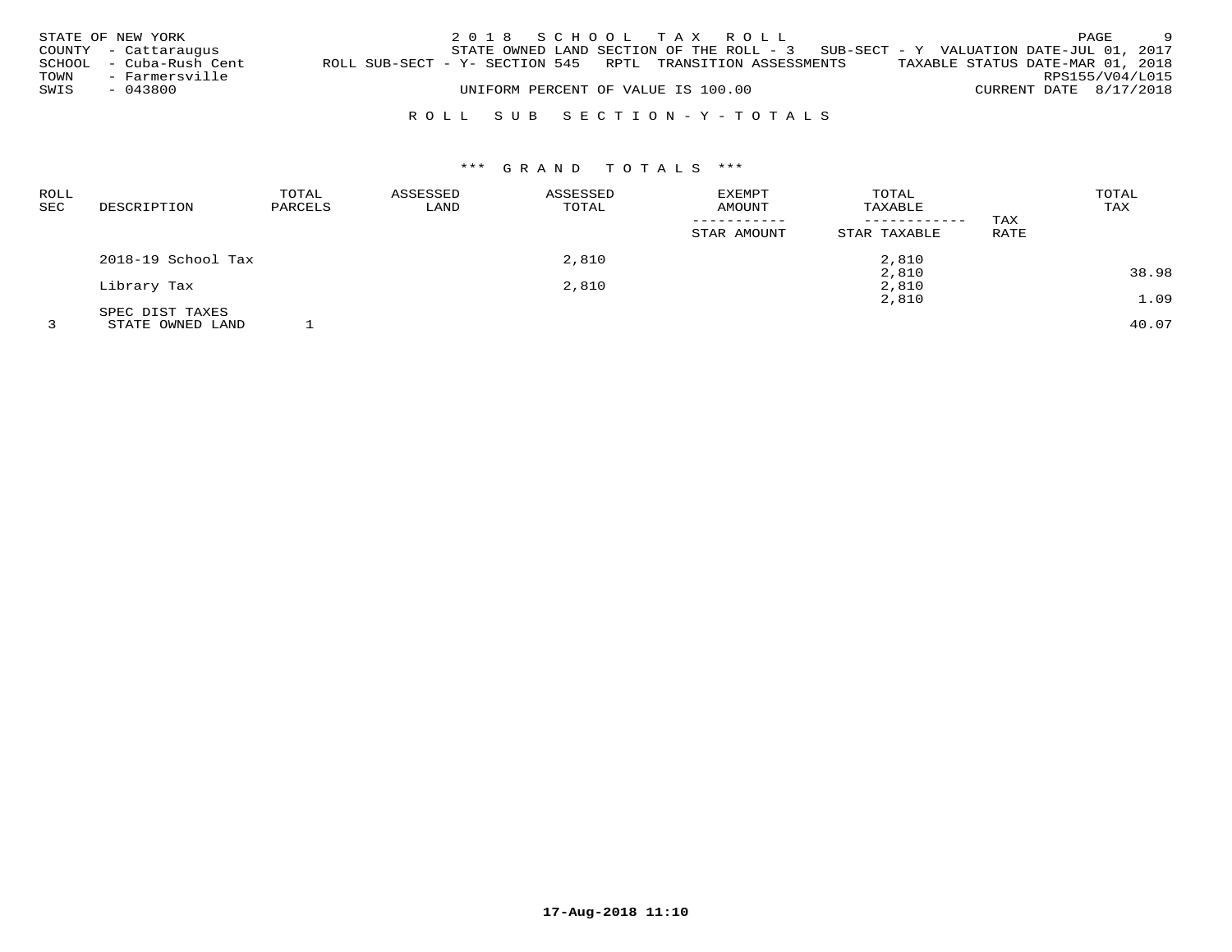|      | STATE OF NEW YORK       |                                                            | 2018 SCHOOL TAX ROLL               |  |                                                                                     |  |                                  | PAGE | $\overline{9}$ |
|------|-------------------------|------------------------------------------------------------|------------------------------------|--|-------------------------------------------------------------------------------------|--|----------------------------------|------|----------------|
|      | COUNTY - Cattaraugus    |                                                            |                                    |  | STATE OWNED LAND SECTION OF THE ROLL - $3$ SUB-SECT - Y VALUATION DATE-JUL 01, 2017 |  |                                  |      |                |
|      | SCHOOL - Cuba-Rush Cent | ROLL SUB-SECT - Y- SECTION 545 RPTL TRANSITION ASSESSMENTS |                                    |  |                                                                                     |  | TAXABLE STATUS DATE-MAR 01, 2018 |      |                |
| TOWN | - Farmersville          |                                                            |                                    |  |                                                                                     |  | RPS155/V04/L015                  |      |                |
| SWIS | - 043800                |                                                            | UNIFORM PERCENT OF VALUE IS 100.00 |  |                                                                                     |  | CURRENT DATE 8/17/2018           |      |                |
|      |                         |                                                            |                                    |  |                                                                                     |  |                                  |      |                |

# R O L L S U B S E C T I O N - Y - T O T A L S

| <b>ROLL</b><br><b>SEC</b> | DESCRIPTION        | TOTAL<br>PARCELS | ASSESSED<br>LAND | ASSESSED<br>TOTAL | EXEMPT<br>AMOUNT | TOTAL<br>TAXABLE<br>------------ | TAX         | TOTAL<br>TAX |
|---------------------------|--------------------|------------------|------------------|-------------------|------------------|----------------------------------|-------------|--------------|
|                           |                    |                  |                  |                   | STAR AMOUNT      | STAR TAXABLE                     | <b>RATE</b> |              |
|                           | 2018-19 School Tax |                  |                  | 2,810             |                  | 2,810                            |             |              |
|                           |                    |                  |                  |                   |                  | 2,810                            |             | 38.98        |
|                           | Library Tax        |                  |                  | 2,810             |                  | 2,810                            |             |              |
|                           |                    |                  |                  |                   |                  | 2,810                            |             | 1.09         |
|                           | SPEC DIST TAXES    |                  |                  |                   |                  |                                  |             |              |
|                           | STATE OWNED LAND   |                  |                  |                   |                  |                                  |             | 40.07        |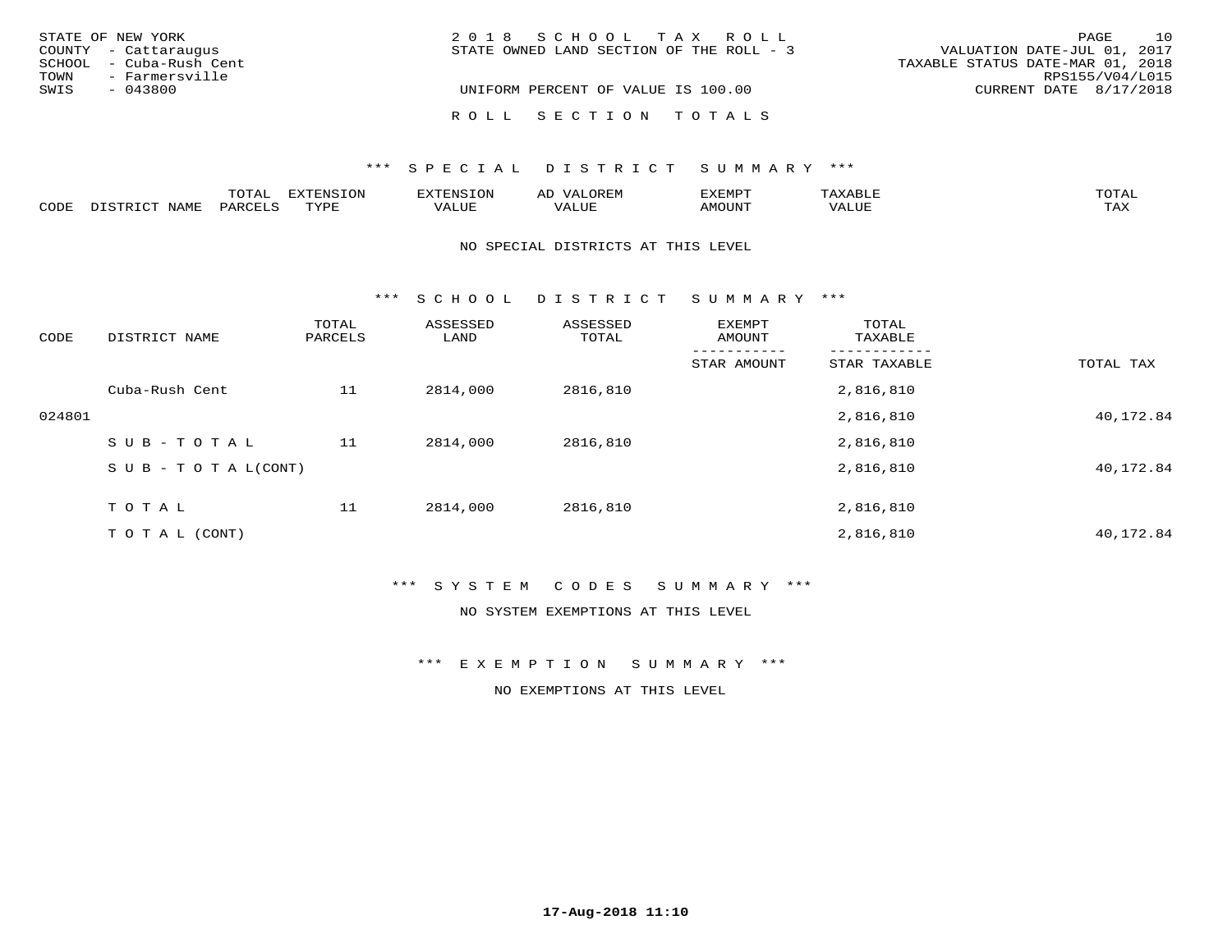| STATE OF NEW YORK       | 2018 SCHOOL TAX ROLL                     | 10<br>PAGE                       |
|-------------------------|------------------------------------------|----------------------------------|
| COUNTY - Cattaraugus    | STATE OWNED LAND SECTION OF THE ROLL - 3 | VALUATION DATE-JUL 01, 2017      |
| SCHOOL - Cuba-Rush Cent |                                          | TAXABLE STATUS DATE-MAR 01, 2018 |
| TOWN<br>- Farmersville  |                                          | RPS155/V04/L015                  |
| SWIS<br>$-043800$       | UNIFORM PERCENT OF VALUE IS 100.00       | CURRENT DATE 8/17/2018           |
|                         |                                          |                                  |
|                         | ROLL SECTION TOTALS                      |                                  |

|      |              | $m \wedge m \wedge n$<br>UIAL |                  |       | ΑL  | EXEMPT |                         | ™∩ጥ⊼⊺               |
|------|--------------|-------------------------------|------------------|-------|-----|--------|-------------------------|---------------------|
| CODE | . . <i>.</i> |                               | <b>TVDL</b><br>. | VALUE | LUF | ™UNU^  | $T$ , $T$ , $T$<br>ALUE | $m \times r$<br>⊥⇔∆ |

#### NO SPECIAL DISTRICTS AT THIS LEVEL

\*\*\* S C H O O L D I S T R I C T S U M M A R Y \*\*\*

| CODE   | DISTRICT NAME                    | TOTAL<br>PARCELS | ASSESSED<br>LAND | ASSESSED<br>TOTAL | EXEMPT<br>AMOUNT | TOTAL<br>TAXABLE |           |
|--------|----------------------------------|------------------|------------------|-------------------|------------------|------------------|-----------|
|        |                                  |                  |                  |                   | STAR AMOUNT      | STAR TAXABLE     | TOTAL TAX |
|        | Cuba-Rush Cent                   | 11               | 2814,000         | 2816,810          |                  | 2,816,810        |           |
| 024801 |                                  |                  |                  |                   |                  | 2,816,810        | 40,172.84 |
|        | SUB-TOTAL                        | 11               | 2814,000         | 2816,810          |                  | 2,816,810        |           |
|        | $S \cup B - T \cup T A L (CONT)$ |                  |                  |                   |                  | 2,816,810        | 40,172.84 |
|        | T O T A L                        | 11               | 2814,000         | 2816,810          |                  | 2,816,810        |           |
|        | T O T A L (CONT)                 |                  |                  |                   |                  | 2,816,810        | 40,172.84 |

## \*\*\* S Y S T E M C O D E S S U M M A R Y \*\*\*

## NO SYSTEM EXEMPTIONS AT THIS LEVEL

\*\*\* E X E M P T I O N S U M M A R Y \*\*\*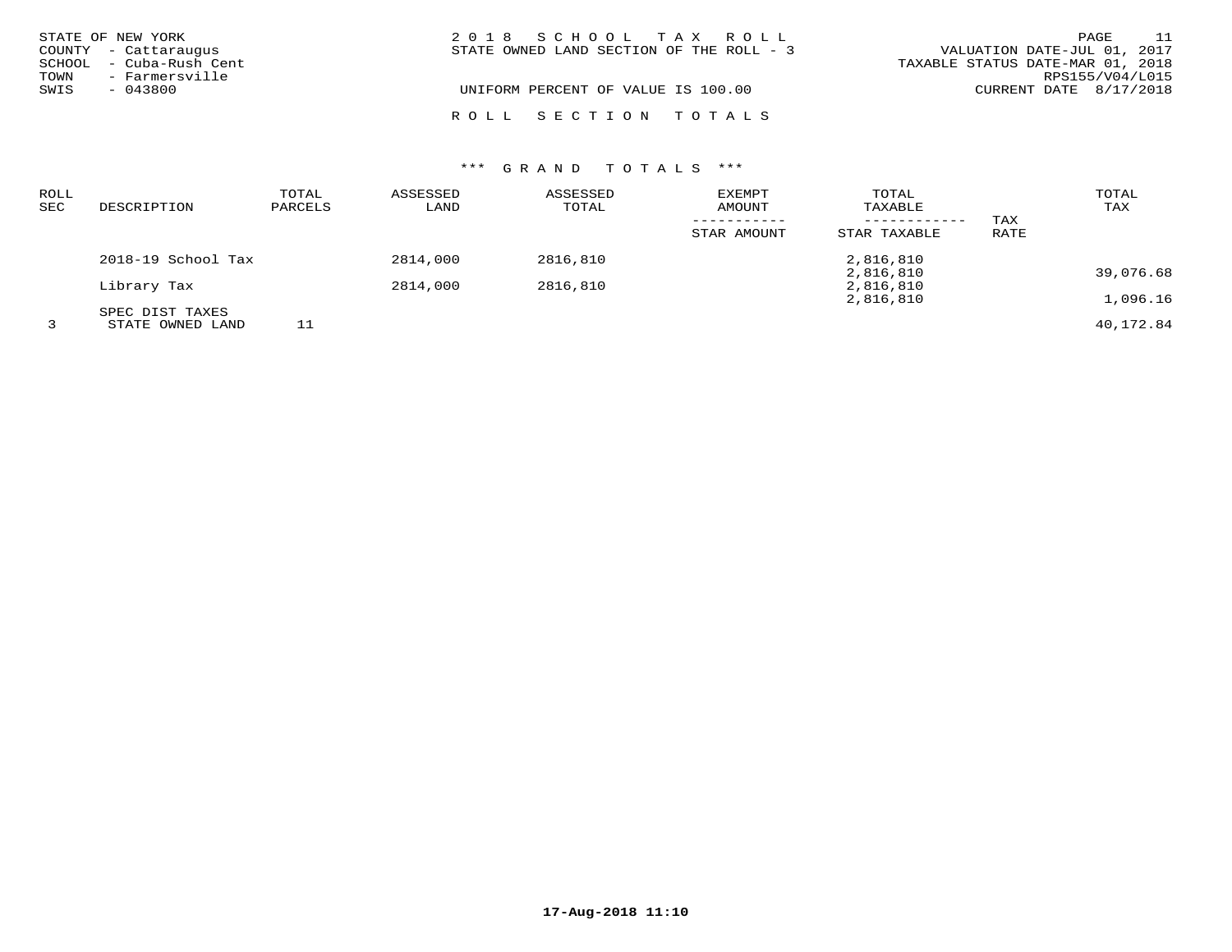|      | STATE OF NEW YORK<br>COUNTY - Cattaraugus | 2018 SCHOOL TAX ROLL<br>STATE OWNED LAND SECTION OF THE ROLL - 3 | VALUATION DATE-JUL 01, 2017      | - 11<br>PAGE    |
|------|-------------------------------------------|------------------------------------------------------------------|----------------------------------|-----------------|
| TOWN | SCHOOL - Cuba-Rush Cent<br>- Farmersville |                                                                  | TAXABLE STATUS DATE-MAR 01, 2018 | RPS155/V04/L015 |
| SWIS | $-043800$                                 | UNIFORM PERCENT OF VALUE IS 100.00                               | CURRENT DATE 8/17/2018           |                 |
|      |                                           | ROLL SECTION TOTALS                                              |                                  |                 |

| ROLL<br><b>SEC</b> | DESCRIPTION        | TOTAL<br>PARCELS | ASSESSED<br>LAND | ASSESSED<br>TOTAL | EXEMPT<br>AMOUNT | TOTAL<br>TAXABLE<br>------------ | TAX  | TOTAL<br>TAX |
|--------------------|--------------------|------------------|------------------|-------------------|------------------|----------------------------------|------|--------------|
|                    |                    |                  |                  |                   | STAR AMOUNT      | STAR TAXABLE                     | RATE |              |
|                    | 2018-19 School Tax |                  | 2814,000         | 2816,810          |                  | 2,816,810                        |      |              |
|                    |                    |                  |                  |                   |                  | 2,816,810                        |      | 39,076.68    |
|                    | Library Tax        |                  | 2814,000         | 2816,810          |                  | 2,816,810                        |      |              |
|                    |                    |                  |                  |                   |                  | 2,816,810                        |      | 1,096.16     |
|                    | SPEC DIST TAXES    |                  |                  |                   |                  |                                  |      |              |
|                    | STATE OWNED LAND   |                  |                  |                   |                  |                                  |      | 40,172.84    |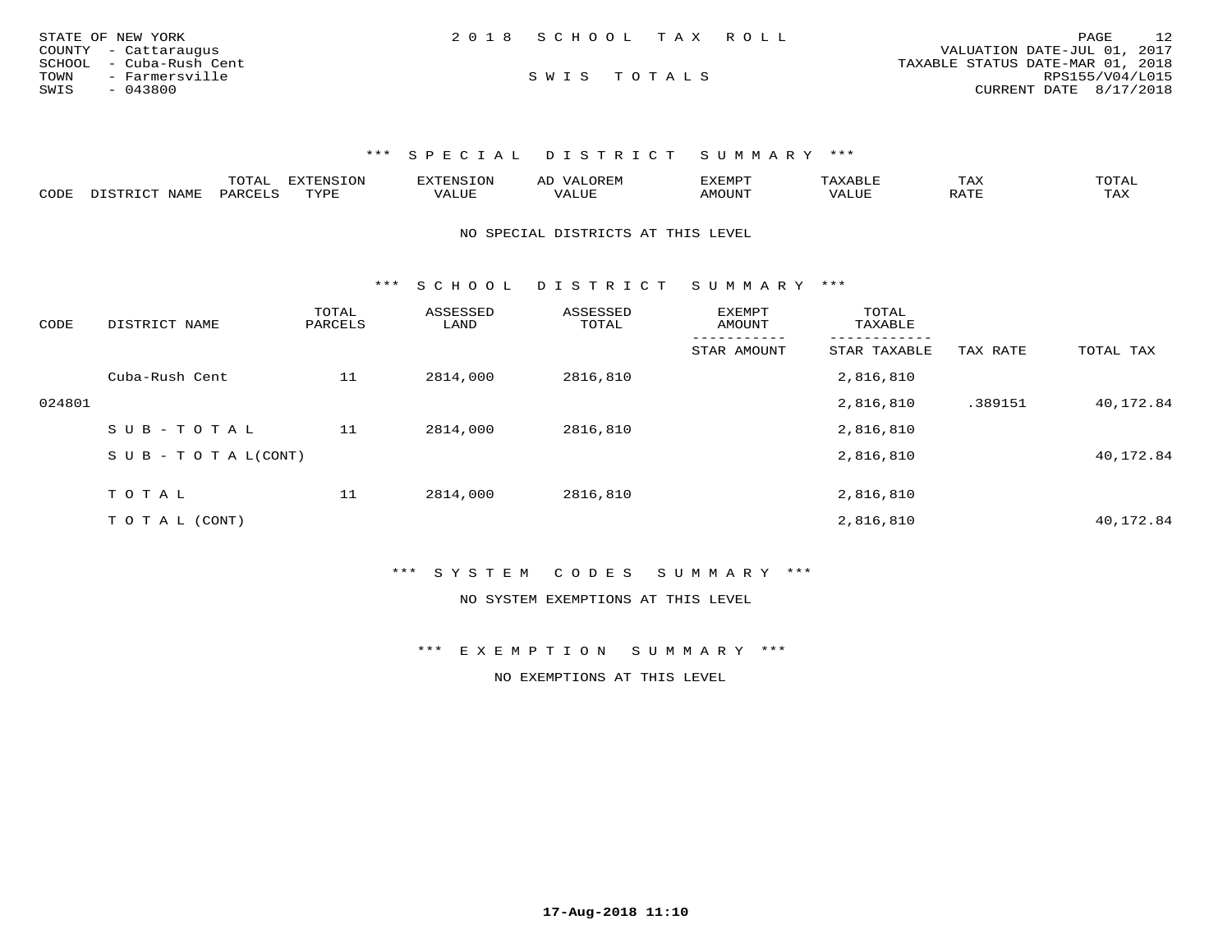| STATE OF NEW YORK       | 2018 SCHOOL TAX ROLL | 12<br>PAGE                       |
|-------------------------|----------------------|----------------------------------|
| COUNTY - Cattaraugus    |                      | VALUATION DATE-JUL 01, 2017      |
| SCHOOL - Cuba-Rush Cent |                      | TAXABLE STATUS DATE-MAR 01, 2018 |
| TOWN<br>- Farmersville  | SWIS TOTALS          | RPS155/V04/L015                  |
| SWIS<br>$-043800$       |                      | CURRENT DATE 8/17/2018           |

|      |       | m^m7<br>.UIAL | GNTC  | טאים י             | AL |      | $m \times r$<br>1 AZ | ⊓∧m ⊼ ⊤<br>$\cdot$ $\Delta$ |
|------|-------|---------------|-------|--------------------|----|------|----------------------|-----------------------------|
| CODE | 'VAME | <b>DAP</b>    | JVDD. | --- - ---<br>VALUL |    | אזחר |                      | may<br>1 A.A                |

NO SPECIAL DISTRICTS AT THIS LEVEL

\*\*\* S C H O O L D I S T R I C T S U M M A R Y \*\*\*

| CODE   | DISTRICT NAME              | TOTAL<br>PARCELS | ASSESSED<br>LAND | ASSESSED<br>TOTAL | <b>EXEMPT</b><br>AMOUNT | TOTAL<br>TAXABLE |          |           |
|--------|----------------------------|------------------|------------------|-------------------|-------------------------|------------------|----------|-----------|
|        |                            |                  |                  |                   | STAR AMOUNT             | STAR TAXABLE     | TAX RATE | TOTAL TAX |
|        | Cuba-Rush Cent             | 11               | 2814,000         | 2816,810          |                         | 2,816,810        |          |           |
| 024801 |                            |                  |                  |                   |                         | 2,816,810        | .389151  | 40,172.84 |
|        | SUB-TOTAL                  | 11               | 2814,000         | 2816,810          |                         | 2,816,810        |          |           |
|        | S U B - T O T A $L$ (CONT) |                  |                  |                   |                         | 2,816,810        |          | 40,172.84 |
|        |                            |                  |                  |                   |                         |                  |          |           |
|        | TOTAL                      | 11               | 2814,000         | 2816,810          |                         | 2,816,810        |          |           |
|        | T O T A L (CONT)           |                  |                  |                   |                         | 2,816,810        |          | 40,172.84 |

\*\*\* S Y S T E M C O D E S S U M M A R Y \*\*\*

NO SYSTEM EXEMPTIONS AT THIS LEVEL

\*\*\* E X E M P T I O N S U M M A R Y \*\*\*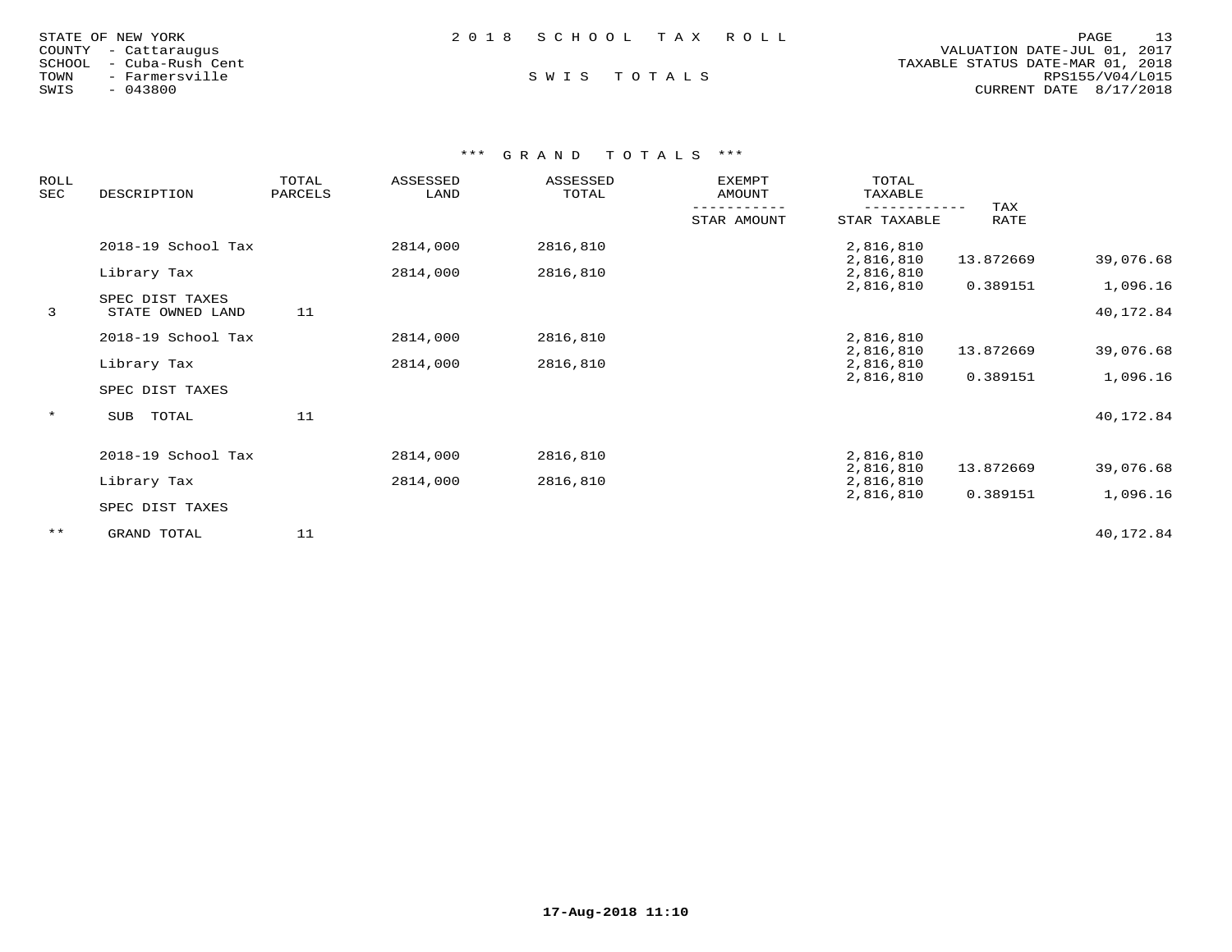| 2018 SCHOOL TAX ROLL<br>STATE OF NEW YORK | 13<br>PAGE                       |
|-------------------------------------------|----------------------------------|
| COUNTY - Cattaraugus                      | VALUATION DATE-JUL 01, 2017      |
| SCHOOL - Cuba-Rush Cent                   | TAXABLE STATUS DATE-MAR 01, 2018 |
| SWIS TOTALS<br>TOWN<br>- Farmersville     | RPS155/V04/L015                  |
| SWIS<br>$-043800$                         | CURRENT DATE 8/17/2018           |

| <b>ROLL</b><br>SEC | DESCRIPTION                         | TOTAL<br>PARCELS | ASSESSED<br>LAND | ASSESSED<br>TOTAL | <b>EXEMPT</b><br>AMOUNT | TOTAL<br>TAXABLE       |             |                       |
|--------------------|-------------------------------------|------------------|------------------|-------------------|-------------------------|------------------------|-------------|-----------------------|
|                    |                                     |                  |                  |                   | STAR AMOUNT             | STAR TAXABLE           | TAX<br>RATE |                       |
|                    | 2018-19 School Tax                  |                  | 2814,000         | 2816,810          |                         | 2,816,810<br>2,816,810 | 13.872669   | 39,076.68             |
|                    | Library Tax                         |                  | 2814,000         | 2816,810          |                         | 2,816,810              |             |                       |
| 3                  | SPEC DIST TAXES<br>STATE OWNED LAND | 11               |                  |                   |                         | 2,816,810              | 0.389151    | 1,096.16<br>40,172.84 |
|                    | 2018-19 School Tax                  |                  | 2814,000         | 2816,810          |                         | 2,816,810<br>2,816,810 | 13.872669   | 39,076.68             |
|                    | Library Tax                         |                  | 2814,000         | 2816,810          |                         | 2,816,810              |             |                       |
|                    | SPEC DIST TAXES                     |                  |                  |                   |                         | 2,816,810              | 0.389151    | 1,096.16              |
| $\star$            | SUB<br>TOTAL                        | 11               |                  |                   |                         |                        |             | 40,172.84             |
|                    | 2018-19 School Tax                  |                  | 2814,000         | 2816,810          |                         | 2,816,810              |             |                       |
|                    | Library Tax                         |                  | 2814,000         | 2816,810          |                         | 2,816,810<br>2,816,810 | 13.872669   | 39,076.68             |
|                    | SPEC DIST TAXES                     |                  |                  |                   |                         | 2,816,810              | 0.389151    | 1,096.16              |
| $***$              | GRAND TOTAL                         | 11               |                  |                   |                         |                        |             | 40,172.84             |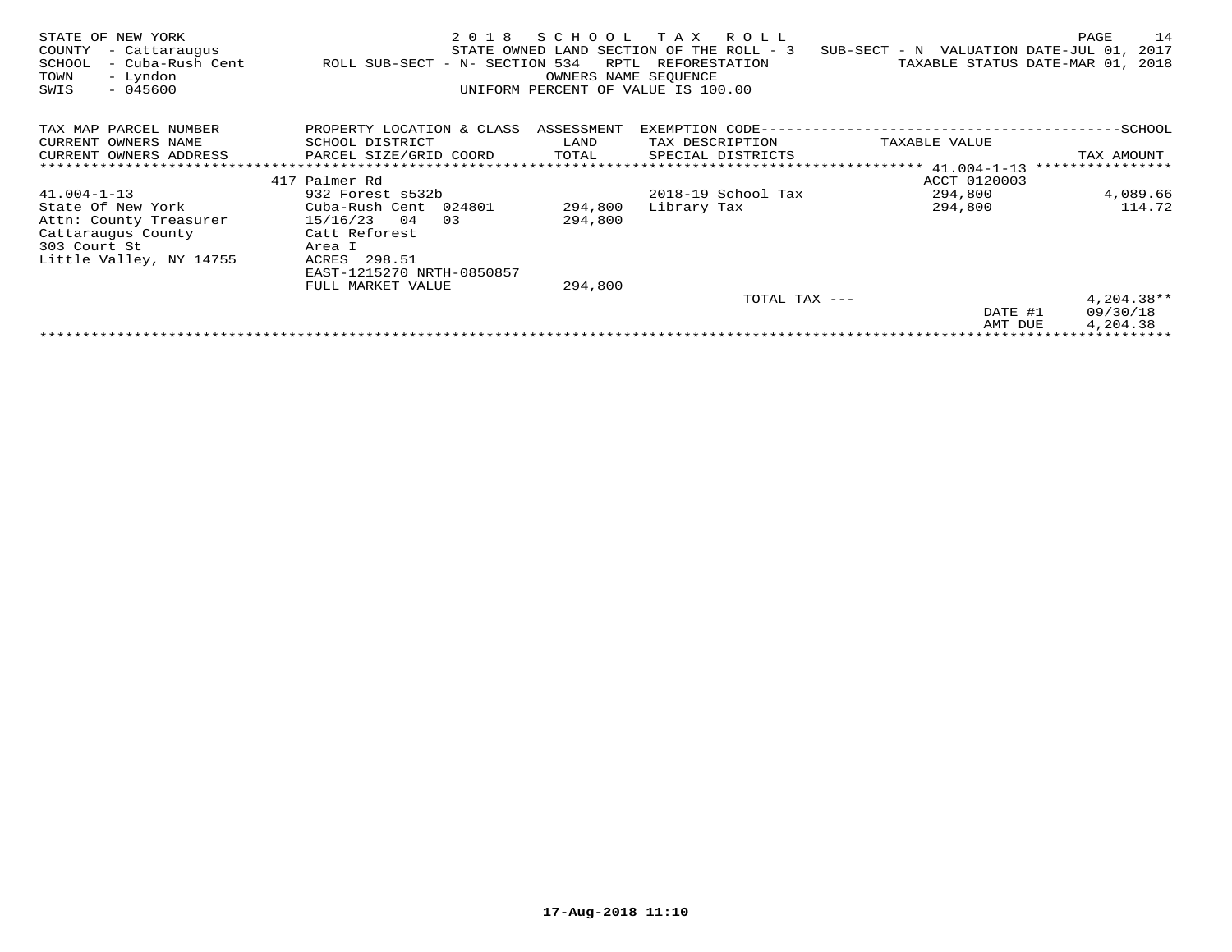| STATE OF NEW YORK<br>COUNTY<br>- Cattaraugus<br>SCHOOL<br>- Cuba-Rush Cent<br>- Lyndon<br>TOWN<br>SWIS<br>$-045600$ | 2 0 1 8<br>ROLL SUB-SECT - N- SECTION 534 | SCHOOL<br>RPTL<br>OWNERS NAME SEOUENCE | T A X<br>R O L L<br>STATE OWNED LAND SECTION OF THE ROLL - 3<br>REFORESTATION<br>UNIFORM PERCENT OF VALUE IS 100.00 | SUB-SECT - N VALUATION DATE-JUL 01,<br>TAXABLE STATUS DATE-MAR 01, | PAGE<br>14<br>2017<br>2018 |
|---------------------------------------------------------------------------------------------------------------------|-------------------------------------------|----------------------------------------|---------------------------------------------------------------------------------------------------------------------|--------------------------------------------------------------------|----------------------------|
| TAX MAP PARCEL NUMBER                                                                                               | PROPERTY LOCATION & CLASS                 | ASSESSMENT                             |                                                                                                                     |                                                                    |                            |
| CURRENT OWNERS NAME                                                                                                 | SCHOOL DISTRICT                           | LAND                                   | TAX DESCRIPTION                                                                                                     | TAXABLE VALUE                                                      |                            |
| CURRENT OWNERS ADDRESS                                                                                              | PARCEL SIZE/GRID COORD                    | TOTAL                                  | SPECIAL DISTRICTS                                                                                                   |                                                                    | TAX AMOUNT                 |
|                                                                                                                     |                                           |                                        |                                                                                                                     |                                                                    | ****************           |
|                                                                                                                     | 417 Palmer Rd                             |                                        |                                                                                                                     | ACCT 0120003                                                       |                            |
| $41.004 - 1 - 13$                                                                                                   | 932 Forest s532b                          |                                        | 2018-19 School Tax                                                                                                  | 294,800                                                            | 4,089.66                   |
| State Of New York                                                                                                   | Cuba-Rush Cent 024801                     | 294,800                                | Library Tax                                                                                                         | 294,800                                                            | 114.72                     |
| Attn: County Treasurer                                                                                              | 15/16/23<br>04<br>03                      | 294,800                                |                                                                                                                     |                                                                    |                            |
| Cattaraugus County                                                                                                  | Catt Reforest                             |                                        |                                                                                                                     |                                                                    |                            |
| 303 Court St                                                                                                        | Area I                                    |                                        |                                                                                                                     |                                                                    |                            |
| Little Valley, NY 14755                                                                                             | ACRES 298.51                              |                                        |                                                                                                                     |                                                                    |                            |
|                                                                                                                     | EAST-1215270 NRTH-0850857                 |                                        |                                                                                                                     |                                                                    |                            |
|                                                                                                                     | FULL MARKET VALUE                         | 294,800                                |                                                                                                                     |                                                                    |                            |
|                                                                                                                     |                                           |                                        | TOTAL TAX ---                                                                                                       |                                                                    | $4,204.38**$               |
|                                                                                                                     |                                           |                                        |                                                                                                                     | DATE #1                                                            | 09/30/18                   |
|                                                                                                                     |                                           |                                        |                                                                                                                     | AMT DUE                                                            | 4,204.38                   |
|                                                                                                                     |                                           |                                        |                                                                                                                     |                                                                    |                            |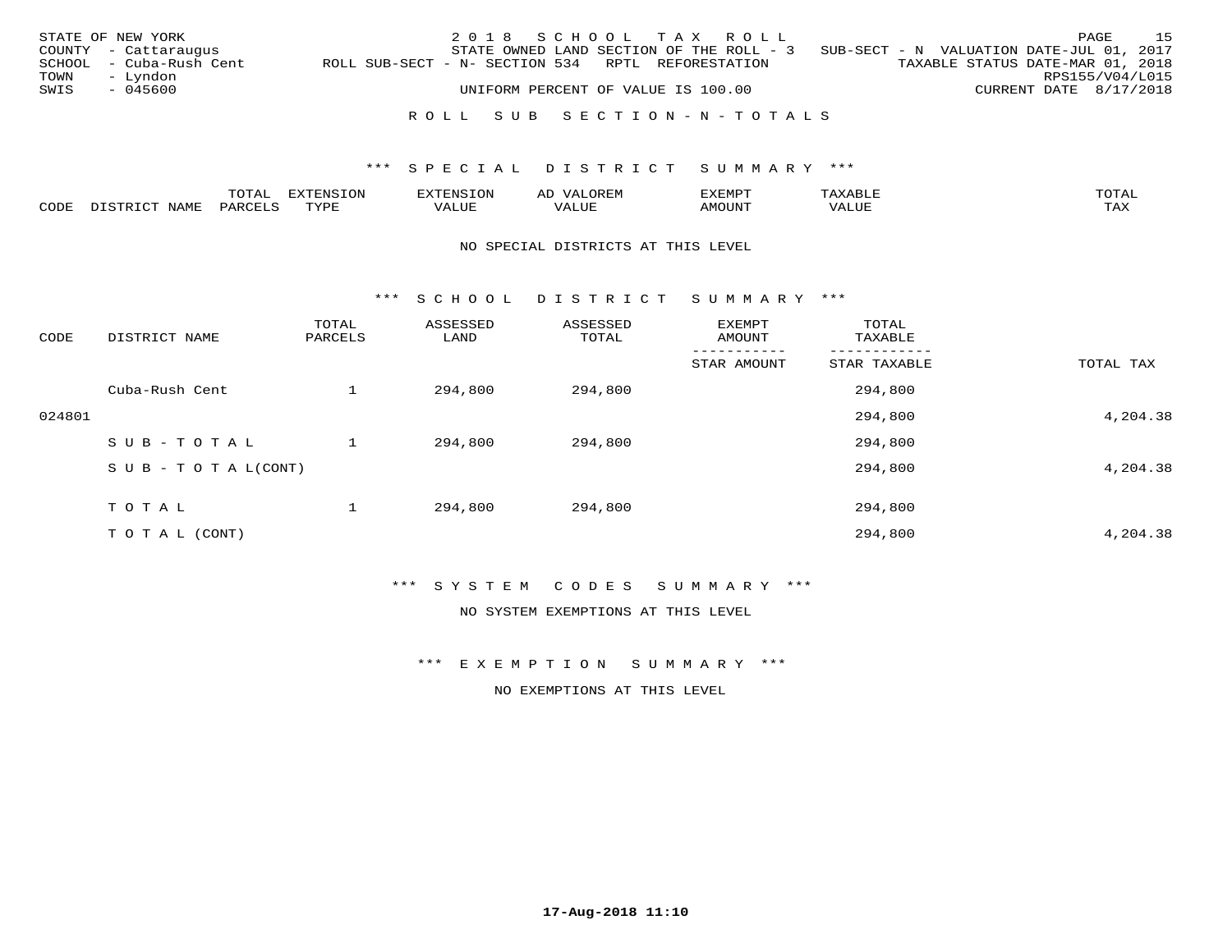|      | STATE OF NEW YORK       |                                                   | 2018 SCHOOL TAX ROLL               |  |                                                                                   |  |                                  | PAGE            | 1.5 |
|------|-------------------------|---------------------------------------------------|------------------------------------|--|-----------------------------------------------------------------------------------|--|----------------------------------|-----------------|-----|
|      | COUNTY - Cattaraugus    |                                                   |                                    |  | STATE OWNED LAND SECTION OF THE ROLL - 3 SUB-SECT - N VALUATION DATE-JUL 01, 2017 |  |                                  |                 |     |
|      | SCHOOL - Cuba-Rush Cent | ROLL SUB-SECT - N- SECTION 534 RPTL REFORESTATION |                                    |  |                                                                                   |  | TAXABLE STATUS DATE-MAR 01, 2018 |                 |     |
| TOWN | – Lyndon                |                                                   |                                    |  |                                                                                   |  |                                  | RPS155/V04/L015 |     |
| SWIS | - 045600                |                                                   | UNIFORM PERCENT OF VALUE IS 100.00 |  |                                                                                   |  | CURRENT DATE 8/17/2018           |                 |     |
|      |                         |                                                   |                                    |  |                                                                                   |  |                                  |                 |     |
|      |                         |                                                   |                                    |  | ROLL SUB SECTION-N-TOTALS                                                         |  |                                  |                 |     |

|      |             | $m \wedge n$          |             | AL  | "YEMPT | $m \wedge m \wedge n$ |
|------|-------------|-----------------------|-------------|-----|--------|-----------------------|
| CODE | ـ ب<br>---- | $U \wedge D \wedge T$ | ′ △<br>JU P | TTT | JN     | $m \times r$          |

#### NO SPECIAL DISTRICTS AT THIS LEVEL

\*\*\* S C H O O L D I S T R I C T S U M M A R Y \*\*\*

| CODE   | DISTRICT NAME                    | TOTAL<br>PARCELS | ASSESSED<br>LAND | ASSESSED<br>TOTAL | EXEMPT<br>AMOUNT | TOTAL<br>TAXABLE |           |
|--------|----------------------------------|------------------|------------------|-------------------|------------------|------------------|-----------|
|        |                                  |                  |                  |                   | STAR AMOUNT      | STAR TAXABLE     | TOTAL TAX |
|        | Cuba-Rush Cent                   |                  | 294,800          | 294,800           |                  | 294,800          |           |
| 024801 |                                  |                  |                  |                   |                  | 294,800          | 4,204.38  |
|        | SUB-TOTAL                        |                  | 294,800          | 294,800           |                  | 294,800          |           |
|        | $S \cup B - T \cup T A L (CONT)$ |                  |                  |                   |                  | 294,800          | 4,204.38  |
|        | T O T A L                        |                  | 294,800          | 294,800           |                  | 294,800          |           |
|        | TO TAL (CONT)                    |                  |                  |                   |                  | 294,800          | 4,204.38  |

\*\*\* S Y S T E M C O D E S S U M M A R Y \*\*\*

NO SYSTEM EXEMPTIONS AT THIS LEVEL

\*\*\* E X E M P T I O N S U M M A R Y \*\*\*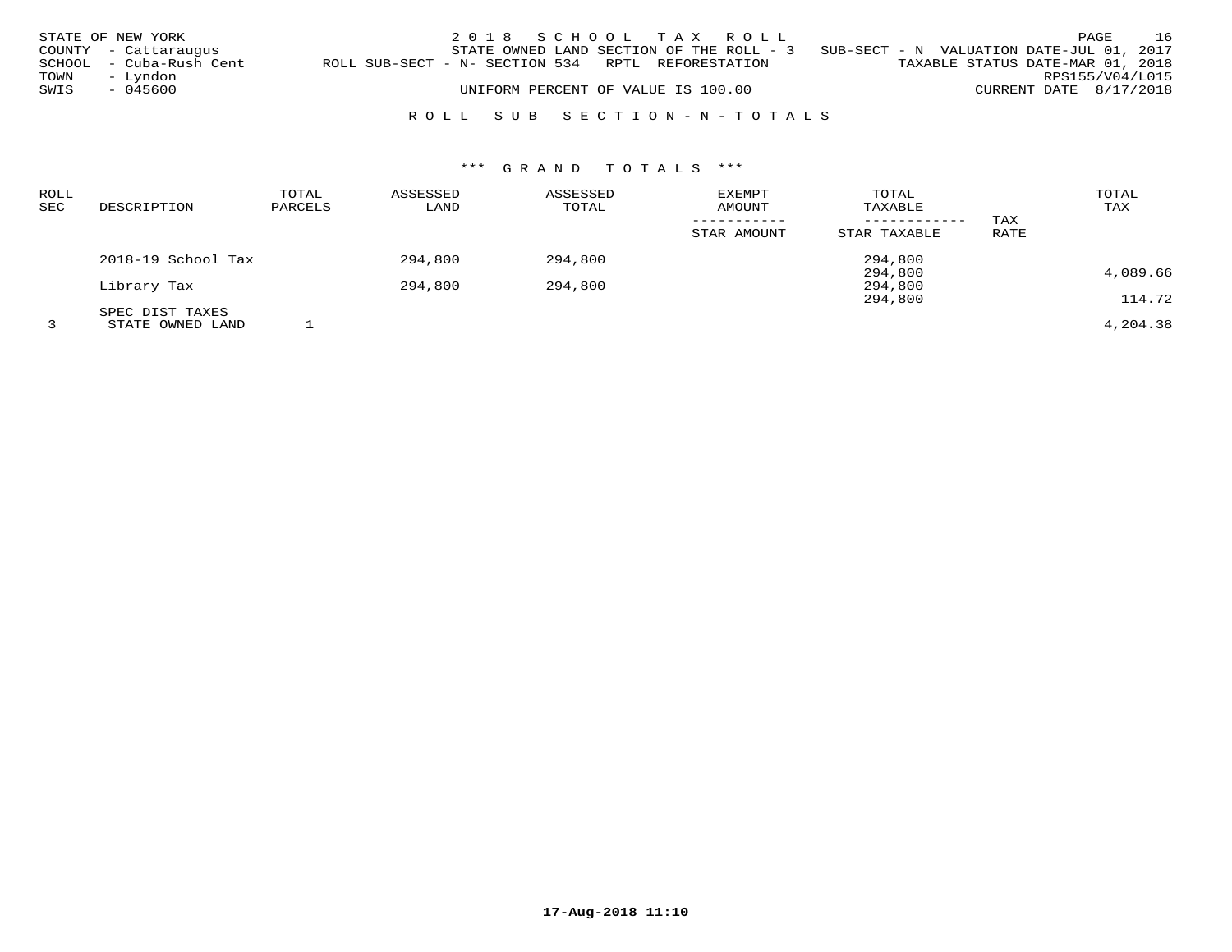|              | STATE OF NEW YORK<br>COUNTY - Cattaraugus<br>SCHOOL - Cuba-Rush Cent | ROLL SUB-SECT - N- SECTION 534 RPTL REFORESTATION | 2018 SCHOOL TAX ROLL<br>STATE OWNED LAND SECTION OF THE ROLL - $3$ SUB-SECT - N VALUATION DATE-JUL 01, 2017 |  |  |  | TAXABLE STATUS DATE-MAR 01, 2018 | PAGE                                      | 16 |
|--------------|----------------------------------------------------------------------|---------------------------------------------------|-------------------------------------------------------------------------------------------------------------|--|--|--|----------------------------------|-------------------------------------------|----|
| TOWN<br>SWIS | – Lyndon<br>- 045600                                                 |                                                   | UNIFORM PERCENT OF VALUE IS 100.00<br>ROLL SUB SECTION-N-TOTALS                                             |  |  |  |                                  | RPS155/V04/L015<br>CURRENT DATE 8/17/2018 |    |

| <b>ROLL</b><br>SEC | DESCRIPTION        | TOTAL<br>PARCELS | ASSESSED<br>LAND | ASSESSED<br>TOTAL | <b>EXEMPT</b><br><b>AMOUNT</b> | TOTAL<br>TAXABLE<br>------------ | TAX  | TOTAL<br>TAX |
|--------------------|--------------------|------------------|------------------|-------------------|--------------------------------|----------------------------------|------|--------------|
|                    |                    |                  |                  |                   | STAR AMOUNT                    | STAR TAXABLE                     | RATE |              |
|                    | 2018-19 School Tax |                  | 294,800          | 294,800           |                                | 294,800                          |      |              |
|                    | Library Tax        |                  | 294,800          | 294,800           |                                | 294,800<br>294,800               |      | 4,089.66     |
|                    | SPEC DIST TAXES    |                  |                  |                   |                                | 294,800                          |      | 114.72       |
|                    | STATE OWNED LAND   |                  |                  |                   |                                |                                  |      | 4,204.38     |

**17-Aug-2018 11:10**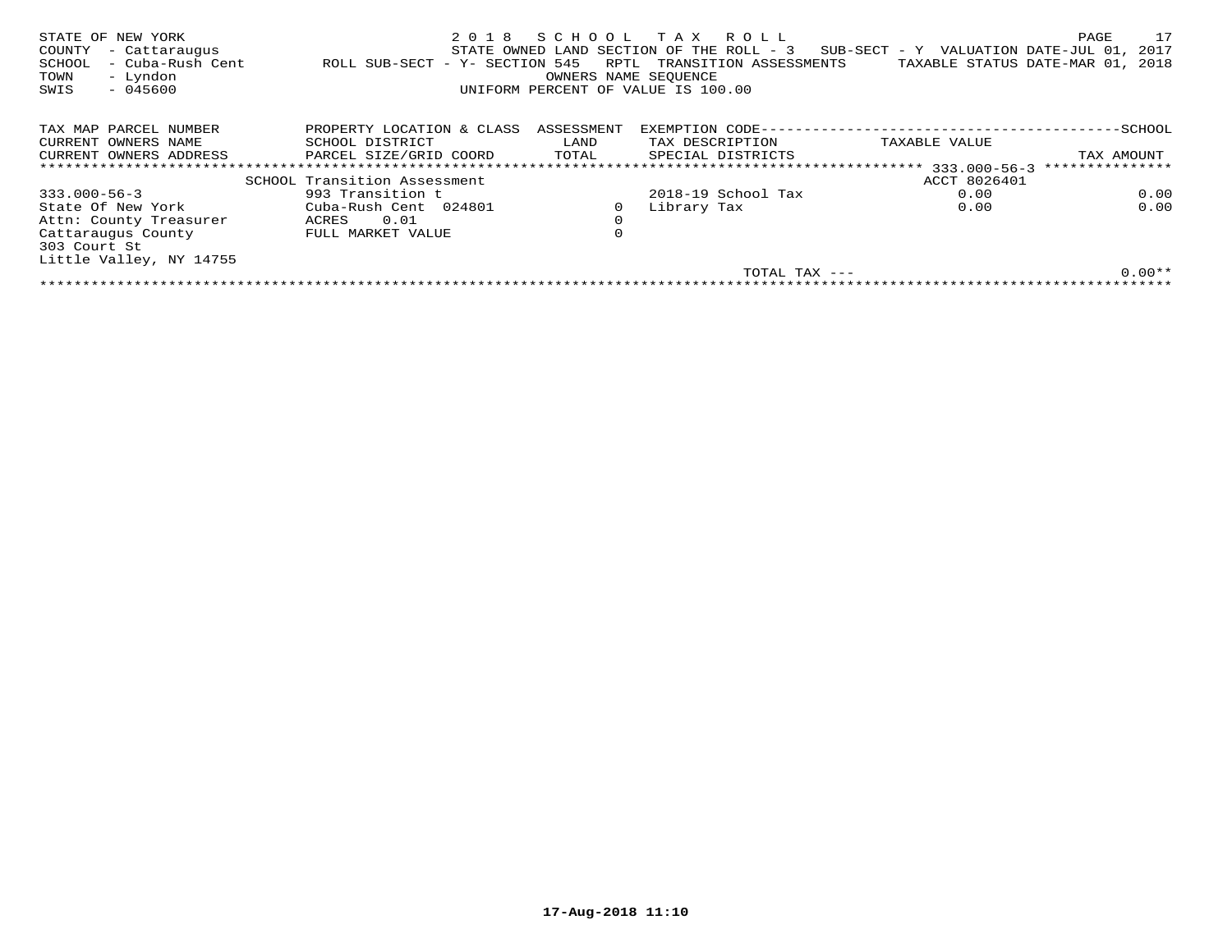| STATE OF NEW YORK<br>COUNTY<br>- Cattaraugus<br>- Cuba-Rush Cent<br>SCHOOL<br>- Lyndon<br>TOWN<br>$-045600$<br>SWIS | 2018<br>ROLL SUB-SECT - Y- SECTION 545 | SCHOOL<br>RPTL<br>OWNERS NAME SEQUENCE | T A X<br>R O L L<br>STATE OWNED LAND SECTION OF THE ROLL - 3<br>TRANSITION ASSESSMENTS<br>UNIFORM PERCENT OF VALUE IS 100.00 | SUB-SECT - Y VALUATION DATE-JUL 01,<br>TAXABLE STATUS DATE-MAR 01, | 17<br>PAGE<br>2017<br>2018 |
|---------------------------------------------------------------------------------------------------------------------|----------------------------------------|----------------------------------------|------------------------------------------------------------------------------------------------------------------------------|--------------------------------------------------------------------|----------------------------|
| TAX MAP PARCEL NUMBER                                                                                               | PROPERTY LOCATION & CLASS              | ASSESSMENT                             | EXEMPTION CODE--                                                                                                             |                                                                    | -SCHOOL                    |
| CURRENT OWNERS NAME                                                                                                 | SCHOOL DISTRICT                        | LAND                                   | TAX DESCRIPTION                                                                                                              | TAXABLE VALUE                                                      |                            |
| CURRENT OWNERS ADDRESS                                                                                              | PARCEL SIZE/GRID COORD                 | TOTAL                                  | SPECIAL DISTRICTS                                                                                                            |                                                                    | TAX AMOUNT                 |
|                                                                                                                     | *************************************  |                                        | ********************************                                                                                             | $333.000 - 56 - 3$                                                 | ***************            |
|                                                                                                                     | SCHOOL Transition Assessment           |                                        |                                                                                                                              | ACCT 8026401                                                       |                            |
| $333.000 - 56 - 3$                                                                                                  | 993 Transition t                       |                                        | $2018-19$ School Tax                                                                                                         | 0.00                                                               | 0.00                       |
| State Of New York                                                                                                   | Cuba-Rush Cent 024801                  | 0                                      | Library Tax                                                                                                                  | 0.00                                                               | 0.00                       |
| Attn: County Treasurer                                                                                              | 0.01<br>ACRES                          | $\mathbf 0$                            |                                                                                                                              |                                                                    |                            |
| Cattaraugus County<br>303 Court St                                                                                  | FULL MARKET VALUE                      | 0                                      |                                                                                                                              |                                                                    |                            |
| Little Valley, NY 14755                                                                                             |                                        |                                        |                                                                                                                              |                                                                    |                            |
|                                                                                                                     |                                        |                                        | TOTAL TAX ---                                                                                                                |                                                                    | $0.00**$                   |
|                                                                                                                     |                                        |                                        |                                                                                                                              |                                                                    |                            |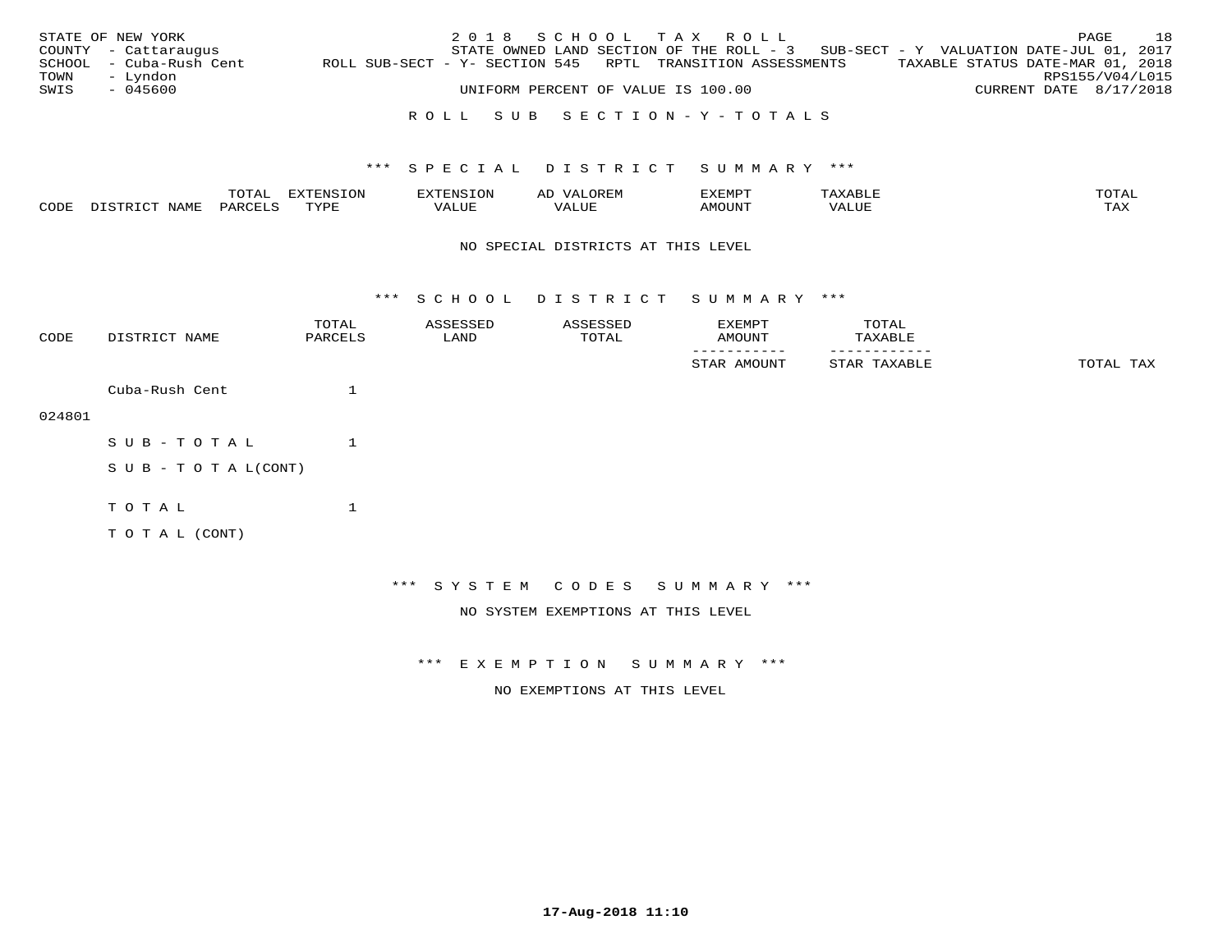|      | STATE OF NEW YORK       |                                                            | 2018 SCHOOL TAX ROLL                                                              |                                    |  |                                  |                        | PAGE | 18 |
|------|-------------------------|------------------------------------------------------------|-----------------------------------------------------------------------------------|------------------------------------|--|----------------------------------|------------------------|------|----|
|      | COUNTY - Cattaraugus    |                                                            | STATE OWNED LAND SECTION OF THE ROLL - 3 SUB-SECT - Y VALUATION DATE-JUL 01, 2017 |                                    |  |                                  |                        |      |    |
|      | SCHOOL - Cuba-Rush Cent | ROLL SUB-SECT - Y- SECTION 545 RPTL TRANSITION ASSESSMENTS |                                                                                   |                                    |  | TAXABLE STATUS DATE-MAR 01, 2018 |                        |      |    |
| TOWN | – Lyndon                |                                                            |                                                                                   |                                    |  |                                  | RPS155/V04/L015        |      |    |
| SWIS | - 045600                |                                                            |                                                                                   | UNIFORM PERCENT OF VALUE IS 100.00 |  |                                  | CURRENT DATE 8/17/2018 |      |    |
|      |                         |                                                            |                                                                                   |                                    |  |                                  |                        |      |    |

## R O L L S U B S E C T I O N - Y - T O T A L S

## \*\*\* S P E C I A L D I S T R I C T S U M M A R Y \*\*\*

|   |     | $m \wedge m \wedge n$ | <b>mirmmara</b> | -----------------<br>$\sim$ | ΑL  | EXEMPT |                             | TOTAT               |
|---|-----|-----------------------|-----------------|-----------------------------|-----|--------|-----------------------------|---------------------|
| C | AMI | <u>U A R</u>          | <b>TVDL</b>     |                             | LUF |        | , 7 7 T T T T<br>$\sqrt{2}$ | $m \times r$<br>ᇅᄯᅐ |

#### NO SPECIAL DISTRICTS AT THIS LEVEL

\*\*\* S C H O O L D I S T R I C T S U M M A R Y \*\*\*

| CODE   | DISTRICT NAME      | TOTAL<br>PARCELS | ASSESSED<br>LAND             | ASSESSED<br>TOTAL                  | EXEMPT<br>AMOUNT | TOTAL<br>TAXABLE |           |
|--------|--------------------|------------------|------------------------------|------------------------------------|------------------|------------------|-----------|
|        |                    |                  |                              |                                    | STAR AMOUNT      | STAR TAXABLE     | TOTAL TAX |
|        | Cuba-Rush Cent     |                  |                              |                                    |                  |                  |           |
| 024801 |                    |                  |                              |                                    |                  |                  |           |
|        | SUB-TOTAL          | $\mathbf{1}$     |                              |                                    |                  |                  |           |
|        | SUB - TO TAL(CONT) |                  |                              |                                    |                  |                  |           |
|        | TOTAL              | $\mathbf 1$      |                              |                                    |                  |                  |           |
|        | TO TAL (CONT)      |                  |                              |                                    |                  |                  |           |
|        |                    |                  |                              |                                    |                  |                  |           |
|        |                    |                  | *** SYSTEM CODES SUMMARY *** |                                    |                  |                  |           |
|        |                    |                  |                              | NO SYSTEM EXEMPTIONS AT THIS LEVEL |                  |                  |           |

\*\*\* E X E M P T I O N S U M M A R Y \*\*\*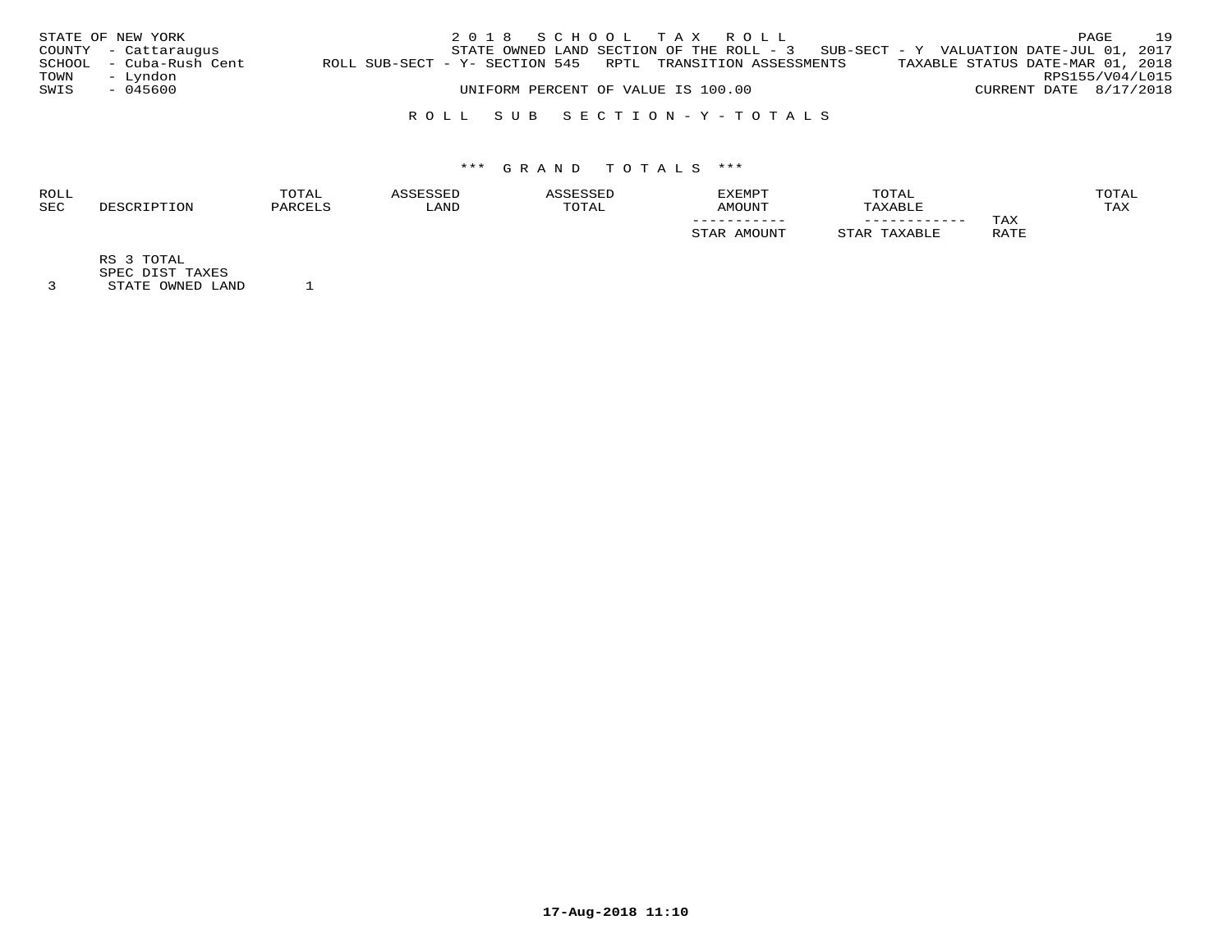|      | STATE OF NEW YORK       |                                                            |                                    |  | 2018 SCHOOL TAX ROLL |                                                                                     |                        | PAGE | 19 |
|------|-------------------------|------------------------------------------------------------|------------------------------------|--|----------------------|-------------------------------------------------------------------------------------|------------------------|------|----|
|      | COUNTY - Cattaraugus    |                                                            |                                    |  |                      | STATE OWNED LAND SECTION OF THE ROLL - $3$ SUB-SECT - Y VALUATION DATE-JUL 01, 2017 |                        |      |    |
|      | SCHOOL - Cuba-Rush Cent | ROLL SUB-SECT - Y- SECTION 545 RPTL TRANSITION ASSESSMENTS |                                    |  |                      | TAXABLE STATUS DATE-MAR 01, 2018                                                    |                        |      |    |
| TOWN | - Lyndon                |                                                            |                                    |  |                      |                                                                                     | RPS155/V04/L015        |      |    |
| SWIS | - 045600                |                                                            | UNIFORM PERCENT OF VALUE IS 100.00 |  |                      |                                                                                     | CURRENT DATE 8/17/2018 |      |    |
|      |                         |                                                            |                                    |  |                      |                                                                                     |                        |      |    |

## R O L L S U B S E C T I O N - Y - T O T A L S

# \*\*\* G R A N D T O T A L S \*\*\*

| <b>ROLI</b> | <b>"OTAL</b> |      |       | <b>EXEMPT</b> | TOTAL        |                 | OTAL       |
|-------------|--------------|------|-------|---------------|--------------|-----------------|------------|
| <b>SEC</b>  |              | `AND | TOTA. | LMOUNT        |              |                 | <b>TAX</b> |
|             |              |      |       | ___________   | ____________ | TAX             |            |
|             |              |      |       |               |              | R ∆ TR<br>----- |            |

RS 3 TOTAL

SPEC DIST TAXES 3 STATE OWNED LAND 1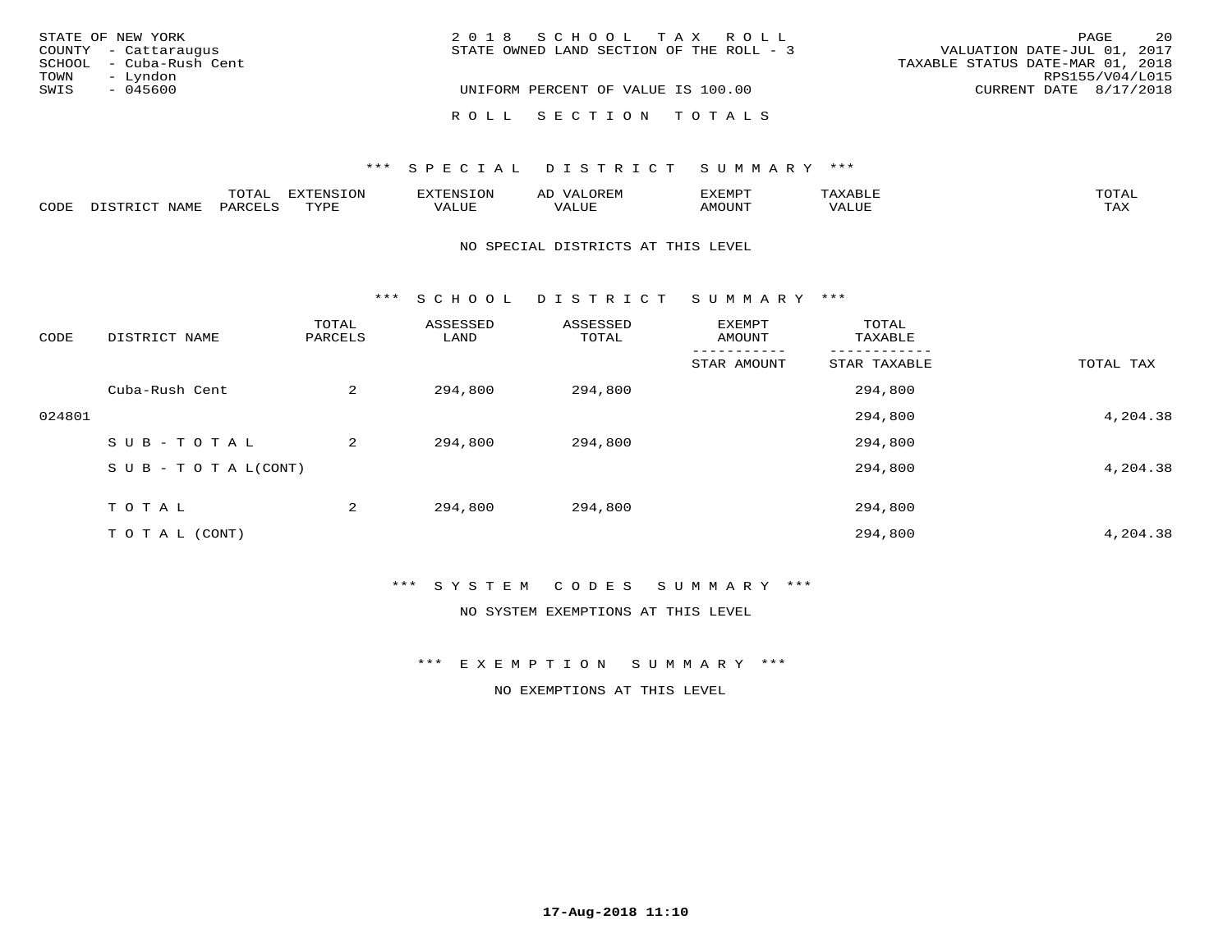| STATE OF NEW YORK       | 2018 SCHOOL TAX ROLL                     | 2.0<br>PAGE                      |
|-------------------------|------------------------------------------|----------------------------------|
| COUNTY - Cattaraugus    | STATE OWNED LAND SECTION OF THE ROLL - 3 | VALUATION DATE-JUL 01, 2017      |
| SCHOOL - Cuba-Rush Cent |                                          | TAXABLE STATUS DATE-MAR 01, 2018 |
| - Lyndon<br>TOWN        |                                          | RPS155/V04/L015                  |
| SWIS<br>- 045600        | UNIFORM PERCENT OF VALUE IS 100.00       | CURRENT DATE 8/17/2018           |
|                         | ROLL SECTION TOTALS                      |                                  |

## \*\*\* SPECIAL DISTRICT SUMMARY \*\*\*

|      |                      | m^m3   | --------           | OP | ΑL           | EXEMPT               |                                      | <b>TOTAT</b>        |
|------|----------------------|--------|--------------------|----|--------------|----------------------|--------------------------------------|---------------------|
| CODE | $T \cap T$<br>- 9 TP | UARCET | $\pi$<br>- - - - - |    | T T T<br>പ∪⊧ | ן דאנזר <sup>.</sup> | 77<br>$\tau$ $\tau \tau \tau$<br>コリア | $m \times r$<br>⊥⇔∆ |

#### NO SPECIAL DISTRICTS AT THIS LEVEL

\*\*\* S C H O O L D I S T R I C T S U M M A R Y \*\*\*

| CODE   | DISTRICT NAME                    | TOTAL<br>PARCELS | ASSESSED<br>LAND | ASSESSED<br>TOTAL | EXEMPT<br>AMOUNT | TOTAL<br>TAXABLE |           |
|--------|----------------------------------|------------------|------------------|-------------------|------------------|------------------|-----------|
|        |                                  |                  |                  |                   | STAR AMOUNT      | STAR TAXABLE     | TOTAL TAX |
|        | Cuba-Rush Cent                   | 2                | 294,800          | 294,800           |                  | 294,800          |           |
| 024801 |                                  |                  |                  |                   |                  | 294,800          | 4,204.38  |
|        | SUB-TOTAL                        | 2                | 294,800          | 294,800           |                  | 294,800          |           |
|        | $S \cup B - T \cup T A L (CONT)$ |                  |                  |                   |                  | 294,800          | 4,204.38  |
|        | TOTAL                            | 2                | 294,800          | 294,800           |                  | 294,800          |           |
|        | T O T A L (CONT)                 |                  |                  |                   |                  | 294,800          | 4,204.38  |

\*\*\* S Y S T E M C O D E S S U M M A R Y \*\*\*

NO SYSTEM EXEMPTIONS AT THIS LEVEL

\*\*\* E X E M P T I O N S U M M A R Y \*\*\*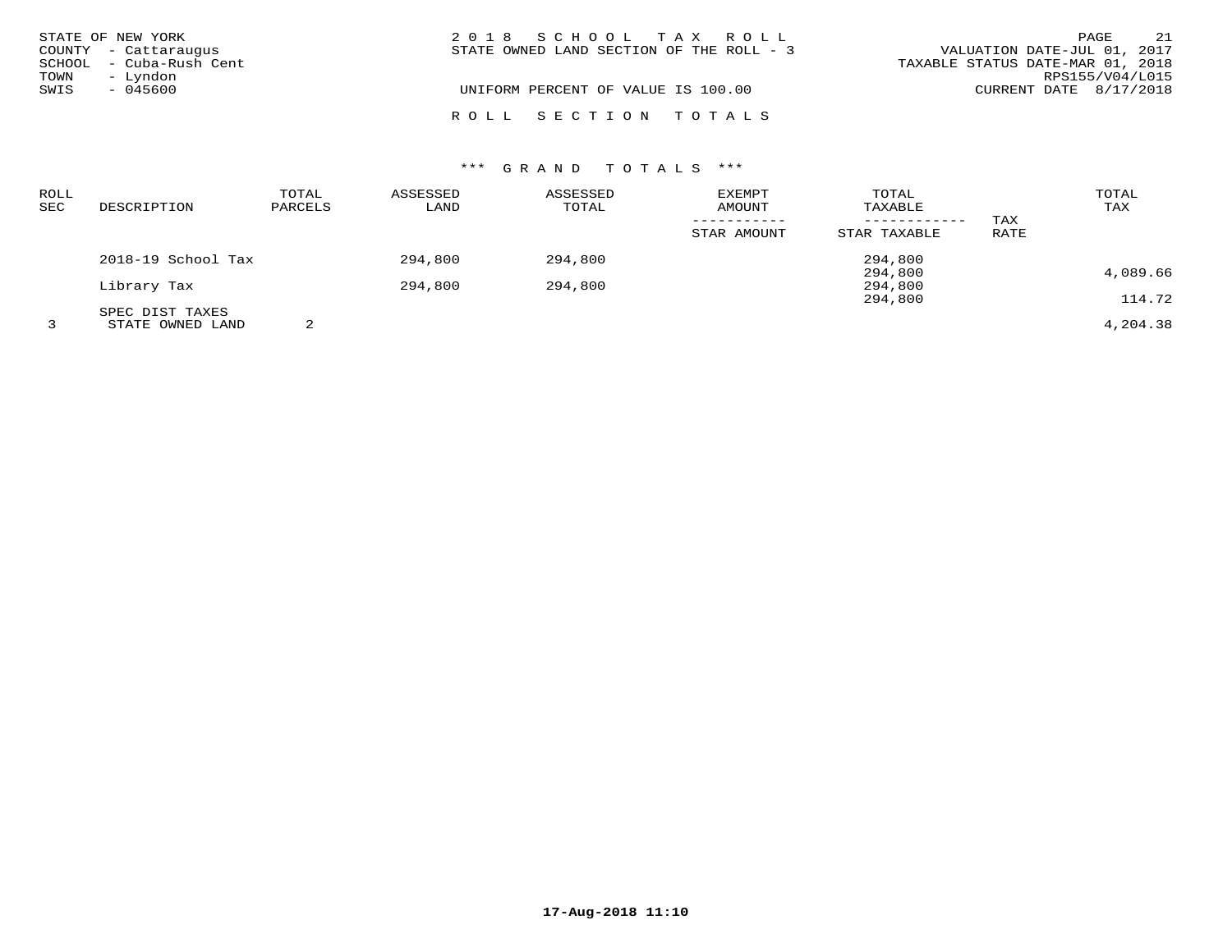|      | STATE OF NEW YORK       | 2018 SCHOOL TAX ROLL                     | PAGE                             | 21 |
|------|-------------------------|------------------------------------------|----------------------------------|----|
|      | COUNTY - Cattaraugus    | STATE OWNED LAND SECTION OF THE ROLL - 3 | VALUATION DATE-JUL 01, 2017      |    |
|      | SCHOOL - Cuba-Rush Cent |                                          | TAXABLE STATUS DATE-MAR 01, 2018 |    |
| TOWN | – Lyndon                |                                          | RPS155/V04/L015                  |    |
| SWIS | $-045600$               | UNIFORM PERCENT OF VALUE IS 100.00       | CURRENT DATE 8/17/2018           |    |
|      |                         | ROLL SECTION TOTALS                      |                                  |    |

| ROLL<br>SEC | DESCRIPTION        | TOTAL<br>PARCELS | ASSESSED<br>LAND | ASSESSED<br>TOTAL | <b>EXEMPT</b><br>AMOUNT | TOTAL<br>TAXABLE<br>------------ | TAX  | TOTAL<br>TAX |
|-------------|--------------------|------------------|------------------|-------------------|-------------------------|----------------------------------|------|--------------|
|             |                    |                  |                  |                   | STAR AMOUNT             | STAR TAXABLE                     | RATE |              |
|             | 2018-19 School Tax |                  | 294,800          | 294,800           |                         | 294,800                          |      |              |
|             |                    |                  |                  |                   |                         | 294,800                          |      | 4,089.66     |
|             | Library Tax        |                  | 294,800          | 294,800           |                         | 294,800                          |      |              |
|             |                    |                  |                  |                   |                         | 294,800                          |      | 114.72       |
|             | SPEC DIST TAXES    |                  |                  |                   |                         |                                  |      |              |
|             | STATE OWNED LAND   | 2                |                  |                   |                         |                                  |      | 4,204.38     |

**17-Aug-2018 11:10**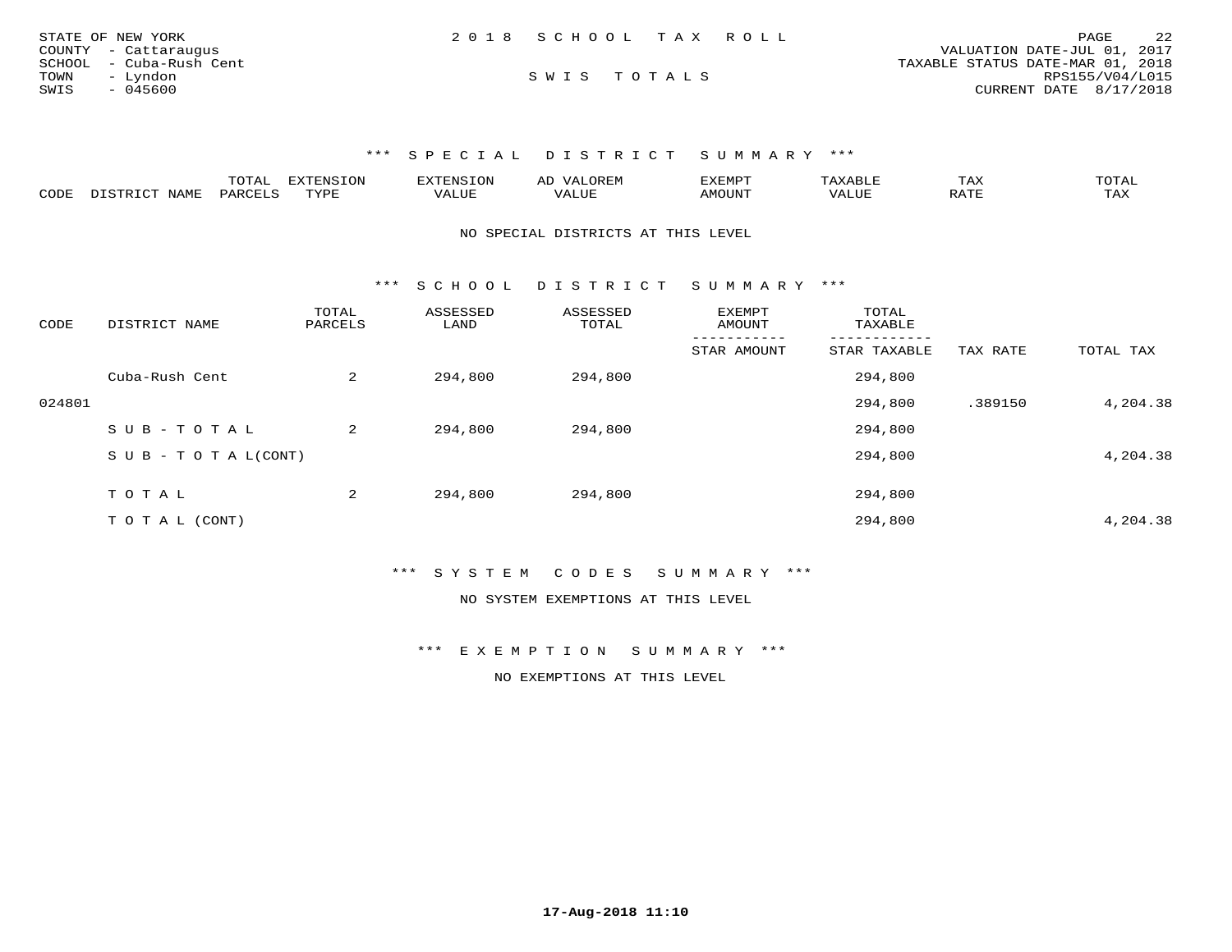| STATE OF NEW YORK       | 2018 SCHOOL TAX ROLL |  | 2.2<br>PAGE                      |
|-------------------------|----------------------|--|----------------------------------|
| COUNTY - Cattaraugus    |                      |  | VALUATION DATE-JUL 01, 2017      |
| SCHOOL - Cuba-Rush Cent |                      |  | TAXABLE STATUS DATE-MAR 01, 2018 |
| TOWN<br>– Lyndon        | SWIS TOTALS          |  | RPS155/V04/L015                  |
| SWIS<br>- 045600        |                      |  | CURRENT DATE 8/17/2018           |

\*\*\* S P E C I A L D I S T R I C T S U M M A R Y \*\*\*

|      |      | -----<br>UIAL | ENSION | $\sqrt{T}$ THENC TO $\sim$<br>. . <i>.</i> | $\sim$<br>− | 1127738777<br>ັ | - ∠⊿ | $m \wedge m \wedge r$<br>∸ ∆ ∣ |
|------|------|---------------|--------|--------------------------------------------|-------------|-----------------|------|--------------------------------|
| CODE | NAME | D A P         | $\pi$  | '/ALUE<br>$V_{A}$                          |             | <b>JUN</b>      |      | TAX                            |

NO SPECIAL DISTRICTS AT THIS LEVEL

\*\*\* S C H O O L D I S T R I C T S U M M A R Y \*\*\*

| CODE   | DISTRICT NAME                    | TOTAL<br>PARCELS | ASSESSED<br>LAND | ASSESSED<br>TOTAL | <b>EXEMPT</b><br>AMOUNT | TOTAL<br>TAXABLE |          |           |
|--------|----------------------------------|------------------|------------------|-------------------|-------------------------|------------------|----------|-----------|
|        |                                  |                  |                  |                   | STAR AMOUNT             | STAR TAXABLE     | TAX RATE | TOTAL TAX |
|        | Cuba-Rush Cent                   | 2                | 294,800          | 294,800           |                         | 294,800          |          |           |
| 024801 |                                  |                  |                  |                   |                         | 294,800          | .389150  | 4,204.38  |
|        | SUB-TOTAL                        | 2                | 294,800          | 294,800           |                         | 294,800          |          |           |
|        | $S \cup B - T \cup T A L (CONT)$ |                  |                  |                   |                         | 294,800          |          | 4,204.38  |
|        |                                  |                  |                  |                   |                         |                  |          |           |
|        | TOTAL                            | 2                | 294,800          | 294,800           |                         | 294,800          |          |           |
|        | T O T A L (CONT)                 |                  |                  |                   |                         | 294,800          |          | 4,204.38  |

\*\*\* S Y S T E M C O D E S S U M M A R Y \*\*\*

NO SYSTEM EXEMPTIONS AT THIS LEVEL

\*\*\* E X E M P T I O N S U M M A R Y \*\*\*

NO EXEMPTIONS AT THIS LEVEL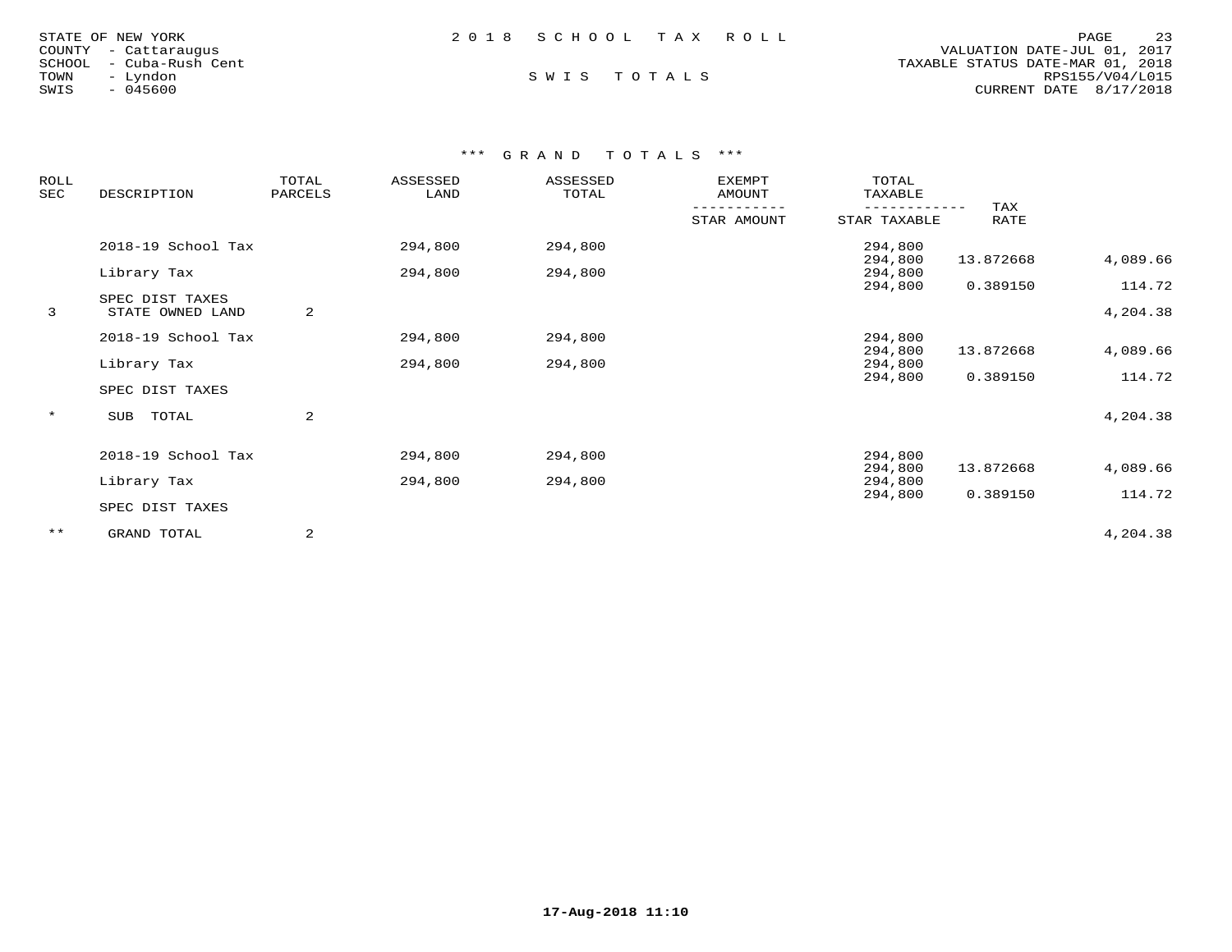| STATE OF NEW YORK       | 2018 SCHOOL TAX ROLL |  | 23<br>PAGE                       |
|-------------------------|----------------------|--|----------------------------------|
| COUNTY - Cattaraugus    |                      |  | VALUATION DATE-JUL 01, 2017      |
| SCHOOL - Cuba-Rush Cent |                      |  | TAXABLE STATUS DATE-MAR 01, 2018 |
| TOWN<br>- Lyndon        | SWIS TOTALS          |  | RPS155/V04/L015                  |
| SWIS<br>- 045600        |                      |  | CURRENT DATE 8/17/2018           |
|                         |                      |  |                                  |

## \*\*\* G R A N D T O T A L S \*\*\*

| ROLL<br>SEC | DESCRIPTION                         | TOTAL<br>PARCELS | ASSESSED<br>LAND | ASSESSED<br>TOTAL | <b>EXEMPT</b><br>AMOUNT | TOTAL<br>TAXABLE   |             |                    |
|-------------|-------------------------------------|------------------|------------------|-------------------|-------------------------|--------------------|-------------|--------------------|
|             |                                     |                  |                  |                   | STAR AMOUNT             | STAR TAXABLE       | TAX<br>RATE |                    |
|             | 2018-19 School Tax                  |                  | 294,800          | 294,800           |                         | 294,800<br>294,800 | 13.872668   | 4,089.66           |
|             | Library Tax                         |                  | 294,800          | 294,800           |                         | 294,800            |             |                    |
| 3           | SPEC DIST TAXES<br>STATE OWNED LAND | 2                |                  |                   |                         | 294,800            | 0.389150    | 114.72<br>4,204.38 |
|             |                                     |                  |                  |                   |                         |                    |             |                    |
|             | 2018-19 School Tax                  |                  | 294,800          | 294,800           |                         | 294,800            | 13.872668   | 4,089.66           |
|             | Library Tax                         |                  | 294,800          | 294,800           |                         | 294,800<br>294,800 |             |                    |
|             | SPEC DIST TAXES                     |                  |                  |                   |                         | 294,800            | 0.389150    | 114.72             |
| $\star$     | SUB<br>TOTAL                        | 2                |                  |                   |                         |                    |             | 4,204.38           |
|             | 2018-19 School Tax                  |                  | 294,800          | 294,800           |                         | 294,800            |             |                    |
|             | Library Tax                         |                  | 294,800          | 294,800           |                         | 294,800<br>294,800 | 13.872668   | 4,089.66           |
|             |                                     |                  |                  |                   |                         | 294,800            | 0.389150    | 114.72             |
|             | SPEC DIST TAXES                     |                  |                  |                   |                         |                    |             |                    |
| $***$       | GRAND TOTAL                         | 2                |                  |                   |                         |                    |             | 4,204.38           |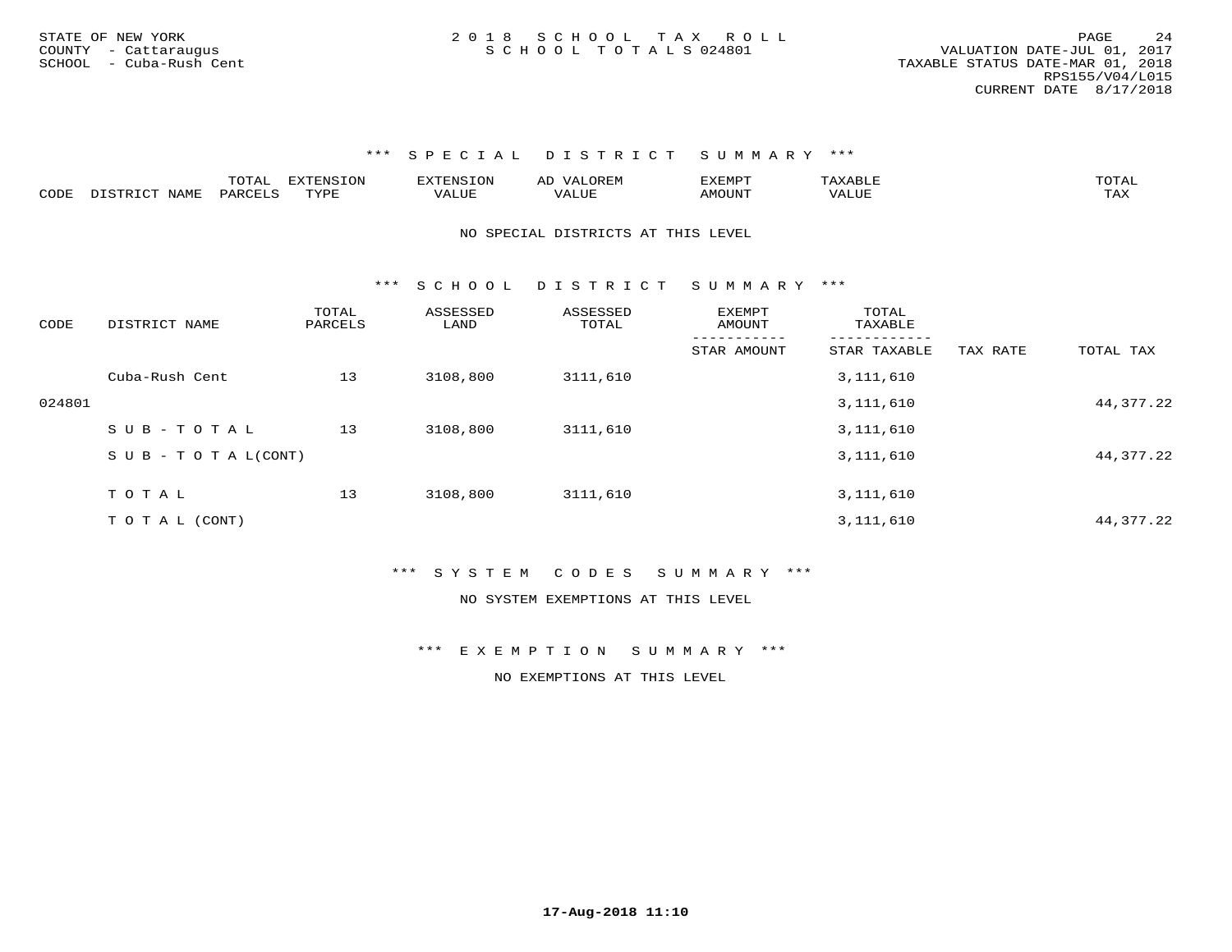\*\*\* S P E C I A L D I S T R I C T S U M M A R Y \*\*\*

|      |      | $m \wedge m$<br>$\overline{A}$<br>. | 577037<br>----<br>. ON | $T = 0.37$<br>TXTENS1.<br>- UN | OREN<br>" ב<br>╌ | ר <b>סMR א</b> | $\cdot$ $\sim$ $\sim$ . | $m \wedge m \wedge r$ |
|------|------|-------------------------------------|------------------------|--------------------------------|------------------|----------------|-------------------------|-----------------------|
| CODE | JAMF | <b>PARCET</b>                       | <b>TVDL</b>            | <i>T</i> ALUE                  | <b>TTT</b>       | (JN"           | ALUE                    | $m \times r$<br>∸∽∸   |

NO SPECIAL DISTRICTS AT THIS LEVEL

\*\*\* S C H O O L D I S T R I C T S U M M A R Y \*\*\*

| CODE   | DISTRICT NAME                    | TOTAL<br>PARCELS | ASSESSED<br>LAND | ASSESSED<br>TOTAL | EXEMPT<br>AMOUNT | TOTAL<br>TAXABLE |          |             |
|--------|----------------------------------|------------------|------------------|-------------------|------------------|------------------|----------|-------------|
|        |                                  |                  |                  |                   | STAR AMOUNT      | STAR TAXABLE     | TAX RATE | TOTAL TAX   |
|        | Cuba-Rush Cent                   | 13               | 3108,800         | 3111,610          |                  | 3, 111, 610      |          |             |
| 024801 |                                  |                  |                  |                   |                  | 3, 111, 610      |          | 44, 377. 22 |
|        | $SUB - TO TAL$                   | 13               | 3108,800         | 3111,610          |                  | 3,111,610        |          |             |
|        | $S \cup B - T \cup T A L (CONT)$ |                  |                  |                   |                  | 3,111,610        |          | 44, 377. 22 |
|        | TOTAL                            |                  |                  |                   |                  |                  |          |             |
|        |                                  | 13               | 3108,800         | 3111,610          |                  | 3,111,610        |          |             |
|        | TO TAL (CONT)                    |                  |                  |                   |                  | 3,111,610        |          | 44, 377. 22 |

\*\*\* S Y S T E M C O D E S S U M M A R Y \*\*\*

NO SYSTEM EXEMPTIONS AT THIS LEVEL

\*\*\* E X E M P T I O N S U M M A R Y \*\*\*

NO EXEMPTIONS AT THIS LEVEL